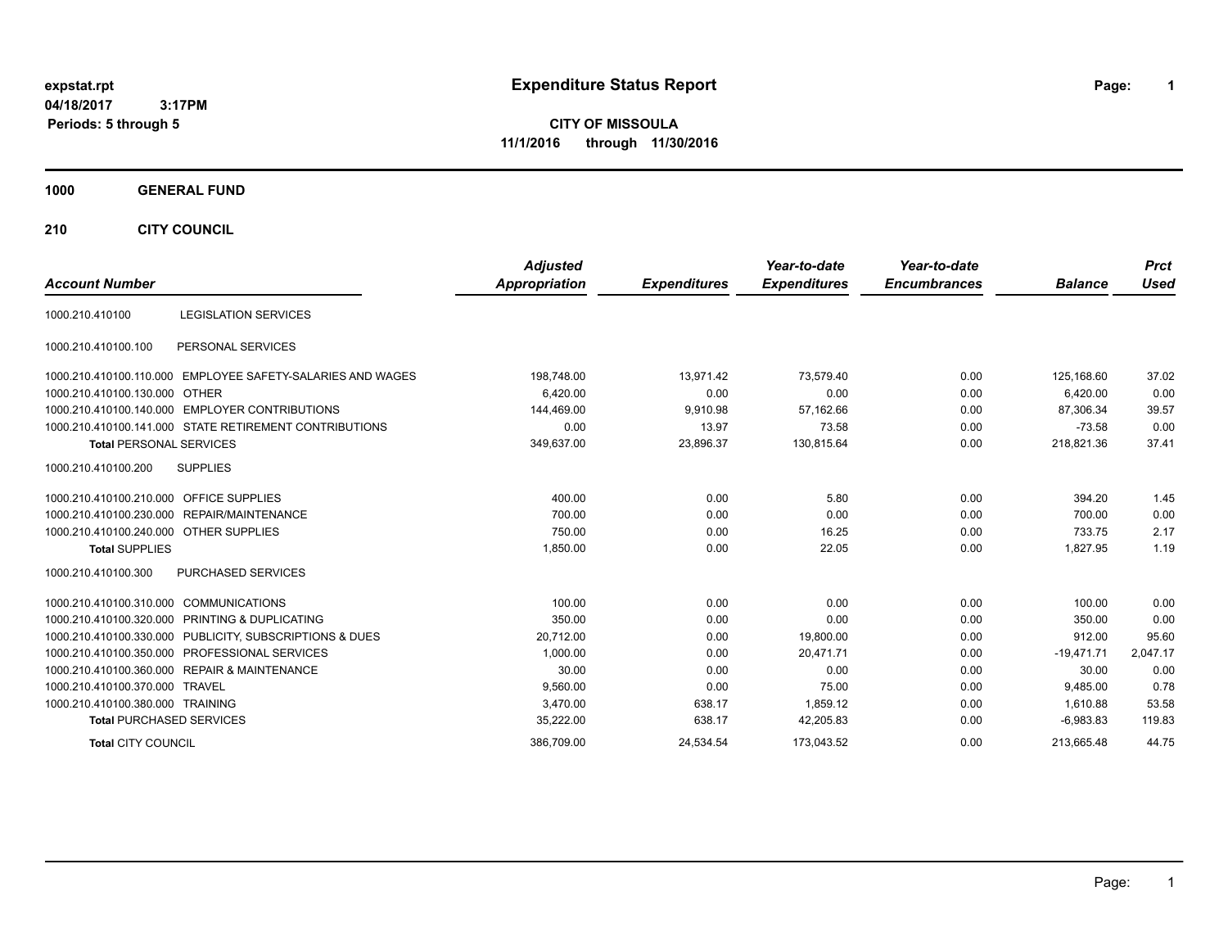# **expstat.rpt Expenditure Status Report Page:**

**1**

**CITY OF MISSOULA 11/1/2016 through 11/30/2016**

### **1000 GENERAL FUND**

**210 CITY COUNCIL**

| <b>Account Number</b>                  |                                                            | <b>Adjusted</b><br><b>Appropriation</b> | <b>Expenditures</b> | Year-to-date<br><b>Expenditures</b> | Year-to-date<br><b>Encumbrances</b> | <b>Balance</b> | <b>Prct</b><br><b>Used</b> |
|----------------------------------------|------------------------------------------------------------|-----------------------------------------|---------------------|-------------------------------------|-------------------------------------|----------------|----------------------------|
| 1000.210.410100                        | <b>LEGISLATION SERVICES</b>                                |                                         |                     |                                     |                                     |                |                            |
| 1000.210.410100.100                    | PERSONAL SERVICES                                          |                                         |                     |                                     |                                     |                |                            |
|                                        | 1000.210.410100.110.000 EMPLOYEE SAFETY-SALARIES AND WAGES | 198,748.00                              | 13,971.42           | 73,579.40                           | 0.00                                | 125,168.60     | 37.02                      |
| 1000.210.410100.130.000                | <b>OTHER</b>                                               | 6,420.00                                | 0.00                | 0.00                                | 0.00                                | 6,420.00       | 0.00                       |
|                                        | 1000.210.410100.140.000 EMPLOYER CONTRIBUTIONS             | 144,469.00                              | 9,910.98            | 57,162.66                           | 0.00                                | 87,306.34      | 39.57                      |
|                                        | 1000.210.410100.141.000 STATE RETIREMENT CONTRIBUTIONS     | 0.00                                    | 13.97               | 73.58                               | 0.00                                | $-73.58$       | 0.00                       |
| <b>Total PERSONAL SERVICES</b>         |                                                            | 349,637.00                              | 23,896.37           | 130,815.64                          | 0.00                                | 218,821.36     | 37.41                      |
| 1000.210.410100.200                    | <b>SUPPLIES</b>                                            |                                         |                     |                                     |                                     |                |                            |
| 1000.210.410100.210.000                | <b>OFFICE SUPPLIES</b>                                     | 400.00                                  | 0.00                | 5.80                                | 0.00                                | 394.20         | 1.45                       |
|                                        | 1000.210.410100.230.000 REPAIR/MAINTENANCE                 | 700.00                                  | 0.00                | 0.00                                | 0.00                                | 700.00         | 0.00                       |
| 1000.210.410100.240.000 OTHER SUPPLIES |                                                            | 750.00                                  | 0.00                | 16.25                               | 0.00                                | 733.75         | 2.17                       |
| <b>Total SUPPLIES</b>                  |                                                            | 1,850.00                                | 0.00                | 22.05                               | 0.00                                | 1,827.95       | 1.19                       |
| 1000.210.410100.300                    | <b>PURCHASED SERVICES</b>                                  |                                         |                     |                                     |                                     |                |                            |
| 1000.210.410100.310.000                | <b>COMMUNICATIONS</b>                                      | 100.00                                  | 0.00                | 0.00                                | 0.00                                | 100.00         | 0.00                       |
|                                        | 1000.210.410100.320.000 PRINTING & DUPLICATING             | 350.00                                  | 0.00                | 0.00                                | 0.00                                | 350.00         | 0.00                       |
|                                        | 1000.210.410100.330.000 PUBLICITY, SUBSCRIPTIONS & DUES    | 20,712.00                               | 0.00                | 19,800.00                           | 0.00                                | 912.00         | 95.60                      |
|                                        | 1000.210.410100.350.000 PROFESSIONAL SERVICES              | 1,000.00                                | 0.00                | 20,471.71                           | 0.00                                | $-19,471.71$   | 2,047.17                   |
|                                        | 1000.210.410100.360.000 REPAIR & MAINTENANCE               | 30.00                                   | 0.00                | 0.00                                | 0.00                                | 30.00          | 0.00                       |
| 1000.210.410100.370.000 TRAVEL         |                                                            | 9,560.00                                | 0.00                | 75.00                               | 0.00                                | 9,485.00       | 0.78                       |
| 1000.210.410100.380.000 TRAINING       |                                                            | 3,470.00                                | 638.17              | 1,859.12                            | 0.00                                | 1.610.88       | 53.58                      |
| <b>Total PURCHASED SERVICES</b>        |                                                            | 35,222.00                               | 638.17              | 42,205.83                           | 0.00                                | $-6.983.83$    | 119.83                     |
| <b>Total CITY COUNCIL</b>              |                                                            | 386.709.00                              | 24.534.54           | 173.043.52                          | 0.00                                | 213.665.48     | 44.75                      |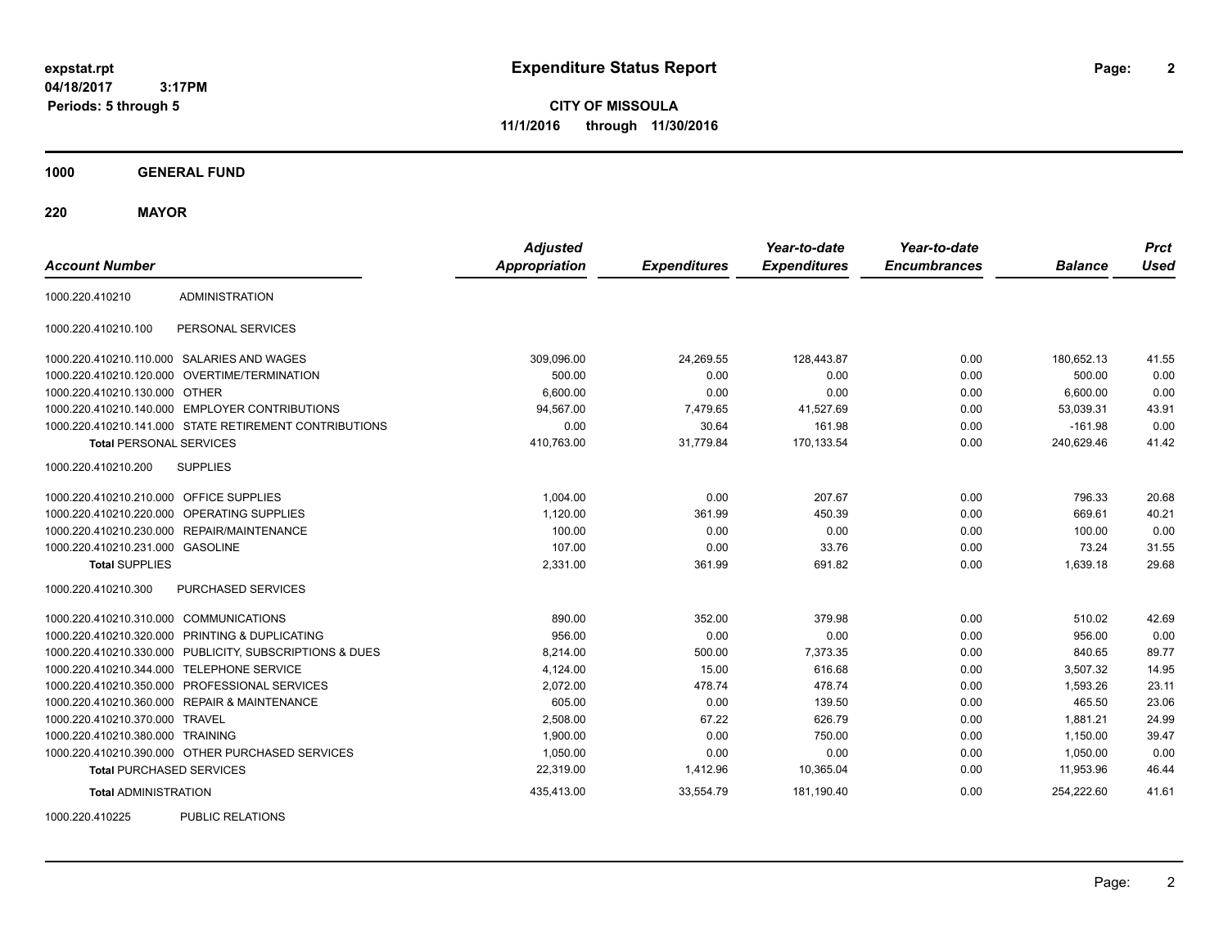**CITY OF MISSOULA 11/1/2016 through 11/30/2016**

**1000 GENERAL FUND**

**220 MAYOR**

| <b>Account Number</b>                   |                                                         | <b>Adjusted</b><br><b>Appropriation</b> | <b>Expenditures</b> | Year-to-date<br><b>Expenditures</b> | Year-to-date<br><b>Encumbrances</b> | <b>Balance</b> | <b>Prct</b><br><b>Used</b> |
|-----------------------------------------|---------------------------------------------------------|-----------------------------------------|---------------------|-------------------------------------|-------------------------------------|----------------|----------------------------|
| 1000.220.410210                         | <b>ADMINISTRATION</b>                                   |                                         |                     |                                     |                                     |                |                            |
| 1000.220.410210.100                     | PERSONAL SERVICES                                       |                                         |                     |                                     |                                     |                |                            |
|                                         | 1000.220.410210.110.000 SALARIES AND WAGES              | 309,096.00                              | 24,269.55           | 128,443.87                          | 0.00                                | 180.652.13     | 41.55                      |
| 1000.220.410210.120.000                 | OVERTIME/TERMINATION                                    | 500.00                                  | 0.00                | 0.00                                | 0.00                                | 500.00         | 0.00                       |
| 1000.220.410210.130.000 OTHER           |                                                         | 6,600.00                                | 0.00                | 0.00                                | 0.00                                | 6,600.00       | 0.00                       |
|                                         | 1000.220.410210.140.000 EMPLOYER CONTRIBUTIONS          | 94,567.00                               | 7,479.65            | 41,527.69                           | 0.00                                | 53,039.31      | 43.91                      |
|                                         | 1000.220.410210.141.000 STATE RETIREMENT CONTRIBUTIONS  | 0.00                                    | 30.64               | 161.98                              | 0.00                                | $-161.98$      | 0.00                       |
| <b>Total PERSONAL SERVICES</b>          |                                                         | 410,763.00                              | 31,779.84           | 170,133.54                          | 0.00                                | 240,629.46     | 41.42                      |
| 1000.220.410210.200                     | <b>SUPPLIES</b>                                         |                                         |                     |                                     |                                     |                |                            |
| 1000.220.410210.210.000 OFFICE SUPPLIES |                                                         | 1,004.00                                | 0.00                | 207.67                              | 0.00                                | 796.33         | 20.68                      |
| 1000.220.410210.220.000                 | OPERATING SUPPLIES                                      | 1,120.00                                | 361.99              | 450.39                              | 0.00                                | 669.61         | 40.21                      |
| 1000.220.410210.230.000                 | REPAIR/MAINTENANCE                                      | 100.00                                  | 0.00                | 0.00                                | 0.00                                | 100.00         | 0.00                       |
| 1000.220.410210.231.000 GASOLINE        |                                                         | 107.00                                  | 0.00                | 33.76                               | 0.00                                | 73.24          | 31.55                      |
| <b>Total SUPPLIES</b>                   |                                                         | 2,331.00                                | 361.99              | 691.82                              | 0.00                                | 1,639.18       | 29.68                      |
| 1000.220.410210.300                     | PURCHASED SERVICES                                      |                                         |                     |                                     |                                     |                |                            |
| 1000.220.410210.310.000 COMMUNICATIONS  |                                                         | 890.00                                  | 352.00              | 379.98                              | 0.00                                | 510.02         | 42.69                      |
|                                         | 1000.220.410210.320.000 PRINTING & DUPLICATING          | 956.00                                  | 0.00                | 0.00                                | 0.00                                | 956.00         | 0.00                       |
|                                         | 1000.220.410210.330.000 PUBLICITY, SUBSCRIPTIONS & DUES | 8,214.00                                | 500.00              | 7,373.35                            | 0.00                                | 840.65         | 89.77                      |
| 1000.220.410210.344.000                 | <b>TELEPHONE SERVICE</b>                                | 4,124.00                                | 15.00               | 616.68                              | 0.00                                | 3,507.32       | 14.95                      |
|                                         | 1000.220.410210.350.000 PROFESSIONAL SERVICES           | 2,072.00                                | 478.74              | 478.74                              | 0.00                                | 1,593.26       | 23.11                      |
|                                         | 1000.220.410210.360.000 REPAIR & MAINTENANCE            | 605.00                                  | 0.00                | 139.50                              | 0.00                                | 465.50         | 23.06                      |
| 1000.220.410210.370.000 TRAVEL          |                                                         | 2.508.00                                | 67.22               | 626.79                              | 0.00                                | 1,881.21       | 24.99                      |
| 1000.220.410210.380.000 TRAINING        |                                                         | 1,900.00                                | 0.00                | 750.00                              | 0.00                                | 1,150.00       | 39.47                      |
|                                         | 1000.220.410210.390.000 OTHER PURCHASED SERVICES        | 1,050.00                                | 0.00                | 0.00                                | 0.00                                | 1,050.00       | 0.00                       |
| <b>Total PURCHASED SERVICES</b>         |                                                         | 22,319.00                               | 1,412.96            | 10,365.04                           | 0.00                                | 11,953.96      | 46.44                      |
| <b>Total ADMINISTRATION</b>             |                                                         | 435,413.00                              | 33,554.79           | 181,190.40                          | 0.00                                | 254,222.60     | 41.61                      |
| 1000000110000                           | $D(1D1)$ $D(2D1)$                                       |                                         |                     |                                     |                                     |                |                            |

1000.220.410225 PUBLIC RELATIONS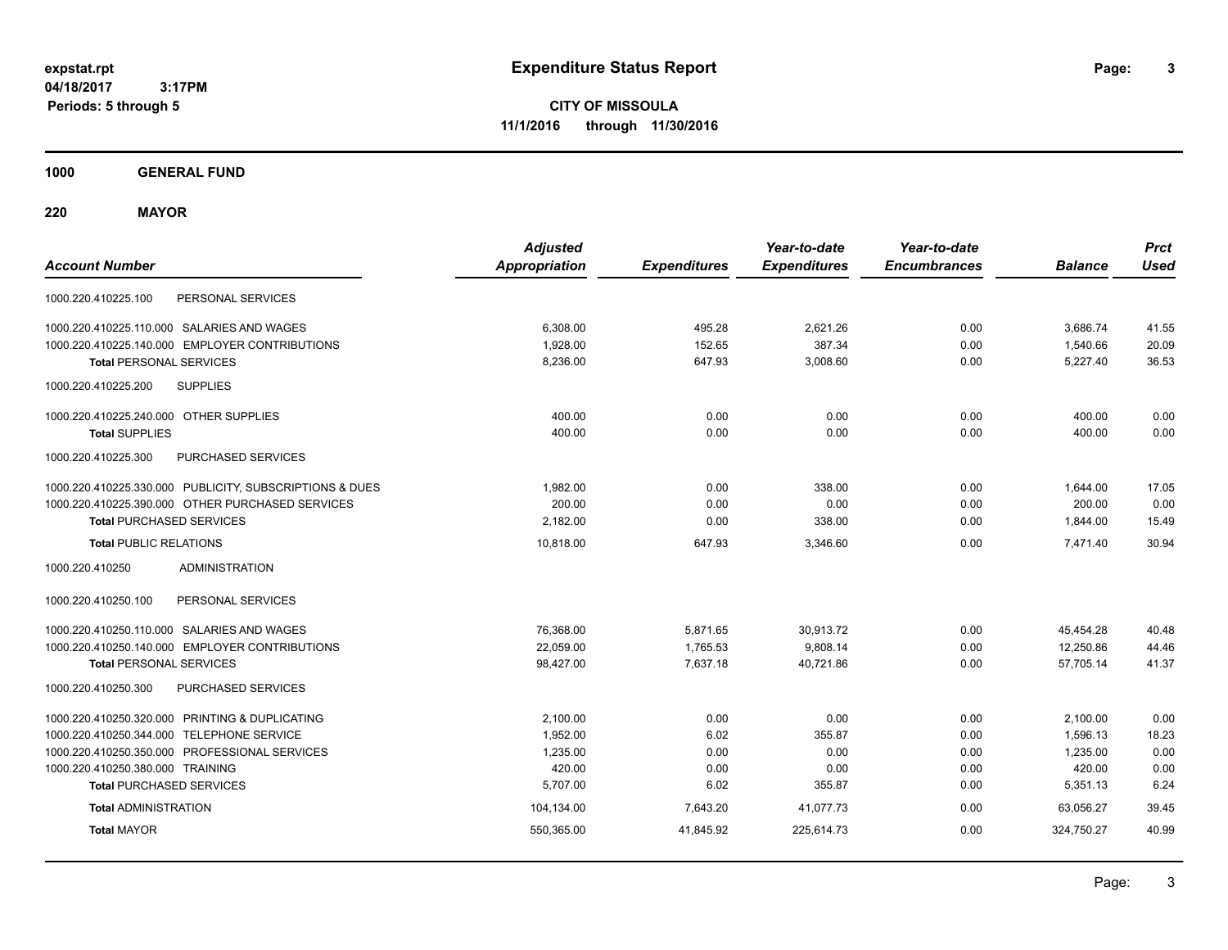**CITY OF MISSOULA 11/1/2016 through 11/30/2016**

**1000 GENERAL FUND**

**220 MAYOR**

| <b>Account Number</b>                                   | <b>Adjusted</b><br><b>Appropriation</b> | <b>Expenditures</b> | Year-to-date<br><b>Expenditures</b> | Year-to-date<br><b>Encumbrances</b> | <b>Balance</b> | <b>Prct</b><br><b>Used</b> |
|---------------------------------------------------------|-----------------------------------------|---------------------|-------------------------------------|-------------------------------------|----------------|----------------------------|
| PERSONAL SERVICES<br>1000.220.410225.100                |                                         |                     |                                     |                                     |                |                            |
| 1000.220.410225.110.000 SALARIES AND WAGES              | 6,308.00                                | 495.28              | 2,621.26                            | 0.00                                | 3.686.74       | 41.55                      |
| 1000.220.410225.140.000 EMPLOYER CONTRIBUTIONS          | 1,928.00                                | 152.65              | 387.34                              | 0.00                                | 1,540.66       | 20.09                      |
| <b>Total PERSONAL SERVICES</b>                          | 8,236.00                                | 647.93              | 3,008.60                            | 0.00                                | 5,227.40       | 36.53                      |
| 1000.220.410225.200<br><b>SUPPLIES</b>                  |                                         |                     |                                     |                                     |                |                            |
| 1000.220.410225.240.000 OTHER SUPPLIES                  | 400.00                                  | 0.00                | 0.00                                | 0.00                                | 400.00         | 0.00                       |
| <b>Total SUPPLIES</b>                                   | 400.00                                  | 0.00                | 0.00                                | 0.00                                | 400.00         | 0.00                       |
| PURCHASED SERVICES<br>1000.220.410225.300               |                                         |                     |                                     |                                     |                |                            |
| 1000.220.410225.330.000 PUBLICITY, SUBSCRIPTIONS & DUES | 1.982.00                                | 0.00                | 338.00                              | 0.00                                | 1,644.00       | 17.05                      |
| 1000.220.410225.390.000 OTHER PURCHASED SERVICES        | 200.00                                  | 0.00                | 0.00                                | 0.00                                | 200.00         | 0.00                       |
| <b>Total PURCHASED SERVICES</b>                         | 2,182.00                                | 0.00                | 338.00                              | 0.00                                | 1,844.00       | 15.49                      |
| <b>Total PUBLIC RELATIONS</b>                           | 10,818.00                               | 647.93              | 3,346.60                            | 0.00                                | 7.471.40       | 30.94                      |
| <b>ADMINISTRATION</b><br>1000.220.410250                |                                         |                     |                                     |                                     |                |                            |
| 1000.220.410250.100<br>PERSONAL SERVICES                |                                         |                     |                                     |                                     |                |                            |
| 1000.220.410250.110.000 SALARIES AND WAGES              | 76,368.00                               | 5,871.65            | 30,913.72                           | 0.00                                | 45,454.28      | 40.48                      |
| 1000.220.410250.140.000 EMPLOYER CONTRIBUTIONS          | 22,059.00                               | 1,765.53            | 9,808.14                            | 0.00                                | 12,250.86      | 44.46                      |
| <b>Total PERSONAL SERVICES</b>                          | 98,427.00                               | 7,637.18            | 40,721.86                           | 0.00                                | 57,705.14      | 41.37                      |
| PURCHASED SERVICES<br>1000.220.410250.300               |                                         |                     |                                     |                                     |                |                            |
| 1000.220.410250.320.000 PRINTING & DUPLICATING          | 2,100.00                                | 0.00                | 0.00                                | 0.00                                | 2,100.00       | 0.00                       |
| 1000.220.410250.344.000 TELEPHONE SERVICE               | 1,952.00                                | 6.02                | 355.87                              | 0.00                                | 1,596.13       | 18.23                      |
| 1000.220.410250.350.000 PROFESSIONAL SERVICES           | 1,235.00                                | 0.00                | 0.00                                | 0.00                                | 1,235.00       | 0.00                       |
| 1000.220.410250.380.000 TRAINING                        | 420.00                                  | 0.00                | 0.00                                | 0.00                                | 420.00         | 0.00                       |
| <b>Total PURCHASED SERVICES</b>                         | 5,707.00                                | 6.02                | 355.87                              | 0.00                                | 5,351.13       | 6.24                       |
| <b>Total ADMINISTRATION</b>                             | 104,134.00                              | 7,643.20            | 41,077.73                           | 0.00                                | 63,056.27      | 39.45                      |
| <b>Total MAYOR</b>                                      | 550,365.00                              | 41,845.92           | 225,614.73                          | 0.00                                | 324,750.27     | 40.99                      |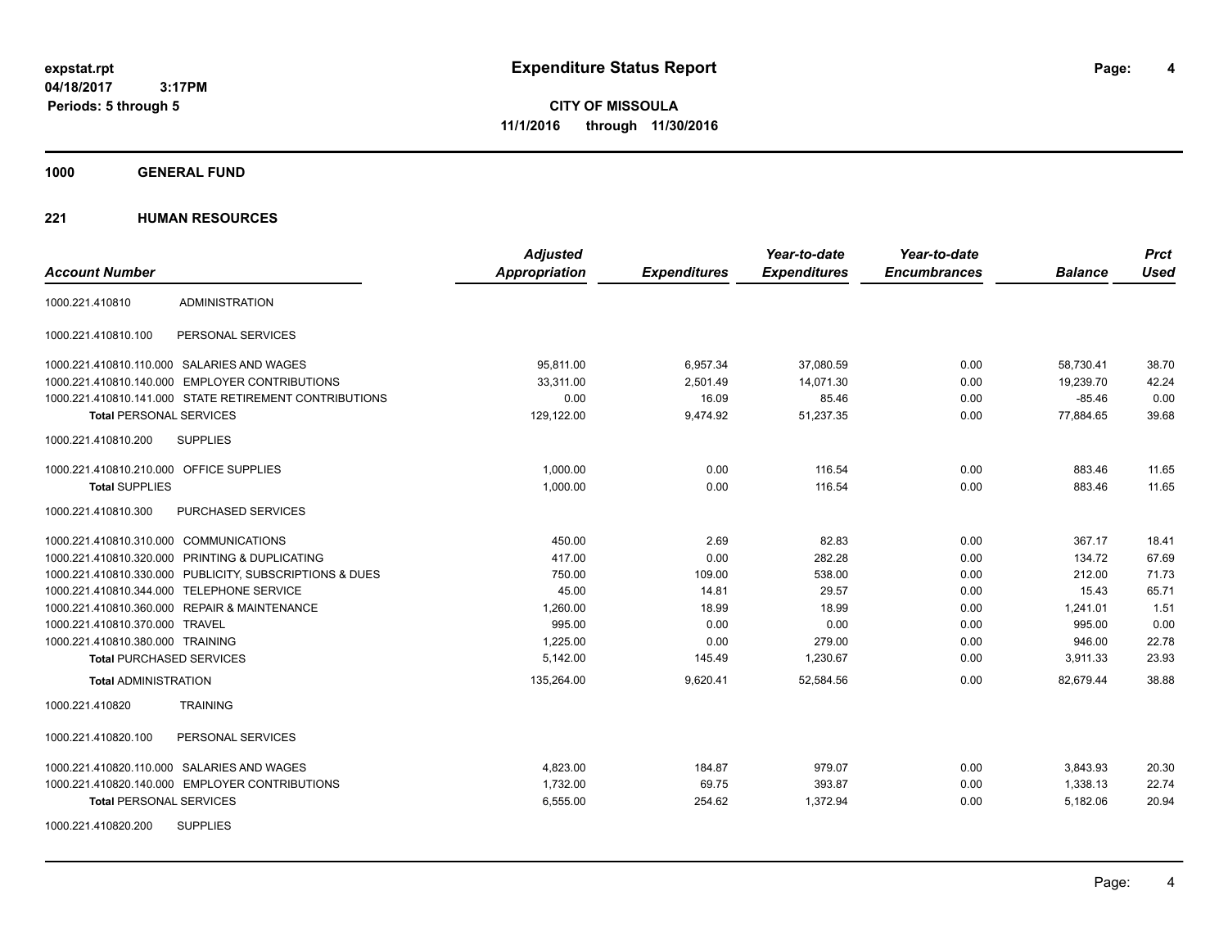**CITY OF MISSOULA 11/1/2016 through 11/30/2016**

**1000 GENERAL FUND**

|                                                         | <b>Adjusted</b>      |                     | Year-to-date        | Year-to-date        |                | <b>Prct</b> |
|---------------------------------------------------------|----------------------|---------------------|---------------------|---------------------|----------------|-------------|
| <b>Account Number</b>                                   | <b>Appropriation</b> | <b>Expenditures</b> | <b>Expenditures</b> | <b>Encumbrances</b> | <b>Balance</b> | <b>Used</b> |
| <b>ADMINISTRATION</b><br>1000.221.410810                |                      |                     |                     |                     |                |             |
| 1000.221.410810.100<br>PERSONAL SERVICES                |                      |                     |                     |                     |                |             |
| 1000.221.410810.110.000 SALARIES AND WAGES              | 95,811.00            | 6,957.34            | 37,080.59           | 0.00                | 58,730.41      | 38.70       |
| 1000.221.410810.140.000 EMPLOYER CONTRIBUTIONS          | 33.311.00            | 2,501.49            | 14,071.30           | 0.00                | 19,239.70      | 42.24       |
| 1000.221.410810.141.000 STATE RETIREMENT CONTRIBUTIONS  | 0.00                 | 16.09               | 85.46               | 0.00                | $-85.46$       | 0.00        |
| <b>Total PERSONAL SERVICES</b>                          | 129,122.00           | 9,474.92            | 51,237.35           | 0.00                | 77,884.65      | 39.68       |
| <b>SUPPLIES</b><br>1000.221.410810.200                  |                      |                     |                     |                     |                |             |
| 1000.221.410810.210.000 OFFICE SUPPLIES                 | 1,000.00             | 0.00                | 116.54              | 0.00                | 883.46         | 11.65       |
| <b>Total SUPPLIES</b>                                   | 1,000.00             | 0.00                | 116.54              | 0.00                | 883.46         | 11.65       |
| PURCHASED SERVICES<br>1000.221.410810.300               |                      |                     |                     |                     |                |             |
| 1000.221.410810.310.000 COMMUNICATIONS                  | 450.00               | 2.69                | 82.83               | 0.00                | 367.17         | 18.41       |
| 1000.221.410810.320.000 PRINTING & DUPLICATING          | 417.00               | 0.00                | 282.28              | 0.00                | 134.72         | 67.69       |
| 1000.221.410810.330.000 PUBLICITY, SUBSCRIPTIONS & DUES | 750.00               | 109.00              | 538.00              | 0.00                | 212.00         | 71.73       |
| 1000.221.410810.344.000 TELEPHONE SERVICE               | 45.00                | 14.81               | 29.57               | 0.00                | 15.43          | 65.71       |
| 1000.221.410810.360.000 REPAIR & MAINTENANCE            | 1,260.00             | 18.99               | 18.99               | 0.00                | 1,241.01       | 1.51        |
| 1000.221.410810.370.000 TRAVEL                          | 995.00               | 0.00                | 0.00                | 0.00                | 995.00         | 0.00        |
| 1000.221.410810.380.000 TRAINING                        | 1,225.00             | 0.00                | 279.00              | 0.00                | 946.00         | 22.78       |
| <b>Total PURCHASED SERVICES</b>                         | 5,142.00             | 145.49              | 1,230.67            | 0.00                | 3,911.33       | 23.93       |
| <b>Total ADMINISTRATION</b>                             | 135,264.00           | 9,620.41            | 52,584.56           | 0.00                | 82,679.44      | 38.88       |
| <b>TRAINING</b><br>1000.221.410820                      |                      |                     |                     |                     |                |             |
| 1000.221.410820.100<br>PERSONAL SERVICES                |                      |                     |                     |                     |                |             |
| 1000.221.410820.110.000 SALARIES AND WAGES              | 4,823.00             | 184.87              | 979.07              | 0.00                | 3,843.93       | 20.30       |
| 1000.221.410820.140.000 EMPLOYER CONTRIBUTIONS          | 1,732.00             | 69.75               | 393.87              | 0.00                | 1,338.13       | 22.74       |
| <b>Total PERSONAL SERVICES</b>                          | 6,555.00             | 254.62              | 1,372.94            | 0.00                | 5,182.06       | 20.94       |
| <b>SUPPLIES</b><br>1000.221.410820.200                  |                      |                     |                     |                     |                |             |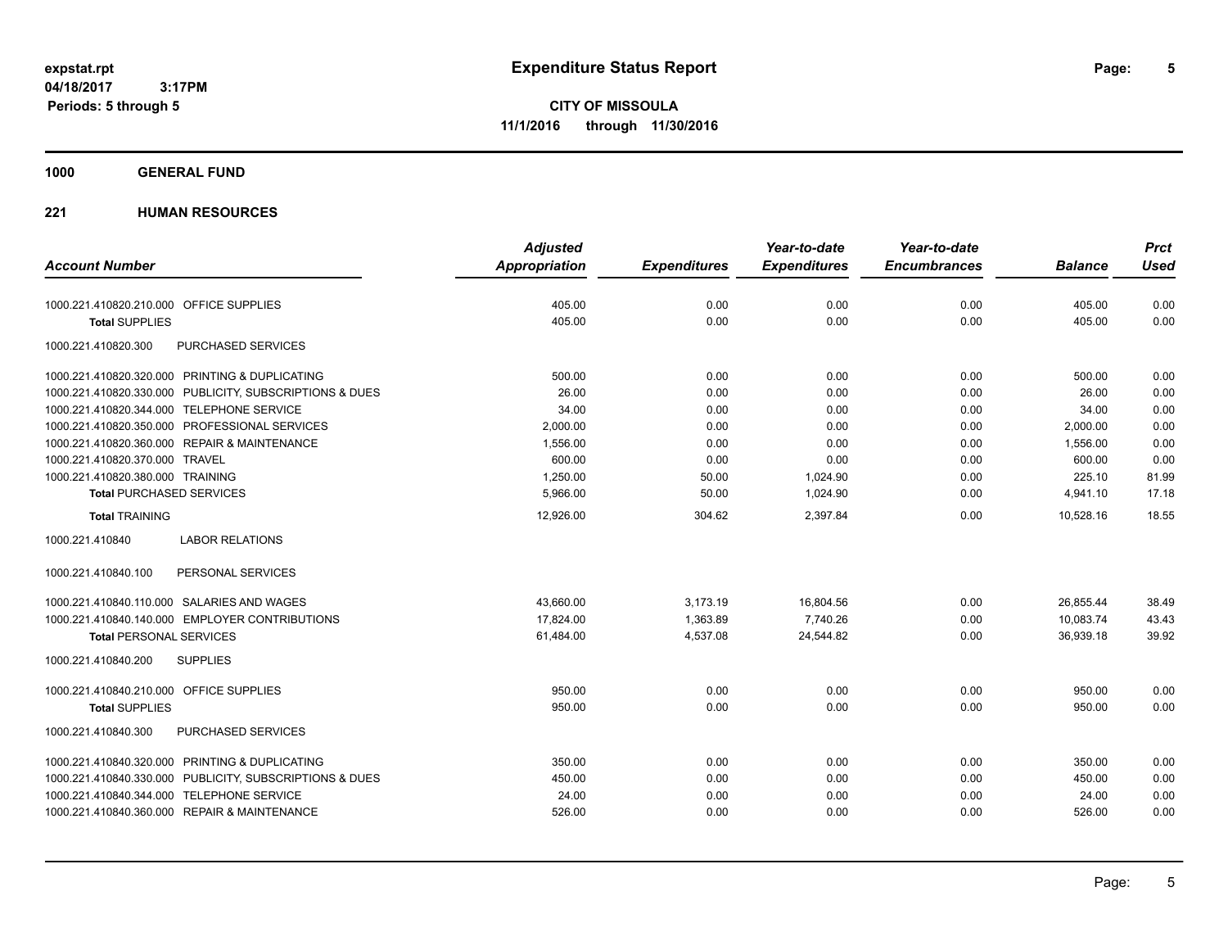**CITY OF MISSOULA 11/1/2016 through 11/30/2016**

**1000 GENERAL FUND**

|                                                         | <b>Adjusted</b>      |                     | Year-to-date        | Year-to-date        |                | <b>Prct</b> |
|---------------------------------------------------------|----------------------|---------------------|---------------------|---------------------|----------------|-------------|
| <b>Account Number</b>                                   | <b>Appropriation</b> | <b>Expenditures</b> | <b>Expenditures</b> | <b>Encumbrances</b> | <b>Balance</b> | <b>Used</b> |
| 1000.221.410820.210.000 OFFICE SUPPLIES                 | 405.00               | 0.00                | 0.00                | 0.00                | 405.00         | 0.00        |
| <b>Total SUPPLIES</b>                                   | 405.00               | 0.00                | 0.00                | 0.00                | 405.00         | 0.00        |
| 1000.221.410820.300<br>PURCHASED SERVICES               |                      |                     |                     |                     |                |             |
| 1000.221.410820.320.000 PRINTING & DUPLICATING          | 500.00               | 0.00                | 0.00                | 0.00                | 500.00         | 0.00        |
| 1000.221.410820.330.000 PUBLICITY, SUBSCRIPTIONS & DUES | 26.00                | 0.00                | 0.00                | 0.00                | 26.00          | 0.00        |
| 1000.221.410820.344.000 TELEPHONE SERVICE               | 34.00                | 0.00                | 0.00                | 0.00                | 34.00          | 0.00        |
| 1000.221.410820.350.000 PROFESSIONAL SERVICES           | 2,000.00             | 0.00                | 0.00                | 0.00                | 2,000.00       | 0.00        |
| 1000.221.410820.360.000 REPAIR & MAINTENANCE            | 1,556.00             | 0.00                | 0.00                | 0.00                | 1,556.00       | 0.00        |
| 1000.221.410820.370.000 TRAVEL                          | 600.00               | 0.00                | 0.00                | 0.00                | 600.00         | 0.00        |
| 1000.221.410820.380.000 TRAINING                        | 1,250.00             | 50.00               | 1,024.90            | 0.00                | 225.10         | 81.99       |
| <b>Total PURCHASED SERVICES</b>                         | 5,966.00             | 50.00               | 1,024.90            | 0.00                | 4,941.10       | 17.18       |
| <b>Total TRAINING</b>                                   | 12,926.00            | 304.62              | 2,397.84            | 0.00                | 10.528.16      | 18.55       |
| 1000.221.410840<br><b>LABOR RELATIONS</b>               |                      |                     |                     |                     |                |             |
| 1000.221.410840.100<br>PERSONAL SERVICES                |                      |                     |                     |                     |                |             |
| 1000.221.410840.110.000 SALARIES AND WAGES              | 43,660.00            | 3,173.19            | 16,804.56           | 0.00                | 26.855.44      | 38.49       |
| 1000.221.410840.140.000 EMPLOYER CONTRIBUTIONS          | 17.824.00            | 1,363.89            | 7,740.26            | 0.00                | 10,083.74      | 43.43       |
| <b>Total PERSONAL SERVICES</b>                          | 61,484.00            | 4,537.08            | 24,544.82           | 0.00                | 36,939.18      | 39.92       |
| 1000.221.410840.200<br><b>SUPPLIES</b>                  |                      |                     |                     |                     |                |             |
| 1000.221.410840.210.000 OFFICE SUPPLIES                 | 950.00               | 0.00                | 0.00                | 0.00                | 950.00         | 0.00        |
| <b>Total SUPPLIES</b>                                   | 950.00               | 0.00                | 0.00                | 0.00                | 950.00         | 0.00        |
| <b>PURCHASED SERVICES</b><br>1000.221.410840.300        |                      |                     |                     |                     |                |             |
| 1000.221.410840.320.000 PRINTING & DUPLICATING          | 350.00               | 0.00                | 0.00                | 0.00                | 350.00         | 0.00        |
| 1000.221.410840.330.000 PUBLICITY, SUBSCRIPTIONS & DUES | 450.00               | 0.00                | 0.00                | 0.00                | 450.00         | 0.00        |
| 1000.221.410840.344.000 TELEPHONE SERVICE               | 24.00                | 0.00                | 0.00                | 0.00                | 24.00          | 0.00        |
| 1000.221.410840.360.000 REPAIR & MAINTENANCE            | 526.00               | 0.00                | 0.00                | 0.00                | 526.00         | 0.00        |
|                                                         |                      |                     |                     |                     |                |             |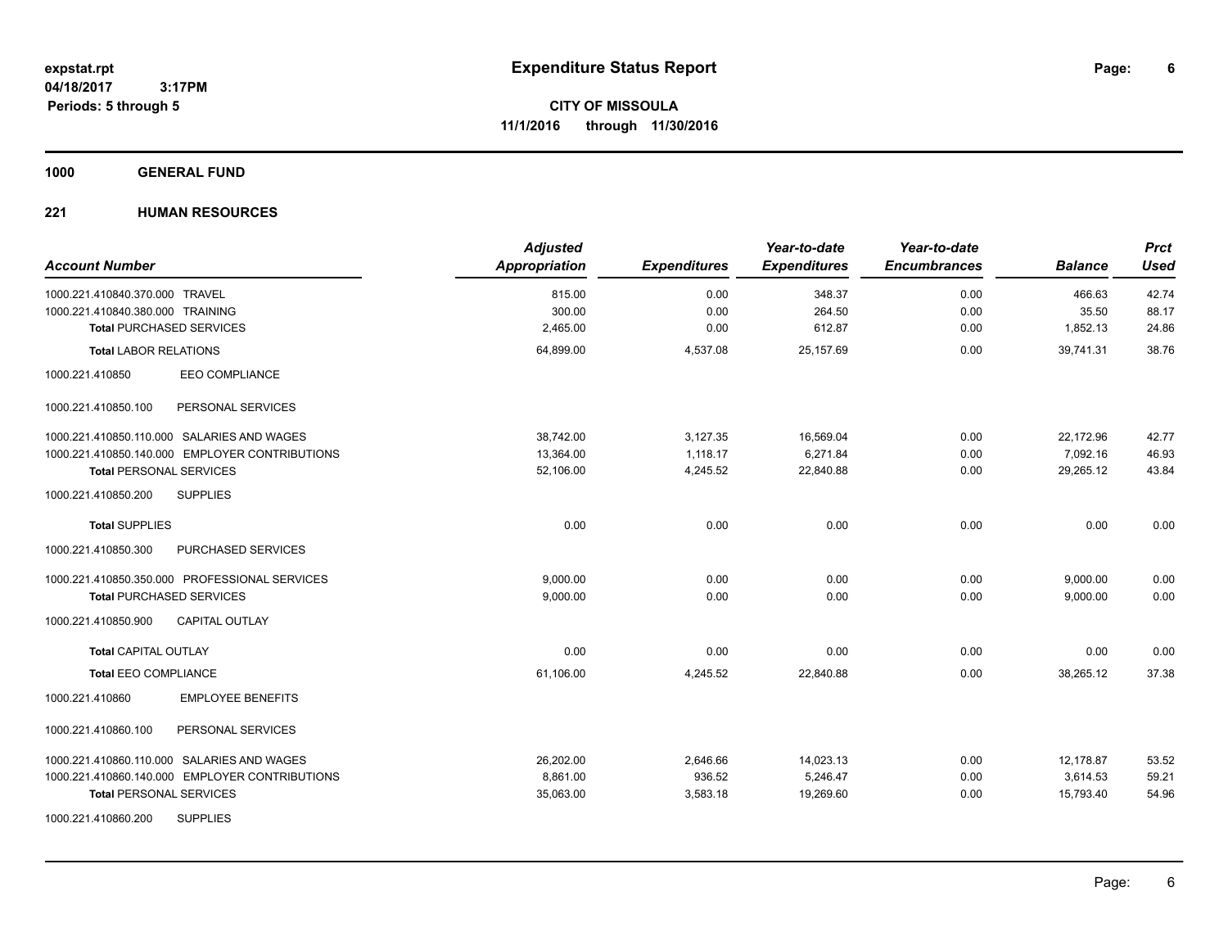**6**

**CITY OF MISSOULA 11/1/2016 through 11/30/2016**

**1000 GENERAL FUND**

| <b>Account Number</b>                          | <b>Adjusted</b><br>Appropriation | <b>Expenditures</b> | Year-to-date<br><b>Expenditures</b> | Year-to-date<br><b>Encumbrances</b> | <b>Balance</b> | <b>Prct</b><br><b>Used</b> |
|------------------------------------------------|----------------------------------|---------------------|-------------------------------------|-------------------------------------|----------------|----------------------------|
| 1000.221.410840.370.000 TRAVEL                 | 815.00                           | 0.00                | 348.37                              | 0.00                                | 466.63         | 42.74                      |
| 1000.221.410840.380.000 TRAINING               | 300.00                           | 0.00                | 264.50                              | 0.00                                | 35.50          | 88.17                      |
| <b>Total PURCHASED SERVICES</b>                | 2,465.00                         | 0.00                | 612.87                              | 0.00                                | 1,852.13       | 24.86                      |
| <b>Total LABOR RELATIONS</b>                   | 64,899.00                        | 4,537.08            | 25,157.69                           | 0.00                                | 39,741.31      | 38.76                      |
| 1000.221.410850<br><b>EEO COMPLIANCE</b>       |                                  |                     |                                     |                                     |                |                            |
| 1000.221.410850.100<br>PERSONAL SERVICES       |                                  |                     |                                     |                                     |                |                            |
| 1000.221.410850.110.000 SALARIES AND WAGES     | 38.742.00                        | 3,127.35            | 16,569.04                           | 0.00                                | 22,172.96      | 42.77                      |
| 1000.221.410850.140.000 EMPLOYER CONTRIBUTIONS | 13,364.00                        | 1,118.17            | 6,271.84                            | 0.00                                | 7,092.16       | 46.93                      |
| <b>Total PERSONAL SERVICES</b>                 | 52.106.00                        | 4,245.52            | 22.840.88                           | 0.00                                | 29.265.12      | 43.84                      |
| 1000.221.410850.200<br><b>SUPPLIES</b>         |                                  |                     |                                     |                                     |                |                            |
| <b>Total SUPPLIES</b>                          | 0.00                             | 0.00                | 0.00                                | 0.00                                | 0.00           | 0.00                       |
| PURCHASED SERVICES<br>1000.221.410850.300      |                                  |                     |                                     |                                     |                |                            |
| 1000.221.410850.350.000 PROFESSIONAL SERVICES  | 9.000.00                         | 0.00                | 0.00                                | 0.00                                | 9,000.00       | 0.00                       |
| <b>Total PURCHASED SERVICES</b>                | 9,000.00                         | 0.00                | 0.00                                | 0.00                                | 9,000.00       | 0.00                       |
| <b>CAPITAL OUTLAY</b><br>1000.221.410850.900   |                                  |                     |                                     |                                     |                |                            |
| <b>Total CAPITAL OUTLAY</b>                    | 0.00                             | 0.00                | 0.00                                | 0.00                                | 0.00           | 0.00                       |
| <b>Total EEO COMPLIANCE</b>                    | 61,106.00                        | 4,245.52            | 22,840.88                           | 0.00                                | 38,265.12      | 37.38                      |
| <b>EMPLOYEE BENEFITS</b><br>1000.221.410860    |                                  |                     |                                     |                                     |                |                            |
| 1000.221.410860.100<br>PERSONAL SERVICES       |                                  |                     |                                     |                                     |                |                            |
| 1000.221.410860.110.000 SALARIES AND WAGES     | 26,202.00                        | 2,646.66            | 14,023.13                           | 0.00                                | 12,178.87      | 53.52                      |
| 1000.221.410860.140.000 EMPLOYER CONTRIBUTIONS | 8,861.00                         | 936.52              | 5,246.47                            | 0.00                                | 3,614.53       | 59.21                      |
| <b>Total PERSONAL SERVICES</b>                 | 35,063.00                        | 3,583.18            | 19,269.60                           | 0.00                                | 15,793.40      | 54.96                      |
| <b>SUPPLIES</b><br>1000.221.410860.200         |                                  |                     |                                     |                                     |                |                            |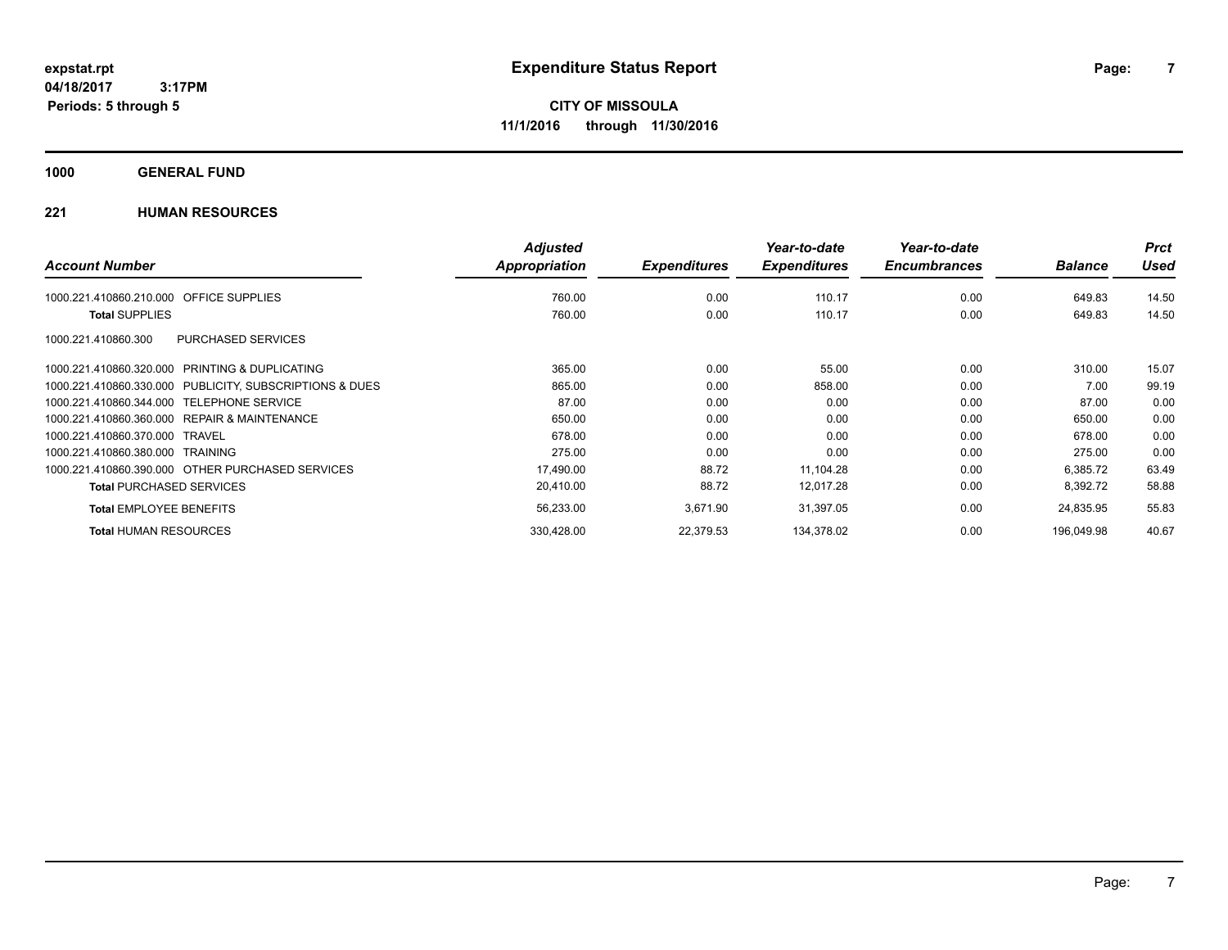**1000 GENERAL FUND**

|                                                         | <b>Adjusted</b> |                     | Year-to-date        | Year-to-date        |                | <b>Prct</b> |
|---------------------------------------------------------|-----------------|---------------------|---------------------|---------------------|----------------|-------------|
| <b>Account Number</b>                                   | Appropriation   | <b>Expenditures</b> | <b>Expenditures</b> | <b>Encumbrances</b> | <b>Balance</b> | <b>Used</b> |
| <b>OFFICE SUPPLIES</b><br>1000.221.410860.210.000       | 760.00          | 0.00                | 110.17              | 0.00                | 649.83         | 14.50       |
| <b>Total SUPPLIES</b>                                   | 760.00          | 0.00                | 110.17              | 0.00                | 649.83         | 14.50       |
| PURCHASED SERVICES<br>1000.221.410860.300               |                 |                     |                     |                     |                |             |
| 1000.221.410860.320.000 PRINTING & DUPLICATING          | 365.00          | 0.00                | 55.00               | 0.00                | 310.00         | 15.07       |
| 1000.221.410860.330.000 PUBLICITY, SUBSCRIPTIONS & DUES | 865.00          | 0.00                | 858.00              | 0.00                | 7.00           | 99.19       |
| 1000.221.410860.344.000 TELEPHONE SERVICE               | 87.00           | 0.00                | 0.00                | 0.00                | 87.00          | 0.00        |
| 1000.221.410860.360.000 REPAIR & MAINTENANCE            | 650.00          | 0.00                | 0.00                | 0.00                | 650.00         | 0.00        |
| 1000.221.410860.370.000 TRAVEL                          | 678.00          | 0.00                | 0.00                | 0.00                | 678.00         | 0.00        |
| 1000.221.410860.380.000 TRAINING                        | 275.00          | 0.00                | 0.00                | 0.00                | 275.00         | 0.00        |
| 1000.221.410860.390.000 OTHER PURCHASED SERVICES        | 17,490.00       | 88.72               | 11,104.28           | 0.00                | 6,385.72       | 63.49       |
| <b>Total PURCHASED SERVICES</b>                         | 20,410.00       | 88.72               | 12,017.28           | 0.00                | 8,392.72       | 58.88       |
| <b>Total EMPLOYEE BENEFITS</b>                          | 56,233.00       | 3,671.90            | 31,397.05           | 0.00                | 24,835.95      | 55.83       |
| <b>Total HUMAN RESOURCES</b>                            | 330,428.00      | 22,379.53           | 134,378.02          | 0.00                | 196.049.98     | 40.67       |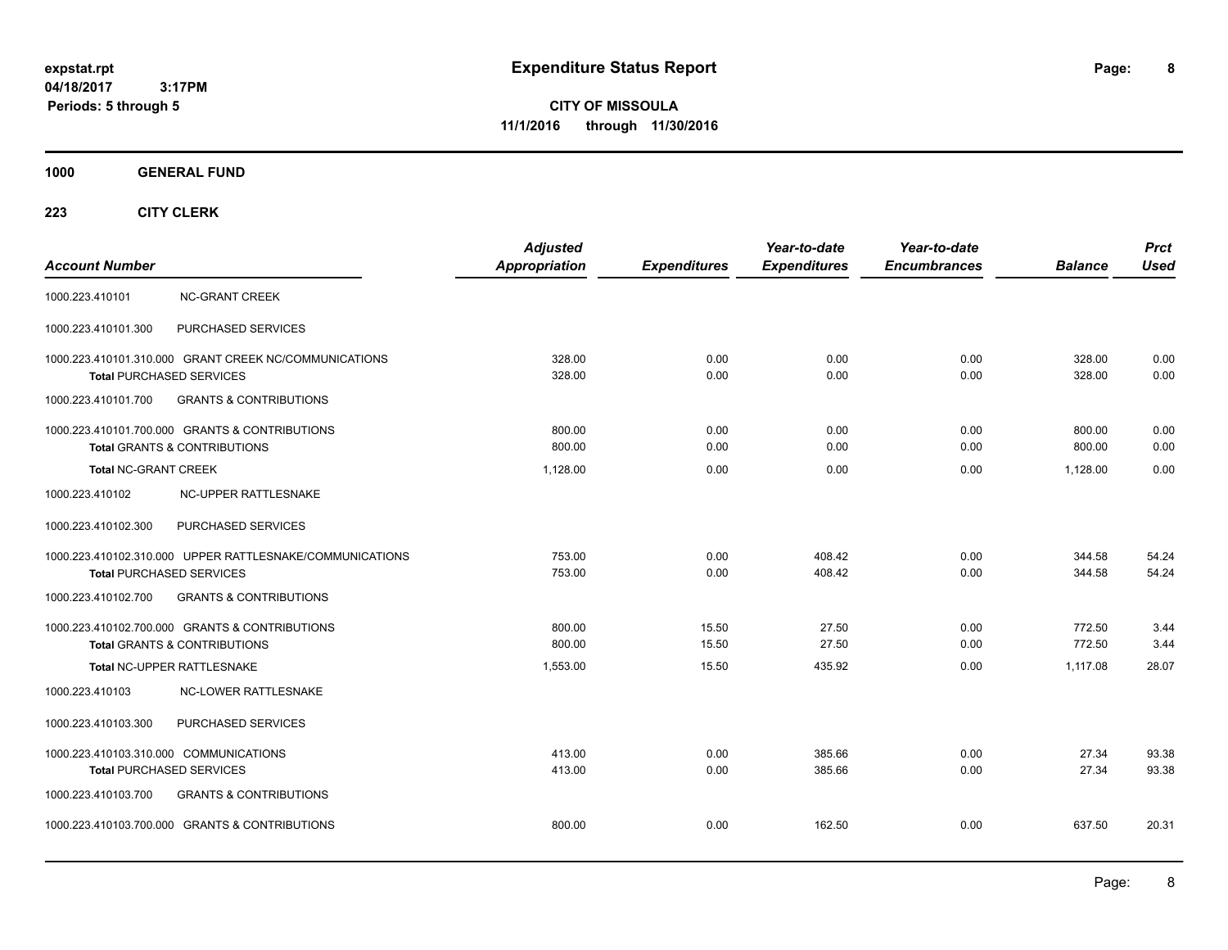**CITY OF MISSOULA 11/1/2016 through 11/30/2016**

**1000 GENERAL FUND**

| <b>Account Number</b>                                              |                                                                                             | <b>Adjusted</b><br>Appropriation | <b>Expenditures</b> | Year-to-date<br><b>Expenditures</b> | Year-to-date<br><b>Encumbrances</b> | <b>Balance</b>   | <b>Prct</b><br><b>Used</b> |
|--------------------------------------------------------------------|---------------------------------------------------------------------------------------------|----------------------------------|---------------------|-------------------------------------|-------------------------------------|------------------|----------------------------|
| 1000.223.410101                                                    | <b>NC-GRANT CREEK</b>                                                                       |                                  |                     |                                     |                                     |                  |                            |
| 1000.223.410101.300                                                | PURCHASED SERVICES                                                                          |                                  |                     |                                     |                                     |                  |                            |
| Total PURCHASED SERVICES                                           | 1000.223.410101.310.000 GRANT CREEK NC/COMMUNICATIONS                                       | 328.00<br>328.00                 | 0.00<br>0.00        | 0.00<br>0.00                        | 0.00<br>0.00                        | 328.00<br>328.00 | 0.00<br>0.00               |
| 1000.223.410101.700                                                | <b>GRANTS &amp; CONTRIBUTIONS</b>                                                           |                                  |                     |                                     |                                     |                  |                            |
|                                                                    | 1000.223.410101.700.000 GRANTS & CONTRIBUTIONS<br><b>Total GRANTS &amp; CONTRIBUTIONS</b>   | 800.00<br>800.00                 | 0.00<br>0.00        | 0.00<br>0.00                        | 0.00<br>0.00                        | 800.00<br>800.00 | 0.00<br>0.00               |
| <b>Total NC-GRANT CREEK</b>                                        |                                                                                             | 1.128.00                         | 0.00                | 0.00                                | 0.00                                | 1.128.00         | 0.00                       |
| 1000.223.410102                                                    | NC-UPPER RATTLESNAKE                                                                        |                                  |                     |                                     |                                     |                  |                            |
| 1000.223.410102.300                                                | PURCHASED SERVICES                                                                          |                                  |                     |                                     |                                     |                  |                            |
|                                                                    | 1000.223.410102.310.000 UPPER RATTLESNAKE/COMMUNICATIONS<br><b>Total PURCHASED SERVICES</b> | 753.00<br>753.00                 | 0.00<br>0.00        | 408.42<br>408.42                    | 0.00<br>0.00                        | 344.58<br>344.58 | 54.24<br>54.24             |
| 1000.223.410102.700                                                | <b>GRANTS &amp; CONTRIBUTIONS</b>                                                           |                                  |                     |                                     |                                     |                  |                            |
|                                                                    | 1000.223.410102.700.000 GRANTS & CONTRIBUTIONS<br><b>Total GRANTS &amp; CONTRIBUTIONS</b>   | 800.00<br>800.00                 | 15.50<br>15.50      | 27.50<br>27.50                      | 0.00<br>0.00                        | 772.50<br>772.50 | 3.44<br>3.44               |
|                                                                    | Total NC-UPPER RATTLESNAKE                                                                  | 1,553.00                         | 15.50               | 435.92                              | 0.00                                | 1.117.08         | 28.07                      |
| 1000.223.410103                                                    | <b>NC-LOWER RATTLESNAKE</b>                                                                 |                                  |                     |                                     |                                     |                  |                            |
| 1000.223.410103.300                                                | PURCHASED SERVICES                                                                          |                                  |                     |                                     |                                     |                  |                            |
| 1000.223.410103.310.000 COMMUNICATIONS<br>Total PURCHASED SERVICES |                                                                                             | 413.00<br>413.00                 | 0.00<br>0.00        | 385.66<br>385.66                    | 0.00<br>0.00                        | 27.34<br>27.34   | 93.38<br>93.38             |
| 1000.223.410103.700                                                | <b>GRANTS &amp; CONTRIBUTIONS</b>                                                           |                                  |                     |                                     |                                     |                  |                            |
|                                                                    | 1000.223.410103.700.000 GRANTS & CONTRIBUTIONS                                              | 800.00                           | 0.00                | 162.50                              | 0.00                                | 637.50           | 20.31                      |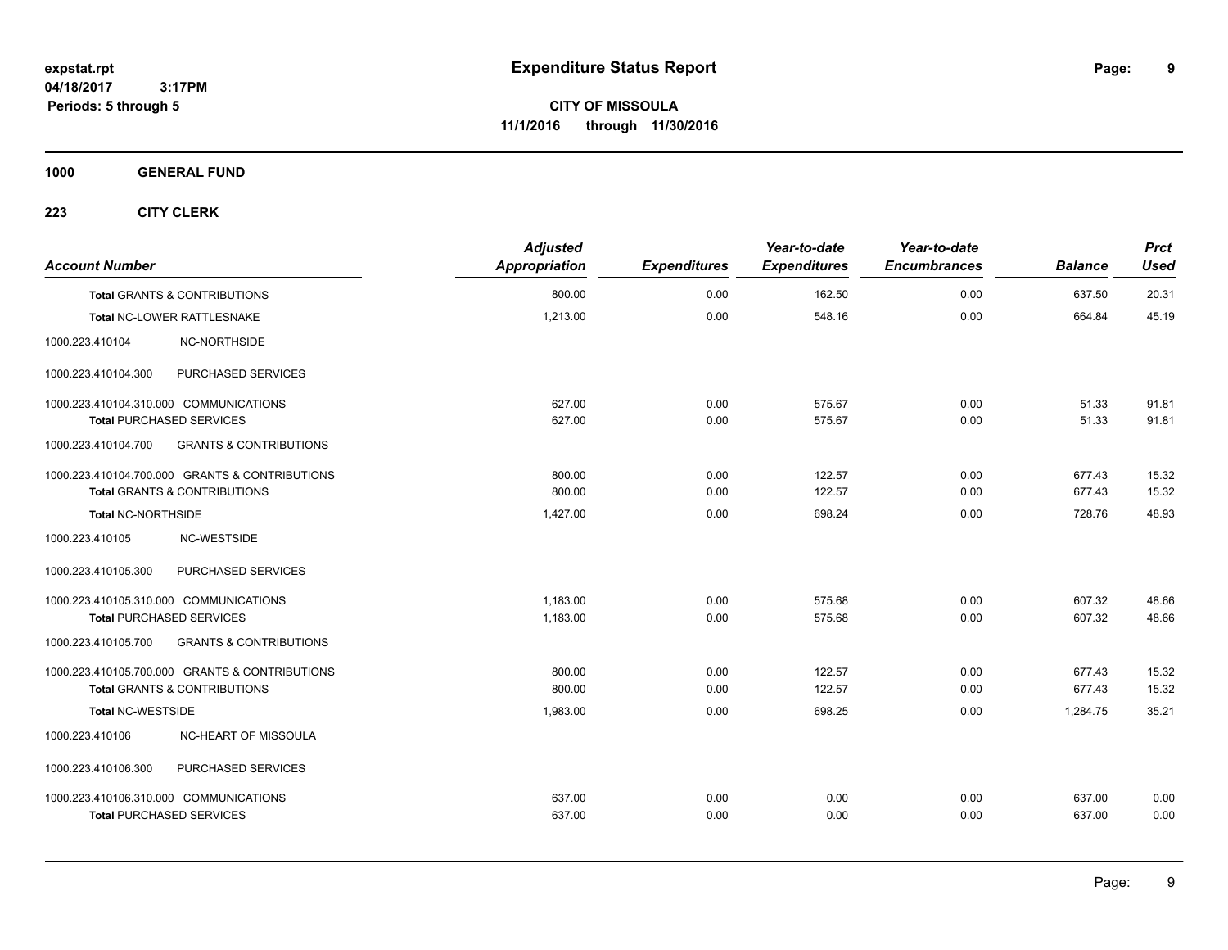**CITY OF MISSOULA 11/1/2016 through 11/30/2016**

**1000 GENERAL FUND**

| <b>Account Number</b>                   |                                                | <b>Adjusted</b><br>Appropriation | <b>Expenditures</b> | Year-to-date<br><b>Expenditures</b> | Year-to-date<br><b>Encumbrances</b> | <b>Balance</b> | <b>Prct</b><br><b>Used</b> |
|-----------------------------------------|------------------------------------------------|----------------------------------|---------------------|-------------------------------------|-------------------------------------|----------------|----------------------------|
| <b>Total GRANTS &amp; CONTRIBUTIONS</b> |                                                | 800.00                           | 0.00                | 162.50                              | 0.00                                | 637.50         | 20.31                      |
| Total NC-LOWER RATTLESNAKE              |                                                | 1,213.00                         | 0.00                | 548.16                              | 0.00                                | 664.84         | 45.19                      |
| 1000.223.410104                         | NC-NORTHSIDE                                   |                                  |                     |                                     |                                     |                |                            |
| 1000.223.410104.300                     | PURCHASED SERVICES                             |                                  |                     |                                     |                                     |                |                            |
| 1000.223.410104.310.000 COMMUNICATIONS  |                                                | 627.00                           | 0.00                | 575.67                              | 0.00                                | 51.33          | 91.81                      |
| <b>Total PURCHASED SERVICES</b>         |                                                | 627.00                           | 0.00                | 575.67                              | 0.00                                | 51.33          | 91.81                      |
| 1000.223.410104.700                     | <b>GRANTS &amp; CONTRIBUTIONS</b>              |                                  |                     |                                     |                                     |                |                            |
|                                         | 1000.223.410104.700.000 GRANTS & CONTRIBUTIONS | 800.00                           | 0.00                | 122.57                              | 0.00                                | 677.43         | 15.32                      |
| <b>Total GRANTS &amp; CONTRIBUTIONS</b> |                                                | 800.00                           | 0.00                | 122.57                              | 0.00                                | 677.43         | 15.32                      |
| <b>Total NC-NORTHSIDE</b>               |                                                | 1,427.00                         | 0.00                | 698.24                              | 0.00                                | 728.76         | 48.93                      |
| 1000.223.410105                         | NC-WESTSIDE                                    |                                  |                     |                                     |                                     |                |                            |
| 1000.223.410105.300                     | PURCHASED SERVICES                             |                                  |                     |                                     |                                     |                |                            |
| 1000.223.410105.310.000 COMMUNICATIONS  |                                                | 1,183.00                         | 0.00                | 575.68                              | 0.00                                | 607.32         | 48.66                      |
| <b>Total PURCHASED SERVICES</b>         |                                                | 1,183.00                         | 0.00                | 575.68                              | 0.00                                | 607.32         | 48.66                      |
| 1000.223.410105.700                     | <b>GRANTS &amp; CONTRIBUTIONS</b>              |                                  |                     |                                     |                                     |                |                            |
|                                         | 1000.223.410105.700.000 GRANTS & CONTRIBUTIONS | 800.00                           | 0.00                | 122.57                              | 0.00                                | 677.43         | 15.32                      |
| <b>Total GRANTS &amp; CONTRIBUTIONS</b> |                                                | 800.00                           | 0.00                | 122.57                              | 0.00                                | 677.43         | 15.32                      |
| <b>Total NC-WESTSIDE</b>                |                                                | 1,983.00                         | 0.00                | 698.25                              | 0.00                                | 1,284.75       | 35.21                      |
| 1000.223.410106                         | NC-HEART OF MISSOULA                           |                                  |                     |                                     |                                     |                |                            |
| 1000.223.410106.300                     | PURCHASED SERVICES                             |                                  |                     |                                     |                                     |                |                            |
| 1000.223.410106.310.000 COMMUNICATIONS  |                                                | 637.00                           | 0.00                | 0.00                                | 0.00                                | 637.00         | 0.00                       |
| <b>Total PURCHASED SERVICES</b>         |                                                | 637.00                           | 0.00                | 0.00                                | 0.00                                | 637.00         | 0.00                       |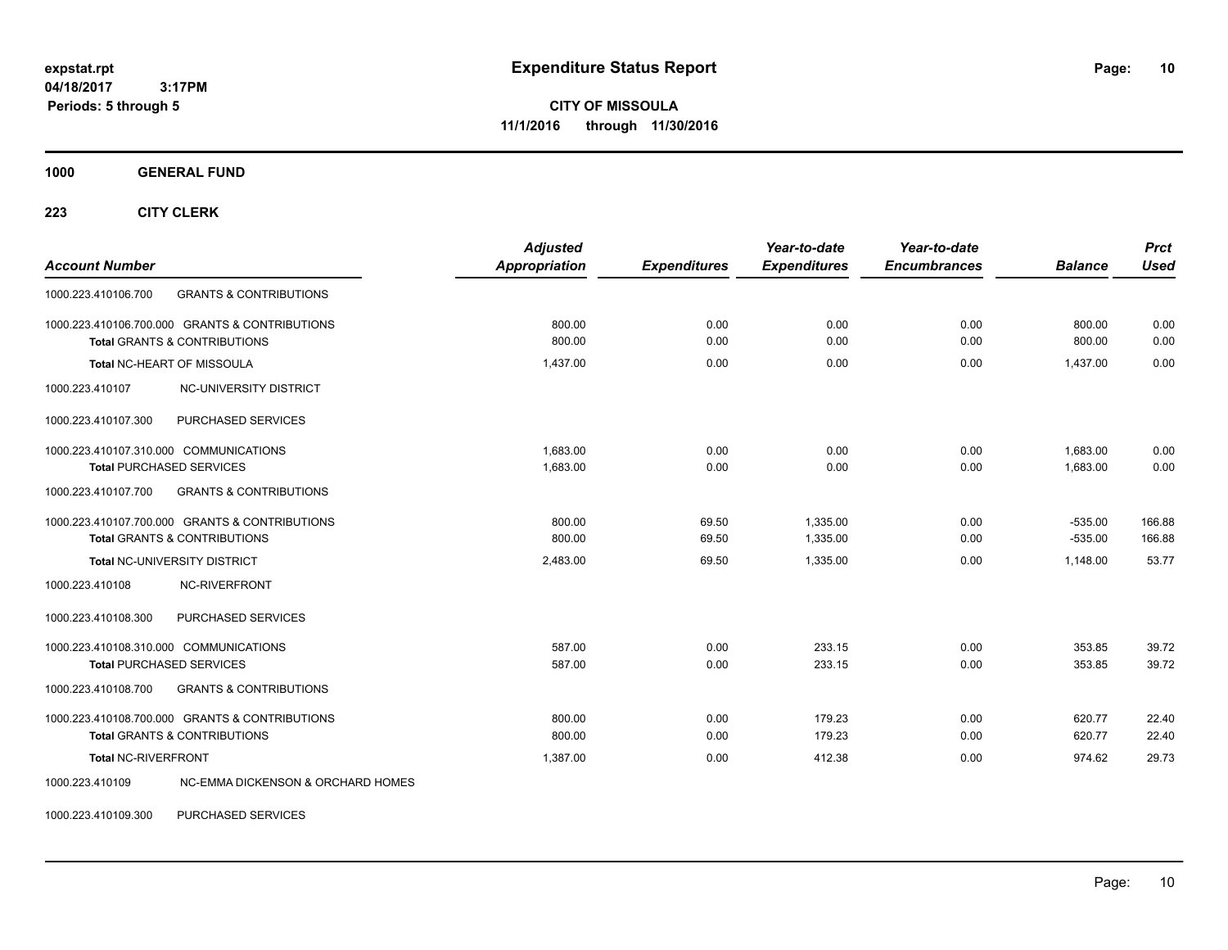**CITY OF MISSOULA 11/1/2016 through 11/30/2016**

**1000 GENERAL FUND**

**223 CITY CLERK**

| <b>Account Number</b>                                                                     | <b>Adjusted</b><br><b>Appropriation</b> | <b>Expenditures</b> | Year-to-date<br><b>Expenditures</b> | Year-to-date<br><b>Encumbrances</b> | <b>Balance</b>         | <b>Prct</b><br><b>Used</b> |
|-------------------------------------------------------------------------------------------|-----------------------------------------|---------------------|-------------------------------------|-------------------------------------|------------------------|----------------------------|
| <b>GRANTS &amp; CONTRIBUTIONS</b><br>1000.223.410106.700                                  |                                         |                     |                                     |                                     |                        |                            |
| 1000.223.410106.700.000 GRANTS & CONTRIBUTIONS<br><b>Total GRANTS &amp; CONTRIBUTIONS</b> | 800.00<br>800.00                        | 0.00<br>0.00        | 0.00<br>0.00                        | 0.00<br>0.00                        | 800.00<br>800.00       | 0.00<br>0.00               |
| Total NC-HEART OF MISSOULA                                                                | 1,437.00                                | 0.00                | 0.00                                | 0.00                                | 1,437.00               | 0.00                       |
| 1000.223.410107<br><b>NC-UNIVERSITY DISTRICT</b>                                          |                                         |                     |                                     |                                     |                        |                            |
| 1000.223.410107.300<br>PURCHASED SERVICES                                                 |                                         |                     |                                     |                                     |                        |                            |
| 1000.223.410107.310.000 COMMUNICATIONS<br><b>Total PURCHASED SERVICES</b>                 | 1.683.00<br>1,683.00                    | 0.00<br>0.00        | 0.00<br>0.00                        | 0.00<br>0.00                        | 1,683.00<br>1,683.00   | 0.00<br>0.00               |
| 1000.223.410107.700<br><b>GRANTS &amp; CONTRIBUTIONS</b>                                  |                                         |                     |                                     |                                     |                        |                            |
| 1000.223.410107.700.000 GRANTS & CONTRIBUTIONS<br><b>Total GRANTS &amp; CONTRIBUTIONS</b> | 800.00<br>800.00                        | 69.50<br>69.50      | 1.335.00<br>1,335.00                | 0.00<br>0.00                        | $-535.00$<br>$-535.00$ | 166.88<br>166.88           |
| Total NC-UNIVERSITY DISTRICT                                                              | 2,483.00                                | 69.50               | 1,335.00                            | 0.00                                | 1,148.00               | 53.77                      |
| 1000.223.410108<br><b>NC-RIVERFRONT</b>                                                   |                                         |                     |                                     |                                     |                        |                            |
| 1000.223.410108.300<br>PURCHASED SERVICES                                                 |                                         |                     |                                     |                                     |                        |                            |
| 1000.223.410108.310.000 COMMUNICATIONS<br><b>Total PURCHASED SERVICES</b>                 | 587.00<br>587.00                        | 0.00<br>0.00        | 233.15<br>233.15                    | 0.00<br>0.00                        | 353.85<br>353.85       | 39.72<br>39.72             |
| 1000.223.410108.700<br><b>GRANTS &amp; CONTRIBUTIONS</b>                                  |                                         |                     |                                     |                                     |                        |                            |
| 1000.223.410108.700.000 GRANTS & CONTRIBUTIONS<br><b>Total GRANTS &amp; CONTRIBUTIONS</b> | 800.00<br>800.00                        | 0.00<br>0.00        | 179.23<br>179.23                    | 0.00<br>0.00                        | 620.77<br>620.77       | 22.40<br>22.40             |
| <b>Total NC-RIVERFRONT</b>                                                                | 1,387.00                                | 0.00                | 412.38                              | 0.00                                | 974.62                 | 29.73                      |
| 1000.223.410109<br>NC-EMMA DICKENSON & ORCHARD HOMES                                      |                                         |                     |                                     |                                     |                        |                            |

1000.223.410109.300 PURCHASED SERVICES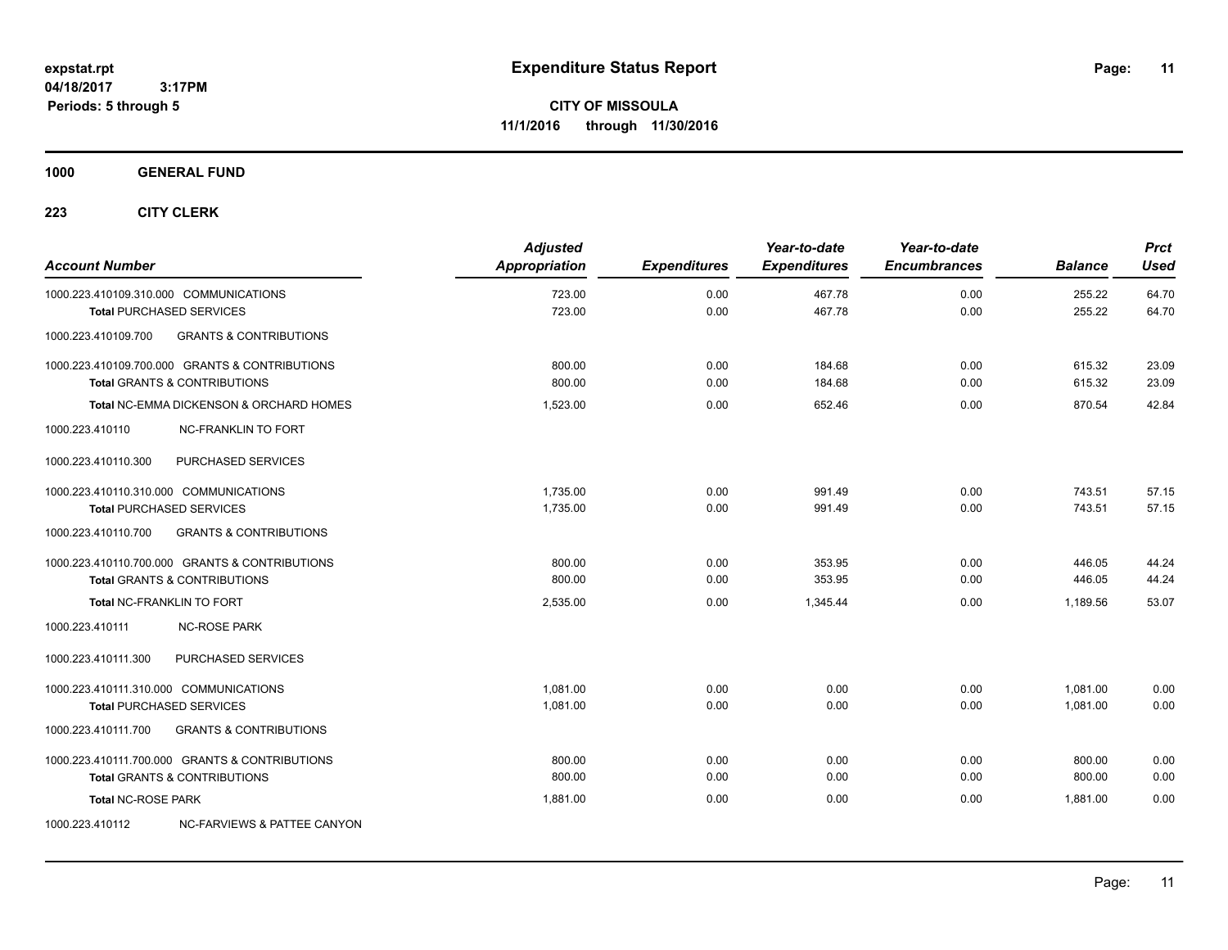**Periods: 5 through 5**

**CITY OF MISSOULA 11/1/2016 through 11/30/2016**

**1000 GENERAL FUND**

 **3:17PM**

| <b>Account Number</b>                  |                                                                                           | <b>Adjusted</b><br>Appropriation | <b>Expenditures</b> | Year-to-date<br><b>Expenditures</b> | Year-to-date<br><b>Encumbrances</b> | <b>Balance</b>   | <b>Prct</b><br><b>Used</b> |
|----------------------------------------|-------------------------------------------------------------------------------------------|----------------------------------|---------------------|-------------------------------------|-------------------------------------|------------------|----------------------------|
| 1000.223.410109.310.000 COMMUNICATIONS |                                                                                           | 723.00<br>723.00                 | 0.00<br>0.00        | 467.78<br>467.78                    | 0.00<br>0.00                        | 255.22<br>255.22 | 64.70<br>64.70             |
| 1000.223.410109.700                    | <b>Total PURCHASED SERVICES</b><br><b>GRANTS &amp; CONTRIBUTIONS</b>                      |                                  |                     |                                     |                                     |                  |                            |
|                                        |                                                                                           |                                  |                     |                                     |                                     |                  |                            |
|                                        | 1000.223.410109.700.000 GRANTS & CONTRIBUTIONS<br><b>Total GRANTS &amp; CONTRIBUTIONS</b> | 800.00<br>800.00                 | 0.00<br>0.00        | 184.68<br>184.68                    | 0.00<br>0.00                        | 615.32<br>615.32 | 23.09<br>23.09             |
|                                        | <b>Total NC-EMMA DICKENSON &amp; ORCHARD HOMES</b>                                        | 1,523.00                         | 0.00                | 652.46                              | 0.00                                | 870.54           | 42.84                      |
| 1000.223.410110                        | <b>NC-FRANKLIN TO FORT</b>                                                                |                                  |                     |                                     |                                     |                  |                            |
| 1000.223.410110.300                    | PURCHASED SERVICES                                                                        |                                  |                     |                                     |                                     |                  |                            |
| 1000.223.410110.310.000 COMMUNICATIONS |                                                                                           | 1.735.00                         | 0.00                | 991.49                              | 0.00                                | 743.51           | 57.15                      |
|                                        | <b>Total PURCHASED SERVICES</b>                                                           | 1,735.00                         | 0.00                | 991.49                              | 0.00                                | 743.51           | 57.15                      |
| 1000.223.410110.700                    | <b>GRANTS &amp; CONTRIBUTIONS</b>                                                         |                                  |                     |                                     |                                     |                  |                            |
|                                        | 1000.223.410110.700.000 GRANTS & CONTRIBUTIONS                                            | 800.00                           | 0.00                | 353.95                              | 0.00                                | 446.05           | 44.24                      |
|                                        | <b>Total GRANTS &amp; CONTRIBUTIONS</b>                                                   | 800.00                           | 0.00                | 353.95                              | 0.00                                | 446.05           | 44.24                      |
| <b>Total NC-FRANKLIN TO FORT</b>       |                                                                                           | 2,535.00                         | 0.00                | 1,345.44                            | 0.00                                | 1,189.56         | 53.07                      |
| 1000.223.410111                        | <b>NC-ROSE PARK</b>                                                                       |                                  |                     |                                     |                                     |                  |                            |
| 1000.223.410111.300                    | PURCHASED SERVICES                                                                        |                                  |                     |                                     |                                     |                  |                            |
| 1000.223.410111.310.000 COMMUNICATIONS |                                                                                           | 1.081.00                         | 0.00                | 0.00                                | 0.00                                | 1,081.00         | 0.00                       |
|                                        | <b>Total PURCHASED SERVICES</b>                                                           | 1,081.00                         | 0.00                | 0.00                                | 0.00                                | 1,081.00         | 0.00                       |
| 1000.223.410111.700                    | <b>GRANTS &amp; CONTRIBUTIONS</b>                                                         |                                  |                     |                                     |                                     |                  |                            |
|                                        | 1000.223.410111.700.000 GRANTS & CONTRIBUTIONS                                            | 800.00                           | 0.00                | 0.00                                | 0.00                                | 800.00           | 0.00                       |
|                                        | <b>Total GRANTS &amp; CONTRIBUTIONS</b>                                                   | 800.00                           | 0.00                | 0.00                                | 0.00                                | 800.00           | 0.00                       |
| <b>Total NC-ROSE PARK</b>              |                                                                                           | 1.881.00                         | 0.00                | 0.00                                | 0.00                                | 1.881.00         | 0.00                       |
| 1000.223.410112                        | NC-FARVIEWS & PATTEE CANYON                                                               |                                  |                     |                                     |                                     |                  |                            |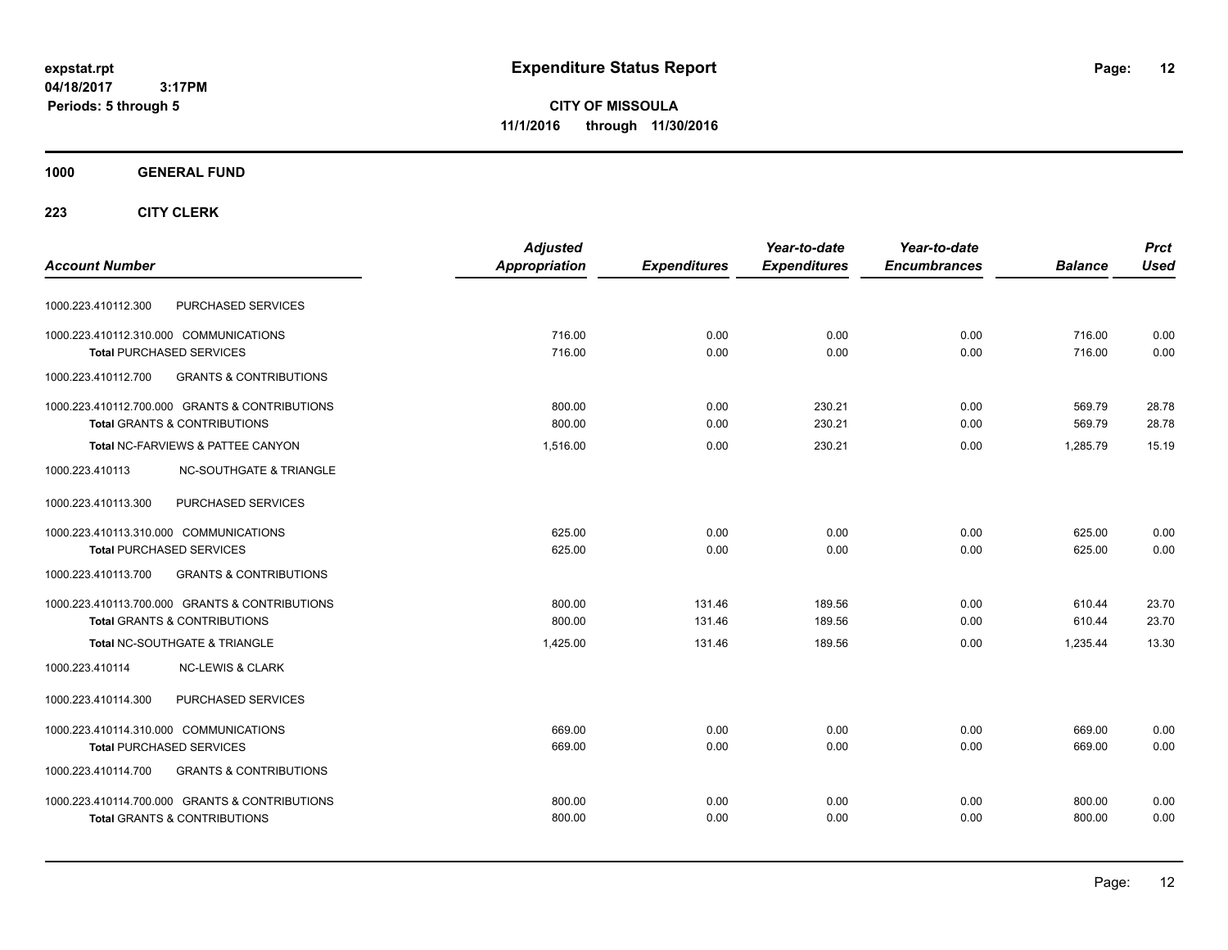**CITY OF MISSOULA 11/1/2016 through 11/30/2016**

### **1000 GENERAL FUND**

|                                                          | <b>Adjusted</b> |                     | Year-to-date        | Year-to-date        |                | <b>Prct</b> |
|----------------------------------------------------------|-----------------|---------------------|---------------------|---------------------|----------------|-------------|
| <b>Account Number</b>                                    | Appropriation   | <b>Expenditures</b> | <b>Expenditures</b> | <b>Encumbrances</b> | <b>Balance</b> | <b>Used</b> |
| PURCHASED SERVICES<br>1000.223.410112.300                |                 |                     |                     |                     |                |             |
| 1000.223.410112.310.000 COMMUNICATIONS                   | 716.00          | 0.00                | 0.00                | 0.00                | 716.00         | 0.00        |
| <b>Total PURCHASED SERVICES</b>                          | 716.00          | 0.00                | 0.00                | 0.00                | 716.00         | 0.00        |
| 1000.223.410112.700<br><b>GRANTS &amp; CONTRIBUTIONS</b> |                 |                     |                     |                     |                |             |
| 1000.223.410112.700.000 GRANTS & CONTRIBUTIONS           | 800.00          | 0.00                | 230.21              | 0.00                | 569.79         | 28.78       |
| <b>Total GRANTS &amp; CONTRIBUTIONS</b>                  | 800.00          | 0.00                | 230.21              | 0.00                | 569.79         | 28.78       |
| Total NC-FARVIEWS & PATTEE CANYON                        | 1,516.00        | 0.00                | 230.21              | 0.00                | 1.285.79       | 15.19       |
| <b>NC-SOUTHGATE &amp; TRIANGLE</b><br>1000.223.410113    |                 |                     |                     |                     |                |             |
| 1000.223.410113.300<br>PURCHASED SERVICES                |                 |                     |                     |                     |                |             |
| 1000.223.410113.310.000 COMMUNICATIONS                   | 625.00          | 0.00                | 0.00                | 0.00                | 625.00         | 0.00        |
| <b>Total PURCHASED SERVICES</b>                          | 625.00          | 0.00                | 0.00                | 0.00                | 625.00         | 0.00        |
| 1000.223.410113.700<br><b>GRANTS &amp; CONTRIBUTIONS</b> |                 |                     |                     |                     |                |             |
| 1000.223.410113.700.000 GRANTS & CONTRIBUTIONS           | 800.00          | 131.46              | 189.56              | 0.00                | 610.44         | 23.70       |
| <b>Total GRANTS &amp; CONTRIBUTIONS</b>                  | 800.00          | 131.46              | 189.56              | 0.00                | 610.44         | 23.70       |
| Total NC-SOUTHGATE & TRIANGLE                            | 1.425.00        | 131.46              | 189.56              | 0.00                | 1.235.44       | 13.30       |
| 1000.223.410114<br><b>NC-LEWIS &amp; CLARK</b>           |                 |                     |                     |                     |                |             |
| PURCHASED SERVICES<br>1000.223.410114.300                |                 |                     |                     |                     |                |             |
| 1000.223.410114.310.000 COMMUNICATIONS                   | 669.00          | 0.00                | 0.00                | 0.00                | 669.00         | 0.00        |
| <b>Total PURCHASED SERVICES</b>                          | 669.00          | 0.00                | 0.00                | 0.00                | 669.00         | 0.00        |
| <b>GRANTS &amp; CONTRIBUTIONS</b><br>1000.223.410114.700 |                 |                     |                     |                     |                |             |
| 1000.223.410114.700.000 GRANTS & CONTRIBUTIONS           | 800.00          | 0.00                | 0.00                | 0.00                | 800.00         | 0.00        |
| <b>Total GRANTS &amp; CONTRIBUTIONS</b>                  | 800.00          | 0.00                | 0.00                | 0.00                | 800.00         | 0.00        |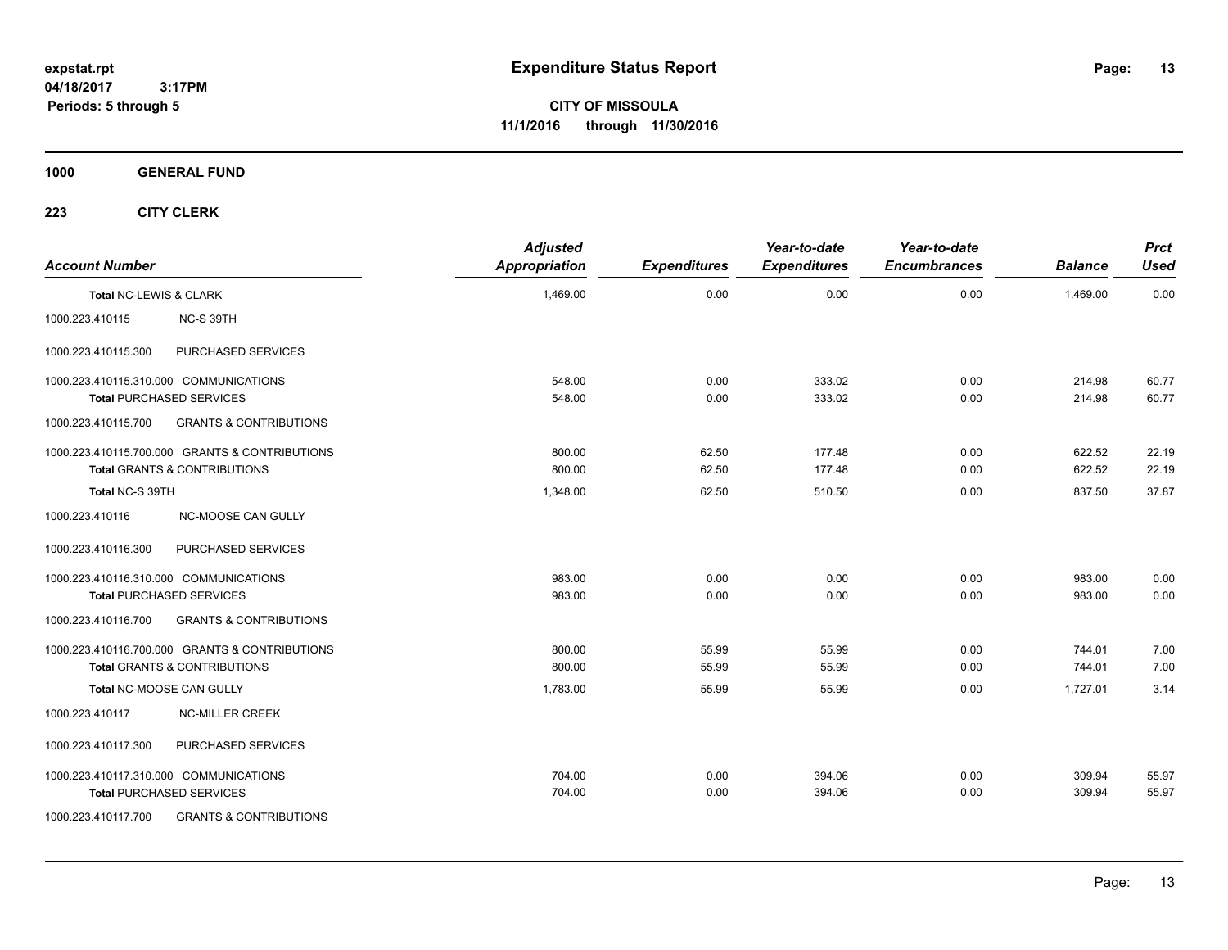**CITY OF MISSOULA 11/1/2016 through 11/30/2016**

**1000 GENERAL FUND**

| <b>Account Number</b>  |                                                                                           | <b>Adjusted</b><br><b>Appropriation</b> | <b>Expenditures</b> | Year-to-date<br><b>Expenditures</b> | Year-to-date<br><b>Encumbrances</b> | <b>Balance</b>   | <b>Prct</b><br><b>Used</b> |
|------------------------|-------------------------------------------------------------------------------------------|-----------------------------------------|---------------------|-------------------------------------|-------------------------------------|------------------|----------------------------|
| Total NC-LEWIS & CLARK |                                                                                           | 1,469.00                                | 0.00                | 0.00                                | 0.00                                | 1,469.00         | 0.00                       |
| 1000.223.410115        | NC-S 39TH                                                                                 |                                         |                     |                                     |                                     |                  |                            |
| 1000.223.410115.300    | PURCHASED SERVICES                                                                        |                                         |                     |                                     |                                     |                  |                            |
|                        | 1000.223.410115.310.000 COMMUNICATIONS<br><b>Total PURCHASED SERVICES</b>                 | 548.00<br>548.00                        | 0.00<br>0.00        | 333.02<br>333.02                    | 0.00<br>0.00                        | 214.98<br>214.98 | 60.77<br>60.77             |
| 1000.223.410115.700    | <b>GRANTS &amp; CONTRIBUTIONS</b>                                                         |                                         |                     |                                     |                                     |                  |                            |
|                        | 1000.223.410115.700.000 GRANTS & CONTRIBUTIONS<br><b>Total GRANTS &amp; CONTRIBUTIONS</b> | 800.00<br>800.00                        | 62.50<br>62.50      | 177.48<br>177.48                    | 0.00<br>0.00                        | 622.52<br>622.52 | 22.19<br>22.19             |
| Total NC-S 39TH        |                                                                                           | 1,348.00                                | 62.50               | 510.50                              | 0.00                                | 837.50           | 37.87                      |
| 1000.223.410116        | NC-MOOSE CAN GULLY                                                                        |                                         |                     |                                     |                                     |                  |                            |
| 1000.223.410116.300    | PURCHASED SERVICES                                                                        |                                         |                     |                                     |                                     |                  |                            |
|                        | 1000.223.410116.310.000 COMMUNICATIONS<br><b>Total PURCHASED SERVICES</b>                 | 983.00<br>983.00                        | 0.00<br>0.00        | 0.00<br>0.00                        | 0.00<br>0.00                        | 983.00<br>983.00 | 0.00<br>0.00               |
| 1000.223.410116.700    | <b>GRANTS &amp; CONTRIBUTIONS</b>                                                         |                                         |                     |                                     |                                     |                  |                            |
|                        | 1000.223.410116.700.000 GRANTS & CONTRIBUTIONS<br><b>Total GRANTS &amp; CONTRIBUTIONS</b> | 800.00<br>800.00                        | 55.99<br>55.99      | 55.99<br>55.99                      | 0.00<br>0.00                        | 744.01<br>744.01 | 7.00<br>7.00               |
|                        | Total NC-MOOSE CAN GULLY                                                                  | 1,783.00                                | 55.99               | 55.99                               | 0.00                                | 1,727.01         | 3.14                       |
| 1000.223.410117        | <b>NC-MILLER CREEK</b>                                                                    |                                         |                     |                                     |                                     |                  |                            |
| 1000.223.410117.300    | PURCHASED SERVICES                                                                        |                                         |                     |                                     |                                     |                  |                            |
|                        | 1000.223.410117.310.000 COMMUNICATIONS<br><b>Total PURCHASED SERVICES</b>                 | 704.00<br>704.00                        | 0.00<br>0.00        | 394.06<br>394.06                    | 0.00<br>0.00                        | 309.94<br>309.94 | 55.97<br>55.97             |
| 1000.223.410117.700    | <b>GRANTS &amp; CONTRIBUTIONS</b>                                                         |                                         |                     |                                     |                                     |                  |                            |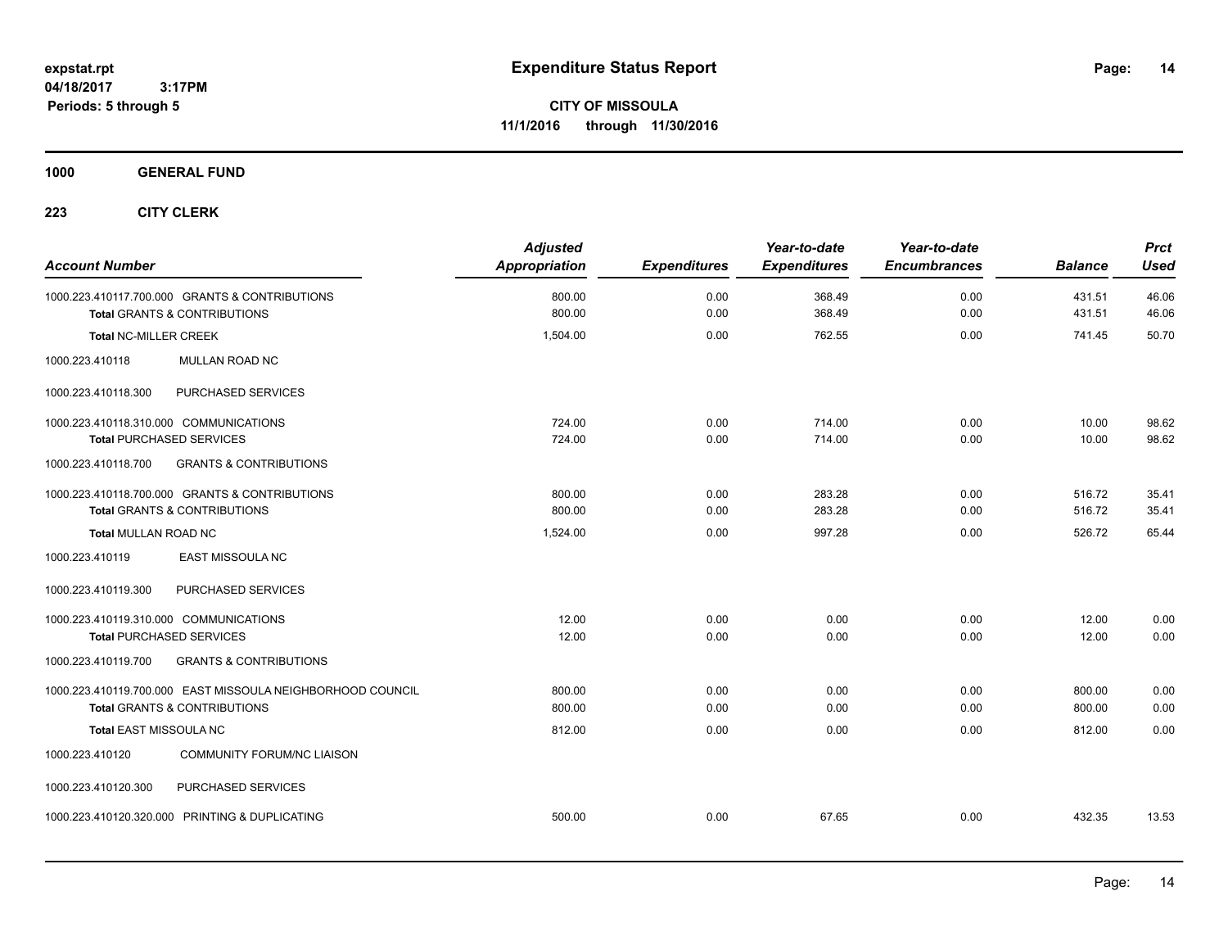**CITY OF MISSOULA 11/1/2016 through 11/30/2016**

**1000 GENERAL FUND**

| <b>Account Number</b>                                                                     | <b>Adjusted</b><br><b>Appropriation</b> | <b>Expenditures</b> | Year-to-date<br><b>Expenditures</b> | Year-to-date<br><b>Encumbrances</b> | <b>Balance</b>   | <b>Prct</b><br><b>Used</b> |
|-------------------------------------------------------------------------------------------|-----------------------------------------|---------------------|-------------------------------------|-------------------------------------|------------------|----------------------------|
| 1000.223.410117.700.000 GRANTS & CONTRIBUTIONS<br><b>Total GRANTS &amp; CONTRIBUTIONS</b> | 800.00<br>800.00                        | 0.00<br>0.00        | 368.49<br>368.49                    | 0.00<br>0.00                        | 431.51<br>431.51 | 46.06<br>46.06             |
|                                                                                           |                                         |                     |                                     |                                     |                  |                            |
| <b>Total NC-MILLER CREEK</b>                                                              | 1,504.00                                | 0.00                | 762.55                              | 0.00                                | 741.45           | 50.70                      |
| MULLAN ROAD NC<br>1000.223.410118                                                         |                                         |                     |                                     |                                     |                  |                            |
| PURCHASED SERVICES<br>1000.223.410118.300                                                 |                                         |                     |                                     |                                     |                  |                            |
| 1000.223.410118.310.000 COMMUNICATIONS                                                    | 724.00                                  | 0.00                | 714.00                              | 0.00                                | 10.00            | 98.62                      |
| <b>Total PURCHASED SERVICES</b>                                                           | 724.00                                  | 0.00                | 714.00                              | 0.00                                | 10.00            | 98.62                      |
| 1000.223.410118.700<br><b>GRANTS &amp; CONTRIBUTIONS</b>                                  |                                         |                     |                                     |                                     |                  |                            |
| 1000.223.410118.700.000 GRANTS & CONTRIBUTIONS                                            | 800.00                                  | 0.00                | 283.28                              | 0.00                                | 516.72           | 35.41                      |
| Total GRANTS & CONTRIBUTIONS                                                              | 800.00                                  | 0.00                | 283.28                              | 0.00                                | 516.72           | 35.41                      |
| <b>Total MULLAN ROAD NC</b>                                                               | 1,524.00                                | 0.00                | 997.28                              | 0.00                                | 526.72           | 65.44                      |
| 1000.223.410119<br>EAST MISSOULA NC                                                       |                                         |                     |                                     |                                     |                  |                            |
| 1000.223.410119.300<br>PURCHASED SERVICES                                                 |                                         |                     |                                     |                                     |                  |                            |
| 1000.223.410119.310.000 COMMUNICATIONS                                                    | 12.00                                   | 0.00                | 0.00                                | 0.00                                | 12.00            | 0.00                       |
| <b>Total PURCHASED SERVICES</b>                                                           | 12.00                                   | 0.00                | 0.00                                | 0.00                                | 12.00            | 0.00                       |
| <b>GRANTS &amp; CONTRIBUTIONS</b><br>1000.223.410119.700                                  |                                         |                     |                                     |                                     |                  |                            |
| 1000.223.410119.700.000 EAST MISSOULA NEIGHBORHOOD COUNCIL                                | 800.00                                  | 0.00                | 0.00                                | 0.00                                | 800.00           | 0.00                       |
| <b>Total GRANTS &amp; CONTRIBUTIONS</b>                                                   | 800.00                                  | 0.00                | 0.00                                | 0.00                                | 800.00           | 0.00                       |
| <b>Total EAST MISSOULA NC</b>                                                             | 812.00                                  | 0.00                | 0.00                                | 0.00                                | 812.00           | 0.00                       |
| 1000.223.410120<br><b>COMMUNITY FORUM/NC LIAISON</b>                                      |                                         |                     |                                     |                                     |                  |                            |
| PURCHASED SERVICES<br>1000.223.410120.300                                                 |                                         |                     |                                     |                                     |                  |                            |
| 1000.223.410120.320.000 PRINTING & DUPLICATING                                            | 500.00                                  | 0.00                | 67.65                               | 0.00                                | 432.35           | 13.53                      |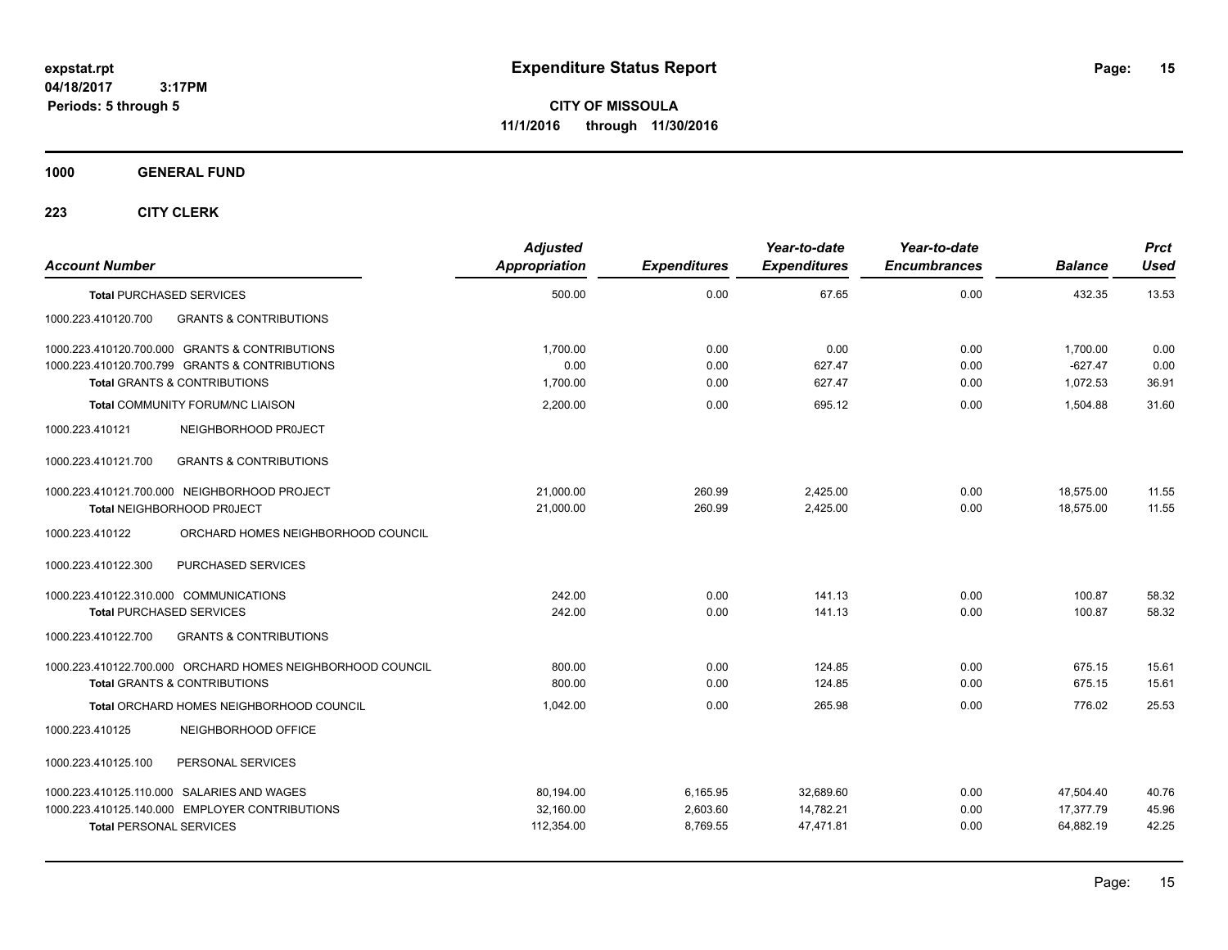**CITY OF MISSOULA 11/1/2016 through 11/30/2016**

**1000 GENERAL FUND**

| <b>Account Number</b>                                      | <b>Adjusted</b><br>Appropriation | <b>Expenditures</b> | Year-to-date<br><b>Expenditures</b> | Year-to-date<br><b>Encumbrances</b> | <b>Balance</b> | <b>Prct</b><br>Used |
|------------------------------------------------------------|----------------------------------|---------------------|-------------------------------------|-------------------------------------|----------------|---------------------|
| <b>Total PURCHASED SERVICES</b>                            | 500.00                           | 0.00                | 67.65                               | 0.00                                | 432.35         | 13.53               |
| 1000.223.410120.700<br><b>GRANTS &amp; CONTRIBUTIONS</b>   |                                  |                     |                                     |                                     |                |                     |
| 1000.223.410120.700.000 GRANTS & CONTRIBUTIONS             | 1,700.00                         | 0.00                | 0.00                                | 0.00                                | 1,700.00       | 0.00                |
| 1000.223.410120.700.799 GRANTS & CONTRIBUTIONS             | 0.00                             | 0.00                | 627.47                              | 0.00                                | $-627.47$      | 0.00                |
| <b>Total GRANTS &amp; CONTRIBUTIONS</b>                    | 1,700.00                         | 0.00                | 627.47                              | 0.00                                | 1,072.53       | 36.91               |
| <b>Total COMMUNITY FORUM/NC LIAISON</b>                    | 2,200.00                         | 0.00                | 695.12                              | 0.00                                | 1,504.88       | 31.60               |
| 1000.223.410121<br>NEIGHBORHOOD PROJECT                    |                                  |                     |                                     |                                     |                |                     |
| <b>GRANTS &amp; CONTRIBUTIONS</b><br>1000.223.410121.700   |                                  |                     |                                     |                                     |                |                     |
| 1000.223.410121.700.000 NEIGHBORHOOD PROJECT               | 21,000.00                        | 260.99              | 2,425.00                            | 0.00                                | 18,575.00      | 11.55               |
| Total NEIGHBORHOOD PROJECT                                 | 21,000.00                        | 260.99              | 2,425.00                            | 0.00                                | 18,575.00      | 11.55               |
| ORCHARD HOMES NEIGHBORHOOD COUNCIL<br>1000.223.410122      |                                  |                     |                                     |                                     |                |                     |
| 1000.223.410122.300<br>PURCHASED SERVICES                  |                                  |                     |                                     |                                     |                |                     |
| 1000.223.410122.310.000 COMMUNICATIONS                     | 242.00                           | 0.00                | 141.13                              | 0.00                                | 100.87         | 58.32               |
| <b>Total PURCHASED SERVICES</b>                            | 242.00                           | 0.00                | 141.13                              | 0.00                                | 100.87         | 58.32               |
| <b>GRANTS &amp; CONTRIBUTIONS</b><br>1000.223.410122.700   |                                  |                     |                                     |                                     |                |                     |
| 1000.223.410122.700.000 ORCHARD HOMES NEIGHBORHOOD COUNCIL | 800.00                           | 0.00                | 124.85                              | 0.00                                | 675.15         | 15.61               |
| <b>Total GRANTS &amp; CONTRIBUTIONS</b>                    | 800.00                           | 0.00                | 124.85                              | 0.00                                | 675.15         | 15.61               |
| <b>Total ORCHARD HOMES NEIGHBORHOOD COUNCIL</b>            | 1.042.00                         | 0.00                | 265.98                              | 0.00                                | 776.02         | 25.53               |
| 1000.223.410125<br>NEIGHBORHOOD OFFICE                     |                                  |                     |                                     |                                     |                |                     |
| PERSONAL SERVICES<br>1000.223.410125.100                   |                                  |                     |                                     |                                     |                |                     |
| 1000.223.410125.110.000 SALARIES AND WAGES                 | 80,194.00                        | 6,165.95            | 32,689.60                           | 0.00                                | 47,504.40      | 40.76               |
| 1000.223.410125.140.000 EMPLOYER CONTRIBUTIONS             | 32,160.00                        | 2,603.60            | 14,782.21                           | 0.00                                | 17,377.79      | 45.96               |
| <b>Total PERSONAL SERVICES</b>                             | 112,354.00                       | 8,769.55            | 47,471.81                           | 0.00                                | 64,882.19      | 42.25               |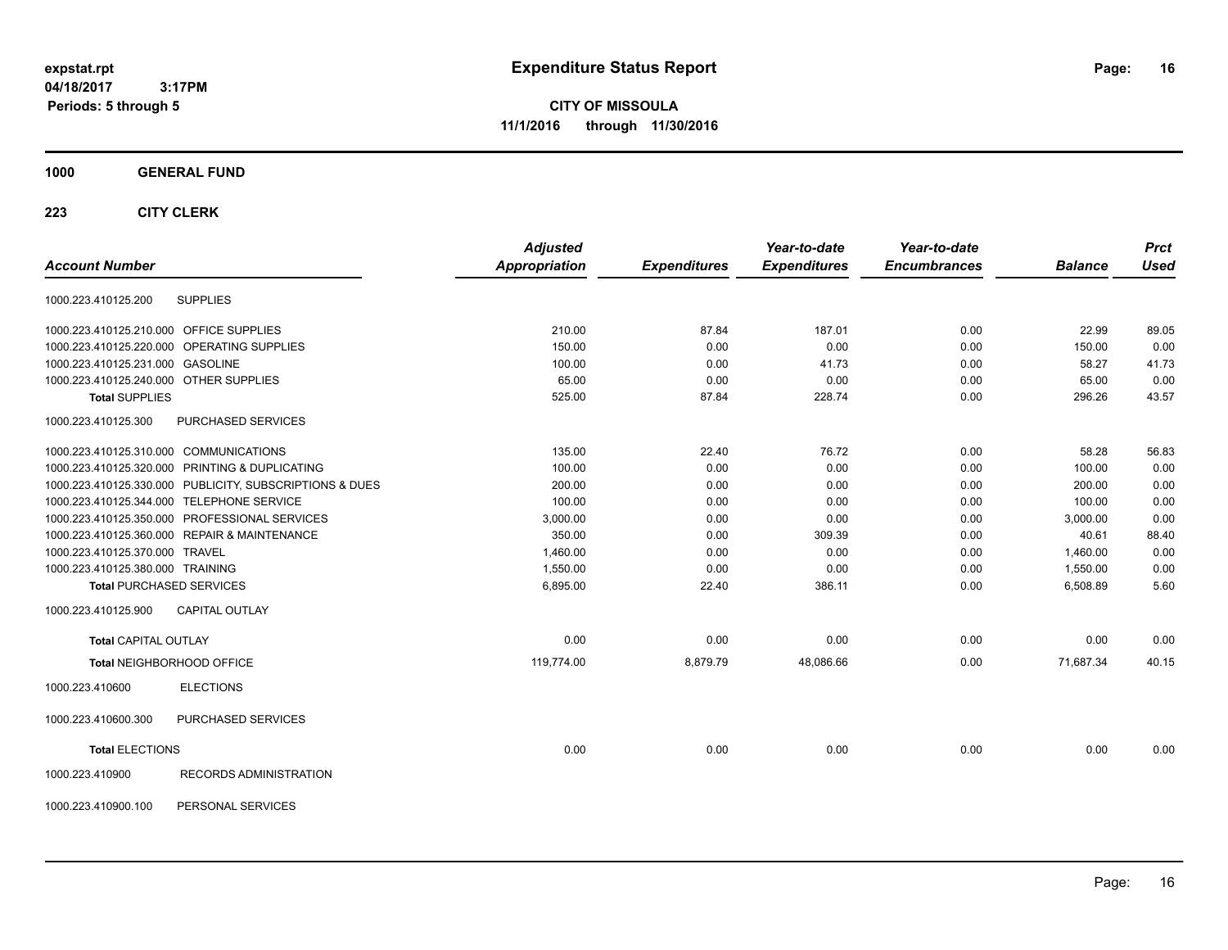**CITY OF MISSOULA 11/1/2016 through 11/30/2016**

### **1000 GENERAL FUND**

|                                                         | <b>Adjusted</b>      |                     | Year-to-date        | Year-to-date        |                | <b>Prct</b> |
|---------------------------------------------------------|----------------------|---------------------|---------------------|---------------------|----------------|-------------|
| <b>Account Number</b>                                   | <b>Appropriation</b> | <b>Expenditures</b> | <b>Expenditures</b> | <b>Encumbrances</b> | <b>Balance</b> | <b>Used</b> |
| <b>SUPPLIES</b><br>1000.223.410125.200                  |                      |                     |                     |                     |                |             |
| 1000.223.410125.210.000 OFFICE SUPPLIES                 | 210.00               | 87.84               | 187.01              | 0.00                | 22.99          | 89.05       |
| 1000.223.410125.220.000 OPERATING SUPPLIES              | 150.00               | 0.00                | 0.00                | 0.00                | 150.00         | 0.00        |
| 1000.223.410125.231.000 GASOLINE                        | 100.00               | 0.00                | 41.73               | 0.00                | 58.27          | 41.73       |
| 1000.223.410125.240.000 OTHER SUPPLIES                  | 65.00                | 0.00                | 0.00                | 0.00                | 65.00          | 0.00        |
| <b>Total SUPPLIES</b>                                   | 525.00               | 87.84               | 228.74              | 0.00                | 296.26         | 43.57       |
| PURCHASED SERVICES<br>1000.223.410125.300               |                      |                     |                     |                     |                |             |
| 1000.223.410125.310.000 COMMUNICATIONS                  | 135.00               | 22.40               | 76.72               | 0.00                | 58.28          | 56.83       |
| 1000.223.410125.320.000 PRINTING & DUPLICATING          | 100.00               | 0.00                | 0.00                | 0.00                | 100.00         | 0.00        |
| 1000.223.410125.330.000 PUBLICITY, SUBSCRIPTIONS & DUES | 200.00               | 0.00                | 0.00                | 0.00                | 200.00         | 0.00        |
| 1000.223.410125.344.000 TELEPHONE SERVICE               | 100.00               | 0.00                | 0.00                | 0.00                | 100.00         | 0.00        |
| 1000.223.410125.350.000 PROFESSIONAL SERVICES           | 3,000.00             | 0.00                | 0.00                | 0.00                | 3,000.00       | 0.00        |
| 1000.223.410125.360.000 REPAIR & MAINTENANCE            | 350.00               | 0.00                | 309.39              | 0.00                | 40.61          | 88.40       |
| 1000.223.410125.370.000 TRAVEL                          | 1,460.00             | 0.00                | 0.00                | 0.00                | 1,460.00       | 0.00        |
| 1000.223.410125.380.000 TRAINING                        | 1,550.00             | 0.00                | 0.00                | 0.00                | 1,550.00       | 0.00        |
| <b>Total PURCHASED SERVICES</b>                         | 6,895.00             | 22.40               | 386.11              | 0.00                | 6,508.89       | 5.60        |
| <b>CAPITAL OUTLAY</b><br>1000.223.410125.900            |                      |                     |                     |                     |                |             |
| Total CAPITAL OUTLAY                                    | 0.00                 | 0.00                | 0.00                | 0.00                | 0.00           | 0.00        |
| Total NEIGHBORHOOD OFFICE                               | 119,774.00           | 8,879.79            | 48,086.66           | 0.00                | 71,687.34      | 40.15       |
| <b>ELECTIONS</b><br>1000.223.410600                     |                      |                     |                     |                     |                |             |
| PURCHASED SERVICES<br>1000.223.410600.300               |                      |                     |                     |                     |                |             |
| <b>Total ELECTIONS</b>                                  | 0.00                 | 0.00                | 0.00                | 0.00                | 0.00           | 0.00        |
| RECORDS ADMINISTRATION<br>1000.223.410900               |                      |                     |                     |                     |                |             |
| 1000.223.410900.100<br>PERSONAL SERVICES                |                      |                     |                     |                     |                |             |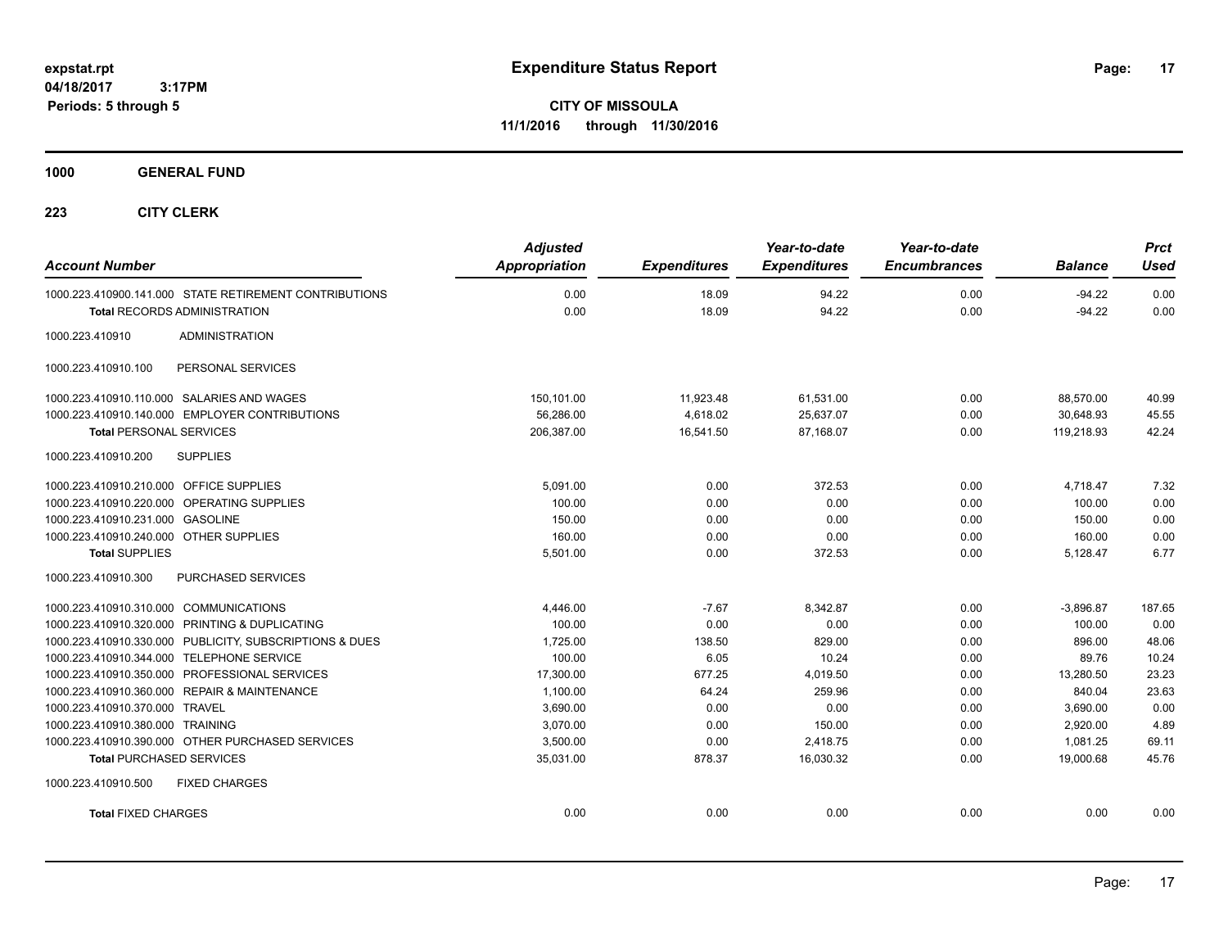**CITY OF MISSOULA 11/1/2016 through 11/30/2016**

**1000 GENERAL FUND**

| <b>Account Number</b>                     |                                                         | <b>Adjusted</b><br><b>Appropriation</b> | <b>Expenditures</b> | Year-to-date<br><b>Expenditures</b> | Year-to-date<br><b>Encumbrances</b> | <b>Balance</b> | <b>Prct</b><br><b>Used</b> |
|-------------------------------------------|---------------------------------------------------------|-----------------------------------------|---------------------|-------------------------------------|-------------------------------------|----------------|----------------------------|
|                                           | 1000.223.410900.141.000 STATE RETIREMENT CONTRIBUTIONS  | 0.00                                    | 18.09               | 94.22                               | 0.00                                | $-94.22$       | 0.00                       |
|                                           | <b>Total RECORDS ADMINISTRATION</b>                     | 0.00                                    | 18.09               | 94.22                               | 0.00                                | $-94.22$       | 0.00                       |
| 1000.223.410910                           | <b>ADMINISTRATION</b>                                   |                                         |                     |                                     |                                     |                |                            |
| 1000.223.410910.100                       | PERSONAL SERVICES                                       |                                         |                     |                                     |                                     |                |                            |
|                                           | 1000.223.410910.110.000 SALARIES AND WAGES              | 150,101.00                              | 11,923.48           | 61,531.00                           | 0.00                                | 88,570.00      | 40.99                      |
|                                           | 1000.223.410910.140.000 EMPLOYER CONTRIBUTIONS          | 56,286.00                               | 4,618.02            | 25,637.07                           | 0.00                                | 30.648.93      | 45.55                      |
| <b>Total PERSONAL SERVICES</b>            |                                                         | 206,387.00                              | 16,541.50           | 87,168.07                           | 0.00                                | 119,218.93     | 42.24                      |
| 1000.223.410910.200                       | <b>SUPPLIES</b>                                         |                                         |                     |                                     |                                     |                |                            |
| 1000.223.410910.210.000 OFFICE SUPPLIES   |                                                         | 5.091.00                                | 0.00                | 372.53                              | 0.00                                | 4.718.47       | 7.32                       |
|                                           | 1000.223.410910.220.000 OPERATING SUPPLIES              | 100.00                                  | 0.00                | 0.00                                | 0.00                                | 100.00         | 0.00                       |
| 1000.223.410910.231.000 GASOLINE          |                                                         | 150.00                                  | 0.00                | 0.00                                | 0.00                                | 150.00         | 0.00                       |
| 1000.223.410910.240.000 OTHER SUPPLIES    |                                                         | 160.00                                  | 0.00                | 0.00                                | 0.00                                | 160.00         | 0.00                       |
| <b>Total SUPPLIES</b>                     |                                                         | 5,501.00                                | 0.00                | 372.53                              | 0.00                                | 5,128.47       | 6.77                       |
| 1000.223.410910.300                       | <b>PURCHASED SERVICES</b>                               |                                         |                     |                                     |                                     |                |                            |
| 1000.223.410910.310.000 COMMUNICATIONS    |                                                         | 4,446.00                                | $-7.67$             | 8.342.87                            | 0.00                                | $-3.896.87$    | 187.65                     |
|                                           | 1000.223.410910.320.000 PRINTING & DUPLICATING          | 100.00                                  | 0.00                | 0.00                                | 0.00                                | 100.00         | 0.00                       |
|                                           | 1000.223.410910.330.000 PUBLICITY, SUBSCRIPTIONS & DUES | 1,725.00                                | 138.50              | 829.00                              | 0.00                                | 896.00         | 48.06                      |
| 1000.223.410910.344.000 TELEPHONE SERVICE |                                                         | 100.00                                  | 6.05                | 10.24                               | 0.00                                | 89.76          | 10.24                      |
|                                           | 1000.223.410910.350.000 PROFESSIONAL SERVICES           | 17,300.00                               | 677.25              | 4,019.50                            | 0.00                                | 13,280.50      | 23.23                      |
|                                           | 1000.223.410910.360.000 REPAIR & MAINTENANCE            | 1,100.00                                | 64.24               | 259.96                              | 0.00                                | 840.04         | 23.63                      |
| 1000.223.410910.370.000 TRAVEL            |                                                         | 3,690.00                                | 0.00                | 0.00                                | 0.00                                | 3,690.00       | 0.00                       |
| 1000.223.410910.380.000 TRAINING          |                                                         | 3,070.00                                | 0.00                | 150.00                              | 0.00                                | 2,920.00       | 4.89                       |
|                                           | 1000.223.410910.390.000 OTHER PURCHASED SERVICES        | 3,500.00                                | 0.00                | 2,418.75                            | 0.00                                | 1,081.25       | 69.11                      |
| Total PURCHASED SERVICES                  |                                                         | 35,031.00                               | 878.37              | 16,030.32                           | 0.00                                | 19,000.68      | 45.76                      |
| 1000.223.410910.500                       | <b>FIXED CHARGES</b>                                    |                                         |                     |                                     |                                     |                |                            |
| <b>Total FIXED CHARGES</b>                |                                                         | 0.00                                    | 0.00                | 0.00                                | 0.00                                | 0.00           | 0.00                       |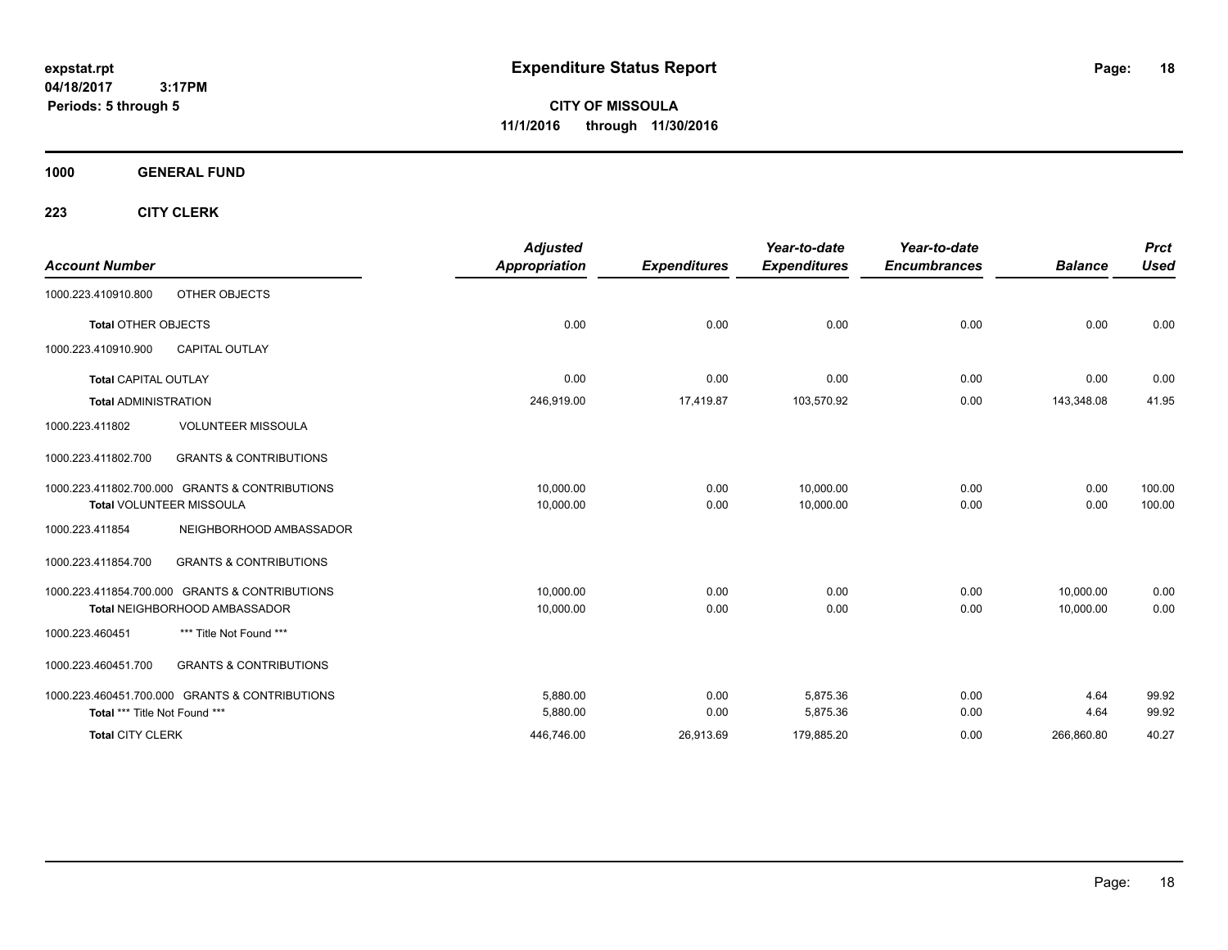**CITY OF MISSOULA 11/1/2016 through 11/30/2016**

**1000 GENERAL FUND**

| <b>Account Number</b>         |                                                | <b>Adjusted</b><br><b>Appropriation</b> | <b>Expenditures</b> | Year-to-date<br><b>Expenditures</b> | Year-to-date<br><b>Encumbrances</b> | <b>Balance</b> | <b>Prct</b><br><b>Used</b> |
|-------------------------------|------------------------------------------------|-----------------------------------------|---------------------|-------------------------------------|-------------------------------------|----------------|----------------------------|
| 1000.223.410910.800           | OTHER OBJECTS                                  |                                         |                     |                                     |                                     |                |                            |
| <b>Total OTHER OBJECTS</b>    |                                                | 0.00                                    | 0.00                | 0.00                                | 0.00                                | 0.00           | 0.00                       |
| 1000.223.410910.900           | <b>CAPITAL OUTLAY</b>                          |                                         |                     |                                     |                                     |                |                            |
| <b>Total CAPITAL OUTLAY</b>   |                                                | 0.00                                    | 0.00                | 0.00                                | 0.00                                | 0.00           | 0.00                       |
| <b>Total ADMINISTRATION</b>   |                                                | 246,919.00                              | 17,419.87           | 103,570.92                          | 0.00                                | 143,348.08     | 41.95                      |
| 1000.223.411802               | <b>VOLUNTEER MISSOULA</b>                      |                                         |                     |                                     |                                     |                |                            |
| 1000.223.411802.700           | <b>GRANTS &amp; CONTRIBUTIONS</b>              |                                         |                     |                                     |                                     |                |                            |
|                               | 1000.223.411802.700.000 GRANTS & CONTRIBUTIONS | 10,000.00                               | 0.00                | 10,000.00                           | 0.00                                | 0.00           | 100.00                     |
|                               | <b>Total VOLUNTEER MISSOULA</b>                | 10,000.00                               | 0.00                | 10,000.00                           | 0.00                                | 0.00           | 100.00                     |
| 1000.223.411854               | NEIGHBORHOOD AMBASSADOR                        |                                         |                     |                                     |                                     |                |                            |
| 1000.223.411854.700           | <b>GRANTS &amp; CONTRIBUTIONS</b>              |                                         |                     |                                     |                                     |                |                            |
| 1000.223.411854.700.000       | <b>GRANTS &amp; CONTRIBUTIONS</b>              | 10,000.00                               | 0.00                | 0.00                                | 0.00                                | 10,000.00      | 0.00                       |
|                               | Total NEIGHBORHOOD AMBASSADOR                  | 10,000.00                               | 0.00                | 0.00                                | 0.00                                | 10.000.00      | 0.00                       |
| 1000.223.460451               | *** Title Not Found ***                        |                                         |                     |                                     |                                     |                |                            |
| 1000.223.460451.700           | <b>GRANTS &amp; CONTRIBUTIONS</b>              |                                         |                     |                                     |                                     |                |                            |
|                               | 1000.223.460451.700.000 GRANTS & CONTRIBUTIONS | 5.880.00                                | 0.00                | 5.875.36                            | 0.00                                | 4.64           | 99.92                      |
| Total *** Title Not Found *** |                                                | 5,880.00                                | 0.00                | 5,875.36                            | 0.00                                | 4.64           | 99.92                      |
| <b>Total CITY CLERK</b>       |                                                | 446,746.00                              | 26,913.69           | 179,885.20                          | 0.00                                | 266,860.80     | 40.27                      |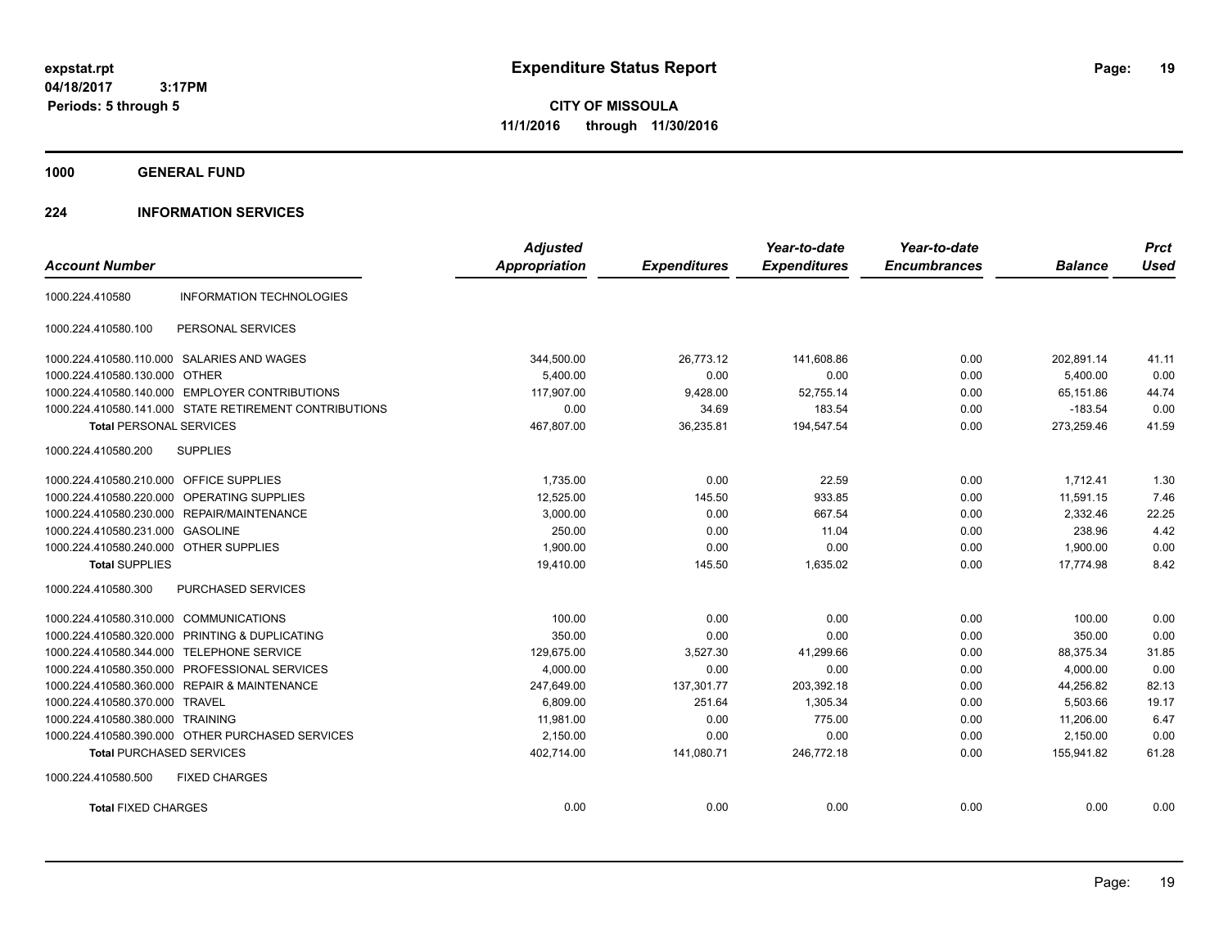**CITY OF MISSOULA 11/1/2016 through 11/30/2016**

**1000 GENERAL FUND**

### **224 INFORMATION SERVICES**

| <b>Account Number</b>                   |                                                        | <b>Adjusted</b><br><b>Appropriation</b> | <b>Expenditures</b> | Year-to-date<br><b>Expenditures</b> | Year-to-date<br><b>Encumbrances</b> | <b>Balance</b> | <b>Prct</b><br><b>Used</b> |
|-----------------------------------------|--------------------------------------------------------|-----------------------------------------|---------------------|-------------------------------------|-------------------------------------|----------------|----------------------------|
| 1000.224.410580                         | <b>INFORMATION TECHNOLOGIES</b>                        |                                         |                     |                                     |                                     |                |                            |
| 1000.224.410580.100                     | PERSONAL SERVICES                                      |                                         |                     |                                     |                                     |                |                            |
|                                         | 1000.224.410580.110.000 SALARIES AND WAGES             | 344,500.00                              | 26,773.12           | 141,608.86                          | 0.00                                | 202,891.14     | 41.11                      |
| 1000.224.410580.130.000 OTHER           |                                                        | 5.400.00                                | 0.00                | 0.00                                | 0.00                                | 5.400.00       | 0.00                       |
|                                         | 1000.224.410580.140.000 EMPLOYER CONTRIBUTIONS         | 117,907.00                              | 9,428.00            | 52,755.14                           | 0.00                                | 65,151.86      | 44.74                      |
|                                         | 1000.224.410580.141.000 STATE RETIREMENT CONTRIBUTIONS | 0.00                                    | 34.69               | 183.54                              | 0.00                                | $-183.54$      | 0.00                       |
| <b>Total PERSONAL SERVICES</b>          |                                                        | 467,807.00                              | 36,235.81           | 194,547.54                          | 0.00                                | 273,259.46     | 41.59                      |
| 1000.224.410580.200                     | <b>SUPPLIES</b>                                        |                                         |                     |                                     |                                     |                |                            |
| 1000.224.410580.210.000 OFFICE SUPPLIES |                                                        | 1,735.00                                | 0.00                | 22.59                               | 0.00                                | 1.712.41       | 1.30                       |
| 1000.224.410580.220.000                 | OPERATING SUPPLIES                                     | 12,525.00                               | 145.50              | 933.85                              | 0.00                                | 11,591.15      | 7.46                       |
|                                         | 1000.224.410580.230.000 REPAIR/MAINTENANCE             | 3,000.00                                | 0.00                | 667.54                              | 0.00                                | 2,332.46       | 22.25                      |
| 1000.224.410580.231.000                 | <b>GASOLINE</b>                                        | 250.00                                  | 0.00                | 11.04                               | 0.00                                | 238.96         | 4.42                       |
| 1000.224.410580.240.000 OTHER SUPPLIES  |                                                        | 1,900.00                                | 0.00                | 0.00                                | 0.00                                | 1,900.00       | 0.00                       |
| <b>Total SUPPLIES</b>                   |                                                        | 19,410.00                               | 145.50              | 1,635.02                            | 0.00                                | 17.774.98      | 8.42                       |
| 1000.224.410580.300                     | <b>PURCHASED SERVICES</b>                              |                                         |                     |                                     |                                     |                |                            |
| 1000.224.410580.310.000 COMMUNICATIONS  |                                                        | 100.00                                  | 0.00                | 0.00                                | 0.00                                | 100.00         | 0.00                       |
| 1000.224.410580.320.000                 | PRINTING & DUPLICATING                                 | 350.00                                  | 0.00                | 0.00                                | 0.00                                | 350.00         | 0.00                       |
| 1000.224.410580.344.000                 | <b>TELEPHONE SERVICE</b>                               | 129,675.00                              | 3,527.30            | 41,299.66                           | 0.00                                | 88,375.34      | 31.85                      |
| 1000.224.410580.350.000                 | PROFESSIONAL SERVICES                                  | 4,000.00                                | 0.00                | 0.00                                | 0.00                                | 4,000.00       | 0.00                       |
|                                         | 1000.224.410580.360.000 REPAIR & MAINTENANCE           | 247,649.00                              | 137,301.77          | 203,392.18                          | 0.00                                | 44,256.82      | 82.13                      |
| 1000.224.410580.370.000 TRAVEL          |                                                        | 6,809.00                                | 251.64              | 1,305.34                            | 0.00                                | 5,503.66       | 19.17                      |
| 1000.224.410580.380.000 TRAINING        |                                                        | 11,981.00                               | 0.00                | 775.00                              | 0.00                                | 11,206.00      | 6.47                       |
|                                         | 1000.224.410580.390.000 OTHER PURCHASED SERVICES       | 2,150.00                                | 0.00                | 0.00                                | 0.00                                | 2,150.00       | 0.00                       |
| <b>Total PURCHASED SERVICES</b>         |                                                        | 402,714.00                              | 141,080.71          | 246,772.18                          | 0.00                                | 155,941.82     | 61.28                      |
| 1000.224.410580.500                     | <b>FIXED CHARGES</b>                                   |                                         |                     |                                     |                                     |                |                            |
| <b>Total FIXED CHARGES</b>              |                                                        | 0.00                                    | 0.00                | 0.00                                | 0.00                                | 0.00           | 0.00                       |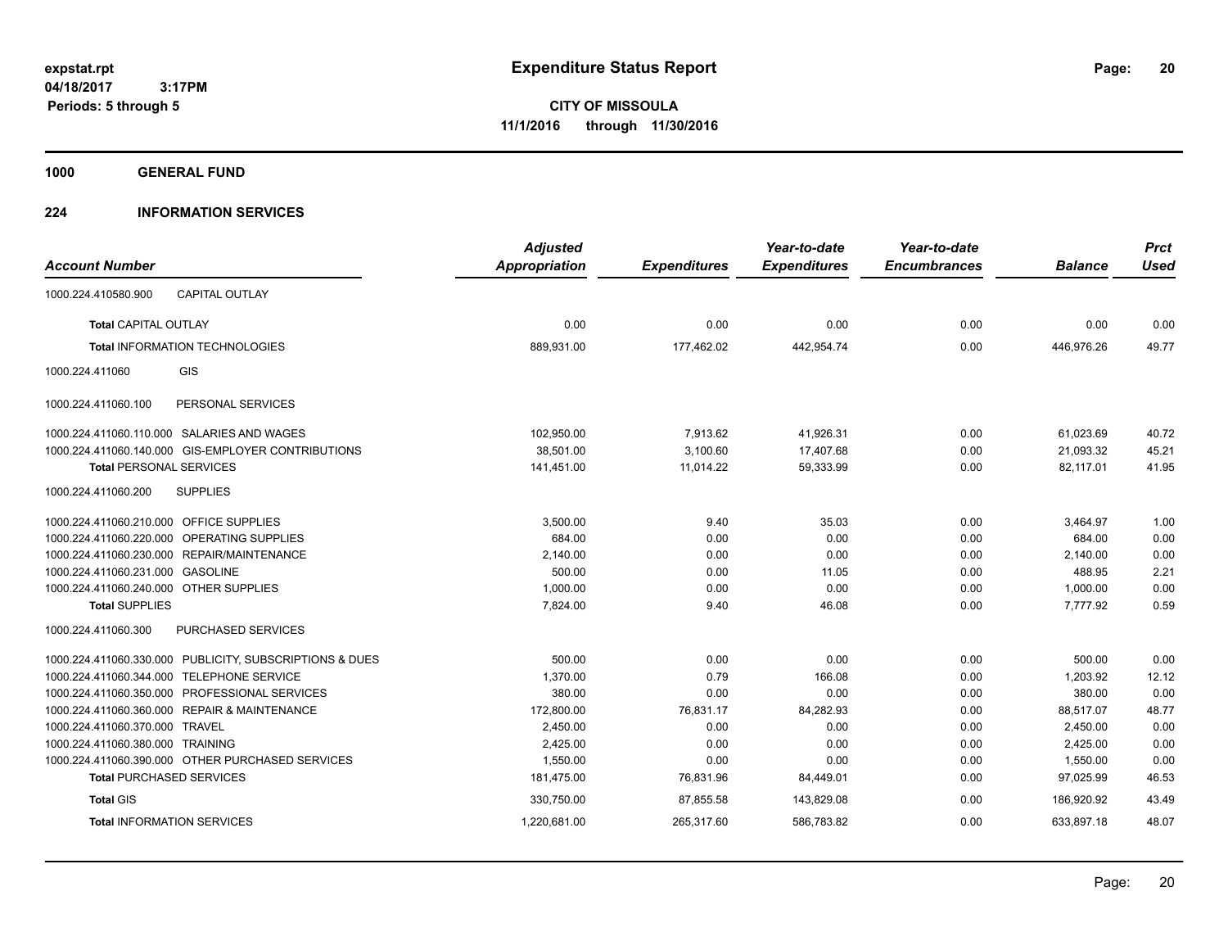**CITY OF MISSOULA 11/1/2016 through 11/30/2016**

**1000 GENERAL FUND**

### **224 INFORMATION SERVICES**

|                                         |                                                         | <b>Adjusted</b>      |                     | Year-to-date        | Year-to-date        |                | <b>Prct</b> |
|-----------------------------------------|---------------------------------------------------------|----------------------|---------------------|---------------------|---------------------|----------------|-------------|
| <b>Account Number</b>                   |                                                         | <b>Appropriation</b> | <b>Expenditures</b> | <b>Expenditures</b> | <b>Encumbrances</b> | <b>Balance</b> | <b>Used</b> |
| 1000.224.410580.900                     | <b>CAPITAL OUTLAY</b>                                   |                      |                     |                     |                     |                |             |
| <b>Total CAPITAL OUTLAY</b>             |                                                         | 0.00                 | 0.00                | 0.00                | 0.00                | 0.00           | 0.00        |
|                                         | <b>Total INFORMATION TECHNOLOGIES</b>                   | 889,931.00           | 177,462.02          | 442,954.74          | 0.00                | 446,976.26     | 49.77       |
| 1000.224.411060                         | GIS                                                     |                      |                     |                     |                     |                |             |
| 1000.224.411060.100                     | PERSONAL SERVICES                                       |                      |                     |                     |                     |                |             |
|                                         | 1000.224.411060.110.000 SALARIES AND WAGES              | 102,950.00           | 7,913.62            | 41,926.31           | 0.00                | 61,023.69      | 40.72       |
|                                         | 1000.224.411060.140.000 GIS-EMPLOYER CONTRIBUTIONS      | 38,501.00            | 3,100.60            | 17,407.68           | 0.00                | 21,093.32      | 45.21       |
| <b>Total PERSONAL SERVICES</b>          |                                                         | 141,451.00           | 11,014.22           | 59,333.99           | 0.00                | 82,117.01      | 41.95       |
| 1000.224.411060.200                     | <b>SUPPLIES</b>                                         |                      |                     |                     |                     |                |             |
| 1000.224.411060.210.000 OFFICE SUPPLIES |                                                         | 3,500.00             | 9.40                | 35.03               | 0.00                | 3,464.97       | 1.00        |
|                                         | 1000.224.411060.220.000 OPERATING SUPPLIES              | 684.00               | 0.00                | 0.00                | 0.00                | 684.00         | 0.00        |
|                                         | 1000.224.411060.230.000 REPAIR/MAINTENANCE              | 2,140.00             | 0.00                | 0.00                | 0.00                | 2,140.00       | 0.00        |
| 1000.224.411060.231.000 GASOLINE        |                                                         | 500.00               | 0.00                | 11.05               | 0.00                | 488.95         | 2.21        |
| 1000.224.411060.240.000 OTHER SUPPLIES  |                                                         | 1,000.00             | 0.00                | 0.00                | 0.00                | 1,000.00       | 0.00        |
| <b>Total SUPPLIES</b>                   |                                                         | 7,824.00             | 9.40                | 46.08               | 0.00                | 7,777.92       | 0.59        |
| 1000.224.411060.300                     | PURCHASED SERVICES                                      |                      |                     |                     |                     |                |             |
|                                         | 1000.224.411060.330.000 PUBLICITY, SUBSCRIPTIONS & DUES | 500.00               | 0.00                | 0.00                | 0.00                | 500.00         | 0.00        |
|                                         | 1000.224.411060.344.000 TELEPHONE SERVICE               | 1,370.00             | 0.79                | 166.08              | 0.00                | 1,203.92       | 12.12       |
|                                         | 1000.224.411060.350.000 PROFESSIONAL SERVICES           | 380.00               | 0.00                | 0.00                | 0.00                | 380.00         | 0.00        |
|                                         | 1000.224.411060.360.000 REPAIR & MAINTENANCE            | 172,800.00           | 76,831.17           | 84,282.93           | 0.00                | 88,517.07      | 48.77       |
| 1000.224.411060.370.000 TRAVEL          |                                                         | 2,450.00             | 0.00                | 0.00                | 0.00                | 2,450.00       | 0.00        |
| 1000.224.411060.380.000 TRAINING        |                                                         | 2,425.00             | 0.00                | 0.00                | 0.00                | 2,425.00       | 0.00        |
|                                         | 1000.224.411060.390.000 OTHER PURCHASED SERVICES        | 1,550.00             | 0.00                | 0.00                | 0.00                | 1,550.00       | 0.00        |
|                                         | <b>Total PURCHASED SERVICES</b>                         | 181,475.00           | 76,831.96           | 84,449.01           | 0.00                | 97,025.99      | 46.53       |
| <b>Total GIS</b>                        |                                                         | 330,750.00           | 87,855.58           | 143,829.08          | 0.00                | 186.920.92     | 43.49       |
|                                         | <b>Total INFORMATION SERVICES</b>                       | 1,220,681.00         | 265,317.60          | 586,783.82          | 0.00                | 633,897.18     | 48.07       |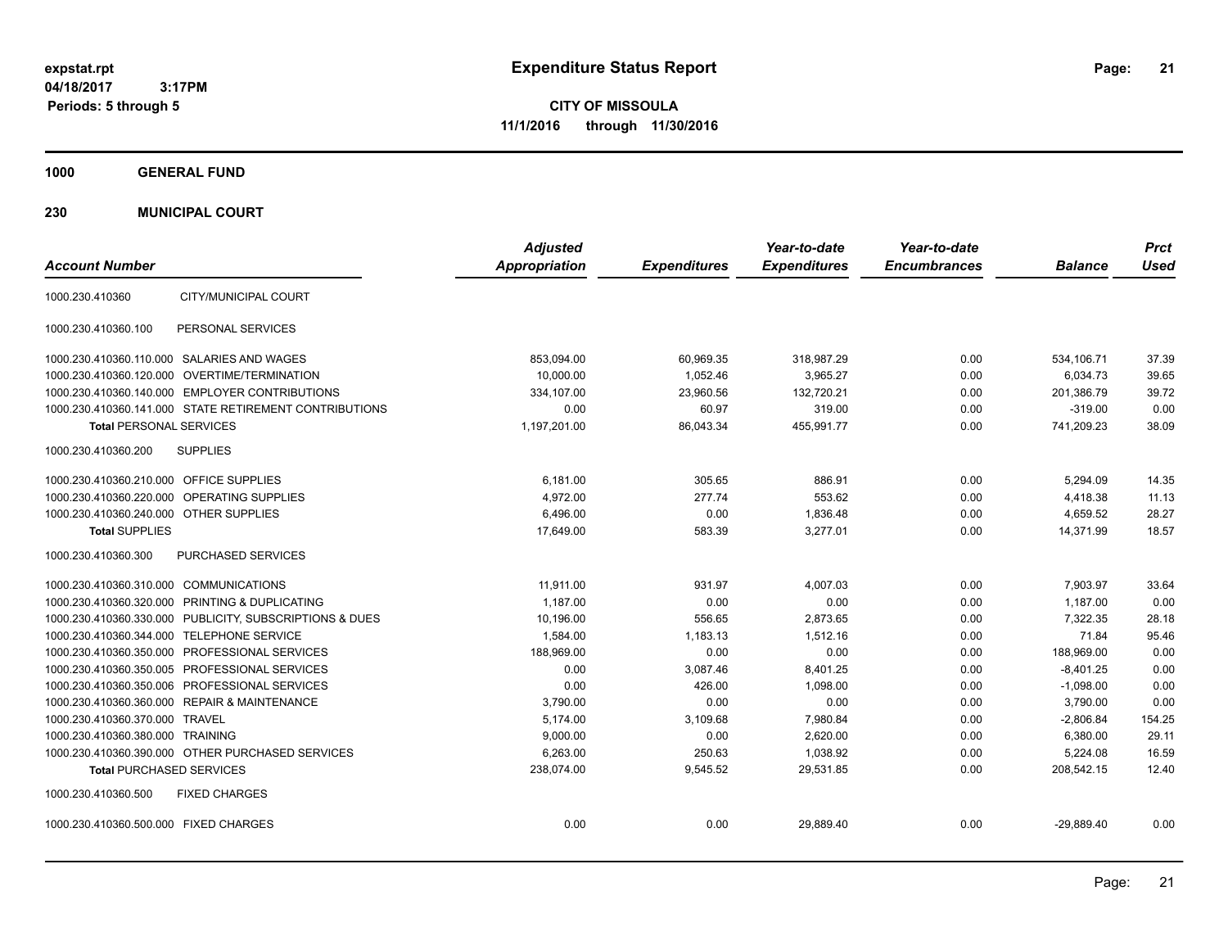**CITY OF MISSOULA 11/1/2016 through 11/30/2016**

**1000 GENERAL FUND**

**230 MUNICIPAL COURT**

| <b>Account Number</b>                                   | <b>Adjusted</b><br><b>Appropriation</b> | <b>Expenditures</b> | Year-to-date<br><b>Expenditures</b> | Year-to-date<br><b>Encumbrances</b> | <b>Balance</b> | <b>Prct</b><br><b>Used</b> |
|---------------------------------------------------------|-----------------------------------------|---------------------|-------------------------------------|-------------------------------------|----------------|----------------------------|
| CITY/MUNICIPAL COURT<br>1000.230.410360                 |                                         |                     |                                     |                                     |                |                            |
|                                                         |                                         |                     |                                     |                                     |                |                            |
| PERSONAL SERVICES<br>1000.230.410360.100                |                                         |                     |                                     |                                     |                |                            |
| 1000.230.410360.110.000 SALARIES AND WAGES              | 853,094.00                              | 60,969.35           | 318,987.29                          | 0.00                                | 534,106.71     | 37.39                      |
| 1000.230.410360.120.000 OVERTIME/TERMINATION            | 10,000.00                               | 1,052.46            | 3,965.27                            | 0.00                                | 6,034.73       | 39.65                      |
| 1000.230.410360.140.000 EMPLOYER CONTRIBUTIONS          | 334,107.00                              | 23,960.56           | 132,720.21                          | 0.00                                | 201,386.79     | 39.72                      |
| 1000.230.410360.141.000 STATE RETIREMENT CONTRIBUTIONS  | 0.00                                    | 60.97               | 319.00                              | 0.00                                | $-319.00$      | 0.00                       |
| <b>Total PERSONAL SERVICES</b>                          | 1,197,201.00                            | 86,043.34           | 455,991.77                          | 0.00                                | 741,209.23     | 38.09                      |
| 1000.230.410360.200<br><b>SUPPLIES</b>                  |                                         |                     |                                     |                                     |                |                            |
| 1000.230.410360.210.000 OFFICE SUPPLIES                 | 6,181.00                                | 305.65              | 886.91                              | 0.00                                | 5,294.09       | 14.35                      |
| 1000.230.410360.220.000<br><b>OPERATING SUPPLIES</b>    | 4,972.00                                | 277.74              | 553.62                              | 0.00                                | 4.418.38       | 11.13                      |
| 1000.230.410360.240.000 OTHER SUPPLIES                  | 6,496.00                                | 0.00                | 1,836.48                            | 0.00                                | 4,659.52       | 28.27                      |
| <b>Total SUPPLIES</b>                                   | 17,649.00                               | 583.39              | 3,277.01                            | 0.00                                | 14,371.99      | 18.57                      |
| 1000.230.410360.300<br>PURCHASED SERVICES               |                                         |                     |                                     |                                     |                |                            |
| 1000.230.410360.310.000 COMMUNICATIONS                  | 11,911.00                               | 931.97              | 4,007.03                            | 0.00                                | 7,903.97       | 33.64                      |
| 1000.230.410360.320.000 PRINTING & DUPLICATING          | 1.187.00                                | 0.00                | 0.00                                | 0.00                                | 1.187.00       | 0.00                       |
| 1000.230.410360.330.000 PUBLICITY, SUBSCRIPTIONS & DUES | 10,196.00                               | 556.65              | 2,873.65                            | 0.00                                | 7,322.35       | 28.18                      |
| 1000.230.410360.344.000 TELEPHONE SERVICE               | 1,584.00                                | 1,183.13            | 1.512.16                            | 0.00                                | 71.84          | 95.46                      |
| 1000.230.410360.350.000 PROFESSIONAL SERVICES           | 188,969.00                              | 0.00                | 0.00                                | 0.00                                | 188,969.00     | 0.00                       |
| 1000.230.410360.350.005 PROFESSIONAL SERVICES           | 0.00                                    | 3.087.46            | 8.401.25                            | 0.00                                | $-8,401.25$    | 0.00                       |
| 1000.230.410360.350.006 PROFESSIONAL SERVICES           | 0.00                                    | 426.00              | 1,098.00                            | 0.00                                | $-1,098.00$    | 0.00                       |
| 1000.230.410360.360.000 REPAIR & MAINTENANCE            | 3.790.00                                | 0.00                | 0.00                                | 0.00                                | 3,790.00       | 0.00                       |
| 1000.230.410360.370.000 TRAVEL                          | 5,174.00                                | 3,109.68            | 7,980.84                            | 0.00                                | $-2,806.84$    | 154.25                     |
| 1000.230.410360.380.000 TRAINING                        | 9,000.00                                | 0.00                | 2,620.00                            | 0.00                                | 6,380.00       | 29.11                      |
| 1000.230.410360.390.000 OTHER PURCHASED SERVICES        | 6,263.00                                | 250.63              | 1,038.92                            | 0.00                                | 5,224.08       | 16.59                      |
| <b>Total PURCHASED SERVICES</b>                         | 238,074.00                              | 9,545.52            | 29,531.85                           | 0.00                                | 208,542.15     | 12.40                      |
| 1000.230.410360.500<br><b>FIXED CHARGES</b>             |                                         |                     |                                     |                                     |                |                            |
| 1000.230.410360.500.000 FIXED CHARGES                   | 0.00                                    | 0.00                | 29,889.40                           | 0.00                                | $-29,889.40$   | 0.00                       |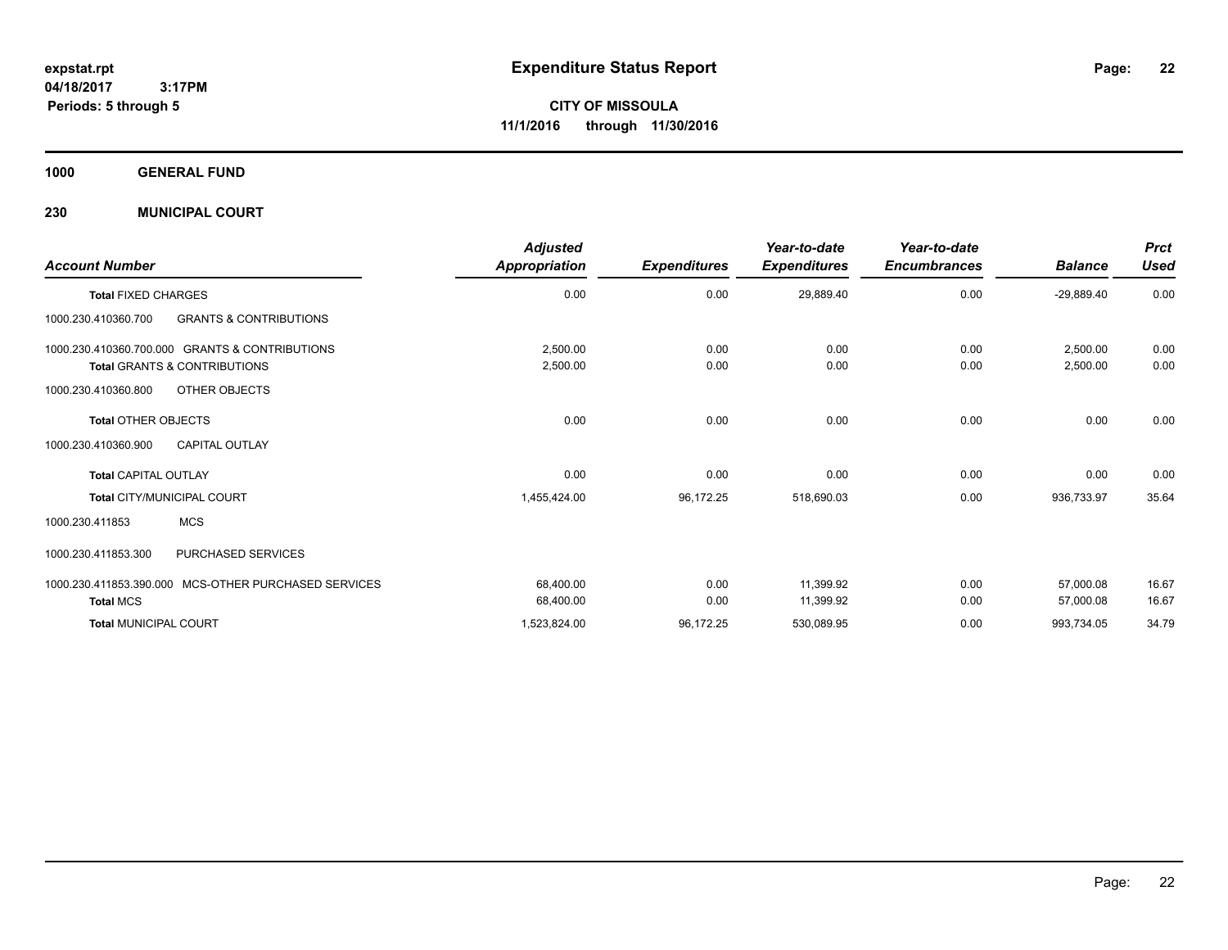**CITY OF MISSOULA 11/1/2016 through 11/30/2016**

**1000 GENERAL FUND**

**230 MUNICIPAL COURT**

| <b>Account Number</b>                                                                     | <b>Adjusted</b><br>Appropriation | <b>Expenditures</b> | Year-to-date<br><b>Expenditures</b> | Year-to-date<br><b>Encumbrances</b> | <b>Balance</b>         | <b>Prct</b><br><b>Used</b> |
|-------------------------------------------------------------------------------------------|----------------------------------|---------------------|-------------------------------------|-------------------------------------|------------------------|----------------------------|
| <b>Total FIXED CHARGES</b>                                                                | 0.00                             | 0.00                | 29,889.40                           | 0.00                                | $-29,889.40$           | 0.00                       |
| <b>GRANTS &amp; CONTRIBUTIONS</b><br>1000.230.410360.700                                  |                                  |                     |                                     |                                     |                        |                            |
| 1000.230.410360.700.000 GRANTS & CONTRIBUTIONS<br><b>Total GRANTS &amp; CONTRIBUTIONS</b> | 2,500.00<br>2,500.00             | 0.00<br>0.00        | 0.00<br>0.00                        | 0.00<br>0.00                        | 2,500.00<br>2,500.00   | 0.00<br>0.00               |
| 1000.230.410360.800<br>OTHER OBJECTS                                                      |                                  |                     |                                     |                                     |                        |                            |
| <b>Total OTHER OBJECTS</b>                                                                | 0.00                             | 0.00                | 0.00                                | 0.00                                | 0.00                   | 0.00                       |
| <b>CAPITAL OUTLAY</b><br>1000.230.410360.900                                              |                                  |                     |                                     |                                     |                        |                            |
| <b>Total CAPITAL OUTLAY</b>                                                               | 0.00                             | 0.00                | 0.00                                | 0.00                                | 0.00                   | 0.00                       |
| <b>Total CITY/MUNICIPAL COURT</b>                                                         | 1,455,424.00                     | 96,172.25           | 518,690.03                          | 0.00                                | 936,733.97             | 35.64                      |
| <b>MCS</b><br>1000.230.411853                                                             |                                  |                     |                                     |                                     |                        |                            |
| PURCHASED SERVICES<br>1000.230.411853.300                                                 |                                  |                     |                                     |                                     |                        |                            |
| 1000.230.411853.390.000 MCS-OTHER PURCHASED SERVICES<br><b>Total MCS</b>                  | 68,400.00<br>68,400.00           | 0.00<br>0.00        | 11,399.92<br>11,399.92              | 0.00<br>0.00                        | 57,000.08<br>57,000.08 | 16.67<br>16.67             |
| <b>Total MUNICIPAL COURT</b>                                                              | 1,523,824.00                     | 96,172.25           | 530,089.95                          | 0.00                                | 993,734.05             | 34.79                      |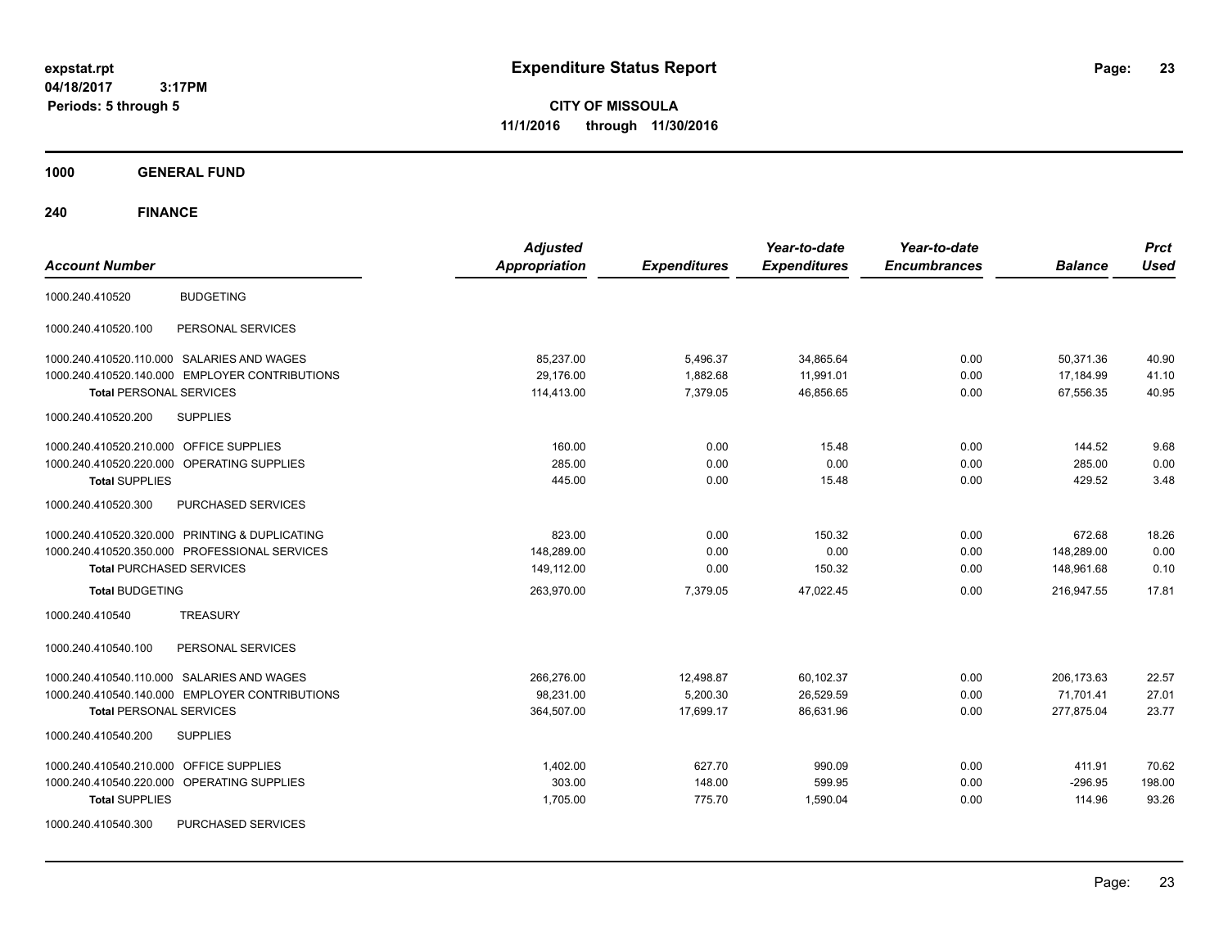**CITY OF MISSOULA 11/1/2016 through 11/30/2016**

**1000 GENERAL FUND**

| <b>Account Number</b>                                | <b>Adjusted</b><br><b>Appropriation</b> | <b>Expenditures</b> | Year-to-date<br><b>Expenditures</b> | Year-to-date<br><b>Encumbrances</b> | <b>Balance</b> | <b>Prct</b><br><b>Used</b> |
|------------------------------------------------------|-----------------------------------------|---------------------|-------------------------------------|-------------------------------------|----------------|----------------------------|
| <b>BUDGETING</b><br>1000.240.410520                  |                                         |                     |                                     |                                     |                |                            |
| PERSONAL SERVICES<br>1000.240.410520.100             |                                         |                     |                                     |                                     |                |                            |
| 1000.240.410520.110.000 SALARIES AND WAGES           | 85,237.00                               | 5,496.37            | 34,865.64                           | 0.00                                | 50,371.36      | 40.90                      |
| 1000.240.410520.140.000 EMPLOYER CONTRIBUTIONS       | 29,176.00                               | 1,882.68            | 11,991.01                           | 0.00                                | 17,184.99      | 41.10                      |
| <b>Total PERSONAL SERVICES</b>                       | 114,413.00                              | 7,379.05            | 46,856.65                           | 0.00                                | 67,556.35      | 40.95                      |
| 1000.240.410520.200<br><b>SUPPLIES</b>               |                                         |                     |                                     |                                     |                |                            |
| 1000.240.410520.210.000 OFFICE SUPPLIES              | 160.00                                  | 0.00                | 15.48                               | 0.00                                | 144.52         | 9.68                       |
| 1000.240.410520.220.000 OPERATING SUPPLIES           | 285.00                                  | 0.00                | 0.00                                | 0.00                                | 285.00         | 0.00                       |
| <b>Total SUPPLIES</b>                                | 445.00                                  | 0.00                | 15.48                               | 0.00                                | 429.52         | 3.48                       |
| 1000.240.410520.300<br>PURCHASED SERVICES            |                                         |                     |                                     |                                     |                |                            |
| 1000.240.410520.320.000 PRINTING & DUPLICATING       | 823.00                                  | 0.00                | 150.32                              | 0.00                                | 672.68         | 18.26                      |
| 1000.240.410520.350.000 PROFESSIONAL SERVICES        | 148,289.00                              | 0.00                | 0.00                                | 0.00                                | 148,289.00     | 0.00                       |
| <b>Total PURCHASED SERVICES</b>                      | 149,112.00                              | 0.00                | 150.32                              | 0.00                                | 148,961.68     | 0.10                       |
| <b>Total BUDGETING</b>                               | 263,970.00                              | 7,379.05            | 47,022.45                           | 0.00                                | 216,947.55     | 17.81                      |
| <b>TREASURY</b><br>1000.240.410540                   |                                         |                     |                                     |                                     |                |                            |
| PERSONAL SERVICES<br>1000.240.410540.100             |                                         |                     |                                     |                                     |                |                            |
| 1000.240.410540.110.000 SALARIES AND WAGES           | 266,276.00                              | 12,498.87           | 60,102.37                           | 0.00                                | 206,173.63     | 22.57                      |
| 1000.240.410540.140.000 EMPLOYER CONTRIBUTIONS       | 98,231.00                               | 5,200.30            | 26,529.59                           | 0.00                                | 71,701.41      | 27.01                      |
| <b>Total PERSONAL SERVICES</b>                       | 364,507.00                              | 17,699.17           | 86,631.96                           | 0.00                                | 277,875.04     | 23.77                      |
| 1000.240.410540.200<br><b>SUPPLIES</b>               |                                         |                     |                                     |                                     |                |                            |
| 1000.240.410540.210.000 OFFICE SUPPLIES              | 1,402.00                                | 627.70              | 990.09                              | 0.00                                | 411.91         | 70.62                      |
| 1000.240.410540.220.000<br><b>OPERATING SUPPLIES</b> | 303.00                                  | 148.00              | 599.95                              | 0.00                                | $-296.95$      | 198.00                     |
| <b>Total SUPPLIES</b>                                | 1,705.00                                | 775.70              | 1,590.04                            | 0.00                                | 114.96         | 93.26                      |
| 1000.240.410540.300<br>PURCHASED SERVICES            |                                         |                     |                                     |                                     |                |                            |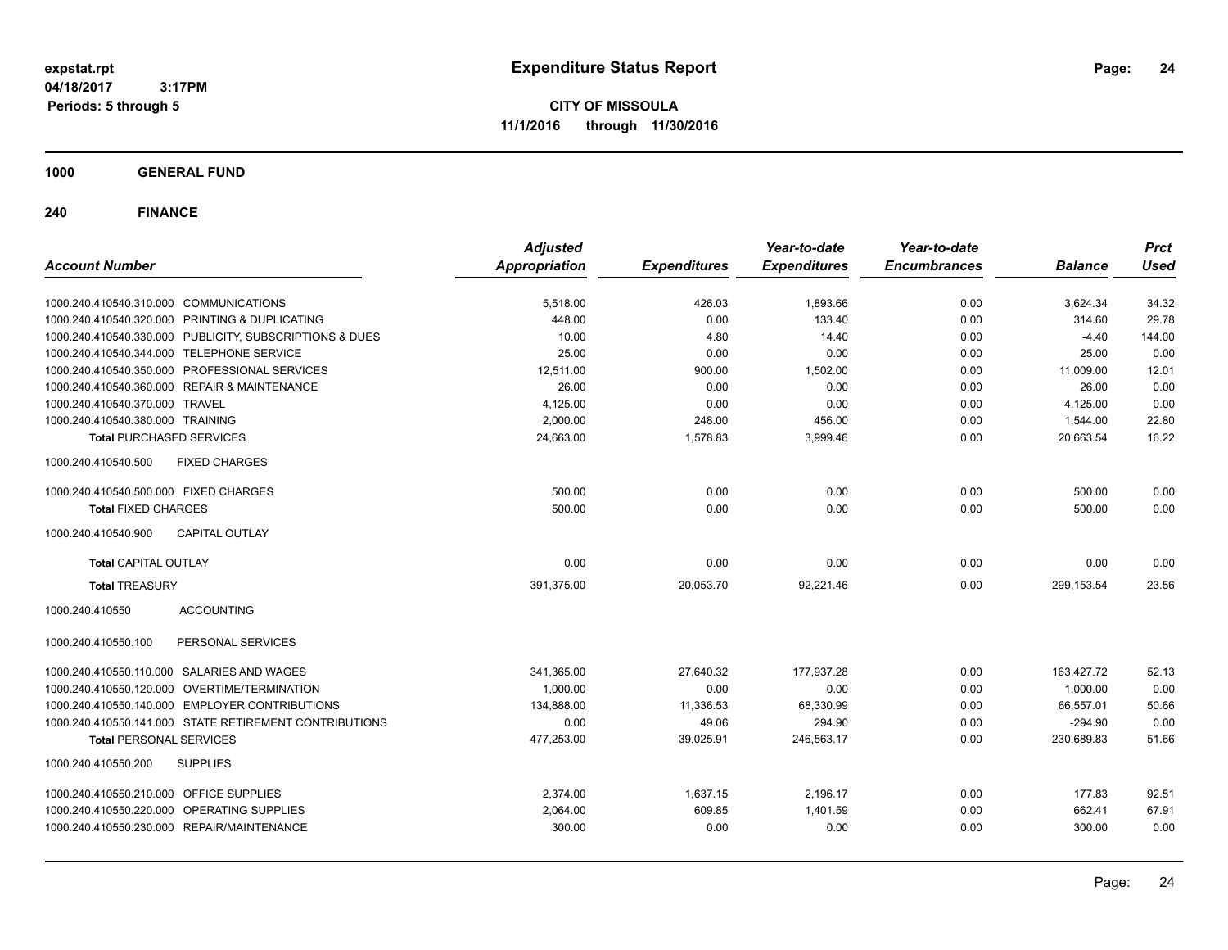**CITY OF MISSOULA 11/1/2016 through 11/30/2016**

**1000 GENERAL FUND**

| <b>Account Number</b>                                   | <b>Adjusted</b><br><b>Appropriation</b> | <b>Expenditures</b> | Year-to-date<br><b>Expenditures</b> | Year-to-date<br><b>Encumbrances</b> | <b>Balance</b> | <b>Prct</b><br><b>Used</b> |
|---------------------------------------------------------|-----------------------------------------|---------------------|-------------------------------------|-------------------------------------|----------------|----------------------------|
|                                                         |                                         |                     |                                     |                                     |                |                            |
| 1000.240.410540.310.000 COMMUNICATIONS                  | 5,518.00                                | 426.03              | 1,893.66                            | 0.00                                | 3,624.34       | 34.32                      |
| 1000.240.410540.320.000 PRINTING & DUPLICATING          | 448.00                                  | 0.00                | 133.40                              | 0.00                                | 314.60         | 29.78                      |
| 1000.240.410540.330.000 PUBLICITY, SUBSCRIPTIONS & DUES | 10.00                                   | 4.80                | 14.40                               | 0.00                                | $-4.40$        | 144.00                     |
| 1000.240.410540.344.000 TELEPHONE SERVICE               | 25.00                                   | 0.00                | 0.00                                | 0.00                                | 25.00          | 0.00                       |
| 1000.240.410540.350.000 PROFESSIONAL SERVICES           | 12,511.00                               | 900.00              | 1,502.00                            | 0.00                                | 11,009.00      | 12.01                      |
| 1000.240.410540.360.000 REPAIR & MAINTENANCE            | 26.00                                   | 0.00                | 0.00                                | 0.00                                | 26.00          | 0.00                       |
| 1000.240.410540.370.000 TRAVEL                          | 4,125.00                                | 0.00                | 0.00                                | 0.00                                | 4,125.00       | 0.00                       |
| 1000.240.410540.380.000 TRAINING                        | 2,000.00                                | 248.00              | 456.00                              | 0.00                                | 1,544.00       | 22.80                      |
| <b>Total PURCHASED SERVICES</b>                         | 24,663.00                               | 1,578.83            | 3,999.46                            | 0.00                                | 20,663.54      | 16.22                      |
| <b>FIXED CHARGES</b><br>1000.240.410540.500             |                                         |                     |                                     |                                     |                |                            |
| 1000.240.410540.500.000 FIXED CHARGES                   | 500.00                                  | 0.00                | 0.00                                | 0.00                                | 500.00         | 0.00                       |
| <b>Total FIXED CHARGES</b>                              | 500.00                                  | 0.00                | 0.00                                | 0.00                                | 500.00         | 0.00                       |
| <b>CAPITAL OUTLAY</b><br>1000.240.410540.900            |                                         |                     |                                     |                                     |                |                            |
| <b>Total CAPITAL OUTLAY</b>                             | 0.00                                    | 0.00                | 0.00                                | 0.00                                | 0.00           | 0.00                       |
| <b>Total TREASURY</b>                                   | 391,375.00                              | 20,053.70           | 92,221.46                           | 0.00                                | 299, 153.54    | 23.56                      |
| <b>ACCOUNTING</b><br>1000.240.410550                    |                                         |                     |                                     |                                     |                |                            |
| PERSONAL SERVICES<br>1000.240.410550.100                |                                         |                     |                                     |                                     |                |                            |
| 1000.240.410550.110.000 SALARIES AND WAGES              | 341,365.00                              | 27,640.32           | 177.937.28                          | 0.00                                | 163,427.72     | 52.13                      |
| 1000.240.410550.120.000 OVERTIME/TERMINATION            | 1,000.00                                | 0.00                | 0.00                                | 0.00                                | 1,000.00       | 0.00                       |
| 1000.240.410550.140.000 EMPLOYER CONTRIBUTIONS          | 134,888.00                              | 11,336.53           | 68,330.99                           | 0.00                                | 66,557.01      | 50.66                      |
| 1000.240.410550.141.000 STATE RETIREMENT CONTRIBUTIONS  | 0.00                                    | 49.06               | 294.90                              | 0.00                                | $-294.90$      | 0.00                       |
| <b>Total PERSONAL SERVICES</b>                          | 477,253.00                              | 39,025.91           | 246,563.17                          | 0.00                                | 230,689.83     | 51.66                      |
| <b>SUPPLIES</b><br>1000.240.410550.200                  |                                         |                     |                                     |                                     |                |                            |
| 1000.240.410550.210.000 OFFICE SUPPLIES                 | 2,374.00                                | 1,637.15            | 2,196.17                            | 0.00                                | 177.83         | 92.51                      |
| 1000.240.410550.220.000 OPERATING SUPPLIES              | 2,064.00                                | 609.85              | 1,401.59                            | 0.00                                | 662.41         | 67.91                      |
| 1000.240.410550.230.000 REPAIR/MAINTENANCE              | 300.00                                  | 0.00                | 0.00                                | 0.00                                | 300.00         | 0.00                       |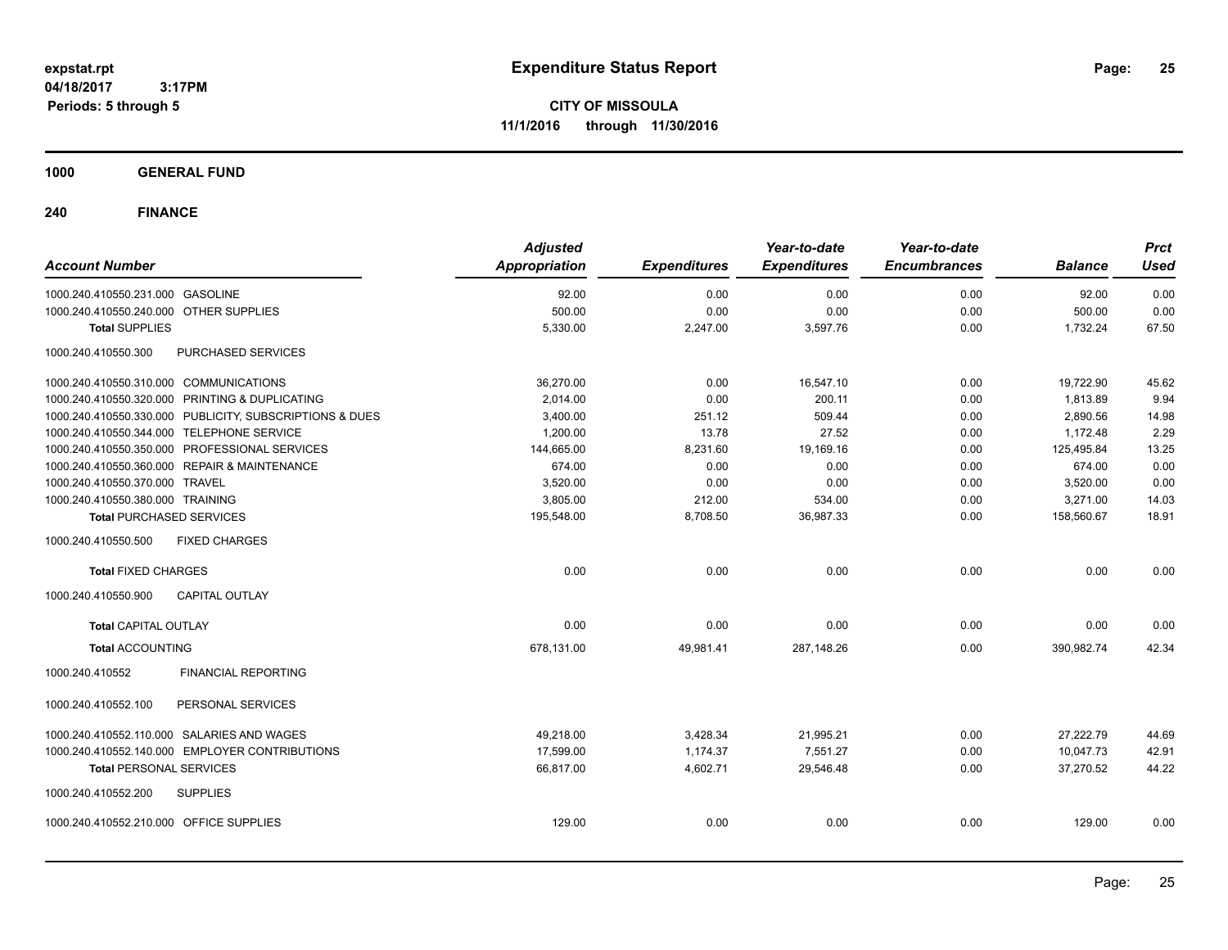**CITY OF MISSOULA 11/1/2016 through 11/30/2016**

**1000 GENERAL FUND**

| <b>Account Number</b>                                   | <b>Adjusted</b><br><b>Appropriation</b> | <b>Expenditures</b> | Year-to-date<br><b>Expenditures</b> | Year-to-date<br><b>Encumbrances</b> | <b>Balance</b> | <b>Prct</b><br><b>Used</b> |
|---------------------------------------------------------|-----------------------------------------|---------------------|-------------------------------------|-------------------------------------|----------------|----------------------------|
| 1000.240.410550.231.000 GASOLINE                        | 92.00                                   | 0.00                | 0.00                                | 0.00                                | 92.00          | 0.00                       |
| 1000.240.410550.240.000 OTHER SUPPLIES                  | 500.00                                  | 0.00                | 0.00                                | 0.00                                | 500.00         | 0.00                       |
| <b>Total SUPPLIES</b>                                   | 5,330.00                                | 2,247.00            | 3,597.76                            | 0.00                                | 1,732.24       | 67.50                      |
| 1000.240.410550.300<br><b>PURCHASED SERVICES</b>        |                                         |                     |                                     |                                     |                |                            |
| 1000.240.410550.310.000 COMMUNICATIONS                  | 36,270.00                               | 0.00                | 16,547.10                           | 0.00                                | 19,722.90      | 45.62                      |
| 1000.240.410550.320.000 PRINTING & DUPLICATING          | 2,014.00                                | 0.00                | 200.11                              | 0.00                                | 1,813.89       | 9.94                       |
| 1000.240.410550.330.000 PUBLICITY, SUBSCRIPTIONS & DUES | 3,400.00                                | 251.12              | 509.44                              | 0.00                                | 2,890.56       | 14.98                      |
| 1000.240.410550.344.000 TELEPHONE SERVICE               | 1,200.00                                | 13.78               | 27.52                               | 0.00                                | 1,172.48       | 2.29                       |
| 1000.240.410550.350.000 PROFESSIONAL SERVICES           | 144,665.00                              | 8,231.60            | 19,169.16                           | 0.00                                | 125,495.84     | 13.25                      |
| 1000.240.410550.360.000 REPAIR & MAINTENANCE            | 674.00                                  | 0.00                | 0.00                                | 0.00                                | 674.00         | 0.00                       |
| 1000.240.410550.370.000 TRAVEL                          | 3,520.00                                | 0.00                | 0.00                                | 0.00                                | 3,520.00       | 0.00                       |
| 1000.240.410550.380.000 TRAINING                        | 3,805.00                                | 212.00              | 534.00                              | 0.00                                | 3,271.00       | 14.03                      |
| <b>Total PURCHASED SERVICES</b>                         | 195,548.00                              | 8,708.50            | 36,987.33                           | 0.00                                | 158,560.67     | 18.91                      |
| <b>FIXED CHARGES</b><br>1000.240.410550.500             |                                         |                     |                                     |                                     |                |                            |
| <b>Total FIXED CHARGES</b>                              | 0.00                                    | 0.00                | 0.00                                | 0.00                                | 0.00           | 0.00                       |
| 1000.240.410550.900<br><b>CAPITAL OUTLAY</b>            |                                         |                     |                                     |                                     |                |                            |
| <b>Total CAPITAL OUTLAY</b>                             | 0.00                                    | 0.00                | 0.00                                | 0.00                                | 0.00           | 0.00                       |
| <b>Total ACCOUNTING</b>                                 | 678,131.00                              | 49,981.41           | 287,148.26                          | 0.00                                | 390,982.74     | 42.34                      |
| <b>FINANCIAL REPORTING</b><br>1000.240.410552           |                                         |                     |                                     |                                     |                |                            |
| 1000.240.410552.100<br>PERSONAL SERVICES                |                                         |                     |                                     |                                     |                |                            |
| 1000.240.410552.110.000 SALARIES AND WAGES              | 49,218.00                               | 3,428.34            | 21,995.21                           | 0.00                                | 27,222.79      | 44.69                      |
| 1000.240.410552.140.000 EMPLOYER CONTRIBUTIONS          | 17,599.00                               | 1,174.37            | 7,551.27                            | 0.00                                | 10,047.73      | 42.91                      |
| <b>Total PERSONAL SERVICES</b>                          | 66.817.00                               | 4,602.71            | 29.546.48                           | 0.00                                | 37.270.52      | 44.22                      |
| 1000.240.410552.200<br><b>SUPPLIES</b>                  |                                         |                     |                                     |                                     |                |                            |
| 1000.240.410552.210.000 OFFICE SUPPLIES                 | 129.00                                  | 0.00                | 0.00                                | 0.00                                | 129.00         | 0.00                       |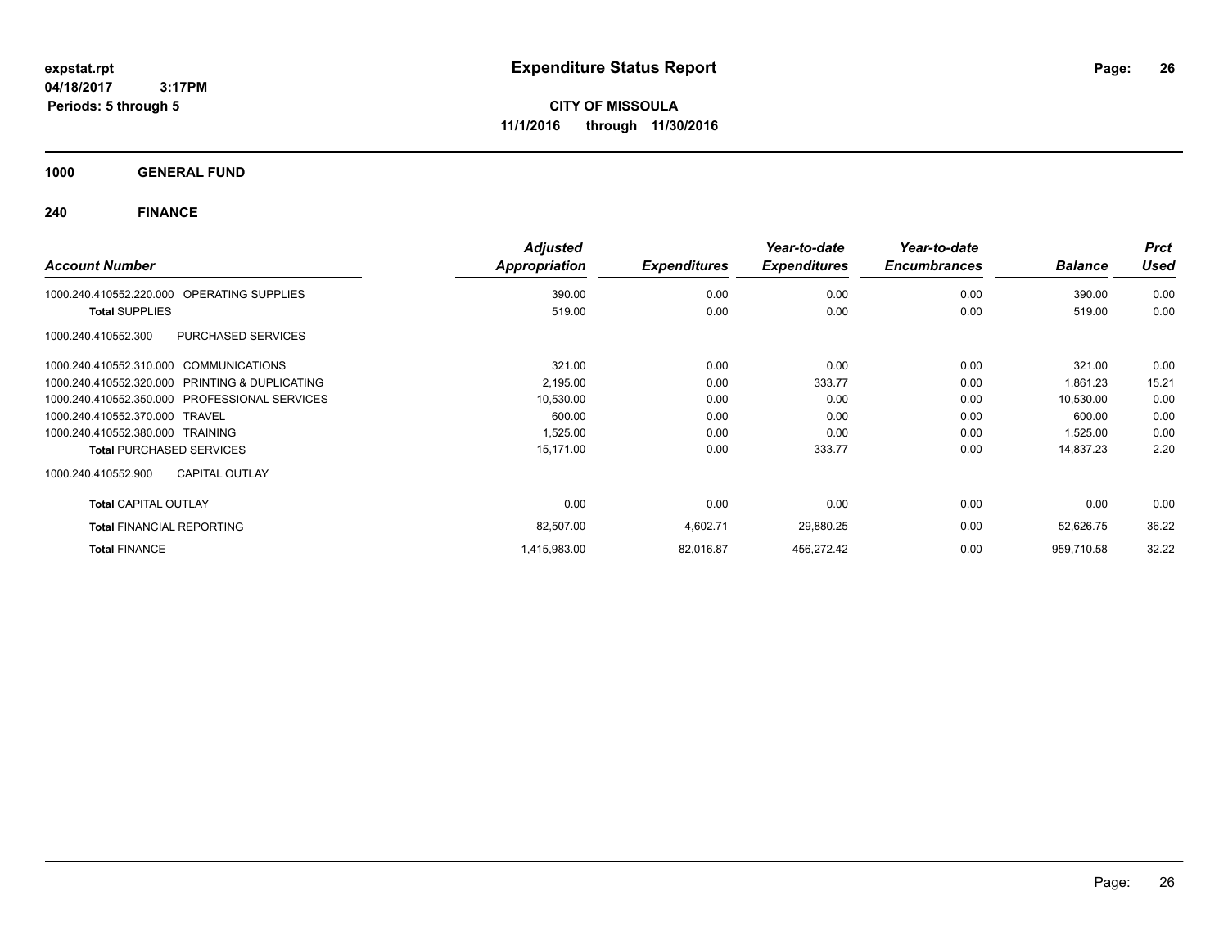**CITY OF MISSOULA 11/1/2016 through 11/30/2016**

**1000 GENERAL FUND**

| <b>Account Number</b>                                | <b>Adjusted</b><br>Appropriation | <b>Expenditures</b> | Year-to-date<br><b>Expenditures</b> | Year-to-date<br><b>Encumbrances</b> | <b>Balance</b> | <b>Prct</b><br>Used |
|------------------------------------------------------|----------------------------------|---------------------|-------------------------------------|-------------------------------------|----------------|---------------------|
| <b>OPERATING SUPPLIES</b><br>1000.240.410552.220.000 | 390.00                           | 0.00                | 0.00                                | 0.00                                | 390.00         | 0.00                |
| <b>Total SUPPLIES</b>                                | 519.00                           | 0.00                | 0.00                                | 0.00                                | 519.00         | 0.00                |
| <b>PURCHASED SERVICES</b><br>1000.240.410552.300     |                                  |                     |                                     |                                     |                |                     |
| 1000.240.410552.310.000 COMMUNICATIONS               | 321.00                           | 0.00                | 0.00                                | 0.00                                | 321.00         | 0.00                |
| 1000.240.410552.320.000 PRINTING & DUPLICATING       | 2,195.00                         | 0.00                | 333.77                              | 0.00                                | 1,861.23       | 15.21               |
| 1000.240.410552.350.000 PROFESSIONAL SERVICES        | 10,530.00                        | 0.00                | 0.00                                | 0.00                                | 10,530.00      | 0.00                |
| 1000.240.410552.370.000 TRAVEL                       | 600.00                           | 0.00                | 0.00                                | 0.00                                | 600.00         | 0.00                |
| 1000.240.410552.380.000 TRAINING                     | 1,525.00                         | 0.00                | 0.00                                | 0.00                                | 1,525.00       | 0.00                |
| <b>Total PURCHASED SERVICES</b>                      | 15,171.00                        | 0.00                | 333.77                              | 0.00                                | 14,837.23      | 2.20                |
| 1000.240.410552.900<br><b>CAPITAL OUTLAY</b>         |                                  |                     |                                     |                                     |                |                     |
| <b>Total CAPITAL OUTLAY</b>                          | 0.00                             | 0.00                | 0.00                                | 0.00                                | 0.00           | 0.00                |
| <b>Total FINANCIAL REPORTING</b>                     | 82,507.00                        | 4,602.71            | 29,880.25                           | 0.00                                | 52,626.75      | 36.22               |
| <b>Total FINANCE</b>                                 | 1,415,983.00                     | 82,016.87           | 456,272.42                          | 0.00                                | 959,710.58     | 32.22               |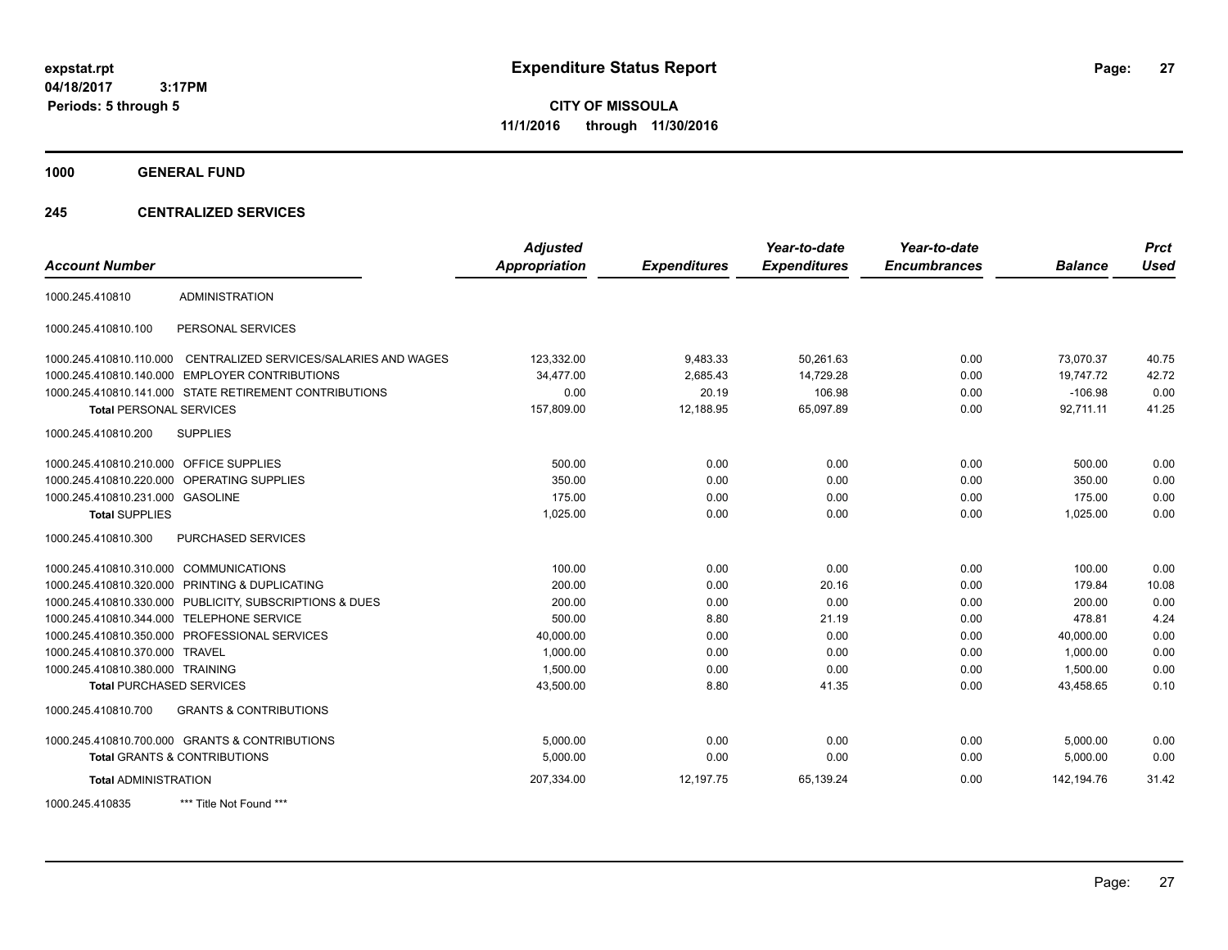**CITY OF MISSOULA 11/1/2016 through 11/30/2016**

**1000 GENERAL FUND**

### **245 CENTRALIZED SERVICES**

| <b>Account Number</b>                   |                                                         | <b>Adjusted</b><br><b>Appropriation</b> | <b>Expenditures</b> | Year-to-date<br><b>Expenditures</b> | Year-to-date<br><b>Encumbrances</b> | <b>Balance</b> | <b>Prct</b><br><b>Used</b> |
|-----------------------------------------|---------------------------------------------------------|-----------------------------------------|---------------------|-------------------------------------|-------------------------------------|----------------|----------------------------|
| 1000.245.410810                         | <b>ADMINISTRATION</b>                                   |                                         |                     |                                     |                                     |                |                            |
|                                         |                                                         |                                         |                     |                                     |                                     |                |                            |
| 1000.245.410810.100                     | PERSONAL SERVICES                                       |                                         |                     |                                     |                                     |                |                            |
| 1000.245.410810.110.000                 | CENTRALIZED SERVICES/SALARIES AND WAGES                 | 123,332.00                              | 9,483.33            | 50.261.63                           | 0.00                                | 73.070.37      | 40.75                      |
| 1000.245.410810.140.000                 | <b>EMPLOYER CONTRIBUTIONS</b>                           | 34,477.00                               | 2,685.43            | 14,729.28                           | 0.00                                | 19,747.72      | 42.72                      |
|                                         | 1000.245.410810.141.000 STATE RETIREMENT CONTRIBUTIONS  | 0.00                                    | 20.19               | 106.98                              | 0.00                                | $-106.98$      | 0.00                       |
| <b>Total PERSONAL SERVICES</b>          |                                                         | 157,809.00                              | 12,188.95           | 65,097.89                           | 0.00                                | 92,711.11      | 41.25                      |
| 1000.245.410810.200                     | <b>SUPPLIES</b>                                         |                                         |                     |                                     |                                     |                |                            |
| 1000.245.410810.210.000 OFFICE SUPPLIES |                                                         | 500.00                                  | 0.00                | 0.00                                | 0.00                                | 500.00         | 0.00                       |
|                                         | 1000.245.410810.220.000 OPERATING SUPPLIES              | 350.00                                  | 0.00                | 0.00                                | 0.00                                | 350.00         | 0.00                       |
| 1000.245.410810.231.000 GASOLINE        |                                                         | 175.00                                  | 0.00                | 0.00                                | 0.00                                | 175.00         | 0.00                       |
| <b>Total SUPPLIES</b>                   |                                                         | 1,025.00                                | 0.00                | 0.00                                | 0.00                                | 1,025.00       | 0.00                       |
| 1000.245.410810.300                     | <b>PURCHASED SERVICES</b>                               |                                         |                     |                                     |                                     |                |                            |
| 1000.245.410810.310.000 COMMUNICATIONS  |                                                         | 100.00                                  | 0.00                | 0.00                                | 0.00                                | 100.00         | 0.00                       |
|                                         | 1000.245.410810.320.000 PRINTING & DUPLICATING          | 200.00                                  | 0.00                | 20.16                               | 0.00                                | 179.84         | 10.08                      |
|                                         | 1000.245.410810.330.000 PUBLICITY, SUBSCRIPTIONS & DUES | 200.00                                  | 0.00                | 0.00                                | 0.00                                | 200.00         | 0.00                       |
|                                         | 1000.245.410810.344.000 TELEPHONE SERVICE               | 500.00                                  | 8.80                | 21.19                               | 0.00                                | 478.81         | 4.24                       |
|                                         | 1000.245.410810.350.000 PROFESSIONAL SERVICES           | 40,000.00                               | 0.00                | 0.00                                | 0.00                                | 40,000.00      | 0.00                       |
| 1000.245.410810.370.000 TRAVEL          |                                                         | 1,000.00                                | 0.00                | 0.00                                | 0.00                                | 1.000.00       | 0.00                       |
| 1000.245.410810.380.000 TRAINING        |                                                         | 1,500.00                                | 0.00                | 0.00                                | 0.00                                | 1,500.00       | 0.00                       |
| <b>Total PURCHASED SERVICES</b>         |                                                         | 43,500.00                               | 8.80                | 41.35                               | 0.00                                | 43,458.65      | 0.10                       |
| 1000.245.410810.700                     | <b>GRANTS &amp; CONTRIBUTIONS</b>                       |                                         |                     |                                     |                                     |                |                            |
|                                         | 1000.245.410810.700.000 GRANTS & CONTRIBUTIONS          | 5.000.00                                | 0.00                | 0.00                                | 0.00                                | 5,000.00       | 0.00                       |
|                                         | Total GRANTS & CONTRIBUTIONS                            | 5,000.00                                | 0.00                | 0.00                                | 0.00                                | 5,000.00       | 0.00                       |
| <b>Total ADMINISTRATION</b>             |                                                         | 207,334.00                              | 12,197.75           | 65,139.24                           | 0.00                                | 142, 194. 76   | 31.42                      |
| 1000.245.410835                         | *** Title Not Found ***                                 |                                         |                     |                                     |                                     |                |                            |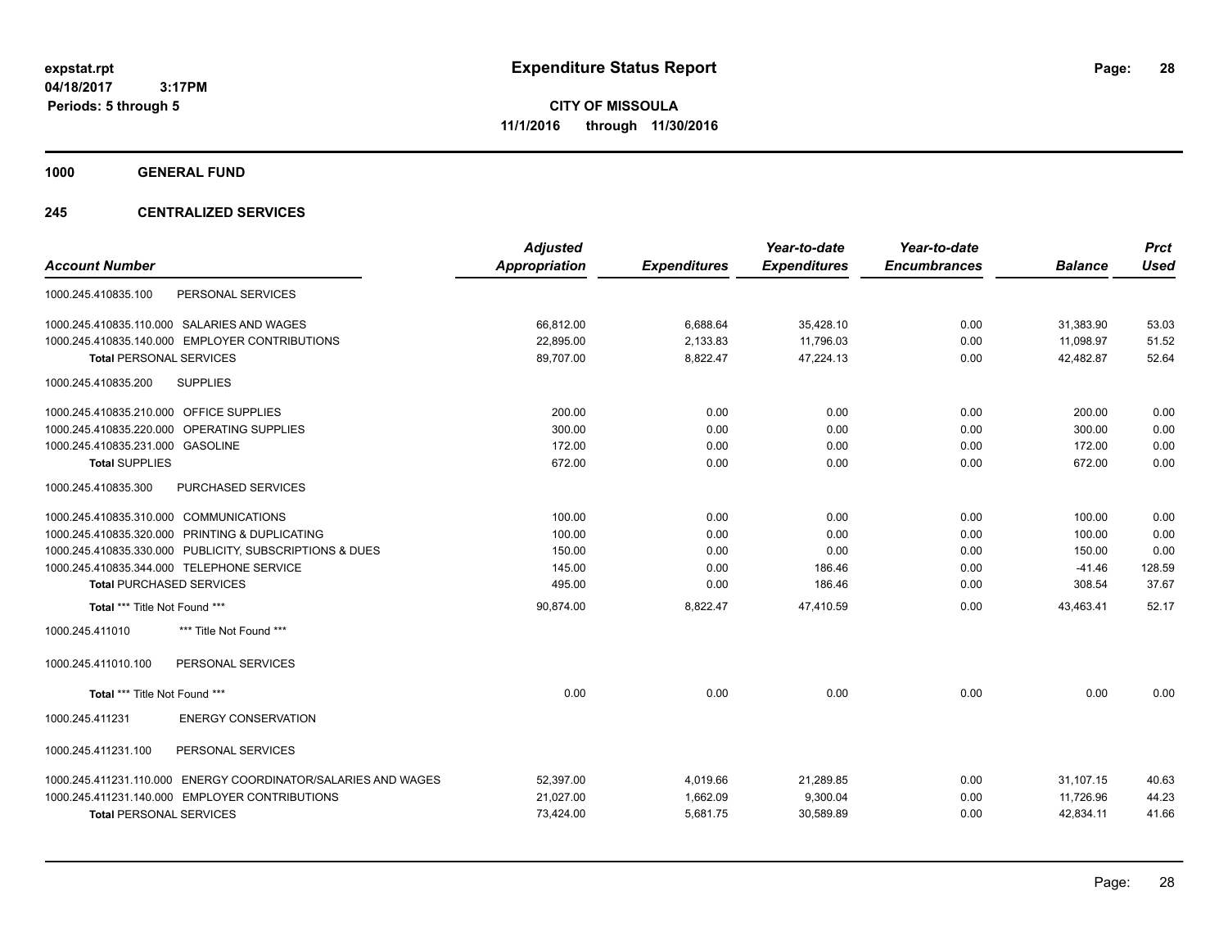**CITY OF MISSOULA 11/1/2016 through 11/30/2016**

**1000 GENERAL FUND**

### **245 CENTRALIZED SERVICES**

| <b>Account Number</b>                                         | <b>Adjusted</b><br><b>Appropriation</b> | <b>Expenditures</b> | Year-to-date<br><b>Expenditures</b> | Year-to-date<br><b>Encumbrances</b> | <b>Balance</b> | <b>Prct</b><br>Used |
|---------------------------------------------------------------|-----------------------------------------|---------------------|-------------------------------------|-------------------------------------|----------------|---------------------|
| PERSONAL SERVICES<br>1000.245.410835.100                      |                                         |                     |                                     |                                     |                |                     |
| 1000.245.410835.110.000 SALARIES AND WAGES                    | 66,812.00                               | 6,688.64            | 35,428.10                           | 0.00                                | 31,383.90      | 53.03               |
| 1000.245.410835.140.000 EMPLOYER CONTRIBUTIONS                | 22,895.00                               | 2,133.83            | 11,796.03                           | 0.00                                | 11,098.97      | 51.52               |
| <b>Total PERSONAL SERVICES</b>                                | 89,707.00                               | 8,822.47            | 47,224.13                           | 0.00                                | 42,482.87      | 52.64               |
| <b>SUPPLIES</b><br>1000.245.410835.200                        |                                         |                     |                                     |                                     |                |                     |
| 1000.245.410835.210.000 OFFICE SUPPLIES                       | 200.00                                  | 0.00                | 0.00                                | 0.00                                | 200.00         | 0.00                |
| OPERATING SUPPLIES<br>1000.245.410835.220.000                 | 300.00                                  | 0.00                | 0.00                                | 0.00                                | 300.00         | 0.00                |
| 1000.245.410835.231.000 GASOLINE                              | 172.00                                  | 0.00                | 0.00                                | 0.00                                | 172.00         | 0.00                |
| <b>Total SUPPLIES</b>                                         | 672.00                                  | 0.00                | 0.00                                | 0.00                                | 672.00         | 0.00                |
| 1000.245.410835.300<br><b>PURCHASED SERVICES</b>              |                                         |                     |                                     |                                     |                |                     |
| 1000.245.410835.310.000 COMMUNICATIONS                        | 100.00                                  | 0.00                | 0.00                                | 0.00                                | 100.00         | 0.00                |
| 1000.245.410835.320.000 PRINTING & DUPLICATING                | 100.00                                  | 0.00                | 0.00                                | 0.00                                | 100.00         | 0.00                |
| 1000.245.410835.330.000 PUBLICITY, SUBSCRIPTIONS & DUES       | 150.00                                  | 0.00                | 0.00                                | 0.00                                | 150.00         | 0.00                |
| 1000.245.410835.344.000 TELEPHONE SERVICE                     | 145.00                                  | 0.00                | 186.46                              | 0.00                                | $-41.46$       | 128.59              |
| <b>Total PURCHASED SERVICES</b>                               | 495.00                                  | 0.00                | 186.46                              | 0.00                                | 308.54         | 37.67               |
| Total *** Title Not Found ***                                 | 90,874.00                               | 8,822.47            | 47,410.59                           | 0.00                                | 43,463.41      | 52.17               |
| 1000.245.411010<br>*** Title Not Found ***                    |                                         |                     |                                     |                                     |                |                     |
| PERSONAL SERVICES<br>1000.245.411010.100                      |                                         |                     |                                     |                                     |                |                     |
| Total *** Title Not Found ***                                 | 0.00                                    | 0.00                | 0.00                                | 0.00                                | 0.00           | 0.00                |
| <b>ENERGY CONSERVATION</b><br>1000.245.411231                 |                                         |                     |                                     |                                     |                |                     |
| PERSONAL SERVICES<br>1000.245.411231.100                      |                                         |                     |                                     |                                     |                |                     |
| 1000.245.411231.110.000 ENERGY COORDINATOR/SALARIES AND WAGES | 52,397.00                               | 4,019.66            | 21,289.85                           | 0.00                                | 31,107.15      | 40.63               |
| 1000.245.411231.140.000 EMPLOYER CONTRIBUTIONS                | 21,027.00                               | 1,662.09            | 9,300.04                            | 0.00                                | 11,726.96      | 44.23               |
| <b>Total PERSONAL SERVICES</b>                                | 73,424.00                               | 5,681.75            | 30,589.89                           | 0.00                                | 42,834.11      | 41.66               |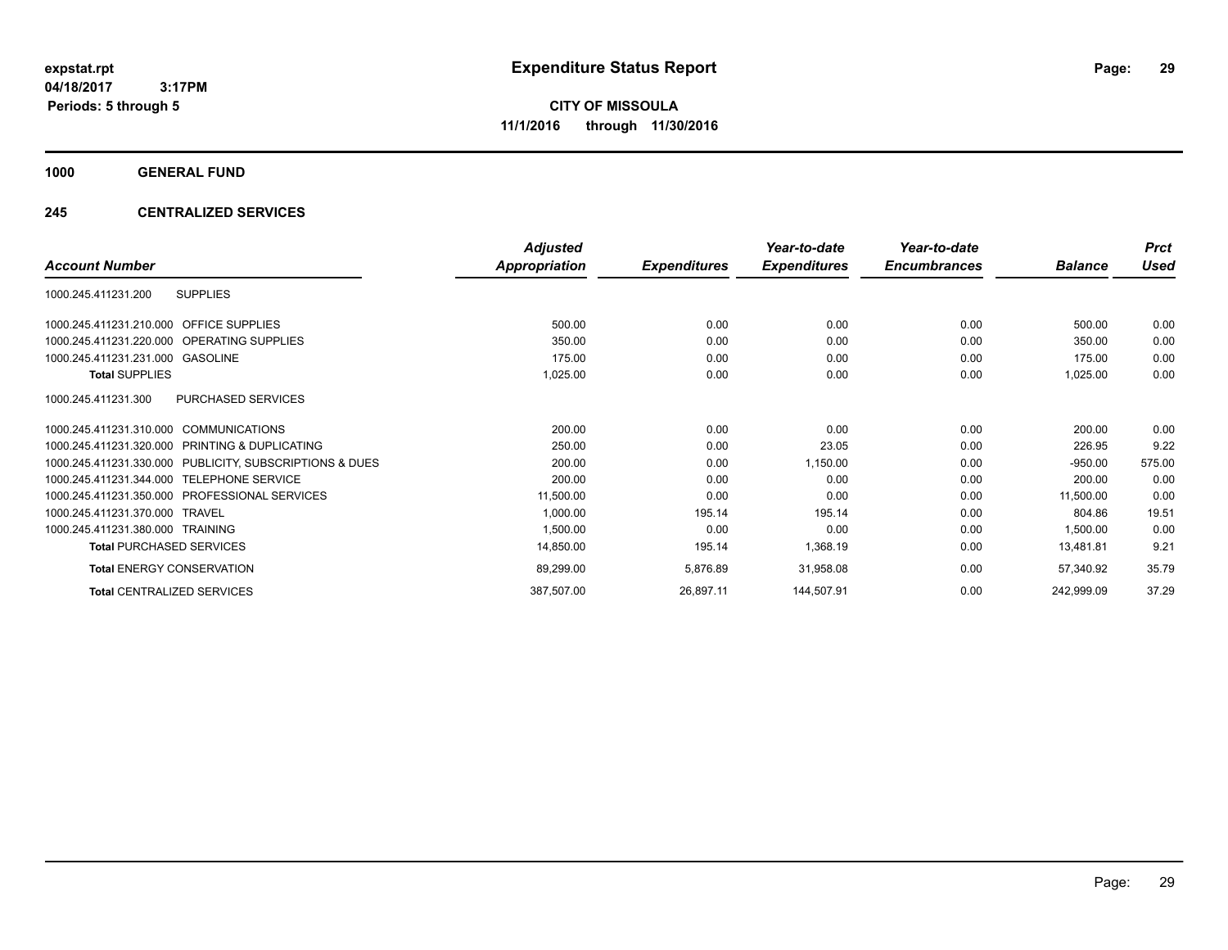**CITY OF MISSOULA 11/1/2016 through 11/30/2016**

**1000 GENERAL FUND**

### **245 CENTRALIZED SERVICES**

|                                                         | <b>Adjusted</b>      |                     | Year-to-date        | Year-to-date        |                | <b>Prct</b> |
|---------------------------------------------------------|----------------------|---------------------|---------------------|---------------------|----------------|-------------|
| <b>Account Number</b>                                   | <b>Appropriation</b> | <b>Expenditures</b> | <b>Expenditures</b> | <b>Encumbrances</b> | <b>Balance</b> | Used        |
| <b>SUPPLIES</b><br>1000.245.411231.200                  |                      |                     |                     |                     |                |             |
| 1000.245.411231.210.000 OFFICE SUPPLIES                 | 500.00               | 0.00                | 0.00                | 0.00                | 500.00         | 0.00        |
| 1000.245.411231.220.000 OPERATING SUPPLIES              | 350.00               | 0.00                | 0.00                | 0.00                | 350.00         | 0.00        |
| 1000.245.411231.231.000 GASOLINE                        | 175.00               | 0.00                | 0.00                | 0.00                | 175.00         | 0.00        |
| <b>Total SUPPLIES</b>                                   | 1,025.00             | 0.00                | 0.00                | 0.00                | 1,025.00       | 0.00        |
| PURCHASED SERVICES<br>1000.245.411231.300               |                      |                     |                     |                     |                |             |
| 1000.245.411231.310.000 COMMUNICATIONS                  | 200.00               | 0.00                | 0.00                | 0.00                | 200.00         | 0.00        |
| 1000.245.411231.320.000 PRINTING & DUPLICATING          | 250.00               | 0.00                | 23.05               | 0.00                | 226.95         | 9.22        |
| 1000.245.411231.330.000 PUBLICITY, SUBSCRIPTIONS & DUES | 200.00               | 0.00                | 1,150.00            | 0.00                | $-950.00$      | 575.00      |
| 1000.245.411231.344.000 TELEPHONE SERVICE               | 200.00               | 0.00                | 0.00                | 0.00                | 200.00         | 0.00        |
| 1000.245.411231.350.000 PROFESSIONAL SERVICES           | 11,500.00            | 0.00                | 0.00                | 0.00                | 11,500.00      | 0.00        |
| 1000.245.411231.370.000 TRAVEL                          | 1,000.00             | 195.14              | 195.14              | 0.00                | 804.86         | 19.51       |
| 1000.245.411231.380.000 TRAINING                        | 1,500.00             | 0.00                | 0.00                | 0.00                | 1,500.00       | 0.00        |
| <b>Total PURCHASED SERVICES</b>                         | 14,850.00            | 195.14              | 1,368.19            | 0.00                | 13,481.81      | 9.21        |
| <b>Total ENERGY CONSERVATION</b>                        | 89,299.00            | 5,876.89            | 31,958.08           | 0.00                | 57,340.92      | 35.79       |
| <b>Total CENTRALIZED SERVICES</b>                       | 387,507.00           | 26,897.11           | 144,507.91          | 0.00                | 242,999.09     | 37.29       |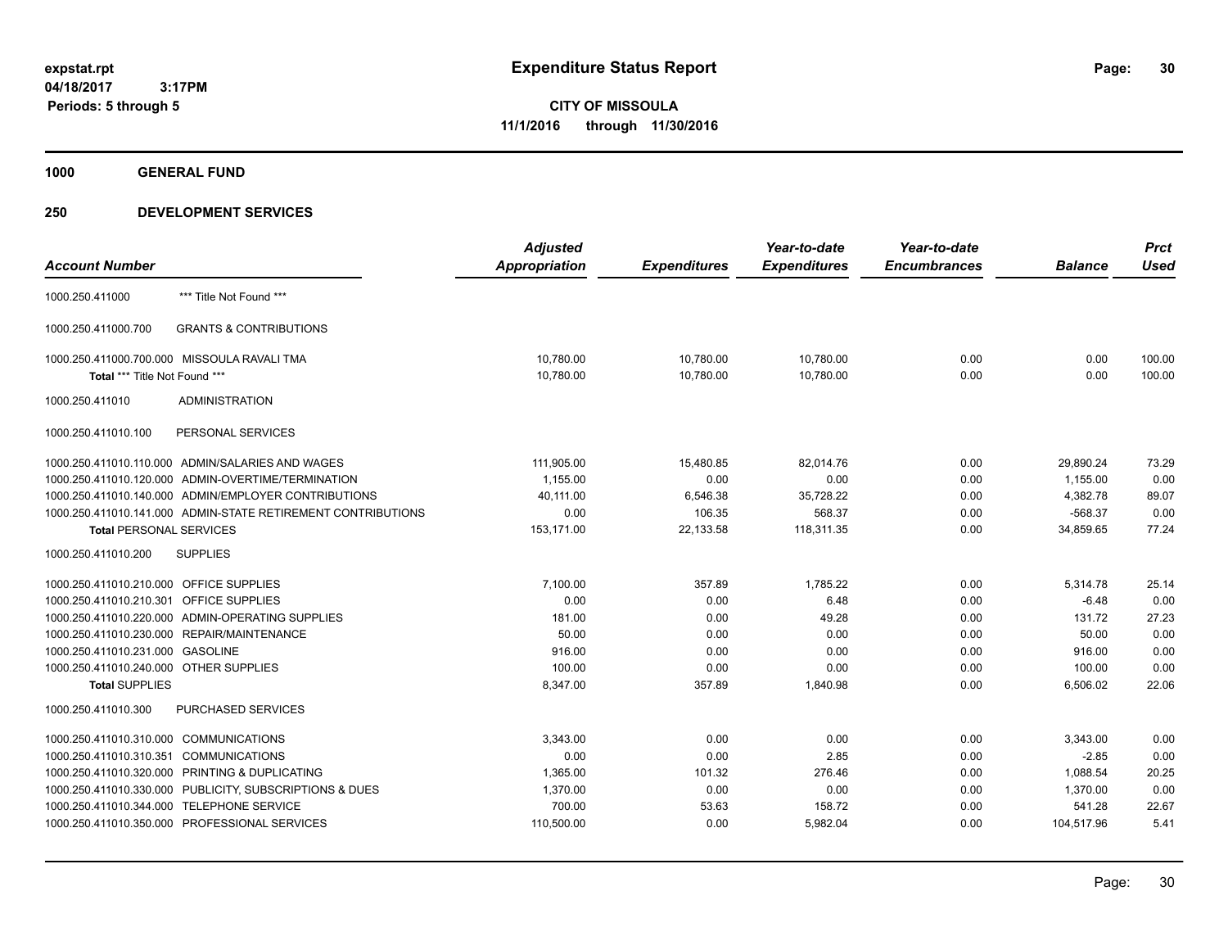**1000 GENERAL FUND**

|                                         |                                                              | <b>Adjusted</b>      |                     | Year-to-date        | Year-to-date        |                | <b>Prct</b> |
|-----------------------------------------|--------------------------------------------------------------|----------------------|---------------------|---------------------|---------------------|----------------|-------------|
| <b>Account Number</b>                   |                                                              | <b>Appropriation</b> | <b>Expenditures</b> | <b>Expenditures</b> | <b>Encumbrances</b> | <b>Balance</b> | <b>Used</b> |
| 1000.250.411000                         | *** Title Not Found ***                                      |                      |                     |                     |                     |                |             |
| 1000.250.411000.700                     | <b>GRANTS &amp; CONTRIBUTIONS</b>                            |                      |                     |                     |                     |                |             |
|                                         | 1000.250.411000.700.000 MISSOULA RAVALI TMA                  | 10,780.00            | 10,780.00           | 10,780.00           | 0.00                | 0.00           | 100.00      |
| Total *** Title Not Found ***           |                                                              | 10,780.00            | 10,780.00           | 10,780.00           | 0.00                | 0.00           | 100.00      |
| 1000.250.411010                         | <b>ADMINISTRATION</b>                                        |                      |                     |                     |                     |                |             |
| 1000.250.411010.100                     | PERSONAL SERVICES                                            |                      |                     |                     |                     |                |             |
|                                         | 1000.250.411010.110.000 ADMIN/SALARIES AND WAGES             | 111,905.00           | 15,480.85           | 82,014.76           | 0.00                | 29,890.24      | 73.29       |
|                                         | 1000.250.411010.120.000 ADMIN-OVERTIME/TERMINATION           | 1,155.00             | 0.00                | 0.00                | 0.00                | 1,155.00       | 0.00        |
|                                         | 1000.250.411010.140.000 ADMIN/EMPLOYER CONTRIBUTIONS         | 40,111.00            | 6,546.38            | 35,728.22           | 0.00                | 4,382.78       | 89.07       |
|                                         | 1000.250.411010.141.000 ADMIN-STATE RETIREMENT CONTRIBUTIONS | 0.00                 | 106.35              | 568.37              | 0.00                | $-568.37$      | 0.00        |
| <b>Total PERSONAL SERVICES</b>          |                                                              | 153,171.00           | 22,133.58           | 118,311.35          | 0.00                | 34,859.65      | 77.24       |
| 1000.250.411010.200                     | <b>SUPPLIES</b>                                              |                      |                     |                     |                     |                |             |
| 1000.250.411010.210.000 OFFICE SUPPLIES |                                                              | 7,100.00             | 357.89              | 1,785.22            | 0.00                | 5,314.78       | 25.14       |
| 1000.250.411010.210.301 OFFICE SUPPLIES |                                                              | 0.00                 | 0.00                | 6.48                | 0.00                | $-6.48$        | 0.00        |
|                                         | 1000.250.411010.220.000 ADMIN-OPERATING SUPPLIES             | 181.00               | 0.00                | 49.28               | 0.00                | 131.72         | 27.23       |
|                                         | 1000.250.411010.230.000 REPAIR/MAINTENANCE                   | 50.00                | 0.00                | 0.00                | 0.00                | 50.00          | 0.00        |
| 1000.250.411010.231.000 GASOLINE        |                                                              | 916.00               | 0.00                | 0.00                | 0.00                | 916.00         | 0.00        |
| 1000.250.411010.240.000 OTHER SUPPLIES  |                                                              | 100.00               | 0.00                | 0.00                | 0.00                | 100.00         | 0.00        |
| <b>Total SUPPLIES</b>                   |                                                              | 8,347.00             | 357.89              | 1,840.98            | 0.00                | 6,506.02       | 22.06       |
| 1000.250.411010.300                     | PURCHASED SERVICES                                           |                      |                     |                     |                     |                |             |
| 1000.250.411010.310.000 COMMUNICATIONS  |                                                              | 3,343.00             | 0.00                | 0.00                | 0.00                | 3,343.00       | 0.00        |
| 1000.250.411010.310.351 COMMUNICATIONS  |                                                              | 0.00                 | 0.00                | 2.85                | 0.00                | $-2.85$        | 0.00        |
|                                         | 1000.250.411010.320.000 PRINTING & DUPLICATING               | 1,365.00             | 101.32              | 276.46              | 0.00                | 1,088.54       | 20.25       |
|                                         | 1000.250.411010.330.000 PUBLICITY, SUBSCRIPTIONS & DUES      | 1,370.00             | 0.00                | 0.00                | 0.00                | 1,370.00       | 0.00        |
|                                         | 1000.250.411010.344.000 TELEPHONE SERVICE                    | 700.00               | 53.63               | 158.72              | 0.00                | 541.28         | 22.67       |
|                                         | 1000.250.411010.350.000 PROFESSIONAL SERVICES                | 110,500.00           | 0.00                | 5,982.04            | 0.00                | 104,517.96     | 5.41        |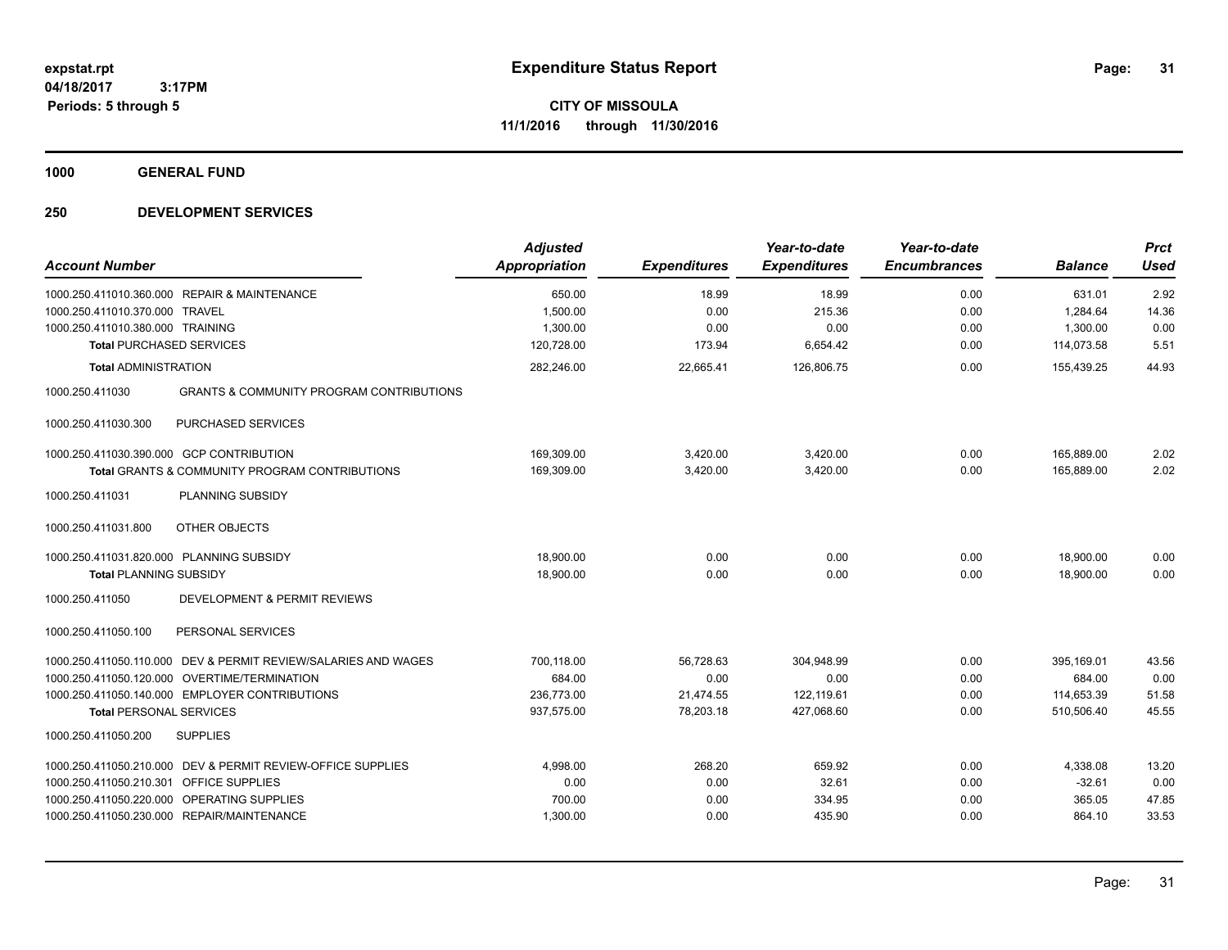**1000 GENERAL FUND**

| <b>Account Number</b>                                                                                                                                                                                                                        | <b>Adjusted</b><br>Appropriation                 | <b>Expenditures</b>                         | Year-to-date<br><b>Expenditures</b>            | Year-to-date<br><b>Encumbrances</b> | <b>Balance</b>                                   | <b>Prct</b><br><b>Used</b>      |
|----------------------------------------------------------------------------------------------------------------------------------------------------------------------------------------------------------------------------------------------|--------------------------------------------------|---------------------------------------------|------------------------------------------------|-------------------------------------|--------------------------------------------------|---------------------------------|
| 1000.250.411010.360.000 REPAIR & MAINTENANCE<br>1000.250.411010.370.000<br><b>TRAVEL</b><br>1000.250.411010.380.000 TRAINING<br><b>Total PURCHASED SERVICES</b>                                                                              | 650.00<br>1,500.00<br>1,300.00<br>120,728.00     | 18.99<br>0.00<br>0.00<br>173.94             | 18.99<br>215.36<br>0.00<br>6,654.42            | 0.00<br>0.00<br>0.00<br>0.00        | 631.01<br>1,284.64<br>1,300.00<br>114,073.58     | 2.92<br>14.36<br>0.00<br>5.51   |
| <b>Total ADMINISTRATION</b><br><b>GRANTS &amp; COMMUNITY PROGRAM CONTRIBUTIONS</b><br>1000.250.411030                                                                                                                                        | 282,246.00                                       | 22,665.41                                   | 126,806.75                                     | 0.00                                | 155,439.25                                       | 44.93                           |
| PURCHASED SERVICES<br>1000.250.411030.300                                                                                                                                                                                                    |                                                  |                                             |                                                |                                     |                                                  |                                 |
| 1000.250.411030.390.000 GCP CONTRIBUTION<br><b>Total GRANTS &amp; COMMUNITY PROGRAM CONTRIBUTIONS</b><br>1000.250.411031<br><b>PLANNING SUBSIDY</b>                                                                                          | 169,309.00<br>169,309.00                         | 3,420.00<br>3,420.00                        | 3,420.00<br>3,420.00                           | 0.00<br>0.00                        | 165,889.00<br>165,889.00                         | 2.02<br>2.02                    |
| OTHER OBJECTS<br>1000.250.411031.800                                                                                                                                                                                                         |                                                  |                                             |                                                |                                     |                                                  |                                 |
| 1000.250.411031.820.000 PLANNING SUBSIDY<br><b>Total PLANNING SUBSIDY</b><br>1000.250.411050<br>DEVELOPMENT & PERMIT REVIEWS                                                                                                                 | 18,900.00<br>18,900.00                           | 0.00<br>0.00                                | 0.00<br>0.00                                   | 0.00<br>0.00                        | 18,900.00<br>18,900.00                           | 0.00<br>0.00                    |
| 1000.250.411050.100<br>PERSONAL SERVICES                                                                                                                                                                                                     |                                                  |                                             |                                                |                                     |                                                  |                                 |
| 1000.250.411050.110.000 DEV & PERMIT REVIEW/SALARIES AND WAGES<br>1000.250.411050.120.000 OVERTIME/TERMINATION<br>1000.250.411050.140.000 EMPLOYER CONTRIBUTIONS<br><b>Total PERSONAL SERVICES</b><br>1000.250.411050.200<br><b>SUPPLIES</b> | 700.118.00<br>684.00<br>236,773.00<br>937,575.00 | 56.728.63<br>0.00<br>21,474.55<br>78,203.18 | 304.948.99<br>0.00<br>122,119.61<br>427,068.60 | 0.00<br>0.00<br>0.00<br>0.00        | 395.169.01<br>684.00<br>114,653.39<br>510,506.40 | 43.56<br>0.00<br>51.58<br>45.55 |
| DEV & PERMIT REVIEW-OFFICE SUPPLIES<br>1000.250.411050.210.000<br>1000.250.411050.210.301 OFFICE SUPPLIES<br>1000.250.411050.220.000 OPERATING SUPPLIES<br>1000.250.411050.230.000 REPAIR/MAINTENANCE                                        | 4,998.00<br>0.00<br>700.00<br>1,300.00           | 268.20<br>0.00<br>0.00<br>0.00              | 659.92<br>32.61<br>334.95<br>435.90            | 0.00<br>0.00<br>0.00<br>0.00        | 4,338.08<br>$-32.61$<br>365.05<br>864.10         | 13.20<br>0.00<br>47.85<br>33.53 |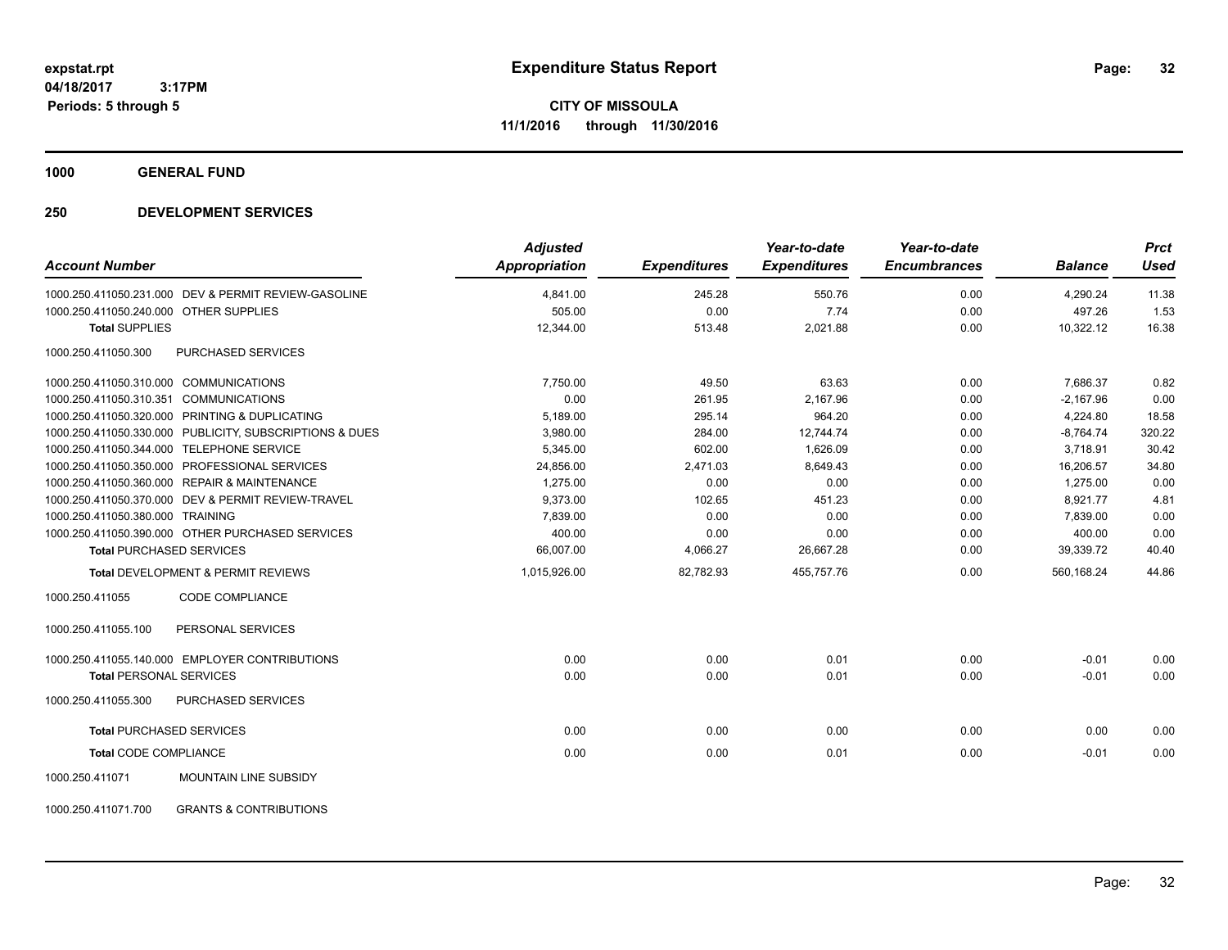**1000 GENERAL FUND**

| <b>Account Number</b>                                    | <b>Adjusted</b><br><b>Appropriation</b> | <b>Expenditures</b> | Year-to-date<br><b>Expenditures</b> | Year-to-date<br><b>Encumbrances</b> | <b>Balance</b> | <b>Prct</b><br><b>Used</b> |
|----------------------------------------------------------|-----------------------------------------|---------------------|-------------------------------------|-------------------------------------|----------------|----------------------------|
| 1000.250.411050.231.000 DEV & PERMIT REVIEW-GASOLINE     | 4,841.00                                | 245.28              | 550.76                              | 0.00                                | 4,290.24       | 11.38                      |
| 1000.250.411050.240.000 OTHER SUPPLIES                   | 505.00                                  | 0.00                | 7.74                                | 0.00                                | 497.26         | 1.53                       |
| <b>Total SUPPLIES</b>                                    | 12,344.00                               | 513.48              | 2,021.88                            | 0.00                                | 10,322.12      | 16.38                      |
| 1000.250.411050.300<br><b>PURCHASED SERVICES</b>         |                                         |                     |                                     |                                     |                |                            |
| 1000.250.411050.310.000 COMMUNICATIONS                   | 7,750.00                                | 49.50               | 63.63                               | 0.00                                | 7,686.37       | 0.82                       |
| 1000.250.411050.310.351 COMMUNICATIONS                   | 0.00                                    | 261.95              | 2.167.96                            | 0.00                                | $-2.167.96$    | 0.00                       |
| 1000.250.411050.320.000 PRINTING & DUPLICATING           | 5,189.00                                | 295.14              | 964.20                              | 0.00                                | 4,224.80       | 18.58                      |
| 1000.250.411050.330.000 PUBLICITY, SUBSCRIPTIONS & DUES  | 3,980.00                                | 284.00              | 12,744.74                           | 0.00                                | $-8,764.74$    | 320.22                     |
| 1000.250.411050.344.000 TELEPHONE SERVICE                | 5,345.00                                | 602.00              | 1,626.09                            | 0.00                                | 3,718.91       | 30.42                      |
| 1000.250.411050.350.000 PROFESSIONAL SERVICES            | 24,856.00                               | 2,471.03            | 8.649.43                            | 0.00                                | 16,206.57      | 34.80                      |
| 1000.250.411050.360.000 REPAIR & MAINTENANCE             | 1,275.00                                | 0.00                | 0.00                                | 0.00                                | 1,275.00       | 0.00                       |
| 1000.250.411050.370.000 DEV & PERMIT REVIEW-TRAVEL       | 9,373.00                                | 102.65              | 451.23                              | 0.00                                | 8,921.77       | 4.81                       |
| 1000.250.411050.380.000 TRAINING                         | 7,839.00                                | 0.00                | 0.00                                | 0.00                                | 7,839.00       | 0.00                       |
| 1000.250.411050.390.000 OTHER PURCHASED SERVICES         | 400.00                                  | 0.00                | 0.00                                | 0.00                                | 400.00         | 0.00                       |
| <b>Total PURCHASED SERVICES</b>                          | 66,007.00                               | 4,066.27            | 26,667.28                           | 0.00                                | 39,339.72      | 40.40                      |
| <b>Total DEVELOPMENT &amp; PERMIT REVIEWS</b>            | 1,015,926.00                            | 82,782.93           | 455.757.76                          | 0.00                                | 560.168.24     | 44.86                      |
| 1000.250.411055<br><b>CODE COMPLIANCE</b>                |                                         |                     |                                     |                                     |                |                            |
| 1000.250.411055.100<br>PERSONAL SERVICES                 |                                         |                     |                                     |                                     |                |                            |
| 1000.250.411055.140.000 EMPLOYER CONTRIBUTIONS           | 0.00                                    | 0.00                | 0.01                                | 0.00                                | $-0.01$        | 0.00                       |
| <b>Total PERSONAL SERVICES</b>                           | 0.00                                    | 0.00                | 0.01                                | 0.00                                | $-0.01$        | 0.00                       |
| 1000.250.411055.300<br>PURCHASED SERVICES                |                                         |                     |                                     |                                     |                |                            |
| <b>Total PURCHASED SERVICES</b>                          | 0.00                                    | 0.00                | 0.00                                | 0.00                                | 0.00           | 0.00                       |
| <b>Total CODE COMPLIANCE</b>                             | 0.00                                    | 0.00                | 0.01                                | 0.00                                | $-0.01$        | 0.00                       |
| <b>MOUNTAIN LINE SUBSIDY</b><br>1000.250.411071          |                                         |                     |                                     |                                     |                |                            |
| <b>GRANTS &amp; CONTRIBUTIONS</b><br>1000.250.411071.700 |                                         |                     |                                     |                                     |                |                            |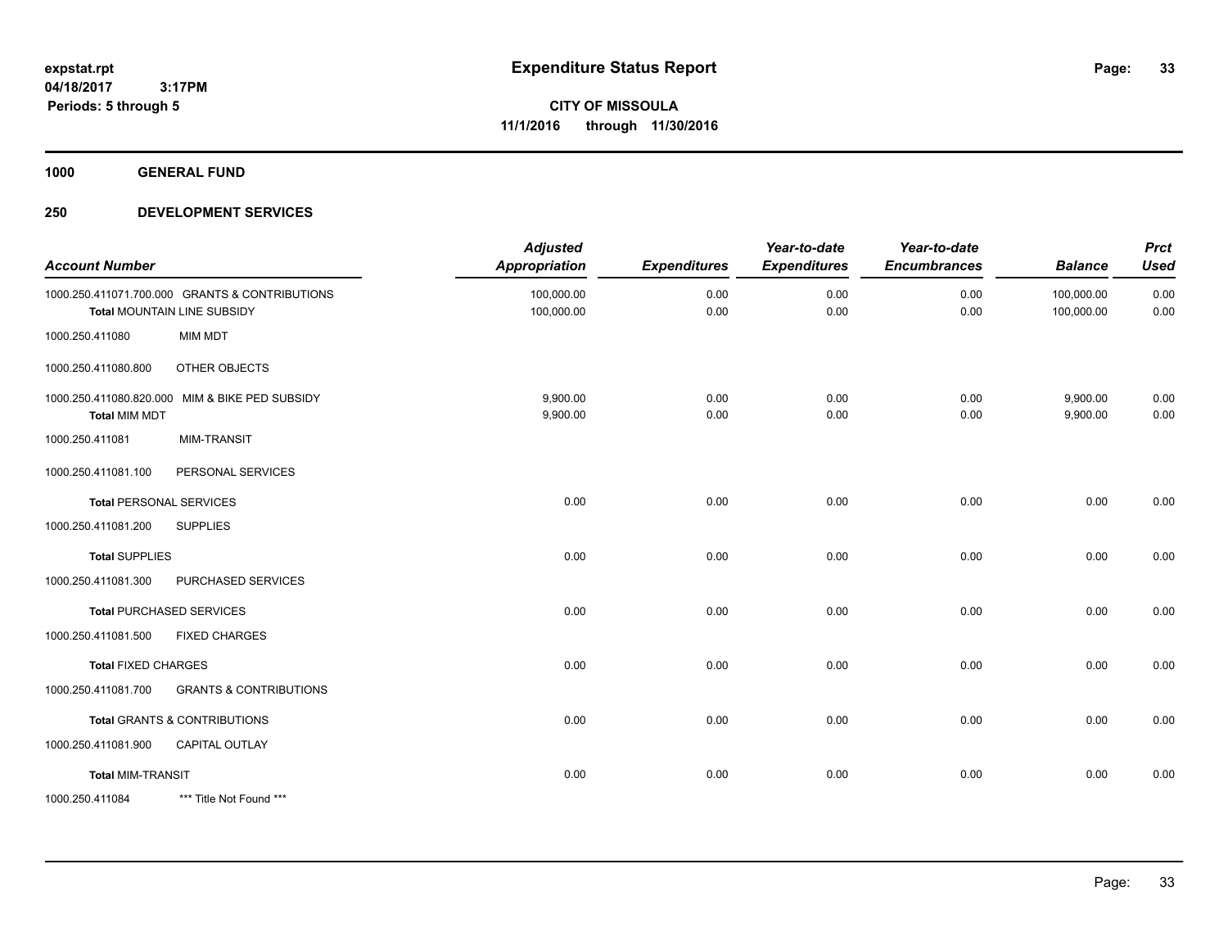**1000 GENERAL FUND**

| <b>Account Number</b>      |                                                                               | <b>Adjusted</b><br><b>Appropriation</b> | <b>Expenditures</b> | Year-to-date<br><b>Expenditures</b> | Year-to-date<br><b>Encumbrances</b> | <b>Balance</b>           | <b>Prct</b><br><b>Used</b> |
|----------------------------|-------------------------------------------------------------------------------|-----------------------------------------|---------------------|-------------------------------------|-------------------------------------|--------------------------|----------------------------|
|                            | 1000.250.411071.700.000 GRANTS & CONTRIBUTIONS<br>Total MOUNTAIN LINE SUBSIDY | 100,000.00<br>100,000.00                | 0.00<br>0.00        | 0.00<br>0.00                        | 0.00<br>0.00                        | 100,000.00<br>100,000.00 | 0.00<br>0.00               |
| 1000.250.411080            | <b>MIM MDT</b>                                                                |                                         |                     |                                     |                                     |                          |                            |
| 1000.250.411080.800        | OTHER OBJECTS                                                                 |                                         |                     |                                     |                                     |                          |                            |
| <b>Total MIM MDT</b>       | 1000.250.411080.820.000 MIM & BIKE PED SUBSIDY                                | 9,900.00<br>9,900.00                    | 0.00<br>0.00        | 0.00<br>0.00                        | 0.00<br>0.00                        | 9,900.00<br>9,900.00     | 0.00<br>0.00               |
| 1000.250.411081            | <b>MIM-TRANSIT</b>                                                            |                                         |                     |                                     |                                     |                          |                            |
| 1000.250.411081.100        | PERSONAL SERVICES                                                             |                                         |                     |                                     |                                     |                          |                            |
|                            | <b>Total PERSONAL SERVICES</b>                                                | 0.00                                    | 0.00                | 0.00                                | 0.00                                | 0.00                     | 0.00                       |
| 1000.250.411081.200        | <b>SUPPLIES</b>                                                               |                                         |                     |                                     |                                     |                          |                            |
| <b>Total SUPPLIES</b>      |                                                                               | 0.00                                    | 0.00                | 0.00                                | 0.00                                | 0.00                     | 0.00                       |
| 1000.250.411081.300        | PURCHASED SERVICES                                                            |                                         |                     |                                     |                                     |                          |                            |
|                            | <b>Total PURCHASED SERVICES</b>                                               | 0.00                                    | 0.00                | 0.00                                | 0.00                                | 0.00                     | 0.00                       |
| 1000.250.411081.500        | <b>FIXED CHARGES</b>                                                          |                                         |                     |                                     |                                     |                          |                            |
| <b>Total FIXED CHARGES</b> |                                                                               | 0.00                                    | 0.00                | 0.00                                | 0.00                                | 0.00                     | 0.00                       |
| 1000.250.411081.700        | <b>GRANTS &amp; CONTRIBUTIONS</b>                                             |                                         |                     |                                     |                                     |                          |                            |
|                            | <b>Total GRANTS &amp; CONTRIBUTIONS</b>                                       | 0.00                                    | 0.00                | 0.00                                | 0.00                                | 0.00                     | 0.00                       |
| 1000.250.411081.900        | CAPITAL OUTLAY                                                                |                                         |                     |                                     |                                     |                          |                            |
| <b>Total MIM-TRANSIT</b>   |                                                                               | 0.00                                    | 0.00                | 0.00                                | 0.00                                | 0.00                     | 0.00                       |
| 1000.250.411084            | *** Title Not Found ***                                                       |                                         |                     |                                     |                                     |                          |                            |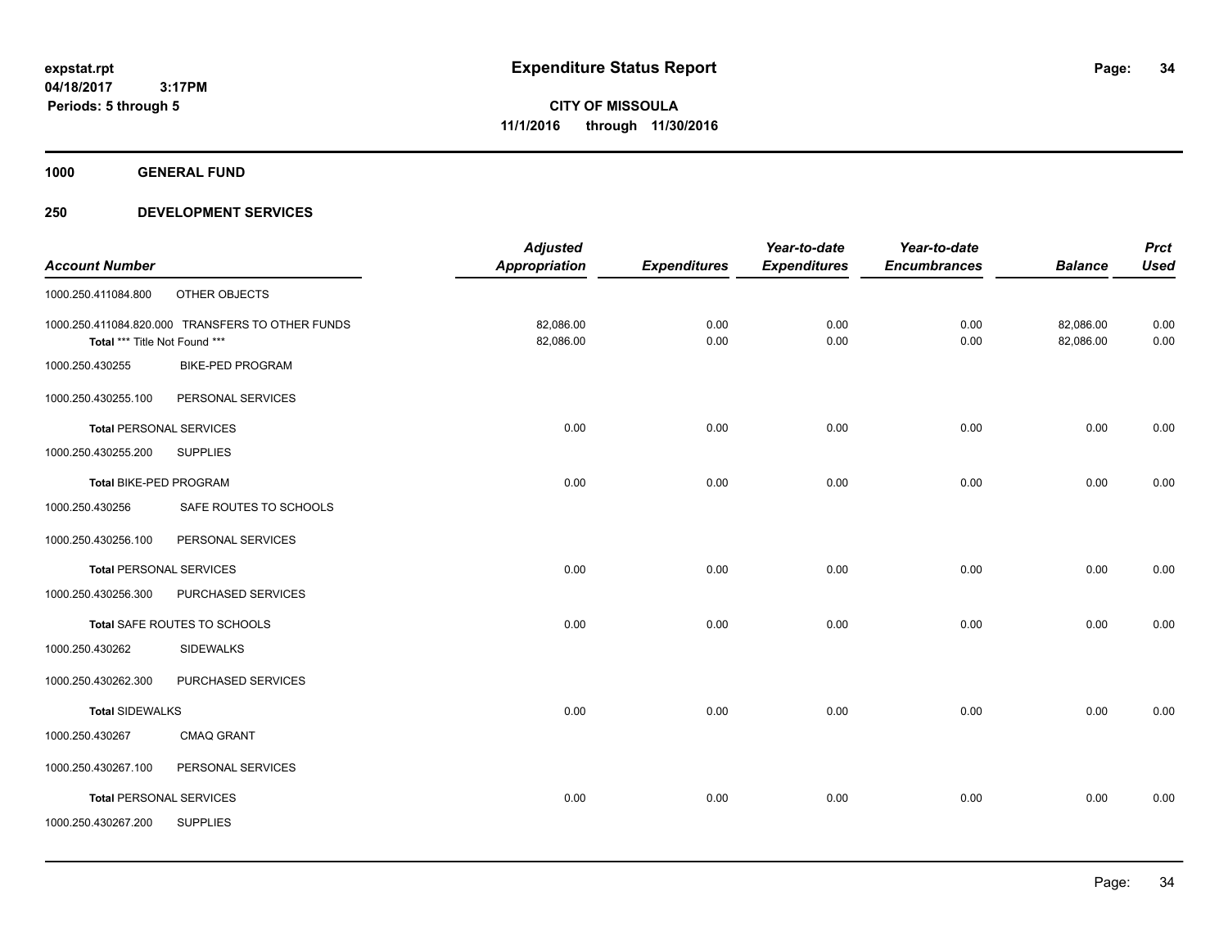**1000 GENERAL FUND**

|                                |                                                  | <b>Adjusted</b>      |                     | Year-to-date        | Year-to-date        |                | <b>Prct</b> |
|--------------------------------|--------------------------------------------------|----------------------|---------------------|---------------------|---------------------|----------------|-------------|
| <b>Account Number</b>          |                                                  | <b>Appropriation</b> | <b>Expenditures</b> | <b>Expenditures</b> | <b>Encumbrances</b> | <b>Balance</b> | <b>Used</b> |
| 1000.250.411084.800            | OTHER OBJECTS                                    |                      |                     |                     |                     |                |             |
|                                | 1000.250.411084.820.000 TRANSFERS TO OTHER FUNDS | 82,086.00            | 0.00                | 0.00                | 0.00                | 82,086.00      | 0.00        |
| Total *** Title Not Found ***  |                                                  | 82,086.00            | 0.00                | 0.00                | 0.00                | 82,086.00      | 0.00        |
| 1000.250.430255                | <b>BIKE-PED PROGRAM</b>                          |                      |                     |                     |                     |                |             |
| 1000.250.430255.100            | PERSONAL SERVICES                                |                      |                     |                     |                     |                |             |
| <b>Total PERSONAL SERVICES</b> |                                                  | 0.00                 | 0.00                | 0.00                | 0.00                | 0.00           | 0.00        |
| 1000.250.430255.200            | <b>SUPPLIES</b>                                  |                      |                     |                     |                     |                |             |
| Total BIKE-PED PROGRAM         |                                                  | 0.00                 | 0.00                | 0.00                | 0.00                | 0.00           | 0.00        |
| 1000.250.430256                | SAFE ROUTES TO SCHOOLS                           |                      |                     |                     |                     |                |             |
| 1000.250.430256.100            | PERSONAL SERVICES                                |                      |                     |                     |                     |                |             |
| <b>Total PERSONAL SERVICES</b> |                                                  | 0.00                 | 0.00                | 0.00                | 0.00                | 0.00           | 0.00        |
| 1000.250.430256.300            | PURCHASED SERVICES                               |                      |                     |                     |                     |                |             |
|                                | Total SAFE ROUTES TO SCHOOLS                     | 0.00                 | 0.00                | 0.00                | 0.00                | 0.00           | 0.00        |
| 1000.250.430262                | <b>SIDEWALKS</b>                                 |                      |                     |                     |                     |                |             |
| 1000.250.430262.300            | PURCHASED SERVICES                               |                      |                     |                     |                     |                |             |
| <b>Total SIDEWALKS</b>         |                                                  | 0.00                 | 0.00                | 0.00                | 0.00                | 0.00           | 0.00        |
| 1000.250.430267                | <b>CMAQ GRANT</b>                                |                      |                     |                     |                     |                |             |
| 1000.250.430267.100            | PERSONAL SERVICES                                |                      |                     |                     |                     |                |             |
| <b>Total PERSONAL SERVICES</b> |                                                  | 0.00                 | 0.00                | 0.00                | 0.00                | 0.00           | 0.00        |
| 1000.250.430267.200            | <b>SUPPLIES</b>                                  |                      |                     |                     |                     |                |             |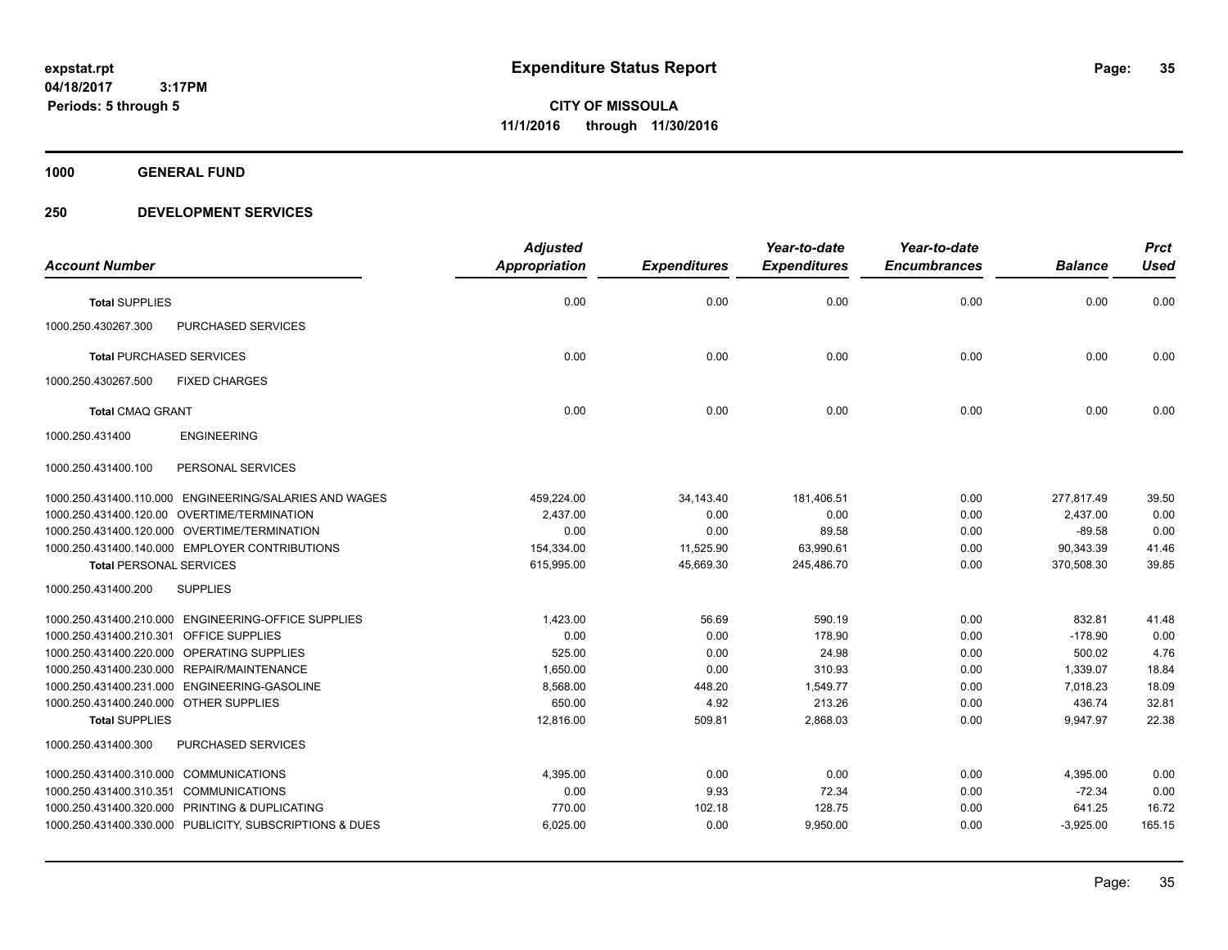**CITY OF MISSOULA 11/1/2016 through 11/30/2016**

**1000 GENERAL FUND**

|                                                         | <b>Adjusted</b>      |                     | Year-to-date        | Year-to-date        |                | <b>Prct</b> |
|---------------------------------------------------------|----------------------|---------------------|---------------------|---------------------|----------------|-------------|
| <b>Account Number</b>                                   | <b>Appropriation</b> | <b>Expenditures</b> | <b>Expenditures</b> | <b>Encumbrances</b> | <b>Balance</b> | <b>Used</b> |
| <b>Total SUPPLIES</b>                                   | 0.00                 | 0.00                | 0.00                | 0.00                | 0.00           | 0.00        |
| <b>PURCHASED SERVICES</b><br>1000.250.430267.300        |                      |                     |                     |                     |                |             |
| <b>Total PURCHASED SERVICES</b>                         | 0.00                 | 0.00                | 0.00                | 0.00                | 0.00           | 0.00        |
| 1000.250.430267.500<br><b>FIXED CHARGES</b>             |                      |                     |                     |                     |                |             |
| <b>Total CMAQ GRANT</b>                                 | 0.00                 | 0.00                | 0.00                | 0.00                | 0.00           | 0.00        |
| <b>ENGINEERING</b><br>1000.250.431400                   |                      |                     |                     |                     |                |             |
| PERSONAL SERVICES<br>1000.250.431400.100                |                      |                     |                     |                     |                |             |
| 1000.250.431400.110.000 ENGINEERING/SALARIES AND WAGES  | 459,224.00           | 34,143.40           | 181,406.51          | 0.00                | 277,817.49     | 39.50       |
| 1000.250.431400.120.00 OVERTIME/TERMINATION             | 2,437.00             | 0.00                | 0.00                | 0.00                | 2,437.00       | 0.00        |
| 1000.250.431400.120.000 OVERTIME/TERMINATION            | 0.00                 | 0.00                | 89.58               | 0.00                | $-89.58$       | 0.00        |
| 1000.250.431400.140.000 EMPLOYER CONTRIBUTIONS          | 154,334.00           | 11,525.90           | 63,990.61           | 0.00                | 90,343.39      | 41.46       |
| <b>Total PERSONAL SERVICES</b>                          | 615,995.00           | 45,669.30           | 245,486.70          | 0.00                | 370,508.30     | 39.85       |
| 1000.250.431400.200<br><b>SUPPLIES</b>                  |                      |                     |                     |                     |                |             |
| 1000.250.431400.210.000 ENGINEERING-OFFICE SUPPLIES     | 1,423.00             | 56.69               | 590.19              | 0.00                | 832.81         | 41.48       |
| 1000.250.431400.210.301 OFFICE SUPPLIES                 | 0.00                 | 0.00                | 178.90              | 0.00                | $-178.90$      | 0.00        |
| 1000.250.431400.220.000 OPERATING SUPPLIES              | 525.00               | 0.00                | 24.98               | 0.00                | 500.02         | 4.76        |
| 1000.250.431400.230.000 REPAIR/MAINTENANCE              | 1,650.00             | 0.00                | 310.93              | 0.00                | 1,339.07       | 18.84       |
| 1000.250.431400.231.000 ENGINEERING-GASOLINE            | 8,568.00             | 448.20              | 1,549.77            | 0.00                | 7,018.23       | 18.09       |
| 1000.250.431400.240.000 OTHER SUPPLIES                  | 650.00               | 4.92                | 213.26              | 0.00                | 436.74         | 32.81       |
| <b>Total SUPPLIES</b>                                   | 12,816.00            | 509.81              | 2,868.03            | 0.00                | 9,947.97       | 22.38       |
| 1000.250.431400.300<br><b>PURCHASED SERVICES</b>        |                      |                     |                     |                     |                |             |
| 1000.250.431400.310.000 COMMUNICATIONS                  | 4,395.00             | 0.00                | 0.00                | 0.00                | 4,395.00       | 0.00        |
| 1000.250.431400.310.351 COMMUNICATIONS                  | 0.00                 | 9.93                | 72.34               | 0.00                | $-72.34$       | 0.00        |
| 1000.250.431400.320.000 PRINTING & DUPLICATING          | 770.00               | 102.18              | 128.75              | 0.00                | 641.25         | 16.72       |
| 1000.250.431400.330.000 PUBLICITY, SUBSCRIPTIONS & DUES | 6,025.00             | 0.00                | 9,950.00            | 0.00                | $-3,925.00$    | 165.15      |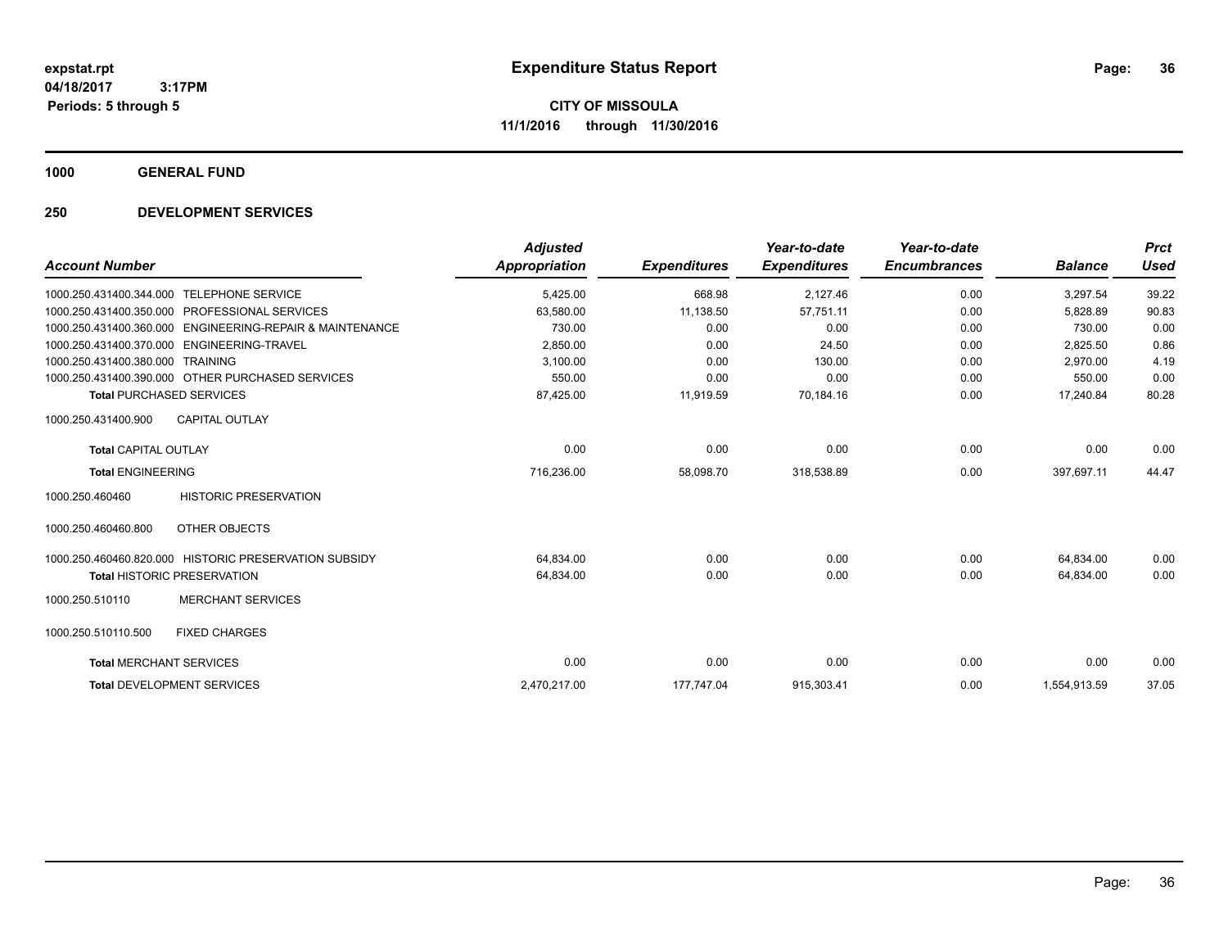**1000 GENERAL FUND**

|                                |                                                       | <b>Adjusted</b>      |                     | Year-to-date        | Year-to-date        |                | <b>Prct</b> |
|--------------------------------|-------------------------------------------------------|----------------------|---------------------|---------------------|---------------------|----------------|-------------|
| <b>Account Number</b>          |                                                       | <b>Appropriation</b> | <b>Expenditures</b> | <b>Expenditures</b> | <b>Encumbrances</b> | <b>Balance</b> | <b>Used</b> |
| 1000.250.431400.344.000        | <b>TELEPHONE SERVICE</b>                              | 5,425.00             | 668.98              | 2,127.46            | 0.00                | 3,297.54       | 39.22       |
| 1000.250.431400.350.000        | <b>PROFESSIONAL SERVICES</b>                          | 63,580.00            | 11,138.50           | 57,751.11           | 0.00                | 5,828.89       | 90.83       |
| 1000.250.431400.360.000        | <b>ENGINEERING-REPAIR &amp; MAINTENANCE</b>           | 730.00               | 0.00                | 0.00                | 0.00                | 730.00         | 0.00        |
| 1000.250.431400.370.000        | ENGINEERING-TRAVEL                                    | 2,850.00             | 0.00                | 24.50               | 0.00                | 2,825.50       | 0.86        |
| 1000.250.431400.380.000        | TRAINING                                              | 3,100.00             | 0.00                | 130.00              | 0.00                | 2.970.00       | 4.19        |
|                                | 1000.250.431400.390.000 OTHER PURCHASED SERVICES      | 550.00               | 0.00                | 0.00                | 0.00                | 550.00         | 0.00        |
|                                | <b>Total PURCHASED SERVICES</b>                       | 87,425.00            | 11,919.59           | 70,184.16           | 0.00                | 17,240.84      | 80.28       |
| 1000.250.431400.900            | <b>CAPITAL OUTLAY</b>                                 |                      |                     |                     |                     |                |             |
| <b>Total CAPITAL OUTLAY</b>    |                                                       | 0.00                 | 0.00                | 0.00                | 0.00                | 0.00           | 0.00        |
| <b>Total ENGINEERING</b>       |                                                       | 716,236.00           | 58,098.70           | 318,538.89          | 0.00                | 397,697.11     | 44.47       |
| 1000.250.460460                | <b>HISTORIC PRESERVATION</b>                          |                      |                     |                     |                     |                |             |
| 1000.250.460460.800            | OTHER OBJECTS                                         |                      |                     |                     |                     |                |             |
|                                | 1000.250.460460.820.000 HISTORIC PRESERVATION SUBSIDY | 64,834.00            | 0.00                | 0.00                | 0.00                | 64,834.00      | 0.00        |
|                                | <b>Total HISTORIC PRESERVATION</b>                    | 64,834.00            | 0.00                | 0.00                | 0.00                | 64,834.00      | 0.00        |
| 1000.250.510110                | <b>MERCHANT SERVICES</b>                              |                      |                     |                     |                     |                |             |
| 1000.250.510110.500            | <b>FIXED CHARGES</b>                                  |                      |                     |                     |                     |                |             |
| <b>Total MERCHANT SERVICES</b> |                                                       | 0.00                 | 0.00                | 0.00                | 0.00                | 0.00           | 0.00        |
|                                | <b>Total DEVELOPMENT SERVICES</b>                     | 2,470,217.00         | 177,747.04          | 915,303.41          | 0.00                | 1,554,913.59   | 37.05       |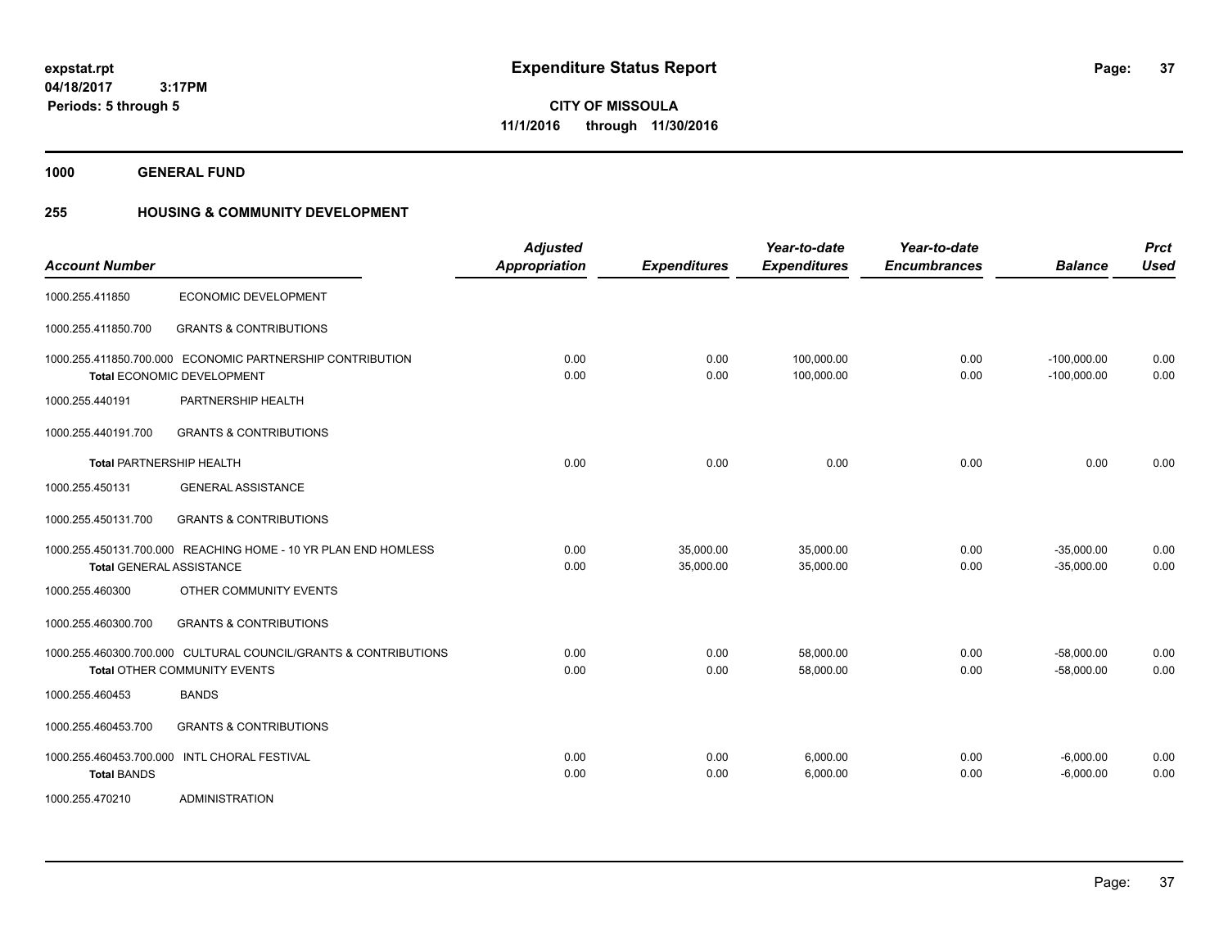**Periods: 5 through 5**

**37**

**CITY OF MISSOULA 11/1/2016 through 11/30/2016**

**1000 GENERAL FUND**

 **3:17PM**

## **255 HOUSING & COMMUNITY DEVELOPMENT**

| <b>Account Number</b>           |                                                                                                 | <b>Adjusted</b><br>Appropriation | <b>Expenditures</b>    | Year-to-date<br><b>Expenditures</b> | Year-to-date<br><b>Encumbrances</b> | <b>Balance</b>                 | <b>Prct</b><br><b>Used</b> |
|---------------------------------|-------------------------------------------------------------------------------------------------|----------------------------------|------------------------|-------------------------------------|-------------------------------------|--------------------------------|----------------------------|
| 1000.255.411850                 | ECONOMIC DEVELOPMENT                                                                            |                                  |                        |                                     |                                     |                                |                            |
| 1000.255.411850.700             | <b>GRANTS &amp; CONTRIBUTIONS</b>                                                               |                                  |                        |                                     |                                     |                                |                            |
|                                 | 1000.255.411850.700.000 ECONOMIC PARTNERSHIP CONTRIBUTION<br><b>Total ECONOMIC DEVELOPMENT</b>  | 0.00<br>0.00                     | 0.00<br>0.00           | 100,000.00<br>100,000.00            | 0.00<br>0.00                        | $-100,000.00$<br>$-100,000.00$ | 0.00<br>0.00               |
| 1000.255.440191                 | PARTNERSHIP HEALTH                                                                              |                                  |                        |                                     |                                     |                                |                            |
| 1000.255.440191.700             | <b>GRANTS &amp; CONTRIBUTIONS</b>                                                               |                                  |                        |                                     |                                     |                                |                            |
| <b>Total PARTNERSHIP HEALTH</b> |                                                                                                 | 0.00                             | 0.00                   | 0.00                                | 0.00                                | 0.00                           | 0.00                       |
| 1000.255.450131                 | <b>GENERAL ASSISTANCE</b>                                                                       |                                  |                        |                                     |                                     |                                |                            |
| 1000.255.450131.700             | <b>GRANTS &amp; CONTRIBUTIONS</b>                                                               |                                  |                        |                                     |                                     |                                |                            |
| <b>Total GENERAL ASSISTANCE</b> | 1000.255.450131.700.000 REACHING HOME - 10 YR PLAN END HOMLESS                                  | 0.00<br>0.00                     | 35,000.00<br>35,000.00 | 35,000.00<br>35,000.00              | 0.00<br>0.00                        | $-35,000.00$<br>$-35,000.00$   | 0.00<br>0.00               |
| 1000.255.460300                 | OTHER COMMUNITY EVENTS                                                                          |                                  |                        |                                     |                                     |                                |                            |
| 1000.255.460300.700             | <b>GRANTS &amp; CONTRIBUTIONS</b>                                                               |                                  |                        |                                     |                                     |                                |                            |
|                                 | 1000.255.460300.700.000 CULTURAL COUNCIL/GRANTS & CONTRIBUTIONS<br>Total OTHER COMMUNITY EVENTS | 0.00<br>0.00                     | 0.00<br>0.00           | 58,000.00<br>58,000.00              | 0.00<br>0.00                        | $-58,000.00$<br>$-58,000.00$   | 0.00<br>0.00               |
| 1000.255.460453                 | <b>BANDS</b>                                                                                    |                                  |                        |                                     |                                     |                                |                            |
| 1000.255.460453.700             | <b>GRANTS &amp; CONTRIBUTIONS</b>                                                               |                                  |                        |                                     |                                     |                                |                            |
| <b>Total BANDS</b>              | 1000.255.460453.700.000 INTL CHORAL FESTIVAL                                                    | 0.00<br>0.00                     | 0.00<br>0.00           | 6,000.00<br>6,000.00                | 0.00<br>0.00                        | $-6,000.00$<br>$-6,000.00$     | 0.00<br>0.00               |
| 1000.255.470210                 | <b>ADMINISTRATION</b>                                                                           |                                  |                        |                                     |                                     |                                |                            |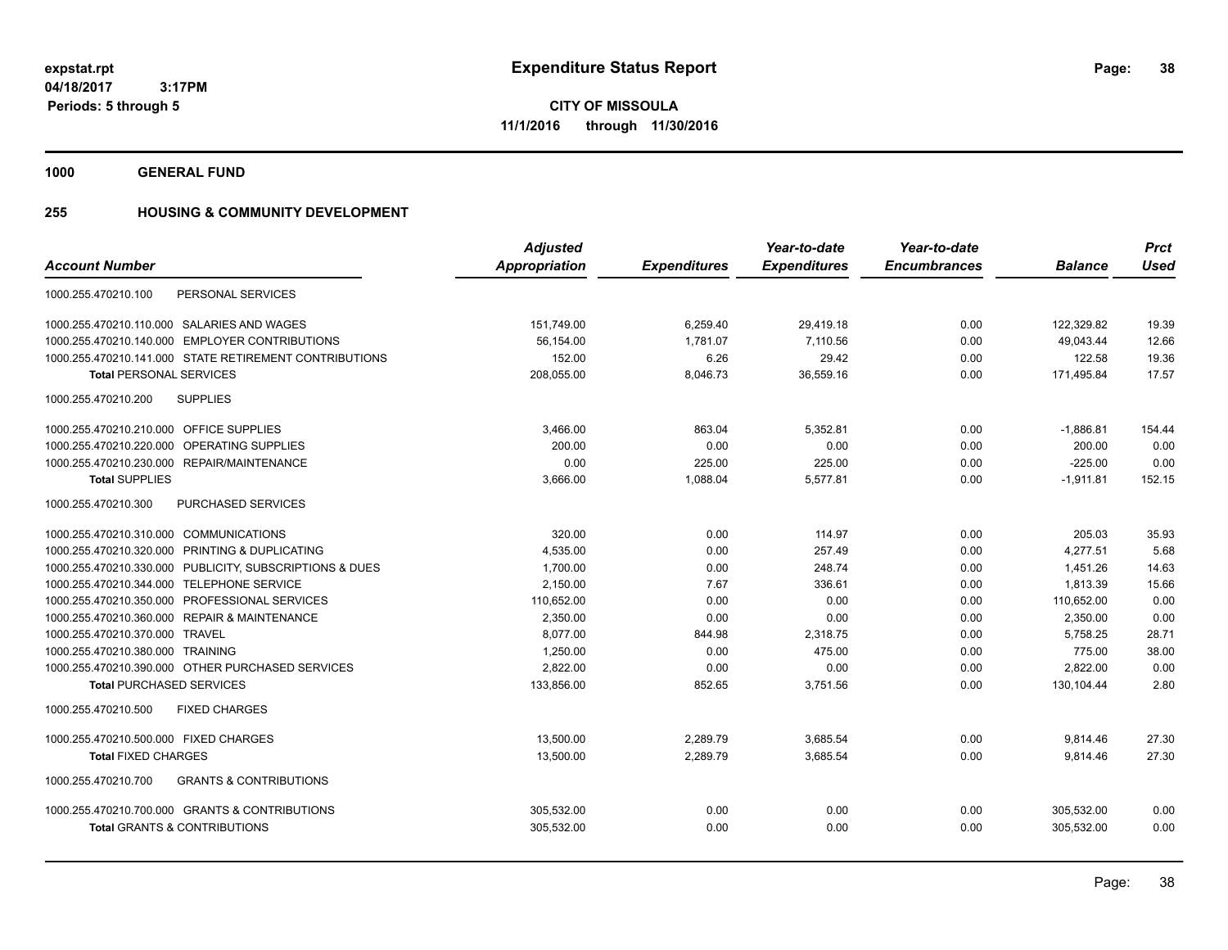**CITY OF MISSOULA 11/1/2016 through 11/30/2016**

**1000 GENERAL FUND**

### **255 HOUSING & COMMUNITY DEVELOPMENT**

|                                                          | <b>Adjusted</b>      |                     | Year-to-date        | Year-to-date        |                | <b>Prct</b> |
|----------------------------------------------------------|----------------------|---------------------|---------------------|---------------------|----------------|-------------|
| <b>Account Number</b>                                    | <b>Appropriation</b> | <b>Expenditures</b> | <b>Expenditures</b> | <b>Encumbrances</b> | <b>Balance</b> | <b>Used</b> |
| PERSONAL SERVICES<br>1000.255.470210.100                 |                      |                     |                     |                     |                |             |
| 1000.255.470210.110.000 SALARIES AND WAGES               | 151,749.00           | 6,259.40            | 29,419.18           | 0.00                | 122,329.82     | 19.39       |
| 1000.255.470210.140.000 EMPLOYER CONTRIBUTIONS           | 56,154.00            | 1,781.07            | 7,110.56            | 0.00                | 49,043.44      | 12.66       |
| 1000.255.470210.141.000 STATE RETIREMENT CONTRIBUTIONS   | 152.00               | 6.26                | 29.42               | 0.00                | 122.58         | 19.36       |
| <b>Total PERSONAL SERVICES</b>                           | 208,055.00           | 8,046.73            | 36,559.16           | 0.00                | 171,495.84     | 17.57       |
| <b>SUPPLIES</b><br>1000.255.470210.200                   |                      |                     |                     |                     |                |             |
| 1000.255.470210.210.000 OFFICE SUPPLIES                  | 3,466.00             | 863.04              | 5.352.81            | 0.00                | $-1,886.81$    | 154.44      |
| 1000.255.470210.220.000 OPERATING SUPPLIES               | 200.00               | 0.00                | 0.00                | 0.00                | 200.00         | 0.00        |
| 1000.255.470210.230.000 REPAIR/MAINTENANCE               | 0.00                 | 225.00              | 225.00              | 0.00                | $-225.00$      | 0.00        |
| <b>Total SUPPLIES</b>                                    | 3,666.00             | 1,088.04            | 5,577.81            | 0.00                | $-1,911.81$    | 152.15      |
| 1000.255.470210.300<br>PURCHASED SERVICES                |                      |                     |                     |                     |                |             |
| 1000.255.470210.310.000 COMMUNICATIONS                   | 320.00               | 0.00                | 114.97              | 0.00                | 205.03         | 35.93       |
| 1000.255.470210.320.000 PRINTING & DUPLICATING           | 4,535.00             | 0.00                | 257.49              | 0.00                | 4.277.51       | 5.68        |
| 1000.255.470210.330.000 PUBLICITY, SUBSCRIPTIONS & DUES  | 1,700.00             | 0.00                | 248.74              | 0.00                | 1,451.26       | 14.63       |
| 1000.255.470210.344.000 TELEPHONE SERVICE                | 2,150.00             | 7.67                | 336.61              | 0.00                | 1,813.39       | 15.66       |
| 1000.255.470210.350.000 PROFESSIONAL SERVICES            | 110,652.00           | 0.00                | 0.00                | 0.00                | 110,652.00     | 0.00        |
| 1000.255.470210.360.000 REPAIR & MAINTENANCE             | 2,350.00             | 0.00                | 0.00                | 0.00                | 2,350.00       | 0.00        |
| 1000.255.470210.370.000 TRAVEL                           | 8.077.00             | 844.98              | 2.318.75            | 0.00                | 5,758.25       | 28.71       |
| 1000.255.470210.380.000 TRAINING                         | 1,250.00             | 0.00                | 475.00              | 0.00                | 775.00         | 38.00       |
| 1000.255.470210.390.000 OTHER PURCHASED SERVICES         | 2,822.00             | 0.00                | 0.00                | 0.00                | 2,822.00       | 0.00        |
| <b>Total PURCHASED SERVICES</b>                          | 133,856.00           | 852.65              | 3,751.56            | 0.00                | 130,104.44     | 2.80        |
| 1000.255.470210.500<br><b>FIXED CHARGES</b>              |                      |                     |                     |                     |                |             |
| 1000.255.470210.500.000 FIXED CHARGES                    | 13,500.00            | 2,289.79            | 3,685.54            | 0.00                | 9,814.46       | 27.30       |
| <b>Total FIXED CHARGES</b>                               | 13,500.00            | 2,289.79            | 3,685.54            | 0.00                | 9,814.46       | 27.30       |
| <b>GRANTS &amp; CONTRIBUTIONS</b><br>1000.255.470210.700 |                      |                     |                     |                     |                |             |
| 1000.255.470210.700.000 GRANTS & CONTRIBUTIONS           | 305,532.00           | 0.00                | 0.00                | 0.00                | 305,532.00     | 0.00        |
| <b>Total GRANTS &amp; CONTRIBUTIONS</b>                  | 305,532.00           | 0.00                | 0.00                | 0.00                | 305,532.00     | 0.00        |
|                                                          |                      |                     |                     |                     |                |             |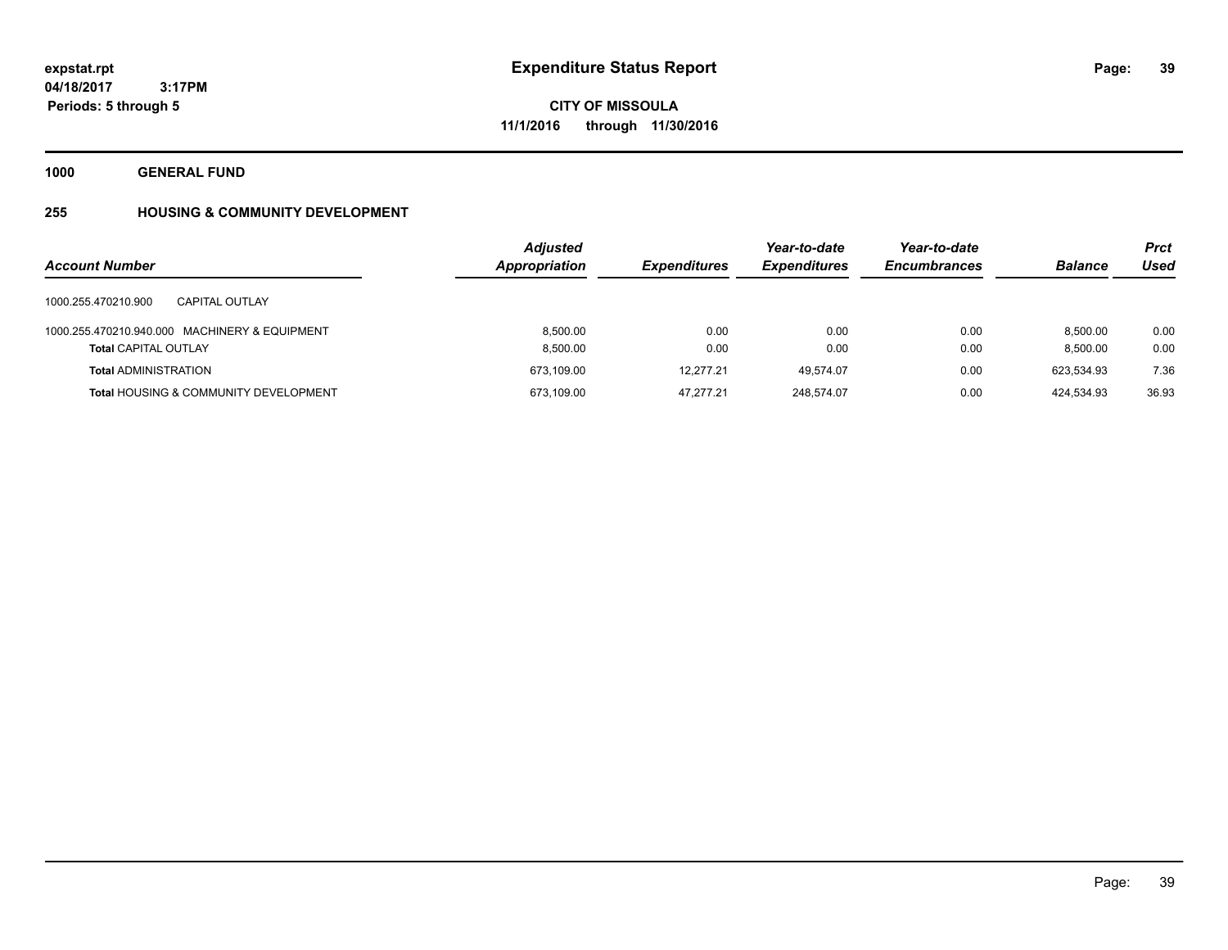**39**

**04/18/2017 3:17PM Periods: 5 through 5**

**CITY OF MISSOULA 11/1/2016 through 11/30/2016**

**1000 GENERAL FUND**

# **255 HOUSING & COMMUNITY DEVELOPMENT**

|                                                  | <b>Adjusted</b>      |                     | Year-to-date        | Year-to-date        |                | <b>Prct</b> |
|--------------------------------------------------|----------------------|---------------------|---------------------|---------------------|----------------|-------------|
| <b>Account Number</b>                            | <b>Appropriation</b> | <b>Expenditures</b> | <b>Expenditures</b> | <b>Encumbrances</b> | <b>Balance</b> | Used        |
| 1000.255.470210.900<br>CAPITAL OUTLAY            |                      |                     |                     |                     |                |             |
| 1000.255.470210.940.000 MACHINERY & EQUIPMENT    | 8.500.00             | 0.00                | 0.00                | 0.00                | 8.500.00       | 0.00        |
| <b>Total CAPITAL OUTLAY</b>                      | 8,500.00             | 0.00                | 0.00                | 0.00                | 8.500.00       | 0.00        |
| <b>Total ADMINISTRATION</b>                      | 673.109.00           | 12.277.21           | 49.574.07           | 0.00                | 623.534.93     | 7.36        |
| <b>Total HOUSING &amp; COMMUNITY DEVELOPMENT</b> | 673,109.00           | 47.277.21           | 248.574.07          | 0.00                | 424,534.93     | 36.93       |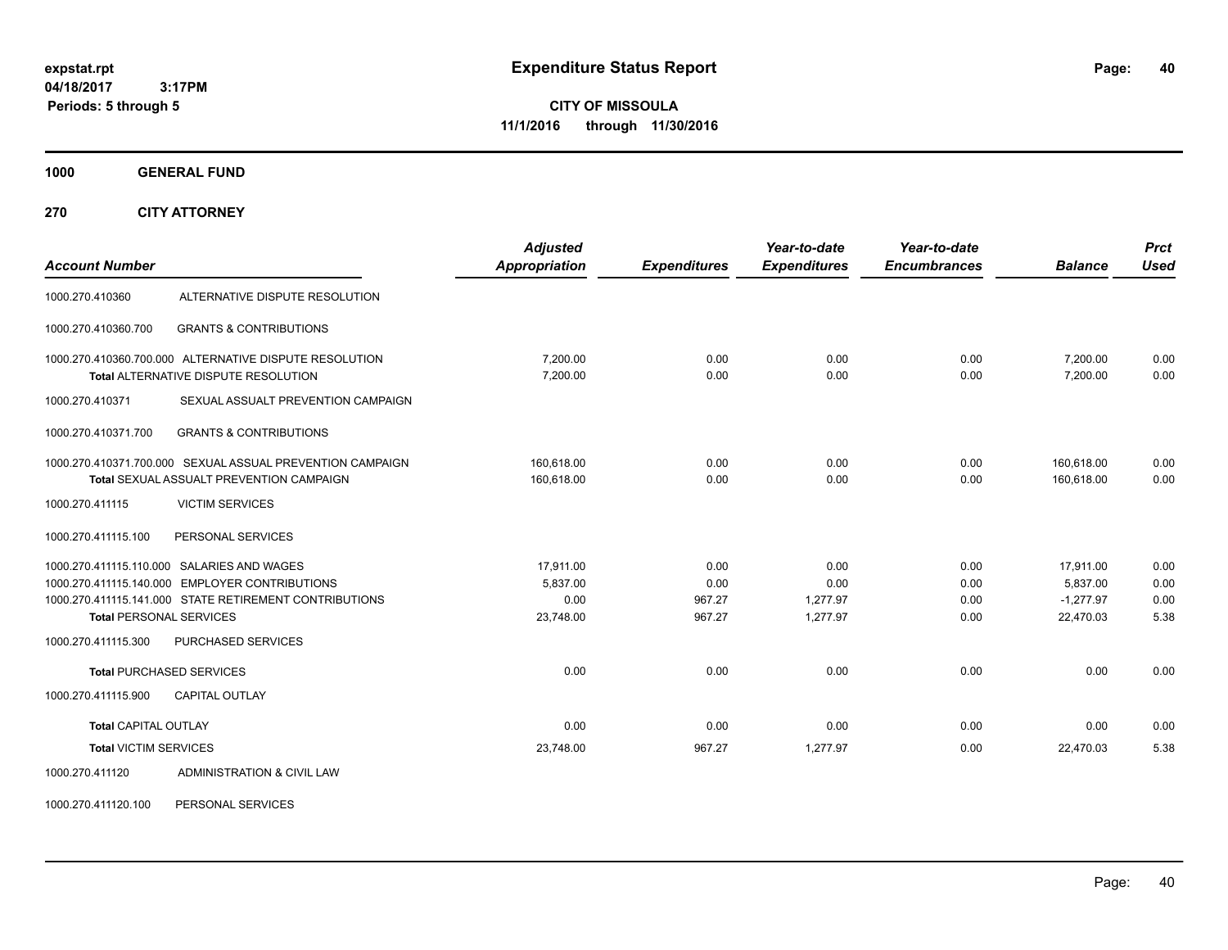**CITY OF MISSOULA 11/1/2016 through 11/30/2016**

**1000 GENERAL FUND**

**270 CITY ATTORNEY**

| <b>Account Number</b>          |                                                                                                                                                        | <b>Adjusted</b><br><b>Appropriation</b>    | <b>Expenditures</b>              | Year-to-date<br><b>Expenditures</b>  | Year-to-date<br><b>Encumbrances</b> | <b>Balance</b>                                    | <b>Prct</b><br><b>Used</b>   |
|--------------------------------|--------------------------------------------------------------------------------------------------------------------------------------------------------|--------------------------------------------|----------------------------------|--------------------------------------|-------------------------------------|---------------------------------------------------|------------------------------|
| 1000.270.410360                | ALTERNATIVE DISPUTE RESOLUTION                                                                                                                         |                                            |                                  |                                      |                                     |                                                   |                              |
| 1000.270.410360.700            | <b>GRANTS &amp; CONTRIBUTIONS</b>                                                                                                                      |                                            |                                  |                                      |                                     |                                                   |                              |
|                                | 1000.270.410360.700.000 ALTERNATIVE DISPUTE RESOLUTION<br>Total ALTERNATIVE DISPUTE RESOLUTION                                                         | 7,200.00<br>7,200.00                       | 0.00<br>0.00                     | 0.00<br>0.00                         | 0.00<br>0.00                        | 7,200.00<br>7,200.00                              | 0.00<br>0.00                 |
| 1000.270.410371                | SEXUAL ASSUALT PREVENTION CAMPAIGN                                                                                                                     |                                            |                                  |                                      |                                     |                                                   |                              |
| 1000.270.410371.700            | <b>GRANTS &amp; CONTRIBUTIONS</b>                                                                                                                      |                                            |                                  |                                      |                                     |                                                   |                              |
|                                | 1000.270.410371.700.000 SEXUAL ASSUAL PREVENTION CAMPAIGN<br>Total SEXUAL ASSUALT PREVENTION CAMPAIGN                                                  | 160,618.00<br>160,618.00                   | 0.00<br>0.00                     | 0.00<br>0.00                         | 0.00<br>0.00                        | 160,618.00<br>160,618.00                          | 0.00<br>0.00                 |
| 1000.270.411115                | <b>VICTIM SERVICES</b>                                                                                                                                 |                                            |                                  |                                      |                                     |                                                   |                              |
| 1000.270.411115.100            | PERSONAL SERVICES                                                                                                                                      |                                            |                                  |                                      |                                     |                                                   |                              |
| <b>Total PERSONAL SERVICES</b> | 1000.270.411115.110.000 SALARIES AND WAGES<br>1000.270.411115.140.000 EMPLOYER CONTRIBUTIONS<br>1000.270.411115.141.000 STATE RETIREMENT CONTRIBUTIONS | 17,911.00<br>5,837.00<br>0.00<br>23,748.00 | 0.00<br>0.00<br>967.27<br>967.27 | 0.00<br>0.00<br>1,277.97<br>1,277.97 | 0.00<br>0.00<br>0.00<br>0.00        | 17,911.00<br>5,837.00<br>$-1.277.97$<br>22,470.03 | 0.00<br>0.00<br>0.00<br>5.38 |
| 1000.270.411115.300            | <b>PURCHASED SERVICES</b>                                                                                                                              |                                            |                                  |                                      |                                     |                                                   |                              |
| 1000.270.411115.900            | <b>Total PURCHASED SERVICES</b><br><b>CAPITAL OUTLAY</b>                                                                                               | 0.00                                       | 0.00                             | 0.00                                 | 0.00                                | 0.00                                              | 0.00                         |
| <b>Total CAPITAL OUTLAY</b>    |                                                                                                                                                        | 0.00                                       | 0.00                             | 0.00                                 | 0.00                                | 0.00                                              | 0.00                         |
| <b>Total VICTIM SERVICES</b>   |                                                                                                                                                        | 23,748.00                                  | 967.27                           | 1,277.97                             | 0.00                                | 22.470.03                                         | 5.38                         |
| 1000.270.411120                | ADMINISTRATION & CIVIL LAW                                                                                                                             |                                            |                                  |                                      |                                     |                                                   |                              |

1000.270.411120.100 PERSONAL SERVICES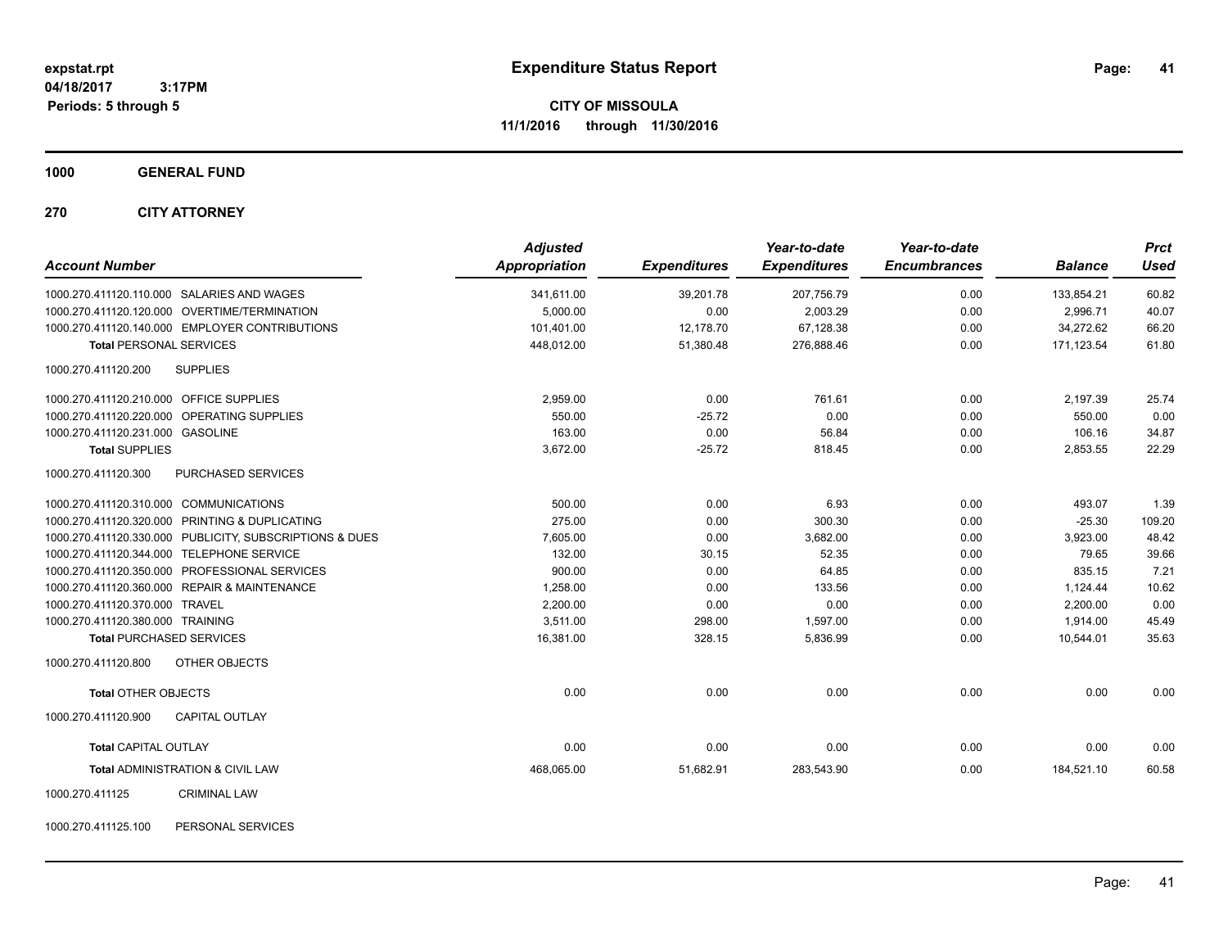**CITY OF MISSOULA 11/1/2016 through 11/30/2016**

**1000 GENERAL FUND**

**270 CITY ATTORNEY**

| <b>Account Number</b>                                   | <b>Adjusted</b><br><b>Appropriation</b> | <b>Expenditures</b> | Year-to-date<br><b>Expenditures</b> | Year-to-date<br><b>Encumbrances</b> | <b>Balance</b> | <b>Prct</b><br><b>Used</b> |
|---------------------------------------------------------|-----------------------------------------|---------------------|-------------------------------------|-------------------------------------|----------------|----------------------------|
| 1000.270.411120.110.000 SALARIES AND WAGES              | 341,611.00                              | 39,201.78           | 207,756.79                          | 0.00                                | 133,854.21     | 60.82                      |
| 1000.270.411120.120.000 OVERTIME/TERMINATION            | 5.000.00                                | 0.00                | 2,003.29                            | 0.00                                | 2.996.71       | 40.07                      |
| 1000.270.411120.140.000 EMPLOYER CONTRIBUTIONS          | 101,401.00                              | 12,178.70           | 67,128.38                           | 0.00                                | 34,272.62      | 66.20                      |
| <b>Total PERSONAL SERVICES</b>                          | 448,012.00                              | 51,380.48           | 276,888.46                          | 0.00                                | 171,123.54     | 61.80                      |
| 1000.270.411120.200<br><b>SUPPLIES</b>                  |                                         |                     |                                     |                                     |                |                            |
| 1000.270.411120.210.000 OFFICE SUPPLIES                 | 2,959.00                                | 0.00                | 761.61                              | 0.00                                | 2,197.39       | 25.74                      |
| 1000.270.411120.220.000 OPERATING SUPPLIES              | 550.00                                  | $-25.72$            | 0.00                                | 0.00                                | 550.00         | 0.00                       |
| 1000.270.411120.231.000 GASOLINE                        | 163.00                                  | 0.00                | 56.84                               | 0.00                                | 106.16         | 34.87                      |
| <b>Total SUPPLIES</b>                                   | 3,672.00                                | $-25.72$            | 818.45                              | 0.00                                | 2,853.55       | 22.29                      |
| 1000.270.411120.300<br>PURCHASED SERVICES               |                                         |                     |                                     |                                     |                |                            |
| 1000.270.411120.310.000 COMMUNICATIONS                  | 500.00                                  | 0.00                | 6.93                                | 0.00                                | 493.07         | 1.39                       |
| PRINTING & DUPLICATING<br>1000.270.411120.320.000       | 275.00                                  | 0.00                | 300.30                              | 0.00                                | $-25.30$       | 109.20                     |
| 1000.270.411120.330.000 PUBLICITY, SUBSCRIPTIONS & DUES | 7,605.00                                | 0.00                | 3,682.00                            | 0.00                                | 3,923.00       | 48.42                      |
| 1000.270.411120.344.000 TELEPHONE SERVICE               | 132.00                                  | 30.15               | 52.35                               | 0.00                                | 79.65          | 39.66                      |
| PROFESSIONAL SERVICES<br>1000.270.411120.350.000        | 900.00                                  | 0.00                | 64.85                               | 0.00                                | 835.15         | 7.21                       |
| 1000.270.411120.360.000 REPAIR & MAINTENANCE            | 1,258.00                                | 0.00                | 133.56                              | 0.00                                | 1,124.44       | 10.62                      |
| 1000.270.411120.370.000 TRAVEL                          | 2,200.00                                | 0.00                | 0.00                                | 0.00                                | 2,200.00       | 0.00                       |
| 1000.270.411120.380.000 TRAINING                        | 3.511.00                                | 298.00              | 1,597.00                            | 0.00                                | 1,914.00       | 45.49                      |
| <b>Total PURCHASED SERVICES</b>                         | 16,381.00                               | 328.15              | 5,836.99                            | 0.00                                | 10.544.01      | 35.63                      |
| 1000.270.411120.800<br>OTHER OBJECTS                    |                                         |                     |                                     |                                     |                |                            |
| <b>Total OTHER OBJECTS</b>                              | 0.00                                    | 0.00                | 0.00                                | 0.00                                | 0.00           | 0.00                       |
| 1000.270.411120.900<br><b>CAPITAL OUTLAY</b>            |                                         |                     |                                     |                                     |                |                            |
| <b>Total CAPITAL OUTLAY</b>                             | 0.00                                    | 0.00                | 0.00                                | 0.00                                | 0.00           | 0.00                       |
| Total ADMINISTRATION & CIVIL LAW                        | 468,065.00                              | 51,682.91           | 283,543.90                          | 0.00                                | 184,521.10     | 60.58                      |
| 1000.270.411125<br><b>CRIMINAL LAW</b>                  |                                         |                     |                                     |                                     |                |                            |

1000.270.411125.100 PERSONAL SERVICES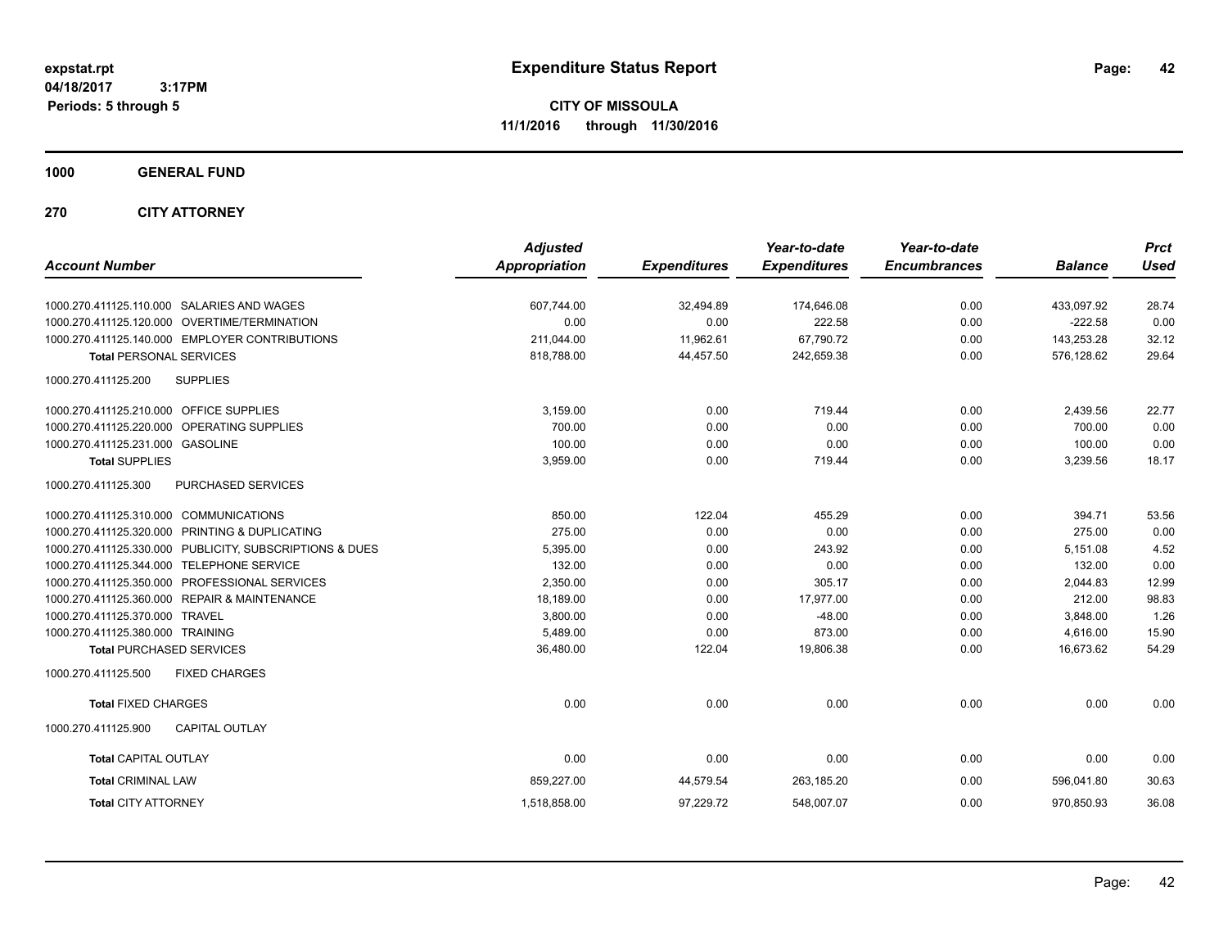**CITY OF MISSOULA 11/1/2016 through 11/30/2016**

**1000 GENERAL FUND**

**270 CITY ATTORNEY**

| <b>Account Number</b>                                      | <b>Adjusted</b><br><b>Appropriation</b> | <b>Expenditures</b> | Year-to-date<br><b>Expenditures</b> | Year-to-date<br><b>Encumbrances</b> | <b>Balance</b> | <b>Prct</b><br><b>Used</b> |
|------------------------------------------------------------|-----------------------------------------|---------------------|-------------------------------------|-------------------------------------|----------------|----------------------------|
| 1000.270.411125.110.000 SALARIES AND WAGES                 | 607,744.00                              | 32,494.89           | 174,646.08                          | 0.00                                | 433,097.92     | 28.74                      |
| 1000.270.411125.120.000 OVERTIME/TERMINATION               | 0.00                                    | 0.00                | 222.58                              | 0.00                                | $-222.58$      | 0.00                       |
| 1000.270.411125.140.000 EMPLOYER CONTRIBUTIONS             | 211,044.00                              | 11,962.61           | 67,790.72                           | 0.00                                | 143,253.28     | 32.12                      |
| <b>Total PERSONAL SERVICES</b>                             | 818,788.00                              | 44,457.50           | 242,659.38                          | 0.00                                | 576,128.62     | 29.64                      |
| 1000.270.411125.200<br><b>SUPPLIES</b>                     |                                         |                     |                                     |                                     |                |                            |
| 1000.270.411125.210.000 OFFICE SUPPLIES                    | 3.159.00                                | 0.00                | 719.44                              | 0.00                                | 2,439.56       | 22.77                      |
| 1000.270.411125.220.000<br>OPERATING SUPPLIES              | 700.00                                  | 0.00                | 0.00                                | 0.00                                | 700.00         | 0.00                       |
| 1000.270.411125.231.000 GASOLINE                           | 100.00                                  | 0.00                | 0.00                                | 0.00                                | 100.00         | 0.00                       |
| <b>Total SUPPLIES</b>                                      | 3,959.00                                | 0.00                | 719.44                              | 0.00                                | 3,239.56       | 18.17                      |
| 1000.270.411125.300<br>PURCHASED SERVICES                  |                                         |                     |                                     |                                     |                |                            |
| 1000.270.411125.310.000 COMMUNICATIONS                     | 850.00                                  | 122.04              | 455.29                              | 0.00                                | 394.71         | 53.56                      |
| 1000.270.411125.320.000 PRINTING & DUPLICATING             | 275.00                                  | 0.00                | 0.00                                | 0.00                                | 275.00         | 0.00                       |
| 1000.270.411125.330.000 PUBLICITY, SUBSCRIPTIONS & DUES    | 5,395.00                                | 0.00                | 243.92                              | 0.00                                | 5,151.08       | 4.52                       |
| 1000.270.411125.344.000 TELEPHONE SERVICE                  | 132.00                                  | 0.00                | 0.00                                | 0.00                                | 132.00         | 0.00                       |
| 1000.270.411125.350.000<br>PROFESSIONAL SERVICES           | 2,350.00                                | 0.00                | 305.17                              | 0.00                                | 2,044.83       | 12.99                      |
| <b>REPAIR &amp; MAINTENANCE</b><br>1000.270.411125.360.000 | 18,189.00                               | 0.00                | 17,977.00                           | 0.00                                | 212.00         | 98.83                      |
| 1000.270.411125.370.000 TRAVEL                             | 3,800.00                                | 0.00                | $-48.00$                            | 0.00                                | 3,848.00       | 1.26                       |
| 1000.270.411125.380.000 TRAINING                           | 5,489.00                                | 0.00                | 873.00                              | 0.00                                | 4,616.00       | 15.90                      |
| <b>Total PURCHASED SERVICES</b>                            | 36,480.00                               | 122.04              | 19,806.38                           | 0.00                                | 16.673.62      | 54.29                      |
| 1000.270.411125.500<br><b>FIXED CHARGES</b>                |                                         |                     |                                     |                                     |                |                            |
| <b>Total FIXED CHARGES</b>                                 | 0.00                                    | 0.00                | 0.00                                | 0.00                                | 0.00           | 0.00                       |
| 1000.270.411125.900<br><b>CAPITAL OUTLAY</b>               |                                         |                     |                                     |                                     |                |                            |
| <b>Total CAPITAL OUTLAY</b>                                | 0.00                                    | 0.00                | 0.00                                | 0.00                                | 0.00           | 0.00                       |
| <b>Total CRIMINAL LAW</b>                                  | 859,227.00                              | 44,579.54           | 263,185.20                          | 0.00                                | 596,041.80     | 30.63                      |
| <b>Total CITY ATTORNEY</b>                                 | 1,518,858.00                            | 97,229.72           | 548,007.07                          | 0.00                                | 970,850.93     | 36.08                      |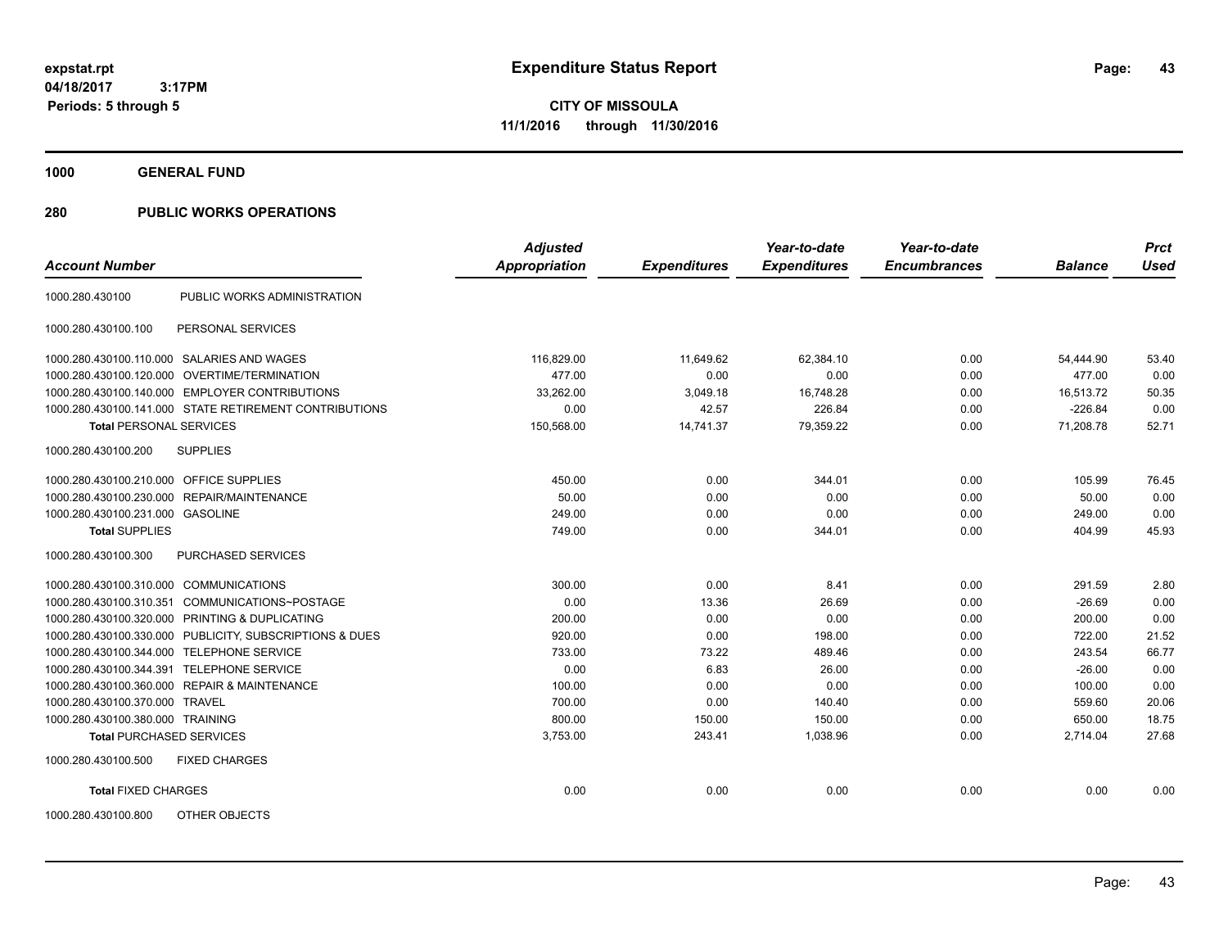**CITY OF MISSOULA 11/1/2016 through 11/30/2016**

**1000 GENERAL FUND**

| <b>Account Number</b>                                   | <b>Adjusted</b><br><b>Appropriation</b> | <b>Expenditures</b> | Year-to-date<br><b>Expenditures</b> | Year-to-date<br><b>Encumbrances</b> | <b>Balance</b> | <b>Prct</b><br><b>Used</b> |
|---------------------------------------------------------|-----------------------------------------|---------------------|-------------------------------------|-------------------------------------|----------------|----------------------------|
|                                                         |                                         |                     |                                     |                                     |                |                            |
| PUBLIC WORKS ADMINISTRATION<br>1000.280.430100          |                                         |                     |                                     |                                     |                |                            |
| PERSONAL SERVICES<br>1000.280.430100.100                |                                         |                     |                                     |                                     |                |                            |
| 1000.280.430100.110.000 SALARIES AND WAGES              | 116,829.00                              | 11,649.62           | 62,384.10                           | 0.00                                | 54,444.90      | 53.40                      |
| 1000.280.430100.120.000 OVERTIME/TERMINATION            | 477.00                                  | 0.00                | 0.00                                | 0.00                                | 477.00         | 0.00                       |
| 1000.280.430100.140.000 EMPLOYER CONTRIBUTIONS          | 33.262.00                               | 3,049.18            | 16,748.28                           | 0.00                                | 16.513.72      | 50.35                      |
| 1000.280.430100.141.000 STATE RETIREMENT CONTRIBUTIONS  | 0.00                                    | 42.57               | 226.84                              | 0.00                                | $-226.84$      | 0.00                       |
| <b>Total PERSONAL SERVICES</b>                          | 150,568.00                              | 14,741.37           | 79,359.22                           | 0.00                                | 71,208.78      | 52.71                      |
| <b>SUPPLIES</b><br>1000.280.430100.200                  |                                         |                     |                                     |                                     |                |                            |
| 1000.280.430100.210.000 OFFICE SUPPLIES                 | 450.00                                  | 0.00                | 344.01                              | 0.00                                | 105.99         | 76.45                      |
| 1000.280.430100.230.000 REPAIR/MAINTENANCE              | 50.00                                   | 0.00                | 0.00                                | 0.00                                | 50.00          | 0.00                       |
| 1000.280.430100.231.000 GASOLINE                        | 249.00                                  | 0.00                | 0.00                                | 0.00                                | 249.00         | 0.00                       |
| <b>Total SUPPLIES</b>                                   | 749.00                                  | 0.00                | 344.01                              | 0.00                                | 404.99         | 45.93                      |
| <b>PURCHASED SERVICES</b><br>1000.280.430100.300        |                                         |                     |                                     |                                     |                |                            |
| 1000.280.430100.310.000 COMMUNICATIONS                  | 300.00                                  | 0.00                | 8.41                                | 0.00                                | 291.59         | 2.80                       |
| COMMUNICATIONS~POSTAGE<br>1000.280.430100.310.351       | 0.00                                    | 13.36               | 26.69                               | 0.00                                | $-26.69$       | 0.00                       |
| 1000.280.430100.320.000 PRINTING & DUPLICATING          | 200.00                                  | 0.00                | 0.00                                | 0.00                                | 200.00         | 0.00                       |
| 1000.280.430100.330.000 PUBLICITY, SUBSCRIPTIONS & DUES | 920.00                                  | 0.00                | 198.00                              | 0.00                                | 722.00         | 21.52                      |
| 1000.280.430100.344.000 TELEPHONE SERVICE               | 733.00                                  | 73.22               | 489.46                              | 0.00                                | 243.54         | 66.77                      |
| 1000.280.430100.344.391 TELEPHONE SERVICE               | 0.00                                    | 6.83                | 26.00                               | 0.00                                | $-26.00$       | 0.00                       |
| 1000.280.430100.360.000 REPAIR & MAINTENANCE            | 100.00                                  | 0.00                | 0.00                                | 0.00                                | 100.00         | 0.00                       |
| 1000.280.430100.370.000 TRAVEL                          | 700.00                                  | 0.00                | 140.40                              | 0.00                                | 559.60         | 20.06                      |
| 1000.280.430100.380.000 TRAINING                        | 800.00                                  | 150.00              | 150.00                              | 0.00                                | 650.00         | 18.75                      |
| <b>Total PURCHASED SERVICES</b>                         | 3,753.00                                | 243.41              | 1,038.96                            | 0.00                                | 2,714.04       | 27.68                      |
| <b>FIXED CHARGES</b><br>1000.280.430100.500             |                                         |                     |                                     |                                     |                |                            |
| <b>Total FIXED CHARGES</b>                              | 0.00                                    | 0.00                | 0.00                                | 0.00                                | 0.00           | 0.00                       |
| OTHER OBJECTS<br>1000.280.430100.800                    |                                         |                     |                                     |                                     |                |                            |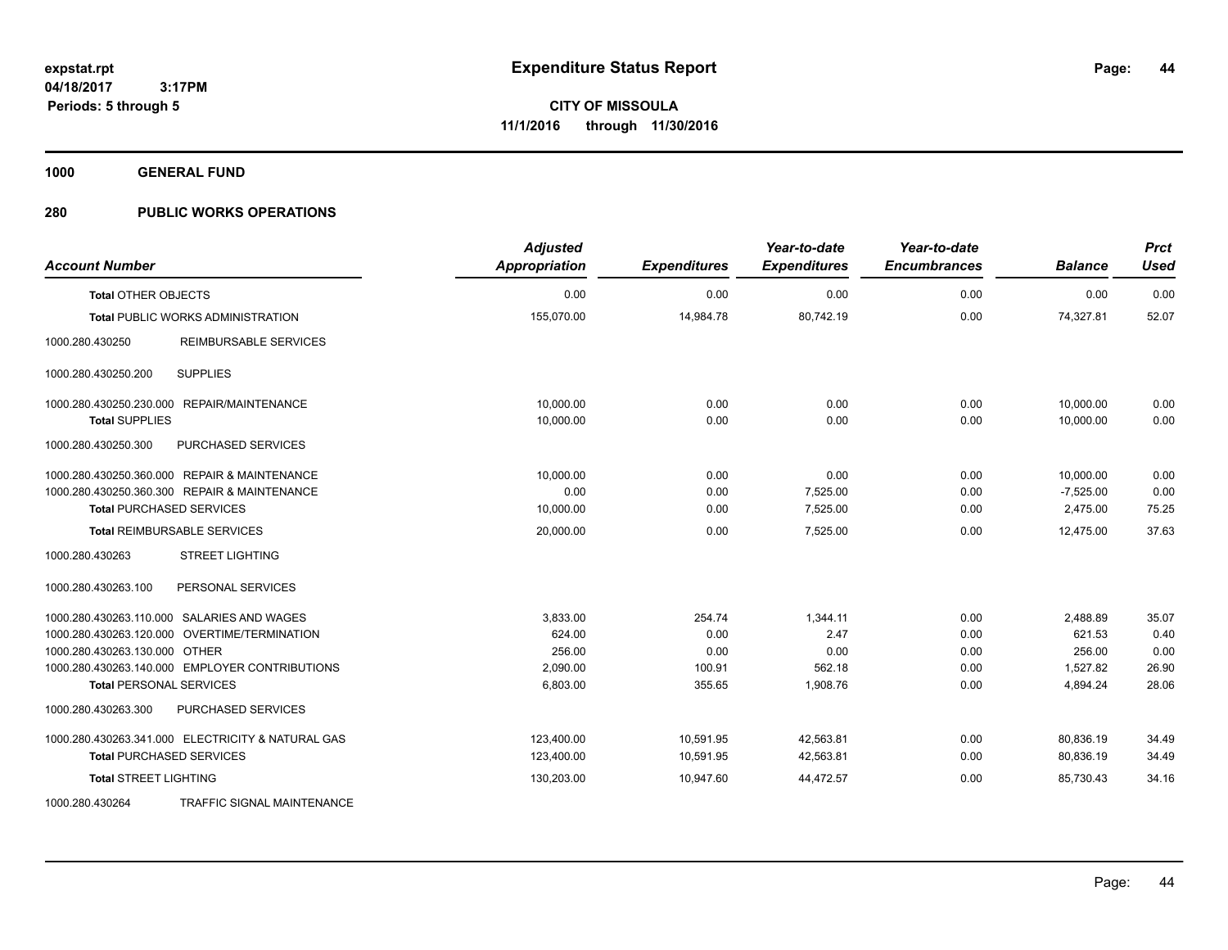**1000 GENERAL FUND**

| <b>Account Number</b>                             | <b>Adjusted</b><br>Appropriation | <b>Expenditures</b> | Year-to-date<br><b>Expenditures</b> | Year-to-date<br><b>Encumbrances</b> | <b>Balance</b> | <b>Prct</b><br><b>Used</b> |
|---------------------------------------------------|----------------------------------|---------------------|-------------------------------------|-------------------------------------|----------------|----------------------------|
| <b>Total OTHER OBJECTS</b>                        | 0.00                             | 0.00                | 0.00                                | 0.00                                | 0.00           | 0.00                       |
| <b>Total PUBLIC WORKS ADMINISTRATION</b>          | 155,070.00                       | 14,984.78           | 80,742.19                           | 0.00                                | 74,327.81      | 52.07                      |
| 1000.280.430250<br>REIMBURSABLE SERVICES          |                                  |                     |                                     |                                     |                |                            |
| <b>SUPPLIES</b><br>1000.280.430250.200            |                                  |                     |                                     |                                     |                |                            |
| 1000.280.430250.230.000 REPAIR/MAINTENANCE        | 10.000.00                        | 0.00                | 0.00                                | 0.00                                | 10,000.00      | 0.00                       |
| <b>Total SUPPLIES</b>                             | 10,000.00                        | 0.00                | 0.00                                | 0.00                                | 10,000.00      | 0.00                       |
| 1000.280.430250.300<br>PURCHASED SERVICES         |                                  |                     |                                     |                                     |                |                            |
| 1000.280.430250.360.000 REPAIR & MAINTENANCE      | 10,000.00                        | 0.00                | 0.00                                | 0.00                                | 10,000.00      | 0.00                       |
| 1000.280.430250.360.300 REPAIR & MAINTENANCE      | 0.00                             | 0.00                | 7,525.00                            | 0.00                                | $-7,525.00$    | 0.00                       |
| <b>Total PURCHASED SERVICES</b>                   | 10,000.00                        | 0.00                | 7,525.00                            | 0.00                                | 2,475.00       | 75.25                      |
| <b>Total REIMBURSABLE SERVICES</b>                | 20,000.00                        | 0.00                | 7,525.00                            | 0.00                                | 12,475.00      | 37.63                      |
| <b>STREET LIGHTING</b><br>1000.280.430263         |                                  |                     |                                     |                                     |                |                            |
| 1000.280.430263.100<br>PERSONAL SERVICES          |                                  |                     |                                     |                                     |                |                            |
| 1000.280.430263.110.000 SALARIES AND WAGES        | 3,833.00                         | 254.74              | 1.344.11                            | 0.00                                | 2,488.89       | 35.07                      |
| 1000.280.430263.120.000 OVERTIME/TERMINATION      | 624.00                           | 0.00                | 2.47                                | 0.00                                | 621.53         | 0.40                       |
| 1000.280.430263.130.000 OTHER                     | 256.00                           | 0.00                | 0.00                                | 0.00                                | 256.00         | 0.00                       |
| 1000.280.430263.140.000 EMPLOYER CONTRIBUTIONS    | 2,090.00                         | 100.91              | 562.18                              | 0.00                                | 1,527.82       | 26.90                      |
| <b>Total PERSONAL SERVICES</b>                    | 6,803.00                         | 355.65              | 1,908.76                            | 0.00                                | 4,894.24       | 28.06                      |
| 1000.280.430263.300<br>PURCHASED SERVICES         |                                  |                     |                                     |                                     |                |                            |
| 1000.280.430263.341.000 ELECTRICITY & NATURAL GAS | 123,400.00                       | 10,591.95           | 42,563.81                           | 0.00                                | 80,836.19      | 34.49                      |
| <b>Total PURCHASED SERVICES</b>                   | 123,400.00                       | 10,591.95           | 42,563.81                           | 0.00                                | 80,836.19      | 34.49                      |
| <b>Total STREET LIGHTING</b>                      | 130,203.00                       | 10,947.60           | 44,472.57                           | 0.00                                | 85,730.43      | 34.16                      |
| 1000.280.430264<br>TRAFFIC SIGNAL MAINTENANCE     |                                  |                     |                                     |                                     |                |                            |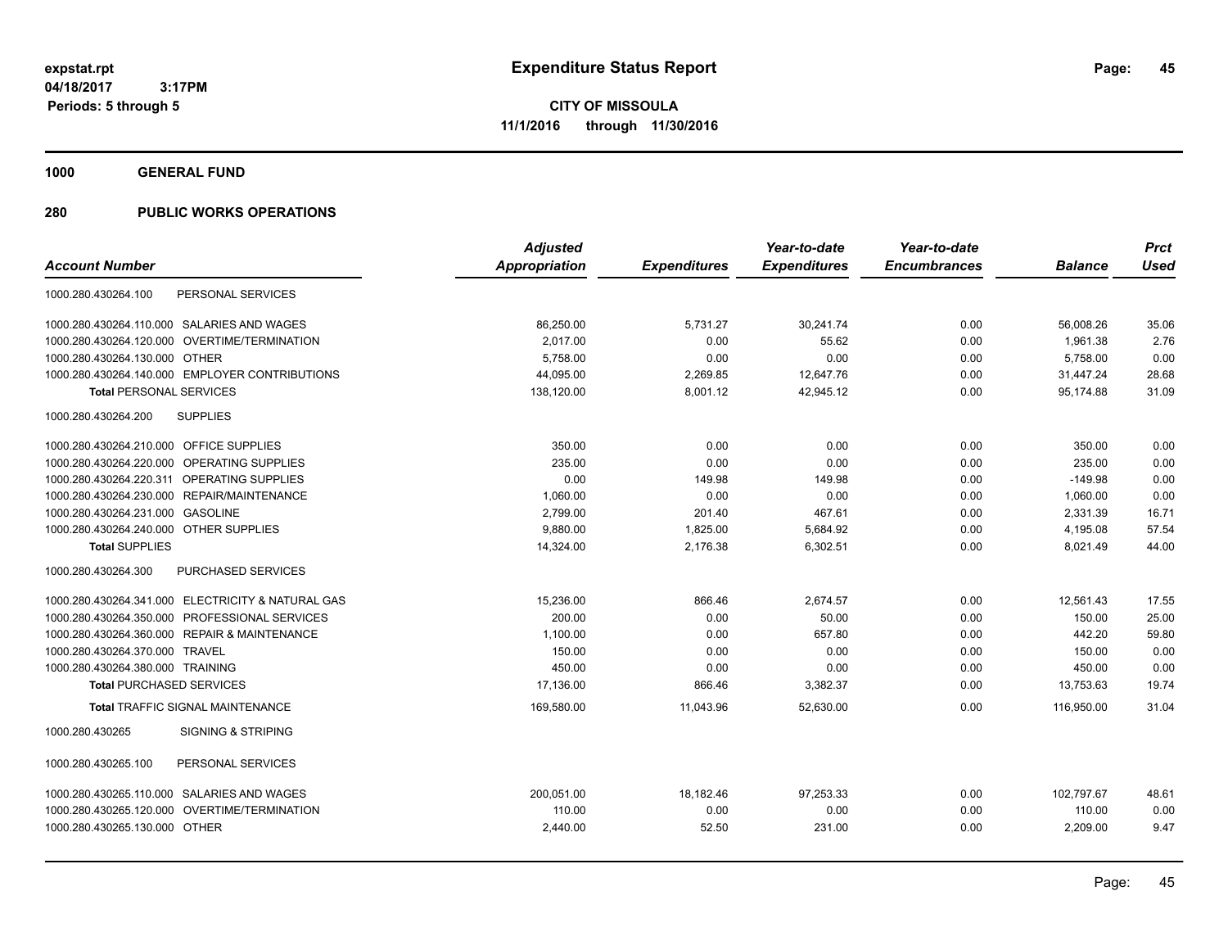**1000 GENERAL FUND**

|                                                   | <b>Adjusted</b> |                     | Year-to-date        | Year-to-date        |                | <b>Prct</b> |
|---------------------------------------------------|-----------------|---------------------|---------------------|---------------------|----------------|-------------|
| <b>Account Number</b>                             | Appropriation   | <b>Expenditures</b> | <b>Expenditures</b> | <b>Encumbrances</b> | <b>Balance</b> | <b>Used</b> |
| 1000.280.430264.100<br>PERSONAL SERVICES          |                 |                     |                     |                     |                |             |
| 1000.280.430264.110.000 SALARIES AND WAGES        | 86,250.00       | 5,731.27            | 30,241.74           | 0.00                | 56,008.26      | 35.06       |
| 1000.280.430264.120.000 OVERTIME/TERMINATION      | 2.017.00        | 0.00                | 55.62               | 0.00                | 1,961.38       | 2.76        |
| 1000.280.430264.130.000 OTHER                     | 5,758.00        | 0.00                | 0.00                | 0.00                | 5,758.00       | 0.00        |
| 1000.280.430264.140.000 EMPLOYER CONTRIBUTIONS    | 44,095.00       | 2,269.85            | 12,647.76           | 0.00                | 31,447.24      | 28.68       |
| <b>Total PERSONAL SERVICES</b>                    | 138,120.00      | 8,001.12            | 42,945.12           | 0.00                | 95,174.88      | 31.09       |
| <b>SUPPLIES</b><br>1000.280.430264.200            |                 |                     |                     |                     |                |             |
| 1000.280.430264.210.000 OFFICE SUPPLIES           | 350.00          | 0.00                | 0.00                | 0.00                | 350.00         | 0.00        |
| OPERATING SUPPLIES<br>1000.280.430264.220.000     | 235.00          | 0.00                | 0.00                | 0.00                | 235.00         | 0.00        |
| 1000.280.430264.220.311 OPERATING SUPPLIES        | 0.00            | 149.98              | 149.98              | 0.00                | $-149.98$      | 0.00        |
| 1000.280.430264.230.000 REPAIR/MAINTENANCE        | 1,060.00        | 0.00                | 0.00                | 0.00                | 1,060.00       | 0.00        |
| <b>GASOLINE</b><br>1000.280.430264.231.000        | 2,799.00        | 201.40              | 467.61              | 0.00                | 2,331.39       | 16.71       |
| 1000.280.430264.240.000 OTHER SUPPLIES            | 9,880.00        | 1,825.00            | 5,684.92            | 0.00                | 4,195.08       | 57.54       |
| <b>Total SUPPLIES</b>                             | 14,324.00       | 2,176.38            | 6,302.51            | 0.00                | 8,021.49       | 44.00       |
| PURCHASED SERVICES<br>1000.280.430264.300         |                 |                     |                     |                     |                |             |
| 1000.280.430264.341.000 ELECTRICITY & NATURAL GAS | 15,236.00       | 866.46              | 2,674.57            | 0.00                | 12,561.43      | 17.55       |
| 1000.280.430264.350.000 PROFESSIONAL SERVICES     | 200.00          | 0.00                | 50.00               | 0.00                | 150.00         | 25.00       |
| 1000.280.430264.360.000 REPAIR & MAINTENANCE      | 1,100.00        | 0.00                | 657.80              | 0.00                | 442.20         | 59.80       |
| 1000.280.430264.370.000 TRAVEL                    | 150.00          | 0.00                | 0.00                | 0.00                | 150.00         | 0.00        |
| 1000.280.430264.380.000 TRAINING                  | 450.00          | 0.00                | 0.00                | 0.00                | 450.00         | 0.00        |
| <b>Total PURCHASED SERVICES</b>                   | 17,136.00       | 866.46              | 3,382.37            | 0.00                | 13,753.63      | 19.74       |
| <b>Total TRAFFIC SIGNAL MAINTENANCE</b>           | 169,580.00      | 11.043.96           | 52.630.00           | 0.00                | 116.950.00     | 31.04       |
| 1000.280.430265<br><b>SIGNING &amp; STRIPING</b>  |                 |                     |                     |                     |                |             |
| PERSONAL SERVICES<br>1000.280.430265.100          |                 |                     |                     |                     |                |             |
| 1000.280.430265.110.000 SALARIES AND WAGES        | 200,051.00      | 18,182.46           | 97,253.33           | 0.00                | 102,797.67     | 48.61       |
| 1000.280.430265.120.000 OVERTIME/TERMINATION      | 110.00          | 0.00                | 0.00                | 0.00                | 110.00         | 0.00        |
| 1000.280.430265.130.000 OTHER                     | 2,440.00        | 52.50               | 231.00              | 0.00                | 2,209.00       | 9.47        |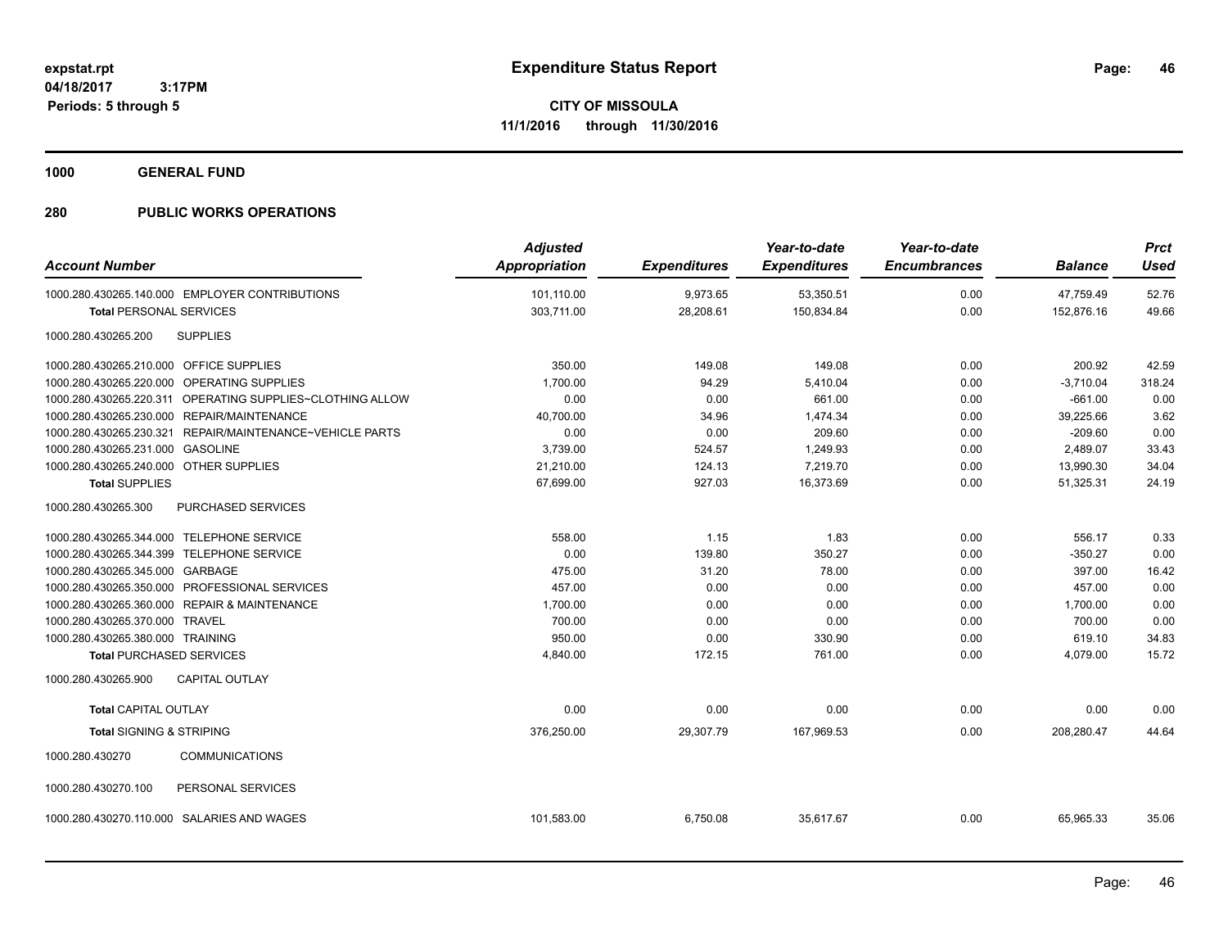**1000 GENERAL FUND**

| <b>Account Number</b>                     |                                                           | <b>Adjusted</b><br><b>Appropriation</b> | <b>Expenditures</b> | Year-to-date<br><b>Expenditures</b> | Year-to-date<br><b>Encumbrances</b> | <b>Balance</b> | <b>Prct</b><br><b>Used</b> |
|-------------------------------------------|-----------------------------------------------------------|-----------------------------------------|---------------------|-------------------------------------|-------------------------------------|----------------|----------------------------|
|                                           | 1000.280.430265.140.000 EMPLOYER CONTRIBUTIONS            | 101,110.00                              | 9,973.65            | 53,350.51                           | 0.00                                | 47,759.49      | 52.76                      |
| <b>Total PERSONAL SERVICES</b>            |                                                           | 303,711.00                              | 28,208.61           | 150,834.84                          | 0.00                                | 152,876.16     | 49.66                      |
|                                           |                                                           |                                         |                     |                                     |                                     |                |                            |
| 1000.280.430265.200                       | <b>SUPPLIES</b>                                           |                                         |                     |                                     |                                     |                |                            |
| 1000.280.430265.210.000 OFFICE SUPPLIES   |                                                           | 350.00                                  | 149.08              | 149.08                              | 0.00                                | 200.92         | 42.59                      |
|                                           | 1000.280.430265.220.000 OPERATING SUPPLIES                | 1,700.00                                | 94.29               | 5,410.04                            | 0.00                                | $-3,710.04$    | 318.24                     |
|                                           | 1000.280.430265.220.311 OPERATING SUPPLIES~CLOTHING ALLOW | 0.00                                    | 0.00                | 661.00                              | 0.00                                | $-661.00$      | 0.00                       |
|                                           | 1000.280.430265.230.000 REPAIR/MAINTENANCE                | 40,700.00                               | 34.96               | 1,474.34                            | 0.00                                | 39,225.66      | 3.62                       |
|                                           | 1000.280.430265.230.321 REPAIR/MAINTENANCE~VEHICLE PARTS  | 0.00                                    | 0.00                | 209.60                              | 0.00                                | $-209.60$      | 0.00                       |
| 1000.280.430265.231.000 GASOLINE          |                                                           | 3,739.00                                | 524.57              | 1,249.93                            | 0.00                                | 2,489.07       | 33.43                      |
| 1000.280.430265.240.000 OTHER SUPPLIES    |                                                           | 21,210.00                               | 124.13              | 7,219.70                            | 0.00                                | 13,990.30      | 34.04                      |
| <b>Total SUPPLIES</b>                     |                                                           | 67,699.00                               | 927.03              | 16,373.69                           | 0.00                                | 51,325.31      | 24.19                      |
| 1000.280.430265.300                       | PURCHASED SERVICES                                        |                                         |                     |                                     |                                     |                |                            |
| 1000.280.430265.344.000 TELEPHONE SERVICE |                                                           | 558.00                                  | 1.15                | 1.83                                | 0.00                                | 556.17         | 0.33                       |
| 1000.280.430265.344.399 TELEPHONE SERVICE |                                                           | 0.00                                    | 139.80              | 350.27                              | 0.00                                | $-350.27$      | 0.00                       |
| 1000.280.430265.345.000 GARBAGE           |                                                           | 475.00                                  | 31.20               | 78.00                               | 0.00                                | 397.00         | 16.42                      |
|                                           | 1000.280.430265.350.000 PROFESSIONAL SERVICES             | 457.00                                  | 0.00                | 0.00                                | 0.00                                | 457.00         | 0.00                       |
|                                           | 1000.280.430265.360.000 REPAIR & MAINTENANCE              | 1,700.00                                | 0.00                | 0.00                                | 0.00                                | 1,700.00       | 0.00                       |
| 1000.280.430265.370.000 TRAVEL            |                                                           | 700.00                                  | 0.00                | 0.00                                | 0.00                                | 700.00         | 0.00                       |
| 1000.280.430265.380.000 TRAINING          |                                                           | 950.00                                  | 0.00                | 330.90                              | 0.00                                | 619.10         | 34.83                      |
| <b>Total PURCHASED SERVICES</b>           |                                                           | 4,840.00                                | 172.15              | 761.00                              | 0.00                                | 4,079.00       | 15.72                      |
| 1000.280.430265.900                       | <b>CAPITAL OUTLAY</b>                                     |                                         |                     |                                     |                                     |                |                            |
| <b>Total CAPITAL OUTLAY</b>               |                                                           | 0.00                                    | 0.00                | 0.00                                | 0.00                                | 0.00           | 0.00                       |
| <b>Total SIGNING &amp; STRIPING</b>       |                                                           | 376,250.00                              | 29,307.79           | 167,969.53                          | 0.00                                | 208,280.47     | 44.64                      |
| 1000.280.430270                           | <b>COMMUNICATIONS</b>                                     |                                         |                     |                                     |                                     |                |                            |
| 1000.280.430270.100                       | PERSONAL SERVICES                                         |                                         |                     |                                     |                                     |                |                            |
|                                           | 1000.280.430270.110.000 SALARIES AND WAGES                | 101,583.00                              | 6,750.08            | 35,617.67                           | 0.00                                | 65,965.33      | 35.06                      |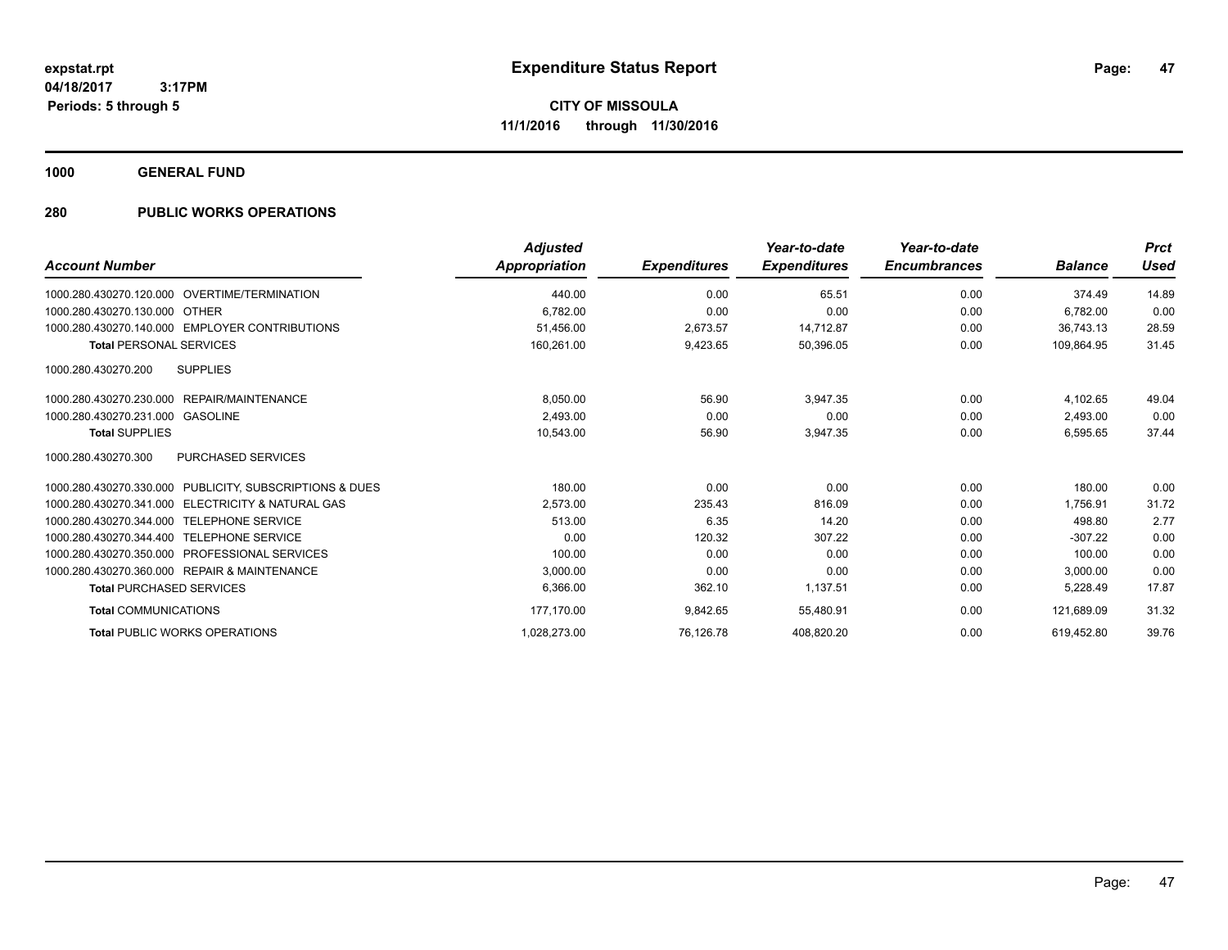**1000 GENERAL FUND**

| <b>Account Number</b>                                   | <b>Adjusted</b><br>Appropriation | <b>Expenditures</b> | Year-to-date<br><b>Expenditures</b> | Year-to-date<br><b>Encumbrances</b> | <b>Balance</b> | <b>Prct</b><br><b>Used</b> |
|---------------------------------------------------------|----------------------------------|---------------------|-------------------------------------|-------------------------------------|----------------|----------------------------|
| 1000.280.430270.120.000 OVERTIME/TERMINATION            | 440.00                           | 0.00                | 65.51                               | 0.00                                | 374.49         | 14.89                      |
| 1000.280.430270.130.000 OTHER                           | 6.782.00                         | 0.00                | 0.00                                | 0.00                                | 6.782.00       | 0.00                       |
| 1000.280.430270.140.000 EMPLOYER CONTRIBUTIONS          | 51.456.00                        | 2.673.57            | 14.712.87                           | 0.00                                | 36.743.13      | 28.59                      |
| <b>Total PERSONAL SERVICES</b>                          | 160,261.00                       | 9,423.65            | 50,396.05                           | 0.00                                | 109,864.95     | 31.45                      |
| 1000.280.430270.200<br><b>SUPPLIES</b>                  |                                  |                     |                                     |                                     |                |                            |
| 1000.280.430270.230.000 REPAIR/MAINTENANCE              | 8,050.00                         | 56.90               | 3,947.35                            | 0.00                                | 4,102.65       | 49.04                      |
| 1000.280.430270.231.000 GASOLINE                        | 2,493.00                         | 0.00                | 0.00                                | 0.00                                | 2,493.00       | 0.00                       |
| <b>Total SUPPLIES</b>                                   | 10,543.00                        | 56.90               | 3,947.35                            | 0.00                                | 6,595.65       | 37.44                      |
| <b>PURCHASED SERVICES</b><br>1000.280.430270.300        |                                  |                     |                                     |                                     |                |                            |
| 1000.280.430270.330.000 PUBLICITY, SUBSCRIPTIONS & DUES | 180.00                           | 0.00                | 0.00                                | 0.00                                | 180.00         | 0.00                       |
| 1000.280.430270.341.000 ELECTRICITY & NATURAL GAS       | 2,573.00                         | 235.43              | 816.09                              | 0.00                                | 1.756.91       | 31.72                      |
| 1000.280.430270.344.000 TELEPHONE SERVICE               | 513.00                           | 6.35                | 14.20                               | 0.00                                | 498.80         | 2.77                       |
| 1000.280.430270.344.400 TELEPHONE SERVICE               | 0.00                             | 120.32              | 307.22                              | 0.00                                | $-307.22$      | 0.00                       |
| 1000.280.430270.350.000 PROFESSIONAL SERVICES           | 100.00                           | 0.00                | 0.00                                | 0.00                                | 100.00         | 0.00                       |
| 1000.280.430270.360.000 REPAIR & MAINTENANCE            | 3,000.00                         | 0.00                | 0.00                                | 0.00                                | 3,000.00       | 0.00                       |
| <b>Total PURCHASED SERVICES</b>                         | 6.366.00                         | 362.10              | 1,137.51                            | 0.00                                | 5,228.49       | 17.87                      |
| <b>Total COMMUNICATIONS</b>                             | 177,170.00                       | 9,842.65            | 55,480.91                           | 0.00                                | 121,689.09     | 31.32                      |
| <b>Total PUBLIC WORKS OPERATIONS</b>                    | 1,028,273.00                     | 76.126.78           | 408,820.20                          | 0.00                                | 619.452.80     | 39.76                      |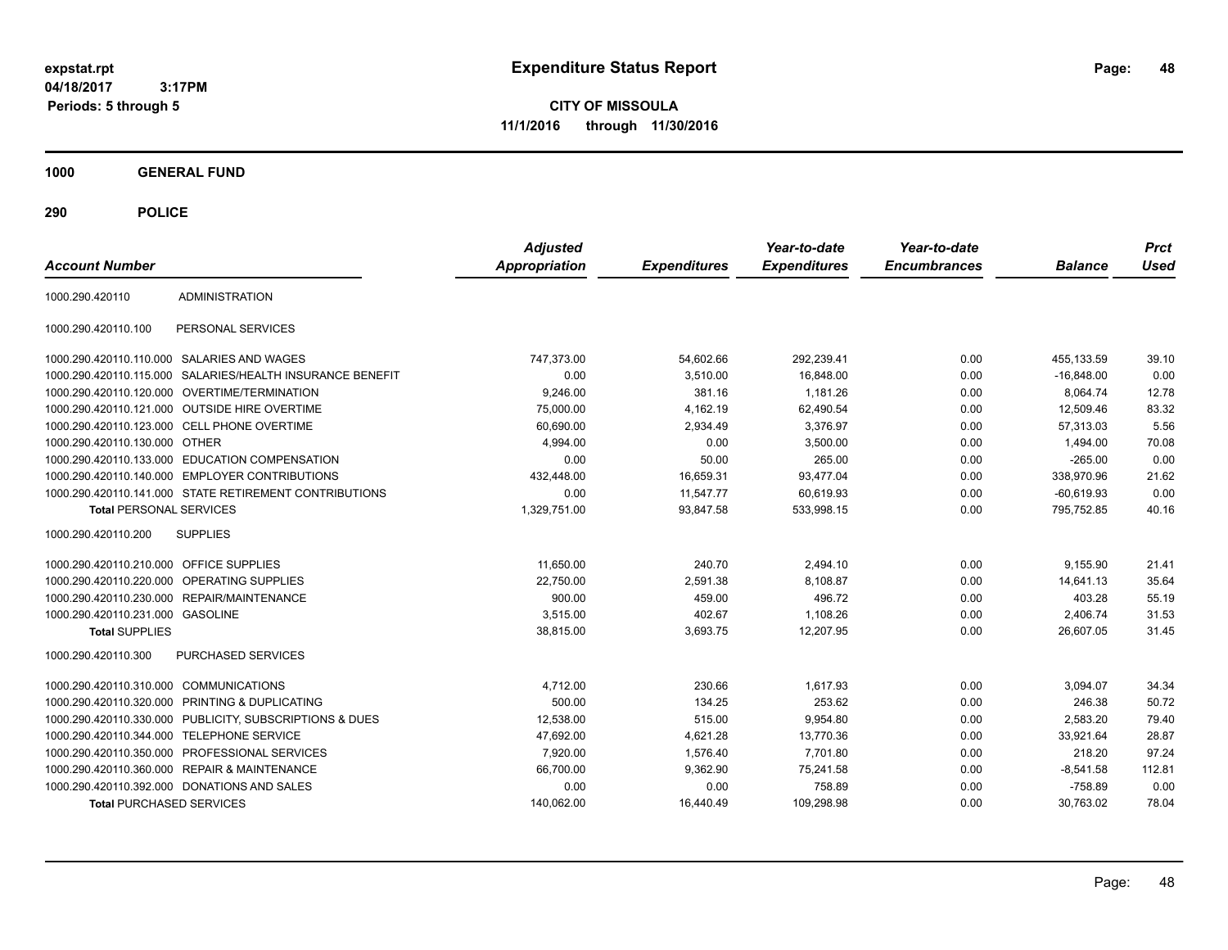**CITY OF MISSOULA 11/1/2016 through 11/30/2016**

**1000 GENERAL FUND**

| <b>Account Number</b>                   |                                                        | <b>Adjusted</b><br>Appropriation | <b>Expenditures</b> | Year-to-date<br><b>Expenditures</b> | Year-to-date<br><b>Encumbrances</b> | <b>Balance</b> | <b>Prct</b><br>Used |
|-----------------------------------------|--------------------------------------------------------|----------------------------------|---------------------|-------------------------------------|-------------------------------------|----------------|---------------------|
|                                         |                                                        |                                  |                     |                                     |                                     |                |                     |
| 1000.290.420110                         | <b>ADMINISTRATION</b>                                  |                                  |                     |                                     |                                     |                |                     |
| 1000.290.420110.100                     | PERSONAL SERVICES                                      |                                  |                     |                                     |                                     |                |                     |
|                                         | 1000.290.420110.110.000 SALARIES AND WAGES             | 747,373.00                       | 54,602.66           | 292,239.41                          | 0.00                                | 455,133.59     | 39.10               |
| 1000.290.420110.115.000                 | SALARIES/HEALTH INSURANCE BENEFIT                      | 0.00                             | 3,510.00            | 16,848.00                           | 0.00                                | $-16.848.00$   | 0.00                |
|                                         | 1000.290.420110.120.000 OVERTIME/TERMINATION           | 9,246.00                         | 381.16              | 1,181.26                            | 0.00                                | 8,064.74       | 12.78               |
|                                         | 1000.290.420110.121.000 OUTSIDE HIRE OVERTIME          | 75,000.00                        | 4,162.19            | 62,490.54                           | 0.00                                | 12,509.46      | 83.32               |
|                                         | 1000.290.420110.123.000 CELL PHONE OVERTIME            | 60,690.00                        | 2,934.49            | 3.376.97                            | 0.00                                | 57.313.03      | 5.56                |
| 1000.290.420110.130.000 OTHER           |                                                        | 4,994.00                         | 0.00                | 3,500.00                            | 0.00                                | 1,494.00       | 70.08               |
|                                         | 1000.290.420110.133.000 EDUCATION COMPENSATION         | 0.00                             | 50.00               | 265.00                              | 0.00                                | $-265.00$      | 0.00                |
|                                         | 1000.290.420110.140.000 EMPLOYER CONTRIBUTIONS         | 432,448.00                       | 16,659.31           | 93,477.04                           | 0.00                                | 338,970.96     | 21.62               |
|                                         | 1000.290.420110.141.000 STATE RETIREMENT CONTRIBUTIONS | 0.00                             | 11,547.77           | 60,619.93                           | 0.00                                | $-60,619.93$   | 0.00                |
| <b>Total PERSONAL SERVICES</b>          |                                                        | 1,329,751.00                     | 93,847.58           | 533,998.15                          | 0.00                                | 795,752.85     | 40.16               |
| 1000.290.420110.200                     | <b>SUPPLIES</b>                                        |                                  |                     |                                     |                                     |                |                     |
| 1000.290.420110.210.000 OFFICE SUPPLIES |                                                        | 11.650.00                        | 240.70              | 2,494.10                            | 0.00                                | 9,155.90       | 21.41               |
|                                         | 1000.290.420110.220.000 OPERATING SUPPLIES             | 22,750.00                        | 2,591.38            | 8,108.87                            | 0.00                                | 14,641.13      | 35.64               |
|                                         | 1000.290.420110.230.000 REPAIR/MAINTENANCE             | 900.00                           | 459.00              | 496.72                              | 0.00                                | 403.28         | 55.19               |
| 1000.290.420110.231.000 GASOLINE        |                                                        | 3,515.00                         | 402.67              | 1,108.26                            | 0.00                                | 2,406.74       | 31.53               |
| <b>Total SUPPLIES</b>                   |                                                        | 38,815.00                        | 3,693.75            | 12,207.95                           | 0.00                                | 26,607.05      | 31.45               |
| 1000.290.420110.300                     | PURCHASED SERVICES                                     |                                  |                     |                                     |                                     |                |                     |
| 1000.290.420110.310.000                 | COMMUNICATIONS                                         | 4,712.00                         | 230.66              | 1,617.93                            | 0.00                                | 3,094.07       | 34.34               |
| 1000.290.420110.320.000                 | <b>PRINTING &amp; DUPLICATING</b>                      | 500.00                           | 134.25              | 253.62                              | 0.00                                | 246.38         | 50.72               |
| 1000.290.420110.330.000                 | PUBLICITY, SUBSCRIPTIONS & DUES                        | 12,538.00                        | 515.00              | 9,954.80                            | 0.00                                | 2,583.20       | 79.40               |
|                                         | 1000.290.420110.344.000 TELEPHONE SERVICE              | 47,692.00                        | 4,621.28            | 13,770.36                           | 0.00                                | 33,921.64      | 28.87               |
|                                         | 1000.290.420110.350.000 PROFESSIONAL SERVICES          | 7,920.00                         | 1,576.40            | 7,701.80                            | 0.00                                | 218.20         | 97.24               |
|                                         | 1000.290.420110.360.000 REPAIR & MAINTENANCE           | 66,700.00                        | 9,362.90            | 75,241.58                           | 0.00                                | $-8,541.58$    | 112.81              |
|                                         | 1000.290.420110.392.000 DONATIONS AND SALES            | 0.00                             | 0.00                | 758.89                              | 0.00                                | $-758.89$      | 0.00                |
| <b>Total PURCHASED SERVICES</b>         |                                                        | 140,062.00                       | 16.440.49           | 109,298.98                          | 0.00                                | 30,763.02      | 78.04               |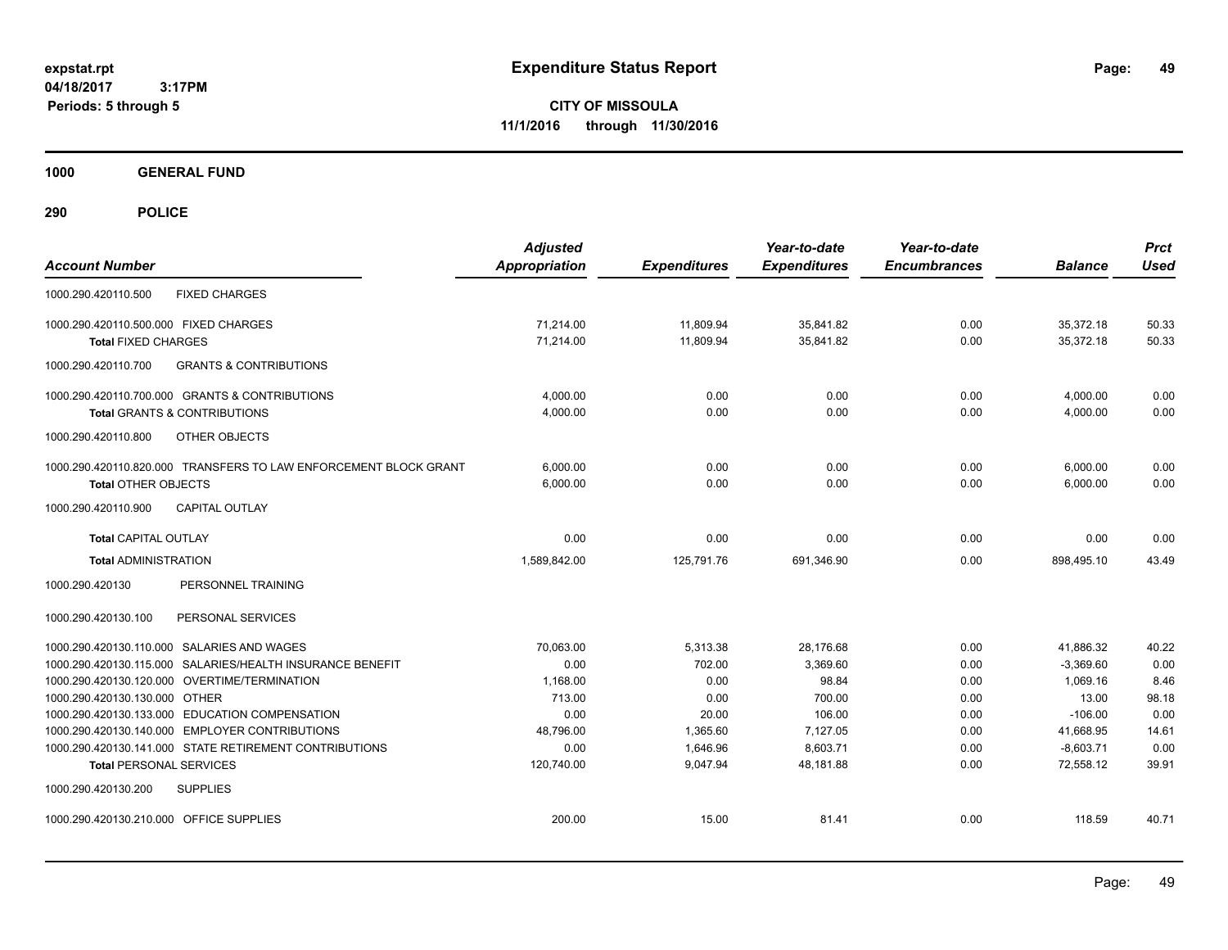**CITY OF MISSOULA 11/1/2016 through 11/30/2016**

**1000 GENERAL FUND**

| <b>Account Number</b>                                                                            | <b>Adjusted</b><br><b>Appropriation</b> | <b>Expenditures</b> | Year-to-date<br><b>Expenditures</b> | Year-to-date<br><b>Encumbrances</b> | <b>Balance</b>         | <b>Prct</b><br><b>Used</b> |
|--------------------------------------------------------------------------------------------------|-----------------------------------------|---------------------|-------------------------------------|-------------------------------------|------------------------|----------------------------|
| <b>FIXED CHARGES</b><br>1000.290.420110.500                                                      |                                         |                     |                                     |                                     |                        |                            |
| 1000.290.420110.500.000 FIXED CHARGES                                                            | 71,214.00                               | 11,809.94           | 35,841.82                           | 0.00                                | 35,372.18              | 50.33                      |
| <b>Total FIXED CHARGES</b>                                                                       | 71.214.00                               | 11,809.94           | 35,841.82                           | 0.00                                | 35.372.18              | 50.33                      |
| <b>GRANTS &amp; CONTRIBUTIONS</b><br>1000.290.420110.700                                         |                                         |                     |                                     |                                     |                        |                            |
| 1000.290.420110.700.000 GRANTS & CONTRIBUTIONS                                                   | 4,000.00                                | 0.00                | 0.00                                | 0.00                                | 4,000.00               | 0.00                       |
| <b>Total GRANTS &amp; CONTRIBUTIONS</b>                                                          | 4,000.00                                | 0.00                | 0.00                                | 0.00                                | 4,000.00               | 0.00                       |
| 1000.290.420110.800<br>OTHER OBJECTS                                                             |                                         |                     |                                     |                                     |                        |                            |
| 1000.290.420110.820.000 TRANSFERS TO LAW ENFORCEMENT BLOCK GRANT                                 | 6,000.00                                | 0.00                | 0.00                                | 0.00                                | 6,000.00               | 0.00                       |
| <b>Total OTHER OBJECTS</b>                                                                       | 6,000.00                                | 0.00                | 0.00                                | 0.00                                | 6,000.00               | 0.00                       |
| CAPITAL OUTLAY<br>1000.290.420110.900                                                            |                                         |                     |                                     |                                     |                        |                            |
| <b>Total CAPITAL OUTLAY</b>                                                                      | 0.00                                    | 0.00                | 0.00                                | 0.00                                | 0.00                   | 0.00                       |
| <b>Total ADMINISTRATION</b>                                                                      | 1,589,842.00                            | 125,791.76          | 691,346.90                          | 0.00                                | 898,495.10             | 43.49                      |
| 1000.290.420130<br>PERSONNEL TRAINING                                                            |                                         |                     |                                     |                                     |                        |                            |
| 1000.290.420130.100<br>PERSONAL SERVICES                                                         |                                         |                     |                                     |                                     |                        |                            |
| 1000.290.420130.110.000 SALARIES AND WAGES                                                       | 70,063.00                               | 5,313.38            | 28,176.68                           | 0.00                                | 41,886.32              | 40.22                      |
| 1000.290.420130.115.000 SALARIES/HEALTH INSURANCE BENEFIT                                        | 0.00                                    | 702.00              | 3,369.60                            | 0.00                                | $-3,369.60$            | 0.00                       |
| 1000.290.420130.120.000 OVERTIME/TERMINATION                                                     | 1,168.00                                | 0.00                | 98.84                               | 0.00                                | 1.069.16               | 8.46                       |
| 1000.290.420130.130.000 OTHER                                                                    | 713.00                                  | 0.00                | 700.00                              | 0.00                                | 13.00                  | 98.18                      |
| 1000.290.420130.133.000 EDUCATION COMPENSATION<br>1000.290.420130.140.000 EMPLOYER CONTRIBUTIONS | 0.00<br>48,796.00                       | 20.00<br>1,365.60   | 106.00<br>7,127.05                  | 0.00<br>0.00                        | $-106.00$<br>41,668.95 | 0.00<br>14.61              |
| 1000.290.420130.141.000 STATE RETIREMENT CONTRIBUTIONS                                           | 0.00                                    | 1,646.96            | 8,603.71                            | 0.00                                | $-8,603.71$            | 0.00                       |
| <b>Total PERSONAL SERVICES</b>                                                                   | 120,740.00                              | 9,047.94            | 48.181.88                           | 0.00                                | 72,558.12              | 39.91                      |
| 1000.290.420130.200<br><b>SUPPLIES</b>                                                           |                                         |                     |                                     |                                     |                        |                            |
| 1000.290.420130.210.000 OFFICE SUPPLIES                                                          | 200.00                                  | 15.00               | 81.41                               | 0.00                                | 118.59                 | 40.71                      |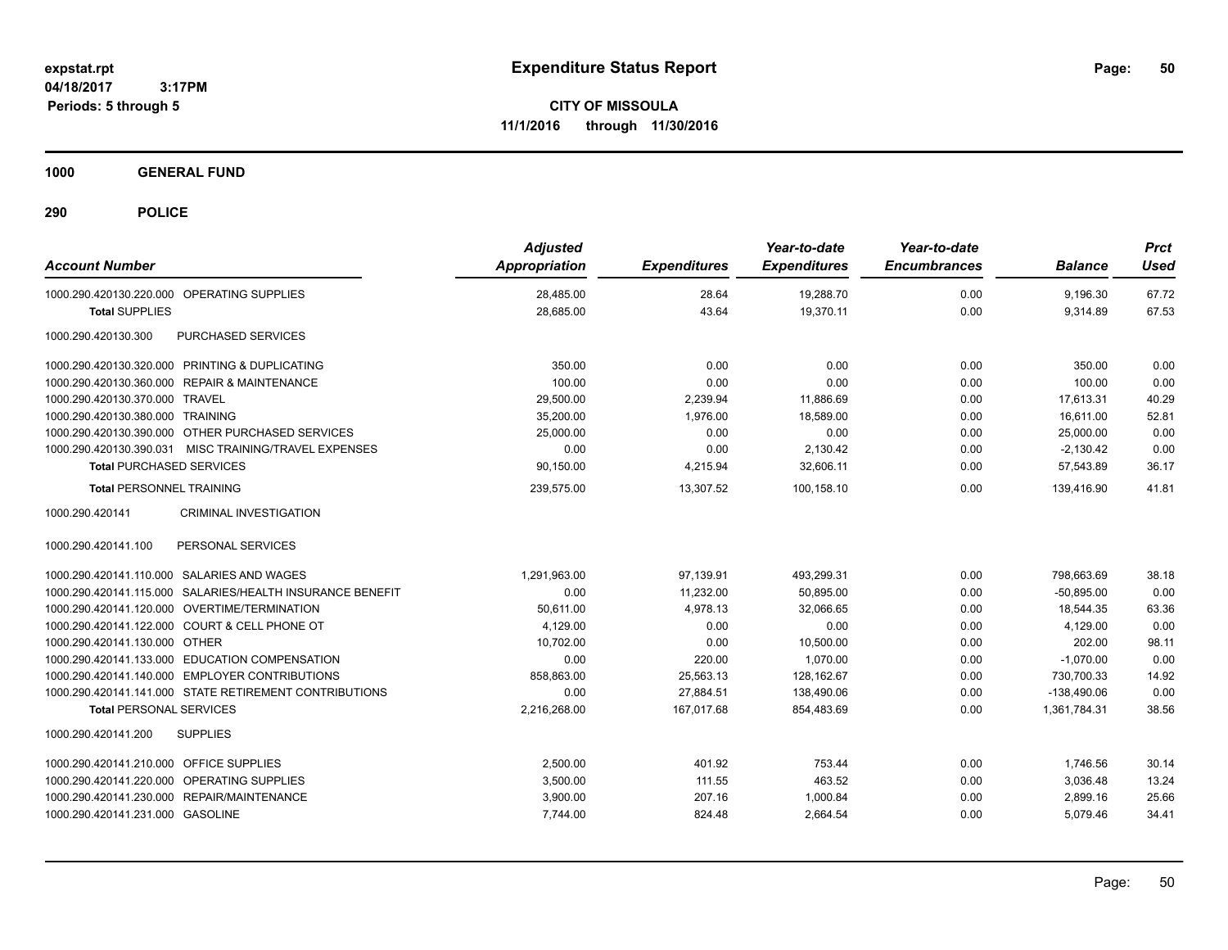**CITY OF MISSOULA 11/1/2016 through 11/30/2016**

**1000 GENERAL FUND**

| <b>Account Number</b>                                     | <b>Adjusted</b><br><b>Appropriation</b> | <b>Expenditures</b> | Year-to-date<br><b>Expenditures</b> | Year-to-date<br><b>Encumbrances</b> | <b>Balance</b> | <b>Prct</b><br><b>Used</b> |
|-----------------------------------------------------------|-----------------------------------------|---------------------|-------------------------------------|-------------------------------------|----------------|----------------------------|
| 1000.290.420130.220.000 OPERATING SUPPLIES                | 28,485.00                               | 28.64               | 19,288.70                           | 0.00                                | 9,196.30       | 67.72                      |
| <b>Total SUPPLIES</b>                                     | 28,685.00                               | 43.64               | 19,370.11                           | 0.00                                | 9,314.89       | 67.53                      |
| PURCHASED SERVICES<br>1000.290.420130.300                 |                                         |                     |                                     |                                     |                |                            |
| 1000.290.420130.320.000 PRINTING & DUPLICATING            | 350.00                                  | 0.00                | 0.00                                | 0.00                                | 350.00         | 0.00                       |
| 1000.290.420130.360.000 REPAIR & MAINTENANCE              | 100.00                                  | 0.00                | 0.00                                | 0.00                                | 100.00         | 0.00                       |
| 1000.290.420130.370.000 TRAVEL                            | 29,500.00                               | 2,239.94            | 11,886.69                           | 0.00                                | 17.613.31      | 40.29                      |
| 1000.290.420130.380.000 TRAINING                          | 35,200.00                               | 1.976.00            | 18,589.00                           | 0.00                                | 16.611.00      | 52.81                      |
| 1000.290.420130.390.000 OTHER PURCHASED SERVICES          | 25,000.00                               | 0.00                | 0.00                                | 0.00                                | 25,000.00      | 0.00                       |
| 1000.290.420130.390.031 MISC TRAINING/TRAVEL EXPENSES     | 0.00                                    | 0.00                | 2,130.42                            | 0.00                                | $-2,130.42$    | 0.00                       |
| <b>Total PURCHASED SERVICES</b>                           | 90,150.00                               | 4,215.94            | 32,606.11                           | 0.00                                | 57,543.89      | 36.17                      |
| <b>Total PERSONNEL TRAINING</b>                           | 239,575.00                              | 13,307.52           | 100.158.10                          | 0.00                                | 139.416.90     | 41.81                      |
| <b>CRIMINAL INVESTIGATION</b><br>1000.290.420141          |                                         |                     |                                     |                                     |                |                            |
| 1000.290.420141.100<br>PERSONAL SERVICES                  |                                         |                     |                                     |                                     |                |                            |
| 1000.290.420141.110.000 SALARIES AND WAGES                | 1.291.963.00                            | 97,139.91           | 493.299.31                          | 0.00                                | 798.663.69     | 38.18                      |
| 1000.290.420141.115.000 SALARIES/HEALTH INSURANCE BENEFIT | 0.00                                    | 11,232.00           | 50,895.00                           | 0.00                                | $-50,895.00$   | 0.00                       |
| 1000.290.420141.120.000 OVERTIME/TERMINATION              | 50.611.00                               | 4,978.13            | 32,066.65                           | 0.00                                | 18,544.35      | 63.36                      |
| 1000.290.420141.122.000 COURT & CELL PHONE OT             | 4,129.00                                | 0.00                | 0.00                                | 0.00                                | 4,129.00       | 0.00                       |
| 1000.290.420141.130.000 OTHER                             | 10.702.00                               | 0.00                | 10.500.00                           | 0.00                                | 202.00         | 98.11                      |
| 1000.290.420141.133.000 EDUCATION COMPENSATION            | 0.00                                    | 220.00              | 1.070.00                            | 0.00                                | $-1.070.00$    | 0.00                       |
| 1000.290.420141.140.000 EMPLOYER CONTRIBUTIONS            | 858,863.00                              | 25,563.13           | 128,162.67                          | 0.00                                | 730,700.33     | 14.92                      |
| 1000.290.420141.141.000 STATE RETIREMENT CONTRIBUTIONS    | 0.00                                    | 27,884.51           | 138,490.06                          | 0.00                                | $-138,490.06$  | 0.00                       |
| <b>Total PERSONAL SERVICES</b>                            | 2,216,268.00                            | 167,017.68          | 854,483.69                          | 0.00                                | 1,361,784.31   | 38.56                      |
| <b>SUPPLIES</b><br>1000.290.420141.200                    |                                         |                     |                                     |                                     |                |                            |
| 1000.290.420141.210.000 OFFICE SUPPLIES                   | 2,500.00                                | 401.92              | 753.44                              | 0.00                                | 1,746.56       | 30.14                      |
| 1000.290.420141.220.000 OPERATING SUPPLIES                | 3,500.00                                | 111.55              | 463.52                              | 0.00                                | 3,036.48       | 13.24                      |
| 1000.290.420141.230.000 REPAIR/MAINTENANCE                | 3,900.00                                | 207.16              | 1,000.84                            | 0.00                                | 2,899.16       | 25.66                      |
| 1000.290.420141.231.000 GASOLINE                          | 7,744.00                                | 824.48              | 2,664.54                            | 0.00                                | 5,079.46       | 34.41                      |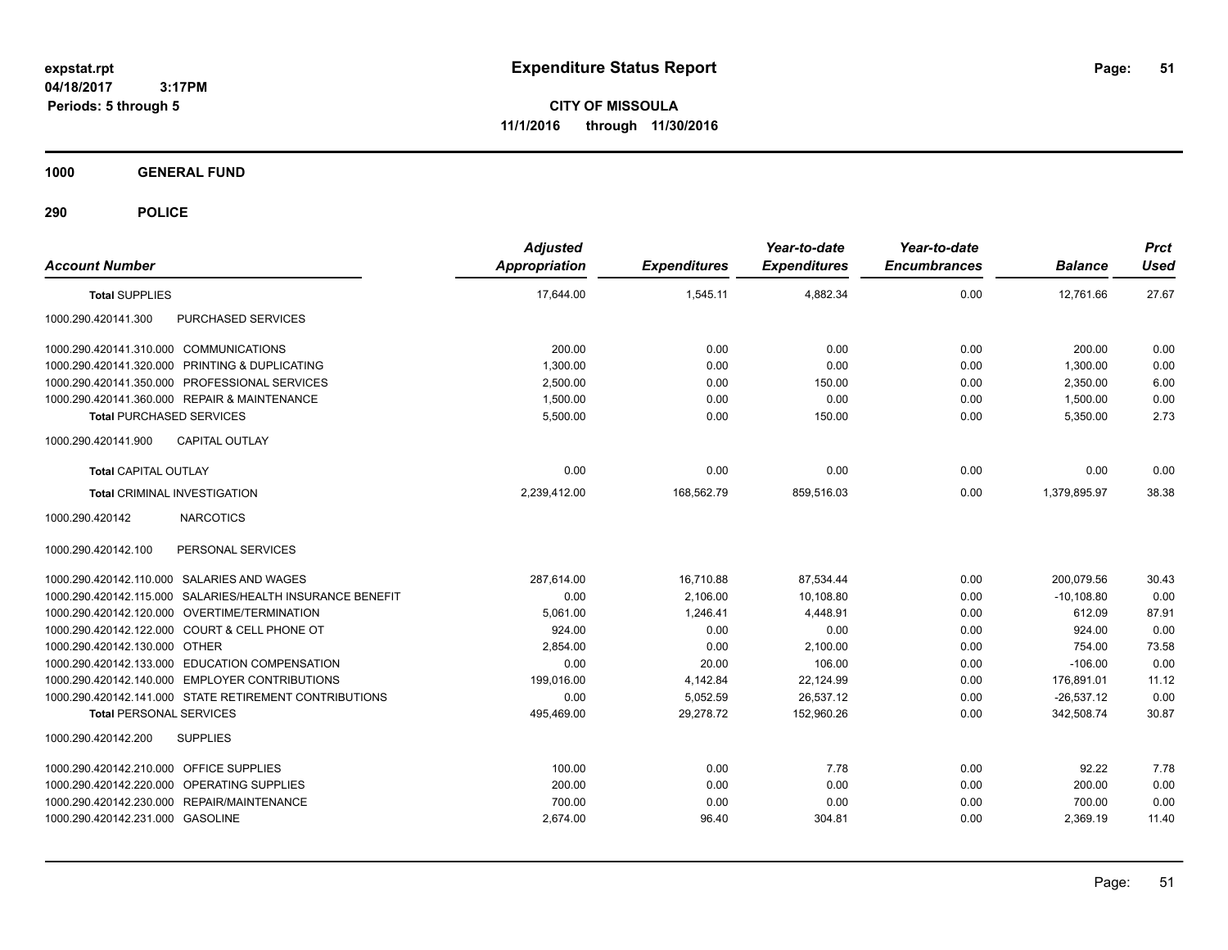**CITY OF MISSOULA 11/1/2016 through 11/30/2016**

**1000 GENERAL FUND**

| <b>Account Number</b>                                     | <b>Adjusted</b><br><b>Appropriation</b> | <b>Expenditures</b> | Year-to-date<br><b>Expenditures</b> | Year-to-date<br><b>Encumbrances</b> | <b>Balance</b> | <b>Prct</b><br><b>Used</b> |
|-----------------------------------------------------------|-----------------------------------------|---------------------|-------------------------------------|-------------------------------------|----------------|----------------------------|
| <b>Total SUPPLIES</b>                                     | 17,644.00                               | 1,545.11            | 4,882.34                            | 0.00                                | 12,761.66      | 27.67                      |
| PURCHASED SERVICES<br>1000.290.420141.300                 |                                         |                     |                                     |                                     |                |                            |
| 1000.290.420141.310.000 COMMUNICATIONS                    | 200.00                                  | 0.00                | 0.00                                | 0.00                                | 200.00         | 0.00                       |
| 1000.290.420141.320.000 PRINTING & DUPLICATING            | 1,300.00                                | 0.00                | 0.00                                | 0.00                                | 1.300.00       | 0.00                       |
| 1000.290.420141.350.000 PROFESSIONAL SERVICES             | 2,500.00                                | 0.00                | 150.00                              | 0.00                                | 2,350.00       | 6.00                       |
| 1000.290.420141.360.000 REPAIR & MAINTENANCE              | 1,500.00                                | 0.00                | 0.00                                | 0.00                                | 1,500.00       | 0.00                       |
| <b>Total PURCHASED SERVICES</b>                           | 5,500.00                                | 0.00                | 150.00                              | 0.00                                | 5,350.00       | 2.73                       |
| 1000.290.420141.900<br><b>CAPITAL OUTLAY</b>              |                                         |                     |                                     |                                     |                |                            |
| <b>Total CAPITAL OUTLAY</b>                               | 0.00                                    | 0.00                | 0.00                                | 0.00                                | 0.00           | 0.00                       |
| <b>Total CRIMINAL INVESTIGATION</b>                       | 2,239,412.00                            | 168,562.79          | 859.516.03                          | 0.00                                | 1.379.895.97   | 38.38                      |
| <b>NARCOTICS</b><br>1000.290.420142                       |                                         |                     |                                     |                                     |                |                            |
| 1000.290.420142.100<br>PERSONAL SERVICES                  |                                         |                     |                                     |                                     |                |                            |
| 1000.290.420142.110.000 SALARIES AND WAGES                | 287.614.00                              | 16.710.88           | 87,534.44                           | 0.00                                | 200.079.56     | 30.43                      |
| 1000.290.420142.115.000 SALARIES/HEALTH INSURANCE BENEFIT | 0.00                                    | 2,106.00            | 10.108.80                           | 0.00                                | $-10,108.80$   | 0.00                       |
| 1000.290.420142.120.000 OVERTIME/TERMINATION              | 5,061.00                                | 1,246.41            | 4,448.91                            | 0.00                                | 612.09         | 87.91                      |
| 1000.290.420142.122.000 COURT & CELL PHONE OT             | 924.00                                  | 0.00                | 0.00                                | 0.00                                | 924.00         | 0.00                       |
| 1000.290.420142.130.000 OTHER                             | 2.854.00                                | 0.00                | 2.100.00                            | 0.00                                | 754.00         | 73.58                      |
| 1000.290.420142.133.000 EDUCATION COMPENSATION            | 0.00                                    | 20.00               | 106.00                              | 0.00                                | $-106.00$      | 0.00                       |
| 1000.290.420142.140.000 EMPLOYER CONTRIBUTIONS            | 199,016.00                              | 4,142.84            | 22,124.99                           | 0.00                                | 176,891.01     | 11.12                      |
| 1000.290.420142.141.000 STATE RETIREMENT CONTRIBUTIONS    | 0.00                                    | 5,052.59            | 26,537.12                           | 0.00                                | $-26,537.12$   | 0.00                       |
| <b>Total PERSONAL SERVICES</b>                            | 495,469.00                              | 29,278.72           | 152,960.26                          | 0.00                                | 342,508.74     | 30.87                      |
| 1000.290.420142.200<br><b>SUPPLIES</b>                    |                                         |                     |                                     |                                     |                |                            |
| 1000.290.420142.210.000 OFFICE SUPPLIES                   | 100.00                                  | 0.00                | 7.78                                | 0.00                                | 92.22          | 7.78                       |
| 1000.290.420142.220.000 OPERATING SUPPLIES                | 200.00                                  | 0.00                | 0.00                                | 0.00                                | 200.00         | 0.00                       |
| 1000.290.420142.230.000 REPAIR/MAINTENANCE                | 700.00                                  | 0.00                | 0.00                                | 0.00                                | 700.00         | 0.00                       |
| 1000.290.420142.231.000 GASOLINE                          | 2,674.00                                | 96.40               | 304.81                              | 0.00                                | 2,369.19       | 11.40                      |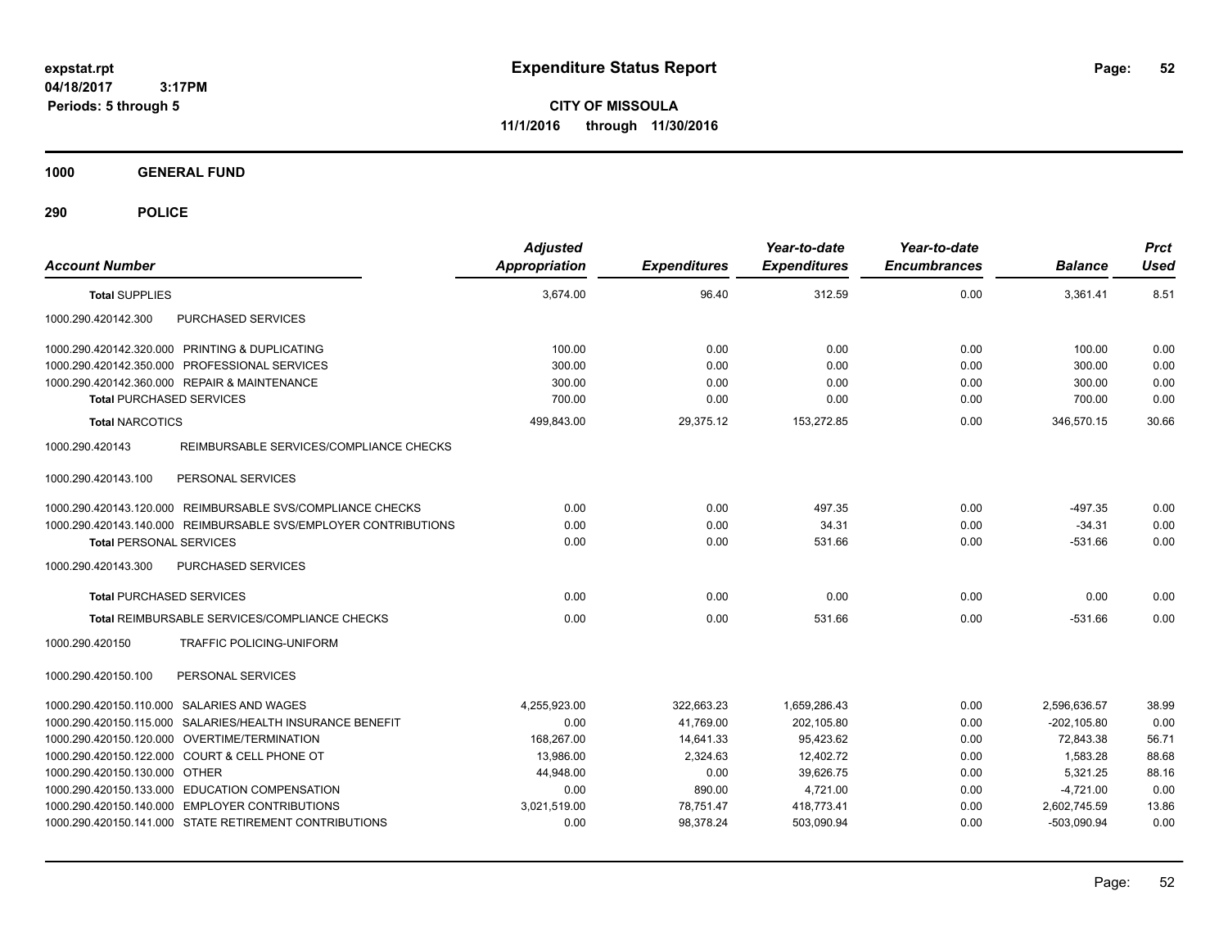**CITY OF MISSOULA 11/1/2016 through 11/30/2016**

**1000 GENERAL FUND**

| <b>Account Number</b>                                           | <b>Adjusted</b><br><b>Appropriation</b> | <b>Expenditures</b> | Year-to-date<br><b>Expenditures</b> | Year-to-date<br><b>Encumbrances</b> | <b>Balance</b> | <b>Prct</b><br><b>Used</b> |
|-----------------------------------------------------------------|-----------------------------------------|---------------------|-------------------------------------|-------------------------------------|----------------|----------------------------|
| <b>Total SUPPLIES</b>                                           | 3.674.00                                | 96.40               | 312.59                              | 0.00                                | 3.361.41       | 8.51                       |
| 1000.290.420142.300<br>PURCHASED SERVICES                       |                                         |                     |                                     |                                     |                |                            |
| 1000.290.420142.320.000 PRINTING & DUPLICATING                  | 100.00                                  | 0.00                | 0.00                                | 0.00                                | 100.00         | 0.00                       |
| 1000.290.420142.350.000 PROFESSIONAL SERVICES                   | 300.00                                  | 0.00                | 0.00                                | 0.00                                | 300.00         | 0.00                       |
| 1000.290.420142.360.000 REPAIR & MAINTENANCE                    | 300.00                                  | 0.00                | 0.00                                | 0.00                                | 300.00         | 0.00                       |
| <b>Total PURCHASED SERVICES</b>                                 | 700.00                                  | 0.00                | 0.00                                | 0.00                                | 700.00         | 0.00                       |
| <b>Total NARCOTICS</b>                                          | 499,843.00                              | 29,375.12           | 153,272.85                          | 0.00                                | 346.570.15     | 30.66                      |
| 1000.290.420143<br>REIMBURSABLE SERVICES/COMPLIANCE CHECKS      |                                         |                     |                                     |                                     |                |                            |
| PERSONAL SERVICES<br>1000.290.420143.100                        |                                         |                     |                                     |                                     |                |                            |
| 1000.290.420143.120.000 REIMBURSABLE SVS/COMPLIANCE CHECKS      | 0.00                                    | 0.00                | 497.35                              | 0.00                                | $-497.35$      | 0.00                       |
| 1000.290.420143.140.000 REIMBURSABLE SVS/EMPLOYER CONTRIBUTIONS | 0.00                                    | 0.00                | 34.31                               | 0.00                                | $-34.31$       | 0.00                       |
| <b>Total PERSONAL SERVICES</b>                                  | 0.00                                    | 0.00                | 531.66                              | 0.00                                | $-531.66$      | 0.00                       |
| PURCHASED SERVICES<br>1000.290.420143.300                       |                                         |                     |                                     |                                     |                |                            |
| <b>Total PURCHASED SERVICES</b>                                 | 0.00                                    | 0.00                | 0.00                                | 0.00                                | 0.00           | 0.00                       |
| Total REIMBURSABLE SERVICES/COMPLIANCE CHECKS                   | 0.00                                    | 0.00                | 531.66                              | 0.00                                | $-531.66$      | 0.00                       |
| 1000.290.420150<br><b>TRAFFIC POLICING-UNIFORM</b>              |                                         |                     |                                     |                                     |                |                            |
| PERSONAL SERVICES<br>1000.290.420150.100                        |                                         |                     |                                     |                                     |                |                            |
| 1000.290.420150.110.000 SALARIES AND WAGES                      | 4,255,923.00                            | 322,663.23          | 1,659,286.43                        | 0.00                                | 2,596,636.57   | 38.99                      |
| 1000.290.420150.115.000 SALARIES/HEALTH INSURANCE BENEFIT       | 0.00                                    | 41,769.00           | 202,105.80                          | 0.00                                | $-202, 105.80$ | 0.00                       |
| 1000.290.420150.120.000 OVERTIME/TERMINATION                    | 168,267.00                              | 14,641.33           | 95,423.62                           | 0.00                                | 72,843.38      | 56.71                      |
| 1000.290.420150.122.000 COURT & CELL PHONE OT                   | 13,986.00                               | 2,324.63            | 12,402.72                           | 0.00                                | 1,583.28       | 88.68                      |
| 1000.290.420150.130.000 OTHER                                   | 44.948.00                               | 0.00                | 39.626.75                           | 0.00                                | 5.321.25       | 88.16                      |
| 1000.290.420150.133.000 EDUCATION COMPENSATION                  | 0.00                                    | 890.00              | 4,721.00                            | 0.00                                | $-4,721.00$    | 0.00                       |
| 1000.290.420150.140.000 EMPLOYER CONTRIBUTIONS                  | 3,021,519.00                            | 78,751.47           | 418,773.41                          | 0.00                                | 2,602,745.59   | 13.86                      |
| 1000.290.420150.141.000 STATE RETIREMENT CONTRIBUTIONS          | 0.00                                    | 98.378.24           | 503.090.94                          | 0.00                                | -503.090.94    | 0.00                       |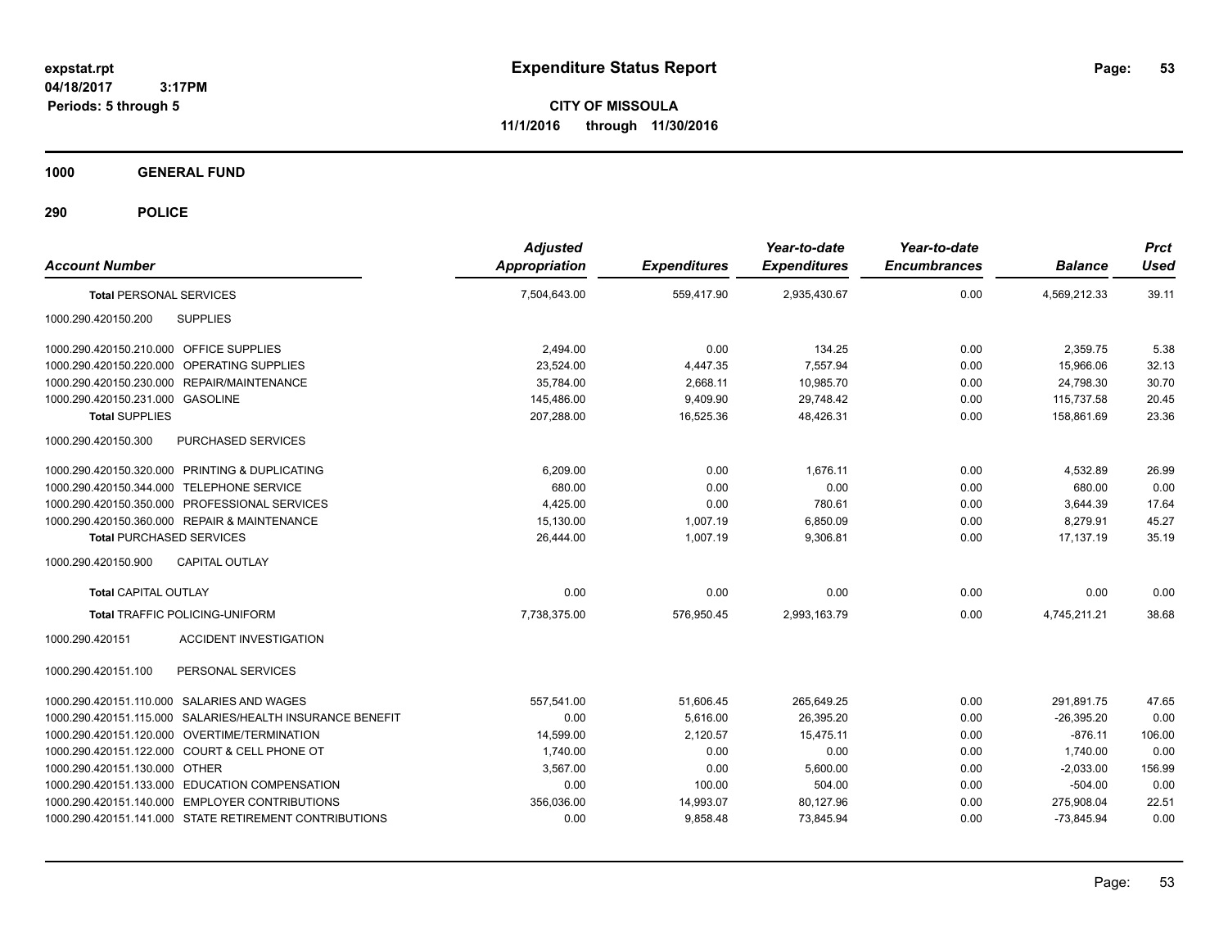**CITY OF MISSOULA 11/1/2016 through 11/30/2016**

**1000 GENERAL FUND**

| <b>Account Number</b>                                     | <b>Adjusted</b><br><b>Appropriation</b> | <b>Expenditures</b> | Year-to-date<br><b>Expenditures</b> | Year-to-date<br><b>Encumbrances</b> | <b>Balance</b> | <b>Prct</b><br><b>Used</b> |
|-----------------------------------------------------------|-----------------------------------------|---------------------|-------------------------------------|-------------------------------------|----------------|----------------------------|
| <b>Total PERSONAL SERVICES</b>                            | 7,504,643.00                            | 559.417.90          | 2,935,430.67                        | 0.00                                | 4,569,212.33   | 39.11                      |
| 1000.290.420150.200<br><b>SUPPLIES</b>                    |                                         |                     |                                     |                                     |                |                            |
| 1000.290.420150.210.000 OFFICE SUPPLIES                   | 2,494.00                                | 0.00                | 134.25                              | 0.00                                | 2,359.75       | 5.38                       |
| 1000.290.420150.220.000 OPERATING SUPPLIES                | 23,524.00                               | 4,447.35            | 7,557.94                            | 0.00                                | 15,966.06      | 32.13                      |
| 1000.290.420150.230.000 REPAIR/MAINTENANCE                | 35,784.00                               | 2,668.11            | 10,985.70                           | 0.00                                | 24,798.30      | 30.70                      |
| 1000.290.420150.231.000 GASOLINE                          | 145,486.00                              | 9,409.90            | 29.748.42                           | 0.00                                | 115,737.58     | 20.45                      |
| <b>Total SUPPLIES</b>                                     | 207,288.00                              | 16,525.36           | 48.426.31                           | 0.00                                | 158,861.69     | 23.36                      |
| 1000.290.420150.300<br>PURCHASED SERVICES                 |                                         |                     |                                     |                                     |                |                            |
| 1000.290.420150.320.000 PRINTING & DUPLICATING            | 6,209.00                                | 0.00                | 1.676.11                            | 0.00                                | 4,532.89       | 26.99                      |
| 1000.290.420150.344.000 TELEPHONE SERVICE                 | 680.00                                  | 0.00                | 0.00                                | 0.00                                | 680.00         | 0.00                       |
| 1000.290.420150.350.000 PROFESSIONAL SERVICES             | 4.425.00                                | 0.00                | 780.61                              | 0.00                                | 3,644.39       | 17.64                      |
| 1000.290.420150.360.000 REPAIR & MAINTENANCE              | 15,130.00                               | 1.007.19            | 6,850.09                            | 0.00                                | 8,279.91       | 45.27                      |
| <b>Total PURCHASED SERVICES</b>                           | 26.444.00                               | 1.007.19            | 9,306.81                            | 0.00                                | 17.137.19      | 35.19                      |
| CAPITAL OUTLAY<br>1000.290.420150.900                     |                                         |                     |                                     |                                     |                |                            |
| <b>Total CAPITAL OUTLAY</b>                               | 0.00                                    | 0.00                | 0.00                                | 0.00                                | 0.00           | 0.00                       |
| <b>Total TRAFFIC POLICING-UNIFORM</b>                     | 7,738,375.00                            | 576,950.45          | 2,993,163.79                        | 0.00                                | 4,745,211.21   | 38.68                      |
| <b>ACCIDENT INVESTIGATION</b><br>1000.290.420151          |                                         |                     |                                     |                                     |                |                            |
| 1000.290.420151.100<br>PERSONAL SERVICES                  |                                         |                     |                                     |                                     |                |                            |
| 1000.290.420151.110.000 SALARIES AND WAGES                | 557.541.00                              | 51,606.45           | 265,649.25                          | 0.00                                | 291,891.75     | 47.65                      |
| 1000.290.420151.115.000 SALARIES/HEALTH INSURANCE BENEFIT | 0.00                                    | 5.616.00            | 26.395.20                           | 0.00                                | $-26.395.20$   | 0.00                       |
| 1000.290.420151.120.000 OVERTIME/TERMINATION              | 14,599.00                               | 2,120.57            | 15,475.11                           | 0.00                                | $-876.11$      | 106.00                     |
| 1000.290.420151.122.000 COURT & CELL PHONE OT             | 1,740.00                                | 0.00                | 0.00                                | 0.00                                | 1,740.00       | 0.00                       |
| 1000.290.420151.130.000 OTHER                             | 3,567.00                                | 0.00                | 5,600.00                            | 0.00                                | $-2,033.00$    | 156.99                     |
| 1000.290.420151.133.000 EDUCATION COMPENSATION            | 0.00                                    | 100.00              | 504.00                              | 0.00                                | $-504.00$      | 0.00                       |
| 1000.290.420151.140.000 EMPLOYER CONTRIBUTIONS            | 356,036.00                              | 14,993.07           | 80,127.96                           | 0.00                                | 275,908.04     | 22.51                      |
| 1000.290.420151.141.000 STATE RETIREMENT CONTRIBUTIONS    | 0.00                                    | 9,858.48            | 73,845.94                           | 0.00                                | $-73,845.94$   | 0.00                       |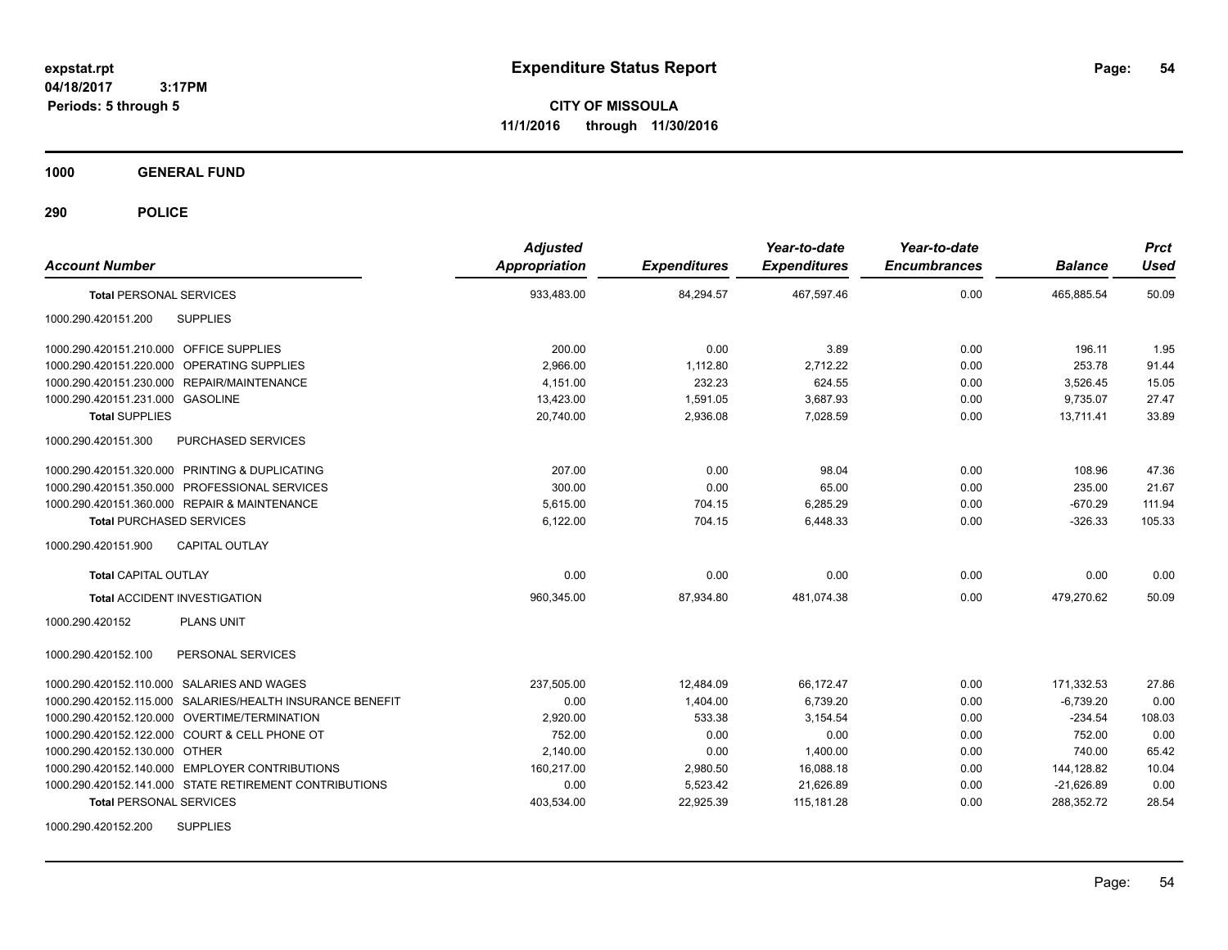**CITY OF MISSOULA 11/1/2016 through 11/30/2016**

**1000 GENERAL FUND**

| <b>Account Number</b>                                     | <b>Adjusted</b><br><b>Appropriation</b> | <b>Expenditures</b> | Year-to-date<br><b>Expenditures</b> | Year-to-date<br><b>Encumbrances</b> | <b>Balance</b> | <b>Prct</b><br><b>Used</b> |
|-----------------------------------------------------------|-----------------------------------------|---------------------|-------------------------------------|-------------------------------------|----------------|----------------------------|
| <b>Total PERSONAL SERVICES</b>                            | 933,483.00                              | 84,294.57           | 467,597.46                          | 0.00                                | 465,885.54     | 50.09                      |
| 1000.290.420151.200<br><b>SUPPLIES</b>                    |                                         |                     |                                     |                                     |                |                            |
| 1000.290.420151.210.000 OFFICE SUPPLIES                   | 200.00                                  | 0.00                | 3.89                                | 0.00                                | 196.11         | 1.95                       |
| 1000.290.420151.220.000 OPERATING SUPPLIES                | 2,966.00                                | 1,112.80            | 2,712.22                            | 0.00                                | 253.78         | 91.44                      |
| 1000.290.420151.230.000 REPAIR/MAINTENANCE                | 4,151.00                                | 232.23              | 624.55                              | 0.00                                | 3,526.45       | 15.05                      |
| 1000.290.420151.231.000 GASOLINE                          | 13,423.00                               | 1,591.05            | 3,687.93                            | 0.00                                | 9,735.07       | 27.47                      |
| <b>Total SUPPLIES</b>                                     | 20,740.00                               | 2,936.08            | 7,028.59                            | 0.00                                | 13.711.41      | 33.89                      |
| 1000.290.420151.300<br>PURCHASED SERVICES                 |                                         |                     |                                     |                                     |                |                            |
| 1000.290.420151.320.000 PRINTING & DUPLICATING            | 207.00                                  | 0.00                | 98.04                               | 0.00                                | 108.96         | 47.36                      |
| 1000.290.420151.350.000 PROFESSIONAL SERVICES             | 300.00                                  | 0.00                | 65.00                               | 0.00                                | 235.00         | 21.67                      |
| 1000.290.420151.360.000 REPAIR & MAINTENANCE              | 5.615.00                                | 704.15              | 6,285.29                            | 0.00                                | $-670.29$      | 111.94                     |
| <b>Total PURCHASED SERVICES</b>                           | 6,122.00                                | 704.15              | 6,448.33                            | 0.00                                | $-326.33$      | 105.33                     |
| 1000.290.420151.900<br><b>CAPITAL OUTLAY</b>              |                                         |                     |                                     |                                     |                |                            |
| <b>Total CAPITAL OUTLAY</b>                               | 0.00                                    | 0.00                | 0.00                                | 0.00                                | 0.00           | 0.00                       |
| <b>Total ACCIDENT INVESTIGATION</b>                       | 960,345.00                              | 87,934.80           | 481,074.38                          | 0.00                                | 479,270.62     | 50.09                      |
| <b>PLANS UNIT</b><br>1000.290.420152                      |                                         |                     |                                     |                                     |                |                            |
| PERSONAL SERVICES<br>1000.290.420152.100                  |                                         |                     |                                     |                                     |                |                            |
| 1000.290.420152.110.000 SALARIES AND WAGES                | 237,505.00                              | 12,484.09           | 66,172.47                           | 0.00                                | 171,332.53     | 27.86                      |
| 1000.290.420152.115.000 SALARIES/HEALTH INSURANCE BENEFIT | 0.00                                    | 1,404.00            | 6,739.20                            | 0.00                                | $-6,739.20$    | 0.00                       |
| 1000.290.420152.120.000 OVERTIME/TERMINATION              | 2,920.00                                | 533.38              | 3,154.54                            | 0.00                                | $-234.54$      | 108.03                     |
| 1000.290.420152.122.000 COURT & CELL PHONE OT             | 752.00                                  | 0.00                | 0.00                                | 0.00                                | 752.00         | 0.00                       |
| 1000.290.420152.130.000 OTHER                             | 2,140.00                                | 0.00                | 1,400.00                            | 0.00                                | 740.00         | 65.42                      |
| 1000.290.420152.140.000 EMPLOYER CONTRIBUTIONS            | 160,217.00                              | 2,980.50            | 16,088.18                           | 0.00                                | 144,128.82     | 10.04                      |
| 1000.290.420152.141.000 STATE RETIREMENT CONTRIBUTIONS    | 0.00                                    | 5,523.42            | 21,626.89                           | 0.00                                | $-21,626.89$   | 0.00                       |
| <b>Total PERSONAL SERVICES</b>                            | 403,534.00                              | 22,925.39           | 115,181.28                          | 0.00                                | 288,352.72     | 28.54                      |
| <b>SUPPLIES</b><br>1000.290.420152.200                    |                                         |                     |                                     |                                     |                |                            |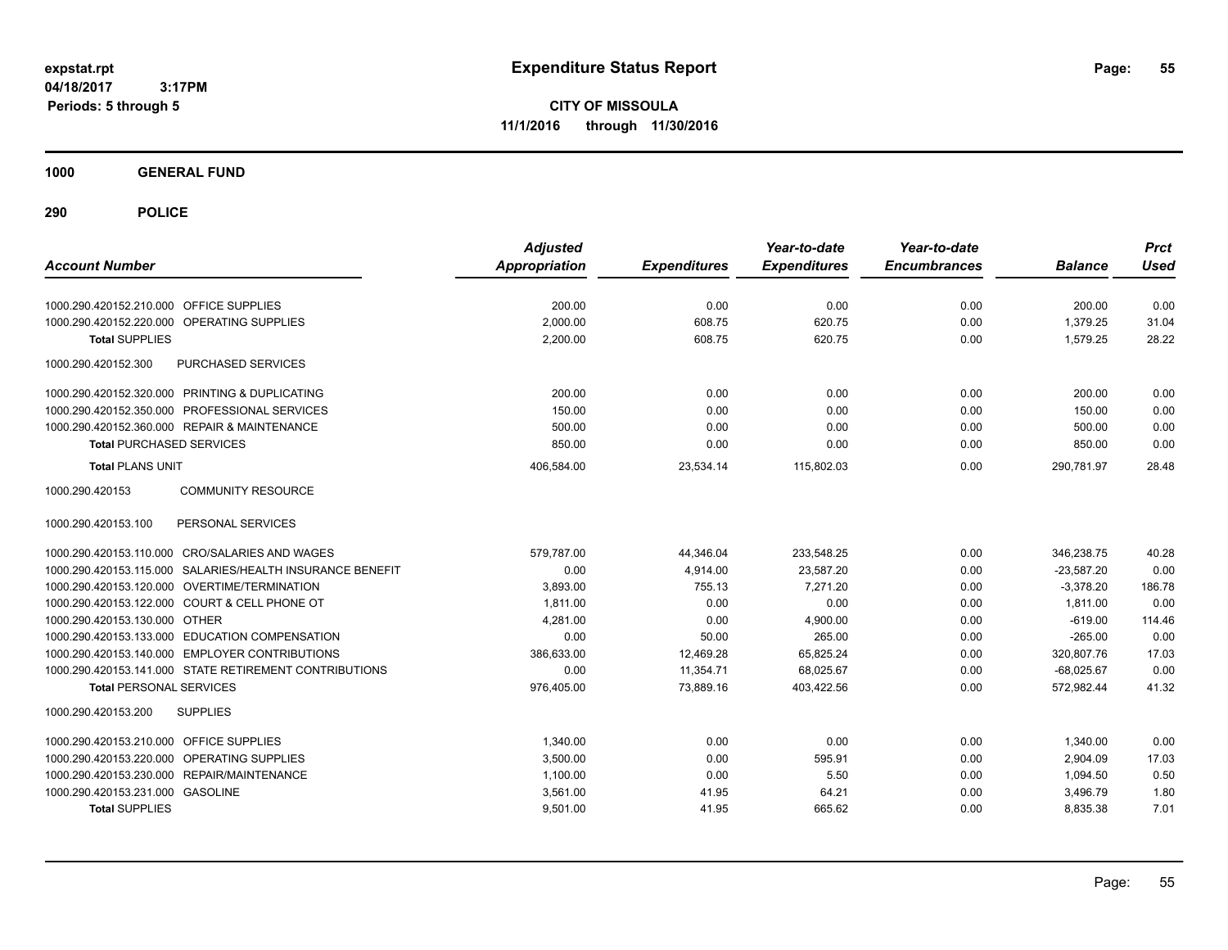**CITY OF MISSOULA 11/1/2016 through 11/30/2016**

**1000 GENERAL FUND**

| <b>Account Number</b>                                     | <b>Adjusted</b><br><b>Appropriation</b> | <b>Expenditures</b> | Year-to-date<br><b>Expenditures</b> | Year-to-date<br><b>Encumbrances</b> | <b>Balance</b> | <b>Prct</b><br><b>Used</b> |
|-----------------------------------------------------------|-----------------------------------------|---------------------|-------------------------------------|-------------------------------------|----------------|----------------------------|
| 1000.290.420152.210.000 OFFICE SUPPLIES                   | 200.00                                  | 0.00                | 0.00                                | 0.00                                | 200.00         | 0.00                       |
| OPERATING SUPPLIES<br>1000.290.420152.220.000             | 2,000.00                                | 608.75              | 620.75                              | 0.00                                | 1,379.25       | 31.04                      |
| <b>Total SUPPLIES</b>                                     | 2,200.00                                | 608.75              | 620.75                              | 0.00                                | 1,579.25       | 28.22                      |
| 1000.290.420152.300<br>PURCHASED SERVICES                 |                                         |                     |                                     |                                     |                |                            |
| 1000.290.420152.320.000 PRINTING & DUPLICATING            | 200.00                                  | 0.00                | 0.00                                | 0.00                                | 200.00         | 0.00                       |
| 1000.290.420152.350.000 PROFESSIONAL SERVICES             | 150.00                                  | 0.00                | 0.00                                | 0.00                                | 150.00         | 0.00                       |
| 1000.290.420152.360.000 REPAIR & MAINTENANCE              | 500.00                                  | 0.00                | 0.00                                | 0.00                                | 500.00         | 0.00                       |
| <b>Total PURCHASED SERVICES</b>                           | 850.00                                  | 0.00                | 0.00                                | 0.00                                | 850.00         | 0.00                       |
| <b>Total PLANS UNIT</b>                                   | 406,584.00                              | 23,534.14           | 115,802.03                          | 0.00                                | 290,781.97     | 28.48                      |
| 1000.290.420153<br><b>COMMUNITY RESOURCE</b>              |                                         |                     |                                     |                                     |                |                            |
| 1000.290.420153.100<br>PERSONAL SERVICES                  |                                         |                     |                                     |                                     |                |                            |
| 1000.290.420153.110.000 CRO/SALARIES AND WAGES            | 579,787.00                              | 44,346.04           | 233,548.25                          | 0.00                                | 346.238.75     | 40.28                      |
| 1000.290.420153.115.000 SALARIES/HEALTH INSURANCE BENEFIT | 0.00                                    | 4,914.00            | 23,587.20                           | 0.00                                | $-23,587.20$   | 0.00                       |
| 1000.290.420153.120.000 OVERTIME/TERMINATION              | 3.893.00                                | 755.13              | 7.271.20                            | 0.00                                | $-3,378.20$    | 186.78                     |
| 1000.290.420153.122.000 COURT & CELL PHONE OT             | 1,811.00                                | 0.00                | 0.00                                | 0.00                                | 1,811.00       | 0.00                       |
| 1000.290.420153.130.000 OTHER                             | 4,281.00                                | 0.00                | 4,900.00                            | 0.00                                | $-619.00$      | 114.46                     |
| 1000.290.420153.133.000 EDUCATION COMPENSATION            | 0.00                                    | 50.00               | 265.00                              | 0.00                                | $-265.00$      | 0.00                       |
| 1000.290.420153.140.000 EMPLOYER CONTRIBUTIONS            | 386,633.00                              | 12,469.28           | 65,825.24                           | 0.00                                | 320.807.76     | 17.03                      |
| 1000.290.420153.141.000 STATE RETIREMENT CONTRIBUTIONS    | 0.00                                    | 11,354.71           | 68,025.67                           | 0.00                                | $-68,025.67$   | 0.00                       |
| <b>Total PERSONAL SERVICES</b>                            | 976,405.00                              | 73,889.16           | 403,422.56                          | 0.00                                | 572,982.44     | 41.32                      |
| 1000.290.420153.200<br><b>SUPPLIES</b>                    |                                         |                     |                                     |                                     |                |                            |
| 1000.290.420153.210.000<br><b>OFFICE SUPPLIES</b>         | 1,340.00                                | 0.00                | 0.00                                | 0.00                                | 1,340.00       | 0.00                       |
| OPERATING SUPPLIES<br>1000.290.420153.220.000             | 3,500.00                                | 0.00                | 595.91                              | 0.00                                | 2,904.09       | 17.03                      |
| 1000.290.420153.230.000 REPAIR/MAINTENANCE                | 1,100.00                                | 0.00                | 5.50                                | 0.00                                | 1,094.50       | 0.50                       |
| 1000.290.420153.231.000 GASOLINE                          | 3,561.00                                | 41.95               | 64.21                               | 0.00                                | 3,496.79       | 1.80                       |
| <b>Total SUPPLIES</b>                                     | 9,501.00                                | 41.95               | 665.62                              | 0.00                                | 8,835.38       | 7.01                       |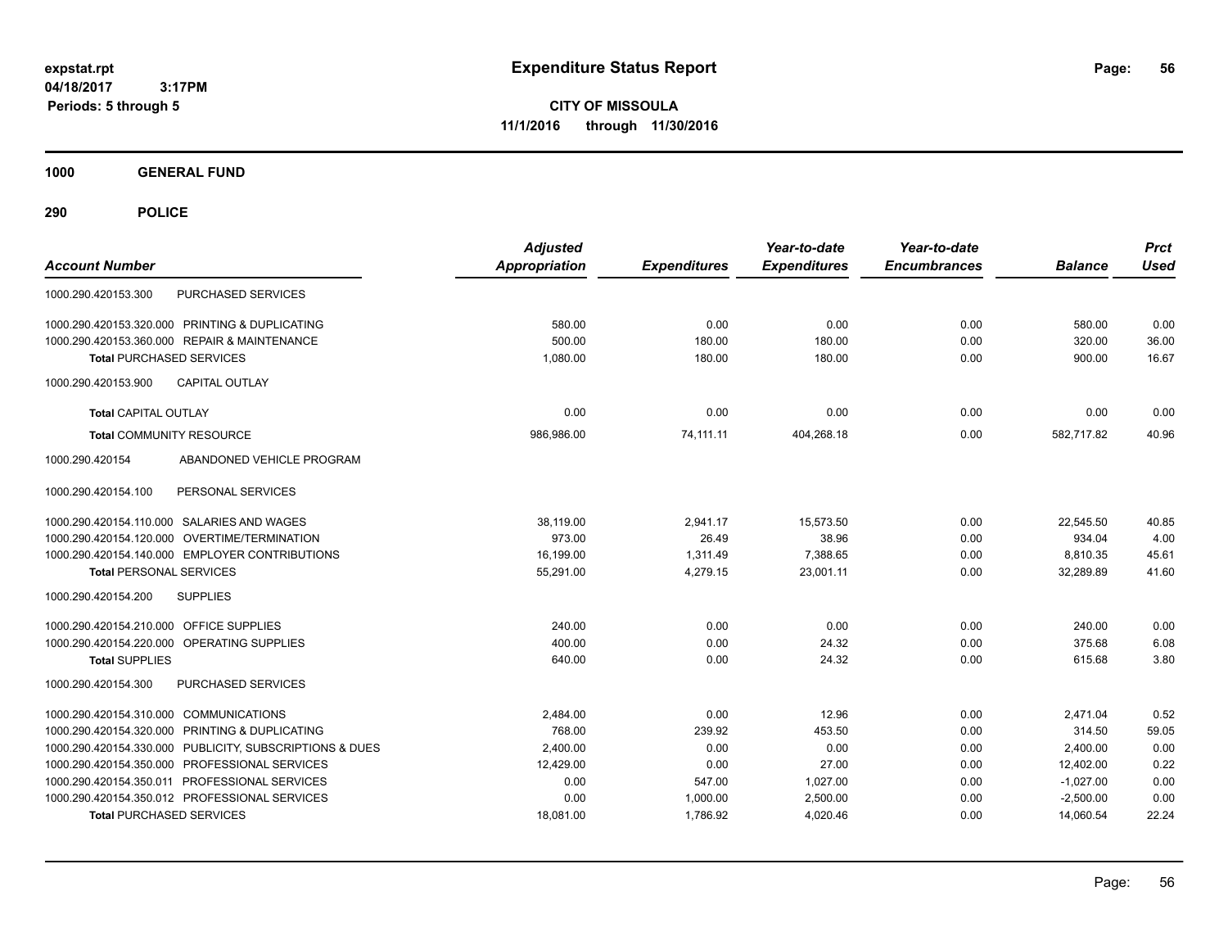**CITY OF MISSOULA 11/1/2016 through 11/30/2016**

**1000 GENERAL FUND**

| <b>Account Number</b>                                   | <b>Adjusted</b><br><b>Appropriation</b> | <b>Expenditures</b> | Year-to-date<br><b>Expenditures</b> | Year-to-date<br><b>Encumbrances</b> | <b>Balance</b> | <b>Prct</b><br><b>Used</b> |
|---------------------------------------------------------|-----------------------------------------|---------------------|-------------------------------------|-------------------------------------|----------------|----------------------------|
| <b>PURCHASED SERVICES</b><br>1000.290.420153.300        |                                         |                     |                                     |                                     |                |                            |
| 1000.290.420153.320.000 PRINTING & DUPLICATING          | 580.00                                  | 0.00                | 0.00                                | 0.00                                | 580.00         | 0.00                       |
| 1000.290.420153.360.000 REPAIR & MAINTENANCE            | 500.00                                  | 180.00              | 180.00                              | 0.00                                | 320.00         | 36.00                      |
| <b>Total PURCHASED SERVICES</b>                         | 1,080.00                                | 180.00              | 180.00                              | 0.00                                | 900.00         | 16.67                      |
| <b>CAPITAL OUTLAY</b><br>1000.290.420153.900            |                                         |                     |                                     |                                     |                |                            |
| <b>Total CAPITAL OUTLAY</b>                             | 0.00                                    | 0.00                | 0.00                                | 0.00                                | 0.00           | 0.00                       |
| <b>Total COMMUNITY RESOURCE</b>                         | 986,986.00                              | 74,111.11           | 404,268.18                          | 0.00                                | 582,717.82     | 40.96                      |
| 1000.290.420154<br>ABANDONED VEHICLE PROGRAM            |                                         |                     |                                     |                                     |                |                            |
| 1000.290.420154.100<br>PERSONAL SERVICES                |                                         |                     |                                     |                                     |                |                            |
| 1000.290.420154.110.000 SALARIES AND WAGES              | 38,119.00                               | 2,941.17            | 15,573.50                           | 0.00                                | 22.545.50      | 40.85                      |
| 1000.290.420154.120.000<br>OVERTIME/TERMINATION         | 973.00                                  | 26.49               | 38.96                               | 0.00                                | 934.04         | 4.00                       |
| 1000.290.420154.140.000 EMPLOYER CONTRIBUTIONS          | 16,199.00                               | 1,311.49            | 7,388.65                            | 0.00                                | 8,810.35       | 45.61                      |
| <b>Total PERSONAL SERVICES</b>                          | 55,291.00                               | 4,279.15            | 23,001.11                           | 0.00                                | 32,289.89      | 41.60                      |
| <b>SUPPLIES</b><br>1000.290.420154.200                  |                                         |                     |                                     |                                     |                |                            |
| 1000.290.420154.210.000 OFFICE SUPPLIES                 | 240.00                                  | 0.00                | 0.00                                | 0.00                                | 240.00         | 0.00                       |
| 1000.290.420154.220.000 OPERATING SUPPLIES              | 400.00                                  | 0.00                | 24.32                               | 0.00                                | 375.68         | 6.08                       |
| <b>Total SUPPLIES</b>                                   | 640.00                                  | 0.00                | 24.32                               | 0.00                                | 615.68         | 3.80                       |
| PURCHASED SERVICES<br>1000.290.420154.300               |                                         |                     |                                     |                                     |                |                            |
| 1000.290.420154.310.000 COMMUNICATIONS                  | 2,484.00                                | 0.00                | 12.96                               | 0.00                                | 2,471.04       | 0.52                       |
| 1000.290.420154.320.000 PRINTING & DUPLICATING          | 768.00                                  | 239.92              | 453.50                              | 0.00                                | 314.50         | 59.05                      |
| 1000.290.420154.330.000 PUBLICITY, SUBSCRIPTIONS & DUES | 2,400.00                                | 0.00                | 0.00                                | 0.00                                | 2,400.00       | 0.00                       |
| 1000.290.420154.350.000 PROFESSIONAL SERVICES           | 12,429.00                               | 0.00                | 27.00                               | 0.00                                | 12,402.00      | 0.22                       |
| 1000.290.420154.350.011 PROFESSIONAL SERVICES           | 0.00                                    | 547.00              | 1,027.00                            | 0.00                                | $-1,027.00$    | 0.00                       |
| 1000.290.420154.350.012 PROFESSIONAL SERVICES           | 0.00                                    | 1,000.00            | 2,500.00                            | 0.00                                | $-2,500.00$    | 0.00                       |
| <b>Total PURCHASED SERVICES</b>                         | 18,081.00                               | 1,786.92            | 4,020.46                            | 0.00                                | 14,060.54      | 22.24                      |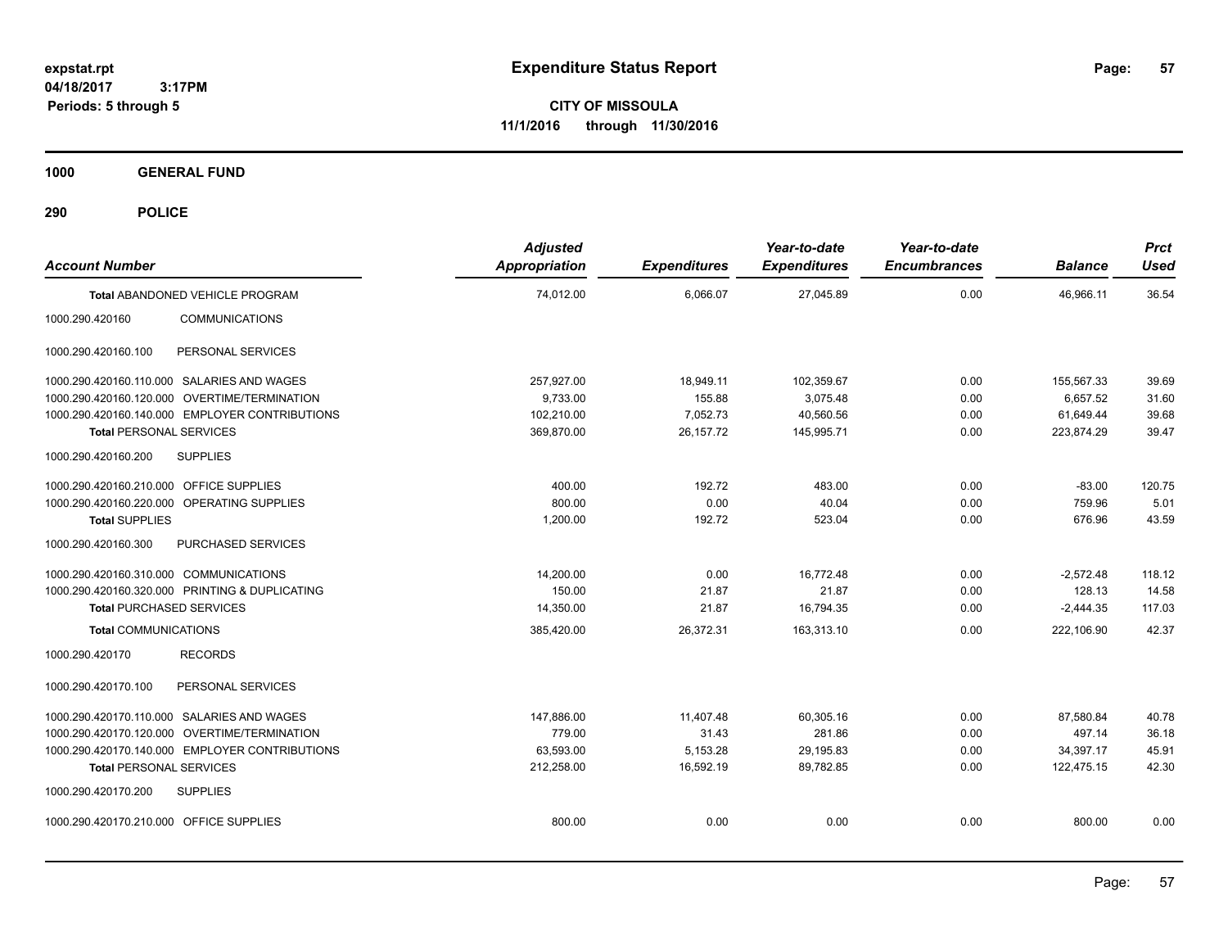**CITY OF MISSOULA 11/1/2016 through 11/30/2016**

**1000 GENERAL FUND**

| <b>Account Number</b>                          |                                                | <b>Adjusted</b><br><b>Appropriation</b> | <b>Expenditures</b> | Year-to-date<br><b>Expenditures</b> | Year-to-date<br><b>Encumbrances</b> | <b>Balance</b> | <b>Prct</b><br><b>Used</b> |
|------------------------------------------------|------------------------------------------------|-----------------------------------------|---------------------|-------------------------------------|-------------------------------------|----------------|----------------------------|
|                                                | Total ABANDONED VEHICLE PROGRAM                | 74,012.00                               | 6,066.07            | 27,045.89                           | 0.00                                | 46,966.11      | 36.54                      |
| 1000.290.420160                                | <b>COMMUNICATIONS</b>                          |                                         |                     |                                     |                                     |                |                            |
| 1000.290.420160.100                            | PERSONAL SERVICES                              |                                         |                     |                                     |                                     |                |                            |
| 1000.290.420160.110.000 SALARIES AND WAGES     |                                                | 257,927.00                              | 18,949.11           | 102,359.67                          | 0.00                                | 155,567.33     | 39.69                      |
| 1000.290.420160.120.000 OVERTIME/TERMINATION   |                                                | 9,733.00                                | 155.88              | 3,075.48                            | 0.00                                | 6.657.52       | 31.60                      |
|                                                | 1000.290.420160.140.000 EMPLOYER CONTRIBUTIONS | 102,210.00                              | 7,052.73            | 40,560.56                           | 0.00                                | 61,649.44      | 39.68                      |
| <b>Total PERSONAL SERVICES</b>                 |                                                | 369,870.00                              | 26,157.72           | 145,995.71                          | 0.00                                | 223,874.29     | 39.47                      |
| 1000.290.420160.200                            | <b>SUPPLIES</b>                                |                                         |                     |                                     |                                     |                |                            |
| 1000.290.420160.210.000 OFFICE SUPPLIES        |                                                | 400.00                                  | 192.72              | 483.00                              | 0.00                                | $-83.00$       | 120.75                     |
| 1000.290.420160.220.000 OPERATING SUPPLIES     |                                                | 800.00                                  | 0.00                | 40.04                               | 0.00                                | 759.96         | 5.01                       |
| <b>Total SUPPLIES</b>                          |                                                | 1,200.00                                | 192.72              | 523.04                              | 0.00                                | 676.96         | 43.59                      |
| 1000.290.420160.300                            | <b>PURCHASED SERVICES</b>                      |                                         |                     |                                     |                                     |                |                            |
| 1000.290.420160.310.000 COMMUNICATIONS         |                                                | 14,200.00                               | 0.00                | 16,772.48                           | 0.00                                | $-2,572.48$    | 118.12                     |
| 1000.290.420160.320.000 PRINTING & DUPLICATING |                                                | 150.00                                  | 21.87               | 21.87                               | 0.00                                | 128.13         | 14.58                      |
| <b>Total PURCHASED SERVICES</b>                |                                                | 14,350.00                               | 21.87               | 16,794.35                           | 0.00                                | $-2,444.35$    | 117.03                     |
| <b>Total COMMUNICATIONS</b>                    |                                                | 385,420.00                              | 26,372.31           | 163,313.10                          | 0.00                                | 222,106.90     | 42.37                      |
| 1000.290.420170                                | <b>RECORDS</b>                                 |                                         |                     |                                     |                                     |                |                            |
| 1000.290.420170.100                            | PERSONAL SERVICES                              |                                         |                     |                                     |                                     |                |                            |
| 1000.290.420170.110.000 SALARIES AND WAGES     |                                                | 147,886.00                              | 11,407.48           | 60.305.16                           | 0.00                                | 87.580.84      | 40.78                      |
| 1000.290.420170.120.000 OVERTIME/TERMINATION   |                                                | 779.00                                  | 31.43               | 281.86                              | 0.00                                | 497.14         | 36.18                      |
|                                                | 1000.290.420170.140.000 EMPLOYER CONTRIBUTIONS | 63,593.00                               | 5,153.28            | 29,195.83                           | 0.00                                | 34,397.17      | 45.91                      |
| <b>Total PERSONAL SERVICES</b>                 |                                                | 212,258.00                              | 16,592.19           | 89,782.85                           | 0.00                                | 122,475.15     | 42.30                      |
| 1000.290.420170.200                            | <b>SUPPLIES</b>                                |                                         |                     |                                     |                                     |                |                            |
| 1000.290.420170.210.000 OFFICE SUPPLIES        |                                                | 800.00                                  | 0.00                | 0.00                                | 0.00                                | 800.00         | 0.00                       |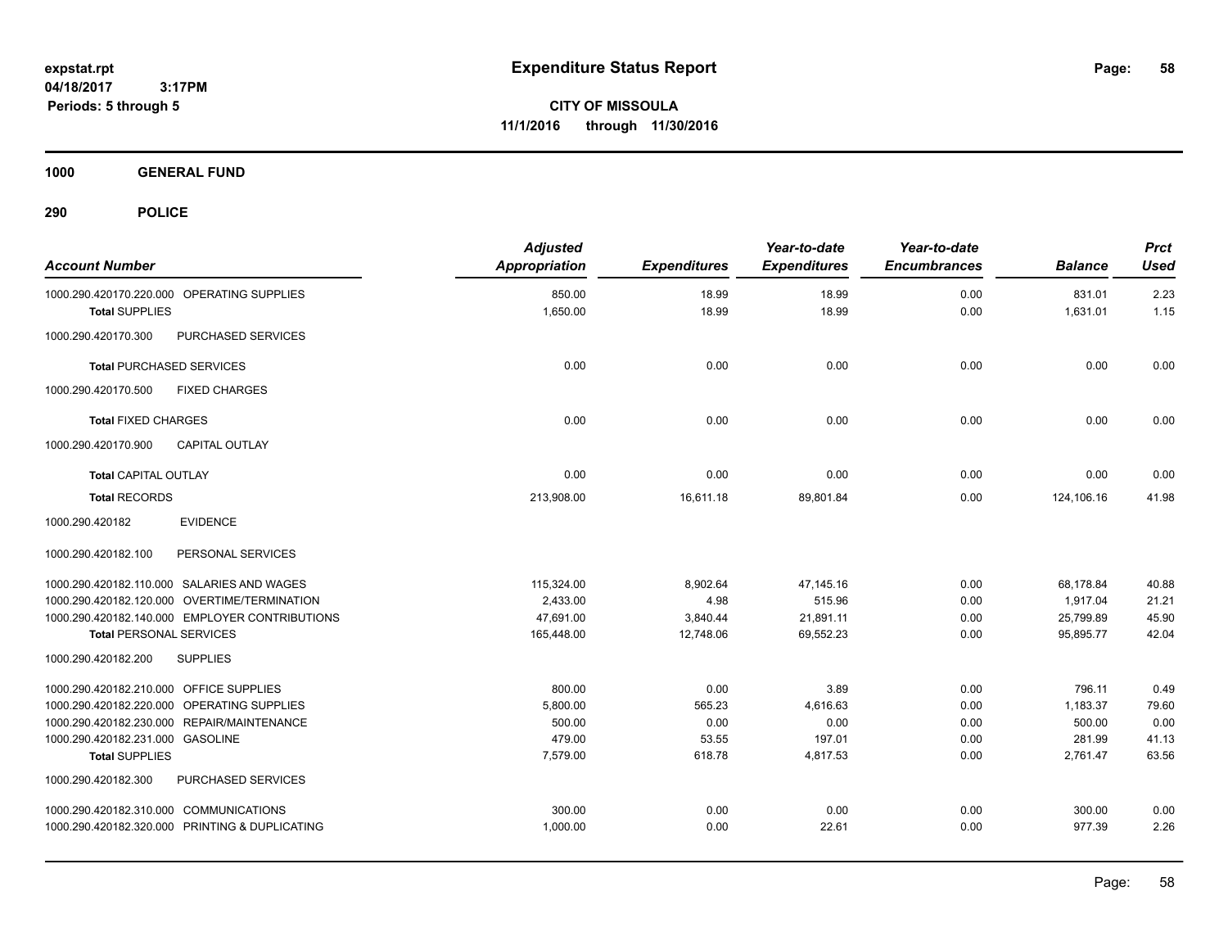**CITY OF MISSOULA 11/1/2016 through 11/30/2016**

**1000 GENERAL FUND**

| <b>Account Number</b>                          | <b>Adjusted</b><br><b>Appropriation</b> | <b>Expenditures</b> | Year-to-date<br><b>Expenditures</b> | Year-to-date<br><b>Encumbrances</b> | <b>Balance</b> | <b>Prct</b><br><b>Used</b> |
|------------------------------------------------|-----------------------------------------|---------------------|-------------------------------------|-------------------------------------|----------------|----------------------------|
| 1000.290.420170.220.000 OPERATING SUPPLIES     | 850.00                                  | 18.99               | 18.99                               | 0.00                                | 831.01         | 2.23                       |
| <b>Total SUPPLIES</b>                          | 1,650.00                                | 18.99               | 18.99                               | 0.00                                | 1,631.01       | 1.15                       |
| PURCHASED SERVICES<br>1000.290.420170.300      |                                         |                     |                                     |                                     |                |                            |
| <b>Total PURCHASED SERVICES</b>                | 0.00                                    | 0.00                | 0.00                                | 0.00                                | 0.00           | 0.00                       |
| 1000.290.420170.500<br><b>FIXED CHARGES</b>    |                                         |                     |                                     |                                     |                |                            |
| <b>Total FIXED CHARGES</b>                     | 0.00                                    | 0.00                | 0.00                                | 0.00                                | 0.00           | 0.00                       |
| <b>CAPITAL OUTLAY</b><br>1000.290.420170.900   |                                         |                     |                                     |                                     |                |                            |
| <b>Total CAPITAL OUTLAY</b>                    | 0.00                                    | 0.00                | 0.00                                | 0.00                                | 0.00           | 0.00                       |
| <b>Total RECORDS</b>                           | 213,908.00                              | 16,611.18           | 89,801.84                           | 0.00                                | 124,106.16     | 41.98                      |
| 1000.290.420182<br><b>EVIDENCE</b>             |                                         |                     |                                     |                                     |                |                            |
| 1000.290.420182.100<br>PERSONAL SERVICES       |                                         |                     |                                     |                                     |                |                            |
| 1000.290.420182.110.000 SALARIES AND WAGES     | 115,324.00                              | 8,902.64            | 47,145.16                           | 0.00                                | 68,178.84      | 40.88                      |
| 1000.290.420182.120.000 OVERTIME/TERMINATION   | 2,433.00                                | 4.98                | 515.96                              | 0.00                                | 1,917.04       | 21.21                      |
| 1000.290.420182.140.000 EMPLOYER CONTRIBUTIONS | 47,691.00                               | 3,840.44            | 21,891.11                           | 0.00                                | 25,799.89      | 45.90                      |
| <b>Total PERSONAL SERVICES</b>                 | 165,448.00                              | 12,748.06           | 69,552.23                           | 0.00                                | 95,895.77      | 42.04                      |
| 1000.290.420182.200<br><b>SUPPLIES</b>         |                                         |                     |                                     |                                     |                |                            |
| 1000.290.420182.210.000 OFFICE SUPPLIES        | 800.00                                  | 0.00                | 3.89                                | 0.00                                | 796.11         | 0.49                       |
| 1000.290.420182.220.000 OPERATING SUPPLIES     | 5,800.00                                | 565.23              | 4,616.63                            | 0.00                                | 1,183.37       | 79.60                      |
| 1000.290.420182.230.000 REPAIR/MAINTENANCE     | 500.00                                  | 0.00                | 0.00                                | 0.00                                | 500.00         | 0.00                       |
| 1000.290.420182.231.000 GASOLINE               | 479.00                                  | 53.55               | 197.01                              | 0.00                                | 281.99         | 41.13                      |
| <b>Total SUPPLIES</b>                          | 7,579.00                                | 618.78              | 4,817.53                            | 0.00                                | 2,761.47       | 63.56                      |
| 1000.290.420182.300<br>PURCHASED SERVICES      |                                         |                     |                                     |                                     |                |                            |
| 1000.290.420182.310.000 COMMUNICATIONS         | 300.00                                  | 0.00                | 0.00                                | 0.00                                | 300.00         | 0.00                       |
| 1000.290.420182.320.000 PRINTING & DUPLICATING | 1,000.00                                | 0.00                | 22.61                               | 0.00                                | 977.39         | 2.26                       |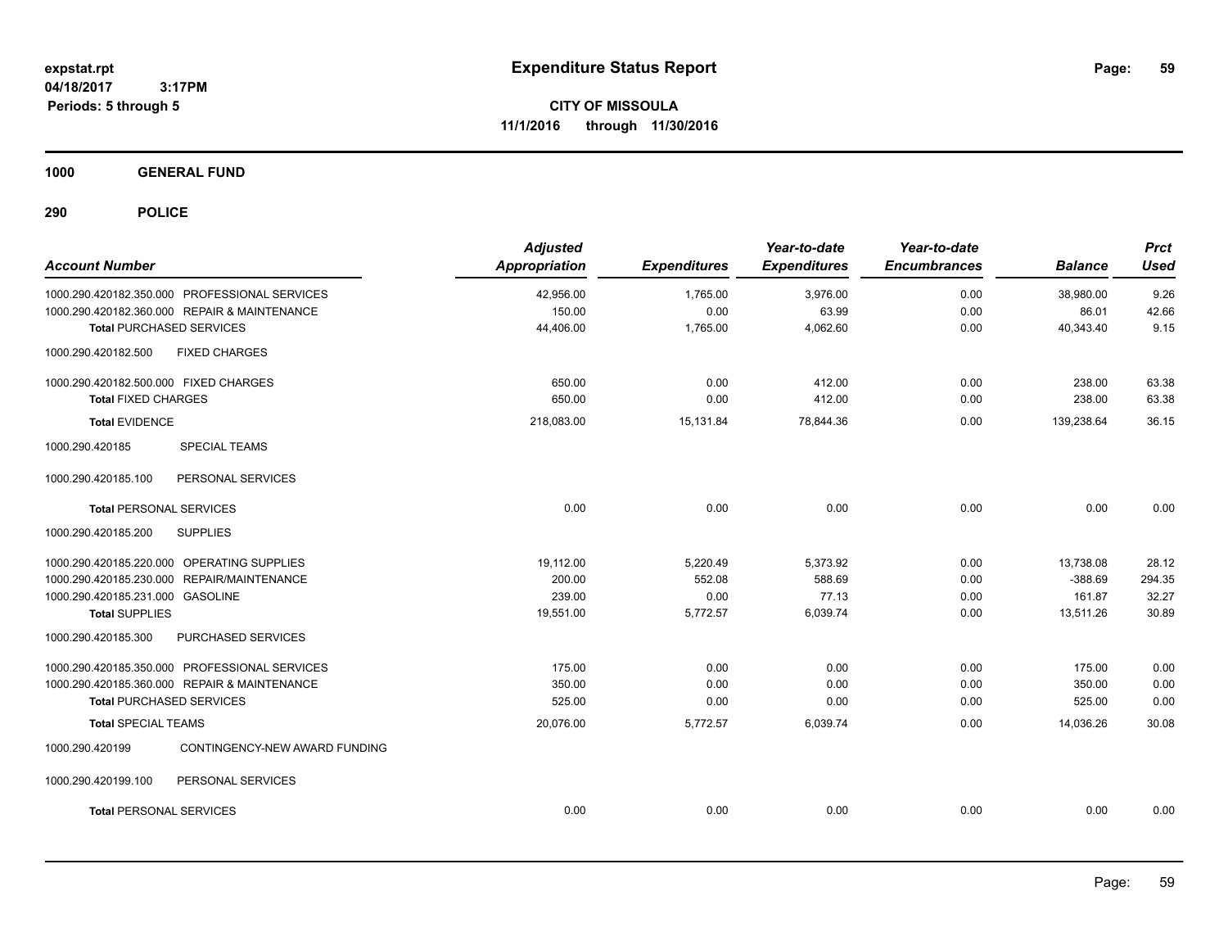**CITY OF MISSOULA 11/1/2016 through 11/30/2016**

**1000 GENERAL FUND**

| <b>Account Number</b>                            | <b>Adjusted</b><br>Appropriation | <b>Expenditures</b> | Year-to-date<br><b>Expenditures</b> | Year-to-date<br><b>Encumbrances</b> | <b>Balance</b> | <b>Prct</b><br><b>Used</b> |
|--------------------------------------------------|----------------------------------|---------------------|-------------------------------------|-------------------------------------|----------------|----------------------------|
| 1000.290.420182.350.000 PROFESSIONAL SERVICES    | 42,956.00                        | 1,765.00            | 3,976.00                            | 0.00                                | 38,980.00      | 9.26                       |
| 1000.290.420182.360.000 REPAIR & MAINTENANCE     | 150.00                           | 0.00                | 63.99                               | 0.00                                | 86.01          | 42.66                      |
| <b>Total PURCHASED SERVICES</b>                  | 44,406.00                        | 1,765.00            | 4,062.60                            | 0.00                                | 40,343.40      | 9.15                       |
| <b>FIXED CHARGES</b><br>1000.290.420182.500      |                                  |                     |                                     |                                     |                |                            |
| 1000.290.420182.500.000 FIXED CHARGES            | 650.00                           | 0.00                | 412.00                              | 0.00                                | 238.00         | 63.38                      |
| <b>Total FIXED CHARGES</b>                       | 650.00                           | 0.00                | 412.00                              | 0.00                                | 238.00         | 63.38                      |
| <b>Total EVIDENCE</b>                            | 218,083.00                       | 15,131.84           | 78,844.36                           | 0.00                                | 139,238.64     | 36.15                      |
| 1000.290.420185<br><b>SPECIAL TEAMS</b>          |                                  |                     |                                     |                                     |                |                            |
| 1000.290.420185.100<br>PERSONAL SERVICES         |                                  |                     |                                     |                                     |                |                            |
| <b>Total PERSONAL SERVICES</b>                   | 0.00                             | 0.00                | 0.00                                | 0.00                                | 0.00           | 0.00                       |
| 1000.290.420185.200<br><b>SUPPLIES</b>           |                                  |                     |                                     |                                     |                |                            |
| 1000.290.420185.220.000 OPERATING SUPPLIES       | 19,112.00                        | 5,220.49            | 5,373.92                            | 0.00                                | 13,738.08      | 28.12                      |
| 1000.290.420185.230.000 REPAIR/MAINTENANCE       | 200.00                           | 552.08              | 588.69                              | 0.00                                | $-388.69$      | 294.35                     |
| 1000.290.420185.231.000 GASOLINE                 | 239.00                           | 0.00                | 77.13                               | 0.00                                | 161.87         | 32.27                      |
| <b>Total SUPPLIES</b>                            | 19,551.00                        | 5,772.57            | 6,039.74                            | 0.00                                | 13,511.26      | 30.89                      |
| 1000.290.420185.300<br>PURCHASED SERVICES        |                                  |                     |                                     |                                     |                |                            |
| 1000.290.420185.350.000 PROFESSIONAL SERVICES    | 175.00                           | 0.00                | 0.00                                | 0.00                                | 175.00         | 0.00                       |
| 1000.290.420185.360.000 REPAIR & MAINTENANCE     | 350.00                           | 0.00                | 0.00                                | 0.00                                | 350.00         | 0.00                       |
| <b>Total PURCHASED SERVICES</b>                  | 525.00                           | 0.00                | 0.00                                | 0.00                                | 525.00         | 0.00                       |
| <b>Total SPECIAL TEAMS</b>                       | 20,076.00                        | 5,772.57            | 6,039.74                            | 0.00                                | 14,036.26      | 30.08                      |
| 1000.290.420199<br>CONTINGENCY-NEW AWARD FUNDING |                                  |                     |                                     |                                     |                |                            |
| PERSONAL SERVICES<br>1000.290.420199.100         |                                  |                     |                                     |                                     |                |                            |
| <b>Total PERSONAL SERVICES</b>                   | 0.00                             | 0.00                | 0.00                                | 0.00                                | 0.00           | 0.00                       |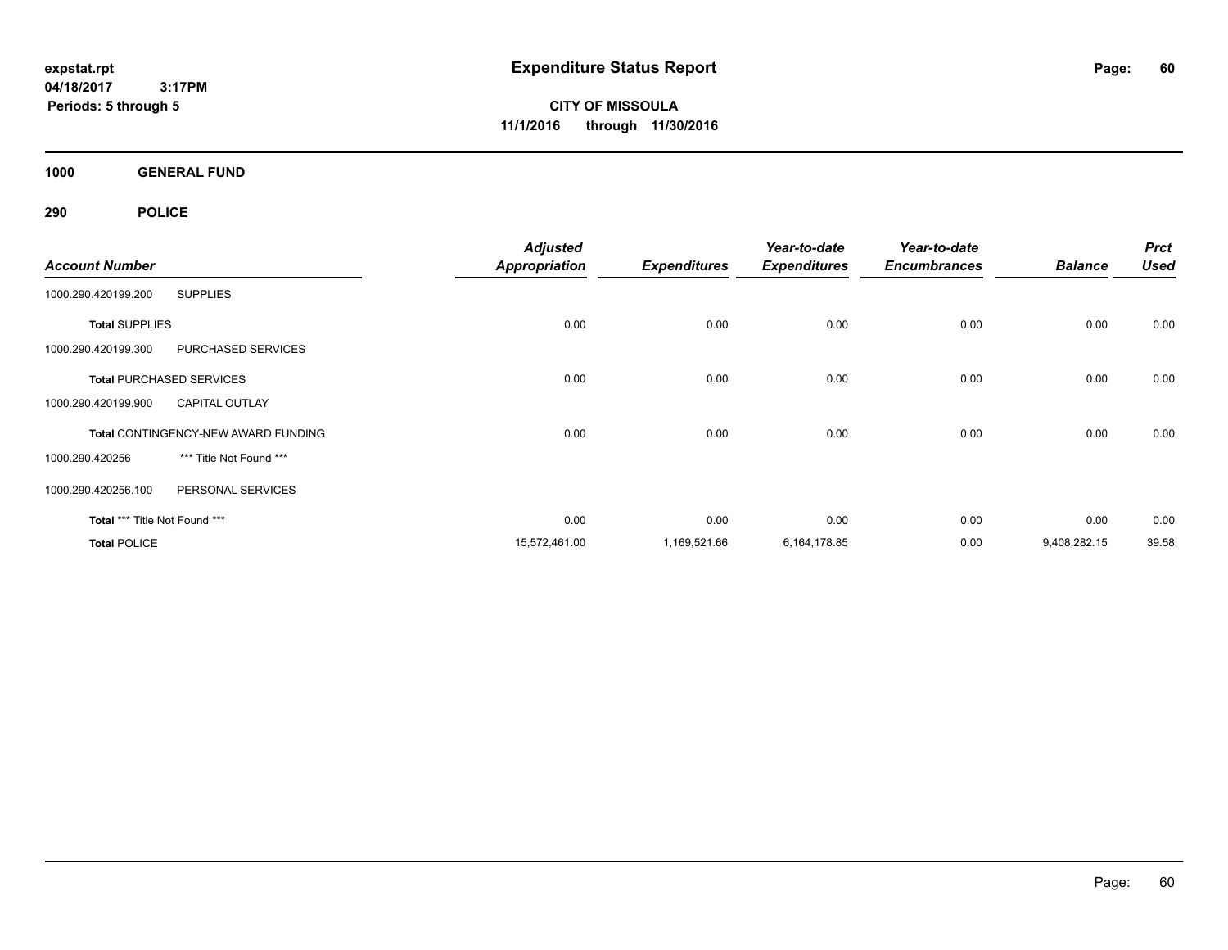**CITY OF MISSOULA 11/1/2016 through 11/30/2016**

**1000 GENERAL FUND**

|                               |                                            | <b>Adjusted</b>      |                     | Year-to-date        | Year-to-date        |                | <b>Prct</b> |
|-------------------------------|--------------------------------------------|----------------------|---------------------|---------------------|---------------------|----------------|-------------|
| <b>Account Number</b>         |                                            | <b>Appropriation</b> | <b>Expenditures</b> | <b>Expenditures</b> | <b>Encumbrances</b> | <b>Balance</b> | <b>Used</b> |
| 1000.290.420199.200           | <b>SUPPLIES</b>                            |                      |                     |                     |                     |                |             |
| <b>Total SUPPLIES</b>         |                                            | 0.00                 | 0.00                | 0.00                | 0.00                | 0.00           | 0.00        |
| 1000.290.420199.300           | <b>PURCHASED SERVICES</b>                  |                      |                     |                     |                     |                |             |
|                               | <b>Total PURCHASED SERVICES</b>            | 0.00                 | 0.00                | 0.00                | 0.00                | 0.00           | 0.00        |
| 1000.290.420199.900           | <b>CAPITAL OUTLAY</b>                      |                      |                     |                     |                     |                |             |
|                               | <b>Total CONTINGENCY-NEW AWARD FUNDING</b> | 0.00                 | 0.00                | 0.00                | 0.00                | 0.00           | 0.00        |
| 1000.290.420256               | *** Title Not Found ***                    |                      |                     |                     |                     |                |             |
| 1000.290.420256.100           | PERSONAL SERVICES                          |                      |                     |                     |                     |                |             |
| Total *** Title Not Found *** |                                            | 0.00                 | 0.00                | 0.00                | 0.00                | 0.00           | 0.00        |
| <b>Total POLICE</b>           |                                            | 15,572,461.00        | 1,169,521.66        | 6,164,178.85        | 0.00                | 9,408,282.15   | 39.58       |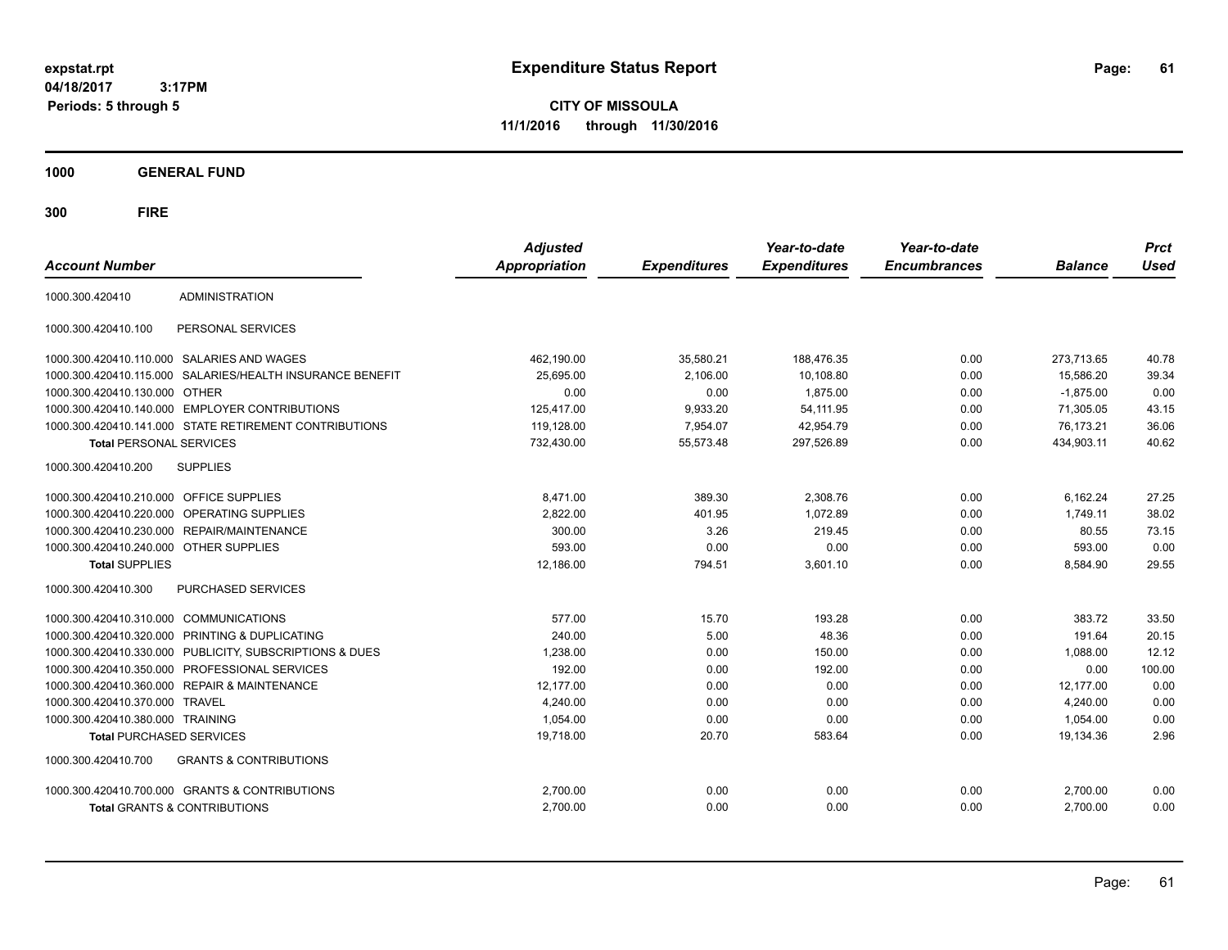**CITY OF MISSOULA 11/1/2016 through 11/30/2016**

**1000 GENERAL FUND**

| <b>Account Number</b>                   |                                                         | <b>Adjusted</b><br><b>Appropriation</b> | <b>Expenditures</b> | Year-to-date<br><b>Expenditures</b> | Year-to-date<br><b>Encumbrances</b> | <b>Balance</b> | <b>Prct</b><br><b>Used</b> |
|-----------------------------------------|---------------------------------------------------------|-----------------------------------------|---------------------|-------------------------------------|-------------------------------------|----------------|----------------------------|
| 1000.300.420410                         | <b>ADMINISTRATION</b>                                   |                                         |                     |                                     |                                     |                |                            |
| 1000.300.420410.100                     | PERSONAL SERVICES                                       |                                         |                     |                                     |                                     |                |                            |
|                                         | 1000.300.420410.110.000 SALARIES AND WAGES              | 462,190.00                              | 35,580.21           | 188,476.35                          | 0.00                                | 273,713.65     | 40.78                      |
| 1000.300.420410.115.000                 | SALARIES/HEALTH INSURANCE BENEFIT                       | 25,695.00                               | 2,106.00            | 10,108.80                           | 0.00                                | 15,586.20      | 39.34                      |
| 1000.300.420410.130.000                 | <b>OTHER</b>                                            | 0.00                                    | 0.00                | 1,875.00                            | 0.00                                | $-1.875.00$    | 0.00                       |
|                                         | 1000.300.420410.140.000 EMPLOYER CONTRIBUTIONS          | 125,417.00                              | 9,933.20            | 54,111.95                           | 0.00                                | 71,305.05      | 43.15                      |
|                                         | 1000.300.420410.141.000 STATE RETIREMENT CONTRIBUTIONS  | 119,128.00                              | 7,954.07            | 42,954.79                           | 0.00                                | 76.173.21      | 36.06                      |
| <b>Total PERSONAL SERVICES</b>          |                                                         | 732,430.00                              | 55,573.48           | 297,526.89                          | 0.00                                | 434,903.11     | 40.62                      |
| 1000.300.420410.200                     | <b>SUPPLIES</b>                                         |                                         |                     |                                     |                                     |                |                            |
| 1000.300.420410.210.000 OFFICE SUPPLIES |                                                         | 8,471.00                                | 389.30              | 2,308.76                            | 0.00                                | 6,162.24       | 27.25                      |
| 1000.300.420410.220.000                 | OPERATING SUPPLIES                                      | 2,822.00                                | 401.95              | 1.072.89                            | 0.00                                | 1.749.11       | 38.02                      |
| 1000.300.420410.230.000                 | <b>REPAIR/MAINTENANCE</b>                               | 300.00                                  | 3.26                | 219.45                              | 0.00                                | 80.55          | 73.15                      |
| 1000.300.420410.240.000 OTHER SUPPLIES  |                                                         | 593.00                                  | 0.00                | 0.00                                | 0.00                                | 593.00         | 0.00                       |
| <b>Total SUPPLIES</b>                   |                                                         | 12,186.00                               | 794.51              | 3,601.10                            | 0.00                                | 8,584.90       | 29.55                      |
| 1000.300.420410.300                     | PURCHASED SERVICES                                      |                                         |                     |                                     |                                     |                |                            |
| 1000.300.420410.310.000                 | <b>COMMUNICATIONS</b>                                   | 577.00                                  | 15.70               | 193.28                              | 0.00                                | 383.72         | 33.50                      |
| 1000.300.420410.320.000                 | PRINTING & DUPLICATING                                  | 240.00                                  | 5.00                | 48.36                               | 0.00                                | 191.64         | 20.15                      |
|                                         | 1000.300.420410.330.000 PUBLICITY, SUBSCRIPTIONS & DUES | 1,238.00                                | 0.00                | 150.00                              | 0.00                                | 1.088.00       | 12.12                      |
|                                         | 1000.300.420410.350.000 PROFESSIONAL SERVICES           | 192.00                                  | 0.00                | 192.00                              | 0.00                                | 0.00           | 100.00                     |
| 1000.300.420410.360.000                 | <b>REPAIR &amp; MAINTENANCE</b>                         | 12.177.00                               | 0.00                | 0.00                                | 0.00                                | 12.177.00      | 0.00                       |
| 1000.300.420410.370.000                 | <b>TRAVEL</b>                                           | 4,240.00                                | 0.00                | 0.00                                | 0.00                                | 4,240.00       | 0.00                       |
| 1000.300.420410.380.000 TRAINING        |                                                         | 1,054.00                                | 0.00                | 0.00                                | 0.00                                | 1,054.00       | 0.00                       |
| <b>Total PURCHASED SERVICES</b>         |                                                         | 19,718.00                               | 20.70               | 583.64                              | 0.00                                | 19,134.36      | 2.96                       |
| 1000.300.420410.700                     | <b>GRANTS &amp; CONTRIBUTIONS</b>                       |                                         |                     |                                     |                                     |                |                            |
|                                         | 1000.300.420410.700.000 GRANTS & CONTRIBUTIONS          | 2,700.00                                | 0.00                | 0.00                                | 0.00                                | 2,700.00       | 0.00                       |
|                                         | Total GRANTS & CONTRIBUTIONS                            | 2,700.00                                | 0.00                | 0.00                                | 0.00                                | 2.700.00       | 0.00                       |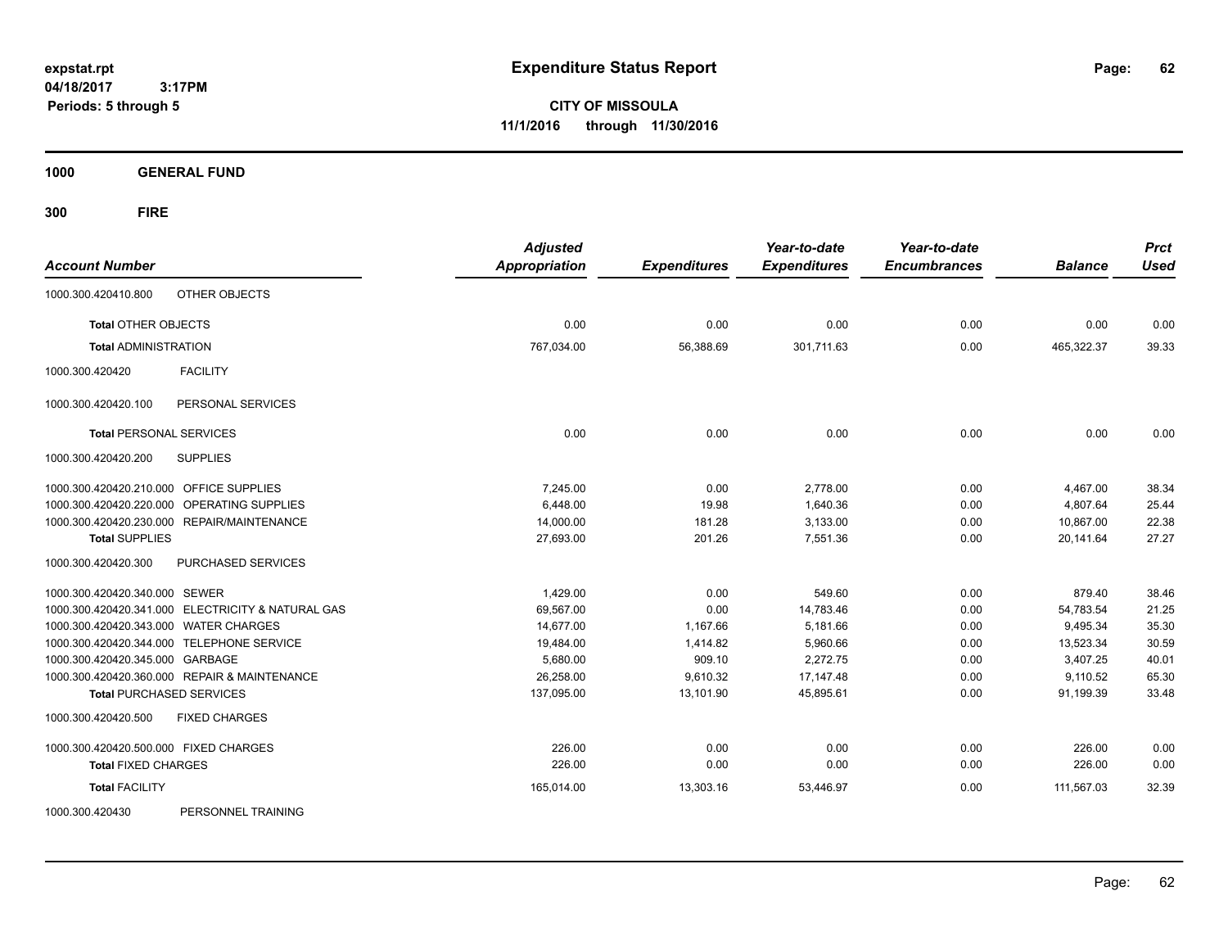**CITY OF MISSOULA 11/1/2016 through 11/30/2016**

**1000 GENERAL FUND**

**300 FIRE**

| <b>Account Number</b>                             | <b>Adjusted</b><br><b>Appropriation</b> | <b>Expenditures</b> | Year-to-date<br><b>Expenditures</b> | Year-to-date<br><b>Encumbrances</b> | <b>Balance</b> | <b>Prct</b><br><b>Used</b> |
|---------------------------------------------------|-----------------------------------------|---------------------|-------------------------------------|-------------------------------------|----------------|----------------------------|
| OTHER OBJECTS<br>1000.300.420410.800              |                                         |                     |                                     |                                     |                |                            |
| <b>Total OTHER OBJECTS</b>                        | 0.00                                    | 0.00                | 0.00                                | 0.00                                | 0.00           | 0.00                       |
| <b>Total ADMINISTRATION</b>                       | 767,034.00                              | 56,388.69           | 301,711.63                          | 0.00                                | 465,322.37     | 39.33                      |
| <b>FACILITY</b><br>1000.300.420420                |                                         |                     |                                     |                                     |                |                            |
| 1000.300.420420.100<br>PERSONAL SERVICES          |                                         |                     |                                     |                                     |                |                            |
| <b>Total PERSONAL SERVICES</b>                    | 0.00                                    | 0.00                | 0.00                                | 0.00                                | 0.00           | 0.00                       |
| 1000.300.420420.200<br><b>SUPPLIES</b>            |                                         |                     |                                     |                                     |                |                            |
| 1000.300.420420.210.000 OFFICE SUPPLIES           | 7.245.00                                | 0.00                | 2,778.00                            | 0.00                                | 4,467.00       | 38.34                      |
| 1000.300.420420.220.000 OPERATING SUPPLIES        | 6,448.00                                | 19.98               | 1,640.36                            | 0.00                                | 4,807.64       | 25.44                      |
| 1000.300.420420.230.000 REPAIR/MAINTENANCE        | 14,000.00                               | 181.28              | 3,133.00                            | 0.00                                | 10,867.00      | 22.38                      |
| <b>Total SUPPLIES</b>                             | 27,693.00                               | 201.26              | 7,551.36                            | 0.00                                | 20,141.64      | 27.27                      |
| PURCHASED SERVICES<br>1000.300.420420.300         |                                         |                     |                                     |                                     |                |                            |
| 1000.300.420420.340.000 SEWER                     | 1,429.00                                | 0.00                | 549.60                              | 0.00                                | 879.40         | 38.46                      |
| 1000.300.420420.341.000 ELECTRICITY & NATURAL GAS | 69,567.00                               | 0.00                | 14,783.46                           | 0.00                                | 54,783.54      | 21.25                      |
| 1000.300.420420.343.000 WATER CHARGES             | 14,677.00                               | 1,167.66            | 5,181.66                            | 0.00                                | 9,495.34       | 35.30                      |
| 1000.300.420420.344.000 TELEPHONE SERVICE         | 19,484.00                               | 1,414.82            | 5,960.66                            | 0.00                                | 13,523.34      | 30.59                      |
| 1000.300.420420.345.000 GARBAGE                   | 5,680.00                                | 909.10              | 2,272.75                            | 0.00                                | 3,407.25       | 40.01                      |
| 1000.300.420420.360.000 REPAIR & MAINTENANCE      | 26.258.00                               | 9.610.32            | 17, 147. 48                         | 0.00                                | 9.110.52       | 65.30                      |
| <b>Total PURCHASED SERVICES</b>                   | 137,095.00                              | 13,101.90           | 45,895.61                           | 0.00                                | 91,199.39      | 33.48                      |
| <b>FIXED CHARGES</b><br>1000.300.420420.500       |                                         |                     |                                     |                                     |                |                            |
| 1000.300.420420.500.000 FIXED CHARGES             | 226.00                                  | 0.00                | 0.00                                | 0.00                                | 226.00         | 0.00                       |
| <b>Total FIXED CHARGES</b>                        | 226.00                                  | 0.00                | 0.00                                | 0.00                                | 226.00         | 0.00                       |
| <b>Total FACILITY</b>                             | 165,014.00                              | 13,303.16           | 53,446.97                           | 0.00                                | 111,567.03     | 32.39                      |
| DEDCOMMEL TOAINING<br>LONDON DOG DOON             |                                         |                     |                                     |                                     |                |                            |

1000.300.420430 PERSONNEL TRAINING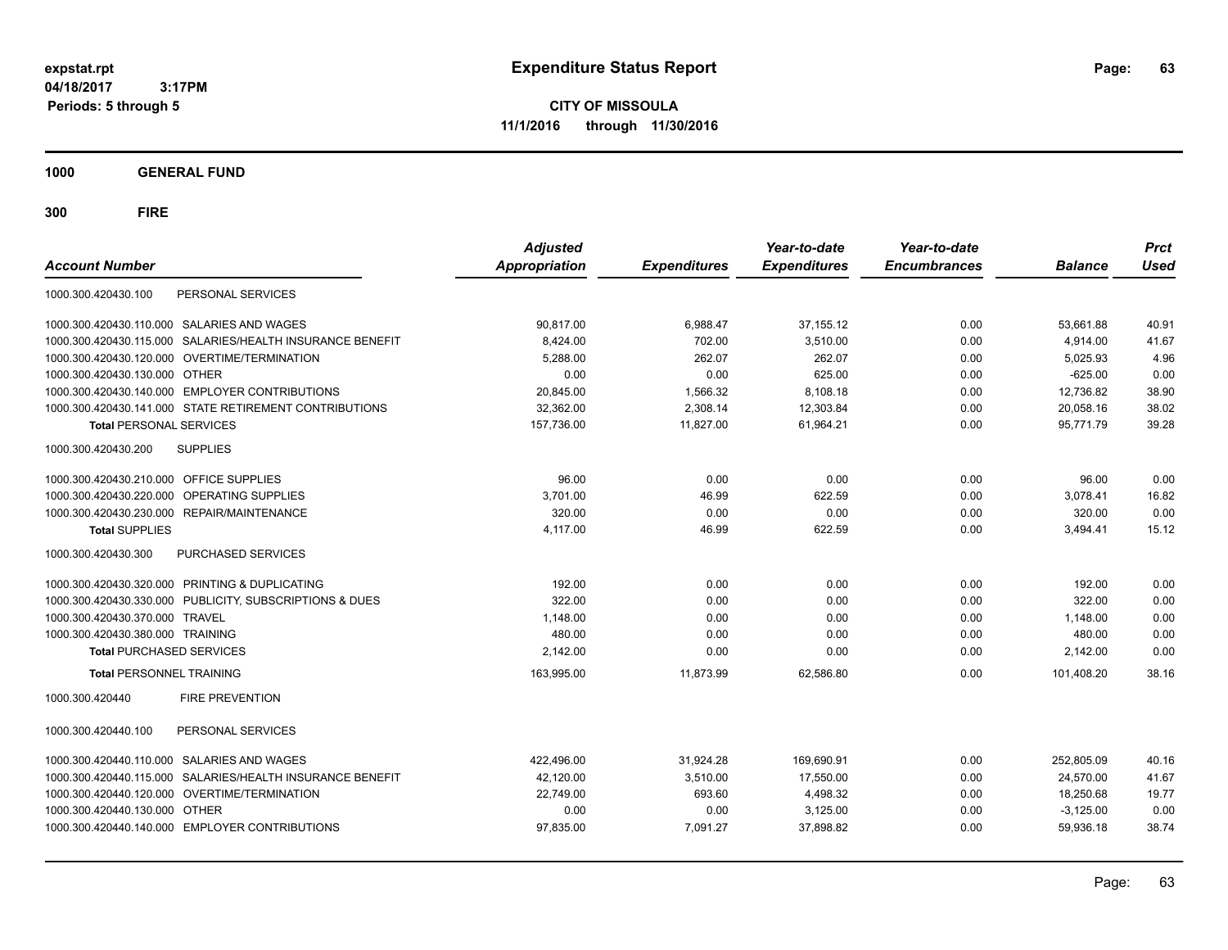**CITY OF MISSOULA 11/1/2016 through 11/30/2016**

**1000 GENERAL FUND**

| <b>Account Number</b>                                        | <b>Adjusted</b><br><b>Appropriation</b> | <b>Expenditures</b> | Year-to-date<br><b>Expenditures</b> | Year-to-date<br><b>Encumbrances</b> | <b>Balance</b> | <b>Prct</b><br><b>Used</b> |
|--------------------------------------------------------------|-----------------------------------------|---------------------|-------------------------------------|-------------------------------------|----------------|----------------------------|
| PERSONAL SERVICES<br>1000.300.420430.100                     |                                         |                     |                                     |                                     |                |                            |
| SALARIES AND WAGES<br>1000.300.420430.110.000                | 90,817.00                               | 6,988.47            | 37, 155. 12                         | 0.00                                | 53,661.88      | 40.91                      |
| SALARIES/HEALTH INSURANCE BENEFIT<br>1000.300.420430.115.000 | 8,424.00                                | 702.00              | 3.510.00                            | 0.00                                | 4.914.00       | 41.67                      |
| 1000.300.420430.120.000 OVERTIME/TERMINATION                 | 5,288.00                                | 262.07              | 262.07                              | 0.00                                | 5,025.93       | 4.96                       |
| 1000.300.420430.130.000 OTHER                                | 0.00                                    | 0.00                | 625.00                              | 0.00                                | $-625.00$      | 0.00                       |
| 1000.300.420430.140.000 EMPLOYER CONTRIBUTIONS               | 20,845.00                               | 1,566.32            | 8,108.18                            | 0.00                                | 12,736.82      | 38.90                      |
| 1000.300.420430.141.000 STATE RETIREMENT CONTRIBUTIONS       | 32,362.00                               | 2,308.14            | 12,303.84                           | 0.00                                | 20,058.16      | 38.02                      |
| <b>Total PERSONAL SERVICES</b>                               | 157,736.00                              | 11,827.00           | 61,964.21                           | 0.00                                | 95,771.79      | 39.28                      |
| 1000.300.420430.200<br><b>SUPPLIES</b>                       |                                         |                     |                                     |                                     |                |                            |
| 1000.300.420430.210.000 OFFICE SUPPLIES                      | 96.00                                   | 0.00                | 0.00                                | 0.00                                | 96.00          | 0.00                       |
| OPERATING SUPPLIES<br>1000.300.420430.220.000                | 3,701.00                                | 46.99               | 622.59                              | 0.00                                | 3,078.41       | 16.82                      |
| 1000.300.420430.230.000<br>REPAIR/MAINTENANCE                | 320.00                                  | 0.00                | 0.00                                | 0.00                                | 320.00         | 0.00                       |
| <b>Total SUPPLIES</b>                                        | 4,117.00                                | 46.99               | 622.59                              | 0.00                                | 3,494.41       | 15.12                      |
| 1000.300.420430.300<br>PURCHASED SERVICES                    |                                         |                     |                                     |                                     |                |                            |
| 1000.300.420430.320.000 PRINTING & DUPLICATING               | 192.00                                  | 0.00                | 0.00                                | 0.00                                | 192.00         | 0.00                       |
| 1000.300.420430.330.000 PUBLICITY, SUBSCRIPTIONS & DUES      | 322.00                                  | 0.00                | 0.00                                | 0.00                                | 322.00         | 0.00                       |
| 1000.300.420430.370.000 TRAVEL                               | 1,148.00                                | 0.00                | 0.00                                | 0.00                                | 1,148.00       | 0.00                       |
| 1000.300.420430.380.000 TRAINING                             | 480.00                                  | 0.00                | 0.00                                | 0.00                                | 480.00         | 0.00                       |
| <b>Total PURCHASED SERVICES</b>                              | 2,142.00                                | 0.00                | 0.00                                | 0.00                                | 2,142.00       | 0.00                       |
| <b>Total PERSONNEL TRAINING</b>                              | 163,995.00                              | 11,873.99           | 62,586.80                           | 0.00                                | 101.408.20     | 38.16                      |
| <b>FIRE PREVENTION</b><br>1000.300.420440                    |                                         |                     |                                     |                                     |                |                            |
| PERSONAL SERVICES<br>1000.300.420440.100                     |                                         |                     |                                     |                                     |                |                            |
| <b>SALARIES AND WAGES</b><br>1000.300.420440.110.000         | 422,496.00                              | 31,924.28           | 169,690.91                          | 0.00                                | 252,805.09     | 40.16                      |
| SALARIES/HEALTH INSURANCE BENEFIT<br>1000.300.420440.115.000 | 42,120.00                               | 3.510.00            | 17.550.00                           | 0.00                                | 24.570.00      | 41.67                      |
| OVERTIME/TERMINATION<br>1000.300.420440.120.000              | 22,749.00                               | 693.60              | 4,498.32                            | 0.00                                | 18,250.68      | 19.77                      |
| 1000.300.420440.130.000<br><b>OTHER</b>                      | 0.00                                    | 0.00                | 3,125.00                            | 0.00                                | $-3,125.00$    | 0.00                       |
| 1000.300.420440.140.000 EMPLOYER CONTRIBUTIONS               | 97,835.00                               | 7.091.27            | 37.898.82                           | 0.00                                | 59,936.18      | 38.74                      |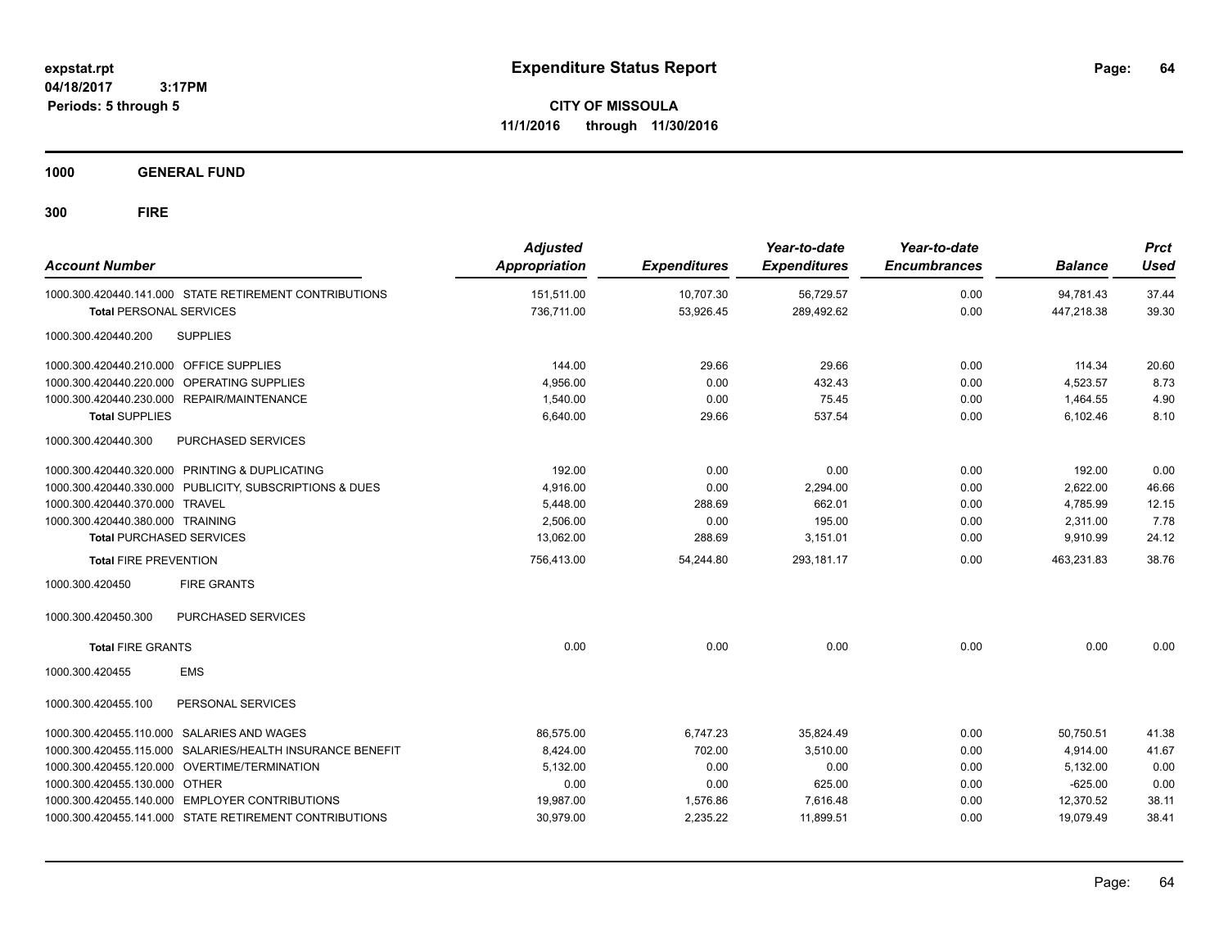**CITY OF MISSOULA 11/1/2016 through 11/30/2016**

**1000 GENERAL FUND**

| <b>Account Number</b>                                     | <b>Adjusted</b><br>Appropriation | <b>Expenditures</b> | Year-to-date<br><b>Expenditures</b> | Year-to-date<br><b>Encumbrances</b> | <b>Balance</b> | <b>Prct</b><br><b>Used</b> |
|-----------------------------------------------------------|----------------------------------|---------------------|-------------------------------------|-------------------------------------|----------------|----------------------------|
| 1000.300.420440.141.000 STATE RETIREMENT CONTRIBUTIONS    | 151,511.00                       | 10,707.30           | 56,729.57                           | 0.00                                | 94,781.43      | 37.44                      |
| <b>Total PERSONAL SERVICES</b>                            | 736,711.00                       | 53,926.45           | 289,492.62                          | 0.00                                | 447,218.38     | 39.30                      |
| <b>SUPPLIES</b><br>1000.300.420440.200                    |                                  |                     |                                     |                                     |                |                            |
| 1000.300.420440.210.000 OFFICE SUPPLIES                   | 144.00                           | 29.66               | 29.66                               | 0.00                                | 114.34         | 20.60                      |
| 1000.300.420440.220.000 OPERATING SUPPLIES                | 4,956.00                         | 0.00                | 432.43                              | 0.00                                | 4,523.57       | 8.73                       |
| 1000.300.420440.230.000 REPAIR/MAINTENANCE                | 1,540.00                         | 0.00                | 75.45                               | 0.00                                | 1,464.55       | 4.90                       |
| <b>Total SUPPLIES</b>                                     | 6,640.00                         | 29.66               | 537.54                              | 0.00                                | 6,102.46       | 8.10                       |
| 1000.300.420440.300<br><b>PURCHASED SERVICES</b>          |                                  |                     |                                     |                                     |                |                            |
| 1000.300.420440.320.000 PRINTING & DUPLICATING            | 192.00                           | 0.00                | 0.00                                | 0.00                                | 192.00         | 0.00                       |
| 1000.300.420440.330.000 PUBLICITY, SUBSCRIPTIONS & DUES   | 4,916.00                         | 0.00                | 2,294.00                            | 0.00                                | 2,622.00       | 46.66                      |
| 1000.300.420440.370.000 TRAVEL                            | 5,448.00                         | 288.69              | 662.01                              | 0.00                                | 4,785.99       | 12.15                      |
| 1000.300.420440.380.000 TRAINING                          | 2,506.00                         | 0.00                | 195.00                              | 0.00                                | 2,311.00       | 7.78                       |
| <b>Total PURCHASED SERVICES</b>                           | 13,062.00                        | 288.69              | 3,151.01                            | 0.00                                | 9,910.99       | 24.12                      |
| <b>Total FIRE PREVENTION</b>                              | 756,413.00                       | 54,244.80           | 293,181.17                          | 0.00                                | 463,231.83     | 38.76                      |
| <b>FIRE GRANTS</b><br>1000.300.420450                     |                                  |                     |                                     |                                     |                |                            |
| 1000.300.420450.300<br>PURCHASED SERVICES                 |                                  |                     |                                     |                                     |                |                            |
| <b>Total FIRE GRANTS</b>                                  | 0.00                             | 0.00                | 0.00                                | 0.00                                | 0.00           | 0.00                       |
| <b>EMS</b><br>1000.300.420455                             |                                  |                     |                                     |                                     |                |                            |
| 1000.300.420455.100<br>PERSONAL SERVICES                  |                                  |                     |                                     |                                     |                |                            |
| 1000.300.420455.110.000 SALARIES AND WAGES                | 86,575.00                        | 6,747.23            | 35,824.49                           | 0.00                                | 50,750.51      | 41.38                      |
| 1000.300.420455.115.000 SALARIES/HEALTH INSURANCE BENEFIT | 8,424.00                         | 702.00              | 3,510.00                            | 0.00                                | 4,914.00       | 41.67                      |
| 1000.300.420455.120.000 OVERTIME/TERMINATION              | 5,132.00                         | 0.00                | 0.00                                | 0.00                                | 5,132.00       | 0.00                       |
| 1000.300.420455.130.000 OTHER                             | 0.00                             | 0.00                | 625.00                              | 0.00                                | $-625.00$      | 0.00                       |
| 1000.300.420455.140.000 EMPLOYER CONTRIBUTIONS            | 19,987.00                        | 1,576.86            | 7,616.48                            | 0.00                                | 12,370.52      | 38.11                      |
| 1000.300.420455.141.000 STATE RETIREMENT CONTRIBUTIONS    | 30,979.00                        | 2,235.22            | 11,899.51                           | 0.00                                | 19,079.49      | 38.41                      |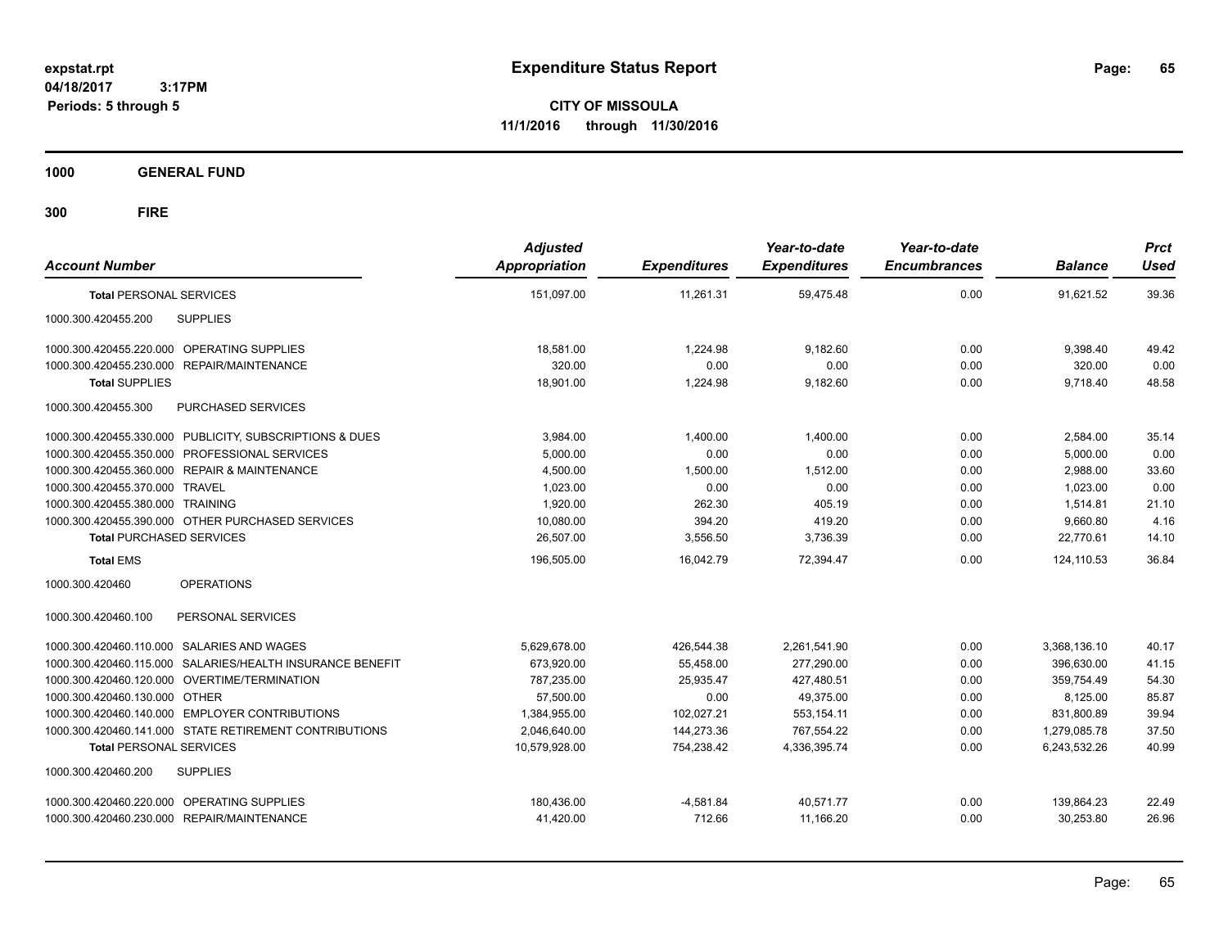**CITY OF MISSOULA 11/1/2016 through 11/30/2016**

**1000 GENERAL FUND**

| <b>Account Number</b>                                     | <b>Adjusted</b><br>Appropriation | <b>Expenditures</b> | Year-to-date<br><b>Expenditures</b> | Year-to-date<br><b>Encumbrances</b> | <b>Balance</b> | <b>Prct</b><br><b>Used</b> |
|-----------------------------------------------------------|----------------------------------|---------------------|-------------------------------------|-------------------------------------|----------------|----------------------------|
| <b>Total PERSONAL SERVICES</b>                            | 151.097.00                       | 11.261.31           | 59.475.48                           | 0.00                                | 91.621.52      | 39.36                      |
| <b>SUPPLIES</b><br>1000.300.420455.200                    |                                  |                     |                                     |                                     |                |                            |
| 1000.300.420455.220.000 OPERATING SUPPLIES                | 18.581.00                        | 1.224.98            | 9.182.60                            | 0.00                                | 9.398.40       | 49.42                      |
| 1000.300.420455.230.000<br><b>REPAIR/MAINTENANCE</b>      | 320.00                           | 0.00                | 0.00                                | 0.00                                | 320.00         | 0.00                       |
| <b>Total SUPPLIES</b>                                     | 18,901.00                        | 1,224.98            | 9,182.60                            | 0.00                                | 9,718.40       | 48.58                      |
| 1000.300.420455.300<br>PURCHASED SERVICES                 |                                  |                     |                                     |                                     |                |                            |
| 1000.300.420455.330.000 PUBLICITY, SUBSCRIPTIONS & DUES   | 3,984.00                         | 1,400.00            | 1.400.00                            | 0.00                                | 2,584.00       | 35.14                      |
| 1000.300.420455.350.000 PROFESSIONAL SERVICES             | 5,000.00                         | 0.00                | 0.00                                | 0.00                                | 5,000.00       | 0.00                       |
| 1000.300.420455.360.000 REPAIR & MAINTENANCE              | 4,500.00                         | 1,500.00            | 1.512.00                            | 0.00                                | 2,988.00       | 33.60                      |
| 1000.300.420455.370.000 TRAVEL                            | 1,023.00                         | 0.00                | 0.00                                | 0.00                                | 1,023.00       | 0.00                       |
| 1000.300.420455.380.000 TRAINING                          | 1,920.00                         | 262.30              | 405.19                              | 0.00                                | 1,514.81       | 21.10                      |
| 1000.300.420455.390.000 OTHER PURCHASED SERVICES          | 10,080.00                        | 394.20              | 419.20                              | 0.00                                | 9,660.80       | 4.16                       |
| <b>Total PURCHASED SERVICES</b>                           | 26,507.00                        | 3,556.50            | 3,736.39                            | 0.00                                | 22,770.61      | 14.10                      |
| <b>Total EMS</b>                                          | 196,505.00                       | 16,042.79           | 72,394.47                           | 0.00                                | 124,110.53     | 36.84                      |
| <b>OPERATIONS</b><br>1000.300.420460                      |                                  |                     |                                     |                                     |                |                            |
| 1000.300.420460.100<br>PERSONAL SERVICES                  |                                  |                     |                                     |                                     |                |                            |
| 1000.300.420460.110.000 SALARIES AND WAGES                | 5,629,678.00                     | 426,544.38          | 2,261,541.90                        | 0.00                                | 3,368,136.10   | 40.17                      |
| 1000.300.420460.115.000 SALARIES/HEALTH INSURANCE BENEFIT | 673,920.00                       | 55,458.00           | 277,290.00                          | 0.00                                | 396.630.00     | 41.15                      |
| 1000.300.420460.120.000 OVERTIME/TERMINATION              | 787,235.00                       | 25,935.47           | 427,480.51                          | 0.00                                | 359,754.49     | 54.30                      |
| 1000.300.420460.130.000 OTHER                             | 57,500.00                        | 0.00                | 49,375.00                           | 0.00                                | 8,125.00       | 85.87                      |
| 1000.300.420460.140.000 EMPLOYER CONTRIBUTIONS            | 1,384,955.00                     | 102,027.21          | 553,154.11                          | 0.00                                | 831,800.89     | 39.94                      |
| 1000.300.420460.141.000 STATE RETIREMENT CONTRIBUTIONS    | 2,046,640.00                     | 144,273.36          | 767,554.22                          | 0.00                                | 1,279,085.78   | 37.50                      |
| <b>Total PERSONAL SERVICES</b>                            | 10.579.928.00                    | 754.238.42          | 4.336.395.74                        | 0.00                                | 6.243.532.26   | 40.99                      |
| <b>SUPPLIES</b><br>1000.300.420460.200                    |                                  |                     |                                     |                                     |                |                            |
| 1000.300.420460.220.000 OPERATING SUPPLIES                | 180,436.00                       | $-4,581.84$         | 40.571.77                           | 0.00                                | 139,864.23     | 22.49                      |
| 1000.300.420460.230.000 REPAIR/MAINTENANCE                | 41,420.00                        | 712.66              | 11,166.20                           | 0.00                                | 30,253.80      | 26.96                      |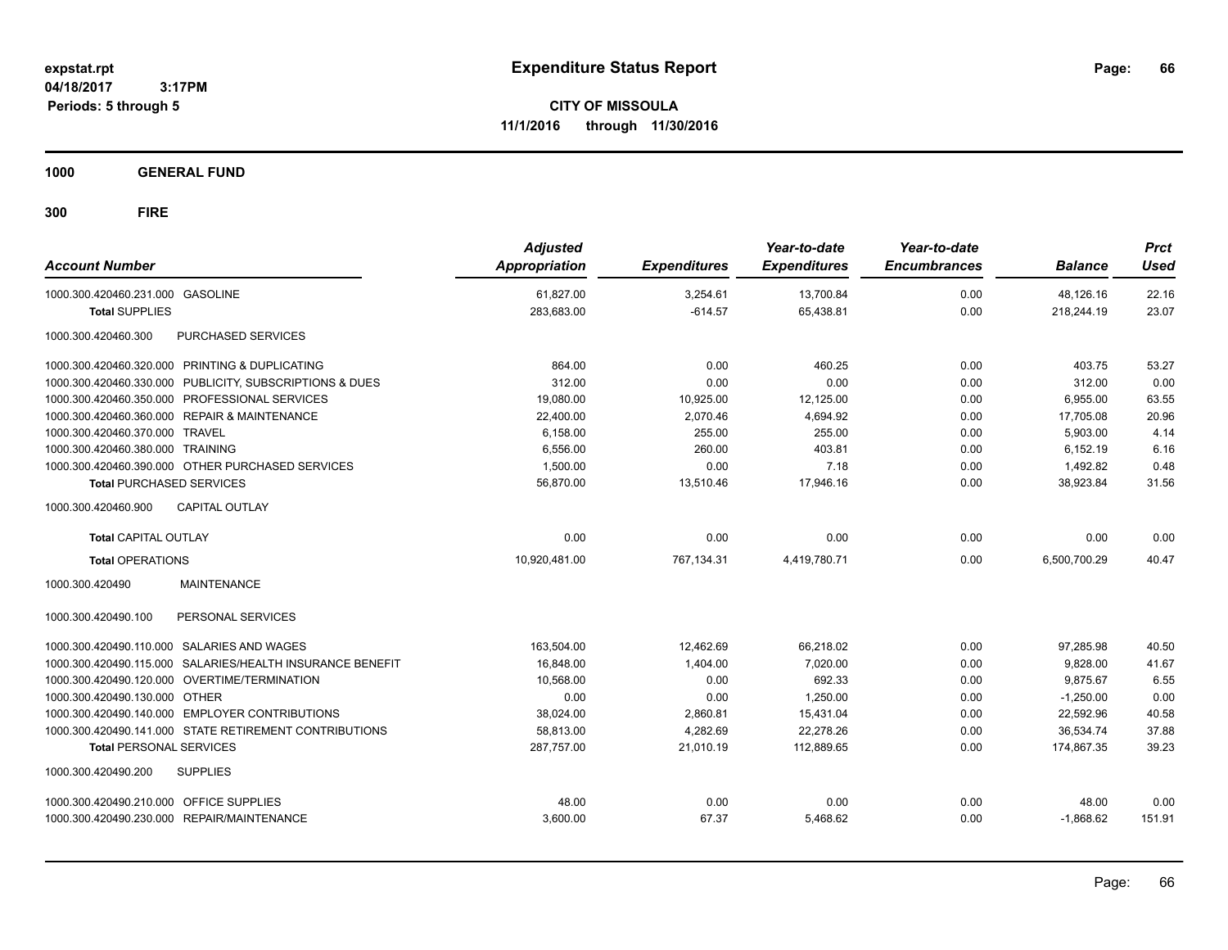**CITY OF MISSOULA 11/1/2016 through 11/30/2016**

**1000 GENERAL FUND**

| <b>Account Number</b>                                     | <b>Adjusted</b><br><b>Appropriation</b> | <b>Expenditures</b> | Year-to-date<br><b>Expenditures</b> | Year-to-date<br><b>Encumbrances</b> | <b>Balance</b> | <b>Prct</b><br><b>Used</b> |
|-----------------------------------------------------------|-----------------------------------------|---------------------|-------------------------------------|-------------------------------------|----------------|----------------------------|
| 1000.300.420460.231.000 GASOLINE                          | 61,827.00                               | 3,254.61            | 13,700.84                           | 0.00                                | 48.126.16      | 22.16                      |
| <b>Total SUPPLIES</b>                                     | 283,683.00                              | $-614.57$           | 65,438.81                           | 0.00                                | 218,244.19     | 23.07                      |
| <b>PURCHASED SERVICES</b><br>1000.300.420460.300          |                                         |                     |                                     |                                     |                |                            |
| 1000.300.420460.320.000 PRINTING & DUPLICATING            | 864.00                                  | 0.00                | 460.25                              | 0.00                                | 403.75         | 53.27                      |
| 1000.300.420460.330.000 PUBLICITY, SUBSCRIPTIONS & DUES   | 312.00                                  | 0.00                | 0.00                                | 0.00                                | 312.00         | 0.00                       |
| 1000.300.420460.350.000 PROFESSIONAL SERVICES             | 19,080.00                               | 10,925.00           | 12,125.00                           | 0.00                                | 6,955.00       | 63.55                      |
| 1000.300.420460.360.000 REPAIR & MAINTENANCE              | 22,400.00                               | 2,070.46            | 4,694.92                            | 0.00                                | 17,705.08      | 20.96                      |
| 1000.300.420460.370.000 TRAVEL                            | 6,158.00                                | 255.00              | 255.00                              | 0.00                                | 5,903.00       | 4.14                       |
| 1000.300.420460.380.000 TRAINING                          | 6.556.00                                | 260.00              | 403.81                              | 0.00                                | 6,152.19       | 6.16                       |
| 1000.300.420460.390.000 OTHER PURCHASED SERVICES          | 1,500.00                                | 0.00                | 7.18                                | 0.00                                | 1,492.82       | 0.48                       |
| <b>Total PURCHASED SERVICES</b>                           | 56,870.00                               | 13,510.46           | 17,946.16                           | 0.00                                | 38,923.84      | 31.56                      |
| <b>CAPITAL OUTLAY</b><br>1000.300.420460.900              |                                         |                     |                                     |                                     |                |                            |
| <b>Total CAPITAL OUTLAY</b>                               | 0.00                                    | 0.00                | 0.00                                | 0.00                                | 0.00           | 0.00                       |
| <b>Total OPERATIONS</b>                                   | 10,920,481.00                           | 767,134.31          | 4,419,780.71                        | 0.00                                | 6.500.700.29   | 40.47                      |
| 1000.300.420490<br><b>MAINTENANCE</b>                     |                                         |                     |                                     |                                     |                |                            |
| PERSONAL SERVICES<br>1000.300.420490.100                  |                                         |                     |                                     |                                     |                |                            |
| 1000.300.420490.110.000 SALARIES AND WAGES                | 163,504.00                              | 12,462.69           | 66,218.02                           | 0.00                                | 97,285.98      | 40.50                      |
| 1000.300.420490.115.000 SALARIES/HEALTH INSURANCE BENEFIT | 16,848.00                               | 1,404.00            | 7,020.00                            | 0.00                                | 9,828.00       | 41.67                      |
| 1000.300.420490.120.000 OVERTIME/TERMINATION              | 10.568.00                               | 0.00                | 692.33                              | 0.00                                | 9.875.67       | 6.55                       |
| 1000.300.420490.130.000 OTHER                             | 0.00                                    | 0.00                | 1,250.00                            | 0.00                                | $-1,250.00$    | 0.00                       |
| 1000.300.420490.140.000 EMPLOYER CONTRIBUTIONS            | 38,024.00                               | 2,860.81            | 15,431.04                           | 0.00                                | 22,592.96      | 40.58                      |
| 1000.300.420490.141.000 STATE RETIREMENT CONTRIBUTIONS    | 58,813.00                               | 4,282.69            | 22,278.26                           | 0.00                                | 36,534.74      | 37.88                      |
| <b>Total PERSONAL SERVICES</b>                            | 287,757.00                              | 21.010.19           | 112,889.65                          | 0.00                                | 174.867.35     | 39.23                      |
| 1000.300.420490.200<br><b>SUPPLIES</b>                    |                                         |                     |                                     |                                     |                |                            |
| 1000.300.420490.210.000 OFFICE SUPPLIES                   | 48.00                                   | 0.00                | 0.00                                | 0.00                                | 48.00          | 0.00                       |
| 1000.300.420490.230.000 REPAIR/MAINTENANCE                | 3,600.00                                | 67.37               | 5,468.62                            | 0.00                                | $-1.868.62$    | 151.91                     |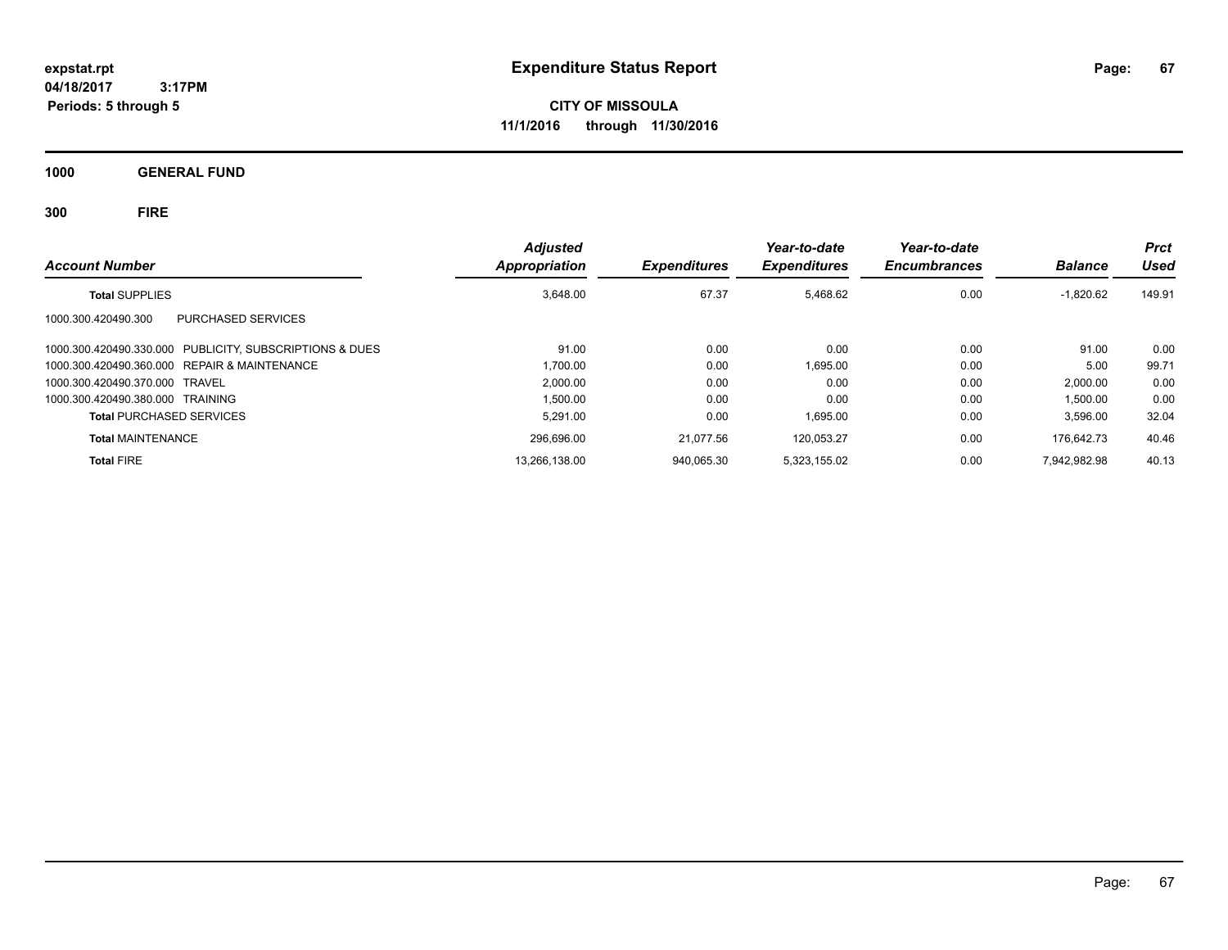**CITY OF MISSOULA 11/1/2016 through 11/30/2016**

**1000 GENERAL FUND**

| <b>Account Number</b>                                   | <b>Adjusted</b><br><b>Appropriation</b> | <b>Expenditures</b> | Year-to-date<br><b>Expenditures</b> | Year-to-date<br><b>Encumbrances</b> | <b>Balance</b> | <b>Prct</b><br>Used |
|---------------------------------------------------------|-----------------------------------------|---------------------|-------------------------------------|-------------------------------------|----------------|---------------------|
| <b>Total SUPPLIES</b>                                   | 3.648.00                                | 67.37               | 5.468.62                            | 0.00                                | $-1,820.62$    | 149.91              |
| PURCHASED SERVICES<br>1000.300.420490.300               |                                         |                     |                                     |                                     |                |                     |
| 1000.300.420490.330.000 PUBLICITY, SUBSCRIPTIONS & DUES | 91.00                                   | 0.00                | 0.00                                | 0.00                                | 91.00          | 0.00                |
| 1000.300.420490.360.000 REPAIR & MAINTENANCE            | 1.700.00                                | 0.00                | 1.695.00                            | 0.00                                | 5.00           | 99.71               |
| 1000.300.420490.370.000 TRAVEL                          | 2.000.00                                | 0.00                | 0.00                                | 0.00                                | 2,000.00       | 0.00                |
| 1000.300.420490.380.000 TRAINING                        | 1,500.00                                | 0.00                | 0.00                                | 0.00                                | 1,500.00       | 0.00                |
| <b>Total PURCHASED SERVICES</b>                         | 5.291.00                                | 0.00                | 1.695.00                            | 0.00                                | 3,596.00       | 32.04               |
| <b>Total MAINTENANCE</b>                                | 296,696.00                              | 21.077.56           | 120.053.27                          | 0.00                                | 176.642.73     | 40.46               |
| <b>Total FIRE</b>                                       | 13,266,138.00                           | 940.065.30          | 5.323.155.02                        | 0.00                                | 7,942,982.98   | 40.13               |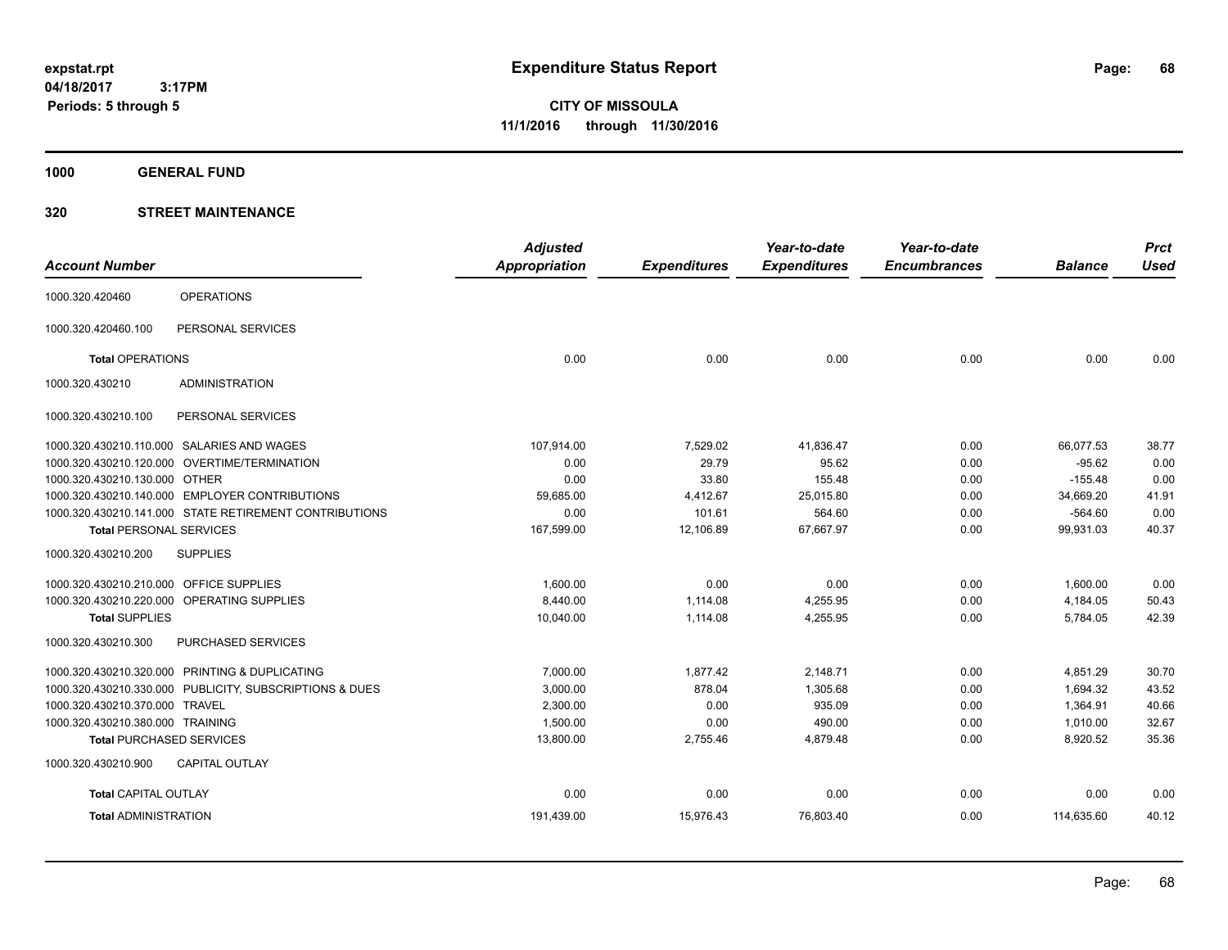**CITY OF MISSOULA 11/1/2016 through 11/30/2016**

**1000 GENERAL FUND**

|                                         |                                                         | <b>Adjusted</b> |                     | Year-to-date        | Year-to-date        |                | <b>Prct</b> |
|-----------------------------------------|---------------------------------------------------------|-----------------|---------------------|---------------------|---------------------|----------------|-------------|
| <b>Account Number</b>                   |                                                         | Appropriation   | <b>Expenditures</b> | <b>Expenditures</b> | <b>Encumbrances</b> | <b>Balance</b> | <b>Used</b> |
| 1000.320.420460                         | <b>OPERATIONS</b>                                       |                 |                     |                     |                     |                |             |
| 1000.320.420460.100                     | PERSONAL SERVICES                                       |                 |                     |                     |                     |                |             |
| <b>Total OPERATIONS</b>                 |                                                         | 0.00            | 0.00                | 0.00                | 0.00                | 0.00           | 0.00        |
| 1000.320.430210                         | <b>ADMINISTRATION</b>                                   |                 |                     |                     |                     |                |             |
| 1000.320.430210.100                     | PERSONAL SERVICES                                       |                 |                     |                     |                     |                |             |
|                                         | 1000.320.430210.110.000 SALARIES AND WAGES              | 107,914.00      | 7,529.02            | 41,836.47           | 0.00                | 66,077.53      | 38.77       |
|                                         | 1000.320.430210.120.000 OVERTIME/TERMINATION            | 0.00            | 29.79               | 95.62               | 0.00                | $-95.62$       | 0.00        |
| 1000.320.430210.130.000 OTHER           |                                                         | 0.00            | 33.80               | 155.48              | 0.00                | $-155.48$      | 0.00        |
|                                         | 1000.320.430210.140.000 EMPLOYER CONTRIBUTIONS          | 59.685.00       | 4,412.67            | 25,015.80           | 0.00                | 34,669.20      | 41.91       |
|                                         | 1000.320.430210.141.000 STATE RETIREMENT CONTRIBUTIONS  | 0.00            | 101.61              | 564.60              | 0.00                | $-564.60$      | 0.00        |
| <b>Total PERSONAL SERVICES</b>          |                                                         | 167,599.00      | 12,106.89           | 67,667.97           | 0.00                | 99,931.03      | 40.37       |
| 1000.320.430210.200                     | <b>SUPPLIES</b>                                         |                 |                     |                     |                     |                |             |
| 1000.320.430210.210.000 OFFICE SUPPLIES |                                                         | 1,600.00        | 0.00                | 0.00                | 0.00                | 1,600.00       | 0.00        |
|                                         | 1000.320.430210.220.000 OPERATING SUPPLIES              | 8,440.00        | 1,114.08            | 4,255.95            | 0.00                | 4,184.05       | 50.43       |
| <b>Total SUPPLIES</b>                   |                                                         | 10,040.00       | 1,114.08            | 4,255.95            | 0.00                | 5,784.05       | 42.39       |
| 1000.320.430210.300                     | PURCHASED SERVICES                                      |                 |                     |                     |                     |                |             |
|                                         | 1000.320.430210.320.000 PRINTING & DUPLICATING          | 7.000.00        | 1,877.42            | 2,148.71            | 0.00                | 4,851.29       | 30.70       |
|                                         | 1000.320.430210.330.000 PUBLICITY, SUBSCRIPTIONS & DUES | 3,000.00        | 878.04              | 1,305.68            | 0.00                | 1,694.32       | 43.52       |
| 1000.320.430210.370.000 TRAVEL          |                                                         | 2,300.00        | 0.00                | 935.09              | 0.00                | 1,364.91       | 40.66       |
| 1000.320.430210.380.000 TRAINING        |                                                         | 1,500.00        | 0.00                | 490.00              | 0.00                | 1,010.00       | 32.67       |
|                                         | <b>Total PURCHASED SERVICES</b>                         | 13,800.00       | 2,755.46            | 4,879.48            | 0.00                | 8,920.52       | 35.36       |
| 1000.320.430210.900                     | <b>CAPITAL OUTLAY</b>                                   |                 |                     |                     |                     |                |             |
| <b>Total CAPITAL OUTLAY</b>             |                                                         | 0.00            | 0.00                | 0.00                | 0.00                | 0.00           | 0.00        |
| <b>Total ADMINISTRATION</b>             |                                                         | 191,439.00      | 15,976.43           | 76,803.40           | 0.00                | 114,635.60     | 40.12       |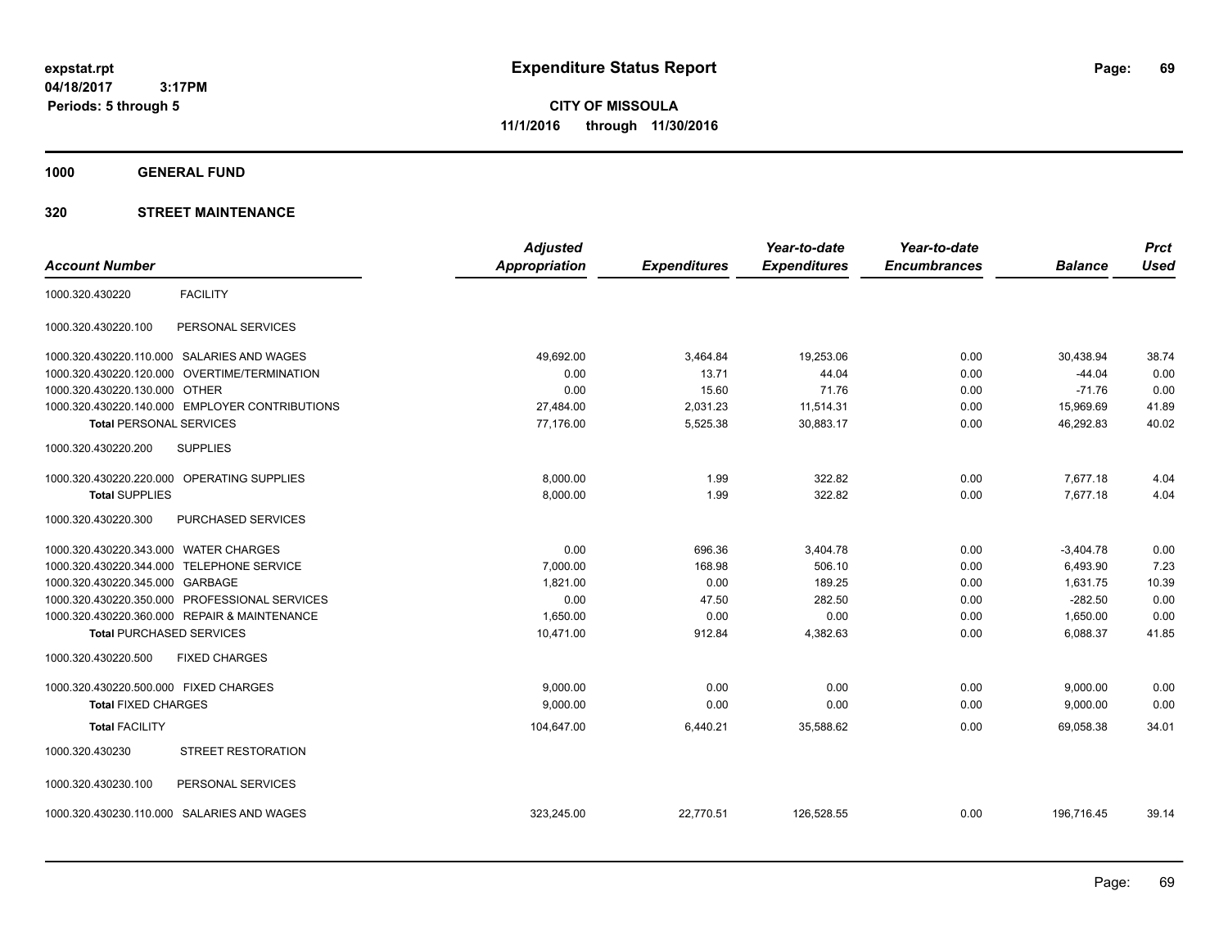**CITY OF MISSOULA 11/1/2016 through 11/30/2016**

**1000 GENERAL FUND**

|                                       |                                                | <b>Adjusted</b> |                     | Year-to-date        | Year-to-date        |                | <b>Prct</b> |
|---------------------------------------|------------------------------------------------|-----------------|---------------------|---------------------|---------------------|----------------|-------------|
| <b>Account Number</b>                 |                                                | Appropriation   | <b>Expenditures</b> | <b>Expenditures</b> | <b>Encumbrances</b> | <b>Balance</b> | <b>Used</b> |
| 1000.320.430220                       | <b>FACILITY</b>                                |                 |                     |                     |                     |                |             |
| 1000.320.430220.100                   | PERSONAL SERVICES                              |                 |                     |                     |                     |                |             |
|                                       | 1000.320.430220.110.000 SALARIES AND WAGES     | 49,692.00       | 3,464.84            | 19,253.06           | 0.00                | 30,438.94      | 38.74       |
| 1000.320.430220.120.000               | OVERTIME/TERMINATION                           | 0.00            | 13.71               | 44.04               | 0.00                | $-44.04$       | 0.00        |
| 1000.320.430220.130.000 OTHER         |                                                | 0.00            | 15.60               | 71.76               | 0.00                | $-71.76$       | 0.00        |
|                                       | 1000.320.430220.140.000 EMPLOYER CONTRIBUTIONS | 27,484.00       | 2,031.23            | 11,514.31           | 0.00                | 15,969.69      | 41.89       |
| <b>Total PERSONAL SERVICES</b>        |                                                | 77,176.00       | 5,525.38            | 30,883.17           | 0.00                | 46,292.83      | 40.02       |
| 1000.320.430220.200                   | <b>SUPPLIES</b>                                |                 |                     |                     |                     |                |             |
|                                       | 1000.320.430220.220.000 OPERATING SUPPLIES     | 8,000.00        | 1.99                | 322.82              | 0.00                | 7,677.18       | 4.04        |
| <b>Total SUPPLIES</b>                 |                                                | 8,000.00        | 1.99                | 322.82              | 0.00                | 7,677.18       | 4.04        |
| 1000.320.430220.300                   | PURCHASED SERVICES                             |                 |                     |                     |                     |                |             |
| 1000.320.430220.343.000 WATER CHARGES |                                                | 0.00            | 696.36              | 3,404.78            | 0.00                | $-3,404.78$    | 0.00        |
| 1000.320.430220.344.000               | <b>TELEPHONE SERVICE</b>                       | 7,000.00        | 168.98              | 506.10              | 0.00                | 6,493.90       | 7.23        |
| 1000.320.430220.345.000 GARBAGE       |                                                | 1,821.00        | 0.00                | 189.25              | 0.00                | 1,631.75       | 10.39       |
| 1000.320.430220.350.000               | PROFESSIONAL SERVICES                          | 0.00            | 47.50               | 282.50              | 0.00                | $-282.50$      | 0.00        |
|                                       | 1000.320.430220.360.000 REPAIR & MAINTENANCE   | 1.650.00        | 0.00                | 0.00                | 0.00                | 1,650.00       | 0.00        |
| <b>Total PURCHASED SERVICES</b>       |                                                | 10,471.00       | 912.84              | 4,382.63            | 0.00                | 6,088.37       | 41.85       |
| 1000.320.430220.500                   | <b>FIXED CHARGES</b>                           |                 |                     |                     |                     |                |             |
| 1000.320.430220.500.000 FIXED CHARGES |                                                | 9.000.00        | 0.00                | 0.00                | 0.00                | 9,000.00       | 0.00        |
| <b>Total FIXED CHARGES</b>            |                                                | 9,000.00        | 0.00                | 0.00                | 0.00                | 9,000.00       | 0.00        |
| <b>Total FACILITY</b>                 |                                                | 104,647.00      | 6,440.21            | 35,588.62           | 0.00                | 69.058.38      | 34.01       |
| 1000.320.430230                       | STREET RESTORATION                             |                 |                     |                     |                     |                |             |
| 1000.320.430230.100                   | PERSONAL SERVICES                              |                 |                     |                     |                     |                |             |
|                                       | 1000.320.430230.110.000 SALARIES AND WAGES     | 323.245.00      | 22,770.51           | 126.528.55          | 0.00                | 196.716.45     | 39.14       |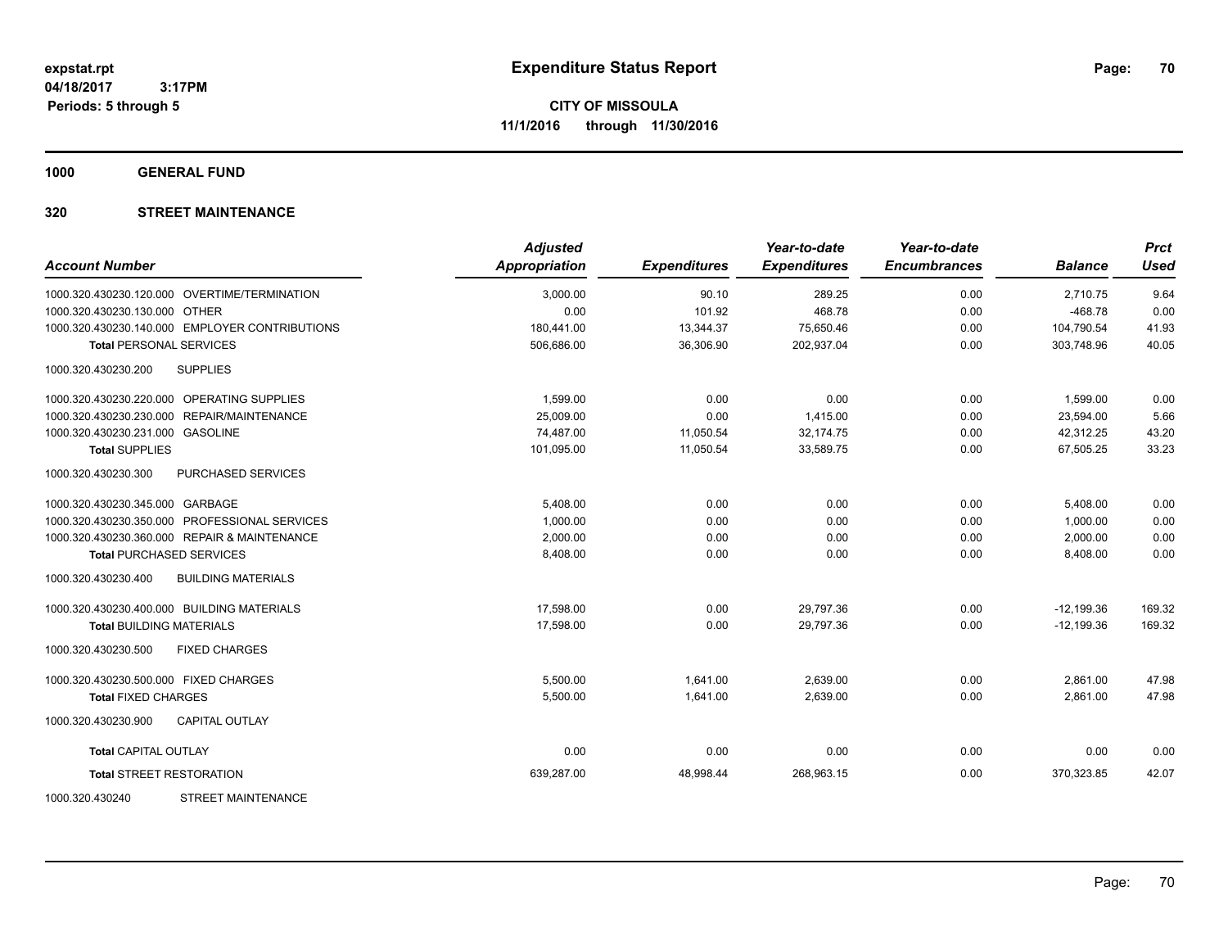**1000 GENERAL FUND**

| <b>Account Number</b>                            | <b>Adjusted</b><br><b>Appropriation</b> | <b>Expenditures</b> | Year-to-date<br><b>Expenditures</b> | Year-to-date<br><b>Encumbrances</b> | <b>Balance</b> | <b>Prct</b><br><b>Used</b> |
|--------------------------------------------------|-----------------------------------------|---------------------|-------------------------------------|-------------------------------------|----------------|----------------------------|
| 1000.320.430230.120.000 OVERTIME/TERMINATION     | 3,000.00                                | 90.10               | 289.25                              | 0.00                                | 2,710.75       | 9.64                       |
| 1000.320.430230.130.000 OTHER                    | 0.00                                    | 101.92              | 468.78                              | 0.00                                | $-468.78$      | 0.00                       |
| 1000.320.430230.140.000 EMPLOYER CONTRIBUTIONS   | 180,441.00                              | 13,344.37           | 75,650.46                           | 0.00                                | 104,790.54     | 41.93                      |
| <b>Total PERSONAL SERVICES</b>                   | 506,686.00                              | 36,306.90           | 202,937.04                          | 0.00                                | 303,748.96     | 40.05                      |
| 1000.320.430230.200<br><b>SUPPLIES</b>           |                                         |                     |                                     |                                     |                |                            |
| 1000.320.430230.220.000 OPERATING SUPPLIES       | 1,599.00                                | 0.00                | 0.00                                | 0.00                                | 1,599.00       | 0.00                       |
| 1000.320.430230.230.000 REPAIR/MAINTENANCE       | 25,009.00                               | 0.00                | 1,415.00                            | 0.00                                | 23,594.00      | 5.66                       |
| 1000.320.430230.231.000 GASOLINE                 | 74.487.00                               | 11,050.54           | 32.174.75                           | 0.00                                | 42,312.25      | 43.20                      |
| <b>Total SUPPLIES</b>                            | 101.095.00                              | 11,050.54           | 33.589.75                           | 0.00                                | 67.505.25      | 33.23                      |
| 1000.320.430230.300<br>PURCHASED SERVICES        |                                         |                     |                                     |                                     |                |                            |
| 1000.320.430230.345.000 GARBAGE                  | 5,408.00                                | 0.00                | 0.00                                | 0.00                                | 5,408.00       | 0.00                       |
| 1000.320.430230.350.000 PROFESSIONAL SERVICES    | 1,000.00                                | 0.00                | 0.00                                | 0.00                                | 1,000.00       | 0.00                       |
| 1000.320.430230.360.000 REPAIR & MAINTENANCE     | 2,000.00                                | 0.00                | 0.00                                | 0.00                                | 2,000.00       | 0.00                       |
| <b>Total PURCHASED SERVICES</b>                  | 8,408.00                                | 0.00                | 0.00                                | 0.00                                | 8,408.00       | 0.00                       |
| 1000.320.430230.400<br><b>BUILDING MATERIALS</b> |                                         |                     |                                     |                                     |                |                            |
| 1000.320.430230.400.000 BUILDING MATERIALS       | 17,598.00                               | 0.00                | 29,797.36                           | 0.00                                | $-12,199.36$   | 169.32                     |
| <b>Total BUILDING MATERIALS</b>                  | 17,598.00                               | 0.00                | 29,797.36                           | 0.00                                | $-12,199.36$   | 169.32                     |
| 1000.320.430230.500<br><b>FIXED CHARGES</b>      |                                         |                     |                                     |                                     |                |                            |
| 1000.320.430230.500.000 FIXED CHARGES            | 5,500.00                                | 1,641.00            | 2,639.00                            | 0.00                                | 2,861.00       | 47.98                      |
| <b>Total FIXED CHARGES</b>                       | 5,500.00                                | 1,641.00            | 2,639.00                            | 0.00                                | 2,861.00       | 47.98                      |
| <b>CAPITAL OUTLAY</b><br>1000.320.430230.900     |                                         |                     |                                     |                                     |                |                            |
| <b>Total CAPITAL OUTLAY</b>                      | 0.00                                    | 0.00                | 0.00                                | 0.00                                | 0.00           | 0.00                       |
| <b>Total STREET RESTORATION</b>                  | 639,287.00                              | 48,998.44           | 268,963.15                          | 0.00                                | 370,323.85     | 42.07                      |
| <b>STREET MAINTENANCE</b><br>1000.320.430240     |                                         |                     |                                     |                                     |                |                            |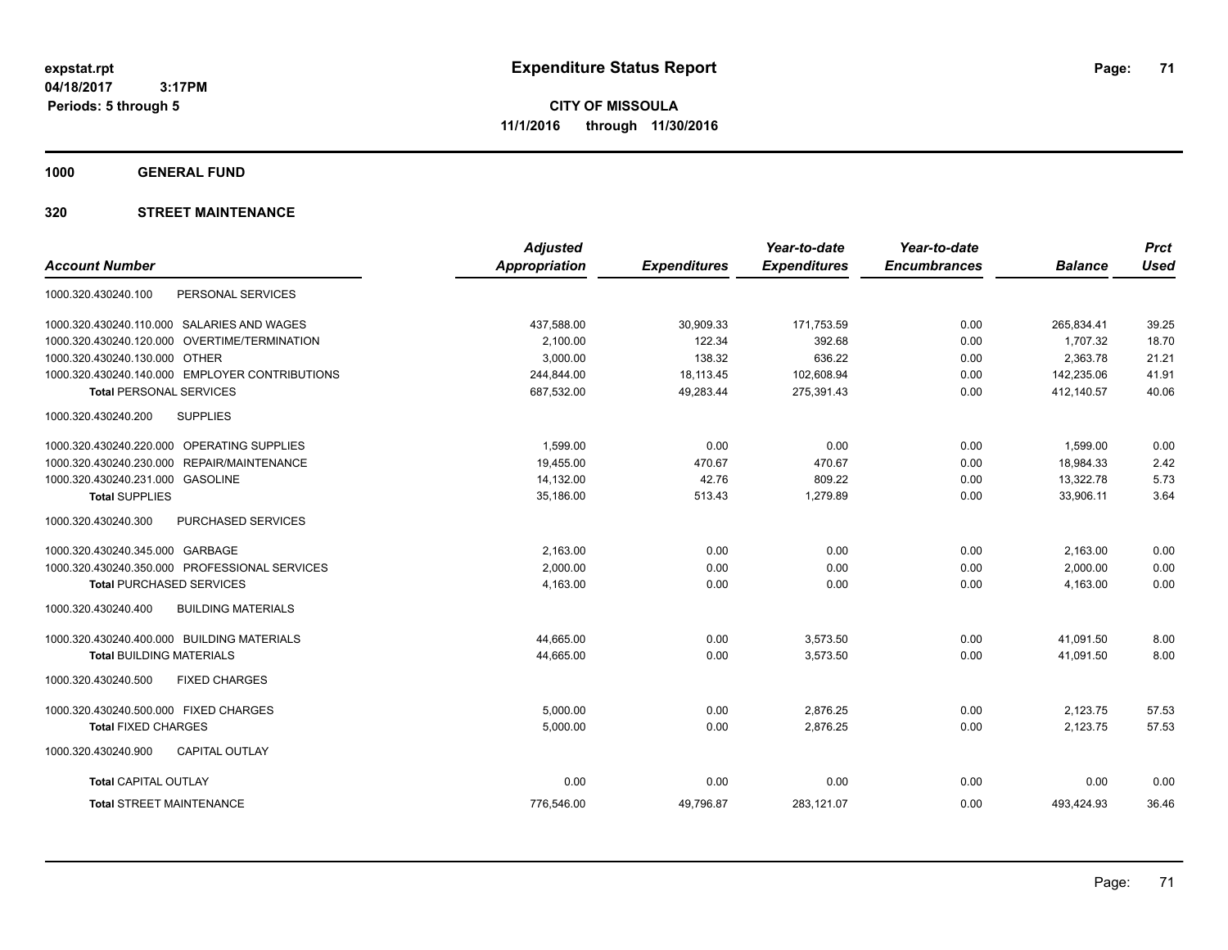**CITY OF MISSOULA 11/1/2016 through 11/30/2016**

**1000 GENERAL FUND**

|                                                  | <b>Adjusted</b>      |                     | Year-to-date        | Year-to-date        |                | <b>Prct</b> |
|--------------------------------------------------|----------------------|---------------------|---------------------|---------------------|----------------|-------------|
| <b>Account Number</b>                            | <b>Appropriation</b> | <b>Expenditures</b> | <b>Expenditures</b> | <b>Encumbrances</b> | <b>Balance</b> | <b>Used</b> |
| PERSONAL SERVICES<br>1000.320.430240.100         |                      |                     |                     |                     |                |             |
| 1000.320.430240.110.000 SALARIES AND WAGES       | 437,588.00           | 30,909.33           | 171,753.59          | 0.00                | 265,834.41     | 39.25       |
| OVERTIME/TERMINATION<br>1000.320.430240.120.000  | 2,100.00             | 122.34              | 392.68              | 0.00                | 1,707.32       | 18.70       |
| 1000.320.430240.130.000 OTHER                    | 3,000.00             | 138.32              | 636.22              | 0.00                | 2,363.78       | 21.21       |
| 1000.320.430240.140.000 EMPLOYER CONTRIBUTIONS   | 244,844.00           | 18,113.45           | 102,608.94          | 0.00                | 142,235.06     | 41.91       |
| <b>Total PERSONAL SERVICES</b>                   | 687,532.00           | 49,283.44           | 275,391.43          | 0.00                | 412.140.57     | 40.06       |
| 1000.320.430240.200<br><b>SUPPLIES</b>           |                      |                     |                     |                     |                |             |
| 1000.320.430240.220.000 OPERATING SUPPLIES       | 1,599.00             | 0.00                | 0.00                | 0.00                | 1,599.00       | 0.00        |
| 1000.320.430240.230.000<br>REPAIR/MAINTENANCE    | 19,455.00            | 470.67              | 470.67              | 0.00                | 18,984.33      | 2.42        |
| 1000.320.430240.231.000 GASOLINE                 | 14,132.00            | 42.76               | 809.22              | 0.00                | 13,322.78      | 5.73        |
| <b>Total SUPPLIES</b>                            | 35,186.00            | 513.43              | 1,279.89            | 0.00                | 33,906.11      | 3.64        |
| PURCHASED SERVICES<br>1000.320.430240.300        |                      |                     |                     |                     |                |             |
| 1000.320.430240.345.000 GARBAGE                  | 2,163.00             | 0.00                | 0.00                | 0.00                | 2,163.00       | 0.00        |
| 1000.320.430240.350.000 PROFESSIONAL SERVICES    | 2,000.00             | 0.00                | 0.00                | 0.00                | 2,000.00       | 0.00        |
| <b>Total PURCHASED SERVICES</b>                  | 4,163.00             | 0.00                | 0.00                | 0.00                | 4,163.00       | 0.00        |
| <b>BUILDING MATERIALS</b><br>1000.320.430240.400 |                      |                     |                     |                     |                |             |
| 1000.320.430240.400.000 BUILDING MATERIALS       | 44,665.00            | 0.00                | 3,573.50            | 0.00                | 41,091.50      | 8.00        |
| <b>Total BUILDING MATERIALS</b>                  | 44,665.00            | 0.00                | 3,573.50            | 0.00                | 41,091.50      | 8.00        |
| 1000.320.430240.500<br><b>FIXED CHARGES</b>      |                      |                     |                     |                     |                |             |
| 1000.320.430240.500.000 FIXED CHARGES            | 5,000.00             | 0.00                | 2,876.25            | 0.00                | 2,123.75       | 57.53       |
| <b>Total FIXED CHARGES</b>                       | 5,000.00             | 0.00                | 2,876.25            | 0.00                | 2,123.75       | 57.53       |
| 1000.320.430240.900<br><b>CAPITAL OUTLAY</b>     |                      |                     |                     |                     |                |             |
| <b>Total CAPITAL OUTLAY</b>                      | 0.00                 | 0.00                | 0.00                | 0.00                | 0.00           | 0.00        |
| <b>Total STREET MAINTENANCE</b>                  | 776.546.00           | 49,796.87           | 283,121.07          | 0.00                | 493,424.93     | 36.46       |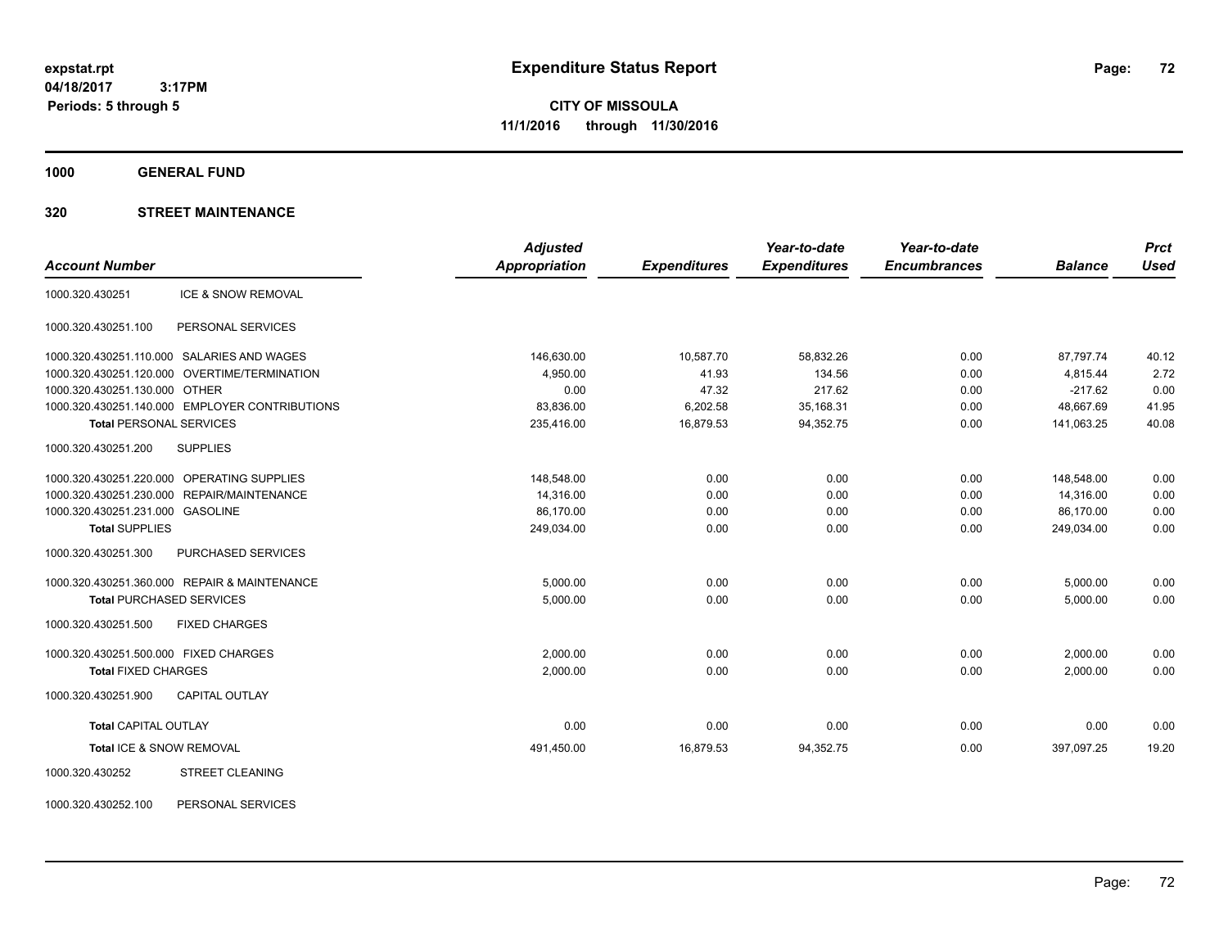**CITY OF MISSOULA 11/1/2016 through 11/30/2016**

**1000 GENERAL FUND**

### **320 STREET MAINTENANCE**

|                                                  | <b>Adjusted</b>      |                     | Year-to-date        | Year-to-date        |                | <b>Prct</b> |
|--------------------------------------------------|----------------------|---------------------|---------------------|---------------------|----------------|-------------|
| <b>Account Number</b>                            | <b>Appropriation</b> | <b>Expenditures</b> | <b>Expenditures</b> | <b>Encumbrances</b> | <b>Balance</b> | <b>Used</b> |
| <b>ICE &amp; SNOW REMOVAL</b><br>1000.320.430251 |                      |                     |                     |                     |                |             |
| PERSONAL SERVICES<br>1000.320.430251.100         |                      |                     |                     |                     |                |             |
| 1000.320.430251.110.000 SALARIES AND WAGES       | 146,630.00           | 10,587.70           | 58,832.26           | 0.00                | 87.797.74      | 40.12       |
| 1000.320.430251.120.000 OVERTIME/TERMINATION     | 4,950.00             | 41.93               | 134.56              | 0.00                | 4,815.44       | 2.72        |
| 1000.320.430251.130.000 OTHER                    | 0.00                 | 47.32               | 217.62              | 0.00                | $-217.62$      | 0.00        |
| 1000.320.430251.140.000 EMPLOYER CONTRIBUTIONS   | 83,836.00            | 6,202.58            | 35,168.31           | 0.00                | 48,667.69      | 41.95       |
| <b>Total PERSONAL SERVICES</b>                   | 235,416.00           | 16,879.53           | 94,352.75           | 0.00                | 141,063.25     | 40.08       |
| 1000.320.430251.200<br><b>SUPPLIES</b>           |                      |                     |                     |                     |                |             |
| 1000.320.430251.220.000 OPERATING SUPPLIES       | 148,548.00           | 0.00                | 0.00                | 0.00                | 148,548.00     | 0.00        |
| REPAIR/MAINTENANCE<br>1000.320.430251.230.000    | 14,316.00            | 0.00                | 0.00                | 0.00                | 14,316.00      | 0.00        |
| 1000.320.430251.231.000 GASOLINE                 | 86,170.00            | 0.00                | 0.00                | 0.00                | 86,170.00      | 0.00        |
| <b>Total SUPPLIES</b>                            | 249,034.00           | 0.00                | 0.00                | 0.00                | 249,034.00     | 0.00        |
| 1000.320.430251.300<br>PURCHASED SERVICES        |                      |                     |                     |                     |                |             |
| 1000.320.430251.360.000 REPAIR & MAINTENANCE     | 5,000.00             | 0.00                | 0.00                | 0.00                | 5,000.00       | 0.00        |
| <b>Total PURCHASED SERVICES</b>                  | 5,000.00             | 0.00                | 0.00                | 0.00                | 5,000.00       | 0.00        |
| 1000.320.430251.500<br><b>FIXED CHARGES</b>      |                      |                     |                     |                     |                |             |
| 1000.320.430251.500.000 FIXED CHARGES            | 2,000.00             | 0.00                | 0.00                | 0.00                | 2,000.00       | 0.00        |
| <b>Total FIXED CHARGES</b>                       | 2,000.00             | 0.00                | 0.00                | 0.00                | 2,000.00       | 0.00        |
| 1000.320.430251.900<br><b>CAPITAL OUTLAY</b>     |                      |                     |                     |                     |                |             |
| <b>Total CAPITAL OUTLAY</b>                      | 0.00                 | 0.00                | 0.00                | 0.00                | 0.00           | 0.00        |
| Total ICE & SNOW REMOVAL                         | 491,450.00           | 16,879.53           | 94,352.75           | 0.00                | 397,097.25     | 19.20       |
| <b>STREET CLEANING</b><br>1000.320.430252        |                      |                     |                     |                     |                |             |
|                                                  |                      |                     |                     |                     |                |             |

1000.320.430252.100 PERSONAL SERVICES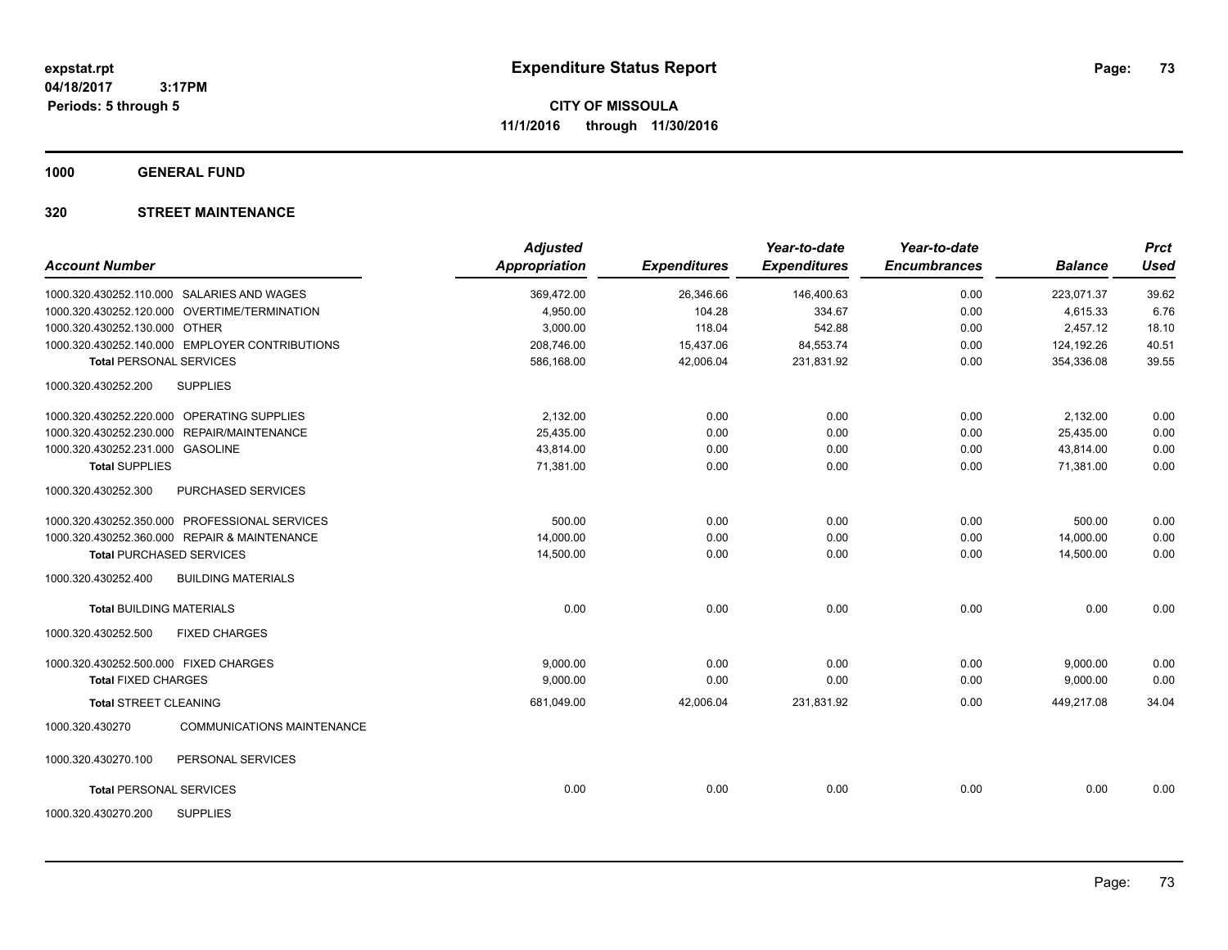**1000 GENERAL FUND**

# **320 STREET MAINTENANCE**

| <b>Account Number</b>                        |                                                | <b>Adjusted</b><br><b>Appropriation</b> | <b>Expenditures</b> | Year-to-date<br><b>Expenditures</b> | Year-to-date<br><b>Encumbrances</b> | <b>Balance</b> | <b>Prct</b><br><b>Used</b> |
|----------------------------------------------|------------------------------------------------|-----------------------------------------|---------------------|-------------------------------------|-------------------------------------|----------------|----------------------------|
|                                              |                                                |                                         |                     |                                     |                                     |                |                            |
| 1000.320.430252.110.000 SALARIES AND WAGES   |                                                | 369,472.00                              | 26,346.66           | 146,400.63                          | 0.00                                | 223,071.37     | 39.62                      |
|                                              | 1000.320.430252.120.000 OVERTIME/TERMINATION   | 4,950.00                                | 104.28              | 334.67                              | 0.00                                | 4,615.33       | 6.76                       |
| 1000.320.430252.130.000 OTHER                |                                                | 3,000.00                                | 118.04              | 542.88                              | 0.00                                | 2,457.12       | 18.10                      |
|                                              | 1000.320.430252.140.000 EMPLOYER CONTRIBUTIONS | 208,746.00                              | 15,437.06           | 84,553.74                           | 0.00                                | 124,192.26     | 40.51                      |
| <b>Total PERSONAL SERVICES</b>               |                                                | 586.168.00                              | 42.006.04           | 231.831.92                          | 0.00                                | 354.336.08     | 39.55                      |
| 1000.320.430252.200                          | <b>SUPPLIES</b>                                |                                         |                     |                                     |                                     |                |                            |
| 1000.320.430252.220.000 OPERATING SUPPLIES   |                                                | 2.132.00                                | 0.00                | 0.00                                | 0.00                                | 2,132.00       | 0.00                       |
| 1000.320.430252.230.000 REPAIR/MAINTENANCE   |                                                | 25,435.00                               | 0.00                | 0.00                                | 0.00                                | 25,435.00      | 0.00                       |
| 1000.320.430252.231.000 GASOLINE             |                                                | 43,814.00                               | 0.00                | 0.00                                | 0.00                                | 43,814.00      | 0.00                       |
| <b>Total SUPPLIES</b>                        |                                                | 71,381.00                               | 0.00                | 0.00                                | 0.00                                | 71,381.00      | 0.00                       |
| 1000.320.430252.300                          | <b>PURCHASED SERVICES</b>                      |                                         |                     |                                     |                                     |                |                            |
|                                              | 1000.320.430252.350.000 PROFESSIONAL SERVICES  | 500.00                                  | 0.00                | 0.00                                | 0.00                                | 500.00         | 0.00                       |
| 1000.320.430252.360.000 REPAIR & MAINTENANCE |                                                | 14,000.00                               | 0.00                | 0.00                                | 0.00                                | 14,000.00      | 0.00                       |
| <b>Total PURCHASED SERVICES</b>              |                                                | 14,500.00                               | 0.00                | 0.00                                | 0.00                                | 14,500.00      | 0.00                       |
| 1000.320.430252.400                          | <b>BUILDING MATERIALS</b>                      |                                         |                     |                                     |                                     |                |                            |
| <b>Total BUILDING MATERIALS</b>              |                                                | 0.00                                    | 0.00                | 0.00                                | 0.00                                | 0.00           | 0.00                       |
| 1000.320.430252.500                          | <b>FIXED CHARGES</b>                           |                                         |                     |                                     |                                     |                |                            |
| 1000.320.430252.500.000 FIXED CHARGES        |                                                | 9,000.00                                | 0.00                | 0.00                                | 0.00                                | 9,000.00       | 0.00                       |
| <b>Total FIXED CHARGES</b>                   |                                                | 9,000.00                                | 0.00                | 0.00                                | 0.00                                | 9,000.00       | 0.00                       |
| <b>Total STREET CLEANING</b>                 |                                                | 681,049.00                              | 42,006.04           | 231,831.92                          | 0.00                                | 449,217.08     | 34.04                      |
| 1000.320.430270                              | <b>COMMUNICATIONS MAINTENANCE</b>              |                                         |                     |                                     |                                     |                |                            |
| 1000.320.430270.100                          | PERSONAL SERVICES                              |                                         |                     |                                     |                                     |                |                            |
| <b>Total PERSONAL SERVICES</b>               |                                                | 0.00                                    | 0.00                | 0.00                                | 0.00                                | 0.00           | 0.00                       |
| 1000.320.430270.200                          | <b>SUPPLIES</b>                                |                                         |                     |                                     |                                     |                |                            |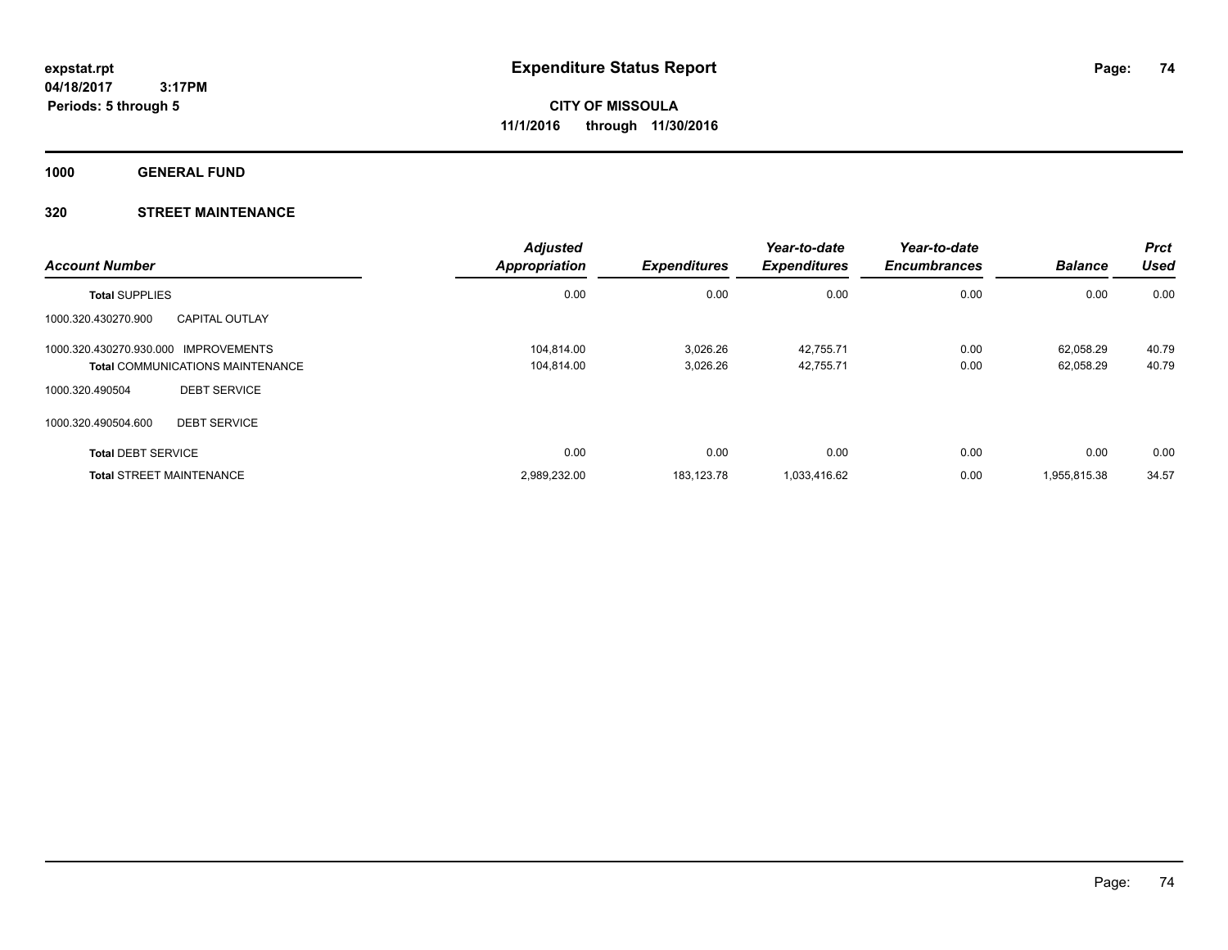**1000 GENERAL FUND**

# **320 STREET MAINTENANCE**

| <b>Account Number</b>                |                                         | <b>Adjusted</b><br><b>Appropriation</b> | <b>Expenditures</b> | Year-to-date<br><b>Expenditures</b> | Year-to-date<br><b>Encumbrances</b> | <b>Balance</b> | <b>Prct</b><br>Used |
|--------------------------------------|-----------------------------------------|-----------------------------------------|---------------------|-------------------------------------|-------------------------------------|----------------|---------------------|
| <b>Total SUPPLIES</b>                |                                         | 0.00                                    | 0.00                | 0.00                                | 0.00                                | 0.00           | 0.00                |
| 1000.320.430270.900                  | <b>CAPITAL OUTLAY</b>                   |                                         |                     |                                     |                                     |                |                     |
| 1000.320.430270.930.000 IMPROVEMENTS |                                         | 104.814.00                              | 3.026.26            | 42,755.71                           | 0.00                                | 62.058.29      | 40.79               |
|                                      | <b>Total COMMUNICATIONS MAINTENANCE</b> | 104.814.00                              | 3.026.26            | 42,755.71                           | 0.00                                | 62,058.29      | 40.79               |
| 1000.320.490504                      | <b>DEBT SERVICE</b>                     |                                         |                     |                                     |                                     |                |                     |
| 1000.320.490504.600                  | <b>DEBT SERVICE</b>                     |                                         |                     |                                     |                                     |                |                     |
| <b>Total DEBT SERVICE</b>            |                                         | 0.00                                    | 0.00                | 0.00                                | 0.00                                | 0.00           | 0.00                |
| <b>Total STREET MAINTENANCE</b>      |                                         | 2,989,232.00                            | 183.123.78          | 1,033,416.62                        | 0.00                                | 1,955,815.38   | 34.57               |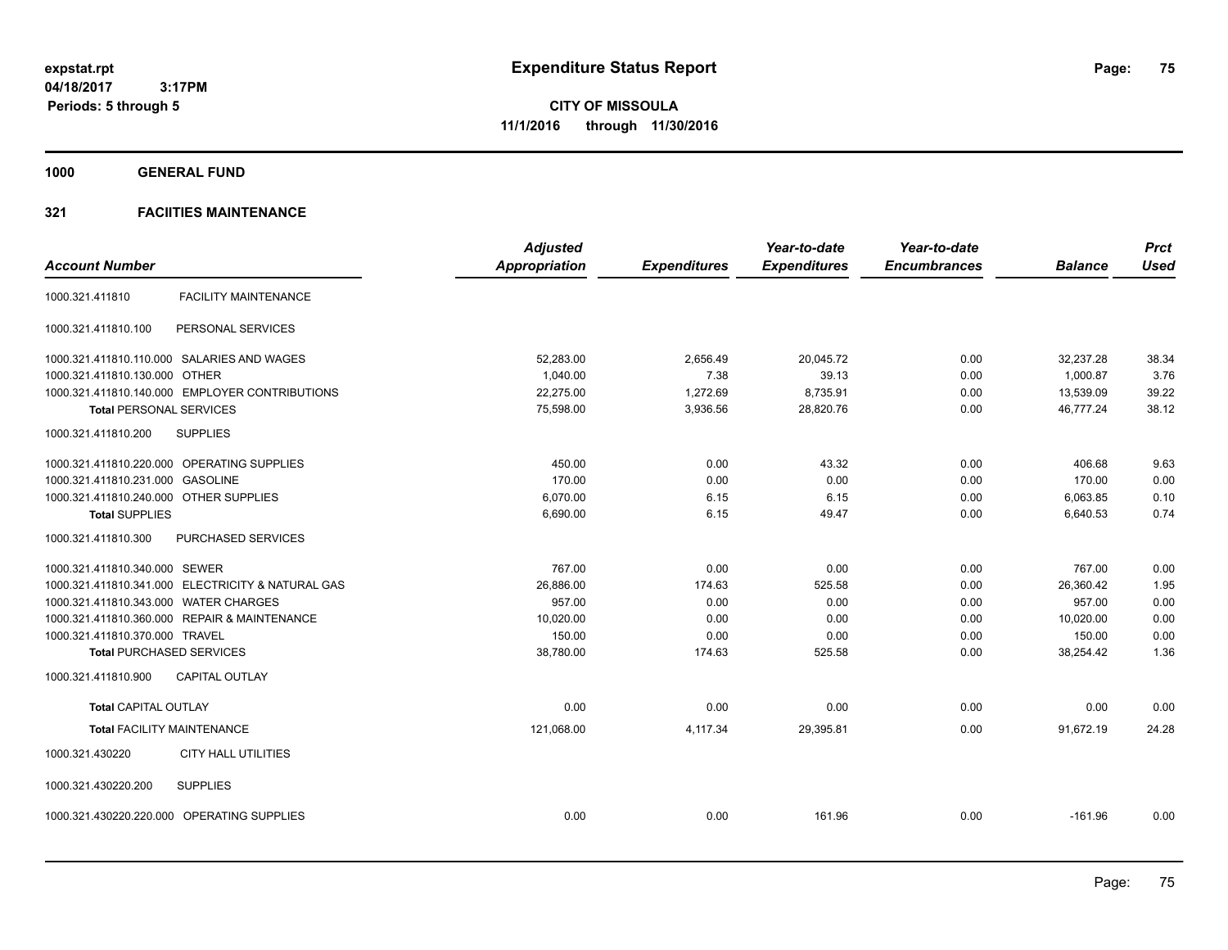**1000 GENERAL FUND**

|                                                   | <b>Adjusted</b>      |                     | Year-to-date        | Year-to-date        |                | <b>Prct</b> |
|---------------------------------------------------|----------------------|---------------------|---------------------|---------------------|----------------|-------------|
| <b>Account Number</b>                             | <b>Appropriation</b> | <b>Expenditures</b> | <b>Expenditures</b> | <b>Encumbrances</b> | <b>Balance</b> | <b>Used</b> |
| <b>FACILITY MAINTENANCE</b><br>1000.321.411810    |                      |                     |                     |                     |                |             |
| 1000.321.411810.100<br>PERSONAL SERVICES          |                      |                     |                     |                     |                |             |
| 1000.321.411810.110.000 SALARIES AND WAGES        | 52,283.00            | 2,656.49            | 20,045.72           | 0.00                | 32,237.28      | 38.34       |
| 1000.321.411810.130.000 OTHER                     | 1,040.00             | 7.38                | 39.13               | 0.00                | 1,000.87       | 3.76        |
| 1000.321.411810.140.000 EMPLOYER CONTRIBUTIONS    | 22,275.00            | 1,272.69            | 8,735.91            | 0.00                | 13,539.09      | 39.22       |
| <b>Total PERSONAL SERVICES</b>                    | 75,598.00            | 3,936.56            | 28,820.76           | 0.00                | 46,777.24      | 38.12       |
| 1000.321.411810.200<br><b>SUPPLIES</b>            |                      |                     |                     |                     |                |             |
| 1000.321.411810.220.000 OPERATING SUPPLIES        | 450.00               | 0.00                | 43.32               | 0.00                | 406.68         | 9.63        |
| 1000.321.411810.231.000 GASOLINE                  | 170.00               | 0.00                | 0.00                | 0.00                | 170.00         | 0.00        |
| 1000.321.411810.240.000 OTHER SUPPLIES            | 6,070.00             | 6.15                | 6.15                | 0.00                | 6,063.85       | 0.10        |
| <b>Total SUPPLIES</b>                             | 6,690.00             | 6.15                | 49.47               | 0.00                | 6,640.53       | 0.74        |
| 1000.321.411810.300<br>PURCHASED SERVICES         |                      |                     |                     |                     |                |             |
| 1000.321.411810.340.000 SEWER                     | 767.00               | 0.00                | 0.00                | 0.00                | 767.00         | 0.00        |
| 1000.321.411810.341.000 ELECTRICITY & NATURAL GAS | 26,886.00            | 174.63              | 525.58              | 0.00                | 26,360.42      | 1.95        |
| 1000.321.411810.343.000 WATER CHARGES             | 957.00               | 0.00                | 0.00                | 0.00                | 957.00         | 0.00        |
| 1000.321.411810.360.000 REPAIR & MAINTENANCE      | 10.020.00            | 0.00                | 0.00                | 0.00                | 10.020.00      | 0.00        |
| 1000.321.411810.370.000 TRAVEL                    | 150.00               | 0.00                | 0.00                | 0.00                | 150.00         | 0.00        |
| <b>Total PURCHASED SERVICES</b>                   | 38,780.00            | 174.63              | 525.58              | 0.00                | 38,254.42      | 1.36        |
| 1000.321.411810.900<br><b>CAPITAL OUTLAY</b>      |                      |                     |                     |                     |                |             |
| <b>Total CAPITAL OUTLAY</b>                       | 0.00                 | 0.00                | 0.00                | 0.00                | 0.00           | 0.00        |
| <b>Total FACILITY MAINTENANCE</b>                 | 121,068.00           | 4,117.34            | 29,395.81           | 0.00                | 91,672.19      | 24.28       |
| 1000.321.430220<br><b>CITY HALL UTILITIES</b>     |                      |                     |                     |                     |                |             |
| 1000.321.430220.200<br><b>SUPPLIES</b>            |                      |                     |                     |                     |                |             |
| 1000.321.430220.220.000 OPERATING SUPPLIES        | 0.00                 | 0.00                | 161.96              | 0.00                | $-161.96$      | 0.00        |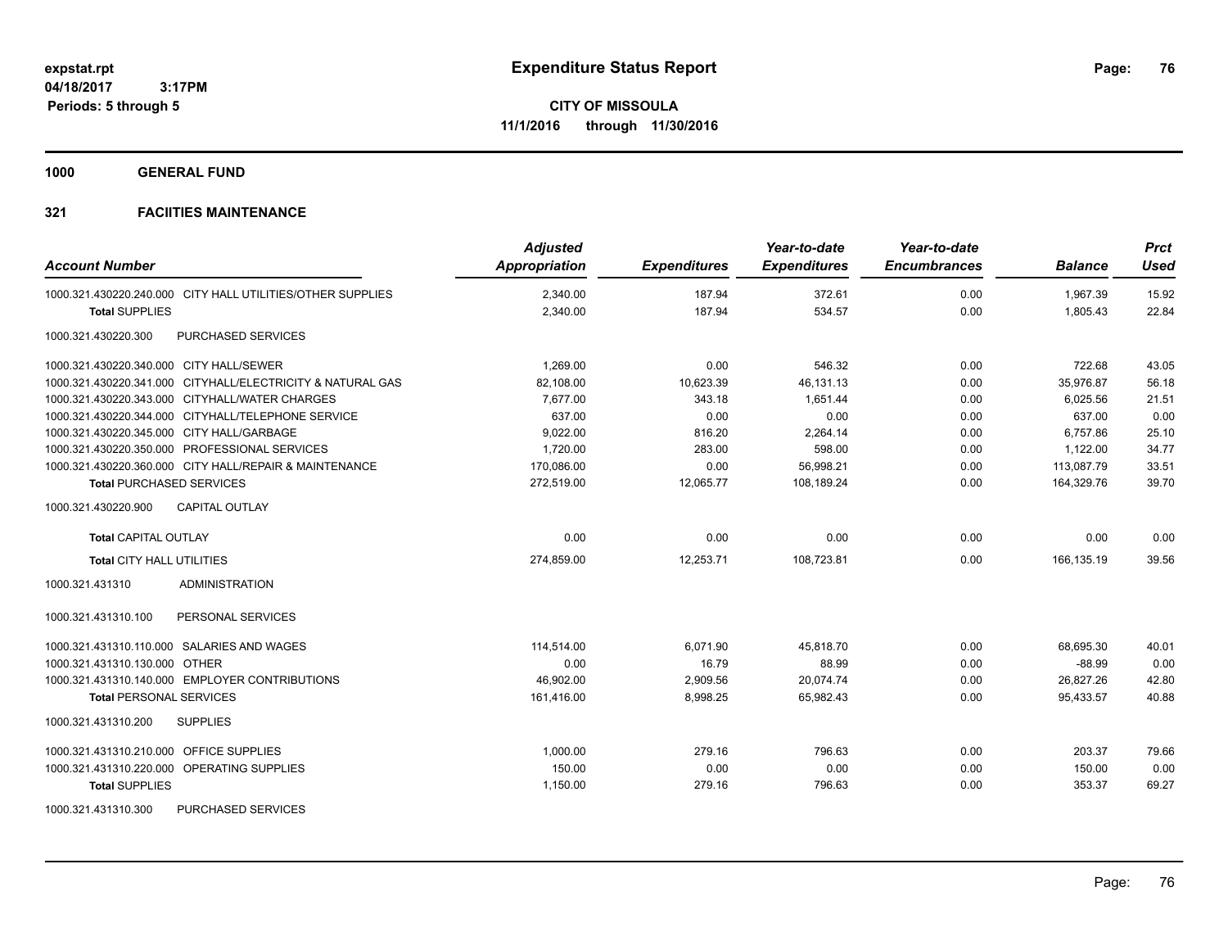**1000 GENERAL FUND**

| <b>Account Number</b>                                      | <b>Adjusted</b><br>Appropriation | <b>Expenditures</b> | Year-to-date<br><b>Expenditures</b> | Year-to-date<br><b>Encumbrances</b> | <b>Balance</b> | <b>Prct</b><br><b>Used</b> |
|------------------------------------------------------------|----------------------------------|---------------------|-------------------------------------|-------------------------------------|----------------|----------------------------|
| 1000.321.430220.240.000 CITY HALL UTILITIES/OTHER SUPPLIES | 2,340.00                         | 187.94              | 372.61                              | 0.00                                | 1,967.39       | 15.92                      |
| <b>Total SUPPLIES</b>                                      | 2,340.00                         | 187.94              | 534.57                              | 0.00                                | 1,805.43       | 22.84                      |
| PURCHASED SERVICES<br>1000.321.430220.300                  |                                  |                     |                                     |                                     |                |                            |
| 1000.321.430220.340.000 CITY HALL/SEWER                    | 1,269.00                         | 0.00                | 546.32                              | 0.00                                | 722.68         | 43.05                      |
| 1000.321.430220.341.000 CITYHALL/ELECTRICITY & NATURAL GAS | 82.108.00                        | 10,623.39           | 46,131.13                           | 0.00                                | 35.976.87      | 56.18                      |
| 1000.321.430220.343.000 CITYHALL/WATER CHARGES             | 7,677.00                         | 343.18              | 1,651.44                            | 0.00                                | 6,025.56       | 21.51                      |
| 1000.321.430220.344.000 CITYHALL/TELEPHONE SERVICE         | 637.00                           | 0.00                | 0.00                                | 0.00                                | 637.00         | 0.00                       |
| 1000.321.430220.345.000 CITY HALL/GARBAGE                  | 9,022.00                         | 816.20              | 2,264.14                            | 0.00                                | 6,757.86       | 25.10                      |
| 1000.321.430220.350.000 PROFESSIONAL SERVICES              | 1,720.00                         | 283.00              | 598.00                              | 0.00                                | 1,122.00       | 34.77                      |
| 1000.321.430220.360.000 CITY HALL/REPAIR & MAINTENANCE     | 170,086.00                       | 0.00                | 56,998.21                           | 0.00                                | 113,087.79     | 33.51                      |
| <b>Total PURCHASED SERVICES</b>                            | 272,519.00                       | 12,065.77           | 108,189.24                          | 0.00                                | 164,329.76     | 39.70                      |
| 1000.321.430220.900<br><b>CAPITAL OUTLAY</b>               |                                  |                     |                                     |                                     |                |                            |
| <b>Total CAPITAL OUTLAY</b>                                | 0.00                             | 0.00                | 0.00                                | 0.00                                | 0.00           | 0.00                       |
| Total CITY HALL UTILITIES                                  | 274,859.00                       | 12,253.71           | 108,723.81                          | 0.00                                | 166,135.19     | 39.56                      |
| 1000.321.431310<br><b>ADMINISTRATION</b>                   |                                  |                     |                                     |                                     |                |                            |
| 1000.321.431310.100<br>PERSONAL SERVICES                   |                                  |                     |                                     |                                     |                |                            |
| 1000.321.431310.110.000 SALARIES AND WAGES                 | 114.514.00                       | 6,071.90            | 45.818.70                           | 0.00                                | 68.695.30      | 40.01                      |
| 1000.321.431310.130.000 OTHER                              | 0.00                             | 16.79               | 88.99                               | 0.00                                | $-88.99$       | 0.00                       |
| 1000.321.431310.140.000 EMPLOYER CONTRIBUTIONS             | 46,902.00                        | 2,909.56            | 20,074.74                           | 0.00                                | 26,827.26      | 42.80                      |
| <b>Total PERSONAL SERVICES</b>                             | 161,416.00                       | 8,998.25            | 65,982.43                           | 0.00                                | 95,433.57      | 40.88                      |
| 1000.321.431310.200<br><b>SUPPLIES</b>                     |                                  |                     |                                     |                                     |                |                            |
| 1000.321.431310.210.000 OFFICE SUPPLIES                    | 1.000.00                         | 279.16              | 796.63                              | 0.00                                | 203.37         | 79.66                      |
| 1000.321.431310.220.000 OPERATING SUPPLIES                 | 150.00                           | 0.00                | 0.00                                | 0.00                                | 150.00         | 0.00                       |
| <b>Total SUPPLIES</b>                                      | 1,150.00                         | 279.16              | 796.63                              | 0.00                                | 353.37         | 69.27                      |
| <b>PURCHASED SERVICES</b><br>1000.321.431310.300           |                                  |                     |                                     |                                     |                |                            |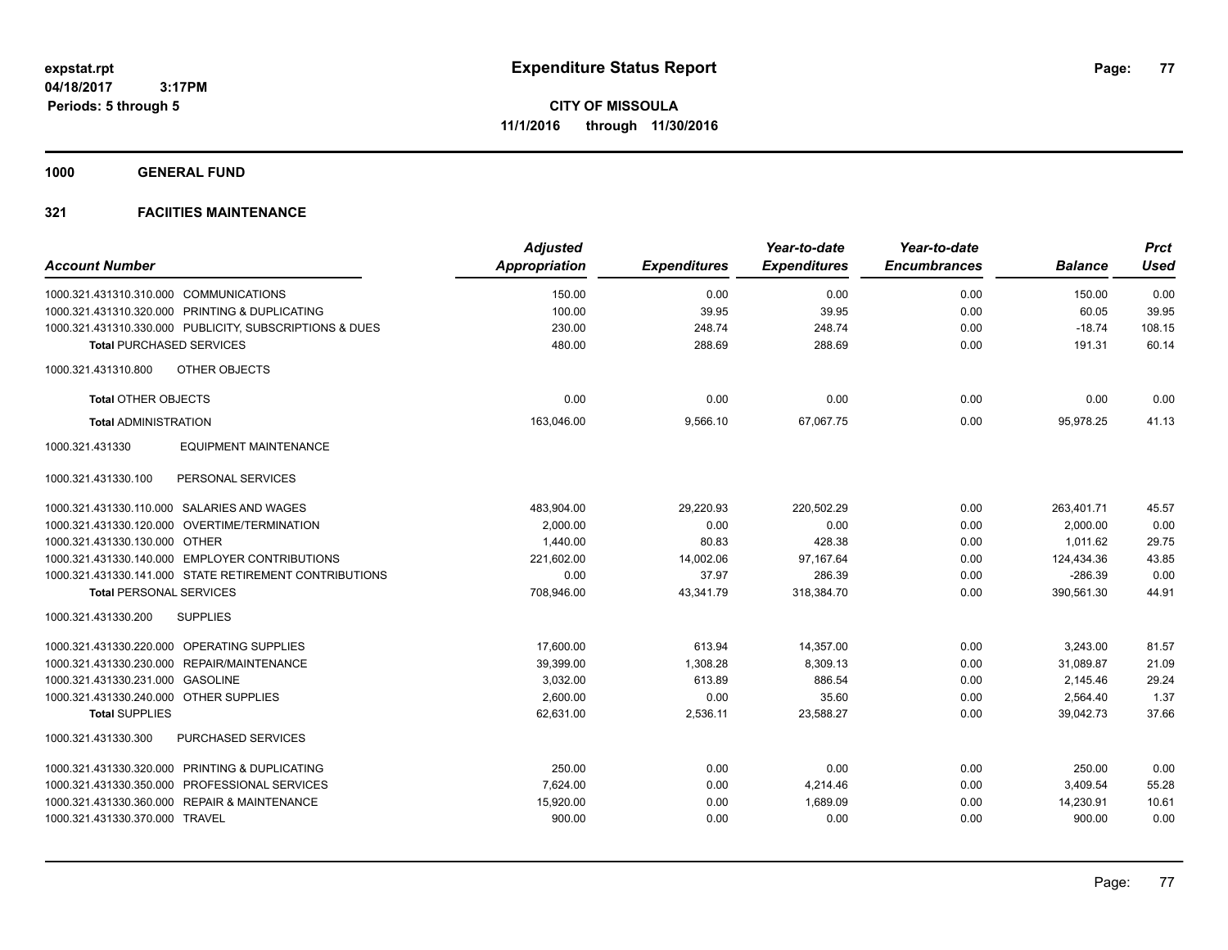**1000 GENERAL FUND**

|                                                            | <b>Adjusted</b>      |                     | Year-to-date        | Year-to-date<br><b>Encumbrances</b> |                | <b>Prct</b><br><b>Used</b> |
|------------------------------------------------------------|----------------------|---------------------|---------------------|-------------------------------------|----------------|----------------------------|
| <b>Account Number</b>                                      | <b>Appropriation</b> | <b>Expenditures</b> | <b>Expenditures</b> |                                     | <b>Balance</b> |                            |
| 1000.321.431310.310.000 COMMUNICATIONS                     | 150.00               | 0.00                | 0.00                | 0.00                                | 150.00         | 0.00                       |
| 1000.321.431310.320.000 PRINTING & DUPLICATING             | 100.00               | 39.95               | 39.95               | 0.00                                | 60.05          | 39.95                      |
| 1000.321.431310.330.000 PUBLICITY, SUBSCRIPTIONS & DUES    | 230.00               | 248.74              | 248.74              | 0.00                                | $-18.74$       | 108.15                     |
| <b>Total PURCHASED SERVICES</b>                            | 480.00               | 288.69              | 288.69              | 0.00                                | 191.31         | 60.14                      |
| OTHER OBJECTS<br>1000.321.431310.800                       |                      |                     |                     |                                     |                |                            |
| <b>Total OTHER OBJECTS</b>                                 | 0.00                 | 0.00                | 0.00                | 0.00                                | 0.00           | 0.00                       |
| <b>Total ADMINISTRATION</b>                                | 163,046.00           | 9,566.10            | 67,067.75           | 0.00                                | 95,978.25      | 41.13                      |
| 1000.321.431330<br><b>EQUIPMENT MAINTENANCE</b>            |                      |                     |                     |                                     |                |                            |
| 1000.321.431330.100<br>PERSONAL SERVICES                   |                      |                     |                     |                                     |                |                            |
| 1000.321.431330.110.000 SALARIES AND WAGES                 | 483,904.00           | 29,220.93           | 220,502.29          | 0.00                                | 263,401.71     | 45.57                      |
| 1000.321.431330.120.000 OVERTIME/TERMINATION               | 2.000.00             | 0.00                | 0.00                | 0.00                                | 2,000.00       | 0.00                       |
| 1000.321.431330.130.000 OTHER                              | 1,440.00             | 80.83               | 428.38              | 0.00                                | 1,011.62       | 29.75                      |
| 1000.321.431330.140.000 EMPLOYER CONTRIBUTIONS             | 221,602.00           | 14,002.06           | 97,167.64           | 0.00                                | 124,434.36     | 43.85                      |
| 1000.321.431330.141.000 STATE RETIREMENT CONTRIBUTIONS     | 0.00                 | 37.97               | 286.39              | 0.00                                | $-286.39$      | 0.00                       |
| <b>Total PERSONAL SERVICES</b>                             | 708,946.00           | 43,341.79           | 318,384.70          | 0.00                                | 390,561.30     | 44.91                      |
| 1000.321.431330.200<br><b>SUPPLIES</b>                     |                      |                     |                     |                                     |                |                            |
| 1000.321.431330.220.000 OPERATING SUPPLIES                 | 17.600.00            | 613.94              | 14,357.00           | 0.00                                | 3.243.00       | 81.57                      |
| 1000.321.431330.230.000 REPAIR/MAINTENANCE                 | 39.399.00            | 1,308.28            | 8.309.13            | 0.00                                | 31.089.87      | 21.09                      |
| 1000.321.431330.231.000<br><b>GASOLINE</b>                 | 3,032.00             | 613.89              | 886.54              | 0.00                                | 2,145.46       | 29.24                      |
| 1000.321.431330.240.000 OTHER SUPPLIES                     | 2,600.00             | 0.00                | 35.60               | 0.00                                | 2,564.40       | 1.37                       |
| <b>Total SUPPLIES</b>                                      | 62,631.00            | 2,536.11            | 23,588.27           | 0.00                                | 39,042.73      | 37.66                      |
| PURCHASED SERVICES<br>1000.321.431330.300                  |                      |                     |                     |                                     |                |                            |
| 1000.321.431330.320.000 PRINTING & DUPLICATING             | 250.00               | 0.00                | 0.00                | 0.00                                | 250.00         | 0.00                       |
| 1000.321.431330.350.000 PROFESSIONAL SERVICES              | 7,624.00             | 0.00                | 4,214.46            | 0.00                                | 3,409.54       | 55.28                      |
| 1000.321.431330.360.000<br><b>REPAIR &amp; MAINTENANCE</b> | 15,920.00            | 0.00                | 1,689.09            | 0.00                                | 14,230.91      | 10.61                      |
| 1000.321.431330.370.000 TRAVEL                             | 900.00               | 0.00                | 0.00                | 0.00                                | 900.00         | 0.00                       |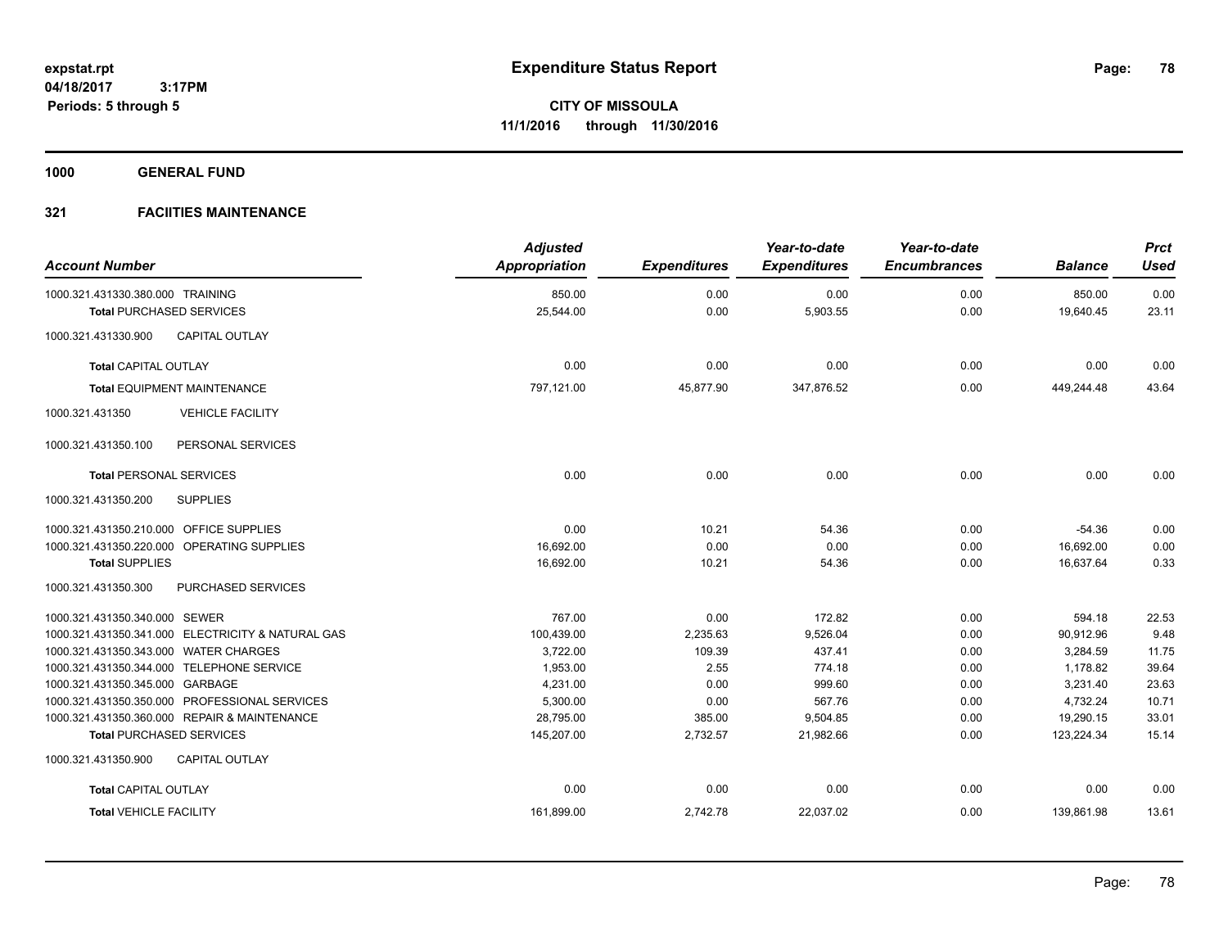**1000 GENERAL FUND**

| <b>Account Number</b>                                               |                                                   | <b>Adjusted</b><br>Appropriation | <b>Expenditures</b> | Year-to-date<br><b>Expenditures</b> | Year-to-date<br><b>Encumbrances</b> | <b>Balance</b>      | <b>Prct</b><br><b>Used</b> |
|---------------------------------------------------------------------|---------------------------------------------------|----------------------------------|---------------------|-------------------------------------|-------------------------------------|---------------------|----------------------------|
| 1000.321.431330.380.000 TRAINING<br><b>Total PURCHASED SERVICES</b> |                                                   | 850.00<br>25,544.00              | 0.00<br>0.00        | 0.00<br>5,903.55                    | 0.00<br>0.00                        | 850.00<br>19,640.45 | 0.00<br>23.11              |
| 1000.321.431330.900                                                 | <b>CAPITAL OUTLAY</b>                             |                                  |                     |                                     |                                     |                     |                            |
|                                                                     |                                                   |                                  |                     |                                     |                                     |                     |                            |
| <b>Total CAPITAL OUTLAY</b>                                         |                                                   | 0.00                             | 0.00                | 0.00                                | 0.00                                | 0.00                | 0.00                       |
|                                                                     | <b>Total EQUIPMENT MAINTENANCE</b>                | 797,121.00                       | 45,877.90           | 347,876.52                          | 0.00                                | 449,244.48          | 43.64                      |
| 1000.321.431350                                                     | <b>VEHICLE FACILITY</b>                           |                                  |                     |                                     |                                     |                     |                            |
| 1000.321.431350.100                                                 | PERSONAL SERVICES                                 |                                  |                     |                                     |                                     |                     |                            |
| <b>Total PERSONAL SERVICES</b>                                      |                                                   | 0.00                             | 0.00                | 0.00                                | 0.00                                | 0.00                | 0.00                       |
| 1000.321.431350.200                                                 | <b>SUPPLIES</b>                                   |                                  |                     |                                     |                                     |                     |                            |
| 1000.321.431350.210.000 OFFICE SUPPLIES                             |                                                   | 0.00                             | 10.21               | 54.36                               | 0.00                                | $-54.36$            | 0.00                       |
|                                                                     | 1000.321.431350.220.000 OPERATING SUPPLIES        | 16,692.00                        | 0.00                | 0.00                                | 0.00                                | 16,692.00           | 0.00                       |
| <b>Total SUPPLIES</b>                                               |                                                   | 16,692.00                        | 10.21               | 54.36                               | 0.00                                | 16,637.64           | 0.33                       |
| 1000.321.431350.300                                                 | PURCHASED SERVICES                                |                                  |                     |                                     |                                     |                     |                            |
| 1000.321.431350.340.000 SEWER                                       |                                                   | 767.00                           | 0.00                | 172.82                              | 0.00                                | 594.18              | 22.53                      |
|                                                                     | 1000.321.431350.341.000 ELECTRICITY & NATURAL GAS | 100,439.00                       | 2,235.63            | 9,526.04                            | 0.00                                | 90,912.96           | 9.48                       |
| 1000.321.431350.343.000 WATER CHARGES                               |                                                   | 3,722.00                         | 109.39              | 437.41                              | 0.00                                | 3,284.59            | 11.75                      |
|                                                                     | 1000.321.431350.344.000 TELEPHONE SERVICE         | 1,953.00                         | 2.55                | 774.18                              | 0.00                                | 1,178.82            | 39.64                      |
| 1000.321.431350.345.000 GARBAGE                                     |                                                   | 4,231.00                         | 0.00                | 999.60                              | 0.00                                | 3,231.40            | 23.63                      |
|                                                                     | 1000.321.431350.350.000 PROFESSIONAL SERVICES     | 5,300.00                         | 0.00                | 567.76                              | 0.00                                | 4,732.24            | 10.71                      |
|                                                                     | 1000.321.431350.360.000 REPAIR & MAINTENANCE      | 28,795.00                        | 385.00              | 9,504.85                            | 0.00                                | 19,290.15           | 33.01                      |
| <b>Total PURCHASED SERVICES</b>                                     |                                                   | 145,207.00                       | 2,732.57            | 21,982.66                           | 0.00                                | 123,224.34          | 15.14                      |
| 1000.321.431350.900                                                 | <b>CAPITAL OUTLAY</b>                             |                                  |                     |                                     |                                     |                     |                            |
| <b>Total CAPITAL OUTLAY</b>                                         |                                                   | 0.00                             | 0.00                | 0.00                                | 0.00                                | 0.00                | 0.00                       |
| <b>Total VEHICLE FACILITY</b>                                       |                                                   | 161,899.00                       | 2,742.78            | 22,037.02                           | 0.00                                | 139,861.98          | 13.61                      |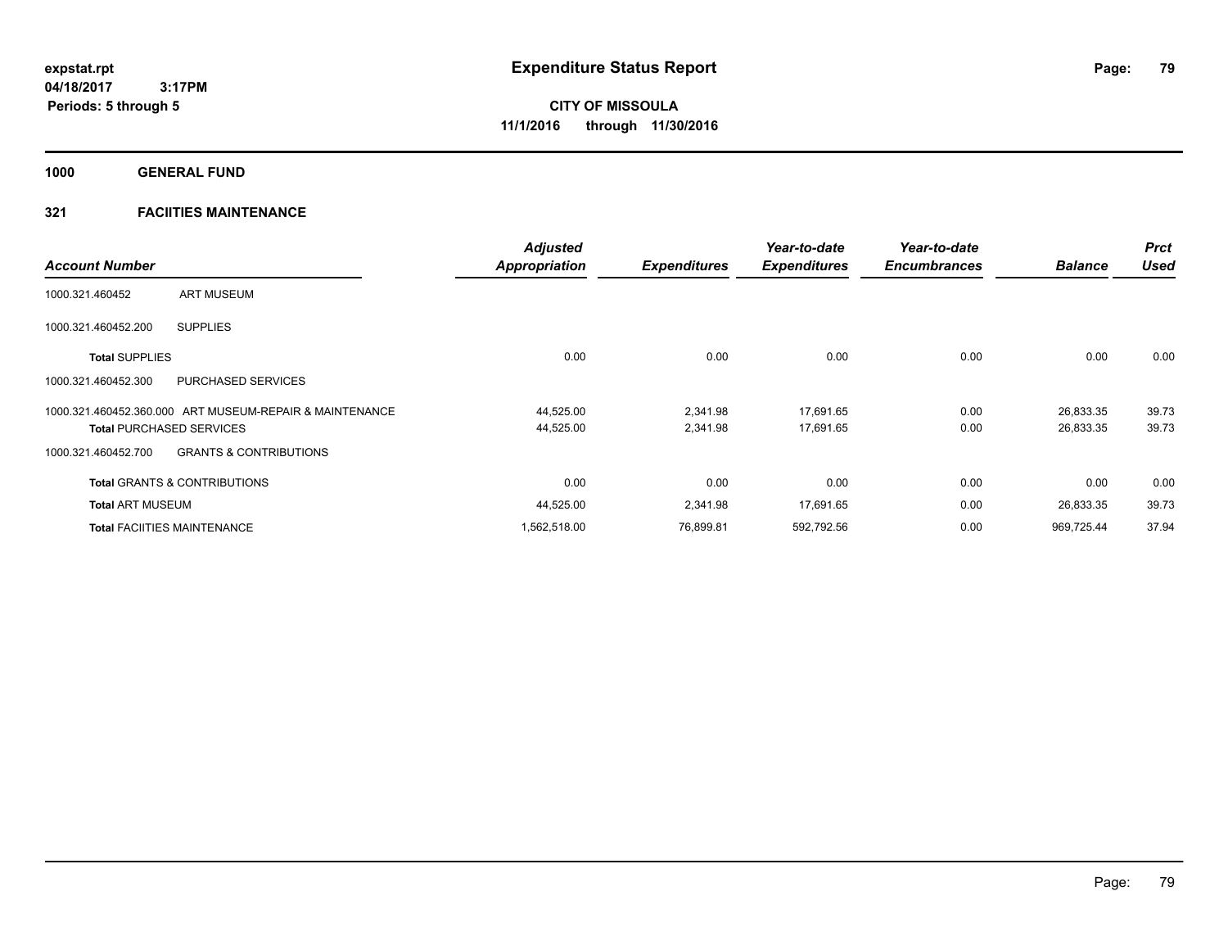**1000 GENERAL FUND**

| <b>Account Number</b>           |                                                         | <b>Adjusted</b><br><b>Appropriation</b> | <b>Expenditures</b>  | Year-to-date<br><b>Expenditures</b> | Year-to-date<br><b>Encumbrances</b> | <b>Balance</b>         | <b>Prct</b><br><b>Used</b> |
|---------------------------------|---------------------------------------------------------|-----------------------------------------|----------------------|-------------------------------------|-------------------------------------|------------------------|----------------------------|
| 1000.321.460452                 | <b>ART MUSEUM</b>                                       |                                         |                      |                                     |                                     |                        |                            |
| 1000.321.460452.200             | <b>SUPPLIES</b>                                         |                                         |                      |                                     |                                     |                        |                            |
| <b>Total SUPPLIES</b>           |                                                         | 0.00                                    | 0.00                 | 0.00                                | 0.00                                | 0.00                   | 0.00                       |
| 1000.321.460452.300             | <b>PURCHASED SERVICES</b>                               |                                         |                      |                                     |                                     |                        |                            |
| <b>Total PURCHASED SERVICES</b> | 1000.321.460452.360.000 ART MUSEUM-REPAIR & MAINTENANCE | 44,525.00<br>44,525.00                  | 2,341.98<br>2,341.98 | 17,691.65<br>17,691.65              | 0.00<br>0.00                        | 26,833.35<br>26,833.35 | 39.73<br>39.73             |
| 1000.321.460452.700             | <b>GRANTS &amp; CONTRIBUTIONS</b>                       |                                         |                      |                                     |                                     |                        |                            |
|                                 | <b>Total GRANTS &amp; CONTRIBUTIONS</b>                 | 0.00                                    | 0.00                 | 0.00                                | 0.00                                | 0.00                   | 0.00                       |
| <b>Total ART MUSEUM</b>         |                                                         | 44,525.00                               | 2,341.98             | 17,691.65                           | 0.00                                | 26,833.35              | 39.73                      |
|                                 | <b>Total FACIITIES MAINTENANCE</b>                      | 1,562,518.00                            | 76,899.81            | 592,792.56                          | 0.00                                | 969,725.44             | 37.94                      |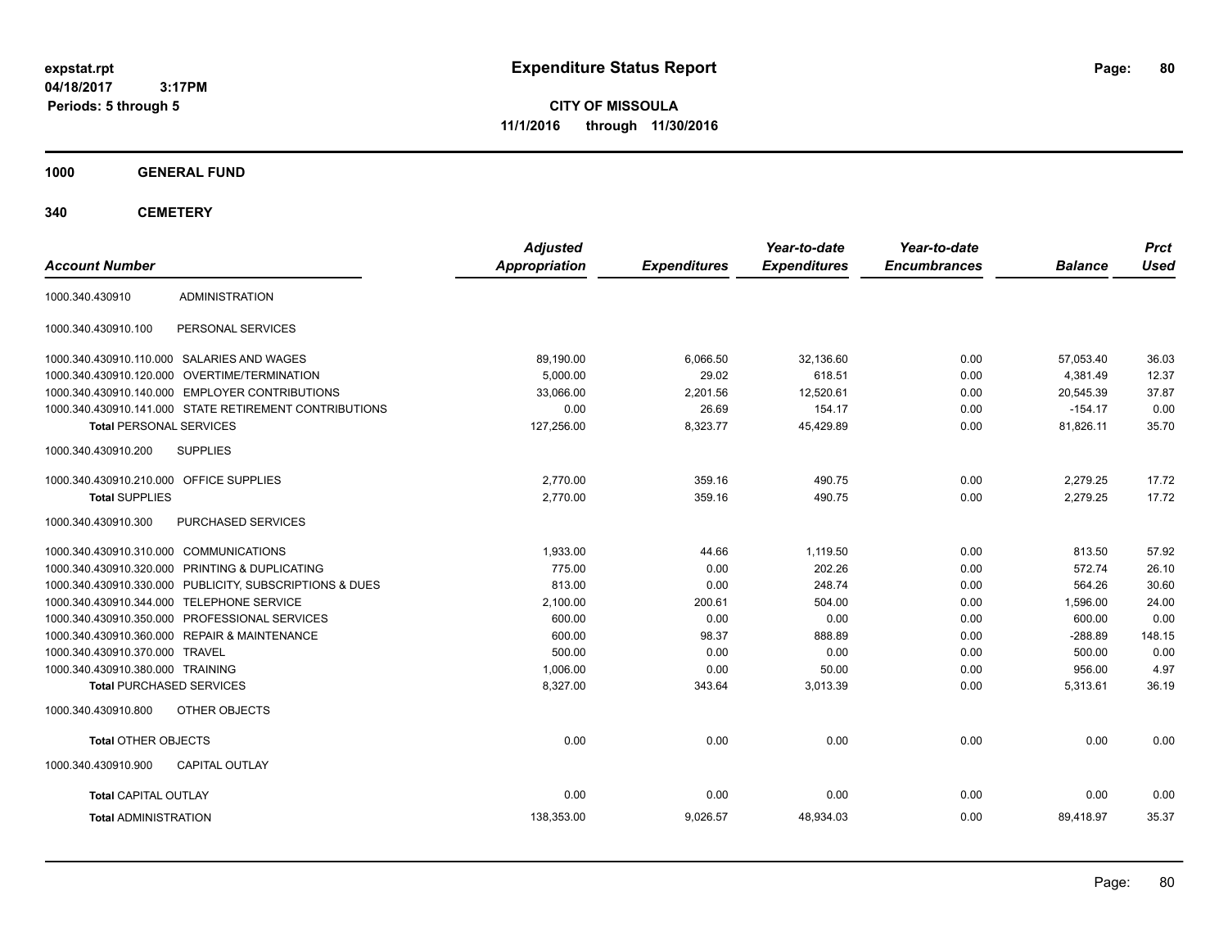**CITY OF MISSOULA 11/1/2016 through 11/30/2016**

**1000 GENERAL FUND**

**340 CEMETERY**

| <b>Account Number</b>                   |                                                         | <b>Adjusted</b><br>Appropriation | <b>Expenditures</b> | Year-to-date<br><b>Expenditures</b> | Year-to-date<br><b>Encumbrances</b> | <b>Balance</b> | <b>Prct</b><br><b>Used</b> |
|-----------------------------------------|---------------------------------------------------------|----------------------------------|---------------------|-------------------------------------|-------------------------------------|----------------|----------------------------|
| 1000.340.430910                         | <b>ADMINISTRATION</b>                                   |                                  |                     |                                     |                                     |                |                            |
| 1000.340.430910.100                     | PERSONAL SERVICES                                       |                                  |                     |                                     |                                     |                |                            |
|                                         | 1000.340.430910.110.000 SALARIES AND WAGES              | 89,190.00                        | 6,066.50            | 32,136.60                           | 0.00                                | 57,053.40      | 36.03                      |
|                                         | 1000.340.430910.120.000 OVERTIME/TERMINATION            | 5,000.00                         | 29.02               | 618.51                              | 0.00                                | 4,381.49       | 12.37                      |
|                                         | 1000.340.430910.140.000 EMPLOYER CONTRIBUTIONS          | 33.066.00                        | 2,201.56            | 12,520.61                           | 0.00                                | 20,545.39      | 37.87                      |
|                                         | 1000.340.430910.141.000 STATE RETIREMENT CONTRIBUTIONS  | 0.00                             | 26.69               | 154.17                              | 0.00                                | $-154.17$      | 0.00                       |
| <b>Total PERSONAL SERVICES</b>          |                                                         | 127,256.00                       | 8,323.77            | 45,429.89                           | 0.00                                | 81,826.11      | 35.70                      |
| 1000.340.430910.200                     | <b>SUPPLIES</b>                                         |                                  |                     |                                     |                                     |                |                            |
| 1000.340.430910.210.000 OFFICE SUPPLIES |                                                         | 2.770.00                         | 359.16              | 490.75                              | 0.00                                | 2,279.25       | 17.72                      |
| <b>Total SUPPLIES</b>                   |                                                         | 2.770.00                         | 359.16              | 490.75                              | 0.00                                | 2,279.25       | 17.72                      |
| 1000.340.430910.300                     | PURCHASED SERVICES                                      |                                  |                     |                                     |                                     |                |                            |
| 1000.340.430910.310.000 COMMUNICATIONS  |                                                         | 1.933.00                         | 44.66               | 1.119.50                            | 0.00                                | 813.50         | 57.92                      |
|                                         | 1000.340.430910.320.000 PRINTING & DUPLICATING          | 775.00                           | 0.00                | 202.26                              | 0.00                                | 572.74         | 26.10                      |
|                                         | 1000.340.430910.330.000 PUBLICITY, SUBSCRIPTIONS & DUES | 813.00                           | 0.00                | 248.74                              | 0.00                                | 564.26         | 30.60                      |
|                                         | 1000.340.430910.344.000 TELEPHONE SERVICE               | 2,100.00                         | 200.61              | 504.00                              | 0.00                                | 1,596.00       | 24.00                      |
|                                         | 1000.340.430910.350.000 PROFESSIONAL SERVICES           | 600.00                           | 0.00                | 0.00                                | 0.00                                | 600.00         | 0.00                       |
|                                         | 1000.340.430910.360.000 REPAIR & MAINTENANCE            | 600.00                           | 98.37               | 888.89                              | 0.00                                | $-288.89$      | 148.15                     |
| 1000.340.430910.370.000 TRAVEL          |                                                         | 500.00                           | 0.00                | 0.00                                | 0.00                                | 500.00         | 0.00                       |
| 1000.340.430910.380.000 TRAINING        |                                                         | 1,006.00                         | 0.00                | 50.00                               | 0.00                                | 956.00         | 4.97                       |
| <b>Total PURCHASED SERVICES</b>         |                                                         | 8,327.00                         | 343.64              | 3,013.39                            | 0.00                                | 5,313.61       | 36.19                      |
| 1000.340.430910.800                     | OTHER OBJECTS                                           |                                  |                     |                                     |                                     |                |                            |
| <b>Total OTHER OBJECTS</b>              |                                                         | 0.00                             | 0.00                | 0.00                                | 0.00                                | 0.00           | 0.00                       |
| 1000.340.430910.900                     | <b>CAPITAL OUTLAY</b>                                   |                                  |                     |                                     |                                     |                |                            |
| <b>Total CAPITAL OUTLAY</b>             |                                                         | 0.00                             | 0.00                | 0.00                                | 0.00                                | 0.00           | 0.00                       |
| <b>Total ADMINISTRATION</b>             |                                                         | 138,353.00                       | 9,026.57            | 48,934.03                           | 0.00                                | 89,418.97      | 35.37                      |
|                                         |                                                         |                                  |                     |                                     |                                     |                |                            |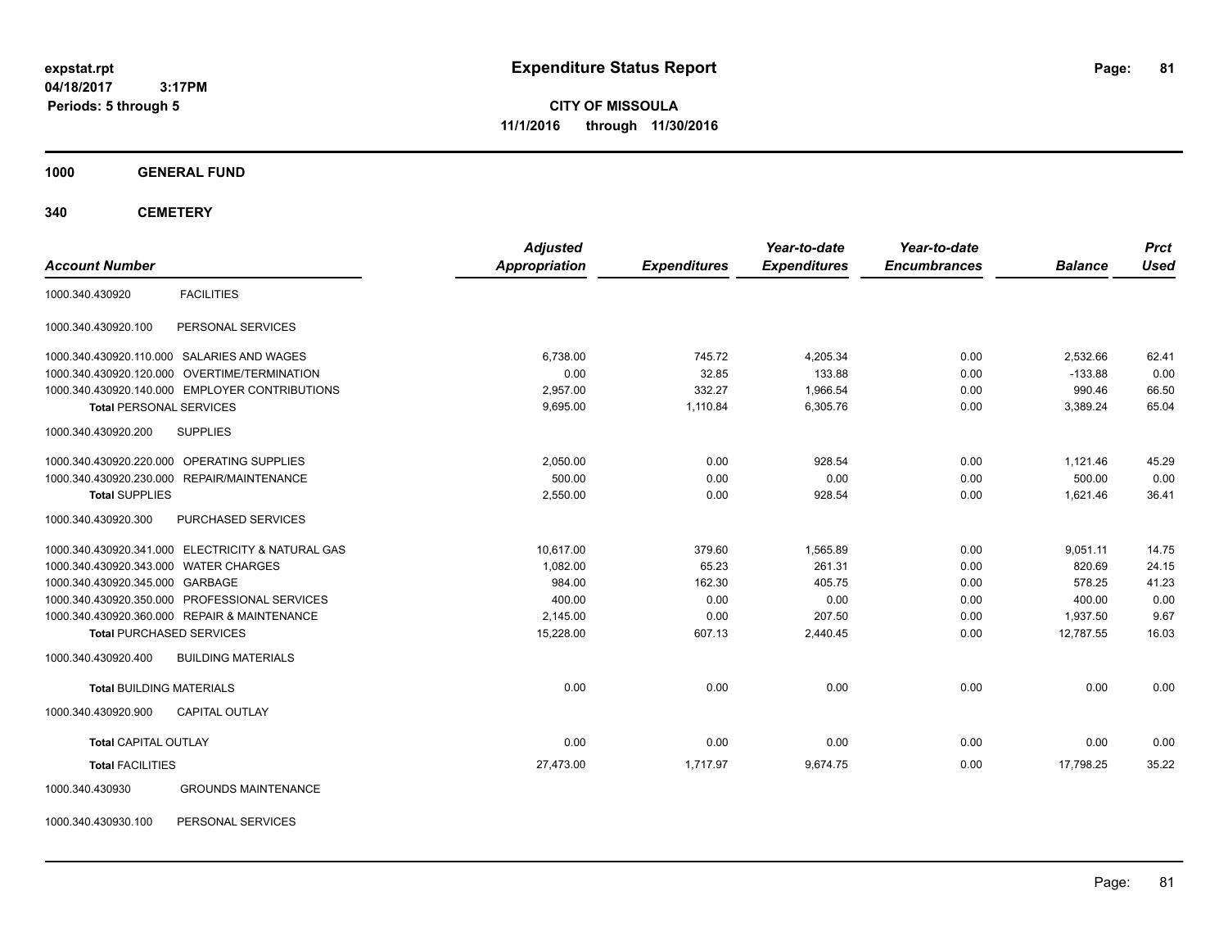**CITY OF MISSOULA 11/1/2016 through 11/30/2016**

#### **1000 GENERAL FUND**

**340 CEMETERY**

| <b>Account Number</b>                      |                                                   | <b>Adjusted</b><br>Appropriation |                     | Year-to-date<br><b>Expenditures</b> | Year-to-date<br><b>Encumbrances</b> | <b>Balance</b> | <b>Prct</b><br><b>Used</b> |
|--------------------------------------------|---------------------------------------------------|----------------------------------|---------------------|-------------------------------------|-------------------------------------|----------------|----------------------------|
|                                            |                                                   |                                  | <b>Expenditures</b> |                                     |                                     |                |                            |
| 1000.340.430920                            | <b>FACILITIES</b>                                 |                                  |                     |                                     |                                     |                |                            |
| 1000.340.430920.100                        | PERSONAL SERVICES                                 |                                  |                     |                                     |                                     |                |                            |
| 1000.340.430920.110.000 SALARIES AND WAGES |                                                   | 6.738.00                         | 745.72              | 4.205.34                            | 0.00                                | 2,532.66       | 62.41                      |
|                                            | 1000.340.430920.120.000 OVERTIME/TERMINATION      | 0.00                             | 32.85               | 133.88                              | 0.00                                | $-133.88$      | 0.00                       |
|                                            | 1000.340.430920.140.000 EMPLOYER CONTRIBUTIONS    | 2,957.00                         | 332.27              | 1,966.54                            | 0.00                                | 990.46         | 66.50                      |
| <b>Total PERSONAL SERVICES</b>             |                                                   | 9,695.00                         | 1,110.84            | 6,305.76                            | 0.00                                | 3,389.24       | 65.04                      |
| 1000.340.430920.200                        | <b>SUPPLIES</b>                                   |                                  |                     |                                     |                                     |                |                            |
| 1000.340.430920.220.000 OPERATING SUPPLIES |                                                   | 2,050.00                         | 0.00                | 928.54                              | 0.00                                | 1,121.46       | 45.29                      |
| 1000.340.430920.230.000 REPAIR/MAINTENANCE |                                                   | 500.00                           | 0.00                | 0.00                                | 0.00                                | 500.00         | 0.00                       |
| <b>Total SUPPLIES</b>                      |                                                   | 2,550.00                         | 0.00                | 928.54                              | 0.00                                | 1.621.46       | 36.41                      |
| 1000.340.430920.300                        | PURCHASED SERVICES                                |                                  |                     |                                     |                                     |                |                            |
|                                            | 1000.340.430920.341.000 ELECTRICITY & NATURAL GAS | 10.617.00                        | 379.60              | 1,565.89                            | 0.00                                | 9,051.11       | 14.75                      |
| 1000.340.430920.343.000 WATER CHARGES      |                                                   | 1,082.00                         | 65.23               | 261.31                              | 0.00                                | 820.69         | 24.15                      |
| 1000.340.430920.345.000 GARBAGE            |                                                   | 984.00                           | 162.30              | 405.75                              | 0.00                                | 578.25         | 41.23                      |
|                                            | 1000.340.430920.350.000 PROFESSIONAL SERVICES     | 400.00                           | 0.00                | 0.00                                | 0.00                                | 400.00         | 0.00                       |
|                                            | 1000.340.430920.360.000 REPAIR & MAINTENANCE      | 2,145.00                         | 0.00                | 207.50                              | 0.00                                | 1,937.50       | 9.67                       |
| <b>Total PURCHASED SERVICES</b>            |                                                   | 15,228.00                        | 607.13              | 2,440.45                            | 0.00                                | 12.787.55      | 16.03                      |
| 1000.340.430920.400                        | <b>BUILDING MATERIALS</b>                         |                                  |                     |                                     |                                     |                |                            |
| <b>Total BUILDING MATERIALS</b>            |                                                   | 0.00                             | 0.00                | 0.00                                | 0.00                                | 0.00           | 0.00                       |
| 1000.340.430920.900                        | <b>CAPITAL OUTLAY</b>                             |                                  |                     |                                     |                                     |                |                            |
| <b>Total CAPITAL OUTLAY</b>                |                                                   | 0.00                             | 0.00                | 0.00                                | 0.00                                | 0.00           | 0.00                       |
| <b>Total FACILITIES</b>                    |                                                   | 27,473.00                        | 1,717.97            | 9,674.75                            | 0.00                                | 17,798.25      | 35.22                      |
| 1000.340.430930                            | <b>GROUNDS MAINTENANCE</b>                        |                                  |                     |                                     |                                     |                |                            |

1000.340.430930.100 PERSONAL SERVICES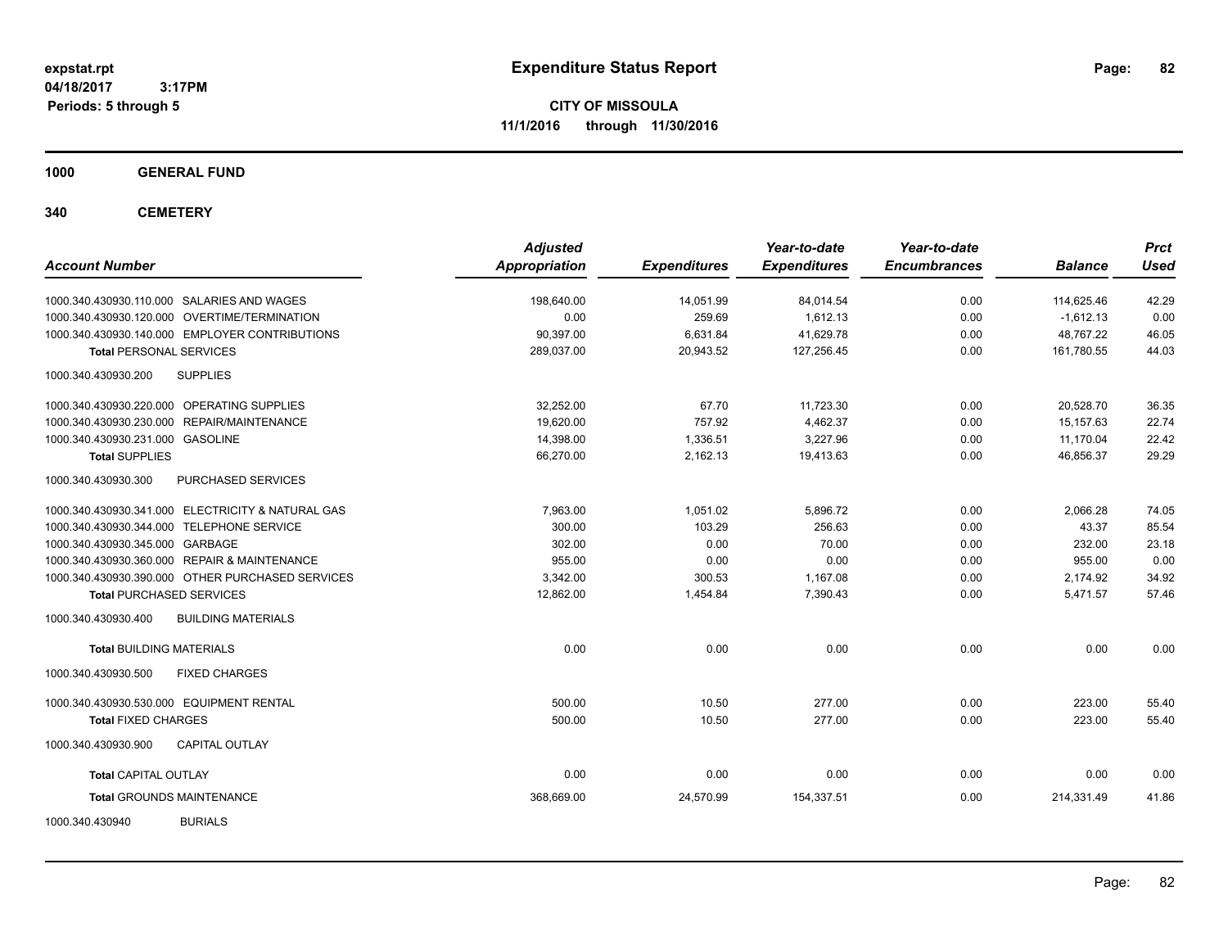**CITY OF MISSOULA 11/1/2016 through 11/30/2016**

**1000 GENERAL FUND**

**340 CEMETERY**

| <b>Account Number</b>                             | <b>Adjusted</b><br>Appropriation | <b>Expenditures</b> | Year-to-date<br><b>Expenditures</b> | Year-to-date<br><b>Encumbrances</b> | <b>Balance</b> | <b>Prct</b><br><b>Used</b> |
|---------------------------------------------------|----------------------------------|---------------------|-------------------------------------|-------------------------------------|----------------|----------------------------|
| 1000.340.430930.110.000 SALARIES AND WAGES        | 198,640.00                       | 14,051.99           | 84,014.54                           | 0.00                                | 114.625.46     | 42.29                      |
| 1000.340.430930.120.000 OVERTIME/TERMINATION      | 0.00                             | 259.69              | 1,612.13                            | 0.00                                | $-1,612.13$    | 0.00                       |
| 1000.340.430930.140.000 EMPLOYER CONTRIBUTIONS    | 90,397.00                        | 6,631.84            | 41,629.78                           | 0.00                                | 48,767.22      | 46.05                      |
| <b>Total PERSONAL SERVICES</b>                    | 289,037.00                       | 20,943.52           | 127,256.45                          | 0.00                                | 161,780.55     | 44.03                      |
| <b>SUPPLIES</b><br>1000.340.430930.200            |                                  |                     |                                     |                                     |                |                            |
| 1000.340.430930.220.000 OPERATING SUPPLIES        | 32.252.00                        | 67.70               | 11,723.30                           | 0.00                                | 20.528.70      | 36.35                      |
| 1000.340.430930.230.000 REPAIR/MAINTENANCE        | 19.620.00                        | 757.92              | 4,462.37                            | 0.00                                | 15.157.63      | 22.74                      |
| 1000.340.430930.231.000 GASOLINE                  | 14,398.00                        | 1,336.51            | 3,227.96                            | 0.00                                | 11.170.04      | 22.42                      |
| <b>Total SUPPLIES</b>                             | 66.270.00                        | 2,162.13            | 19,413.63                           | 0.00                                | 46.856.37      | 29.29                      |
| 1000.340.430930.300<br>PURCHASED SERVICES         |                                  |                     |                                     |                                     |                |                            |
| 1000.340.430930.341.000 ELECTRICITY & NATURAL GAS | 7,963.00                         | 1,051.02            | 5,896.72                            | 0.00                                | 2,066.28       | 74.05                      |
| 1000.340.430930.344.000 TELEPHONE SERVICE         | 300.00                           | 103.29              | 256.63                              | 0.00                                | 43.37          | 85.54                      |
| 1000.340.430930.345.000 GARBAGE                   | 302.00                           | 0.00                | 70.00                               | 0.00                                | 232.00         | 23.18                      |
| 1000.340.430930.360.000 REPAIR & MAINTENANCE      | 955.00                           | 0.00                | 0.00                                | 0.00                                | 955.00         | 0.00                       |
| 1000.340.430930.390.000 OTHER PURCHASED SERVICES  | 3,342.00                         | 300.53              | 1,167.08                            | 0.00                                | 2,174.92       | 34.92                      |
| <b>Total PURCHASED SERVICES</b>                   | 12,862.00                        | 1,454.84            | 7,390.43                            | 0.00                                | 5,471.57       | 57.46                      |
| 1000.340.430930.400<br><b>BUILDING MATERIALS</b>  |                                  |                     |                                     |                                     |                |                            |
| <b>Total BUILDING MATERIALS</b>                   | 0.00                             | 0.00                | 0.00                                | 0.00                                | 0.00           | 0.00                       |
| 1000.340.430930.500<br><b>FIXED CHARGES</b>       |                                  |                     |                                     |                                     |                |                            |
| 1000.340.430930.530.000 EQUIPMENT RENTAL          | 500.00                           | 10.50               | 277.00                              | 0.00                                | 223.00         | 55.40                      |
| <b>Total FIXED CHARGES</b>                        | 500.00                           | 10.50               | 277.00                              | 0.00                                | 223.00         | 55.40                      |
| <b>CAPITAL OUTLAY</b><br>1000.340.430930.900      |                                  |                     |                                     |                                     |                |                            |
| <b>Total CAPITAL OUTLAY</b>                       | 0.00                             | 0.00                | 0.00                                | 0.00                                | 0.00           | 0.00                       |
| <b>Total GROUNDS MAINTENANCE</b>                  | 368,669.00                       | 24,570.99           | 154,337.51                          | 0.00                                | 214,331.49     | 41.86                      |
| 1000.340.430940<br><b>BURIALS</b>                 |                                  |                     |                                     |                                     |                |                            |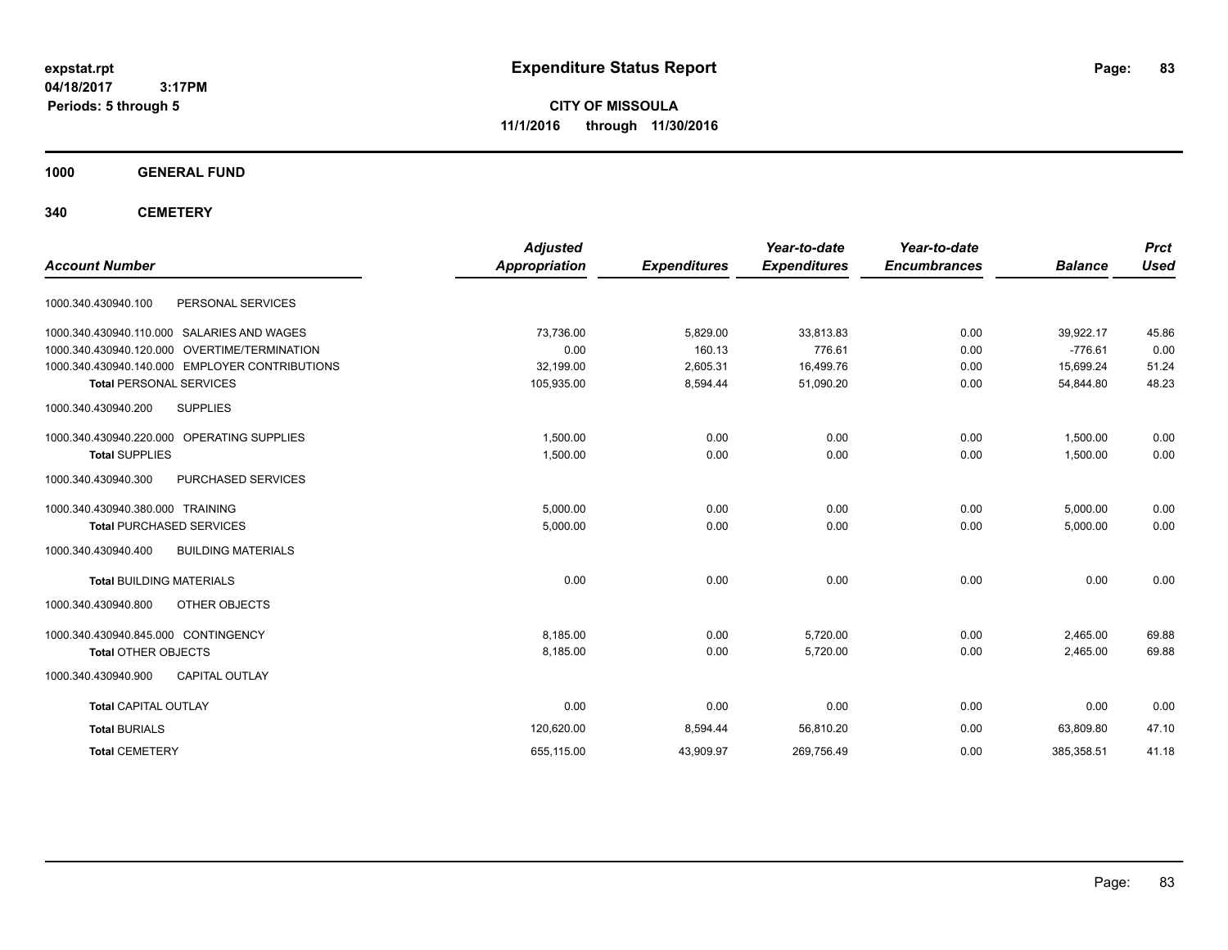**CITY OF MISSOULA 11/1/2016 through 11/30/2016**

**1000 GENERAL FUND**

**340 CEMETERY**

| <b>Account Number</b>                            | <b>Adjusted</b><br><b>Appropriation</b> | <b>Expenditures</b> | Year-to-date<br><b>Expenditures</b> | Year-to-date<br><b>Encumbrances</b> | <b>Balance</b> | <b>Prct</b><br><b>Used</b> |
|--------------------------------------------------|-----------------------------------------|---------------------|-------------------------------------|-------------------------------------|----------------|----------------------------|
|                                                  |                                         |                     |                                     |                                     |                |                            |
| 1000.340.430940.100<br>PERSONAL SERVICES         |                                         |                     |                                     |                                     |                |                            |
| 1000.340.430940.110.000 SALARIES AND WAGES       | 73.736.00                               | 5,829.00            | 33.813.83                           | 0.00                                | 39,922.17      | 45.86                      |
| 1000.340.430940.120.000 OVERTIME/TERMINATION     | 0.00                                    | 160.13              | 776.61                              | 0.00                                | $-776.61$      | 0.00                       |
| 1000.340.430940.140.000 EMPLOYER CONTRIBUTIONS   | 32,199.00                               | 2,605.31            | 16,499.76                           | 0.00                                | 15.699.24      | 51.24                      |
| <b>Total PERSONAL SERVICES</b>                   | 105,935.00                              | 8,594.44            | 51,090.20                           | 0.00                                | 54,844.80      | 48.23                      |
| <b>SUPPLIES</b><br>1000.340.430940.200           |                                         |                     |                                     |                                     |                |                            |
| 1000.340.430940.220.000 OPERATING SUPPLIES       | 1.500.00                                | 0.00                | 0.00                                | 0.00                                | 1.500.00       | 0.00                       |
| <b>Total SUPPLIES</b>                            | 1,500.00                                | 0.00                | 0.00                                | 0.00                                | 1,500.00       | 0.00                       |
| 1000.340.430940.300<br>PURCHASED SERVICES        |                                         |                     |                                     |                                     |                |                            |
| 1000.340.430940.380.000 TRAINING                 | 5,000.00                                | 0.00                | 0.00                                | 0.00                                | 5,000.00       | 0.00                       |
| <b>Total PURCHASED SERVICES</b>                  | 5,000.00                                | 0.00                | 0.00                                | 0.00                                | 5,000.00       | 0.00                       |
| 1000.340.430940.400<br><b>BUILDING MATERIALS</b> |                                         |                     |                                     |                                     |                |                            |
| <b>Total BUILDING MATERIALS</b>                  | 0.00                                    | 0.00                | 0.00                                | 0.00                                | 0.00           | 0.00                       |
| 1000.340.430940.800<br>OTHER OBJECTS             |                                         |                     |                                     |                                     |                |                            |
| 1000.340.430940.845.000 CONTINGENCY              | 8.185.00                                | 0.00                | 5.720.00                            | 0.00                                | 2,465.00       | 69.88                      |
| <b>Total OTHER OBJECTS</b>                       | 8,185.00                                | 0.00                | 5,720.00                            | 0.00                                | 2,465.00       | 69.88                      |
| 1000.340.430940.900<br><b>CAPITAL OUTLAY</b>     |                                         |                     |                                     |                                     |                |                            |
| <b>Total CAPITAL OUTLAY</b>                      | 0.00                                    | 0.00                | 0.00                                | 0.00                                | 0.00           | 0.00                       |
| <b>Total BURIALS</b>                             | 120,620.00                              | 8,594.44            | 56,810.20                           | 0.00                                | 63.809.80      | 47.10                      |
| <b>Total CEMETERY</b>                            | 655,115.00                              | 43,909.97           | 269,756.49                          | 0.00                                | 385,358.51     | 41.18                      |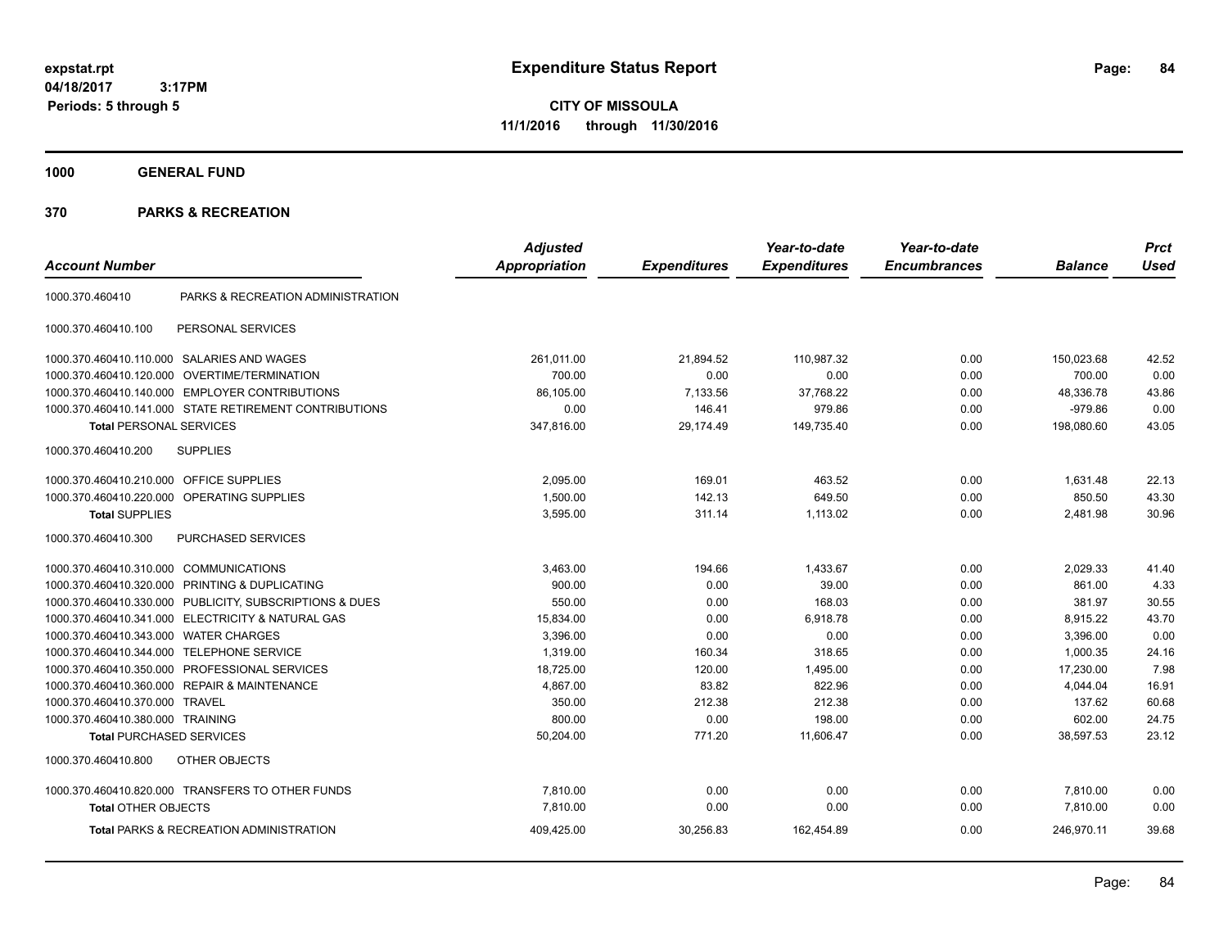**CITY OF MISSOULA 11/1/2016 through 11/30/2016**

**1000 GENERAL FUND**

|                                         |                                                         | <b>Adjusted</b>      |                     | Year-to-date        | Year-to-date        |                | <b>Prct</b> |
|-----------------------------------------|---------------------------------------------------------|----------------------|---------------------|---------------------|---------------------|----------------|-------------|
| <b>Account Number</b>                   |                                                         | <b>Appropriation</b> | <b>Expenditures</b> | <b>Expenditures</b> | <b>Encumbrances</b> | <b>Balance</b> | <b>Used</b> |
| 1000.370.460410                         | PARKS & RECREATION ADMINISTRATION                       |                      |                     |                     |                     |                |             |
| 1000.370.460410.100                     | PERSONAL SERVICES                                       |                      |                     |                     |                     |                |             |
|                                         | 1000.370.460410.110.000 SALARIES AND WAGES              | 261,011.00           | 21,894.52           | 110,987.32          | 0.00                | 150,023.68     | 42.52       |
| 1000.370.460410.120.000                 | OVERTIME/TERMINATION                                    | 700.00               | 0.00                | 0.00                | 0.00                | 700.00         | 0.00        |
|                                         | 1000.370.460410.140.000 EMPLOYER CONTRIBUTIONS          | 86,105.00            | 7,133.56            | 37,768.22           | 0.00                | 48,336.78      | 43.86       |
|                                         | 1000.370.460410.141.000 STATE RETIREMENT CONTRIBUTIONS  | 0.00                 | 146.41              | 979.86              | 0.00                | $-979.86$      | 0.00        |
| <b>Total PERSONAL SERVICES</b>          |                                                         | 347,816.00           | 29,174.49           | 149,735.40          | 0.00                | 198,080.60     | 43.05       |
| 1000.370.460410.200                     | <b>SUPPLIES</b>                                         |                      |                     |                     |                     |                |             |
| 1000.370.460410.210.000 OFFICE SUPPLIES |                                                         | 2,095.00             | 169.01              | 463.52              | 0.00                | 1,631.48       | 22.13       |
|                                         | 1000.370.460410.220.000 OPERATING SUPPLIES              | 1,500.00             | 142.13              | 649.50              | 0.00                | 850.50         | 43.30       |
| <b>Total SUPPLIES</b>                   |                                                         | 3,595.00             | 311.14              | 1,113.02            | 0.00                | 2,481.98       | 30.96       |
| 1000.370.460410.300                     | PURCHASED SERVICES                                      |                      |                     |                     |                     |                |             |
| 1000.370.460410.310.000                 | <b>COMMUNICATIONS</b>                                   | 3,463.00             | 194.66              | 1,433.67            | 0.00                | 2,029.33       | 41.40       |
| 1000.370.460410.320.000                 | PRINTING & DUPLICATING                                  | 900.00               | 0.00                | 39.00               | 0.00                | 861.00         | 4.33        |
|                                         | 1000.370.460410.330.000 PUBLICITY, SUBSCRIPTIONS & DUES | 550.00               | 0.00                | 168.03              | 0.00                | 381.97         | 30.55       |
|                                         | 1000.370.460410.341.000 ELECTRICITY & NATURAL GAS       | 15,834.00            | 0.00                | 6,918.78            | 0.00                | 8,915.22       | 43.70       |
| 1000.370.460410.343.000                 | <b>WATER CHARGES</b>                                    | 3,396.00             | 0.00                | 0.00                | 0.00                | 3,396.00       | 0.00        |
| 1000.370.460410.344.000                 | <b>TELEPHONE SERVICE</b>                                | 1,319.00             | 160.34              | 318.65              | 0.00                | 1,000.35       | 24.16       |
| 1000.370.460410.350.000                 | PROFESSIONAL SERVICES                                   | 18,725.00            | 120.00              | 1,495.00            | 0.00                | 17,230.00      | 7.98        |
|                                         | 1000.370.460410.360.000 REPAIR & MAINTENANCE            | 4,867.00             | 83.82               | 822.96              | 0.00                | 4,044.04       | 16.91       |
| 1000.370.460410.370.000                 | <b>TRAVEL</b>                                           | 350.00               | 212.38              | 212.38              | 0.00                | 137.62         | 60.68       |
| 1000.370.460410.380.000 TRAINING        |                                                         | 800.00               | 0.00                | 198.00              | 0.00                | 602.00         | 24.75       |
| <b>Total PURCHASED SERVICES</b>         |                                                         | 50,204.00            | 771.20              | 11,606.47           | 0.00                | 38,597.53      | 23.12       |
| 1000.370.460410.800                     | OTHER OBJECTS                                           |                      |                     |                     |                     |                |             |
|                                         | 1000.370.460410.820.000 TRANSFERS TO OTHER FUNDS        | 7,810.00             | 0.00                | 0.00                | 0.00                | 7,810.00       | 0.00        |
| <b>Total OTHER OBJECTS</b>              |                                                         | 7,810.00             | 0.00                | 0.00                | 0.00                | 7,810.00       | 0.00        |
|                                         | <b>Total PARKS &amp; RECREATION ADMINISTRATION</b>      | 409,425.00           | 30,256.83           | 162,454.89          | 0.00                | 246,970.11     | 39.68       |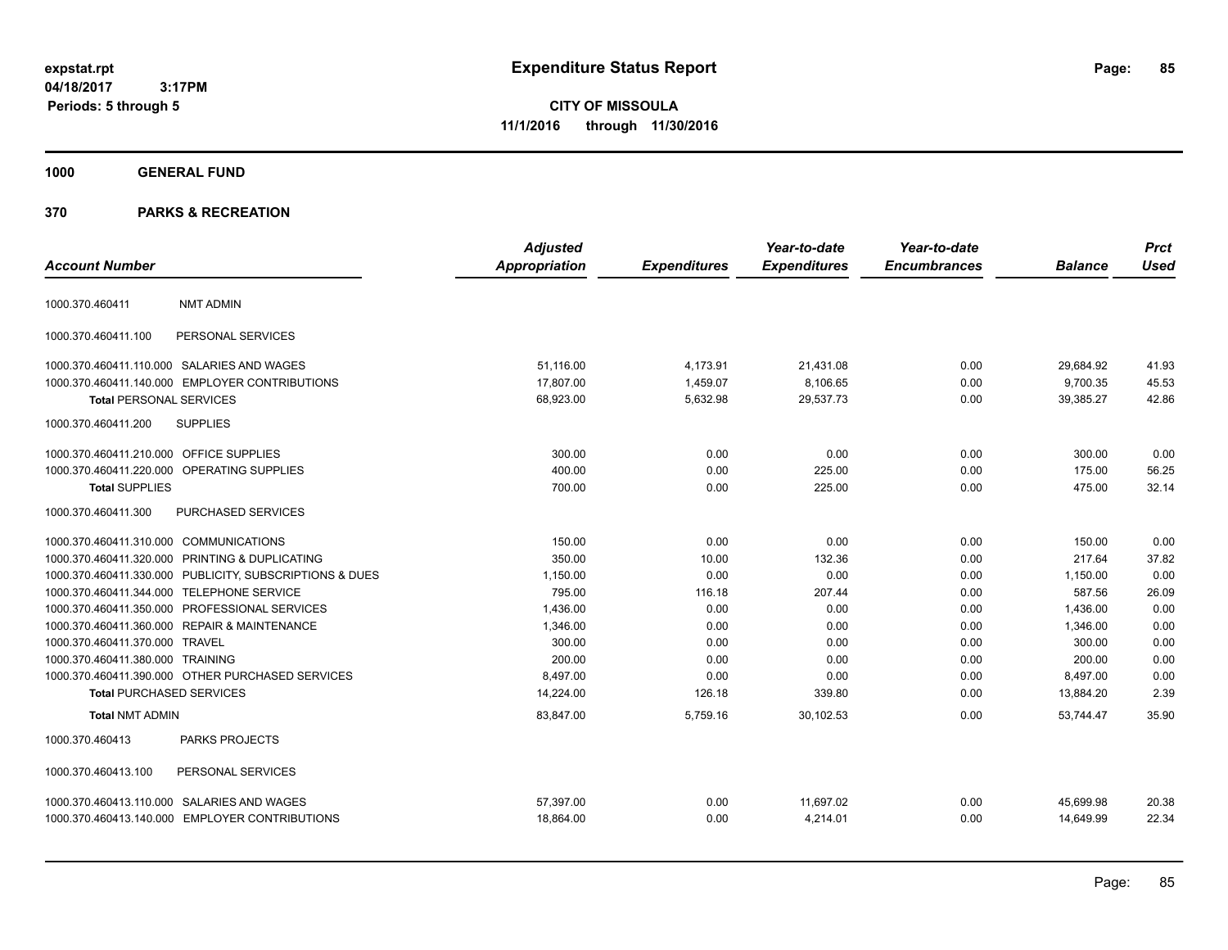**CITY OF MISSOULA 11/1/2016 through 11/30/2016**

# **1000 GENERAL FUND**

|                                         |                                                         | <b>Adjusted</b>      |                     | Year-to-date        | Year-to-date        |                | <b>Prct</b> |
|-----------------------------------------|---------------------------------------------------------|----------------------|---------------------|---------------------|---------------------|----------------|-------------|
| <b>Account Number</b>                   |                                                         | <b>Appropriation</b> | <b>Expenditures</b> | <b>Expenditures</b> | <b>Encumbrances</b> | <b>Balance</b> | <b>Used</b> |
| 1000.370.460411                         | <b>NMT ADMIN</b>                                        |                      |                     |                     |                     |                |             |
| 1000.370.460411.100                     | PERSONAL SERVICES                                       |                      |                     |                     |                     |                |             |
|                                         | 1000.370.460411.110.000 SALARIES AND WAGES              | 51,116.00            | 4,173.91            | 21,431.08           | 0.00                | 29,684.92      | 41.93       |
|                                         | 1000.370.460411.140.000 EMPLOYER CONTRIBUTIONS          | 17,807.00            | 1,459.07            | 8,106.65            | 0.00                | 9,700.35       | 45.53       |
| <b>Total PERSONAL SERVICES</b>          |                                                         | 68,923.00            | 5,632.98            | 29,537.73           | 0.00                | 39,385.27      | 42.86       |
| 1000.370.460411.200                     | <b>SUPPLIES</b>                                         |                      |                     |                     |                     |                |             |
| 1000.370.460411.210.000 OFFICE SUPPLIES |                                                         | 300.00               | 0.00                | 0.00                | 0.00                | 300.00         | 0.00        |
|                                         | 1000.370.460411.220.000 OPERATING SUPPLIES              | 400.00               | 0.00                | 225.00              | 0.00                | 175.00         | 56.25       |
| <b>Total SUPPLIES</b>                   |                                                         | 700.00               | 0.00                | 225.00              | 0.00                | 475.00         | 32.14       |
| 1000.370.460411.300                     | <b>PURCHASED SERVICES</b>                               |                      |                     |                     |                     |                |             |
| 1000.370.460411.310.000 COMMUNICATIONS  |                                                         | 150.00               | 0.00                | 0.00                | 0.00                | 150.00         | 0.00        |
|                                         | 1000.370.460411.320.000 PRINTING & DUPLICATING          | 350.00               | 10.00               | 132.36              | 0.00                | 217.64         | 37.82       |
|                                         | 1000.370.460411.330.000 PUBLICITY, SUBSCRIPTIONS & DUES | 1,150.00             | 0.00                | 0.00                | 0.00                | 1,150.00       | 0.00        |
|                                         | 1000.370.460411.344.000 TELEPHONE SERVICE               | 795.00               | 116.18              | 207.44              | 0.00                | 587.56         | 26.09       |
|                                         | 1000.370.460411.350.000 PROFESSIONAL SERVICES           | 1,436.00             | 0.00                | 0.00                | 0.00                | 1,436.00       | 0.00        |
|                                         | 1000.370.460411.360.000 REPAIR & MAINTENANCE            | 1,346.00             | 0.00                | 0.00                | 0.00                | 1,346.00       | 0.00        |
| 1000.370.460411.370.000 TRAVEL          |                                                         | 300.00               | 0.00                | 0.00                | 0.00                | 300.00         | 0.00        |
| 1000.370.460411.380.000 TRAINING        |                                                         | 200.00               | 0.00                | 0.00                | 0.00                | 200.00         | 0.00        |
|                                         | 1000.370.460411.390.000 OTHER PURCHASED SERVICES        | 8.497.00             | 0.00                | 0.00                | 0.00                | 8,497.00       | 0.00        |
| <b>Total PURCHASED SERVICES</b>         |                                                         | 14,224.00            | 126.18              | 339.80              | 0.00                | 13,884.20      | 2.39        |
| <b>Total NMT ADMIN</b>                  |                                                         | 83,847.00            | 5,759.16            | 30,102.53           | 0.00                | 53,744.47      | 35.90       |
| 1000.370.460413                         | PARKS PROJECTS                                          |                      |                     |                     |                     |                |             |
| 1000.370.460413.100                     | PERSONAL SERVICES                                       |                      |                     |                     |                     |                |             |
|                                         | 1000.370.460413.110.000 SALARIES AND WAGES              | 57,397.00            | 0.00                | 11,697.02           | 0.00                | 45,699.98      | 20.38       |
|                                         | 1000.370.460413.140.000 EMPLOYER CONTRIBUTIONS          | 18,864.00            | 0.00                | 4,214.01            | 0.00                | 14,649.99      | 22.34       |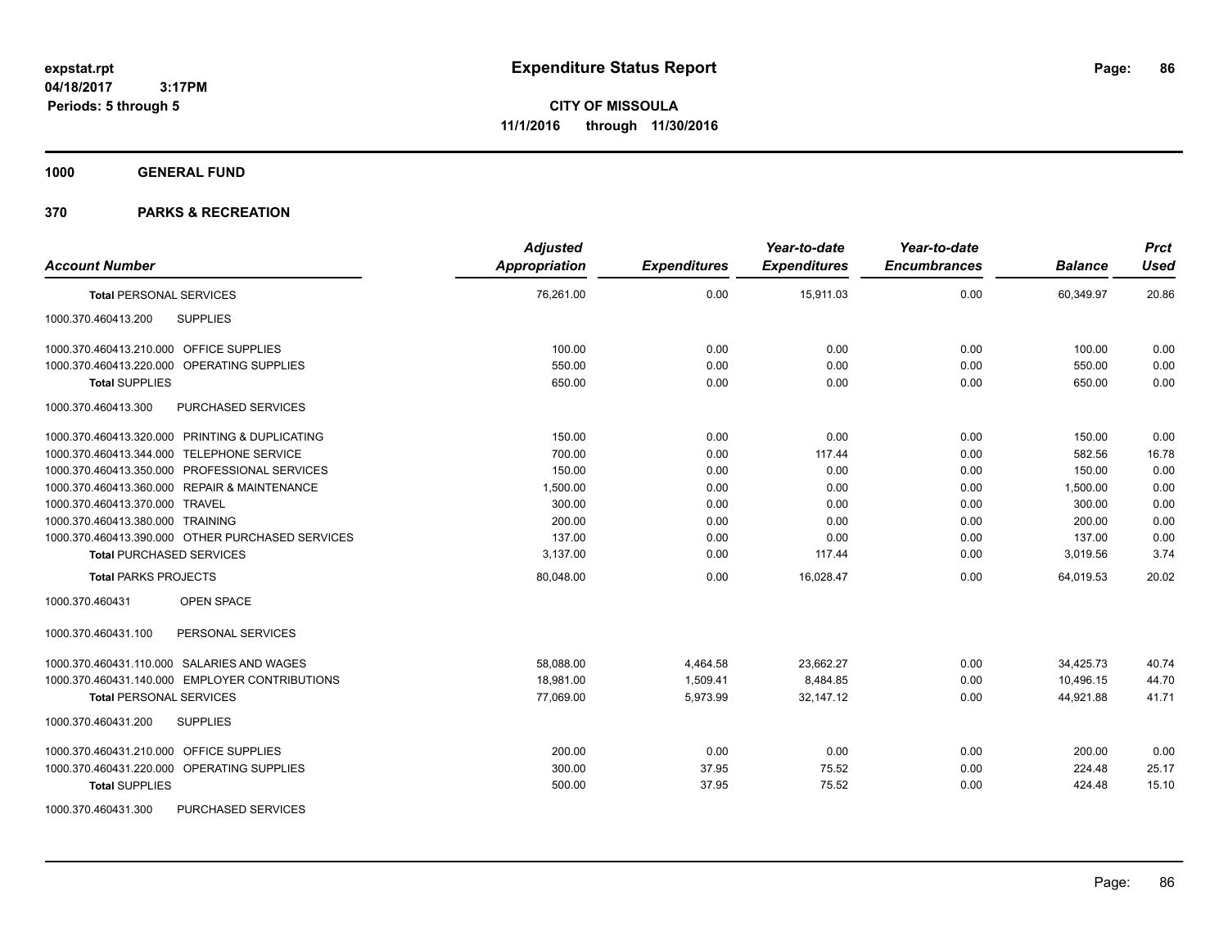**1000 GENERAL FUND**

| <b>Account Number</b>                            | <b>Adjusted</b><br><b>Appropriation</b> | <b>Expenditures</b> | Year-to-date<br><b>Expenditures</b> | Year-to-date<br><b>Encumbrances</b> | <b>Balance</b> | <b>Prct</b><br><b>Used</b> |
|--------------------------------------------------|-----------------------------------------|---------------------|-------------------------------------|-------------------------------------|----------------|----------------------------|
| <b>Total PERSONAL SERVICES</b>                   | 76,261.00                               | 0.00                | 15,911.03                           | 0.00                                | 60,349.97      | 20.86                      |
| 1000.370.460413.200<br><b>SUPPLIES</b>           |                                         |                     |                                     |                                     |                |                            |
| 1000.370.460413.210.000 OFFICE SUPPLIES          | 100.00                                  | 0.00                | 0.00                                | 0.00                                | 100.00         | 0.00                       |
| 1000.370.460413.220.000 OPERATING SUPPLIES       | 550.00                                  | 0.00                | 0.00                                | 0.00                                | 550.00         | 0.00                       |
| <b>Total SUPPLIES</b>                            | 650.00                                  | 0.00                | 0.00                                | 0.00                                | 650.00         | 0.00                       |
| 1000.370.460413.300<br>PURCHASED SERVICES        |                                         |                     |                                     |                                     |                |                            |
| 1000.370.460413.320.000 PRINTING & DUPLICATING   | 150.00                                  | 0.00                | 0.00                                | 0.00                                | 150.00         | 0.00                       |
| 1000.370.460413.344.000 TELEPHONE SERVICE        | 700.00                                  | 0.00                | 117.44                              | 0.00                                | 582.56         | 16.78                      |
| 1000.370.460413.350.000 PROFESSIONAL SERVICES    | 150.00                                  | 0.00                | 0.00                                | 0.00                                | 150.00         | 0.00                       |
| 1000.370.460413.360.000 REPAIR & MAINTENANCE     | 1,500.00                                | 0.00                | 0.00                                | 0.00                                | 1,500.00       | 0.00                       |
| 1000.370.460413.370.000 TRAVEL                   | 300.00                                  | 0.00                | 0.00                                | 0.00                                | 300.00         | 0.00                       |
| 1000.370.460413.380.000 TRAINING                 | 200.00                                  | 0.00                | 0.00                                | 0.00                                | 200.00         | 0.00                       |
| 1000.370.460413.390.000 OTHER PURCHASED SERVICES | 137.00                                  | 0.00                | 0.00                                | 0.00                                | 137.00         | 0.00                       |
| <b>Total PURCHASED SERVICES</b>                  | 3,137.00                                | 0.00                | 117.44                              | 0.00                                | 3,019.56       | 3.74                       |
| <b>Total PARKS PROJECTS</b>                      | 80,048.00                               | 0.00                | 16,028.47                           | 0.00                                | 64,019.53      | 20.02                      |
| 1000.370.460431<br><b>OPEN SPACE</b>             |                                         |                     |                                     |                                     |                |                            |
| 1000.370.460431.100<br>PERSONAL SERVICES         |                                         |                     |                                     |                                     |                |                            |
| 1000.370.460431.110.000 SALARIES AND WAGES       | 58,088.00                               | 4,464.58            | 23,662.27                           | 0.00                                | 34,425.73      | 40.74                      |
| 1000.370.460431.140.000 EMPLOYER CONTRIBUTIONS   | 18,981.00                               | 1,509.41            | 8,484.85                            | 0.00                                | 10,496.15      | 44.70                      |
| <b>Total PERSONAL SERVICES</b>                   | 77,069.00                               | 5,973.99            | 32,147.12                           | 0.00                                | 44,921.88      | 41.71                      |
| 1000.370.460431.200<br><b>SUPPLIES</b>           |                                         |                     |                                     |                                     |                |                            |
| 1000.370.460431.210.000 OFFICE SUPPLIES          | 200.00                                  | 0.00                | 0.00                                | 0.00                                | 200.00         | 0.00                       |
| 1000.370.460431.220.000 OPERATING SUPPLIES       | 300.00                                  | 37.95               | 75.52                               | 0.00                                | 224.48         | 25.17                      |
| <b>Total SUPPLIES</b>                            | 500.00                                  | 37.95               | 75.52                               | 0.00                                | 424.48         | 15.10                      |
| 1000.370.460431.300<br><b>PURCHASED SERVICES</b> |                                         |                     |                                     |                                     |                |                            |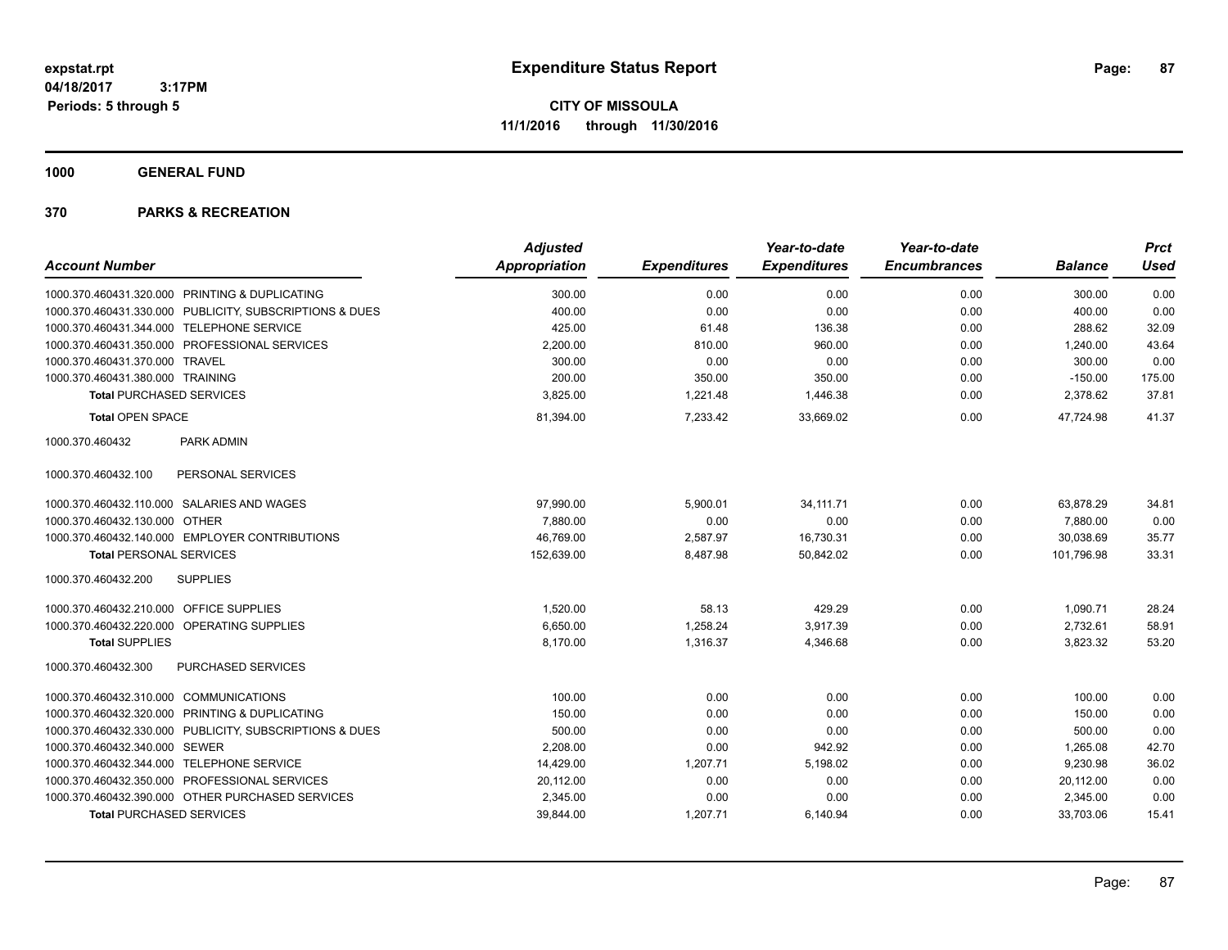**1000 GENERAL FUND**

|                                                         | <b>Adjusted</b> |                     | Year-to-date        | Year-to-date        |                | <b>Prct</b> |
|---------------------------------------------------------|-----------------|---------------------|---------------------|---------------------|----------------|-------------|
| <b>Account Number</b>                                   | Appropriation   | <b>Expenditures</b> | <b>Expenditures</b> | <b>Encumbrances</b> | <b>Balance</b> | <b>Used</b> |
| 1000.370.460431.320.000 PRINTING & DUPLICATING          | 300.00          | 0.00                | 0.00                | 0.00                | 300.00         | 0.00        |
| 1000.370.460431.330.000 PUBLICITY, SUBSCRIPTIONS & DUES | 400.00          | 0.00                | 0.00                | 0.00                | 400.00         | 0.00        |
| 1000.370.460431.344.000 TELEPHONE SERVICE               | 425.00          | 61.48               | 136.38              | 0.00                | 288.62         | 32.09       |
| 1000.370.460431.350.000 PROFESSIONAL SERVICES           | 2,200.00        | 810.00              | 960.00              | 0.00                | 1,240.00       | 43.64       |
| 1000.370.460431.370.000 TRAVEL                          | 300.00          | 0.00                | 0.00                | 0.00                | 300.00         | 0.00        |
| 1000.370.460431.380.000 TRAINING                        | 200.00          | 350.00              | 350.00              | 0.00                | $-150.00$      | 175.00      |
| <b>Total PURCHASED SERVICES</b>                         | 3,825.00        | 1,221.48            | 1,446.38            | 0.00                | 2,378.62       | 37.81       |
| <b>Total OPEN SPACE</b>                                 | 81,394.00       | 7,233.42            | 33,669.02           | 0.00                | 47.724.98      | 41.37       |
| 1000.370.460432<br><b>PARK ADMIN</b>                    |                 |                     |                     |                     |                |             |
| PERSONAL SERVICES<br>1000.370.460432.100                |                 |                     |                     |                     |                |             |
| 1000.370.460432.110.000 SALARIES AND WAGES              | 97,990.00       | 5,900.01            | 34, 111.71          | 0.00                | 63,878.29      | 34.81       |
| 1000.370.460432.130.000 OTHER                           | 7,880.00        | 0.00                | 0.00                | 0.00                | 7,880.00       | 0.00        |
| 1000.370.460432.140.000 EMPLOYER CONTRIBUTIONS          | 46,769.00       | 2,587.97            | 16,730.31           | 0.00                | 30,038.69      | 35.77       |
| <b>Total PERSONAL SERVICES</b>                          | 152,639.00      | 8,487.98            | 50,842.02           | 0.00                | 101,796.98     | 33.31       |
| 1000.370.460432.200<br><b>SUPPLIES</b>                  |                 |                     |                     |                     |                |             |
| 1000.370.460432.210.000 OFFICE SUPPLIES                 | 1,520.00        | 58.13               | 429.29              | 0.00                | 1,090.71       | 28.24       |
| 1000.370.460432.220.000 OPERATING SUPPLIES              | 6,650.00        | 1,258.24            | 3,917.39            | 0.00                | 2,732.61       | 58.91       |
| <b>Total SUPPLIES</b>                                   | 8,170.00        | 1,316.37            | 4,346.68            | 0.00                | 3,823.32       | 53.20       |
| <b>PURCHASED SERVICES</b><br>1000.370.460432.300        |                 |                     |                     |                     |                |             |
| 1000.370.460432.310.000 COMMUNICATIONS                  | 100.00          | 0.00                | 0.00                | 0.00                | 100.00         | 0.00        |
| 1000.370.460432.320.000 PRINTING & DUPLICATING          | 150.00          | 0.00                | 0.00                | 0.00                | 150.00         | 0.00        |
| 1000.370.460432.330.000 PUBLICITY, SUBSCRIPTIONS & DUES | 500.00          | 0.00                | 0.00                | 0.00                | 500.00         | 0.00        |
| 1000.370.460432.340.000 SEWER                           | 2,208.00        | 0.00                | 942.92              | 0.00                | 1,265.08       | 42.70       |
| 1000.370.460432.344.000 TELEPHONE SERVICE               | 14,429.00       | 1,207.71            | 5,198.02            | 0.00                | 9,230.98       | 36.02       |
| 1000.370.460432.350.000 PROFESSIONAL SERVICES           | 20,112.00       | 0.00                | 0.00                | 0.00                | 20,112.00      | 0.00        |
| 1000.370.460432.390.000 OTHER PURCHASED SERVICES        | 2,345.00        | 0.00                | 0.00                | 0.00                | 2,345.00       | 0.00        |
| <b>Total PURCHASED SERVICES</b>                         | 39,844.00       | 1,207.71            | 6,140.94            | 0.00                | 33,703.06      | 15.41       |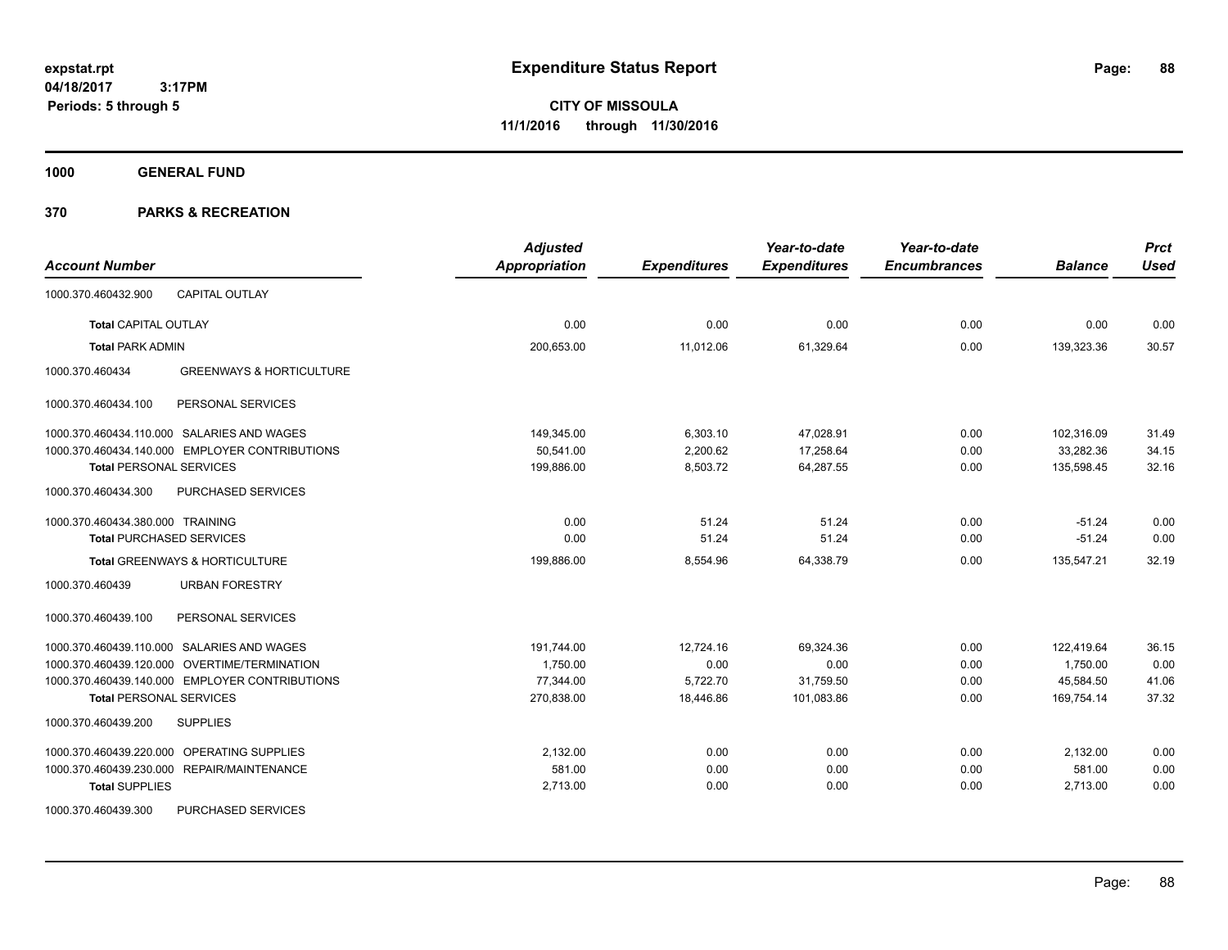**CITY OF MISSOULA 11/1/2016 through 11/30/2016**

**1000 GENERAL FUND**

|                                                        | <b>Adjusted</b>      |                     | Year-to-date        | Year-to-date        |                | <b>Prct</b> |
|--------------------------------------------------------|----------------------|---------------------|---------------------|---------------------|----------------|-------------|
| <b>Account Number</b>                                  | <b>Appropriation</b> | <b>Expenditures</b> | <b>Expenditures</b> | <b>Encumbrances</b> | <b>Balance</b> | <b>Used</b> |
| <b>CAPITAL OUTLAY</b><br>1000.370.460432.900           |                      |                     |                     |                     |                |             |
| <b>Total CAPITAL OUTLAY</b>                            | 0.00                 | 0.00                | 0.00                | 0.00                | 0.00           | 0.00        |
| <b>Total PARK ADMIN</b>                                | 200,653.00           | 11,012.06           | 61,329.64           | 0.00                | 139,323.36     | 30.57       |
| 1000.370.460434<br><b>GREENWAYS &amp; HORTICULTURE</b> |                      |                     |                     |                     |                |             |
| PERSONAL SERVICES<br>1000.370.460434.100               |                      |                     |                     |                     |                |             |
| 1000.370.460434.110.000 SALARIES AND WAGES             | 149.345.00           | 6,303.10            | 47,028.91           | 0.00                | 102,316.09     | 31.49       |
| 1000.370.460434.140.000 EMPLOYER CONTRIBUTIONS         | 50.541.00            | 2,200.62            | 17,258.64           | 0.00                | 33,282.36      | 34.15       |
| <b>Total PERSONAL SERVICES</b>                         | 199,886.00           | 8,503.72            | 64,287.55           | 0.00                | 135,598.45     | 32.16       |
| 1000.370.460434.300<br>PURCHASED SERVICES              |                      |                     |                     |                     |                |             |
| 1000.370.460434.380.000 TRAINING                       | 0.00                 | 51.24               | 51.24               | 0.00                | $-51.24$       | 0.00        |
| <b>Total PURCHASED SERVICES</b>                        | 0.00                 | 51.24               | 51.24               | 0.00                | $-51.24$       | 0.00        |
| Total GREENWAYS & HORTICULTURE                         | 199,886.00           | 8,554.96            | 64,338.79           | 0.00                | 135,547.21     | 32.19       |
| <b>URBAN FORESTRY</b><br>1000.370.460439               |                      |                     |                     |                     |                |             |
| PERSONAL SERVICES<br>1000.370.460439.100               |                      |                     |                     |                     |                |             |
| 1000.370.460439.110.000 SALARIES AND WAGES             | 191,744.00           | 12,724.16           | 69.324.36           | 0.00                | 122,419.64     | 36.15       |
| 1000.370.460439.120.000 OVERTIME/TERMINATION           | 1,750.00             | 0.00                | 0.00                | 0.00                | 1,750.00       | 0.00        |
| 1000.370.460439.140.000 EMPLOYER CONTRIBUTIONS         | 77,344.00            | 5,722.70            | 31,759.50           | 0.00                | 45,584.50      | 41.06       |
| <b>Total PERSONAL SERVICES</b>                         | 270,838.00           | 18,446.86           | 101.083.86          | 0.00                | 169.754.14     | 37.32       |
| <b>SUPPLIES</b><br>1000.370.460439.200                 |                      |                     |                     |                     |                |             |
| OPERATING SUPPLIES<br>1000.370.460439.220.000          | 2,132.00             | 0.00                | 0.00                | 0.00                | 2,132.00       | 0.00        |
| 1000.370.460439.230.000 REPAIR/MAINTENANCE             | 581.00               | 0.00                | 0.00                | 0.00                | 581.00         | 0.00        |
| <b>Total SUPPLIES</b>                                  | 2,713.00             | 0.00                | 0.00                | 0.00                | 2,713.00       | 0.00        |
| PURCHASED SERVICES<br>1000.370.460439.300              |                      |                     |                     |                     |                |             |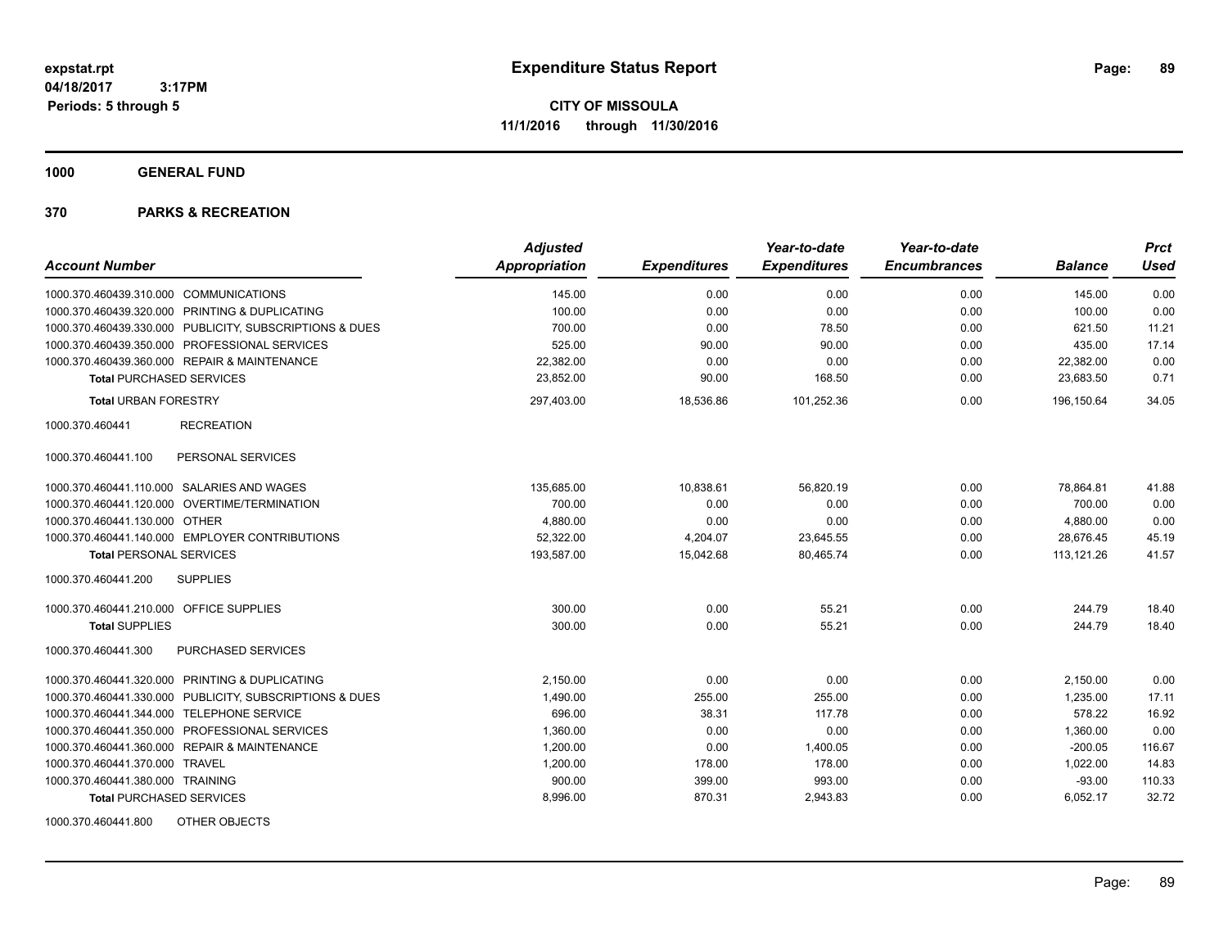**1000 GENERAL FUND**

|                                                         | <b>Adjusted</b>      |                     | Year-to-date        | Year-to-date        |                | <b>Prct</b> |
|---------------------------------------------------------|----------------------|---------------------|---------------------|---------------------|----------------|-------------|
| <b>Account Number</b>                                   | <b>Appropriation</b> | <b>Expenditures</b> | <b>Expenditures</b> | <b>Encumbrances</b> | <b>Balance</b> | <b>Used</b> |
| 1000.370.460439.310.000 COMMUNICATIONS                  | 145.00               | 0.00                | 0.00                | 0.00                | 145.00         | 0.00        |
| 1000.370.460439.320.000 PRINTING & DUPLICATING          | 100.00               | 0.00                | 0.00                | 0.00                | 100.00         | 0.00        |
| 1000.370.460439.330.000 PUBLICITY, SUBSCRIPTIONS & DUES | 700.00               | 0.00                | 78.50               | 0.00                | 621.50         | 11.21       |
| 1000.370.460439.350.000 PROFESSIONAL SERVICES           | 525.00               | 90.00               | 90.00               | 0.00                | 435.00         | 17.14       |
| 1000.370.460439.360.000 REPAIR & MAINTENANCE            | 22,382.00            | 0.00                | 0.00                | 0.00                | 22,382.00      | 0.00        |
| <b>Total PURCHASED SERVICES</b>                         | 23,852.00            | 90.00               | 168.50              | 0.00                | 23,683.50      | 0.71        |
| <b>Total URBAN FORESTRY</b>                             | 297,403.00           | 18,536.86           | 101,252.36          | 0.00                | 196,150.64     | 34.05       |
| 1000.370.460441<br><b>RECREATION</b>                    |                      |                     |                     |                     |                |             |
| PERSONAL SERVICES<br>1000.370.460441.100                |                      |                     |                     |                     |                |             |
| 1000.370.460441.110.000 SALARIES AND WAGES              | 135.685.00           | 10,838.61           | 56,820.19           | 0.00                | 78,864.81      | 41.88       |
| 1000.370.460441.120.000 OVERTIME/TERMINATION            | 700.00               | 0.00                | 0.00                | 0.00                | 700.00         | 0.00        |
| 1000.370.460441.130.000 OTHER                           | 4,880.00             | 0.00                | 0.00                | 0.00                | 4,880.00       | 0.00        |
| 1000.370.460441.140.000 EMPLOYER CONTRIBUTIONS          | 52,322.00            | 4,204.07            | 23,645.55           | 0.00                | 28,676.45      | 45.19       |
| <b>Total PERSONAL SERVICES</b>                          | 193,587.00           | 15,042.68           | 80,465.74           | 0.00                | 113,121.26     | 41.57       |
| 1000.370.460441.200<br><b>SUPPLIES</b>                  |                      |                     |                     |                     |                |             |
| 1000.370.460441.210.000 OFFICE SUPPLIES                 | 300.00               | 0.00                | 55.21               | 0.00                | 244.79         | 18.40       |
| <b>Total SUPPLIES</b>                                   | 300.00               | 0.00                | 55.21               | 0.00                | 244.79         | 18.40       |
| PURCHASED SERVICES<br>1000.370.460441.300               |                      |                     |                     |                     |                |             |
| 1000.370.460441.320.000 PRINTING & DUPLICATING          | 2,150.00             | 0.00                | 0.00                | 0.00                | 2,150.00       | 0.00        |
| 1000.370.460441.330.000 PUBLICITY, SUBSCRIPTIONS & DUES | 1,490.00             | 255.00              | 255.00              | 0.00                | 1,235.00       | 17.11       |
| 1000.370.460441.344.000 TELEPHONE SERVICE               | 696.00               | 38.31               | 117.78              | 0.00                | 578.22         | 16.92       |
| 1000.370.460441.350.000 PROFESSIONAL SERVICES           | 1,360.00             | 0.00                | 0.00                | 0.00                | 1,360.00       | 0.00        |
| 1000.370.460441.360.000 REPAIR & MAINTENANCE            | 1,200.00             | 0.00                | 1,400.05            | 0.00                | $-200.05$      | 116.67      |
| 1000.370.460441.370.000 TRAVEL                          | 1,200.00             | 178.00              | 178.00              | 0.00                | 1,022.00       | 14.83       |
| 1000.370.460441.380.000 TRAINING                        | 900.00               | 399.00              | 993.00              | 0.00                | $-93.00$       | 110.33      |
| <b>Total PURCHASED SERVICES</b>                         | 8,996.00             | 870.31              | 2,943.83            | 0.00                | 6,052.17       | 32.72       |
| 1000.370.460441.800<br>OTHER OBJECTS                    |                      |                     |                     |                     |                |             |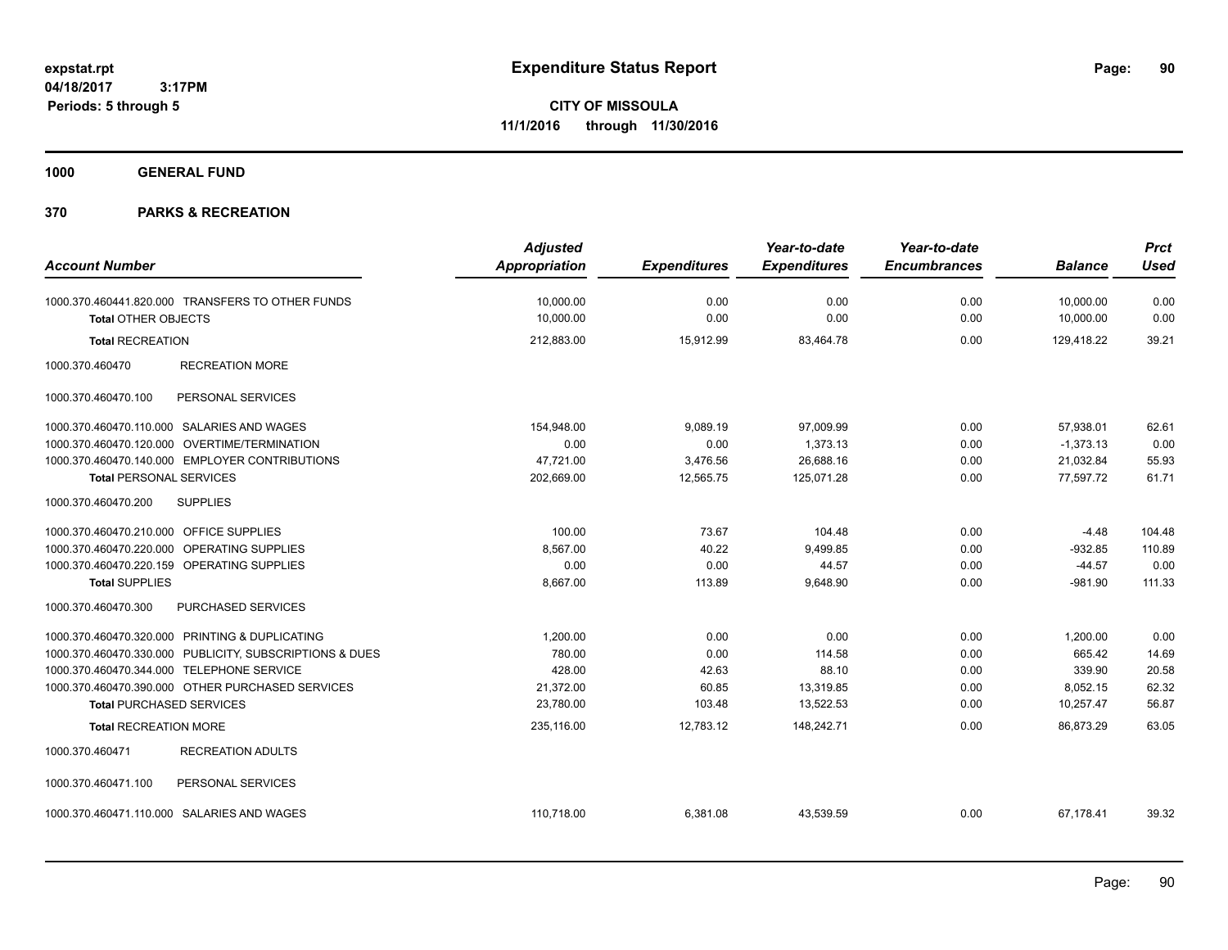**CITY OF MISSOULA 11/1/2016 through 11/30/2016**

**1000 GENERAL FUND**

| <b>Account Number</b>                      |                                                         | <b>Adjusted</b><br><b>Appropriation</b> | <b>Expenditures</b> | Year-to-date<br><b>Expenditures</b> | Year-to-date<br><b>Encumbrances</b> | <b>Balance</b> | <b>Prct</b><br><b>Used</b> |
|--------------------------------------------|---------------------------------------------------------|-----------------------------------------|---------------------|-------------------------------------|-------------------------------------|----------------|----------------------------|
|                                            |                                                         |                                         |                     |                                     |                                     |                |                            |
|                                            | 1000.370.460441.820.000 TRANSFERS TO OTHER FUNDS        | 10,000.00                               | 0.00                | 0.00                                | 0.00                                | 10,000.00      | 0.00                       |
| <b>Total OTHER OBJECTS</b>                 |                                                         | 10,000.00                               | 0.00                | 0.00                                | 0.00                                | 10,000.00      | 0.00                       |
| <b>Total RECREATION</b>                    |                                                         | 212,883.00                              | 15,912.99           | 83,464.78                           | 0.00                                | 129,418.22     | 39.21                      |
| 1000.370.460470                            | <b>RECREATION MORE</b>                                  |                                         |                     |                                     |                                     |                |                            |
| 1000.370.460470.100                        | PERSONAL SERVICES                                       |                                         |                     |                                     |                                     |                |                            |
|                                            | 1000.370.460470.110.000 SALARIES AND WAGES              | 154,948.00                              | 9,089.19            | 97,009.99                           | 0.00                                | 57,938.01      | 62.61                      |
|                                            | 1000.370.460470.120.000 OVERTIME/TERMINATION            | 0.00                                    | 0.00                | 1,373.13                            | 0.00                                | $-1,373.13$    | 0.00                       |
|                                            | 1000.370.460470.140.000 EMPLOYER CONTRIBUTIONS          | 47,721.00                               | 3,476.56            | 26,688.16                           | 0.00                                | 21,032.84      | 55.93                      |
| <b>Total PERSONAL SERVICES</b>             |                                                         | 202,669.00                              | 12,565.75           | 125,071.28                          | 0.00                                | 77,597.72      | 61.71                      |
| 1000.370.460470.200                        | <b>SUPPLIES</b>                                         |                                         |                     |                                     |                                     |                |                            |
| 1000.370.460470.210.000 OFFICE SUPPLIES    |                                                         | 100.00                                  | 73.67               | 104.48                              | 0.00                                | $-4.48$        | 104.48                     |
| 1000.370.460470.220.000 OPERATING SUPPLIES |                                                         | 8,567.00                                | 40.22               | 9,499.85                            | 0.00                                | $-932.85$      | 110.89                     |
| 1000.370.460470.220.159 OPERATING SUPPLIES |                                                         | 0.00                                    | 0.00                | 44.57                               | 0.00                                | $-44.57$       | 0.00                       |
| <b>Total SUPPLIES</b>                      |                                                         | 8,667.00                                | 113.89              | 9,648.90                            | 0.00                                | $-981.90$      | 111.33                     |
| 1000.370.460470.300                        | <b>PURCHASED SERVICES</b>                               |                                         |                     |                                     |                                     |                |                            |
|                                            | 1000.370.460470.320.000 PRINTING & DUPLICATING          | 1,200.00                                | 0.00                | 0.00                                | 0.00                                | 1,200.00       | 0.00                       |
|                                            | 1000.370.460470.330.000 PUBLICITY, SUBSCRIPTIONS & DUES | 780.00                                  | 0.00                | 114.58                              | 0.00                                | 665.42         | 14.69                      |
| 1000.370.460470.344.000 TELEPHONE SERVICE  |                                                         | 428.00                                  | 42.63               | 88.10                               | 0.00                                | 339.90         | 20.58                      |
|                                            | 1000.370.460470.390.000 OTHER PURCHASED SERVICES        | 21,372.00                               | 60.85               | 13,319.85                           | 0.00                                | 8,052.15       | 62.32                      |
| <b>Total PURCHASED SERVICES</b>            |                                                         | 23,780.00                               | 103.48              | 13,522.53                           | 0.00                                | 10,257.47      | 56.87                      |
| <b>Total RECREATION MORE</b>               |                                                         | 235,116.00                              | 12,783.12           | 148,242.71                          | 0.00                                | 86,873.29      | 63.05                      |
| 1000.370.460471                            | <b>RECREATION ADULTS</b>                                |                                         |                     |                                     |                                     |                |                            |
| 1000.370.460471.100                        | PERSONAL SERVICES                                       |                                         |                     |                                     |                                     |                |                            |
|                                            | 1000.370.460471.110.000 SALARIES AND WAGES              | 110,718.00                              | 6,381.08            | 43,539.59                           | 0.00                                | 67,178.41      | 39.32                      |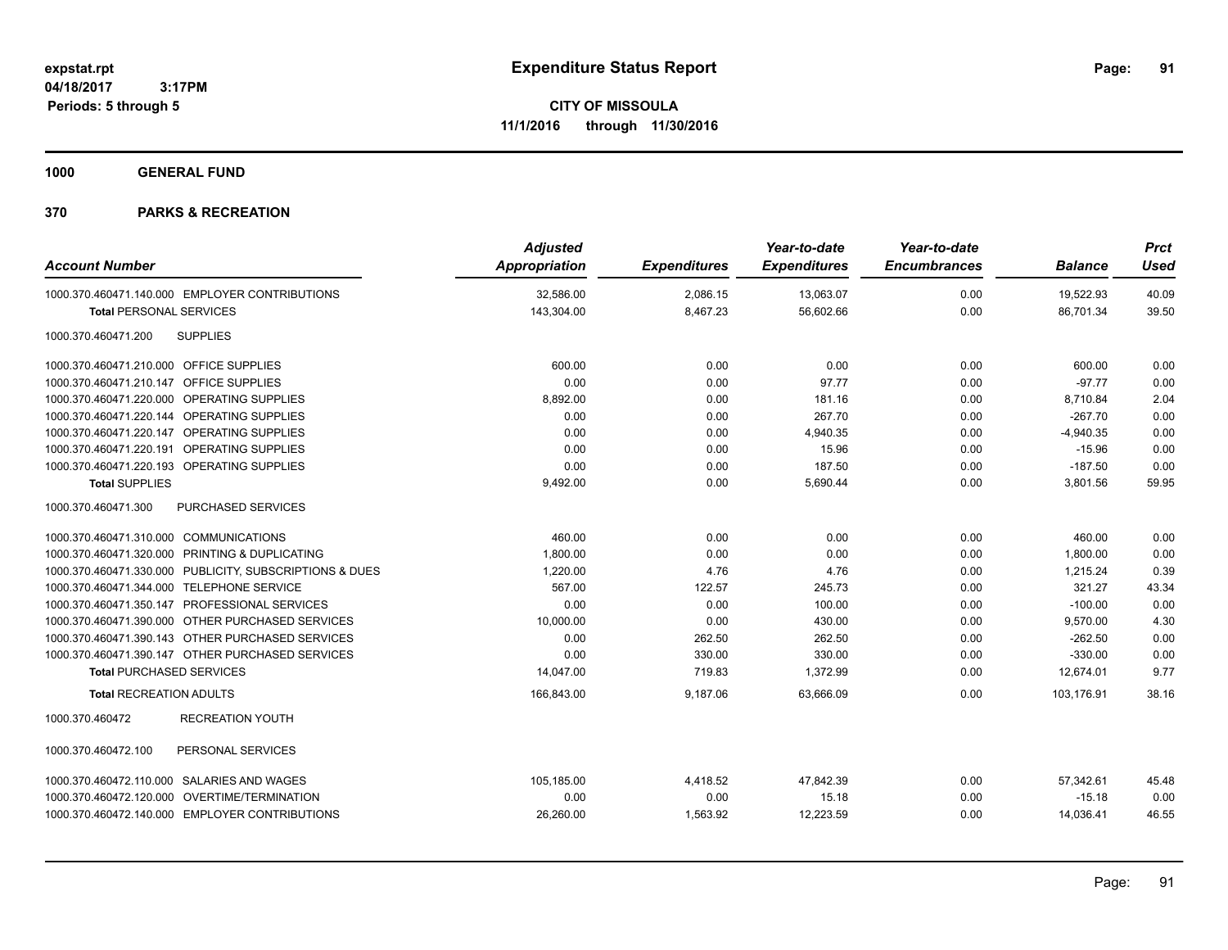**1000 GENERAL FUND**

| <b>Account Number</b>                                   | <b>Adjusted</b><br>Appropriation | <b>Expenditures</b> | Year-to-date<br><b>Expenditures</b> | Year-to-date<br><b>Encumbrances</b> | <b>Balance</b> | <b>Prct</b><br><b>Used</b> |
|---------------------------------------------------------|----------------------------------|---------------------|-------------------------------------|-------------------------------------|----------------|----------------------------|
|                                                         |                                  |                     |                                     |                                     |                |                            |
| 1000.370.460471.140.000 EMPLOYER CONTRIBUTIONS          | 32,586.00                        | 2,086.15            | 13,063.07                           | 0.00                                | 19,522.93      | 40.09                      |
| <b>Total PERSONAL SERVICES</b>                          | 143,304.00                       | 8,467.23            | 56,602.66                           | 0.00                                | 86,701.34      | 39.50                      |
| <b>SUPPLIES</b><br>1000.370.460471.200                  |                                  |                     |                                     |                                     |                |                            |
| 1000.370.460471.210.000 OFFICE SUPPLIES                 | 600.00                           | 0.00                | 0.00                                | 0.00                                | 600.00         | 0.00                       |
| 1000.370.460471.210.147 OFFICE SUPPLIES                 | 0.00                             | 0.00                | 97.77                               | 0.00                                | $-97.77$       | 0.00                       |
| 1000.370.460471.220.000 OPERATING SUPPLIES              | 8,892.00                         | 0.00                | 181.16                              | 0.00                                | 8,710.84       | 2.04                       |
| 1000.370.460471.220.144 OPERATING SUPPLIES              | 0.00                             | 0.00                | 267.70                              | 0.00                                | $-267.70$      | 0.00                       |
| 1000.370.460471.220.147 OPERATING SUPPLIES              | 0.00                             | 0.00                | 4,940.35                            | 0.00                                | $-4,940.35$    | 0.00                       |
| 1000.370.460471.220.191 OPERATING SUPPLIES              | 0.00                             | 0.00                | 15.96                               | 0.00                                | $-15.96$       | 0.00                       |
| 1000.370.460471.220.193 OPERATING SUPPLIES              | 0.00                             | 0.00                | 187.50                              | 0.00                                | $-187.50$      | 0.00                       |
| <b>Total SUPPLIES</b>                                   | 9,492.00                         | 0.00                | 5,690.44                            | 0.00                                | 3,801.56       | 59.95                      |
| 1000.370.460471.300<br>PURCHASED SERVICES               |                                  |                     |                                     |                                     |                |                            |
| 1000.370.460471.310.000 COMMUNICATIONS                  | 460.00                           | 0.00                | 0.00                                | 0.00                                | 460.00         | 0.00                       |
| 1000.370.460471.320.000 PRINTING & DUPLICATING          | 1,800.00                         | 0.00                | 0.00                                | 0.00                                | 1,800.00       | 0.00                       |
| 1000.370.460471.330.000 PUBLICITY, SUBSCRIPTIONS & DUES | 1,220.00                         | 4.76                | 4.76                                | 0.00                                | 1,215.24       | 0.39                       |
| 1000.370.460471.344.000 TELEPHONE SERVICE               | 567.00                           | 122.57              | 245.73                              | 0.00                                | 321.27         | 43.34                      |
| 1000.370.460471.350.147 PROFESSIONAL SERVICES           | 0.00                             | 0.00                | 100.00                              | 0.00                                | $-100.00$      | 0.00                       |
| 1000.370.460471.390.000 OTHER PURCHASED SERVICES        | 10,000.00                        | 0.00                | 430.00                              | 0.00                                | 9,570.00       | 4.30                       |
| 1000.370.460471.390.143 OTHER PURCHASED SERVICES        | 0.00                             | 262.50              | 262.50                              | 0.00                                | $-262.50$      | 0.00                       |
| 1000.370.460471.390.147 OTHER PURCHASED SERVICES        | 0.00                             | 330.00              | 330.00                              | 0.00                                | $-330.00$      | 0.00                       |
| <b>Total PURCHASED SERVICES</b>                         | 14,047.00                        | 719.83              | 1,372.99                            | 0.00                                | 12,674.01      | 9.77                       |
| <b>Total RECREATION ADULTS</b>                          | 166,843.00                       | 9,187.06            | 63.666.09                           | 0.00                                | 103.176.91     | 38.16                      |
| 1000.370.460472<br><b>RECREATION YOUTH</b>              |                                  |                     |                                     |                                     |                |                            |
| 1000.370.460472.100<br>PERSONAL SERVICES                |                                  |                     |                                     |                                     |                |                            |
| 1000.370.460472.110.000 SALARIES AND WAGES              | 105,185.00                       | 4,418.52            | 47,842.39                           | 0.00                                | 57,342.61      | 45.48                      |
| 1000.370.460472.120.000 OVERTIME/TERMINATION            | 0.00                             | 0.00                | 15.18                               | 0.00                                | $-15.18$       | 0.00                       |
| 1000.370.460472.140.000 EMPLOYER CONTRIBUTIONS          | 26,260.00                        | 1,563.92            | 12,223.59                           | 0.00                                | 14,036.41      | 46.55                      |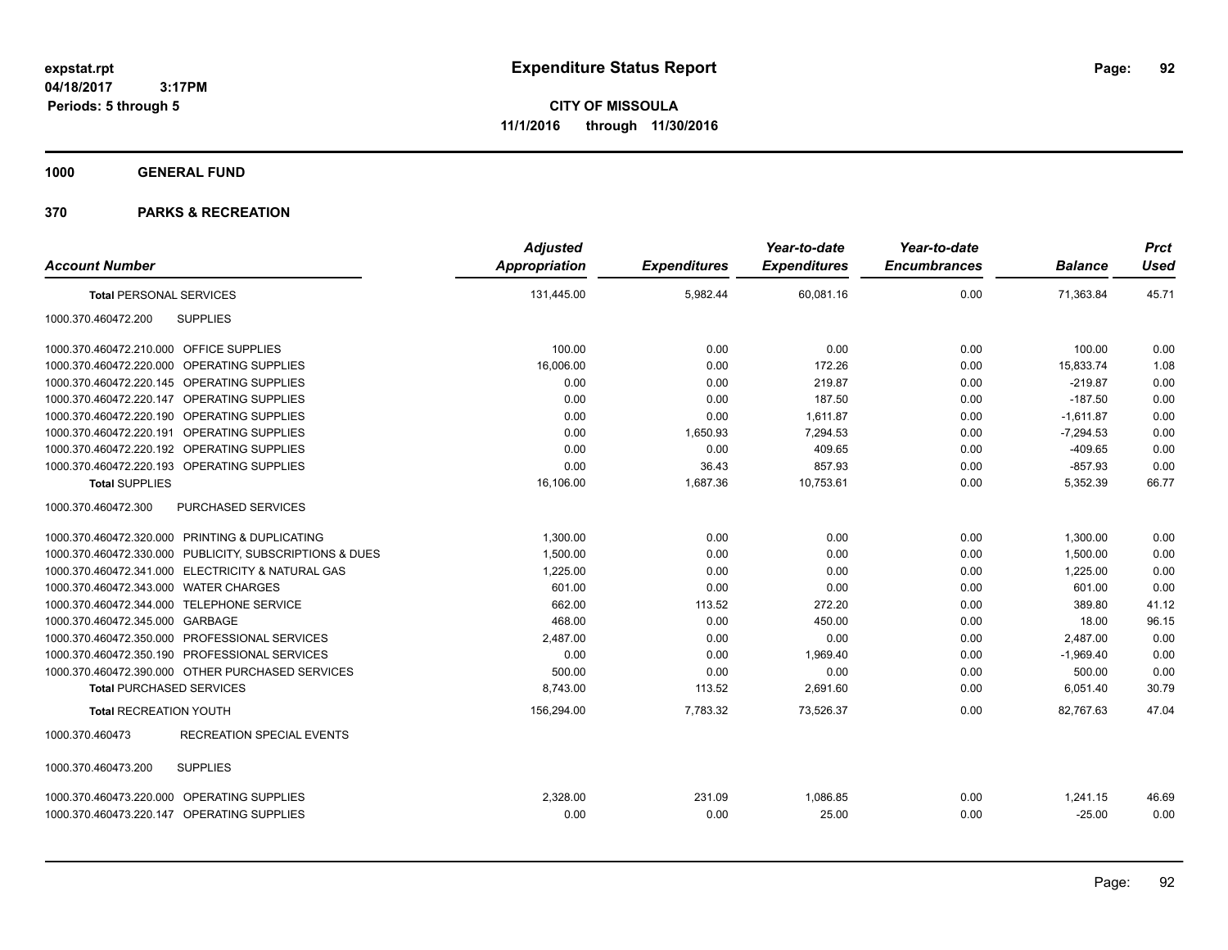**CITY OF MISSOULA 11/1/2016 through 11/30/2016**

**1000 GENERAL FUND**

|                                                         | <b>Adjusted</b> |                     | Year-to-date        | Year-to-date        |                | <b>Prct</b> |
|---------------------------------------------------------|-----------------|---------------------|---------------------|---------------------|----------------|-------------|
| <b>Account Number</b>                                   | Appropriation   | <b>Expenditures</b> | <b>Expenditures</b> | <b>Encumbrances</b> | <b>Balance</b> | <b>Used</b> |
| <b>Total PERSONAL SERVICES</b>                          | 131,445.00      | 5,982.44            | 60,081.16           | 0.00                | 71,363.84      | 45.71       |
| <b>SUPPLIES</b><br>1000.370.460472.200                  |                 |                     |                     |                     |                |             |
| 1000.370.460472.210.000 OFFICE SUPPLIES                 | 100.00          | 0.00                | 0.00                | 0.00                | 100.00         | 0.00        |
| 1000.370.460472.220.000 OPERATING SUPPLIES              | 16,006.00       | 0.00                | 172.26              | 0.00                | 15,833.74      | 1.08        |
| 1000.370.460472.220.145 OPERATING SUPPLIES              | 0.00            | 0.00                | 219.87              | 0.00                | $-219.87$      | 0.00        |
| 1000.370.460472.220.147 OPERATING SUPPLIES              | 0.00            | 0.00                | 187.50              | 0.00                | $-187.50$      | 0.00        |
| 1000.370.460472.220.190 OPERATING SUPPLIES              | 0.00            | 0.00                | 1,611.87            | 0.00                | $-1,611.87$    | 0.00        |
| <b>OPERATING SUPPLIES</b><br>1000.370.460472.220.191    | 0.00            | 1,650.93            | 7.294.53            | 0.00                | $-7,294.53$    | 0.00        |
| 1000.370.460472.220.192 OPERATING SUPPLIES              | 0.00            | 0.00                | 409.65              | 0.00                | $-409.65$      | 0.00        |
| 1000.370.460472.220.193 OPERATING SUPPLIES              | 0.00            | 36.43               | 857.93              | 0.00                | $-857.93$      | 0.00        |
| <b>Total SUPPLIES</b>                                   | 16,106.00       | 1,687.36            | 10,753.61           | 0.00                | 5,352.39       | 66.77       |
| PURCHASED SERVICES<br>1000.370.460472.300               |                 |                     |                     |                     |                |             |
| 1000.370.460472.320.000 PRINTING & DUPLICATING          | 1,300.00        | 0.00                | 0.00                | 0.00                | 1,300.00       | 0.00        |
| 1000.370.460472.330.000 PUBLICITY, SUBSCRIPTIONS & DUES | 1,500.00        | 0.00                | 0.00                | 0.00                | 1,500.00       | 0.00        |
| 1000.370.460472.341.000 ELECTRICITY & NATURAL GAS       | 1,225.00        | 0.00                | 0.00                | 0.00                | 1,225.00       | 0.00        |
| 1000.370.460472.343.000 WATER CHARGES                   | 601.00          | 0.00                | 0.00                | 0.00                | 601.00         | 0.00        |
| 1000.370.460472.344.000 TELEPHONE SERVICE               | 662.00          | 113.52              | 272.20              | 0.00                | 389.80         | 41.12       |
| 1000.370.460472.345.000 GARBAGE                         | 468.00          | 0.00                | 450.00              | 0.00                | 18.00          | 96.15       |
| 1000.370.460472.350.000 PROFESSIONAL SERVICES           | 2,487.00        | 0.00                | 0.00                | 0.00                | 2,487.00       | 0.00        |
| 1000.370.460472.350.190 PROFESSIONAL SERVICES           | 0.00            | 0.00                | 1,969.40            | 0.00                | $-1,969.40$    | 0.00        |
| 1000.370.460472.390.000 OTHER PURCHASED SERVICES        | 500.00          | 0.00                | 0.00                | 0.00                | 500.00         | 0.00        |
| <b>Total PURCHASED SERVICES</b>                         | 8,743.00        | 113.52              | 2,691.60            | 0.00                | 6,051.40       | 30.79       |
| <b>Total RECREATION YOUTH</b>                           | 156,294.00      | 7,783.32            | 73,526.37           | 0.00                | 82.767.63      | 47.04       |
| <b>RECREATION SPECIAL EVENTS</b><br>1000.370.460473     |                 |                     |                     |                     |                |             |
| 1000.370.460473.200<br><b>SUPPLIES</b>                  |                 |                     |                     |                     |                |             |
| 1000.370.460473.220.000 OPERATING SUPPLIES              | 2,328.00        | 231.09              | 1,086.85            | 0.00                | 1,241.15       | 46.69       |
| 1000.370.460473.220.147 OPERATING SUPPLIES              | 0.00            | 0.00                | 25.00               | 0.00                | $-25.00$       | 0.00        |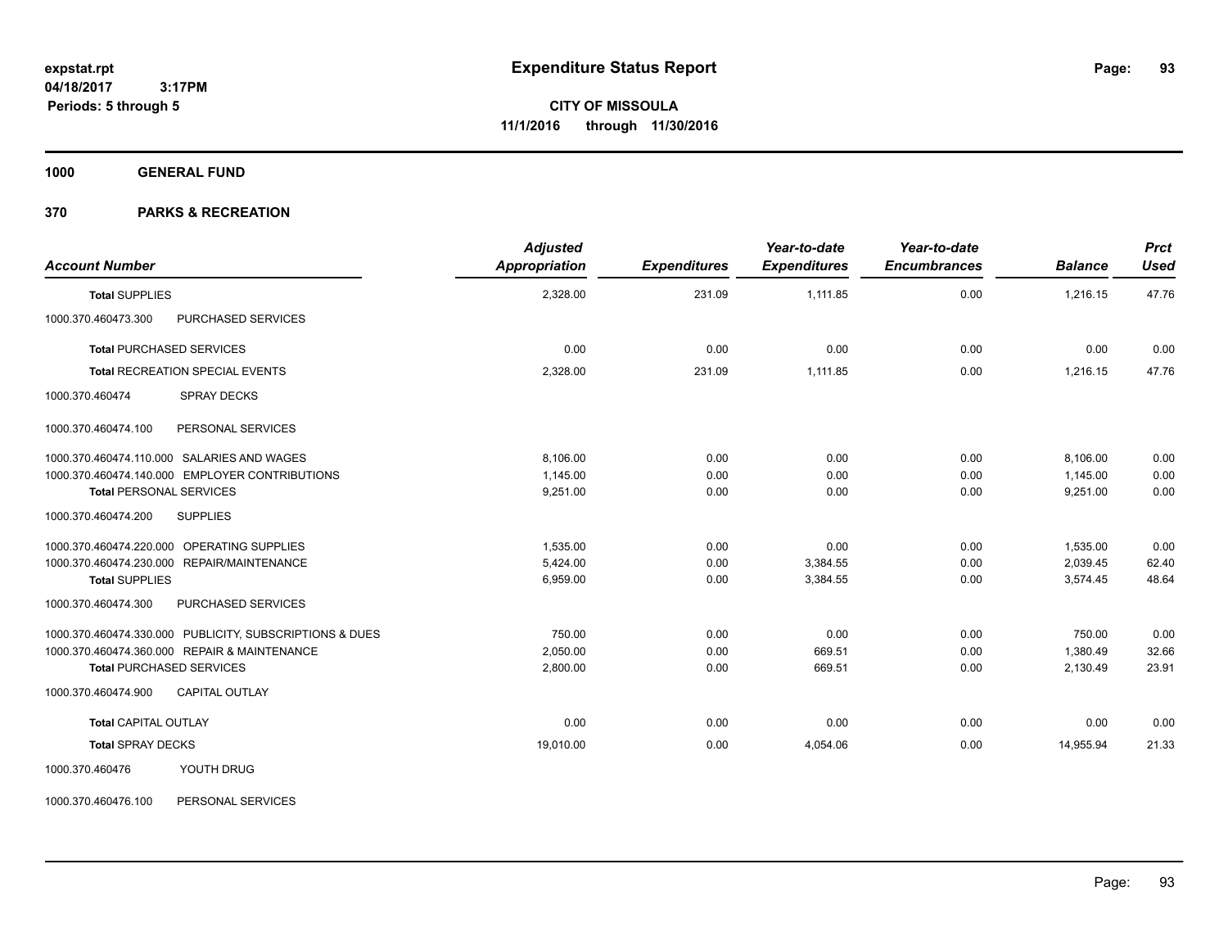**1000 GENERAL FUND**

#### **370 PARKS & RECREATION**

| <b>Account Number</b>           |                                                         | <b>Adjusted</b><br><b>Appropriation</b> | <b>Expenditures</b> | Year-to-date<br><b>Expenditures</b> | Year-to-date<br><b>Encumbrances</b> | <b>Balance</b> | <b>Prct</b><br><b>Used</b> |
|---------------------------------|---------------------------------------------------------|-----------------------------------------|---------------------|-------------------------------------|-------------------------------------|----------------|----------------------------|
| <b>Total SUPPLIES</b>           |                                                         | 2,328.00                                | 231.09              | 1.111.85                            | 0.00                                | 1,216.15       | 47.76                      |
| 1000.370.460473.300             | PURCHASED SERVICES                                      |                                         |                     |                                     |                                     |                |                            |
| <b>Total PURCHASED SERVICES</b> |                                                         | 0.00                                    | 0.00                | 0.00                                | 0.00                                | 0.00           | 0.00                       |
|                                 | <b>Total RECREATION SPECIAL EVENTS</b>                  | 2,328.00                                | 231.09              | 1,111.85                            | 0.00                                | 1,216.15       | 47.76                      |
| 1000.370.460474                 | <b>SPRAY DECKS</b>                                      |                                         |                     |                                     |                                     |                |                            |
| 1000.370.460474.100             | PERSONAL SERVICES                                       |                                         |                     |                                     |                                     |                |                            |
|                                 | 1000.370.460474.110.000 SALARIES AND WAGES              | 8.106.00                                | 0.00                | 0.00                                | 0.00                                | 8,106.00       | 0.00                       |
|                                 | 1000.370.460474.140.000 EMPLOYER CONTRIBUTIONS          | 1.145.00                                | 0.00                | 0.00                                | 0.00                                | 1.145.00       | 0.00                       |
| <b>Total PERSONAL SERVICES</b>  |                                                         | 9,251.00                                | 0.00                | 0.00                                | 0.00                                | 9,251.00       | 0.00                       |
| 1000.370.460474.200             | <b>SUPPLIES</b>                                         |                                         |                     |                                     |                                     |                |                            |
|                                 | 1000.370.460474.220.000 OPERATING SUPPLIES              | 1,535.00                                | 0.00                | 0.00                                | 0.00                                | 1,535.00       | 0.00                       |
|                                 | 1000.370.460474.230.000 REPAIR/MAINTENANCE              | 5,424.00                                | 0.00                | 3,384.55                            | 0.00                                | 2,039.45       | 62.40                      |
| <b>Total SUPPLIES</b>           |                                                         | 6,959.00                                | 0.00                | 3,384.55                            | 0.00                                | 3,574.45       | 48.64                      |
| 1000.370.460474.300             | PURCHASED SERVICES                                      |                                         |                     |                                     |                                     |                |                            |
|                                 | 1000.370.460474.330.000 PUBLICITY, SUBSCRIPTIONS & DUES | 750.00                                  | 0.00                | 0.00                                | 0.00                                | 750.00         | 0.00                       |
|                                 | 1000.370.460474.360.000 REPAIR & MAINTENANCE            | 2,050.00                                | 0.00                | 669.51                              | 0.00                                | 1,380.49       | 32.66                      |
| <b>Total PURCHASED SERVICES</b> |                                                         | 2,800.00                                | 0.00                | 669.51                              | 0.00                                | 2,130.49       | 23.91                      |
| 1000.370.460474.900             | <b>CAPITAL OUTLAY</b>                                   |                                         |                     |                                     |                                     |                |                            |
| <b>Total CAPITAL OUTLAY</b>     |                                                         | 0.00                                    | 0.00                | 0.00                                | 0.00                                | 0.00           | 0.00                       |
| <b>Total SPRAY DECKS</b>        |                                                         | 19,010.00                               | 0.00                | 4,054.06                            | 0.00                                | 14,955.94      | 21.33                      |
| 1000.370.460476                 | YOUTH DRUG                                              |                                         |                     |                                     |                                     |                |                            |

1000.370.460476.100 PERSONAL SERVICES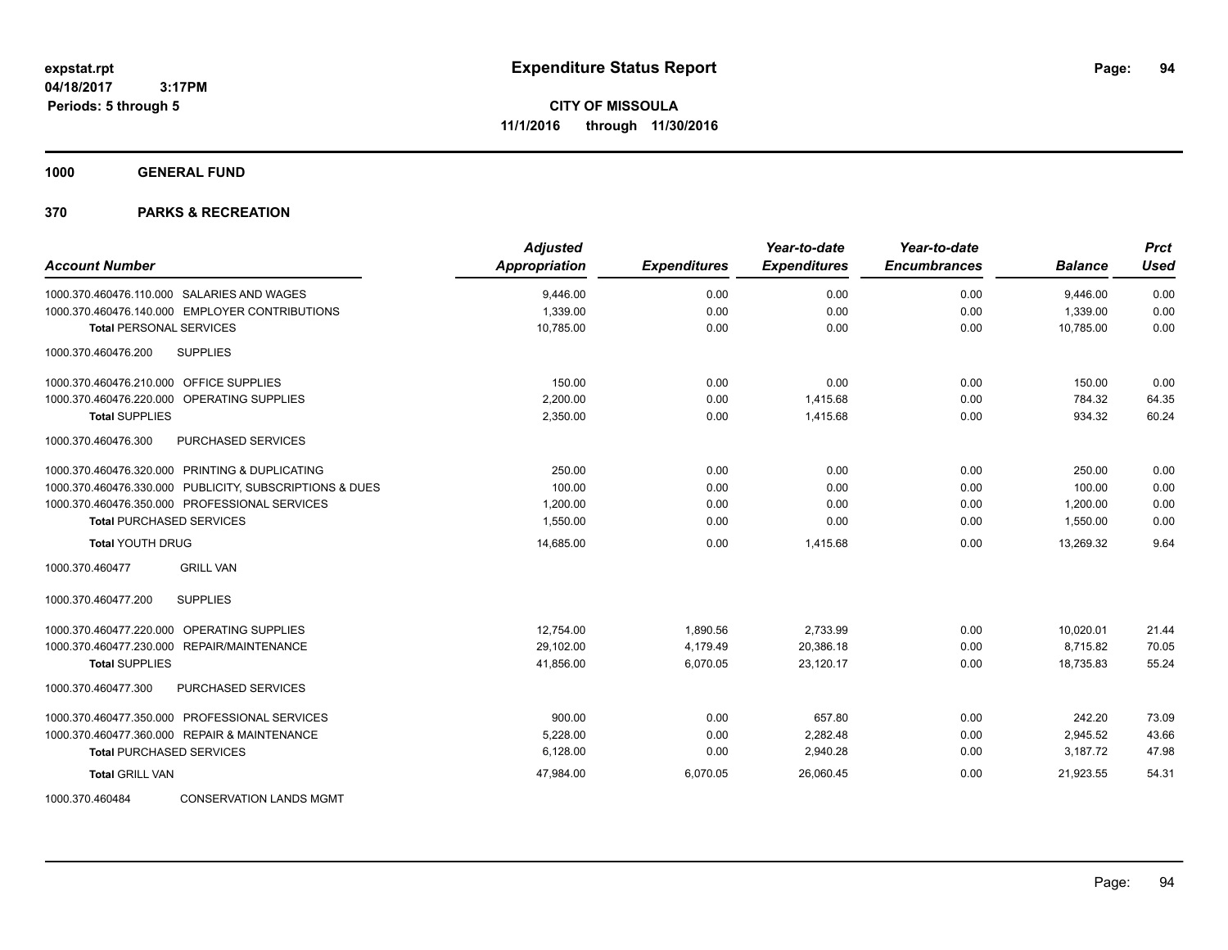**1000 GENERAL FUND**

| <b>Account Number</b>                                   | <b>Adjusted</b><br><b>Appropriation</b> | <b>Expenditures</b> | Year-to-date<br><b>Expenditures</b> | Year-to-date<br><b>Encumbrances</b> | <b>Balance</b> | <b>Prct</b><br><b>Used</b> |
|---------------------------------------------------------|-----------------------------------------|---------------------|-------------------------------------|-------------------------------------|----------------|----------------------------|
| 1000.370.460476.110.000 SALARIES AND WAGES              | 9,446.00                                | 0.00                | 0.00                                | 0.00                                | 9,446.00       | 0.00                       |
| 1000.370.460476.140.000 EMPLOYER CONTRIBUTIONS          | 1,339.00                                | 0.00                | 0.00                                | 0.00                                | 1,339.00       | 0.00                       |
| <b>Total PERSONAL SERVICES</b>                          | 10,785.00                               | 0.00                | 0.00                                | 0.00                                | 10.785.00      | 0.00                       |
| 1000.370.460476.200<br><b>SUPPLIES</b>                  |                                         |                     |                                     |                                     |                |                            |
| 1000.370.460476.210.000 OFFICE SUPPLIES                 | 150.00                                  | 0.00                | 0.00                                | 0.00                                | 150.00         | 0.00                       |
| 1000.370.460476.220.000 OPERATING SUPPLIES              | 2,200.00                                | 0.00                | 1,415.68                            | 0.00                                | 784.32         | 64.35                      |
| <b>Total SUPPLIES</b>                                   | 2,350.00                                | 0.00                | 1,415.68                            | 0.00                                | 934.32         | 60.24                      |
| 1000.370.460476.300<br><b>PURCHASED SERVICES</b>        |                                         |                     |                                     |                                     |                |                            |
| 1000.370.460476.320.000 PRINTING & DUPLICATING          | 250.00                                  | 0.00                | 0.00                                | 0.00                                | 250.00         | 0.00                       |
| 1000.370.460476.330.000 PUBLICITY, SUBSCRIPTIONS & DUES | 100.00                                  | 0.00                | 0.00                                | 0.00                                | 100.00         | 0.00                       |
| 1000.370.460476.350.000 PROFESSIONAL SERVICES           | 1,200.00                                | 0.00                | 0.00                                | 0.00                                | 1,200.00       | 0.00                       |
| <b>Total PURCHASED SERVICES</b>                         | 1,550.00                                | 0.00                | 0.00                                | 0.00                                | 1,550.00       | 0.00                       |
| <b>Total YOUTH DRUG</b>                                 | 14,685.00                               | 0.00                | 1,415.68                            | 0.00                                | 13,269.32      | 9.64                       |
| <b>GRILL VAN</b><br>1000.370.460477                     |                                         |                     |                                     |                                     |                |                            |
| 1000.370.460477.200<br><b>SUPPLIES</b>                  |                                         |                     |                                     |                                     |                |                            |
| 1000.370.460477.220.000 OPERATING SUPPLIES              | 12,754.00                               | 1,890.56            | 2,733.99                            | 0.00                                | 10,020.01      | 21.44                      |
| 1000.370.460477.230.000 REPAIR/MAINTENANCE              | 29,102.00                               | 4,179.49            | 20,386.18                           | 0.00                                | 8,715.82       | 70.05                      |
| <b>Total SUPPLIES</b>                                   | 41,856.00                               | 6,070.05            | 23,120.17                           | 0.00                                | 18,735.83      | 55.24                      |
| 1000.370.460477.300<br><b>PURCHASED SERVICES</b>        |                                         |                     |                                     |                                     |                |                            |
| 1000.370.460477.350.000 PROFESSIONAL SERVICES           | 900.00                                  | 0.00                | 657.80                              | 0.00                                | 242.20         | 73.09                      |
| 1000.370.460477.360.000 REPAIR & MAINTENANCE            | 5,228.00                                | 0.00                | 2,282.48                            | 0.00                                | 2,945.52       | 43.66                      |
| <b>Total PURCHASED SERVICES</b>                         | 6,128.00                                | 0.00                | 2,940.28                            | 0.00                                | 3,187.72       | 47.98                      |
| <b>Total GRILL VAN</b>                                  | 47,984.00                               | 6,070.05            | 26,060.45                           | 0.00                                | 21,923.55      | 54.31                      |
| 1000.370.460484<br><b>CONSERVATION LANDS MGMT</b>       |                                         |                     |                                     |                                     |                |                            |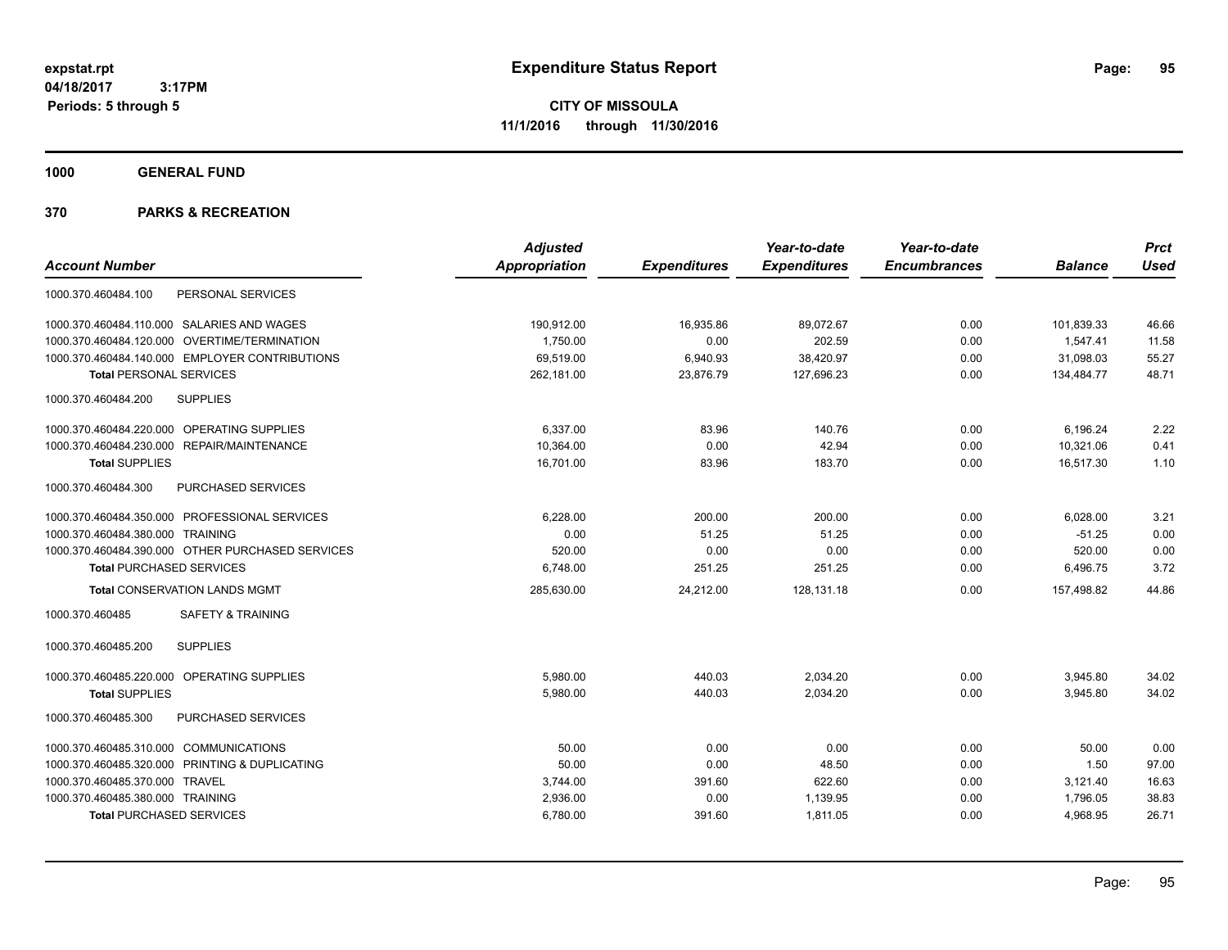**CITY OF MISSOULA 11/1/2016 through 11/30/2016**

**1000 GENERAL FUND**

|                                                  | <b>Adjusted</b> |                     | Year-to-date        | Year-to-date        |                | <b>Prct</b> |
|--------------------------------------------------|-----------------|---------------------|---------------------|---------------------|----------------|-------------|
| <b>Account Number</b>                            | Appropriation   | <b>Expenditures</b> | <b>Expenditures</b> | <b>Encumbrances</b> | <b>Balance</b> | <b>Used</b> |
| PERSONAL SERVICES<br>1000.370.460484.100         |                 |                     |                     |                     |                |             |
| 1000.370.460484.110.000 SALARIES AND WAGES       | 190,912.00      | 16,935.86           | 89,072.67           | 0.00                | 101,839.33     | 46.66       |
| 1000.370.460484.120.000 OVERTIME/TERMINATION     | 1,750.00        | 0.00                | 202.59              | 0.00                | 1,547.41       | 11.58       |
| 1000.370.460484.140.000 EMPLOYER CONTRIBUTIONS   | 69,519.00       | 6,940.93            | 38,420.97           | 0.00                | 31,098.03      | 55.27       |
| <b>Total PERSONAL SERVICES</b>                   | 262,181.00      | 23,876.79           | 127,696.23          | 0.00                | 134,484.77     | 48.71       |
| <b>SUPPLIES</b><br>1000.370.460484.200           |                 |                     |                     |                     |                |             |
| 1000.370.460484.220.000 OPERATING SUPPLIES       | 6,337.00        | 83.96               | 140.76              | 0.00                | 6,196.24       | 2.22        |
| 1000.370.460484.230.000 REPAIR/MAINTENANCE       | 10,364.00       | 0.00                | 42.94               | 0.00                | 10,321.06      | 0.41        |
| <b>Total SUPPLIES</b>                            | 16,701.00       | 83.96               | 183.70              | 0.00                | 16,517.30      | 1.10        |
| 1000.370.460484.300<br>PURCHASED SERVICES        |                 |                     |                     |                     |                |             |
| 1000.370.460484.350.000 PROFESSIONAL SERVICES    | 6,228.00        | 200.00              | 200.00              | 0.00                | 6,028.00       | 3.21        |
| 1000.370.460484.380.000 TRAINING                 | 0.00            | 51.25               | 51.25               | 0.00                | $-51.25$       | 0.00        |
| 1000.370.460484.390.000 OTHER PURCHASED SERVICES | 520.00          | 0.00                | 0.00                | 0.00                | 520.00         | 0.00        |
| <b>Total PURCHASED SERVICES</b>                  | 6,748.00        | 251.25              | 251.25              | 0.00                | 6,496.75       | 3.72        |
| <b>Total CONSERVATION LANDS MGMT</b>             | 285,630.00      | 24,212.00           | 128,131.18          | 0.00                | 157,498.82     | 44.86       |
| <b>SAFETY &amp; TRAINING</b><br>1000.370.460485  |                 |                     |                     |                     |                |             |
| <b>SUPPLIES</b><br>1000.370.460485.200           |                 |                     |                     |                     |                |             |
| 1000.370.460485.220.000 OPERATING SUPPLIES       | 5,980.00        | 440.03              | 2,034.20            | 0.00                | 3,945.80       | 34.02       |
| <b>Total SUPPLIES</b>                            | 5,980.00        | 440.03              | 2,034.20            | 0.00                | 3,945.80       | 34.02       |
| <b>PURCHASED SERVICES</b><br>1000.370.460485.300 |                 |                     |                     |                     |                |             |
| 1000.370.460485.310.000 COMMUNICATIONS           | 50.00           | 0.00                | 0.00                | 0.00                | 50.00          | 0.00        |
| 1000.370.460485.320.000 PRINTING & DUPLICATING   | 50.00           | 0.00                | 48.50               | 0.00                | 1.50           | 97.00       |
| 1000.370.460485.370.000 TRAVEL                   | 3,744.00        | 391.60              | 622.60              | 0.00                | 3,121.40       | 16.63       |
| 1000.370.460485.380.000 TRAINING                 | 2,936.00        | 0.00                | 1,139.95            | 0.00                | 1,796.05       | 38.83       |
| <b>Total PURCHASED SERVICES</b>                  | 6,780.00        | 391.60              | 1,811.05            | 0.00                | 4,968.95       | 26.71       |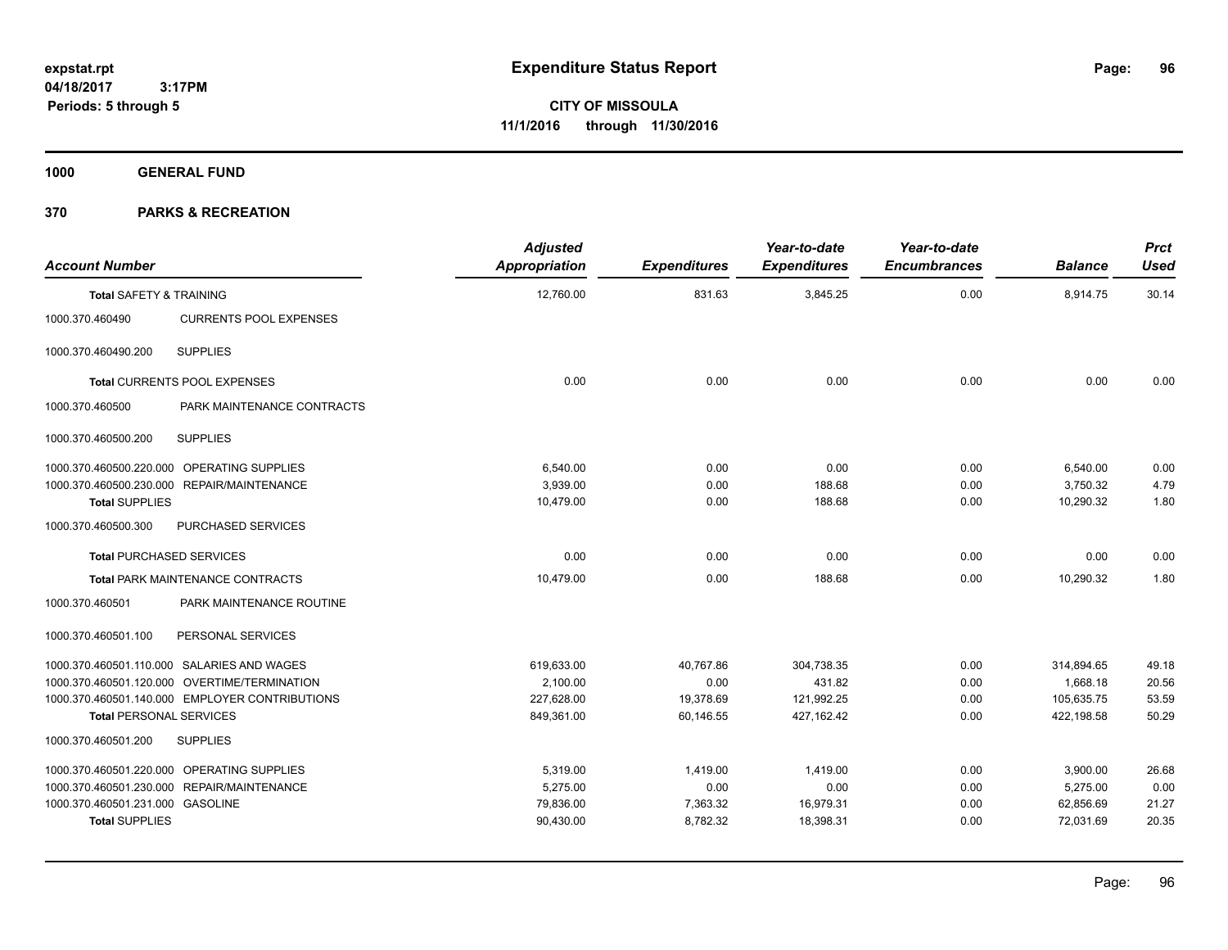**Periods: 5 through 5**

**CITY OF MISSOULA 11/1/2016 through 11/30/2016**

**1000 GENERAL FUND**

| <b>Account Number</b>              |                                                | <b>Adjusted</b><br>Appropriation | <b>Expenditures</b> | Year-to-date<br><b>Expenditures</b> | Year-to-date<br><b>Encumbrances</b> | <b>Balance</b> | <b>Prct</b><br><b>Used</b> |
|------------------------------------|------------------------------------------------|----------------------------------|---------------------|-------------------------------------|-------------------------------------|----------------|----------------------------|
| <b>Total SAFETY &amp; TRAINING</b> |                                                | 12,760.00                        | 831.63              | 3,845.25                            | 0.00                                | 8,914.75       | 30.14                      |
| 1000.370.460490                    | <b>CURRENTS POOL EXPENSES</b>                  |                                  |                     |                                     |                                     |                |                            |
| 1000.370.460490.200                | <b>SUPPLIES</b>                                |                                  |                     |                                     |                                     |                |                            |
|                                    | Total CURRENTS POOL EXPENSES                   | 0.00                             | 0.00                | 0.00                                | 0.00                                | 0.00           | 0.00                       |
| 1000.370.460500                    | PARK MAINTENANCE CONTRACTS                     |                                  |                     |                                     |                                     |                |                            |
| 1000.370.460500.200                | <b>SUPPLIES</b>                                |                                  |                     |                                     |                                     |                |                            |
|                                    | 1000.370.460500.220.000 OPERATING SUPPLIES     | 6,540.00                         | 0.00                | 0.00                                | 0.00                                | 6,540.00       | 0.00                       |
|                                    | 1000.370.460500.230.000 REPAIR/MAINTENANCE     | 3.939.00                         | 0.00                | 188.68                              | 0.00                                | 3,750.32       | 4.79                       |
| <b>Total SUPPLIES</b>              |                                                | 10,479.00                        | 0.00                | 188.68                              | 0.00                                | 10,290.32      | 1.80                       |
| 1000.370.460500.300                | PURCHASED SERVICES                             |                                  |                     |                                     |                                     |                |                            |
| <b>Total PURCHASED SERVICES</b>    |                                                | 0.00                             | 0.00                | 0.00                                | 0.00                                | 0.00           | 0.00                       |
|                                    | <b>Total PARK MAINTENANCE CONTRACTS</b>        | 10,479.00                        | 0.00                | 188.68                              | 0.00                                | 10,290.32      | 1.80                       |
| 1000.370.460501                    | PARK MAINTENANCE ROUTINE                       |                                  |                     |                                     |                                     |                |                            |
| 1000.370.460501.100                | PERSONAL SERVICES                              |                                  |                     |                                     |                                     |                |                            |
|                                    | 1000.370.460501.110.000 SALARIES AND WAGES     | 619,633.00                       | 40,767.86           | 304,738.35                          | 0.00                                | 314,894.65     | 49.18                      |
|                                    | 1000.370.460501.120.000 OVERTIME/TERMINATION   | 2.100.00                         | 0.00                | 431.82                              | 0.00                                | 1,668.18       | 20.56                      |
|                                    | 1000.370.460501.140.000 EMPLOYER CONTRIBUTIONS | 227,628.00                       | 19,378.69           | 121,992.25                          | 0.00                                | 105,635.75     | 53.59                      |
| <b>Total PERSONAL SERVICES</b>     |                                                | 849,361.00                       | 60.146.55           | 427.162.42                          | 0.00                                | 422.198.58     | 50.29                      |
| 1000.370.460501.200                | <b>SUPPLIES</b>                                |                                  |                     |                                     |                                     |                |                            |
|                                    | 1000.370.460501.220.000 OPERATING SUPPLIES     | 5,319.00                         | 1,419.00            | 1,419.00                            | 0.00                                | 3,900.00       | 26.68                      |
|                                    | 1000.370.460501.230.000 REPAIR/MAINTENANCE     | 5,275.00                         | 0.00                | 0.00                                | 0.00                                | 5,275.00       | 0.00                       |
| 1000.370.460501.231.000 GASOLINE   |                                                | 79,836.00                        | 7,363.32            | 16,979.31                           | 0.00                                | 62,856.69      | 21.27                      |
| <b>Total SUPPLIES</b>              |                                                | 90,430.00                        | 8,782.32            | 18,398.31                           | 0.00                                | 72,031.69      | 20.35                      |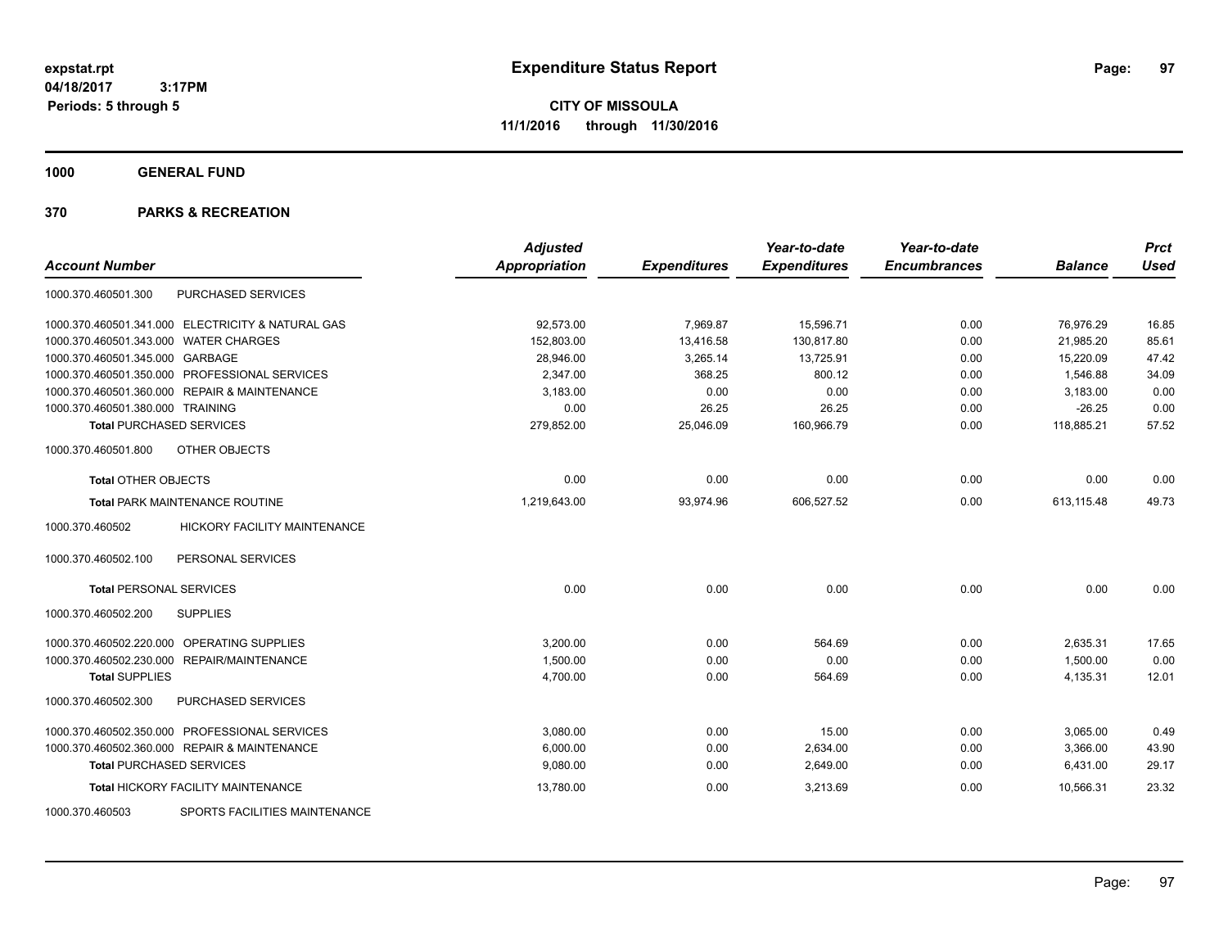**CITY OF MISSOULA 11/1/2016 through 11/30/2016**

**1000 GENERAL FUND**

| <b>Account Number</b>                                  | <b>Adjusted</b><br><b>Appropriation</b> | <b>Expenditures</b> | Year-to-date<br><b>Expenditures</b> | Year-to-date<br><b>Encumbrances</b> | <b>Balance</b> | <b>Prct</b><br><b>Used</b> |
|--------------------------------------------------------|-----------------------------------------|---------------------|-------------------------------------|-------------------------------------|----------------|----------------------------|
| <b>PURCHASED SERVICES</b><br>1000.370.460501.300       |                                         |                     |                                     |                                     |                |                            |
| 1000.370.460501.341.000 ELECTRICITY & NATURAL GAS      | 92,573.00                               | 7,969.87            | 15,596.71                           | 0.00                                | 76,976.29      | 16.85                      |
| 1000.370.460501.343.000 WATER CHARGES                  | 152,803.00                              | 13,416.58           | 130,817.80                          | 0.00                                | 21,985.20      | 85.61                      |
| 1000.370.460501.345.000 GARBAGE                        | 28,946.00                               | 3,265.14            | 13,725.91                           | 0.00                                | 15,220.09      | 47.42                      |
| 1000.370.460501.350.000 PROFESSIONAL SERVICES          | 2,347.00                                | 368.25              | 800.12                              | 0.00                                | 1,546.88       | 34.09                      |
| 1000.370.460501.360.000 REPAIR & MAINTENANCE           | 3,183.00                                | 0.00                | 0.00                                | 0.00                                | 3,183.00       | 0.00                       |
| 1000.370.460501.380.000 TRAINING                       | 0.00                                    | 26.25               | 26.25                               | 0.00                                | $-26.25$       | 0.00                       |
| <b>Total PURCHASED SERVICES</b>                        | 279,852.00                              | 25,046.09           | 160,966.79                          | 0.00                                | 118,885.21     | 57.52                      |
| 1000.370.460501.800<br>OTHER OBJECTS                   |                                         |                     |                                     |                                     |                |                            |
| <b>Total OTHER OBJECTS</b>                             | 0.00                                    | 0.00                | 0.00                                | 0.00                                | 0.00           | 0.00                       |
| <b>Total PARK MAINTENANCE ROUTINE</b>                  | 1,219,643.00                            | 93,974.96           | 606,527.52                          | 0.00                                | 613,115.48     | 49.73                      |
| 1000.370.460502<br><b>HICKORY FACILITY MAINTENANCE</b> |                                         |                     |                                     |                                     |                |                            |
| 1000.370.460502.100<br>PERSONAL SERVICES               |                                         |                     |                                     |                                     |                |                            |
| <b>Total PERSONAL SERVICES</b>                         | 0.00                                    | 0.00                | 0.00                                | 0.00                                | 0.00           | 0.00                       |
| 1000.370.460502.200<br><b>SUPPLIES</b>                 |                                         |                     |                                     |                                     |                |                            |
| 1000.370.460502.220.000 OPERATING SUPPLIES             | 3,200.00                                | 0.00                | 564.69                              | 0.00                                | 2,635.31       | 17.65                      |
| 1000.370.460502.230.000 REPAIR/MAINTENANCE             | 1,500.00                                | 0.00                | 0.00                                | 0.00                                | 1,500.00       | 0.00                       |
| <b>Total SUPPLIES</b>                                  | 4,700.00                                | 0.00                | 564.69                              | 0.00                                | 4,135.31       | 12.01                      |
| 1000.370.460502.300<br>PURCHASED SERVICES              |                                         |                     |                                     |                                     |                |                            |
| 1000.370.460502.350.000 PROFESSIONAL SERVICES          | 3,080.00                                | 0.00                | 15.00                               | 0.00                                | 3,065.00       | 0.49                       |
| 1000.370.460502.360.000 REPAIR & MAINTENANCE           | 6,000.00                                | 0.00                | 2,634.00                            | 0.00                                | 3,366.00       | 43.90                      |
| <b>Total PURCHASED SERVICES</b>                        | 9,080.00                                | 0.00                | 2,649.00                            | 0.00                                | 6,431.00       | 29.17                      |
| <b>Total HICKORY FACILITY MAINTENANCE</b>              | 13,780.00                               | 0.00                | 3,213.69                            | 0.00                                | 10,566.31      | 23.32                      |
| SPORTS FACILITIES MAINTENANCE<br>1000.370.460503       |                                         |                     |                                     |                                     |                |                            |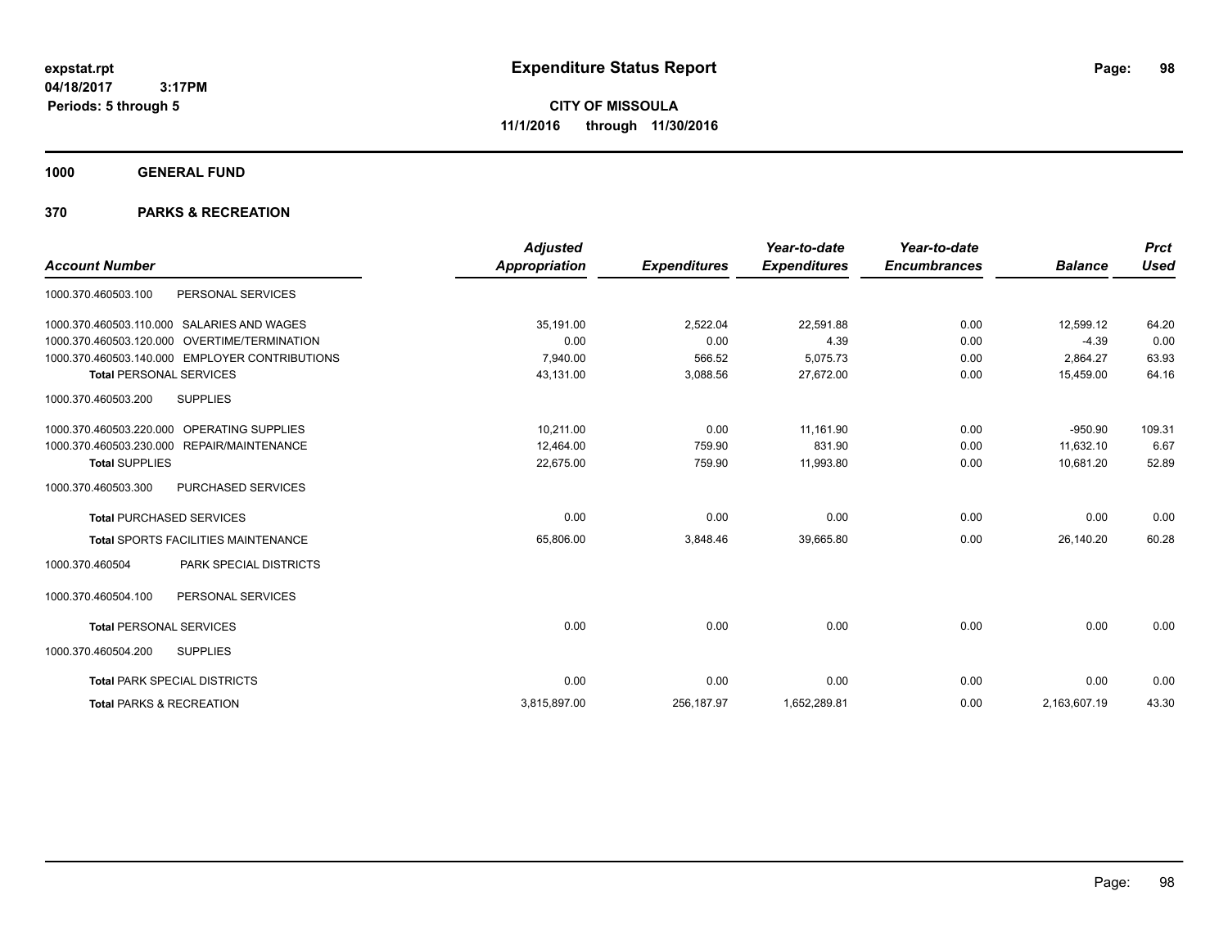**CITY OF MISSOULA 11/1/2016 through 11/30/2016**

**1000 GENERAL FUND**

| <b>Account Number</b>                                  | <b>Adjusted</b><br><b>Appropriation</b> | <b>Expenditures</b> | Year-to-date<br><b>Expenditures</b> | Year-to-date<br><b>Encumbrances</b> | <b>Balance</b> | <b>Prct</b><br><b>Used</b> |
|--------------------------------------------------------|-----------------------------------------|---------------------|-------------------------------------|-------------------------------------|----------------|----------------------------|
| PERSONAL SERVICES<br>1000.370.460503.100               |                                         |                     |                                     |                                     |                |                            |
| 1000.370.460503.110.000 SALARIES AND WAGES             | 35,191.00                               | 2,522.04            | 22,591.88                           | 0.00                                | 12,599.12      | 64.20                      |
| 1000.370.460503.120.000<br><b>OVERTIME/TERMINATION</b> | 0.00                                    | 0.00                | 4.39                                | 0.00                                | $-4.39$        | 0.00                       |
| 1000.370.460503.140.000 EMPLOYER CONTRIBUTIONS         | 7,940.00                                | 566.52              | 5,075.73                            | 0.00                                | 2,864.27       | 63.93                      |
| <b>Total PERSONAL SERVICES</b>                         | 43,131.00                               | 3,088.56            | 27,672.00                           | 0.00                                | 15,459.00      | 64.16                      |
| <b>SUPPLIES</b><br>1000.370.460503.200                 |                                         |                     |                                     |                                     |                |                            |
| OPERATING SUPPLIES<br>1000.370.460503.220.000          | 10,211.00                               | 0.00                | 11,161.90                           | 0.00                                | $-950.90$      | 109.31                     |
| 1000.370.460503.230.000<br>REPAIR/MAINTENANCE          | 12,464.00                               | 759.90              | 831.90                              | 0.00                                | 11,632.10      | 6.67                       |
| <b>Total SUPPLIES</b>                                  | 22,675.00                               | 759.90              | 11,993.80                           | 0.00                                | 10,681.20      | 52.89                      |
| 1000.370.460503.300<br><b>PURCHASED SERVICES</b>       |                                         |                     |                                     |                                     |                |                            |
| <b>Total PURCHASED SERVICES</b>                        | 0.00                                    | 0.00                | 0.00                                | 0.00                                | 0.00           | 0.00                       |
| Total SPORTS FACILITIES MAINTENANCE                    | 65,806.00                               | 3,848.46            | 39,665.80                           | 0.00                                | 26,140.20      | 60.28                      |
| <b>PARK SPECIAL DISTRICTS</b><br>1000.370.460504       |                                         |                     |                                     |                                     |                |                            |
| PERSONAL SERVICES<br>1000.370.460504.100               |                                         |                     |                                     |                                     |                |                            |
| <b>Total PERSONAL SERVICES</b>                         | 0.00                                    | 0.00                | 0.00                                | 0.00                                | 0.00           | 0.00                       |
| 1000.370.460504.200<br><b>SUPPLIES</b>                 |                                         |                     |                                     |                                     |                |                            |
| <b>Total PARK SPECIAL DISTRICTS</b>                    | 0.00                                    | 0.00                | 0.00                                | 0.00                                | 0.00           | 0.00                       |
| <b>Total PARKS &amp; RECREATION</b>                    | 3,815,897.00                            | 256, 187.97         | 1,652,289.81                        | 0.00                                | 2,163,607.19   | 43.30                      |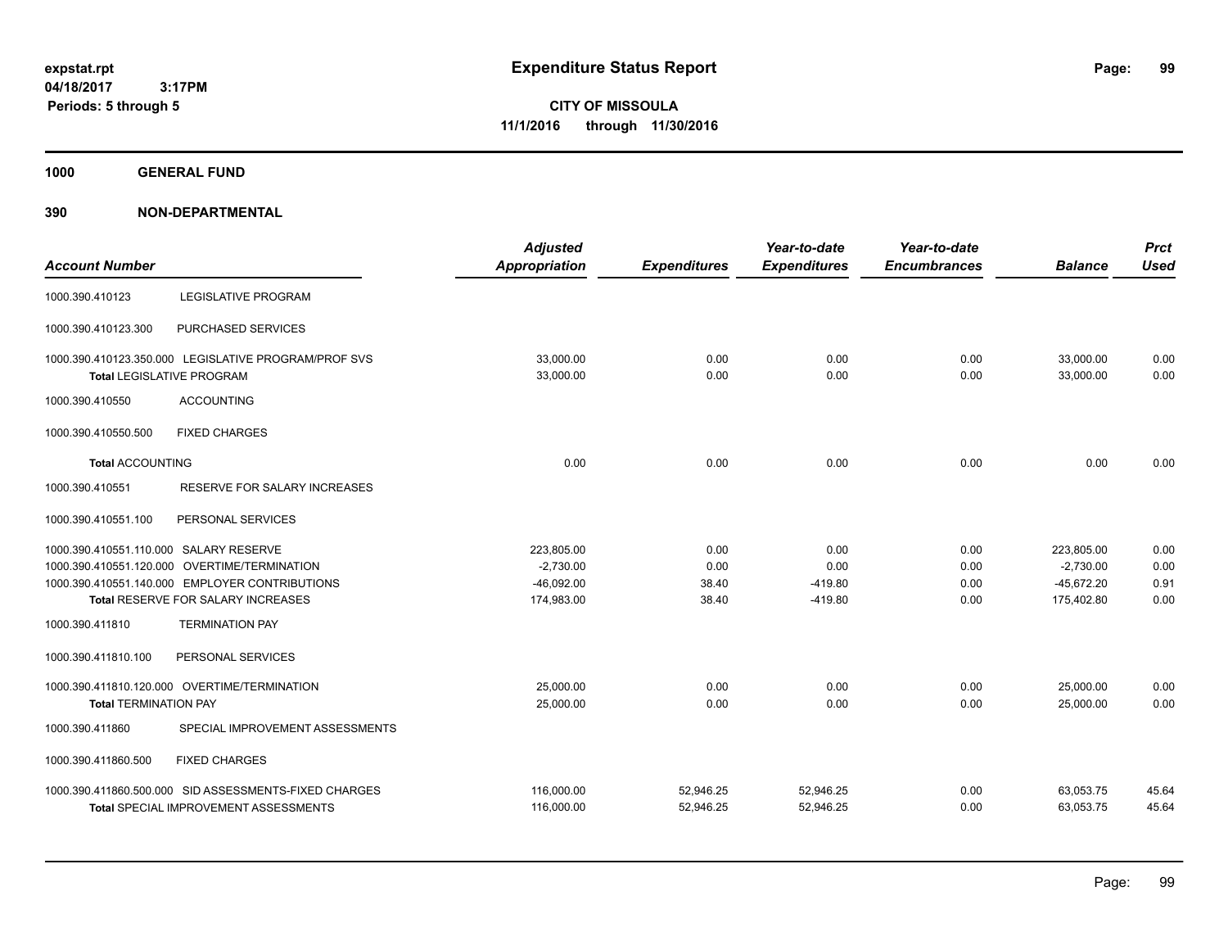**Periods: 5 through 5**

**CITY OF MISSOULA 11/1/2016 through 11/30/2016**

**1000 GENERAL FUND**

# **390 NON-DEPARTMENTAL**

 **3:17PM**

| <b>Account Number</b>                  |                                                                                   | <b>Adjusted</b><br>Appropriation | <b>Expenditures</b> | Year-to-date<br><b>Expenditures</b> | Year-to-date<br><b>Encumbrances</b> | <b>Balance</b>         | <b>Prct</b><br><b>Used</b> |
|----------------------------------------|-----------------------------------------------------------------------------------|----------------------------------|---------------------|-------------------------------------|-------------------------------------|------------------------|----------------------------|
| 1000.390.410123                        | LEGISLATIVE PROGRAM                                                               |                                  |                     |                                     |                                     |                        |                            |
| 1000.390.410123.300                    | PURCHASED SERVICES                                                                |                                  |                     |                                     |                                     |                        |                            |
|                                        | 1000.390.410123.350.000 LEGISLATIVE PROGRAM/PROF SVS<br>Total LEGISLATIVE PROGRAM | 33,000.00<br>33,000.00           | 0.00<br>0.00        | 0.00<br>0.00                        | 0.00<br>0.00                        | 33,000.00<br>33,000.00 | 0.00<br>0.00               |
| 1000.390.410550                        | <b>ACCOUNTING</b>                                                                 |                                  |                     |                                     |                                     |                        |                            |
| 1000.390.410550.500                    | <b>FIXED CHARGES</b>                                                              |                                  |                     |                                     |                                     |                        |                            |
| <b>Total ACCOUNTING</b>                |                                                                                   | 0.00                             | 0.00                | 0.00                                | 0.00                                | 0.00                   | 0.00                       |
| 1000.390.410551                        | RESERVE FOR SALARY INCREASES                                                      |                                  |                     |                                     |                                     |                        |                            |
| 1000.390.410551.100                    | PERSONAL SERVICES                                                                 |                                  |                     |                                     |                                     |                        |                            |
| 1000.390.410551.110.000 SALARY RESERVE |                                                                                   | 223,805.00                       | 0.00                | 0.00                                | 0.00                                | 223,805.00             | 0.00                       |
|                                        | 1000.390.410551.120.000 OVERTIME/TERMINATION                                      | $-2,730.00$                      | 0.00                | 0.00                                | 0.00                                | $-2,730.00$            | 0.00                       |
|                                        | 1000.390.410551.140.000 EMPLOYER CONTRIBUTIONS                                    | $-46,092.00$                     | 38.40               | $-419.80$                           | 0.00                                | $-45,672.20$           | 0.91                       |
|                                        | Total RESERVE FOR SALARY INCREASES                                                | 174,983.00                       | 38.40               | $-419.80$                           | 0.00                                | 175,402.80             | 0.00                       |
| 1000.390.411810                        | <b>TERMINATION PAY</b>                                                            |                                  |                     |                                     |                                     |                        |                            |
| 1000.390.411810.100                    | PERSONAL SERVICES                                                                 |                                  |                     |                                     |                                     |                        |                            |
|                                        | 1000.390.411810.120.000 OVERTIME/TERMINATION                                      | 25,000.00                        | 0.00                | 0.00                                | 0.00                                | 25,000.00              | 0.00                       |
| <b>Total TERMINATION PAY</b>           |                                                                                   | 25,000.00                        | 0.00                | 0.00                                | 0.00                                | 25,000.00              | 0.00                       |
| 1000.390.411860                        | SPECIAL IMPROVEMENT ASSESSMENTS                                                   |                                  |                     |                                     |                                     |                        |                            |
| 1000.390.411860.500                    | <b>FIXED CHARGES</b>                                                              |                                  |                     |                                     |                                     |                        |                            |
|                                        | 1000.390.411860.500.000 SID ASSESSMENTS-FIXED CHARGES                             | 116,000.00                       | 52,946.25           | 52,946.25                           | 0.00                                | 63,053.75              | 45.64                      |
|                                        | <b>Total SPECIAL IMPROVEMENT ASSESSMENTS</b>                                      | 116,000.00                       | 52,946.25           | 52,946.25                           | 0.00                                | 63,053.75              | 45.64                      |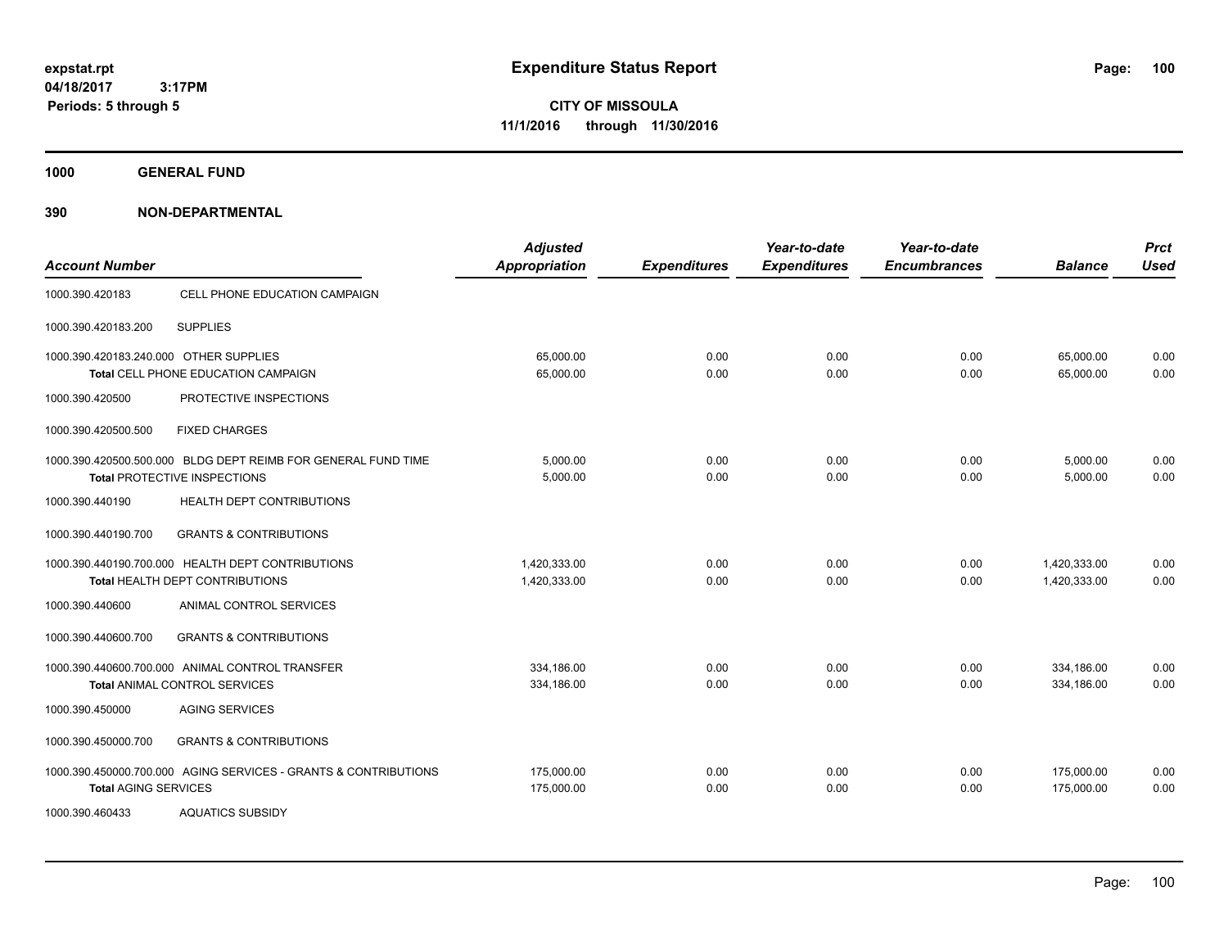**CITY OF MISSOULA 11/1/2016 through 11/30/2016**

**1000 GENERAL FUND**

**390 NON-DEPARTMENTAL**

| <b>Account Number</b>                  |                                                                                               | <b>Adjusted</b><br><b>Appropriation</b> | <b>Expenditures</b> | Year-to-date<br><b>Expenditures</b> | Year-to-date<br><b>Encumbrances</b> | <b>Balance</b>               | <b>Prct</b><br><b>Used</b> |
|----------------------------------------|-----------------------------------------------------------------------------------------------|-----------------------------------------|---------------------|-------------------------------------|-------------------------------------|------------------------------|----------------------------|
| 1000.390.420183                        | CELL PHONE EDUCATION CAMPAIGN                                                                 |                                         |                     |                                     |                                     |                              |                            |
| 1000.390.420183.200                    | <b>SUPPLIES</b>                                                                               |                                         |                     |                                     |                                     |                              |                            |
| 1000.390.420183.240.000 OTHER SUPPLIES | Total CELL PHONE EDUCATION CAMPAIGN                                                           | 65.000.00<br>65,000.00                  | 0.00<br>0.00        | 0.00<br>0.00                        | 0.00<br>0.00                        | 65,000.00<br>65,000.00       | 0.00<br>0.00               |
| 1000.390.420500                        | PROTECTIVE INSPECTIONS                                                                        |                                         |                     |                                     |                                     |                              |                            |
| 1000.390.420500.500                    | <b>FIXED CHARGES</b>                                                                          |                                         |                     |                                     |                                     |                              |                            |
|                                        | 1000.390.420500.500.000 BLDG DEPT REIMB FOR GENERAL FUND TIME<br>Total PROTECTIVE INSPECTIONS | 5,000.00<br>5,000.00                    | 0.00<br>0.00        | 0.00<br>0.00                        | 0.00<br>0.00                        | 5,000.00<br>5,000.00         | 0.00<br>0.00               |
| 1000.390.440190                        | HEALTH DEPT CONTRIBUTIONS                                                                     |                                         |                     |                                     |                                     |                              |                            |
| 1000.390.440190.700                    | <b>GRANTS &amp; CONTRIBUTIONS</b>                                                             |                                         |                     |                                     |                                     |                              |                            |
|                                        | 1000.390.440190.700.000 HEALTH DEPT CONTRIBUTIONS<br>Total HEALTH DEPT CONTRIBUTIONS          | 1.420.333.00<br>1,420,333.00            | 0.00<br>0.00        | 0.00<br>0.00                        | 0.00<br>0.00                        | 1,420,333.00<br>1,420,333.00 | 0.00<br>0.00               |
| 1000.390.440600                        | ANIMAL CONTROL SERVICES                                                                       |                                         |                     |                                     |                                     |                              |                            |
| 1000.390.440600.700                    | <b>GRANTS &amp; CONTRIBUTIONS</b>                                                             |                                         |                     |                                     |                                     |                              |                            |
|                                        | 1000.390.440600.700.000 ANIMAL CONTROL TRANSFER<br>Total ANIMAL CONTROL SERVICES              | 334.186.00<br>334,186.00                | 0.00<br>0.00        | 0.00<br>0.00                        | 0.00<br>0.00                        | 334,186.00<br>334,186.00     | 0.00<br>0.00               |
| 1000.390.450000                        | <b>AGING SERVICES</b>                                                                         |                                         |                     |                                     |                                     |                              |                            |
| 1000.390.450000.700                    | <b>GRANTS &amp; CONTRIBUTIONS</b>                                                             |                                         |                     |                                     |                                     |                              |                            |
| <b>Total AGING SERVICES</b>            | 1000.390.450000.700.000 AGING SERVICES - GRANTS & CONTRIBUTIONS                               | 175,000.00<br>175,000.00                | 0.00<br>0.00        | 0.00<br>0.00                        | 0.00<br>0.00                        | 175,000.00<br>175,000.00     | 0.00<br>0.00               |
| 1000.390.460433                        | <b>AQUATICS SUBSIDY</b>                                                                       |                                         |                     |                                     |                                     |                              |                            |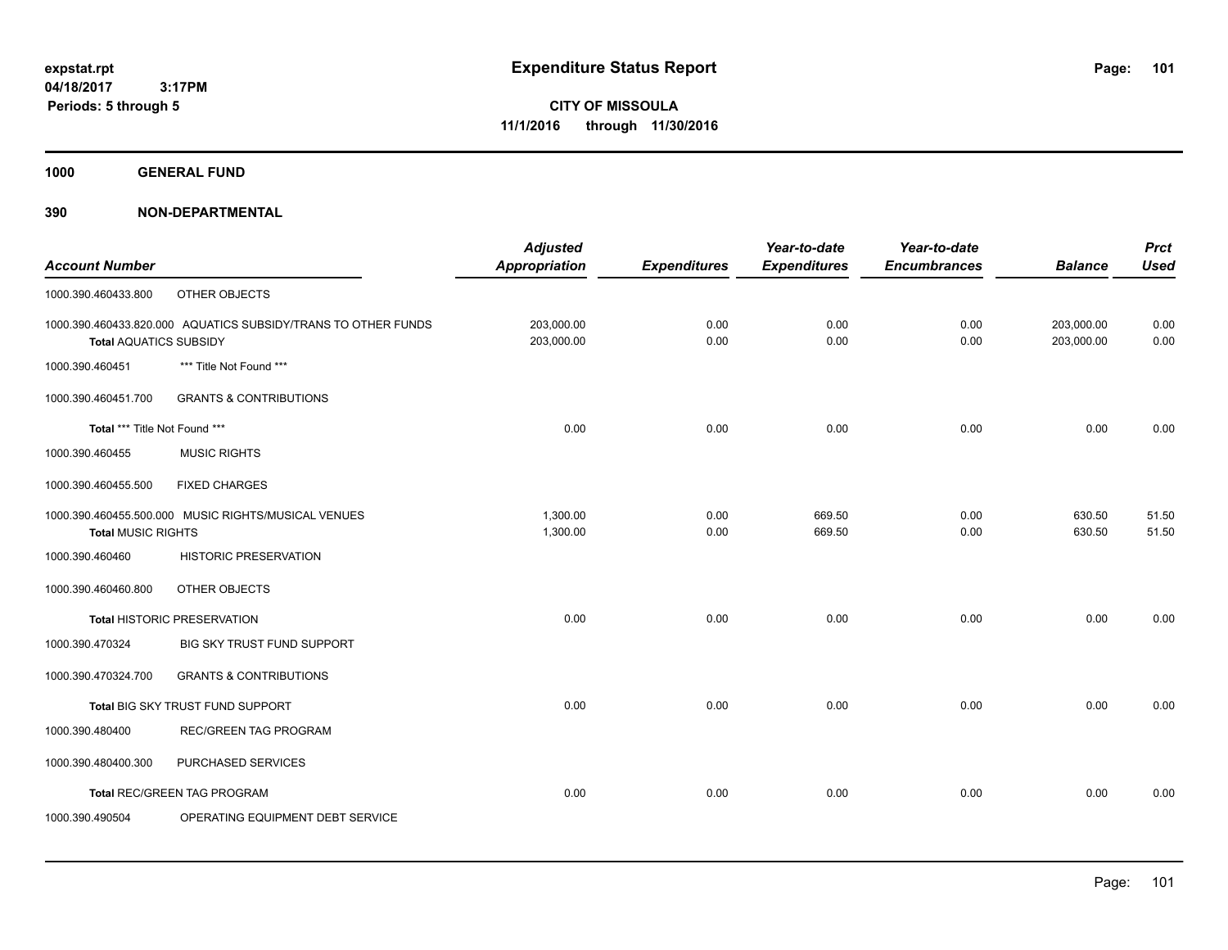**1000 GENERAL FUND**

# **390 NON-DEPARTMENTAL**

|                               |                                                               | <b>Adjusted</b>      |                     | Year-to-date        | Year-to-date        |                | <b>Prct</b> |
|-------------------------------|---------------------------------------------------------------|----------------------|---------------------|---------------------|---------------------|----------------|-------------|
| <b>Account Number</b>         |                                                               | <b>Appropriation</b> | <b>Expenditures</b> | <b>Expenditures</b> | <b>Encumbrances</b> | <b>Balance</b> | <b>Used</b> |
| 1000.390.460433.800           | OTHER OBJECTS                                                 |                      |                     |                     |                     |                |             |
|                               | 1000.390.460433.820.000 AQUATICS SUBSIDY/TRANS TO OTHER FUNDS | 203,000.00           | 0.00                | 0.00                | 0.00                | 203,000.00     | 0.00        |
| <b>Total AQUATICS SUBSIDY</b> |                                                               | 203,000.00           | 0.00                | 0.00                | 0.00                | 203,000.00     | 0.00        |
| 1000.390.460451               | *** Title Not Found ***                                       |                      |                     |                     |                     |                |             |
| 1000.390.460451.700           | <b>GRANTS &amp; CONTRIBUTIONS</b>                             |                      |                     |                     |                     |                |             |
| Total *** Title Not Found *** |                                                               | 0.00                 | 0.00                | 0.00                | 0.00                | 0.00           | 0.00        |
| 1000.390.460455               | <b>MUSIC RIGHTS</b>                                           |                      |                     |                     |                     |                |             |
| 1000.390.460455.500           | <b>FIXED CHARGES</b>                                          |                      |                     |                     |                     |                |             |
|                               | 1000.390.460455.500.000 MUSIC RIGHTS/MUSICAL VENUES           | 1,300.00             | 0.00                | 669.50              | 0.00                | 630.50         | 51.50       |
| <b>Total MUSIC RIGHTS</b>     |                                                               | 1,300.00             | 0.00                | 669.50              | 0.00                | 630.50         | 51.50       |
| 1000.390.460460               | HISTORIC PRESERVATION                                         |                      |                     |                     |                     |                |             |
| 1000.390.460460.800           | OTHER OBJECTS                                                 |                      |                     |                     |                     |                |             |
|                               | <b>Total HISTORIC PRESERVATION</b>                            | 0.00                 | 0.00                | 0.00                | 0.00                | 0.00           | 0.00        |
| 1000.390.470324               | <b>BIG SKY TRUST FUND SUPPORT</b>                             |                      |                     |                     |                     |                |             |
| 1000.390.470324.700           | <b>GRANTS &amp; CONTRIBUTIONS</b>                             |                      |                     |                     |                     |                |             |
|                               | Total BIG SKY TRUST FUND SUPPORT                              | 0.00                 | 0.00                | 0.00                | 0.00                | 0.00           | 0.00        |
| 1000.390.480400               | <b>REC/GREEN TAG PROGRAM</b>                                  |                      |                     |                     |                     |                |             |
| 1000.390.480400.300           | PURCHASED SERVICES                                            |                      |                     |                     |                     |                |             |
|                               | <b>Total REC/GREEN TAG PROGRAM</b>                            | 0.00                 | 0.00                | 0.00                | 0.00                | 0.00           | 0.00        |
| 1000.390.490504               | OPERATING EQUIPMENT DEBT SERVICE                              |                      |                     |                     |                     |                |             |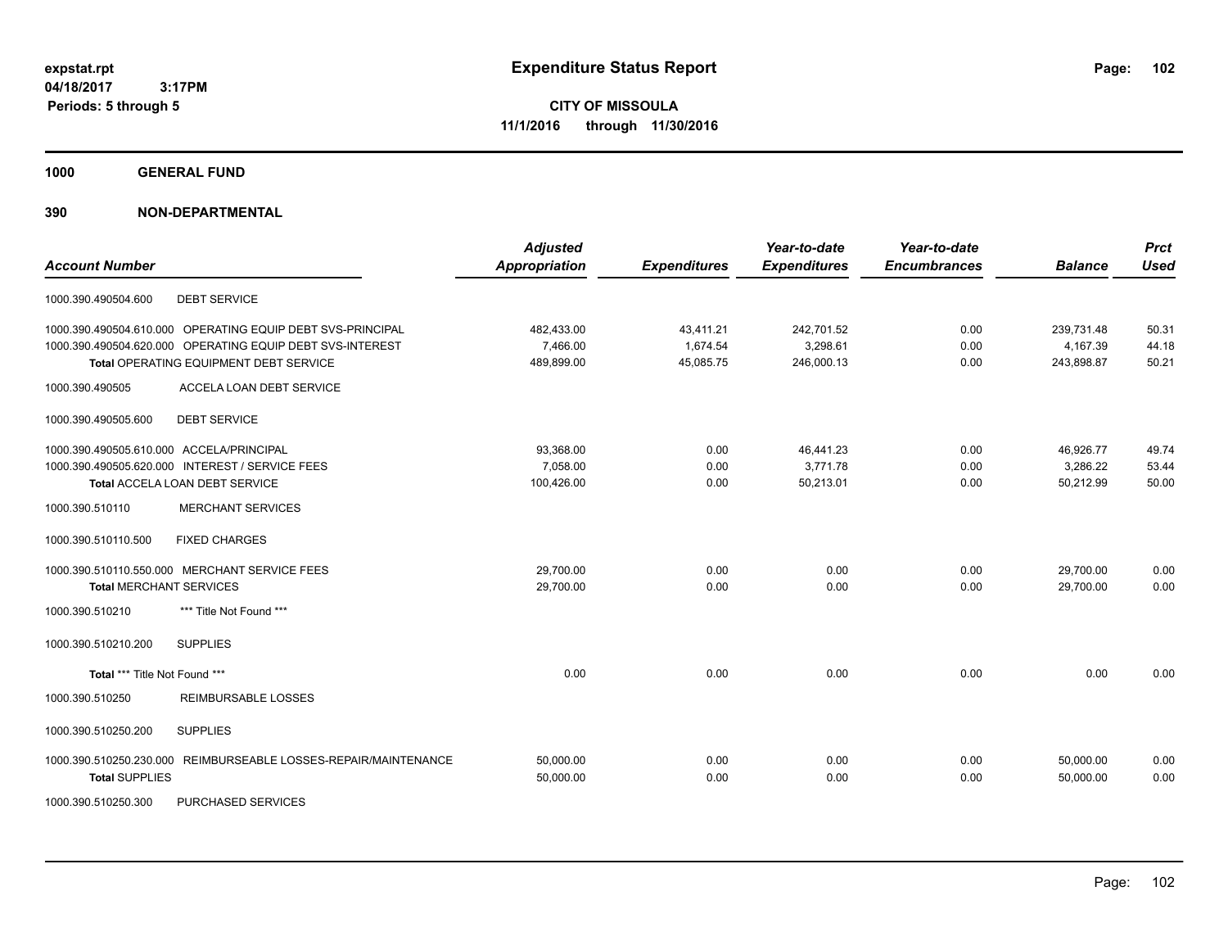**Periods: 5 through 5**

**CITY OF MISSOULA 11/1/2016 through 11/30/2016**

**1000 GENERAL FUND**

# **390 NON-DEPARTMENTAL**

| <b>Account Number</b>                                           | <b>Adjusted</b><br><b>Appropriation</b> | <b>Expenditures</b> | Year-to-date<br><b>Expenditures</b> | Year-to-date<br><b>Encumbrances</b> | <b>Balance</b> | <b>Prct</b><br><b>Used</b> |
|-----------------------------------------------------------------|-----------------------------------------|---------------------|-------------------------------------|-------------------------------------|----------------|----------------------------|
| <b>DEBT SERVICE</b><br>1000.390.490504.600                      |                                         |                     |                                     |                                     |                |                            |
| 1000.390.490504.610.000 OPERATING EQUIP DEBT SVS-PRINCIPAL      | 482,433.00                              | 43,411.21           | 242,701.52                          | 0.00                                | 239,731.48     | 50.31                      |
| 1000.390.490504.620.000 OPERATING EQUIP DEBT SVS-INTEREST       | 7,466.00                                | 1,674.54            | 3,298.61                            | 0.00                                | 4,167.39       | 44.18                      |
| Total OPERATING EQUIPMENT DEBT SERVICE                          | 489,899.00                              | 45,085.75           | 246,000.13                          | 0.00                                | 243,898.87     | 50.21                      |
| ACCELA LOAN DEBT SERVICE<br>1000.390.490505                     |                                         |                     |                                     |                                     |                |                            |
| <b>DEBT SERVICE</b><br>1000.390.490505.600                      |                                         |                     |                                     |                                     |                |                            |
| 1000.390.490505.610.000 ACCELA/PRINCIPAL                        | 93,368.00                               | 0.00                | 46,441.23                           | 0.00                                | 46,926.77      | 49.74                      |
| 1000.390.490505.620.000 INTEREST / SERVICE FEES                 | 7,058.00                                | 0.00                | 3,771.78                            | 0.00                                | 3,286.22       | 53.44                      |
| <b>Total ACCELA LOAN DEBT SERVICE</b>                           | 100,426.00                              | 0.00                | 50,213.01                           | 0.00                                | 50,212.99      | 50.00                      |
| <b>MERCHANT SERVICES</b><br>1000.390.510110                     |                                         |                     |                                     |                                     |                |                            |
| <b>FIXED CHARGES</b><br>1000.390.510110.500                     |                                         |                     |                                     |                                     |                |                            |
| 1000.390.510110.550.000 MERCHANT SERVICE FEES                   | 29,700.00                               | 0.00                | 0.00                                | 0.00                                | 29,700.00      | 0.00                       |
| <b>Total MERCHANT SERVICES</b>                                  | 29,700.00                               | 0.00                | 0.00                                | 0.00                                | 29,700.00      | 0.00                       |
| *** Title Not Found ***<br>1000.390.510210                      |                                         |                     |                                     |                                     |                |                            |
| 1000.390.510210.200<br><b>SUPPLIES</b>                          |                                         |                     |                                     |                                     |                |                            |
| Total *** Title Not Found ***                                   | 0.00                                    | 0.00                | 0.00                                | 0.00                                | 0.00           | 0.00                       |
| 1000.390.510250<br><b>REIMBURSABLE LOSSES</b>                   |                                         |                     |                                     |                                     |                |                            |
| <b>SUPPLIES</b><br>1000.390.510250.200                          |                                         |                     |                                     |                                     |                |                            |
| 1000.390.510250.230.000 REIMBURSEABLE LOSSES-REPAIR/MAINTENANCE | 50,000.00                               | 0.00                | 0.00                                | 0.00                                | 50.000.00      | 0.00                       |
| <b>Total SUPPLIES</b>                                           | 50,000.00                               | 0.00                | 0.00                                | 0.00                                | 50,000.00      | 0.00                       |
|                                                                 |                                         |                     |                                     |                                     |                |                            |

1000.390.510250.300 PURCHASED SERVICES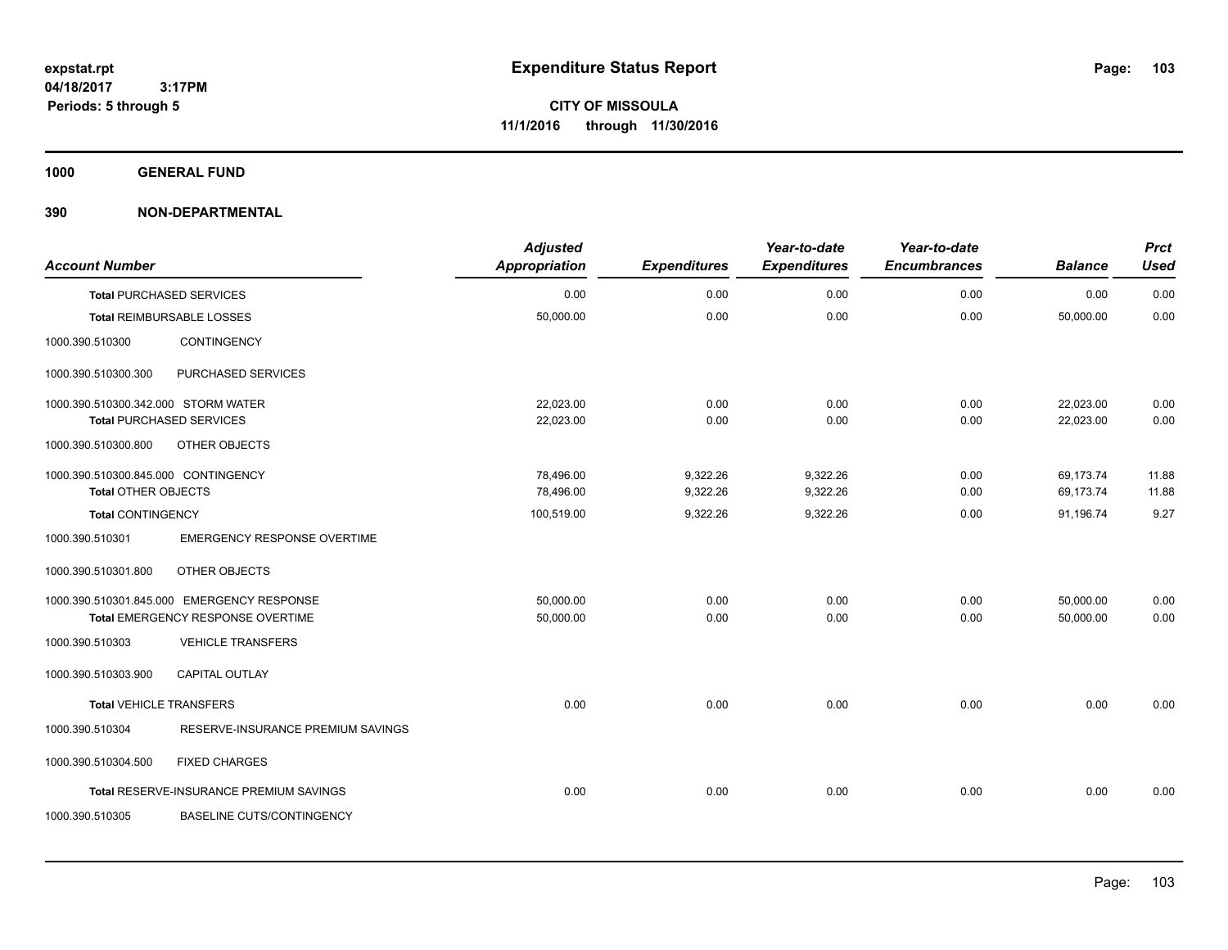**1000 GENERAL FUND**

# **390 NON-DEPARTMENTAL**

| <b>Account Number</b>               |                                            | <b>Adjusted</b><br><b>Appropriation</b> | <b>Expenditures</b> | Year-to-date<br><b>Expenditures</b> | Year-to-date<br><b>Encumbrances</b> | <b>Balance</b> | <b>Prct</b><br><b>Used</b> |
|-------------------------------------|--------------------------------------------|-----------------------------------------|---------------------|-------------------------------------|-------------------------------------|----------------|----------------------------|
|                                     | <b>Total PURCHASED SERVICES</b>            | 0.00                                    | 0.00                | 0.00                                | 0.00                                | 0.00           | 0.00                       |
|                                     | <b>Total REIMBURSABLE LOSSES</b>           | 50,000.00                               | 0.00                | 0.00                                | 0.00                                | 50,000.00      | 0.00                       |
| 1000.390.510300                     | CONTINGENCY                                |                                         |                     |                                     |                                     |                |                            |
| 1000.390.510300.300                 | PURCHASED SERVICES                         |                                         |                     |                                     |                                     |                |                            |
| 1000.390.510300.342.000 STORM WATER |                                            | 22.023.00                               | 0.00                | 0.00                                | 0.00                                | 22.023.00      | 0.00                       |
|                                     | <b>Total PURCHASED SERVICES</b>            | 22,023.00                               | 0.00                | 0.00                                | 0.00                                | 22,023.00      | 0.00                       |
| 1000.390.510300.800                 | OTHER OBJECTS                              |                                         |                     |                                     |                                     |                |                            |
| 1000.390.510300.845.000 CONTINGENCY |                                            | 78,496.00                               | 9,322.26            | 9,322.26                            | 0.00                                | 69,173.74      | 11.88                      |
| <b>Total OTHER OBJECTS</b>          |                                            | 78,496.00                               | 9,322.26            | 9,322.26                            | 0.00                                | 69,173.74      | 11.88                      |
| <b>Total CONTINGENCY</b>            |                                            | 100,519.00                              | 9,322.26            | 9,322.26                            | 0.00                                | 91,196.74      | 9.27                       |
| 1000.390.510301                     | <b>EMERGENCY RESPONSE OVERTIME</b>         |                                         |                     |                                     |                                     |                |                            |
| 1000.390.510301.800                 | OTHER OBJECTS                              |                                         |                     |                                     |                                     |                |                            |
|                                     | 1000.390.510301.845.000 EMERGENCY RESPONSE | 50.000.00                               | 0.00                | 0.00                                | 0.00                                | 50,000.00      | 0.00                       |
|                                     | Total EMERGENCY RESPONSE OVERTIME          | 50,000.00                               | 0.00                | 0.00                                | 0.00                                | 50,000.00      | 0.00                       |
| 1000.390.510303                     | <b>VEHICLE TRANSFERS</b>                   |                                         |                     |                                     |                                     |                |                            |
| 1000.390.510303.900                 | <b>CAPITAL OUTLAY</b>                      |                                         |                     |                                     |                                     |                |                            |
| <b>Total VEHICLE TRANSFERS</b>      |                                            | 0.00                                    | 0.00                | 0.00                                | 0.00                                | 0.00           | 0.00                       |
| 1000.390.510304                     | RESERVE-INSURANCE PREMIUM SAVINGS          |                                         |                     |                                     |                                     |                |                            |
| 1000.390.510304.500                 | <b>FIXED CHARGES</b>                       |                                         |                     |                                     |                                     |                |                            |
|                                     | Total RESERVE-INSURANCE PREMIUM SAVINGS    | 0.00                                    | 0.00                | 0.00                                | 0.00                                | 0.00           | 0.00                       |
| 1000.390.510305                     | <b>BASELINE CUTS/CONTINGENCY</b>           |                                         |                     |                                     |                                     |                |                            |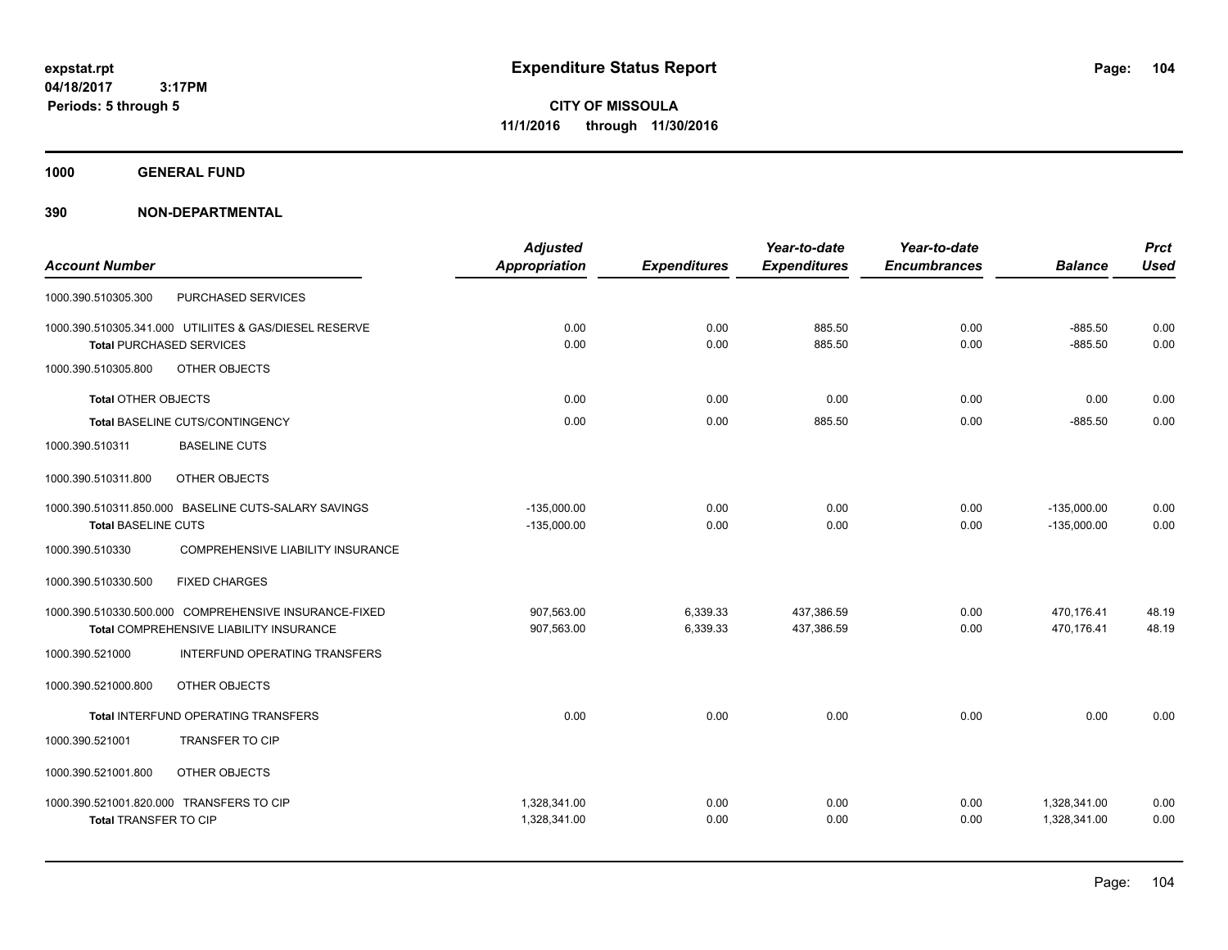**Periods: 5 through 5**

**CITY OF MISSOULA 11/1/2016 through 11/30/2016**

**1000 GENERAL FUND**

# **390 NON-DEPARTMENTAL**

 **3:17PM**

|                                                        | <b>Adjusted</b>      |                     | Year-to-date        | Year-to-date        |                | <b>Prct</b> |
|--------------------------------------------------------|----------------------|---------------------|---------------------|---------------------|----------------|-------------|
| <b>Account Number</b>                                  | <b>Appropriation</b> | <b>Expenditures</b> | <b>Expenditures</b> | <b>Encumbrances</b> | <b>Balance</b> | <b>Used</b> |
| PURCHASED SERVICES<br>1000.390.510305.300              |                      |                     |                     |                     |                |             |
| 1000.390.510305.341.000 UTILIITES & GAS/DIESEL RESERVE | 0.00                 | 0.00                | 885.50              | 0.00                | $-885.50$      | 0.00        |
| <b>Total PURCHASED SERVICES</b>                        | 0.00                 | 0.00                | 885.50              | 0.00                | $-885.50$      | 0.00        |
| OTHER OBJECTS<br>1000.390.510305.800                   |                      |                     |                     |                     |                |             |
| <b>Total OTHER OBJECTS</b>                             | 0.00                 | 0.00                | 0.00                | 0.00                | 0.00           | 0.00        |
| <b>Total BASELINE CUTS/CONTINGENCY</b>                 | 0.00                 | 0.00                | 885.50              | 0.00                | $-885.50$      | 0.00        |
| <b>BASELINE CUTS</b><br>1000.390.510311                |                      |                     |                     |                     |                |             |
| OTHER OBJECTS<br>1000.390.510311.800                   |                      |                     |                     |                     |                |             |
| 1000.390.510311.850.000 BASELINE CUTS-SALARY SAVINGS   | $-135,000.00$        | 0.00                | 0.00                | 0.00                | $-135,000.00$  | 0.00        |
| <b>Total BASELINE CUTS</b>                             | $-135,000.00$        | 0.00                | 0.00                | 0.00                | $-135,000.00$  | 0.00        |
| 1000.390.510330<br>COMPREHENSIVE LIABILITY INSURANCE   |                      |                     |                     |                     |                |             |
| <b>FIXED CHARGES</b><br>1000.390.510330.500            |                      |                     |                     |                     |                |             |
| 1000.390.510330.500.000 COMPREHENSIVE INSURANCE-FIXED  | 907,563.00           | 6,339.33            | 437,386.59          | 0.00                | 470,176.41     | 48.19       |
| Total COMPREHENSIVE LIABILITY INSURANCE                | 907,563.00           | 6,339.33            | 437,386.59          | 0.00                | 470,176.41     | 48.19       |
| 1000.390.521000<br>INTERFUND OPERATING TRANSFERS       |                      |                     |                     |                     |                |             |
| 1000.390.521000.800<br>OTHER OBJECTS                   |                      |                     |                     |                     |                |             |
| <b>Total INTERFUND OPERATING TRANSFERS</b>             | 0.00                 | 0.00                | 0.00                | 0.00                | 0.00           | 0.00        |
| 1000.390.521001<br><b>TRANSFER TO CIP</b>              |                      |                     |                     |                     |                |             |
| OTHER OBJECTS<br>1000.390.521001.800                   |                      |                     |                     |                     |                |             |
| 1000.390.521001.820.000 TRANSFERS TO CIP               | 1,328,341.00         | 0.00                | 0.00                | 0.00                | 1,328,341.00   | 0.00        |
| <b>Total TRANSFER TO CIP</b>                           | 1,328,341.00         | 0.00                | 0.00                | 0.00                | 1,328,341.00   | 0.00        |
|                                                        |                      |                     |                     |                     |                |             |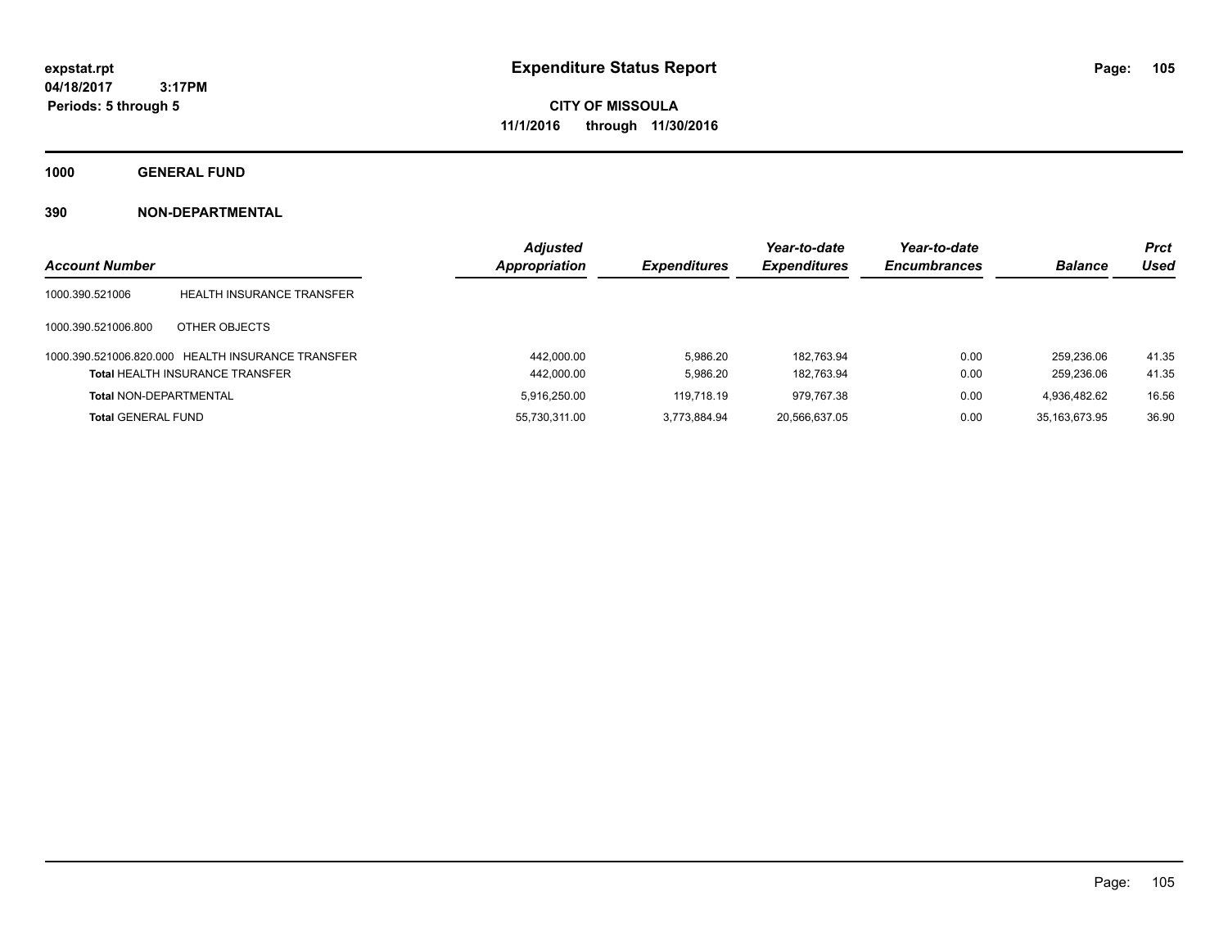**CITY OF MISSOULA 11/1/2016 through 11/30/2016**

**1000 GENERAL FUND**

# **390 NON-DEPARTMENTAL**

|                               |                                                   | <b>Adjusted</b> |                     | Year-to-date        | Year-to-date        |                | <b>Prct</b> |
|-------------------------------|---------------------------------------------------|-----------------|---------------------|---------------------|---------------------|----------------|-------------|
| <b>Account Number</b>         |                                                   | Appropriation   | <b>Expenditures</b> | <b>Expenditures</b> | <b>Encumbrances</b> | <b>Balance</b> | Used        |
| 1000.390.521006               | <b>HEALTH INSURANCE TRANSFER</b>                  |                 |                     |                     |                     |                |             |
| 1000.390.521006.800           | OTHER OBJECTS                                     |                 |                     |                     |                     |                |             |
|                               | 1000.390.521006.820.000 HEALTH INSURANCE TRANSFER | 442.000.00      | 5.986.20            | 182.763.94          | 0.00                | 259.236.06     | 41.35       |
|                               | <b>Total HEALTH INSURANCE TRANSFER</b>            | 442,000.00      | 5.986.20            | 182.763.94          | 0.00                | 259.236.06     | 41.35       |
| <b>Total NON-DEPARTMENTAL</b> |                                                   | 5.916.250.00    | 119,718.19          | 979.767.38          | 0.00                | 4.936.482.62   | 16.56       |
| <b>Total GENERAL FUND</b>     |                                                   | 55,730,311.00   | 3.773.884.94        | 20,566,637.05       | 0.00                | 35.163.673.95  | 36.90       |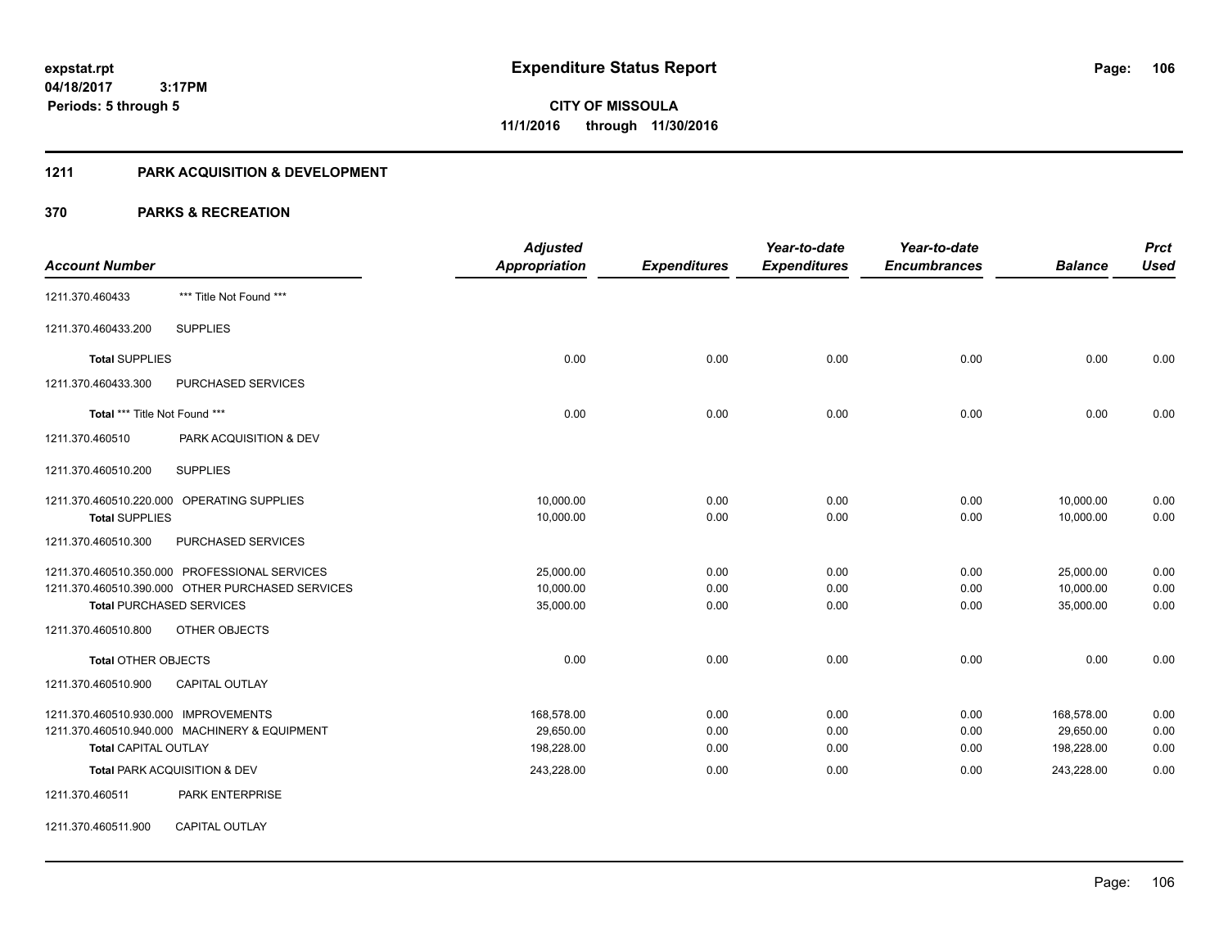# **1211 PARK ACQUISITION & DEVELOPMENT**

|                                      |                                                  | <b>Adjusted</b>      |                     | Year-to-date        | Year-to-date        |                | <b>Prct</b> |
|--------------------------------------|--------------------------------------------------|----------------------|---------------------|---------------------|---------------------|----------------|-------------|
| <b>Account Number</b>                |                                                  | <b>Appropriation</b> | <b>Expenditures</b> | <b>Expenditures</b> | <b>Encumbrances</b> | <b>Balance</b> | <b>Used</b> |
| 1211.370.460433                      | *** Title Not Found ***                          |                      |                     |                     |                     |                |             |
| 1211.370.460433.200                  | <b>SUPPLIES</b>                                  |                      |                     |                     |                     |                |             |
| <b>Total SUPPLIES</b>                |                                                  | 0.00                 | 0.00                | 0.00                | 0.00                | 0.00           | 0.00        |
| 1211.370.460433.300                  | PURCHASED SERVICES                               |                      |                     |                     |                     |                |             |
| Total *** Title Not Found ***        |                                                  | 0.00                 | 0.00                | 0.00                | 0.00                | 0.00           | 0.00        |
| 1211.370.460510                      | PARK ACQUISITION & DEV                           |                      |                     |                     |                     |                |             |
| 1211.370.460510.200                  | <b>SUPPLIES</b>                                  |                      |                     |                     |                     |                |             |
|                                      | 1211.370.460510.220.000 OPERATING SUPPLIES       | 10,000.00            | 0.00                | 0.00                | 0.00                | 10,000.00      | 0.00        |
| <b>Total SUPPLIES</b>                |                                                  | 10,000.00            | 0.00                | 0.00                | 0.00                | 10,000.00      | 0.00        |
| 1211.370.460510.300                  | PURCHASED SERVICES                               |                      |                     |                     |                     |                |             |
|                                      | 1211.370.460510.350.000 PROFESSIONAL SERVICES    | 25,000.00            | 0.00                | 0.00                | 0.00                | 25,000.00      | 0.00        |
|                                      | 1211.370.460510.390.000 OTHER PURCHASED SERVICES | 10,000.00            | 0.00                | 0.00                | 0.00                | 10,000.00      | 0.00        |
| <b>Total PURCHASED SERVICES</b>      |                                                  | 35,000.00            | 0.00                | 0.00                | 0.00                | 35,000.00      | 0.00        |
| 1211.370.460510.800                  | <b>OTHER OBJECTS</b>                             |                      |                     |                     |                     |                |             |
| <b>Total OTHER OBJECTS</b>           |                                                  | 0.00                 | 0.00                | 0.00                | 0.00                | 0.00           | 0.00        |
| 1211.370.460510.900                  | <b>CAPITAL OUTLAY</b>                            |                      |                     |                     |                     |                |             |
| 1211.370.460510.930.000 IMPROVEMENTS |                                                  | 168,578.00           | 0.00                | 0.00                | 0.00                | 168,578.00     | 0.00        |
|                                      | 1211.370.460510.940.000 MACHINERY & EQUIPMENT    | 29,650.00            | 0.00                | 0.00                | 0.00                | 29,650.00      | 0.00        |
| <b>Total CAPITAL OUTLAY</b>          |                                                  | 198,228.00           | 0.00                | 0.00                | 0.00                | 198,228.00     | 0.00        |
|                                      | Total PARK ACQUISITION & DEV                     | 243,228.00           | 0.00                | 0.00                | 0.00                | 243,228.00     | 0.00        |
| 1211.370.460511                      | PARK ENTERPRISE                                  |                      |                     |                     |                     |                |             |
| 1211.370.460511.900                  | <b>CAPITAL OUTLAY</b>                            |                      |                     |                     |                     |                |             |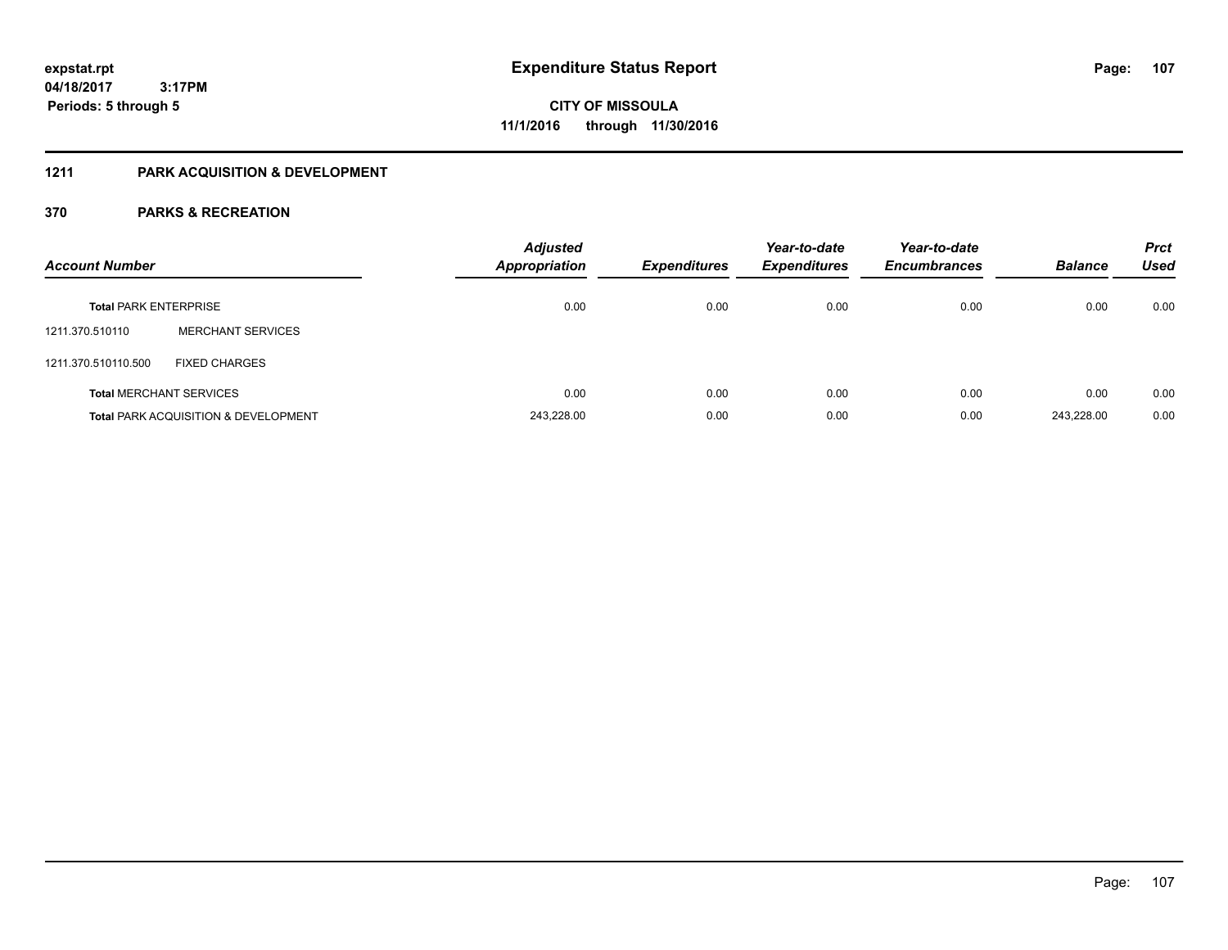# **1211 PARK ACQUISITION & DEVELOPMENT**

| <b>Account Number</b>        |                                                 | <b>Adjusted</b><br><b>Appropriation</b> | <b>Expenditures</b> | Year-to-date<br><b>Expenditures</b> | Year-to-date<br><b>Encumbrances</b> | <b>Balance</b> | <b>Prct</b><br>Used |
|------------------------------|-------------------------------------------------|-----------------------------------------|---------------------|-------------------------------------|-------------------------------------|----------------|---------------------|
| <b>Total PARK ENTERPRISE</b> |                                                 | 0.00                                    | 0.00                | 0.00                                | 0.00                                | 0.00           | 0.00                |
| 1211.370.510110              | <b>MERCHANT SERVICES</b>                        |                                         |                     |                                     |                                     |                |                     |
| 1211.370.510110.500          | <b>FIXED CHARGES</b>                            |                                         |                     |                                     |                                     |                |                     |
|                              | <b>Total MERCHANT SERVICES</b>                  | 0.00                                    | 0.00                | 0.00                                | 0.00                                | 0.00           | 0.00                |
|                              | <b>Total PARK ACQUISITION &amp; DEVELOPMENT</b> | 243,228.00                              | 0.00                | 0.00                                | 0.00                                | 243.228.00     | 0.00                |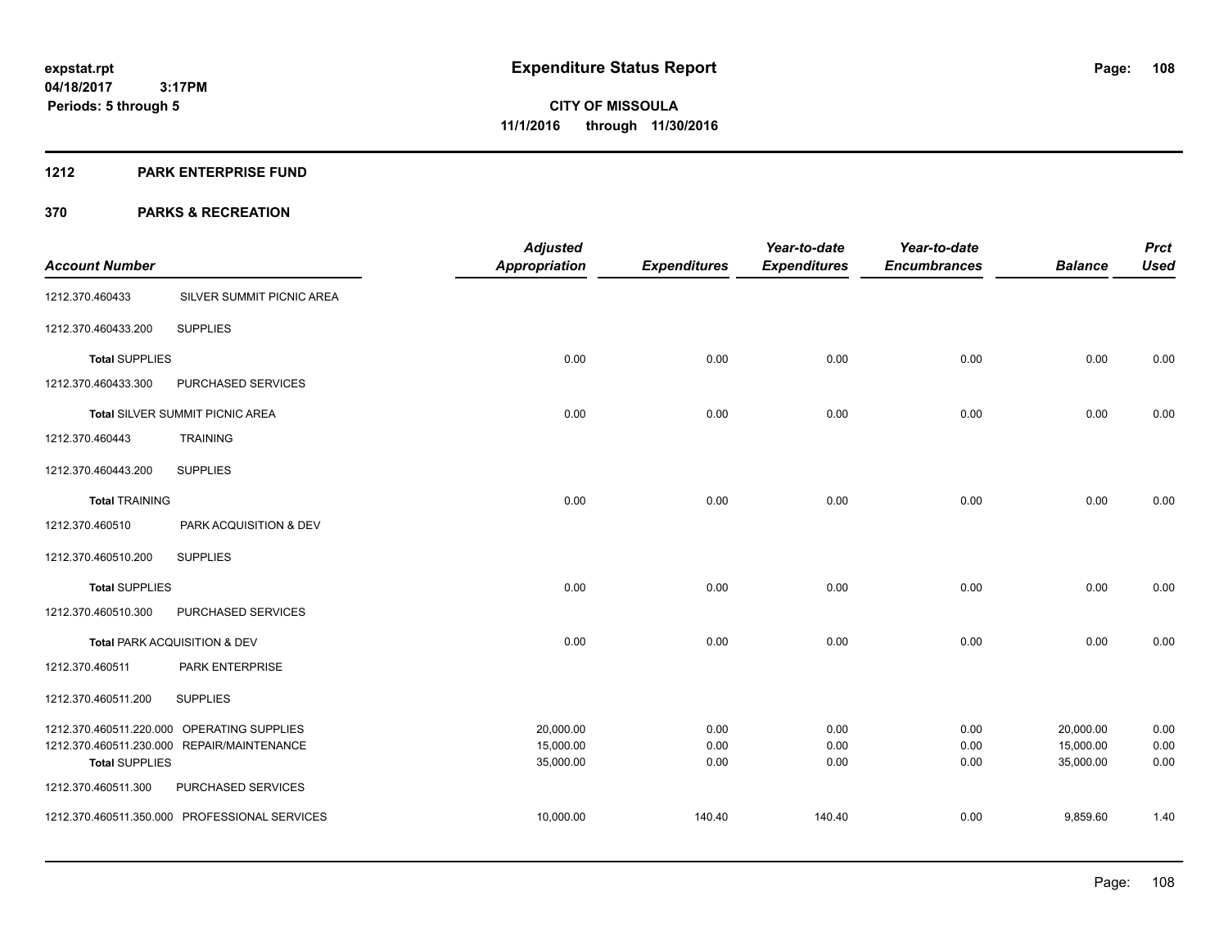#### **1212 PARK ENTERPRISE FUND**

|                         |                                            | <b>Adjusted</b>        |                     | Year-to-date        | Year-to-date        |                        | <b>Prct</b>  |
|-------------------------|--------------------------------------------|------------------------|---------------------|---------------------|---------------------|------------------------|--------------|
| <b>Account Number</b>   |                                            | <b>Appropriation</b>   | <b>Expenditures</b> | <b>Expenditures</b> | <b>Encumbrances</b> | <b>Balance</b>         | <b>Used</b>  |
| 1212.370.460433         | SILVER SUMMIT PICNIC AREA                  |                        |                     |                     |                     |                        |              |
| 1212.370.460433.200     | <b>SUPPLIES</b>                            |                        |                     |                     |                     |                        |              |
| <b>Total SUPPLIES</b>   |                                            | 0.00                   | 0.00                | 0.00                | 0.00                | 0.00                   | 0.00         |
| 1212.370.460433.300     | PURCHASED SERVICES                         |                        |                     |                     |                     |                        |              |
|                         | Total SILVER SUMMIT PICNIC AREA            | 0.00                   | 0.00                | 0.00                | 0.00                | 0.00                   | 0.00         |
| 1212.370.460443         | <b>TRAINING</b>                            |                        |                     |                     |                     |                        |              |
| 1212.370.460443.200     | <b>SUPPLIES</b>                            |                        |                     |                     |                     |                        |              |
| <b>Total TRAINING</b>   |                                            | 0.00                   | 0.00                | 0.00                | 0.00                | 0.00                   | 0.00         |
| 1212.370.460510         | PARK ACQUISITION & DEV                     |                        |                     |                     |                     |                        |              |
| 1212.370.460510.200     | <b>SUPPLIES</b>                            |                        |                     |                     |                     |                        |              |
| <b>Total SUPPLIES</b>   |                                            | 0.00                   | 0.00                | 0.00                | 0.00                | 0.00                   | 0.00         |
| 1212.370.460510.300     | PURCHASED SERVICES                         |                        |                     |                     |                     |                        |              |
|                         | Total PARK ACQUISITION & DEV               | 0.00                   | 0.00                | 0.00                | 0.00                | 0.00                   | 0.00         |
| 1212.370.460511         | PARK ENTERPRISE                            |                        |                     |                     |                     |                        |              |
| 1212.370.460511.200     | <b>SUPPLIES</b>                            |                        |                     |                     |                     |                        |              |
|                         | 1212.370.460511.220.000 OPERATING SUPPLIES | 20,000.00              | 0.00                | 0.00                | 0.00                | 20,000.00              | 0.00         |
| <b>Total SUPPLIES</b>   | 1212.370.460511.230.000 REPAIR/MAINTENANCE | 15,000.00<br>35,000.00 | 0.00<br>0.00        | 0.00<br>0.00        | 0.00<br>0.00        | 15,000.00<br>35,000.00 | 0.00<br>0.00 |
| 1212.370.460511.300     | PURCHASED SERVICES                         |                        |                     |                     |                     |                        |              |
| 1212.370.460511.350.000 | PROFESSIONAL SERVICES                      | 10,000.00              | 140.40              | 140.40              | 0.00                | 9,859.60               | 1.40         |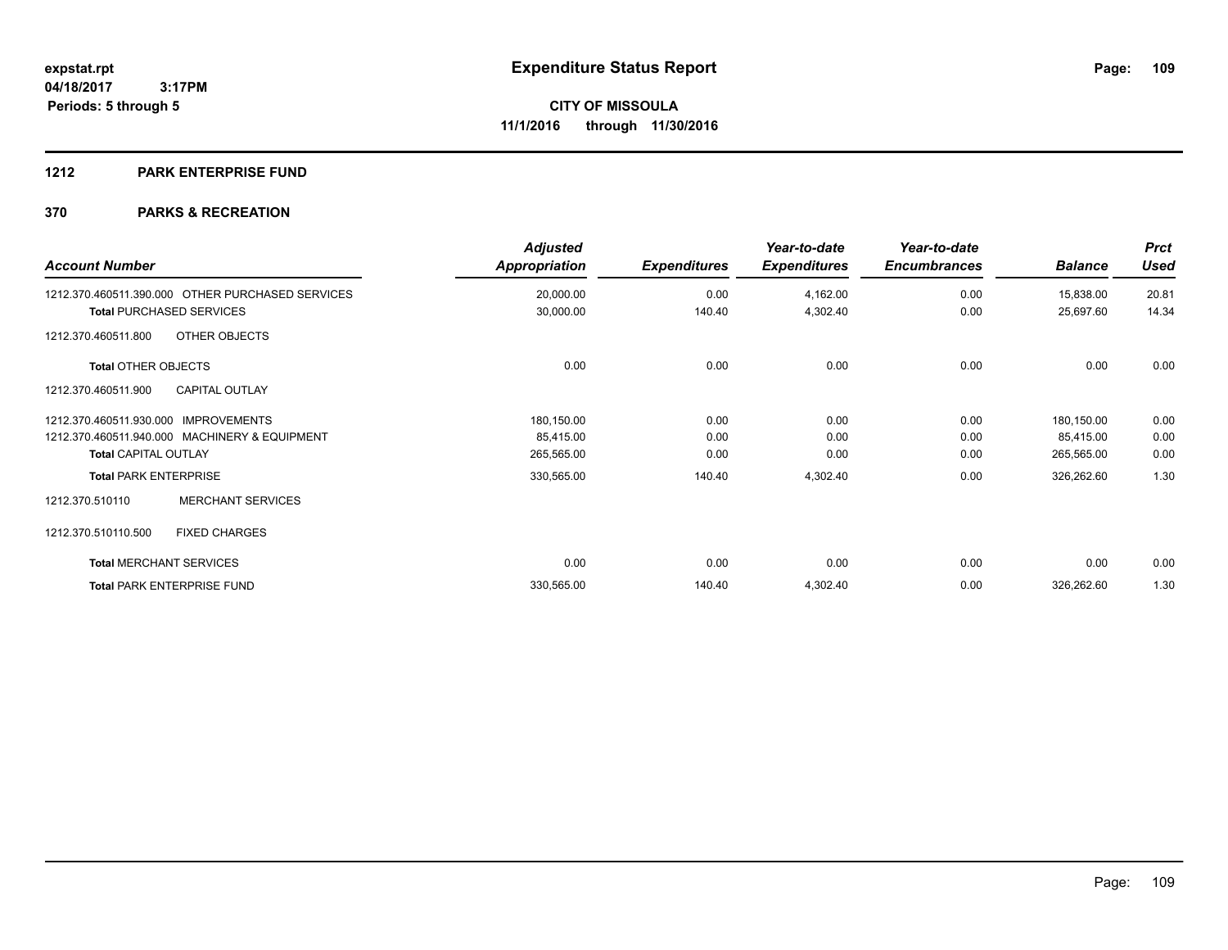### **1212 PARK ENTERPRISE FUND**

| <b>Account Number</b>                            | <b>Adjusted</b><br>Appropriation | <b>Expenditures</b> | Year-to-date<br><b>Expenditures</b> | Year-to-date<br><b>Encumbrances</b> | <b>Balance</b> | <b>Prct</b><br><b>Used</b> |
|--------------------------------------------------|----------------------------------|---------------------|-------------------------------------|-------------------------------------|----------------|----------------------------|
| 1212.370.460511.390.000 OTHER PURCHASED SERVICES | 20,000.00                        | 0.00                | 4,162.00                            | 0.00                                | 15,838.00      | 20.81                      |
| <b>Total PURCHASED SERVICES</b>                  | 30,000.00                        | 140.40              | 4,302.40                            | 0.00                                | 25,697.60      | 14.34                      |
| OTHER OBJECTS<br>1212.370.460511.800             |                                  |                     |                                     |                                     |                |                            |
| <b>Total OTHER OBJECTS</b>                       | 0.00                             | 0.00                | 0.00                                | 0.00                                | 0.00           | 0.00                       |
| <b>CAPITAL OUTLAY</b><br>1212.370.460511.900     |                                  |                     |                                     |                                     |                |                            |
| 1212.370.460511.930.000<br><b>IMPROVEMENTS</b>   | 180,150.00                       | 0.00                | 0.00                                | 0.00                                | 180,150.00     | 0.00                       |
| 1212.370.460511.940.000 MACHINERY & EQUIPMENT    | 85,415.00                        | 0.00                | 0.00                                | 0.00                                | 85,415.00      | 0.00                       |
| <b>Total CAPITAL OUTLAY</b>                      | 265,565.00                       | 0.00                | 0.00                                | 0.00                                | 265,565.00     | 0.00                       |
| <b>Total PARK ENTERPRISE</b>                     | 330,565.00                       | 140.40              | 4,302.40                            | 0.00                                | 326,262.60     | 1.30                       |
| <b>MERCHANT SERVICES</b><br>1212.370.510110      |                                  |                     |                                     |                                     |                |                            |
| 1212.370.510110.500<br><b>FIXED CHARGES</b>      |                                  |                     |                                     |                                     |                |                            |
| <b>Total MERCHANT SERVICES</b>                   | 0.00                             | 0.00                | 0.00                                | 0.00                                | 0.00           | 0.00                       |
| <b>Total PARK ENTERPRISE FUND</b>                | 330,565.00                       | 140.40              | 4,302.40                            | 0.00                                | 326,262.60     | 1.30                       |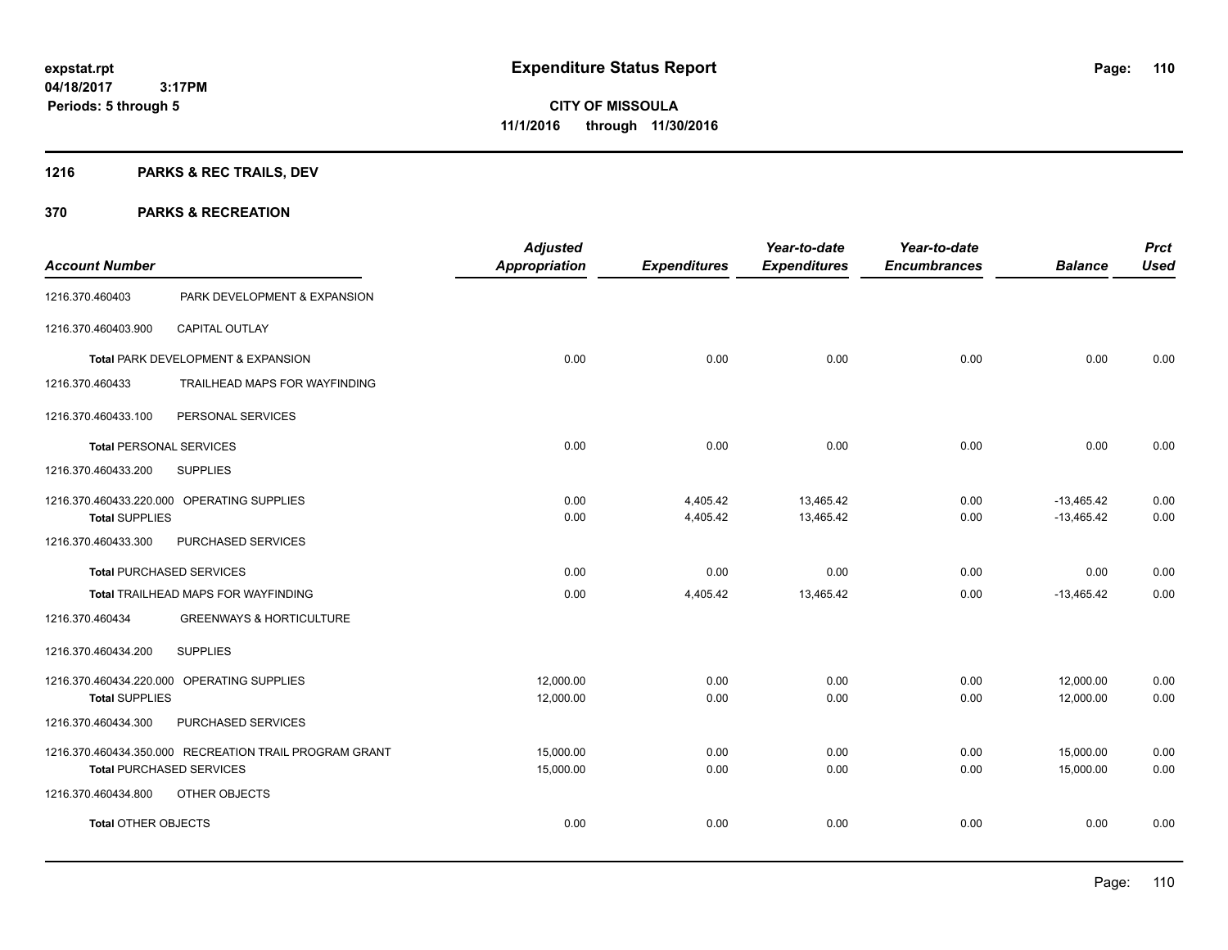## **1216 PARKS & REC TRAILS, DEV**

| <b>Account Number</b>           |                                                        | <b>Adjusted</b><br><b>Appropriation</b> | <b>Expenditures</b>  | Year-to-date<br><b>Expenditures</b> | Year-to-date<br><b>Encumbrances</b> | <b>Balance</b>               | <b>Prct</b><br><b>Used</b> |
|---------------------------------|--------------------------------------------------------|-----------------------------------------|----------------------|-------------------------------------|-------------------------------------|------------------------------|----------------------------|
| 1216.370.460403                 | PARK DEVELOPMENT & EXPANSION                           |                                         |                      |                                     |                                     |                              |                            |
| 1216.370.460403.900             | <b>CAPITAL OUTLAY</b>                                  |                                         |                      |                                     |                                     |                              |                            |
|                                 | Total PARK DEVELOPMENT & EXPANSION                     | 0.00                                    | 0.00                 | 0.00                                | 0.00                                | 0.00                         | 0.00                       |
| 1216.370.460433                 | TRAILHEAD MAPS FOR WAYFINDING                          |                                         |                      |                                     |                                     |                              |                            |
| 1216.370.460433.100             | PERSONAL SERVICES                                      |                                         |                      |                                     |                                     |                              |                            |
| <b>Total PERSONAL SERVICES</b>  |                                                        | 0.00                                    | 0.00                 | 0.00                                | 0.00                                | 0.00                         | 0.00                       |
| 1216.370.460433.200             | <b>SUPPLIES</b>                                        |                                         |                      |                                     |                                     |                              |                            |
| <b>Total SUPPLIES</b>           | 1216.370.460433.220.000 OPERATING SUPPLIES             | 0.00<br>0.00                            | 4,405.42<br>4,405.42 | 13,465.42<br>13,465.42              | 0.00<br>0.00                        | $-13,465.42$<br>$-13,465.42$ | 0.00<br>0.00               |
| 1216.370.460433.300             | PURCHASED SERVICES                                     |                                         |                      |                                     |                                     |                              |                            |
| <b>Total PURCHASED SERVICES</b> |                                                        | 0.00                                    | 0.00                 | 0.00                                | 0.00                                | 0.00                         | 0.00                       |
|                                 | Total TRAILHEAD MAPS FOR WAYFINDING                    | 0.00                                    | 4,405.42             | 13,465.42                           | 0.00                                | $-13,465.42$                 | 0.00                       |
| 1216.370.460434                 | <b>GREENWAYS &amp; HORTICULTURE</b>                    |                                         |                      |                                     |                                     |                              |                            |
| 1216.370.460434.200             | <b>SUPPLIES</b>                                        |                                         |                      |                                     |                                     |                              |                            |
| <b>Total SUPPLIES</b>           | 1216.370.460434.220.000 OPERATING SUPPLIES             | 12,000.00<br>12,000.00                  | 0.00<br>0.00         | 0.00<br>0.00                        | 0.00<br>0.00                        | 12,000.00<br>12,000.00       | 0.00<br>0.00               |
| 1216.370.460434.300             | PURCHASED SERVICES                                     |                                         |                      |                                     |                                     |                              |                            |
| <b>Total PURCHASED SERVICES</b> | 1216.370.460434.350.000 RECREATION TRAIL PROGRAM GRANT | 15,000.00<br>15,000.00                  | 0.00<br>0.00         | 0.00<br>0.00                        | 0.00<br>0.00                        | 15,000.00<br>15,000.00       | 0.00<br>0.00               |
| 1216.370.460434.800             | OTHER OBJECTS                                          |                                         |                      |                                     |                                     |                              |                            |
| <b>Total OTHER OBJECTS</b>      |                                                        | 0.00                                    | 0.00                 | 0.00                                | 0.00                                | 0.00                         | 0.00                       |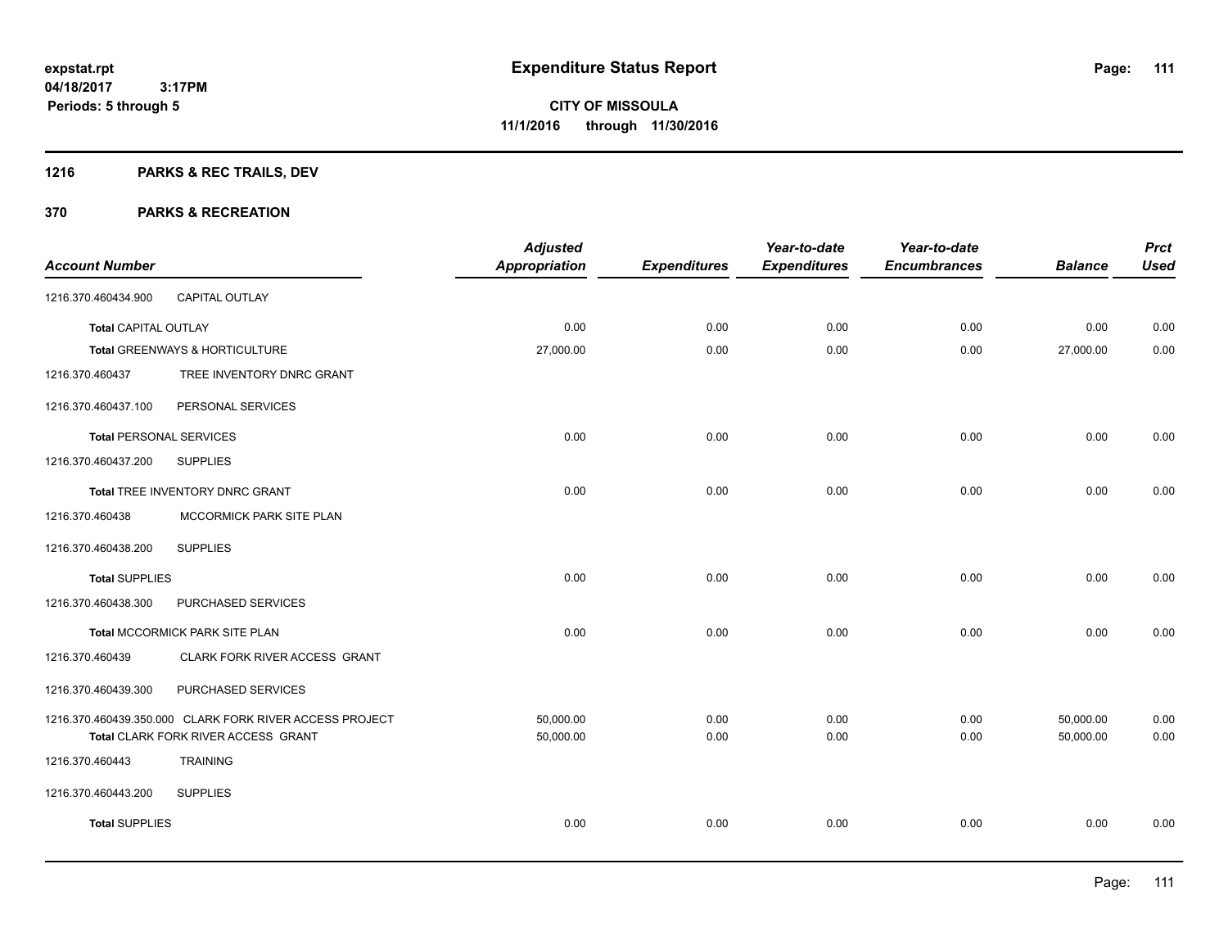## **1216 PARKS & REC TRAILS, DEV**

| <b>Account Number</b>          |                                                         | <b>Adjusted</b><br><b>Appropriation</b> | <b>Expenditures</b> | Year-to-date<br><b>Expenditures</b> | Year-to-date<br><b>Encumbrances</b> | <b>Balance</b> | <b>Prct</b><br><b>Used</b> |
|--------------------------------|---------------------------------------------------------|-----------------------------------------|---------------------|-------------------------------------|-------------------------------------|----------------|----------------------------|
| 1216.370.460434.900            | CAPITAL OUTLAY                                          |                                         |                     |                                     |                                     |                |                            |
| <b>Total CAPITAL OUTLAY</b>    |                                                         | 0.00                                    | 0.00                | 0.00                                | 0.00                                | 0.00           | 0.00                       |
|                                | Total GREENWAYS & HORTICULTURE                          | 27,000.00                               | 0.00                | 0.00                                | 0.00                                | 27,000.00      | 0.00                       |
| 1216.370.460437                | TREE INVENTORY DNRC GRANT                               |                                         |                     |                                     |                                     |                |                            |
| 1216.370.460437.100            | PERSONAL SERVICES                                       |                                         |                     |                                     |                                     |                |                            |
| <b>Total PERSONAL SERVICES</b> |                                                         | 0.00                                    | 0.00                | 0.00                                | 0.00                                | 0.00           | 0.00                       |
| 1216.370.460437.200            | <b>SUPPLIES</b>                                         |                                         |                     |                                     |                                     |                |                            |
|                                | Total TREE INVENTORY DNRC GRANT                         | 0.00                                    | 0.00                | 0.00                                | 0.00                                | 0.00           | 0.00                       |
| 1216.370.460438                | MCCORMICK PARK SITE PLAN                                |                                         |                     |                                     |                                     |                |                            |
| 1216.370.460438.200            | <b>SUPPLIES</b>                                         |                                         |                     |                                     |                                     |                |                            |
| <b>Total SUPPLIES</b>          |                                                         | 0.00                                    | 0.00                | 0.00                                | 0.00                                | 0.00           | 0.00                       |
| 1216.370.460438.300            | PURCHASED SERVICES                                      |                                         |                     |                                     |                                     |                |                            |
|                                | Total MCCORMICK PARK SITE PLAN                          | 0.00                                    | 0.00                | 0.00                                | 0.00                                | 0.00           | 0.00                       |
| 1216.370.460439                | CLARK FORK RIVER ACCESS GRANT                           |                                         |                     |                                     |                                     |                |                            |
| 1216.370.460439.300            | PURCHASED SERVICES                                      |                                         |                     |                                     |                                     |                |                            |
|                                | 1216.370.460439.350.000 CLARK FORK RIVER ACCESS PROJECT | 50,000.00                               | 0.00                | 0.00                                | 0.00                                | 50,000.00      | 0.00                       |
|                                | Total CLARK FORK RIVER ACCESS GRANT                     | 50,000.00                               | 0.00                | 0.00                                | 0.00                                | 50,000.00      | 0.00                       |
| 1216.370.460443                | <b>TRAINING</b>                                         |                                         |                     |                                     |                                     |                |                            |
| 1216.370.460443.200            | <b>SUPPLIES</b>                                         |                                         |                     |                                     |                                     |                |                            |
| <b>Total SUPPLIES</b>          |                                                         | 0.00                                    | 0.00                | 0.00                                | 0.00                                | 0.00           | 0.00                       |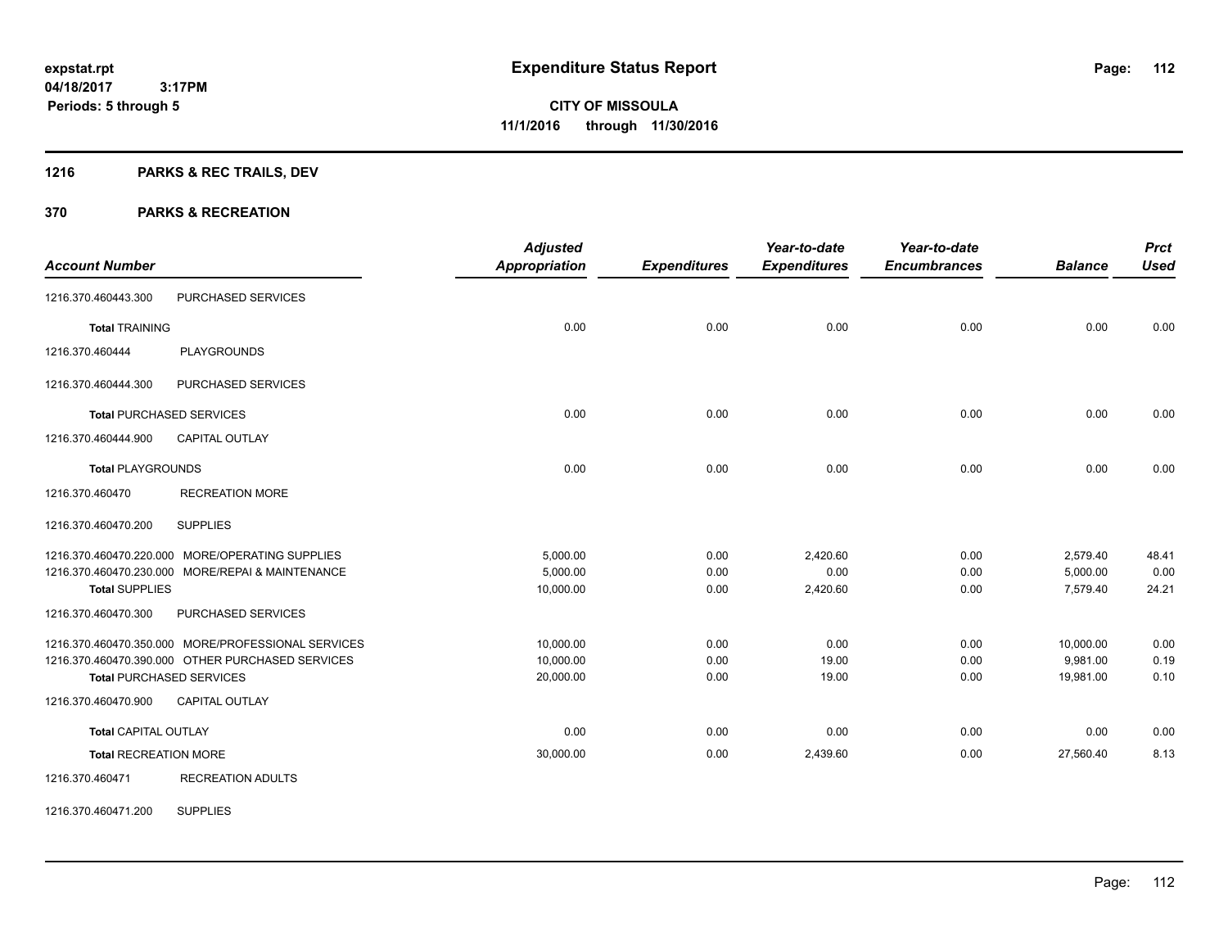## **1216 PARKS & REC TRAILS, DEV**

### **370 PARKS & RECREATION**

|                              |                                                    | <b>Adjusted</b>      |                     | Year-to-date        | Year-to-date        |                | <b>Prct</b> |
|------------------------------|----------------------------------------------------|----------------------|---------------------|---------------------|---------------------|----------------|-------------|
| <b>Account Number</b>        |                                                    | <b>Appropriation</b> | <b>Expenditures</b> | <b>Expenditures</b> | <b>Encumbrances</b> | <b>Balance</b> | <b>Used</b> |
| 1216.370.460443.300          | PURCHASED SERVICES                                 |                      |                     |                     |                     |                |             |
| <b>Total TRAINING</b>        |                                                    | 0.00                 | 0.00                | 0.00                | 0.00                | 0.00           | 0.00        |
| 1216.370.460444              | <b>PLAYGROUNDS</b>                                 |                      |                     |                     |                     |                |             |
| 1216.370.460444.300          | PURCHASED SERVICES                                 |                      |                     |                     |                     |                |             |
|                              | <b>Total PURCHASED SERVICES</b>                    | 0.00                 | 0.00                | 0.00                | 0.00                | 0.00           | 0.00        |
| 1216.370.460444.900          | <b>CAPITAL OUTLAY</b>                              |                      |                     |                     |                     |                |             |
| <b>Total PLAYGROUNDS</b>     |                                                    | 0.00                 | 0.00                | 0.00                | 0.00                | 0.00           | 0.00        |
| 1216.370.460470              | <b>RECREATION MORE</b>                             |                      |                     |                     |                     |                |             |
| 1216.370.460470.200          | <b>SUPPLIES</b>                                    |                      |                     |                     |                     |                |             |
|                              | 1216.370.460470.220.000 MORE/OPERATING SUPPLIES    | 5,000.00             | 0.00                | 2,420.60            | 0.00                | 2,579.40       | 48.41       |
|                              | 1216.370.460470.230.000 MORE/REPAI & MAINTENANCE   | 5.000.00             | 0.00                | 0.00                | 0.00                | 5,000.00       | 0.00        |
| <b>Total SUPPLIES</b>        |                                                    | 10,000.00            | 0.00                | 2,420.60            | 0.00                | 7,579.40       | 24.21       |
| 1216.370.460470.300          | PURCHASED SERVICES                                 |                      |                     |                     |                     |                |             |
|                              | 1216.370.460470.350.000 MORE/PROFESSIONAL SERVICES | 10,000.00            | 0.00                | 0.00                | 0.00                | 10,000.00      | 0.00        |
|                              | 1216.370.460470.390.000 OTHER PURCHASED SERVICES   | 10,000.00            | 0.00                | 19.00               | 0.00                | 9,981.00       | 0.19        |
|                              | <b>Total PURCHASED SERVICES</b>                    | 20,000.00            | 0.00                | 19.00               | 0.00                | 19,981.00      | 0.10        |
| 1216.370.460470.900          | <b>CAPITAL OUTLAY</b>                              |                      |                     |                     |                     |                |             |
| <b>Total CAPITAL OUTLAY</b>  |                                                    | 0.00                 | 0.00                | 0.00                | 0.00                | 0.00           | 0.00        |
| <b>Total RECREATION MORE</b> |                                                    | 30,000.00            | 0.00                | 2,439.60            | 0.00                | 27,560.40      | 8.13        |
| 1216.370.460471              | <b>RECREATION ADULTS</b>                           |                      |                     |                     |                     |                |             |

1216.370.460471.200 SUPPLIES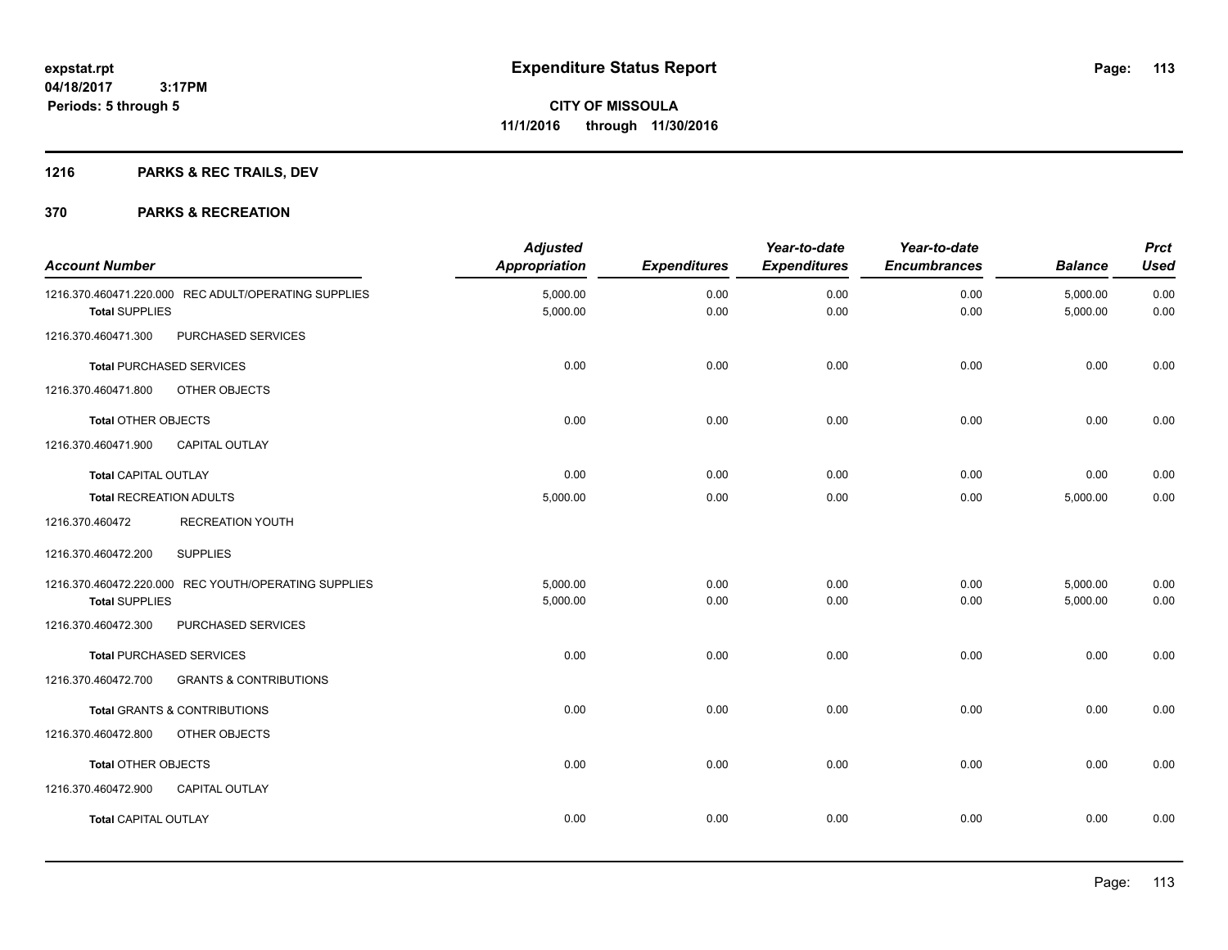## **1216 PARKS & REC TRAILS, DEV**

| <b>Account Number</b>          |                                                      | <b>Adjusted</b><br>Appropriation | <b>Expenditures</b> | Year-to-date<br><b>Expenditures</b> | Year-to-date<br><b>Encumbrances</b> | <b>Balance</b>       | <b>Prct</b><br><b>Used</b> |
|--------------------------------|------------------------------------------------------|----------------------------------|---------------------|-------------------------------------|-------------------------------------|----------------------|----------------------------|
| <b>Total SUPPLIES</b>          | 1216.370.460471.220.000 REC ADULT/OPERATING SUPPLIES | 5,000.00<br>5,000.00             | 0.00<br>0.00        | 0.00<br>0.00                        | 0.00<br>0.00                        | 5,000.00<br>5,000.00 | 0.00<br>0.00               |
| 1216.370.460471.300            | PURCHASED SERVICES                                   |                                  |                     |                                     |                                     |                      |                            |
|                                | <b>Total PURCHASED SERVICES</b>                      | 0.00                             | 0.00                | 0.00                                | 0.00                                | 0.00                 | 0.00                       |
| 1216.370.460471.800            | OTHER OBJECTS                                        |                                  |                     |                                     |                                     |                      |                            |
| <b>Total OTHER OBJECTS</b>     |                                                      | 0.00                             | 0.00                | 0.00                                | 0.00                                | 0.00                 | 0.00                       |
| 1216.370.460471.900            | <b>CAPITAL OUTLAY</b>                                |                                  |                     |                                     |                                     |                      |                            |
| <b>Total CAPITAL OUTLAY</b>    |                                                      | 0.00                             | 0.00                | 0.00                                | 0.00                                | 0.00                 | 0.00                       |
| <b>Total RECREATION ADULTS</b> |                                                      | 5,000.00                         | 0.00                | 0.00                                | 0.00                                | 5,000.00             | 0.00                       |
| 1216.370.460472                | <b>RECREATION YOUTH</b>                              |                                  |                     |                                     |                                     |                      |                            |
| 1216.370.460472.200            | <b>SUPPLIES</b>                                      |                                  |                     |                                     |                                     |                      |                            |
|                                | 1216.370.460472.220.000 REC YOUTH/OPERATING SUPPLIES | 5,000.00                         | 0.00                | 0.00                                | 0.00                                | 5,000.00             | 0.00                       |
| <b>Total SUPPLIES</b>          |                                                      | 5,000.00                         | 0.00                | 0.00                                | 0.00                                | 5,000.00             | 0.00                       |
| 1216.370.460472.300            | PURCHASED SERVICES                                   |                                  |                     |                                     |                                     |                      |                            |
|                                | <b>Total PURCHASED SERVICES</b>                      | 0.00                             | 0.00                | 0.00                                | 0.00                                | 0.00                 | 0.00                       |
| 1216.370.460472.700            | <b>GRANTS &amp; CONTRIBUTIONS</b>                    |                                  |                     |                                     |                                     |                      |                            |
|                                | Total GRANTS & CONTRIBUTIONS                         | 0.00                             | 0.00                | 0.00                                | 0.00                                | 0.00                 | 0.00                       |
| 1216.370.460472.800            | OTHER OBJECTS                                        |                                  |                     |                                     |                                     |                      |                            |
| <b>Total OTHER OBJECTS</b>     |                                                      | 0.00                             | 0.00                | 0.00                                | 0.00                                | 0.00                 | 0.00                       |
| 1216.370.460472.900            | <b>CAPITAL OUTLAY</b>                                |                                  |                     |                                     |                                     |                      |                            |
| <b>Total CAPITAL OUTLAY</b>    |                                                      | 0.00                             | 0.00                | 0.00                                | 0.00                                | 0.00                 | 0.00                       |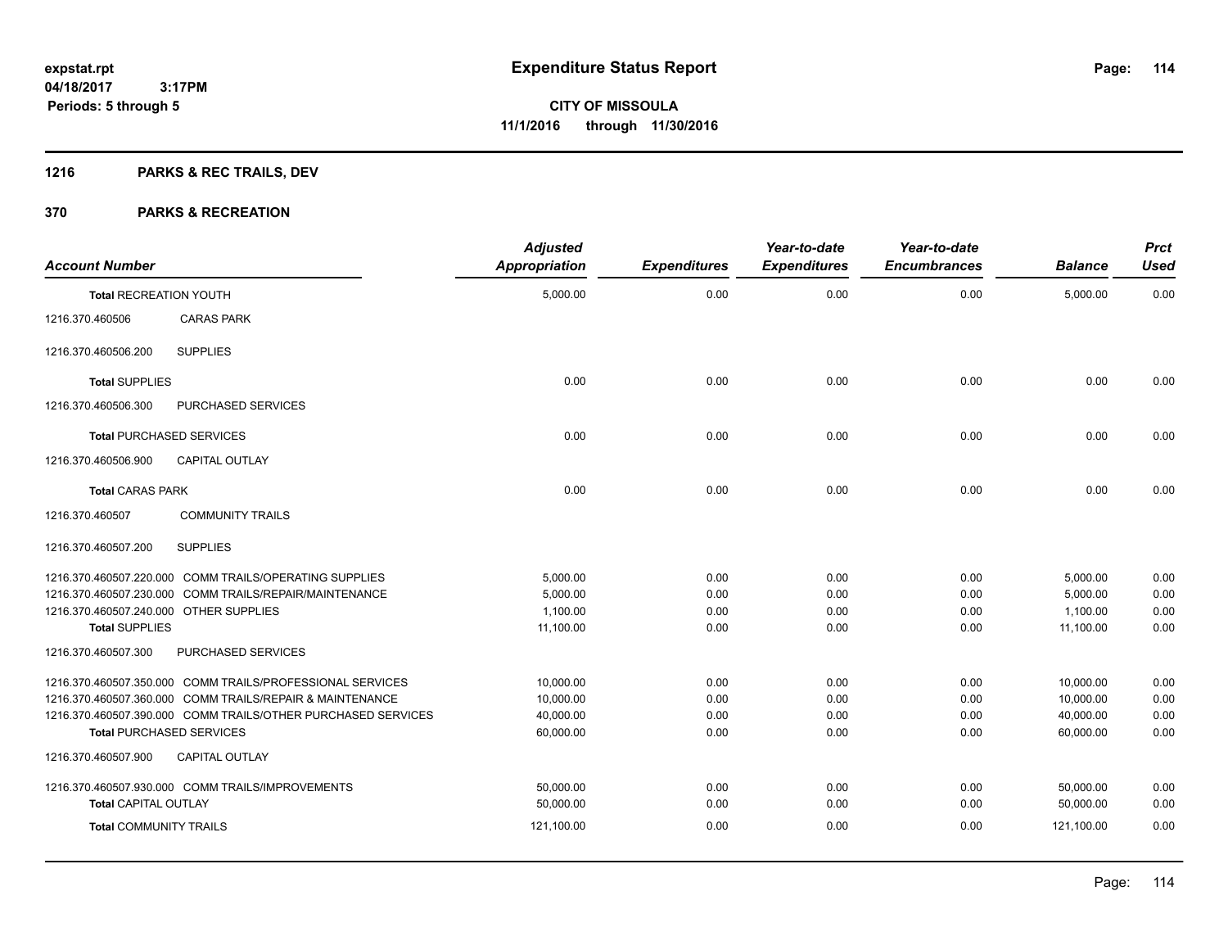## **1216 PARKS & REC TRAILS, DEV**

| <b>Account Number</b>                  |                                                              | <b>Adjusted</b><br><b>Appropriation</b> | <b>Expenditures</b> | Year-to-date<br><b>Expenditures</b> | Year-to-date<br><b>Encumbrances</b> | <b>Balance</b> | <b>Prct</b><br><b>Used</b> |
|----------------------------------------|--------------------------------------------------------------|-----------------------------------------|---------------------|-------------------------------------|-------------------------------------|----------------|----------------------------|
| <b>Total RECREATION YOUTH</b>          |                                                              | 5,000.00                                | 0.00                | 0.00                                | 0.00                                | 5,000.00       | 0.00                       |
| 1216.370.460506                        | <b>CARAS PARK</b>                                            |                                         |                     |                                     |                                     |                |                            |
| 1216.370.460506.200                    | <b>SUPPLIES</b>                                              |                                         |                     |                                     |                                     |                |                            |
| <b>Total SUPPLIES</b>                  |                                                              | 0.00                                    | 0.00                | 0.00                                | 0.00                                | 0.00           | 0.00                       |
| 1216.370.460506.300                    | PURCHASED SERVICES                                           |                                         |                     |                                     |                                     |                |                            |
|                                        | <b>Total PURCHASED SERVICES</b>                              | 0.00                                    | 0.00                | 0.00                                | 0.00                                | 0.00           | 0.00                       |
| 1216.370.460506.900                    | <b>CAPITAL OUTLAY</b>                                        |                                         |                     |                                     |                                     |                |                            |
| <b>Total CARAS PARK</b>                |                                                              | 0.00                                    | 0.00                | 0.00                                | 0.00                                | 0.00           | 0.00                       |
| 1216.370.460507                        | <b>COMMUNITY TRAILS</b>                                      |                                         |                     |                                     |                                     |                |                            |
| 1216.370.460507.200                    | <b>SUPPLIES</b>                                              |                                         |                     |                                     |                                     |                |                            |
|                                        | 1216.370.460507.220.000 COMM TRAILS/OPERATING SUPPLIES       | 5,000.00                                | 0.00                | 0.00                                | 0.00                                | 5,000.00       | 0.00                       |
|                                        | 1216.370.460507.230.000 COMM TRAILS/REPAIR/MAINTENANCE       | 5.000.00                                | 0.00                | 0.00                                | 0.00                                | 5,000.00       | 0.00                       |
| 1216.370.460507.240.000 OTHER SUPPLIES |                                                              | 1.100.00                                | 0.00                | 0.00                                | 0.00                                | 1,100.00       | 0.00                       |
| <b>Total SUPPLIES</b>                  |                                                              | 11,100.00                               | 0.00                | 0.00                                | 0.00                                | 11,100.00      | 0.00                       |
| 1216.370.460507.300                    | PURCHASED SERVICES                                           |                                         |                     |                                     |                                     |                |                            |
|                                        | 1216.370.460507.350.000 COMM TRAILS/PROFESSIONAL SERVICES    | 10,000.00                               | 0.00                | 0.00                                | 0.00                                | 10,000.00      | 0.00                       |
|                                        | 1216.370.460507.360.000 COMM TRAILS/REPAIR & MAINTENANCE     | 10,000.00                               | 0.00                | 0.00                                | 0.00                                | 10,000.00      | 0.00                       |
|                                        | 1216.370.460507.390.000 COMM TRAILS/OTHER PURCHASED SERVICES | 40,000.00                               | 0.00                | 0.00                                | 0.00                                | 40,000.00      | 0.00                       |
|                                        | <b>Total PURCHASED SERVICES</b>                              | 60,000.00                               | 0.00                | 0.00                                | 0.00                                | 60,000.00      | 0.00                       |
| 1216.370.460507.900                    | <b>CAPITAL OUTLAY</b>                                        |                                         |                     |                                     |                                     |                |                            |
|                                        | 1216.370.460507.930.000 COMM TRAILS/IMPROVEMENTS             | 50,000.00                               | 0.00                | 0.00                                | 0.00                                | 50,000.00      | 0.00                       |
| <b>Total CAPITAL OUTLAY</b>            |                                                              | 50,000.00                               | 0.00                | 0.00                                | 0.00                                | 50,000.00      | 0.00                       |
| <b>Total COMMUNITY TRAILS</b>          |                                                              | 121,100.00                              | 0.00                | 0.00                                | 0.00                                | 121,100.00     | 0.00                       |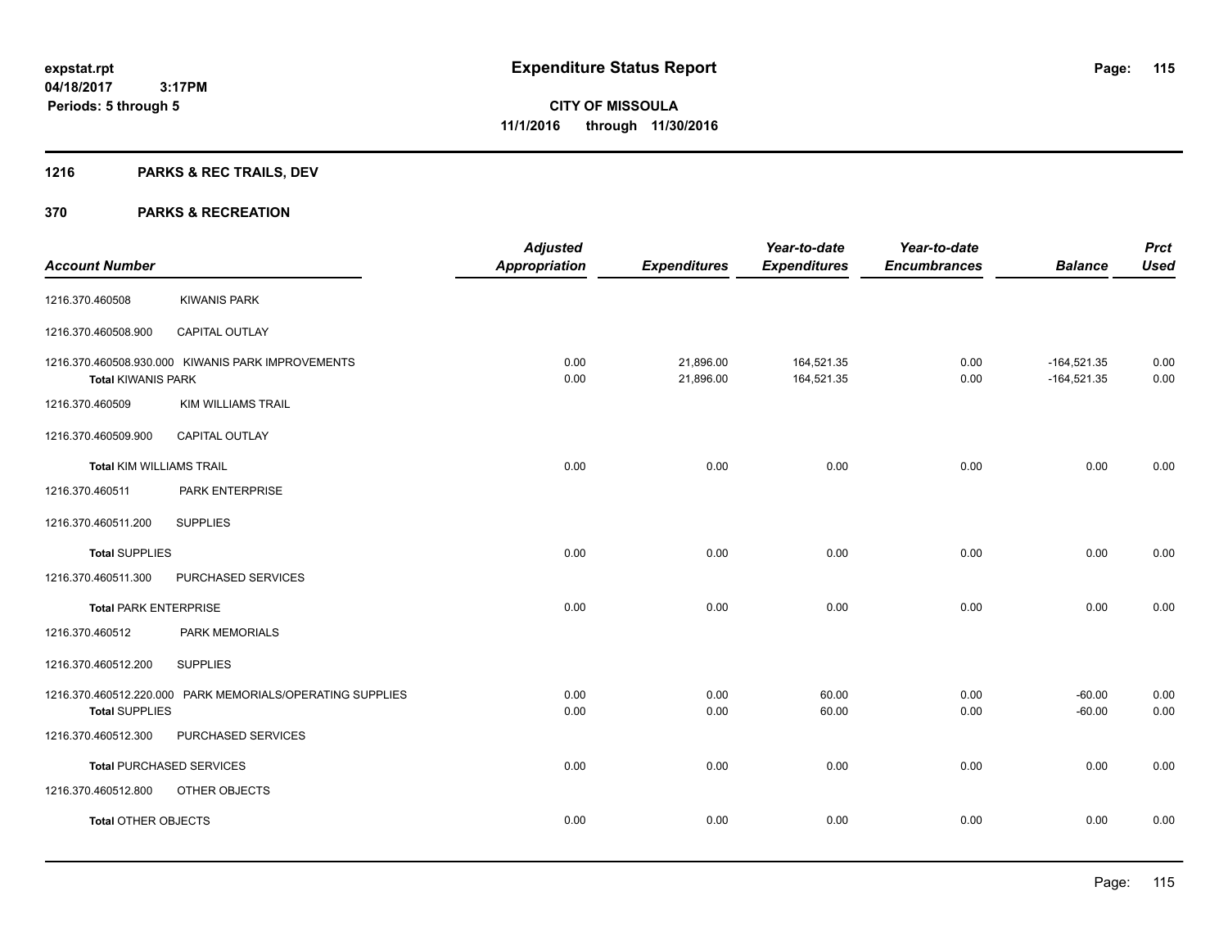## **1216 PARKS & REC TRAILS, DEV**

| <b>Account Number</b>           |                                                           | <b>Adjusted</b><br><b>Appropriation</b> | <b>Expenditures</b>    | Year-to-date<br><b>Expenditures</b> | Year-to-date<br><b>Encumbrances</b> | <b>Balance</b>                 | <b>Prct</b><br><b>Used</b> |
|---------------------------------|-----------------------------------------------------------|-----------------------------------------|------------------------|-------------------------------------|-------------------------------------|--------------------------------|----------------------------|
|                                 |                                                           |                                         |                        |                                     |                                     |                                |                            |
| 1216.370.460508                 | <b>KIWANIS PARK</b>                                       |                                         |                        |                                     |                                     |                                |                            |
| 1216.370.460508.900             | CAPITAL OUTLAY                                            |                                         |                        |                                     |                                     |                                |                            |
| <b>Total KIWANIS PARK</b>       | 1216.370.460508.930.000 KIWANIS PARK IMPROVEMENTS         | 0.00<br>0.00                            | 21,896.00<br>21,896.00 | 164,521.35<br>164,521.35            | 0.00<br>0.00                        | $-164,521.35$<br>$-164,521.35$ | 0.00<br>0.00               |
| 1216.370.460509                 | <b>KIM WILLIAMS TRAIL</b>                                 |                                         |                        |                                     |                                     |                                |                            |
| 1216.370.460509.900             | <b>CAPITAL OUTLAY</b>                                     |                                         |                        |                                     |                                     |                                |                            |
| <b>Total KIM WILLIAMS TRAIL</b> |                                                           | 0.00                                    | 0.00                   | 0.00                                | 0.00                                | 0.00                           | 0.00                       |
| 1216.370.460511                 | PARK ENTERPRISE                                           |                                         |                        |                                     |                                     |                                |                            |
| 1216.370.460511.200             | <b>SUPPLIES</b>                                           |                                         |                        |                                     |                                     |                                |                            |
| <b>Total SUPPLIES</b>           |                                                           | 0.00                                    | 0.00                   | 0.00                                | 0.00                                | 0.00                           | 0.00                       |
| 1216.370.460511.300             | PURCHASED SERVICES                                        |                                         |                        |                                     |                                     |                                |                            |
| <b>Total PARK ENTERPRISE</b>    |                                                           | 0.00                                    | 0.00                   | 0.00                                | 0.00                                | 0.00                           | 0.00                       |
| 1216.370.460512                 | PARK MEMORIALS                                            |                                         |                        |                                     |                                     |                                |                            |
| 1216.370.460512.200             | <b>SUPPLIES</b>                                           |                                         |                        |                                     |                                     |                                |                            |
| <b>Total SUPPLIES</b>           | 1216.370.460512.220.000 PARK MEMORIALS/OPERATING SUPPLIES | 0.00<br>0.00                            | 0.00<br>0.00           | 60.00<br>60.00                      | 0.00<br>0.00                        | $-60.00$<br>$-60.00$           | 0.00<br>0.00               |
| 1216.370.460512.300             | PURCHASED SERVICES                                        |                                         |                        |                                     |                                     |                                |                            |
|                                 | <b>Total PURCHASED SERVICES</b>                           | 0.00                                    | 0.00                   | 0.00                                | 0.00                                | 0.00                           | 0.00                       |
| 1216.370.460512.800             | OTHER OBJECTS                                             |                                         |                        |                                     |                                     |                                |                            |
| <b>Total OTHER OBJECTS</b>      |                                                           | 0.00                                    | 0.00                   | 0.00                                | 0.00                                | 0.00                           | 0.00                       |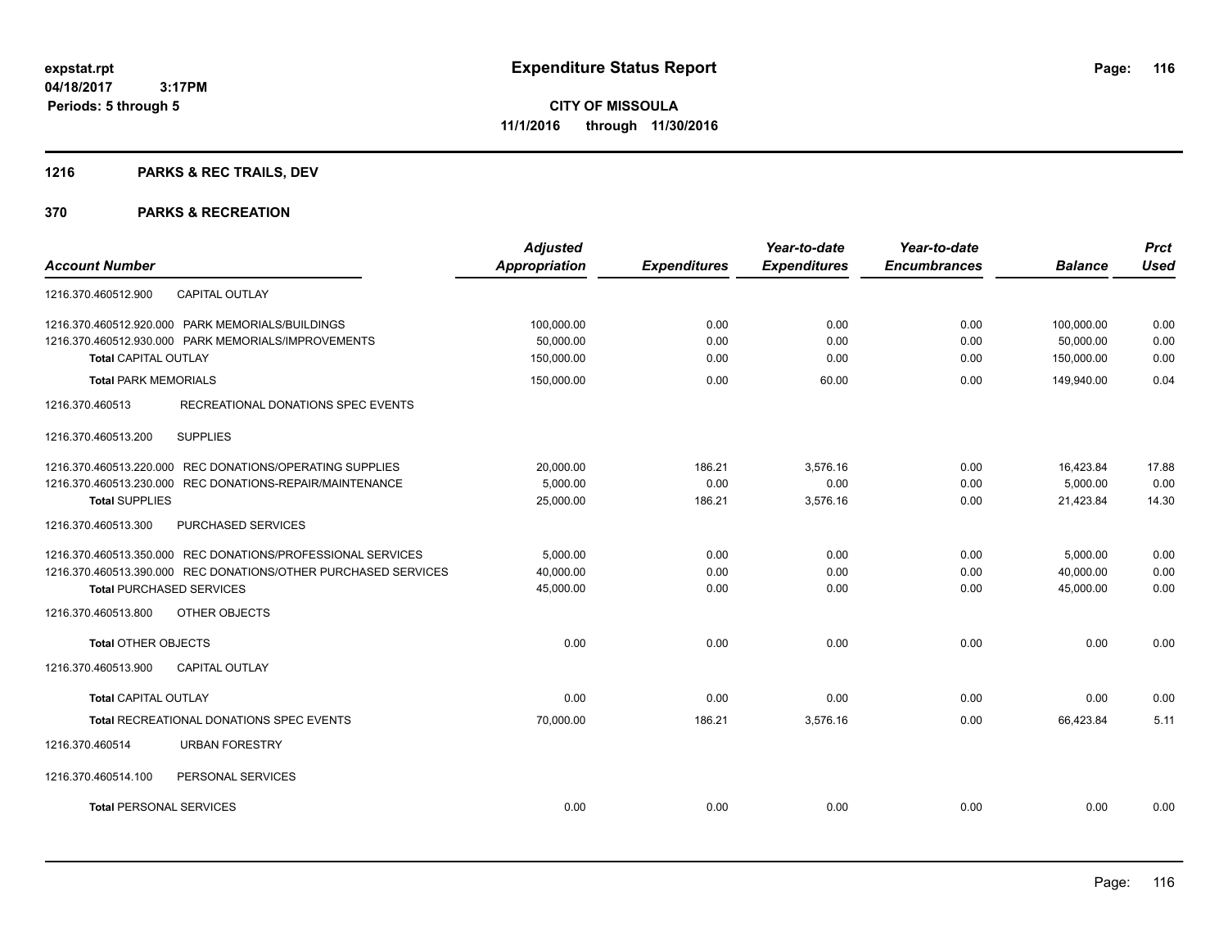## **1216 PARKS & REC TRAILS, DEV**

|                                                                | <b>Adjusted</b>      |                     | Year-to-date        | Year-to-date        |                | <b>Prct</b> |
|----------------------------------------------------------------|----------------------|---------------------|---------------------|---------------------|----------------|-------------|
| <b>Account Number</b>                                          | <b>Appropriation</b> | <b>Expenditures</b> | <b>Expenditures</b> | <b>Encumbrances</b> | <b>Balance</b> | <b>Used</b> |
| CAPITAL OUTLAY<br>1216.370.460512.900                          |                      |                     |                     |                     |                |             |
| 1216.370.460512.920.000 PARK MEMORIALS/BUILDINGS               | 100,000.00           | 0.00                | 0.00                | 0.00                | 100,000.00     | 0.00        |
| 1216.370.460512.930.000 PARK MEMORIALS/IMPROVEMENTS            | 50,000.00            | 0.00                | 0.00                | 0.00                | 50,000.00      | 0.00        |
| <b>Total CAPITAL OUTLAY</b>                                    | 150,000.00           | 0.00                | 0.00                | 0.00                | 150,000.00     | 0.00        |
| <b>Total PARK MEMORIALS</b>                                    | 150,000.00           | 0.00                | 60.00               | 0.00                | 149,940.00     | 0.04        |
| 1216.370.460513<br>RECREATIONAL DONATIONS SPEC EVENTS          |                      |                     |                     |                     |                |             |
| <b>SUPPLIES</b><br>1216.370.460513.200                         |                      |                     |                     |                     |                |             |
| 1216.370.460513.220.000 REC DONATIONS/OPERATING SUPPLIES       | 20,000.00            | 186.21              | 3,576.16            | 0.00                | 16,423.84      | 17.88       |
| 1216.370.460513.230.000 REC DONATIONS-REPAIR/MAINTENANCE       | 5,000.00             | 0.00                | 0.00                | 0.00                | 5,000.00       | 0.00        |
| <b>Total SUPPLIES</b>                                          | 25,000.00            | 186.21              | 3,576.16            | 0.00                | 21,423.84      | 14.30       |
| 1216.370.460513.300<br>PURCHASED SERVICES                      |                      |                     |                     |                     |                |             |
| 1216.370.460513.350.000 REC DONATIONS/PROFESSIONAL SERVICES    | 5.000.00             | 0.00                | 0.00                | 0.00                | 5,000.00       | 0.00        |
| 1216.370.460513.390.000 REC DONATIONS/OTHER PURCHASED SERVICES | 40,000.00            | 0.00                | 0.00                | 0.00                | 40,000.00      | 0.00        |
| <b>Total PURCHASED SERVICES</b>                                | 45,000.00            | 0.00                | 0.00                | 0.00                | 45,000.00      | 0.00        |
| 1216.370.460513.800<br>OTHER OBJECTS                           |                      |                     |                     |                     |                |             |
| <b>Total OTHER OBJECTS</b>                                     | 0.00                 | 0.00                | 0.00                | 0.00                | 0.00           | 0.00        |
| <b>CAPITAL OUTLAY</b><br>1216.370.460513.900                   |                      |                     |                     |                     |                |             |
| <b>Total CAPITAL OUTLAY</b>                                    | 0.00                 | 0.00                | 0.00                | 0.00                | 0.00           | 0.00        |
| <b>Total RECREATIONAL DONATIONS SPEC EVENTS</b>                | 70,000.00            | 186.21              | 3,576.16            | 0.00                | 66,423.84      | 5.11        |
| 1216.370.460514<br><b>URBAN FORESTRY</b>                       |                      |                     |                     |                     |                |             |
| PERSONAL SERVICES<br>1216.370.460514.100                       |                      |                     |                     |                     |                |             |
| <b>Total PERSONAL SERVICES</b>                                 | 0.00                 | 0.00                | 0.00                | 0.00                | 0.00           | 0.00        |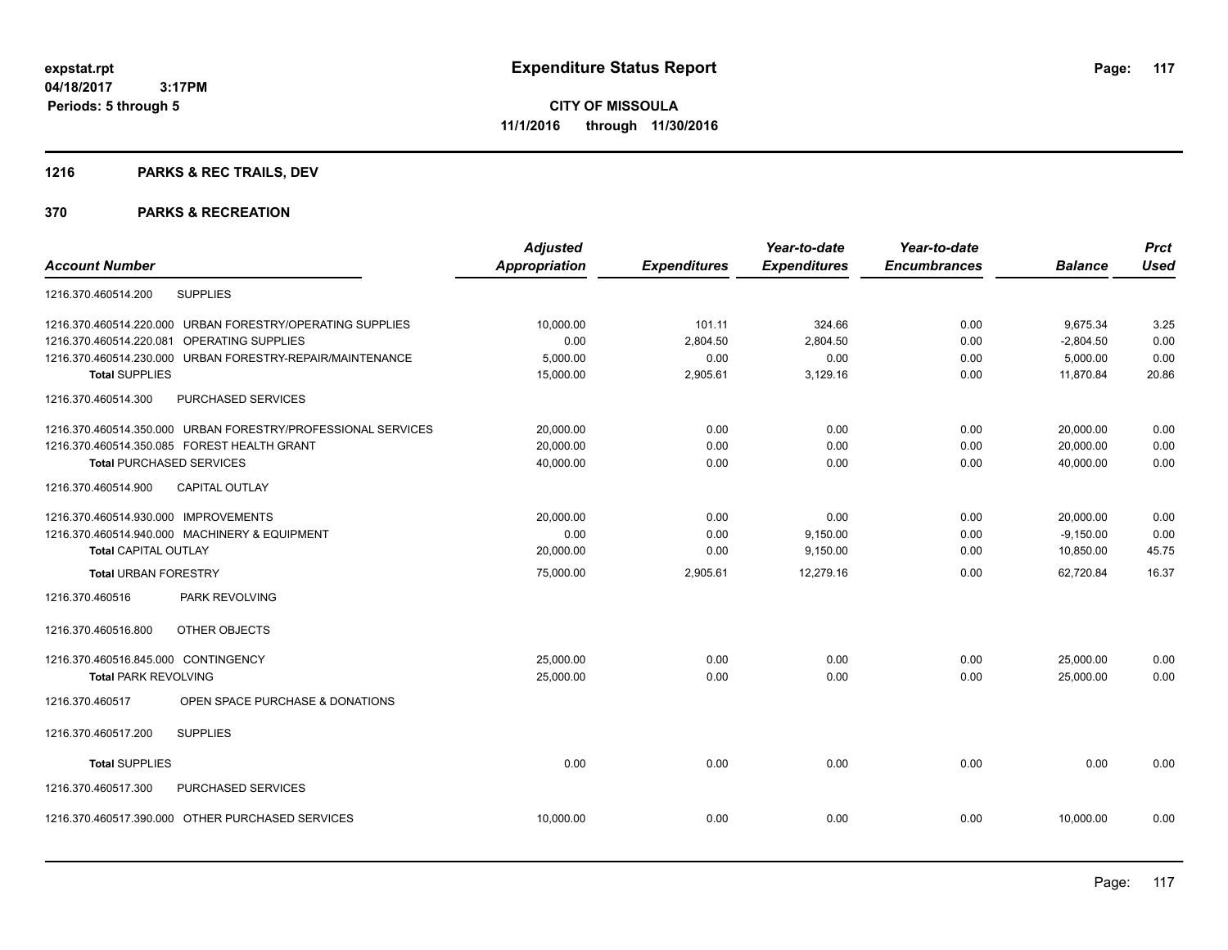## **1216 PARKS & REC TRAILS, DEV**

|                                                              | <b>Adjusted</b> |                     | Year-to-date        | Year-to-date        |                | <b>Prct</b> |
|--------------------------------------------------------------|-----------------|---------------------|---------------------|---------------------|----------------|-------------|
| <b>Account Number</b>                                        | Appropriation   | <b>Expenditures</b> | <b>Expenditures</b> | <b>Encumbrances</b> | <b>Balance</b> | <b>Used</b> |
| <b>SUPPLIES</b><br>1216.370.460514.200                       |                 |                     |                     |                     |                |             |
| 1216.370.460514.220.000 URBAN FORESTRY/OPERATING SUPPLIES    | 10,000.00       | 101.11              | 324.66              | 0.00                | 9,675.34       | 3.25        |
| OPERATING SUPPLIES<br>1216.370.460514.220.081                | 0.00            | 2,804.50            | 2,804.50            | 0.00                | $-2,804.50$    | 0.00        |
| URBAN FORESTRY-REPAIR/MAINTENANCE<br>1216.370.460514.230.000 | 5,000.00        | 0.00                | 0.00                | 0.00                | 5,000.00       | 0.00        |
| <b>Total SUPPLIES</b>                                        | 15,000.00       | 2,905.61            | 3,129.16            | 0.00                | 11,870.84      | 20.86       |
| 1216.370.460514.300<br>PURCHASED SERVICES                    |                 |                     |                     |                     |                |             |
| 1216.370.460514.350.000 URBAN FORESTRY/PROFESSIONAL SERVICES | 20,000.00       | 0.00                | 0.00                | 0.00                | 20,000.00      | 0.00        |
| 1216.370.460514.350.085 FOREST HEALTH GRANT                  | 20,000.00       | 0.00                | 0.00                | 0.00                | 20,000.00      | 0.00        |
| <b>Total PURCHASED SERVICES</b>                              | 40,000.00       | 0.00                | 0.00                | 0.00                | 40,000.00      | 0.00        |
| CAPITAL OUTLAY<br>1216.370.460514.900                        |                 |                     |                     |                     |                |             |
| 1216.370.460514.930.000 IMPROVEMENTS                         | 20,000.00       | 0.00                | 0.00                | 0.00                | 20,000.00      | 0.00        |
| 1216.370.460514.940.000 MACHINERY & EQUIPMENT                | 0.00            | 0.00                | 9,150.00            | 0.00                | $-9,150.00$    | 0.00        |
| <b>Total CAPITAL OUTLAY</b>                                  | 20,000.00       | 0.00                | 9,150.00            | 0.00                | 10,850.00      | 45.75       |
| <b>Total URBAN FORESTRY</b>                                  | 75,000.00       | 2,905.61            | 12.279.16           | 0.00                | 62.720.84      | 16.37       |
| 1216.370.460516<br>PARK REVOLVING                            |                 |                     |                     |                     |                |             |
| 1216.370.460516.800<br>OTHER OBJECTS                         |                 |                     |                     |                     |                |             |
| 1216.370.460516.845.000 CONTINGENCY                          | 25,000.00       | 0.00                | 0.00                | 0.00                | 25,000.00      | 0.00        |
| <b>Total PARK REVOLVING</b>                                  | 25,000.00       | 0.00                | 0.00                | 0.00                | 25,000.00      | 0.00        |
| OPEN SPACE PURCHASE & DONATIONS<br>1216.370.460517           |                 |                     |                     |                     |                |             |
| 1216.370.460517.200<br><b>SUPPLIES</b>                       |                 |                     |                     |                     |                |             |
| <b>Total SUPPLIES</b>                                        | 0.00            | 0.00                | 0.00                | 0.00                | 0.00           | 0.00        |
| PURCHASED SERVICES<br>1216.370.460517.300                    |                 |                     |                     |                     |                |             |
| 1216.370.460517.390.000 OTHER PURCHASED SERVICES             | 10,000.00       | 0.00                | 0.00                | 0.00                | 10,000.00      | 0.00        |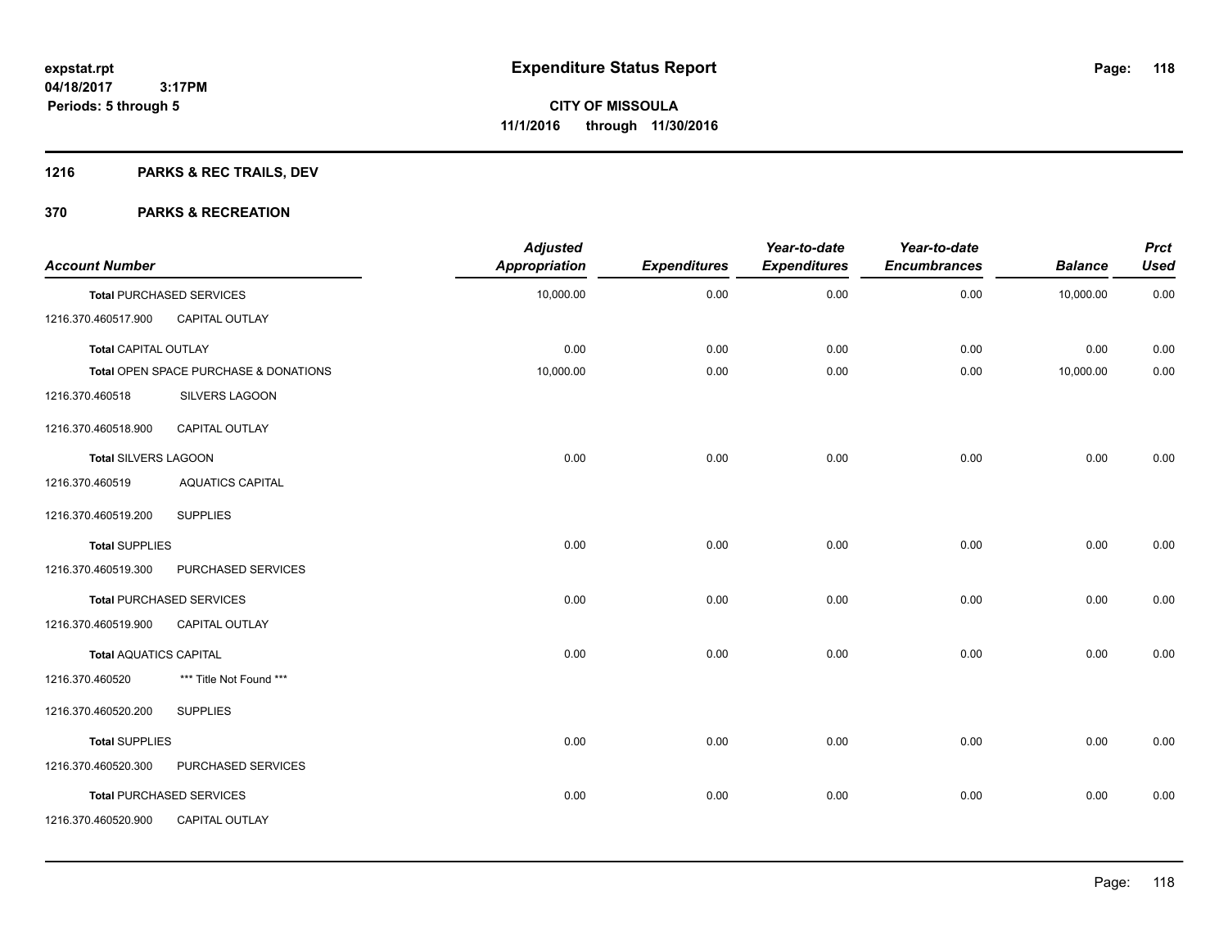## **1216 PARKS & REC TRAILS, DEV**

| <b>Account Number</b>         |                                       | <b>Adjusted</b><br><b>Appropriation</b> | <b>Expenditures</b> | Year-to-date<br><b>Expenditures</b> | Year-to-date<br><b>Encumbrances</b> | <b>Balance</b> | <b>Prct</b><br><b>Used</b> |
|-------------------------------|---------------------------------------|-----------------------------------------|---------------------|-------------------------------------|-------------------------------------|----------------|----------------------------|
|                               | <b>Total PURCHASED SERVICES</b>       | 10,000.00                               | 0.00                | 0.00                                | 0.00                                | 10,000.00      | 0.00                       |
| 1216.370.460517.900           | CAPITAL OUTLAY                        |                                         |                     |                                     |                                     |                |                            |
| <b>Total CAPITAL OUTLAY</b>   |                                       | 0.00                                    | 0.00                | 0.00                                | 0.00                                | 0.00           | 0.00                       |
|                               | Total OPEN SPACE PURCHASE & DONATIONS | 10,000.00                               | 0.00                | 0.00                                | 0.00                                | 10,000.00      | 0.00                       |
| 1216.370.460518               | SILVERS LAGOON                        |                                         |                     |                                     |                                     |                |                            |
| 1216.370.460518.900           | CAPITAL OUTLAY                        |                                         |                     |                                     |                                     |                |                            |
| Total SILVERS LAGOON          |                                       | 0.00                                    | 0.00                | 0.00                                | 0.00                                | 0.00           | 0.00                       |
| 1216.370.460519               | <b>AQUATICS CAPITAL</b>               |                                         |                     |                                     |                                     |                |                            |
| 1216.370.460519.200           | <b>SUPPLIES</b>                       |                                         |                     |                                     |                                     |                |                            |
| <b>Total SUPPLIES</b>         |                                       | 0.00                                    | 0.00                | 0.00                                | 0.00                                | 0.00           | 0.00                       |
| 1216.370.460519.300           | PURCHASED SERVICES                    |                                         |                     |                                     |                                     |                |                            |
|                               | <b>Total PURCHASED SERVICES</b>       | 0.00                                    | 0.00                | 0.00                                | 0.00                                | 0.00           | 0.00                       |
| 1216.370.460519.900           | CAPITAL OUTLAY                        |                                         |                     |                                     |                                     |                |                            |
| <b>Total AQUATICS CAPITAL</b> |                                       | 0.00                                    | 0.00                | 0.00                                | 0.00                                | 0.00           | 0.00                       |
| 1216.370.460520               | *** Title Not Found ***               |                                         |                     |                                     |                                     |                |                            |
| 1216.370.460520.200           | <b>SUPPLIES</b>                       |                                         |                     |                                     |                                     |                |                            |
| <b>Total SUPPLIES</b>         |                                       | 0.00                                    | 0.00                | 0.00                                | 0.00                                | 0.00           | 0.00                       |
| 1216.370.460520.300           | PURCHASED SERVICES                    |                                         |                     |                                     |                                     |                |                            |
|                               | <b>Total PURCHASED SERVICES</b>       | 0.00                                    | 0.00                | 0.00                                | 0.00                                | 0.00           | 0.00                       |
| 1216.370.460520.900           | CAPITAL OUTLAY                        |                                         |                     |                                     |                                     |                |                            |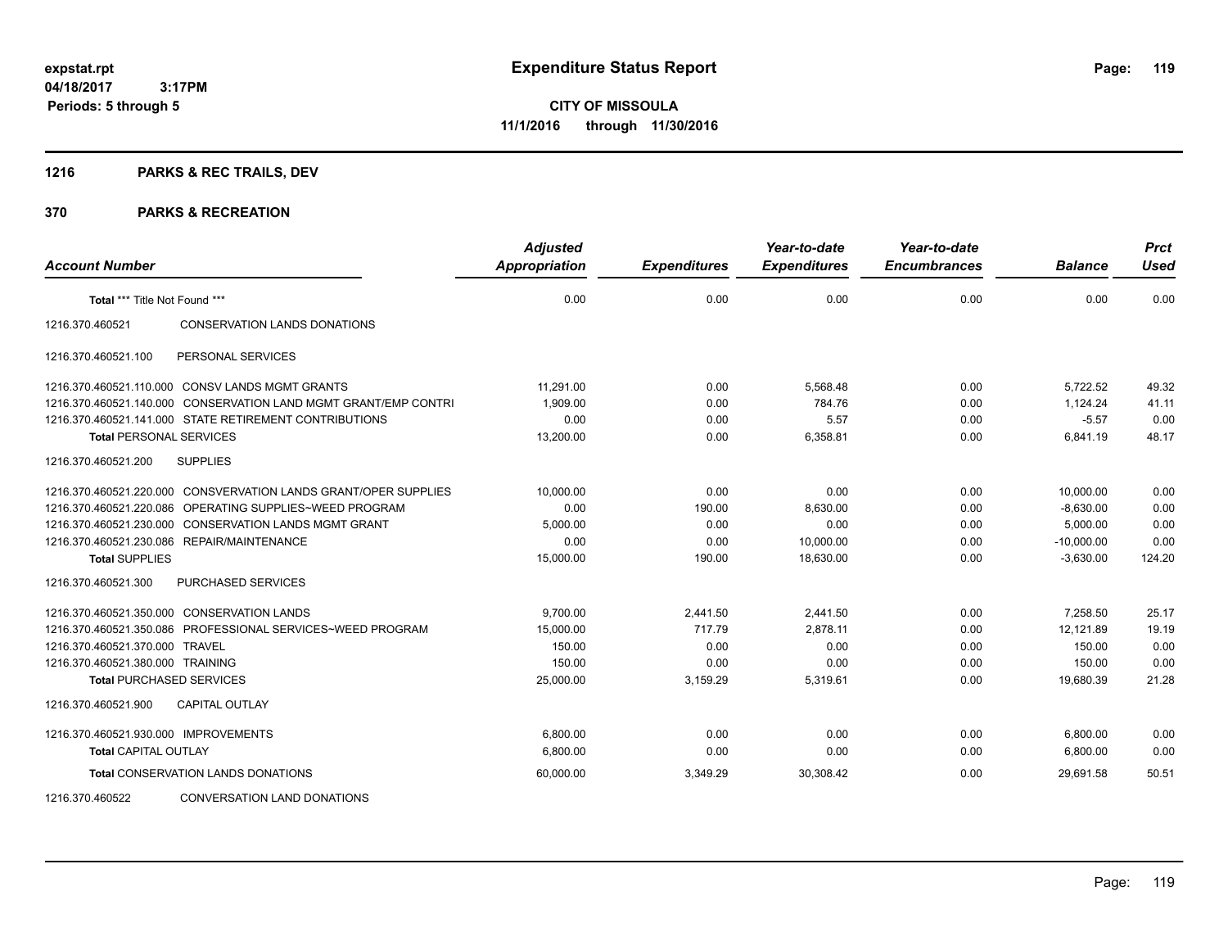## **1216 PARKS & REC TRAILS, DEV**

| <b>Account Number</b>                |                                                                 | <b>Adjusted</b><br><b>Appropriation</b> | <b>Expenditures</b> | Year-to-date<br><b>Expenditures</b> | Year-to-date<br><b>Encumbrances</b> | <b>Balance</b> | <b>Prct</b><br><b>Used</b> |
|--------------------------------------|-----------------------------------------------------------------|-----------------------------------------|---------------------|-------------------------------------|-------------------------------------|----------------|----------------------------|
| Total *** Title Not Found ***        |                                                                 | 0.00                                    | 0.00                | 0.00                                | 0.00                                | 0.00           | 0.00                       |
| 1216.370.460521                      | <b>CONSERVATION LANDS DONATIONS</b>                             |                                         |                     |                                     |                                     |                |                            |
| 1216.370.460521.100                  | PERSONAL SERVICES                                               |                                         |                     |                                     |                                     |                |                            |
|                                      | 1216.370.460521.110.000 CONSV LANDS MGMT GRANTS                 | 11,291.00                               | 0.00                | 5,568.48                            | 0.00                                | 5,722.52       | 49.32                      |
|                                      | 1216.370.460521.140.000 CONSERVATION LAND MGMT GRANT/EMP CONTRI | 1,909.00                                | 0.00                | 784.76                              | 0.00                                | 1,124.24       | 41.11                      |
|                                      | 1216.370.460521.141.000 STATE RETIREMENT CONTRIBUTIONS          | 0.00                                    | 0.00                | 5.57                                | 0.00                                | $-5.57$        | 0.00                       |
| <b>Total PERSONAL SERVICES</b>       |                                                                 | 13,200.00                               | 0.00                | 6,358.81                            | 0.00                                | 6,841.19       | 48.17                      |
| 1216.370.460521.200                  | <b>SUPPLIES</b>                                                 |                                         |                     |                                     |                                     |                |                            |
|                                      | 1216.370.460521.220.000 CONSVERVATION LANDS GRANT/OPER SUPPLIES | 10.000.00                               | 0.00                | 0.00                                | 0.00                                | 10.000.00      | 0.00                       |
| 1216.370.460521.220.086              | OPERATING SUPPLIES~WEED PROGRAM                                 | 0.00                                    | 190.00              | 8,630.00                            | 0.00                                | $-8,630.00$    | 0.00                       |
|                                      | 1216.370.460521.230.000 CONSERVATION LANDS MGMT GRANT           | 5,000.00                                | 0.00                | 0.00                                | 0.00                                | 5,000.00       | 0.00                       |
|                                      | 1216.370.460521.230.086 REPAIR/MAINTENANCE                      | 0.00                                    | 0.00                | 10,000.00                           | 0.00                                | $-10,000.00$   | 0.00                       |
| <b>Total SUPPLIES</b>                |                                                                 | 15,000.00                               | 190.00              | 18,630.00                           | 0.00                                | $-3,630.00$    | 124.20                     |
| 1216.370.460521.300                  | <b>PURCHASED SERVICES</b>                                       |                                         |                     |                                     |                                     |                |                            |
|                                      | 1216.370.460521.350.000 CONSERVATION LANDS                      | 9,700.00                                | 2,441.50            | 2,441.50                            | 0.00                                | 7,258.50       | 25.17                      |
|                                      | 1216.370.460521.350.086 PROFESSIONAL SERVICES~WEED PROGRAM      | 15,000.00                               | 717.79              | 2,878.11                            | 0.00                                | 12,121.89      | 19.19                      |
| 1216.370.460521.370.000 TRAVEL       |                                                                 | 150.00                                  | 0.00                | 0.00                                | 0.00                                | 150.00         | 0.00                       |
| 1216.370.460521.380.000 TRAINING     |                                                                 | 150.00                                  | 0.00                | 0.00                                | 0.00                                | 150.00         | 0.00                       |
| <b>Total PURCHASED SERVICES</b>      |                                                                 | 25,000.00                               | 3,159.29            | 5,319.61                            | 0.00                                | 19,680.39      | 21.28                      |
| 1216.370.460521.900                  | <b>CAPITAL OUTLAY</b>                                           |                                         |                     |                                     |                                     |                |                            |
| 1216.370.460521.930.000 IMPROVEMENTS |                                                                 | 6,800.00                                | 0.00                | 0.00                                | 0.00                                | 6,800.00       | 0.00                       |
| <b>Total CAPITAL OUTLAY</b>          |                                                                 | 6,800.00                                | 0.00                | 0.00                                | 0.00                                | 6,800.00       | 0.00                       |
|                                      | <b>Total CONSERVATION LANDS DONATIONS</b>                       | 60,000.00                               | 3,349.29            | 30,308.42                           | 0.00                                | 29.691.58      | 50.51                      |
| 1216.370.460522                      | <b>CONVERSATION LAND DONATIONS</b>                              |                                         |                     |                                     |                                     |                |                            |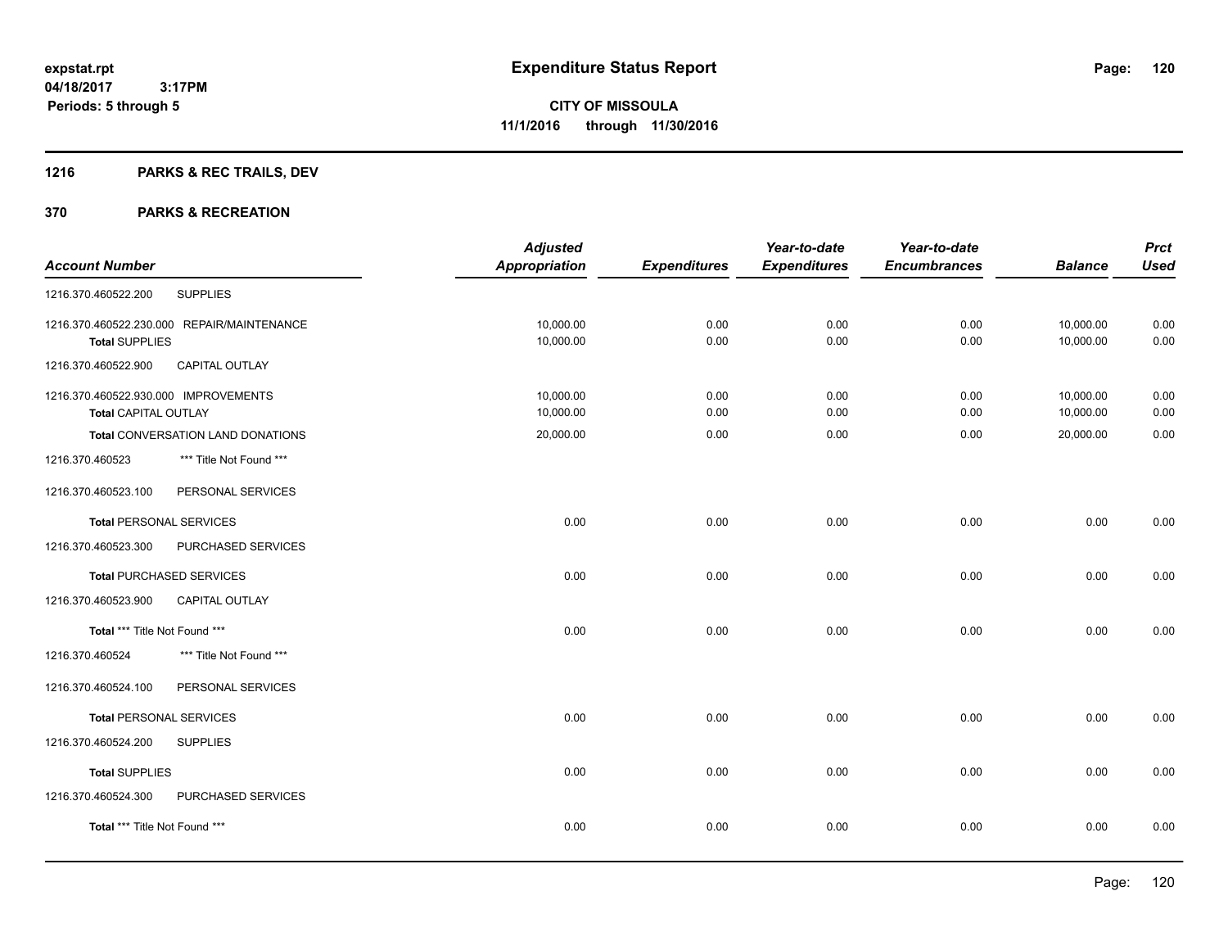## **1216 PARKS & REC TRAILS, DEV**

|                                      |                                            | <b>Adjusted</b> |                     | Year-to-date        | Year-to-date        |                | <b>Prct</b> |
|--------------------------------------|--------------------------------------------|-----------------|---------------------|---------------------|---------------------|----------------|-------------|
| <b>Account Number</b>                |                                            | Appropriation   | <b>Expenditures</b> | <b>Expenditures</b> | <b>Encumbrances</b> | <b>Balance</b> | <b>Used</b> |
| 1216.370.460522.200                  | <b>SUPPLIES</b>                            |                 |                     |                     |                     |                |             |
|                                      | 1216.370.460522.230.000 REPAIR/MAINTENANCE | 10,000.00       | 0.00                | 0.00                | 0.00                | 10,000.00      | 0.00        |
| <b>Total SUPPLIES</b>                |                                            | 10,000.00       | 0.00                | 0.00                | 0.00                | 10,000.00      | 0.00        |
| 1216.370.460522.900                  | <b>CAPITAL OUTLAY</b>                      |                 |                     |                     |                     |                |             |
| 1216.370.460522.930.000 IMPROVEMENTS |                                            | 10,000.00       | 0.00                | 0.00                | 0.00                | 10,000.00      | 0.00        |
| <b>Total CAPITAL OUTLAY</b>          |                                            | 10,000.00       | 0.00                | 0.00                | 0.00                | 10,000.00      | 0.00        |
|                                      | Total CONVERSATION LAND DONATIONS          | 20,000.00       | 0.00                | 0.00                | 0.00                | 20,000.00      | 0.00        |
| 1216.370.460523                      | *** Title Not Found ***                    |                 |                     |                     |                     |                |             |
| 1216.370.460523.100                  | PERSONAL SERVICES                          |                 |                     |                     |                     |                |             |
| <b>Total PERSONAL SERVICES</b>       |                                            | 0.00            | 0.00                | 0.00                | 0.00                | 0.00           | 0.00        |
| 1216.370.460523.300                  | PURCHASED SERVICES                         |                 |                     |                     |                     |                |             |
| <b>Total PURCHASED SERVICES</b>      |                                            | 0.00            | 0.00                | 0.00                | 0.00                | 0.00           | 0.00        |
| 1216.370.460523.900                  | <b>CAPITAL OUTLAY</b>                      |                 |                     |                     |                     |                |             |
| Total *** Title Not Found ***        |                                            | 0.00            | 0.00                | 0.00                | 0.00                | 0.00           | 0.00        |
| 1216.370.460524                      | *** Title Not Found ***                    |                 |                     |                     |                     |                |             |
| 1216.370.460524.100                  | PERSONAL SERVICES                          |                 |                     |                     |                     |                |             |
| <b>Total PERSONAL SERVICES</b>       |                                            | 0.00            | 0.00                | 0.00                | 0.00                | 0.00           | 0.00        |
| 1216.370.460524.200                  | <b>SUPPLIES</b>                            |                 |                     |                     |                     |                |             |
| <b>Total SUPPLIES</b>                |                                            | 0.00            | 0.00                | 0.00                | 0.00                | 0.00           | 0.00        |
| 1216.370.460524.300                  | PURCHASED SERVICES                         |                 |                     |                     |                     |                |             |
| Total *** Title Not Found ***        |                                            | 0.00            | 0.00                | 0.00                | 0.00                | 0.00           | 0.00        |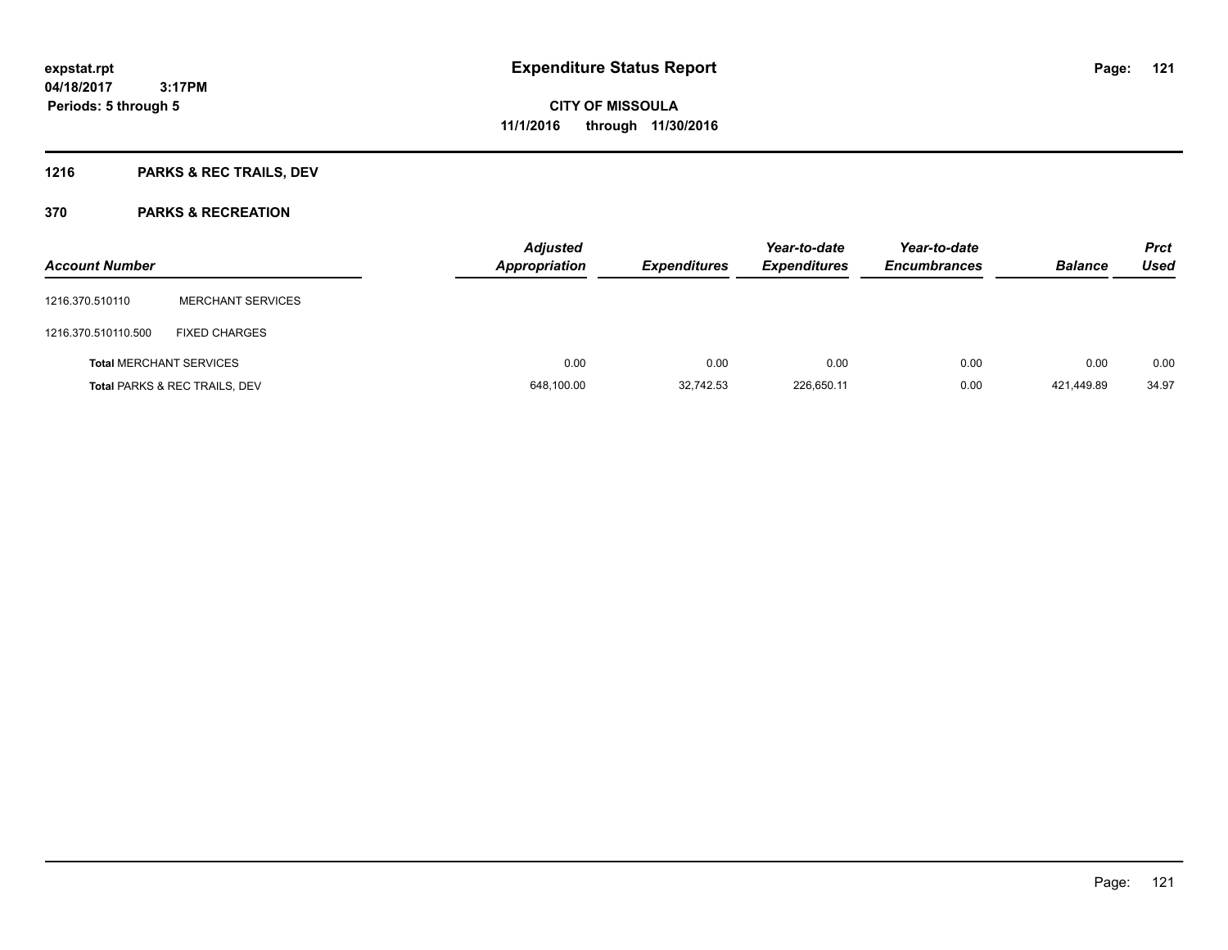## **1216 PARKS & REC TRAILS, DEV**

| <b>Account Number</b> |                                          | <b>Adjusted</b><br><b>Appropriation</b> | <b>Expenditures</b> | Year-to-date<br><b>Expenditures</b> | Year-to-date<br><b>Encumbrances</b> | <b>Balance</b> | <b>Prct</b><br><b>Used</b> |
|-----------------------|------------------------------------------|-----------------------------------------|---------------------|-------------------------------------|-------------------------------------|----------------|----------------------------|
| 1216.370.510110       | <b>MERCHANT SERVICES</b>                 |                                         |                     |                                     |                                     |                |                            |
| 1216.370.510110.500   | <b>FIXED CHARGES</b>                     |                                         |                     |                                     |                                     |                |                            |
|                       | <b>Total MERCHANT SERVICES</b>           | 0.00                                    | 0.00                | 0.00                                | 0.00                                | 0.00           | 0.00                       |
|                       | <b>Total PARKS &amp; REC TRAILS, DEV</b> | 648,100.00                              | 32,742.53           | 226,650.11                          | 0.00                                | 421.449.89     | 34.97                      |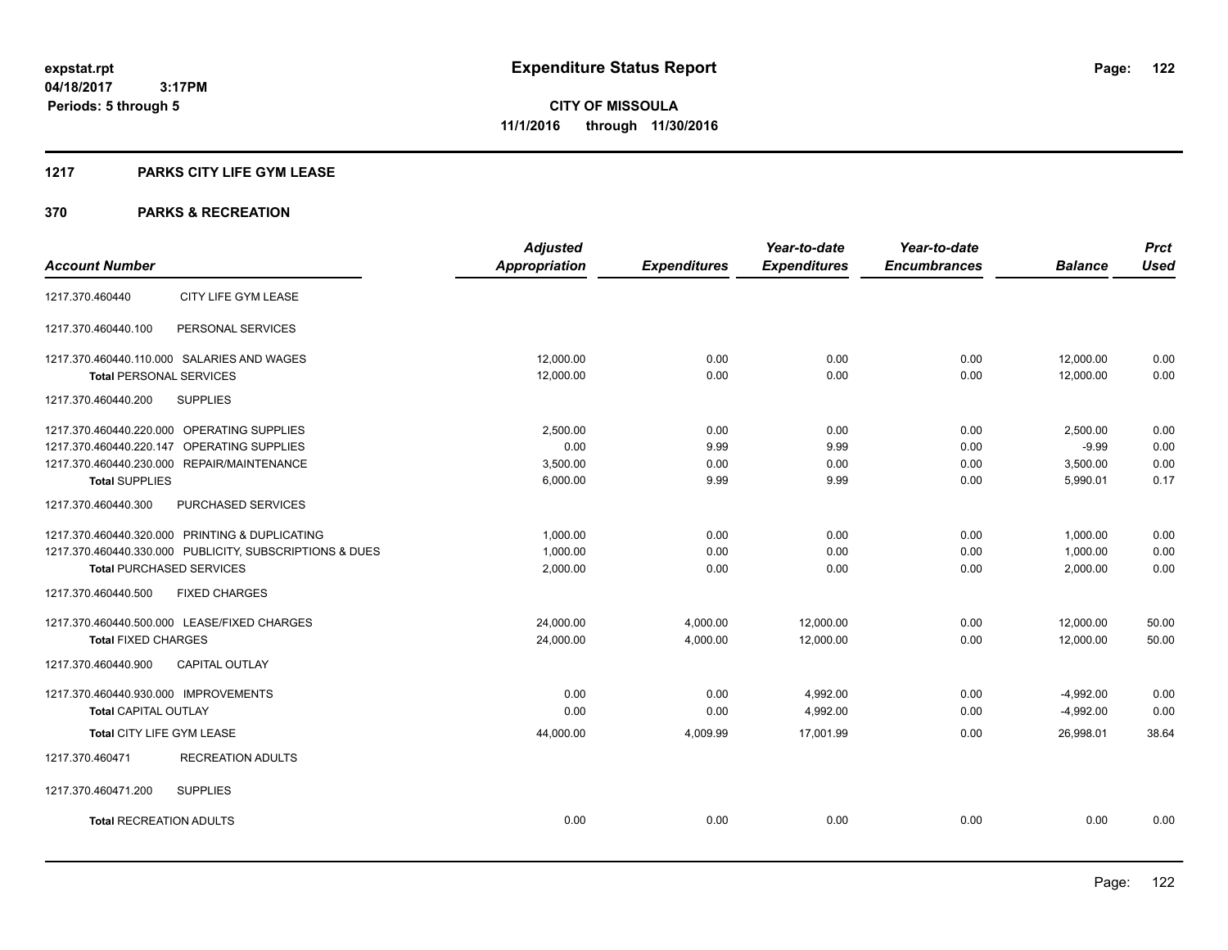### **1217 PARKS CITY LIFE GYM LEASE**

|                                                         | <b>Adjusted</b>      |                     | Year-to-date        | Year-to-date        |                | <b>Prct</b> |
|---------------------------------------------------------|----------------------|---------------------|---------------------|---------------------|----------------|-------------|
| <b>Account Number</b>                                   | <b>Appropriation</b> | <b>Expenditures</b> | <b>Expenditures</b> | <b>Encumbrances</b> | <b>Balance</b> | <b>Used</b> |
| CITY LIFE GYM LEASE<br>1217.370.460440                  |                      |                     |                     |                     |                |             |
| 1217.370.460440.100<br>PERSONAL SERVICES                |                      |                     |                     |                     |                |             |
| 1217.370.460440.110.000 SALARIES AND WAGES              | 12,000.00            | 0.00                | 0.00                | 0.00                | 12,000.00      | 0.00        |
| <b>Total PERSONAL SERVICES</b>                          | 12,000.00            | 0.00                | 0.00                | 0.00                | 12,000.00      | 0.00        |
| 1217.370.460440.200<br><b>SUPPLIES</b>                  |                      |                     |                     |                     |                |             |
| 1217.370.460440.220.000 OPERATING SUPPLIES              | 2,500.00             | 0.00                | 0.00                | 0.00                | 2,500.00       | 0.00        |
| 1217.370.460440.220.147 OPERATING SUPPLIES              | 0.00                 | 9.99                | 9.99                | 0.00                | $-9.99$        | 0.00        |
| 1217.370.460440.230.000 REPAIR/MAINTENANCE              | 3,500.00             | 0.00                | 0.00                | 0.00                | 3,500.00       | 0.00        |
| <b>Total SUPPLIES</b>                                   | 6,000.00             | 9.99                | 9.99                | 0.00                | 5,990.01       | 0.17        |
| PURCHASED SERVICES<br>1217.370.460440.300               |                      |                     |                     |                     |                |             |
| 1217.370.460440.320.000 PRINTING & DUPLICATING          | 1,000.00             | 0.00                | 0.00                | 0.00                | 1,000.00       | 0.00        |
| 1217.370.460440.330.000 PUBLICITY, SUBSCRIPTIONS & DUES | 1,000.00             | 0.00                | 0.00                | 0.00                | 1,000.00       | 0.00        |
| <b>Total PURCHASED SERVICES</b>                         | 2,000.00             | 0.00                | 0.00                | 0.00                | 2,000.00       | 0.00        |
| <b>FIXED CHARGES</b><br>1217.370.460440.500             |                      |                     |                     |                     |                |             |
| 1217.370.460440.500.000 LEASE/FIXED CHARGES             | 24,000.00            | 4,000.00            | 12,000.00           | 0.00                | 12,000.00      | 50.00       |
| <b>Total FIXED CHARGES</b>                              | 24,000.00            | 4,000.00            | 12,000.00           | 0.00                | 12,000.00      | 50.00       |
| <b>CAPITAL OUTLAY</b><br>1217.370.460440.900            |                      |                     |                     |                     |                |             |
| 1217.370.460440.930.000 IMPROVEMENTS                    | 0.00                 | 0.00                | 4,992.00            | 0.00                | $-4,992.00$    | 0.00        |
| <b>Total CAPITAL OUTLAY</b>                             | 0.00                 | 0.00                | 4,992.00            | 0.00                | $-4,992.00$    | 0.00        |
| Total CITY LIFE GYM LEASE                               | 44,000.00            | 4,009.99            | 17,001.99           | 0.00                | 26,998.01      | 38.64       |
| 1217.370.460471<br><b>RECREATION ADULTS</b>             |                      |                     |                     |                     |                |             |
| 1217.370.460471.200<br><b>SUPPLIES</b>                  |                      |                     |                     |                     |                |             |
| <b>Total RECREATION ADULTS</b>                          | 0.00                 | 0.00                | 0.00                | 0.00                | 0.00           | 0.00        |
|                                                         |                      |                     |                     |                     |                |             |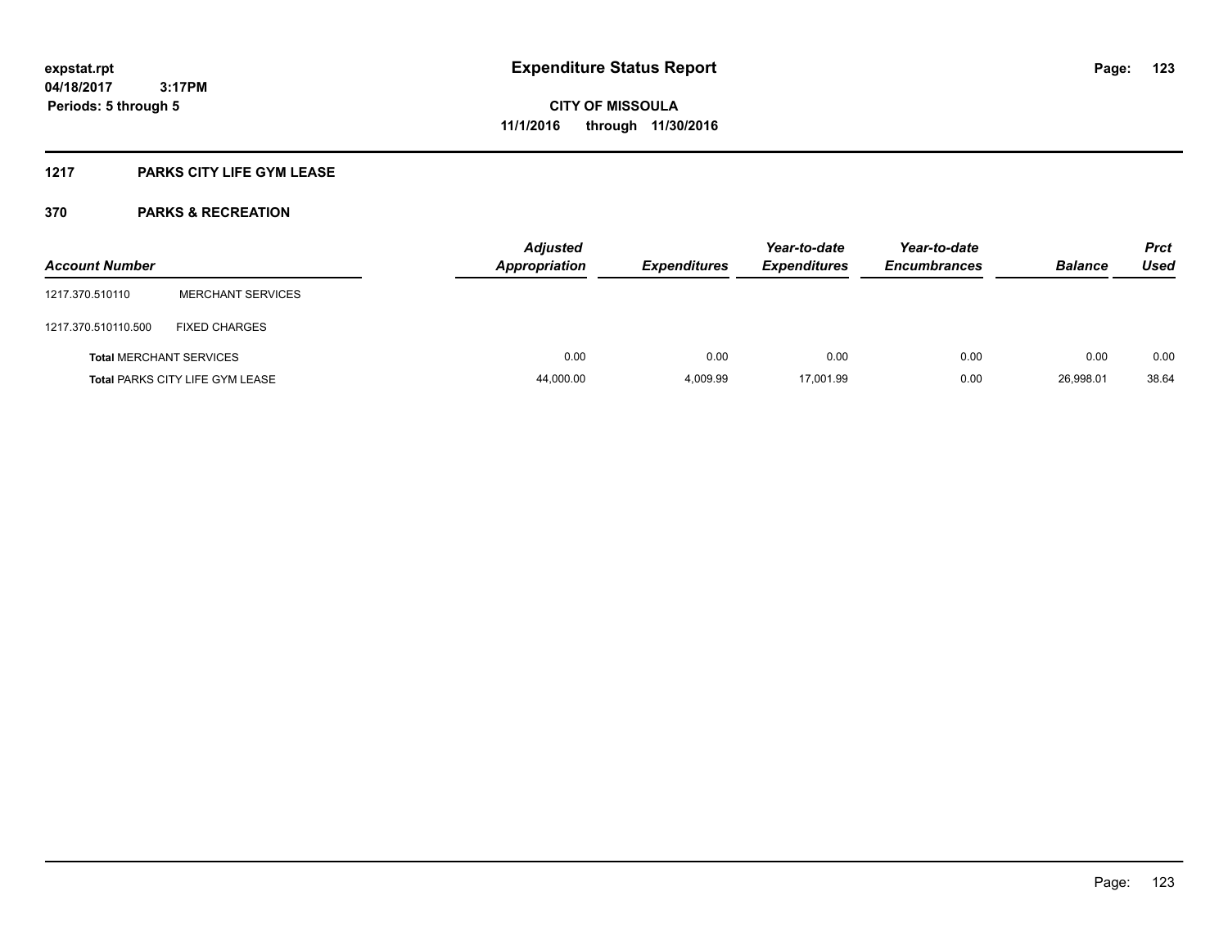### **1217 PARKS CITY LIFE GYM LEASE**

| <b>Account Number</b>          |                                        | <b>Adjusted</b><br><b>Appropriation</b> | <b>Expenditures</b> | Year-to-date<br><b>Expenditures</b> | Year-to-date<br><b>Encumbrances</b> | <b>Balance</b> | <b>Prct</b><br>Used |
|--------------------------------|----------------------------------------|-----------------------------------------|---------------------|-------------------------------------|-------------------------------------|----------------|---------------------|
| 1217.370.510110                | <b>MERCHANT SERVICES</b>               |                                         |                     |                                     |                                     |                |                     |
| 1217.370.510110.500            | <b>FIXED CHARGES</b>                   |                                         |                     |                                     |                                     |                |                     |
| <b>Total MERCHANT SERVICES</b> |                                        | 0.00                                    | 0.00                | 0.00                                | 0.00                                | 0.00           | 0.00                |
|                                | <b>Total PARKS CITY LIFE GYM LEASE</b> | 44,000.00                               | 4,009.99            | 17,001.99                           | 0.00                                | 26,998.01      | 38.64               |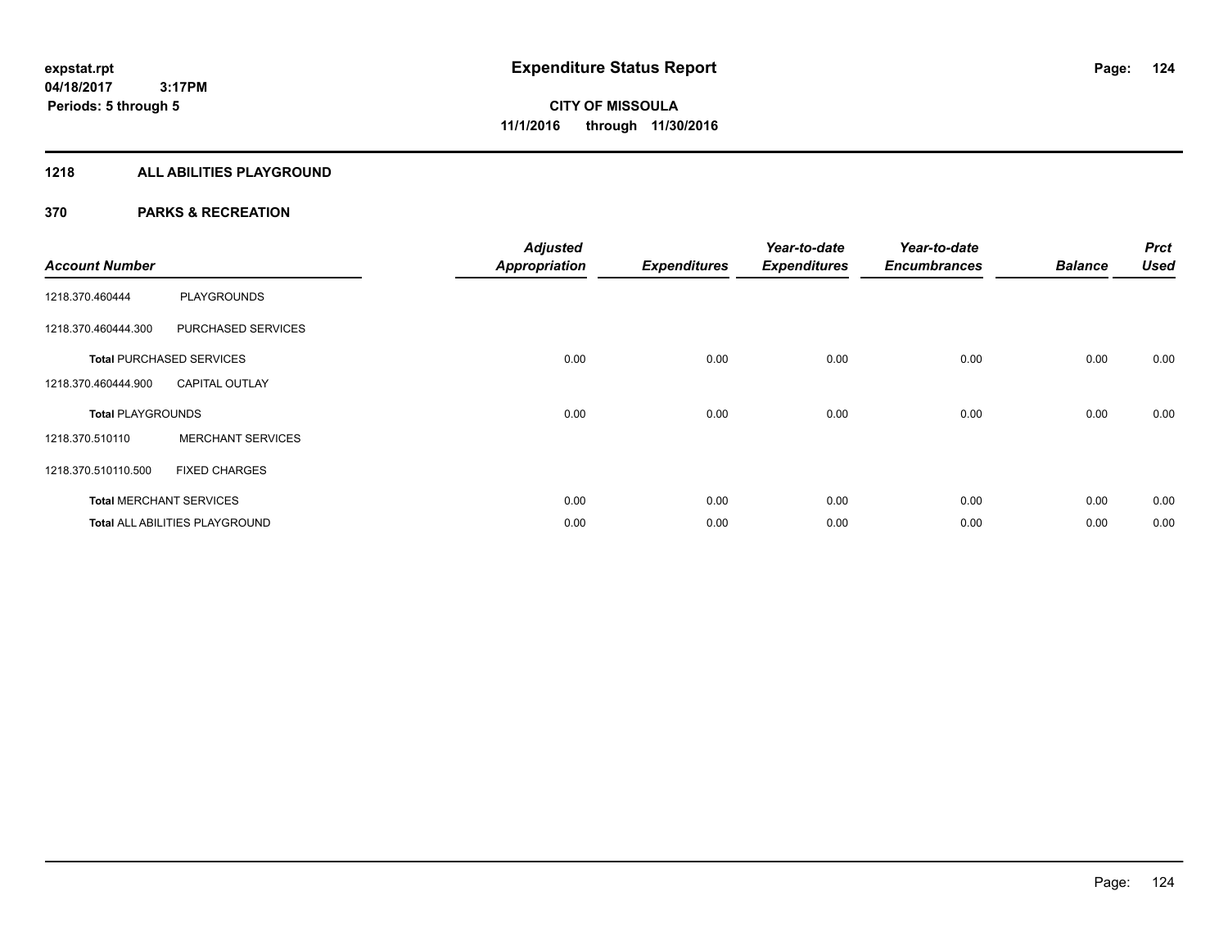### **1218 ALL ABILITIES PLAYGROUND**

| <b>Account Number</b>    |                                 | <b>Adjusted</b><br><b>Appropriation</b> | <b>Expenditures</b> | Year-to-date<br><b>Expenditures</b> | Year-to-date<br><b>Encumbrances</b> | <b>Balance</b> | <b>Prct</b><br><b>Used</b> |
|--------------------------|---------------------------------|-----------------------------------------|---------------------|-------------------------------------|-------------------------------------|----------------|----------------------------|
| 1218.370.460444          | <b>PLAYGROUNDS</b>              |                                         |                     |                                     |                                     |                |                            |
| 1218.370.460444.300      | PURCHASED SERVICES              |                                         |                     |                                     |                                     |                |                            |
|                          | <b>Total PURCHASED SERVICES</b> | 0.00                                    | 0.00                | 0.00                                | 0.00                                | 0.00           | 0.00                       |
| 1218.370.460444.900      | <b>CAPITAL OUTLAY</b>           |                                         |                     |                                     |                                     |                |                            |
| <b>Total PLAYGROUNDS</b> |                                 | 0.00                                    | 0.00                | 0.00                                | 0.00                                | 0.00           | 0.00                       |
| 1218.370.510110          | <b>MERCHANT SERVICES</b>        |                                         |                     |                                     |                                     |                |                            |
| 1218.370.510110.500      | <b>FIXED CHARGES</b>            |                                         |                     |                                     |                                     |                |                            |
|                          | <b>Total MERCHANT SERVICES</b>  | 0.00                                    | 0.00                | 0.00                                | 0.00                                | 0.00           | 0.00                       |
|                          | Total ALL ABILITIES PLAYGROUND  | 0.00                                    | 0.00                | 0.00                                | 0.00                                | 0.00           | 0.00                       |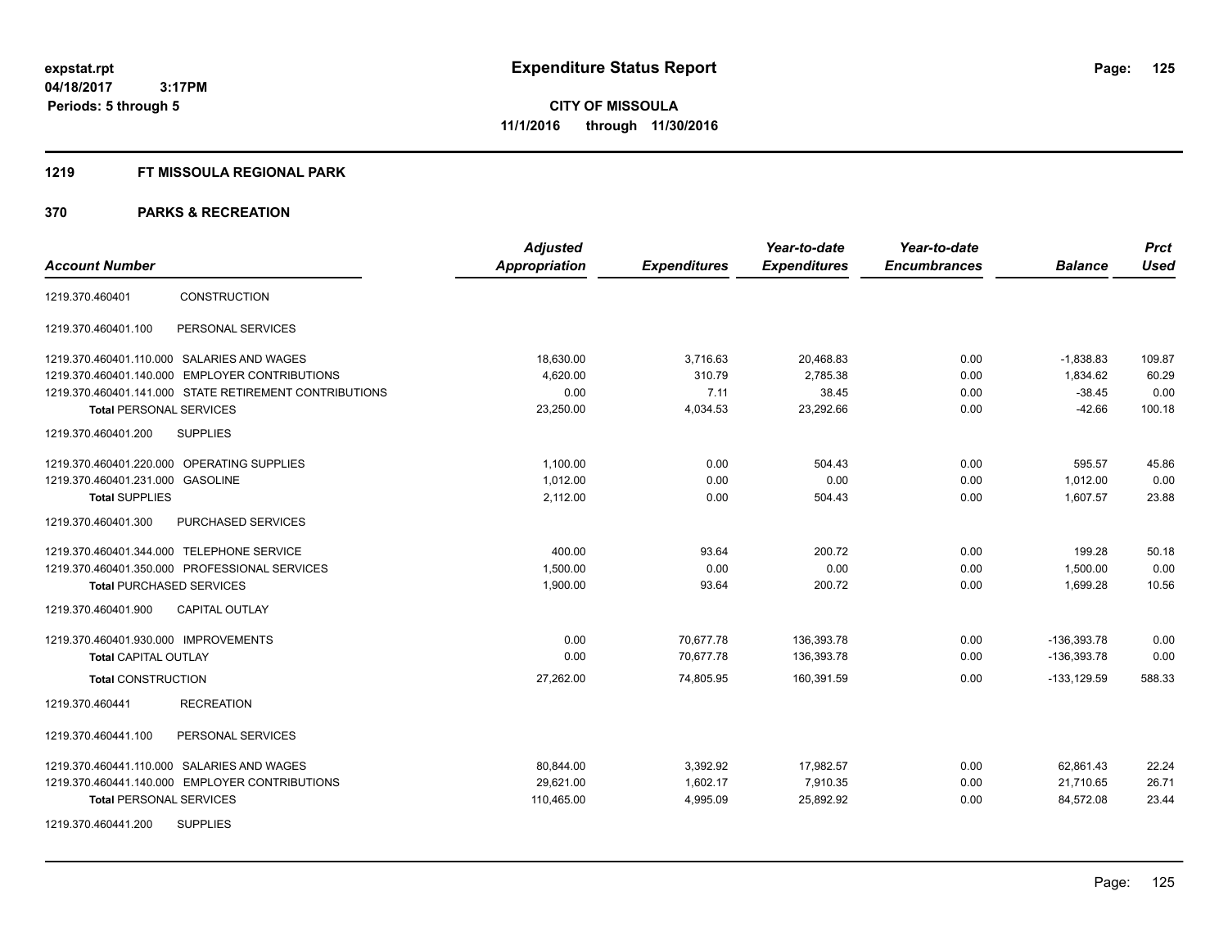### **1219 FT MISSOULA REGIONAL PARK**

| <b>Account Number</b>                                  | <b>Adjusted</b><br>Appropriation | <b>Expenditures</b> | Year-to-date<br><b>Expenditures</b> | Year-to-date<br><b>Encumbrances</b> | <b>Balance</b> | <b>Prct</b><br><b>Used</b> |
|--------------------------------------------------------|----------------------------------|---------------------|-------------------------------------|-------------------------------------|----------------|----------------------------|
| <b>CONSTRUCTION</b><br>1219.370.460401                 |                                  |                     |                                     |                                     |                |                            |
| PERSONAL SERVICES<br>1219.370.460401.100               |                                  |                     |                                     |                                     |                |                            |
| 1219.370.460401.110.000 SALARIES AND WAGES             | 18,630.00                        | 3,716.63            | 20,468.83                           | 0.00                                | $-1,838.83$    | 109.87                     |
| 1219.370.460401.140.000 EMPLOYER CONTRIBUTIONS         | 4,620.00                         | 310.79              | 2,785.38                            | 0.00                                | 1,834.62       | 60.29                      |
| 1219.370.460401.141.000 STATE RETIREMENT CONTRIBUTIONS | 0.00                             | 7.11                | 38.45                               | 0.00                                | $-38.45$       | 0.00                       |
| <b>Total PERSONAL SERVICES</b>                         | 23,250.00                        | 4,034.53            | 23,292.66                           | 0.00                                | $-42.66$       | 100.18                     |
| <b>SUPPLIES</b><br>1219.370.460401.200                 |                                  |                     |                                     |                                     |                |                            |
| 1219.370.460401.220.000 OPERATING SUPPLIES             | 1.100.00                         | 0.00                | 504.43                              | 0.00                                | 595.57         | 45.86                      |
| 1219.370.460401.231.000 GASOLINE                       | 1.012.00                         | 0.00                | 0.00                                | 0.00                                | 1.012.00       | 0.00                       |
| <b>Total SUPPLIES</b>                                  | 2,112.00                         | 0.00                | 504.43                              | 0.00                                | 1,607.57       | 23.88                      |
| 1219.370.460401.300<br>PURCHASED SERVICES              |                                  |                     |                                     |                                     |                |                            |
| 1219.370.460401.344.000 TELEPHONE SERVICE              | 400.00                           | 93.64               | 200.72                              | 0.00                                | 199.28         | 50.18                      |
| 1219.370.460401.350.000 PROFESSIONAL SERVICES          | 1.500.00                         | 0.00                | 0.00                                | 0.00                                | 1,500.00       | 0.00                       |
| <b>Total PURCHASED SERVICES</b>                        | 1,900.00                         | 93.64               | 200.72                              | 0.00                                | 1,699.28       | 10.56                      |
| 1219.370.460401.900<br><b>CAPITAL OUTLAY</b>           |                                  |                     |                                     |                                     |                |                            |
| 1219.370.460401.930.000 IMPROVEMENTS                   | 0.00                             | 70,677.78           | 136,393.78                          | 0.00                                | -136,393.78    | 0.00                       |
| <b>Total CAPITAL OUTLAY</b>                            | 0.00                             | 70,677.78           | 136,393.78                          | 0.00                                | -136,393.78    | 0.00                       |
| <b>Total CONSTRUCTION</b>                              | 27,262.00                        | 74,805.95           | 160,391.59                          | 0.00                                | $-133, 129.59$ | 588.33                     |
| <b>RECREATION</b><br>1219.370.460441                   |                                  |                     |                                     |                                     |                |                            |
| 1219.370.460441.100<br>PERSONAL SERVICES               |                                  |                     |                                     |                                     |                |                            |
| 1219.370.460441.110.000 SALARIES AND WAGES             | 80,844.00                        | 3,392.92            | 17,982.57                           | 0.00                                | 62,861.43      | 22.24                      |
| 1219.370.460441.140.000 EMPLOYER CONTRIBUTIONS         | 29,621.00                        | 1,602.17            | 7,910.35                            | 0.00                                | 21,710.65      | 26.71                      |
| <b>Total PERSONAL SERVICES</b>                         | 110,465.00                       | 4,995.09            | 25,892.92                           | 0.00                                | 84,572.08      | 23.44                      |
| <b>SUPPLIES</b><br>1219.370.460441.200                 |                                  |                     |                                     |                                     |                |                            |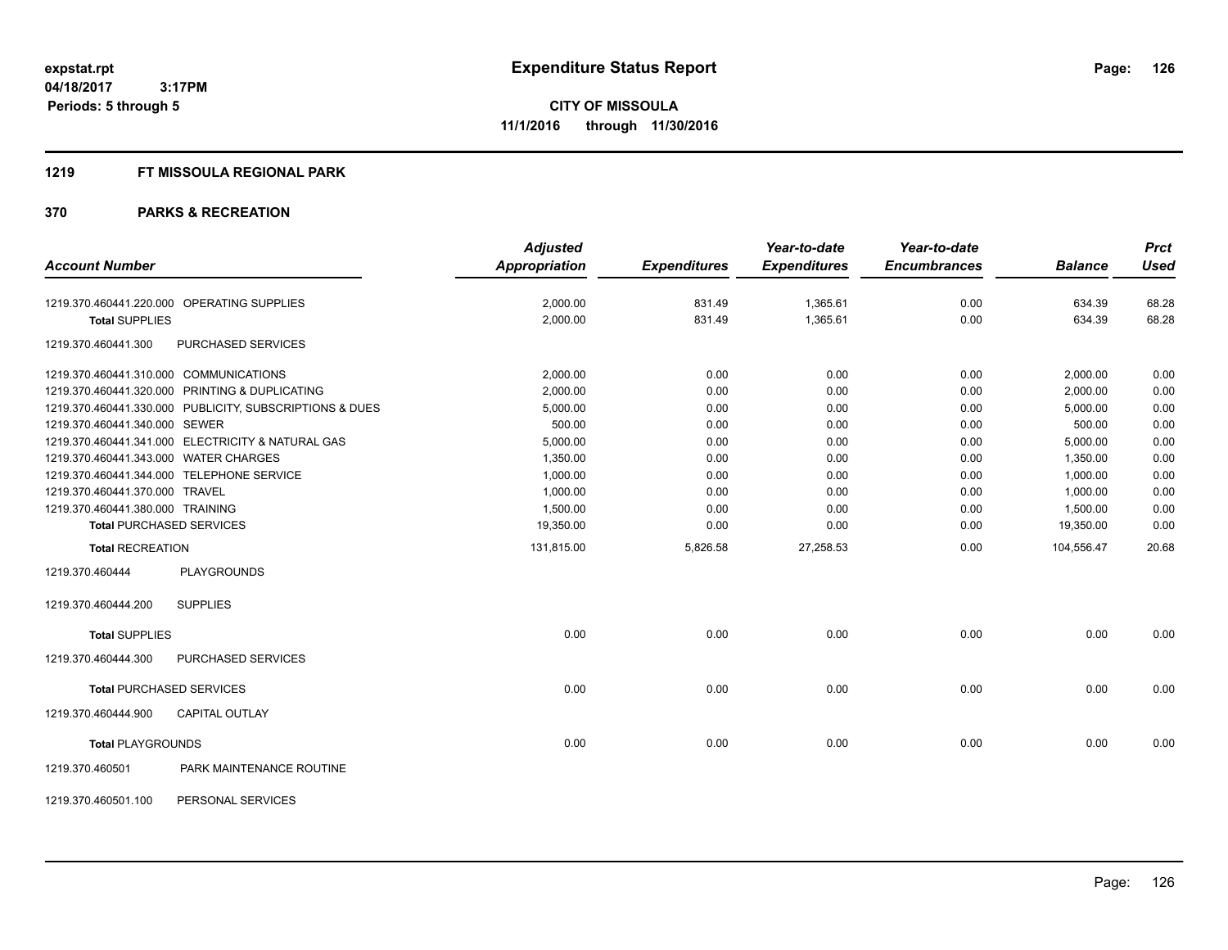### **1219 FT MISSOULA REGIONAL PARK**

| <b>Account Number</b>                                                                                                                                                                  |                                                                                                                                                                                                                                                | <b>Adjusted</b><br><b>Appropriation</b>                                                                             | <b>Expenditures</b>                                                          | Year-to-date<br><b>Expenditures</b>                                          | Year-to-date<br><b>Encumbrances</b>                                          | <b>Balance</b>                                                                                                      | <b>Prct</b><br><b>Used</b>                                                   |
|----------------------------------------------------------------------------------------------------------------------------------------------------------------------------------------|------------------------------------------------------------------------------------------------------------------------------------------------------------------------------------------------------------------------------------------------|---------------------------------------------------------------------------------------------------------------------|------------------------------------------------------------------------------|------------------------------------------------------------------------------|------------------------------------------------------------------------------|---------------------------------------------------------------------------------------------------------------------|------------------------------------------------------------------------------|
| <b>Total SUPPLIES</b>                                                                                                                                                                  | 1219.370.460441.220.000 OPERATING SUPPLIES                                                                                                                                                                                                     | 2,000.00<br>2,000.00                                                                                                | 831.49<br>831.49                                                             | 1,365.61<br>1,365.61                                                         | 0.00<br>0.00                                                                 | 634.39<br>634.39                                                                                                    | 68.28<br>68.28                                                               |
| 1219.370.460441.300                                                                                                                                                                    | <b>PURCHASED SERVICES</b>                                                                                                                                                                                                                      |                                                                                                                     |                                                                              |                                                                              |                                                                              |                                                                                                                     |                                                                              |
| 1219.370.460441.310.000 COMMUNICATIONS<br>1219.370.460441.340.000 SEWER<br>1219.370.460441.343.000 WATER CHARGES<br>1219.370.460441.370.000 TRAVEL<br>1219.370.460441.380.000 TRAINING | 1219.370.460441.320.000 PRINTING & DUPLICATING<br>1219.370.460441.330.000 PUBLICITY, SUBSCRIPTIONS & DUES<br>1219.370.460441.341.000 ELECTRICITY & NATURAL GAS<br>1219.370.460441.344.000 TELEPHONE SERVICE<br><b>Total PURCHASED SERVICES</b> | 2,000.00<br>2,000.00<br>5,000.00<br>500.00<br>5,000.00<br>1,350.00<br>1,000.00<br>1,000.00<br>1,500.00<br>19,350.00 | 0.00<br>0.00<br>0.00<br>0.00<br>0.00<br>0.00<br>0.00<br>0.00<br>0.00<br>0.00 | 0.00<br>0.00<br>0.00<br>0.00<br>0.00<br>0.00<br>0.00<br>0.00<br>0.00<br>0.00 | 0.00<br>0.00<br>0.00<br>0.00<br>0.00<br>0.00<br>0.00<br>0.00<br>0.00<br>0.00 | 2,000.00<br>2,000.00<br>5,000.00<br>500.00<br>5,000.00<br>1,350.00<br>1,000.00<br>1,000.00<br>1,500.00<br>19,350.00 | 0.00<br>0.00<br>0.00<br>0.00<br>0.00<br>0.00<br>0.00<br>0.00<br>0.00<br>0.00 |
| <b>Total RECREATION</b>                                                                                                                                                                |                                                                                                                                                                                                                                                | 131,815.00                                                                                                          | 5,826.58                                                                     | 27,258.53                                                                    | 0.00                                                                         | 104,556.47                                                                                                          | 20.68                                                                        |
| 1219.370.460444<br>1219.370.460444.200<br><b>Total SUPPLIES</b>                                                                                                                        | <b>PLAYGROUNDS</b><br><b>SUPPLIES</b>                                                                                                                                                                                                          | 0.00                                                                                                                | 0.00                                                                         | 0.00                                                                         | 0.00                                                                         | 0.00                                                                                                                | 0.00                                                                         |
| 1219.370.460444.300                                                                                                                                                                    | PURCHASED SERVICES                                                                                                                                                                                                                             |                                                                                                                     |                                                                              |                                                                              |                                                                              |                                                                                                                     |                                                                              |
| 1219.370.460444.900                                                                                                                                                                    | <b>Total PURCHASED SERVICES</b><br><b>CAPITAL OUTLAY</b>                                                                                                                                                                                       | 0.00                                                                                                                | 0.00                                                                         | 0.00                                                                         | 0.00                                                                         | 0.00                                                                                                                | 0.00                                                                         |
| <b>Total PLAYGROUNDS</b><br>1219.370.460501                                                                                                                                            | PARK MAINTENANCE ROUTINE                                                                                                                                                                                                                       | 0.00                                                                                                                | 0.00                                                                         | 0.00                                                                         | 0.00                                                                         | 0.00                                                                                                                | 0.00                                                                         |
| 1219.370.460501.100                                                                                                                                                                    | PERSONAL SERVICES                                                                                                                                                                                                                              |                                                                                                                     |                                                                              |                                                                              |                                                                              |                                                                                                                     |                                                                              |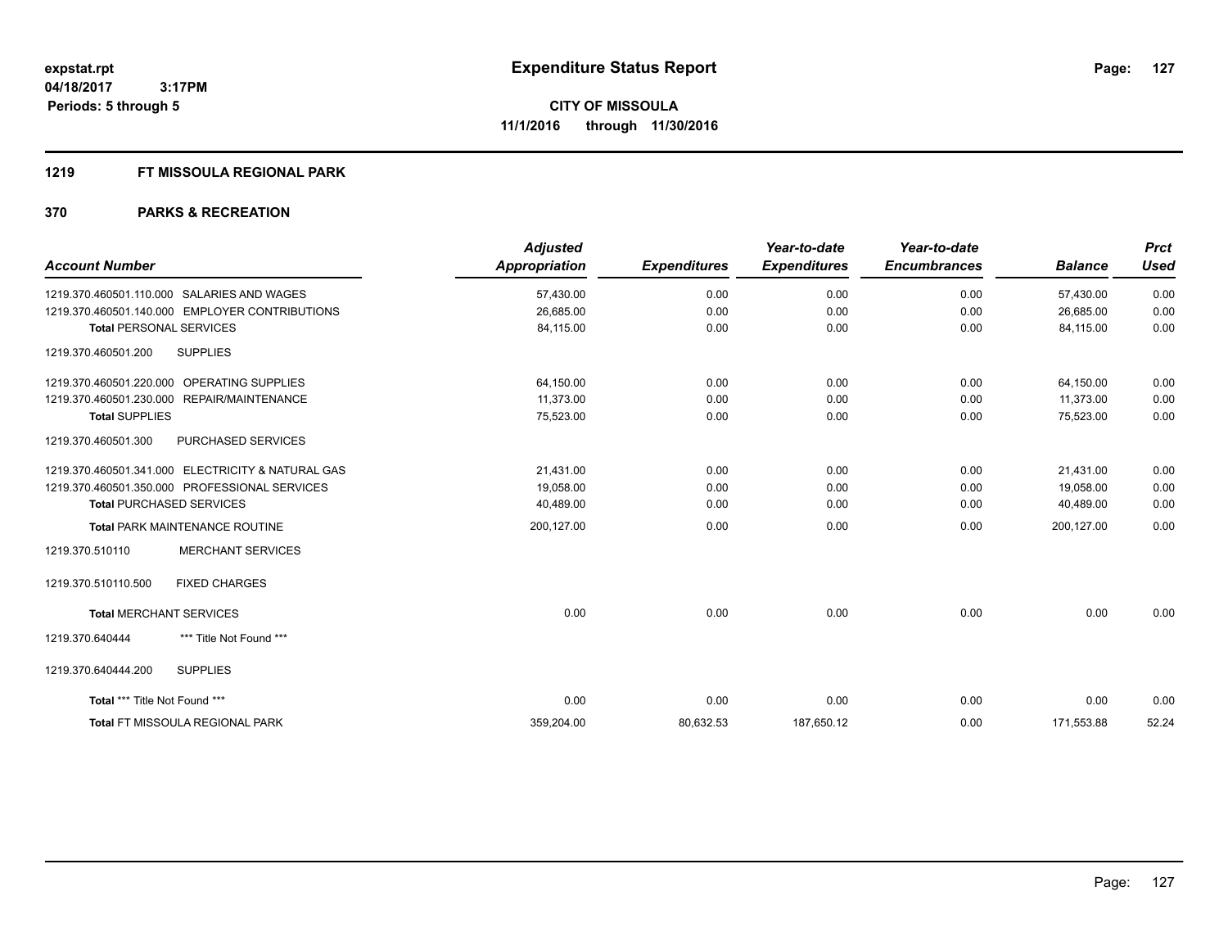### **1219 FT MISSOULA REGIONAL PARK**

| <b>Account Number</b>                             | <b>Adjusted</b><br><b>Appropriation</b> | <b>Expenditures</b> | Year-to-date<br><b>Expenditures</b> | Year-to-date<br><b>Encumbrances</b> | <b>Balance</b> | <b>Prct</b><br><b>Used</b> |
|---------------------------------------------------|-----------------------------------------|---------------------|-------------------------------------|-------------------------------------|----------------|----------------------------|
| 1219.370.460501.110.000 SALARIES AND WAGES        | 57,430.00                               | 0.00                | 0.00                                | 0.00                                | 57,430.00      | 0.00                       |
| 1219.370.460501.140.000 EMPLOYER CONTRIBUTIONS    | 26,685.00                               | 0.00                | 0.00                                | 0.00                                | 26,685.00      | 0.00                       |
| <b>Total PERSONAL SERVICES</b>                    | 84,115.00                               | 0.00                | 0.00                                | 0.00                                | 84,115.00      | 0.00                       |
| 1219.370.460501.200<br><b>SUPPLIES</b>            |                                         |                     |                                     |                                     |                |                            |
| 1219.370.460501.220.000 OPERATING SUPPLIES        | 64,150.00                               | 0.00                | 0.00                                | 0.00                                | 64,150.00      | 0.00                       |
| 1219.370.460501.230.000 REPAIR/MAINTENANCE        | 11,373.00                               | 0.00                | 0.00                                | 0.00                                | 11,373.00      | 0.00                       |
| <b>Total SUPPLIES</b>                             | 75,523.00                               | 0.00                | 0.00                                | 0.00                                | 75,523.00      | 0.00                       |
| 1219.370.460501.300<br>PURCHASED SERVICES         |                                         |                     |                                     |                                     |                |                            |
| 1219.370.460501.341.000 ELECTRICITY & NATURAL GAS | 21,431.00                               | 0.00                | 0.00                                | 0.00                                | 21,431.00      | 0.00                       |
| 1219.370.460501.350.000 PROFESSIONAL SERVICES     | 19,058.00                               | 0.00                | 0.00                                | 0.00                                | 19,058.00      | 0.00                       |
| <b>Total PURCHASED SERVICES</b>                   | 40,489.00                               | 0.00                | 0.00                                | 0.00                                | 40,489.00      | 0.00                       |
| <b>Total PARK MAINTENANCE ROUTINE</b>             | 200,127.00                              | 0.00                | 0.00                                | 0.00                                | 200.127.00     | 0.00                       |
| <b>MERCHANT SERVICES</b><br>1219.370.510110       |                                         |                     |                                     |                                     |                |                            |
| 1219.370.510110.500<br><b>FIXED CHARGES</b>       |                                         |                     |                                     |                                     |                |                            |
| <b>Total MERCHANT SERVICES</b>                    | 0.00                                    | 0.00                | 0.00                                | 0.00                                | 0.00           | 0.00                       |
| *** Title Not Found ***<br>1219.370.640444        |                                         |                     |                                     |                                     |                |                            |
| <b>SUPPLIES</b><br>1219.370.640444.200            |                                         |                     |                                     |                                     |                |                            |
| Total *** Title Not Found ***                     | 0.00                                    | 0.00                | 0.00                                | 0.00                                | 0.00           | 0.00                       |
| Total FT MISSOULA REGIONAL PARK                   | 359,204.00                              | 80,632.53           | 187,650.12                          | 0.00                                | 171,553.88     | 52.24                      |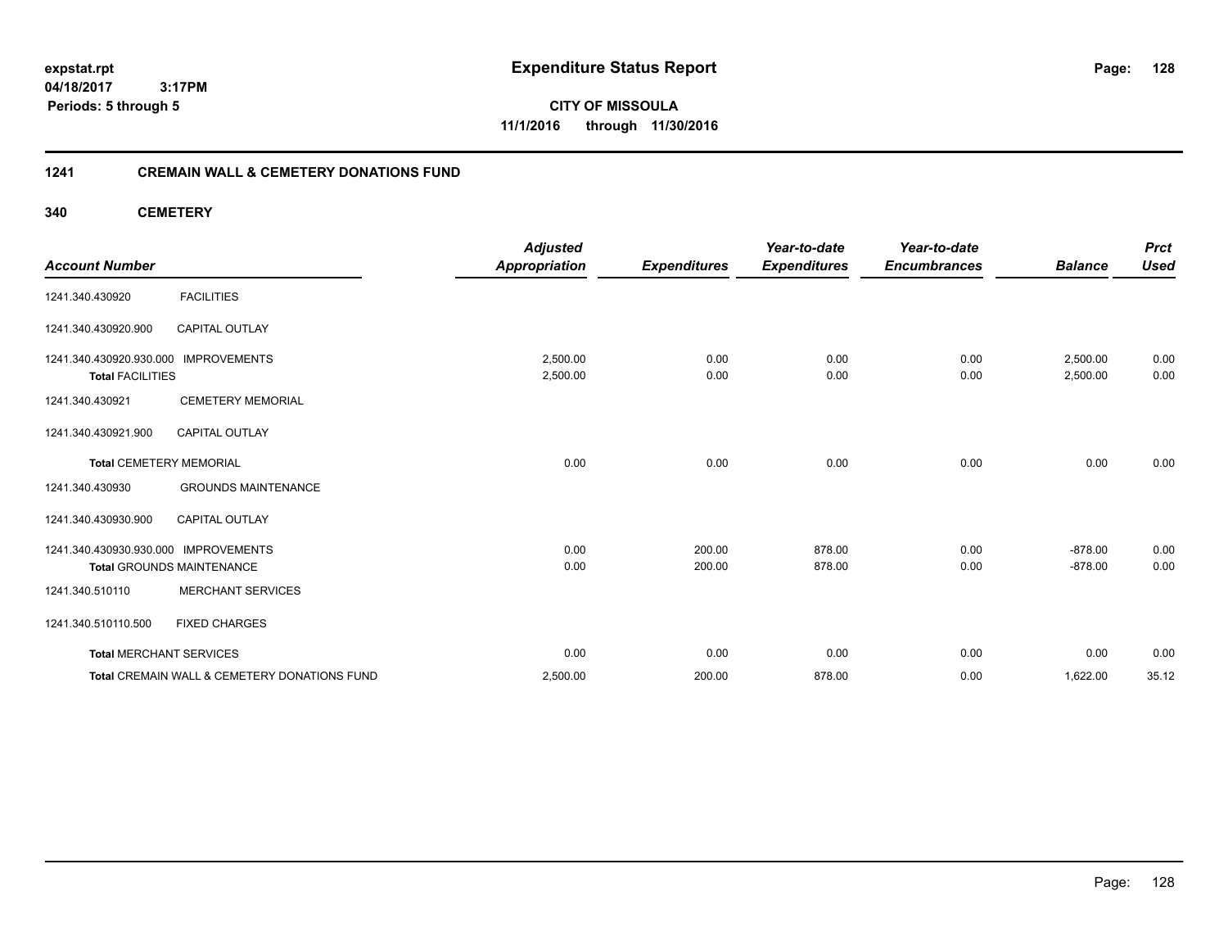**04/18/2017 3:17PM Periods: 5 through 5**

**CITY OF MISSOULA 11/1/2016 through 11/30/2016**

### **1241 CREMAIN WALL & CEMETERY DONATIONS FUND**

**340 CEMETERY**

| <b>Account Number</b>                                           |                                              | <b>Adjusted</b><br><b>Appropriation</b> | <b>Expenditures</b> | Year-to-date<br><b>Expenditures</b> | Year-to-date<br><b>Encumbrances</b> | <b>Balance</b>       | <b>Prct</b><br><b>Used</b> |
|-----------------------------------------------------------------|----------------------------------------------|-----------------------------------------|---------------------|-------------------------------------|-------------------------------------|----------------------|----------------------------|
| 1241.340.430920                                                 | <b>FACILITIES</b>                            |                                         |                     |                                     |                                     |                      |                            |
| 1241.340.430920.900                                             | <b>CAPITAL OUTLAY</b>                        |                                         |                     |                                     |                                     |                      |                            |
| 1241.340.430920.930.000 IMPROVEMENTS<br><b>Total FACILITIES</b> |                                              | 2,500.00<br>2,500.00                    | 0.00<br>0.00        | 0.00<br>0.00                        | 0.00<br>0.00                        | 2,500.00<br>2,500.00 | 0.00<br>0.00               |
| 1241.340.430921                                                 | <b>CEMETERY MEMORIAL</b>                     |                                         |                     |                                     |                                     |                      |                            |
| 1241.340.430921.900                                             | <b>CAPITAL OUTLAY</b>                        |                                         |                     |                                     |                                     |                      |                            |
| <b>Total CEMETERY MEMORIAL</b>                                  |                                              | 0.00                                    | 0.00                | 0.00                                | 0.00                                | 0.00                 | 0.00                       |
| 1241.340.430930                                                 | <b>GROUNDS MAINTENANCE</b>                   |                                         |                     |                                     |                                     |                      |                            |
| 1241.340.430930.900                                             | <b>CAPITAL OUTLAY</b>                        |                                         |                     |                                     |                                     |                      |                            |
| 1241.340.430930.930.000 IMPROVEMENTS                            |                                              | 0.00                                    | 200.00              | 878.00                              | 0.00                                | $-878.00$            | 0.00                       |
|                                                                 | <b>Total GROUNDS MAINTENANCE</b>             | 0.00                                    | 200.00              | 878.00                              | 0.00                                | $-878.00$            | 0.00                       |
| 1241.340.510110                                                 | <b>MERCHANT SERVICES</b>                     |                                         |                     |                                     |                                     |                      |                            |
| 1241.340.510110.500                                             | <b>FIXED CHARGES</b>                         |                                         |                     |                                     |                                     |                      |                            |
| <b>Total MERCHANT SERVICES</b>                                  |                                              | 0.00                                    | 0.00                | 0.00                                | 0.00                                | 0.00                 | 0.00                       |
|                                                                 | Total CREMAIN WALL & CEMETERY DONATIONS FUND | 2,500.00                                | 200.00              | 878.00                              | 0.00                                | 1,622.00             | 35.12                      |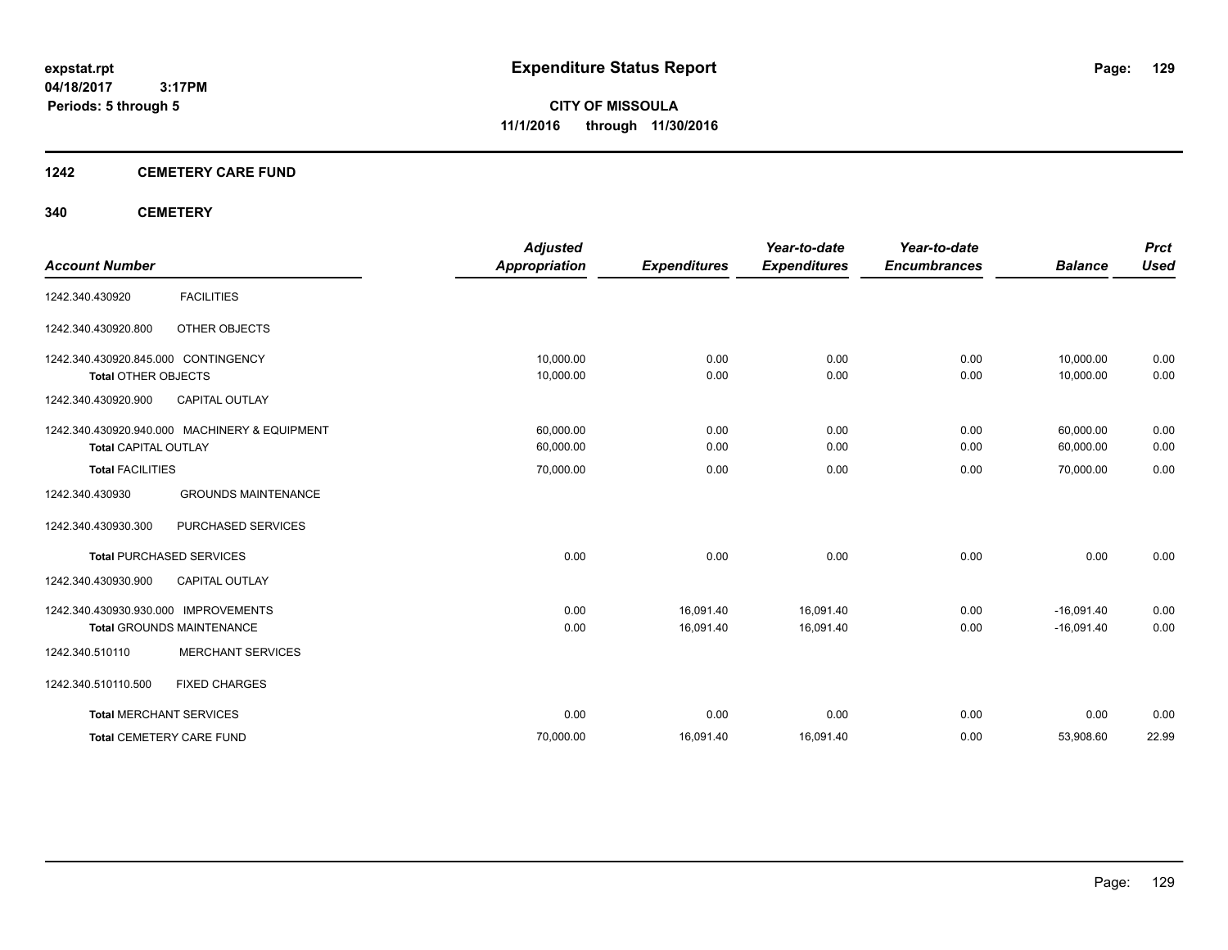### **1242 CEMETERY CARE FUND**

### **340 CEMETERY**

| <b>Account Number</b>                |                                               | <b>Adjusted</b><br><b>Appropriation</b> | <b>Expenditures</b> | Year-to-date<br><b>Expenditures</b> | Year-to-date<br><b>Encumbrances</b> | <b>Balance</b> | <b>Prct</b><br><b>Used</b> |
|--------------------------------------|-----------------------------------------------|-----------------------------------------|---------------------|-------------------------------------|-------------------------------------|----------------|----------------------------|
|                                      |                                               |                                         |                     |                                     |                                     |                |                            |
| 1242.340.430920                      | <b>FACILITIES</b>                             |                                         |                     |                                     |                                     |                |                            |
| 1242.340.430920.800                  | OTHER OBJECTS                                 |                                         |                     |                                     |                                     |                |                            |
| 1242.340.430920.845.000 CONTINGENCY  |                                               | 10.000.00                               | 0.00                | 0.00                                | 0.00                                | 10,000.00      | 0.00                       |
| <b>Total OTHER OBJECTS</b>           |                                               | 10,000.00                               | 0.00                | 0.00                                | 0.00                                | 10,000.00      | 0.00                       |
| 1242.340.430920.900                  | <b>CAPITAL OUTLAY</b>                         |                                         |                     |                                     |                                     |                |                            |
|                                      | 1242.340.430920.940.000 MACHINERY & EQUIPMENT | 60,000.00                               | 0.00                | 0.00                                | 0.00                                | 60,000.00      | 0.00                       |
| <b>Total CAPITAL OUTLAY</b>          |                                               | 60,000.00                               | 0.00                | 0.00                                | 0.00                                | 60,000.00      | 0.00                       |
| <b>Total FACILITIES</b>              |                                               | 70,000.00                               | 0.00                | 0.00                                | 0.00                                | 70,000.00      | 0.00                       |
| 1242.340.430930                      | <b>GROUNDS MAINTENANCE</b>                    |                                         |                     |                                     |                                     |                |                            |
| 1242.340.430930.300                  | PURCHASED SERVICES                            |                                         |                     |                                     |                                     |                |                            |
|                                      | <b>Total PURCHASED SERVICES</b>               | 0.00                                    | 0.00                | 0.00                                | 0.00                                | 0.00           | 0.00                       |
| 1242.340.430930.900                  | CAPITAL OUTLAY                                |                                         |                     |                                     |                                     |                |                            |
| 1242.340.430930.930.000 IMPROVEMENTS |                                               | 0.00                                    | 16,091.40           | 16,091.40                           | 0.00                                | $-16,091.40$   | 0.00                       |
|                                      | <b>Total GROUNDS MAINTENANCE</b>              | 0.00                                    | 16,091.40           | 16,091.40                           | 0.00                                | $-16,091.40$   | 0.00                       |
| 1242.340.510110                      | <b>MERCHANT SERVICES</b>                      |                                         |                     |                                     |                                     |                |                            |
| 1242.340.510110.500                  | <b>FIXED CHARGES</b>                          |                                         |                     |                                     |                                     |                |                            |
|                                      | <b>Total MERCHANT SERVICES</b>                | 0.00                                    | 0.00                | 0.00                                | 0.00                                | 0.00           | 0.00                       |
|                                      | <b>Total CEMETERY CARE FUND</b>               | 70,000.00                               | 16,091.40           | 16,091.40                           | 0.00                                | 53,908.60      | 22.99                      |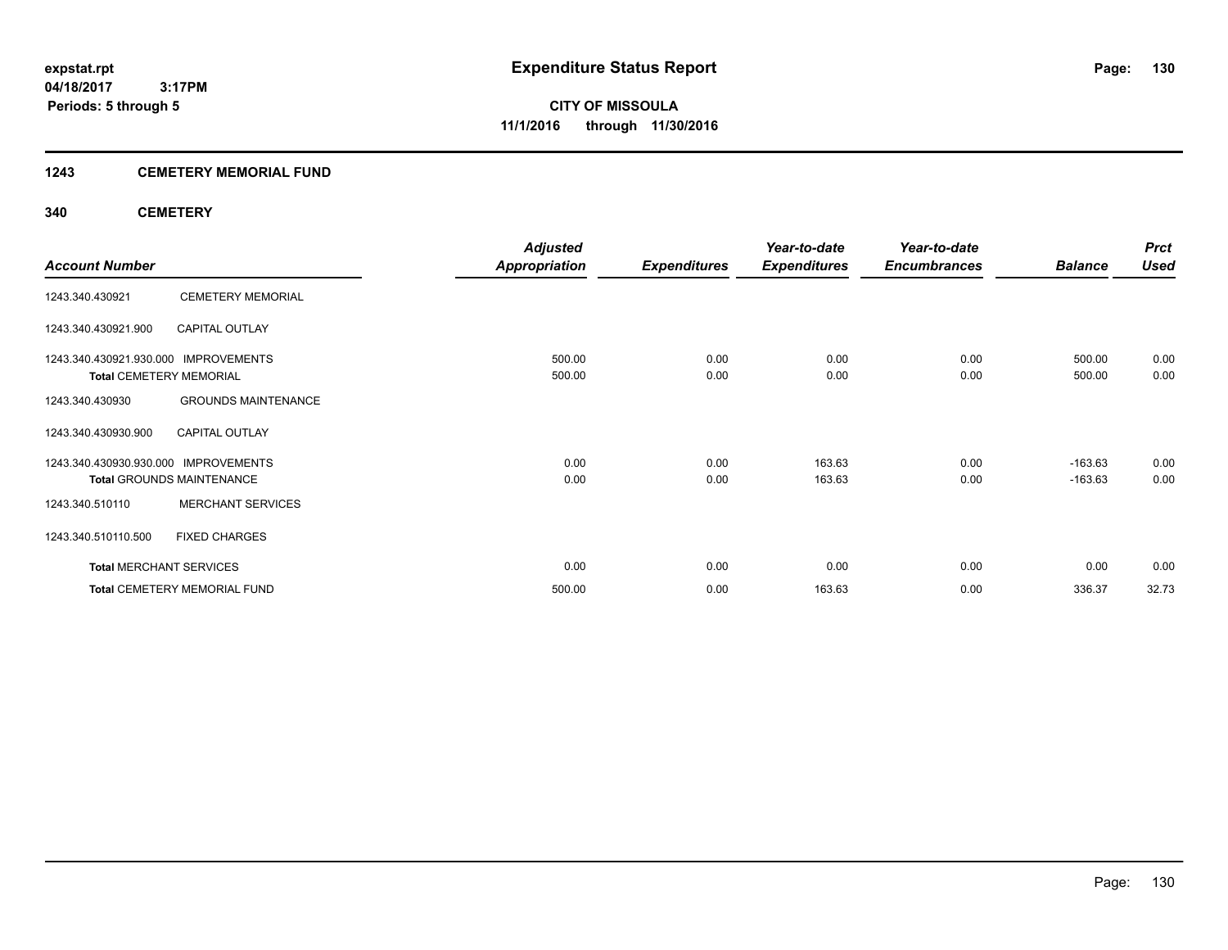### **1243 CEMETERY MEMORIAL FUND**

### **340 CEMETERY**

|                                      |                                     | <b>Adjusted</b>      |                     | Year-to-date        | Year-to-date        |                | <b>Prct</b> |
|--------------------------------------|-------------------------------------|----------------------|---------------------|---------------------|---------------------|----------------|-------------|
| <b>Account Number</b>                |                                     | <b>Appropriation</b> | <b>Expenditures</b> | <b>Expenditures</b> | <b>Encumbrances</b> | <b>Balance</b> | <b>Used</b> |
| 1243.340.430921                      | <b>CEMETERY MEMORIAL</b>            |                      |                     |                     |                     |                |             |
| 1243.340.430921.900                  | <b>CAPITAL OUTLAY</b>               |                      |                     |                     |                     |                |             |
| 1243.340.430921.930.000 IMPROVEMENTS |                                     | 500.00               | 0.00                | 0.00                | 0.00                | 500.00         | 0.00        |
| <b>Total CEMETERY MEMORIAL</b>       |                                     | 500.00               | 0.00                | 0.00                | 0.00                | 500.00         | 0.00        |
| 1243.340.430930                      | <b>GROUNDS MAINTENANCE</b>          |                      |                     |                     |                     |                |             |
| 1243.340.430930.900                  | <b>CAPITAL OUTLAY</b>               |                      |                     |                     |                     |                |             |
| 1243.340.430930.930.000              | <b>IMPROVEMENTS</b>                 | 0.00                 | 0.00                | 163.63              | 0.00                | $-163.63$      | 0.00        |
|                                      | <b>Total GROUNDS MAINTENANCE</b>    | 0.00                 | 0.00                | 163.63              | 0.00                | $-163.63$      | 0.00        |
| 1243.340.510110                      | <b>MERCHANT SERVICES</b>            |                      |                     |                     |                     |                |             |
| 1243.340.510110.500                  | <b>FIXED CHARGES</b>                |                      |                     |                     |                     |                |             |
| <b>Total MERCHANT SERVICES</b>       |                                     | 0.00                 | 0.00                | 0.00                | 0.00                | 0.00           | 0.00        |
|                                      | <b>Total CEMETERY MEMORIAL FUND</b> | 500.00               | 0.00                | 163.63              | 0.00                | 336.37         | 32.73       |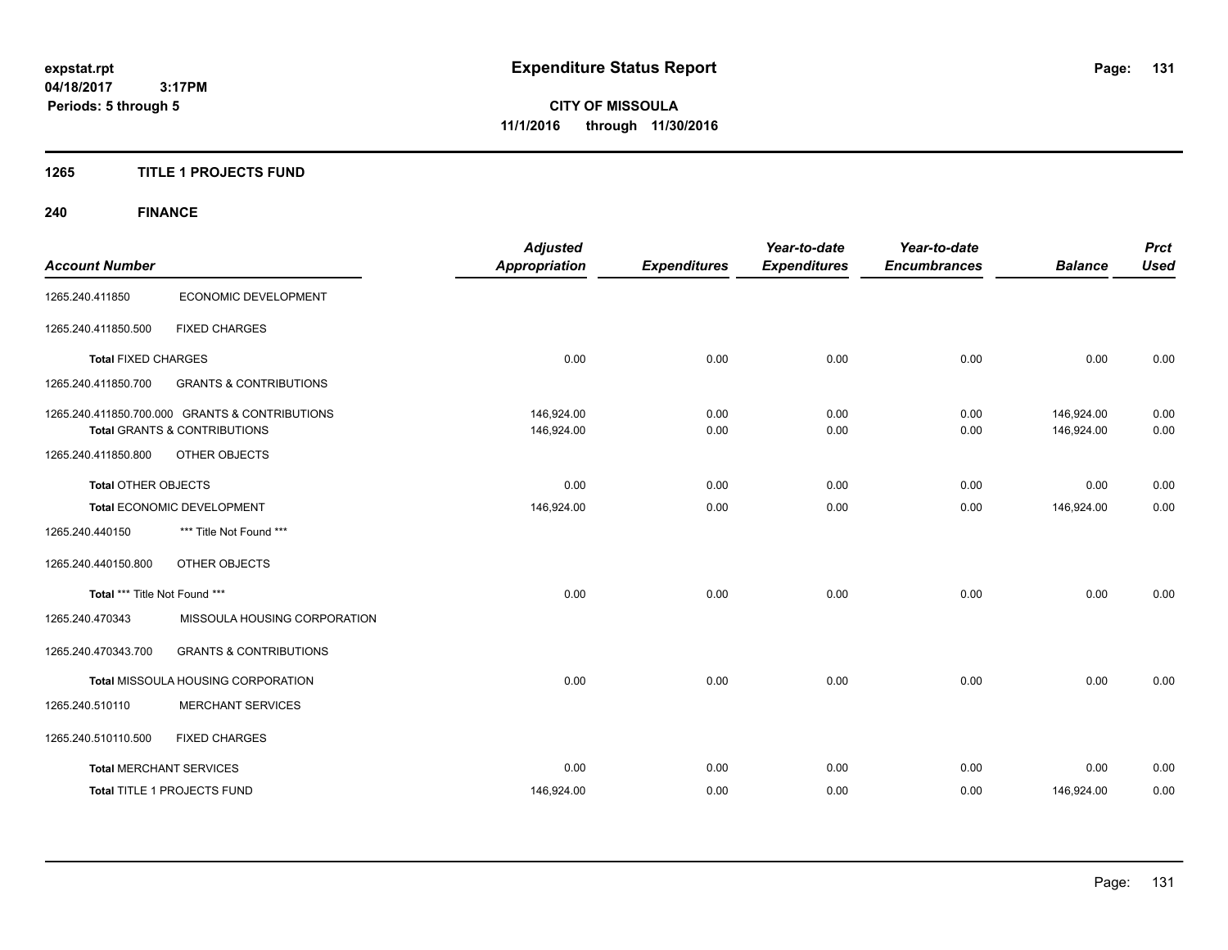### **1265 TITLE 1 PROJECTS FUND**

## **240 FINANCE**

| <b>Account Number</b>          |                                                | <b>Adjusted</b><br><b>Appropriation</b> | <b>Expenditures</b> | Year-to-date<br><b>Expenditures</b> | Year-to-date<br><b>Encumbrances</b> | <b>Balance</b> | <b>Prct</b><br><b>Used</b> |
|--------------------------------|------------------------------------------------|-----------------------------------------|---------------------|-------------------------------------|-------------------------------------|----------------|----------------------------|
|                                |                                                |                                         |                     |                                     |                                     |                |                            |
| 1265.240.411850                | ECONOMIC DEVELOPMENT                           |                                         |                     |                                     |                                     |                |                            |
| 1265.240.411850.500            | <b>FIXED CHARGES</b>                           |                                         |                     |                                     |                                     |                |                            |
| <b>Total FIXED CHARGES</b>     |                                                | 0.00                                    | 0.00                | 0.00                                | 0.00                                | 0.00           | 0.00                       |
| 1265.240.411850.700            | <b>GRANTS &amp; CONTRIBUTIONS</b>              |                                         |                     |                                     |                                     |                |                            |
|                                | 1265.240.411850.700.000 GRANTS & CONTRIBUTIONS | 146.924.00                              | 0.00                | 0.00                                | 0.00                                | 146.924.00     | 0.00                       |
|                                | <b>Total GRANTS &amp; CONTRIBUTIONS</b>        | 146,924.00                              | 0.00                | 0.00                                | 0.00                                | 146,924.00     | 0.00                       |
| 1265.240.411850.800            | <b>OTHER OBJECTS</b>                           |                                         |                     |                                     |                                     |                |                            |
| <b>Total OTHER OBJECTS</b>     |                                                | 0.00                                    | 0.00                | 0.00                                | 0.00                                | 0.00           | 0.00                       |
| Total ECONOMIC DEVELOPMENT     |                                                | 146,924.00                              | 0.00                | 0.00                                | 0.00                                | 146,924.00     | 0.00                       |
| 1265.240.440150                | *** Title Not Found ***                        |                                         |                     |                                     |                                     |                |                            |
| 1265.240.440150.800            | OTHER OBJECTS                                  |                                         |                     |                                     |                                     |                |                            |
| Total *** Title Not Found ***  |                                                | 0.00                                    | 0.00                | 0.00                                | 0.00                                | 0.00           | 0.00                       |
| 1265.240.470343                | MISSOULA HOUSING CORPORATION                   |                                         |                     |                                     |                                     |                |                            |
| 1265.240.470343.700            | <b>GRANTS &amp; CONTRIBUTIONS</b>              |                                         |                     |                                     |                                     |                |                            |
|                                | Total MISSOULA HOUSING CORPORATION             | 0.00                                    | 0.00                | 0.00                                | 0.00                                | 0.00           | 0.00                       |
| 1265.240.510110                | <b>MERCHANT SERVICES</b>                       |                                         |                     |                                     |                                     |                |                            |
| 1265.240.510110.500            | <b>FIXED CHARGES</b>                           |                                         |                     |                                     |                                     |                |                            |
| <b>Total MERCHANT SERVICES</b> |                                                | 0.00                                    | 0.00                | 0.00                                | 0.00                                | 0.00           | 0.00                       |
|                                | <b>Total TITLE 1 PROJECTS FUND</b>             | 146.924.00                              | 0.00                | 0.00                                | 0.00                                | 146.924.00     | 0.00                       |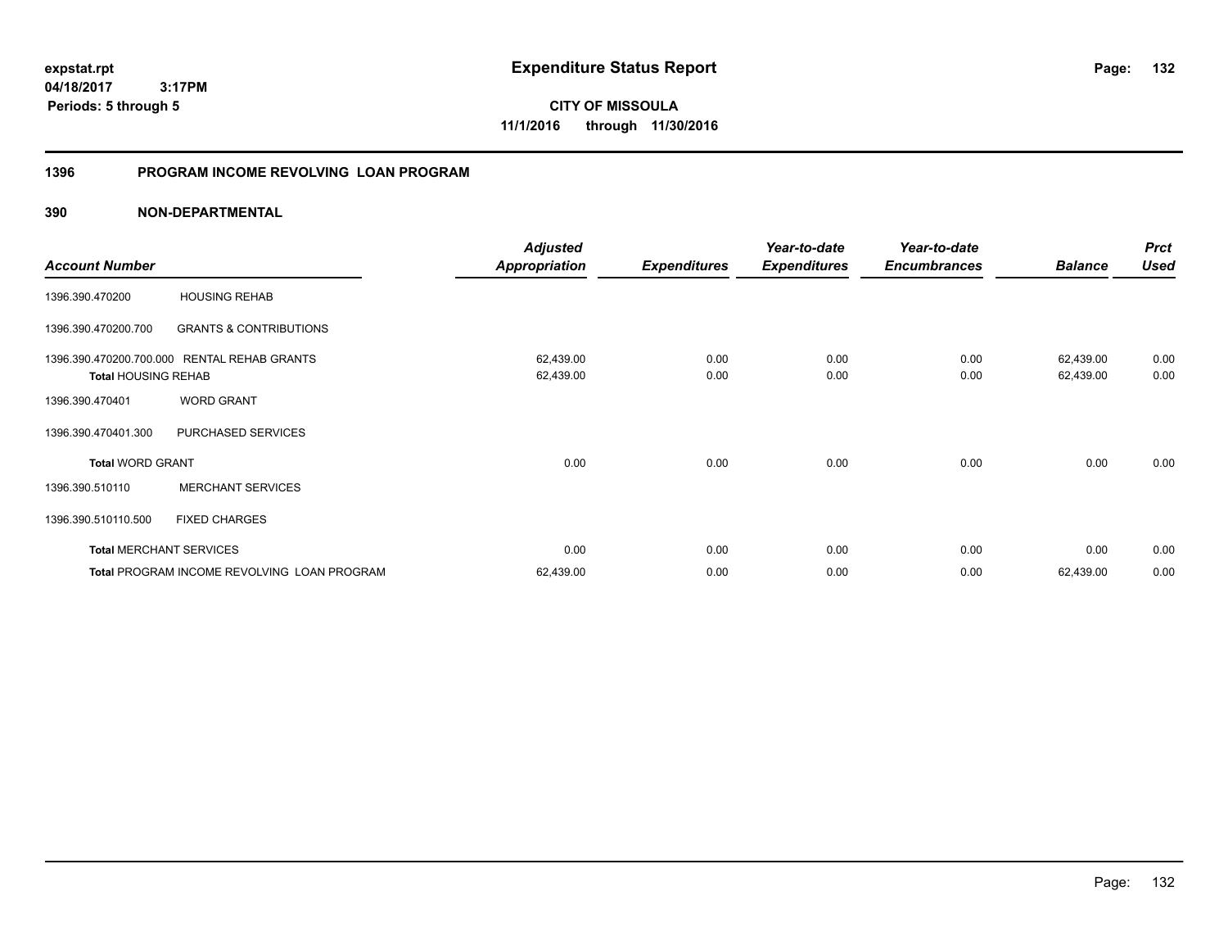**04/18/2017 3:17PM Periods: 5 through 5**

**CITY OF MISSOULA 11/1/2016 through 11/30/2016**

### **1396 PROGRAM INCOME REVOLVING LOAN PROGRAM**

| <b>Account Number</b>      |                                             | <b>Adjusted</b><br><b>Appropriation</b> | <b>Expenditures</b> | Year-to-date<br><b>Expenditures</b> | Year-to-date<br><b>Encumbrances</b> | <b>Balance</b> | <b>Prct</b><br><b>Used</b> |
|----------------------------|---------------------------------------------|-----------------------------------------|---------------------|-------------------------------------|-------------------------------------|----------------|----------------------------|
|                            |                                             |                                         |                     |                                     |                                     |                |                            |
| 1396.390.470200            | <b>HOUSING REHAB</b>                        |                                         |                     |                                     |                                     |                |                            |
| 1396.390.470200.700        | <b>GRANTS &amp; CONTRIBUTIONS</b>           |                                         |                     |                                     |                                     |                |                            |
|                            | 1396.390.470200.700.000 RENTAL REHAB GRANTS | 62,439.00                               | 0.00                | 0.00                                | 0.00                                | 62,439.00      | 0.00                       |
| <b>Total HOUSING REHAB</b> |                                             | 62,439.00                               | 0.00                | 0.00                                | 0.00                                | 62,439.00      | 0.00                       |
| 1396.390.470401            | <b>WORD GRANT</b>                           |                                         |                     |                                     |                                     |                |                            |
| 1396.390.470401.300        | PURCHASED SERVICES                          |                                         |                     |                                     |                                     |                |                            |
| <b>Total WORD GRANT</b>    |                                             | 0.00                                    | 0.00                | 0.00                                | 0.00                                | 0.00           | 0.00                       |
| 1396.390.510110            | <b>MERCHANT SERVICES</b>                    |                                         |                     |                                     |                                     |                |                            |
| 1396.390.510110.500        | <b>FIXED CHARGES</b>                        |                                         |                     |                                     |                                     |                |                            |
|                            | <b>Total MERCHANT SERVICES</b>              | 0.00                                    | 0.00                | 0.00                                | 0.00                                | 0.00           | 0.00                       |
|                            | Total PROGRAM INCOME REVOLVING LOAN PROGRAM | 62,439.00                               | 0.00                | 0.00                                | 0.00                                | 62,439.00      | 0.00                       |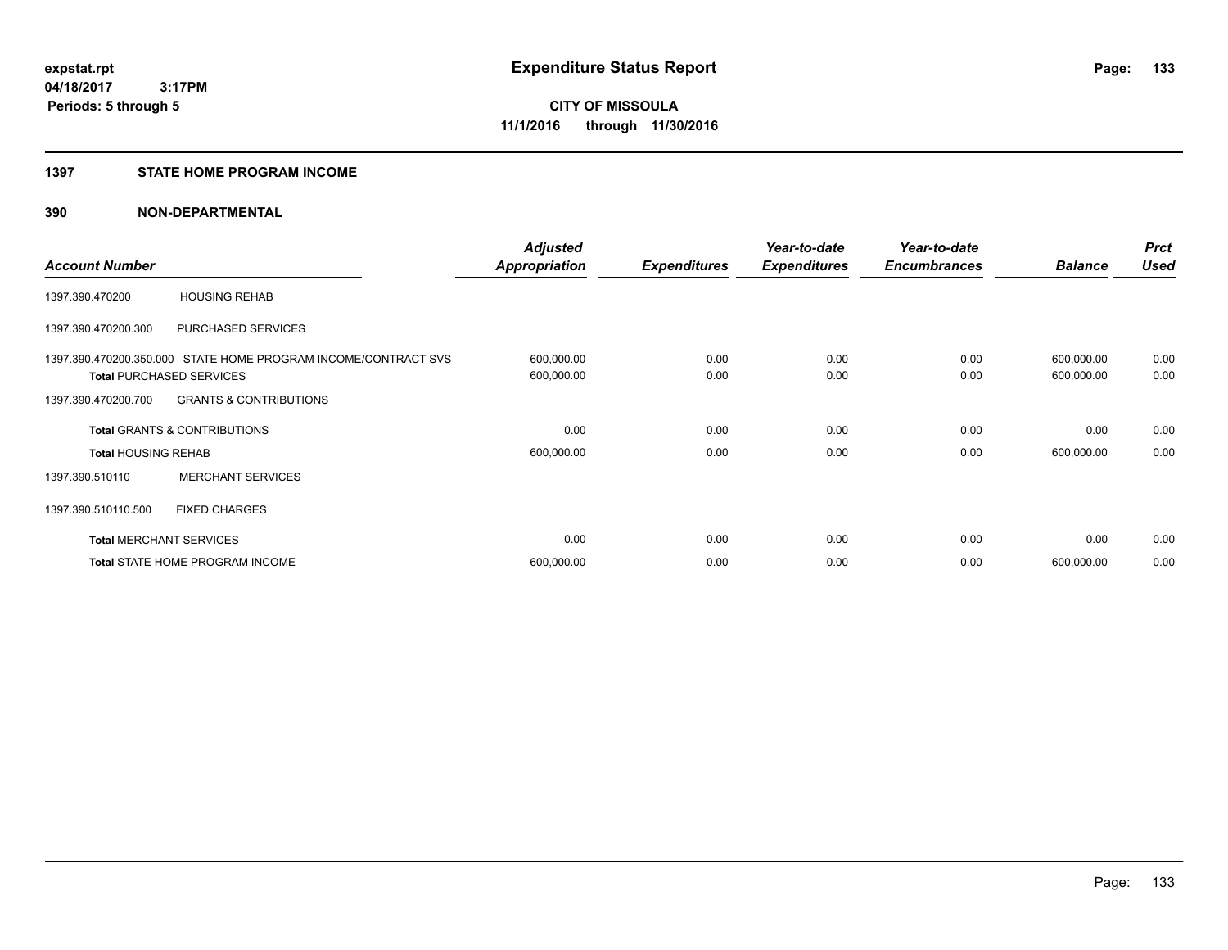### **1397 STATE HOME PROGRAM INCOME**

| <b>Account Number</b>                   |                                                                | <b>Adjusted</b><br><b>Appropriation</b> | <b>Expenditures</b> | Year-to-date<br><b>Expenditures</b> | Year-to-date<br><b>Encumbrances</b> | <b>Balance</b>           | <b>Prct</b><br><b>Used</b> |
|-----------------------------------------|----------------------------------------------------------------|-----------------------------------------|---------------------|-------------------------------------|-------------------------------------|--------------------------|----------------------------|
| 1397.390.470200                         | <b>HOUSING REHAB</b>                                           |                                         |                     |                                     |                                     |                          |                            |
| 1397.390.470200.300                     | PURCHASED SERVICES                                             |                                         |                     |                                     |                                     |                          |                            |
| <b>Total PURCHASED SERVICES</b>         | 1397.390.470200.350.000 STATE HOME PROGRAM INCOME/CONTRACT SVS | 600,000.00<br>600,000.00                | 0.00<br>0.00        | 0.00<br>0.00                        | 0.00<br>0.00                        | 600,000.00<br>600,000.00 | 0.00<br>0.00               |
| 1397.390.470200.700                     | <b>GRANTS &amp; CONTRIBUTIONS</b>                              |                                         |                     |                                     |                                     |                          |                            |
| <b>Total GRANTS &amp; CONTRIBUTIONS</b> |                                                                | 0.00                                    | 0.00                | 0.00                                | 0.00                                | 0.00                     | 0.00                       |
| <b>Total HOUSING REHAB</b>              |                                                                | 600,000.00                              | 0.00                | 0.00                                | 0.00                                | 600,000.00               | 0.00                       |
| 1397.390.510110                         | <b>MERCHANT SERVICES</b>                                       |                                         |                     |                                     |                                     |                          |                            |
| 1397.390.510110.500                     | <b>FIXED CHARGES</b>                                           |                                         |                     |                                     |                                     |                          |                            |
| <b>Total MERCHANT SERVICES</b>          |                                                                | 0.00                                    | 0.00                | 0.00                                | 0.00                                | 0.00                     | 0.00                       |
|                                         | <b>Total STATE HOME PROGRAM INCOME</b>                         | 600,000.00                              | 0.00                | 0.00                                | 0.00                                | 600,000.00               | 0.00                       |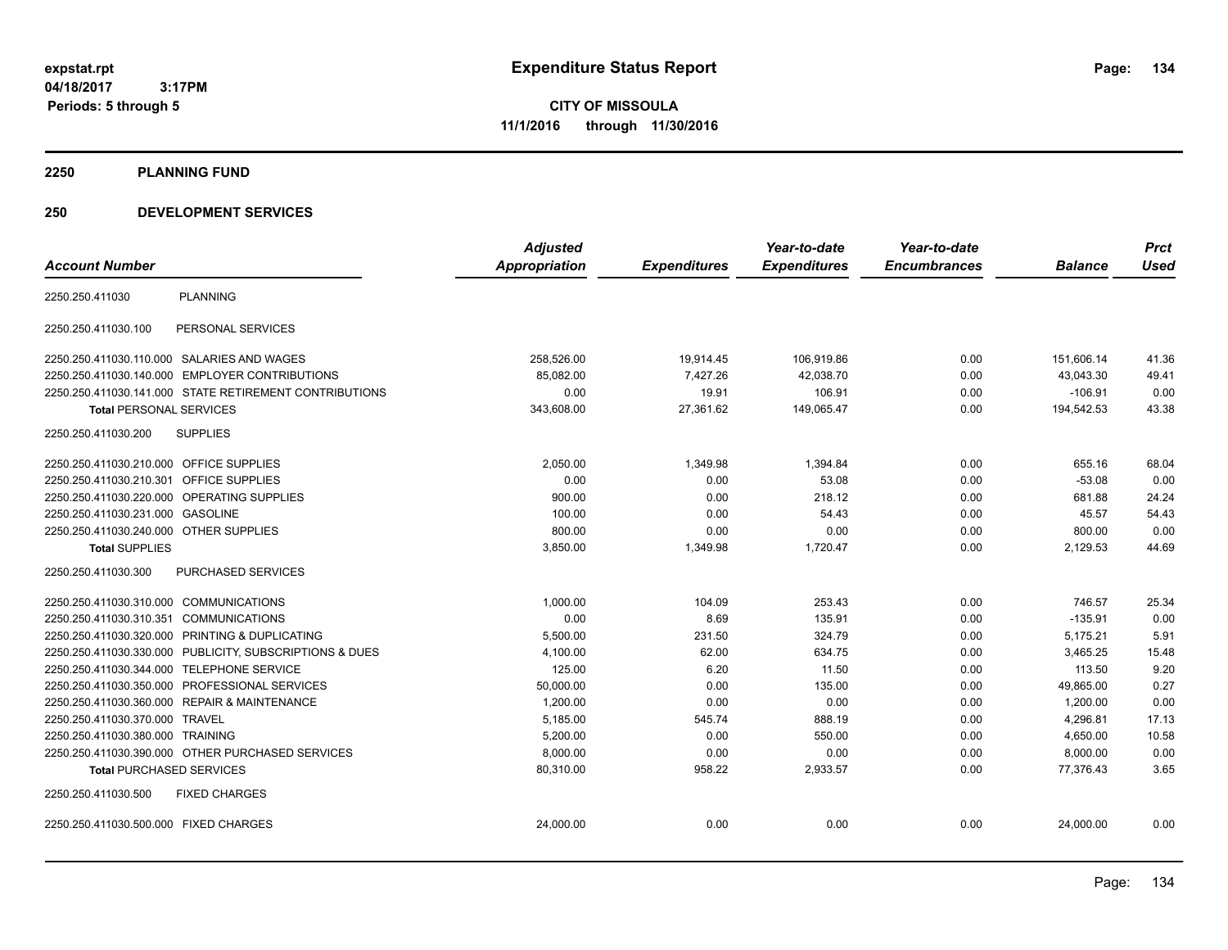**04/18/2017 3:17PM Periods: 5 through 5**

**CITY OF MISSOULA 11/1/2016 through 11/30/2016**

**2250 PLANNING FUND**

### **250 DEVELOPMENT SERVICES**

|                                              |                                                         | <b>Adjusted</b> |                     | Year-to-date        | Year-to-date        |                | <b>Prct</b> |
|----------------------------------------------|---------------------------------------------------------|-----------------|---------------------|---------------------|---------------------|----------------|-------------|
| <b>Account Number</b>                        |                                                         | Appropriation   | <b>Expenditures</b> | <b>Expenditures</b> | <b>Encumbrances</b> | <b>Balance</b> | <b>Used</b> |
| 2250.250.411030                              | <b>PLANNING</b>                                         |                 |                     |                     |                     |                |             |
| 2250.250.411030.100                          | PERSONAL SERVICES                                       |                 |                     |                     |                     |                |             |
| 2250.250.411030.110.000 SALARIES AND WAGES   |                                                         | 258,526.00      | 19,914.45           | 106,919.86          | 0.00                | 151.606.14     | 41.36       |
|                                              | 2250.250.411030.140.000 EMPLOYER CONTRIBUTIONS          | 85,082.00       | 7,427.26            | 42,038.70           | 0.00                | 43,043.30      | 49.41       |
|                                              | 2250.250.411030.141.000 STATE RETIREMENT CONTRIBUTIONS  | 0.00            | 19.91               | 106.91              | 0.00                | $-106.91$      | 0.00        |
| <b>Total PERSONAL SERVICES</b>               |                                                         | 343,608.00      | 27,361.62           | 149,065.47          | 0.00                | 194,542.53     | 43.38       |
| 2250.250.411030.200                          | <b>SUPPLIES</b>                                         |                 |                     |                     |                     |                |             |
| 2250.250.411030.210.000 OFFICE SUPPLIES      |                                                         | 2,050.00        | 1,349.98            | 1,394.84            | 0.00                | 655.16         | 68.04       |
| 2250.250.411030.210.301                      | <b>OFFICE SUPPLIES</b>                                  | 0.00            | 0.00                | 53.08               | 0.00                | $-53.08$       | 0.00        |
| 2250.250.411030.220.000 OPERATING SUPPLIES   |                                                         | 900.00          | 0.00                | 218.12              | 0.00                | 681.88         | 24.24       |
| 2250.250.411030.231.000 GASOLINE             |                                                         | 100.00          | 0.00                | 54.43               | 0.00                | 45.57          | 54.43       |
| 2250.250.411030.240.000 OTHER SUPPLIES       |                                                         | 800.00          | 0.00                | 0.00                | 0.00                | 800.00         | 0.00        |
| <b>Total SUPPLIES</b>                        |                                                         | 3,850.00        | 1,349.98            | 1,720.47            | 0.00                | 2,129.53       | 44.69       |
| 2250.250.411030.300                          | <b>PURCHASED SERVICES</b>                               |                 |                     |                     |                     |                |             |
| 2250.250.411030.310.000 COMMUNICATIONS       |                                                         | 1,000.00        | 104.09              | 253.43              | 0.00                | 746.57         | 25.34       |
| 2250.250.411030.310.351 COMMUNICATIONS       |                                                         | 0.00            | 8.69                | 135.91              | 0.00                | $-135.91$      | 0.00        |
|                                              | 2250.250.411030.320.000 PRINTING & DUPLICATING          | 5,500.00        | 231.50              | 324.79              | 0.00                | 5,175.21       | 5.91        |
|                                              | 2250.250.411030.330.000 PUBLICITY, SUBSCRIPTIONS & DUES | 4,100.00        | 62.00               | 634.75              | 0.00                | 3,465.25       | 15.48       |
| 2250.250.411030.344.000 TELEPHONE SERVICE    |                                                         | 125.00          | 6.20                | 11.50               | 0.00                | 113.50         | 9.20        |
|                                              | 2250.250.411030.350.000 PROFESSIONAL SERVICES           | 50,000.00       | 0.00                | 135.00              | 0.00                | 49,865.00      | 0.27        |
| 2250.250.411030.360.000 REPAIR & MAINTENANCE |                                                         | 1,200.00        | 0.00                | 0.00                | 0.00                | 1,200.00       | 0.00        |
| 2250.250.411030.370.000 TRAVEL               |                                                         | 5,185.00        | 545.74              | 888.19              | 0.00                | 4,296.81       | 17.13       |
| 2250.250.411030.380.000 TRAINING             |                                                         | 5,200.00        | 0.00                | 550.00              | 0.00                | 4,650.00       | 10.58       |
|                                              | 2250.250.411030.390.000 OTHER PURCHASED SERVICES        | 8,000.00        | 0.00                | 0.00                | 0.00                | 8,000.00       | 0.00        |
| <b>Total PURCHASED SERVICES</b>              |                                                         | 80,310.00       | 958.22              | 2,933.57            | 0.00                | 77,376.43      | 3.65        |
| 2250.250.411030.500                          | <b>FIXED CHARGES</b>                                    |                 |                     |                     |                     |                |             |
| 2250.250.411030.500.000 FIXED CHARGES        |                                                         | 24,000.00       | 0.00                | 0.00                | 0.00                | 24,000.00      | 0.00        |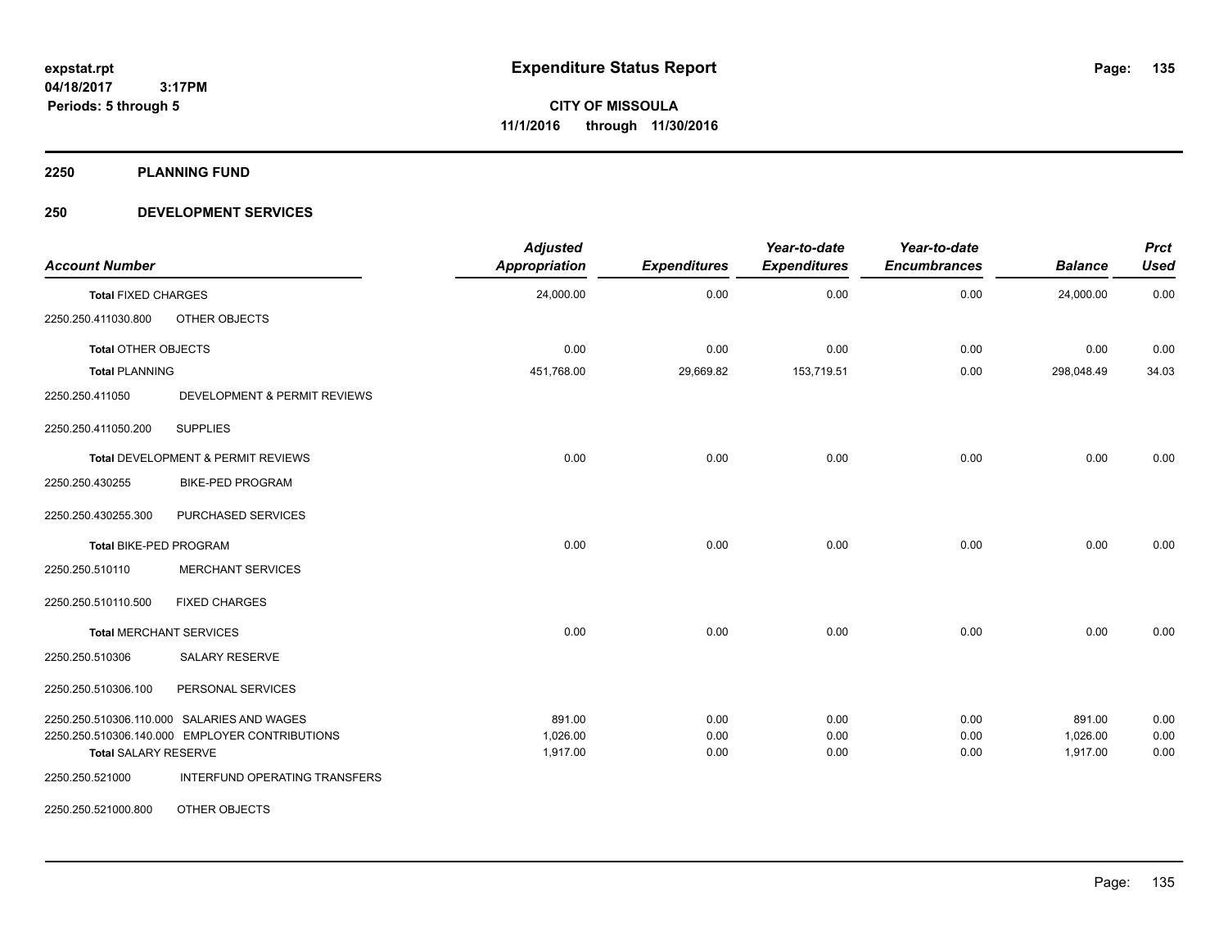**2250 PLANNING FUND**

### **250 DEVELOPMENT SERVICES**

| <b>Account Number</b>                          |                                                | <b>Adjusted</b><br>Appropriation | <b>Expenditures</b> | Year-to-date<br><b>Expenditures</b> | Year-to-date<br><b>Encumbrances</b> | <b>Balance</b> | <b>Prct</b><br><b>Used</b> |
|------------------------------------------------|------------------------------------------------|----------------------------------|---------------------|-------------------------------------|-------------------------------------|----------------|----------------------------|
| <b>Total FIXED CHARGES</b>                     |                                                | 24,000.00                        | 0.00                | 0.00                                | 0.00                                | 24,000.00      | 0.00                       |
| 2250.250.411030.800                            | OTHER OBJECTS                                  |                                  |                     |                                     |                                     |                |                            |
| Total OTHER OBJECTS                            |                                                | 0.00                             | 0.00                | 0.00                                | 0.00                                | 0.00           | 0.00                       |
| <b>Total PLANNING</b>                          |                                                | 451,768.00                       | 29,669.82           | 153,719.51                          | 0.00                                | 298,048.49     | 34.03                      |
| 2250.250.411050                                | DEVELOPMENT & PERMIT REVIEWS                   |                                  |                     |                                     |                                     |                |                            |
| 2250.250.411050.200                            | <b>SUPPLIES</b>                                |                                  |                     |                                     |                                     |                |                            |
|                                                | Total DEVELOPMENT & PERMIT REVIEWS             | 0.00                             | 0.00                | 0.00                                | 0.00                                | 0.00           | 0.00                       |
| 2250.250.430255                                | <b>BIKE-PED PROGRAM</b>                        |                                  |                     |                                     |                                     |                |                            |
| 2250.250.430255.300                            | PURCHASED SERVICES                             |                                  |                     |                                     |                                     |                |                            |
| Total BIKE-PED PROGRAM                         |                                                | 0.00                             | 0.00                | 0.00                                | 0.00                                | 0.00           | 0.00                       |
| 2250.250.510110                                | <b>MERCHANT SERVICES</b>                       |                                  |                     |                                     |                                     |                |                            |
| 2250.250.510110.500                            | <b>FIXED CHARGES</b>                           |                                  |                     |                                     |                                     |                |                            |
| <b>Total MERCHANT SERVICES</b>                 |                                                | 0.00                             | 0.00                | 0.00                                | 0.00                                | 0.00           | 0.00                       |
| 2250.250.510306                                | SALARY RESERVE                                 |                                  |                     |                                     |                                     |                |                            |
| 2250.250.510306.100                            | PERSONAL SERVICES                              |                                  |                     |                                     |                                     |                |                            |
|                                                | 2250.250.510306.110.000 SALARIES AND WAGES     | 891.00                           | 0.00                | 0.00                                | 0.00                                | 891.00         | 0.00                       |
|                                                | 2250.250.510306.140.000 EMPLOYER CONTRIBUTIONS | 1,026.00                         | 0.00                | 0.00                                | 0.00                                | 1,026.00       | 0.00                       |
| <b>Total SALARY RESERVE</b><br>2250.250.521000 | INTERFUND OPERATING TRANSFERS                  | 1,917.00                         | 0.00                | 0.00                                | 0.00                                | 1,917.00       | 0.00                       |
| 2250.250.521000.800                            | OTHER OBJECTS                                  |                                  |                     |                                     |                                     |                |                            |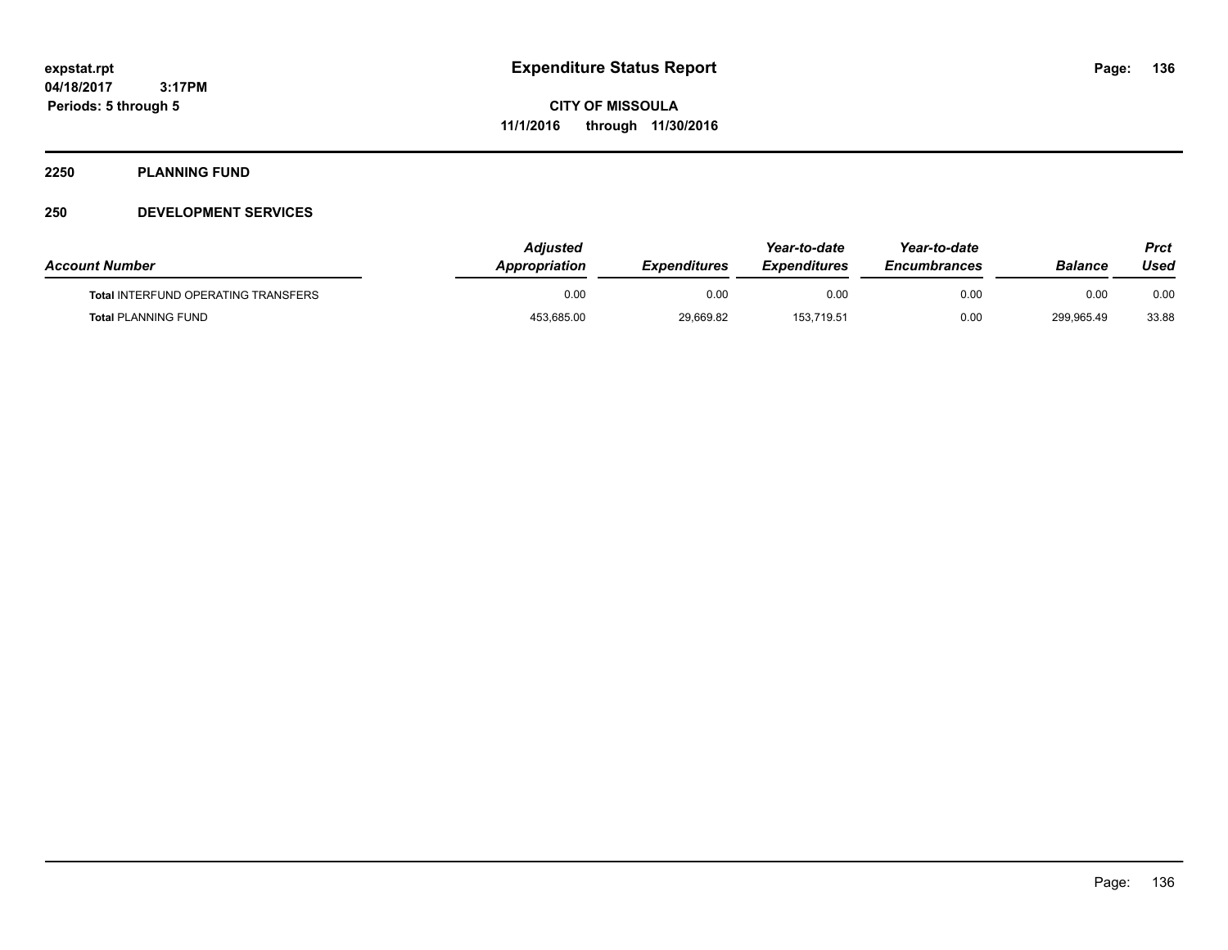### **2250 PLANNING FUND**

### **250 DEVELOPMENT SERVICES**

| <b>Account Number</b>                      | Adiusted<br><b>Appropriation</b> | <b>Expenditures</b> | Year-to-date<br><b>Expenditures</b> | Year-to-date<br><b>Encumbrances</b> | Balance    | Prct<br>Used |
|--------------------------------------------|----------------------------------|---------------------|-------------------------------------|-------------------------------------|------------|--------------|
| <b>Total INTERFUND OPERATING TRANSFERS</b> | 0.00                             | 0.00                | 0.00                                | 0.00                                | 0.00       | 0.00         |
| <b>Total PLANNING FUND</b>                 | 453,685.00                       | 29,669.82           | 153,719.51                          | 0.00                                | 299,965.49 | 33.88        |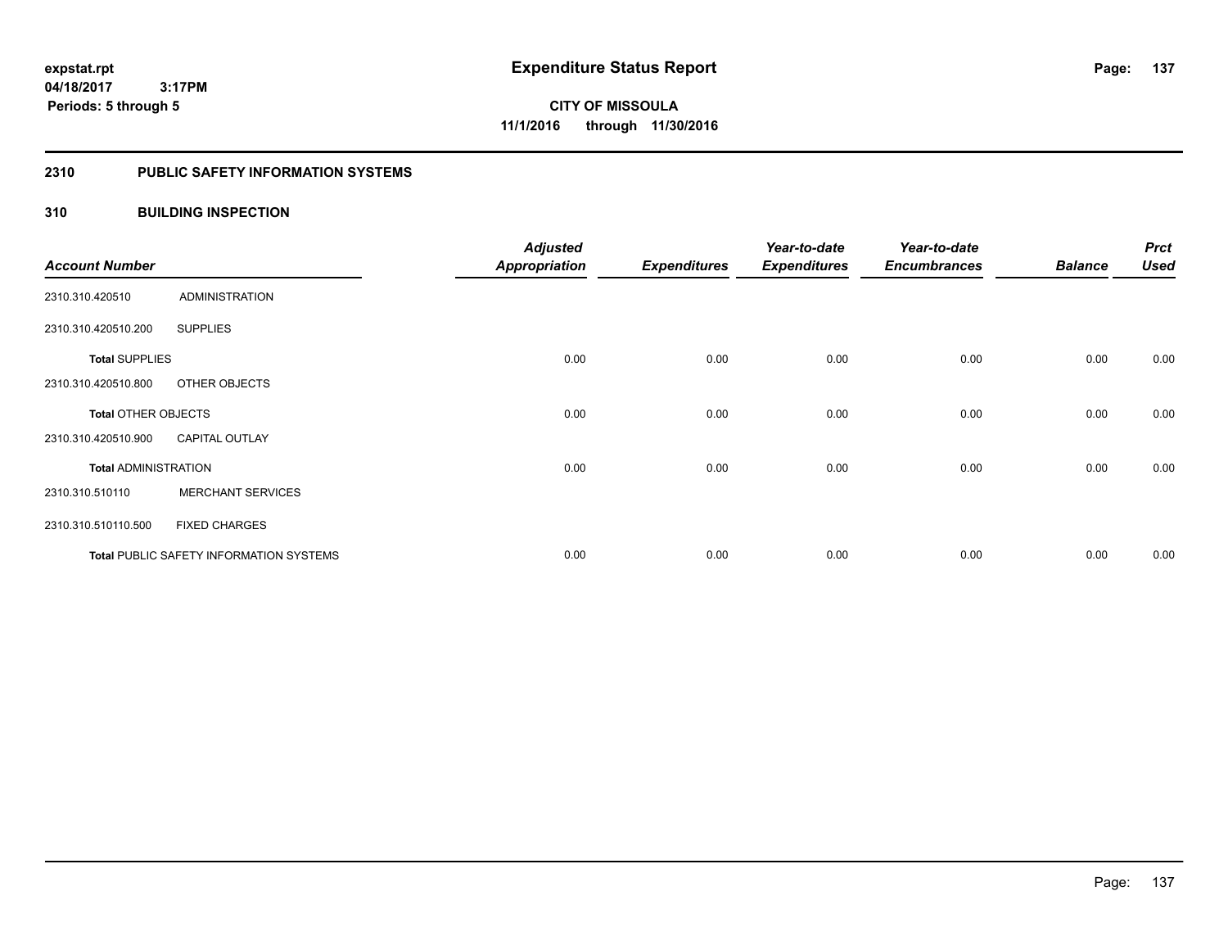### **2310 PUBLIC SAFETY INFORMATION SYSTEMS**

### **310 BUILDING INSPECTION**

| <b>Account Number</b>       |                                                | <b>Adjusted</b><br><b>Appropriation</b> | <b>Expenditures</b> | Year-to-date<br><b>Expenditures</b> | Year-to-date<br><b>Encumbrances</b> | <b>Balance</b> | <b>Prct</b><br><b>Used</b> |
|-----------------------------|------------------------------------------------|-----------------------------------------|---------------------|-------------------------------------|-------------------------------------|----------------|----------------------------|
| 2310.310.420510             | <b>ADMINISTRATION</b>                          |                                         |                     |                                     |                                     |                |                            |
| 2310.310.420510.200         | <b>SUPPLIES</b>                                |                                         |                     |                                     |                                     |                |                            |
| <b>Total SUPPLIES</b>       |                                                | 0.00                                    | 0.00                | 0.00                                | 0.00                                | 0.00           | 0.00                       |
| 2310.310.420510.800         | OTHER OBJECTS                                  |                                         |                     |                                     |                                     |                |                            |
| <b>Total OTHER OBJECTS</b>  |                                                | 0.00                                    | 0.00                | 0.00                                | 0.00                                | 0.00           | 0.00                       |
| 2310.310.420510.900         | <b>CAPITAL OUTLAY</b>                          |                                         |                     |                                     |                                     |                |                            |
| <b>Total ADMINISTRATION</b> |                                                | 0.00                                    | 0.00                | 0.00                                | 0.00                                | 0.00           | 0.00                       |
| 2310.310.510110             | <b>MERCHANT SERVICES</b>                       |                                         |                     |                                     |                                     |                |                            |
| 2310.310.510110.500         | <b>FIXED CHARGES</b>                           |                                         |                     |                                     |                                     |                |                            |
|                             | <b>Total PUBLIC SAFETY INFORMATION SYSTEMS</b> | 0.00                                    | 0.00                | 0.00                                | 0.00                                | 0.00           | 0.00                       |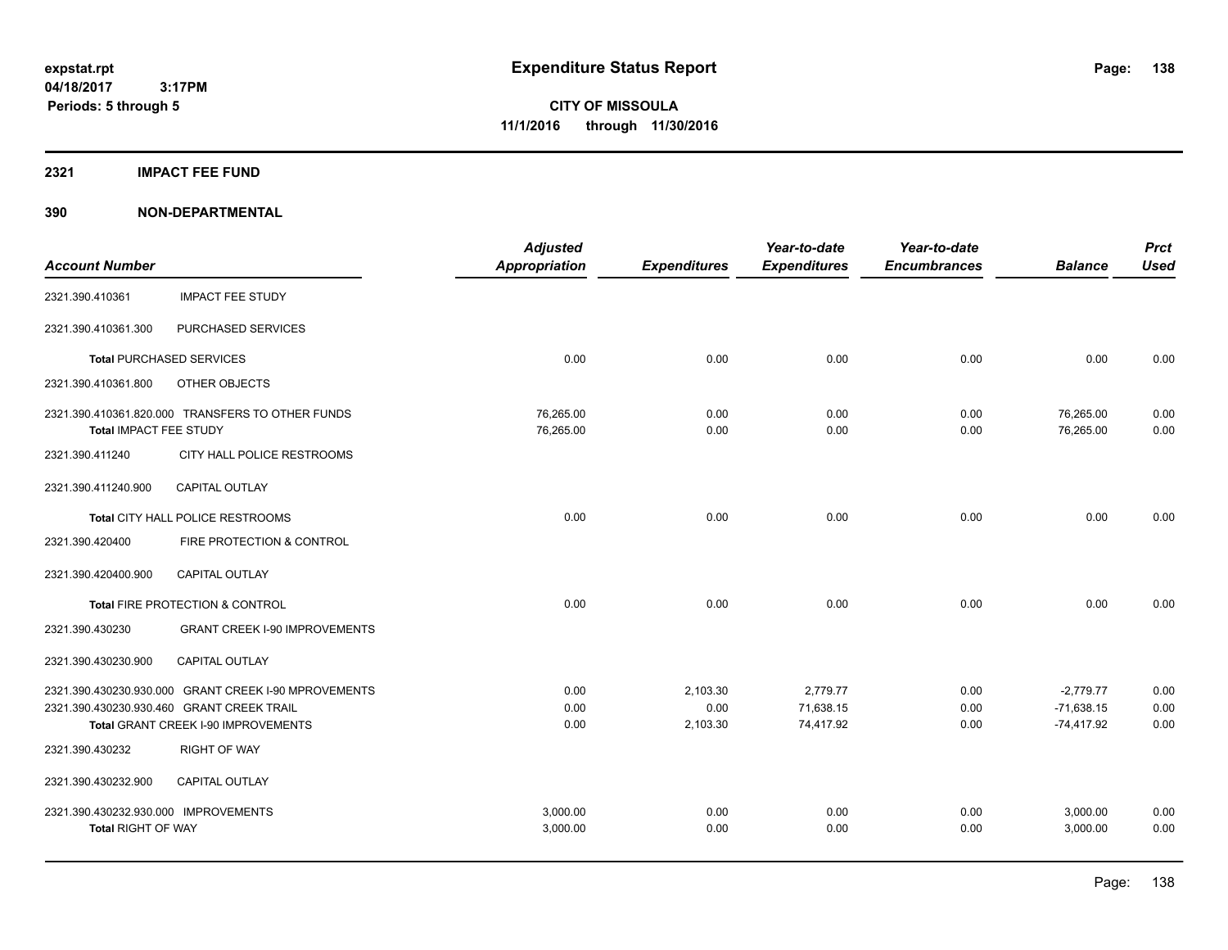### **2321 IMPACT FEE FUND**

|                                      |                                                      | <b>Adjusted</b>      |                     | Year-to-date        | Year-to-date        |                | <b>Prct</b> |
|--------------------------------------|------------------------------------------------------|----------------------|---------------------|---------------------|---------------------|----------------|-------------|
| <b>Account Number</b>                |                                                      | <b>Appropriation</b> | <b>Expenditures</b> | <b>Expenditures</b> | <b>Encumbrances</b> | <b>Balance</b> | <b>Used</b> |
| 2321.390.410361                      | <b>IMPACT FEE STUDY</b>                              |                      |                     |                     |                     |                |             |
| 2321.390.410361.300                  | PURCHASED SERVICES                                   |                      |                     |                     |                     |                |             |
|                                      | <b>Total PURCHASED SERVICES</b>                      | 0.00                 | 0.00                | 0.00                | 0.00                | 0.00           | 0.00        |
| 2321.390.410361.800                  | OTHER OBJECTS                                        |                      |                     |                     |                     |                |             |
|                                      | 2321.390.410361.820.000 TRANSFERS TO OTHER FUNDS     | 76,265.00            | 0.00                | 0.00                | 0.00                | 76,265.00      | 0.00        |
| Total IMPACT FEE STUDY               |                                                      | 76,265.00            | 0.00                | 0.00                | 0.00                | 76,265.00      | 0.00        |
| 2321.390.411240                      | CITY HALL POLICE RESTROOMS                           |                      |                     |                     |                     |                |             |
| 2321.390.411240.900                  | <b>CAPITAL OUTLAY</b>                                |                      |                     |                     |                     |                |             |
|                                      | Total CITY HALL POLICE RESTROOMS                     | 0.00                 | 0.00                | 0.00                | 0.00                | 0.00           | 0.00        |
| 2321.390.420400                      | FIRE PROTECTION & CONTROL                            |                      |                     |                     |                     |                |             |
| 2321.390.420400.900                  | CAPITAL OUTLAY                                       |                      |                     |                     |                     |                |             |
|                                      | Total FIRE PROTECTION & CONTROL                      | 0.00                 | 0.00                | 0.00                | 0.00                | 0.00           | 0.00        |
| 2321.390.430230                      | <b>GRANT CREEK I-90 IMPROVEMENTS</b>                 |                      |                     |                     |                     |                |             |
| 2321.390.430230.900                  | <b>CAPITAL OUTLAY</b>                                |                      |                     |                     |                     |                |             |
|                                      | 2321.390.430230.930.000 GRANT CREEK I-90 MPROVEMENTS | 0.00                 | 2,103.30            | 2,779.77            | 0.00                | $-2,779.77$    | 0.00        |
|                                      | 2321.390.430230.930.460 GRANT CREEK TRAIL            | 0.00                 | 0.00                | 71,638.15           | 0.00                | $-71,638.15$   | 0.00        |
|                                      | Total GRANT CREEK I-90 IMPROVEMENTS                  | 0.00                 | 2,103.30            | 74,417.92           | 0.00                | $-74,417.92$   | 0.00        |
| 2321.390.430232                      | <b>RIGHT OF WAY</b>                                  |                      |                     |                     |                     |                |             |
| 2321.390.430232.900                  | <b>CAPITAL OUTLAY</b>                                |                      |                     |                     |                     |                |             |
| 2321.390.430232.930.000 IMPROVEMENTS |                                                      | 3.000.00             | 0.00                | 0.00                | 0.00                | 3,000.00       | 0.00        |
| <b>Total RIGHT OF WAY</b>            |                                                      | 3,000.00             | 0.00                | 0.00                | 0.00                | 3,000.00       | 0.00        |
|                                      |                                                      |                      |                     |                     |                     |                |             |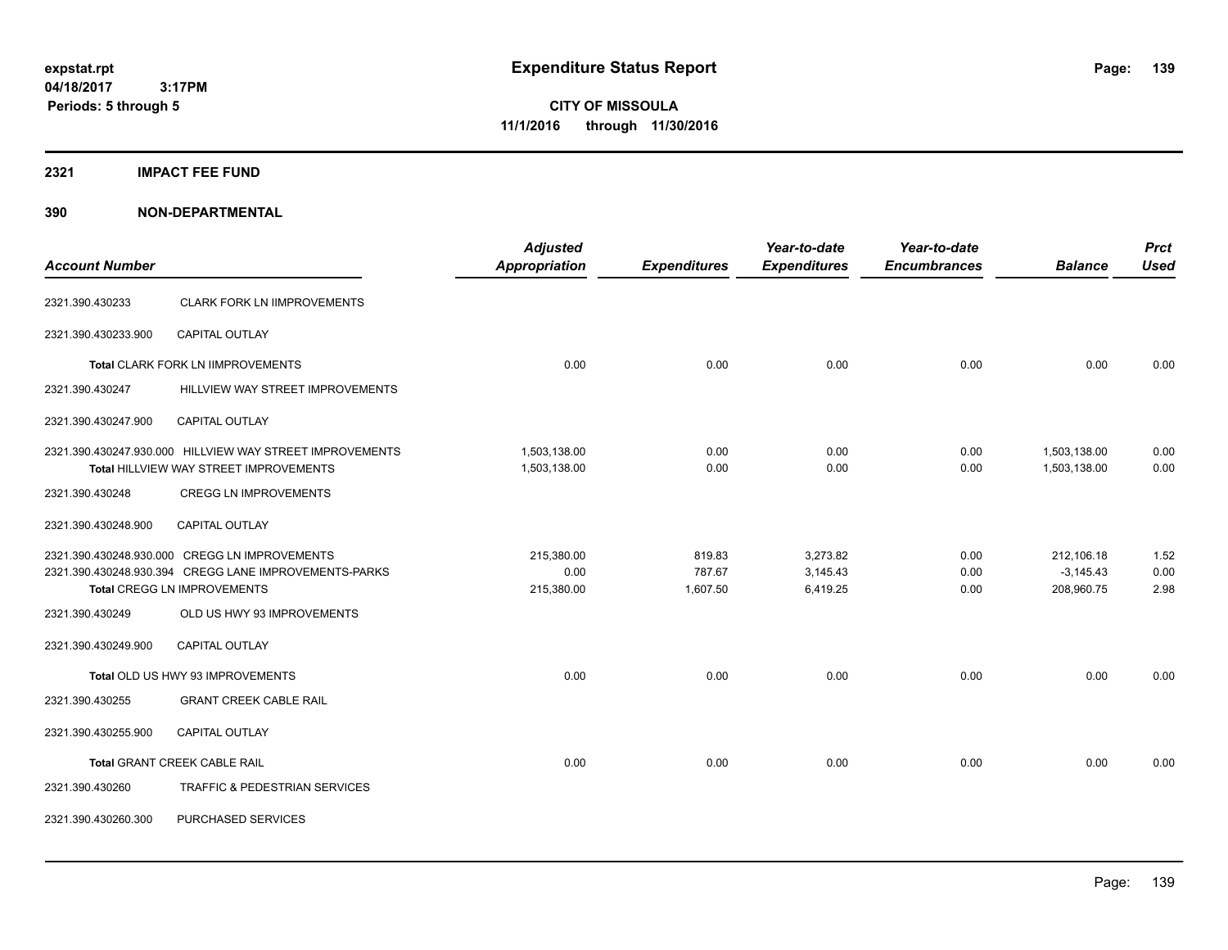**04/18/2017 3:17PM Periods: 5 through 5**

**CITY OF MISSOULA 11/1/2016 through 11/30/2016**

### **2321 IMPACT FEE FUND**

| <b>Account Number</b> |                                                                                                                                                                            | <b>Adjusted</b><br><b>Appropriation</b> | <b>Expenditures</b>          | Year-to-date<br><b>Expenditures</b> | Year-to-date<br><b>Encumbrances</b> | <b>Balance</b>                          | <b>Prct</b><br><b>Used</b> |
|-----------------------|----------------------------------------------------------------------------------------------------------------------------------------------------------------------------|-----------------------------------------|------------------------------|-------------------------------------|-------------------------------------|-----------------------------------------|----------------------------|
|                       |                                                                                                                                                                            |                                         |                              |                                     |                                     |                                         |                            |
| 2321.390.430233       | <b>CLARK FORK LN IIMPROVEMENTS</b>                                                                                                                                         |                                         |                              |                                     |                                     |                                         |                            |
| 2321.390.430233.900   | <b>CAPITAL OUTLAY</b>                                                                                                                                                      |                                         |                              |                                     |                                     |                                         |                            |
|                       | Total CLARK FORK LN IIMPROVEMENTS                                                                                                                                          | 0.00                                    | 0.00                         | 0.00                                | 0.00                                | 0.00                                    | 0.00                       |
| 2321.390.430247       | HILLVIEW WAY STREET IMPROVEMENTS                                                                                                                                           |                                         |                              |                                     |                                     |                                         |                            |
| 2321.390.430247.900   | <b>CAPITAL OUTLAY</b>                                                                                                                                                      |                                         |                              |                                     |                                     |                                         |                            |
|                       | 2321.390.430247.930.000 HILLVIEW WAY STREET IMPROVEMENTS<br>Total HILLVIEW WAY STREET IMPROVEMENTS                                                                         | 1,503,138.00<br>1,503,138.00            | 0.00<br>0.00                 | 0.00<br>0.00                        | 0.00<br>0.00                        | 1,503,138.00<br>1,503,138.00            | 0.00<br>0.00               |
| 2321.390.430248       | <b>CREGG LN IMPROVEMENTS</b>                                                                                                                                               |                                         |                              |                                     |                                     |                                         |                            |
| 2321.390.430248.900   | CAPITAL OUTLAY                                                                                                                                                             |                                         |                              |                                     |                                     |                                         |                            |
| 2321.390.430249       | 2321.390.430248.930.000 CREGG LN IMPROVEMENTS<br>2321.390.430248.930.394 CREGG LANE IMPROVEMENTS-PARKS<br><b>Total CREGG LN IMPROVEMENTS</b><br>OLD US HWY 93 IMPROVEMENTS | 215,380.00<br>0.00<br>215,380.00        | 819.83<br>787.67<br>1,607.50 | 3,273.82<br>3,145.43<br>6,419.25    | 0.00<br>0.00<br>0.00                | 212,106.18<br>$-3,145.43$<br>208,960.75 | 1.52<br>0.00<br>2.98       |
| 2321.390.430249.900   | <b>CAPITAL OUTLAY</b>                                                                                                                                                      |                                         |                              |                                     |                                     |                                         |                            |
| 2321.390.430255       | Total OLD US HWY 93 IMPROVEMENTS<br><b>GRANT CREEK CABLE RAIL</b>                                                                                                          | 0.00                                    | 0.00                         | 0.00                                | 0.00                                | 0.00                                    | 0.00                       |
| 2321.390.430255.900   | <b>CAPITAL OUTLAY</b>                                                                                                                                                      |                                         |                              |                                     |                                     |                                         |                            |
|                       | <b>Total GRANT CREEK CABLE RAIL</b>                                                                                                                                        | 0.00                                    | 0.00                         | 0.00                                | 0.00                                | 0.00                                    | 0.00                       |
| 2321.390.430260       | TRAFFIC & PEDESTRIAN SERVICES                                                                                                                                              |                                         |                              |                                     |                                     |                                         |                            |
| 2321.390.430260.300   | PURCHASED SERVICES                                                                                                                                                         |                                         |                              |                                     |                                     |                                         |                            |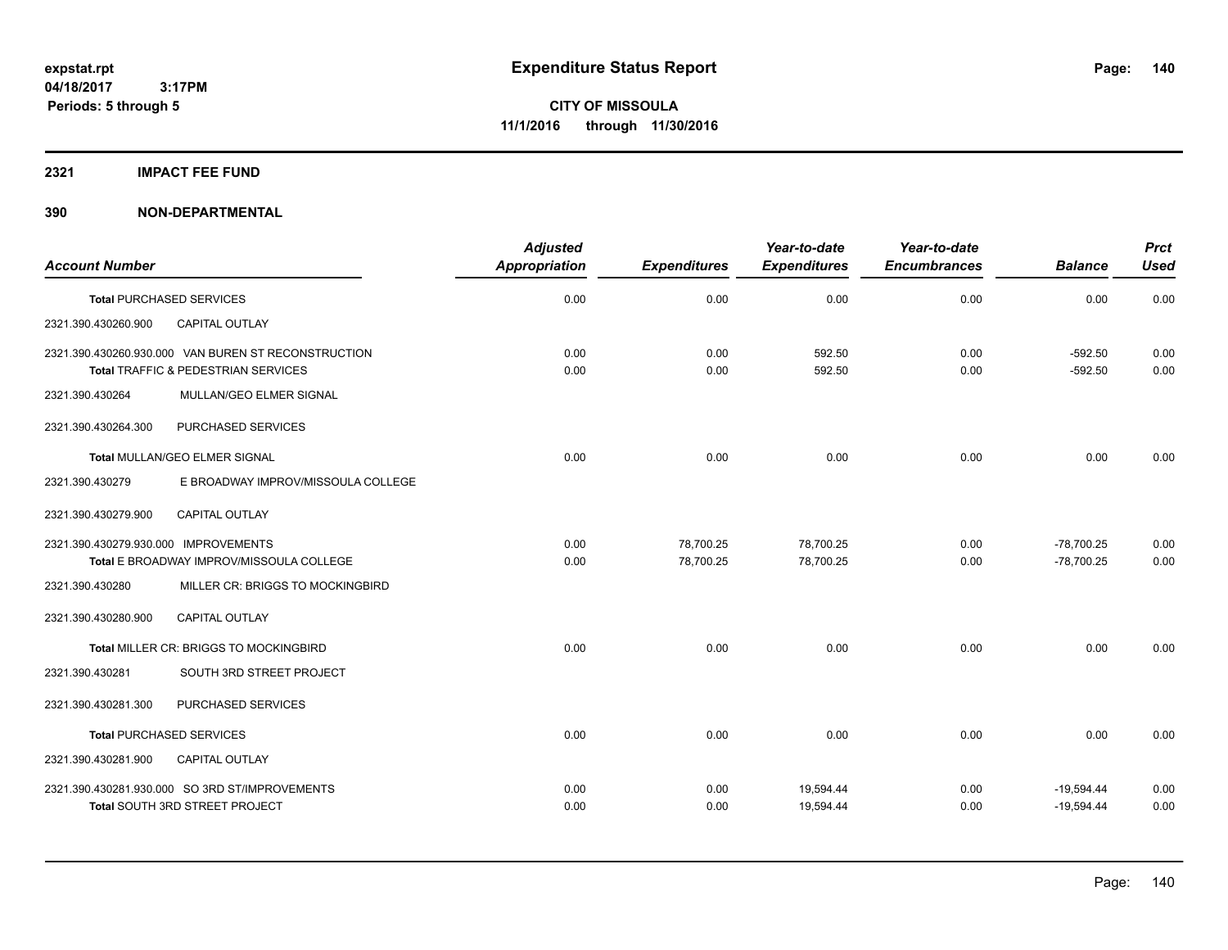### **2321 IMPACT FEE FUND**

| <b>Account Number</b>                                                                      | <b>Adjusted</b><br>Appropriation | <b>Expenditures</b> | Year-to-date<br><b>Expenditures</b> | Year-to-date<br><b>Encumbrances</b> | <b>Balance</b>         | <b>Prct</b><br><b>Used</b> |
|--------------------------------------------------------------------------------------------|----------------------------------|---------------------|-------------------------------------|-------------------------------------|------------------------|----------------------------|
| <b>Total PURCHASED SERVICES</b>                                                            | 0.00                             | 0.00                | 0.00                                | 0.00                                | 0.00                   | 0.00                       |
| CAPITAL OUTLAY<br>2321.390.430260.900                                                      |                                  |                     |                                     |                                     |                        |                            |
| 2321.390.430260.930.000 VAN BUREN ST RECONSTRUCTION<br>Total TRAFFIC & PEDESTRIAN SERVICES | 0.00<br>0.00                     | 0.00<br>0.00        | 592.50<br>592.50                    | 0.00<br>0.00                        | $-592.50$<br>$-592.50$ | 0.00<br>0.00               |
| MULLAN/GEO ELMER SIGNAL<br>2321.390.430264                                                 |                                  |                     |                                     |                                     |                        |                            |
| PURCHASED SERVICES<br>2321.390.430264.300                                                  |                                  |                     |                                     |                                     |                        |                            |
| <b>Total MULLAN/GEO ELMER SIGNAL</b>                                                       | 0.00                             | 0.00                | 0.00                                | 0.00                                | 0.00                   | 0.00                       |
| 2321.390.430279<br>E BROADWAY IMPROV/MISSOULA COLLEGE                                      |                                  |                     |                                     |                                     |                        |                            |
| 2321.390.430279.900<br><b>CAPITAL OUTLAY</b>                                               |                                  |                     |                                     |                                     |                        |                            |
| 2321.390.430279.930.000 IMPROVEMENTS                                                       | 0.00                             | 78,700.25           | 78,700.25                           | 0.00                                | $-78,700.25$           | 0.00                       |
| Total E BROADWAY IMPROV/MISSOULA COLLEGE                                                   | 0.00                             | 78,700.25           | 78,700.25                           | 0.00                                | $-78,700.25$           | 0.00                       |
| MILLER CR: BRIGGS TO MOCKINGBIRD<br>2321.390.430280                                        |                                  |                     |                                     |                                     |                        |                            |
| CAPITAL OUTLAY<br>2321.390.430280.900                                                      |                                  |                     |                                     |                                     |                        |                            |
| Total MILLER CR: BRIGGS TO MOCKINGBIRD                                                     | 0.00                             | 0.00                | 0.00                                | 0.00                                | 0.00                   | 0.00                       |
| SOUTH 3RD STREET PROJECT<br>2321.390.430281                                                |                                  |                     |                                     |                                     |                        |                            |
| 2321.390.430281.300<br>PURCHASED SERVICES                                                  |                                  |                     |                                     |                                     |                        |                            |
| <b>Total PURCHASED SERVICES</b>                                                            | 0.00                             | 0.00                | 0.00                                | 0.00                                | 0.00                   | 0.00                       |
| 2321.390.430281.900<br>CAPITAL OUTLAY                                                      |                                  |                     |                                     |                                     |                        |                            |
| 2321.390.430281.930.000 SO 3RD ST/IMPROVEMENTS                                             | 0.00                             | 0.00                | 19,594.44                           | 0.00                                | $-19,594.44$           | 0.00                       |
| <b>Total SOUTH 3RD STREET PROJECT</b>                                                      | 0.00                             | 0.00                | 19,594.44                           | 0.00                                | $-19,594.44$           | 0.00                       |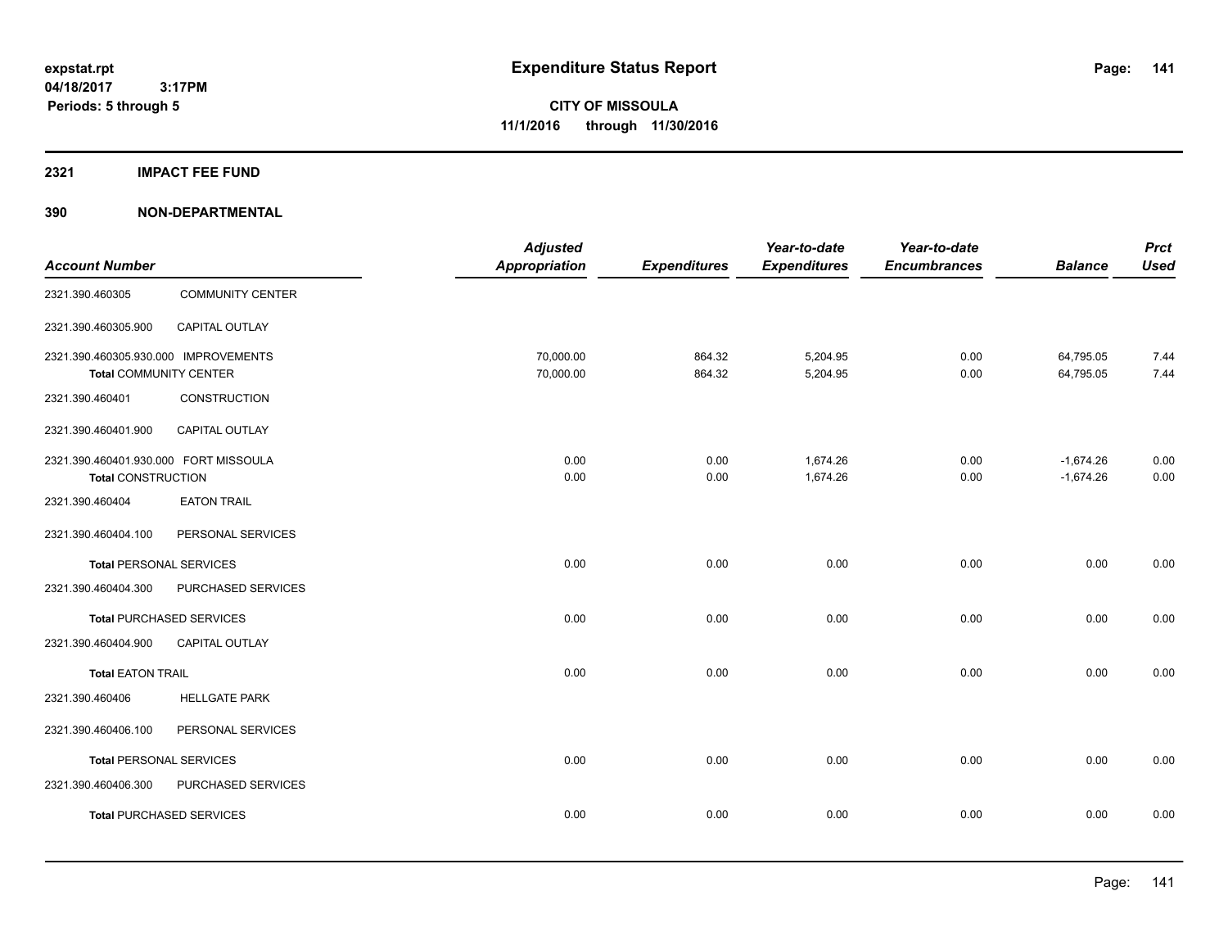### **2321 IMPACT FEE FUND**

| <b>Account Number</b>                                                 |                                 | <b>Adjusted</b><br>Appropriation | <b>Expenditures</b> | Year-to-date<br><b>Expenditures</b> | Year-to-date<br><b>Encumbrances</b> | <b>Balance</b>             | <b>Prct</b><br><b>Used</b> |
|-----------------------------------------------------------------------|---------------------------------|----------------------------------|---------------------|-------------------------------------|-------------------------------------|----------------------------|----------------------------|
| 2321.390.460305                                                       | <b>COMMUNITY CENTER</b>         |                                  |                     |                                     |                                     |                            |                            |
| 2321.390.460305.900                                                   | CAPITAL OUTLAY                  |                                  |                     |                                     |                                     |                            |                            |
| 2321.390.460305.930.000 IMPROVEMENTS<br><b>Total COMMUNITY CENTER</b> |                                 | 70,000.00<br>70,000.00           | 864.32<br>864.32    | 5,204.95<br>5,204.95                | 0.00<br>0.00                        | 64,795.05<br>64,795.05     | 7.44<br>7.44               |
| 2321.390.460401                                                       | <b>CONSTRUCTION</b>             |                                  |                     |                                     |                                     |                            |                            |
| 2321.390.460401.900                                                   | <b>CAPITAL OUTLAY</b>           |                                  |                     |                                     |                                     |                            |                            |
| 2321.390.460401.930.000 FORT MISSOULA<br><b>Total CONSTRUCTION</b>    |                                 | 0.00<br>0.00                     | 0.00<br>0.00        | 1,674.26<br>1,674.26                | 0.00<br>0.00                        | $-1,674.26$<br>$-1,674.26$ | 0.00<br>0.00               |
| 2321.390.460404                                                       | <b>EATON TRAIL</b>              |                                  |                     |                                     |                                     |                            |                            |
| 2321.390.460404.100                                                   | PERSONAL SERVICES               |                                  |                     |                                     |                                     |                            |                            |
| <b>Total PERSONAL SERVICES</b>                                        |                                 | 0.00                             | 0.00                | 0.00                                | 0.00                                | 0.00                       | 0.00                       |
| 2321.390.460404.300                                                   | PURCHASED SERVICES              |                                  |                     |                                     |                                     |                            |                            |
|                                                                       | <b>Total PURCHASED SERVICES</b> | 0.00                             | 0.00                | 0.00                                | 0.00                                | 0.00                       | 0.00                       |
| 2321.390.460404.900                                                   | CAPITAL OUTLAY                  |                                  |                     |                                     |                                     |                            |                            |
| <b>Total EATON TRAIL</b>                                              |                                 | 0.00                             | 0.00                | 0.00                                | 0.00                                | 0.00                       | 0.00                       |
| 2321.390.460406                                                       | <b>HELLGATE PARK</b>            |                                  |                     |                                     |                                     |                            |                            |
| 2321.390.460406.100                                                   | PERSONAL SERVICES               |                                  |                     |                                     |                                     |                            |                            |
| <b>Total PERSONAL SERVICES</b>                                        |                                 | 0.00                             | 0.00                | 0.00                                | 0.00                                | 0.00                       | 0.00                       |
| 2321.390.460406.300                                                   | PURCHASED SERVICES              |                                  |                     |                                     |                                     |                            |                            |
|                                                                       | <b>Total PURCHASED SERVICES</b> | 0.00                             | 0.00                | 0.00                                | 0.00                                | 0.00                       | 0.00                       |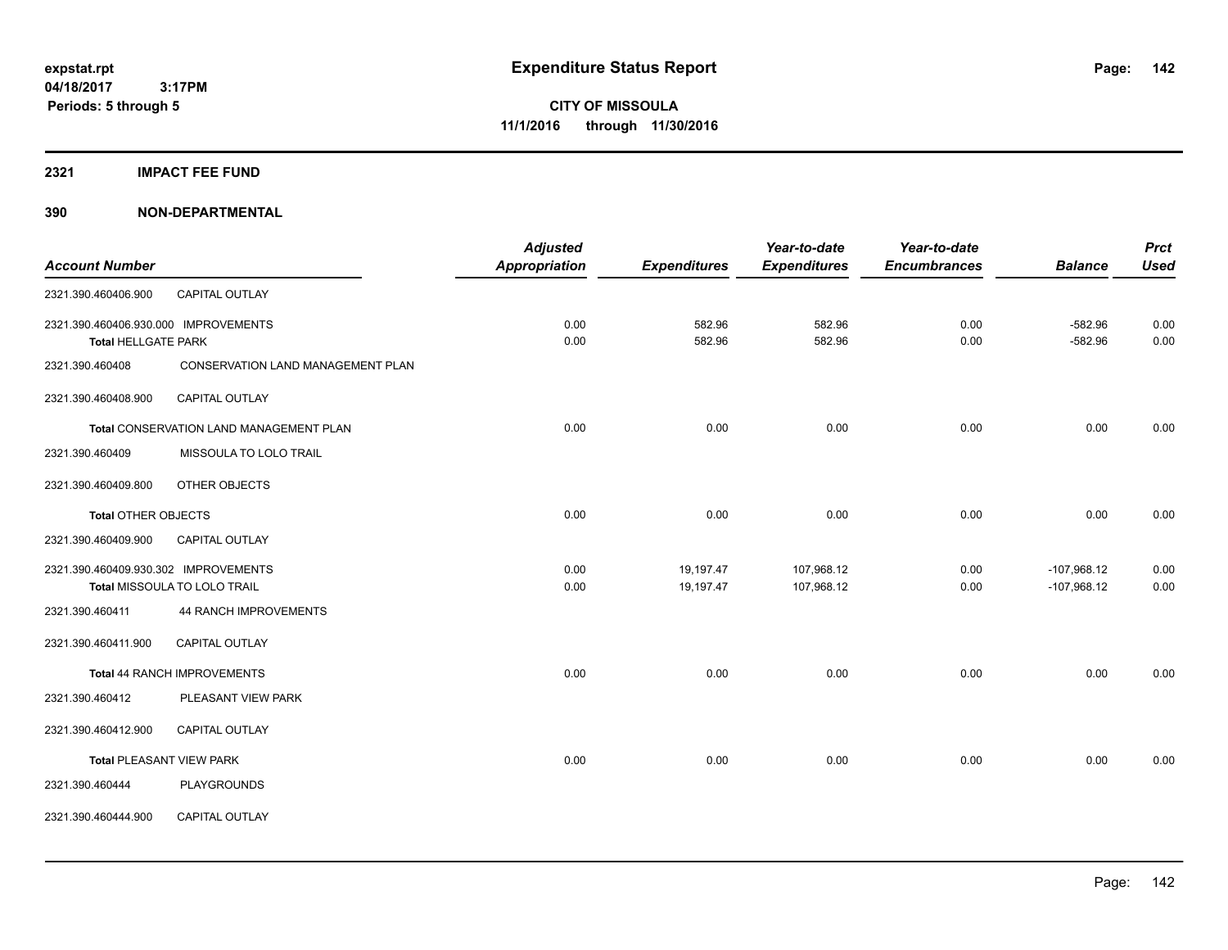**2321 IMPACT FEE FUND**

|                                      |                                         | <b>Adjusted</b> |                     | Year-to-date        | Year-to-date        |                | <b>Prct</b> |
|--------------------------------------|-----------------------------------------|-----------------|---------------------|---------------------|---------------------|----------------|-------------|
| <b>Account Number</b>                |                                         | Appropriation   | <b>Expenditures</b> | <b>Expenditures</b> | <b>Encumbrances</b> | <b>Balance</b> | <b>Used</b> |
| 2321.390.460406.900                  | <b>CAPITAL OUTLAY</b>                   |                 |                     |                     |                     |                |             |
| 2321.390.460406.930.000 IMPROVEMENTS |                                         | 0.00            | 582.96              | 582.96              | 0.00                | $-582.96$      | 0.00        |
| <b>Total HELLGATE PARK</b>           |                                         | 0.00            | 582.96              | 582.96              | 0.00                | $-582.96$      | 0.00        |
| 2321.390.460408                      | CONSERVATION LAND MANAGEMENT PLAN       |                 |                     |                     |                     |                |             |
| 2321.390.460408.900                  | <b>CAPITAL OUTLAY</b>                   |                 |                     |                     |                     |                |             |
|                                      | Total CONSERVATION LAND MANAGEMENT PLAN | 0.00            | 0.00                | 0.00                | 0.00                | 0.00           | 0.00        |
| 2321.390.460409                      | MISSOULA TO LOLO TRAIL                  |                 |                     |                     |                     |                |             |
| 2321.390.460409.800                  | OTHER OBJECTS                           |                 |                     |                     |                     |                |             |
| <b>Total OTHER OBJECTS</b>           |                                         | 0.00            | 0.00                | 0.00                | 0.00                | 0.00           | 0.00        |
| 2321.390.460409.900                  | CAPITAL OUTLAY                          |                 |                     |                     |                     |                |             |
| 2321.390.460409.930.302 IMPROVEMENTS |                                         | 0.00            | 19,197.47           | 107,968.12          | 0.00                | $-107,968.12$  | 0.00        |
|                                      | Total MISSOULA TO LOLO TRAIL            | 0.00            | 19,197.47           | 107,968.12          | 0.00                | $-107,968.12$  | 0.00        |
| 2321.390.460411                      | 44 RANCH IMPROVEMENTS                   |                 |                     |                     |                     |                |             |
| 2321.390.460411.900                  | <b>CAPITAL OUTLAY</b>                   |                 |                     |                     |                     |                |             |
|                                      | Total 44 RANCH IMPROVEMENTS             | 0.00            | 0.00                | 0.00                | 0.00                | 0.00           | 0.00        |
| 2321.390.460412                      | PLEASANT VIEW PARK                      |                 |                     |                     |                     |                |             |
| 2321.390.460412.900                  | <b>CAPITAL OUTLAY</b>                   |                 |                     |                     |                     |                |             |
|                                      | <b>Total PLEASANT VIEW PARK</b>         | 0.00            | 0.00                | 0.00                | 0.00                | 0.00           | 0.00        |
| 2321.390.460444                      | <b>PLAYGROUNDS</b>                      |                 |                     |                     |                     |                |             |
| 2321.390.460444.900                  | <b>CAPITAL OUTLAY</b>                   |                 |                     |                     |                     |                |             |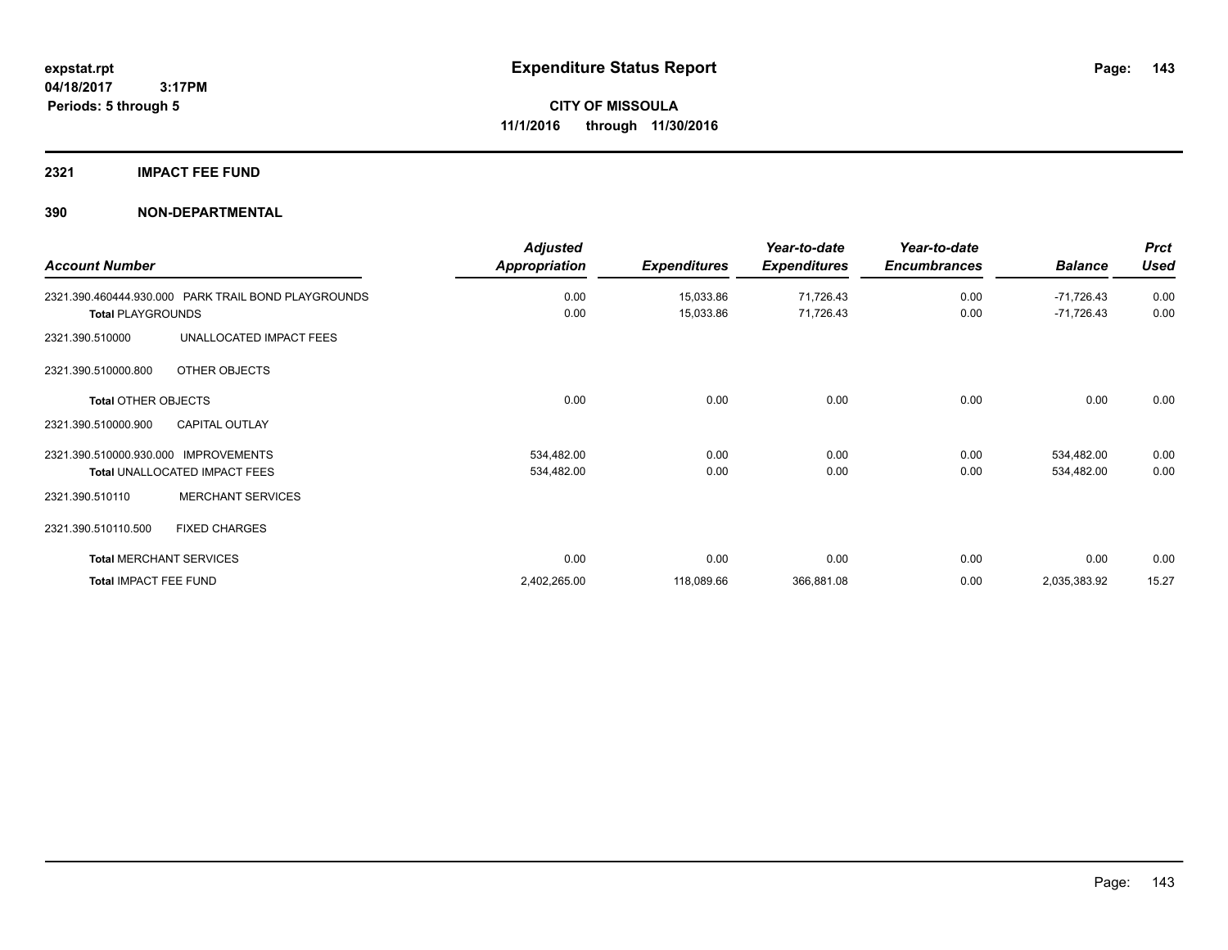### **2321 IMPACT FEE FUND**

|                                      |                                                     | <b>Adjusted</b>      |                     | Year-to-date        | Year-to-date        |                | <b>Prct</b> |
|--------------------------------------|-----------------------------------------------------|----------------------|---------------------|---------------------|---------------------|----------------|-------------|
| <b>Account Number</b>                |                                                     | <b>Appropriation</b> | <b>Expenditures</b> | <b>Expenditures</b> | <b>Encumbrances</b> | <b>Balance</b> | <b>Used</b> |
|                                      | 2321.390.460444.930.000 PARK TRAIL BOND PLAYGROUNDS | 0.00                 | 15,033.86           | 71,726.43           | 0.00                | -71,726.43     | 0.00        |
| <b>Total PLAYGROUNDS</b>             |                                                     | 0.00                 | 15,033.86           | 71,726.43           | 0.00                | $-71,726.43$   | 0.00        |
| 2321.390.510000                      | UNALLOCATED IMPACT FEES                             |                      |                     |                     |                     |                |             |
| 2321.390.510000.800                  | OTHER OBJECTS                                       |                      |                     |                     |                     |                |             |
| <b>Total OTHER OBJECTS</b>           |                                                     | 0.00                 | 0.00                | 0.00                | 0.00                | 0.00           | 0.00        |
| 2321.390.510000.900                  | <b>CAPITAL OUTLAY</b>                               |                      |                     |                     |                     |                |             |
| 2321.390.510000.930.000 IMPROVEMENTS |                                                     | 534,482.00           | 0.00                | 0.00                | 0.00                | 534,482.00     | 0.00        |
| Total UNALLOCATED IMPACT FEES        |                                                     | 534,482.00           | 0.00                | 0.00                | 0.00                | 534,482.00     | 0.00        |
| 2321.390.510110                      | <b>MERCHANT SERVICES</b>                            |                      |                     |                     |                     |                |             |
| 2321.390.510110.500                  | <b>FIXED CHARGES</b>                                |                      |                     |                     |                     |                |             |
| <b>Total MERCHANT SERVICES</b>       |                                                     | 0.00                 | 0.00                | 0.00                | 0.00                | 0.00           | 0.00        |
| <b>Total IMPACT FEE FUND</b>         |                                                     | 2,402,265.00         | 118,089.66          | 366,881.08          | 0.00                | 2,035,383.92   | 15.27       |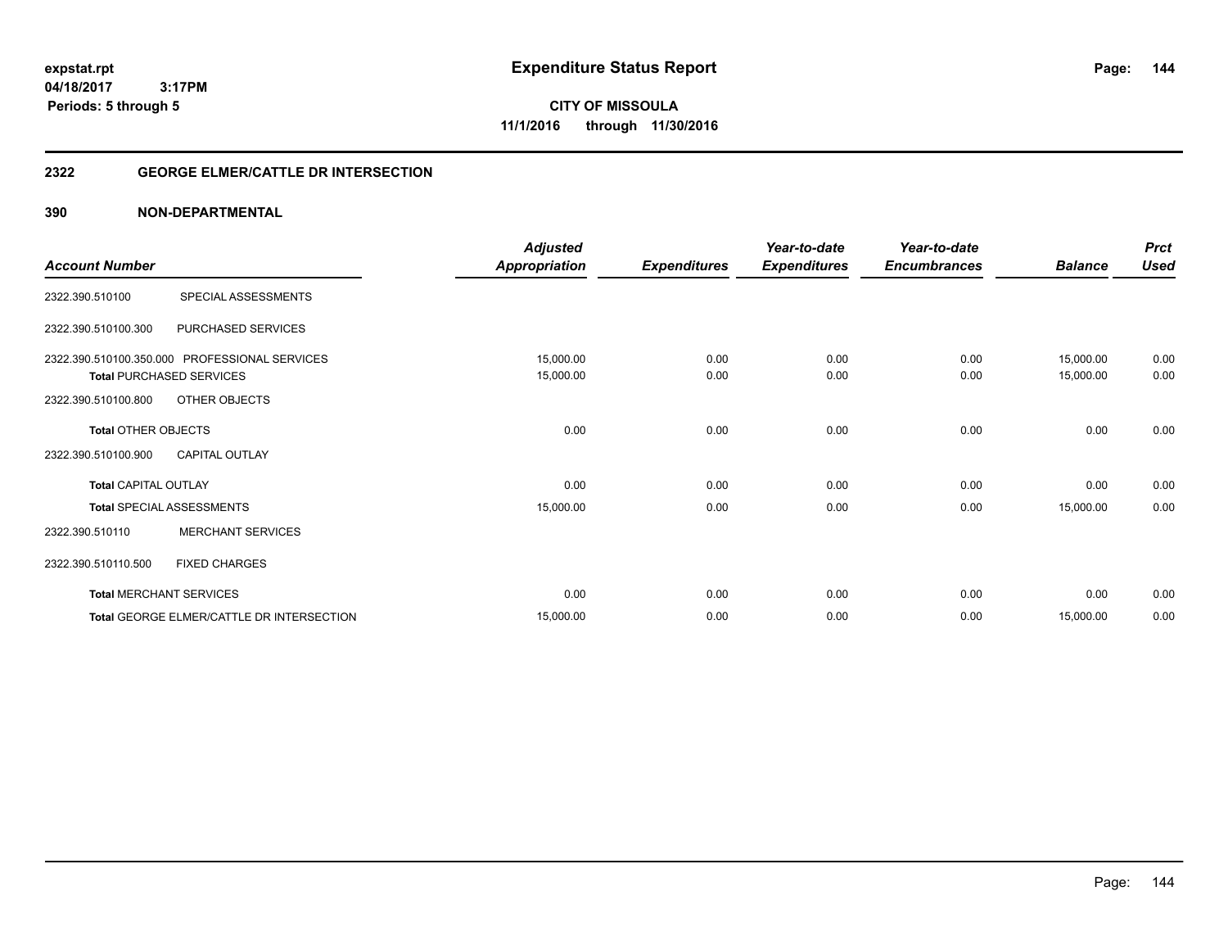**04/18/2017 3:17PM Periods: 5 through 5**

**CITY OF MISSOULA 11/1/2016 through 11/30/2016**

### **2322 GEORGE ELMER/CATTLE DR INTERSECTION**

|                             |                                               | <b>Adjusted</b>      |                     | Year-to-date        | Year-to-date        |                | <b>Prct</b> |
|-----------------------------|-----------------------------------------------|----------------------|---------------------|---------------------|---------------------|----------------|-------------|
| <b>Account Number</b>       |                                               | <b>Appropriation</b> | <b>Expenditures</b> | <b>Expenditures</b> | <b>Encumbrances</b> | <b>Balance</b> | <b>Used</b> |
| 2322.390.510100             | SPECIAL ASSESSMENTS                           |                      |                     |                     |                     |                |             |
| 2322.390.510100.300         | PURCHASED SERVICES                            |                      |                     |                     |                     |                |             |
|                             | 2322.390.510100.350.000 PROFESSIONAL SERVICES | 15,000.00            | 0.00                | 0.00                | 0.00                | 15,000.00      | 0.00        |
|                             | <b>Total PURCHASED SERVICES</b>               | 15,000.00            | 0.00                | 0.00                | 0.00                | 15,000.00      | 0.00        |
| 2322.390.510100.800         | OTHER OBJECTS                                 |                      |                     |                     |                     |                |             |
| <b>Total OTHER OBJECTS</b>  |                                               | 0.00                 | 0.00                | 0.00                | 0.00                | 0.00           | 0.00        |
| 2322.390.510100.900         | <b>CAPITAL OUTLAY</b>                         |                      |                     |                     |                     |                |             |
| <b>Total CAPITAL OUTLAY</b> |                                               | 0.00                 | 0.00                | 0.00                | 0.00                | 0.00           | 0.00        |
|                             | <b>Total SPECIAL ASSESSMENTS</b>              | 15,000.00            | 0.00                | 0.00                | 0.00                | 15,000.00      | 0.00        |
| 2322.390.510110             | <b>MERCHANT SERVICES</b>                      |                      |                     |                     |                     |                |             |
| 2322.390.510110.500         | <b>FIXED CHARGES</b>                          |                      |                     |                     |                     |                |             |
|                             | <b>Total MERCHANT SERVICES</b>                | 0.00                 | 0.00                | 0.00                | 0.00                | 0.00           | 0.00        |
|                             | Total GEORGE ELMER/CATTLE DR INTERSECTION     | 15,000.00            | 0.00                | 0.00                | 0.00                | 15,000.00      | 0.00        |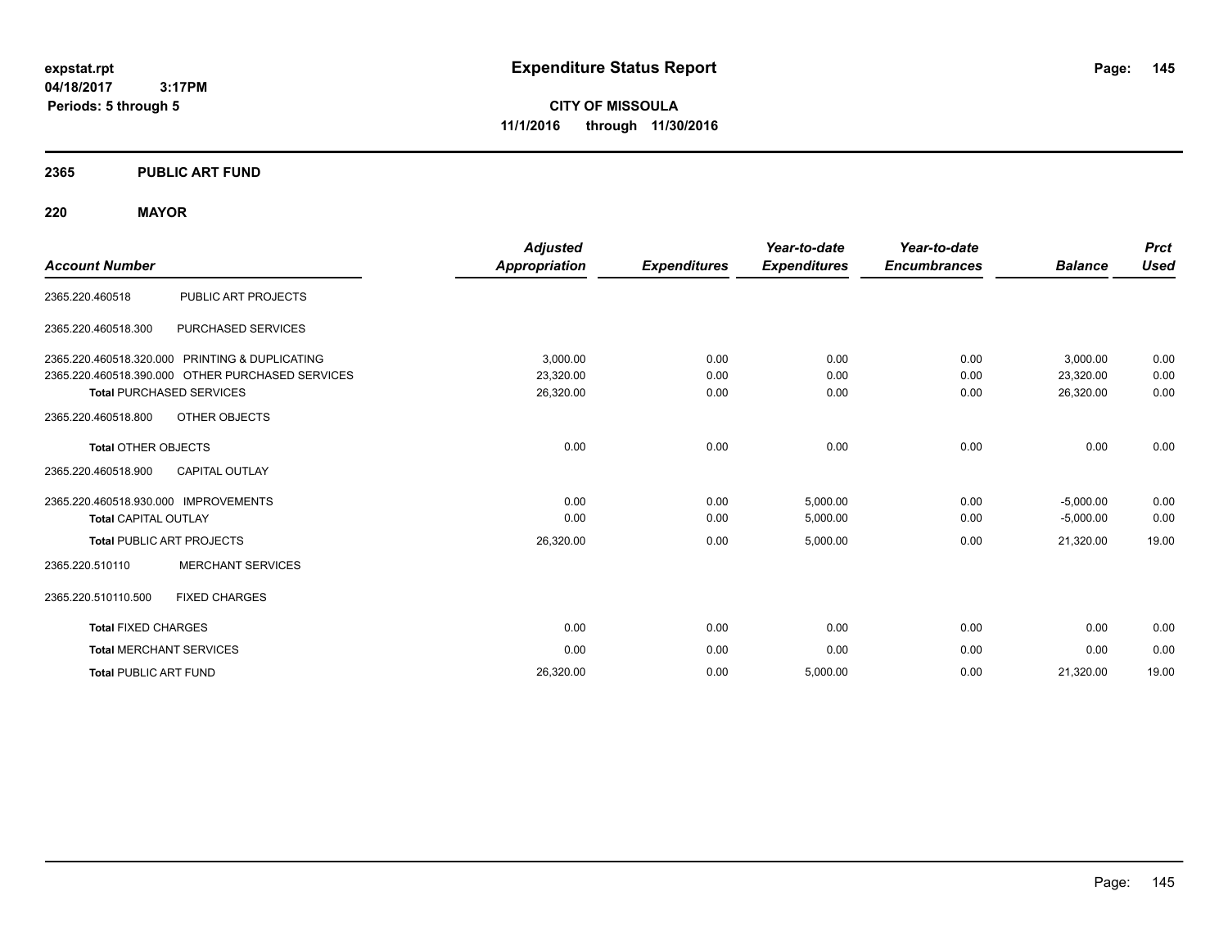**CITY OF MISSOULA 11/1/2016 through 11/30/2016**

# **2365 PUBLIC ART FUND**

# **220 MAYOR**

| <b>Account Number</b>                            | <b>Adjusted</b><br>Appropriation | <b>Expenditures</b> | Year-to-date<br><b>Expenditures</b> | Year-to-date<br><b>Encumbrances</b> | <b>Balance</b> | <b>Prct</b><br><b>Used</b> |
|--------------------------------------------------|----------------------------------|---------------------|-------------------------------------|-------------------------------------|----------------|----------------------------|
|                                                  |                                  |                     |                                     |                                     |                |                            |
| PUBLIC ART PROJECTS<br>2365.220.460518           |                                  |                     |                                     |                                     |                |                            |
| 2365.220.460518.300<br>PURCHASED SERVICES        |                                  |                     |                                     |                                     |                |                            |
| 2365.220.460518.320.000 PRINTING & DUPLICATING   | 3.000.00                         | 0.00                | 0.00                                | 0.00                                | 3.000.00       | 0.00                       |
| 2365.220.460518.390.000 OTHER PURCHASED SERVICES | 23,320.00                        | 0.00                | 0.00                                | 0.00                                | 23,320.00      | 0.00                       |
| <b>Total PURCHASED SERVICES</b>                  | 26,320.00                        | 0.00                | 0.00                                | 0.00                                | 26,320.00      | 0.00                       |
| 2365.220.460518.800<br>OTHER OBJECTS             |                                  |                     |                                     |                                     |                |                            |
| <b>Total OTHER OBJECTS</b>                       | 0.00                             | 0.00                | 0.00                                | 0.00                                | 0.00           | 0.00                       |
| 2365.220.460518.900<br><b>CAPITAL OUTLAY</b>     |                                  |                     |                                     |                                     |                |                            |
| 2365.220.460518.930.000 IMPROVEMENTS             | 0.00                             | 0.00                | 5,000.00                            | 0.00                                | $-5,000.00$    | 0.00                       |
| <b>Total CAPITAL OUTLAY</b>                      | 0.00                             | 0.00                | 5,000.00                            | 0.00                                | $-5,000.00$    | 0.00                       |
| <b>Total PUBLIC ART PROJECTS</b>                 | 26,320.00                        | 0.00                | 5,000.00                            | 0.00                                | 21,320.00      | 19.00                      |
| <b>MERCHANT SERVICES</b><br>2365.220.510110      |                                  |                     |                                     |                                     |                |                            |
| 2365.220.510110.500<br><b>FIXED CHARGES</b>      |                                  |                     |                                     |                                     |                |                            |
| <b>Total FIXED CHARGES</b>                       | 0.00                             | 0.00                | 0.00                                | 0.00                                | 0.00           | 0.00                       |
| <b>Total MERCHANT SERVICES</b>                   | 0.00                             | 0.00                | 0.00                                | 0.00                                | 0.00           | 0.00                       |
| <b>Total PUBLIC ART FUND</b>                     | 26,320.00                        | 0.00                | 5,000.00                            | 0.00                                | 21,320.00      | 19.00                      |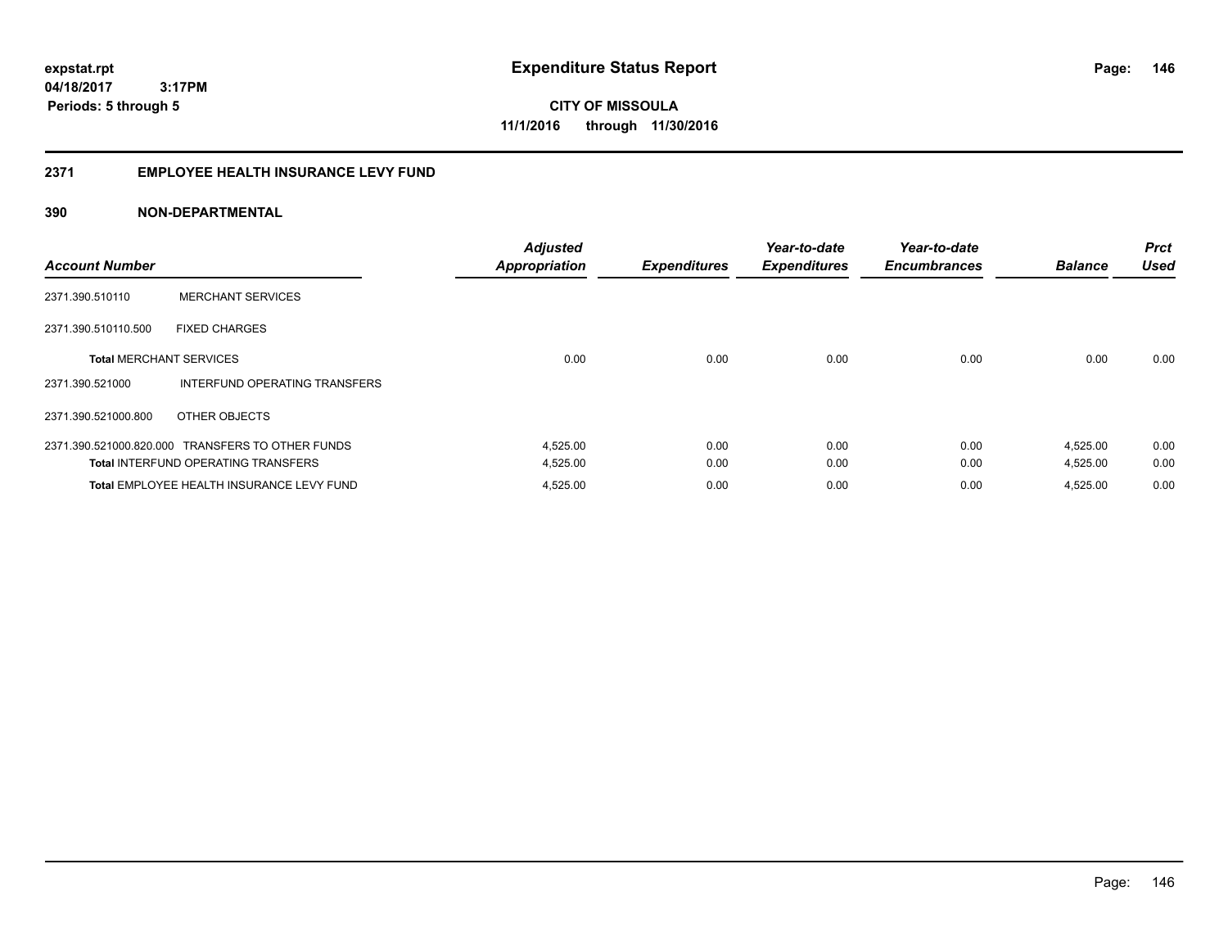**Periods: 5 through 5**

**CITY OF MISSOULA 11/1/2016 through 11/30/2016**

# **2371 EMPLOYEE HEALTH INSURANCE LEVY FUND**

# **390 NON-DEPARTMENTAL**

 **3:17PM**

| <b>Account Number</b>          |                                                  | <b>Adjusted</b><br><b>Appropriation</b> | <b>Expenditures</b> | Year-to-date<br><b>Expenditures</b> | Year-to-date<br><b>Encumbrances</b> | <b>Balance</b> | <b>Prct</b><br><b>Used</b> |
|--------------------------------|--------------------------------------------------|-----------------------------------------|---------------------|-------------------------------------|-------------------------------------|----------------|----------------------------|
| 2371.390.510110                | <b>MERCHANT SERVICES</b>                         |                                         |                     |                                     |                                     |                |                            |
| 2371.390.510110.500            | <b>FIXED CHARGES</b>                             |                                         |                     |                                     |                                     |                |                            |
| <b>Total MERCHANT SERVICES</b> |                                                  | 0.00                                    | 0.00                | 0.00                                | 0.00                                | 0.00           | 0.00                       |
| 2371.390.521000                | INTERFUND OPERATING TRANSFERS                    |                                         |                     |                                     |                                     |                |                            |
| 2371.390.521000.800            | OTHER OBJECTS                                    |                                         |                     |                                     |                                     |                |                            |
|                                | 2371.390.521000.820.000 TRANSFERS TO OTHER FUNDS | 4,525.00                                | 0.00                | 0.00                                | 0.00                                | 4,525.00       | 0.00                       |
|                                | <b>Total INTERFUND OPERATING TRANSFERS</b>       | 4,525.00                                | 0.00                | 0.00                                | 0.00                                | 4,525.00       | 0.00                       |
|                                | Total EMPLOYEE HEALTH INSURANCE LEVY FUND        | 4,525.00                                | 0.00                | 0.00                                | 0.00                                | 4.525.00       | 0.00                       |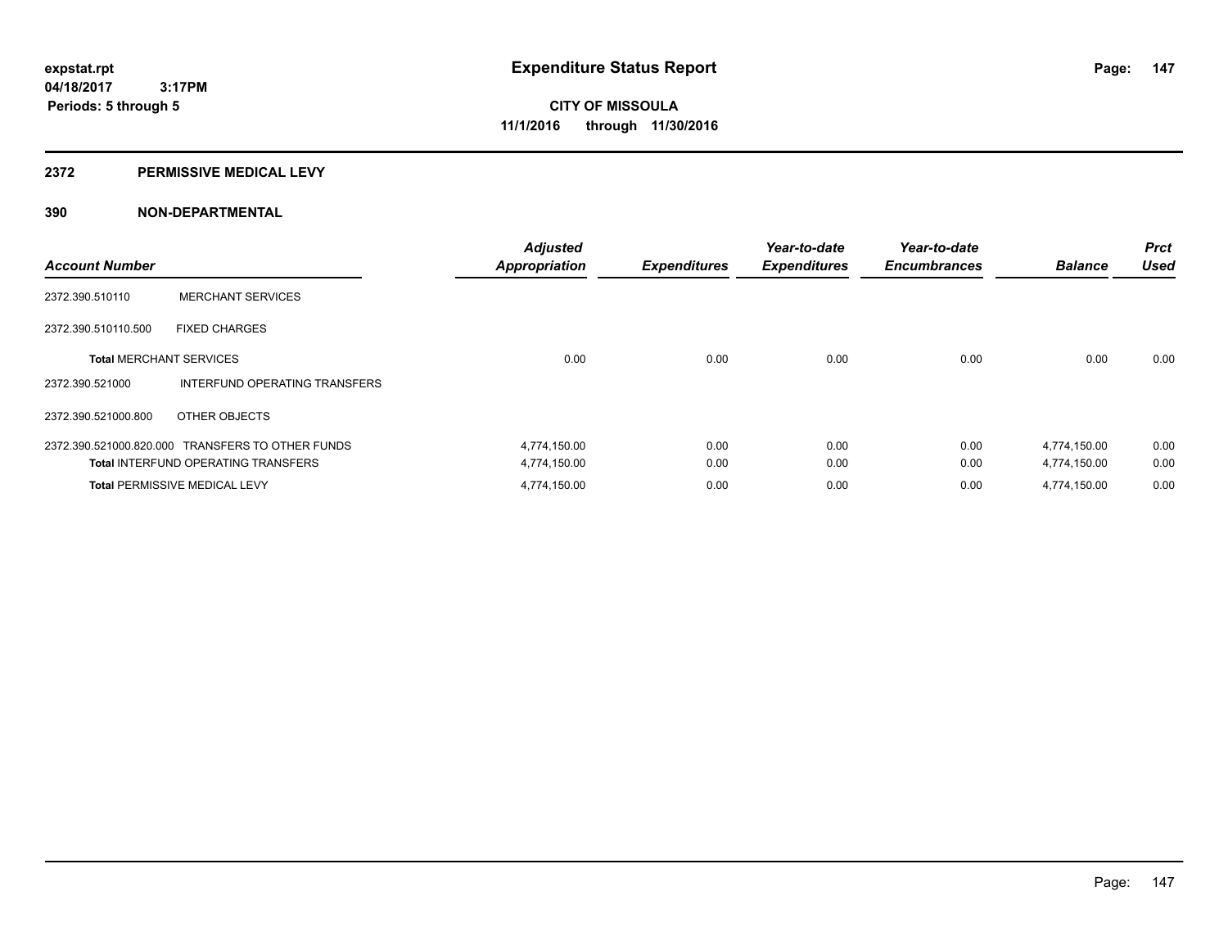## **2372 PERMISSIVE MEDICAL LEVY**

| <b>Account Number</b>          |                                                  | <b>Adjusted</b><br><b>Appropriation</b> | <b>Expenditures</b> | Year-to-date<br><b>Expenditures</b> | Year-to-date<br><b>Encumbrances</b> | <b>Balance</b> | <b>Prct</b><br><b>Used</b> |
|--------------------------------|--------------------------------------------------|-----------------------------------------|---------------------|-------------------------------------|-------------------------------------|----------------|----------------------------|
| 2372.390.510110                | <b>MERCHANT SERVICES</b>                         |                                         |                     |                                     |                                     |                |                            |
| 2372.390.510110.500            | <b>FIXED CHARGES</b>                             |                                         |                     |                                     |                                     |                |                            |
| <b>Total MERCHANT SERVICES</b> |                                                  | 0.00                                    | 0.00                | 0.00                                | 0.00                                | 0.00           | 0.00                       |
| 2372.390.521000                | INTERFUND OPERATING TRANSFERS                    |                                         |                     |                                     |                                     |                |                            |
| 2372.390.521000.800            | OTHER OBJECTS                                    |                                         |                     |                                     |                                     |                |                            |
|                                | 2372.390.521000.820.000 TRANSFERS TO OTHER FUNDS | 4,774,150.00                            | 0.00                | 0.00                                | 0.00                                | 4,774,150.00   | 0.00                       |
|                                | <b>Total INTERFUND OPERATING TRANSFERS</b>       | 4,774,150.00                            | 0.00                | 0.00                                | 0.00                                | 4,774,150.00   | 0.00                       |
|                                | <b>Total PERMISSIVE MEDICAL LEVY</b>             | 4.774.150.00                            | 0.00                | 0.00                                | 0.00                                | 4.774.150.00   | 0.00                       |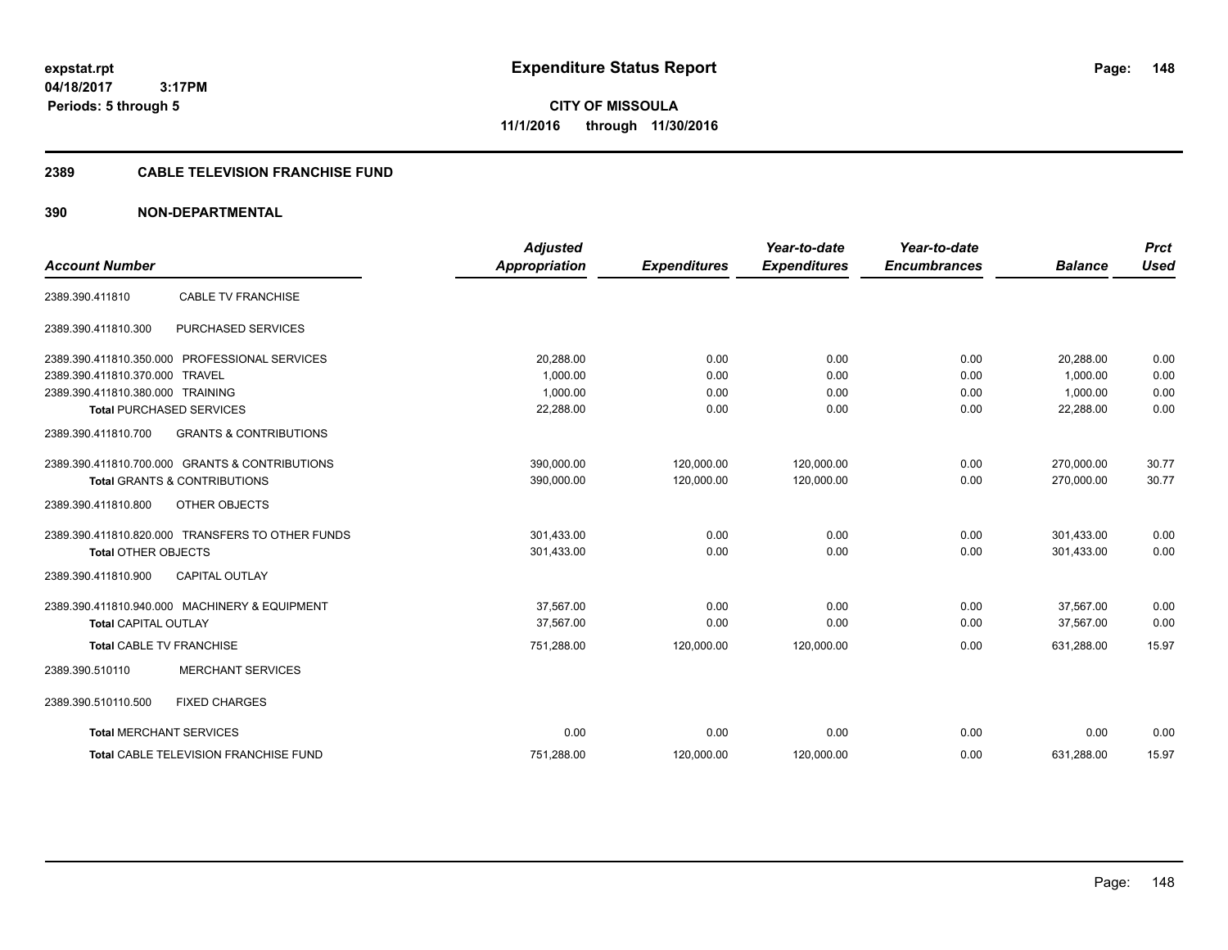**CITY OF MISSOULA 11/1/2016 through 11/30/2016**

# **2389 CABLE TELEVISION FRANCHISE FUND**

| <b>Account Number</b>            |                                                  | <b>Adjusted</b><br><b>Appropriation</b> | <b>Expenditures</b> | Year-to-date<br><b>Expenditures</b> | Year-to-date<br><b>Encumbrances</b> | <b>Balance</b> | <b>Prct</b><br><b>Used</b> |
|----------------------------------|--------------------------------------------------|-----------------------------------------|---------------------|-------------------------------------|-------------------------------------|----------------|----------------------------|
|                                  |                                                  |                                         |                     |                                     |                                     |                |                            |
| 2389.390.411810                  | <b>CABLE TV FRANCHISE</b>                        |                                         |                     |                                     |                                     |                |                            |
| 2389.390.411810.300              | PURCHASED SERVICES                               |                                         |                     |                                     |                                     |                |                            |
|                                  | 2389.390.411810.350.000 PROFESSIONAL SERVICES    | 20,288.00                               | 0.00                | 0.00                                | 0.00                                | 20,288.00      | 0.00                       |
| 2389.390.411810.370.000 TRAVEL   |                                                  | 1.000.00                                | 0.00                | 0.00                                | 0.00                                | 1.000.00       | 0.00                       |
| 2389.390.411810.380.000 TRAINING |                                                  | 1,000.00                                | 0.00                | 0.00                                | 0.00                                | 1,000.00       | 0.00                       |
|                                  | <b>Total PURCHASED SERVICES</b>                  | 22,288.00                               | 0.00                | 0.00                                | 0.00                                | 22,288.00      | 0.00                       |
| 2389.390.411810.700              | <b>GRANTS &amp; CONTRIBUTIONS</b>                |                                         |                     |                                     |                                     |                |                            |
|                                  | 2389.390.411810.700.000 GRANTS & CONTRIBUTIONS   | 390,000.00                              | 120,000.00          | 120,000.00                          | 0.00                                | 270,000.00     | 30.77                      |
|                                  | <b>Total GRANTS &amp; CONTRIBUTIONS</b>          | 390,000.00                              | 120,000.00          | 120,000.00                          | 0.00                                | 270,000.00     | 30.77                      |
| 2389.390.411810.800              | OTHER OBJECTS                                    |                                         |                     |                                     |                                     |                |                            |
|                                  | 2389.390.411810.820.000 TRANSFERS TO OTHER FUNDS | 301,433.00                              | 0.00                | 0.00                                | 0.00                                | 301,433.00     | 0.00                       |
| <b>Total OTHER OBJECTS</b>       |                                                  | 301,433.00                              | 0.00                | 0.00                                | 0.00                                | 301,433.00     | 0.00                       |
| 2389.390.411810.900              | <b>CAPITAL OUTLAY</b>                            |                                         |                     |                                     |                                     |                |                            |
|                                  | 2389.390.411810.940.000 MACHINERY & EQUIPMENT    | 37.567.00                               | 0.00                | 0.00                                | 0.00                                | 37,567.00      | 0.00                       |
| <b>Total CAPITAL OUTLAY</b>      |                                                  | 37,567.00                               | 0.00                | 0.00                                | 0.00                                | 37,567.00      | 0.00                       |
| <b>Total CABLE TV FRANCHISE</b>  |                                                  | 751,288.00                              | 120,000.00          | 120,000.00                          | 0.00                                | 631,288.00     | 15.97                      |
| 2389.390.510110                  | <b>MERCHANT SERVICES</b>                         |                                         |                     |                                     |                                     |                |                            |
| 2389.390.510110.500              | <b>FIXED CHARGES</b>                             |                                         |                     |                                     |                                     |                |                            |
| <b>Total MERCHANT SERVICES</b>   |                                                  | 0.00                                    | 0.00                | 0.00                                | 0.00                                | 0.00           | 0.00                       |
|                                  | <b>Total CABLE TELEVISION FRANCHISE FUND</b>     | 751,288.00                              | 120,000.00          | 120,000.00                          | 0.00                                | 631,288.00     | 15.97                      |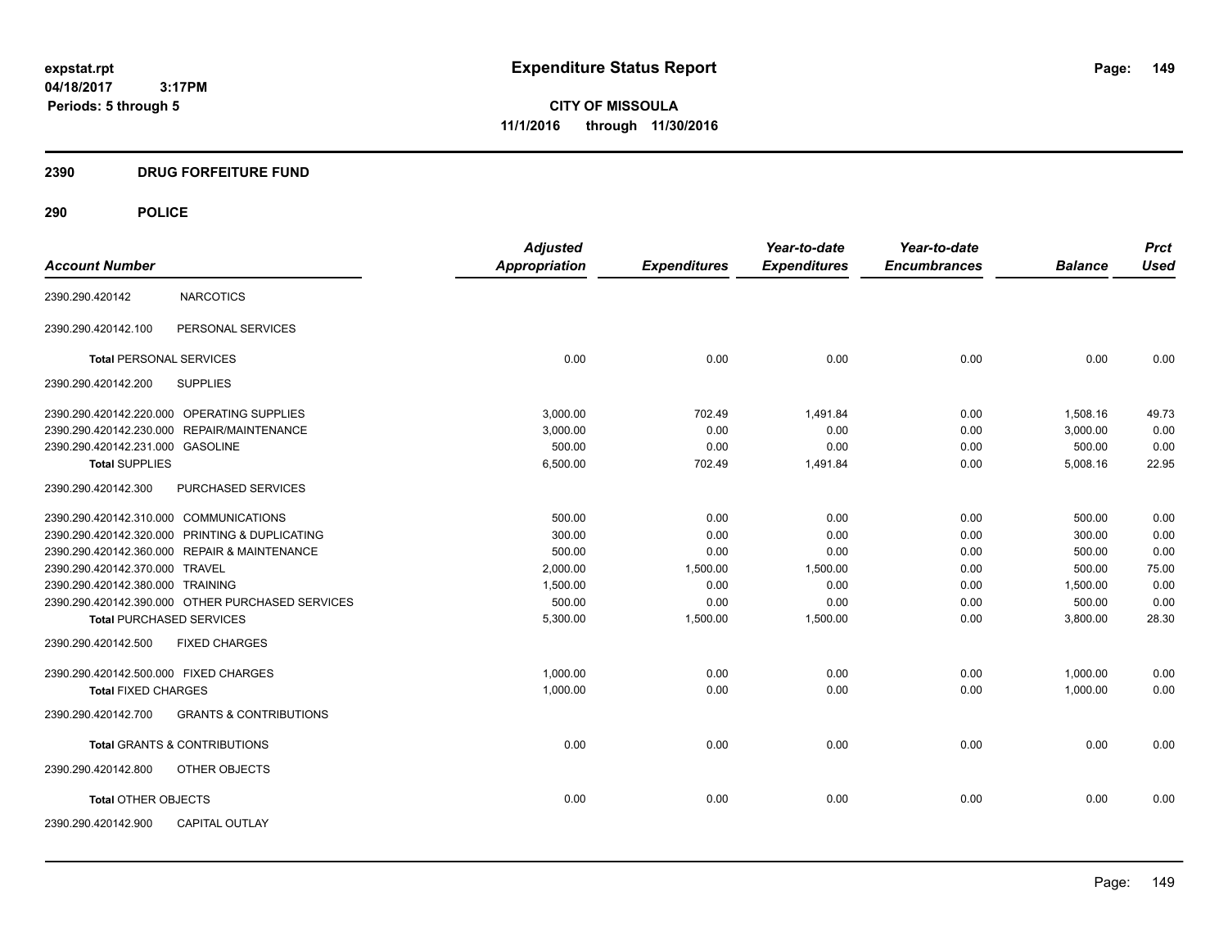**CITY OF MISSOULA 11/1/2016 through 11/30/2016**

# **2390 DRUG FORFEITURE FUND**

|                                        |                                                  | <b>Adjusted</b> |                     | Year-to-date        | Year-to-date        |                | <b>Prct</b> |
|----------------------------------------|--------------------------------------------------|-----------------|---------------------|---------------------|---------------------|----------------|-------------|
| <b>Account Number</b>                  |                                                  | Appropriation   | <b>Expenditures</b> | <b>Expenditures</b> | <b>Encumbrances</b> | <b>Balance</b> | <b>Used</b> |
| 2390.290.420142                        | <b>NARCOTICS</b>                                 |                 |                     |                     |                     |                |             |
| 2390.290.420142.100                    | PERSONAL SERVICES                                |                 |                     |                     |                     |                |             |
| <b>Total PERSONAL SERVICES</b>         |                                                  | 0.00            | 0.00                | 0.00                | 0.00                | 0.00           | 0.00        |
| 2390.290.420142.200                    | <b>SUPPLIES</b>                                  |                 |                     |                     |                     |                |             |
|                                        | 2390.290.420142.220.000 OPERATING SUPPLIES       | 3,000.00        | 702.49              | 1,491.84            | 0.00                | 1,508.16       | 49.73       |
|                                        | 2390.290.420142.230.000 REPAIR/MAINTENANCE       | 3,000.00        | 0.00                | 0.00                | 0.00                | 3,000.00       | 0.00        |
| 2390.290.420142.231.000 GASOLINE       |                                                  | 500.00          | 0.00                | 0.00                | 0.00                | 500.00         | 0.00        |
| <b>Total SUPPLIES</b>                  |                                                  | 6,500.00        | 702.49              | 1,491.84            | 0.00                | 5,008.16       | 22.95       |
| 2390.290.420142.300                    | <b>PURCHASED SERVICES</b>                        |                 |                     |                     |                     |                |             |
| 2390.290.420142.310.000 COMMUNICATIONS |                                                  | 500.00          | 0.00                | 0.00                | 0.00                | 500.00         | 0.00        |
|                                        | 2390.290.420142.320.000 PRINTING & DUPLICATING   | 300.00          | 0.00                | 0.00                | 0.00                | 300.00         | 0.00        |
|                                        | 2390.290.420142.360.000 REPAIR & MAINTENANCE     | 500.00          | 0.00                | 0.00                | 0.00                | 500.00         | 0.00        |
| 2390.290.420142.370.000 TRAVEL         |                                                  | 2,000.00        | 1,500.00            | 1,500.00            | 0.00                | 500.00         | 75.00       |
| 2390.290.420142.380.000 TRAINING       |                                                  | 1,500.00        | 0.00                | 0.00                | 0.00                | 1,500.00       | 0.00        |
|                                        | 2390.290.420142.390.000 OTHER PURCHASED SERVICES | 500.00          | 0.00                | 0.00                | 0.00                | 500.00         | 0.00        |
| <b>Total PURCHASED SERVICES</b>        |                                                  | 5,300.00        | 1,500.00            | 1,500.00            | 0.00                | 3,800.00       | 28.30       |
| 2390.290.420142.500                    | <b>FIXED CHARGES</b>                             |                 |                     |                     |                     |                |             |
| 2390.290.420142.500.000 FIXED CHARGES  |                                                  | 1,000.00        | 0.00                | 0.00                | 0.00                | 1,000.00       | 0.00        |
| <b>Total FIXED CHARGES</b>             |                                                  | 1,000.00        | 0.00                | 0.00                | 0.00                | 1,000.00       | 0.00        |
| 2390.290.420142.700                    | <b>GRANTS &amp; CONTRIBUTIONS</b>                |                 |                     |                     |                     |                |             |
|                                        | <b>Total GRANTS &amp; CONTRIBUTIONS</b>          | 0.00            | 0.00                | 0.00                | 0.00                | 0.00           | 0.00        |
| 2390.290.420142.800                    | OTHER OBJECTS                                    |                 |                     |                     |                     |                |             |
| <b>Total OTHER OBJECTS</b>             |                                                  | 0.00            | 0.00                | 0.00                | 0.00                | 0.00           | 0.00        |
| 2390.290.420142.900                    | <b>CAPITAL OUTLAY</b>                            |                 |                     |                     |                     |                |             |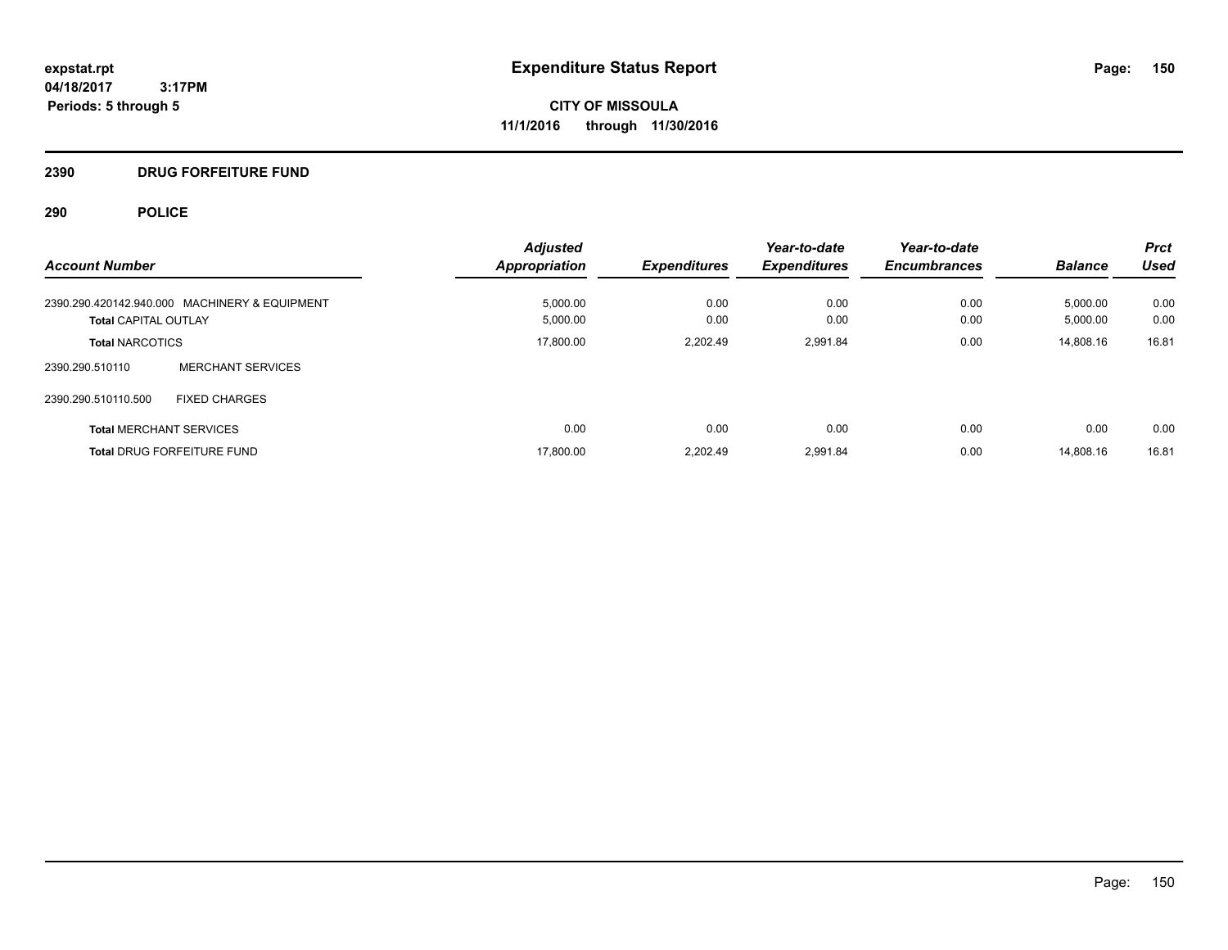**CITY OF MISSOULA 11/1/2016 through 11/30/2016**

# **2390 DRUG FORFEITURE FUND**

| <b>Account Number</b>                         | <b>Adjusted</b><br><b>Appropriation</b> | <b>Expenditures</b> | Year-to-date<br><b>Expenditures</b> | Year-to-date<br><b>Encumbrances</b> | <b>Balance</b> | <b>Prct</b><br><b>Used</b> |
|-----------------------------------------------|-----------------------------------------|---------------------|-------------------------------------|-------------------------------------|----------------|----------------------------|
| 2390.290.420142.940.000 MACHINERY & EQUIPMENT | 5.000.00                                | 0.00                | 0.00                                | 0.00                                | 5,000.00       | 0.00                       |
| <b>Total CAPITAL OUTLAY</b>                   | 5,000.00                                | 0.00                | 0.00                                | 0.00                                | 5,000.00       | 0.00                       |
| <b>Total NARCOTICS</b>                        | 17,800.00                               | 2.202.49            | 2,991.84                            | 0.00                                | 14,808.16      | 16.81                      |
| <b>MERCHANT SERVICES</b><br>2390.290.510110   |                                         |                     |                                     |                                     |                |                            |
| 2390.290.510110.500<br><b>FIXED CHARGES</b>   |                                         |                     |                                     |                                     |                |                            |
| <b>Total MERCHANT SERVICES</b>                | 0.00                                    | 0.00                | 0.00                                | 0.00                                | 0.00           | 0.00                       |
| <b>Total DRUG FORFEITURE FUND</b>             | 17,800.00                               | 2.202.49            | 2.991.84                            | 0.00                                | 14.808.16      | 16.81                      |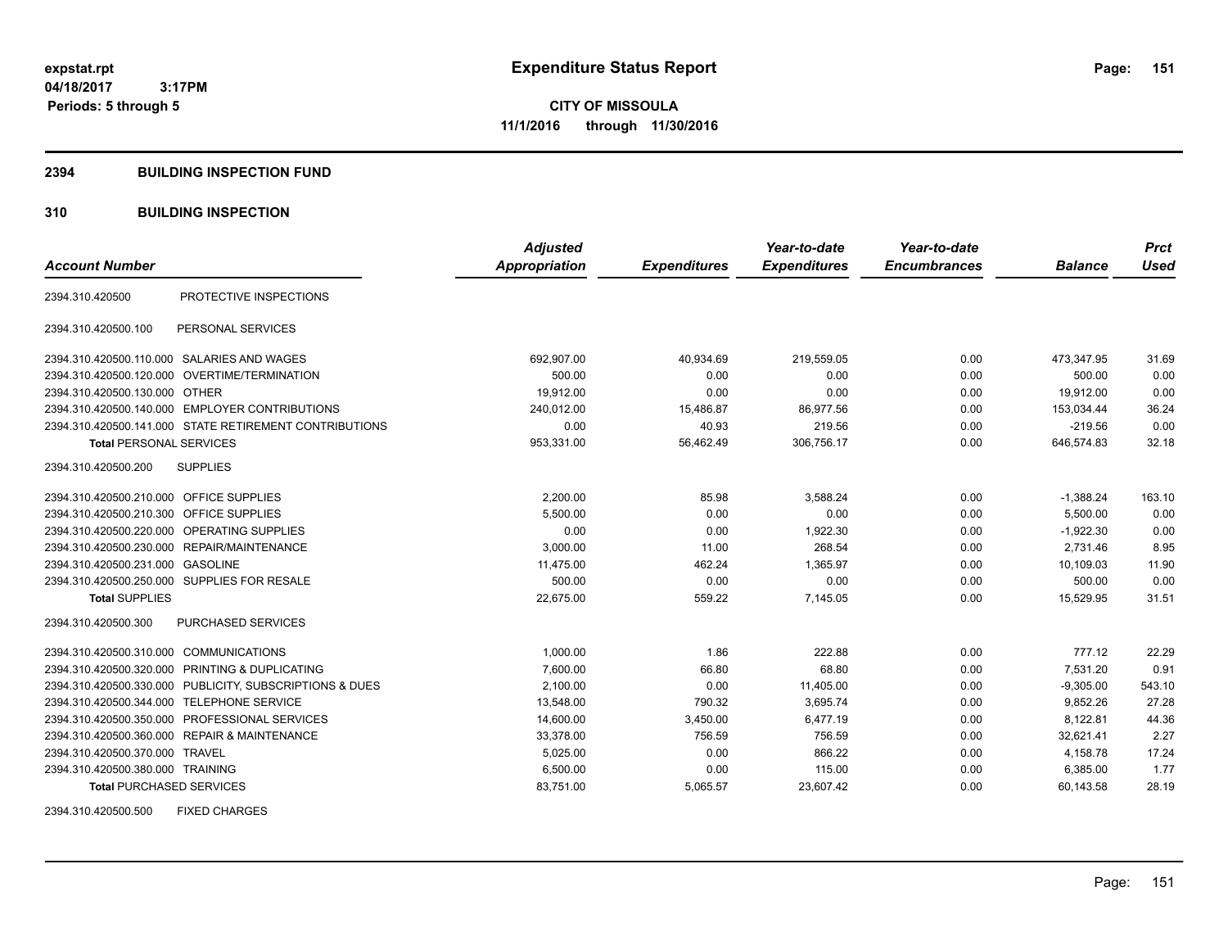**CITY OF MISSOULA 11/1/2016 through 11/30/2016**

### **2394 BUILDING INSPECTION FUND**

# **310 BUILDING INSPECTION**

| <b>Account Number</b>                     |                                                         | <b>Adjusted</b><br><b>Appropriation</b> | <b>Expenditures</b> | Year-to-date<br><b>Expenditures</b> | Year-to-date<br><b>Encumbrances</b> | <b>Balance</b> | <b>Prct</b><br><b>Used</b> |
|-------------------------------------------|---------------------------------------------------------|-----------------------------------------|---------------------|-------------------------------------|-------------------------------------|----------------|----------------------------|
|                                           |                                                         |                                         |                     |                                     |                                     |                |                            |
| 2394.310.420500                           | PROTECTIVE INSPECTIONS                                  |                                         |                     |                                     |                                     |                |                            |
| 2394.310.420500.100                       | PERSONAL SERVICES                                       |                                         |                     |                                     |                                     |                |                            |
|                                           | 2394.310.420500.110.000 SALARIES AND WAGES              | 692,907.00                              | 40,934.69           | 219,559.05                          | 0.00                                | 473,347.95     | 31.69                      |
|                                           | 2394.310.420500.120.000 OVERTIME/TERMINATION            | 500.00                                  | 0.00                | 0.00                                | 0.00                                | 500.00         | 0.00                       |
| 2394.310.420500.130.000 OTHER             |                                                         | 19,912.00                               | 0.00                | 0.00                                | 0.00                                | 19,912.00      | 0.00                       |
|                                           | 2394.310.420500.140.000 EMPLOYER CONTRIBUTIONS          | 240,012.00                              | 15,486.87           | 86,977.56                           | 0.00                                | 153,034.44     | 36.24                      |
|                                           | 2394.310.420500.141.000 STATE RETIREMENT CONTRIBUTIONS  | 0.00                                    | 40.93               | 219.56                              | 0.00                                | $-219.56$      | 0.00                       |
| <b>Total PERSONAL SERVICES</b>            |                                                         | 953,331.00                              | 56,462.49           | 306,756.17                          | 0.00                                | 646,574.83     | 32.18                      |
| 2394.310.420500.200                       | <b>SUPPLIES</b>                                         |                                         |                     |                                     |                                     |                |                            |
| 2394.310.420500.210.000 OFFICE SUPPLIES   |                                                         | 2,200.00                                | 85.98               | 3,588.24                            | 0.00                                | $-1,388.24$    | 163.10                     |
| 2394.310.420500.210.300 OFFICE SUPPLIES   |                                                         | 5,500.00                                | 0.00                | 0.00                                | 0.00                                | 5,500.00       | 0.00                       |
| 2394.310.420500.220.000                   | OPERATING SUPPLIES                                      | 0.00                                    | 0.00                | 1,922.30                            | 0.00                                | $-1,922.30$    | 0.00                       |
|                                           | 2394.310.420500.230.000 REPAIR/MAINTENANCE              | 3,000.00                                | 11.00               | 268.54                              | 0.00                                | 2,731.46       | 8.95                       |
| 2394.310.420500.231.000 GASOLINE          |                                                         | 11,475.00                               | 462.24              | 1,365.97                            | 0.00                                | 10,109.03      | 11.90                      |
|                                           | 2394.310.420500.250.000 SUPPLIES FOR RESALE             | 500.00                                  | 0.00                | 0.00                                | 0.00                                | 500.00         | 0.00                       |
| <b>Total SUPPLIES</b>                     |                                                         | 22.675.00                               | 559.22              | 7,145.05                            | 0.00                                | 15.529.95      | 31.51                      |
| 2394.310.420500.300                       | <b>PURCHASED SERVICES</b>                               |                                         |                     |                                     |                                     |                |                            |
| 2394.310.420500.310.000 COMMUNICATIONS    |                                                         | 1,000.00                                | 1.86                | 222.88                              | 0.00                                | 777.12         | 22.29                      |
|                                           | 2394.310.420500.320.000 PRINTING & DUPLICATING          | 7,600.00                                | 66.80               | 68.80                               | 0.00                                | 7,531.20       | 0.91                       |
|                                           | 2394.310.420500.330.000 PUBLICITY, SUBSCRIPTIONS & DUES | 2,100.00                                | 0.00                | 11,405.00                           | 0.00                                | $-9,305.00$    | 543.10                     |
| 2394.310.420500.344.000 TELEPHONE SERVICE |                                                         | 13,548.00                               | 790.32              | 3.695.74                            | 0.00                                | 9.852.26       | 27.28                      |
|                                           | 2394.310.420500.350.000 PROFESSIONAL SERVICES           | 14,600.00                               | 3,450.00            | 6,477.19                            | 0.00                                | 8,122.81       | 44.36                      |
|                                           | 2394.310.420500.360.000 REPAIR & MAINTENANCE            | 33,378.00                               | 756.59              | 756.59                              | 0.00                                | 32,621.41      | 2.27                       |
| 2394.310.420500.370.000 TRAVEL            |                                                         | 5,025.00                                | 0.00                | 866.22                              | 0.00                                | 4,158.78       | 17.24                      |
| 2394.310.420500.380.000 TRAINING          |                                                         | 6,500.00                                | 0.00                | 115.00                              | 0.00                                | 6,385.00       | 1.77                       |
| <b>Total PURCHASED SERVICES</b>           |                                                         | 83,751.00                               | 5,065.57            | 23,607.42                           | 0.00                                | 60,143.58      | 28.19                      |

2394.310.420500.500 FIXED CHARGES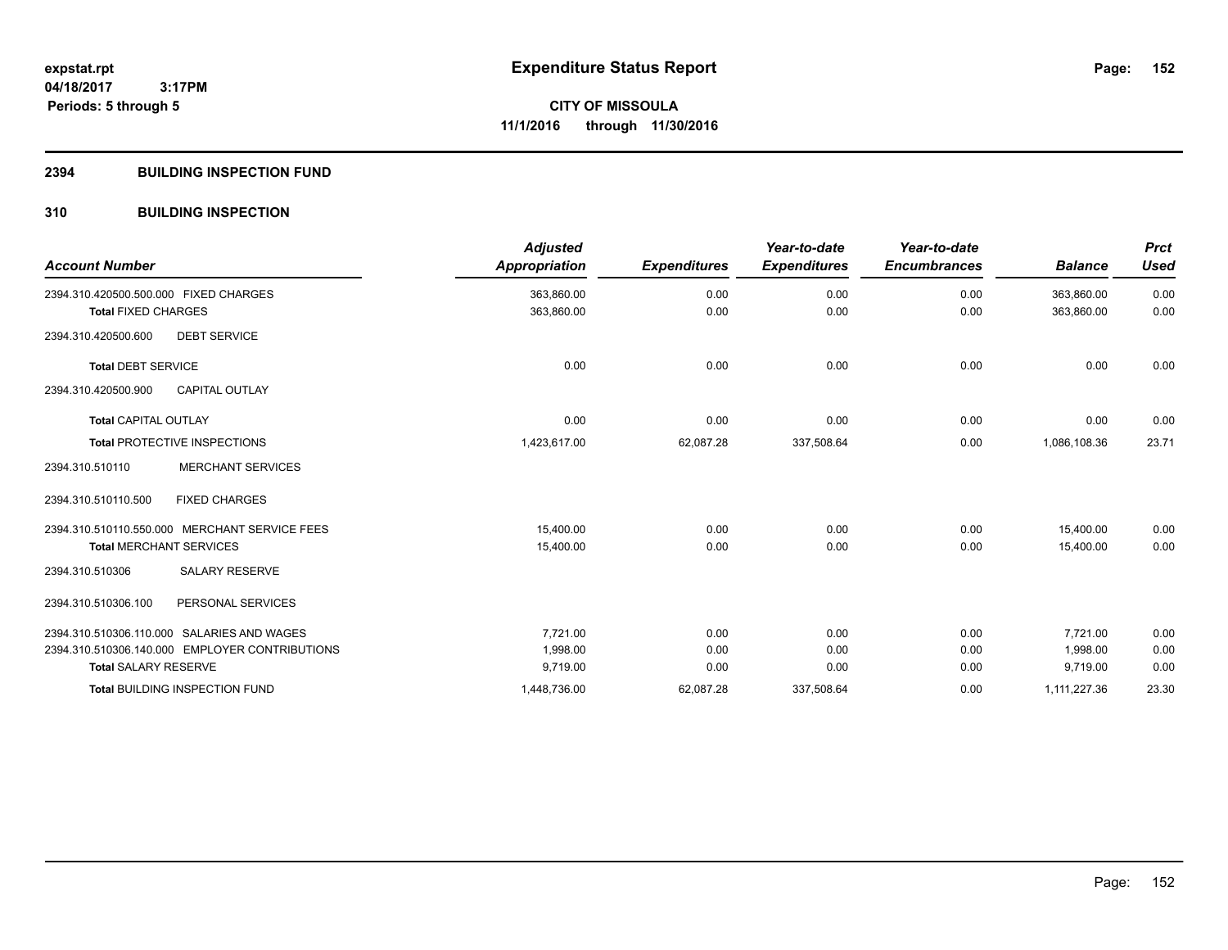## **2394 BUILDING INSPECTION FUND**

# **310 BUILDING INSPECTION**

| <b>Account Number</b>                      |                                                | <b>Adjusted</b><br><b>Appropriation</b> | <b>Expenditures</b> | Year-to-date<br><b>Expenditures</b> | Year-to-date<br><b>Encumbrances</b> | <b>Balance</b> | <b>Prct</b><br><b>Used</b> |
|--------------------------------------------|------------------------------------------------|-----------------------------------------|---------------------|-------------------------------------|-------------------------------------|----------------|----------------------------|
| 2394.310.420500.500.000 FIXED CHARGES      |                                                | 363,860.00                              | 0.00                | 0.00                                | 0.00                                | 363,860.00     | 0.00                       |
| <b>Total FIXED CHARGES</b>                 |                                                | 363,860.00                              | 0.00                | 0.00                                | 0.00                                | 363,860.00     | 0.00                       |
| 2394.310.420500.600                        | <b>DEBT SERVICE</b>                            |                                         |                     |                                     |                                     |                |                            |
| <b>Total DEBT SERVICE</b>                  |                                                | 0.00                                    | 0.00                | 0.00                                | 0.00                                | 0.00           | 0.00                       |
| 2394.310.420500.900                        | <b>CAPITAL OUTLAY</b>                          |                                         |                     |                                     |                                     |                |                            |
| <b>Total CAPITAL OUTLAY</b>                |                                                | 0.00                                    | 0.00                | 0.00                                | 0.00                                | 0.00           | 0.00                       |
| <b>Total PROTECTIVE INSPECTIONS</b>        |                                                | 1,423,617.00                            | 62,087.28           | 337,508.64                          | 0.00                                | 1,086,108.36   | 23.71                      |
| 2394.310.510110                            | <b>MERCHANT SERVICES</b>                       |                                         |                     |                                     |                                     |                |                            |
| 2394.310.510110.500                        | <b>FIXED CHARGES</b>                           |                                         |                     |                                     |                                     |                |                            |
|                                            | 2394.310.510110.550.000 MERCHANT SERVICE FEES  | 15.400.00                               | 0.00                | 0.00                                | 0.00                                | 15.400.00      | 0.00                       |
| <b>Total MERCHANT SERVICES</b>             |                                                | 15,400.00                               | 0.00                | 0.00                                | 0.00                                | 15.400.00      | 0.00                       |
| 2394.310.510306                            | <b>SALARY RESERVE</b>                          |                                         |                     |                                     |                                     |                |                            |
| 2394.310.510306.100                        | PERSONAL SERVICES                              |                                         |                     |                                     |                                     |                |                            |
| 2394.310.510306.110.000 SALARIES AND WAGES |                                                | 7,721.00                                | 0.00                | 0.00                                | 0.00                                | 7,721.00       | 0.00                       |
|                                            | 2394.310.510306.140.000 EMPLOYER CONTRIBUTIONS | 1,998.00                                | 0.00                | 0.00                                | 0.00                                | 1,998.00       | 0.00                       |
| <b>Total SALARY RESERVE</b>                |                                                | 9,719.00                                | 0.00                | 0.00                                | 0.00                                | 9,719.00       | 0.00                       |
|                                            | <b>Total BUILDING INSPECTION FUND</b>          | 1,448,736.00                            | 62,087.28           | 337,508.64                          | 0.00                                | 1,111,227.36   | 23.30                      |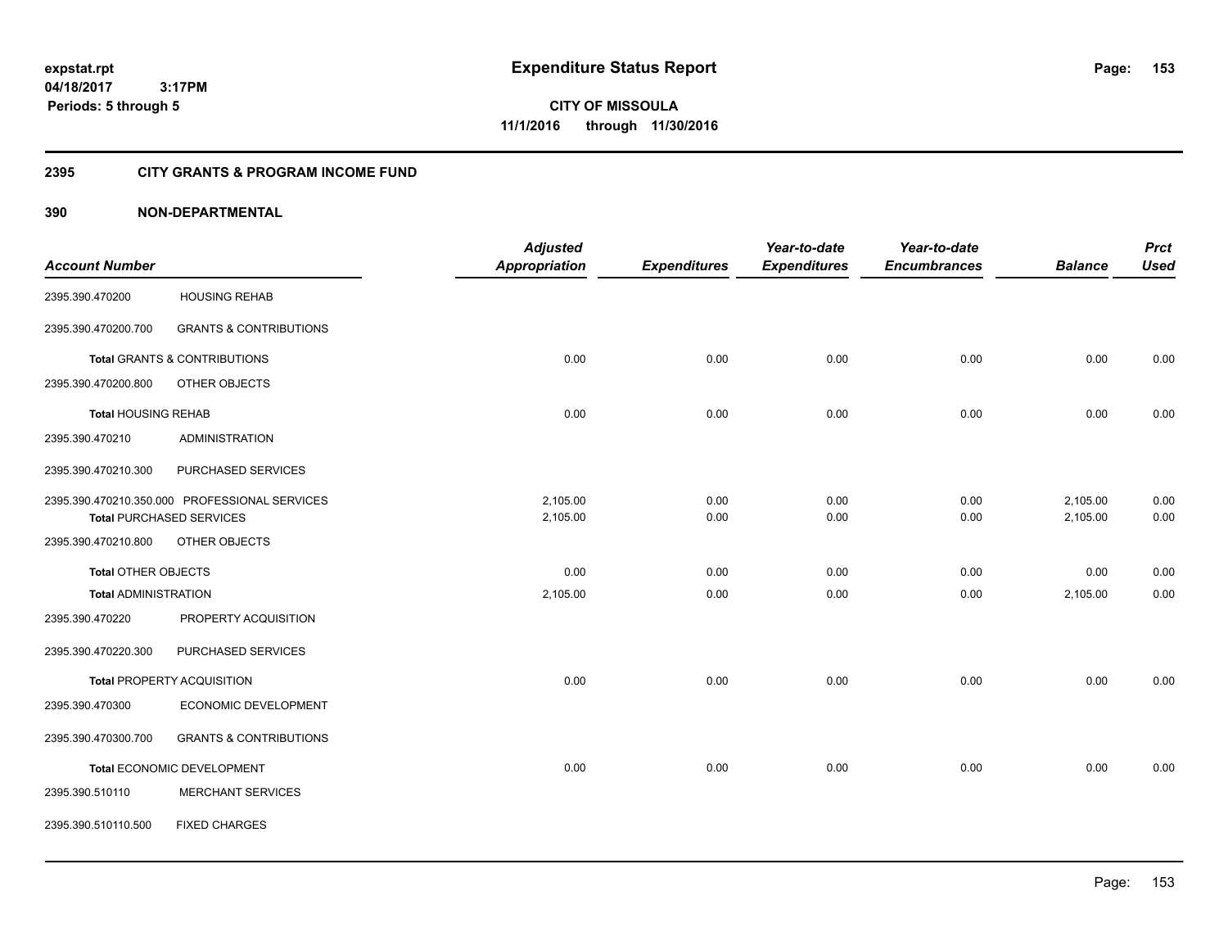**CITY OF MISSOULA 11/1/2016 through 11/30/2016**

# **2395 CITY GRANTS & PROGRAM INCOME FUND**

|                             |                                               | <b>Adjusted</b>      |                     | Year-to-date        | Year-to-date        |                | <b>Prct</b> |
|-----------------------------|-----------------------------------------------|----------------------|---------------------|---------------------|---------------------|----------------|-------------|
| <b>Account Number</b>       |                                               | <b>Appropriation</b> | <b>Expenditures</b> | <b>Expenditures</b> | <b>Encumbrances</b> | <b>Balance</b> | <b>Used</b> |
| 2395.390.470200             | <b>HOUSING REHAB</b>                          |                      |                     |                     |                     |                |             |
| 2395.390.470200.700         | <b>GRANTS &amp; CONTRIBUTIONS</b>             |                      |                     |                     |                     |                |             |
|                             | <b>Total GRANTS &amp; CONTRIBUTIONS</b>       | 0.00                 | 0.00                | 0.00                | 0.00                | 0.00           | 0.00        |
| 2395.390.470200.800         | OTHER OBJECTS                                 |                      |                     |                     |                     |                |             |
| <b>Total HOUSING REHAB</b>  |                                               | 0.00                 | 0.00                | 0.00                | 0.00                | 0.00           | 0.00        |
| 2395.390.470210             | <b>ADMINISTRATION</b>                         |                      |                     |                     |                     |                |             |
| 2395.390.470210.300         | PURCHASED SERVICES                            |                      |                     |                     |                     |                |             |
|                             | 2395.390.470210.350.000 PROFESSIONAL SERVICES | 2,105.00             | 0.00                | 0.00                | 0.00                | 2,105.00       | 0.00        |
|                             | <b>Total PURCHASED SERVICES</b>               | 2,105.00             | 0.00                | 0.00                | 0.00                | 2,105.00       | 0.00        |
| 2395.390.470210.800         | OTHER OBJECTS                                 |                      |                     |                     |                     |                |             |
| <b>Total OTHER OBJECTS</b>  |                                               | 0.00                 | 0.00                | 0.00                | 0.00                | 0.00           | 0.00        |
| <b>Total ADMINISTRATION</b> |                                               | 2,105.00             | 0.00                | 0.00                | 0.00                | 2,105.00       | 0.00        |
| 2395.390.470220             | PROPERTY ACQUISITION                          |                      |                     |                     |                     |                |             |
| 2395.390.470220.300         | PURCHASED SERVICES                            |                      |                     |                     |                     |                |             |
|                             | <b>Total PROPERTY ACQUISITION</b>             | 0.00                 | 0.00                | 0.00                | 0.00                | 0.00           | 0.00        |
| 2395.390.470300             | ECONOMIC DEVELOPMENT                          |                      |                     |                     |                     |                |             |
| 2395.390.470300.700         | <b>GRANTS &amp; CONTRIBUTIONS</b>             |                      |                     |                     |                     |                |             |
|                             | Total ECONOMIC DEVELOPMENT                    | 0.00                 | 0.00                | 0.00                | 0.00                | 0.00           | 0.00        |
| 2395.390.510110             | <b>MERCHANT SERVICES</b>                      |                      |                     |                     |                     |                |             |
| 2395.390.510110.500         | <b>FIXED CHARGES</b>                          |                      |                     |                     |                     |                |             |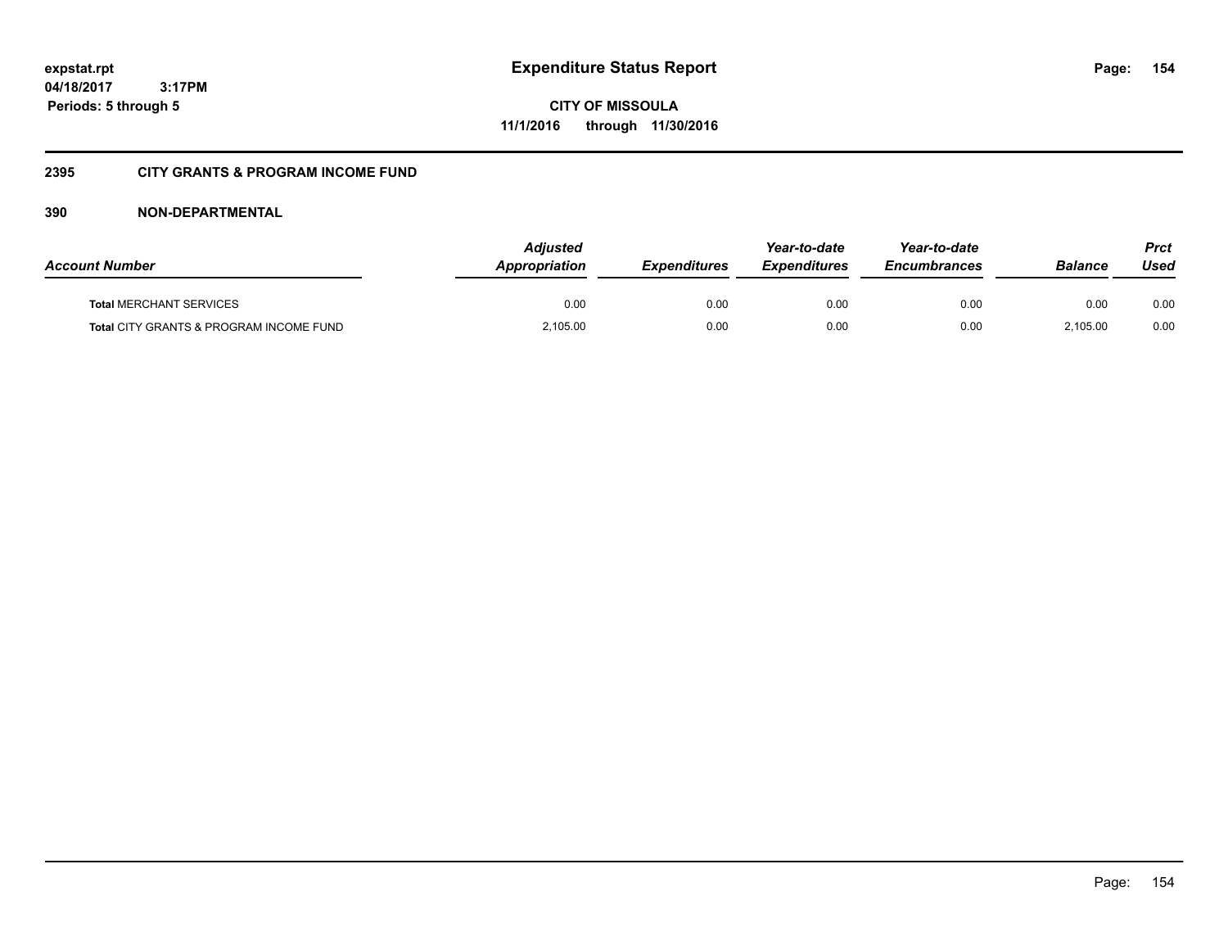**CITY OF MISSOULA 11/1/2016 through 11/30/2016**

# **2395 CITY GRANTS & PROGRAM INCOME FUND**

| <b>Account Number</b>                              | <b>Adjusted</b><br>Appropriation | <b>Expenditures</b> | Year-to-date<br><b>Expenditures</b> | Year-to-date<br><b>Encumbrances</b> | Balance  | Prct<br>Used |
|----------------------------------------------------|----------------------------------|---------------------|-------------------------------------|-------------------------------------|----------|--------------|
| <b>Total MERCHANT SERVICES</b>                     | 0.00                             | 0.00                | 0.00                                | 0.00                                | 0.00     | 0.00         |
| <b>Total CITY GRANTS &amp; PROGRAM INCOME FUND</b> | 2,105.00                         | 0.00                | 0.00                                | 0.00                                | 2.105.00 | 0.00         |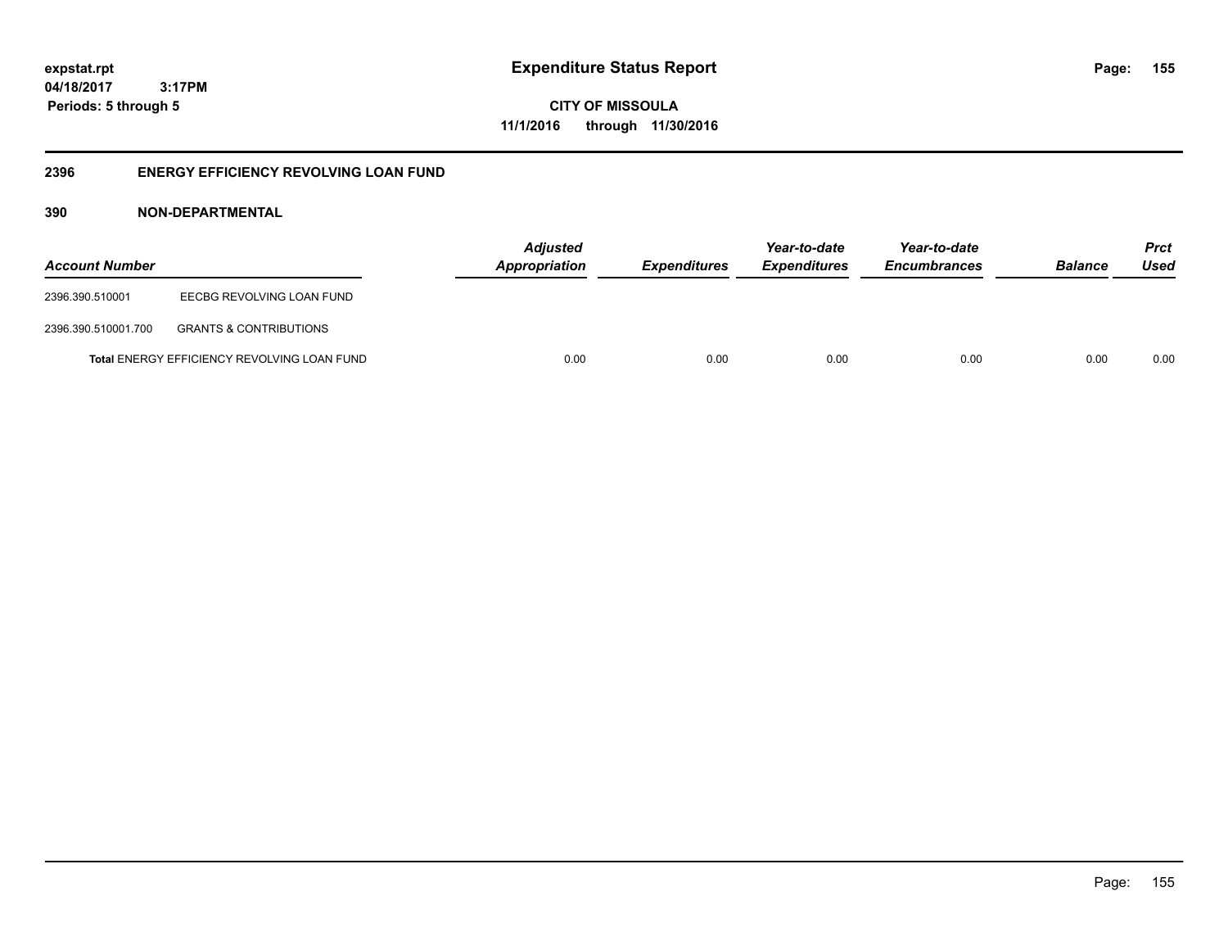**155**

**04/18/2017 3:17PM Periods: 5 through 5**

**CITY OF MISSOULA 11/1/2016 through 11/30/2016**

# **2396 ENERGY EFFICIENCY REVOLVING LOAN FUND**

| <b>Account Number</b> |                                             | <b>Adjusted</b><br><b>Appropriation</b> | <i><b>Expenditures</b></i> | Year-to-date<br><i><b>Expenditures</b></i> | Year-to-date<br><b>Encumbrances</b> | <b>Balance</b> | <b>Prct</b><br>Used |
|-----------------------|---------------------------------------------|-----------------------------------------|----------------------------|--------------------------------------------|-------------------------------------|----------------|---------------------|
| 2396.390.510001       | EECBG REVOLVING LOAN FUND                   |                                         |                            |                                            |                                     |                |                     |
| 2396.390.510001.700   | <b>GRANTS &amp; CONTRIBUTIONS</b>           |                                         |                            |                                            |                                     |                |                     |
|                       | Total ENERGY EFFICIENCY REVOLVING LOAN FUND | 0.00                                    | 0.00                       | 0.00                                       | 0.00                                | 0.00           | 0.00                |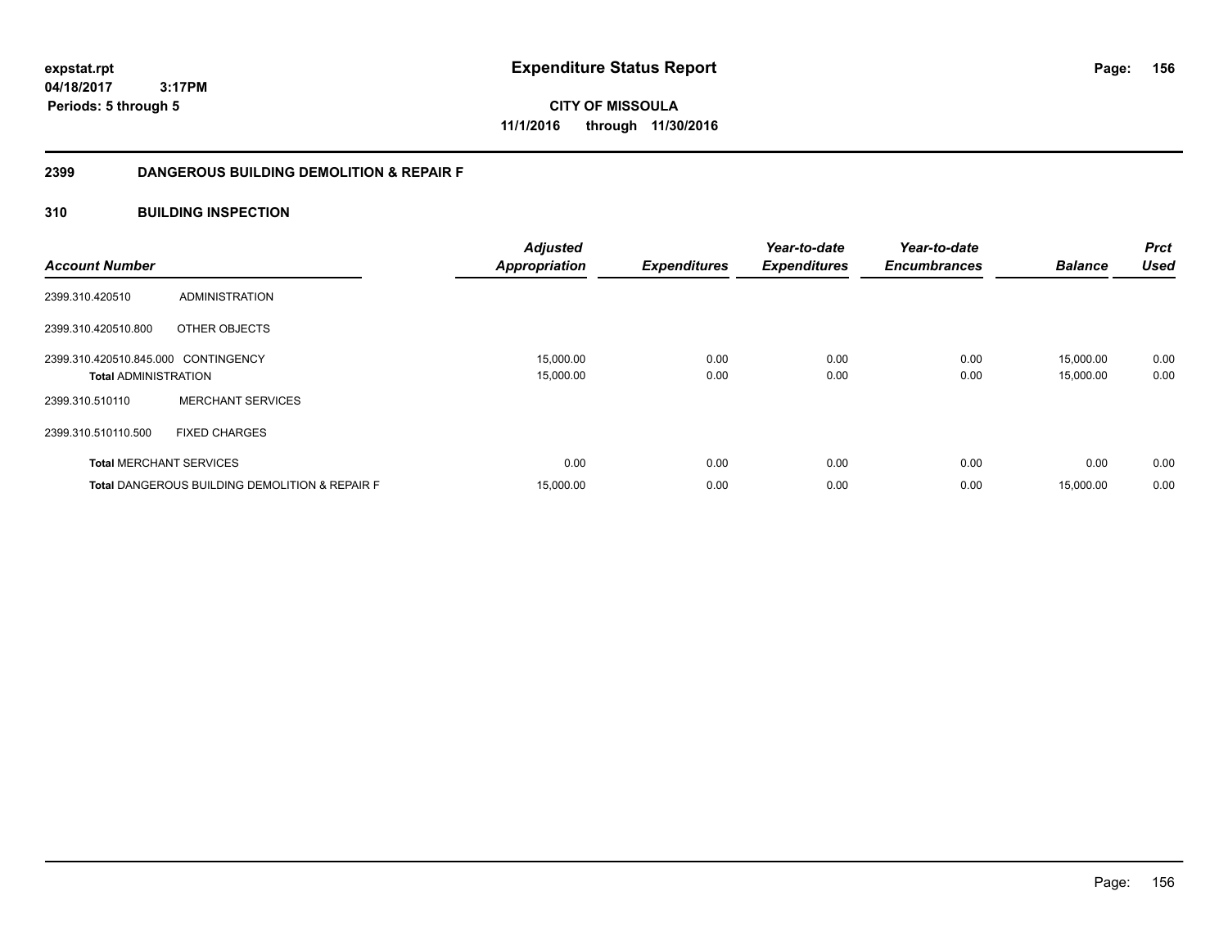**expstat.rpt Expenditure Status Report** 

**04/18/2017 3:17PM Periods: 5 through 5**

**CITY OF MISSOULA 11/1/2016 through 11/30/2016**

# **2399 DANGEROUS BUILDING DEMOLITION & REPAIR F**

# **310 BUILDING INSPECTION**

| <b>Account Number</b>                                              |                                                           | <b>Adjusted</b><br><b>Appropriation</b> | <b>Expenditures</b> | Year-to-date<br><b>Expenditures</b> | Year-to-date<br><b>Encumbrances</b> | <b>Balance</b>         | <b>Prct</b><br><b>Used</b> |
|--------------------------------------------------------------------|-----------------------------------------------------------|-----------------------------------------|---------------------|-------------------------------------|-------------------------------------|------------------------|----------------------------|
| 2399.310.420510                                                    | ADMINISTRATION                                            |                                         |                     |                                     |                                     |                        |                            |
| 2399.310.420510.800                                                | OTHER OBJECTS                                             |                                         |                     |                                     |                                     |                        |                            |
| 2399.310.420510.845.000 CONTINGENCY<br><b>Total ADMINISTRATION</b> |                                                           | 15,000.00<br>15,000.00                  | 0.00<br>0.00        | 0.00<br>0.00                        | 0.00<br>0.00                        | 15,000.00<br>15,000.00 | 0.00<br>0.00               |
| 2399.310.510110                                                    | <b>MERCHANT SERVICES</b>                                  |                                         |                     |                                     |                                     |                        |                            |
| 2399.310.510110.500                                                | <b>FIXED CHARGES</b>                                      |                                         |                     |                                     |                                     |                        |                            |
| <b>Total MERCHANT SERVICES</b>                                     |                                                           | 0.00                                    | 0.00                | 0.00                                | 0.00                                | 0.00                   | 0.00                       |
|                                                                    | <b>Total DANGEROUS BUILDING DEMOLITION &amp; REPAIR F</b> | 15,000.00                               | 0.00                | 0.00                                | 0.00                                | 15,000.00              | 0.00                       |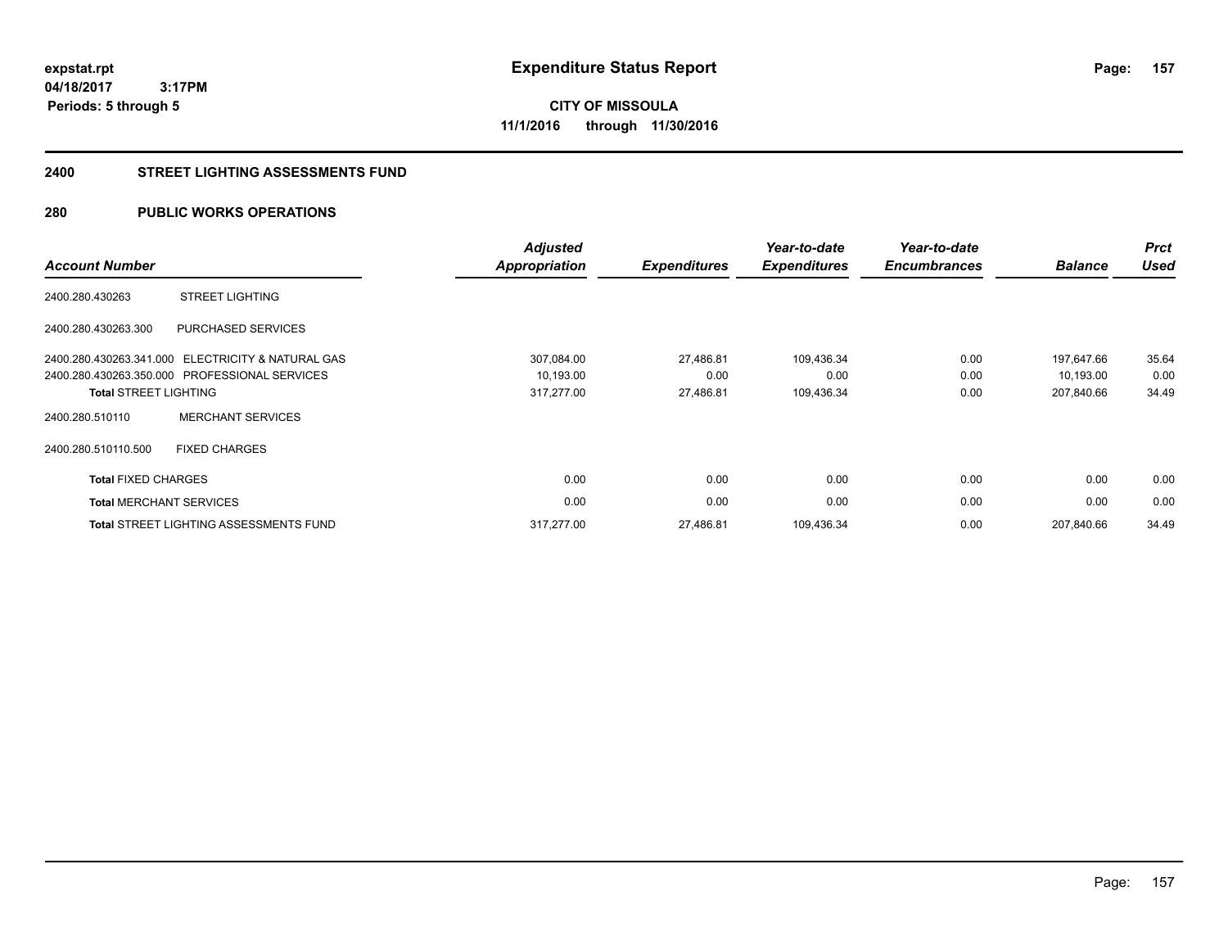# **CITY OF MISSOULA 11/1/2016 through 11/30/2016**

## **2400 STREET LIGHTING ASSESSMENTS FUND**

# **280 PUBLIC WORKS OPERATIONS**

| <b>Account Number</b>          |                                                   | <b>Adjusted</b><br>Appropriation | <b>Expenditures</b> | Year-to-date<br><b>Expenditures</b> | Year-to-date<br><b>Encumbrances</b> | <b>Balance</b> | <b>Prct</b><br><b>Used</b> |
|--------------------------------|---------------------------------------------------|----------------------------------|---------------------|-------------------------------------|-------------------------------------|----------------|----------------------------|
| 2400.280.430263                | <b>STREET LIGHTING</b>                            |                                  |                     |                                     |                                     |                |                            |
| 2400.280.430263.300            | PURCHASED SERVICES                                |                                  |                     |                                     |                                     |                |                            |
|                                | 2400.280.430263.341.000 ELECTRICITY & NATURAL GAS | 307,084.00                       | 27,486.81           | 109,436.34                          | 0.00                                | 197,647.66     | 35.64                      |
|                                | 2400.280.430263.350.000 PROFESSIONAL SERVICES     | 10,193.00                        | 0.00                | 0.00                                | 0.00                                | 10,193.00      | 0.00                       |
| <b>Total STREET LIGHTING</b>   |                                                   | 317,277.00                       | 27,486.81           | 109,436.34                          | 0.00                                | 207,840.66     | 34.49                      |
| 2400.280.510110                | <b>MERCHANT SERVICES</b>                          |                                  |                     |                                     |                                     |                |                            |
| 2400.280.510110.500            | <b>FIXED CHARGES</b>                              |                                  |                     |                                     |                                     |                |                            |
| <b>Total FIXED CHARGES</b>     |                                                   | 0.00                             | 0.00                | 0.00                                | 0.00                                | 0.00           | 0.00                       |
| <b>Total MERCHANT SERVICES</b> |                                                   | 0.00                             | 0.00                | 0.00                                | 0.00                                | 0.00           | 0.00                       |
|                                | <b>Total STREET LIGHTING ASSESSMENTS FUND</b>     | 317,277.00                       | 27,486.81           | 109,436.34                          | 0.00                                | 207,840.66     | 34.49                      |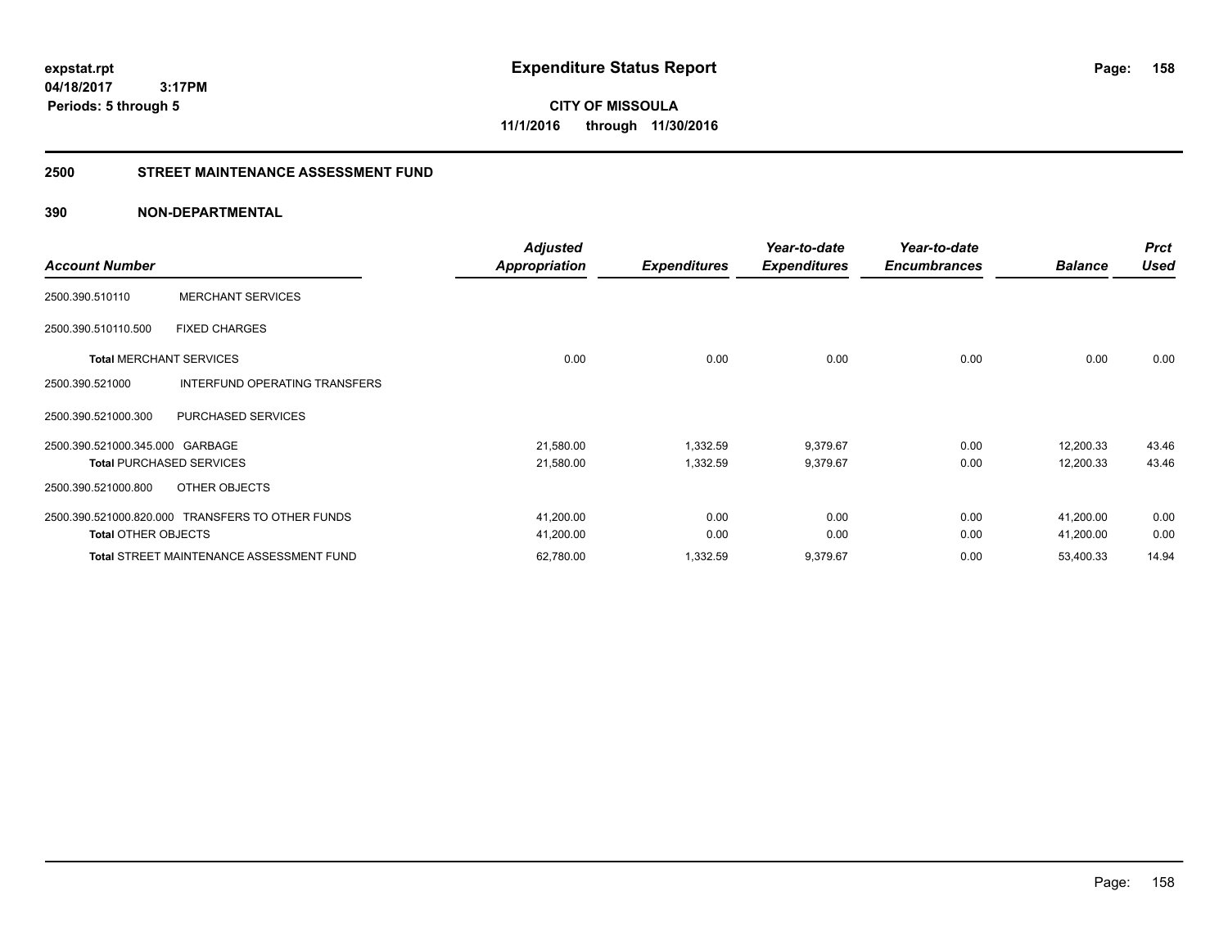**CITY OF MISSOULA 11/1/2016 through 11/30/2016**

# **2500 STREET MAINTENANCE ASSESSMENT FUND**

|                                 |                                                  | <b>Adjusted</b>      |                     | Year-to-date        | Year-to-date        |                | <b>Prct</b> |
|---------------------------------|--------------------------------------------------|----------------------|---------------------|---------------------|---------------------|----------------|-------------|
| <b>Account Number</b>           |                                                  | <b>Appropriation</b> | <b>Expenditures</b> | <b>Expenditures</b> | <b>Encumbrances</b> | <b>Balance</b> | <b>Used</b> |
| 2500.390.510110                 | <b>MERCHANT SERVICES</b>                         |                      |                     |                     |                     |                |             |
| 2500.390.510110.500             | <b>FIXED CHARGES</b>                             |                      |                     |                     |                     |                |             |
| <b>Total MERCHANT SERVICES</b>  |                                                  | 0.00                 | 0.00                | 0.00                | 0.00                | 0.00           | 0.00        |
| 2500.390.521000                 | INTERFUND OPERATING TRANSFERS                    |                      |                     |                     |                     |                |             |
| 2500.390.521000.300             | PURCHASED SERVICES                               |                      |                     |                     |                     |                |             |
| 2500.390.521000.345.000 GARBAGE |                                                  | 21,580.00            | 1,332.59            | 9,379.67            | 0.00                | 12,200.33      | 43.46       |
|                                 | <b>Total PURCHASED SERVICES</b>                  | 21,580.00            | 1,332.59            | 9,379.67            | 0.00                | 12,200.33      | 43.46       |
| 2500.390.521000.800             | OTHER OBJECTS                                    |                      |                     |                     |                     |                |             |
|                                 | 2500.390.521000.820.000 TRANSFERS TO OTHER FUNDS | 41,200.00            | 0.00                | 0.00                | 0.00                | 41,200.00      | 0.00        |
| <b>Total OTHER OBJECTS</b>      |                                                  | 41,200.00            | 0.00                | 0.00                | 0.00                | 41,200.00      | 0.00        |
|                                 | <b>Total STREET MAINTENANCE ASSESSMENT FUND</b>  | 62,780.00            | 1,332.59            | 9,379.67            | 0.00                | 53,400.33      | 14.94       |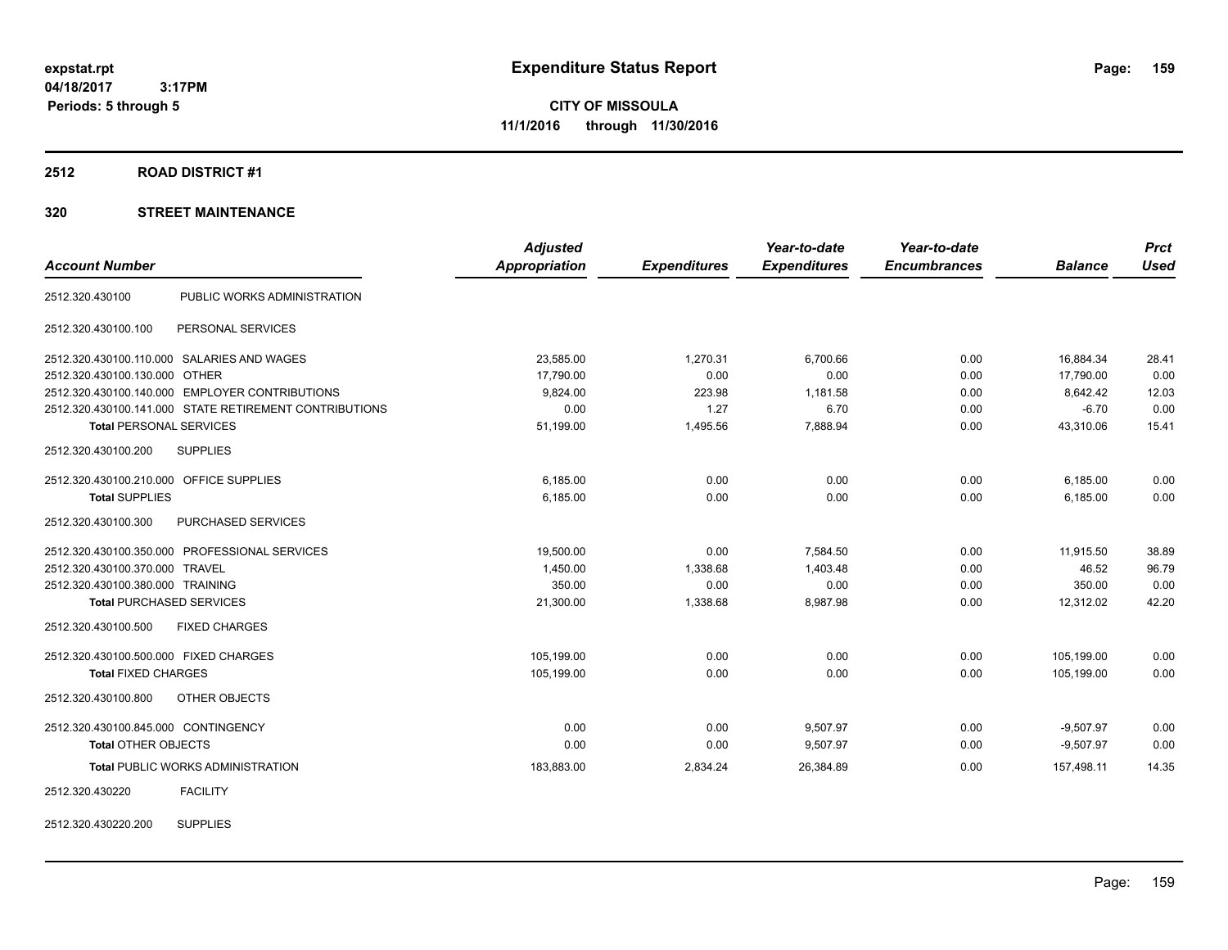# **2512 ROAD DISTRICT #1**

|                                                        | <b>Adjusted</b> |                     | Year-to-date        | Year-to-date        |                | <b>Prct</b> |
|--------------------------------------------------------|-----------------|---------------------|---------------------|---------------------|----------------|-------------|
| <b>Account Number</b>                                  | Appropriation   | <b>Expenditures</b> | <b>Expenditures</b> | <b>Encumbrances</b> | <b>Balance</b> | <b>Used</b> |
| PUBLIC WORKS ADMINISTRATION<br>2512.320.430100         |                 |                     |                     |                     |                |             |
| 2512.320.430100.100<br>PERSONAL SERVICES               |                 |                     |                     |                     |                |             |
| 2512.320.430100.110.000 SALARIES AND WAGES             | 23,585.00       | 1,270.31            | 6,700.66            | 0.00                | 16,884.34      | 28.41       |
| 2512.320.430100.130.000 OTHER                          | 17,790.00       | 0.00                | 0.00                | 0.00                | 17,790.00      | 0.00        |
| 2512.320.430100.140.000 EMPLOYER CONTRIBUTIONS         | 9,824.00        | 223.98              | 1,181.58            | 0.00                | 8.642.42       | 12.03       |
| 2512.320.430100.141.000 STATE RETIREMENT CONTRIBUTIONS | 0.00            | 1.27                | 6.70                | 0.00                | $-6.70$        | 0.00        |
| <b>Total PERSONAL SERVICES</b>                         | 51,199.00       | 1,495.56            | 7,888.94            | 0.00                | 43,310.06      | 15.41       |
| <b>SUPPLIES</b><br>2512.320.430100.200                 |                 |                     |                     |                     |                |             |
| 2512.320.430100.210.000 OFFICE SUPPLIES                | 6,185.00        | 0.00                | 0.00                | 0.00                | 6,185.00       | 0.00        |
| <b>Total SUPPLIES</b>                                  | 6,185.00        | 0.00                | 0.00                | 0.00                | 6,185.00       | 0.00        |
| 2512.320.430100.300<br>PURCHASED SERVICES              |                 |                     |                     |                     |                |             |
| 2512.320.430100.350.000 PROFESSIONAL SERVICES          | 19,500.00       | 0.00                | 7,584.50            | 0.00                | 11,915.50      | 38.89       |
| 2512.320.430100.370.000 TRAVEL                         | 1,450.00        | 1,338.68            | 1,403.48            | 0.00                | 46.52          | 96.79       |
| 2512.320.430100.380.000 TRAINING                       | 350.00          | 0.00                | 0.00                | 0.00                | 350.00         | 0.00        |
| <b>Total PURCHASED SERVICES</b>                        | 21,300.00       | 1,338.68            | 8,987.98            | 0.00                | 12,312.02      | 42.20       |
| <b>FIXED CHARGES</b><br>2512.320.430100.500            |                 |                     |                     |                     |                |             |
| 2512.320.430100.500.000 FIXED CHARGES                  | 105,199.00      | 0.00                | 0.00                | 0.00                | 105,199.00     | 0.00        |
| <b>Total FIXED CHARGES</b>                             | 105,199.00      | 0.00                | 0.00                | 0.00                | 105,199.00     | 0.00        |
| 2512.320.430100.800<br>OTHER OBJECTS                   |                 |                     |                     |                     |                |             |
| 2512.320.430100.845.000 CONTINGENCY                    | 0.00            | 0.00                | 9,507.97            | 0.00                | $-9,507.97$    | 0.00        |
| <b>Total OTHER OBJECTS</b>                             | 0.00            | 0.00                | 9,507.97            | 0.00                | $-9,507.97$    | 0.00        |
| <b>Total PUBLIC WORKS ADMINISTRATION</b>               | 183,883.00      | 2,834.24            | 26,384.89           | 0.00                | 157,498.11     | 14.35       |
| <b>FACILITY</b><br>2512.320.430220                     |                 |                     |                     |                     |                |             |
| <b>SUPPLIES</b><br>2512.320.430220.200                 |                 |                     |                     |                     |                |             |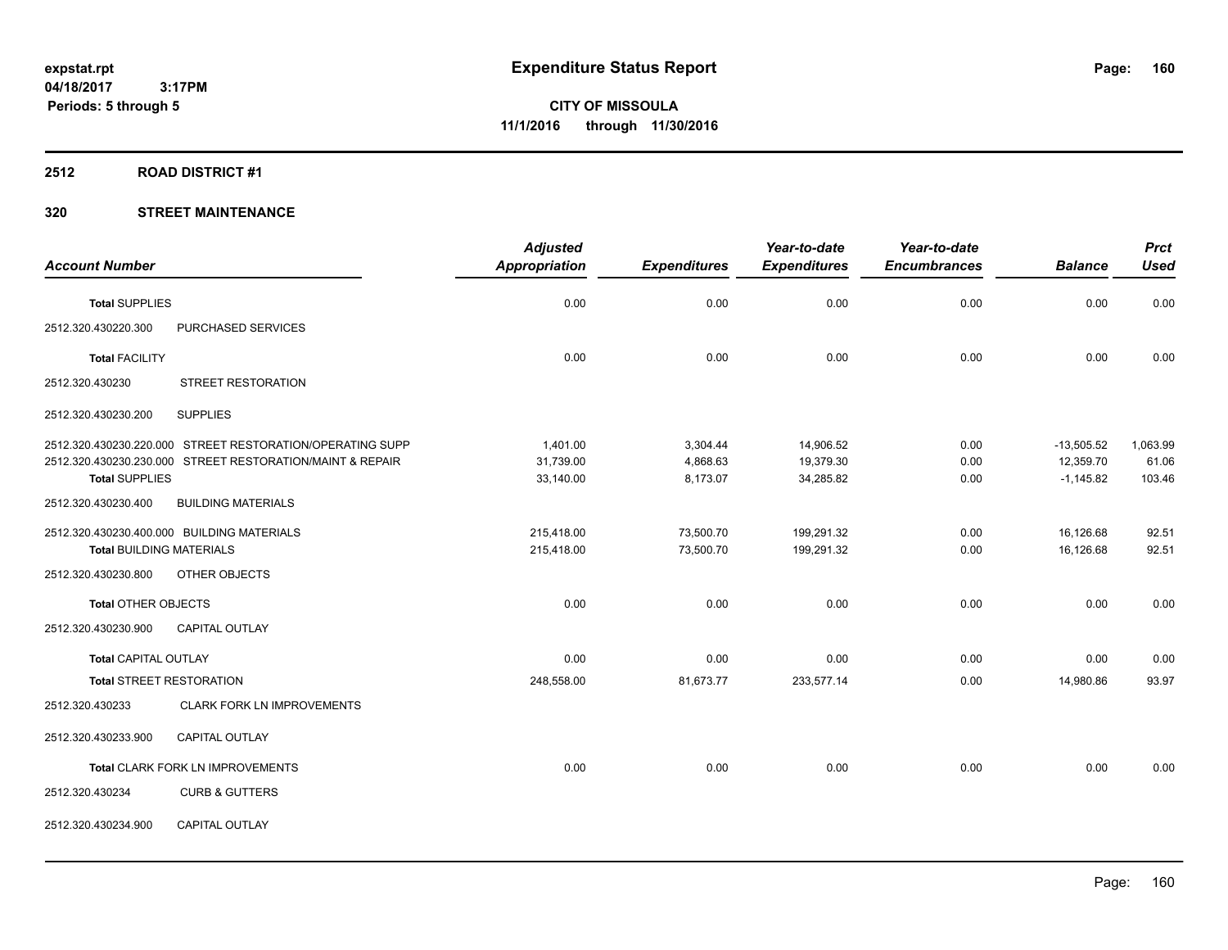#### **2512 ROAD DISTRICT #1**

|                                 |                                                           | <b>Adjusted</b>      |                     | Year-to-date        | Year-to-date        |                | <b>Prct</b> |
|---------------------------------|-----------------------------------------------------------|----------------------|---------------------|---------------------|---------------------|----------------|-------------|
| <b>Account Number</b>           |                                                           | <b>Appropriation</b> | <b>Expenditures</b> | <b>Expenditures</b> | <b>Encumbrances</b> | <b>Balance</b> | <b>Used</b> |
| <b>Total SUPPLIES</b>           |                                                           | 0.00                 | 0.00                | 0.00                | 0.00                | 0.00           | 0.00        |
| 2512.320.430220.300             | PURCHASED SERVICES                                        |                      |                     |                     |                     |                |             |
| <b>Total FACILITY</b>           |                                                           | 0.00                 | 0.00                | 0.00                | 0.00                | 0.00           | 0.00        |
| 2512.320.430230                 | <b>STREET RESTORATION</b>                                 |                      |                     |                     |                     |                |             |
| 2512.320.430230.200             | <b>SUPPLIES</b>                                           |                      |                     |                     |                     |                |             |
|                                 | 2512.320.430230.220.000 STREET RESTORATION/OPERATING SUPP | 1.401.00             | 3,304.44            | 14,906.52           | 0.00                | $-13,505.52$   | 1,063.99    |
|                                 | 2512.320.430230.230.000 STREET RESTORATION/MAINT & REPAIR | 31,739.00            | 4,868.63            | 19,379.30           | 0.00                | 12,359.70      | 61.06       |
| <b>Total SUPPLIES</b>           |                                                           | 33,140.00            | 8,173.07            | 34,285.82           | 0.00                | $-1,145.82$    | 103.46      |
| 2512.320.430230.400             | <b>BUILDING MATERIALS</b>                                 |                      |                     |                     |                     |                |             |
|                                 | 2512.320.430230.400.000 BUILDING MATERIALS                | 215,418.00           | 73,500.70           | 199,291.32          | 0.00                | 16,126.68      | 92.51       |
| <b>Total BUILDING MATERIALS</b> |                                                           | 215,418.00           | 73,500.70           | 199,291.32          | 0.00                | 16,126.68      | 92.51       |
| 2512.320.430230.800             | OTHER OBJECTS                                             |                      |                     |                     |                     |                |             |
| <b>Total OTHER OBJECTS</b>      |                                                           | 0.00                 | 0.00                | 0.00                | 0.00                | 0.00           | 0.00        |
| 2512.320.430230.900             | <b>CAPITAL OUTLAY</b>                                     |                      |                     |                     |                     |                |             |
| <b>Total CAPITAL OUTLAY</b>     |                                                           | 0.00                 | 0.00                | 0.00                | 0.00                | 0.00           | 0.00        |
|                                 | <b>Total STREET RESTORATION</b>                           | 248,558.00           | 81,673.77           | 233,577.14          | 0.00                | 14,980.86      | 93.97       |
| 2512.320.430233                 | <b>CLARK FORK LN IMPROVEMENTS</b>                         |                      |                     |                     |                     |                |             |
| 2512.320.430233.900             | CAPITAL OUTLAY                                            |                      |                     |                     |                     |                |             |
|                                 | Total CLARK FORK LN IMPROVEMENTS                          | 0.00                 | 0.00                | 0.00                | 0.00                | 0.00           | 0.00        |
| 2512.320.430234                 | <b>CURB &amp; GUTTERS</b>                                 |                      |                     |                     |                     |                |             |
| 2512.320.430234.900             | CAPITAL OUTLAY                                            |                      |                     |                     |                     |                |             |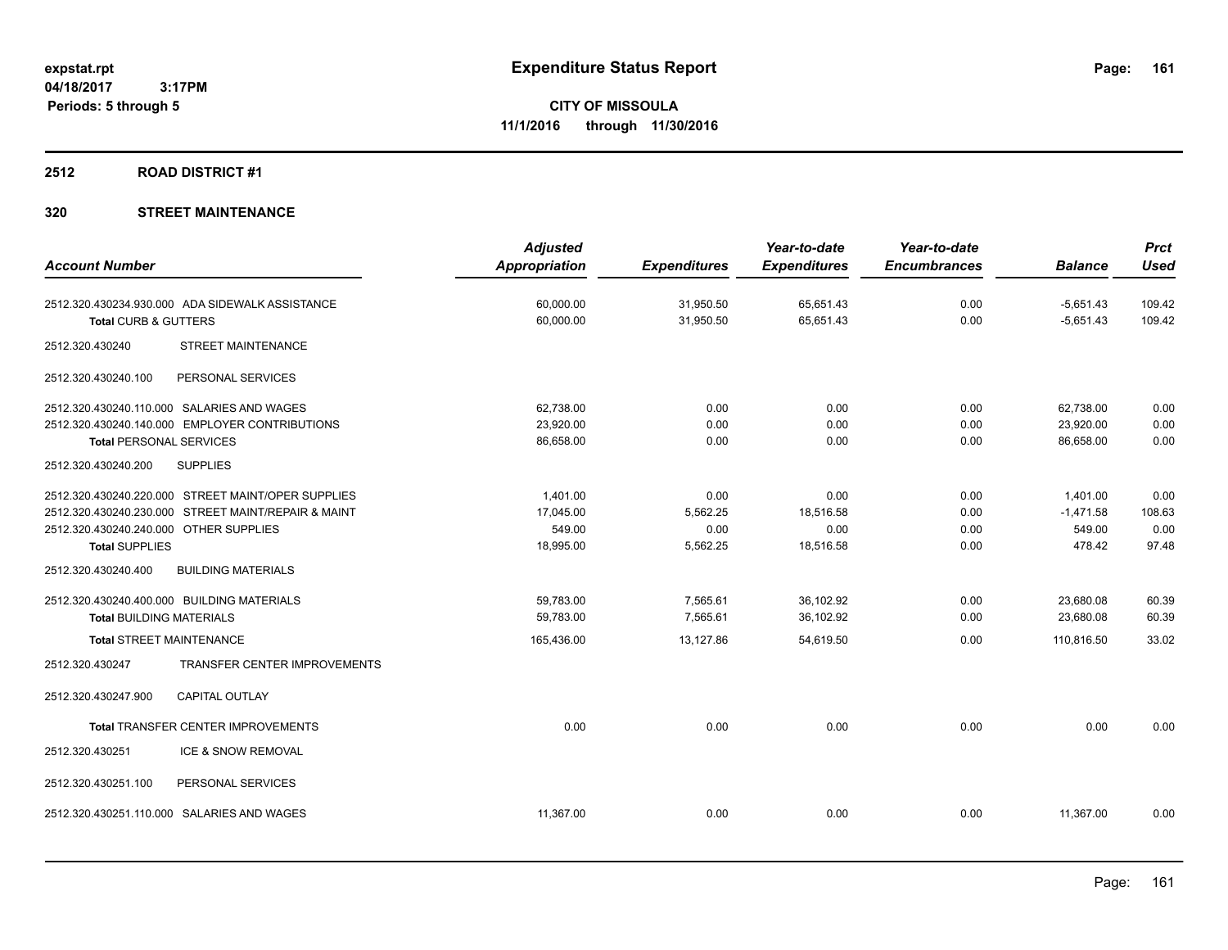## **2512 ROAD DISTRICT #1**

|                                                     | <b>Adjusted</b>      |                     | Year-to-date        | Year-to-date        |                | <b>Prct</b> |
|-----------------------------------------------------|----------------------|---------------------|---------------------|---------------------|----------------|-------------|
| <b>Account Number</b>                               | <b>Appropriation</b> | <b>Expenditures</b> | <b>Expenditures</b> | <b>Encumbrances</b> | <b>Balance</b> | <b>Used</b> |
| 2512.320.430234.930.000 ADA SIDEWALK ASSISTANCE     | 60,000.00            | 31,950.50           | 65,651.43           | 0.00                | $-5,651.43$    | 109.42      |
| <b>Total CURB &amp; GUTTERS</b>                     | 60,000.00            | 31,950.50           | 65,651.43           | 0.00                | $-5,651.43$    | 109.42      |
| <b>STREET MAINTENANCE</b><br>2512.320.430240        |                      |                     |                     |                     |                |             |
| 2512.320.430240.100<br>PERSONAL SERVICES            |                      |                     |                     |                     |                |             |
| 2512.320.430240.110.000 SALARIES AND WAGES          | 62,738.00            | 0.00                | 0.00                | 0.00                | 62,738.00      | 0.00        |
| 2512.320.430240.140.000 EMPLOYER CONTRIBUTIONS      | 23,920.00            | 0.00                | 0.00                | 0.00                | 23,920.00      | 0.00        |
| <b>Total PERSONAL SERVICES</b>                      | 86,658.00            | 0.00                | 0.00                | 0.00                | 86,658.00      | 0.00        |
| 2512.320.430240.200<br><b>SUPPLIES</b>              |                      |                     |                     |                     |                |             |
| 2512.320.430240.220.000 STREET MAINT/OPER SUPPLIES  | 1.401.00             | 0.00                | 0.00                | 0.00                | 1,401.00       | 0.00        |
| 2512.320.430240.230.000 STREET MAINT/REPAIR & MAINT | 17,045.00            | 5,562.25            | 18,516.58           | 0.00                | $-1,471.58$    | 108.63      |
| 2512.320.430240.240.000 OTHER SUPPLIES              | 549.00               | 0.00                | 0.00                | 0.00                | 549.00         | 0.00        |
| <b>Total SUPPLIES</b>                               | 18,995.00            | 5,562.25            | 18,516.58           | 0.00                | 478.42         | 97.48       |
| 2512.320.430240.400<br><b>BUILDING MATERIALS</b>    |                      |                     |                     |                     |                |             |
| 2512.320.430240.400.000 BUILDING MATERIALS          | 59,783.00            | 7,565.61            | 36,102.92           | 0.00                | 23,680.08      | 60.39       |
| <b>Total BUILDING MATERIALS</b>                     | 59,783.00            | 7,565.61            | 36,102.92           | 0.00                | 23,680.08      | 60.39       |
| <b>Total STREET MAINTENANCE</b>                     | 165,436.00           | 13,127.86           | 54,619.50           | 0.00                | 110.816.50     | 33.02       |
| 2512.320.430247<br>TRANSFER CENTER IMPROVEMENTS     |                      |                     |                     |                     |                |             |
| CAPITAL OUTLAY<br>2512.320.430247.900               |                      |                     |                     |                     |                |             |
| <b>Total TRANSFER CENTER IMPROVEMENTS</b>           | 0.00                 | 0.00                | 0.00                | 0.00                | 0.00           | 0.00        |
| 2512.320.430251<br>ICE & SNOW REMOVAL               |                      |                     |                     |                     |                |             |
| 2512.320.430251.100<br>PERSONAL SERVICES            |                      |                     |                     |                     |                |             |
| 2512.320.430251.110.000 SALARIES AND WAGES          | 11,367.00            | 0.00                | 0.00                | 0.00                | 11,367.00      | 0.00        |
|                                                     |                      |                     |                     |                     |                |             |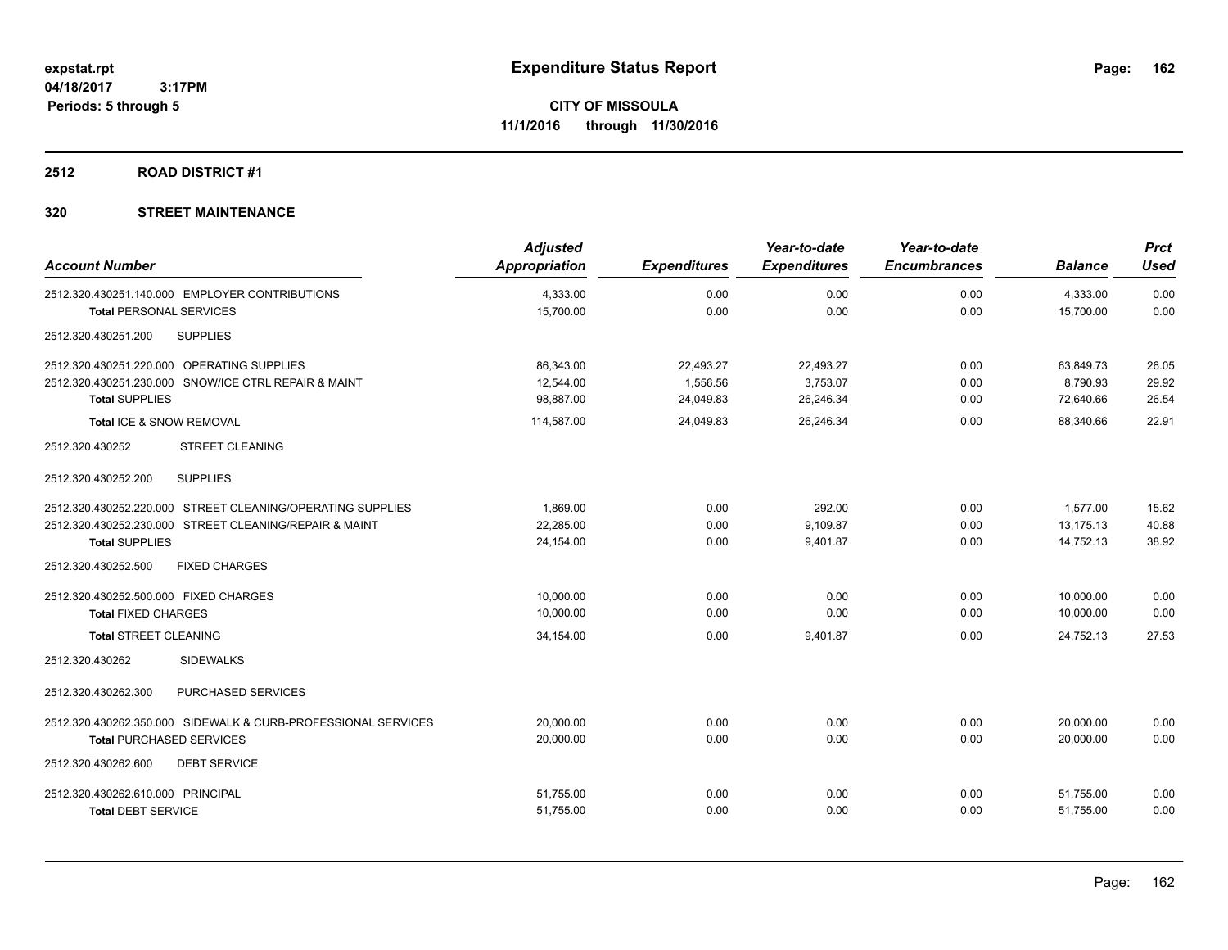## **2512 ROAD DISTRICT #1**

| <b>Account Number</b>                                         | <b>Adjusted</b><br><b>Appropriation</b> | <b>Expenditures</b> | Year-to-date<br><b>Expenditures</b> | Year-to-date<br><b>Encumbrances</b> | <b>Balance</b> | <b>Prct</b><br><b>Used</b> |
|---------------------------------------------------------------|-----------------------------------------|---------------------|-------------------------------------|-------------------------------------|----------------|----------------------------|
| 2512.320.430251.140.000 EMPLOYER CONTRIBUTIONS                | 4,333.00                                | 0.00                | 0.00                                | 0.00                                | 4,333.00       | 0.00                       |
| <b>Total PERSONAL SERVICES</b>                                | 15,700.00                               | 0.00                | 0.00                                | 0.00                                | 15,700.00      | 0.00                       |
| <b>SUPPLIES</b><br>2512.320.430251.200                        |                                         |                     |                                     |                                     |                |                            |
| 2512.320.430251.220.000 OPERATING SUPPLIES                    | 86,343.00                               | 22,493.27           | 22,493.27                           | 0.00                                | 63,849.73      | 26.05                      |
| 2512.320.430251.230.000 SNOW/ICE CTRL REPAIR & MAINT          | 12,544.00                               | 1,556.56            | 3,753.07                            | 0.00                                | 8.790.93       | 29.92                      |
| <b>Total SUPPLIES</b>                                         | 98,887.00                               | 24,049.83           | 26,246.34                           | 0.00                                | 72,640.66      | 26.54                      |
| Total ICE & SNOW REMOVAL                                      | 114,587.00                              | 24,049.83           | 26,246.34                           | 0.00                                | 88.340.66      | 22.91                      |
| 2512.320.430252<br><b>STREET CLEANING</b>                     |                                         |                     |                                     |                                     |                |                            |
| <b>SUPPLIES</b><br>2512.320.430252.200                        |                                         |                     |                                     |                                     |                |                            |
| 2512.320.430252.220.000 STREET CLEANING/OPERATING SUPPLIES    | 1,869.00                                | 0.00                | 292.00                              | 0.00                                | 1,577.00       | 15.62                      |
| 2512.320.430252.230.000 STREET CLEANING/REPAIR & MAINT        | 22,285.00                               | 0.00                | 9,109.87                            | 0.00                                | 13,175.13      | 40.88                      |
| <b>Total SUPPLIES</b>                                         | 24,154.00                               | 0.00                | 9,401.87                            | 0.00                                | 14,752.13      | 38.92                      |
| 2512.320.430252.500<br><b>FIXED CHARGES</b>                   |                                         |                     |                                     |                                     |                |                            |
| 2512.320.430252.500.000 FIXED CHARGES                         | 10,000.00                               | 0.00                | 0.00                                | 0.00                                | 10,000.00      | 0.00                       |
| <b>Total FIXED CHARGES</b>                                    | 10,000.00                               | 0.00                | 0.00                                | 0.00                                | 10,000.00      | 0.00                       |
| <b>Total STREET CLEANING</b>                                  | 34,154.00                               | 0.00                | 9,401.87                            | 0.00                                | 24,752.13      | 27.53                      |
| <b>SIDEWALKS</b><br>2512.320.430262                           |                                         |                     |                                     |                                     |                |                            |
| 2512.320.430262.300<br>PURCHASED SERVICES                     |                                         |                     |                                     |                                     |                |                            |
| 2512.320.430262.350.000 SIDEWALK & CURB-PROFESSIONAL SERVICES | 20.000.00                               | 0.00                | 0.00                                | 0.00                                | 20,000.00      | 0.00                       |
| <b>Total PURCHASED SERVICES</b>                               | 20,000.00                               | 0.00                | 0.00                                | 0.00                                | 20.000.00      | 0.00                       |
| 2512.320.430262.600<br><b>DEBT SERVICE</b>                    |                                         |                     |                                     |                                     |                |                            |
| 2512.320.430262.610.000 PRINCIPAL                             | 51,755.00                               | 0.00                | 0.00                                | 0.00                                | 51,755.00      | 0.00                       |
| <b>Total DEBT SERVICE</b>                                     | 51,755.00                               | 0.00                | 0.00                                | 0.00                                | 51,755.00      | 0.00                       |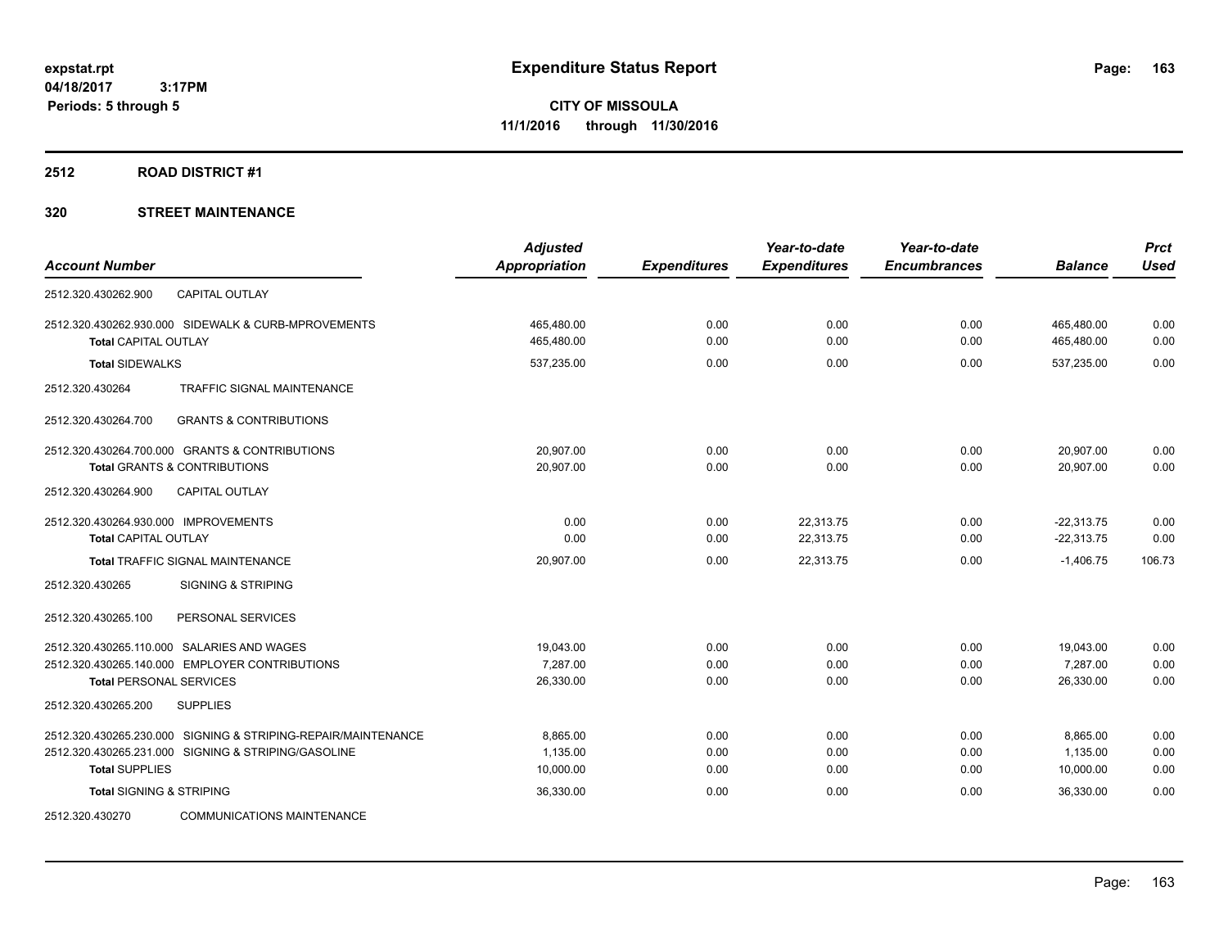### **2512 ROAD DISTRICT #1**

|                                                               | <b>Adjusted</b>      |                     | Year-to-date        | Year-to-date        |                | <b>Prct</b> |
|---------------------------------------------------------------|----------------------|---------------------|---------------------|---------------------|----------------|-------------|
| <b>Account Number</b>                                         | <b>Appropriation</b> | <b>Expenditures</b> | <b>Expenditures</b> | <b>Encumbrances</b> | <b>Balance</b> | <b>Used</b> |
| <b>CAPITAL OUTLAY</b><br>2512.320.430262.900                  |                      |                     |                     |                     |                |             |
| 2512.320.430262.930.000 SIDEWALK & CURB-MPROVEMENTS           | 465,480.00           | 0.00                | 0.00                | 0.00                | 465,480.00     | 0.00        |
| <b>Total CAPITAL OUTLAY</b>                                   | 465,480.00           | 0.00                | 0.00                | 0.00                | 465,480.00     | 0.00        |
| <b>Total SIDEWALKS</b>                                        | 537,235.00           | 0.00                | 0.00                | 0.00                | 537,235.00     | 0.00        |
| <b>TRAFFIC SIGNAL MAINTENANCE</b><br>2512.320.430264          |                      |                     |                     |                     |                |             |
| 2512.320.430264.700<br><b>GRANTS &amp; CONTRIBUTIONS</b>      |                      |                     |                     |                     |                |             |
| 2512.320.430264.700.000 GRANTS & CONTRIBUTIONS                | 20,907.00            | 0.00                | 0.00                | 0.00                | 20,907.00      | 0.00        |
| <b>Total GRANTS &amp; CONTRIBUTIONS</b>                       | 20,907.00            | 0.00                | 0.00                | 0.00                | 20,907.00      | 0.00        |
| 2512.320.430264.900<br><b>CAPITAL OUTLAY</b>                  |                      |                     |                     |                     |                |             |
| 2512.320.430264.930.000 IMPROVEMENTS                          | 0.00                 | 0.00                | 22,313.75           | 0.00                | $-22,313.75$   | 0.00        |
| <b>Total CAPITAL OUTLAY</b>                                   | 0.00                 | 0.00                | 22,313.75           | 0.00                | $-22,313.75$   | 0.00        |
| Total TRAFFIC SIGNAL MAINTENANCE                              | 20,907.00            | 0.00                | 22,313.75           | 0.00                | $-1,406.75$    | 106.73      |
| 2512.320.430265<br><b>SIGNING &amp; STRIPING</b>              |                      |                     |                     |                     |                |             |
| 2512.320.430265.100<br>PERSONAL SERVICES                      |                      |                     |                     |                     |                |             |
| 2512.320.430265.110.000 SALARIES AND WAGES                    | 19,043.00            | 0.00                | 0.00                | 0.00                | 19,043.00      | 0.00        |
| 2512.320.430265.140.000 EMPLOYER CONTRIBUTIONS                | 7.287.00             | 0.00                | 0.00                | 0.00                | 7,287.00       | 0.00        |
| <b>Total PERSONAL SERVICES</b>                                | 26,330.00            | 0.00                | 0.00                | 0.00                | 26,330.00      | 0.00        |
| 2512.320.430265.200<br><b>SUPPLIES</b>                        |                      |                     |                     |                     |                |             |
| 2512.320.430265.230.000 SIGNING & STRIPING-REPAIR/MAINTENANCE | 8,865.00             | 0.00                | 0.00                | 0.00                | 8,865.00       | 0.00        |
| 2512.320.430265.231.000 SIGNING & STRIPING/GASOLINE           | 1,135.00             | 0.00                | 0.00                | 0.00                | 1,135.00       | 0.00        |
| <b>Total SUPPLIES</b>                                         | 10,000.00            | 0.00                | 0.00                | 0.00                | 10,000.00      | 0.00        |
| <b>Total SIGNING &amp; STRIPING</b>                           | 36,330.00            | 0.00                | 0.00                | 0.00                | 36,330.00      | 0.00        |
| 2512.320.430270<br><b>COMMUNICATIONS MAINTENANCE</b>          |                      |                     |                     |                     |                |             |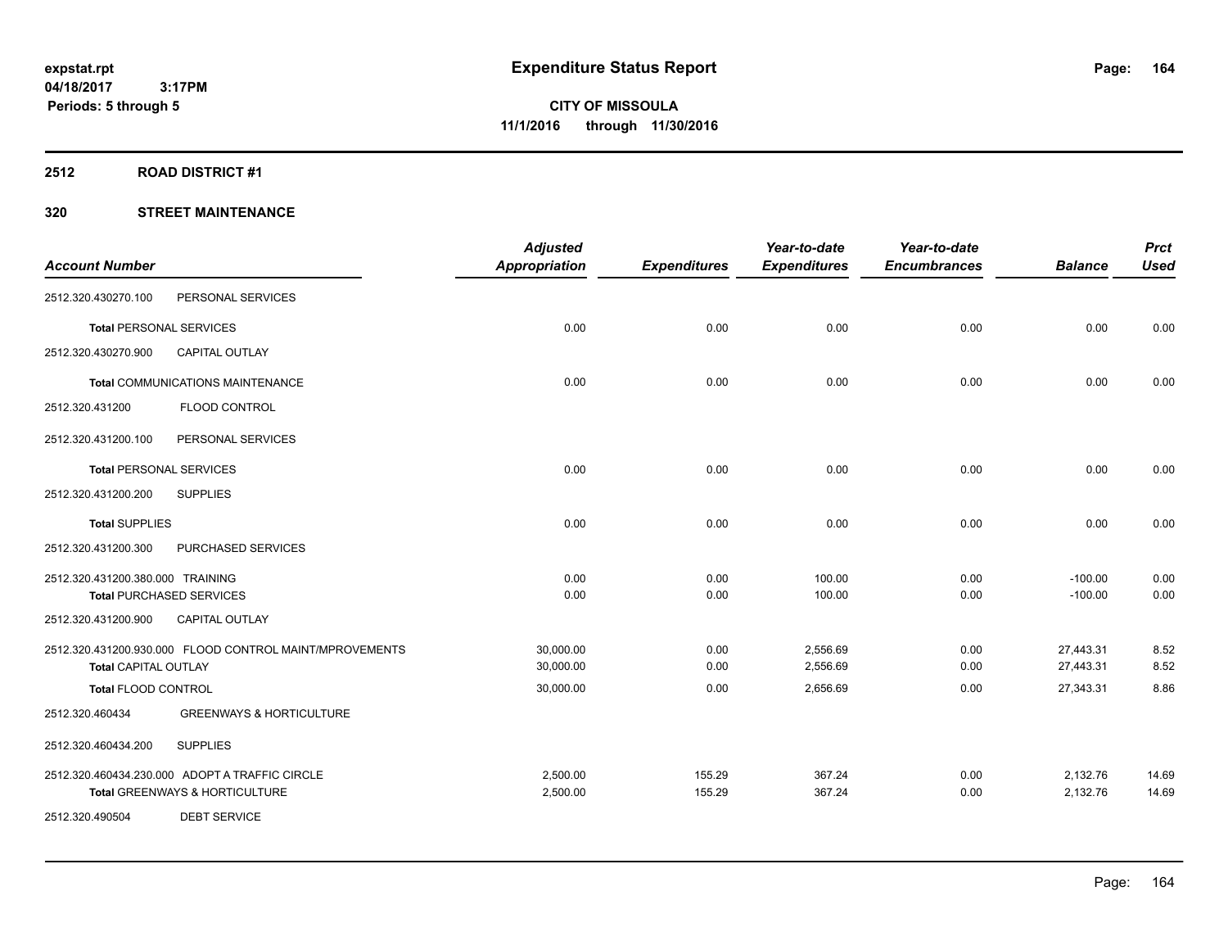### **2512 ROAD DISTRICT #1**

|                                  |                                                         | <b>Adjusted</b>      |                     | Year-to-date        | Year-to-date        |                | <b>Prct</b> |
|----------------------------------|---------------------------------------------------------|----------------------|---------------------|---------------------|---------------------|----------------|-------------|
| <b>Account Number</b>            |                                                         | <b>Appropriation</b> | <b>Expenditures</b> | <b>Expenditures</b> | <b>Encumbrances</b> | <b>Balance</b> | <b>Used</b> |
| 2512.320.430270.100              | PERSONAL SERVICES                                       |                      |                     |                     |                     |                |             |
| <b>Total PERSONAL SERVICES</b>   |                                                         | 0.00                 | 0.00                | 0.00                | 0.00                | 0.00           | 0.00        |
| 2512.320.430270.900              | <b>CAPITAL OUTLAY</b>                                   |                      |                     |                     |                     |                |             |
|                                  | <b>Total COMMUNICATIONS MAINTENANCE</b>                 | 0.00                 | 0.00                | 0.00                | 0.00                | 0.00           | 0.00        |
| 2512.320.431200                  | FLOOD CONTROL                                           |                      |                     |                     |                     |                |             |
| 2512.320.431200.100              | PERSONAL SERVICES                                       |                      |                     |                     |                     |                |             |
| <b>Total PERSONAL SERVICES</b>   |                                                         | 0.00                 | 0.00                | 0.00                | 0.00                | 0.00           | 0.00        |
| 2512.320.431200.200              | <b>SUPPLIES</b>                                         |                      |                     |                     |                     |                |             |
| <b>Total SUPPLIES</b>            |                                                         | 0.00                 | 0.00                | 0.00                | 0.00                | 0.00           | 0.00        |
| 2512.320.431200.300              | PURCHASED SERVICES                                      |                      |                     |                     |                     |                |             |
| 2512.320.431200.380.000 TRAINING |                                                         | 0.00                 | 0.00                | 100.00              | 0.00                | $-100.00$      | 0.00        |
|                                  | <b>Total PURCHASED SERVICES</b>                         | 0.00                 | 0.00                | 100.00              | 0.00                | $-100.00$      | 0.00        |
| 2512.320.431200.900              | CAPITAL OUTLAY                                          |                      |                     |                     |                     |                |             |
|                                  | 2512.320.431200.930.000 FLOOD CONTROL MAINT/MPROVEMENTS | 30,000.00            | 0.00                | 2,556.69            | 0.00                | 27,443.31      | 8.52        |
| <b>Total CAPITAL OUTLAY</b>      |                                                         | 30,000.00            | 0.00                | 2,556.69            | 0.00                | 27,443.31      | 8.52        |
| Total FLOOD CONTROL              |                                                         | 30,000.00            | 0.00                | 2,656.69            | 0.00                | 27,343.31      | 8.86        |
| 2512.320.460434                  | <b>GREENWAYS &amp; HORTICULTURE</b>                     |                      |                     |                     |                     |                |             |
| 2512.320.460434.200              | <b>SUPPLIES</b>                                         |                      |                     |                     |                     |                |             |
|                                  | 2512.320.460434.230.000 ADOPT A TRAFFIC CIRCLE          | 2,500.00             | 155.29              | 367.24              | 0.00                | 2,132.76       | 14.69       |
|                                  | <b>Total GREENWAYS &amp; HORTICULTURE</b>               | 2,500.00             | 155.29              | 367.24              | 0.00                | 2,132.76       | 14.69       |
| 2512.320.490504                  | <b>DEBT SERVICE</b>                                     |                      |                     |                     |                     |                |             |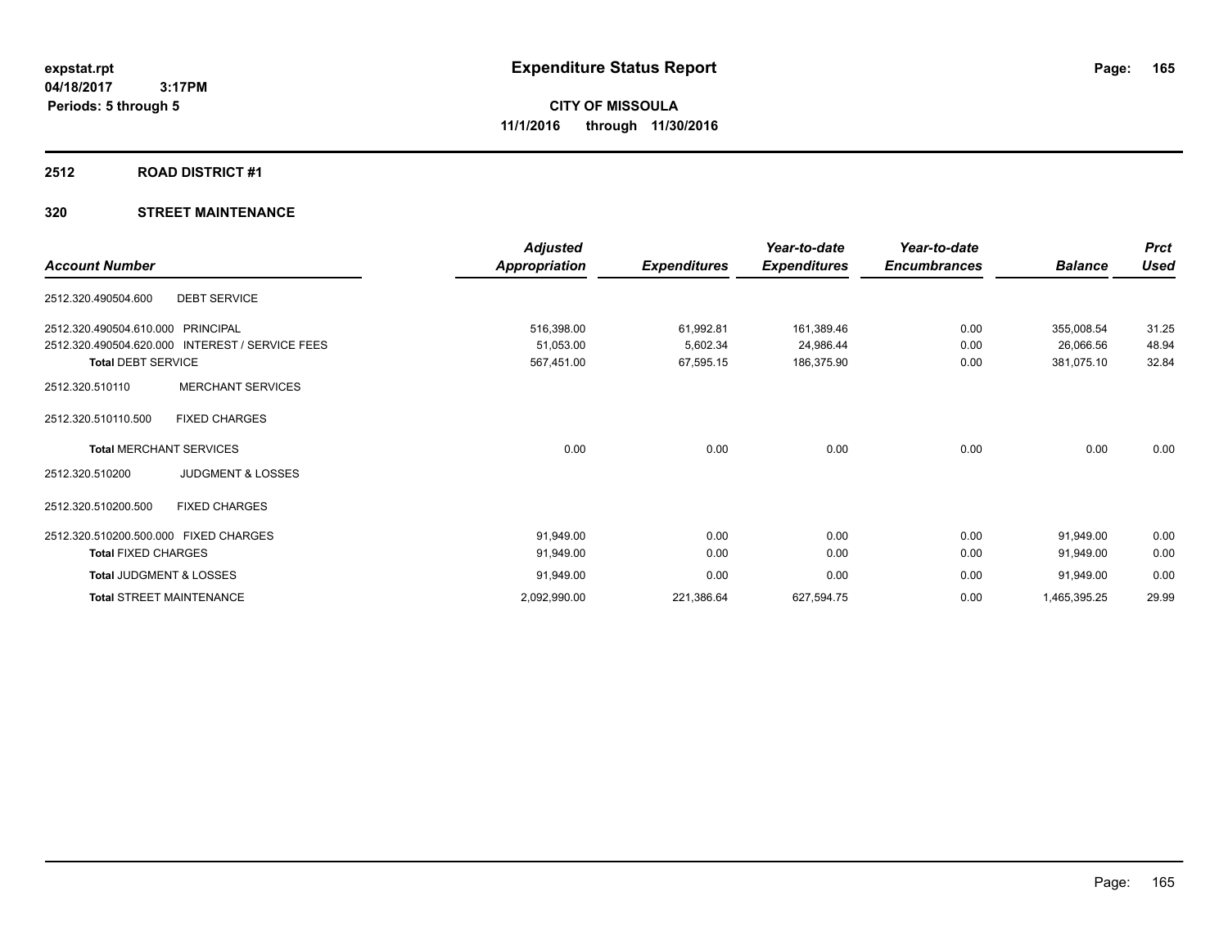### **2512 ROAD DISTRICT #1**

| <b>Account Number</b>                           | <b>Adjusted</b><br>Appropriation | <b>Expenditures</b> | Year-to-date<br><b>Expenditures</b> | Year-to-date<br><b>Encumbrances</b> | <b>Balance</b> | <b>Prct</b><br><b>Used</b> |
|-------------------------------------------------|----------------------------------|---------------------|-------------------------------------|-------------------------------------|----------------|----------------------------|
| <b>DEBT SERVICE</b><br>2512.320.490504.600      |                                  |                     |                                     |                                     |                |                            |
| 2512.320.490504.610.000 PRINCIPAL               | 516,398.00                       | 61,992.81           | 161,389.46                          | 0.00                                | 355,008.54     | 31.25                      |
| 2512.320.490504.620.000 INTEREST / SERVICE FEES | 51,053.00                        | 5,602.34            | 24,986.44                           | 0.00                                | 26,066.56      | 48.94                      |
| <b>Total DEBT SERVICE</b>                       | 567,451.00                       | 67,595.15           | 186,375.90                          | 0.00                                | 381,075.10     | 32.84                      |
| <b>MERCHANT SERVICES</b><br>2512.320.510110     |                                  |                     |                                     |                                     |                |                            |
| <b>FIXED CHARGES</b><br>2512.320.510110.500     |                                  |                     |                                     |                                     |                |                            |
| <b>Total MERCHANT SERVICES</b>                  | 0.00                             | 0.00                | 0.00                                | 0.00                                | 0.00           | 0.00                       |
| <b>JUDGMENT &amp; LOSSES</b><br>2512.320.510200 |                                  |                     |                                     |                                     |                |                            |
| 2512.320.510200.500<br><b>FIXED CHARGES</b>     |                                  |                     |                                     |                                     |                |                            |
| 2512.320.510200.500.000 FIXED CHARGES           | 91,949.00                        | 0.00                | 0.00                                | 0.00                                | 91,949.00      | 0.00                       |
| <b>Total FIXED CHARGES</b>                      | 91,949.00                        | 0.00                | 0.00                                | 0.00                                | 91,949.00      | 0.00                       |
| Total JUDGMENT & LOSSES                         | 91,949.00                        | 0.00                | 0.00                                | 0.00                                | 91,949.00      | 0.00                       |
| <b>Total STREET MAINTENANCE</b>                 | 2,092,990.00                     | 221,386.64          | 627,594.75                          | 0.00                                | 1,465,395.25   | 29.99                      |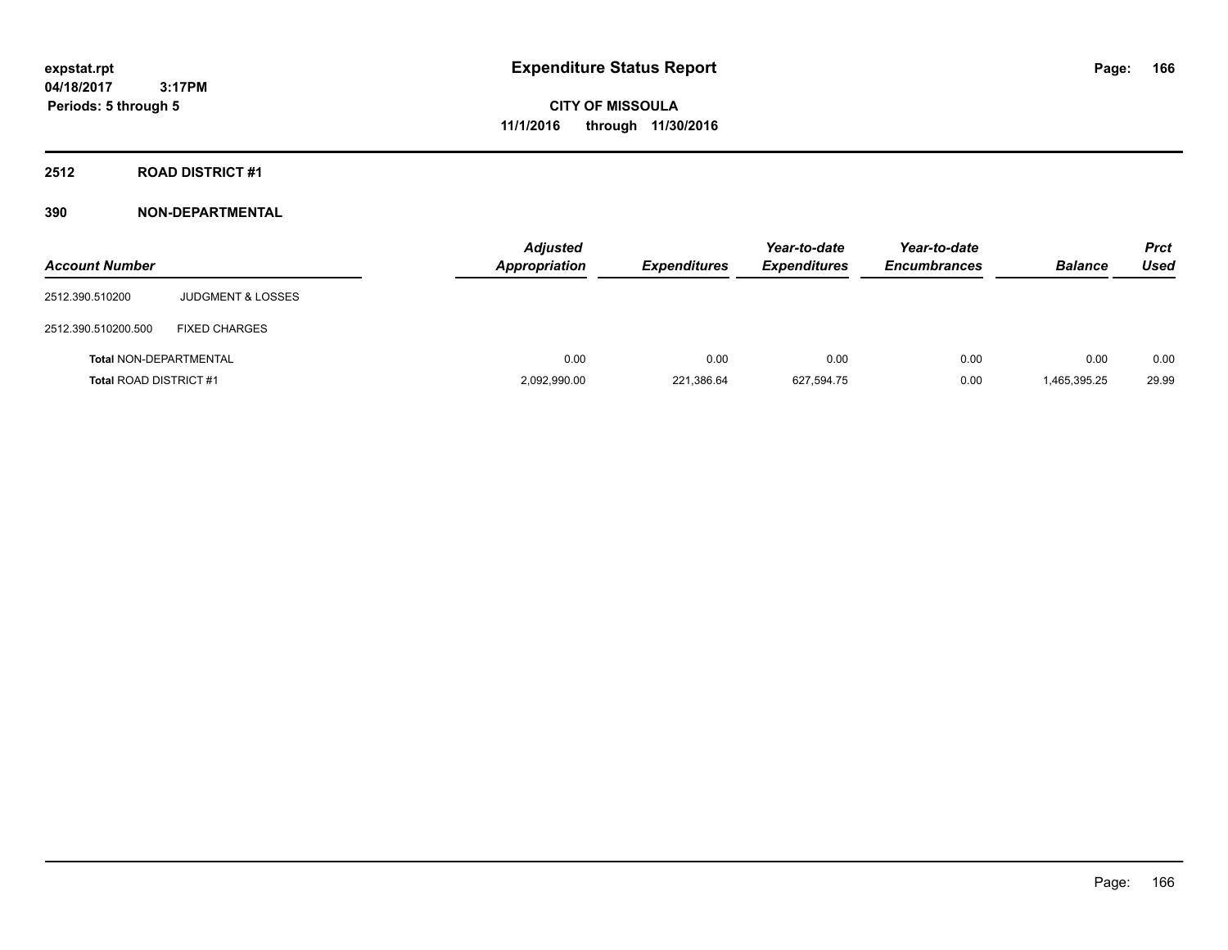**CITY OF MISSOULA 11/1/2016 through 11/30/2016**

**2512 ROAD DISTRICT #1**

| <b>Account Number</b>         |                              | <b>Adjusted</b><br><b>Appropriation</b> | <b>Expenditures</b> | Year-to-date<br><b>Expenditures</b> | Year-to-date<br><b>Encumbrances</b> | <b>Balance</b> | <b>Prct</b><br><b>Used</b> |
|-------------------------------|------------------------------|-----------------------------------------|---------------------|-------------------------------------|-------------------------------------|----------------|----------------------------|
| 2512.390.510200               | <b>JUDGMENT &amp; LOSSES</b> |                                         |                     |                                     |                                     |                |                            |
| 2512.390.510200.500           | <b>FIXED CHARGES</b>         |                                         |                     |                                     |                                     |                |                            |
| <b>Total NON-DEPARTMENTAL</b> |                              | 0.00                                    | 0.00                | 0.00                                | 0.00                                | 0.00           | 0.00                       |
| <b>Total ROAD DISTRICT #1</b> |                              | 2,092,990.00                            | 221,386.64          | 627,594.75                          | 0.00                                | 1,465,395.25   | 29.99                      |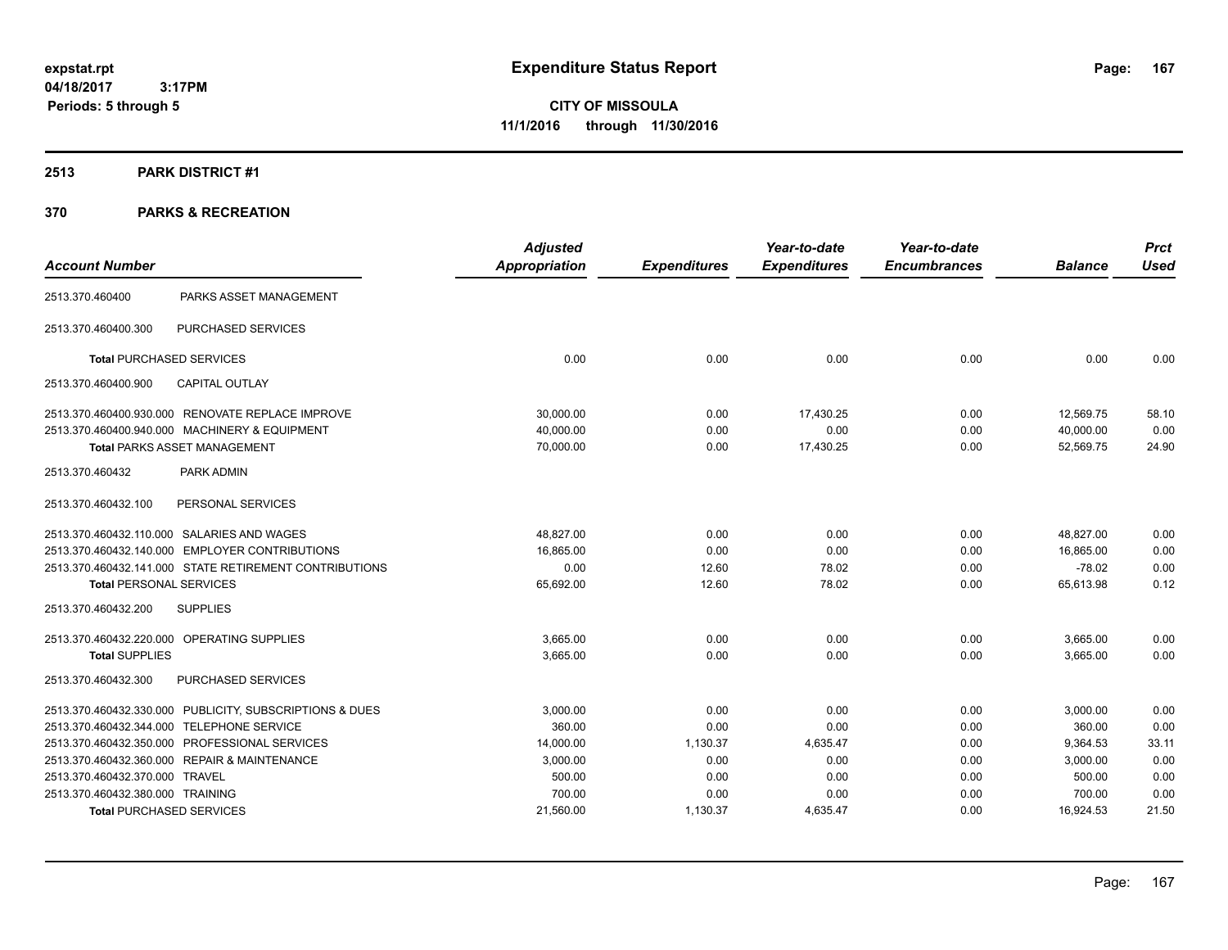**CITY OF MISSOULA 11/1/2016 through 11/30/2016**

### **2513 PARK DISTRICT #1**

|                                  |                                                         | <b>Adjusted</b>      |                     | Year-to-date        | Year-to-date        |                | <b>Prct</b> |
|----------------------------------|---------------------------------------------------------|----------------------|---------------------|---------------------|---------------------|----------------|-------------|
| <b>Account Number</b>            |                                                         | <b>Appropriation</b> | <b>Expenditures</b> | <b>Expenditures</b> | <b>Encumbrances</b> | <b>Balance</b> | <b>Used</b> |
| 2513.370.460400                  | PARKS ASSET MANAGEMENT                                  |                      |                     |                     |                     |                |             |
| 2513.370.460400.300              | PURCHASED SERVICES                                      |                      |                     |                     |                     |                |             |
|                                  | <b>Total PURCHASED SERVICES</b>                         | 0.00                 | 0.00                | 0.00                | 0.00                | 0.00           | 0.00        |
| 2513.370.460400.900              | <b>CAPITAL OUTLAY</b>                                   |                      |                     |                     |                     |                |             |
|                                  | 2513.370.460400.930.000 RENOVATE REPLACE IMPROVE        | 30,000.00            | 0.00                | 17,430.25           | 0.00                | 12,569.75      | 58.10       |
|                                  | 2513.370.460400.940.000 MACHINERY & EQUIPMENT           | 40,000.00            | 0.00                | 0.00                | 0.00                | 40,000.00      | 0.00        |
|                                  | <b>Total PARKS ASSET MANAGEMENT</b>                     | 70,000.00            | 0.00                | 17,430.25           | 0.00                | 52,569.75      | 24.90       |
| 2513.370.460432                  | PARK ADMIN                                              |                      |                     |                     |                     |                |             |
| 2513.370.460432.100              | PERSONAL SERVICES                                       |                      |                     |                     |                     |                |             |
|                                  | 2513.370.460432.110.000 SALARIES AND WAGES              | 48,827.00            | 0.00                | 0.00                | 0.00                | 48,827.00      | 0.00        |
|                                  | 2513.370.460432.140.000 EMPLOYER CONTRIBUTIONS          | 16,865.00            | 0.00                | 0.00                | 0.00                | 16,865.00      | 0.00        |
|                                  | 2513.370.460432.141.000 STATE RETIREMENT CONTRIBUTIONS  | 0.00                 | 12.60               | 78.02               | 0.00                | $-78.02$       | 0.00        |
| <b>Total PERSONAL SERVICES</b>   |                                                         | 65,692.00            | 12.60               | 78.02               | 0.00                | 65,613.98      | 0.12        |
| 2513.370.460432.200              | <b>SUPPLIES</b>                                         |                      |                     |                     |                     |                |             |
|                                  | 2513.370.460432.220.000 OPERATING SUPPLIES              | 3,665.00             | 0.00                | 0.00                | 0.00                | 3,665.00       | 0.00        |
| <b>Total SUPPLIES</b>            |                                                         | 3,665.00             | 0.00                | 0.00                | 0.00                | 3,665.00       | 0.00        |
| 2513.370.460432.300              | PURCHASED SERVICES                                      |                      |                     |                     |                     |                |             |
|                                  | 2513.370.460432.330.000 PUBLICITY, SUBSCRIPTIONS & DUES | 3,000.00             | 0.00                | 0.00                | 0.00                | 3,000.00       | 0.00        |
|                                  | 2513.370.460432.344.000 TELEPHONE SERVICE               | 360.00               | 0.00                | 0.00                | 0.00                | 360.00         | 0.00        |
|                                  | 2513.370.460432.350.000 PROFESSIONAL SERVICES           | 14,000.00            | 1,130.37            | 4,635.47            | 0.00                | 9,364.53       | 33.11       |
|                                  | 2513.370.460432.360.000 REPAIR & MAINTENANCE            | 3,000.00             | 0.00                | 0.00                | 0.00                | 3,000.00       | 0.00        |
| 2513.370.460432.370.000 TRAVEL   |                                                         | 500.00               | 0.00                | 0.00                | 0.00                | 500.00         | 0.00        |
| 2513.370.460432.380.000 TRAINING |                                                         | 700.00               | 0.00                | 0.00                | 0.00                | 700.00         | 0.00        |
|                                  | <b>Total PURCHASED SERVICES</b>                         | 21,560.00            | 1,130.37            | 4,635.47            | 0.00                | 16,924.53      | 21.50       |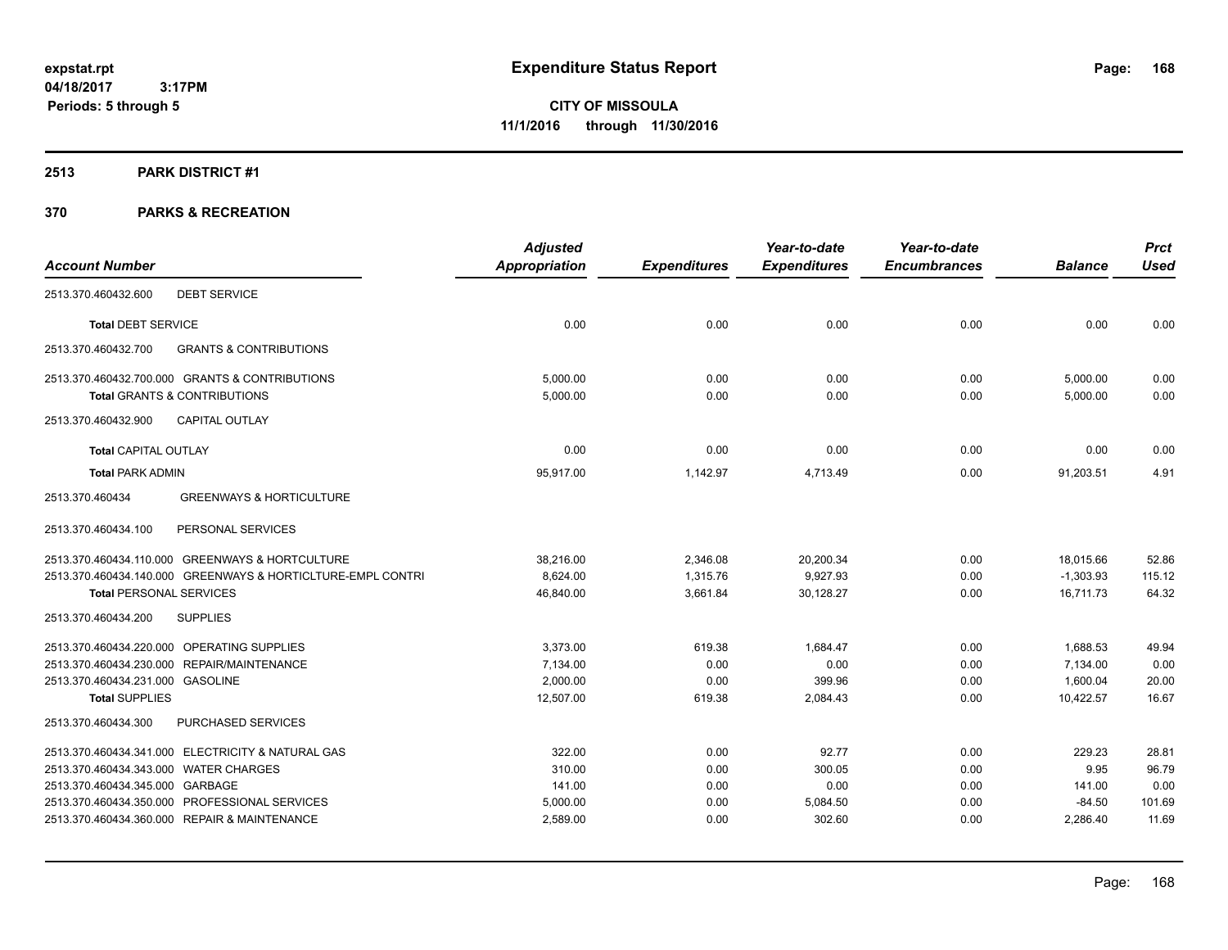### **2513 PARK DISTRICT #1**

|                                                             | <b>Adjusted</b>      |                     | Year-to-date        | Year-to-date        |                | <b>Prct</b> |
|-------------------------------------------------------------|----------------------|---------------------|---------------------|---------------------|----------------|-------------|
| <b>Account Number</b>                                       | <b>Appropriation</b> | <b>Expenditures</b> | <b>Expenditures</b> | <b>Encumbrances</b> | <b>Balance</b> | <b>Used</b> |
| <b>DEBT SERVICE</b><br>2513.370.460432.600                  |                      |                     |                     |                     |                |             |
| <b>Total DEBT SERVICE</b>                                   | 0.00                 | 0.00                | 0.00                | 0.00                | 0.00           | 0.00        |
| 2513.370.460432.700<br><b>GRANTS &amp; CONTRIBUTIONS</b>    |                      |                     |                     |                     |                |             |
| 2513.370.460432.700.000 GRANTS & CONTRIBUTIONS              | 5,000.00             | 0.00                | 0.00                | 0.00                | 5,000.00       | 0.00        |
| <b>Total GRANTS &amp; CONTRIBUTIONS</b>                     | 5,000.00             | 0.00                | 0.00                | 0.00                | 5,000.00       | 0.00        |
| <b>CAPITAL OUTLAY</b><br>2513.370.460432.900                |                      |                     |                     |                     |                |             |
| <b>Total CAPITAL OUTLAY</b>                                 | 0.00                 | 0.00                | 0.00                | 0.00                | 0.00           | 0.00        |
| <b>Total PARK ADMIN</b>                                     | 95,917.00            | 1,142.97            | 4,713.49            | 0.00                | 91,203.51      | 4.91        |
| 2513.370.460434<br><b>GREENWAYS &amp; HORTICULTURE</b>      |                      |                     |                     |                     |                |             |
| PERSONAL SERVICES<br>2513.370.460434.100                    |                      |                     |                     |                     |                |             |
| 2513.370.460434.110.000 GREENWAYS & HORTCULTURE             | 38,216.00            | 2,346.08            | 20,200.34           | 0.00                | 18,015.66      | 52.86       |
| 2513.370.460434.140.000 GREENWAYS & HORTICLTURE-EMPL CONTRI | 8,624.00             | 1,315.76            | 9,927.93            | 0.00                | $-1,303.93$    | 115.12      |
| <b>Total PERSONAL SERVICES</b>                              | 46,840.00            | 3,661.84            | 30,128.27           | 0.00                | 16,711.73      | 64.32       |
| <b>SUPPLIES</b><br>2513.370.460434.200                      |                      |                     |                     |                     |                |             |
| 2513.370.460434.220.000 OPERATING SUPPLIES                  | 3,373.00             | 619.38              | 1.684.47            | 0.00                | 1,688.53       | 49.94       |
| 2513.370.460434.230.000 REPAIR/MAINTENANCE                  | 7,134.00             | 0.00                | 0.00                | 0.00                | 7,134.00       | 0.00        |
| 2513.370.460434.231.000 GASOLINE                            | 2.000.00             | 0.00                | 399.96              | 0.00                | 1.600.04       | 20.00       |
| <b>Total SUPPLIES</b>                                       | 12,507.00            | 619.38              | 2,084.43            | 0.00                | 10,422.57      | 16.67       |
| 2513.370.460434.300<br>PURCHASED SERVICES                   |                      |                     |                     |                     |                |             |
| 2513.370.460434.341.000 ELECTRICITY & NATURAL GAS           | 322.00               | 0.00                | 92.77               | 0.00                | 229.23         | 28.81       |
| 2513.370.460434.343.000 WATER CHARGES                       | 310.00               | 0.00                | 300.05              | 0.00                | 9.95           | 96.79       |
| 2513.370.460434.345.000 GARBAGE                             | 141.00               | 0.00                | 0.00                | 0.00                | 141.00         | 0.00        |
| 2513.370.460434.350.000 PROFESSIONAL SERVICES               | 5,000.00             | 0.00                | 5,084.50            | 0.00                | $-84.50$       | 101.69      |
| 2513.370.460434.360.000 REPAIR & MAINTENANCE                | 2,589.00             | 0.00                | 302.60              | 0.00                | 2,286.40       | 11.69       |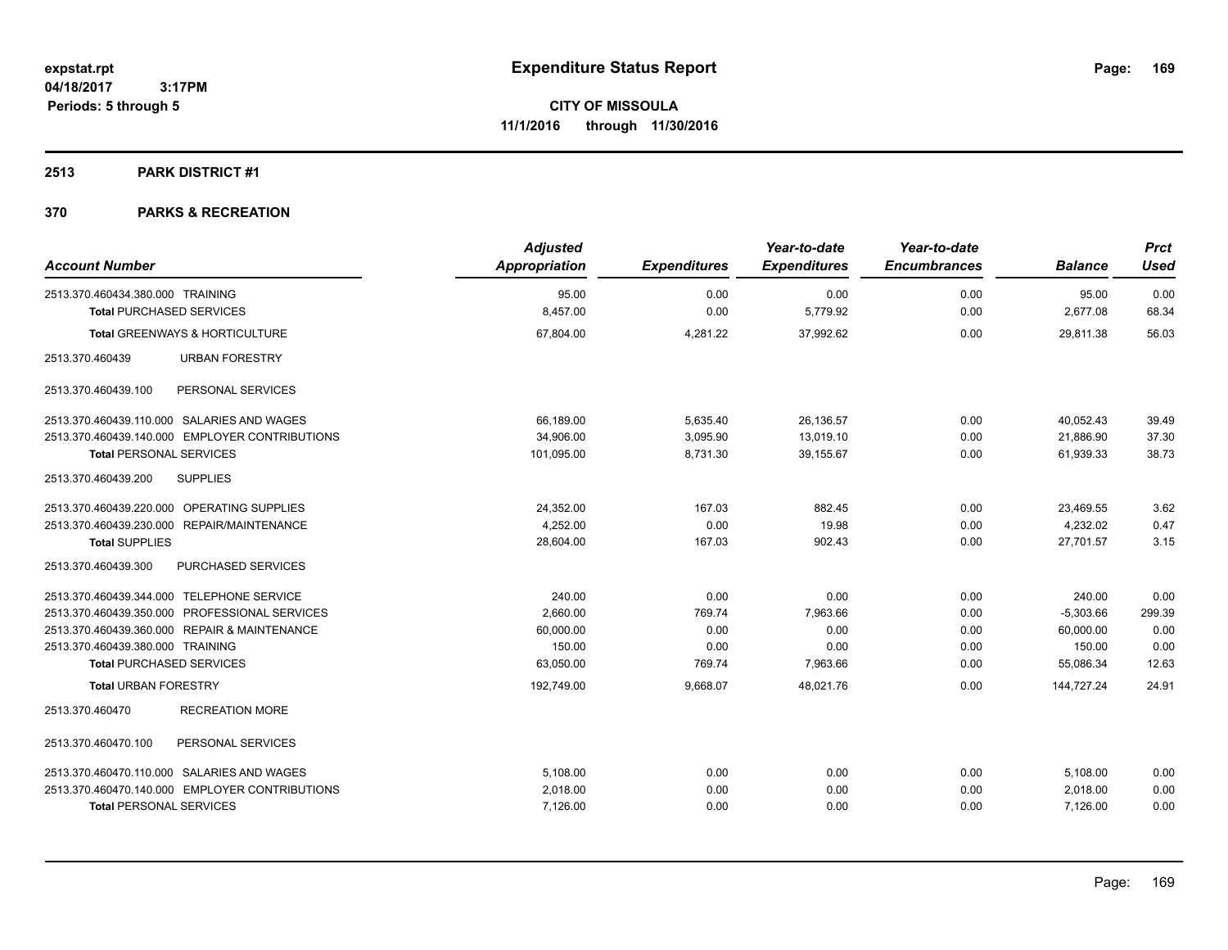### **2513 PARK DISTRICT #1**

| <b>Account Number</b>                          | <b>Adjusted</b><br><b>Appropriation</b> | <b>Expenditures</b> | Year-to-date<br><b>Expenditures</b> | Year-to-date<br><b>Encumbrances</b> | <b>Balance</b> | <b>Prct</b><br><b>Used</b> |
|------------------------------------------------|-----------------------------------------|---------------------|-------------------------------------|-------------------------------------|----------------|----------------------------|
| 2513.370.460434.380.000 TRAINING               | 95.00                                   | 0.00                | 0.00                                | 0.00                                | 95.00          | 0.00                       |
| <b>Total PURCHASED SERVICES</b>                | 8,457.00                                | 0.00                | 5,779.92                            | 0.00                                | 2,677.08       | 68.34                      |
| <b>Total GREENWAYS &amp; HORTICULTURE</b>      | 67,804.00                               | 4,281.22            | 37,992.62                           | 0.00                                | 29,811.38      | 56.03                      |
| 2513.370.460439<br><b>URBAN FORESTRY</b>       |                                         |                     |                                     |                                     |                |                            |
| 2513.370.460439.100<br>PERSONAL SERVICES       |                                         |                     |                                     |                                     |                |                            |
| 2513.370.460439.110.000 SALARIES AND WAGES     | 66,189.00                               | 5,635.40            | 26,136.57                           | 0.00                                | 40,052.43      | 39.49                      |
| 2513.370.460439.140.000 EMPLOYER CONTRIBUTIONS | 34,906.00                               | 3,095.90            | 13,019.10                           | 0.00                                | 21,886.90      | 37.30                      |
| <b>Total PERSONAL SERVICES</b>                 | 101,095.00                              | 8,731.30            | 39,155.67                           | 0.00                                | 61,939.33      | 38.73                      |
| 2513.370.460439.200<br><b>SUPPLIES</b>         |                                         |                     |                                     |                                     |                |                            |
| 2513.370.460439.220.000 OPERATING SUPPLIES     | 24,352.00                               | 167.03              | 882.45                              | 0.00                                | 23,469.55      | 3.62                       |
| 2513.370.460439.230.000 REPAIR/MAINTENANCE     | 4,252.00                                | 0.00                | 19.98                               | 0.00                                | 4,232.02       | 0.47                       |
| <b>Total SUPPLIES</b>                          | 28,604.00                               | 167.03              | 902.43                              | 0.00                                | 27,701.57      | 3.15                       |
| 2513.370.460439.300<br>PURCHASED SERVICES      |                                         |                     |                                     |                                     |                |                            |
| 2513.370.460439.344.000 TELEPHONE SERVICE      | 240.00                                  | 0.00                | 0.00                                | 0.00                                | 240.00         | 0.00                       |
| 2513.370.460439.350.000 PROFESSIONAL SERVICES  | 2,660.00                                | 769.74              | 7,963.66                            | 0.00                                | $-5,303.66$    | 299.39                     |
| 2513.370.460439.360.000 REPAIR & MAINTENANCE   | 60,000.00                               | 0.00                | 0.00                                | 0.00                                | 60,000.00      | 0.00                       |
| 2513.370.460439.380.000 TRAINING               | 150.00                                  | 0.00                | 0.00                                | 0.00                                | 150.00         | 0.00                       |
| <b>Total PURCHASED SERVICES</b>                | 63,050.00                               | 769.74              | 7,963.66                            | 0.00                                | 55,086.34      | 12.63                      |
| <b>Total URBAN FORESTRY</b>                    | 192,749.00                              | 9,668.07            | 48,021.76                           | 0.00                                | 144,727.24     | 24.91                      |
| <b>RECREATION MORE</b><br>2513.370.460470      |                                         |                     |                                     |                                     |                |                            |
| PERSONAL SERVICES<br>2513.370.460470.100       |                                         |                     |                                     |                                     |                |                            |
| 2513.370.460470.110.000 SALARIES AND WAGES     | 5,108.00                                | 0.00                | 0.00                                | 0.00                                | 5,108.00       | 0.00                       |
| 2513.370.460470.140.000 EMPLOYER CONTRIBUTIONS | 2,018.00                                | 0.00                | 0.00                                | 0.00                                | 2,018.00       | 0.00                       |
| <b>Total PERSONAL SERVICES</b>                 | 7,126.00                                | 0.00                | 0.00                                | 0.00                                | 7,126.00       | 0.00                       |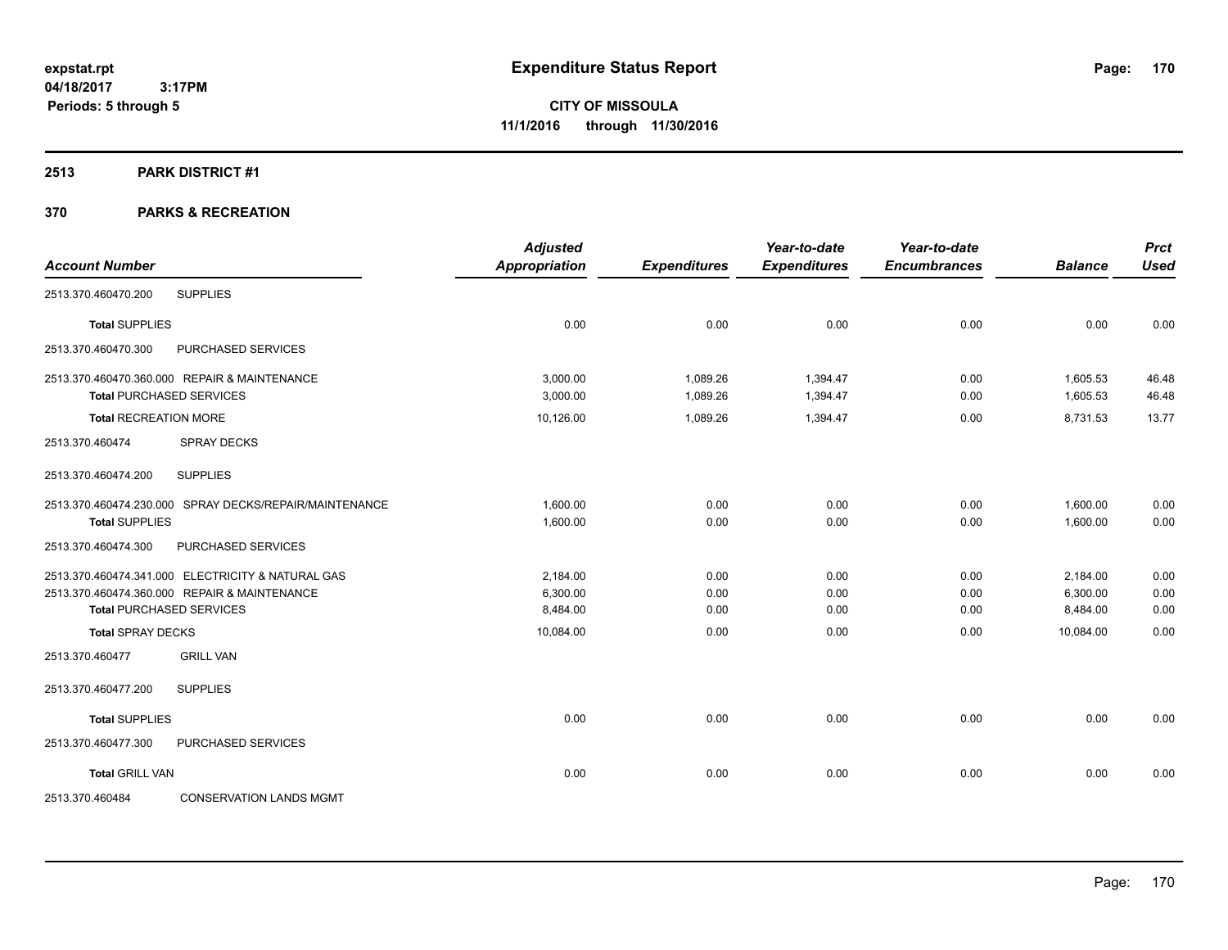#### **2513 PARK DISTRICT #1**

| <b>Account Number</b>        |                                                        | <b>Adjusted</b><br><b>Appropriation</b> | <b>Expenditures</b> | Year-to-date<br><b>Expenditures</b> | Year-to-date<br><b>Encumbrances</b> | <b>Balance</b> | <b>Prct</b><br><b>Used</b> |
|------------------------------|--------------------------------------------------------|-----------------------------------------|---------------------|-------------------------------------|-------------------------------------|----------------|----------------------------|
|                              |                                                        |                                         |                     |                                     |                                     |                |                            |
| 2513.370.460470.200          | <b>SUPPLIES</b>                                        |                                         |                     |                                     |                                     |                |                            |
| <b>Total SUPPLIES</b>        |                                                        | 0.00                                    | 0.00                | 0.00                                | 0.00                                | 0.00           | 0.00                       |
| 2513.370.460470.300          | PURCHASED SERVICES                                     |                                         |                     |                                     |                                     |                |                            |
|                              | 2513.370.460470.360.000 REPAIR & MAINTENANCE           | 3.000.00                                | 1,089.26            | 1,394.47                            | 0.00                                | 1,605.53       | 46.48                      |
|                              | <b>Total PURCHASED SERVICES</b>                        | 3,000.00                                | 1,089.26            | 1,394.47                            | 0.00                                | 1,605.53       | 46.48                      |
| <b>Total RECREATION MORE</b> |                                                        | 10,126.00                               | 1,089.26            | 1,394.47                            | 0.00                                | 8,731.53       | 13.77                      |
| 2513.370.460474              | <b>SPRAY DECKS</b>                                     |                                         |                     |                                     |                                     |                |                            |
| 2513.370.460474.200          | <b>SUPPLIES</b>                                        |                                         |                     |                                     |                                     |                |                            |
|                              | 2513.370.460474.230.000 SPRAY DECKS/REPAIR/MAINTENANCE | 1,600.00                                | 0.00                | 0.00                                | 0.00                                | 1,600.00       | 0.00                       |
| <b>Total SUPPLIES</b>        |                                                        | 1,600.00                                | 0.00                | 0.00                                | 0.00                                | 1,600.00       | 0.00                       |
| 2513.370.460474.300          | PURCHASED SERVICES                                     |                                         |                     |                                     |                                     |                |                            |
|                              | 2513.370.460474.341.000 ELECTRICITY & NATURAL GAS      | 2.184.00                                | 0.00                | 0.00                                | 0.00                                | 2,184.00       | 0.00                       |
|                              | 2513.370.460474.360.000 REPAIR & MAINTENANCE           | 6.300.00                                | 0.00                | 0.00                                | 0.00                                | 6,300.00       | 0.00                       |
|                              | <b>Total PURCHASED SERVICES</b>                        | 8,484.00                                | 0.00                | 0.00                                | 0.00                                | 8,484.00       | 0.00                       |
| <b>Total SPRAY DECKS</b>     |                                                        | 10,084.00                               | 0.00                | 0.00                                | 0.00                                | 10.084.00      | 0.00                       |
| 2513.370.460477              | <b>GRILL VAN</b>                                       |                                         |                     |                                     |                                     |                |                            |
| 2513.370.460477.200          | <b>SUPPLIES</b>                                        |                                         |                     |                                     |                                     |                |                            |
| <b>Total SUPPLIES</b>        |                                                        | 0.00                                    | 0.00                | 0.00                                | 0.00                                | 0.00           | 0.00                       |
| 2513.370.460477.300          | PURCHASED SERVICES                                     |                                         |                     |                                     |                                     |                |                            |
| <b>Total GRILL VAN</b>       |                                                        | 0.00                                    | 0.00                | 0.00                                | 0.00                                | 0.00           | 0.00                       |
| 2513.370.460484              | <b>CONSERVATION LANDS MGMT</b>                         |                                         |                     |                                     |                                     |                |                            |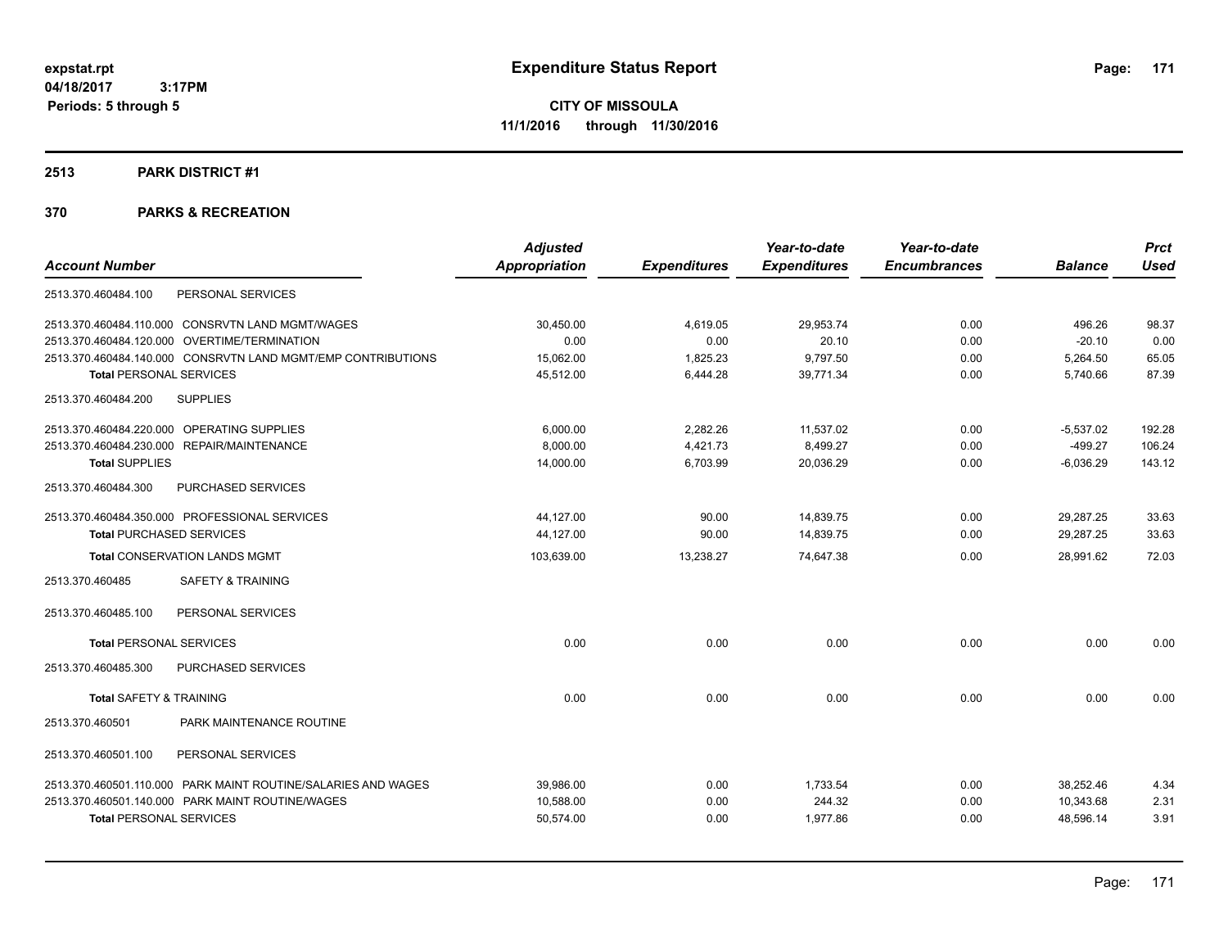#### **2513 PARK DISTRICT #1**

|                                                               | <b>Adjusted</b>      |                     | Year-to-date        | Year-to-date        |                | <b>Prct</b> |
|---------------------------------------------------------------|----------------------|---------------------|---------------------|---------------------|----------------|-------------|
| <b>Account Number</b>                                         | <b>Appropriation</b> | <b>Expenditures</b> | <b>Expenditures</b> | <b>Encumbrances</b> | <b>Balance</b> | <b>Used</b> |
| 2513.370.460484.100<br>PERSONAL SERVICES                      |                      |                     |                     |                     |                |             |
| 2513.370.460484.110.000 CONSRVTN LAND MGMT/WAGES              | 30.450.00            | 4,619.05            | 29,953.74           | 0.00                | 496.26         | 98.37       |
| 2513.370.460484.120.000 OVERTIME/TERMINATION                  | 0.00                 | 0.00                | 20.10               | 0.00                | $-20.10$       | 0.00        |
| 2513.370.460484.140.000 CONSRVTN LAND MGMT/EMP CONTRIBUTIONS  | 15,062.00            | 1,825.23            | 9,797.50            | 0.00                | 5,264.50       | 65.05       |
| <b>Total PERSONAL SERVICES</b>                                | 45,512.00            | 6,444.28            | 39,771.34           | 0.00                | 5,740.66       | 87.39       |
| <b>SUPPLIES</b><br>2513.370.460484.200                        |                      |                     |                     |                     |                |             |
| 2513.370.460484.220.000 OPERATING SUPPLIES                    | 6.000.00             | 2,282.26            | 11,537.02           | 0.00                | $-5.537.02$    | 192.28      |
| 2513.370.460484.230.000 REPAIR/MAINTENANCE                    | 8,000.00             | 4,421.73            | 8,499.27            | 0.00                | $-499.27$      | 106.24      |
| <b>Total SUPPLIES</b>                                         | 14,000.00            | 6,703.99            | 20,036.29           | 0.00                | $-6,036.29$    | 143.12      |
| 2513.370.460484.300<br>PURCHASED SERVICES                     |                      |                     |                     |                     |                |             |
| 2513.370.460484.350.000 PROFESSIONAL SERVICES                 | 44,127.00            | 90.00               | 14,839.75           | 0.00                | 29,287.25      | 33.63       |
| <b>Total PURCHASED SERVICES</b>                               | 44,127.00            | 90.00               | 14,839.75           | 0.00                | 29,287.25      | 33.63       |
| <b>Total CONSERVATION LANDS MGMT</b>                          | 103,639.00           | 13,238.27           | 74.647.38           | 0.00                | 28.991.62      | 72.03       |
| <b>SAFETY &amp; TRAINING</b><br>2513.370.460485               |                      |                     |                     |                     |                |             |
| PERSONAL SERVICES<br>2513.370.460485.100                      |                      |                     |                     |                     |                |             |
| <b>Total PERSONAL SERVICES</b>                                | 0.00                 | 0.00                | 0.00                | 0.00                | 0.00           | 0.00        |
| 2513.370.460485.300<br><b>PURCHASED SERVICES</b>              |                      |                     |                     |                     |                |             |
| <b>Total SAFETY &amp; TRAINING</b>                            | 0.00                 | 0.00                | 0.00                | 0.00                | 0.00           | 0.00        |
| PARK MAINTENANCE ROUTINE<br>2513.370.460501                   |                      |                     |                     |                     |                |             |
| PERSONAL SERVICES<br>2513.370.460501.100                      |                      |                     |                     |                     |                |             |
| 2513.370.460501.110.000 PARK MAINT ROUTINE/SALARIES AND WAGES | 39,986.00            | 0.00                | 1,733.54            | 0.00                | 38.252.46      | 4.34        |
| 2513.370.460501.140.000 PARK MAINT ROUTINE/WAGES              | 10,588.00            | 0.00                | 244.32              | 0.00                | 10,343.68      | 2.31        |
| <b>Total PERSONAL SERVICES</b>                                | 50,574.00            | 0.00                | 1.977.86            | 0.00                | 48,596.14      | 3.91        |
|                                                               |                      |                     |                     |                     |                |             |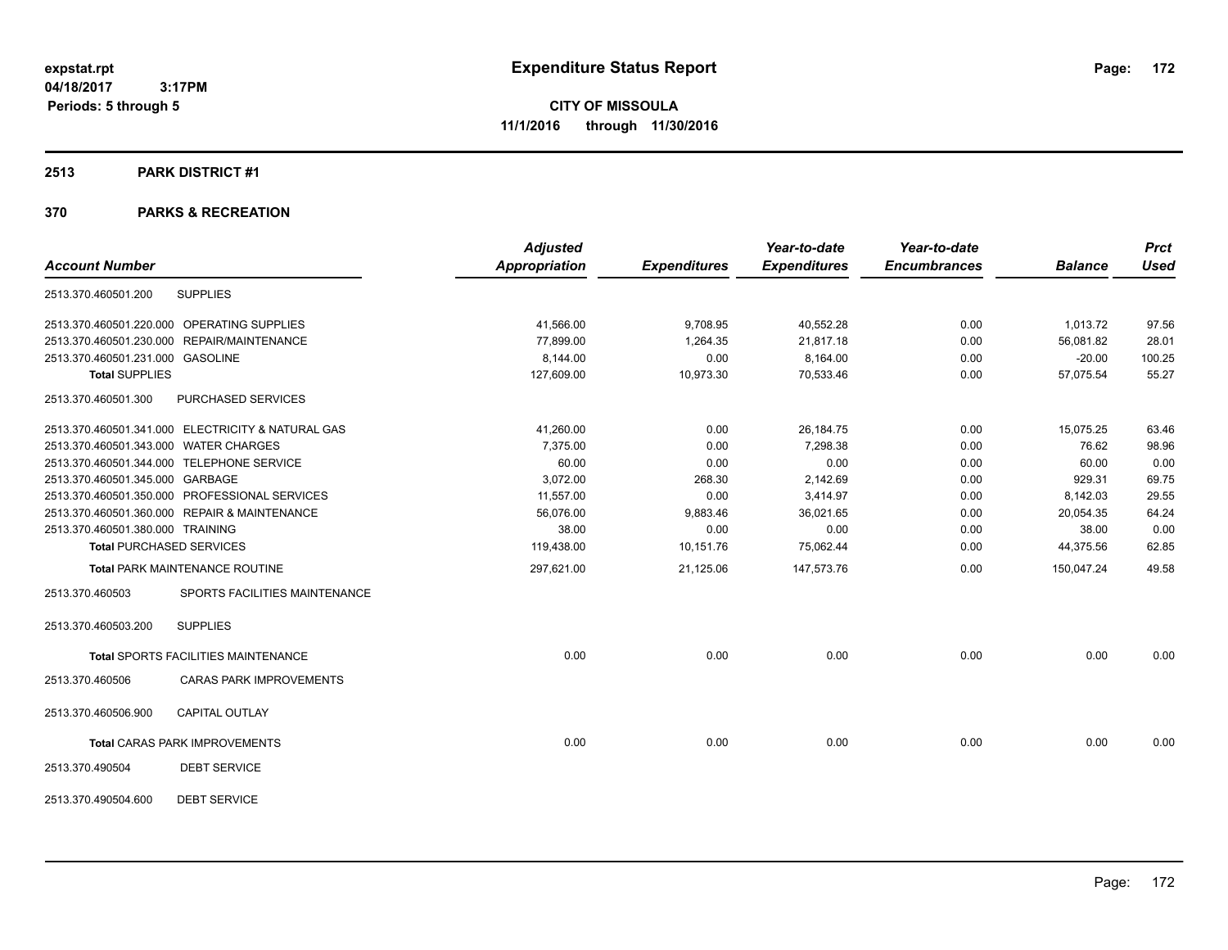#### **2513 PARK DISTRICT #1**

|                                              |                                                   | <b>Adjusted</b>      |                     | Year-to-date        | Year-to-date        |                | <b>Prct</b> |
|----------------------------------------------|---------------------------------------------------|----------------------|---------------------|---------------------|---------------------|----------------|-------------|
| <b>Account Number</b>                        |                                                   | <b>Appropriation</b> | <b>Expenditures</b> | <b>Expenditures</b> | <b>Encumbrances</b> | <b>Balance</b> | <b>Used</b> |
| 2513.370.460501.200                          | <b>SUPPLIES</b>                                   |                      |                     |                     |                     |                |             |
| 2513.370.460501.220.000 OPERATING SUPPLIES   |                                                   | 41,566.00            | 9,708.95            | 40,552.28           | 0.00                | 1,013.72       | 97.56       |
| 2513.370.460501.230.000 REPAIR/MAINTENANCE   |                                                   | 77,899.00            | 1,264.35            | 21,817.18           | 0.00                | 56,081.82      | 28.01       |
| 2513.370.460501.231.000 GASOLINE             |                                                   | 8,144.00             | 0.00                | 8,164.00            | 0.00                | $-20.00$       | 100.25      |
| <b>Total SUPPLIES</b>                        |                                                   | 127,609.00           | 10,973.30           | 70,533.46           | 0.00                | 57,075.54      | 55.27       |
| 2513.370.460501.300                          | PURCHASED SERVICES                                |                      |                     |                     |                     |                |             |
|                                              | 2513.370.460501.341.000 ELECTRICITY & NATURAL GAS | 41,260.00            | 0.00                | 26,184.75           | 0.00                | 15,075.25      | 63.46       |
| 2513.370.460501.343.000 WATER CHARGES        |                                                   | 7,375.00             | 0.00                | 7,298.38            | 0.00                | 76.62          | 98.96       |
| 2513.370.460501.344.000 TELEPHONE SERVICE    |                                                   | 60.00                | 0.00                | 0.00                | 0.00                | 60.00          | 0.00        |
| 2513.370.460501.345.000 GARBAGE              |                                                   | 3,072.00             | 268.30              | 2,142.69            | 0.00                | 929.31         | 69.75       |
|                                              | 2513.370.460501.350.000 PROFESSIONAL SERVICES     | 11,557.00            | 0.00                | 3,414.97            | 0.00                | 8,142.03       | 29.55       |
| 2513.370.460501.360.000 REPAIR & MAINTENANCE |                                                   | 56,076.00            | 9,883.46            | 36,021.65           | 0.00                | 20,054.35      | 64.24       |
| 2513.370.460501.380.000 TRAINING             |                                                   | 38.00                | 0.00                | 0.00                | 0.00                | 38.00          | 0.00        |
| <b>Total PURCHASED SERVICES</b>              |                                                   | 119,438.00           | 10,151.76           | 75,062.44           | 0.00                | 44,375.56      | 62.85       |
|                                              | <b>Total PARK MAINTENANCE ROUTINE</b>             | 297,621.00           | 21,125.06           | 147,573.76          | 0.00                | 150,047.24     | 49.58       |
| 2513.370.460503                              | SPORTS FACILITIES MAINTENANCE                     |                      |                     |                     |                     |                |             |
| 2513.370.460503.200                          | <b>SUPPLIES</b>                                   |                      |                     |                     |                     |                |             |
|                                              | <b>Total SPORTS FACILITIES MAINTENANCE</b>        | 0.00                 | 0.00                | 0.00                | 0.00                | 0.00           | 0.00        |
| 2513.370.460506                              | <b>CARAS PARK IMPROVEMENTS</b>                    |                      |                     |                     |                     |                |             |
| 2513.370.460506.900                          | <b>CAPITAL OUTLAY</b>                             |                      |                     |                     |                     |                |             |
|                                              | <b>Total CARAS PARK IMPROVEMENTS</b>              | 0.00                 | 0.00                | 0.00                | 0.00                | 0.00           | 0.00        |
| 2513.370.490504                              | <b>DEBT SERVICE</b>                               |                      |                     |                     |                     |                |             |
| 2513.370.490504.600                          | <b>DEBT SERVICE</b>                               |                      |                     |                     |                     |                |             |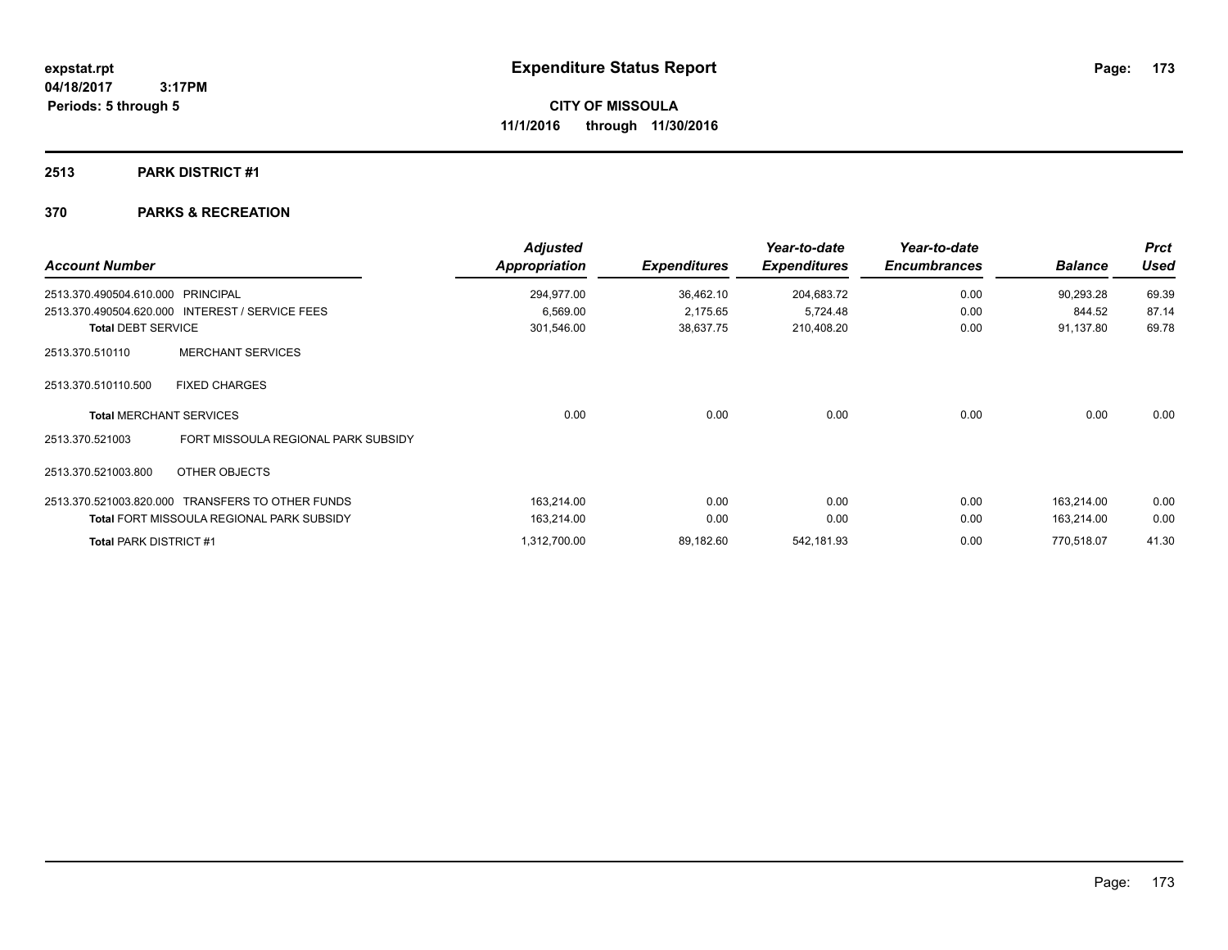### **2513 PARK DISTRICT #1**

| <b>Account Number</b>         |                                                  | <b>Adjusted</b><br>Appropriation | <b>Expenditures</b> | Year-to-date<br><b>Expenditures</b> | Year-to-date<br><b>Encumbrances</b> | <b>Balance</b> | <b>Prct</b><br><b>Used</b> |
|-------------------------------|--------------------------------------------------|----------------------------------|---------------------|-------------------------------------|-------------------------------------|----------------|----------------------------|
| 2513.370.490504.610.000       | <b>PRINCIPAL</b>                                 | 294,977.00                       | 36,462.10           | 204,683.72                          | 0.00                                | 90,293.28      | 69.39                      |
|                               | 2513.370.490504.620.000 INTEREST / SERVICE FEES  | 6,569.00                         | 2,175.65            | 5,724.48                            | 0.00                                | 844.52         | 87.14                      |
| <b>Total DEBT SERVICE</b>     |                                                  | 301,546.00                       | 38,637.75           | 210,408.20                          | 0.00                                | 91,137.80      | 69.78                      |
| 2513.370.510110               | <b>MERCHANT SERVICES</b>                         |                                  |                     |                                     |                                     |                |                            |
| 2513.370.510110.500           | <b>FIXED CHARGES</b>                             |                                  |                     |                                     |                                     |                |                            |
|                               | <b>Total MERCHANT SERVICES</b>                   | 0.00                             | 0.00                | 0.00                                | 0.00                                | 0.00           | 0.00                       |
| 2513.370.521003               | FORT MISSOULA REGIONAL PARK SUBSIDY              |                                  |                     |                                     |                                     |                |                            |
| 2513.370.521003.800           | OTHER OBJECTS                                    |                                  |                     |                                     |                                     |                |                            |
|                               | 2513.370.521003.820.000 TRANSFERS TO OTHER FUNDS | 163,214.00                       | 0.00                | 0.00                                | 0.00                                | 163,214.00     | 0.00                       |
|                               | <b>Total FORT MISSOULA REGIONAL PARK SUBSIDY</b> | 163,214.00                       | 0.00                | 0.00                                | 0.00                                | 163,214.00     | 0.00                       |
| <b>Total PARK DISTRICT #1</b> |                                                  | 1,312,700.00                     | 89,182.60           | 542,181.93                          | 0.00                                | 770.518.07     | 41.30                      |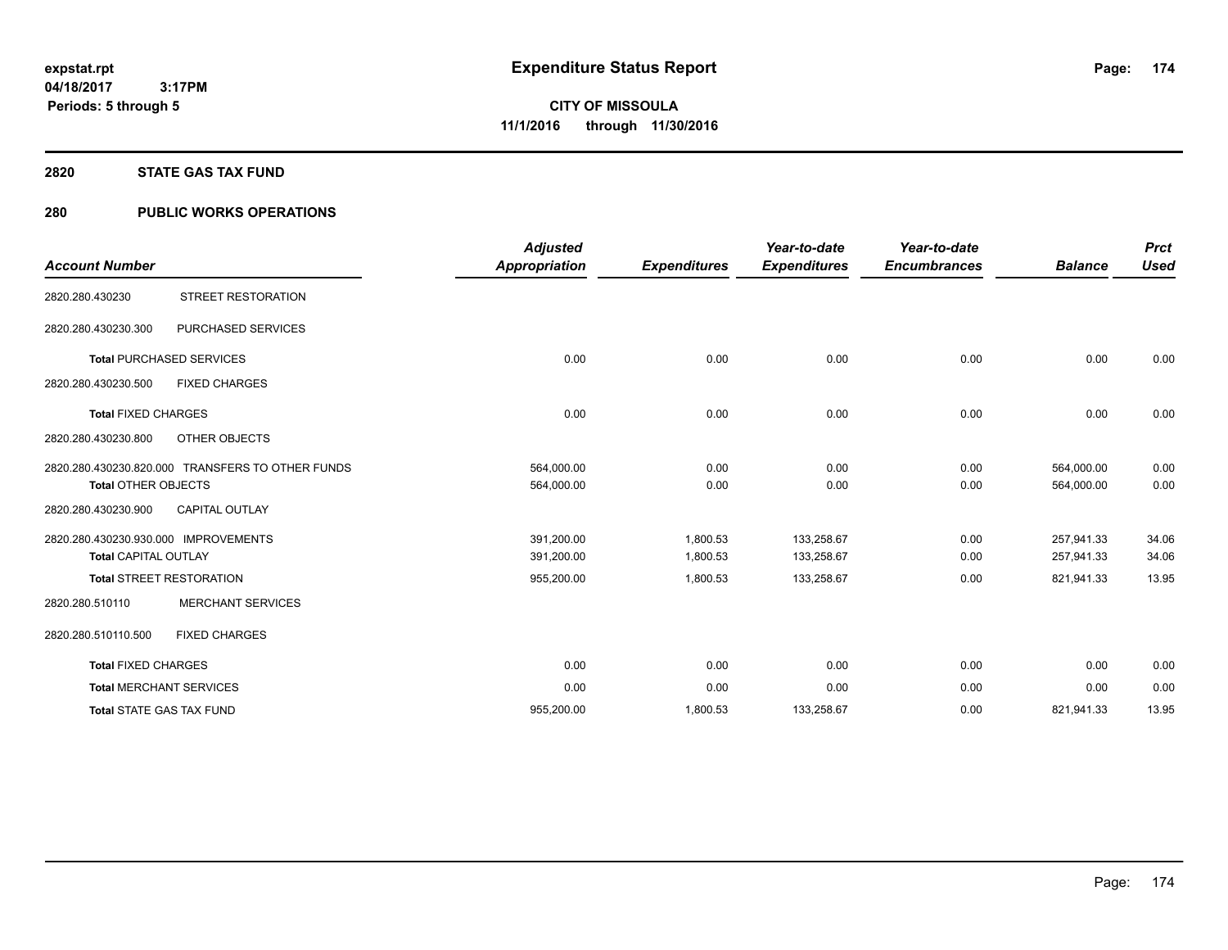#### **2820 STATE GAS TAX FUND**

# **280 PUBLIC WORKS OPERATIONS**

| <b>Account Number</b>                                               |                                                  | <b>Adjusted</b><br><b>Appropriation</b> | <b>Expenditures</b>  | Year-to-date<br><b>Expenditures</b> | Year-to-date<br><b>Encumbrances</b> | <b>Balance</b>           | <b>Prct</b><br><b>Used</b> |
|---------------------------------------------------------------------|--------------------------------------------------|-----------------------------------------|----------------------|-------------------------------------|-------------------------------------|--------------------------|----------------------------|
| 2820.280.430230                                                     | <b>STREET RESTORATION</b>                        |                                         |                      |                                     |                                     |                          |                            |
| 2820.280.430230.300                                                 | PURCHASED SERVICES                               |                                         |                      |                                     |                                     |                          |                            |
|                                                                     | <b>Total PURCHASED SERVICES</b>                  | 0.00                                    | 0.00                 | 0.00                                | 0.00                                | 0.00                     | 0.00                       |
| 2820.280.430230.500                                                 | <b>FIXED CHARGES</b>                             |                                         |                      |                                     |                                     |                          |                            |
| <b>Total FIXED CHARGES</b>                                          |                                                  | 0.00                                    | 0.00                 | 0.00                                | 0.00                                | 0.00                     | 0.00                       |
| 2820.280.430230.800                                                 | OTHER OBJECTS                                    |                                         |                      |                                     |                                     |                          |                            |
| <b>Total OTHER OBJECTS</b>                                          | 2820.280.430230.820.000 TRANSFERS TO OTHER FUNDS | 564,000.00<br>564,000.00                | 0.00<br>0.00         | 0.00<br>0.00                        | 0.00<br>0.00                        | 564,000.00<br>564,000.00 | 0.00<br>0.00               |
| 2820.280.430230.900                                                 | <b>CAPITAL OUTLAY</b>                            |                                         |                      |                                     |                                     |                          |                            |
| 2820.280.430230.930.000 IMPROVEMENTS<br><b>Total CAPITAL OUTLAY</b> |                                                  | 391,200.00<br>391,200.00                | 1,800.53<br>1,800.53 | 133,258.67<br>133,258.67            | 0.00<br>0.00                        | 257,941.33<br>257,941.33 | 34.06<br>34.06             |
|                                                                     | <b>Total STREET RESTORATION</b>                  | 955,200.00                              | 1,800.53             | 133,258.67                          | 0.00                                | 821,941.33               | 13.95                      |
| 2820.280.510110                                                     | <b>MERCHANT SERVICES</b>                         |                                         |                      |                                     |                                     |                          |                            |
| 2820.280.510110.500                                                 | <b>FIXED CHARGES</b>                             |                                         |                      |                                     |                                     |                          |                            |
| <b>Total FIXED CHARGES</b>                                          |                                                  | 0.00                                    | 0.00                 | 0.00                                | 0.00                                | 0.00                     | 0.00                       |
|                                                                     | <b>Total MERCHANT SERVICES</b>                   | 0.00                                    | 0.00                 | 0.00                                | 0.00                                | 0.00                     | 0.00                       |
|                                                                     | <b>Total STATE GAS TAX FUND</b>                  | 955,200.00                              | 1,800.53             | 133,258.67                          | 0.00                                | 821,941.33               | 13.95                      |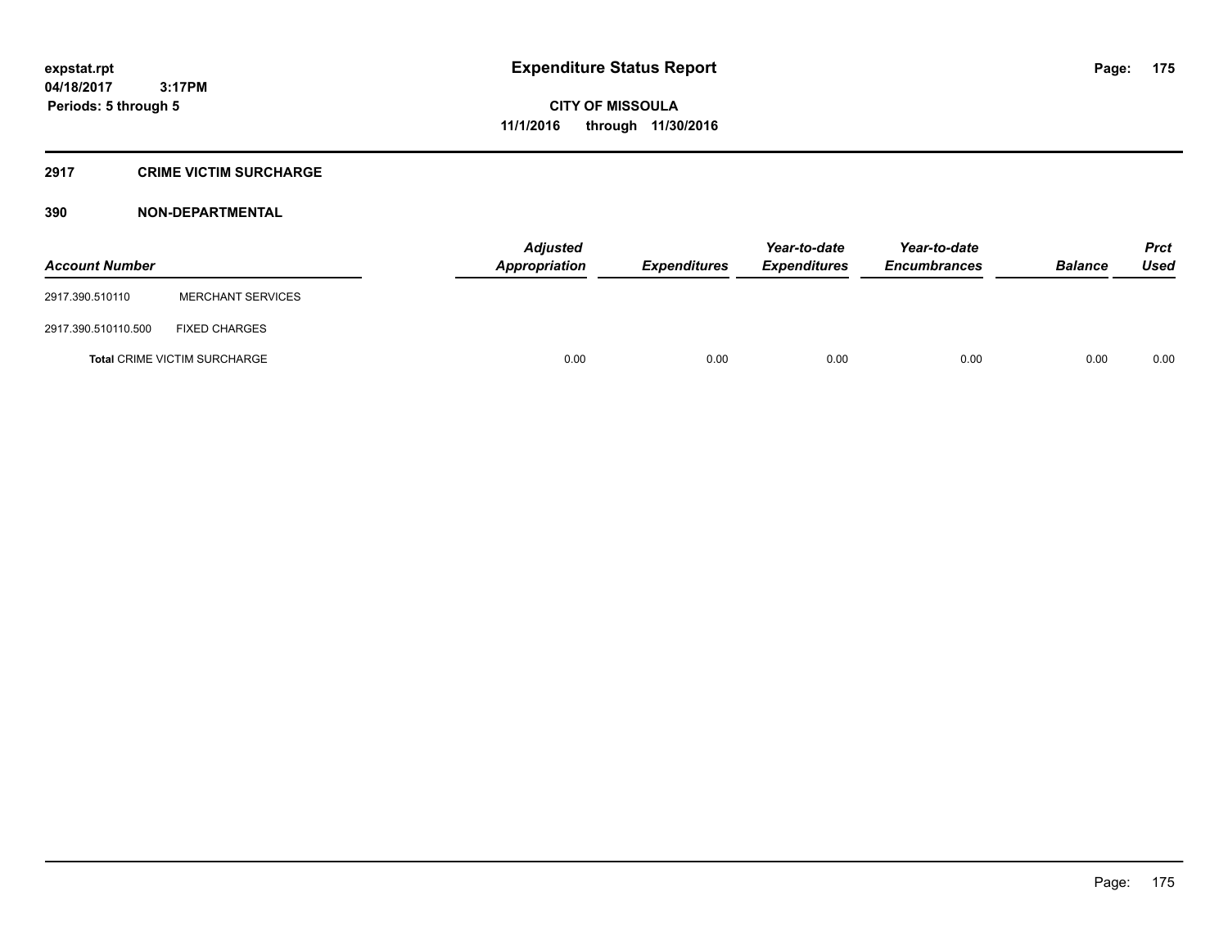# **2917 CRIME VICTIM SURCHARGE**

| <b>Account Number</b> |                                     | Adjusted<br>Appropriation | <b>Expenditures</b> | Year-to-date<br><b>Expenditures</b> | Year-to-date<br><b>Encumbrances</b> | <b>Balance</b> | <b>Prct</b><br><b>Used</b> |
|-----------------------|-------------------------------------|---------------------------|---------------------|-------------------------------------|-------------------------------------|----------------|----------------------------|
| 2917.390.510110       | <b>MERCHANT SERVICES</b>            |                           |                     |                                     |                                     |                |                            |
| 2917.390.510110.500   | <b>FIXED CHARGES</b>                |                           |                     |                                     |                                     |                |                            |
|                       | <b>Total CRIME VICTIM SURCHARGE</b> | 0.00                      | 0.00                | 0.00                                | 0.00                                | 0.00           | 0.00                       |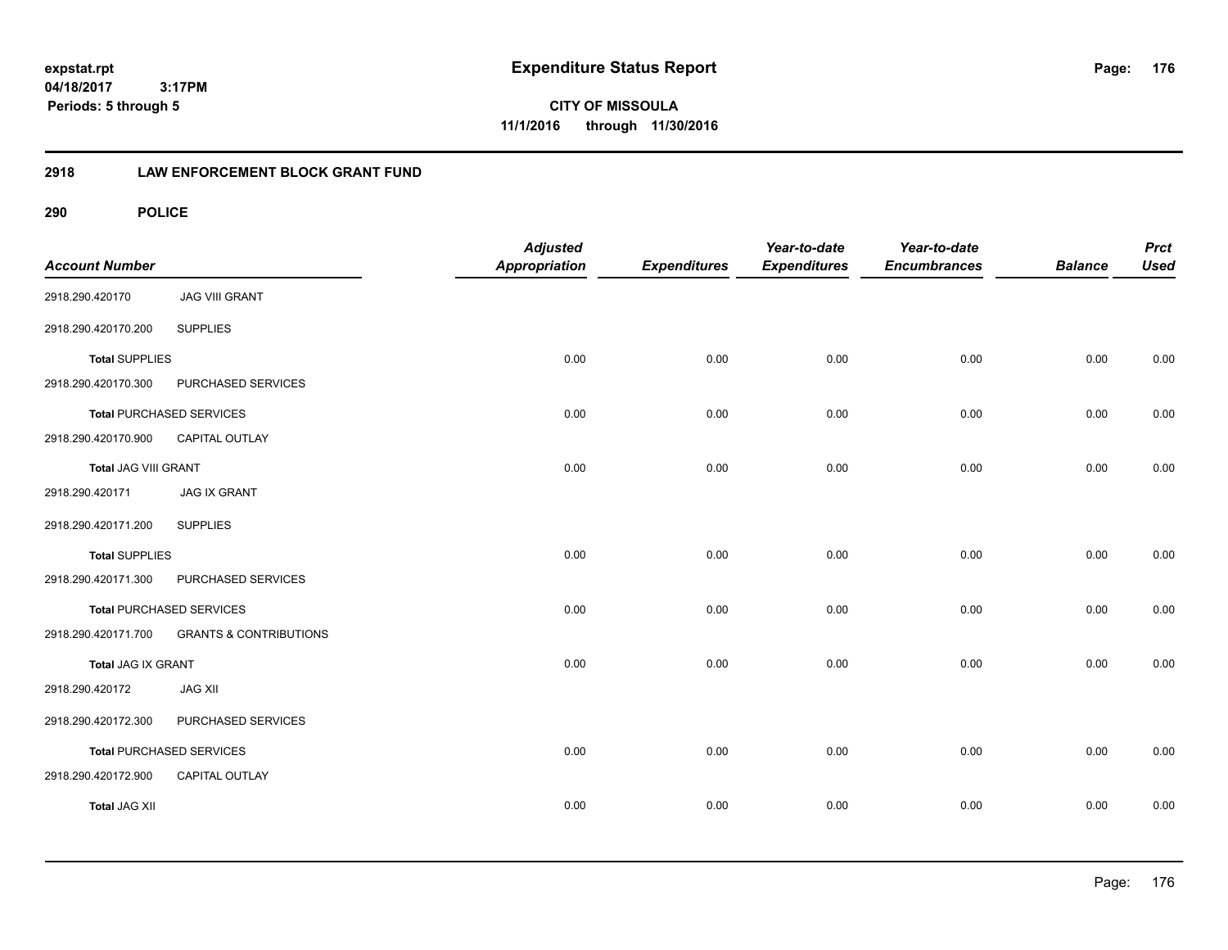**expstat.rpt Expenditure Status Report** 

**04/18/2017 3:17PM Periods: 5 through 5**

**CITY OF MISSOULA 11/1/2016 through 11/30/2016**

# **2918 LAW ENFORCEMENT BLOCK GRANT FUND**

| <b>Account Number</b> |                                   | <b>Adjusted</b><br>Appropriation | <b>Expenditures</b> | Year-to-date<br><b>Expenditures</b> | Year-to-date<br><b>Encumbrances</b> | <b>Balance</b> | <b>Prct</b><br><b>Used</b> |
|-----------------------|-----------------------------------|----------------------------------|---------------------|-------------------------------------|-------------------------------------|----------------|----------------------------|
| 2918.290.420170       | <b>JAG VIII GRANT</b>             |                                  |                     |                                     |                                     |                |                            |
| 2918.290.420170.200   | <b>SUPPLIES</b>                   |                                  |                     |                                     |                                     |                |                            |
| <b>Total SUPPLIES</b> |                                   | 0.00                             | 0.00                | 0.00                                | 0.00                                | 0.00           | 0.00                       |
| 2918.290.420170.300   | PURCHASED SERVICES                |                                  |                     |                                     |                                     |                |                            |
|                       | <b>Total PURCHASED SERVICES</b>   | 0.00                             | 0.00                | 0.00                                | 0.00                                | 0.00           | 0.00                       |
| 2918.290.420170.900   | CAPITAL OUTLAY                    |                                  |                     |                                     |                                     |                |                            |
| Total JAG VIII GRANT  |                                   | 0.00                             | 0.00                | 0.00                                | 0.00                                | 0.00           | 0.00                       |
| 2918.290.420171       | <b>JAG IX GRANT</b>               |                                  |                     |                                     |                                     |                |                            |
| 2918.290.420171.200   | <b>SUPPLIES</b>                   |                                  |                     |                                     |                                     |                |                            |
| <b>Total SUPPLIES</b> |                                   | 0.00                             | 0.00                | 0.00                                | 0.00                                | 0.00           | 0.00                       |
| 2918.290.420171.300   | PURCHASED SERVICES                |                                  |                     |                                     |                                     |                |                            |
|                       | <b>Total PURCHASED SERVICES</b>   | 0.00                             | 0.00                | 0.00                                | 0.00                                | 0.00           | 0.00                       |
| 2918.290.420171.700   | <b>GRANTS &amp; CONTRIBUTIONS</b> |                                  |                     |                                     |                                     |                |                            |
| Total JAG IX GRANT    |                                   | 0.00                             | 0.00                | 0.00                                | 0.00                                | 0.00           | 0.00                       |
| 2918.290.420172       | <b>JAG XII</b>                    |                                  |                     |                                     |                                     |                |                            |
| 2918.290.420172.300   | PURCHASED SERVICES                |                                  |                     |                                     |                                     |                |                            |
|                       | <b>Total PURCHASED SERVICES</b>   | 0.00                             | 0.00                | 0.00                                | 0.00                                | 0.00           | 0.00                       |
| 2918.290.420172.900   | CAPITAL OUTLAY                    |                                  |                     |                                     |                                     |                |                            |
| <b>Total JAG XII</b>  |                                   | 0.00                             | 0.00                | 0.00                                | 0.00                                | 0.00           | 0.00                       |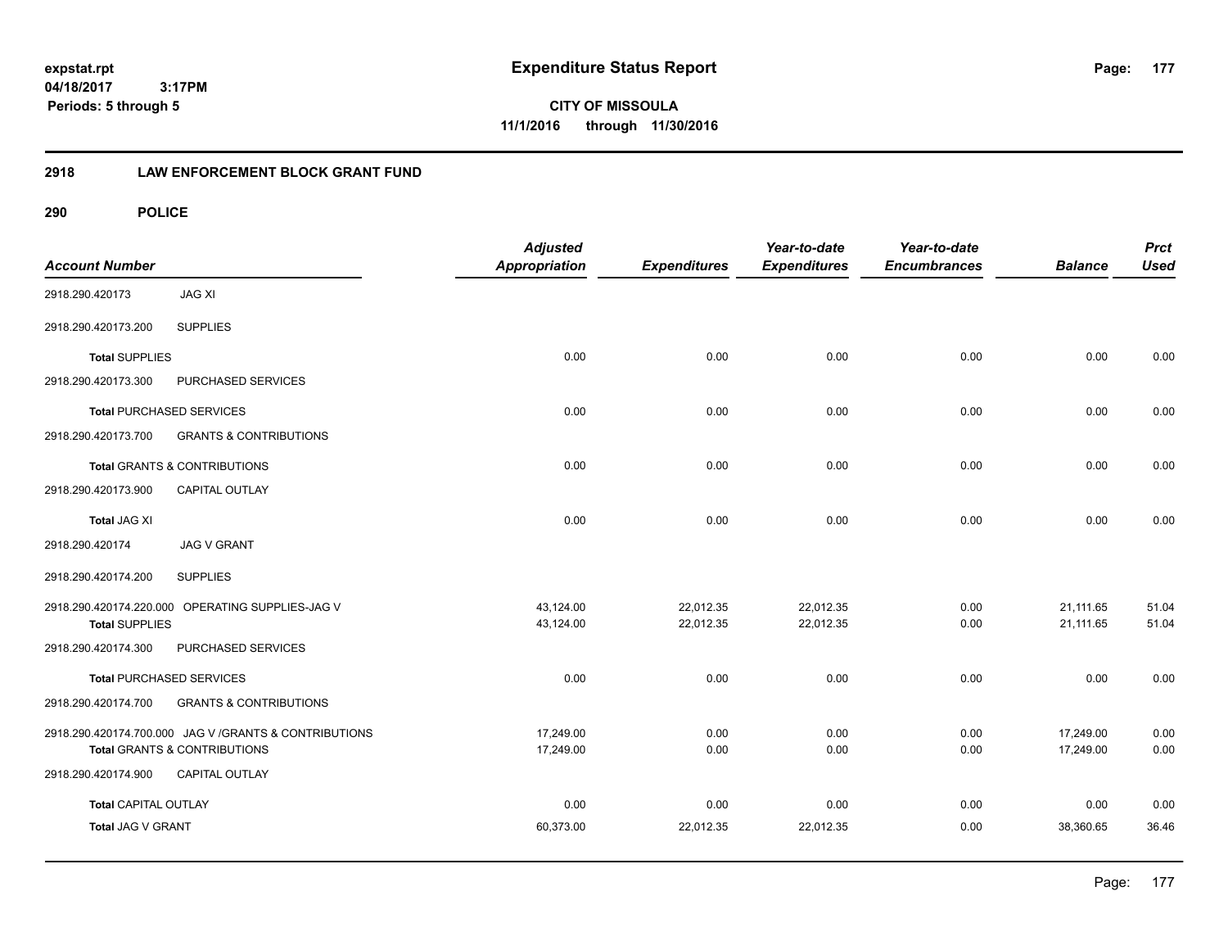**CITY OF MISSOULA 11/1/2016 through 11/30/2016**

# **2918 LAW ENFORCEMENT BLOCK GRANT FUND**

| <b>Account Number</b>       |                                                           | <b>Adjusted</b><br><b>Appropriation</b> | <b>Expenditures</b>    | Year-to-date<br><b>Expenditures</b> | Year-to-date<br><b>Encumbrances</b> | <b>Balance</b>         | <b>Prct</b><br><b>Used</b> |
|-----------------------------|-----------------------------------------------------------|-----------------------------------------|------------------------|-------------------------------------|-------------------------------------|------------------------|----------------------------|
| 2918.290.420173             | <b>JAG XI</b>                                             |                                         |                        |                                     |                                     |                        |                            |
| 2918.290.420173.200         | <b>SUPPLIES</b>                                           |                                         |                        |                                     |                                     |                        |                            |
| <b>Total SUPPLIES</b>       |                                                           | 0.00                                    | 0.00                   | 0.00                                | 0.00                                | 0.00                   | 0.00                       |
| 2918.290.420173.300         | PURCHASED SERVICES                                        |                                         |                        |                                     |                                     |                        |                            |
|                             | <b>Total PURCHASED SERVICES</b>                           | 0.00                                    | 0.00                   | 0.00                                | 0.00                                | 0.00                   | 0.00                       |
| 2918.290.420173.700         | <b>GRANTS &amp; CONTRIBUTIONS</b>                         |                                         |                        |                                     |                                     |                        |                            |
|                             | Total GRANTS & CONTRIBUTIONS                              | 0.00                                    | 0.00                   | 0.00                                | 0.00                                | 0.00                   | 0.00                       |
| 2918.290.420173.900         | <b>CAPITAL OUTLAY</b>                                     |                                         |                        |                                     |                                     |                        |                            |
| <b>Total JAG XI</b>         |                                                           | 0.00                                    | 0.00                   | 0.00                                | 0.00                                | 0.00                   | 0.00                       |
| 2918.290.420174             | <b>JAG V GRANT</b>                                        |                                         |                        |                                     |                                     |                        |                            |
| 2918.290.420174.200         | <b>SUPPLIES</b>                                           |                                         |                        |                                     |                                     |                        |                            |
| <b>Total SUPPLIES</b>       | 2918.290.420174.220.000 OPERATING SUPPLIES-JAG V          | 43,124.00<br>43,124.00                  | 22,012.35<br>22,012.35 | 22,012.35<br>22,012.35              | 0.00<br>0.00                        | 21,111.65<br>21,111.65 | 51.04<br>51.04             |
| 2918.290.420174.300         | PURCHASED SERVICES                                        |                                         |                        |                                     |                                     |                        |                            |
|                             | <b>Total PURCHASED SERVICES</b>                           | 0.00                                    | 0.00                   | 0.00                                | 0.00                                | 0.00                   | 0.00                       |
| 2918.290.420174.700         | <b>GRANTS &amp; CONTRIBUTIONS</b>                         |                                         |                        |                                     |                                     |                        |                            |
|                             | 2918.290.420174.700.000 JAG V / GRANTS & CONTRIBUTIONS    | 17,249.00                               | 0.00                   | 0.00                                | 0.00                                | 17,249.00              | 0.00                       |
| 2918.290.420174.900         | <b>Total GRANTS &amp; CONTRIBUTIONS</b><br>CAPITAL OUTLAY | 17,249.00                               | 0.00                   | 0.00                                | 0.00                                | 17,249.00              | 0.00                       |
|                             |                                                           |                                         |                        |                                     |                                     |                        |                            |
| <b>Total CAPITAL OUTLAY</b> |                                                           | 0.00                                    | 0.00                   | 0.00                                | 0.00                                | 0.00                   | 0.00                       |
| Total JAG V GRANT           |                                                           | 60,373.00                               | 22,012.35              | 22,012.35                           | 0.00                                | 38,360.65              | 36.46                      |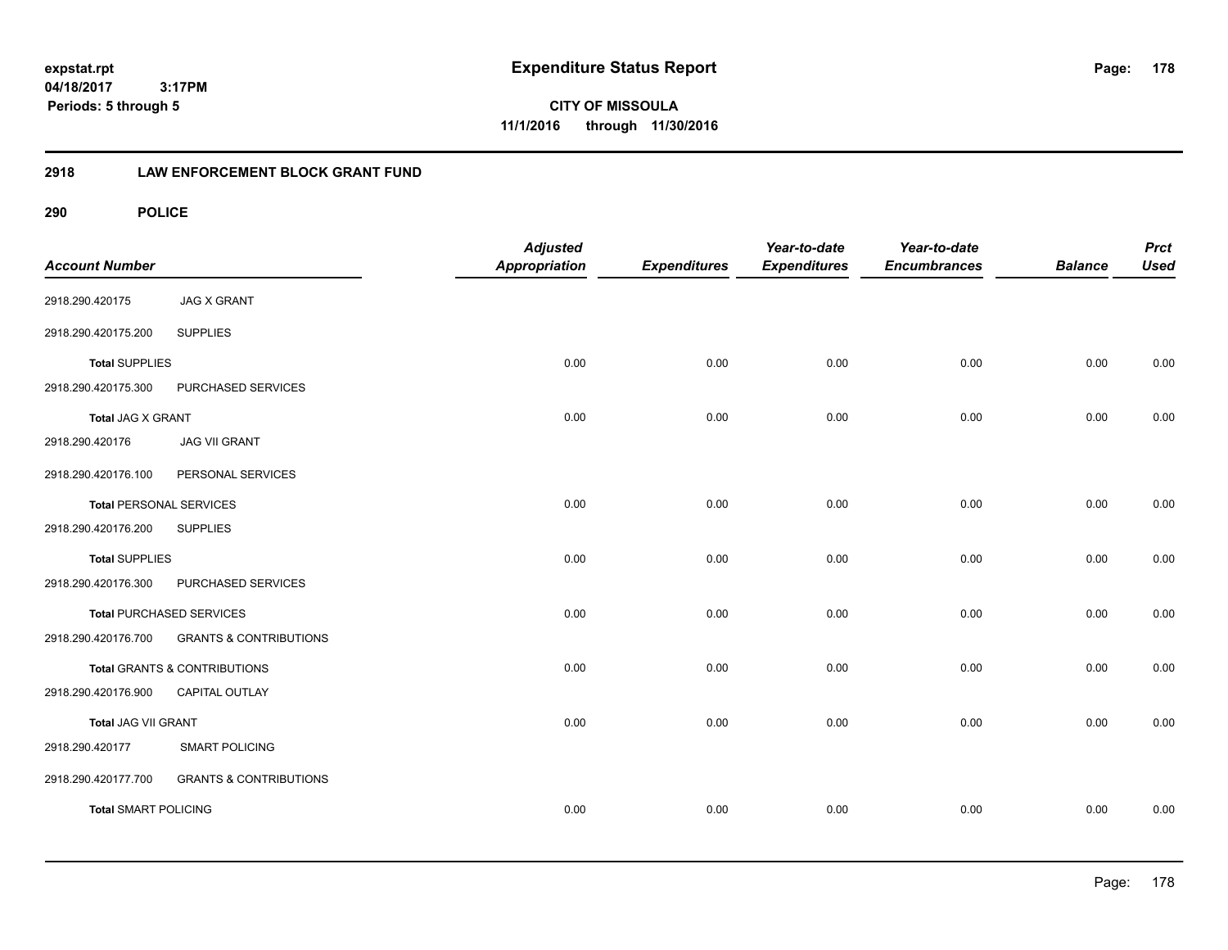**CITY OF MISSOULA 11/1/2016 through 11/30/2016**

# **2918 LAW ENFORCEMENT BLOCK GRANT FUND**

| <b>Account Number</b>          |                                   | <b>Adjusted</b><br><b>Appropriation</b> | <b>Expenditures</b> | Year-to-date<br><b>Expenditures</b> | Year-to-date<br><b>Encumbrances</b> | <b>Balance</b> | <b>Prct</b><br><b>Used</b> |
|--------------------------------|-----------------------------------|-----------------------------------------|---------------------|-------------------------------------|-------------------------------------|----------------|----------------------------|
| 2918.290.420175                | <b>JAG X GRANT</b>                |                                         |                     |                                     |                                     |                |                            |
| 2918.290.420175.200            | <b>SUPPLIES</b>                   |                                         |                     |                                     |                                     |                |                            |
| <b>Total SUPPLIES</b>          |                                   | 0.00                                    | 0.00                | 0.00                                | 0.00                                | 0.00           | 0.00                       |
| 2918.290.420175.300            | PURCHASED SERVICES                |                                         |                     |                                     |                                     |                |                            |
| <b>Total JAG X GRANT</b>       |                                   | 0.00                                    | 0.00                | 0.00                                | 0.00                                | 0.00           | 0.00                       |
| 2918.290.420176                | <b>JAG VII GRANT</b>              |                                         |                     |                                     |                                     |                |                            |
| 2918.290.420176.100            | PERSONAL SERVICES                 |                                         |                     |                                     |                                     |                |                            |
| <b>Total PERSONAL SERVICES</b> |                                   | 0.00                                    | 0.00                | 0.00                                | 0.00                                | 0.00           | 0.00                       |
| 2918.290.420176.200            | <b>SUPPLIES</b>                   |                                         |                     |                                     |                                     |                |                            |
| <b>Total SUPPLIES</b>          |                                   | 0.00                                    | 0.00                | 0.00                                | 0.00                                | 0.00           | 0.00                       |
| 2918.290.420176.300            | PURCHASED SERVICES                |                                         |                     |                                     |                                     |                |                            |
|                                | <b>Total PURCHASED SERVICES</b>   | 0.00                                    | 0.00                | 0.00                                | 0.00                                | 0.00           | 0.00                       |
| 2918.290.420176.700            | <b>GRANTS &amp; CONTRIBUTIONS</b> |                                         |                     |                                     |                                     |                |                            |
|                                | Total GRANTS & CONTRIBUTIONS      | 0.00                                    | 0.00                | 0.00                                | 0.00                                | 0.00           | 0.00                       |
| 2918.290.420176.900            | CAPITAL OUTLAY                    |                                         |                     |                                     |                                     |                |                            |
| <b>Total JAG VII GRANT</b>     |                                   | 0.00                                    | 0.00                | 0.00                                | 0.00                                | 0.00           | 0.00                       |
| 2918.290.420177                | <b>SMART POLICING</b>             |                                         |                     |                                     |                                     |                |                            |
| 2918.290.420177.700            | <b>GRANTS &amp; CONTRIBUTIONS</b> |                                         |                     |                                     |                                     |                |                            |
| <b>Total SMART POLICING</b>    |                                   | 0.00                                    | 0.00                | 0.00                                | 0.00                                | 0.00           | 0.00                       |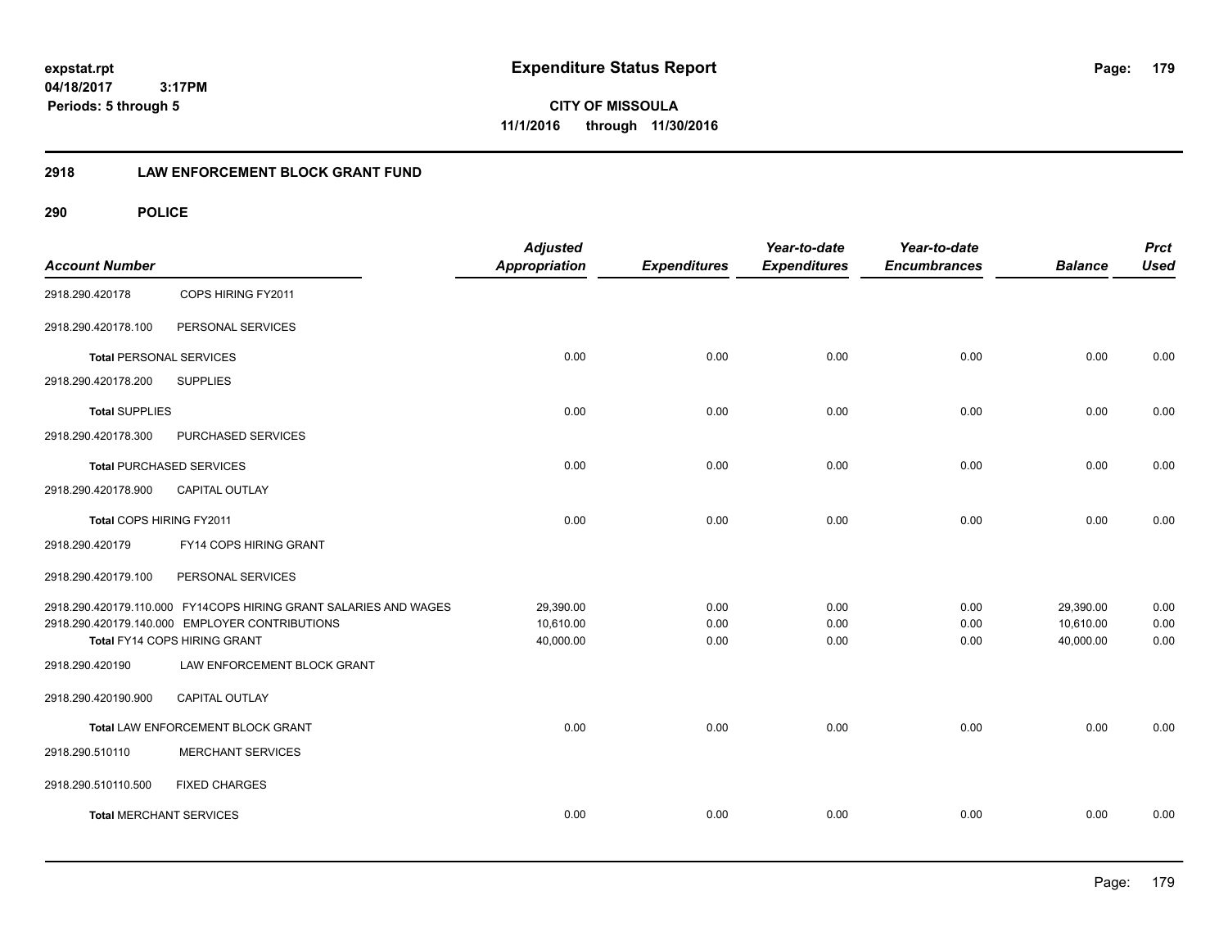**CITY OF MISSOULA 11/1/2016 through 11/30/2016**

# **2918 LAW ENFORCEMENT BLOCK GRANT FUND**

| <b>Account Number</b>          |                                                                  | <b>Adjusted</b><br><b>Appropriation</b> | <b>Expenditures</b> | Year-to-date<br><b>Expenditures</b> | Year-to-date<br><b>Encumbrances</b> | <b>Balance</b> | <b>Prct</b><br><b>Used</b> |
|--------------------------------|------------------------------------------------------------------|-----------------------------------------|---------------------|-------------------------------------|-------------------------------------|----------------|----------------------------|
| 2918.290.420178                | COPS HIRING FY2011                                               |                                         |                     |                                     |                                     |                |                            |
| 2918.290.420178.100            | PERSONAL SERVICES                                                |                                         |                     |                                     |                                     |                |                            |
| <b>Total PERSONAL SERVICES</b> |                                                                  | 0.00                                    | 0.00                | 0.00                                | 0.00                                | 0.00           | 0.00                       |
| 2918.290.420178.200            | <b>SUPPLIES</b>                                                  |                                         |                     |                                     |                                     |                |                            |
| <b>Total SUPPLIES</b>          |                                                                  | 0.00                                    | 0.00                | 0.00                                | 0.00                                | 0.00           | 0.00                       |
| 2918.290.420178.300            | PURCHASED SERVICES                                               |                                         |                     |                                     |                                     |                |                            |
|                                | <b>Total PURCHASED SERVICES</b>                                  | 0.00                                    | 0.00                | 0.00                                | 0.00                                | 0.00           | 0.00                       |
| 2918.290.420178.900            | <b>CAPITAL OUTLAY</b>                                            |                                         |                     |                                     |                                     |                |                            |
| Total COPS HIRING FY2011       |                                                                  | 0.00                                    | 0.00                | 0.00                                | 0.00                                | 0.00           | 0.00                       |
| 2918.290.420179                | FY14 COPS HIRING GRANT                                           |                                         |                     |                                     |                                     |                |                            |
| 2918.290.420179.100            | PERSONAL SERVICES                                                |                                         |                     |                                     |                                     |                |                            |
|                                | 2918.290.420179.110.000 FY14COPS HIRING GRANT SALARIES AND WAGES | 29,390.00                               | 0.00                | 0.00                                | 0.00                                | 29,390.00      | 0.00                       |
|                                | 2918.290.420179.140.000 EMPLOYER CONTRIBUTIONS                   | 10,610.00                               | 0.00                | 0.00                                | 0.00                                | 10,610.00      | 0.00                       |
|                                | Total FY14 COPS HIRING GRANT                                     | 40,000.00                               | 0.00                | 0.00                                | 0.00                                | 40,000.00      | 0.00                       |
| 2918.290.420190                | LAW ENFORCEMENT BLOCK GRANT                                      |                                         |                     |                                     |                                     |                |                            |
| 2918.290.420190.900            | CAPITAL OUTLAY                                                   |                                         |                     |                                     |                                     |                |                            |
|                                | Total LAW ENFORCEMENT BLOCK GRANT                                | 0.00                                    | 0.00                | 0.00                                | 0.00                                | 0.00           | 0.00                       |
| 2918.290.510110                | <b>MERCHANT SERVICES</b>                                         |                                         |                     |                                     |                                     |                |                            |
| 2918.290.510110.500            | <b>FIXED CHARGES</b>                                             |                                         |                     |                                     |                                     |                |                            |
| <b>Total MERCHANT SERVICES</b> |                                                                  | 0.00                                    | 0.00                | 0.00                                | 0.00                                | 0.00           | 0.00                       |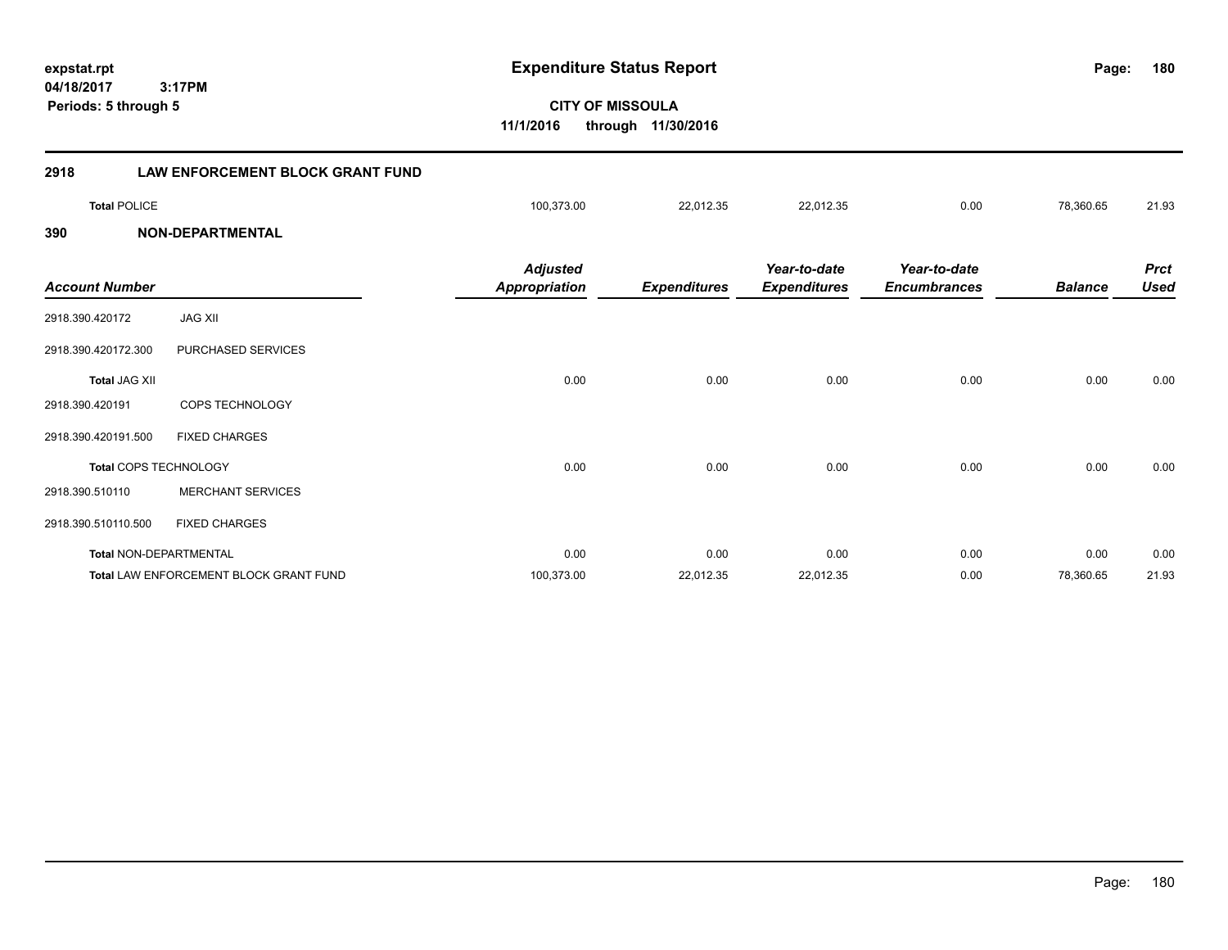**04/18/2017 CITY OF MISSOULA 3:17PM expstat.rpt Expenditure Status Report Page: 11/1/2016 through 11/30/2016 Periods: 5 through 5**

# **2918 LAW ENFORCEMENT BLOCK GRANT FUND Total** POLICE 100,373.00 22,012.35 22,012.35 0.00 78,360.65 21.93 **390 NON-DEPARTMENTAL** *Prct Balance Used Year-to-date Encumbrances Year-to-date Expenditures Expenditures Adjusted Account Number Appropriation* 2918.390.420172 JAG XII 2918.390.420172.300 PURCHASED SERVICES **Total** JAG XII 0.00 0.00 0.00 0.00 0.00 0.00 2918.390.420191 COPS TECHNOLOGY 2918.390.420191.500 FIXED CHARGES **Total** COPS TECHNOLOGY 0.00 0.00 0.00 0.00 0.00 0.00 2918.390.510110 MERCHANT SERVICES 2918.390.510110.500 FIXED CHARGES **Total** NON-DEPARTMENTAL 0.00 0.00 0.00 0.00 0.00 0.00 **Total** LAW ENFORCEMENT BLOCK GRANT FUND 100,373.00 22,012.35 22,012.35 0.00 78,360.65 21.93

**180**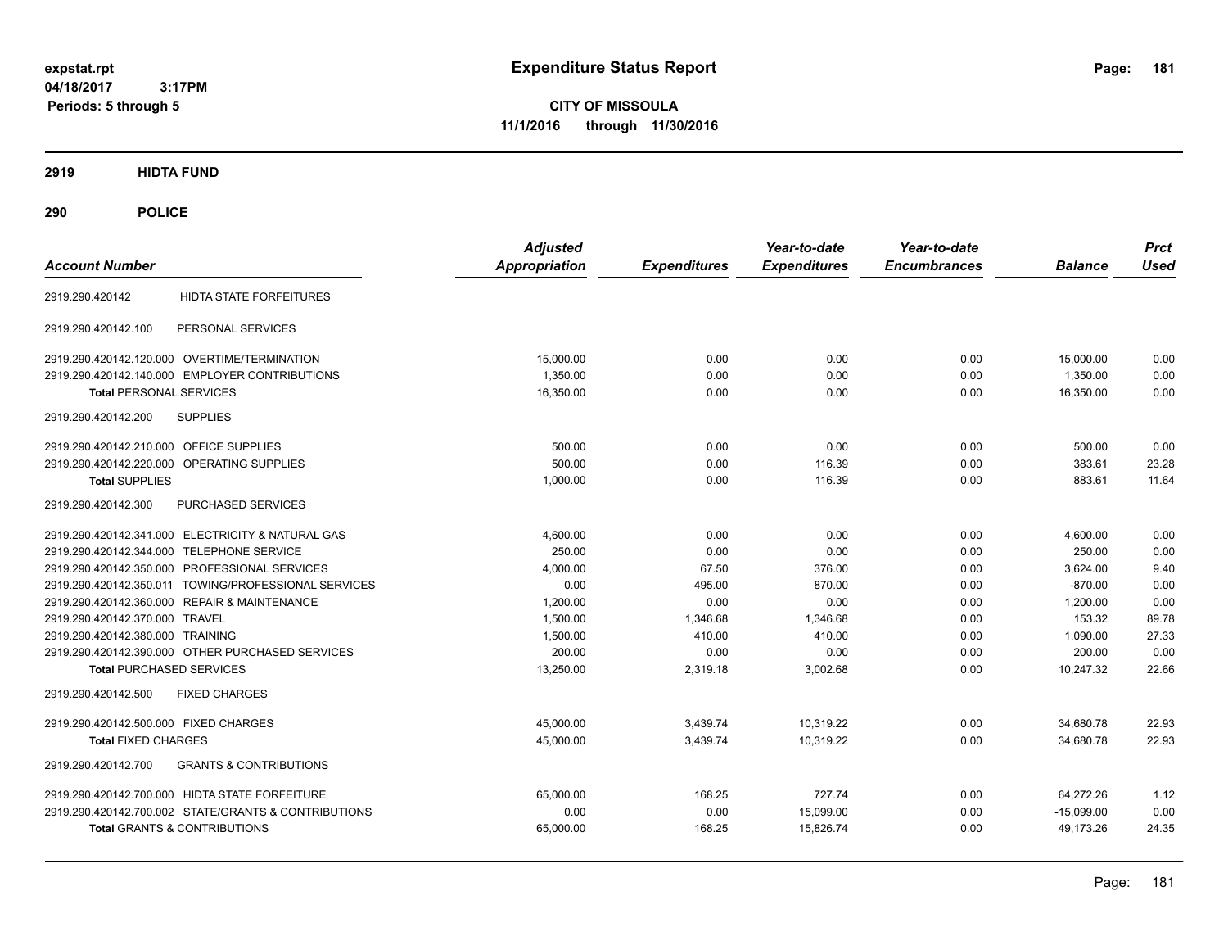**CITY OF MISSOULA 11/1/2016 through 11/30/2016**

# **2919 HIDTA FUND**

# **290 POLICE**

| <b>Account Number</b>                                    | <b>Adjusted</b><br>Appropriation | <b>Expenditures</b> | Year-to-date<br><b>Expenditures</b> | Year-to-date<br><b>Encumbrances</b> | <b>Balance</b> | <b>Prct</b><br><b>Used</b> |
|----------------------------------------------------------|----------------------------------|---------------------|-------------------------------------|-------------------------------------|----------------|----------------------------|
|                                                          |                                  |                     |                                     |                                     |                |                            |
| <b>HIDTA STATE FORFEITURES</b><br>2919.290.420142        |                                  |                     |                                     |                                     |                |                            |
| PERSONAL SERVICES<br>2919.290.420142.100                 |                                  |                     |                                     |                                     |                |                            |
| 2919.290.420142.120.000 OVERTIME/TERMINATION             | 15.000.00                        | 0.00                | 0.00                                | 0.00                                | 15,000.00      | 0.00                       |
| 2919.290.420142.140.000 EMPLOYER CONTRIBUTIONS           | 1,350.00                         | 0.00                | 0.00                                | 0.00                                | 1,350.00       | 0.00                       |
| <b>Total PERSONAL SERVICES</b>                           | 16,350.00                        | 0.00                | 0.00                                | 0.00                                | 16,350.00      | 0.00                       |
| 2919.290.420142.200<br><b>SUPPLIES</b>                   |                                  |                     |                                     |                                     |                |                            |
| 2919.290.420142.210.000 OFFICE SUPPLIES                  | 500.00                           | 0.00                | 0.00                                | 0.00                                | 500.00         | 0.00                       |
| <b>OPERATING SUPPLIES</b><br>2919.290.420142.220.000     | 500.00                           | 0.00                | 116.39                              | 0.00                                | 383.61         | 23.28                      |
| <b>Total SUPPLIES</b>                                    | 1,000.00                         | 0.00                | 116.39                              | 0.00                                | 883.61         | 11.64                      |
| 2919.290.420142.300<br>PURCHASED SERVICES                |                                  |                     |                                     |                                     |                |                            |
| 2919.290.420142.341.000 ELECTRICITY & NATURAL GAS        | 4,600.00                         | 0.00                | 0.00                                | 0.00                                | 4,600.00       | 0.00                       |
| 2919.290.420142.344.000 TELEPHONE SERVICE                | 250.00                           | 0.00                | 0.00                                | 0.00                                | 250.00         | 0.00                       |
| 2919.290.420142.350.000 PROFESSIONAL SERVICES            | 4.000.00                         | 67.50               | 376.00                              | 0.00                                | 3.624.00       | 9.40                       |
| 2919.290.420142.350.011 TOWING/PROFESSIONAL SERVICES     | 0.00                             | 495.00              | 870.00                              | 0.00                                | $-870.00$      | 0.00                       |
| 2919.290.420142.360.000 REPAIR & MAINTENANCE             | 1,200.00                         | 0.00                | 0.00                                | 0.00                                | 1,200.00       | 0.00                       |
| 2919.290.420142.370.000 TRAVEL                           | 1,500.00                         | 1,346.68            | 1.346.68                            | 0.00                                | 153.32         | 89.78                      |
| 2919.290.420142.380.000 TRAINING                         | 1,500.00                         | 410.00              | 410.00                              | 0.00                                | 1,090.00       | 27.33                      |
| 2919.290.420142.390.000 OTHER PURCHASED SERVICES         | 200.00                           | 0.00                | 0.00                                | 0.00                                | 200.00         | 0.00                       |
| <b>Total PURCHASED SERVICES</b>                          | 13,250.00                        | 2,319.18            | 3,002.68                            | 0.00                                | 10,247.32      | 22.66                      |
| <b>FIXED CHARGES</b><br>2919.290.420142.500              |                                  |                     |                                     |                                     |                |                            |
| 2919.290.420142.500.000 FIXED CHARGES                    | 45,000.00                        | 3,439.74            | 10,319.22                           | 0.00                                | 34,680.78      | 22.93                      |
| <b>Total FIXED CHARGES</b>                               | 45,000.00                        | 3,439.74            | 10,319.22                           | 0.00                                | 34,680.78      | 22.93                      |
| <b>GRANTS &amp; CONTRIBUTIONS</b><br>2919.290.420142.700 |                                  |                     |                                     |                                     |                |                            |
| 2919.290.420142.700.000 HIDTA STATE FORFEITURE           | 65,000.00                        | 168.25              | 727.74                              | 0.00                                | 64.272.26      | 1.12                       |
| 2919.290.420142.700.002 STATE/GRANTS & CONTRIBUTIONS     | 0.00                             | 0.00                | 15,099.00                           | 0.00                                | $-15,099.00$   | 0.00                       |
| <b>Total GRANTS &amp; CONTRIBUTIONS</b>                  | 65,000.00                        | 168.25              | 15,826.74                           | 0.00                                | 49,173.26      | 24.35                      |
|                                                          |                                  |                     |                                     |                                     |                |                            |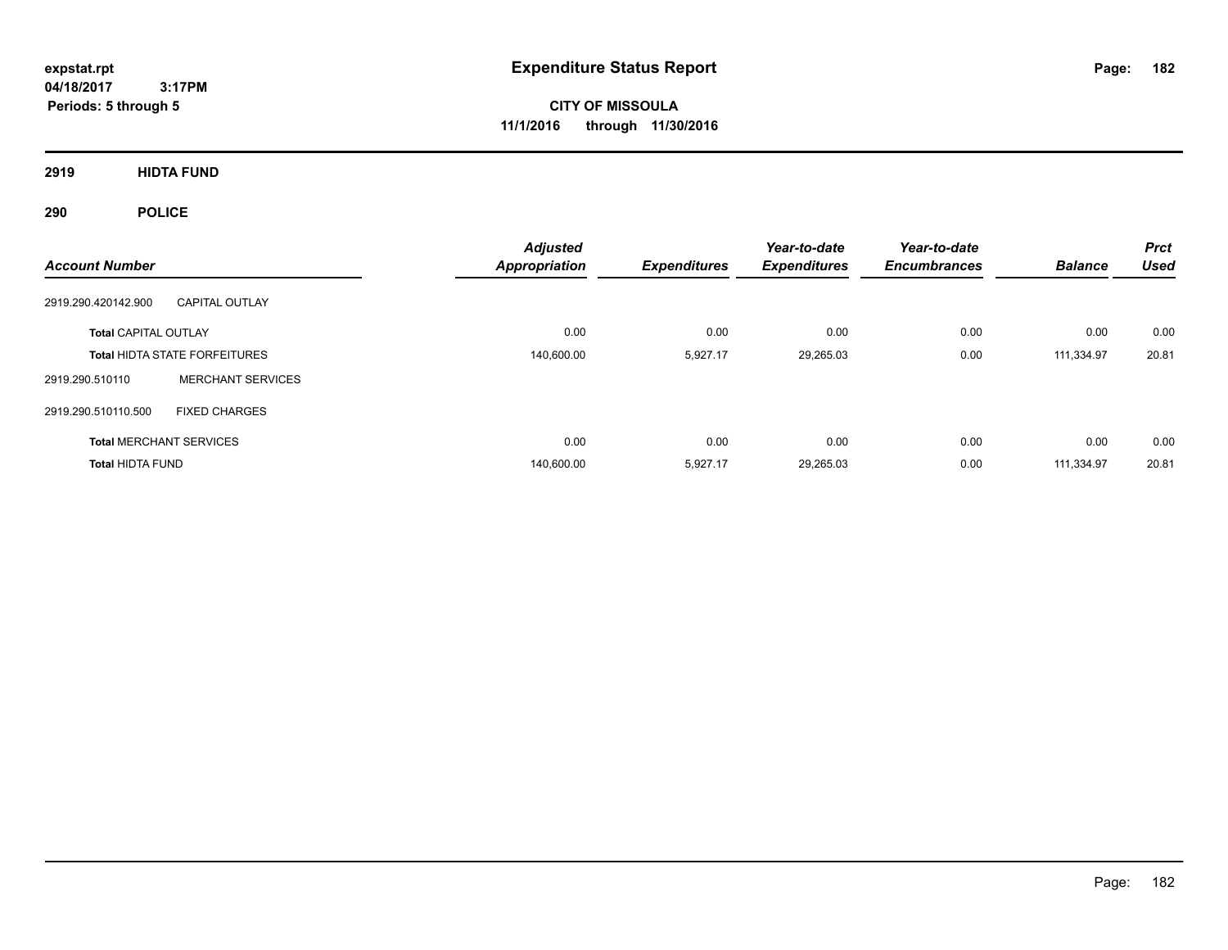**CITY OF MISSOULA 11/1/2016 through 11/30/2016**

**2919 HIDTA FUND**

# **290 POLICE**

| <b>Account Number</b>          |                                      | <b>Adjusted</b><br><b>Appropriation</b> | <b>Expenditures</b> | Year-to-date<br><b>Expenditures</b> | Year-to-date<br><b>Encumbrances</b> | <b>Balance</b> | <b>Prct</b><br><b>Used</b> |
|--------------------------------|--------------------------------------|-----------------------------------------|---------------------|-------------------------------------|-------------------------------------|----------------|----------------------------|
| 2919.290.420142.900            | <b>CAPITAL OUTLAY</b>                |                                         |                     |                                     |                                     |                |                            |
| <b>Total CAPITAL OUTLAY</b>    |                                      | 0.00                                    | 0.00                | 0.00                                | 0.00                                | 0.00           | 0.00                       |
|                                | <b>Total HIDTA STATE FORFEITURES</b> | 140,600.00                              | 5,927.17            | 29,265.03                           | 0.00                                | 111.334.97     | 20.81                      |
| 2919.290.510110                | <b>MERCHANT SERVICES</b>             |                                         |                     |                                     |                                     |                |                            |
| 2919.290.510110.500            | <b>FIXED CHARGES</b>                 |                                         |                     |                                     |                                     |                |                            |
| <b>Total MERCHANT SERVICES</b> |                                      | 0.00                                    | 0.00                | 0.00                                | 0.00                                | 0.00           | 0.00                       |
| <b>Total HIDTA FUND</b>        |                                      | 140.600.00                              | 5,927.17            | 29,265.03                           | 0.00                                | 111.334.97     | 20.81                      |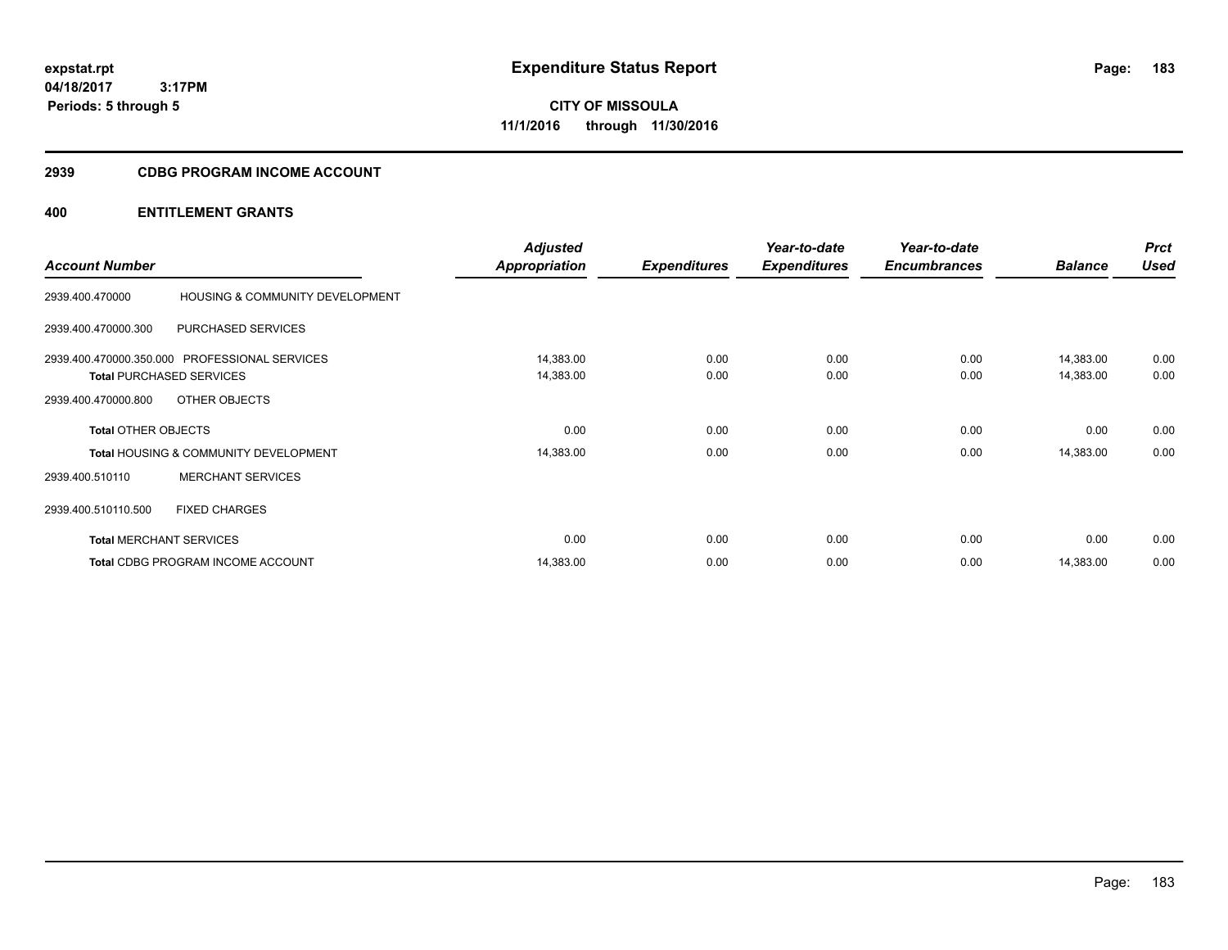**CITY OF MISSOULA 11/1/2016 through 11/30/2016**

## **2939 CDBG PROGRAM INCOME ACCOUNT**

| <b>Account Number</b>      |                                                                                  | <b>Adjusted</b><br><b>Appropriation</b> | <b>Expenditures</b> | Year-to-date<br><b>Expenditures</b> | Year-to-date<br><b>Encumbrances</b> | <b>Balance</b>         | <b>Prct</b><br><b>Used</b> |
|----------------------------|----------------------------------------------------------------------------------|-----------------------------------------|---------------------|-------------------------------------|-------------------------------------|------------------------|----------------------------|
| 2939.400.470000            | HOUSING & COMMUNITY DEVELOPMENT                                                  |                                         |                     |                                     |                                     |                        |                            |
| 2939.400.470000.300        | <b>PURCHASED SERVICES</b>                                                        |                                         |                     |                                     |                                     |                        |                            |
|                            | 2939.400.470000.350.000 PROFESSIONAL SERVICES<br><b>Total PURCHASED SERVICES</b> | 14,383.00<br>14,383.00                  | 0.00<br>0.00        | 0.00<br>0.00                        | 0.00<br>0.00                        | 14,383.00<br>14,383.00 | 0.00<br>0.00               |
| 2939.400.470000.800        | OTHER OBJECTS                                                                    |                                         |                     |                                     |                                     |                        |                            |
| <b>Total OTHER OBJECTS</b> |                                                                                  | 0.00                                    | 0.00                | 0.00                                | 0.00                                | 0.00                   | 0.00                       |
|                            | <b>Total HOUSING &amp; COMMUNITY DEVELOPMENT</b>                                 | 14,383.00                               | 0.00                | 0.00                                | 0.00                                | 14,383.00              | 0.00                       |
| 2939.400.510110            | <b>MERCHANT SERVICES</b>                                                         |                                         |                     |                                     |                                     |                        |                            |
| 2939.400.510110.500        | <b>FIXED CHARGES</b>                                                             |                                         |                     |                                     |                                     |                        |                            |
|                            | <b>Total MERCHANT SERVICES</b>                                                   | 0.00                                    | 0.00                | 0.00                                | 0.00                                | 0.00                   | 0.00                       |
|                            | Total CDBG PROGRAM INCOME ACCOUNT                                                | 14,383.00                               | 0.00                | 0.00                                | 0.00                                | 14,383.00              | 0.00                       |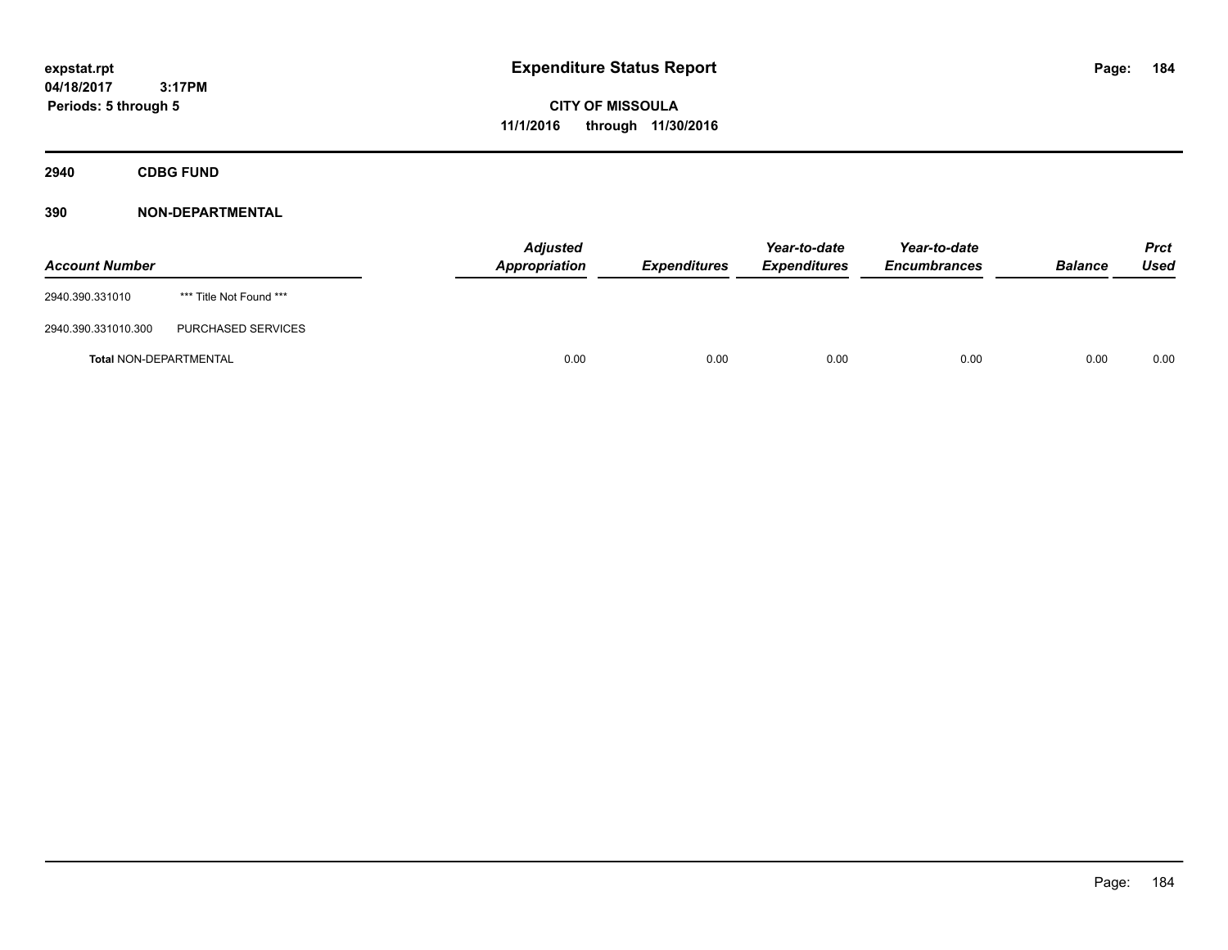**CITY OF MISSOULA 11/1/2016 through 11/30/2016**

**2940 CDBG FUND**

| <b>Account Number</b>         |                         | <b>Adjusted</b><br><b>Appropriation</b> | Expenditures | Year-to-date<br><b>Expenditures</b> | Year-to-date<br><b>Encumbrances</b> | <b>Balance</b> | <b>Prct</b><br>Used |
|-------------------------------|-------------------------|-----------------------------------------|--------------|-------------------------------------|-------------------------------------|----------------|---------------------|
| 2940.390.331010               | *** Title Not Found *** |                                         |              |                                     |                                     |                |                     |
| 2940.390.331010.300           | PURCHASED SERVICES      |                                         |              |                                     |                                     |                |                     |
| <b>Total NON-DEPARTMENTAL</b> |                         | 0.00                                    | 0.00         | 0.00                                | 0.00                                | 0.00           | 0.00                |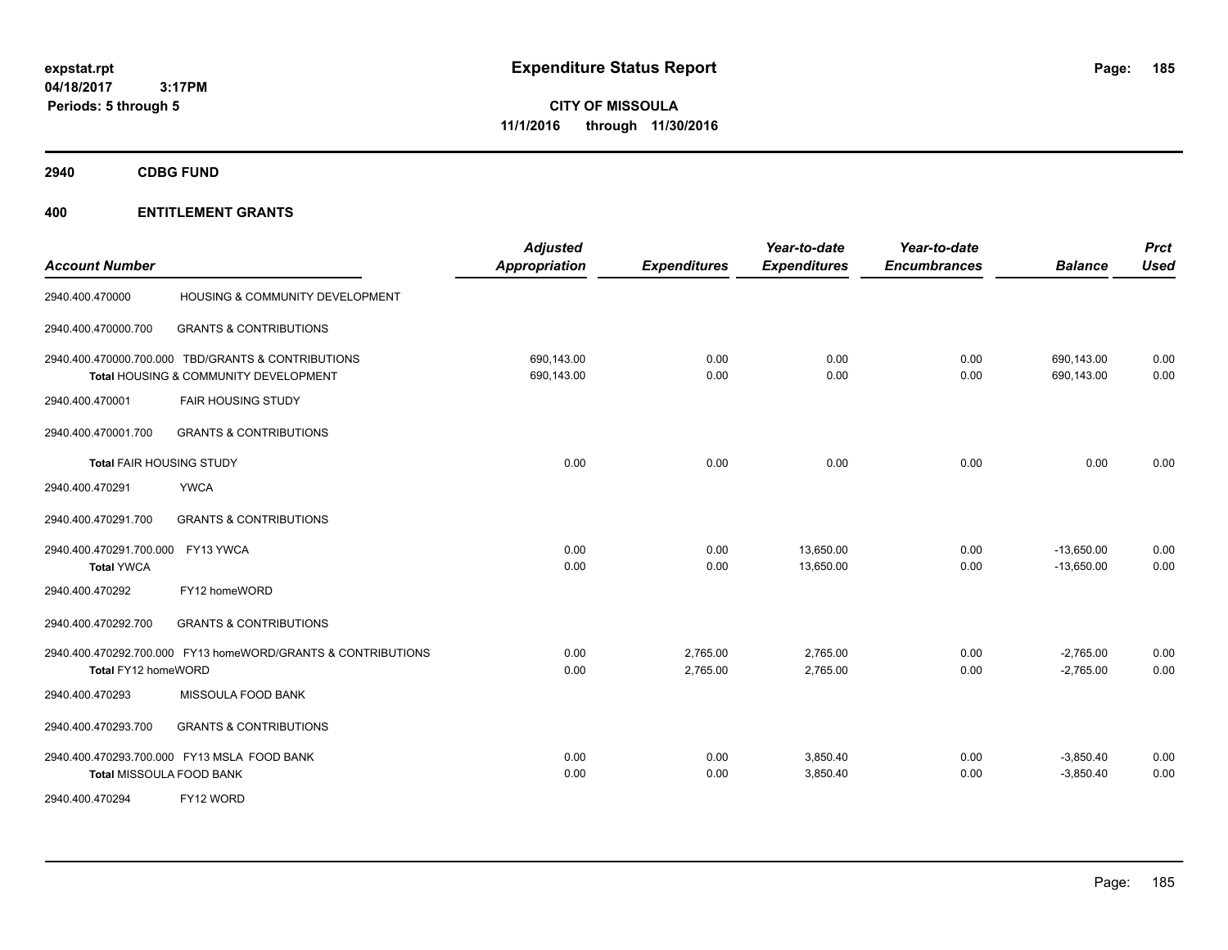**CITY OF MISSOULA 11/1/2016 through 11/30/2016**

**2940 CDBG FUND**

| <b>Account Number</b>                        |                                                                                             | <b>Adjusted</b><br><b>Appropriation</b> | <b>Expenditures</b>  | Year-to-date<br><b>Expenditures</b> | Year-to-date<br><b>Encumbrances</b> | <b>Balance</b>               | <b>Prct</b><br>Used |
|----------------------------------------------|---------------------------------------------------------------------------------------------|-----------------------------------------|----------------------|-------------------------------------|-------------------------------------|------------------------------|---------------------|
| 2940.400.470000                              | HOUSING & COMMUNITY DEVELOPMENT                                                             |                                         |                      |                                     |                                     |                              |                     |
| 2940.400.470000.700                          | <b>GRANTS &amp; CONTRIBUTIONS</b>                                                           |                                         |                      |                                     |                                     |                              |                     |
|                                              | 2940.400.470000.700.000 TBD/GRANTS & CONTRIBUTIONS<br>Total HOUSING & COMMUNITY DEVELOPMENT | 690,143.00<br>690,143.00                | 0.00<br>0.00         | 0.00<br>0.00                        | 0.00<br>0.00                        | 690,143.00<br>690,143.00     | 0.00<br>0.00        |
| 2940.400.470001                              | <b>FAIR HOUSING STUDY</b>                                                                   |                                         |                      |                                     |                                     |                              |                     |
| 2940.400.470001.700                          | <b>GRANTS &amp; CONTRIBUTIONS</b>                                                           |                                         |                      |                                     |                                     |                              |                     |
| <b>Total FAIR HOUSING STUDY</b>              |                                                                                             | 0.00                                    | 0.00                 | 0.00                                | 0.00                                | 0.00                         | 0.00                |
| 2940.400.470291                              | <b>YWCA</b>                                                                                 |                                         |                      |                                     |                                     |                              |                     |
| 2940.400.470291.700                          | <b>GRANTS &amp; CONTRIBUTIONS</b>                                                           |                                         |                      |                                     |                                     |                              |                     |
| 2940.400.470291.700.000<br><b>Total YWCA</b> | FY13 YWCA                                                                                   | 0.00<br>0.00                            | 0.00<br>0.00         | 13,650.00<br>13,650.00              | 0.00<br>0.00                        | $-13,650.00$<br>$-13,650.00$ | 0.00<br>0.00        |
| 2940.400.470292                              | FY12 homeWORD                                                                               |                                         |                      |                                     |                                     |                              |                     |
| 2940.400.470292.700                          | <b>GRANTS &amp; CONTRIBUTIONS</b>                                                           |                                         |                      |                                     |                                     |                              |                     |
| Total FY12 homeWORD                          | 2940.400.470292.700.000 FY13 homeWORD/GRANTS & CONTRIBUTIONS                                | 0.00<br>0.00                            | 2,765.00<br>2,765.00 | 2,765.00<br>2,765.00                | 0.00<br>0.00                        | $-2,765.00$<br>$-2,765.00$   | 0.00<br>0.00        |
| 2940.400.470293                              | MISSOULA FOOD BANK                                                                          |                                         |                      |                                     |                                     |                              |                     |
| 2940.400.470293.700                          | <b>GRANTS &amp; CONTRIBUTIONS</b>                                                           |                                         |                      |                                     |                                     |                              |                     |
| <b>Total MISSOULA FOOD BANK</b>              | 2940.400.470293.700.000 FY13 MSLA FOOD BANK                                                 | 0.00<br>0.00                            | 0.00<br>0.00         | 3,850.40<br>3,850.40                | 0.00<br>0.00                        | $-3,850.40$<br>$-3,850.40$   | 0.00<br>0.00        |
| 2940.400.470294                              | FY12 WORD                                                                                   |                                         |                      |                                     |                                     |                              |                     |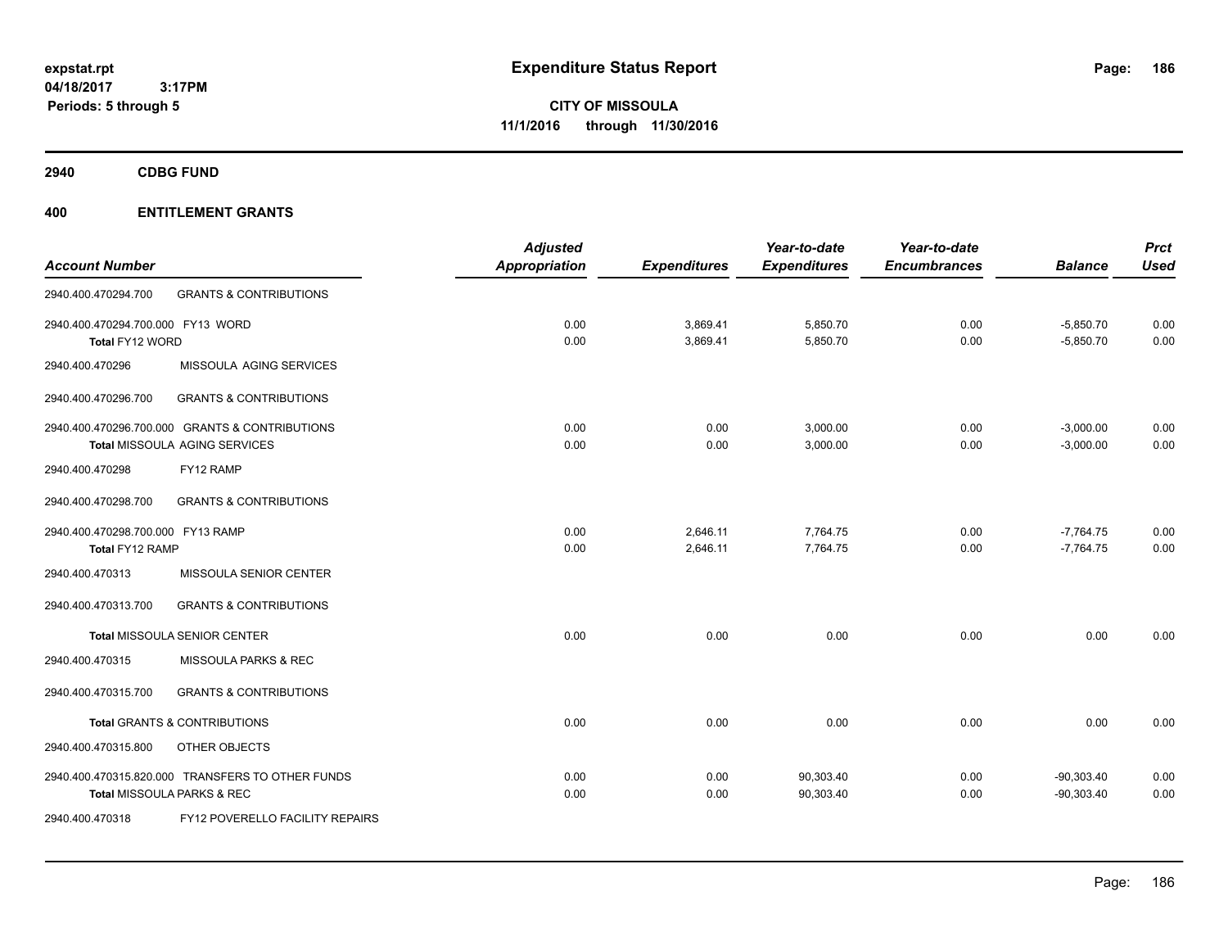**CITY OF MISSOULA 11/1/2016 through 11/30/2016**

**2940 CDBG FUND**

|                                   |                                                  | <b>Adjusted</b>      |                     | Year-to-date        | Year-to-date        |                | <b>Prct</b> |
|-----------------------------------|--------------------------------------------------|----------------------|---------------------|---------------------|---------------------|----------------|-------------|
| <b>Account Number</b>             |                                                  | <b>Appropriation</b> | <b>Expenditures</b> | <b>Expenditures</b> | <b>Encumbrances</b> | <b>Balance</b> | <b>Used</b> |
| 2940.400.470294.700               | <b>GRANTS &amp; CONTRIBUTIONS</b>                |                      |                     |                     |                     |                |             |
| 2940.400.470294.700.000 FY13 WORD |                                                  | 0.00                 | 3,869.41            | 5,850.70            | 0.00                | $-5,850.70$    | 0.00        |
| Total FY12 WORD                   |                                                  | 0.00                 | 3,869.41            | 5,850.70            | 0.00                | $-5,850.70$    | 0.00        |
| 2940.400.470296                   | MISSOULA AGING SERVICES                          |                      |                     |                     |                     |                |             |
| 2940.400.470296.700               | <b>GRANTS &amp; CONTRIBUTIONS</b>                |                      |                     |                     |                     |                |             |
|                                   | 2940.400.470296.700.000 GRANTS & CONTRIBUTIONS   | 0.00                 | 0.00                | 3,000.00            | 0.00                | $-3,000.00$    | 0.00        |
|                                   | Total MISSOULA AGING SERVICES                    | 0.00                 | 0.00                | 3,000.00            | 0.00                | $-3,000.00$    | 0.00        |
| 2940.400.470298                   | FY12 RAMP                                        |                      |                     |                     |                     |                |             |
| 2940.400.470298.700               | <b>GRANTS &amp; CONTRIBUTIONS</b>                |                      |                     |                     |                     |                |             |
| 2940.400.470298.700.000 FY13 RAMP |                                                  | 0.00                 | 2,646.11            | 7,764.75            | 0.00                | $-7,764.75$    | 0.00        |
| Total FY12 RAMP                   |                                                  | 0.00                 | 2,646.11            | 7,764.75            | 0.00                | $-7.764.75$    | 0.00        |
| 2940.400.470313                   | MISSOULA SENIOR CENTER                           |                      |                     |                     |                     |                |             |
| 2940.400.470313.700               | <b>GRANTS &amp; CONTRIBUTIONS</b>                |                      |                     |                     |                     |                |             |
|                                   | <b>Total MISSOULA SENIOR CENTER</b>              | 0.00                 | 0.00                | 0.00                | 0.00                | 0.00           | 0.00        |
| 2940.400.470315                   | MISSOULA PARKS & REC                             |                      |                     |                     |                     |                |             |
| 2940.400.470315.700               | <b>GRANTS &amp; CONTRIBUTIONS</b>                |                      |                     |                     |                     |                |             |
|                                   | <b>Total GRANTS &amp; CONTRIBUTIONS</b>          | 0.00                 | 0.00                | 0.00                | 0.00                | 0.00           | 0.00        |
| 2940.400.470315.800               | OTHER OBJECTS                                    |                      |                     |                     |                     |                |             |
|                                   | 2940.400.470315.820.000 TRANSFERS TO OTHER FUNDS | 0.00                 | 0.00                | 90,303.40           | 0.00                | $-90,303.40$   | 0.00        |
|                                   | Total MISSOULA PARKS & REC                       | 0.00                 | 0.00                | 90,303.40           | 0.00                | $-90,303.40$   | 0.00        |
| 2940.400.470318                   | FY12 POVERELLO FACILITY REPAIRS                  |                      |                     |                     |                     |                |             |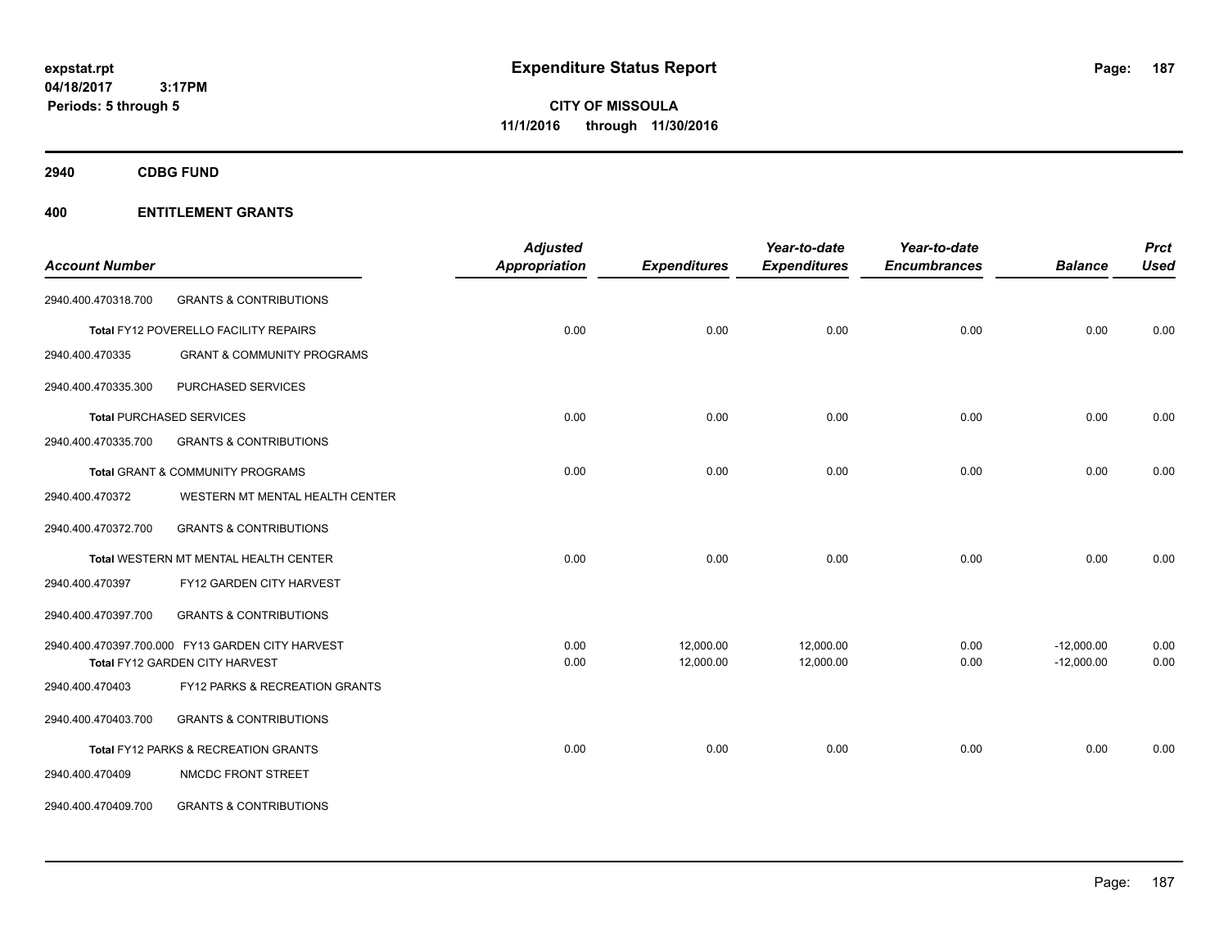**CITY OF MISSOULA 11/1/2016 through 11/30/2016**

**2940 CDBG FUND**

|                       |                                                  | <b>Adjusted</b>      |                     | Year-to-date        | Year-to-date        |                | <b>Prct</b> |
|-----------------------|--------------------------------------------------|----------------------|---------------------|---------------------|---------------------|----------------|-------------|
| <b>Account Number</b> |                                                  | <b>Appropriation</b> | <b>Expenditures</b> | <b>Expenditures</b> | <b>Encumbrances</b> | <b>Balance</b> | <b>Used</b> |
| 2940.400.470318.700   | <b>GRANTS &amp; CONTRIBUTIONS</b>                |                      |                     |                     |                     |                |             |
|                       | Total FY12 POVERELLO FACILITY REPAIRS            | 0.00                 | 0.00                | 0.00                | 0.00                | 0.00           | 0.00        |
| 2940.400.470335       | <b>GRANT &amp; COMMUNITY PROGRAMS</b>            |                      |                     |                     |                     |                |             |
| 2940.400.470335.300   | PURCHASED SERVICES                               |                      |                     |                     |                     |                |             |
|                       | <b>Total PURCHASED SERVICES</b>                  | 0.00                 | 0.00                | 0.00                | 0.00                | 0.00           | 0.00        |
| 2940.400.470335.700   | <b>GRANTS &amp; CONTRIBUTIONS</b>                |                      |                     |                     |                     |                |             |
|                       | Total GRANT & COMMUNITY PROGRAMS                 | 0.00                 | 0.00                | 0.00                | 0.00                | 0.00           | 0.00        |
| 2940.400.470372       | WESTERN MT MENTAL HEALTH CENTER                  |                      |                     |                     |                     |                |             |
| 2940.400.470372.700   | <b>GRANTS &amp; CONTRIBUTIONS</b>                |                      |                     |                     |                     |                |             |
|                       | Total WESTERN MT MENTAL HEALTH CENTER            | 0.00                 | 0.00                | 0.00                | 0.00                | 0.00           | 0.00        |
| 2940.400.470397       | FY12 GARDEN CITY HARVEST                         |                      |                     |                     |                     |                |             |
| 2940.400.470397.700   | <b>GRANTS &amp; CONTRIBUTIONS</b>                |                      |                     |                     |                     |                |             |
|                       | 2940.400.470397.700.000 FY13 GARDEN CITY HARVEST | 0.00                 | 12,000.00           | 12,000.00           | 0.00                | $-12,000.00$   | 0.00        |
|                       | Total FY12 GARDEN CITY HARVEST                   | 0.00                 | 12,000.00           | 12,000.00           | 0.00                | $-12,000.00$   | 0.00        |
| 2940.400.470403       | FY12 PARKS & RECREATION GRANTS                   |                      |                     |                     |                     |                |             |
| 2940.400.470403.700   | <b>GRANTS &amp; CONTRIBUTIONS</b>                |                      |                     |                     |                     |                |             |
|                       | Total FY12 PARKS & RECREATION GRANTS             | 0.00                 | 0.00                | 0.00                | 0.00                | 0.00           | 0.00        |
| 2940.400.470409       | NMCDC FRONT STREET                               |                      |                     |                     |                     |                |             |
| 2940.400.470409.700   | <b>GRANTS &amp; CONTRIBUTIONS</b>                |                      |                     |                     |                     |                |             |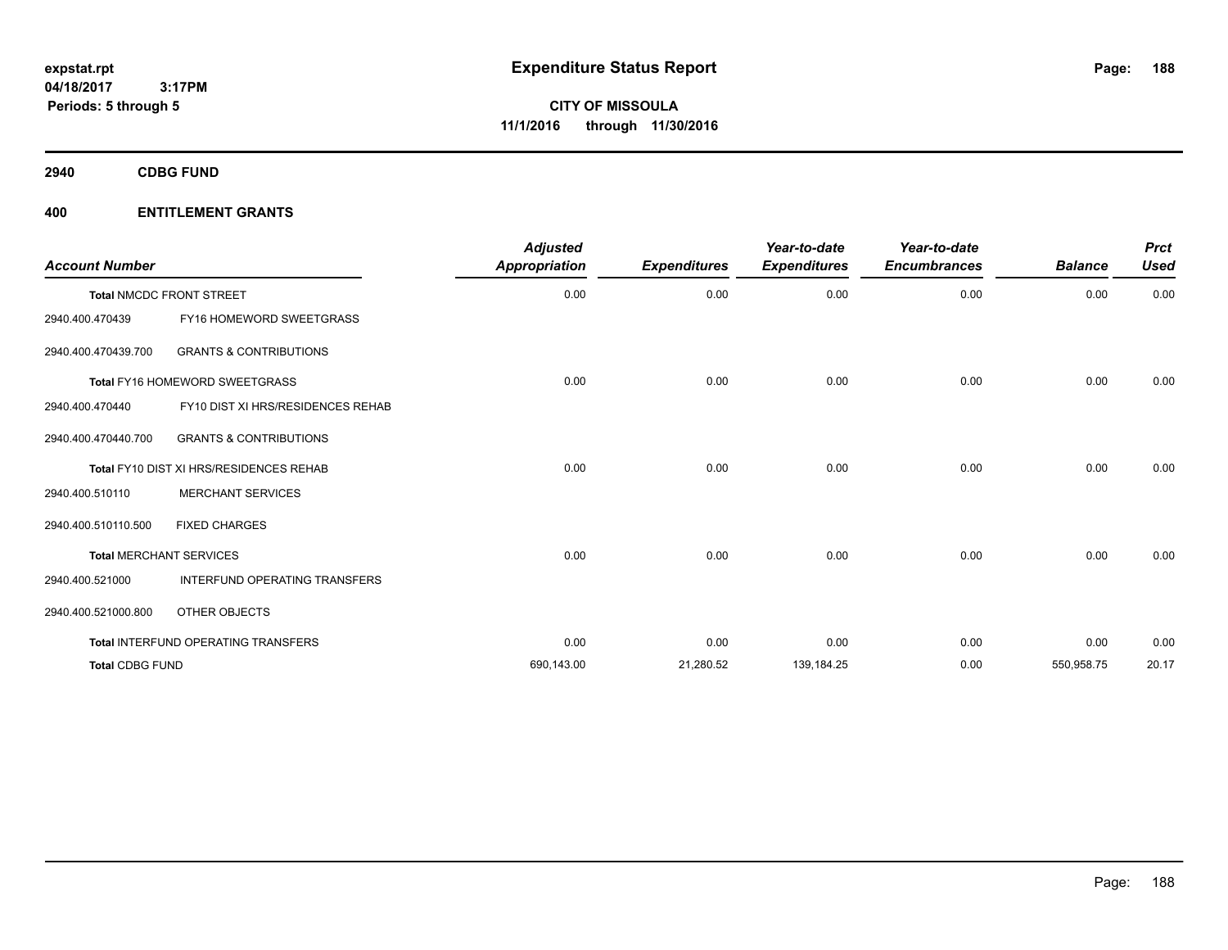**2940 CDBG FUND**

| <b>Account Number</b>  |                                         | <b>Adjusted</b><br><b>Appropriation</b> | <b>Expenditures</b> | Year-to-date<br><b>Expenditures</b> | Year-to-date<br><b>Encumbrances</b> | <b>Balance</b> | <b>Prct</b><br><b>Used</b> |
|------------------------|-----------------------------------------|-----------------------------------------|---------------------|-------------------------------------|-------------------------------------|----------------|----------------------------|
|                        | <b>Total NMCDC FRONT STREET</b>         | 0.00                                    | 0.00                | 0.00                                | 0.00                                | 0.00           | 0.00                       |
| 2940.400.470439        | <b>FY16 HOMEWORD SWEETGRASS</b>         |                                         |                     |                                     |                                     |                |                            |
| 2940.400.470439.700    | <b>GRANTS &amp; CONTRIBUTIONS</b>       |                                         |                     |                                     |                                     |                |                            |
|                        | Total FY16 HOMEWORD SWEETGRASS          | 0.00                                    | 0.00                | 0.00                                | 0.00                                | 0.00           | 0.00                       |
| 2940.400.470440        | FY10 DIST XI HRS/RESIDENCES REHAB       |                                         |                     |                                     |                                     |                |                            |
| 2940.400.470440.700    | <b>GRANTS &amp; CONTRIBUTIONS</b>       |                                         |                     |                                     |                                     |                |                            |
|                        | Total FY10 DIST XI HRS/RESIDENCES REHAB | 0.00                                    | 0.00                | 0.00                                | 0.00                                | 0.00           | 0.00                       |
| 2940.400.510110        | <b>MERCHANT SERVICES</b>                |                                         |                     |                                     |                                     |                |                            |
| 2940.400.510110.500    | <b>FIXED CHARGES</b>                    |                                         |                     |                                     |                                     |                |                            |
|                        | <b>Total MERCHANT SERVICES</b>          | 0.00                                    | 0.00                | 0.00                                | 0.00                                | 0.00           | 0.00                       |
| 2940.400.521000        | INTERFUND OPERATING TRANSFERS           |                                         |                     |                                     |                                     |                |                            |
| 2940.400.521000.800    | OTHER OBJECTS                           |                                         |                     |                                     |                                     |                |                            |
|                        | Total INTERFUND OPERATING TRANSFERS     | 0.00                                    | 0.00                | 0.00                                | 0.00                                | 0.00           | 0.00                       |
| <b>Total CDBG FUND</b> |                                         | 690,143.00                              | 21,280.52           | 139,184.25                          | 0.00                                | 550,958.75     | 20.17                      |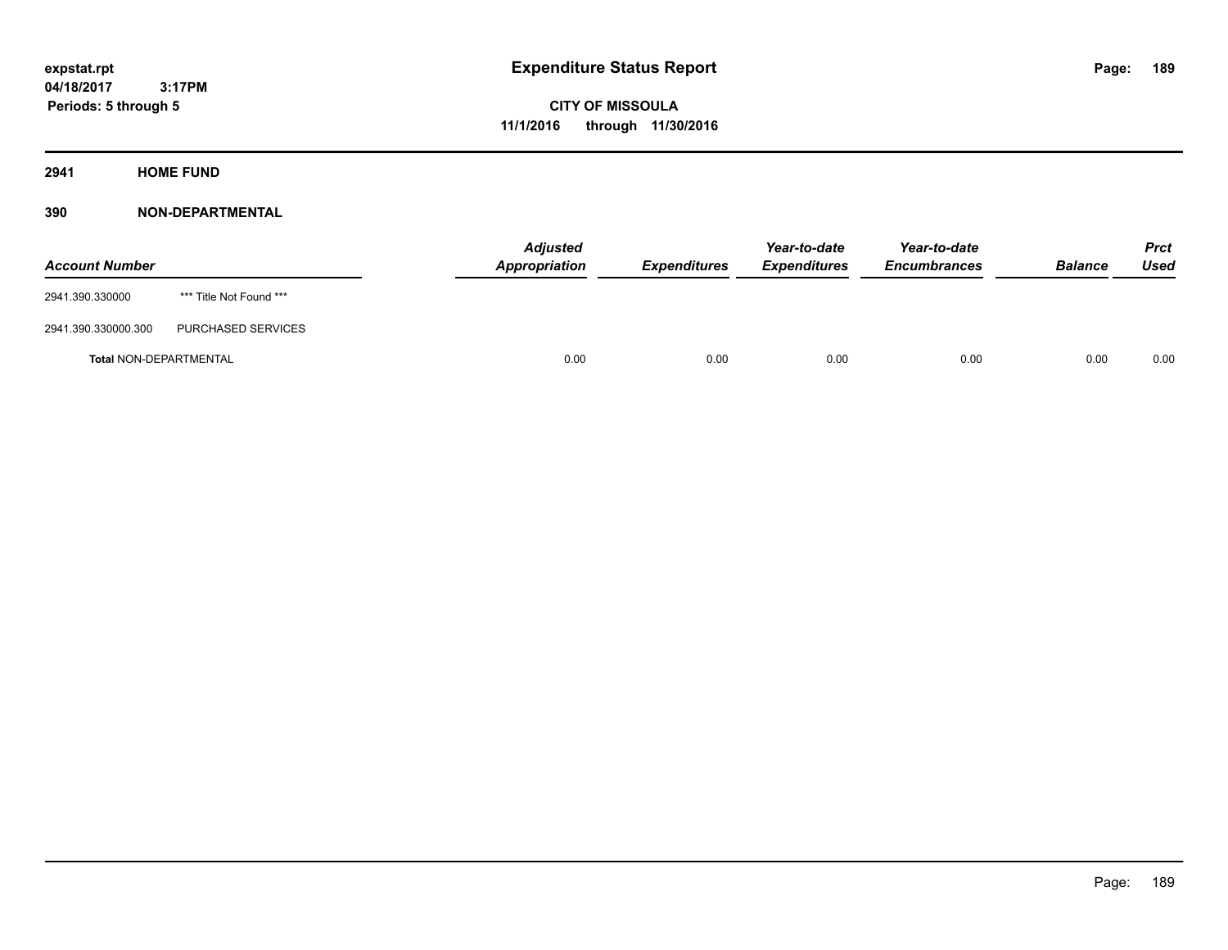**CITY OF MISSOULA 11/1/2016 through 11/30/2016**

**2941 HOME FUND**

| <b>Account Number</b>         |                         | <b>Adjusted</b><br>Appropriation | <b>Expenditures</b> | Year-to-date<br><i><b>Expenditures</b></i> | Year-to-date<br><b>Encumbrances</b> | <b>Balance</b> | <b>Prct</b><br>Used |
|-------------------------------|-------------------------|----------------------------------|---------------------|--------------------------------------------|-------------------------------------|----------------|---------------------|
| 2941.390.330000               | *** Title Not Found *** |                                  |                     |                                            |                                     |                |                     |
| 2941.390.330000.300           | PURCHASED SERVICES      |                                  |                     |                                            |                                     |                |                     |
| <b>Total NON-DEPARTMENTAL</b> |                         | 0.00                             | 0.00                | 0.00                                       | 0.00                                | 0.00           | 0.00                |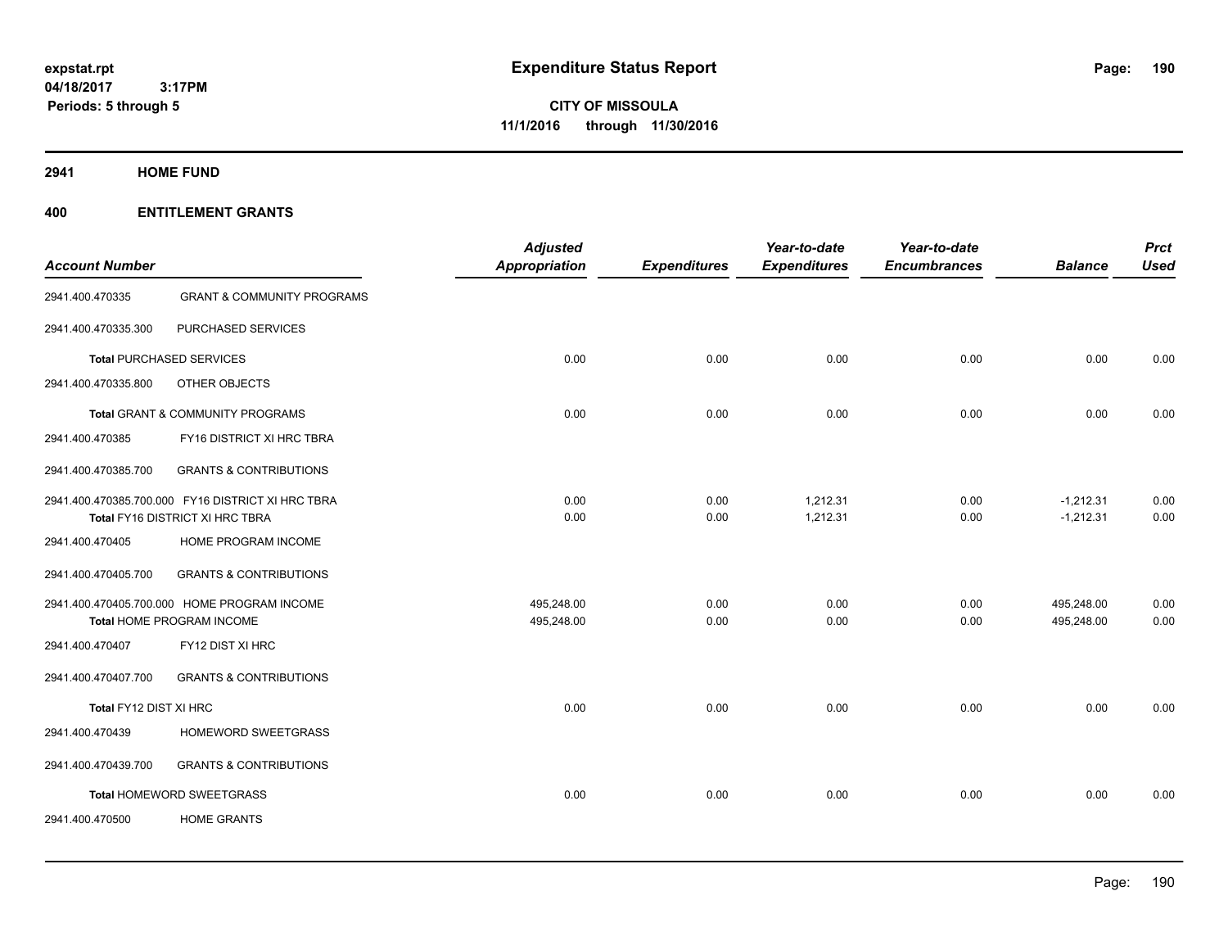## **2941 HOME FUND**

| <b>Account Number</b>  |                                                   | <b>Adjusted</b><br><b>Appropriation</b> | <b>Expenditures</b> | Year-to-date<br><b>Expenditures</b> | Year-to-date<br><b>Encumbrances</b> | <b>Balance</b> | <b>Prct</b><br><b>Used</b> |
|------------------------|---------------------------------------------------|-----------------------------------------|---------------------|-------------------------------------|-------------------------------------|----------------|----------------------------|
| 2941.400.470335        | <b>GRANT &amp; COMMUNITY PROGRAMS</b>             |                                         |                     |                                     |                                     |                |                            |
| 2941.400.470335.300    | PURCHASED SERVICES                                |                                         |                     |                                     |                                     |                |                            |
|                        | <b>Total PURCHASED SERVICES</b>                   | 0.00                                    | 0.00                | 0.00                                | 0.00                                | 0.00           | 0.00                       |
| 2941.400.470335.800    | OTHER OBJECTS                                     |                                         |                     |                                     |                                     |                |                            |
|                        | Total GRANT & COMMUNITY PROGRAMS                  | 0.00                                    | 0.00                | 0.00                                | 0.00                                | 0.00           | 0.00                       |
| 2941.400.470385        | FY16 DISTRICT XI HRC TBRA                         |                                         |                     |                                     |                                     |                |                            |
| 2941.400.470385.700    | <b>GRANTS &amp; CONTRIBUTIONS</b>                 |                                         |                     |                                     |                                     |                |                            |
|                        | 2941.400.470385.700.000 FY16 DISTRICT XI HRC TBRA | 0.00                                    | 0.00                | 1,212.31                            | 0.00                                | $-1,212.31$    | 0.00                       |
|                        | Total FY16 DISTRICT XI HRC TBRA                   | 0.00                                    | 0.00                | 1,212.31                            | 0.00                                | $-1,212.31$    | 0.00                       |
| 2941.400.470405        | HOME PROGRAM INCOME                               |                                         |                     |                                     |                                     |                |                            |
| 2941.400.470405.700    | <b>GRANTS &amp; CONTRIBUTIONS</b>                 |                                         |                     |                                     |                                     |                |                            |
|                        | 2941.400.470405.700.000 HOME PROGRAM INCOME       | 495,248.00                              | 0.00                | 0.00                                | 0.00                                | 495,248.00     | 0.00                       |
|                        | Total HOME PROGRAM INCOME                         | 495,248.00                              | 0.00                | 0.00                                | 0.00                                | 495,248.00     | 0.00                       |
| 2941.400.470407        | FY12 DIST XI HRC                                  |                                         |                     |                                     |                                     |                |                            |
| 2941.400.470407.700    | <b>GRANTS &amp; CONTRIBUTIONS</b>                 |                                         |                     |                                     |                                     |                |                            |
| Total FY12 DIST XI HRC |                                                   | 0.00                                    | 0.00                | 0.00                                | 0.00                                | 0.00           | 0.00                       |
| 2941.400.470439        | HOMEWORD SWEETGRASS                               |                                         |                     |                                     |                                     |                |                            |
| 2941.400.470439.700    | <b>GRANTS &amp; CONTRIBUTIONS</b>                 |                                         |                     |                                     |                                     |                |                            |
|                        | Total HOMEWORD SWEETGRASS                         | 0.00                                    | 0.00                | 0.00                                | 0.00                                | 0.00           | 0.00                       |
| 2941.400.470500        | <b>HOME GRANTS</b>                                |                                         |                     |                                     |                                     |                |                            |
|                        |                                                   |                                         |                     |                                     |                                     |                |                            |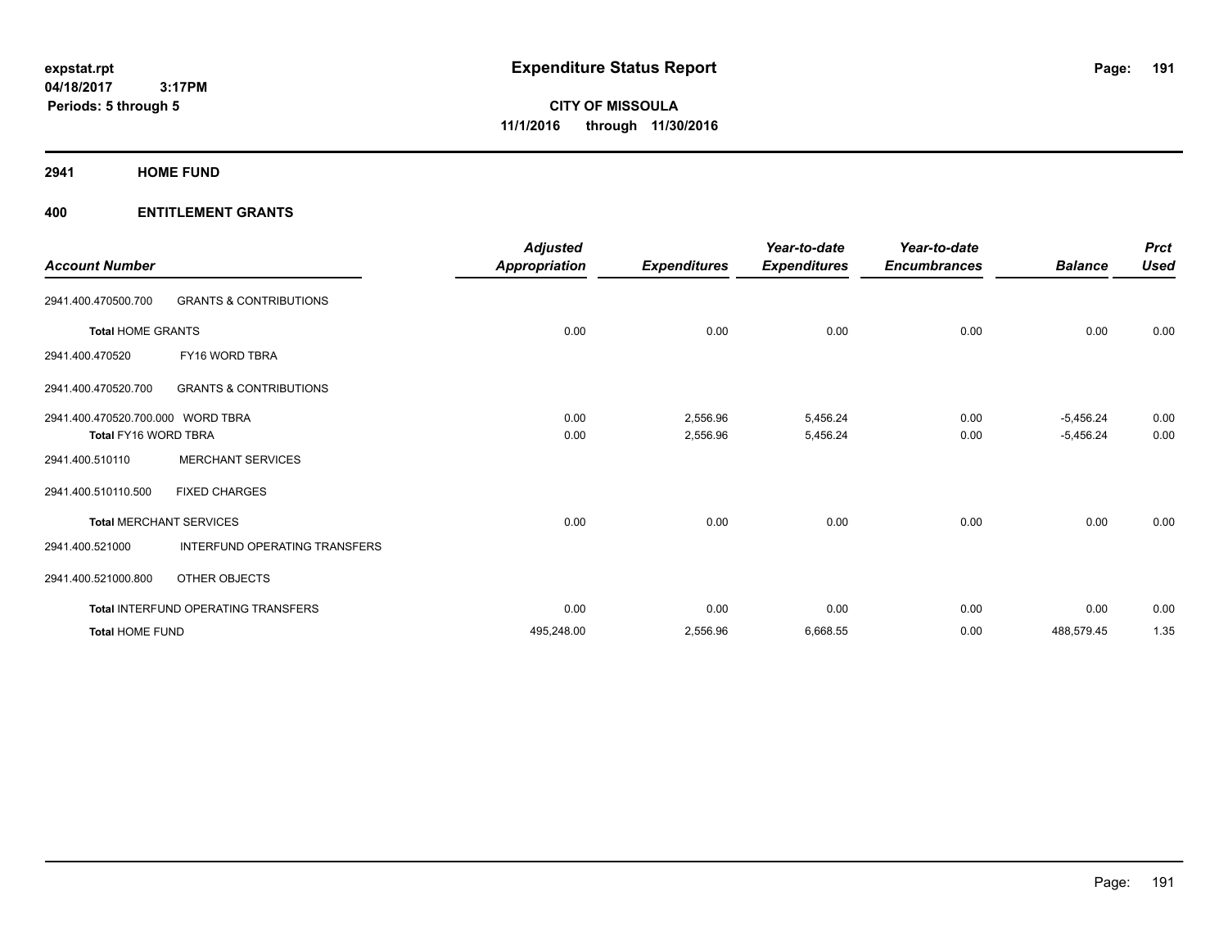**Periods: 5 through 5**

**CITY OF MISSOULA 11/1/2016 through 11/30/2016**

**2941 HOME FUND**

| <b>Account Number</b>             |                                     | <b>Adjusted</b><br><b>Appropriation</b> | <b>Expenditures</b> | Year-to-date<br><b>Expenditures</b> | Year-to-date<br><b>Encumbrances</b> | <b>Balance</b> | <b>Prct</b><br><b>Used</b> |
|-----------------------------------|-------------------------------------|-----------------------------------------|---------------------|-------------------------------------|-------------------------------------|----------------|----------------------------|
| 2941.400.470500.700               | <b>GRANTS &amp; CONTRIBUTIONS</b>   |                                         |                     |                                     |                                     |                |                            |
| <b>Total HOME GRANTS</b>          |                                     | 0.00                                    | 0.00                | 0.00                                | 0.00                                | 0.00           | 0.00                       |
| 2941.400.470520                   | FY16 WORD TBRA                      |                                         |                     |                                     |                                     |                |                            |
| 2941.400.470520.700               | <b>GRANTS &amp; CONTRIBUTIONS</b>   |                                         |                     |                                     |                                     |                |                            |
| 2941.400.470520.700.000 WORD TBRA |                                     | 0.00                                    | 2,556.96            | 5,456.24                            | 0.00                                | $-5,456.24$    | 0.00                       |
| Total FY16 WORD TBRA              |                                     | 0.00                                    | 2,556.96            | 5,456.24                            | 0.00                                | $-5,456.24$    | 0.00                       |
| 2941.400.510110                   | <b>MERCHANT SERVICES</b>            |                                         |                     |                                     |                                     |                |                            |
| 2941.400.510110.500               | <b>FIXED CHARGES</b>                |                                         |                     |                                     |                                     |                |                            |
|                                   | <b>Total MERCHANT SERVICES</b>      | 0.00                                    | 0.00                | 0.00                                | 0.00                                | 0.00           | 0.00                       |
| 2941.400.521000                   | INTERFUND OPERATING TRANSFERS       |                                         |                     |                                     |                                     |                |                            |
| 2941.400.521000.800               | OTHER OBJECTS                       |                                         |                     |                                     |                                     |                |                            |
|                                   | Total INTERFUND OPERATING TRANSFERS | 0.00                                    | 0.00                | 0.00                                | 0.00                                | 0.00           | 0.00                       |
| <b>Total HOME FUND</b>            |                                     | 495.248.00                              | 2,556.96            | 6,668.55                            | 0.00                                | 488,579.45     | 1.35                       |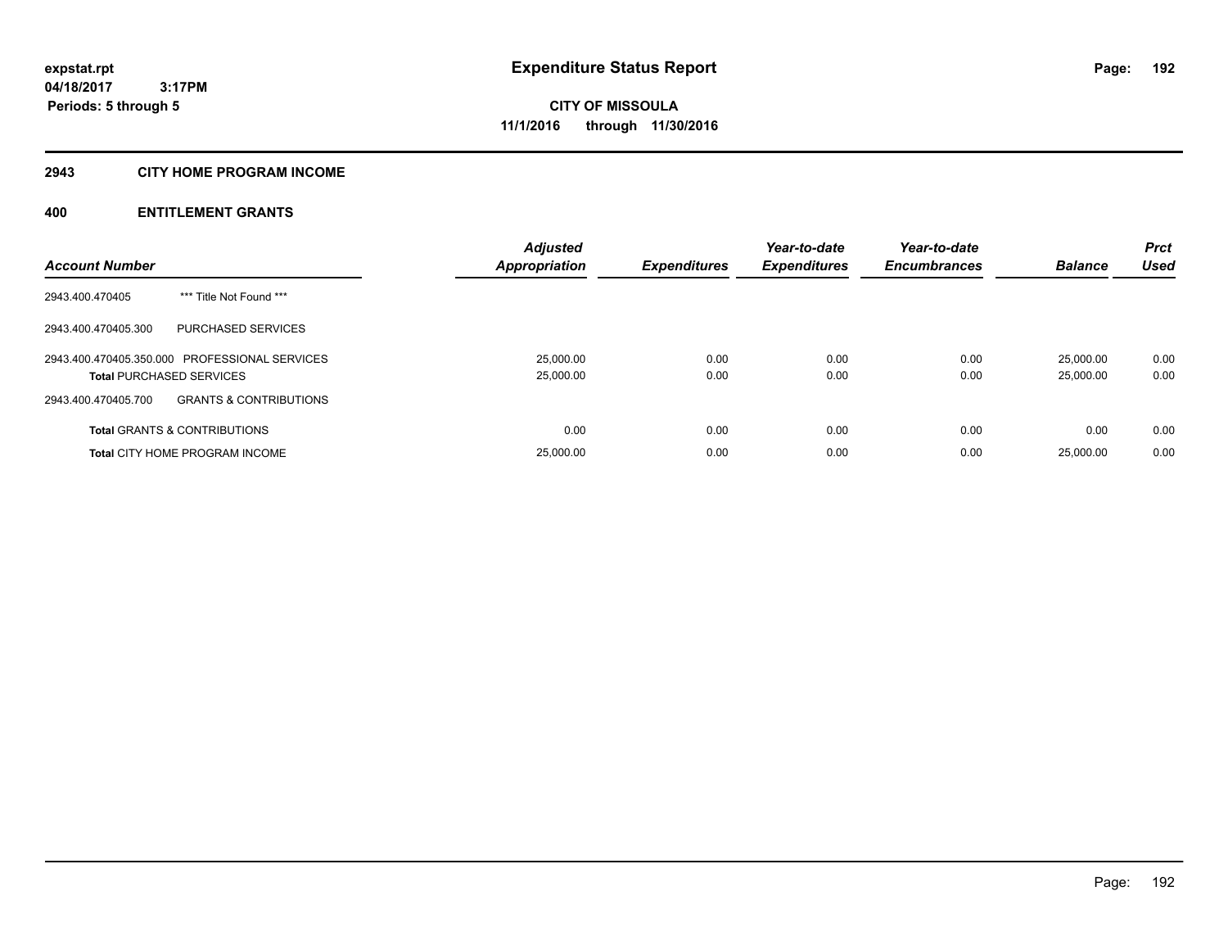# **2943 CITY HOME PROGRAM INCOME**

| <b>Account Number</b>                                    | <b>Adjusted</b><br><b>Appropriation</b> | <b>Expenditures</b> | Year-to-date<br><b>Expenditures</b> | Year-to-date<br><b>Encumbrances</b> | <b>Balance</b> | <b>Prct</b><br><b>Used</b> |
|----------------------------------------------------------|-----------------------------------------|---------------------|-------------------------------------|-------------------------------------|----------------|----------------------------|
|                                                          |                                         |                     |                                     |                                     |                |                            |
| *** Title Not Found ***<br>2943.400.470405               |                                         |                     |                                     |                                     |                |                            |
| PURCHASED SERVICES<br>2943.400.470405.300                |                                         |                     |                                     |                                     |                |                            |
| 2943.400.470405.350.000 PROFESSIONAL SERVICES            | 25.000.00                               | 0.00                | 0.00                                | 0.00                                | 25.000.00      | 0.00                       |
| <b>Total PURCHASED SERVICES</b>                          | 25,000.00                               | 0.00                | 0.00                                | 0.00                                | 25.000.00      | 0.00                       |
| 2943.400.470405.700<br><b>GRANTS &amp; CONTRIBUTIONS</b> |                                         |                     |                                     |                                     |                |                            |
| <b>Total GRANTS &amp; CONTRIBUTIONS</b>                  | 0.00                                    | 0.00                | 0.00                                | 0.00                                | 0.00           | 0.00                       |
| <b>Total CITY HOME PROGRAM INCOME</b>                    | 25,000.00                               | 0.00                | 0.00                                | 0.00                                | 25.000.00      | 0.00                       |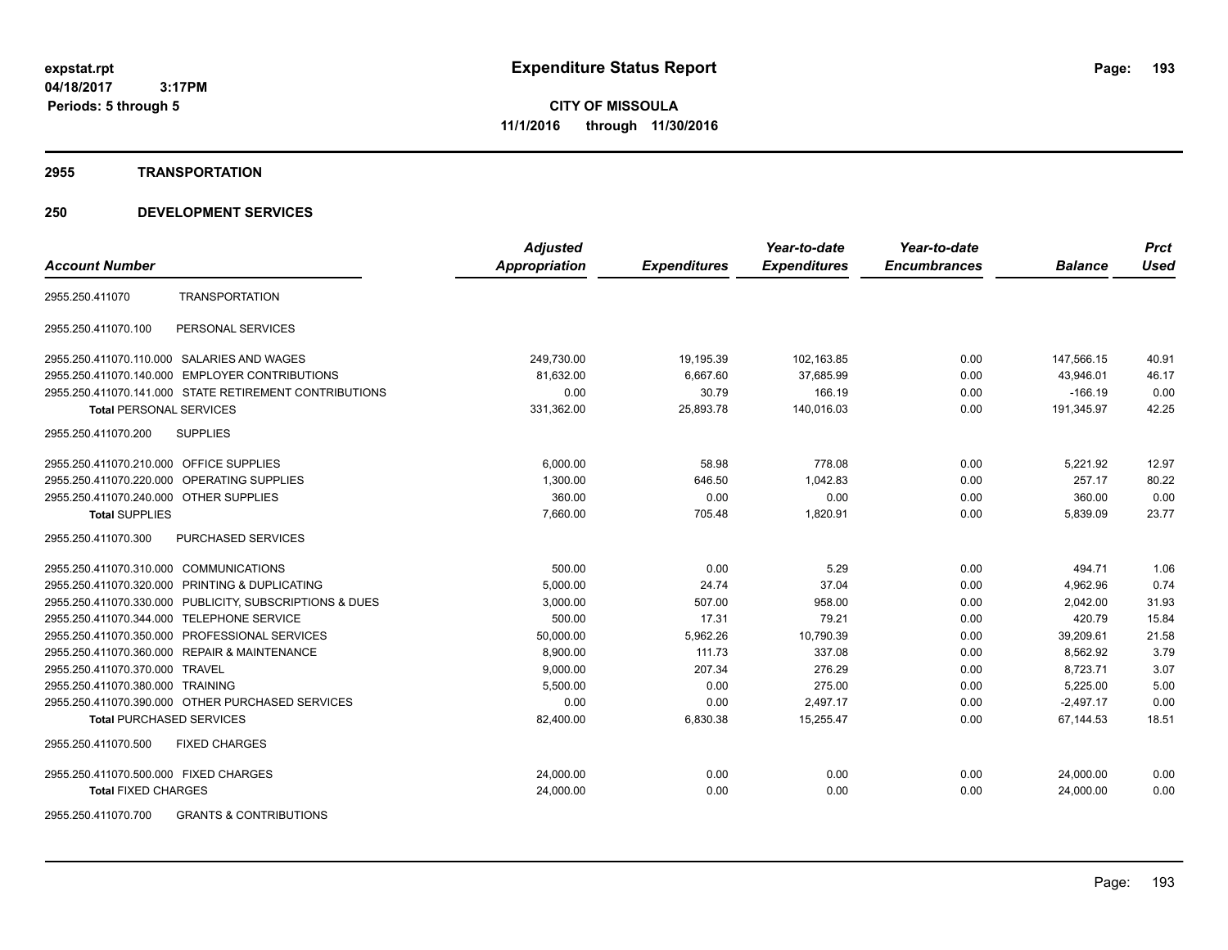**CITY OF MISSOULA 11/1/2016 through 11/30/2016**

#### **2955 TRANSPORTATION**

# **250 DEVELOPMENT SERVICES**

|                                                         | <b>Adjusted</b> |                     | Year-to-date        | Year-to-date        |                | <b>Prct</b> |
|---------------------------------------------------------|-----------------|---------------------|---------------------|---------------------|----------------|-------------|
| <b>Account Number</b>                                   | Appropriation   | <b>Expenditures</b> | <b>Expenditures</b> | <b>Encumbrances</b> | <b>Balance</b> | <b>Used</b> |
| <b>TRANSPORTATION</b><br>2955.250.411070                |                 |                     |                     |                     |                |             |
| PERSONAL SERVICES<br>2955.250.411070.100                |                 |                     |                     |                     |                |             |
| 2955.250.411070.110.000 SALARIES AND WAGES              | 249,730.00      | 19,195.39           | 102,163.85          | 0.00                | 147,566.15     | 40.91       |
| 2955.250.411070.140.000 EMPLOYER CONTRIBUTIONS          | 81.632.00       | 6.667.60            | 37,685.99           | 0.00                | 43.946.01      | 46.17       |
| 2955.250.411070.141.000 STATE RETIREMENT CONTRIBUTIONS  | 0.00            | 30.79               | 166.19              | 0.00                | $-166.19$      | 0.00        |
| <b>Total PERSONAL SERVICES</b>                          | 331,362.00      | 25,893.78           | 140,016.03          | 0.00                | 191,345.97     | 42.25       |
| 2955.250.411070.200<br><b>SUPPLIES</b>                  |                 |                     |                     |                     |                |             |
| 2955.250.411070.210.000 OFFICE SUPPLIES                 | 6,000.00        | 58.98               | 778.08              | 0.00                | 5,221.92       | 12.97       |
| 2955.250.411070.220.000 OPERATING SUPPLIES              | 1,300.00        | 646.50              | 1,042.83            | 0.00                | 257.17         | 80.22       |
| 2955.250.411070.240.000 OTHER SUPPLIES                  | 360.00          | 0.00                | 0.00                | 0.00                | 360.00         | 0.00        |
| <b>Total SUPPLIES</b>                                   | 7,660.00        | 705.48              | 1,820.91            | 0.00                | 5,839.09       | 23.77       |
| <b>PURCHASED SERVICES</b><br>2955.250.411070.300        |                 |                     |                     |                     |                |             |
| 2955.250.411070.310.000 COMMUNICATIONS                  | 500.00          | 0.00                | 5.29                | 0.00                | 494.71         | 1.06        |
| 2955.250.411070.320.000 PRINTING & DUPLICATING          | 5,000.00        | 24.74               | 37.04               | 0.00                | 4,962.96       | 0.74        |
| 2955.250.411070.330.000 PUBLICITY, SUBSCRIPTIONS & DUES | 3,000.00        | 507.00              | 958.00              | 0.00                | 2.042.00       | 31.93       |
| 2955.250.411070.344.000 TELEPHONE SERVICE               | 500.00          | 17.31               | 79.21               | 0.00                | 420.79         | 15.84       |
| 2955.250.411070.350.000 PROFESSIONAL SERVICES           | 50,000.00       | 5,962.26            | 10,790.39           | 0.00                | 39,209.61      | 21.58       |
| 2955.250.411070.360.000 REPAIR & MAINTENANCE            | 8,900.00        | 111.73              | 337.08              | 0.00                | 8.562.92       | 3.79        |
| 2955.250.411070.370.000 TRAVEL                          | 9,000.00        | 207.34              | 276.29              | 0.00                | 8,723.71       | 3.07        |
| 2955.250.411070.380.000 TRAINING                        | 5,500.00        | 0.00                | 275.00              | 0.00                | 5,225.00       | 5.00        |
| 2955.250.411070.390.000 OTHER PURCHASED SERVICES        | 0.00            | 0.00                | 2,497.17            | 0.00                | $-2.497.17$    | 0.00        |
| <b>Total PURCHASED SERVICES</b>                         | 82,400.00       | 6,830.38            | 15,255.47           | 0.00                | 67,144.53      | 18.51       |
| 2955.250.411070.500<br><b>FIXED CHARGES</b>             |                 |                     |                     |                     |                |             |
| 2955.250.411070.500.000 FIXED CHARGES                   | 24,000.00       | 0.00                | 0.00                | 0.00                | 24,000.00      | 0.00        |
| <b>Total FIXED CHARGES</b>                              | 24,000.00       | 0.00                | 0.00                | 0.00                | 24,000.00      | 0.00        |
|                                                         |                 |                     |                     |                     |                |             |

2955.250.411070.700 GRANTS & CONTRIBUTIONS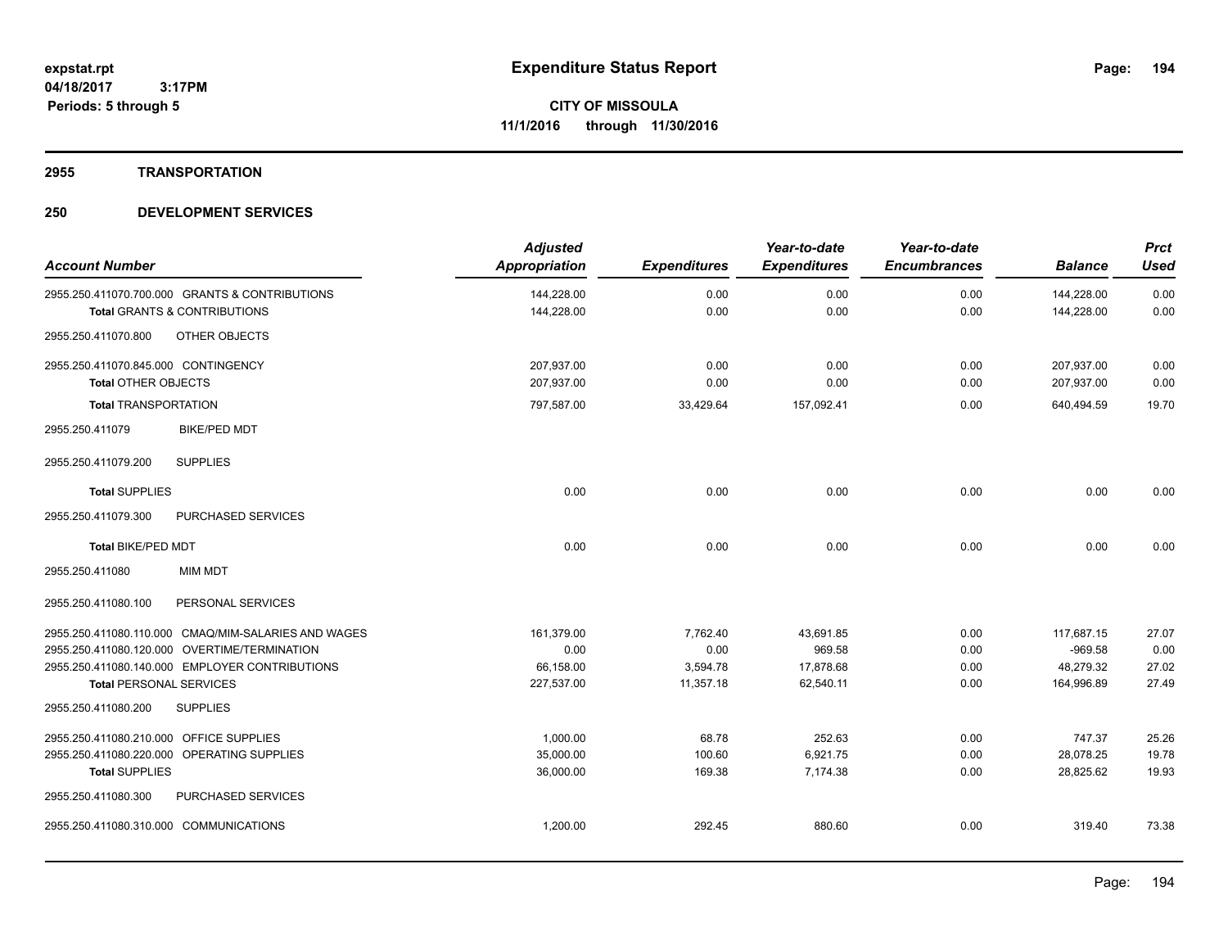**2955 TRANSPORTATION**

# **250 DEVELOPMENT SERVICES**

| <b>Account Number</b>                      |                                                                                           | <b>Adjusted</b><br>Appropriation | <b>Expenditures</b> | Year-to-date<br><b>Expenditures</b> | Year-to-date<br><b>Encumbrances</b> | <b>Balance</b>           | <b>Prct</b><br><b>Used</b> |
|--------------------------------------------|-------------------------------------------------------------------------------------------|----------------------------------|---------------------|-------------------------------------|-------------------------------------|--------------------------|----------------------------|
|                                            | 2955.250.411070.700.000 GRANTS & CONTRIBUTIONS<br><b>Total GRANTS &amp; CONTRIBUTIONS</b> | 144,228.00<br>144,228.00         | 0.00<br>0.00        | 0.00<br>0.00                        | 0.00<br>0.00                        | 144,228.00<br>144,228.00 | 0.00<br>0.00               |
| 2955.250.411070.800                        | OTHER OBJECTS                                                                             |                                  |                     |                                     |                                     |                          |                            |
| 2955.250.411070.845.000 CONTINGENCY        |                                                                                           | 207,937.00                       | 0.00                | 0.00                                | 0.00                                | 207,937.00               | 0.00                       |
| <b>Total OTHER OBJECTS</b>                 |                                                                                           | 207,937.00                       | 0.00                | 0.00                                | 0.00                                | 207,937.00               | 0.00                       |
| <b>Total TRANSPORTATION</b>                |                                                                                           | 797,587.00                       | 33,429.64           | 157,092.41                          | 0.00                                | 640,494.59               | 19.70                      |
| 2955.250.411079                            | <b>BIKE/PED MDT</b>                                                                       |                                  |                     |                                     |                                     |                          |                            |
| 2955.250.411079.200                        | <b>SUPPLIES</b>                                                                           |                                  |                     |                                     |                                     |                          |                            |
| <b>Total SUPPLIES</b>                      |                                                                                           | 0.00                             | 0.00                | 0.00                                | 0.00                                | 0.00                     | 0.00                       |
| 2955.250.411079.300                        | PURCHASED SERVICES                                                                        |                                  |                     |                                     |                                     |                          |                            |
| <b>Total BIKE/PED MDT</b>                  |                                                                                           | 0.00                             | 0.00                | 0.00                                | 0.00                                | 0.00                     | 0.00                       |
| 2955.250.411080                            | <b>MIM MDT</b>                                                                            |                                  |                     |                                     |                                     |                          |                            |
| 2955.250.411080.100                        | PERSONAL SERVICES                                                                         |                                  |                     |                                     |                                     |                          |                            |
|                                            | 2955.250.411080.110.000 CMAQ/MIM-SALARIES AND WAGES                                       | 161,379.00                       | 7,762.40            | 43,691.85                           | 0.00                                | 117,687.15               | 27.07                      |
|                                            | 2955.250.411080.120.000 OVERTIME/TERMINATION                                              | 0.00                             | 0.00                | 969.58                              | 0.00                                | $-969.58$                | 0.00                       |
|                                            | 2955.250.411080.140.000 EMPLOYER CONTRIBUTIONS                                            | 66,158.00                        | 3,594.78            | 17,878.68                           | 0.00                                | 48,279.32                | 27.02                      |
| <b>Total PERSONAL SERVICES</b>             |                                                                                           | 227,537.00                       | 11,357.18           | 62,540.11                           | 0.00                                | 164,996.89               | 27.49                      |
| 2955.250.411080.200                        | <b>SUPPLIES</b>                                                                           |                                  |                     |                                     |                                     |                          |                            |
| 2955.250.411080.210.000 OFFICE SUPPLIES    |                                                                                           | 1,000.00                         | 68.78               | 252.63                              | 0.00                                | 747.37                   | 25.26                      |
| 2955.250.411080.220.000 OPERATING SUPPLIES |                                                                                           | 35,000.00                        | 100.60              | 6,921.75                            | 0.00                                | 28,078.25                | 19.78                      |
| <b>Total SUPPLIES</b>                      |                                                                                           | 36,000.00                        | 169.38              | 7,174.38                            | 0.00                                | 28.825.62                | 19.93                      |
| 2955.250.411080.300                        | <b>PURCHASED SERVICES</b>                                                                 |                                  |                     |                                     |                                     |                          |                            |
| 2955.250.411080.310.000 COMMUNICATIONS     |                                                                                           | 1,200.00                         | 292.45              | 880.60                              | 0.00                                | 319.40                   | 73.38                      |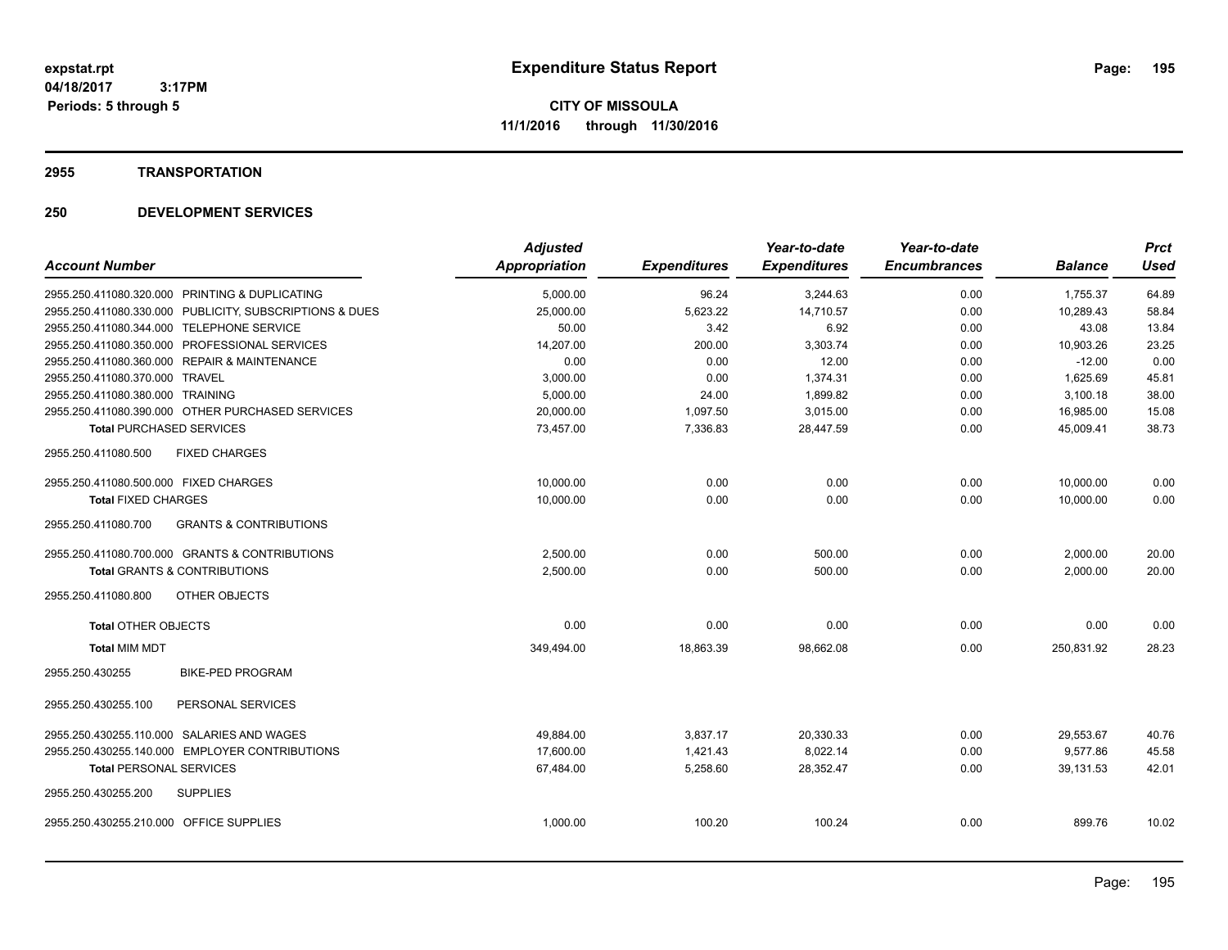#### **2955 TRANSPORTATION**

# **250 DEVELOPMENT SERVICES**

|                                                          | <b>Adjusted</b>      |                     | Year-to-date        | Year-to-date        |                | <b>Prct</b> |
|----------------------------------------------------------|----------------------|---------------------|---------------------|---------------------|----------------|-------------|
| <b>Account Number</b>                                    | <b>Appropriation</b> | <b>Expenditures</b> | <b>Expenditures</b> | <b>Encumbrances</b> | <b>Balance</b> | <b>Used</b> |
| 2955.250.411080.320.000 PRINTING & DUPLICATING           | 5,000.00             | 96.24               | 3,244.63            | 0.00                | 1,755.37       | 64.89       |
| 2955.250.411080.330.000 PUBLICITY, SUBSCRIPTIONS & DUES  | 25,000.00            | 5,623.22            | 14,710.57           | 0.00                | 10,289.43      | 58.84       |
| 2955.250.411080.344.000 TELEPHONE SERVICE                | 50.00                | 3.42                | 6.92                | 0.00                | 43.08          | 13.84       |
| 2955.250.411080.350.000 PROFESSIONAL SERVICES            | 14,207.00            | 200.00              | 3,303.74            | 0.00                | 10,903.26      | 23.25       |
| 2955.250.411080.360.000 REPAIR & MAINTENANCE             | 0.00                 | 0.00                | 12.00               | 0.00                | $-12.00$       | 0.00        |
| 2955.250.411080.370.000 TRAVEL                           | 3,000.00             | 0.00                | 1,374.31            | 0.00                | 1,625.69       | 45.81       |
| 2955.250.411080.380.000 TRAINING                         | 5,000.00             | 24.00               | 1,899.82            | 0.00                | 3,100.18       | 38.00       |
| 2955.250.411080.390.000 OTHER PURCHASED SERVICES         | 20,000.00            | 1,097.50            | 3,015.00            | 0.00                | 16,985.00      | 15.08       |
| <b>Total PURCHASED SERVICES</b>                          | 73,457.00            | 7,336.83            | 28,447.59           | 0.00                | 45,009.41      | 38.73       |
| <b>FIXED CHARGES</b><br>2955.250.411080.500              |                      |                     |                     |                     |                |             |
| 2955.250.411080.500.000 FIXED CHARGES                    | 10,000.00            | 0.00                | 0.00                | 0.00                | 10,000.00      | 0.00        |
| <b>Total FIXED CHARGES</b>                               | 10,000.00            | 0.00                | 0.00                | 0.00                | 10,000.00      | 0.00        |
| 2955.250.411080.700<br><b>GRANTS &amp; CONTRIBUTIONS</b> |                      |                     |                     |                     |                |             |
| 2955.250.411080.700.000 GRANTS & CONTRIBUTIONS           | 2,500.00             | 0.00                | 500.00              | 0.00                | 2,000.00       | 20.00       |
| <b>Total GRANTS &amp; CONTRIBUTIONS</b>                  | 2,500.00             | 0.00                | 500.00              | 0.00                | 2,000.00       | 20.00       |
| 2955.250.411080.800<br>OTHER OBJECTS                     |                      |                     |                     |                     |                |             |
| <b>Total OTHER OBJECTS</b>                               | 0.00                 | 0.00                | 0.00                | 0.00                | 0.00           | 0.00        |
| <b>Total MIM MDT</b>                                     | 349,494.00           | 18,863.39           | 98,662.08           | 0.00                | 250,831.92     | 28.23       |
| <b>BIKE-PED PROGRAM</b><br>2955.250.430255               |                      |                     |                     |                     |                |             |
| PERSONAL SERVICES<br>2955.250.430255.100                 |                      |                     |                     |                     |                |             |
| 2955.250.430255.110.000 SALARIES AND WAGES               | 49.884.00            | 3,837.17            | 20,330.33           | 0.00                | 29,553.67      | 40.76       |
| 2955.250.430255.140.000 EMPLOYER CONTRIBUTIONS           | 17,600.00            | 1,421.43            | 8,022.14            | 0.00                | 9,577.86       | 45.58       |
| <b>Total PERSONAL SERVICES</b>                           | 67,484.00            | 5,258.60            | 28,352.47           | 0.00                | 39,131.53      | 42.01       |
| 2955.250.430255.200<br><b>SUPPLIES</b>                   |                      |                     |                     |                     |                |             |
| 2955.250.430255.210.000 OFFICE SUPPLIES                  | 1,000.00             | 100.20              | 100.24              | 0.00                | 899.76         | 10.02       |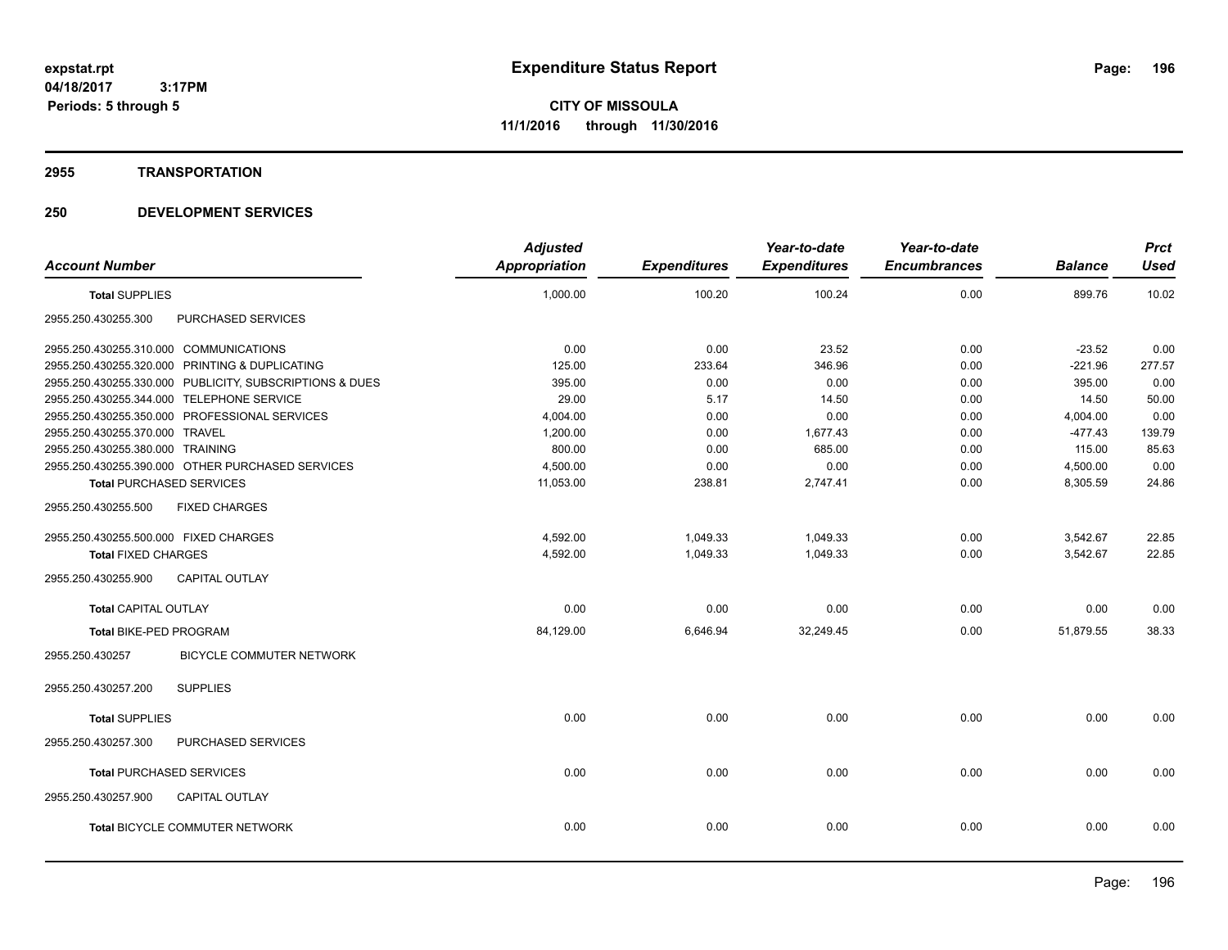**Periods: 5 through 5**

**CITY OF MISSOULA 11/1/2016 through 11/30/2016**

#### **2955 TRANSPORTATION**

# **250 DEVELOPMENT SERVICES**

 **3:17PM**

| <b>Account Number</b>                  |                                                         | <b>Adjusted</b>      |                     | Year-to-date        | Year-to-date<br><b>Encumbrances</b> |                | <b>Prct</b> |
|----------------------------------------|---------------------------------------------------------|----------------------|---------------------|---------------------|-------------------------------------|----------------|-------------|
|                                        |                                                         | <b>Appropriation</b> | <b>Expenditures</b> | <b>Expenditures</b> |                                     | <b>Balance</b> | <b>Used</b> |
| <b>Total SUPPLIES</b>                  |                                                         | 1,000.00             | 100.20              | 100.24              | 0.00                                | 899.76         | 10.02       |
| 2955.250.430255.300                    | PURCHASED SERVICES                                      |                      |                     |                     |                                     |                |             |
| 2955.250.430255.310.000 COMMUNICATIONS |                                                         | 0.00                 | 0.00                | 23.52               | 0.00                                | $-23.52$       | 0.00        |
|                                        | 2955.250.430255.320.000 PRINTING & DUPLICATING          | 125.00               | 233.64              | 346.96              | 0.00                                | $-221.96$      | 277.57      |
|                                        | 2955.250.430255.330.000 PUBLICITY, SUBSCRIPTIONS & DUES | 395.00               | 0.00                | 0.00                | 0.00                                | 395.00         | 0.00        |
|                                        | 2955.250.430255.344.000 TELEPHONE SERVICE               | 29.00                | 5.17                | 14.50               | 0.00                                | 14.50          | 50.00       |
|                                        | 2955.250.430255.350.000 PROFESSIONAL SERVICES           | 4,004.00             | 0.00                | 0.00                | 0.00                                | 4,004.00       | 0.00        |
| 2955.250.430255.370.000 TRAVEL         |                                                         | 1,200.00             | 0.00                | 1,677.43            | 0.00                                | $-477.43$      | 139.79      |
| 2955.250.430255.380.000 TRAINING       |                                                         | 800.00               | 0.00                | 685.00              | 0.00                                | 115.00         | 85.63       |
|                                        | 2955.250.430255.390.000 OTHER PURCHASED SERVICES        | 4,500.00             | 0.00                | 0.00                | 0.00                                | 4,500.00       | 0.00        |
| <b>Total PURCHASED SERVICES</b>        |                                                         | 11,053.00            | 238.81              | 2,747.41            | 0.00                                | 8,305.59       | 24.86       |
| 2955.250.430255.500                    | <b>FIXED CHARGES</b>                                    |                      |                     |                     |                                     |                |             |
| 2955.250.430255.500.000 FIXED CHARGES  |                                                         | 4,592.00             | 1,049.33            | 1.049.33            | 0.00                                | 3,542.67       | 22.85       |
| <b>Total FIXED CHARGES</b>             |                                                         | 4,592.00             | 1,049.33            | 1,049.33            | 0.00                                | 3,542.67       | 22.85       |
| 2955.250.430255.900                    | <b>CAPITAL OUTLAY</b>                                   |                      |                     |                     |                                     |                |             |
| <b>Total CAPITAL OUTLAY</b>            |                                                         | 0.00                 | 0.00                | 0.00                | 0.00                                | 0.00           | 0.00        |
| Total BIKE-PED PROGRAM                 |                                                         | 84,129.00            | 6,646.94            | 32,249.45           | 0.00                                | 51,879.55      | 38.33       |
| 2955.250.430257                        | BICYCLE COMMUTER NETWORK                                |                      |                     |                     |                                     |                |             |
| 2955.250.430257.200                    | <b>SUPPLIES</b>                                         |                      |                     |                     |                                     |                |             |
| <b>Total SUPPLIES</b>                  |                                                         | 0.00                 | 0.00                | 0.00                | 0.00                                | 0.00           | 0.00        |
| 2955.250.430257.300                    | PURCHASED SERVICES                                      |                      |                     |                     |                                     |                |             |
| <b>Total PURCHASED SERVICES</b>        |                                                         | 0.00                 | 0.00                | 0.00                | 0.00                                | 0.00           | 0.00        |
| 2955.250.430257.900                    | <b>CAPITAL OUTLAY</b>                                   |                      |                     |                     |                                     |                |             |
|                                        | <b>Total BICYCLE COMMUTER NETWORK</b>                   | 0.00                 | 0.00                | 0.00                | 0.00                                | 0.00           | 0.00        |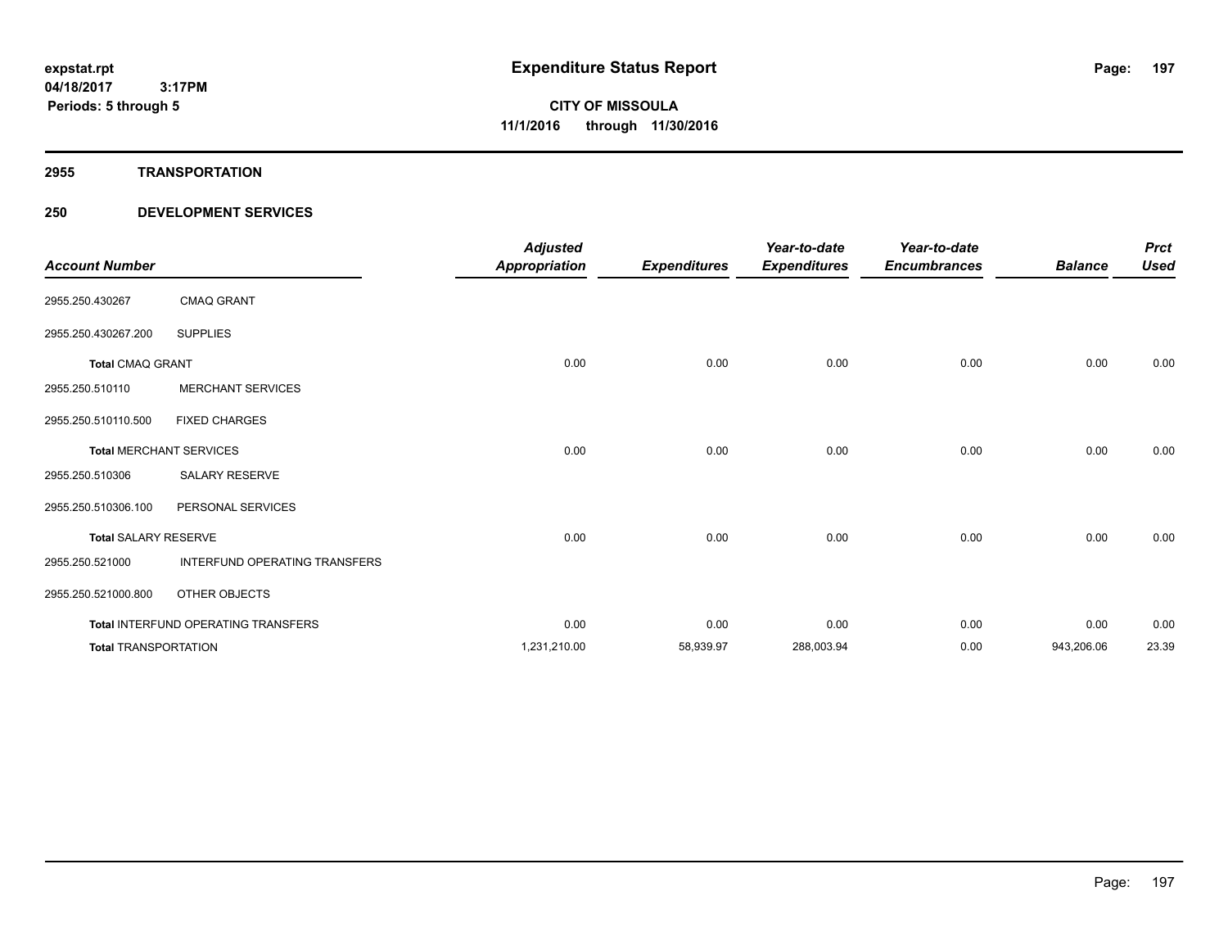#### **2955 TRANSPORTATION**

# **250 DEVELOPMENT SERVICES**

| <b>Account Number</b>       |                                            | <b>Adjusted</b><br><b>Appropriation</b> | <b>Expenditures</b> | Year-to-date<br><b>Expenditures</b> | Year-to-date<br><b>Encumbrances</b> | <b>Balance</b> | <b>Prct</b><br><b>Used</b> |
|-----------------------------|--------------------------------------------|-----------------------------------------|---------------------|-------------------------------------|-------------------------------------|----------------|----------------------------|
| 2955.250.430267             | <b>CMAQ GRANT</b>                          |                                         |                     |                                     |                                     |                |                            |
| 2955.250.430267.200         | <b>SUPPLIES</b>                            |                                         |                     |                                     |                                     |                |                            |
| <b>Total CMAQ GRANT</b>     |                                            | 0.00                                    | 0.00                | 0.00                                | 0.00                                | 0.00           | 0.00                       |
| 2955.250.510110             | <b>MERCHANT SERVICES</b>                   |                                         |                     |                                     |                                     |                |                            |
| 2955.250.510110.500         | <b>FIXED CHARGES</b>                       |                                         |                     |                                     |                                     |                |                            |
|                             | <b>Total MERCHANT SERVICES</b>             | 0.00                                    | 0.00                | 0.00                                | 0.00                                | 0.00           | 0.00                       |
| 2955.250.510306             | SALARY RESERVE                             |                                         |                     |                                     |                                     |                |                            |
| 2955.250.510306.100         | PERSONAL SERVICES                          |                                         |                     |                                     |                                     |                |                            |
| <b>Total SALARY RESERVE</b> |                                            | 0.00                                    | 0.00                | 0.00                                | 0.00                                | 0.00           | 0.00                       |
| 2955.250.521000             | INTERFUND OPERATING TRANSFERS              |                                         |                     |                                     |                                     |                |                            |
| 2955.250.521000.800         | OTHER OBJECTS                              |                                         |                     |                                     |                                     |                |                            |
|                             | <b>Total INTERFUND OPERATING TRANSFERS</b> | 0.00                                    | 0.00                | 0.00                                | 0.00                                | 0.00           | 0.00                       |
| <b>Total TRANSPORTATION</b> |                                            | 1,231,210.00                            | 58,939.97           | 288,003.94                          | 0.00                                | 943,206.06     | 23.39                      |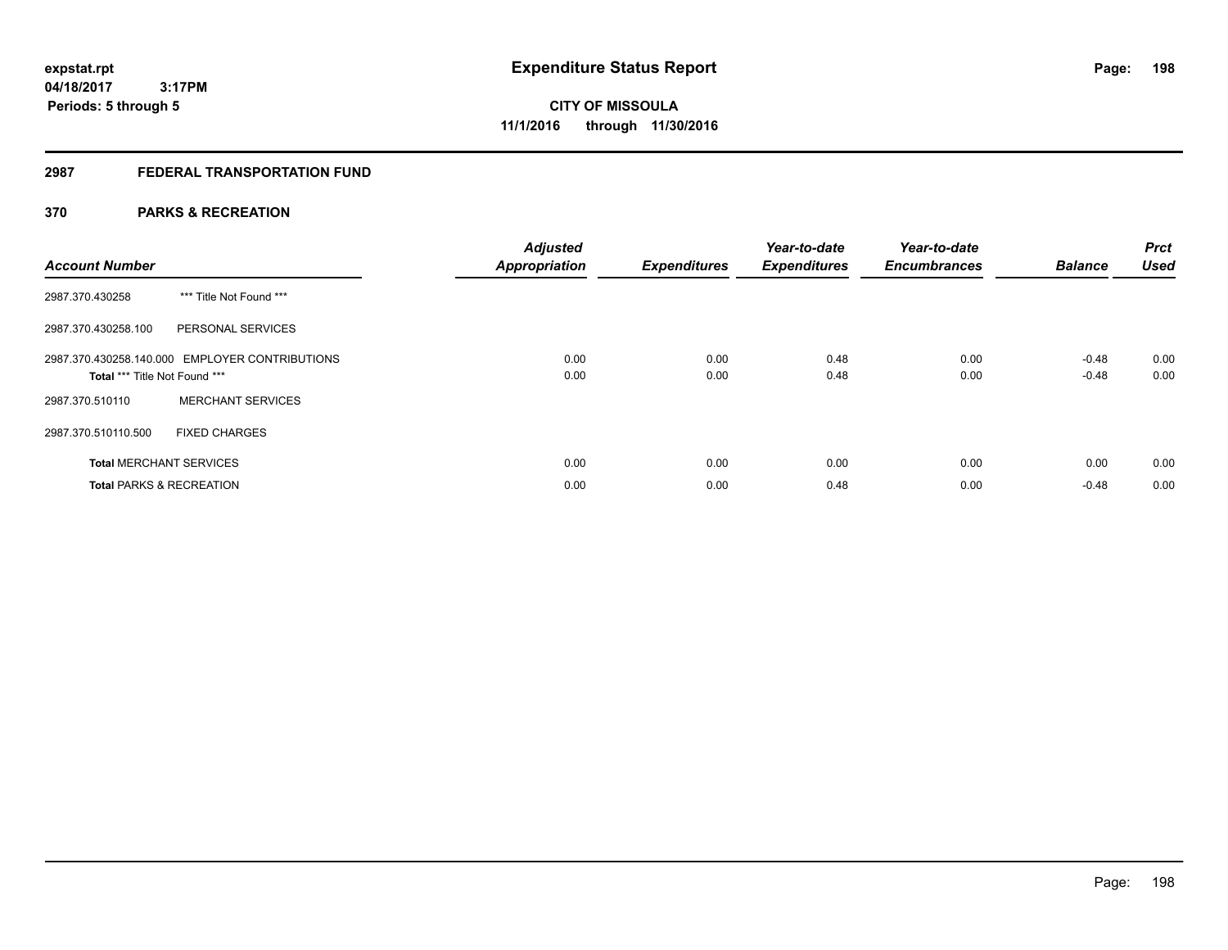# **2987 FEDERAL TRANSPORTATION FUND**

# **370 PARKS & RECREATION**

| <b>Account Number</b>               |                                                | <b>Adjusted</b><br><b>Appropriation</b> | <b>Expenditures</b> | Year-to-date<br><b>Expenditures</b> | Year-to-date<br><b>Encumbrances</b> | <b>Balance</b> | <b>Prct</b><br><b>Used</b> |
|-------------------------------------|------------------------------------------------|-----------------------------------------|---------------------|-------------------------------------|-------------------------------------|----------------|----------------------------|
| 2987.370.430258                     | *** Title Not Found ***                        |                                         |                     |                                     |                                     |                |                            |
| 2987.370.430258.100                 | PERSONAL SERVICES                              |                                         |                     |                                     |                                     |                |                            |
|                                     | 2987.370.430258.140.000 EMPLOYER CONTRIBUTIONS | 0.00                                    | 0.00                | 0.48                                | 0.00                                | $-0.48$        | 0.00                       |
| Total *** Title Not Found ***       |                                                | 0.00                                    | 0.00                | 0.48                                | 0.00                                | $-0.48$        | 0.00                       |
| 2987.370.510110                     | <b>MERCHANT SERVICES</b>                       |                                         |                     |                                     |                                     |                |                            |
| 2987.370.510110.500                 | <b>FIXED CHARGES</b>                           |                                         |                     |                                     |                                     |                |                            |
| <b>Total MERCHANT SERVICES</b>      |                                                | 0.00                                    | 0.00                | 0.00                                | 0.00                                | 0.00           | 0.00                       |
| <b>Total PARKS &amp; RECREATION</b> |                                                | 0.00                                    | 0.00                | 0.48                                | 0.00                                | $-0.48$        | 0.00                       |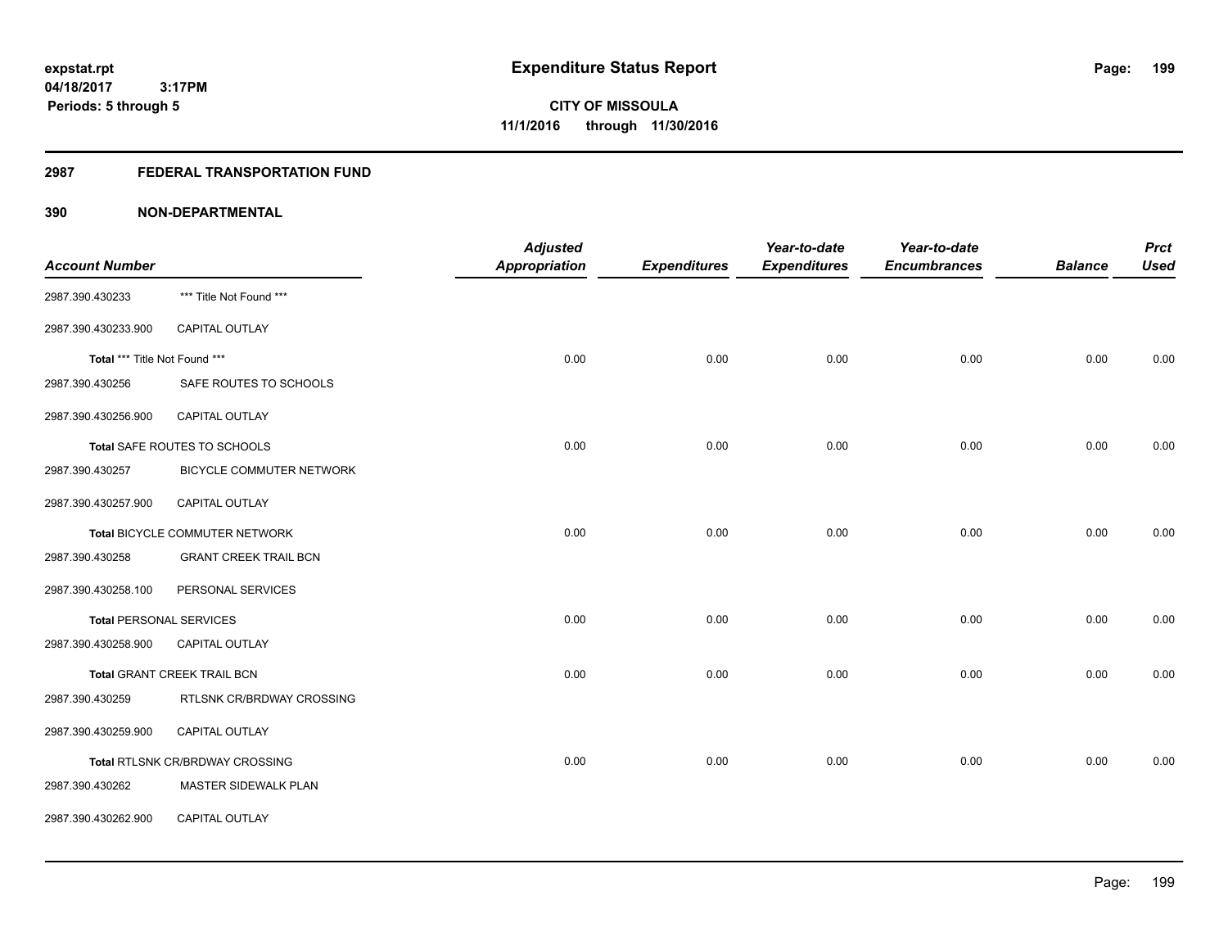# **2987 FEDERAL TRANSPORTATION FUND**

|                                |                                        | <b>Adjusted</b>      |                     | Year-to-date        | Year-to-date        |                | <b>Prct</b> |
|--------------------------------|----------------------------------------|----------------------|---------------------|---------------------|---------------------|----------------|-------------|
| <b>Account Number</b>          |                                        | <b>Appropriation</b> | <b>Expenditures</b> | <b>Expenditures</b> | <b>Encumbrances</b> | <b>Balance</b> | <b>Used</b> |
| 2987.390.430233                | *** Title Not Found ***                |                      |                     |                     |                     |                |             |
| 2987.390.430233.900            | <b>CAPITAL OUTLAY</b>                  |                      |                     |                     |                     |                |             |
| Total *** Title Not Found ***  |                                        | 0.00                 | 0.00                | 0.00                | 0.00                | 0.00           | 0.00        |
| 2987.390.430256                | SAFE ROUTES TO SCHOOLS                 |                      |                     |                     |                     |                |             |
| 2987.390.430256.900            | CAPITAL OUTLAY                         |                      |                     |                     |                     |                |             |
|                                | Total SAFE ROUTES TO SCHOOLS           | 0.00                 | 0.00                | 0.00                | 0.00                | 0.00           | 0.00        |
| 2987.390.430257                | BICYCLE COMMUTER NETWORK               |                      |                     |                     |                     |                |             |
| 2987.390.430257.900            | CAPITAL OUTLAY                         |                      |                     |                     |                     |                |             |
|                                | Total BICYCLE COMMUTER NETWORK         | 0.00                 | 0.00                | 0.00                | 0.00                | 0.00           | 0.00        |
| 2987.390.430258                | <b>GRANT CREEK TRAIL BCN</b>           |                      |                     |                     |                     |                |             |
| 2987.390.430258.100            | PERSONAL SERVICES                      |                      |                     |                     |                     |                |             |
| <b>Total PERSONAL SERVICES</b> |                                        | 0.00                 | 0.00                | 0.00                | 0.00                | 0.00           | 0.00        |
| 2987.390.430258.900            | <b>CAPITAL OUTLAY</b>                  |                      |                     |                     |                     |                |             |
|                                | Total GRANT CREEK TRAIL BCN            | 0.00                 | 0.00                | 0.00                | 0.00                | 0.00           | 0.00        |
| 2987.390.430259                | RTLSNK CR/BRDWAY CROSSING              |                      |                     |                     |                     |                |             |
| 2987.390.430259.900            | CAPITAL OUTLAY                         |                      |                     |                     |                     |                |             |
|                                | <b>Total RTLSNK CR/BRDWAY CROSSING</b> | 0.00                 | 0.00                | 0.00                | 0.00                | 0.00           | 0.00        |
| 2987.390.430262                | MASTER SIDEWALK PLAN                   |                      |                     |                     |                     |                |             |
| 2987.390.430262.900            | CAPITAL OUTLAY                         |                      |                     |                     |                     |                |             |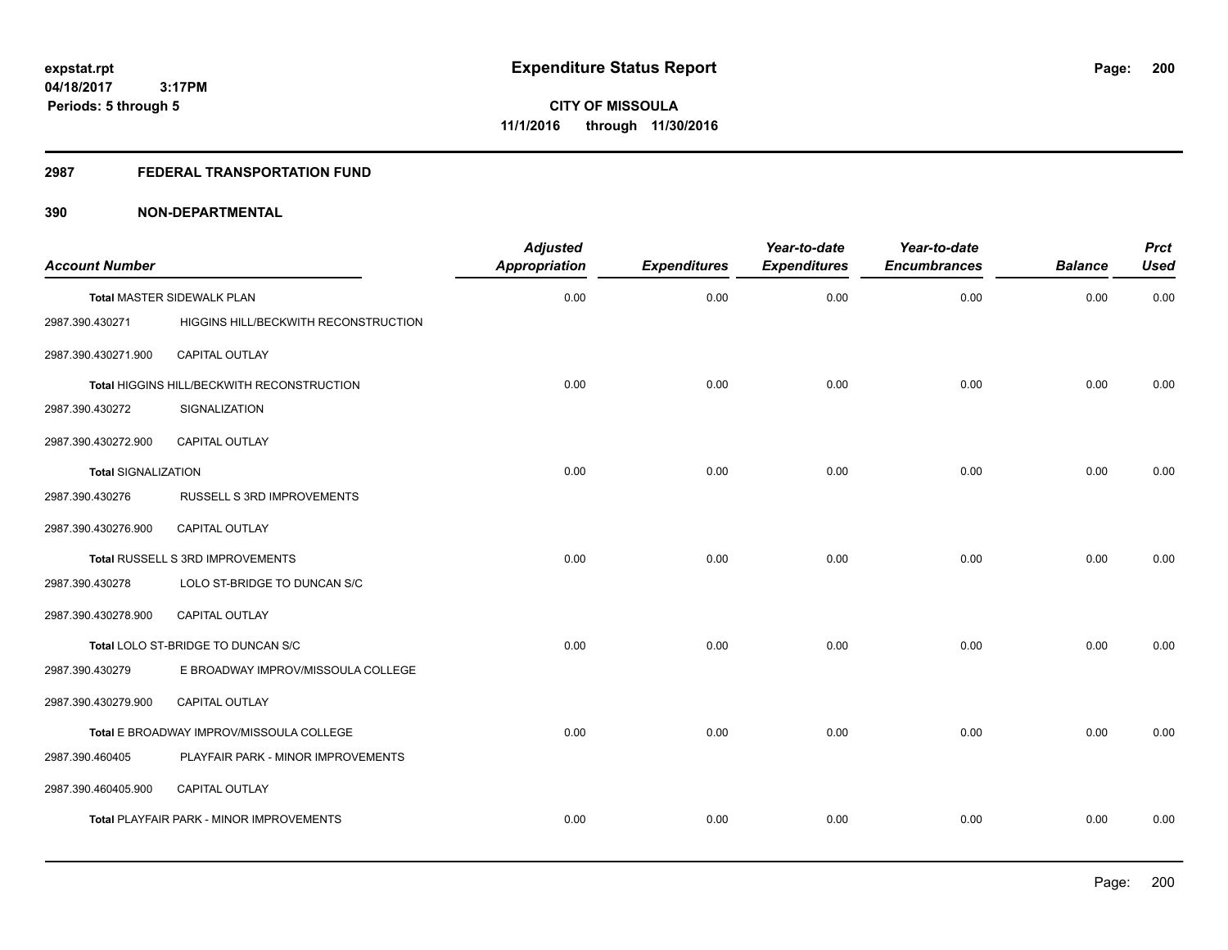#### **2987 FEDERAL TRANSPORTATION FUND**

| <b>Account Number</b>      |                                            | <b>Adjusted</b><br><b>Appropriation</b> | <b>Expenditures</b> | Year-to-date<br><b>Expenditures</b> | Year-to-date<br><b>Encumbrances</b> | <b>Balance</b> | <b>Prct</b><br><b>Used</b> |
|----------------------------|--------------------------------------------|-----------------------------------------|---------------------|-------------------------------------|-------------------------------------|----------------|----------------------------|
|                            | <b>Total MASTER SIDEWALK PLAN</b>          | 0.00                                    | 0.00                | 0.00                                | 0.00                                | 0.00           | 0.00                       |
| 2987.390.430271            | HIGGINS HILL/BECKWITH RECONSTRUCTION       |                                         |                     |                                     |                                     |                |                            |
| 2987.390.430271.900        | <b>CAPITAL OUTLAY</b>                      |                                         |                     |                                     |                                     |                |                            |
|                            | Total HIGGINS HILL/BECKWITH RECONSTRUCTION | 0.00                                    | 0.00                | 0.00                                | 0.00                                | 0.00           | 0.00                       |
| 2987.390.430272            | SIGNALIZATION                              |                                         |                     |                                     |                                     |                |                            |
| 2987.390.430272.900        | CAPITAL OUTLAY                             |                                         |                     |                                     |                                     |                |                            |
| <b>Total SIGNALIZATION</b> |                                            | 0.00                                    | 0.00                | 0.00                                | 0.00                                | 0.00           | 0.00                       |
| 2987.390.430276            | RUSSELL S 3RD IMPROVEMENTS                 |                                         |                     |                                     |                                     |                |                            |
| 2987.390.430276.900        | <b>CAPITAL OUTLAY</b>                      |                                         |                     |                                     |                                     |                |                            |
|                            | Total RUSSELL S 3RD IMPROVEMENTS           | 0.00                                    | 0.00                | 0.00                                | 0.00                                | 0.00           | 0.00                       |
| 2987.390.430278            | LOLO ST-BRIDGE TO DUNCAN S/C               |                                         |                     |                                     |                                     |                |                            |
| 2987.390.430278.900        | CAPITAL OUTLAY                             |                                         |                     |                                     |                                     |                |                            |
|                            | Total LOLO ST-BRIDGE TO DUNCAN S/C         | 0.00                                    | 0.00                | 0.00                                | 0.00                                | 0.00           | 0.00                       |
| 2987.390.430279            | E BROADWAY IMPROV/MISSOULA COLLEGE         |                                         |                     |                                     |                                     |                |                            |
| 2987.390.430279.900        | CAPITAL OUTLAY                             |                                         |                     |                                     |                                     |                |                            |
|                            | Total E BROADWAY IMPROV/MISSOULA COLLEGE   | 0.00                                    | 0.00                | 0.00                                | 0.00                                | 0.00           | 0.00                       |
| 2987.390.460405            | PLAYFAIR PARK - MINOR IMPROVEMENTS         |                                         |                     |                                     |                                     |                |                            |
| 2987.390.460405.900        | <b>CAPITAL OUTLAY</b>                      |                                         |                     |                                     |                                     |                |                            |
|                            | Total PLAYFAIR PARK - MINOR IMPROVEMENTS   | 0.00                                    | 0.00                | 0.00                                | 0.00                                | 0.00           | 0.00                       |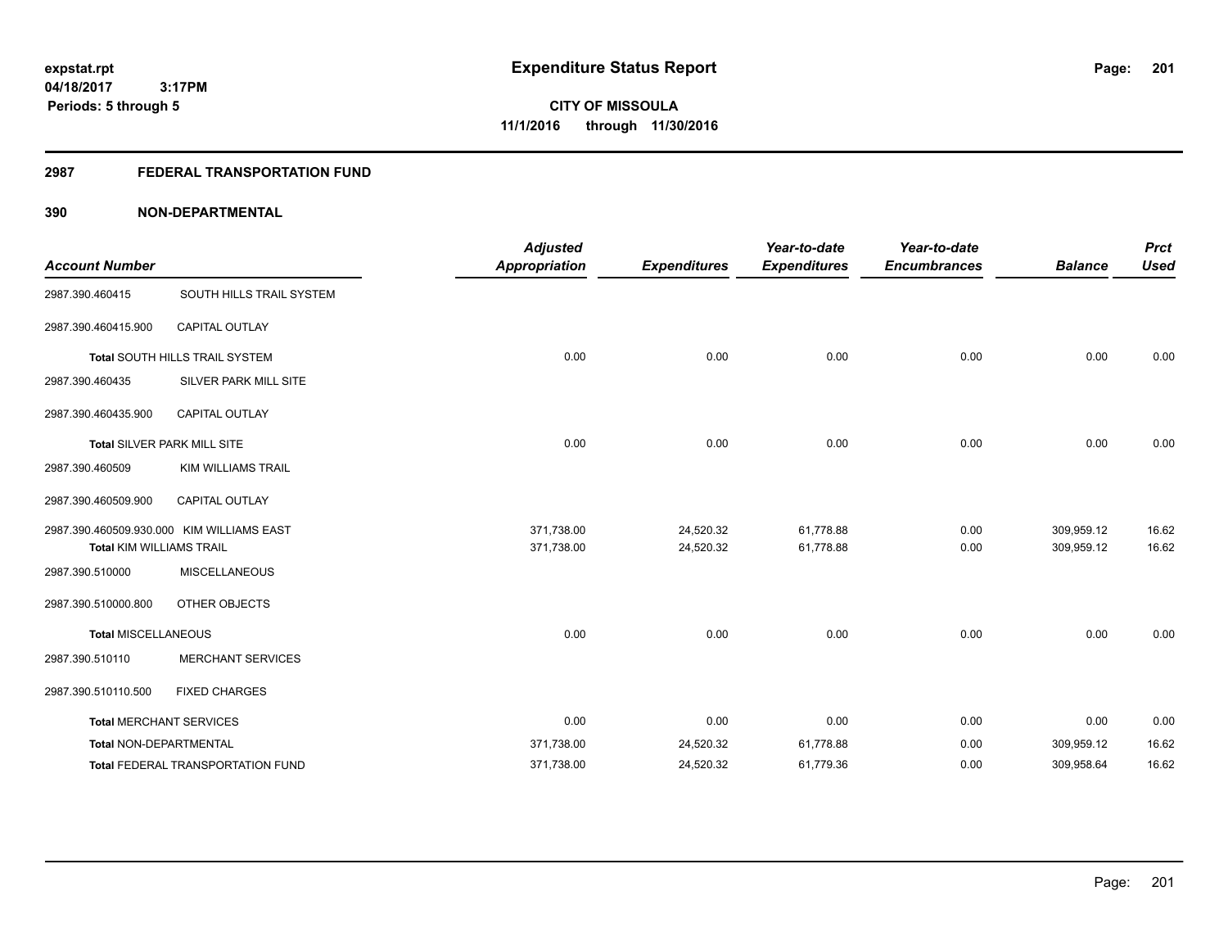# **2987 FEDERAL TRANSPORTATION FUND**

|                                 |                                           | <b>Adjusted</b>      |                     | Year-to-date        | Year-to-date        |                | <b>Prct</b> |
|---------------------------------|-------------------------------------------|----------------------|---------------------|---------------------|---------------------|----------------|-------------|
| <b>Account Number</b>           |                                           | <b>Appropriation</b> | <b>Expenditures</b> | <b>Expenditures</b> | <b>Encumbrances</b> | <b>Balance</b> | <b>Used</b> |
| 2987.390.460415                 | SOUTH HILLS TRAIL SYSTEM                  |                      |                     |                     |                     |                |             |
| 2987.390.460415.900             | <b>CAPITAL OUTLAY</b>                     |                      |                     |                     |                     |                |             |
|                                 | Total SOUTH HILLS TRAIL SYSTEM            | 0.00                 | 0.00                | 0.00                | 0.00                | 0.00           | 0.00        |
| 2987.390.460435                 | SILVER PARK MILL SITE                     |                      |                     |                     |                     |                |             |
| 2987.390.460435.900             | <b>CAPITAL OUTLAY</b>                     |                      |                     |                     |                     |                |             |
|                                 | Total SILVER PARK MILL SITE               | 0.00                 | 0.00                | 0.00                | 0.00                | 0.00           | 0.00        |
| 2987.390.460509                 | <b>KIM WILLIAMS TRAIL</b>                 |                      |                     |                     |                     |                |             |
| 2987.390.460509.900             | <b>CAPITAL OUTLAY</b>                     |                      |                     |                     |                     |                |             |
|                                 | 2987.390.460509.930.000 KIM WILLIAMS EAST | 371,738.00           | 24,520.32           | 61,778.88           | 0.00                | 309,959.12     | 16.62       |
| <b>Total KIM WILLIAMS TRAIL</b> |                                           | 371,738.00           | 24,520.32           | 61,778.88           | 0.00                | 309,959.12     | 16.62       |
| 2987.390.510000                 | <b>MISCELLANEOUS</b>                      |                      |                     |                     |                     |                |             |
| 2987.390.510000.800             | OTHER OBJECTS                             |                      |                     |                     |                     |                |             |
| <b>Total MISCELLANEOUS</b>      |                                           | 0.00                 | 0.00                | 0.00                | 0.00                | 0.00           | 0.00        |
| 2987.390.510110                 | <b>MERCHANT SERVICES</b>                  |                      |                     |                     |                     |                |             |
| 2987.390.510110.500             | <b>FIXED CHARGES</b>                      |                      |                     |                     |                     |                |             |
|                                 | <b>Total MERCHANT SERVICES</b>            | 0.00                 | 0.00                | 0.00                | 0.00                | 0.00           | 0.00        |
| Total NON-DEPARTMENTAL          |                                           | 371,738.00           | 24,520.32           | 61,778.88           | 0.00                | 309,959.12     | 16.62       |
|                                 | <b>Total FEDERAL TRANSPORTATION FUND</b>  | 371,738.00           | 24,520.32           | 61,779.36           | 0.00                | 309,958.64     | 16.62       |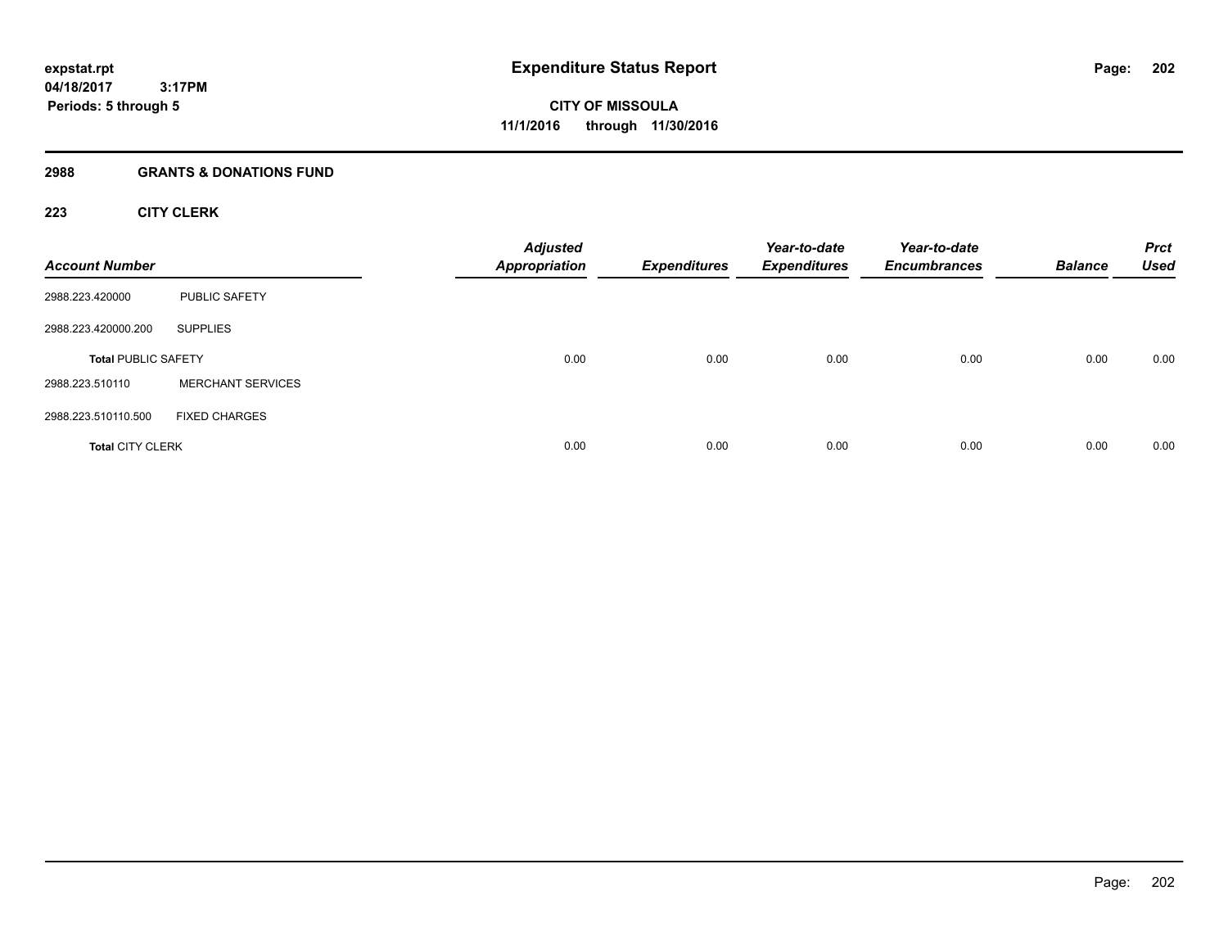# **2988 GRANTS & DONATIONS FUND**

# **223 CITY CLERK**

| <b>Account Number</b>      |                          | <b>Adjusted</b><br><b>Appropriation</b> | <b>Expenditures</b> | Year-to-date<br><b>Expenditures</b> | Year-to-date<br><b>Encumbrances</b> | <b>Balance</b> | <b>Prct</b><br><b>Used</b> |
|----------------------------|--------------------------|-----------------------------------------|---------------------|-------------------------------------|-------------------------------------|----------------|----------------------------|
| 2988.223.420000            | <b>PUBLIC SAFETY</b>     |                                         |                     |                                     |                                     |                |                            |
| 2988.223.420000.200        | <b>SUPPLIES</b>          |                                         |                     |                                     |                                     |                |                            |
| <b>Total PUBLIC SAFETY</b> |                          | 0.00                                    | 0.00                | 0.00                                | 0.00                                | 0.00           | 0.00                       |
| 2988.223.510110            | <b>MERCHANT SERVICES</b> |                                         |                     |                                     |                                     |                |                            |
| 2988.223.510110.500        | <b>FIXED CHARGES</b>     |                                         |                     |                                     |                                     |                |                            |
| <b>Total CITY CLERK</b>    |                          | 0.00                                    | 0.00                | 0.00                                | 0.00                                | 0.00           | 0.00                       |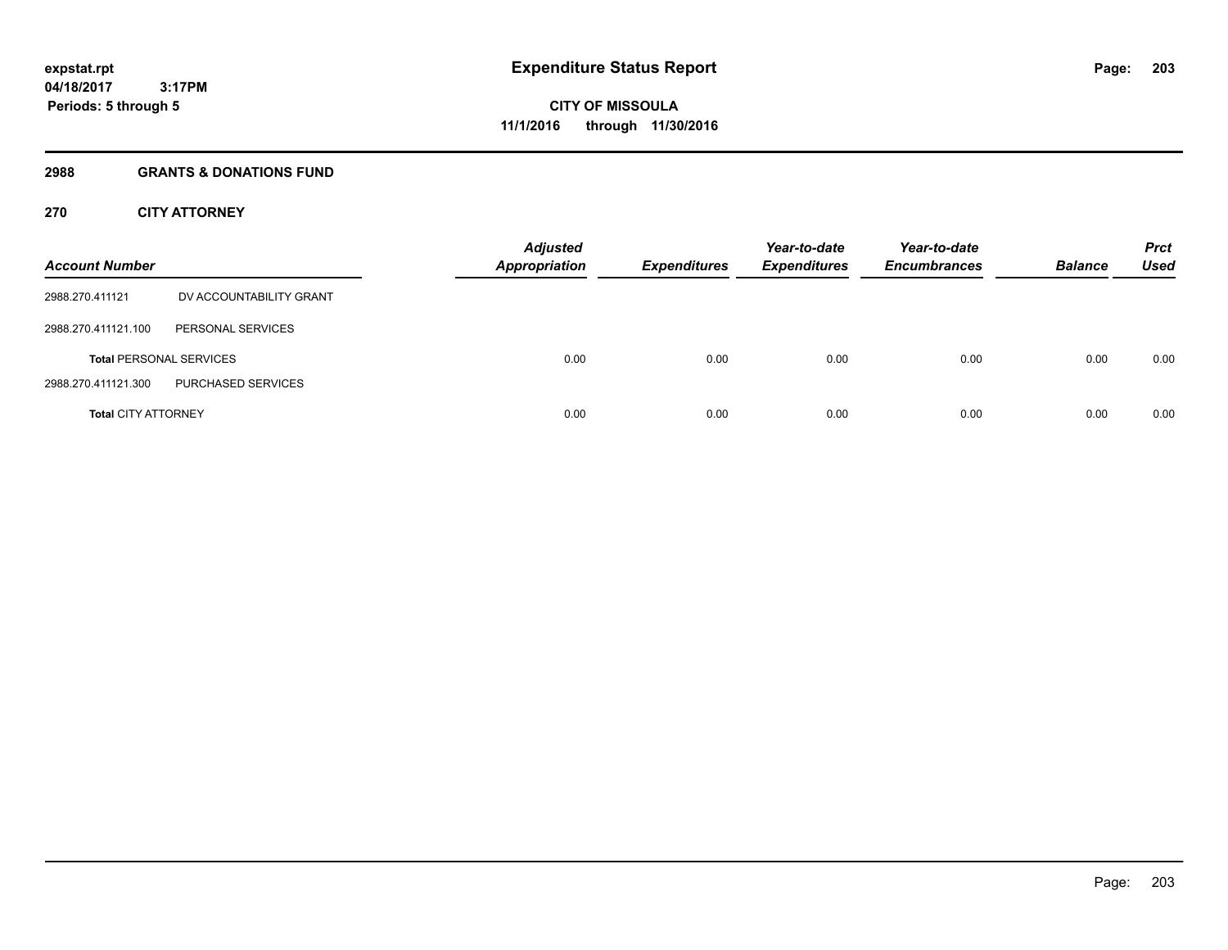# **2988 GRANTS & DONATIONS FUND**

# **270 CITY ATTORNEY**

| <b>Account Number</b>      |                                | <b>Adjusted</b><br><b>Appropriation</b> | <b>Expenditures</b> | Year-to-date<br><b>Expenditures</b> | Year-to-date<br><b>Encumbrances</b> | <b>Balance</b> | <b>Prct</b><br>Used |
|----------------------------|--------------------------------|-----------------------------------------|---------------------|-------------------------------------|-------------------------------------|----------------|---------------------|
| 2988.270.411121            | DV ACCOUNTABILITY GRANT        |                                         |                     |                                     |                                     |                |                     |
| 2988.270.411121.100        | PERSONAL SERVICES              |                                         |                     |                                     |                                     |                |                     |
|                            | <b>Total PERSONAL SERVICES</b> | 0.00                                    | 0.00                | 0.00                                | 0.00                                | 0.00           | 0.00                |
| 2988.270.411121.300        | PURCHASED SERVICES             |                                         |                     |                                     |                                     |                |                     |
| <b>Total CITY ATTORNEY</b> |                                | 0.00                                    | 0.00                | 0.00                                | 0.00                                | 0.00           | 0.00                |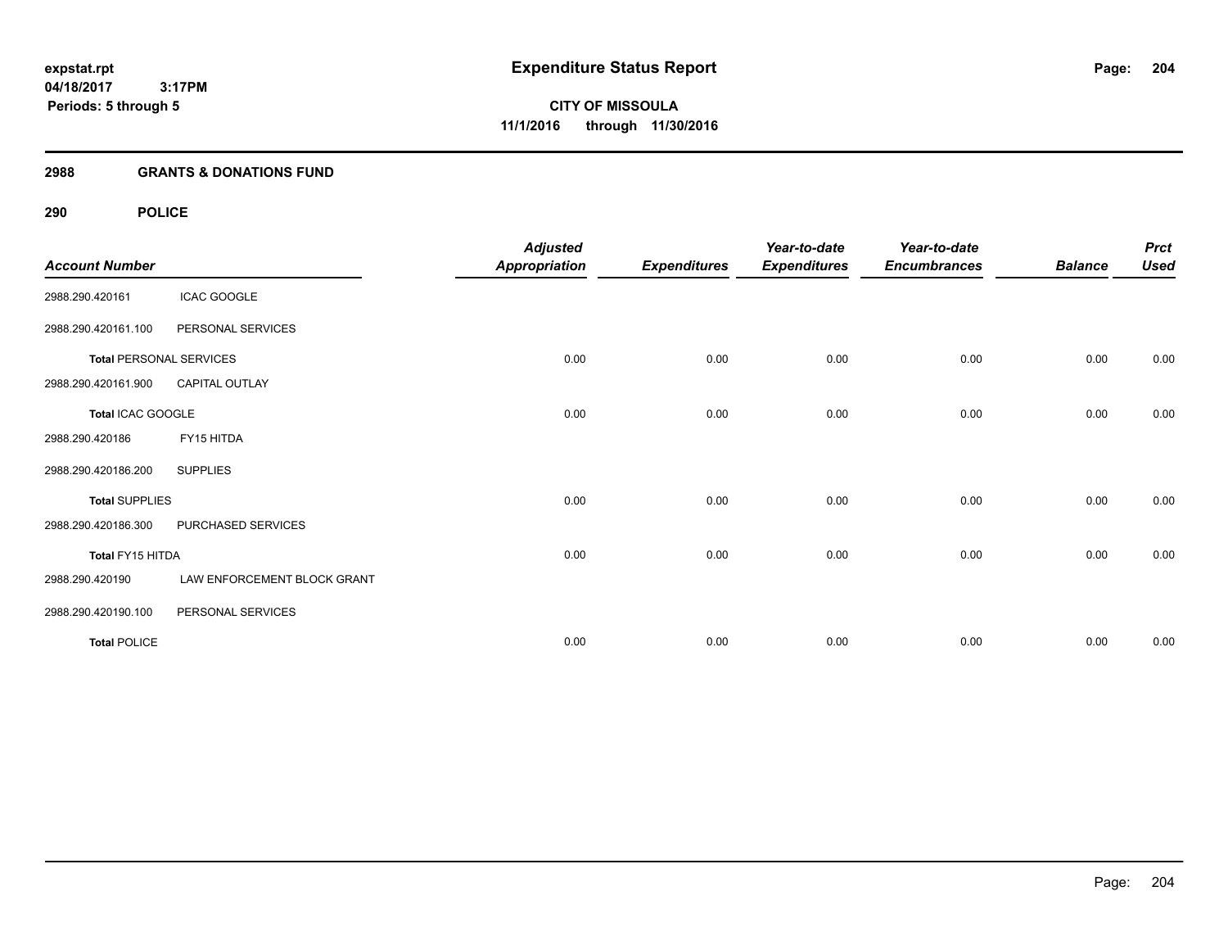#### **2988 GRANTS & DONATIONS FUND**

# **290 POLICE**

| <b>Account Number</b> |                                | <b>Adjusted</b><br><b>Appropriation</b> | <b>Expenditures</b> | Year-to-date<br><b>Expenditures</b> | Year-to-date<br><b>Encumbrances</b> | <b>Balance</b> | <b>Prct</b><br><b>Used</b> |
|-----------------------|--------------------------------|-----------------------------------------|---------------------|-------------------------------------|-------------------------------------|----------------|----------------------------|
| 2988.290.420161       | <b>ICAC GOOGLE</b>             |                                         |                     |                                     |                                     |                |                            |
| 2988.290.420161.100   | PERSONAL SERVICES              |                                         |                     |                                     |                                     |                |                            |
|                       | <b>Total PERSONAL SERVICES</b> | 0.00                                    | 0.00                | 0.00                                | 0.00                                | 0.00           | 0.00                       |
| 2988.290.420161.900   | <b>CAPITAL OUTLAY</b>          |                                         |                     |                                     |                                     |                |                            |
| Total ICAC GOOGLE     |                                | 0.00                                    | 0.00                | 0.00                                | 0.00                                | 0.00           | 0.00                       |
| 2988.290.420186       | FY15 HITDA                     |                                         |                     |                                     |                                     |                |                            |
| 2988.290.420186.200   | <b>SUPPLIES</b>                |                                         |                     |                                     |                                     |                |                            |
| <b>Total SUPPLIES</b> |                                | 0.00                                    | 0.00                | 0.00                                | 0.00                                | 0.00           | 0.00                       |
| 2988.290.420186.300   | PURCHASED SERVICES             |                                         |                     |                                     |                                     |                |                            |
| Total FY15 HITDA      |                                | 0.00                                    | 0.00                | 0.00                                | 0.00                                | 0.00           | 0.00                       |
| 2988.290.420190       | LAW ENFORCEMENT BLOCK GRANT    |                                         |                     |                                     |                                     |                |                            |
| 2988.290.420190.100   | PERSONAL SERVICES              |                                         |                     |                                     |                                     |                |                            |
| <b>Total POLICE</b>   |                                | 0.00                                    | 0.00                | 0.00                                | 0.00                                | 0.00           | 0.00                       |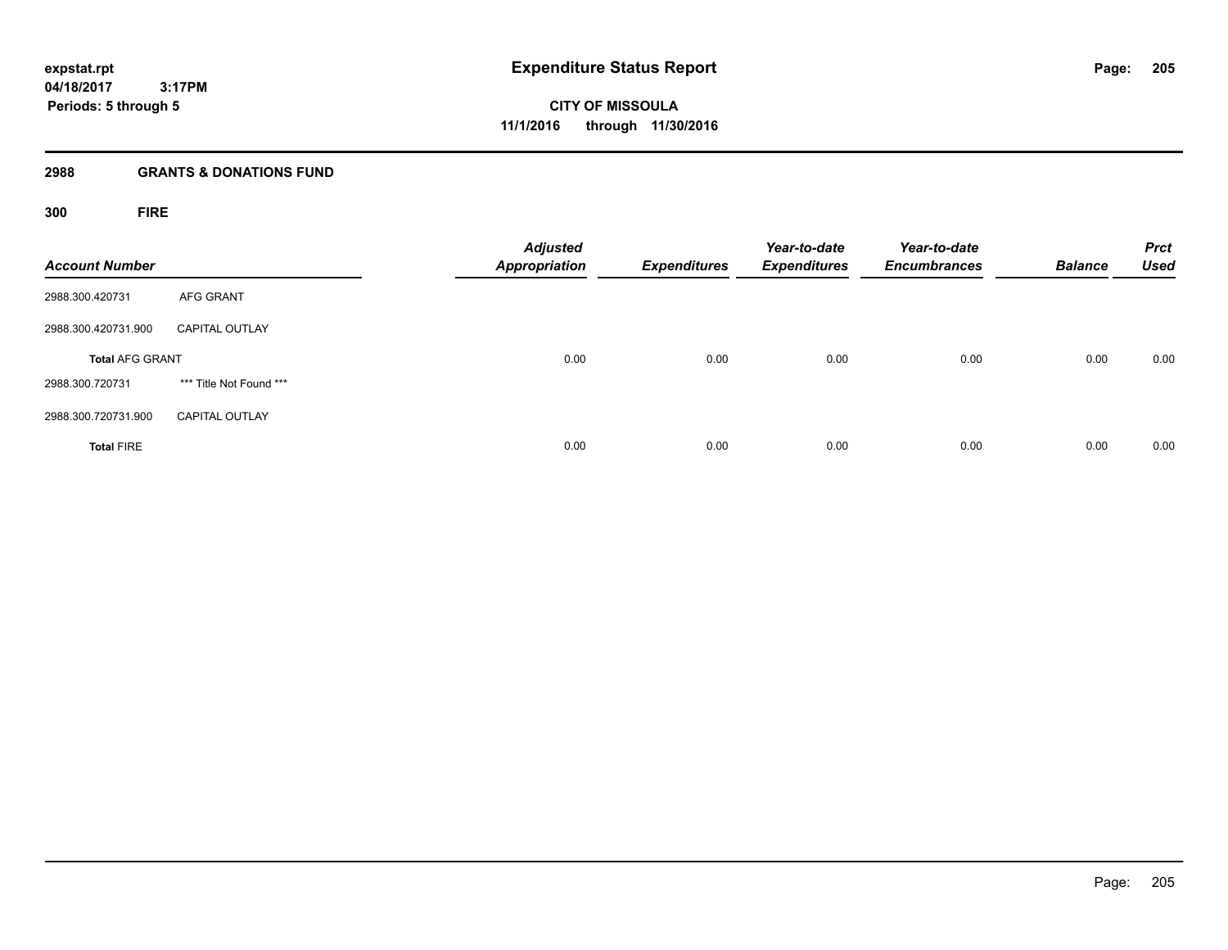**205**

**04/18/2017 3:17PM Periods: 5 through 5**

**CITY OF MISSOULA 11/1/2016 through 11/30/2016**

# **2988 GRANTS & DONATIONS FUND**

**300 FIRE**

| <b>Account Number</b>  |                         | <b>Adjusted</b><br><b>Appropriation</b> | <b>Expenditures</b> | Year-to-date<br><b>Expenditures</b> | Year-to-date<br><b>Encumbrances</b> | <b>Balance</b> | <b>Prct</b><br><b>Used</b> |
|------------------------|-------------------------|-----------------------------------------|---------------------|-------------------------------------|-------------------------------------|----------------|----------------------------|
| 2988.300.420731        | <b>AFG GRANT</b>        |                                         |                     |                                     |                                     |                |                            |
| 2988.300.420731.900    | <b>CAPITAL OUTLAY</b>   |                                         |                     |                                     |                                     |                |                            |
| <b>Total AFG GRANT</b> |                         | 0.00                                    | 0.00                | 0.00                                | 0.00                                | 0.00           | 0.00                       |
| 2988.300.720731        | *** Title Not Found *** |                                         |                     |                                     |                                     |                |                            |
| 2988.300.720731.900    | <b>CAPITAL OUTLAY</b>   |                                         |                     |                                     |                                     |                |                            |
| <b>Total FIRE</b>      |                         | 0.00                                    | 0.00                | 0.00                                | 0.00                                | 0.00           | 0.00                       |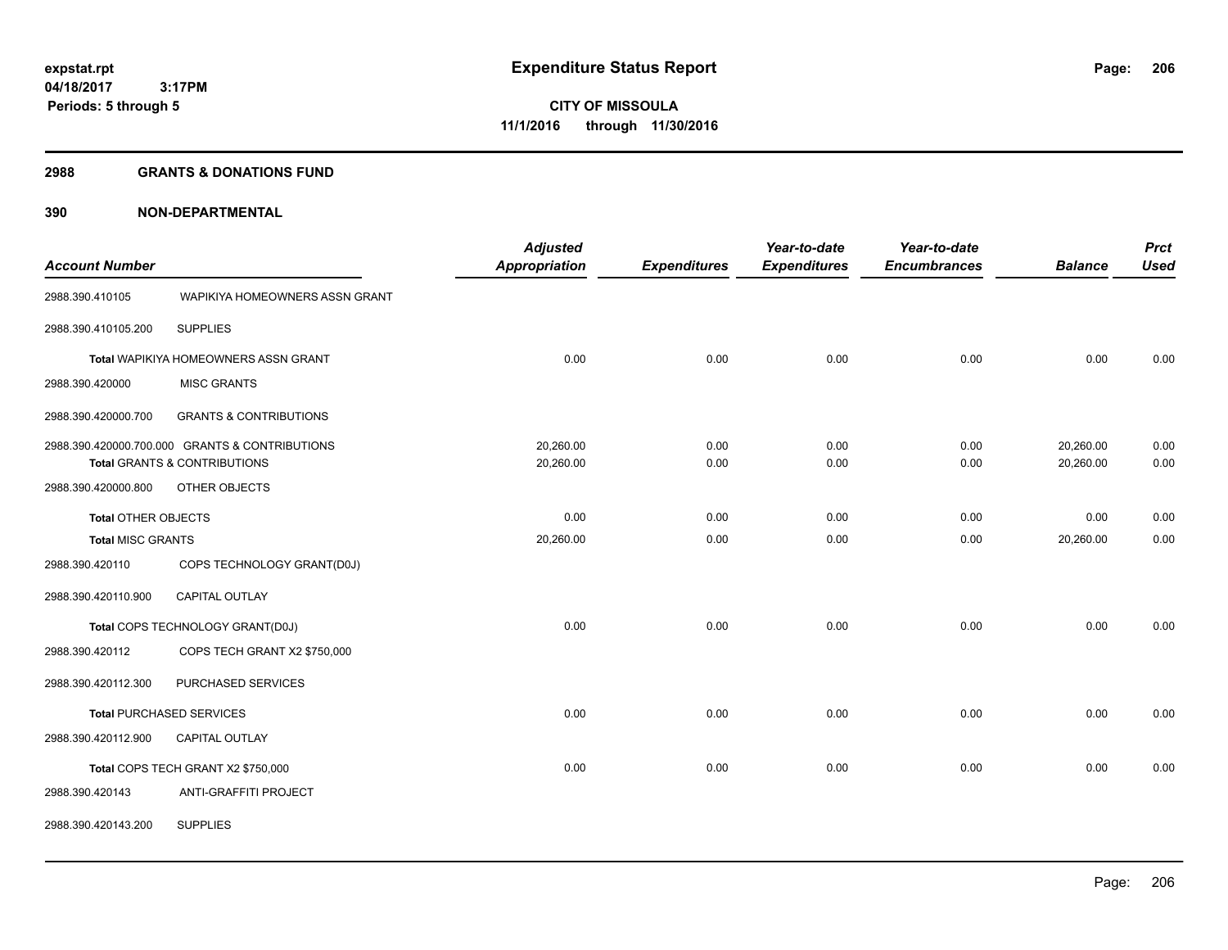#### **2988 GRANTS & DONATIONS FUND**

|                            |                                                | <b>Adjusted</b>      |                     | Year-to-date        | Year-to-date        |                | <b>Prct</b> |
|----------------------------|------------------------------------------------|----------------------|---------------------|---------------------|---------------------|----------------|-------------|
| <b>Account Number</b>      |                                                | <b>Appropriation</b> | <b>Expenditures</b> | <b>Expenditures</b> | <b>Encumbrances</b> | <b>Balance</b> | <b>Used</b> |
| 2988.390.410105            | WAPIKIYA HOMEOWNERS ASSN GRANT                 |                      |                     |                     |                     |                |             |
| 2988.390.410105.200        | <b>SUPPLIES</b>                                |                      |                     |                     |                     |                |             |
|                            | Total WAPIKIYA HOMEOWNERS ASSN GRANT           | 0.00                 | 0.00                | 0.00                | 0.00                | 0.00           | 0.00        |
| 2988.390.420000            | <b>MISC GRANTS</b>                             |                      |                     |                     |                     |                |             |
| 2988.390.420000.700        | <b>GRANTS &amp; CONTRIBUTIONS</b>              |                      |                     |                     |                     |                |             |
|                            | 2988.390.420000.700.000 GRANTS & CONTRIBUTIONS | 20,260.00            | 0.00                | 0.00                | 0.00                | 20,260.00      | 0.00        |
|                            | <b>Total GRANTS &amp; CONTRIBUTIONS</b>        | 20,260.00            | 0.00                | 0.00                | 0.00                | 20,260.00      | 0.00        |
| 2988.390.420000.800        | OTHER OBJECTS                                  |                      |                     |                     |                     |                |             |
| <b>Total OTHER OBJECTS</b> |                                                | 0.00                 | 0.00                | 0.00                | 0.00                | 0.00           | 0.00        |
| <b>Total MISC GRANTS</b>   |                                                | 20,260.00            | 0.00                | 0.00                | 0.00                | 20,260.00      | 0.00        |
| 2988.390.420110            | COPS TECHNOLOGY GRANT(D0J)                     |                      |                     |                     |                     |                |             |
| 2988.390.420110.900        | CAPITAL OUTLAY                                 |                      |                     |                     |                     |                |             |
|                            | Total COPS TECHNOLOGY GRANT(D0J)               | 0.00                 | 0.00                | 0.00                | 0.00                | 0.00           | 0.00        |
| 2988.390.420112            | COPS TECH GRANT X2 \$750,000                   |                      |                     |                     |                     |                |             |
| 2988.390.420112.300        | PURCHASED SERVICES                             |                      |                     |                     |                     |                |             |
|                            | <b>Total PURCHASED SERVICES</b>                | 0.00                 | 0.00                | 0.00                | 0.00                | 0.00           | 0.00        |
| 2988.390.420112.900        | CAPITAL OUTLAY                                 |                      |                     |                     |                     |                |             |
|                            | Total COPS TECH GRANT X2 \$750,000             | 0.00                 | 0.00                | 0.00                | 0.00                | 0.00           | 0.00        |
| 2988.390.420143            | ANTI-GRAFFITI PROJECT                          |                      |                     |                     |                     |                |             |
| 2988.390.420143.200        | <b>SUPPLIES</b>                                |                      |                     |                     |                     |                |             |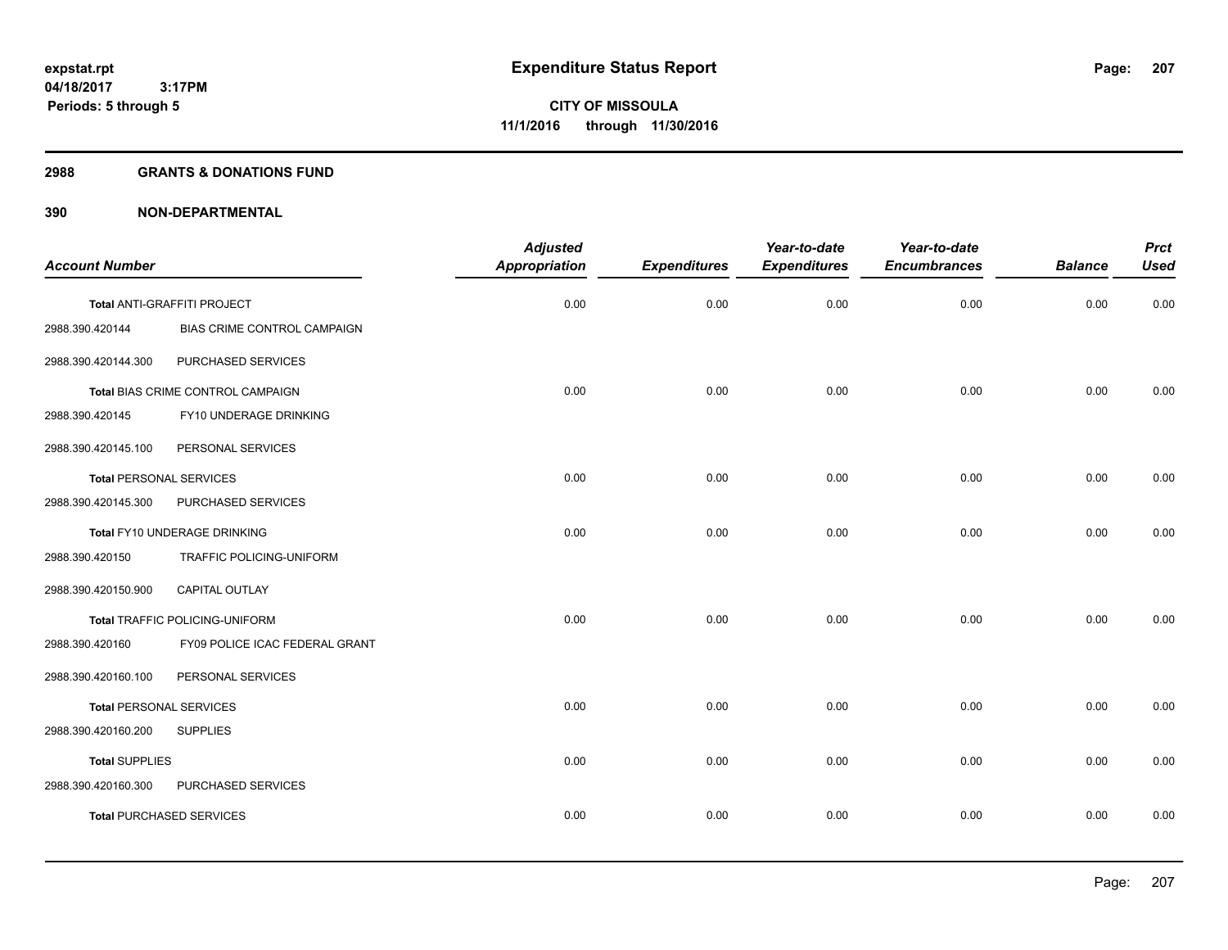## **2988 GRANTS & DONATIONS FUND**

|                                |                                    | <b>Adjusted</b>      |                     | Year-to-date        | Year-to-date        |                | <b>Prct</b> |
|--------------------------------|------------------------------------|----------------------|---------------------|---------------------|---------------------|----------------|-------------|
| <b>Account Number</b>          |                                    | <b>Appropriation</b> | <b>Expenditures</b> | <b>Expenditures</b> | <b>Encumbrances</b> | <b>Balance</b> | <b>Used</b> |
|                                | Total ANTI-GRAFFITI PROJECT        | 0.00                 | 0.00                | 0.00                | 0.00                | 0.00           | 0.00        |
| 2988.390.420144                | <b>BIAS CRIME CONTROL CAMPAIGN</b> |                      |                     |                     |                     |                |             |
| 2988.390.420144.300            | PURCHASED SERVICES                 |                      |                     |                     |                     |                |             |
|                                | Total BIAS CRIME CONTROL CAMPAIGN  | 0.00                 | 0.00                | 0.00                | 0.00                | 0.00           | 0.00        |
| 2988.390.420145                | FY10 UNDERAGE DRINKING             |                      |                     |                     |                     |                |             |
| 2988.390.420145.100            | PERSONAL SERVICES                  |                      |                     |                     |                     |                |             |
| <b>Total PERSONAL SERVICES</b> |                                    | 0.00                 | 0.00                | 0.00                | 0.00                | 0.00           | 0.00        |
| 2988.390.420145.300            | PURCHASED SERVICES                 |                      |                     |                     |                     |                |             |
|                                | Total FY10 UNDERAGE DRINKING       | 0.00                 | 0.00                | 0.00                | 0.00                | 0.00           | 0.00        |
| 2988.390.420150                | TRAFFIC POLICING-UNIFORM           |                      |                     |                     |                     |                |             |
| 2988.390.420150.900            | CAPITAL OUTLAY                     |                      |                     |                     |                     |                |             |
|                                | Total TRAFFIC POLICING-UNIFORM     | 0.00                 | 0.00                | 0.00                | 0.00                | 0.00           | 0.00        |
| 2988.390.420160                | FY09 POLICE ICAC FEDERAL GRANT     |                      |                     |                     |                     |                |             |
| 2988.390.420160.100            | PERSONAL SERVICES                  |                      |                     |                     |                     |                |             |
| <b>Total PERSONAL SERVICES</b> |                                    | 0.00                 | 0.00                | 0.00                | 0.00                | 0.00           | 0.00        |
| 2988.390.420160.200            | <b>SUPPLIES</b>                    |                      |                     |                     |                     |                |             |
| <b>Total SUPPLIES</b>          |                                    | 0.00                 | 0.00                | 0.00                | 0.00                | 0.00           | 0.00        |
| 2988.390.420160.300            | PURCHASED SERVICES                 |                      |                     |                     |                     |                |             |
|                                | <b>Total PURCHASED SERVICES</b>    | 0.00                 | 0.00                | 0.00                | 0.00                | 0.00           | 0.00        |
|                                |                                    |                      |                     |                     |                     |                |             |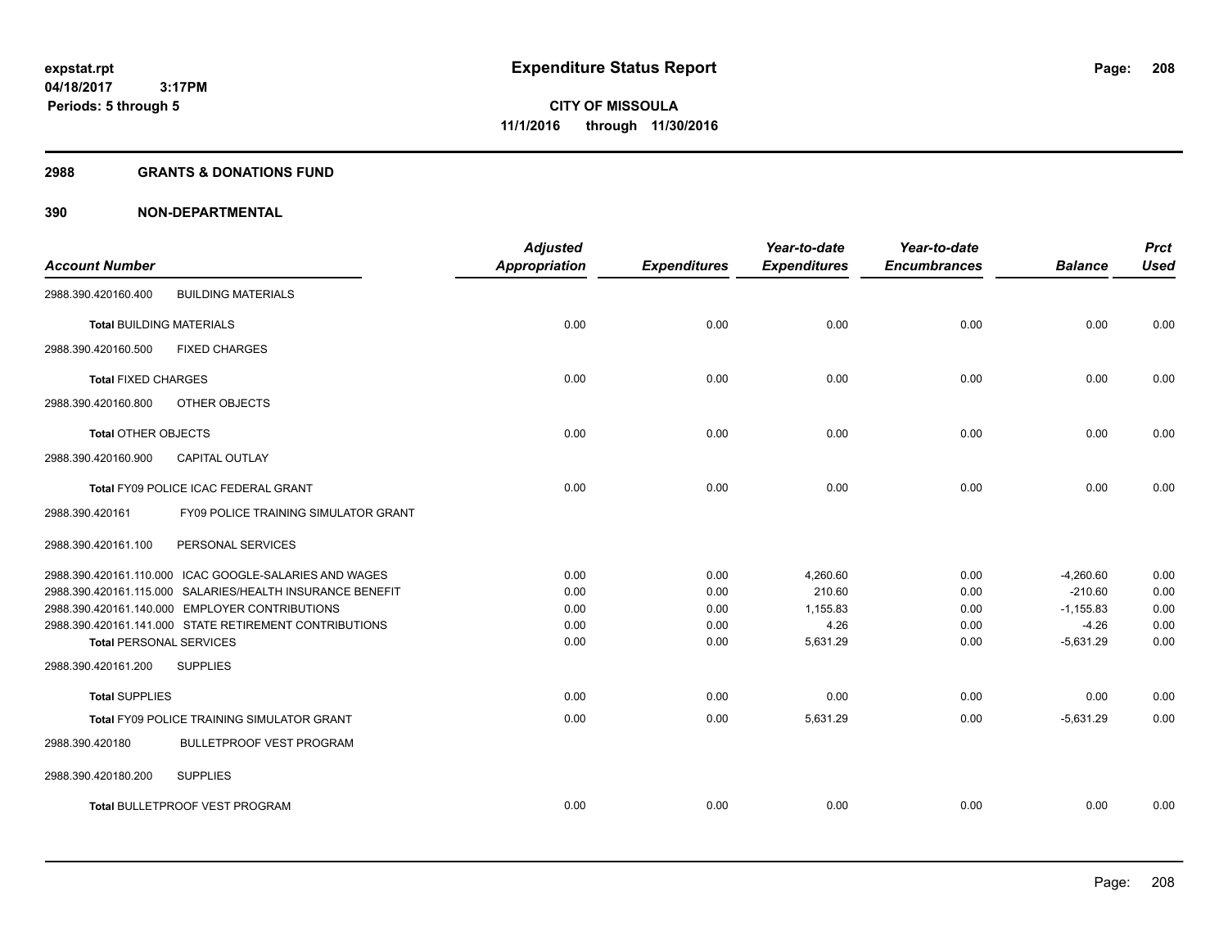#### **2988 GRANTS & DONATIONS FUND**

|                                 |                                                           | <b>Adjusted</b>      |                     | Year-to-date        | Year-to-date        |                | <b>Prct</b> |
|---------------------------------|-----------------------------------------------------------|----------------------|---------------------|---------------------|---------------------|----------------|-------------|
| <b>Account Number</b>           |                                                           | <b>Appropriation</b> | <b>Expenditures</b> | <b>Expenditures</b> | <b>Encumbrances</b> | <b>Balance</b> | <b>Used</b> |
| 2988.390.420160.400             | <b>BUILDING MATERIALS</b>                                 |                      |                     |                     |                     |                |             |
| <b>Total BUILDING MATERIALS</b> |                                                           | 0.00                 | 0.00                | 0.00                | 0.00                | 0.00           | 0.00        |
| 2988.390.420160.500             | <b>FIXED CHARGES</b>                                      |                      |                     |                     |                     |                |             |
| <b>Total FIXED CHARGES</b>      |                                                           | 0.00                 | 0.00                | 0.00                | 0.00                | 0.00           | 0.00        |
| 2988.390.420160.800             | OTHER OBJECTS                                             |                      |                     |                     |                     |                |             |
| <b>Total OTHER OBJECTS</b>      |                                                           | 0.00                 | 0.00                | 0.00                | 0.00                | 0.00           | 0.00        |
| 2988.390.420160.900             | <b>CAPITAL OUTLAY</b>                                     |                      |                     |                     |                     |                |             |
|                                 | Total FY09 POLICE ICAC FEDERAL GRANT                      | 0.00                 | 0.00                | 0.00                | 0.00                | 0.00           | 0.00        |
| 2988.390.420161                 | FY09 POLICE TRAINING SIMULATOR GRANT                      |                      |                     |                     |                     |                |             |
| 2988.390.420161.100             | PERSONAL SERVICES                                         |                      |                     |                     |                     |                |             |
|                                 | 2988.390.420161.110.000 ICAC GOOGLE-SALARIES AND WAGES    | 0.00                 | 0.00                | 4,260.60            | 0.00                | $-4,260.60$    | 0.00        |
|                                 | 2988.390.420161.115.000 SALARIES/HEALTH INSURANCE BENEFIT | 0.00                 | 0.00                | 210.60              | 0.00                | $-210.60$      | 0.00        |
|                                 | 2988.390.420161.140.000 EMPLOYER CONTRIBUTIONS            | 0.00                 | 0.00                | 1,155.83            | 0.00                | $-1,155.83$    | 0.00        |
|                                 | 2988.390.420161.141.000 STATE RETIREMENT CONTRIBUTIONS    | 0.00                 | 0.00                | 4.26                | 0.00                | $-4.26$        | 0.00        |
| <b>Total PERSONAL SERVICES</b>  |                                                           | 0.00                 | 0.00                | 5,631.29            | 0.00                | $-5,631.29$    | 0.00        |
| 2988.390.420161.200             | <b>SUPPLIES</b>                                           |                      |                     |                     |                     |                |             |
| <b>Total SUPPLIES</b>           |                                                           | 0.00                 | 0.00                | 0.00                | 0.00                | 0.00           | 0.00        |
|                                 | <b>Total FY09 POLICE TRAINING SIMULATOR GRANT</b>         | 0.00                 | 0.00                | 5,631.29            | 0.00                | $-5.631.29$    | 0.00        |
| 2988.390.420180                 | <b>BULLETPROOF VEST PROGRAM</b>                           |                      |                     |                     |                     |                |             |
| 2988.390.420180.200             | <b>SUPPLIES</b>                                           |                      |                     |                     |                     |                |             |
|                                 | <b>Total BULLETPROOF VEST PROGRAM</b>                     | 0.00                 | 0.00                | 0.00                | 0.00                | 0.00           | 0.00        |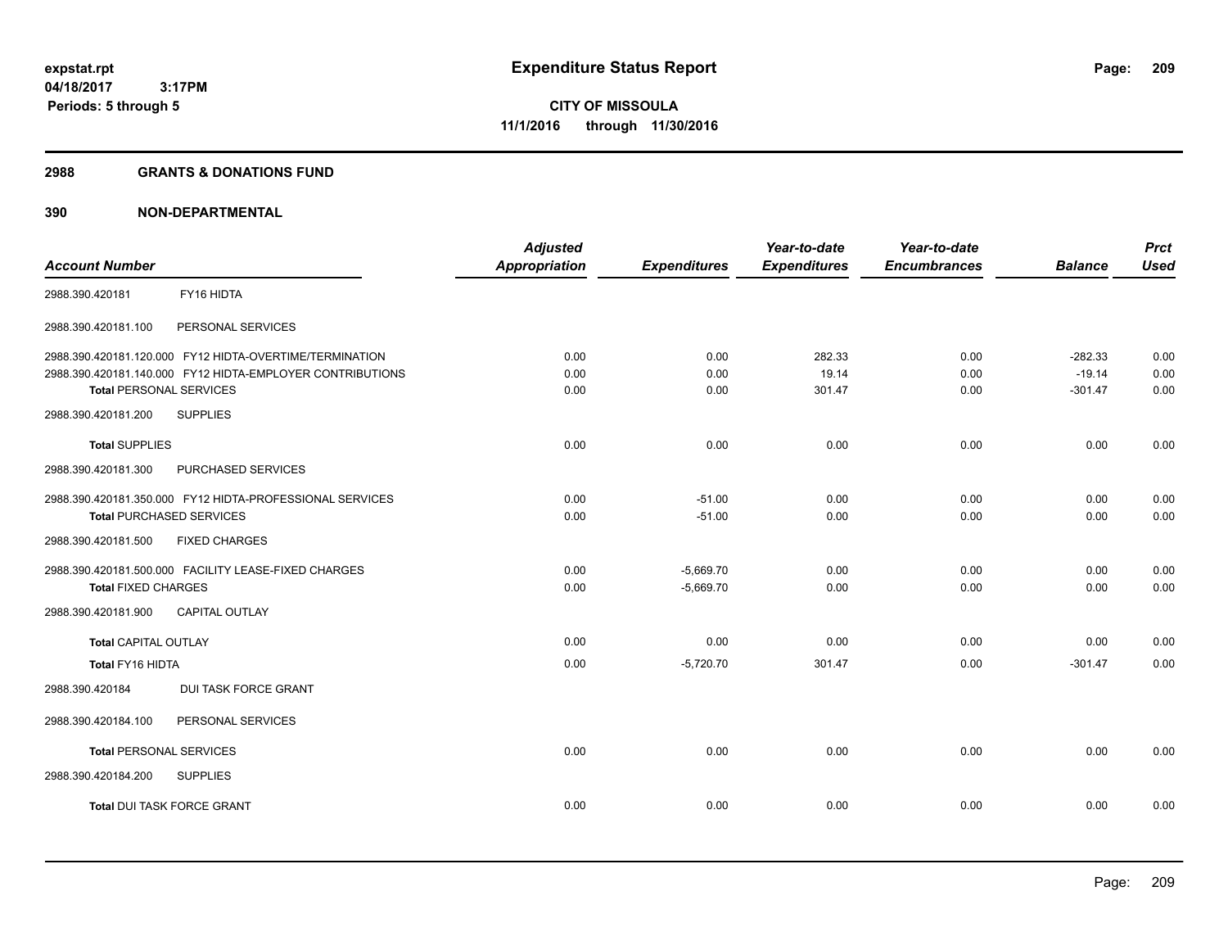#### **2988 GRANTS & DONATIONS FUND**

|                                                           | <b>Adjusted</b>      |                     | Year-to-date        | Year-to-date        |                | <b>Prct</b> |
|-----------------------------------------------------------|----------------------|---------------------|---------------------|---------------------|----------------|-------------|
| <b>Account Number</b>                                     | <b>Appropriation</b> | <b>Expenditures</b> | <b>Expenditures</b> | <b>Encumbrances</b> | <b>Balance</b> | <b>Used</b> |
| FY16 HIDTA<br>2988.390.420181                             |                      |                     |                     |                     |                |             |
| 2988.390.420181.100<br>PERSONAL SERVICES                  |                      |                     |                     |                     |                |             |
| 2988.390.420181.120.000 FY12 HIDTA-OVERTIME/TERMINATION   | 0.00                 | 0.00                | 282.33              | 0.00                | $-282.33$      | 0.00        |
| 2988.390.420181.140.000 FY12 HIDTA-EMPLOYER CONTRIBUTIONS | 0.00                 | 0.00                | 19.14               | 0.00                | $-19.14$       | 0.00        |
| <b>Total PERSONAL SERVICES</b>                            | 0.00                 | 0.00                | 301.47              | 0.00                | $-301.47$      | 0.00        |
| <b>SUPPLIES</b><br>2988.390.420181.200                    |                      |                     |                     |                     |                |             |
| <b>Total SUPPLIES</b>                                     | 0.00                 | 0.00                | 0.00                | 0.00                | 0.00           | 0.00        |
| PURCHASED SERVICES<br>2988.390.420181.300                 |                      |                     |                     |                     |                |             |
| 2988.390.420181.350.000 FY12 HIDTA-PROFESSIONAL SERVICES  | 0.00                 | $-51.00$            | 0.00                | 0.00                | 0.00           | 0.00        |
| <b>Total PURCHASED SERVICES</b>                           | 0.00                 | $-51.00$            | 0.00                | 0.00                | 0.00           | 0.00        |
| 2988.390.420181.500<br><b>FIXED CHARGES</b>               |                      |                     |                     |                     |                |             |
| 2988.390.420181.500.000 FACILITY LEASE-FIXED CHARGES      | 0.00                 | $-5,669.70$         | 0.00                | 0.00                | 0.00           | 0.00        |
| <b>Total FIXED CHARGES</b>                                | 0.00                 | $-5,669.70$         | 0.00                | 0.00                | 0.00           | 0.00        |
| CAPITAL OUTLAY<br>2988.390.420181.900                     |                      |                     |                     |                     |                |             |
| <b>Total CAPITAL OUTLAY</b>                               | 0.00                 | 0.00                | 0.00                | 0.00                | 0.00           | 0.00        |
| <b>Total FY16 HIDTA</b>                                   | 0.00                 | $-5,720.70$         | 301.47              | 0.00                | $-301.47$      | 0.00        |
| <b>DUI TASK FORCE GRANT</b><br>2988.390.420184            |                      |                     |                     |                     |                |             |
| PERSONAL SERVICES<br>2988.390.420184.100                  |                      |                     |                     |                     |                |             |
| <b>Total PERSONAL SERVICES</b>                            | 0.00                 | 0.00                | 0.00                | 0.00                | 0.00           | 0.00        |
| 2988.390.420184.200<br><b>SUPPLIES</b>                    |                      |                     |                     |                     |                |             |
| <b>Total DUI TASK FORCE GRANT</b>                         | 0.00                 | 0.00                | 0.00                | 0.00                | 0.00           | 0.00        |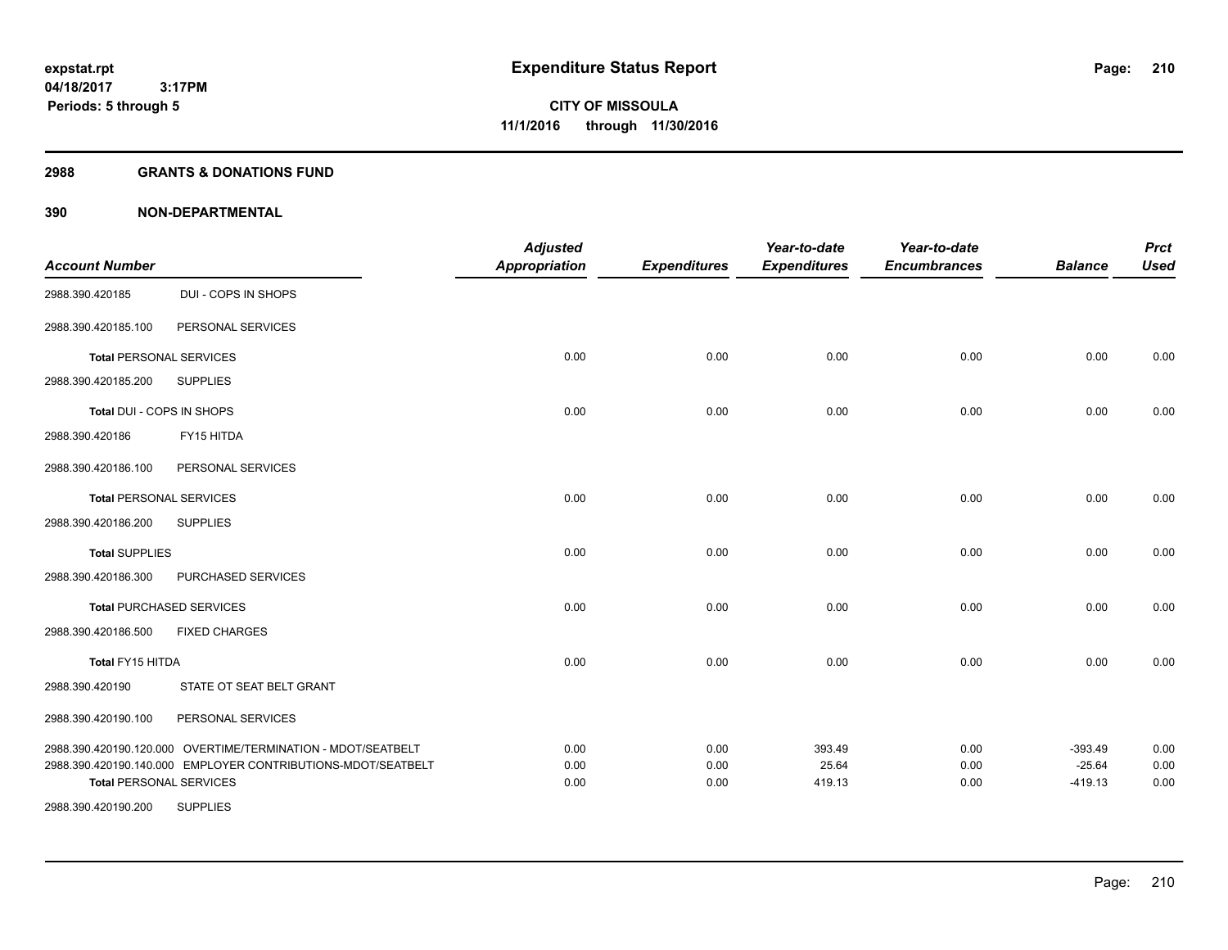#### **2988 GRANTS & DONATIONS FUND**

|                                                              | <b>Adjusted</b>                                                                                                                          |                                      | Year-to-date                        | Year-to-date                           |                                     | <b>Prct</b><br><b>Used</b>              |
|--------------------------------------------------------------|------------------------------------------------------------------------------------------------------------------------------------------|--------------------------------------|-------------------------------------|----------------------------------------|-------------------------------------|-----------------------------------------|
|                                                              |                                                                                                                                          |                                      |                                     |                                        |                                     |                                         |
|                                                              |                                                                                                                                          |                                      |                                     |                                        |                                     |                                         |
| PERSONAL SERVICES                                            |                                                                                                                                          |                                      |                                     |                                        |                                     |                                         |
| <b>Total PERSONAL SERVICES</b>                               | 0.00                                                                                                                                     | 0.00                                 | 0.00                                | 0.00                                   | 0.00                                | 0.00                                    |
| <b>SUPPLIES</b>                                              |                                                                                                                                          |                                      |                                     |                                        |                                     |                                         |
| Total DUI - COPS IN SHOPS                                    | 0.00                                                                                                                                     | 0.00                                 | 0.00                                | 0.00                                   | 0.00                                | 0.00                                    |
| FY15 HITDA                                                   |                                                                                                                                          |                                      |                                     |                                        |                                     |                                         |
| PERSONAL SERVICES                                            |                                                                                                                                          |                                      |                                     |                                        |                                     |                                         |
| <b>Total PERSONAL SERVICES</b>                               | 0.00                                                                                                                                     | 0.00                                 | 0.00                                | 0.00                                   | 0.00                                | 0.00                                    |
| <b>SUPPLIES</b>                                              |                                                                                                                                          |                                      |                                     |                                        |                                     |                                         |
|                                                              | 0.00                                                                                                                                     | 0.00                                 | 0.00                                | 0.00                                   | 0.00                                | 0.00                                    |
| PURCHASED SERVICES                                           |                                                                                                                                          |                                      |                                     |                                        |                                     |                                         |
| <b>Total PURCHASED SERVICES</b>                              | 0.00                                                                                                                                     | 0.00                                 | 0.00                                | 0.00                                   | 0.00                                | 0.00                                    |
| <b>FIXED CHARGES</b>                                         |                                                                                                                                          |                                      |                                     |                                        |                                     |                                         |
|                                                              | 0.00                                                                                                                                     | 0.00                                 | 0.00                                | 0.00                                   | 0.00                                | 0.00                                    |
| STATE OT SEAT BELT GRANT                                     |                                                                                                                                          |                                      |                                     |                                        |                                     |                                         |
| PERSONAL SERVICES                                            |                                                                                                                                          |                                      |                                     |                                        |                                     |                                         |
| 2988.390.420190.120.000 OVERTIME/TERMINATION - MDOT/SEATBELT | 0.00                                                                                                                                     | 0.00                                 | 393.49                              | 0.00                                   | $-393.49$                           | 0.00                                    |
|                                                              |                                                                                                                                          |                                      |                                     |                                        |                                     | 0.00<br>0.00                            |
|                                                              |                                                                                                                                          |                                      |                                     |                                        |                                     |                                         |
|                                                              | DUI - COPS IN SHOPS<br>2988.390.420190.140.000 EMPLOYER CONTRIBUTIONS-MDOT/SEATBELT<br><b>Total PERSONAL SERVICES</b><br><b>SUPPLIES</b> | <b>Appropriation</b><br>0.00<br>0.00 | <b>Expenditures</b><br>0.00<br>0.00 | <b>Expenditures</b><br>25.64<br>419.13 | <b>Encumbrances</b><br>0.00<br>0.00 | <b>Balance</b><br>$-25.64$<br>$-419.13$ |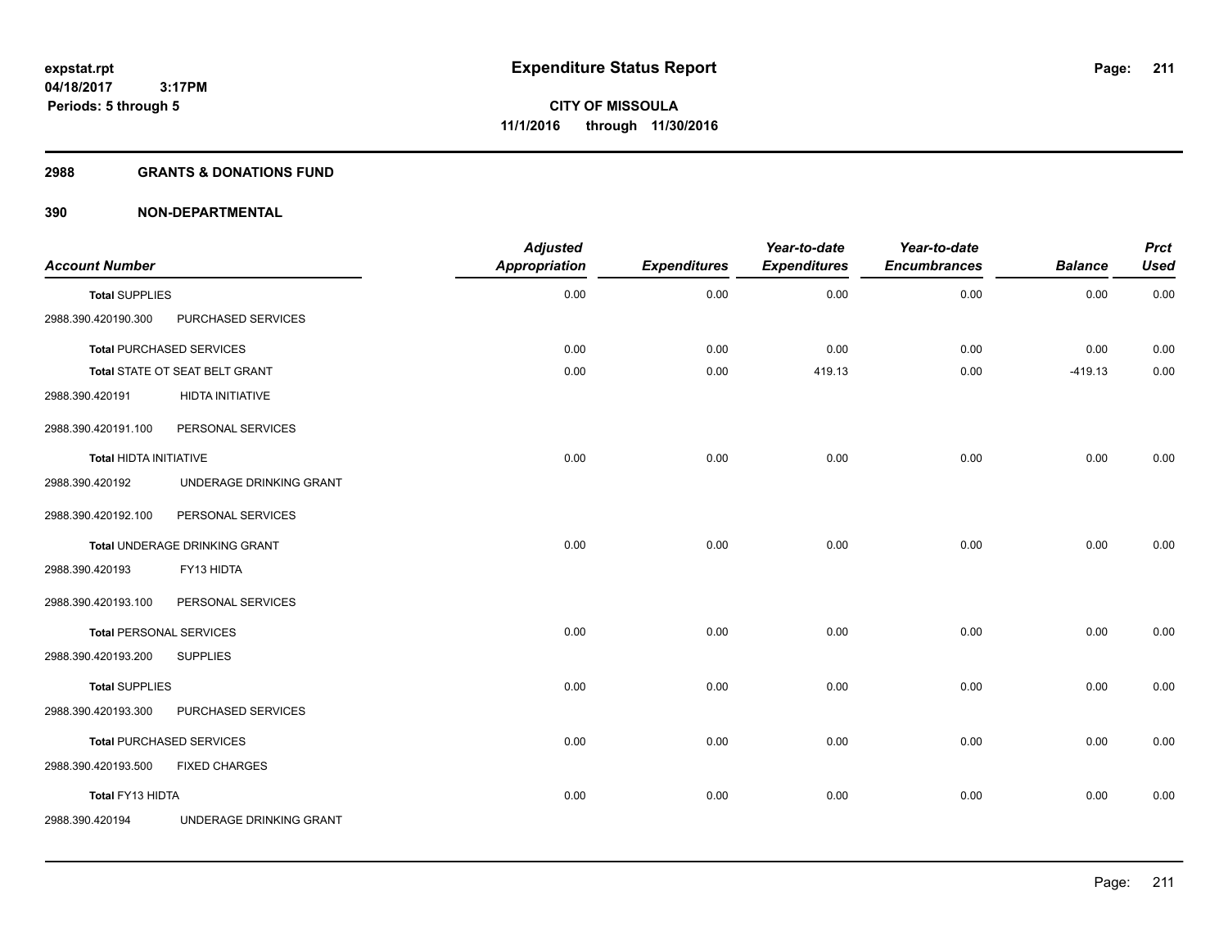#### **2988 GRANTS & DONATIONS FUND**

| <b>Account Number</b>          |                                 | <b>Adjusted</b><br><b>Appropriation</b> | <b>Expenditures</b> | Year-to-date<br><b>Expenditures</b> | Year-to-date<br><b>Encumbrances</b> | <b>Balance</b> | <b>Prct</b><br><b>Used</b> |
|--------------------------------|---------------------------------|-----------------------------------------|---------------------|-------------------------------------|-------------------------------------|----------------|----------------------------|
| <b>Total SUPPLIES</b>          |                                 | 0.00                                    | 0.00                | 0.00                                | 0.00                                | 0.00           | 0.00                       |
| 2988.390.420190.300            | PURCHASED SERVICES              |                                         |                     |                                     |                                     |                |                            |
|                                | <b>Total PURCHASED SERVICES</b> | 0.00                                    | 0.00                | 0.00                                | 0.00                                | 0.00           | 0.00                       |
|                                | Total STATE OT SEAT BELT GRANT  | 0.00                                    | 0.00                | 419.13                              | 0.00                                | $-419.13$      | 0.00                       |
| 2988.390.420191                | HIDTA INITIATIVE                |                                         |                     |                                     |                                     |                |                            |
| 2988.390.420191.100            | PERSONAL SERVICES               |                                         |                     |                                     |                                     |                |                            |
| <b>Total HIDTA INITIATIVE</b>  |                                 | 0.00                                    | 0.00                | 0.00                                | 0.00                                | 0.00           | 0.00                       |
| 2988.390.420192                | UNDERAGE DRINKING GRANT         |                                         |                     |                                     |                                     |                |                            |
| 2988.390.420192.100            | PERSONAL SERVICES               |                                         |                     |                                     |                                     |                |                            |
|                                | Total UNDERAGE DRINKING GRANT   | 0.00                                    | 0.00                | 0.00                                | 0.00                                | 0.00           | 0.00                       |
| 2988.390.420193                | FY13 HIDTA                      |                                         |                     |                                     |                                     |                |                            |
| 2988.390.420193.100            | PERSONAL SERVICES               |                                         |                     |                                     |                                     |                |                            |
| <b>Total PERSONAL SERVICES</b> |                                 | 0.00                                    | 0.00                | 0.00                                | 0.00                                | 0.00           | 0.00                       |
| 2988.390.420193.200            | <b>SUPPLIES</b>                 |                                         |                     |                                     |                                     |                |                            |
| <b>Total SUPPLIES</b>          |                                 | 0.00                                    | 0.00                | 0.00                                | 0.00                                | 0.00           | 0.00                       |
| 2988.390.420193.300            | PURCHASED SERVICES              |                                         |                     |                                     |                                     |                |                            |
|                                | <b>Total PURCHASED SERVICES</b> | 0.00                                    | 0.00                | 0.00                                | 0.00                                | 0.00           | 0.00                       |
| 2988.390.420193.500            | <b>FIXED CHARGES</b>            |                                         |                     |                                     |                                     |                |                            |
| Total FY13 HIDTA               |                                 | 0.00                                    | 0.00                | 0.00                                | 0.00                                | 0.00           | 0.00                       |
| 2988.390.420194                | UNDERAGE DRINKING GRANT         |                                         |                     |                                     |                                     |                |                            |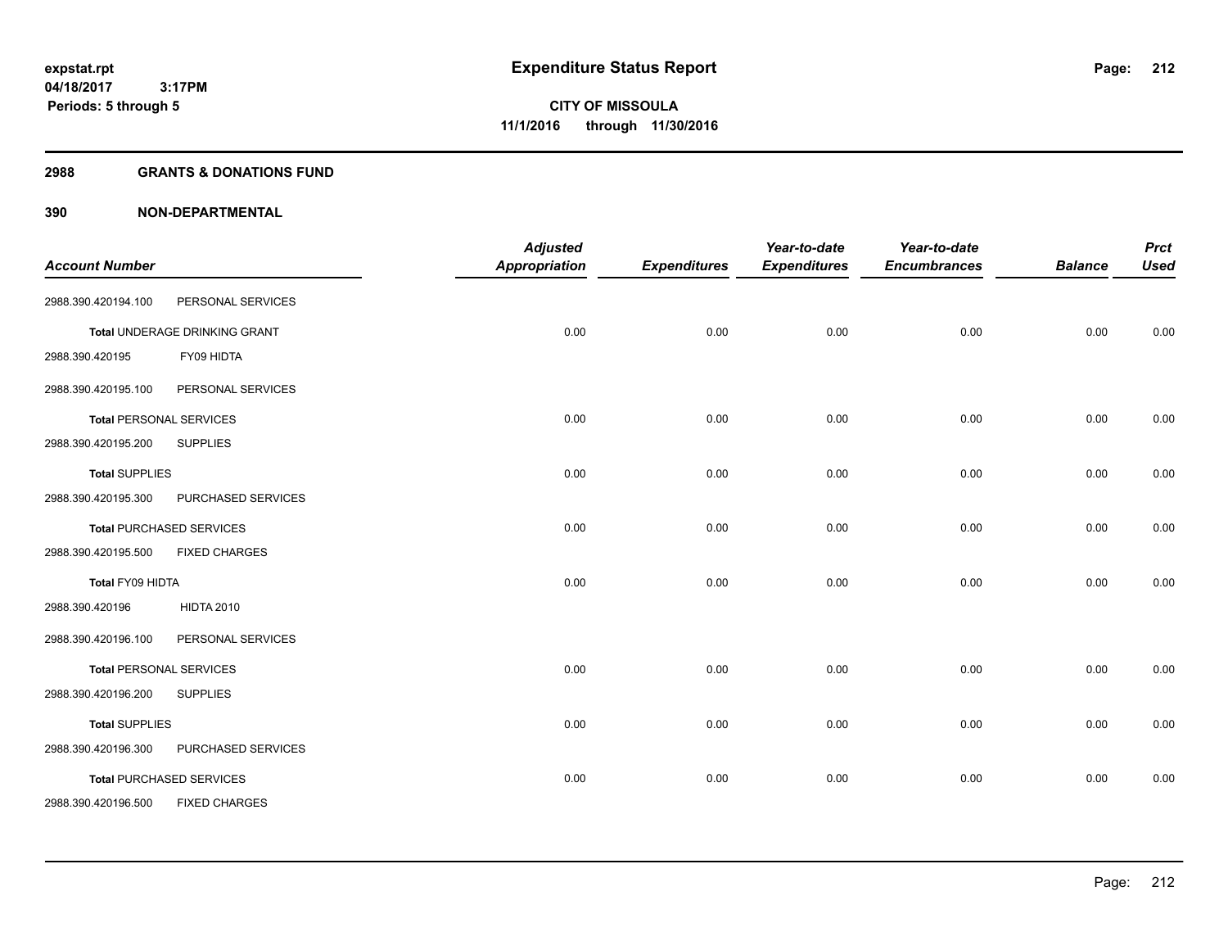#### **2988 GRANTS & DONATIONS FUND**

| <b>Account Number</b> |                                 | <b>Adjusted</b><br><b>Appropriation</b> | <b>Expenditures</b> | Year-to-date<br><b>Expenditures</b> | Year-to-date<br><b>Encumbrances</b> | <b>Balance</b> | <b>Prct</b><br><b>Used</b> |
|-----------------------|---------------------------------|-----------------------------------------|---------------------|-------------------------------------|-------------------------------------|----------------|----------------------------|
| 2988.390.420194.100   | PERSONAL SERVICES               |                                         |                     |                                     |                                     |                |                            |
|                       | Total UNDERAGE DRINKING GRANT   | 0.00                                    | 0.00                | 0.00                                | 0.00                                | 0.00           | 0.00                       |
| 2988.390.420195       | FY09 HIDTA                      |                                         |                     |                                     |                                     |                |                            |
| 2988.390.420195.100   | PERSONAL SERVICES               |                                         |                     |                                     |                                     |                |                            |
|                       | <b>Total PERSONAL SERVICES</b>  | 0.00                                    | 0.00                | 0.00                                | 0.00                                | 0.00           | 0.00                       |
| 2988.390.420195.200   | <b>SUPPLIES</b>                 |                                         |                     |                                     |                                     |                |                            |
| <b>Total SUPPLIES</b> |                                 | 0.00                                    | 0.00                | 0.00                                | 0.00                                | 0.00           | 0.00                       |
| 2988.390.420195.300   | PURCHASED SERVICES              |                                         |                     |                                     |                                     |                |                            |
|                       | <b>Total PURCHASED SERVICES</b> | 0.00                                    | 0.00                | 0.00                                | 0.00                                | 0.00           | 0.00                       |
| 2988.390.420195.500   | <b>FIXED CHARGES</b>            |                                         |                     |                                     |                                     |                |                            |
| Total FY09 HIDTA      |                                 | 0.00                                    | 0.00                | 0.00                                | 0.00                                | 0.00           | 0.00                       |
| 2988.390.420196       | <b>HIDTA 2010</b>               |                                         |                     |                                     |                                     |                |                            |
| 2988.390.420196.100   | PERSONAL SERVICES               |                                         |                     |                                     |                                     |                |                            |
|                       | <b>Total PERSONAL SERVICES</b>  | 0.00                                    | 0.00                | 0.00                                | 0.00                                | 0.00           | 0.00                       |
| 2988.390.420196.200   | <b>SUPPLIES</b>                 |                                         |                     |                                     |                                     |                |                            |
| <b>Total SUPPLIES</b> |                                 | 0.00                                    | 0.00                | 0.00                                | 0.00                                | 0.00           | 0.00                       |
| 2988.390.420196.300   | PURCHASED SERVICES              |                                         |                     |                                     |                                     |                |                            |
|                       | <b>Total PURCHASED SERVICES</b> | 0.00                                    | 0.00                | 0.00                                | 0.00                                | 0.00           | 0.00                       |
| 2988.390.420196.500   | <b>FIXED CHARGES</b>            |                                         |                     |                                     |                                     |                |                            |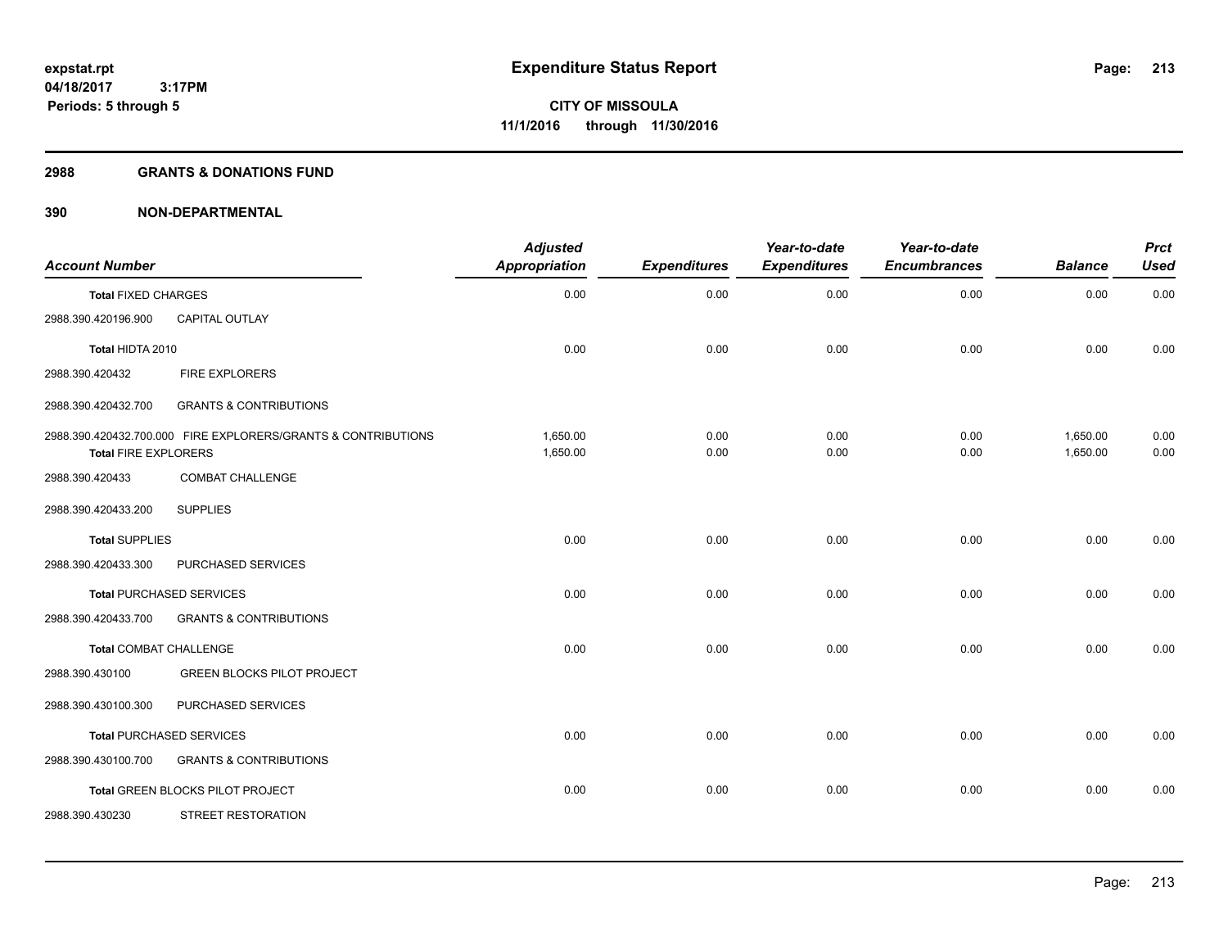#### **2988 GRANTS & DONATIONS FUND**

| <b>Account Number</b>       |                                                               | <b>Adjusted</b><br><b>Appropriation</b> | <b>Expenditures</b> | Year-to-date<br><b>Expenditures</b> | Year-to-date<br><b>Encumbrances</b> | <b>Balance</b>       | <b>Prct</b><br><b>Used</b> |
|-----------------------------|---------------------------------------------------------------|-----------------------------------------|---------------------|-------------------------------------|-------------------------------------|----------------------|----------------------------|
| <b>Total FIXED CHARGES</b>  |                                                               | 0.00                                    | 0.00                | 0.00                                | 0.00                                | 0.00                 | 0.00                       |
| 2988.390.420196.900         | <b>CAPITAL OUTLAY</b>                                         |                                         |                     |                                     |                                     |                      |                            |
| Total HIDTA 2010            |                                                               | 0.00                                    | 0.00                | 0.00                                | 0.00                                | 0.00                 | 0.00                       |
| 2988.390.420432             | <b>FIRE EXPLORERS</b>                                         |                                         |                     |                                     |                                     |                      |                            |
| 2988.390.420432.700         | <b>GRANTS &amp; CONTRIBUTIONS</b>                             |                                         |                     |                                     |                                     |                      |                            |
| <b>Total FIRE EXPLORERS</b> | 2988.390.420432.700.000 FIRE EXPLORERS/GRANTS & CONTRIBUTIONS | 1,650.00<br>1,650.00                    | 0.00<br>0.00        | 0.00<br>0.00                        | 0.00<br>0.00                        | 1,650.00<br>1,650.00 | 0.00<br>0.00               |
| 2988.390.420433             | <b>COMBAT CHALLENGE</b>                                       |                                         |                     |                                     |                                     |                      |                            |
| 2988.390.420433.200         | <b>SUPPLIES</b>                                               |                                         |                     |                                     |                                     |                      |                            |
| <b>Total SUPPLIES</b>       |                                                               | 0.00                                    | 0.00                | 0.00                                | 0.00                                | 0.00                 | 0.00                       |
| 2988.390.420433.300         | PURCHASED SERVICES                                            |                                         |                     |                                     |                                     |                      |                            |
|                             | <b>Total PURCHASED SERVICES</b>                               | 0.00                                    | 0.00                | 0.00                                | 0.00                                | 0.00                 | 0.00                       |
| 2988.390.420433.700         | <b>GRANTS &amp; CONTRIBUTIONS</b>                             |                                         |                     |                                     |                                     |                      |                            |
| Total COMBAT CHALLENGE      |                                                               | 0.00                                    | 0.00                | 0.00                                | 0.00                                | 0.00                 | 0.00                       |
| 2988.390.430100             | <b>GREEN BLOCKS PILOT PROJECT</b>                             |                                         |                     |                                     |                                     |                      |                            |
| 2988.390.430100.300         | PURCHASED SERVICES                                            |                                         |                     |                                     |                                     |                      |                            |
|                             | <b>Total PURCHASED SERVICES</b>                               | 0.00                                    | 0.00                | 0.00                                | 0.00                                | 0.00                 | 0.00                       |
| 2988.390.430100.700         | <b>GRANTS &amp; CONTRIBUTIONS</b>                             |                                         |                     |                                     |                                     |                      |                            |
|                             | Total GREEN BLOCKS PILOT PROJECT                              | 0.00                                    | 0.00                | 0.00                                | 0.00                                | 0.00                 | 0.00                       |
| 2988.390.430230             | STREET RESTORATION                                            |                                         |                     |                                     |                                     |                      |                            |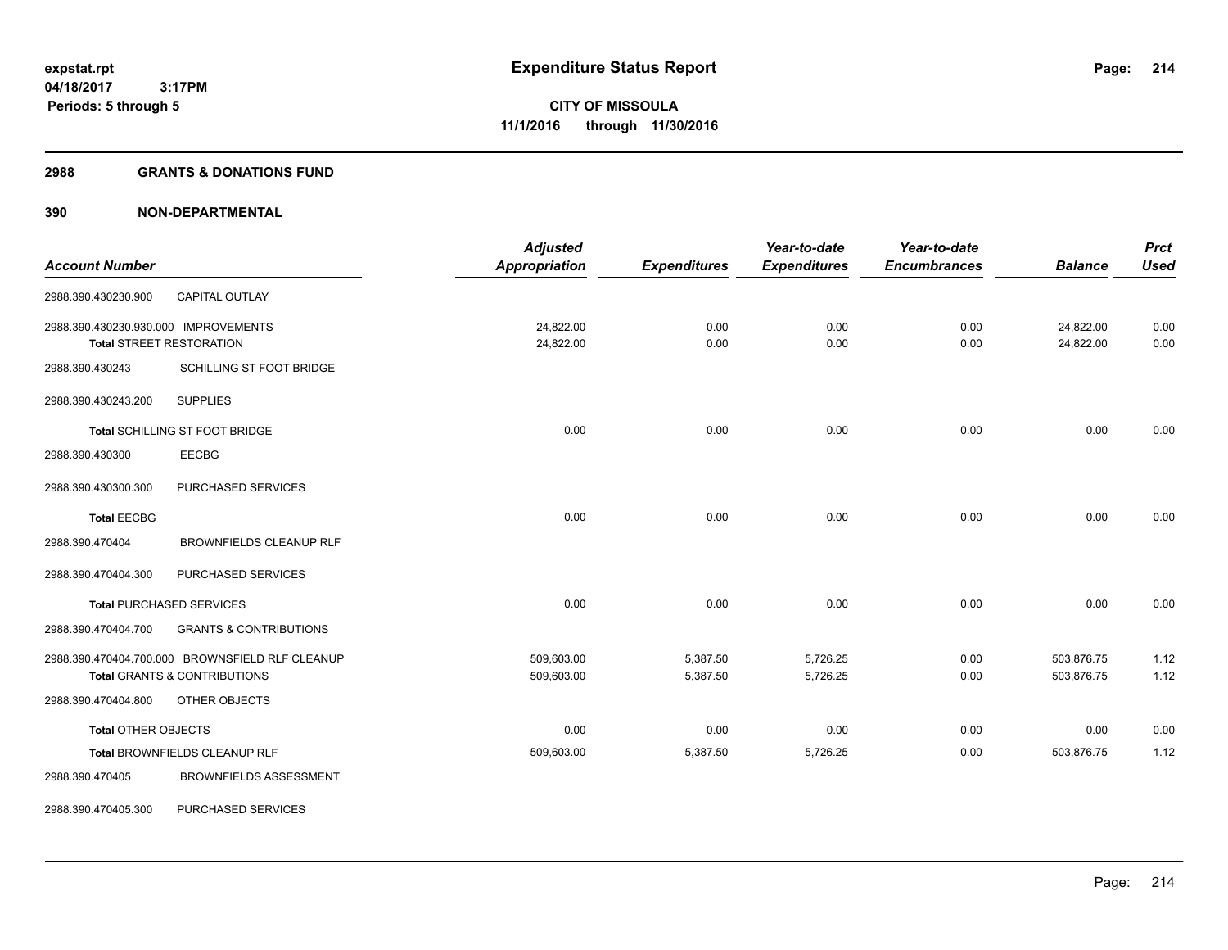#### **2988 GRANTS & DONATIONS FUND**

| <b>Account Number</b>                |                                                                                            | <b>Adjusted</b><br><b>Appropriation</b> | <b>Expenditures</b>  | Year-to-date<br><b>Expenditures</b> | Year-to-date<br><b>Encumbrances</b> | <b>Balance</b>           | <b>Prct</b><br><b>Used</b> |
|--------------------------------------|--------------------------------------------------------------------------------------------|-----------------------------------------|----------------------|-------------------------------------|-------------------------------------|--------------------------|----------------------------|
| 2988.390.430230.900                  | <b>CAPITAL OUTLAY</b>                                                                      |                                         |                      |                                     |                                     |                          |                            |
| 2988.390.430230.930.000 IMPROVEMENTS | <b>Total STREET RESTORATION</b>                                                            | 24,822.00<br>24,822.00                  | 0.00<br>0.00         | 0.00<br>0.00                        | 0.00<br>0.00                        | 24,822.00<br>24,822.00   | 0.00<br>0.00               |
| 2988.390.430243                      | SCHILLING ST FOOT BRIDGE                                                                   |                                         |                      |                                     |                                     |                          |                            |
| 2988.390.430243.200                  | <b>SUPPLIES</b>                                                                            |                                         |                      |                                     |                                     |                          |                            |
|                                      | Total SCHILLING ST FOOT BRIDGE                                                             | 0.00                                    | 0.00                 | 0.00                                | 0.00                                | 0.00                     | 0.00                       |
| 2988.390.430300                      | <b>EECBG</b>                                                                               |                                         |                      |                                     |                                     |                          |                            |
| 2988.390.430300.300                  | PURCHASED SERVICES                                                                         |                                         |                      |                                     |                                     |                          |                            |
| <b>Total EECBG</b>                   |                                                                                            | 0.00                                    | 0.00                 | 0.00                                | 0.00                                | 0.00                     | 0.00                       |
| 2988.390.470404                      | <b>BROWNFIELDS CLEANUP RLF</b>                                                             |                                         |                      |                                     |                                     |                          |                            |
| 2988.390.470404.300                  | PURCHASED SERVICES                                                                         |                                         |                      |                                     |                                     |                          |                            |
|                                      | <b>Total PURCHASED SERVICES</b>                                                            | 0.00                                    | 0.00                 | 0.00                                | 0.00                                | 0.00                     | 0.00                       |
| 2988.390.470404.700                  | <b>GRANTS &amp; CONTRIBUTIONS</b>                                                          |                                         |                      |                                     |                                     |                          |                            |
|                                      | 2988.390.470404.700.000 BROWNSFIELD RLF CLEANUP<br><b>Total GRANTS &amp; CONTRIBUTIONS</b> | 509,603.00<br>509,603.00                | 5,387.50<br>5,387.50 | 5,726.25<br>5,726.25                | 0.00<br>0.00                        | 503,876.75<br>503,876.75 | 1.12<br>1.12               |
| 2988.390.470404.800                  | OTHER OBJECTS                                                                              |                                         |                      |                                     |                                     |                          |                            |
| <b>Total OTHER OBJECTS</b>           |                                                                                            | 0.00                                    | 0.00                 | 0.00                                | 0.00                                | 0.00                     | 0.00                       |
|                                      | Total BROWNFIELDS CLEANUP RLF                                                              | 509,603.00                              | 5,387.50             | 5,726.25                            | 0.00                                | 503,876.75               | 1.12                       |
| 2988.390.470405                      | <b>BROWNFIELDS ASSESSMENT</b>                                                              |                                         |                      |                                     |                                     |                          |                            |
| 2988.390.470405.300                  | PURCHASED SERVICES                                                                         |                                         |                      |                                     |                                     |                          |                            |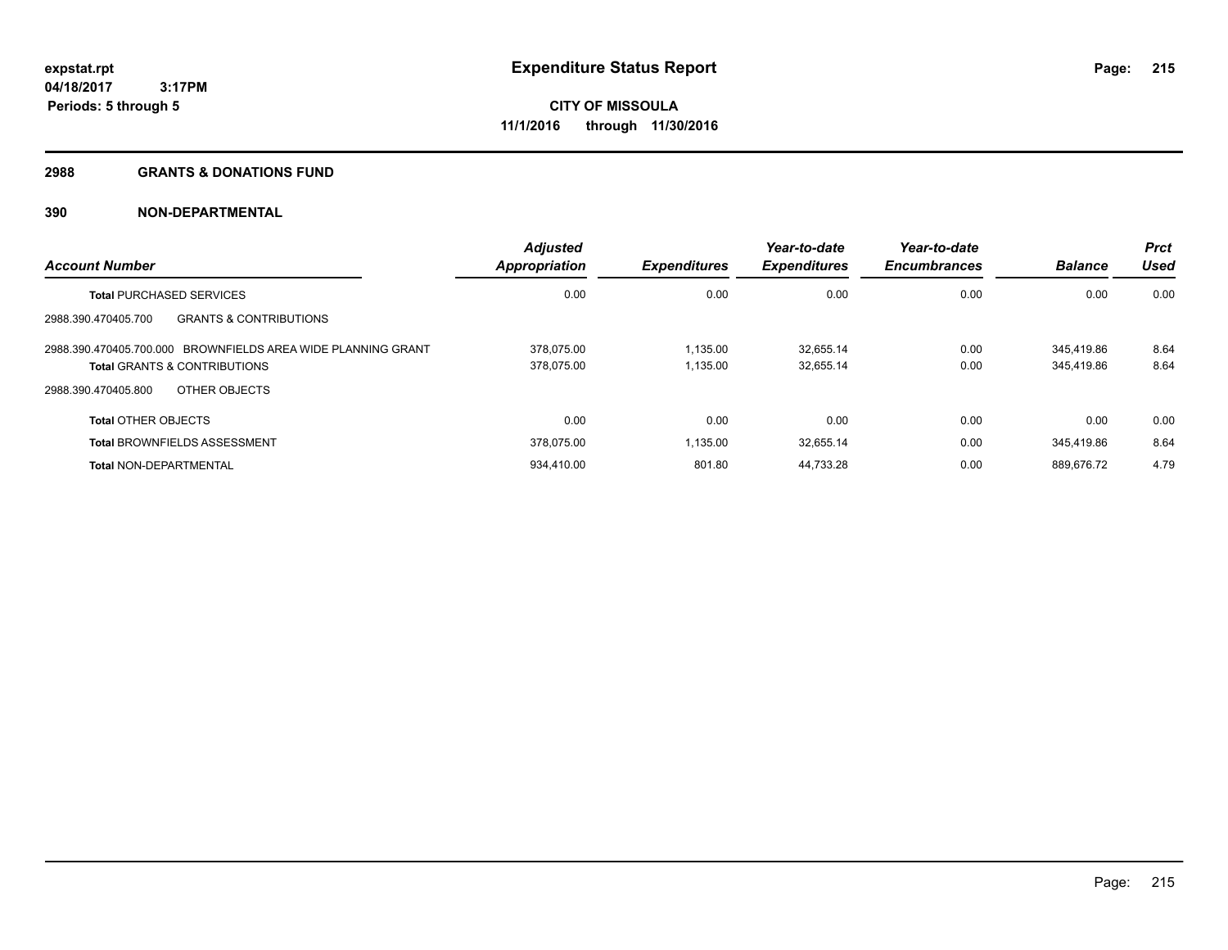#### **2988 GRANTS & DONATIONS FUND**

| <b>Account Number</b>                                        | <b>Adjusted</b><br><b>Appropriation</b> | <b>Expenditures</b> | Year-to-date<br><b>Expenditures</b> | Year-to-date<br><b>Encumbrances</b> | <b>Balance</b> | <b>Prct</b><br>Used |
|--------------------------------------------------------------|-----------------------------------------|---------------------|-------------------------------------|-------------------------------------|----------------|---------------------|
| <b>Total PURCHASED SERVICES</b>                              | 0.00                                    | 0.00                | 0.00                                | 0.00                                | 0.00           | 0.00                |
| <b>GRANTS &amp; CONTRIBUTIONS</b><br>2988.390.470405.700     |                                         |                     |                                     |                                     |                |                     |
| 2988.390.470405.700.000 BROWNFIELDS AREA WIDE PLANNING GRANT | 378.075.00                              | 1.135.00            | 32.655.14                           | 0.00                                | 345.419.86     | 8.64                |
| <b>Total GRANTS &amp; CONTRIBUTIONS</b>                      | 378,075.00                              | 1,135.00            | 32,655.14                           | 0.00                                | 345.419.86     | 8.64                |
| OTHER OBJECTS<br>2988.390.470405.800                         |                                         |                     |                                     |                                     |                |                     |
| <b>Total OTHER OBJECTS</b>                                   | 0.00                                    | 0.00                | 0.00                                | 0.00                                | 0.00           | 0.00                |
| <b>Total BROWNFIELDS ASSESSMENT</b>                          | 378.075.00                              | 1,135.00            | 32,655.14                           | 0.00                                | 345.419.86     | 8.64                |
| <b>Total NON-DEPARTMENTAL</b>                                | 934.410.00                              | 801.80              | 44.733.28                           | 0.00                                | 889.676.72     | 4.79                |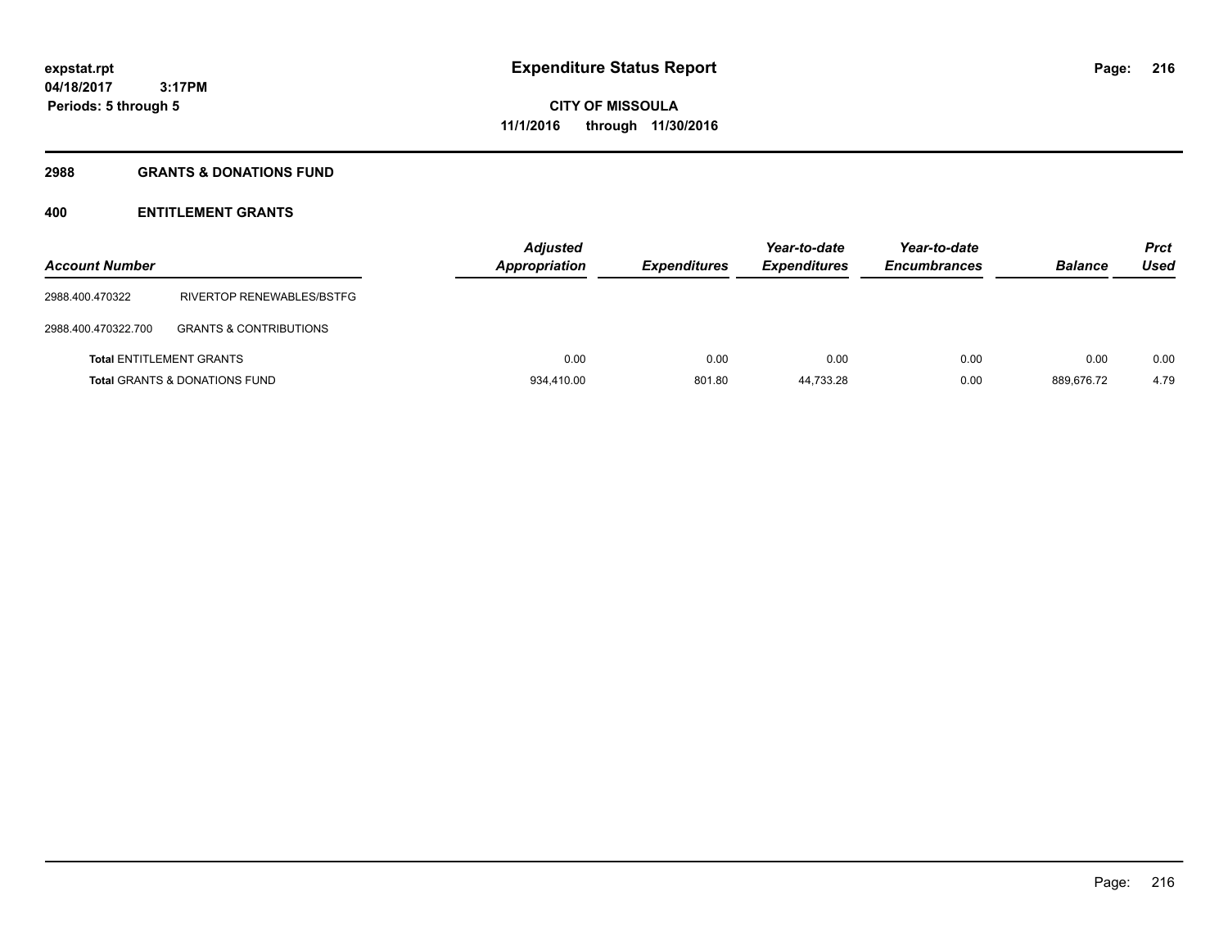# **2988 GRANTS & DONATIONS FUND**

| <b>Account Number</b>           |                                          | <b>Adjusted</b><br><b>Appropriation</b> | <b>Expenditures</b> | Year-to-date<br><b>Expenditures</b> | Year-to-date<br><b>Encumbrances</b> | <b>Balance</b> | <b>Prct</b><br>Used |
|---------------------------------|------------------------------------------|-----------------------------------------|---------------------|-------------------------------------|-------------------------------------|----------------|---------------------|
| 2988.400.470322                 | RIVERTOP RENEWABLES/BSTFG                |                                         |                     |                                     |                                     |                |                     |
| 2988.400.470322.700             | <b>GRANTS &amp; CONTRIBUTIONS</b>        |                                         |                     |                                     |                                     |                |                     |
| <b>Total ENTITLEMENT GRANTS</b> |                                          | 0.00                                    | 0.00                | 0.00                                | 0.00                                | 0.00           | 0.00                |
|                                 | <b>Total GRANTS &amp; DONATIONS FUND</b> | 934.410.00                              | 801.80              | 44.733.28                           | 0.00                                | 889.676.72     | 4.79                |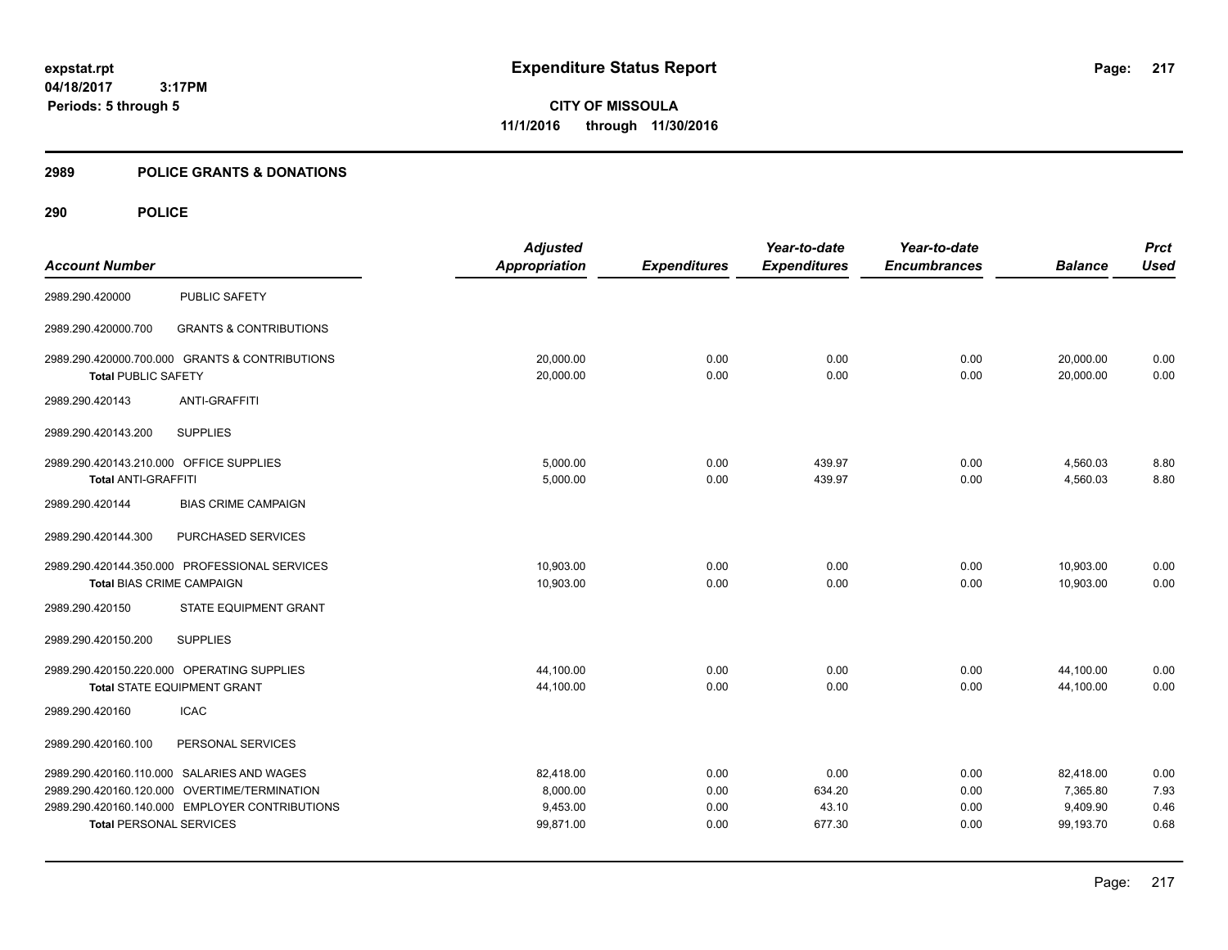**CITY OF MISSOULA 11/1/2016 through 11/30/2016**

#### **2989 POLICE GRANTS & DONATIONS**

|                                         |                                                | <b>Adjusted</b>      |                     | Year-to-date        | Year-to-date        |                | <b>Prct</b> |
|-----------------------------------------|------------------------------------------------|----------------------|---------------------|---------------------|---------------------|----------------|-------------|
| <b>Account Number</b>                   |                                                | <b>Appropriation</b> | <b>Expenditures</b> | <b>Expenditures</b> | <b>Encumbrances</b> | <b>Balance</b> | <b>Used</b> |
| 2989.290.420000                         | <b>PUBLIC SAFETY</b>                           |                      |                     |                     |                     |                |             |
| 2989.290.420000.700                     | <b>GRANTS &amp; CONTRIBUTIONS</b>              |                      |                     |                     |                     |                |             |
|                                         | 2989.290.420000.700.000 GRANTS & CONTRIBUTIONS | 20,000.00            | 0.00                | 0.00                | 0.00                | 20,000.00      | 0.00        |
| <b>Total PUBLIC SAFETY</b>              |                                                | 20,000.00            | 0.00                | 0.00                | 0.00                | 20,000.00      | 0.00        |
| 2989.290.420143                         | <b>ANTI-GRAFFITI</b>                           |                      |                     |                     |                     |                |             |
| 2989.290.420143.200                     | <b>SUPPLIES</b>                                |                      |                     |                     |                     |                |             |
| 2989.290.420143.210.000 OFFICE SUPPLIES |                                                | 5,000.00             | 0.00                | 439.97              | 0.00                | 4,560.03       | 8.80        |
| <b>Total ANTI-GRAFFITI</b>              |                                                | 5,000.00             | 0.00                | 439.97              | 0.00                | 4,560.03       | 8.80        |
| 2989.290.420144                         | <b>BIAS CRIME CAMPAIGN</b>                     |                      |                     |                     |                     |                |             |
| 2989.290.420144.300                     | PURCHASED SERVICES                             |                      |                     |                     |                     |                |             |
|                                         | 2989.290.420144.350.000 PROFESSIONAL SERVICES  | 10,903.00            | 0.00                | 0.00                | 0.00                | 10,903.00      | 0.00        |
| <b>Total BIAS CRIME CAMPAIGN</b>        |                                                | 10,903.00            | 0.00                | 0.00                | 0.00                | 10,903.00      | 0.00        |
| 2989.290.420150                         | STATE EQUIPMENT GRANT                          |                      |                     |                     |                     |                |             |
| 2989.290.420150.200                     | <b>SUPPLIES</b>                                |                      |                     |                     |                     |                |             |
|                                         | 2989.290.420150.220.000 OPERATING SUPPLIES     | 44,100.00            | 0.00                | 0.00                | 0.00                | 44,100.00      | 0.00        |
|                                         | Total STATE EQUIPMENT GRANT                    | 44,100.00            | 0.00                | 0.00                | 0.00                | 44,100.00      | 0.00        |
| 2989.290.420160                         | <b>ICAC</b>                                    |                      |                     |                     |                     |                |             |
| 2989.290.420160.100                     | PERSONAL SERVICES                              |                      |                     |                     |                     |                |             |
|                                         | 2989.290.420160.110.000 SALARIES AND WAGES     | 82,418.00            | 0.00                | 0.00                | 0.00                | 82,418.00      | 0.00        |
|                                         | 2989.290.420160.120.000 OVERTIME/TERMINATION   | 8,000.00             | 0.00                | 634.20              | 0.00                | 7,365.80       | 7.93        |
|                                         | 2989.290.420160.140.000 EMPLOYER CONTRIBUTIONS | 9,453.00             | 0.00                | 43.10               | 0.00                | 9,409.90       | 0.46        |
| <b>Total PERSONAL SERVICES</b>          |                                                | 99,871.00            | 0.00                | 677.30              | 0.00                | 99,193.70      | 0.68        |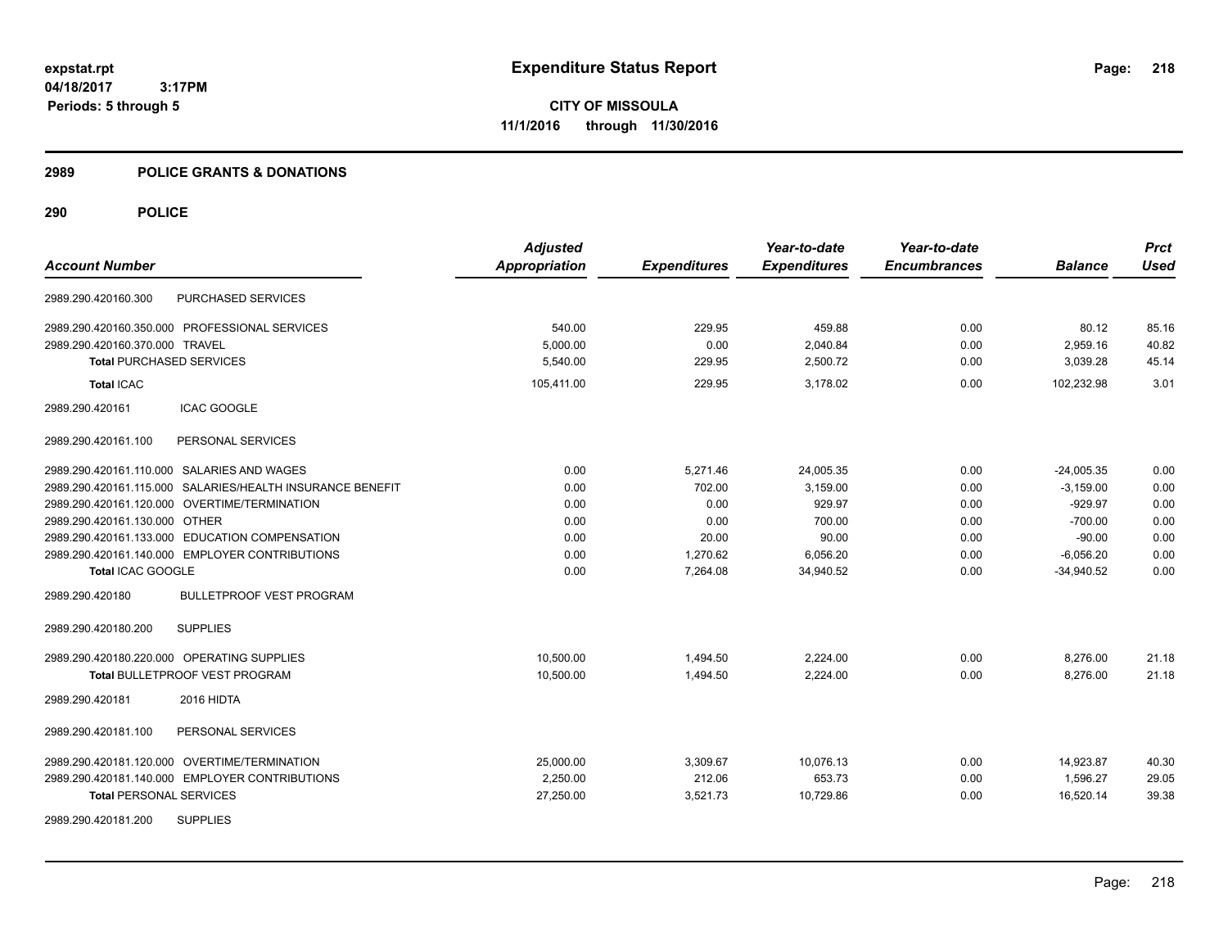**CITY OF MISSOULA 11/1/2016 through 11/30/2016**

#### **2989 POLICE GRANTS & DONATIONS**

|                                                           | <b>Adjusted</b>      |                     | Year-to-date        | Year-to-date        |                | <b>Prct</b> |
|-----------------------------------------------------------|----------------------|---------------------|---------------------|---------------------|----------------|-------------|
| <b>Account Number</b>                                     | <b>Appropriation</b> | <b>Expenditures</b> | <b>Expenditures</b> | <b>Encumbrances</b> | <b>Balance</b> | <b>Used</b> |
| PURCHASED SERVICES<br>2989.290.420160.300                 |                      |                     |                     |                     |                |             |
| 2989.290.420160.350.000 PROFESSIONAL SERVICES             | 540.00               | 229.95              | 459.88              | 0.00                | 80.12          | 85.16       |
| 2989.290.420160.370.000 TRAVEL                            | 5,000.00             | 0.00                | 2,040.84            | 0.00                | 2,959.16       | 40.82       |
| <b>Total PURCHASED SERVICES</b>                           | 5.540.00             | 229.95              | 2,500.72            | 0.00                | 3.039.28       | 45.14       |
| <b>Total ICAC</b>                                         | 105,411.00           | 229.95              | 3.178.02            | 0.00                | 102.232.98     | 3.01        |
| 2989.290.420161<br><b>ICAC GOOGLE</b>                     |                      |                     |                     |                     |                |             |
| PERSONAL SERVICES<br>2989.290.420161.100                  |                      |                     |                     |                     |                |             |
| 2989.290.420161.110.000 SALARIES AND WAGES                | 0.00                 | 5,271.46            | 24,005.35           | 0.00                | $-24,005.35$   | 0.00        |
| 2989.290.420161.115.000 SALARIES/HEALTH INSURANCE BENEFIT | 0.00                 | 702.00              | 3,159.00            | 0.00                | $-3,159.00$    | 0.00        |
| 2989.290.420161.120.000 OVERTIME/TERMINATION              | 0.00                 | 0.00                | 929.97              | 0.00                | $-929.97$      | 0.00        |
| 2989.290.420161.130.000 OTHER                             | 0.00                 | 0.00                | 700.00              | 0.00                | $-700.00$      | 0.00        |
| 2989.290.420161.133.000 EDUCATION COMPENSATION            | 0.00                 | 20.00               | 90.00               | 0.00                | $-90.00$       | 0.00        |
| 2989.290.420161.140.000 EMPLOYER CONTRIBUTIONS            | 0.00                 | 1,270.62            | 6,056.20            | 0.00                | $-6,056.20$    | 0.00        |
| Total ICAC GOOGLE                                         | 0.00                 | 7,264.08            | 34,940.52           | 0.00                | $-34,940.52$   | 0.00        |
| <b>BULLETPROOF VEST PROGRAM</b><br>2989.290.420180        |                      |                     |                     |                     |                |             |
| <b>SUPPLIES</b><br>2989.290.420180.200                    |                      |                     |                     |                     |                |             |
| 2989.290.420180.220.000 OPERATING SUPPLIES                | 10,500.00            | 1,494.50            | 2,224.00            | 0.00                | 8,276.00       | 21.18       |
| Total BULLETPROOF VEST PROGRAM                            | 10,500.00            | 1,494.50            | 2,224.00            | 0.00                | 8,276.00       | 21.18       |
| 2016 HIDTA<br>2989.290.420181                             |                      |                     |                     |                     |                |             |
| 2989.290.420181.100<br>PERSONAL SERVICES                  |                      |                     |                     |                     |                |             |
| 2989.290.420181.120.000 OVERTIME/TERMINATION              | 25,000.00            | 3,309.67            | 10,076.13           | 0.00                | 14,923.87      | 40.30       |
| 2989.290.420181.140.000 EMPLOYER CONTRIBUTIONS            | 2,250.00             | 212.06              | 653.73              | 0.00                | 1,596.27       | 29.05       |
| <b>Total PERSONAL SERVICES</b>                            | 27,250.00            | 3,521.73            | 10,729.86           | 0.00                | 16,520.14      | 39.38       |
| 2989.290.420181.200<br><b>SUPPLIES</b>                    |                      |                     |                     |                     |                |             |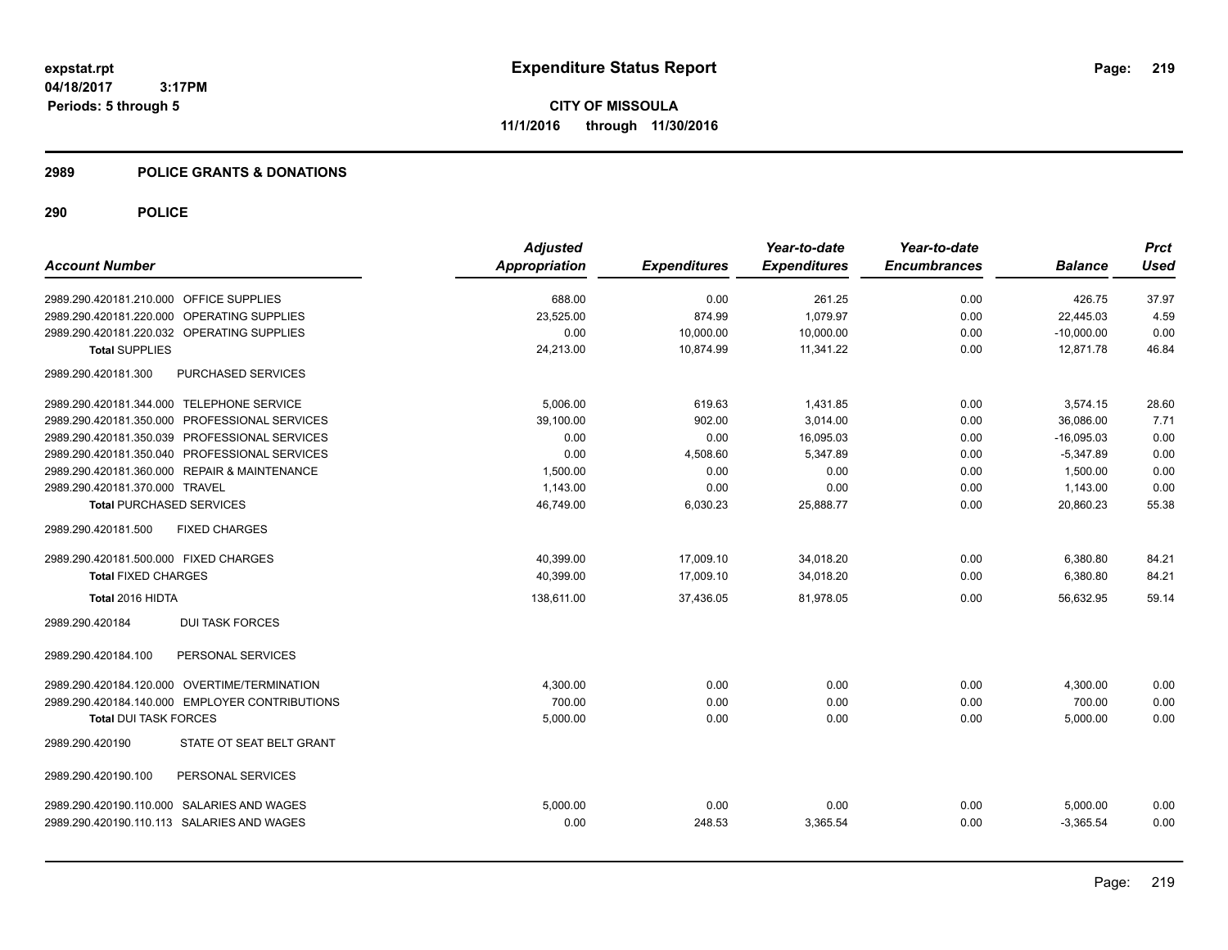#### **2989 POLICE GRANTS & DONATIONS**

|                                                | <b>Adjusted</b> |                     | Year-to-date        | Year-to-date        |                | <b>Prct</b> |
|------------------------------------------------|-----------------|---------------------|---------------------|---------------------|----------------|-------------|
| <b>Account Number</b>                          | Appropriation   | <b>Expenditures</b> | <b>Expenditures</b> | <b>Encumbrances</b> | <b>Balance</b> | <b>Used</b> |
| 2989.290.420181.210.000 OFFICE SUPPLIES        | 688.00          | 0.00                | 261.25              | 0.00                | 426.75         | 37.97       |
| 2989.290.420181.220.000 OPERATING SUPPLIES     | 23,525.00       | 874.99              | 1.079.97            | 0.00                | 22.445.03      | 4.59        |
| 2989.290.420181.220.032 OPERATING SUPPLIES     | 0.00            | 10,000.00           | 10,000.00           | 0.00                | $-10,000.00$   | 0.00        |
| <b>Total SUPPLIES</b>                          | 24,213.00       | 10,874.99           | 11,341.22           | 0.00                | 12,871.78      | 46.84       |
| PURCHASED SERVICES<br>2989.290.420181.300      |                 |                     |                     |                     |                |             |
| 2989.290.420181.344.000 TELEPHONE SERVICE      | 5.006.00        | 619.63              | 1,431.85            | 0.00                | 3,574.15       | 28.60       |
| 2989.290.420181.350.000 PROFESSIONAL SERVICES  | 39,100.00       | 902.00              | 3,014.00            | 0.00                | 36,086.00      | 7.71        |
| 2989.290.420181.350.039 PROFESSIONAL SERVICES  | 0.00            | 0.00                | 16,095.03           | 0.00                | $-16,095.03$   | 0.00        |
| 2989.290.420181.350.040 PROFESSIONAL SERVICES  | 0.00            | 4,508.60            | 5,347.89            | 0.00                | $-5,347.89$    | 0.00        |
| 2989.290.420181.360.000 REPAIR & MAINTENANCE   | 1,500.00        | 0.00                | 0.00                | 0.00                | 1,500.00       | 0.00        |
| 2989.290.420181.370.000 TRAVEL                 | 1,143.00        | 0.00                | 0.00                | 0.00                | 1,143.00       | 0.00        |
| <b>Total PURCHASED SERVICES</b>                | 46,749.00       | 6,030.23            | 25,888.77           | 0.00                | 20,860.23      | 55.38       |
| <b>FIXED CHARGES</b><br>2989.290.420181.500    |                 |                     |                     |                     |                |             |
| 2989.290.420181.500.000 FIXED CHARGES          | 40.399.00       | 17,009.10           | 34,018.20           | 0.00                | 6,380.80       | 84.21       |
| <b>Total FIXED CHARGES</b>                     | 40,399.00       | 17,009.10           | 34,018.20           | 0.00                | 6,380.80       | 84.21       |
| Total 2016 HIDTA                               | 138,611.00      | 37,436.05           | 81,978.05           | 0.00                | 56,632.95      | 59.14       |
| <b>DUI TASK FORCES</b><br>2989.290.420184      |                 |                     |                     |                     |                |             |
| PERSONAL SERVICES<br>2989.290.420184.100       |                 |                     |                     |                     |                |             |
| 2989.290.420184.120.000 OVERTIME/TERMINATION   | 4,300.00        | 0.00                | 0.00                | 0.00                | 4,300.00       | 0.00        |
| 2989.290.420184.140.000 EMPLOYER CONTRIBUTIONS | 700.00          | 0.00                | 0.00                | 0.00                | 700.00         | 0.00        |
| <b>Total DUI TASK FORCES</b>                   | 5,000.00        | 0.00                | 0.00                | 0.00                | 5,000.00       | 0.00        |
| STATE OT SEAT BELT GRANT<br>2989.290.420190    |                 |                     |                     |                     |                |             |
| PERSONAL SERVICES<br>2989.290.420190.100       |                 |                     |                     |                     |                |             |
| 2989.290.420190.110.000 SALARIES AND WAGES     | 5,000.00        | 0.00                | 0.00                | 0.00                | 5,000.00       | 0.00        |
| 2989.290.420190.110.113 SALARIES AND WAGES     | 0.00            | 248.53              | 3,365.54            | 0.00                | $-3.365.54$    | 0.00        |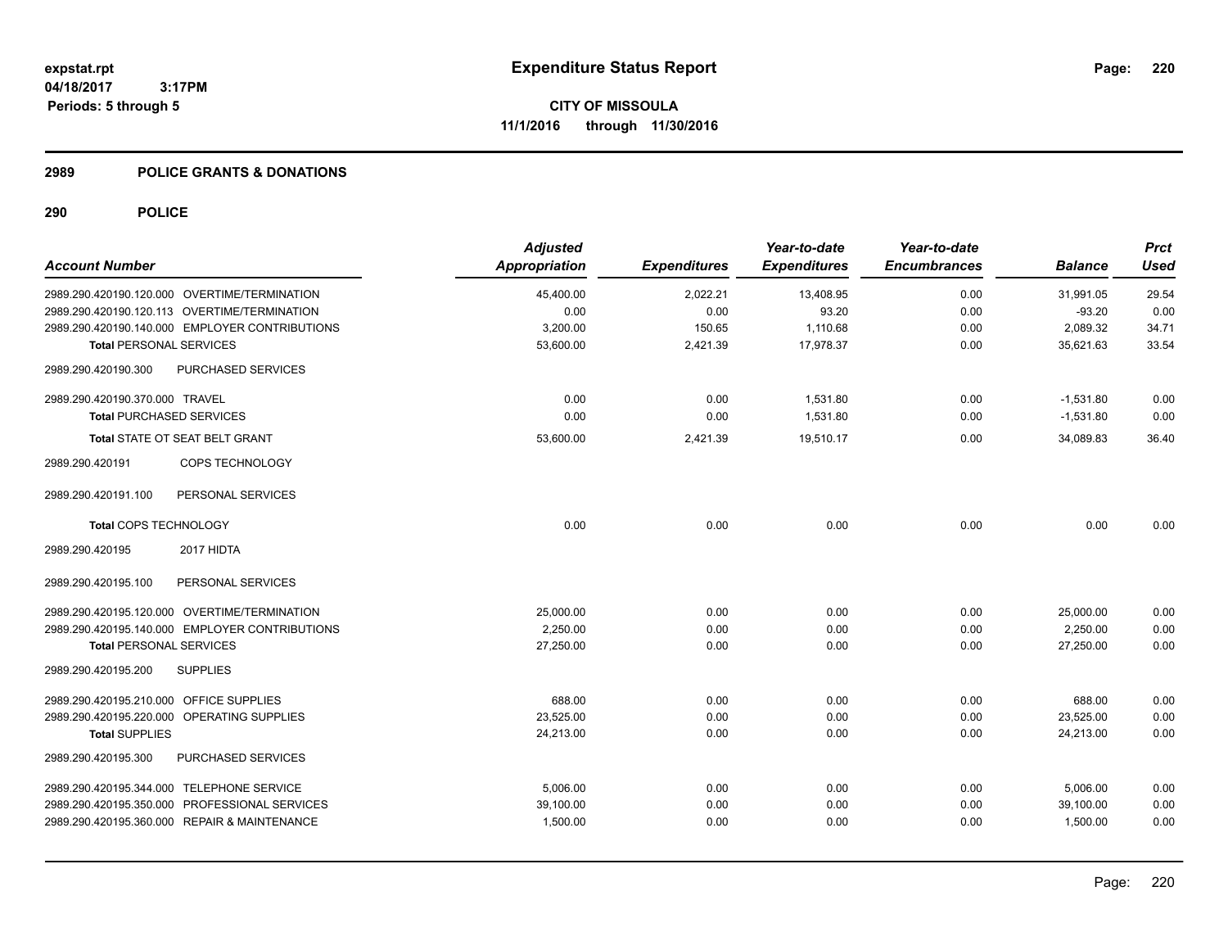#### **2989 POLICE GRANTS & DONATIONS**

| <b>Account Number</b>                          | <b>Adjusted</b><br><b>Appropriation</b> | <b>Expenditures</b> | Year-to-date<br><b>Expenditures</b> | Year-to-date<br><b>Encumbrances</b> | <b>Balance</b> | <b>Prct</b><br><b>Used</b> |
|------------------------------------------------|-----------------------------------------|---------------------|-------------------------------------|-------------------------------------|----------------|----------------------------|
| 2989.290.420190.120.000 OVERTIME/TERMINATION   | 45,400.00                               | 2,022.21            | 13,408.95                           | 0.00                                | 31,991.05      | 29.54                      |
| 2989.290.420190.120.113 OVERTIME/TERMINATION   | 0.00                                    | 0.00                | 93.20                               | 0.00                                | $-93.20$       | 0.00                       |
| 2989.290.420190.140.000 EMPLOYER CONTRIBUTIONS | 3,200.00                                | 150.65              | 1,110.68                            | 0.00                                | 2,089.32       | 34.71                      |
| <b>Total PERSONAL SERVICES</b>                 | 53,600.00                               | 2,421.39            | 17,978.37                           | 0.00                                | 35,621.63      | 33.54                      |
| PURCHASED SERVICES<br>2989.290.420190.300      |                                         |                     |                                     |                                     |                |                            |
| 2989.290.420190.370.000 TRAVEL                 | 0.00                                    | 0.00                | 1,531.80                            | 0.00                                | $-1,531.80$    | 0.00                       |
| <b>Total PURCHASED SERVICES</b>                | 0.00                                    | 0.00                | 1,531.80                            | 0.00                                | $-1,531.80$    | 0.00                       |
| <b>Total STATE OT SEAT BELT GRANT</b>          | 53,600.00                               | 2,421.39            | 19,510.17                           | 0.00                                | 34,089.83      | 36.40                      |
| <b>COPS TECHNOLOGY</b><br>2989.290.420191      |                                         |                     |                                     |                                     |                |                            |
| 2989.290.420191.100<br>PERSONAL SERVICES       |                                         |                     |                                     |                                     |                |                            |
| <b>Total COPS TECHNOLOGY</b>                   | 0.00                                    | 0.00                | 0.00                                | 0.00                                | 0.00           | 0.00                       |
| 2989.290.420195<br>2017 HIDTA                  |                                         |                     |                                     |                                     |                |                            |
| 2989.290.420195.100<br>PERSONAL SERVICES       |                                         |                     |                                     |                                     |                |                            |
| 2989.290.420195.120.000 OVERTIME/TERMINATION   | 25,000.00                               | 0.00                | 0.00                                | 0.00                                | 25,000.00      | 0.00                       |
| 2989.290.420195.140.000 EMPLOYER CONTRIBUTIONS | 2,250.00                                | 0.00                | 0.00                                | 0.00                                | 2,250.00       | 0.00                       |
| <b>Total PERSONAL SERVICES</b>                 | 27,250.00                               | 0.00                | 0.00                                | 0.00                                | 27,250.00      | 0.00                       |
| 2989.290.420195.200<br><b>SUPPLIES</b>         |                                         |                     |                                     |                                     |                |                            |
| 2989.290.420195.210.000 OFFICE SUPPLIES        | 688.00                                  | 0.00                | 0.00                                | 0.00                                | 688.00         | 0.00                       |
| 2989.290.420195.220.000 OPERATING SUPPLIES     | 23,525.00                               | 0.00                | 0.00                                | 0.00                                | 23,525.00      | 0.00                       |
| <b>Total SUPPLIES</b>                          | 24,213.00                               | 0.00                | 0.00                                | 0.00                                | 24,213.00      | 0.00                       |
| 2989.290.420195.300<br>PURCHASED SERVICES      |                                         |                     |                                     |                                     |                |                            |
| 2989.290.420195.344.000 TELEPHONE SERVICE      | 5,006.00                                | 0.00                | 0.00                                | 0.00                                | 5,006.00       | 0.00                       |
| 2989.290.420195.350.000 PROFESSIONAL SERVICES  | 39,100.00                               | 0.00                | 0.00                                | 0.00                                | 39,100.00      | 0.00                       |
| 2989.290.420195.360.000 REPAIR & MAINTENANCE   | 1,500.00                                | 0.00                | 0.00                                | 0.00                                | 1,500.00       | 0.00                       |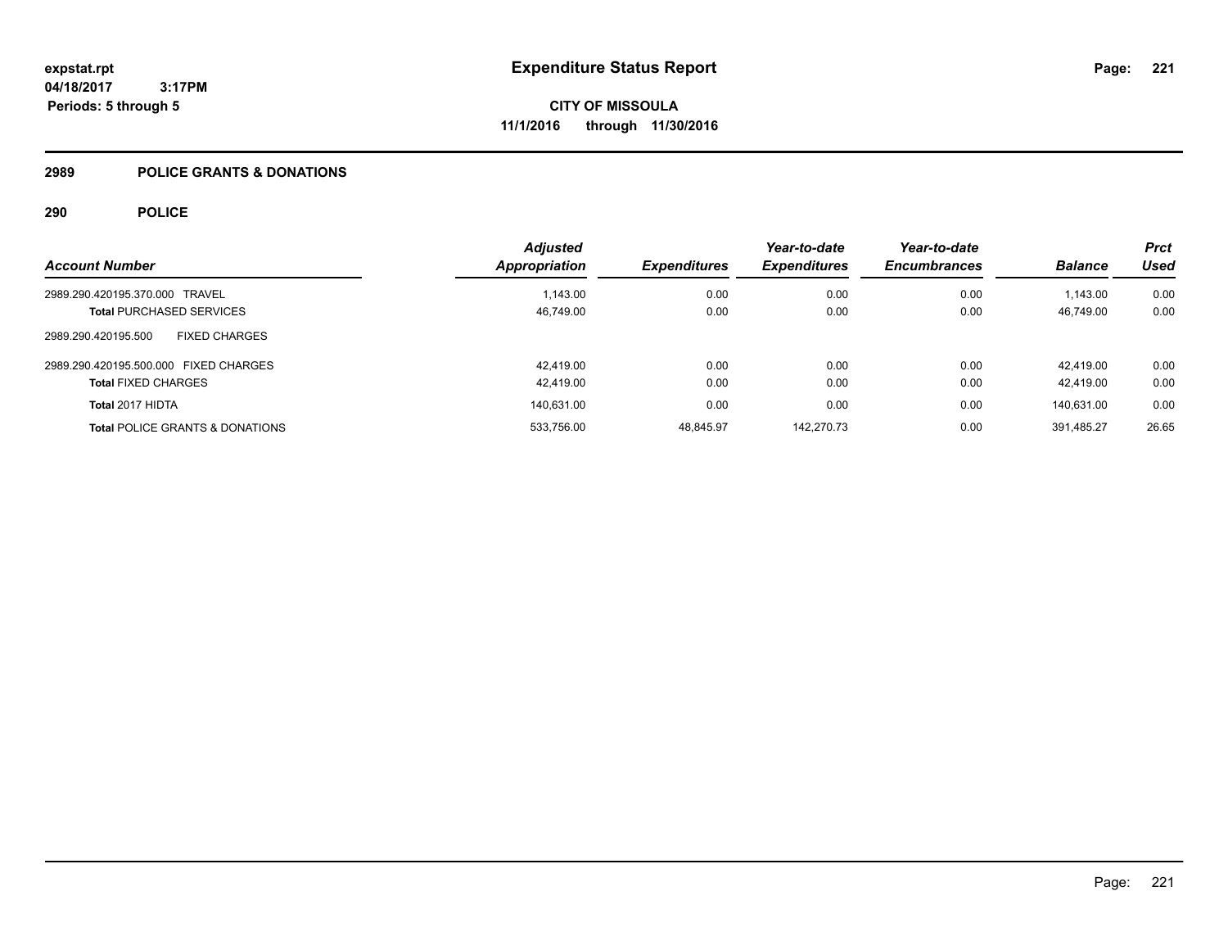#### **2989 POLICE GRANTS & DONATIONS**

|                                             | <b>Adjusted</b> |                     | Year-to-date        | Year-to-date        |                | <b>Prct</b> |
|---------------------------------------------|-----------------|---------------------|---------------------|---------------------|----------------|-------------|
| <b>Account Number</b>                       | Appropriation   | <b>Expenditures</b> | <b>Expenditures</b> | <b>Encumbrances</b> | <b>Balance</b> | <b>Used</b> |
| 2989.290.420195.370.000 TRAVEL              | 1.143.00        | 0.00                | 0.00                | 0.00                | 1.143.00       | 0.00        |
| <b>Total PURCHASED SERVICES</b>             | 46,749.00       | 0.00                | 0.00                | 0.00                | 46.749.00      | 0.00        |
| 2989.290.420195.500<br><b>FIXED CHARGES</b> |                 |                     |                     |                     |                |             |
| 2989.290.420195.500.000 FIXED CHARGES       | 42.419.00       | 0.00                | 0.00                | 0.00                | 42.419.00      | 0.00        |
| <b>Total FIXED CHARGES</b>                  | 42,419.00       | 0.00                | 0.00                | 0.00                | 42.419.00      | 0.00        |
| Total 2017 HIDTA                            | 140,631.00      | 0.00                | 0.00                | 0.00                | 140.631.00     | 0.00        |
| <b>Total POLICE GRANTS &amp; DONATIONS</b>  | 533,756.00      | 48.845.97           | 142.270.73          | 0.00                | 391.485.27     | 26.65       |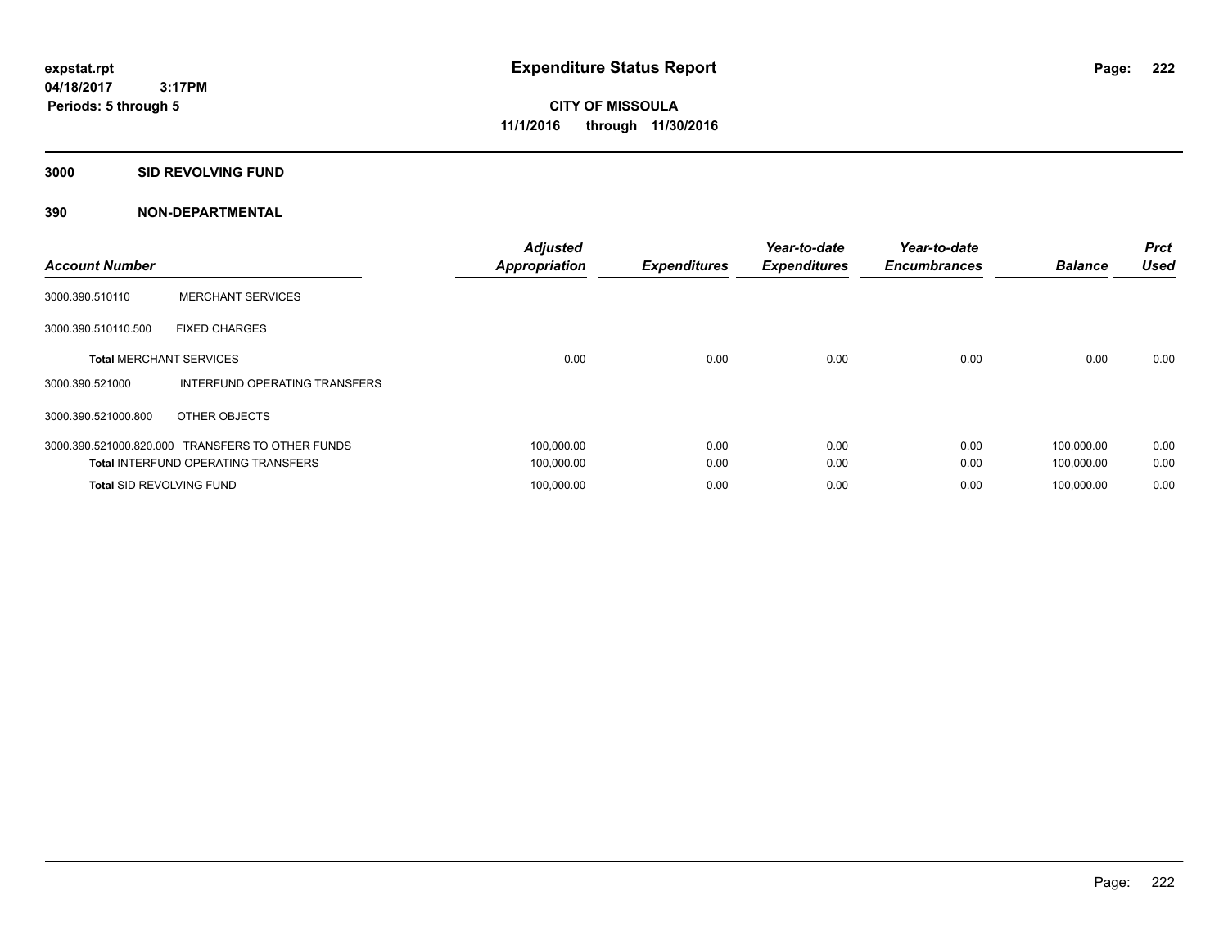**Periods: 5 through 5**

**CITY OF MISSOULA 11/1/2016 through 11/30/2016**

**3000 SID REVOLVING FUND**

| <b>Account Number</b>           |                                                  | <b>Adjusted</b><br><b>Appropriation</b> | <b>Expenditures</b> | Year-to-date<br><b>Expenditures</b> | Year-to-date<br><b>Encumbrances</b> | <b>Balance</b> | <b>Prct</b><br><b>Used</b> |
|---------------------------------|--------------------------------------------------|-----------------------------------------|---------------------|-------------------------------------|-------------------------------------|----------------|----------------------------|
| 3000.390.510110                 | <b>MERCHANT SERVICES</b>                         |                                         |                     |                                     |                                     |                |                            |
| 3000.390.510110.500             | <b>FIXED CHARGES</b>                             |                                         |                     |                                     |                                     |                |                            |
| <b>Total MERCHANT SERVICES</b>  |                                                  | 0.00                                    | 0.00                | 0.00                                | 0.00                                | 0.00           | 0.00                       |
| 3000.390.521000                 | INTERFUND OPERATING TRANSFERS                    |                                         |                     |                                     |                                     |                |                            |
| 3000.390.521000.800             | OTHER OBJECTS                                    |                                         |                     |                                     |                                     |                |                            |
|                                 | 3000.390.521000.820.000 TRANSFERS TO OTHER FUNDS | 100,000.00                              | 0.00                | 0.00                                | 0.00                                | 100.000.00     | 0.00                       |
|                                 | <b>Total INTERFUND OPERATING TRANSFERS</b>       | 100,000.00                              | 0.00                | 0.00                                | 0.00                                | 100,000.00     | 0.00                       |
| <b>Total SID REVOLVING FUND</b> |                                                  | 100.000.00                              | 0.00                | 0.00                                | 0.00                                | 100.000.00     | 0.00                       |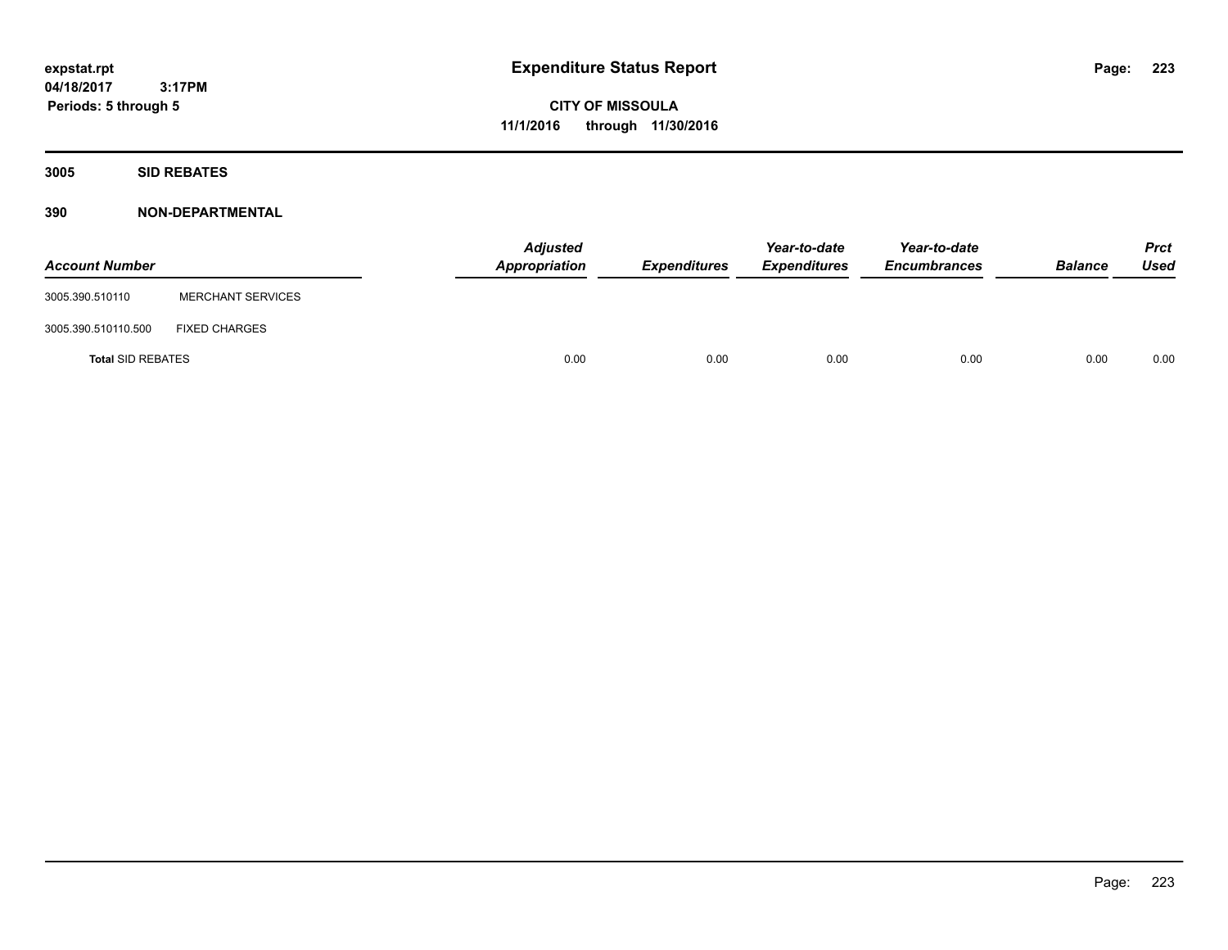**CITY OF MISSOULA 11/1/2016 through 11/30/2016**

**3005 SID REBATES**

| <b>Account Number</b>    |                          | <b>Adjusted</b><br>Appropriation | Expenditures | Year-to-date<br><b>Expenditures</b> | Year-to-date<br><b>Encumbrances</b> | <b>Balance</b> | <b>Prct</b><br>Used |
|--------------------------|--------------------------|----------------------------------|--------------|-------------------------------------|-------------------------------------|----------------|---------------------|
| 3005.390.510110          | <b>MERCHANT SERVICES</b> |                                  |              |                                     |                                     |                |                     |
| 3005.390.510110.500      | <b>FIXED CHARGES</b>     |                                  |              |                                     |                                     |                |                     |
| <b>Total SID REBATES</b> |                          | 0.00                             | 0.00         | 0.00                                | 0.00                                | 0.00           | 0.00                |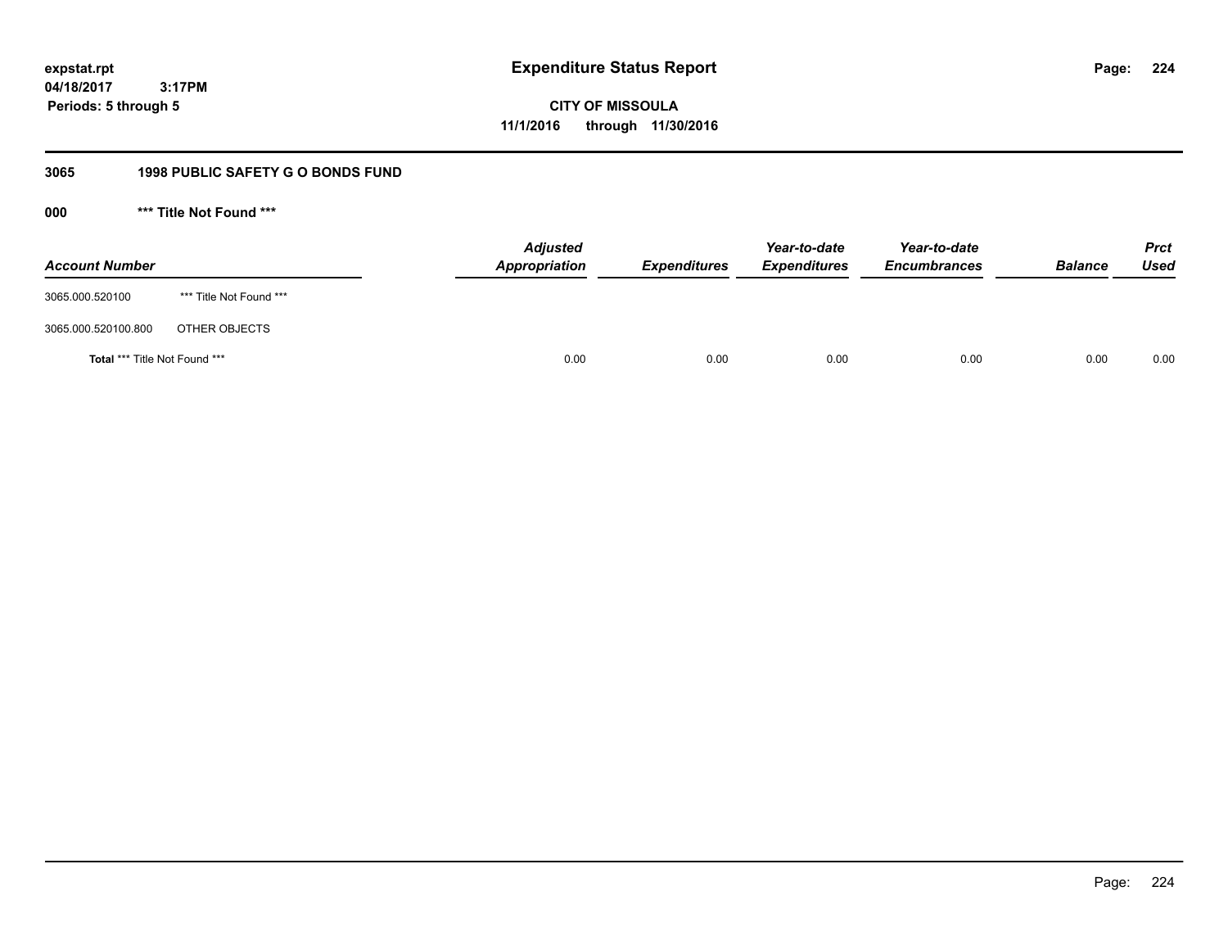**CITY OF MISSOULA 11/1/2016 through 11/30/2016**

## **3065 1998 PUBLIC SAFETY G O BONDS FUND**

**000 \*\*\* Title Not Found \*\*\***

| <b>Account Number</b>         |                         | <b>Adjusted</b><br>Appropriation | <b>Expenditures</b> | Year-to-date<br><b>Expenditures</b> | Year-to-date<br><b>Encumbrances</b> | <b>Balance</b> | <b>Prct</b><br>Used |
|-------------------------------|-------------------------|----------------------------------|---------------------|-------------------------------------|-------------------------------------|----------------|---------------------|
| 3065.000.520100               | *** Title Not Found *** |                                  |                     |                                     |                                     |                |                     |
| 3065.000.520100.800           | OTHER OBJECTS           |                                  |                     |                                     |                                     |                |                     |
| Total *** Title Not Found *** |                         | 0.00                             | 0.00                | 0.00                                | 0.00                                | 0.00           | 0.00                |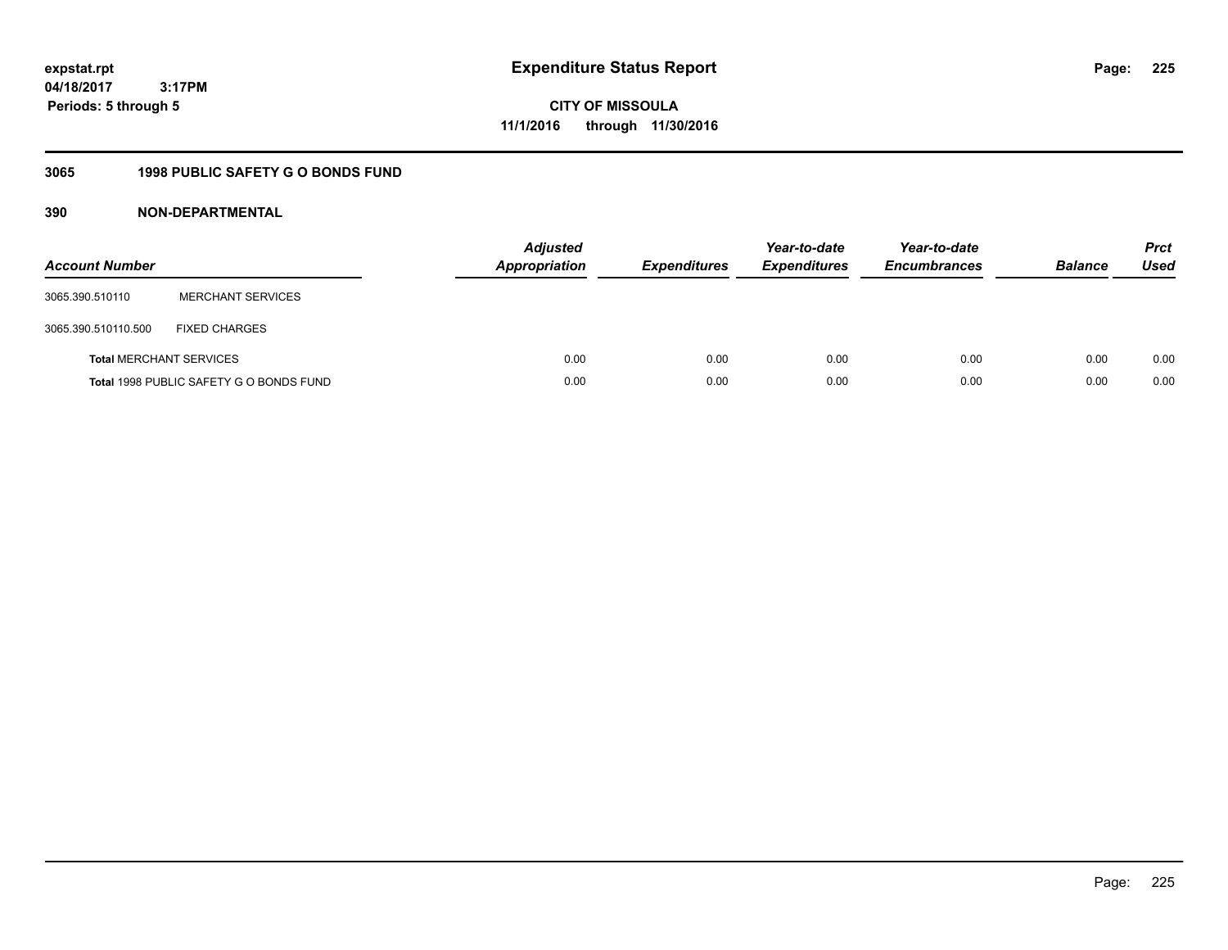**CITY OF MISSOULA 11/1/2016 through 11/30/2016**

## **3065 1998 PUBLIC SAFETY G O BONDS FUND**

| <b>Account Number</b>          |                                         | <b>Adjusted</b><br><b>Appropriation</b> | <b>Expenditures</b> | Year-to-date<br><b>Expenditures</b> | Year-to-date<br><b>Encumbrances</b> | <b>Balance</b> | <b>Prct</b><br>Used |
|--------------------------------|-----------------------------------------|-----------------------------------------|---------------------|-------------------------------------|-------------------------------------|----------------|---------------------|
| 3065.390.510110                | <b>MERCHANT SERVICES</b>                |                                         |                     |                                     |                                     |                |                     |
| 3065.390.510110.500            | <b>FIXED CHARGES</b>                    |                                         |                     |                                     |                                     |                |                     |
| <b>Total MERCHANT SERVICES</b> |                                         | 0.00                                    | 0.00                | 0.00                                | 0.00                                | 0.00           | 0.00                |
|                                | Total 1998 PUBLIC SAFETY G O BONDS FUND | 0.00                                    | 0.00                | 0.00                                | 0.00                                | 0.00           | 0.00                |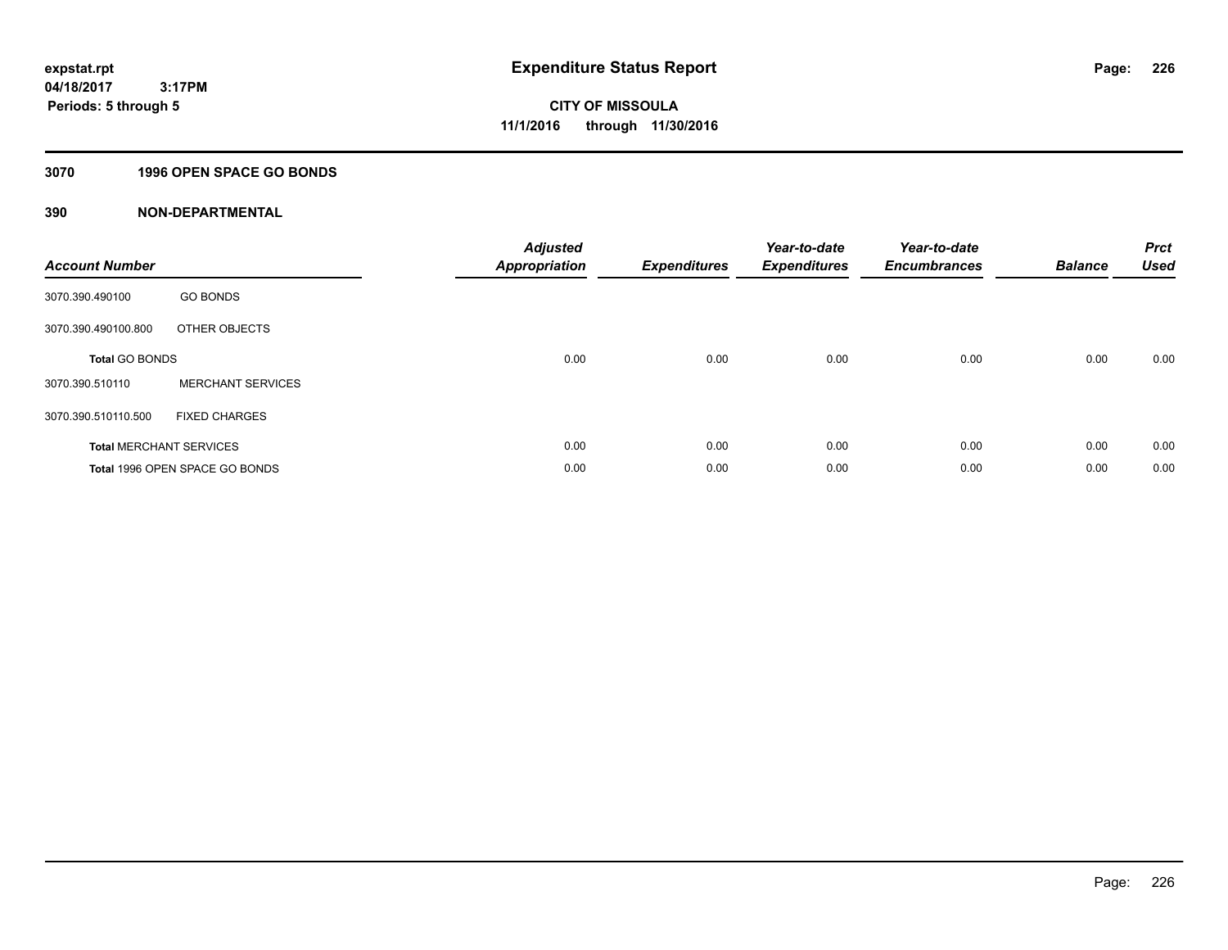### **3070 1996 OPEN SPACE GO BONDS**

| <b>Account Number</b> |                                | <b>Adjusted</b><br><b>Appropriation</b> | <b>Expenditures</b> | Year-to-date<br><b>Expenditures</b> | Year-to-date<br><b>Encumbrances</b> | <b>Balance</b> | <b>Prct</b><br><b>Used</b> |
|-----------------------|--------------------------------|-----------------------------------------|---------------------|-------------------------------------|-------------------------------------|----------------|----------------------------|
| 3070.390.490100       | <b>GO BONDS</b>                |                                         |                     |                                     |                                     |                |                            |
| 3070.390.490100.800   | OTHER OBJECTS                  |                                         |                     |                                     |                                     |                |                            |
| <b>Total GO BONDS</b> |                                | 0.00                                    | 0.00                | 0.00                                | 0.00                                | 0.00           | 0.00                       |
| 3070.390.510110       | <b>MERCHANT SERVICES</b>       |                                         |                     |                                     |                                     |                |                            |
| 3070.390.510110.500   | <b>FIXED CHARGES</b>           |                                         |                     |                                     |                                     |                |                            |
|                       | <b>Total MERCHANT SERVICES</b> | 0.00                                    | 0.00                | 0.00                                | 0.00                                | 0.00           | 0.00                       |
|                       | Total 1996 OPEN SPACE GO BONDS | 0.00                                    | 0.00                | 0.00                                | 0.00                                | 0.00           | 0.00                       |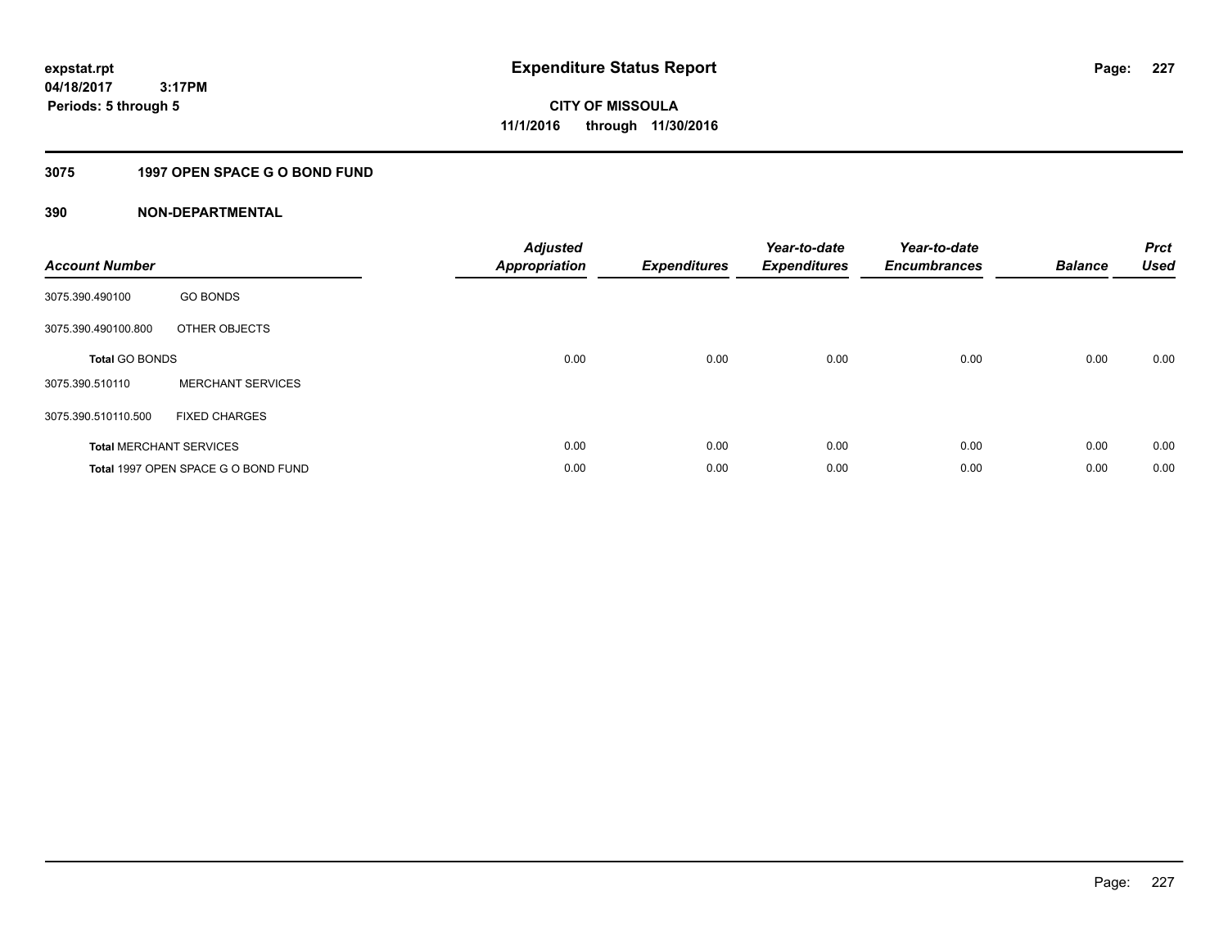## **3075 1997 OPEN SPACE G O BOND FUND**

| <b>Account Number</b> |                                     | <b>Adjusted</b><br><b>Appropriation</b> | <b>Expenditures</b> | Year-to-date<br><b>Expenditures</b> | Year-to-date<br><b>Encumbrances</b> | <b>Balance</b> | <b>Prct</b><br><b>Used</b> |
|-----------------------|-------------------------------------|-----------------------------------------|---------------------|-------------------------------------|-------------------------------------|----------------|----------------------------|
| 3075.390.490100       | <b>GO BONDS</b>                     |                                         |                     |                                     |                                     |                |                            |
| 3075.390.490100.800   | OTHER OBJECTS                       |                                         |                     |                                     |                                     |                |                            |
| <b>Total GO BONDS</b> |                                     | 0.00                                    | 0.00                | 0.00                                | 0.00                                | 0.00           | 0.00                       |
| 3075.390.510110       | <b>MERCHANT SERVICES</b>            |                                         |                     |                                     |                                     |                |                            |
| 3075.390.510110.500   | <b>FIXED CHARGES</b>                |                                         |                     |                                     |                                     |                |                            |
|                       | <b>Total MERCHANT SERVICES</b>      | 0.00                                    | 0.00                | 0.00                                | 0.00                                | 0.00           | 0.00                       |
|                       | Total 1997 OPEN SPACE G O BOND FUND | 0.00                                    | 0.00                | 0.00                                | 0.00                                | 0.00           | 0.00                       |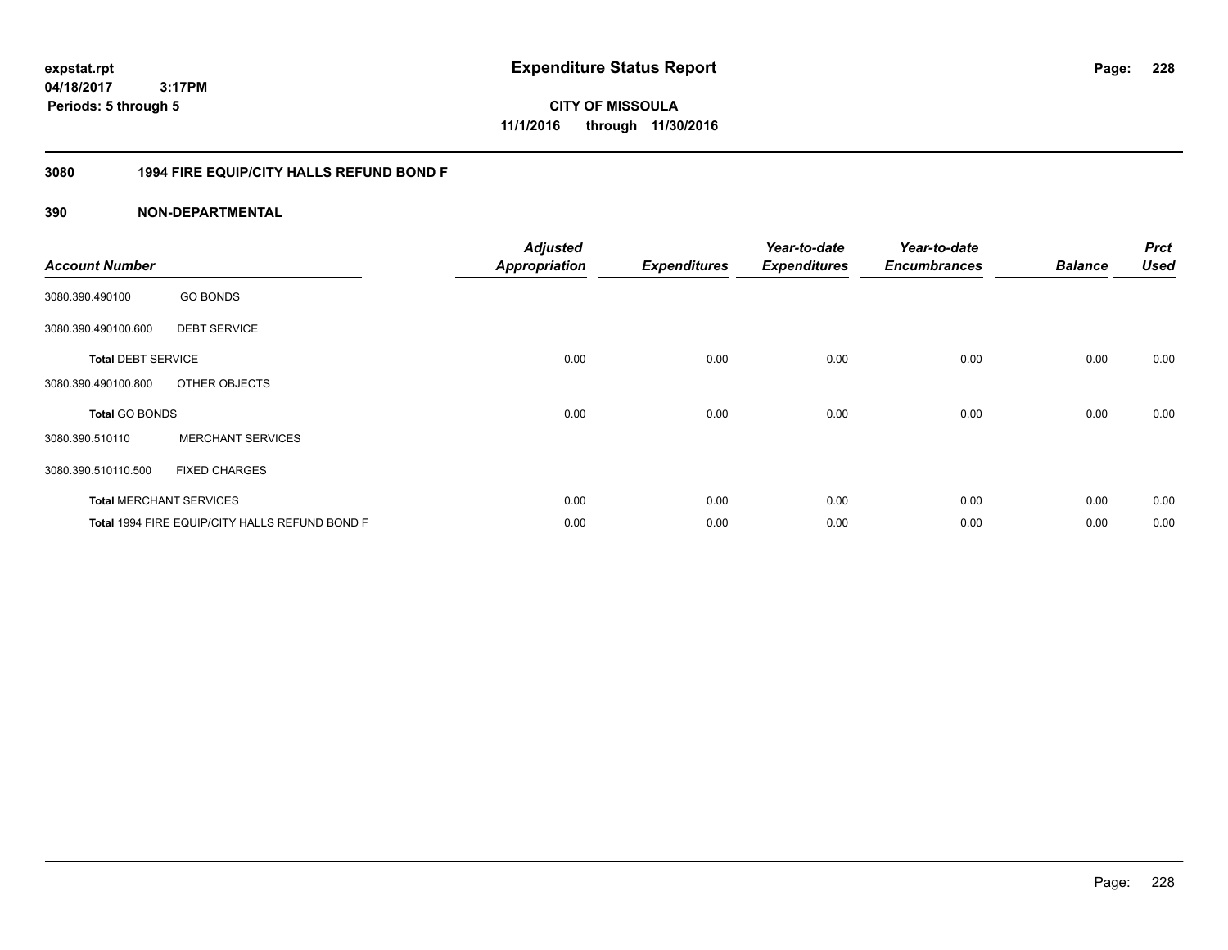**expstat.rpt Expenditure Status Report** 

**04/18/2017 3:17PM Periods: 5 through 5**

**CITY OF MISSOULA 11/1/2016 through 11/30/2016**

### **3080 1994 FIRE EQUIP/CITY HALLS REFUND BOND F**

| <b>Account Number</b>     |                                                | <b>Adjusted</b><br><b>Appropriation</b> | <b>Expenditures</b> | Year-to-date<br><b>Expenditures</b> | Year-to-date<br><b>Encumbrances</b> | <b>Balance</b> | <b>Prct</b><br><b>Used</b> |
|---------------------------|------------------------------------------------|-----------------------------------------|---------------------|-------------------------------------|-------------------------------------|----------------|----------------------------|
| 3080.390.490100           | <b>GO BONDS</b>                                |                                         |                     |                                     |                                     |                |                            |
| 3080.390.490100.600       | <b>DEBT SERVICE</b>                            |                                         |                     |                                     |                                     |                |                            |
| <b>Total DEBT SERVICE</b> |                                                | 0.00                                    | 0.00                | 0.00                                | 0.00                                | 0.00           | 0.00                       |
| 3080.390.490100.800       | OTHER OBJECTS                                  |                                         |                     |                                     |                                     |                |                            |
| <b>Total GO BONDS</b>     |                                                | 0.00                                    | 0.00                | 0.00                                | 0.00                                | 0.00           | 0.00                       |
| 3080.390.510110           | <b>MERCHANT SERVICES</b>                       |                                         |                     |                                     |                                     |                |                            |
| 3080.390.510110.500       | <b>FIXED CHARGES</b>                           |                                         |                     |                                     |                                     |                |                            |
|                           | <b>Total MERCHANT SERVICES</b>                 | 0.00                                    | 0.00                | 0.00                                | 0.00                                | 0.00           | 0.00                       |
|                           | Total 1994 FIRE EQUIP/CITY HALLS REFUND BOND F | 0.00                                    | 0.00                | 0.00                                | 0.00                                | 0.00           | 0.00                       |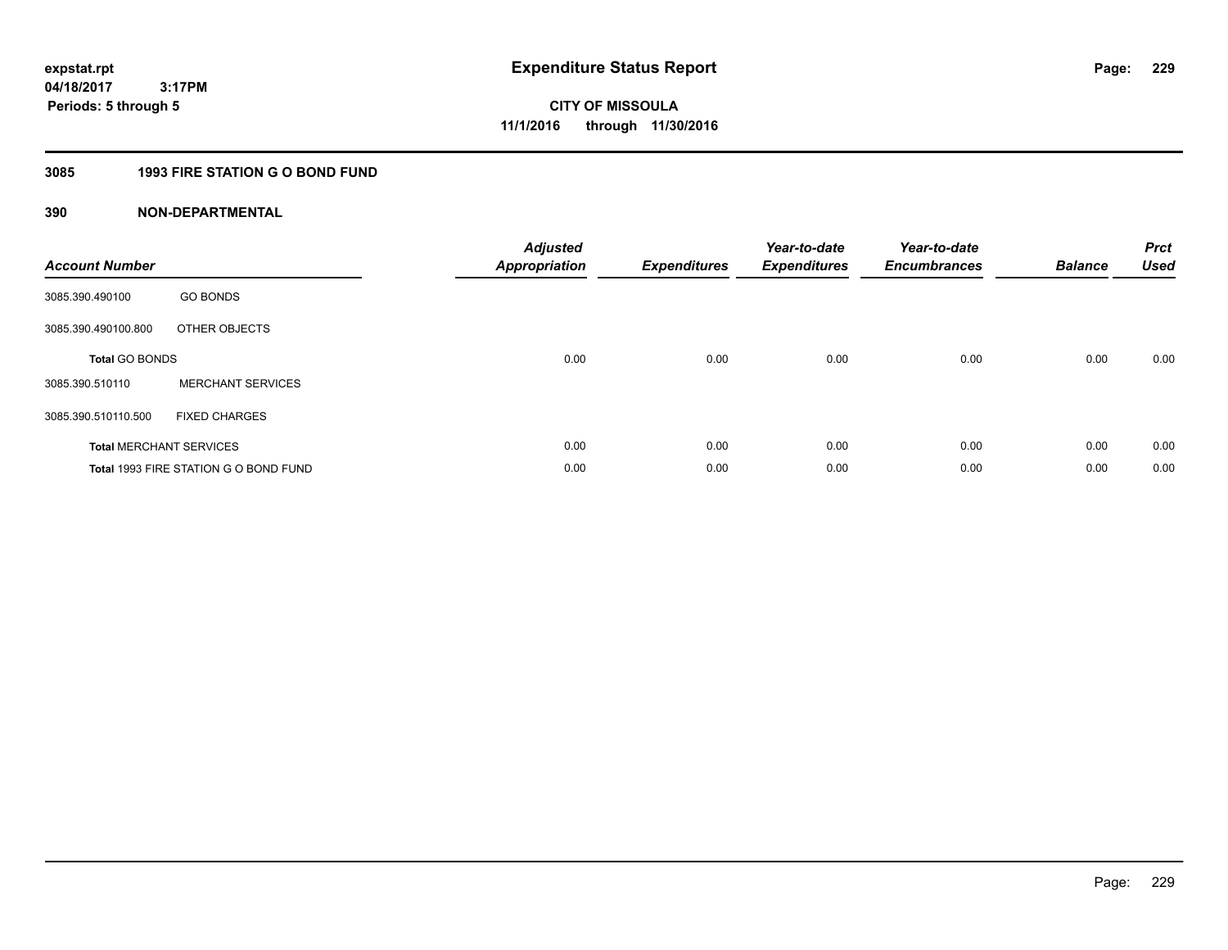## **3085 1993 FIRE STATION G O BOND FUND**

| <b>Account Number</b> |                                       | <b>Adjusted</b><br><b>Appropriation</b> | <b>Expenditures</b> | Year-to-date<br><b>Expenditures</b> | Year-to-date<br><b>Encumbrances</b> | <b>Balance</b> | <b>Prct</b><br><b>Used</b> |
|-----------------------|---------------------------------------|-----------------------------------------|---------------------|-------------------------------------|-------------------------------------|----------------|----------------------------|
| 3085.390.490100       | <b>GO BONDS</b>                       |                                         |                     |                                     |                                     |                |                            |
| 3085.390.490100.800   | OTHER OBJECTS                         |                                         |                     |                                     |                                     |                |                            |
| <b>Total GO BONDS</b> |                                       | 0.00                                    | 0.00                | 0.00                                | 0.00                                | 0.00           | 0.00                       |
| 3085.390.510110       | <b>MERCHANT SERVICES</b>              |                                         |                     |                                     |                                     |                |                            |
| 3085.390.510110.500   | <b>FIXED CHARGES</b>                  |                                         |                     |                                     |                                     |                |                            |
|                       | <b>Total MERCHANT SERVICES</b>        | 0.00                                    | 0.00                | 0.00                                | 0.00                                | 0.00           | 0.00                       |
|                       | Total 1993 FIRE STATION G O BOND FUND | 0.00                                    | 0.00                | 0.00                                | 0.00                                | 0.00           | 0.00                       |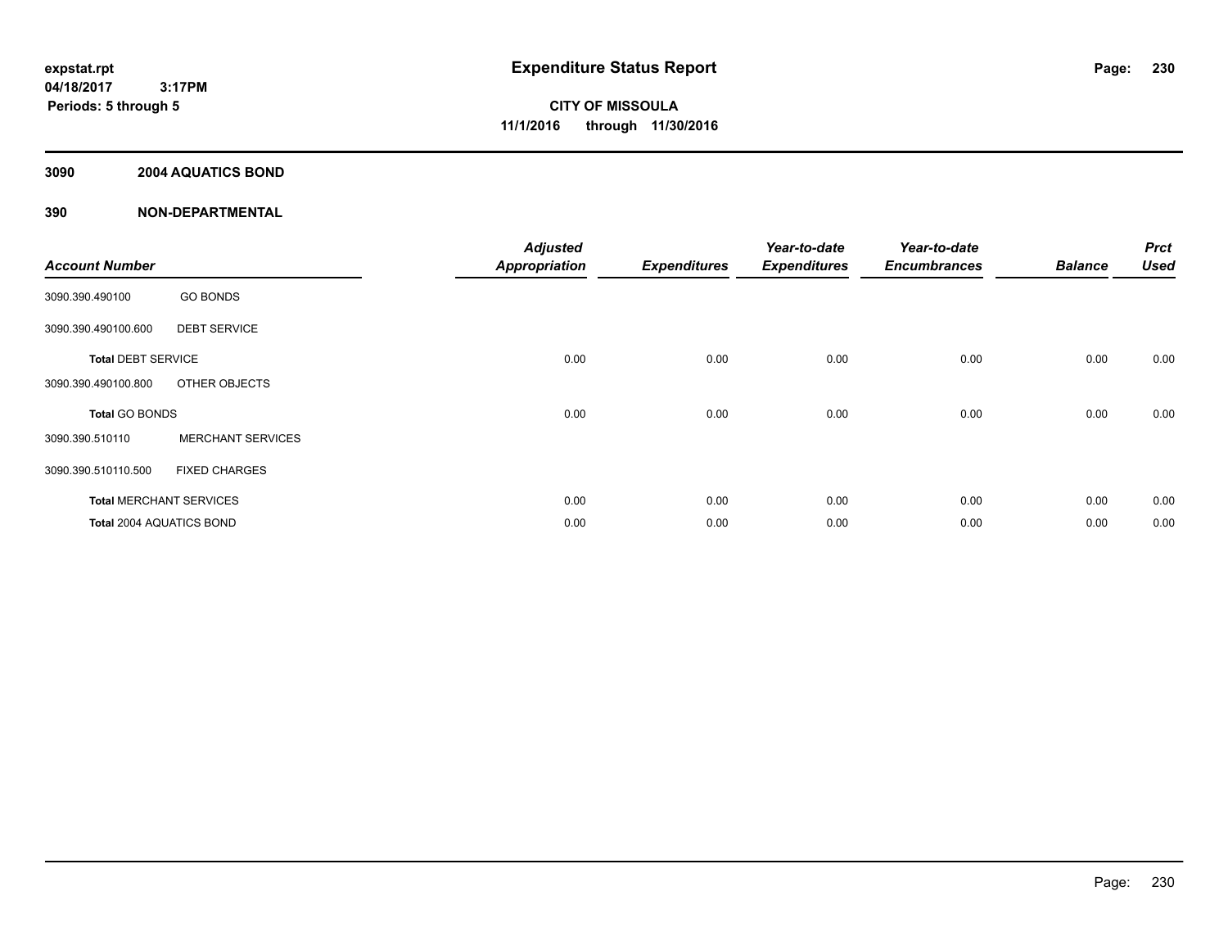### **3090 2004 AQUATICS BOND**

| <b>Account Number</b>     |                                | <b>Adjusted</b><br><b>Appropriation</b> | <b>Expenditures</b> | Year-to-date<br><b>Expenditures</b> | Year-to-date<br><b>Encumbrances</b> | <b>Balance</b> | <b>Prct</b><br><b>Used</b> |
|---------------------------|--------------------------------|-----------------------------------------|---------------------|-------------------------------------|-------------------------------------|----------------|----------------------------|
| 3090.390.490100           | <b>GO BONDS</b>                |                                         |                     |                                     |                                     |                |                            |
| 3090.390.490100.600       | <b>DEBT SERVICE</b>            |                                         |                     |                                     |                                     |                |                            |
| <b>Total DEBT SERVICE</b> |                                | 0.00                                    | 0.00                | 0.00                                | 0.00                                | 0.00           | 0.00                       |
| 3090.390.490100.800       | OTHER OBJECTS                  |                                         |                     |                                     |                                     |                |                            |
| <b>Total GO BONDS</b>     |                                | 0.00                                    | 0.00                | 0.00                                | 0.00                                | 0.00           | 0.00                       |
| 3090.390.510110           | <b>MERCHANT SERVICES</b>       |                                         |                     |                                     |                                     |                |                            |
| 3090.390.510110.500       | <b>FIXED CHARGES</b>           |                                         |                     |                                     |                                     |                |                            |
|                           | <b>Total MERCHANT SERVICES</b> | 0.00                                    | 0.00                | 0.00                                | 0.00                                | 0.00           | 0.00                       |
| Total 2004 AQUATICS BOND  |                                | 0.00                                    | 0.00                | 0.00                                | 0.00                                | 0.00           | 0.00                       |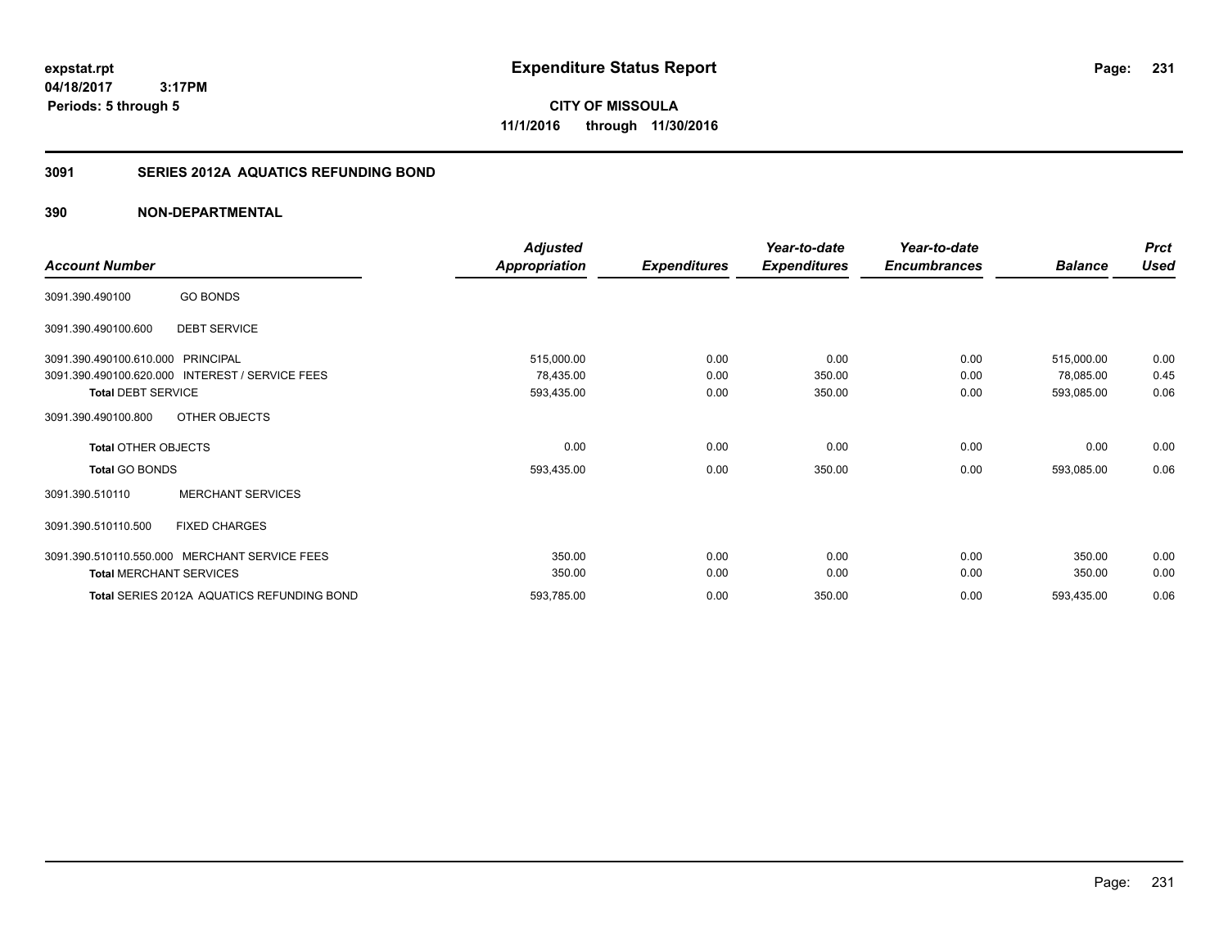**CITY OF MISSOULA 11/1/2016 through 11/30/2016**

### **3091 SERIES 2012A AQUATICS REFUNDING BOND**

|                                                           | <b>Adjusted</b>      |                     | Year-to-date        | Year-to-date        |                | <b>Prct</b> |
|-----------------------------------------------------------|----------------------|---------------------|---------------------|---------------------|----------------|-------------|
| <b>Account Number</b>                                     | <b>Appropriation</b> | <b>Expenditures</b> | <b>Expenditures</b> | <b>Encumbrances</b> | <b>Balance</b> | <b>Used</b> |
| <b>GO BONDS</b><br>3091.390.490100                        |                      |                     |                     |                     |                |             |
| <b>DEBT SERVICE</b><br>3091.390.490100.600                |                      |                     |                     |                     |                |             |
| 3091.390.490100.610.000 PRINCIPAL                         | 515,000.00           | 0.00                | 0.00                | 0.00                | 515,000.00     | 0.00        |
| 3091.390.490100.620.000<br><b>INTEREST / SERVICE FEES</b> | 78,435.00            | 0.00                | 350.00              | 0.00                | 78,085.00      | 0.45        |
| <b>Total DEBT SERVICE</b>                                 | 593,435.00           | 0.00                | 350.00              | 0.00                | 593,085.00     | 0.06        |
| OTHER OBJECTS<br>3091.390.490100.800                      |                      |                     |                     |                     |                |             |
| <b>Total OTHER OBJECTS</b>                                | 0.00                 | 0.00                | 0.00                | 0.00                | 0.00           | 0.00        |
| <b>Total GO BONDS</b>                                     | 593,435.00           | 0.00                | 350.00              | 0.00                | 593,085.00     | 0.06        |
| <b>MERCHANT SERVICES</b><br>3091.390.510110               |                      |                     |                     |                     |                |             |
| 3091.390.510110.500<br><b>FIXED CHARGES</b>               |                      |                     |                     |                     |                |             |
| 3091.390.510110.550.000 MERCHANT SERVICE FEES             | 350.00               | 0.00                | 0.00                | 0.00                | 350.00         | 0.00        |
| <b>Total MERCHANT SERVICES</b>                            | 350.00               | 0.00                | 0.00                | 0.00                | 350.00         | 0.00        |
| Total SERIES 2012A AQUATICS REFUNDING BOND                | 593,785.00           | 0.00                | 350.00              | 0.00                | 593,435.00     | 0.06        |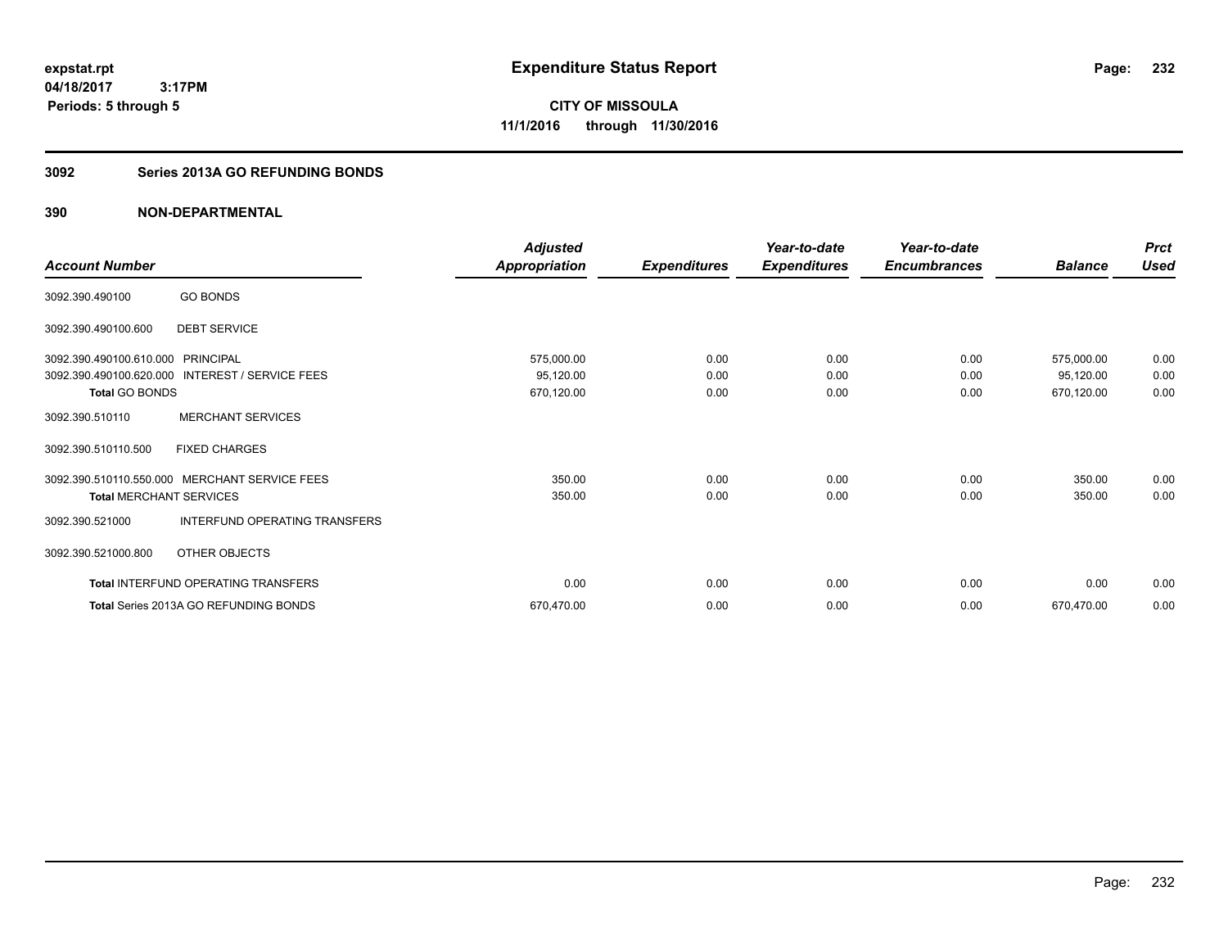**232**

**04/18/2017 3:17PM Periods: 5 through 5**

**CITY OF MISSOULA 11/1/2016 through 11/30/2016**

### **3092 Series 2013A GO REFUNDING BONDS**

|                                   |                                                 | Adjusted             |                     | Year-to-date        | Year-to-date        |                | <b>Prct</b> |
|-----------------------------------|-------------------------------------------------|----------------------|---------------------|---------------------|---------------------|----------------|-------------|
| <b>Account Number</b>             |                                                 | <b>Appropriation</b> | <b>Expenditures</b> | <b>Expenditures</b> | <b>Encumbrances</b> | <b>Balance</b> | <b>Used</b> |
| 3092.390.490100                   | <b>GO BONDS</b>                                 |                      |                     |                     |                     |                |             |
| 3092.390.490100.600               | <b>DEBT SERVICE</b>                             |                      |                     |                     |                     |                |             |
| 3092.390.490100.610.000 PRINCIPAL |                                                 | 575,000.00           | 0.00                | 0.00                | 0.00                | 575,000.00     | 0.00        |
|                                   | 3092.390.490100.620.000 INTEREST / SERVICE FEES | 95,120.00            | 0.00                | 0.00                | 0.00                | 95,120.00      | 0.00        |
| <b>Total GO BONDS</b>             |                                                 | 670,120.00           | 0.00                | 0.00                | 0.00                | 670,120.00     | 0.00        |
| 3092.390.510110                   | <b>MERCHANT SERVICES</b>                        |                      |                     |                     |                     |                |             |
| 3092.390.510110.500               | <b>FIXED CHARGES</b>                            |                      |                     |                     |                     |                |             |
|                                   | 3092.390.510110.550.000 MERCHANT SERVICE FEES   | 350.00               | 0.00                | 0.00                | 0.00                | 350.00         | 0.00        |
| <b>Total MERCHANT SERVICES</b>    |                                                 | 350.00               | 0.00                | 0.00                | 0.00                | 350.00         | 0.00        |
| 3092.390.521000                   | INTERFUND OPERATING TRANSFERS                   |                      |                     |                     |                     |                |             |
| 3092.390.521000.800               | OTHER OBJECTS                                   |                      |                     |                     |                     |                |             |
|                                   | Total INTERFUND OPERATING TRANSFERS             | 0.00                 | 0.00                | 0.00                | 0.00                | 0.00           | 0.00        |
|                                   | <b>Total Series 2013A GO REFUNDING BONDS</b>    | 670,470.00           | 0.00                | 0.00                | 0.00                | 670,470.00     | 0.00        |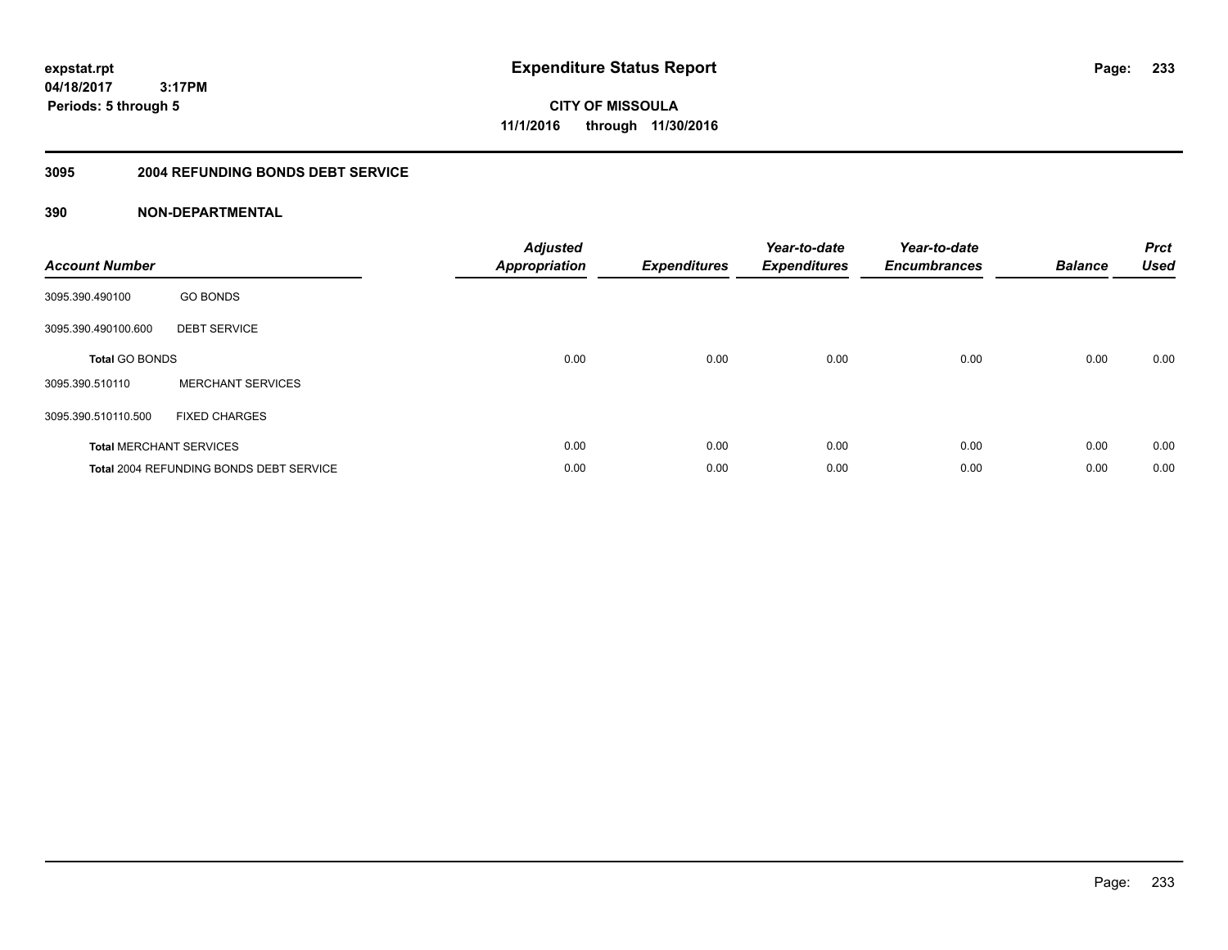**CITY OF MISSOULA 11/1/2016 through 11/30/2016**

#### **3095 2004 REFUNDING BONDS DEBT SERVICE**

| <b>Account Number</b> |                                                | <b>Adjusted</b><br>Appropriation | <b>Expenditures</b> | Year-to-date<br><b>Expenditures</b> | Year-to-date<br><b>Encumbrances</b> | <b>Balance</b> | <b>Prct</b><br><b>Used</b> |
|-----------------------|------------------------------------------------|----------------------------------|---------------------|-------------------------------------|-------------------------------------|----------------|----------------------------|
| 3095.390.490100       | <b>GO BONDS</b>                                |                                  |                     |                                     |                                     |                |                            |
| 3095.390.490100.600   | <b>DEBT SERVICE</b>                            |                                  |                     |                                     |                                     |                |                            |
| <b>Total GO BONDS</b> |                                                | 0.00                             | 0.00                | 0.00                                | 0.00                                | 0.00           | 0.00                       |
| 3095.390.510110       | <b>MERCHANT SERVICES</b>                       |                                  |                     |                                     |                                     |                |                            |
| 3095.390.510110.500   | <b>FIXED CHARGES</b>                           |                                  |                     |                                     |                                     |                |                            |
|                       | <b>Total MERCHANT SERVICES</b>                 | 0.00                             | 0.00                | 0.00                                | 0.00                                | 0.00           | 0.00                       |
|                       | <b>Total 2004 REFUNDING BONDS DEBT SERVICE</b> | 0.00                             | 0.00                | 0.00                                | 0.00                                | 0.00           | 0.00                       |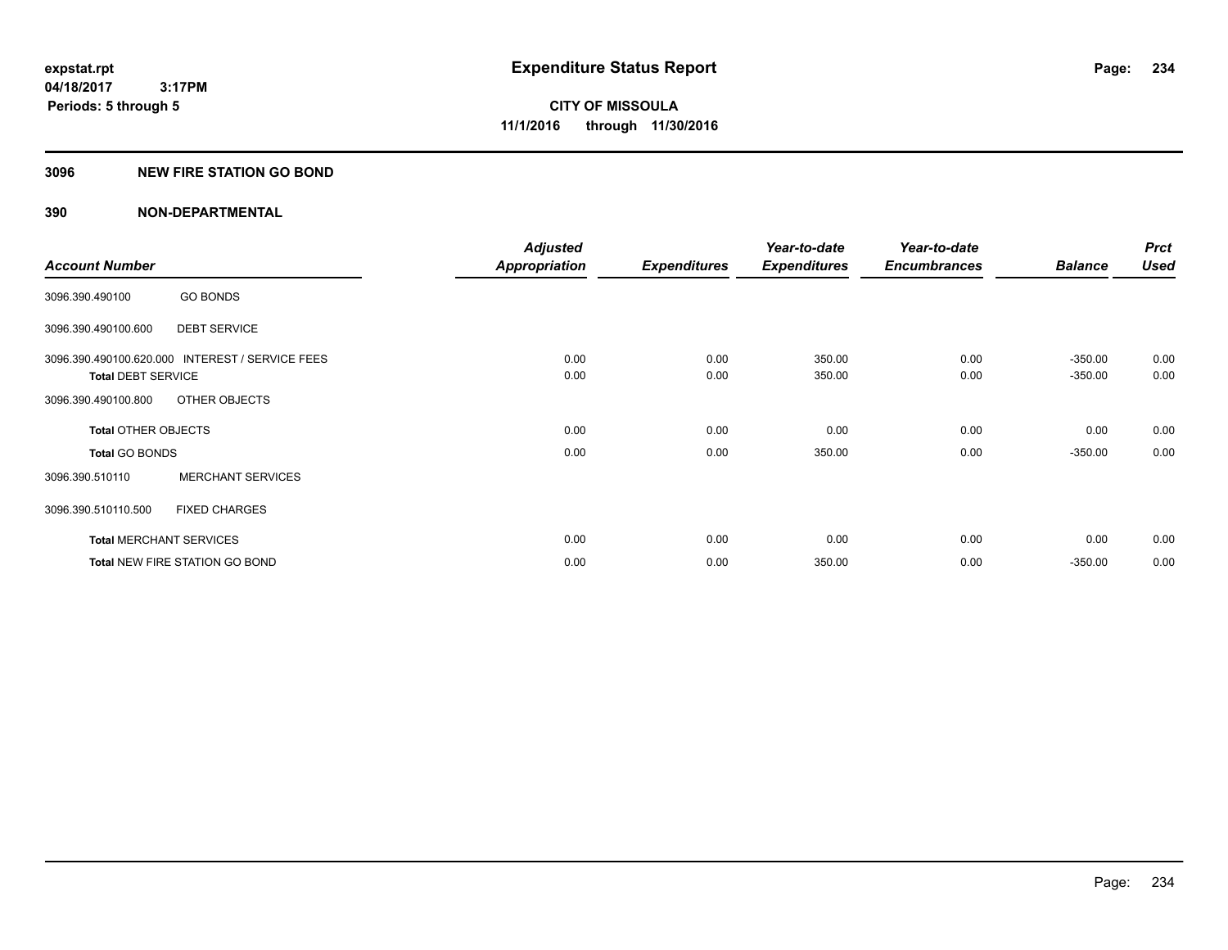### **3096 NEW FIRE STATION GO BOND**

|                                |                                                 | <b>Adjusted</b>      |                     | Year-to-date        | Year-to-date        |                | <b>Prct</b> |
|--------------------------------|-------------------------------------------------|----------------------|---------------------|---------------------|---------------------|----------------|-------------|
| <b>Account Number</b>          |                                                 | <b>Appropriation</b> | <b>Expenditures</b> | <b>Expenditures</b> | <b>Encumbrances</b> | <b>Balance</b> | <b>Used</b> |
| 3096.390.490100                | <b>GO BONDS</b>                                 |                      |                     |                     |                     |                |             |
| 3096.390.490100.600            | <b>DEBT SERVICE</b>                             |                      |                     |                     |                     |                |             |
|                                | 3096.390.490100.620.000 INTEREST / SERVICE FEES | 0.00                 | 0.00                | 350.00              | 0.00                | $-350.00$      | 0.00        |
| <b>Total DEBT SERVICE</b>      |                                                 | 0.00                 | 0.00                | 350.00              | 0.00                | $-350.00$      | 0.00        |
| 3096.390.490100.800            | OTHER OBJECTS                                   |                      |                     |                     |                     |                |             |
| <b>Total OTHER OBJECTS</b>     |                                                 | 0.00                 | 0.00                | 0.00                | 0.00                | 0.00           | 0.00        |
| <b>Total GO BONDS</b>          |                                                 | 0.00                 | 0.00                | 350.00              | 0.00                | $-350.00$      | 0.00        |
| 3096.390.510110                | <b>MERCHANT SERVICES</b>                        |                      |                     |                     |                     |                |             |
| 3096.390.510110.500            | <b>FIXED CHARGES</b>                            |                      |                     |                     |                     |                |             |
| <b>Total MERCHANT SERVICES</b> |                                                 | 0.00                 | 0.00                | 0.00                | 0.00                | 0.00           | 0.00        |
|                                | <b>Total NEW FIRE STATION GO BOND</b>           | 0.00                 | 0.00                | 350.00              | 0.00                | $-350.00$      | 0.00        |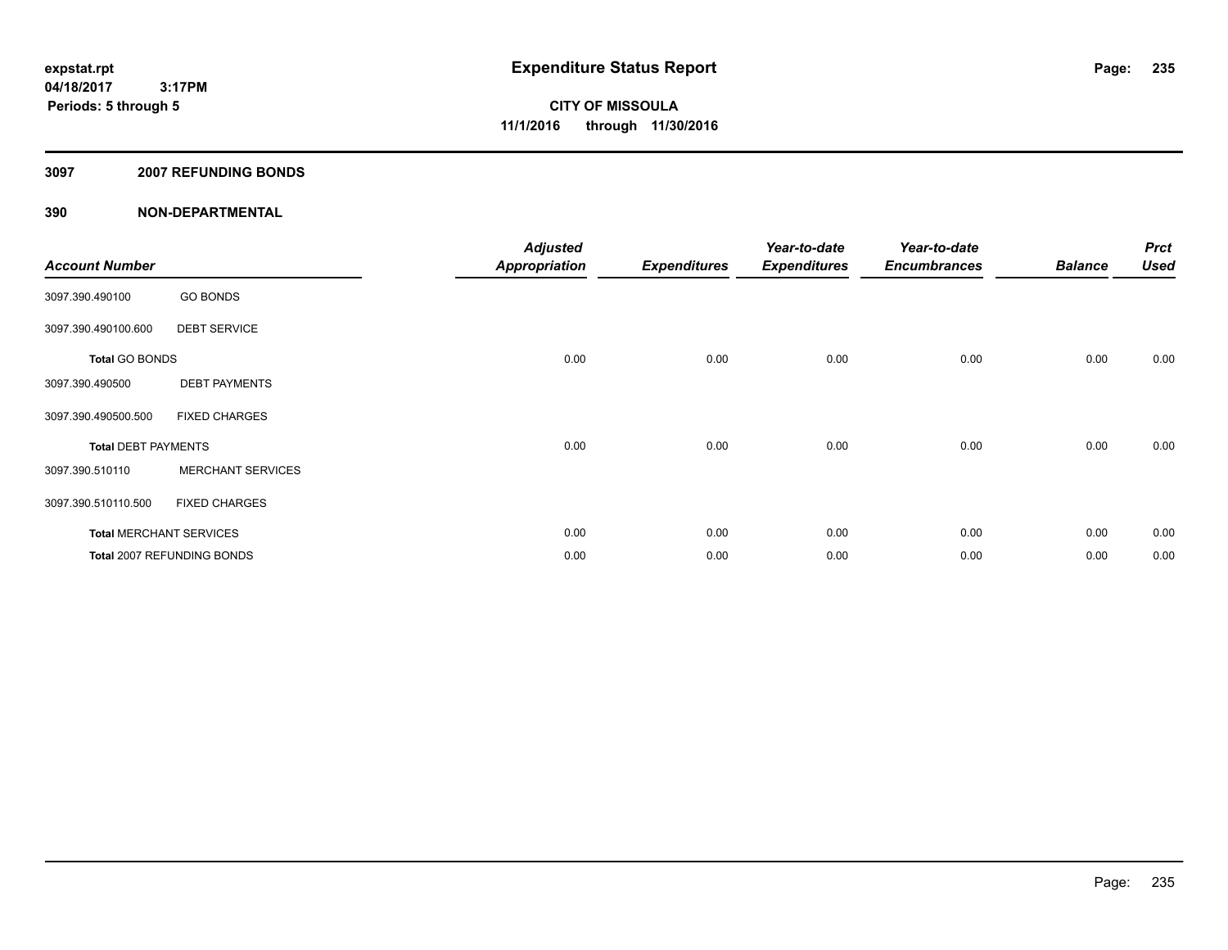#### **3097 2007 REFUNDING BONDS**

| <b>Account Number</b>      |                                | <b>Adjusted</b><br><b>Appropriation</b> | <b>Expenditures</b> | Year-to-date<br><b>Expenditures</b> | Year-to-date<br><b>Encumbrances</b> | <b>Balance</b> | <b>Prct</b><br><b>Used</b> |
|----------------------------|--------------------------------|-----------------------------------------|---------------------|-------------------------------------|-------------------------------------|----------------|----------------------------|
| 3097.390.490100            | <b>GO BONDS</b>                |                                         |                     |                                     |                                     |                |                            |
| 3097.390.490100.600        | <b>DEBT SERVICE</b>            |                                         |                     |                                     |                                     |                |                            |
| <b>Total GO BONDS</b>      |                                | 0.00                                    | 0.00                | 0.00                                | 0.00                                | 0.00           | 0.00                       |
| 3097.390.490500            | <b>DEBT PAYMENTS</b>           |                                         |                     |                                     |                                     |                |                            |
| 3097.390.490500.500        | <b>FIXED CHARGES</b>           |                                         |                     |                                     |                                     |                |                            |
| <b>Total DEBT PAYMENTS</b> |                                | 0.00                                    | 0.00                | 0.00                                | 0.00                                | 0.00           | 0.00                       |
| 3097.390.510110            | <b>MERCHANT SERVICES</b>       |                                         |                     |                                     |                                     |                |                            |
| 3097.390.510110.500        | <b>FIXED CHARGES</b>           |                                         |                     |                                     |                                     |                |                            |
|                            | <b>Total MERCHANT SERVICES</b> | 0.00                                    | 0.00                | 0.00                                | 0.00                                | 0.00           | 0.00                       |
|                            | Total 2007 REFUNDING BONDS     | 0.00                                    | 0.00                | 0.00                                | 0.00                                | 0.00           | 0.00                       |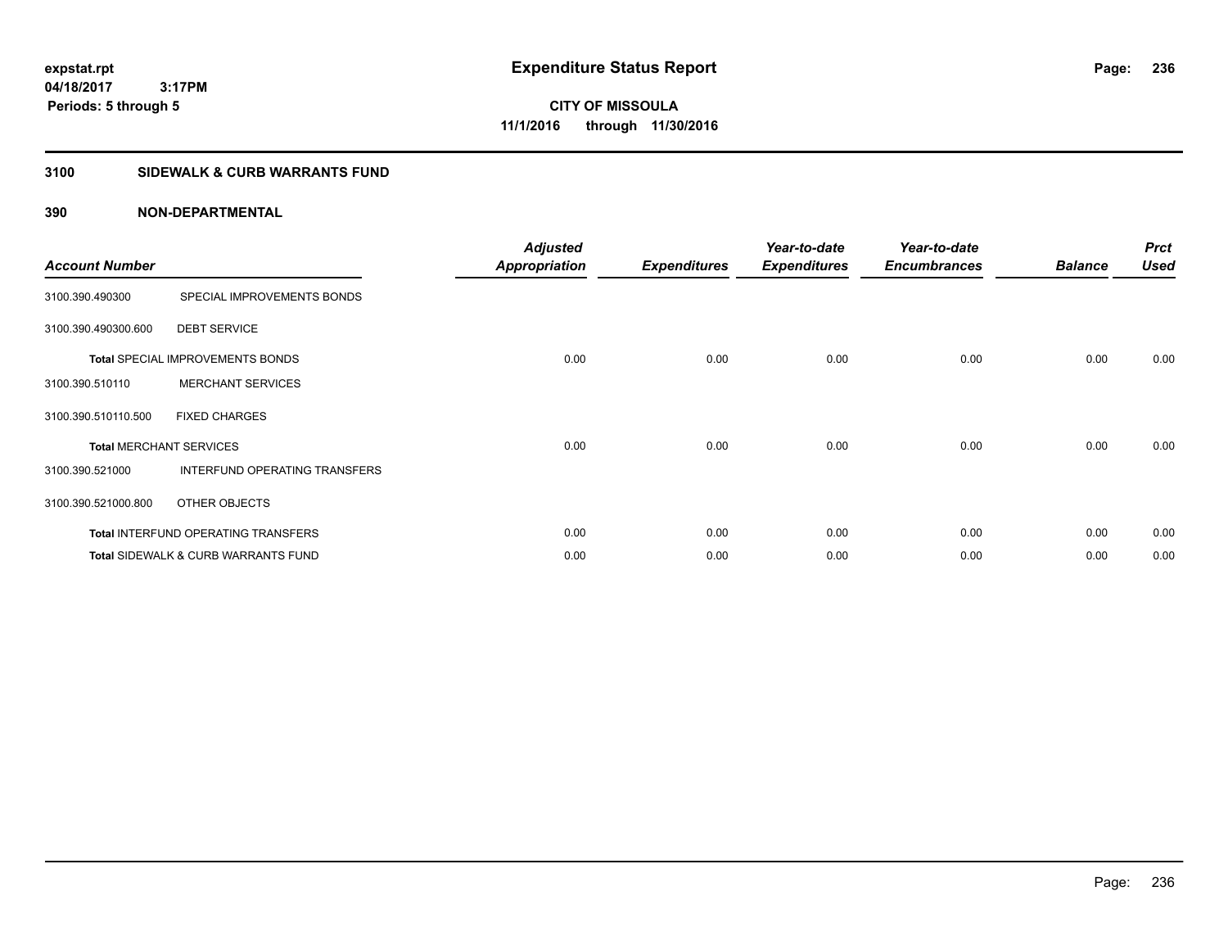**CITY OF MISSOULA 11/1/2016 through 11/30/2016**

### **3100 SIDEWALK & CURB WARRANTS FUND**

| <b>Account Number</b>          |                                                | <b>Adjusted</b><br><b>Appropriation</b> | <b>Expenditures</b> | Year-to-date<br><b>Expenditures</b> | Year-to-date<br><b>Encumbrances</b> | <b>Balance</b> | <b>Prct</b><br><b>Used</b> |
|--------------------------------|------------------------------------------------|-----------------------------------------|---------------------|-------------------------------------|-------------------------------------|----------------|----------------------------|
| 3100.390.490300                | SPECIAL IMPROVEMENTS BONDS                     |                                         |                     |                                     |                                     |                |                            |
| 3100.390.490300.600            | <b>DEBT SERVICE</b>                            |                                         |                     |                                     |                                     |                |                            |
|                                | <b>Total SPECIAL IMPROVEMENTS BONDS</b>        | 0.00                                    | 0.00                | 0.00                                | 0.00                                | 0.00           | 0.00                       |
| 3100.390.510110                | <b>MERCHANT SERVICES</b>                       |                                         |                     |                                     |                                     |                |                            |
| 3100.390.510110.500            | <b>FIXED CHARGES</b>                           |                                         |                     |                                     |                                     |                |                            |
| <b>Total MERCHANT SERVICES</b> |                                                | 0.00                                    | 0.00                | 0.00                                | 0.00                                | 0.00           | 0.00                       |
| 3100.390.521000                | INTERFUND OPERATING TRANSFERS                  |                                         |                     |                                     |                                     |                |                            |
| 3100.390.521000.800            | OTHER OBJECTS                                  |                                         |                     |                                     |                                     |                |                            |
|                                | Total INTERFUND OPERATING TRANSFERS            | 0.00                                    | 0.00                | 0.00                                | 0.00                                | 0.00           | 0.00                       |
|                                | <b>Total SIDEWALK &amp; CURB WARRANTS FUND</b> | 0.00                                    | 0.00                | 0.00                                | 0.00                                | 0.00           | 0.00                       |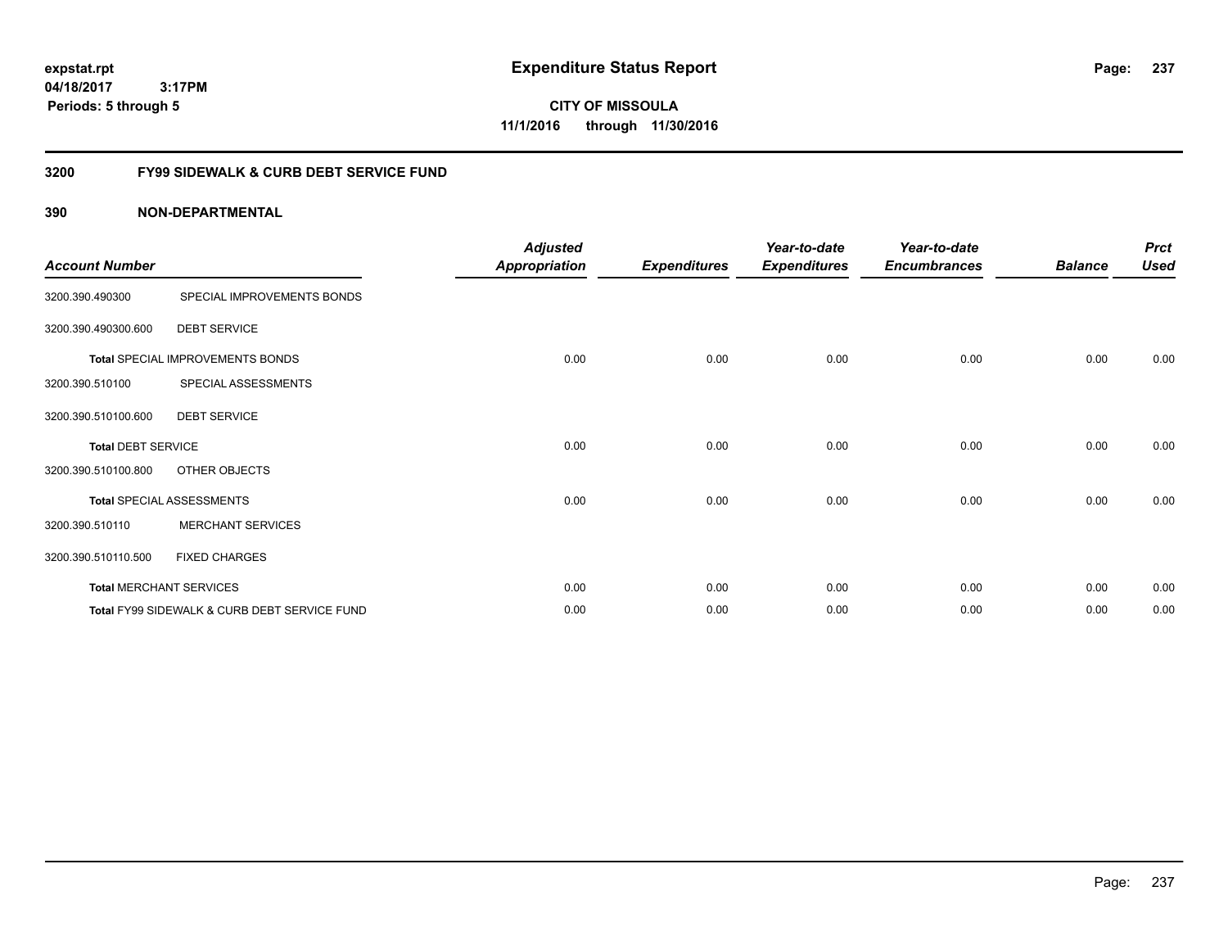**CITY OF MISSOULA 11/1/2016 through 11/30/2016**

### **3200 FY99 SIDEWALK & CURB DEBT SERVICE FUND**

| <b>Account Number</b>     |                                              | <b>Adjusted</b><br><b>Appropriation</b> | <b>Expenditures</b> | Year-to-date<br><b>Expenditures</b> | Year-to-date<br><b>Encumbrances</b> | <b>Balance</b> | <b>Prct</b><br><b>Used</b> |
|---------------------------|----------------------------------------------|-----------------------------------------|---------------------|-------------------------------------|-------------------------------------|----------------|----------------------------|
| 3200.390.490300           | SPECIAL IMPROVEMENTS BONDS                   |                                         |                     |                                     |                                     |                |                            |
| 3200.390.490300.600       | <b>DEBT SERVICE</b>                          |                                         |                     |                                     |                                     |                |                            |
|                           | <b>Total SPECIAL IMPROVEMENTS BONDS</b>      | 0.00                                    | 0.00                | 0.00                                | 0.00                                | 0.00           | 0.00                       |
| 3200.390.510100           | SPECIAL ASSESSMENTS                          |                                         |                     |                                     |                                     |                |                            |
| 3200.390.510100.600       | <b>DEBT SERVICE</b>                          |                                         |                     |                                     |                                     |                |                            |
| <b>Total DEBT SERVICE</b> |                                              | 0.00                                    | 0.00                | 0.00                                | 0.00                                | 0.00           | 0.00                       |
| 3200.390.510100.800       | OTHER OBJECTS                                |                                         |                     |                                     |                                     |                |                            |
|                           | <b>Total SPECIAL ASSESSMENTS</b>             | 0.00                                    | 0.00                | 0.00                                | 0.00                                | 0.00           | 0.00                       |
| 3200.390.510110           | <b>MERCHANT SERVICES</b>                     |                                         |                     |                                     |                                     |                |                            |
| 3200.390.510110.500       | <b>FIXED CHARGES</b>                         |                                         |                     |                                     |                                     |                |                            |
|                           | <b>Total MERCHANT SERVICES</b>               | 0.00                                    | 0.00                | 0.00                                | 0.00                                | 0.00           | 0.00                       |
|                           | Total FY99 SIDEWALK & CURB DEBT SERVICE FUND | 0.00                                    | 0.00                | 0.00                                | 0.00                                | 0.00           | 0.00                       |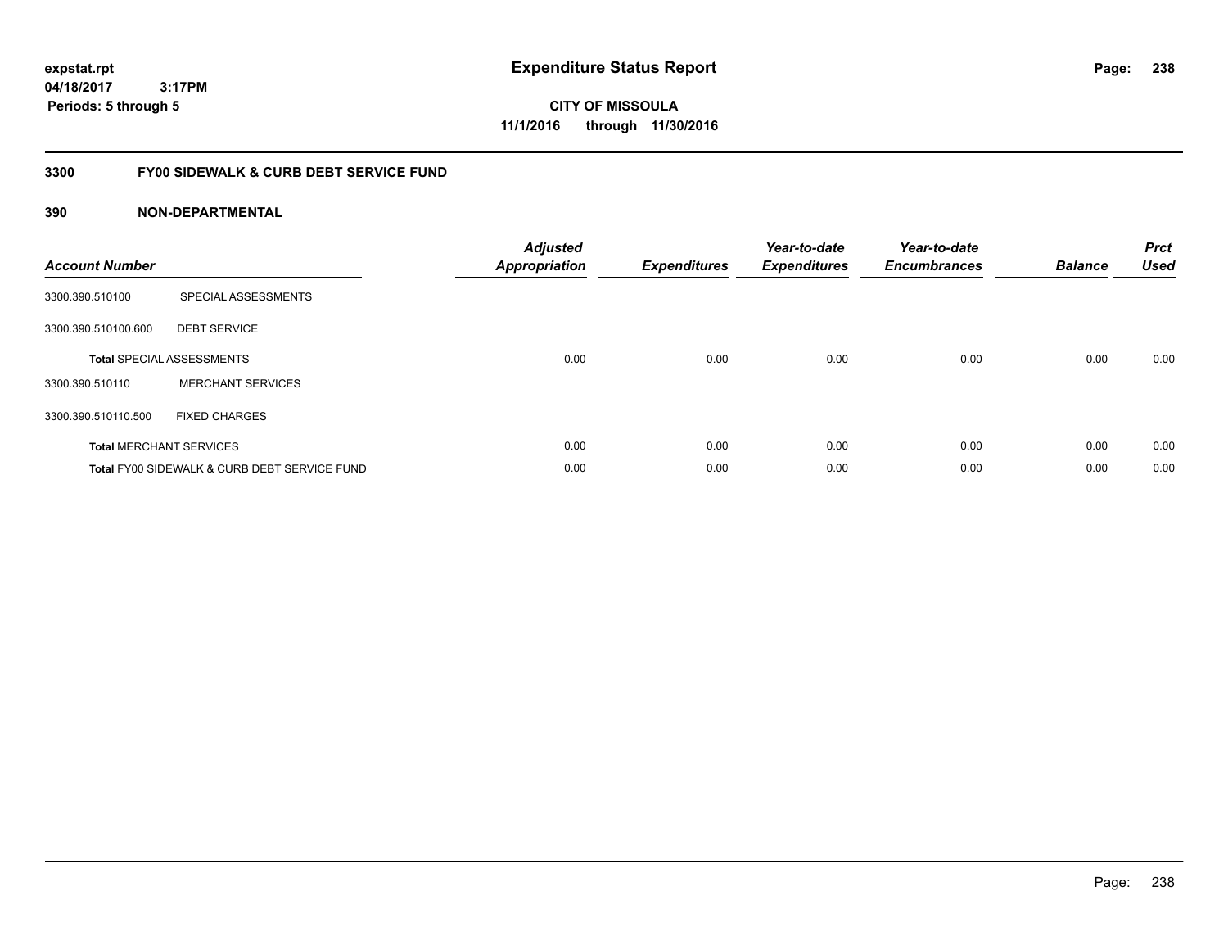**CITY OF MISSOULA 11/1/2016 through 11/30/2016**

### **3300 FY00 SIDEWALK & CURB DEBT SERVICE FUND**

| <b>Account Number</b> |                                              | <b>Adjusted</b><br><b>Appropriation</b> | <b>Expenditures</b> | Year-to-date<br><b>Expenditures</b> | Year-to-date<br><b>Encumbrances</b> | <b>Balance</b> | <b>Prct</b><br><b>Used</b> |
|-----------------------|----------------------------------------------|-----------------------------------------|---------------------|-------------------------------------|-------------------------------------|----------------|----------------------------|
| 3300.390.510100       | SPECIAL ASSESSMENTS                          |                                         |                     |                                     |                                     |                |                            |
| 3300.390.510100.600   | <b>DEBT SERVICE</b>                          |                                         |                     |                                     |                                     |                |                            |
|                       | <b>Total SPECIAL ASSESSMENTS</b>             | 0.00                                    | 0.00                | 0.00                                | 0.00                                | 0.00           | 0.00                       |
| 3300.390.510110       | <b>MERCHANT SERVICES</b>                     |                                         |                     |                                     |                                     |                |                            |
| 3300.390.510110.500   | <b>FIXED CHARGES</b>                         |                                         |                     |                                     |                                     |                |                            |
|                       | <b>Total MERCHANT SERVICES</b>               | 0.00                                    | 0.00                | 0.00                                | 0.00                                | 0.00           | 0.00                       |
|                       | Total FY00 SIDEWALK & CURB DEBT SERVICE FUND | 0.00                                    | 0.00                | 0.00                                | 0.00                                | 0.00           | 0.00                       |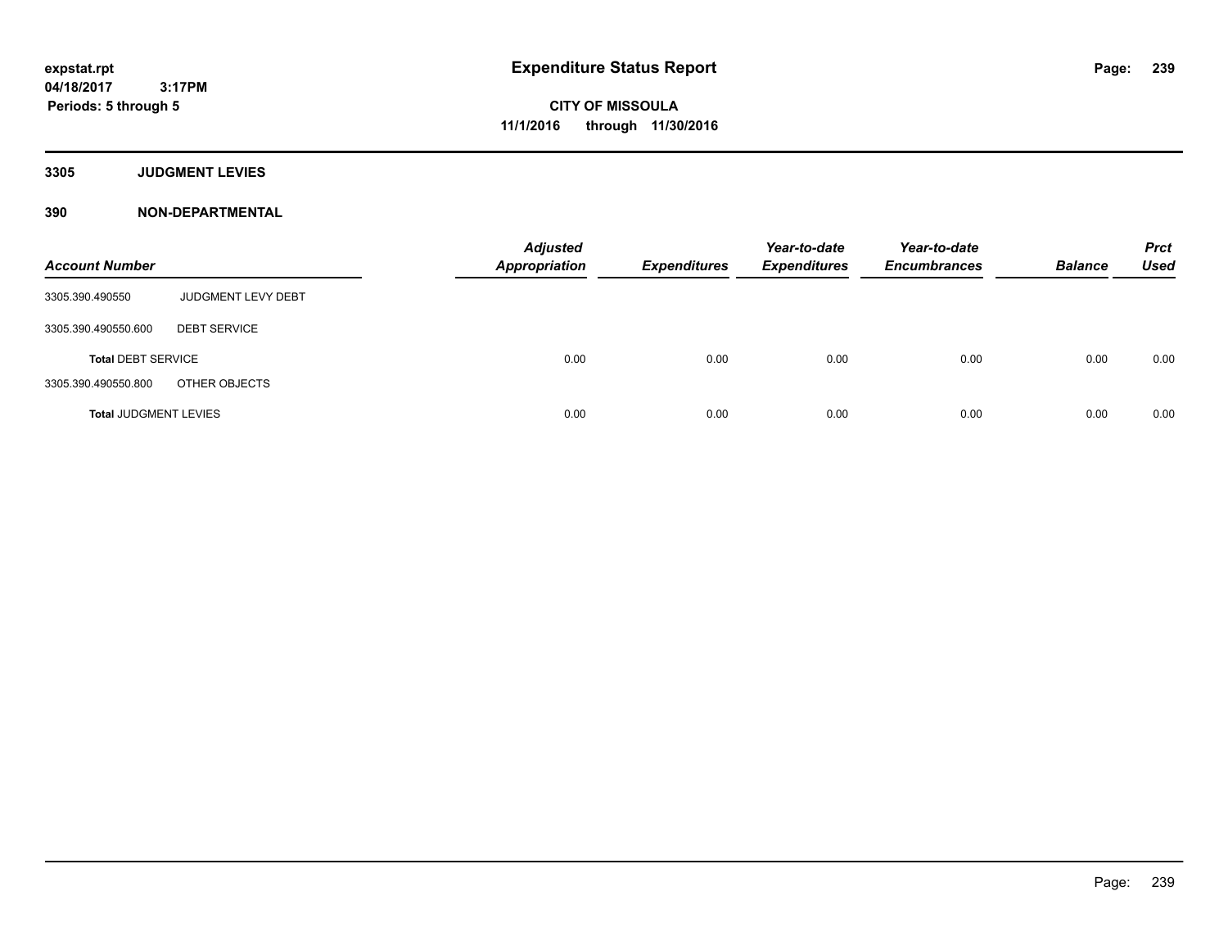**3305 JUDGMENT LEVIES**

| <b>Account Number</b>        |                     | <b>Adjusted</b><br>Appropriation | <b>Expenditures</b> | Year-to-date<br><b>Expenditures</b> | Year-to-date<br><b>Encumbrances</b> | <b>Balance</b> | <b>Prct</b><br><b>Used</b> |
|------------------------------|---------------------|----------------------------------|---------------------|-------------------------------------|-------------------------------------|----------------|----------------------------|
| 3305.390.490550              | JUDGMENT LEVY DEBT  |                                  |                     |                                     |                                     |                |                            |
| 3305.390.490550.600          | <b>DEBT SERVICE</b> |                                  |                     |                                     |                                     |                |                            |
| <b>Total DEBT SERVICE</b>    |                     | 0.00                             | 0.00                | 0.00                                | 0.00                                | 0.00           | 0.00                       |
| 3305.390.490550.800          | OTHER OBJECTS       |                                  |                     |                                     |                                     |                |                            |
| <b>Total JUDGMENT LEVIES</b> |                     | 0.00                             | 0.00                | 0.00                                | 0.00                                | 0.00           | 0.00                       |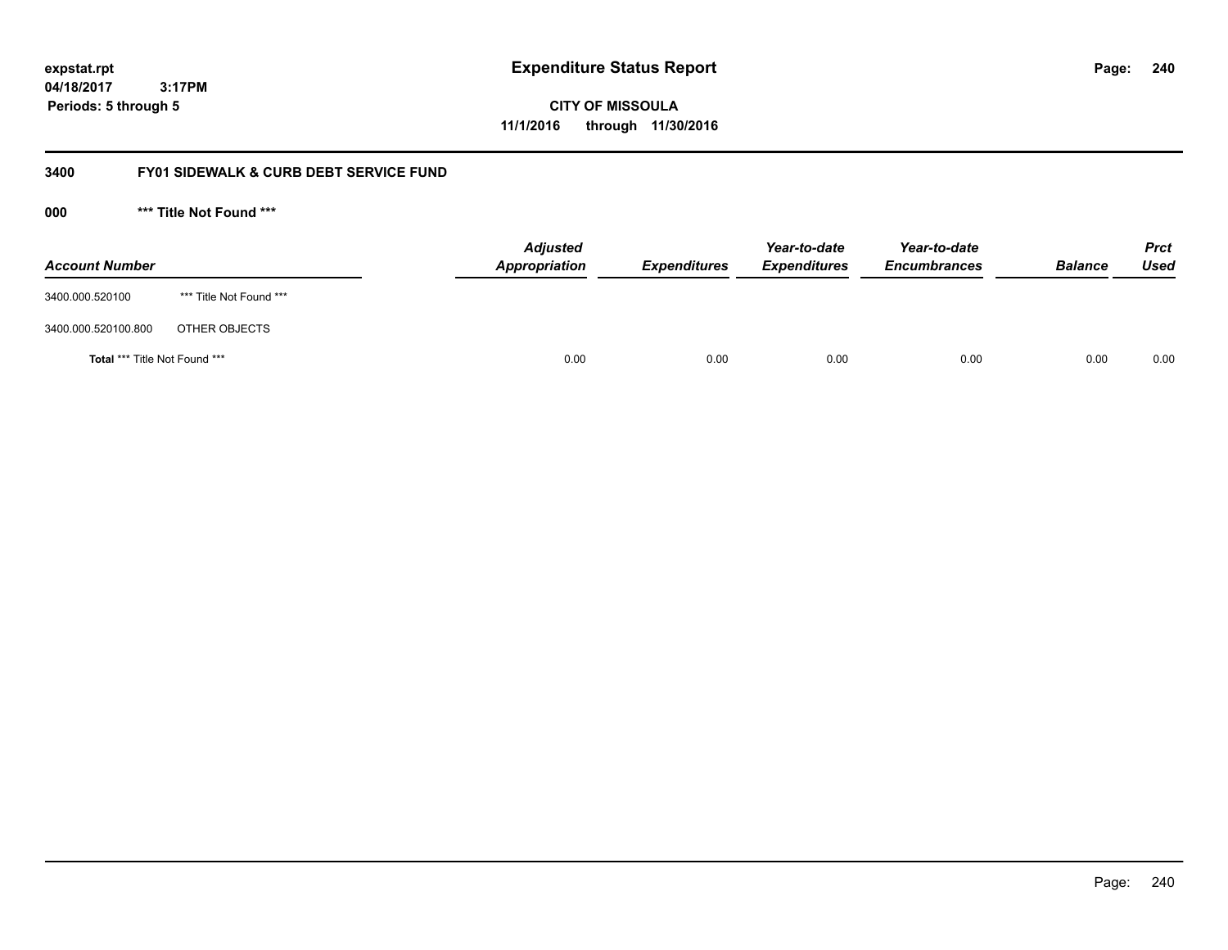**CITY OF MISSOULA 11/1/2016 through 11/30/2016**

### **3400 FY01 SIDEWALK & CURB DEBT SERVICE FUND**

**000 \*\*\* Title Not Found \*\*\***

| <b>Account Number</b>         |                         | <b>Adjusted</b><br>Appropriation | <b>Expenditures</b> | Year-to-date<br><b>Expenditures</b> | Year-to-date<br><b>Encumbrances</b> | <b>Balance</b> | Prct<br><b>Used</b> |
|-------------------------------|-------------------------|----------------------------------|---------------------|-------------------------------------|-------------------------------------|----------------|---------------------|
| 3400.000.520100               | *** Title Not Found *** |                                  |                     |                                     |                                     |                |                     |
| 3400.000.520100.800           | OTHER OBJECTS           |                                  |                     |                                     |                                     |                |                     |
| Total *** Title Not Found *** |                         | 0.00                             | 0.00                | 0.00                                | 0.00                                | 0.00           | 0.00                |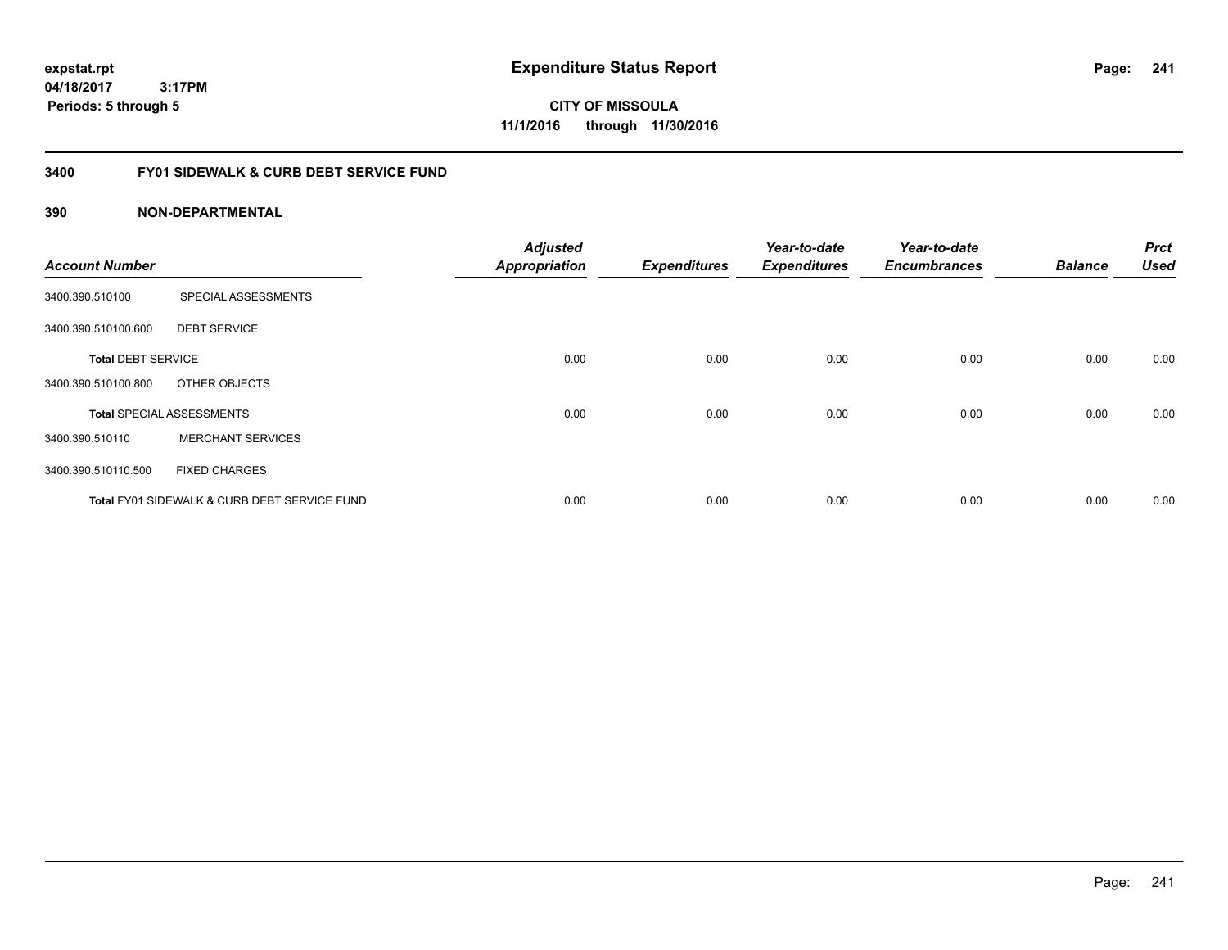**CITY OF MISSOULA 11/1/2016 through 11/30/2016**

### **3400 FY01 SIDEWALK & CURB DEBT SERVICE FUND**

| <b>Account Number</b>     |                                              | <b>Adjusted</b><br><b>Appropriation</b> | <b>Expenditures</b> | Year-to-date<br><b>Expenditures</b> | Year-to-date<br><b>Encumbrances</b> | <b>Balance</b> | <b>Prct</b><br><b>Used</b> |
|---------------------------|----------------------------------------------|-----------------------------------------|---------------------|-------------------------------------|-------------------------------------|----------------|----------------------------|
| 3400.390.510100           | SPECIAL ASSESSMENTS                          |                                         |                     |                                     |                                     |                |                            |
| 3400.390.510100.600       | <b>DEBT SERVICE</b>                          |                                         |                     |                                     |                                     |                |                            |
| <b>Total DEBT SERVICE</b> |                                              | 0.00                                    | 0.00                | 0.00                                | 0.00                                | 0.00           | 0.00                       |
| 3400.390.510100.800       | OTHER OBJECTS                                |                                         |                     |                                     |                                     |                |                            |
|                           | <b>Total SPECIAL ASSESSMENTS</b>             | 0.00                                    | 0.00                | 0.00                                | 0.00                                | 0.00           | 0.00                       |
| 3400.390.510110           | <b>MERCHANT SERVICES</b>                     |                                         |                     |                                     |                                     |                |                            |
| 3400.390.510110.500       | <b>FIXED CHARGES</b>                         |                                         |                     |                                     |                                     |                |                            |
|                           | Total FY01 SIDEWALK & CURB DEBT SERVICE FUND | 0.00                                    | 0.00                | 0.00                                | 0.00                                | 0.00           | 0.00                       |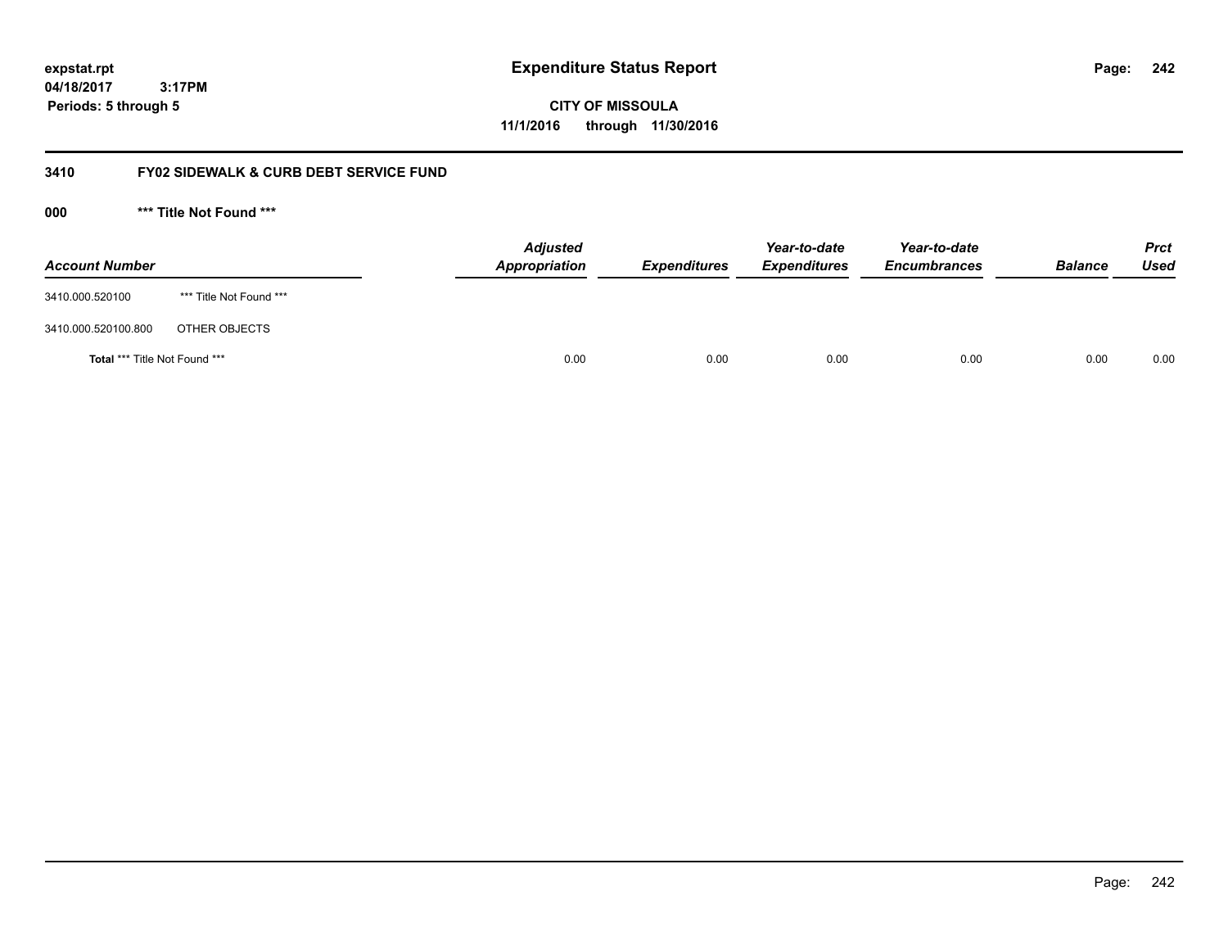**CITY OF MISSOULA 11/1/2016 through 11/30/2016**

### **3410 FY02 SIDEWALK & CURB DEBT SERVICE FUND**

**000 \*\*\* Title Not Found \*\*\***

| <b>Account Number</b>         |                         | <b>Adjusted</b><br>Appropriation | <b>Expenditures</b> | Year-to-date<br><b>Expenditures</b> | Year-to-date<br><b>Encumbrances</b> | <b>Balance</b> | <b>Prct</b><br><b>Used</b> |
|-------------------------------|-------------------------|----------------------------------|---------------------|-------------------------------------|-------------------------------------|----------------|----------------------------|
| 3410.000.520100               | *** Title Not Found *** |                                  |                     |                                     |                                     |                |                            |
| 3410.000.520100.800           | OTHER OBJECTS           |                                  |                     |                                     |                                     |                |                            |
| Total *** Title Not Found *** |                         | 0.00                             | 0.00                | 0.00                                | 0.00                                | 0.00           | 0.00                       |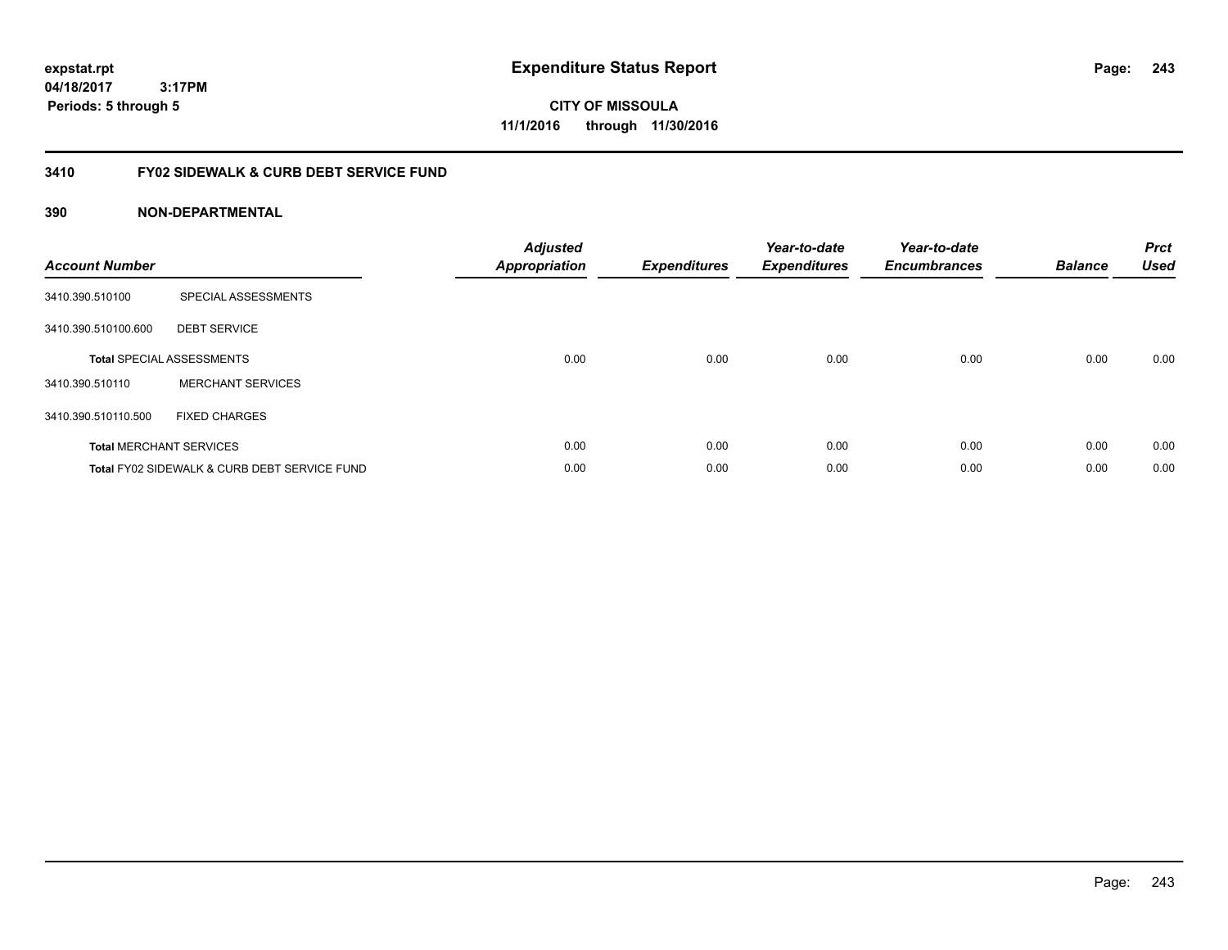**CITY OF MISSOULA 11/1/2016 through 11/30/2016**

### **3410 FY02 SIDEWALK & CURB DEBT SERVICE FUND**

| <b>Account Number</b> |                                              | <b>Adjusted</b><br><b>Appropriation</b> | <b>Expenditures</b> | Year-to-date<br><b>Expenditures</b> | Year-to-date<br><b>Encumbrances</b> | <b>Balance</b> | <b>Prct</b><br><b>Used</b> |
|-----------------------|----------------------------------------------|-----------------------------------------|---------------------|-------------------------------------|-------------------------------------|----------------|----------------------------|
| 3410.390.510100       | SPECIAL ASSESSMENTS                          |                                         |                     |                                     |                                     |                |                            |
| 3410.390.510100.600   | <b>DEBT SERVICE</b>                          |                                         |                     |                                     |                                     |                |                            |
|                       | <b>Total SPECIAL ASSESSMENTS</b>             | 0.00                                    | 0.00                | 0.00                                | 0.00                                | 0.00           | 0.00                       |
| 3410.390.510110       | <b>MERCHANT SERVICES</b>                     |                                         |                     |                                     |                                     |                |                            |
| 3410.390.510110.500   | <b>FIXED CHARGES</b>                         |                                         |                     |                                     |                                     |                |                            |
|                       | <b>Total MERCHANT SERVICES</b>               | 0.00                                    | 0.00                | 0.00                                | 0.00                                | 0.00           | 0.00                       |
|                       | Total FY02 SIDEWALK & CURB DEBT SERVICE FUND | 0.00                                    | 0.00                | 0.00                                | 0.00                                | 0.00           | 0.00                       |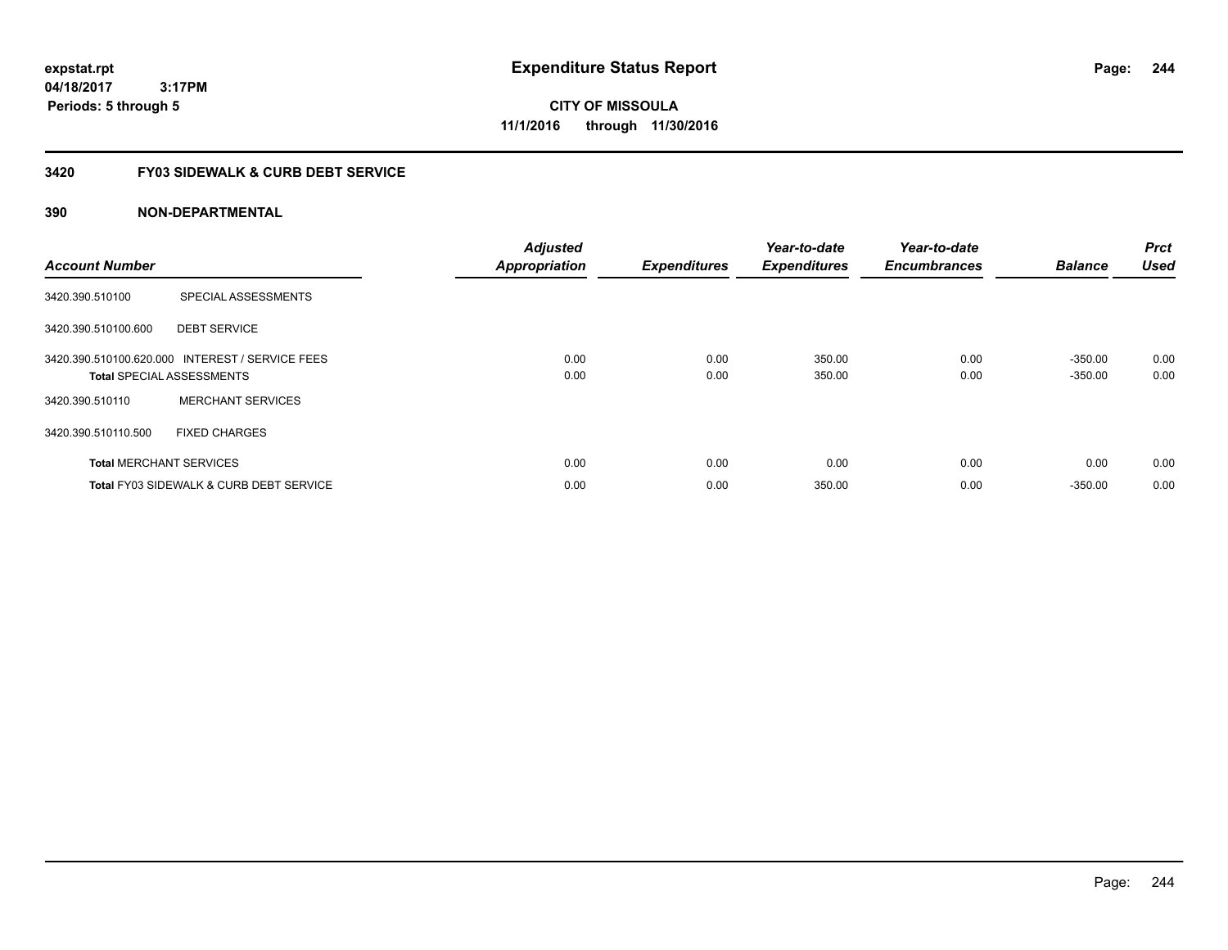**expstat.rpt Expenditure Status Report** 

**04/18/2017 3:17PM Periods: 5 through 5**

**CITY OF MISSOULA 11/1/2016 through 11/30/2016**

### **3420 FY03 SIDEWALK & CURB DEBT SERVICE**

| <b>Account Number</b> |                                                                                     | <b>Adjusted</b><br><b>Appropriation</b> | <b>Expenditures</b> | Year-to-date<br><b>Expenditures</b> | Year-to-date<br><b>Encumbrances</b> | <b>Balance</b>         | <b>Prct</b><br><b>Used</b> |
|-----------------------|-------------------------------------------------------------------------------------|-----------------------------------------|---------------------|-------------------------------------|-------------------------------------|------------------------|----------------------------|
| 3420.390.510100       | SPECIAL ASSESSMENTS                                                                 |                                         |                     |                                     |                                     |                        |                            |
| 3420.390.510100.600   | <b>DEBT SERVICE</b>                                                                 |                                         |                     |                                     |                                     |                        |                            |
|                       | 3420.390.510100.620.000 INTEREST / SERVICE FEES<br><b>Total SPECIAL ASSESSMENTS</b> | 0.00<br>0.00                            | 0.00<br>0.00        | 350.00<br>350.00                    | 0.00<br>0.00                        | $-350.00$<br>$-350.00$ | 0.00<br>0.00               |
| 3420.390.510110       | <b>MERCHANT SERVICES</b>                                                            |                                         |                     |                                     |                                     |                        |                            |
| 3420.390.510110.500   | <b>FIXED CHARGES</b>                                                                |                                         |                     |                                     |                                     |                        |                            |
|                       | <b>Total MERCHANT SERVICES</b>                                                      | 0.00                                    | 0.00                | 0.00                                | 0.00                                | 0.00                   | 0.00                       |
|                       | <b>Total FY03 SIDEWALK &amp; CURB DEBT SERVICE</b>                                  | 0.00                                    | 0.00                | 350.00                              | 0.00                                | $-350.00$              | 0.00                       |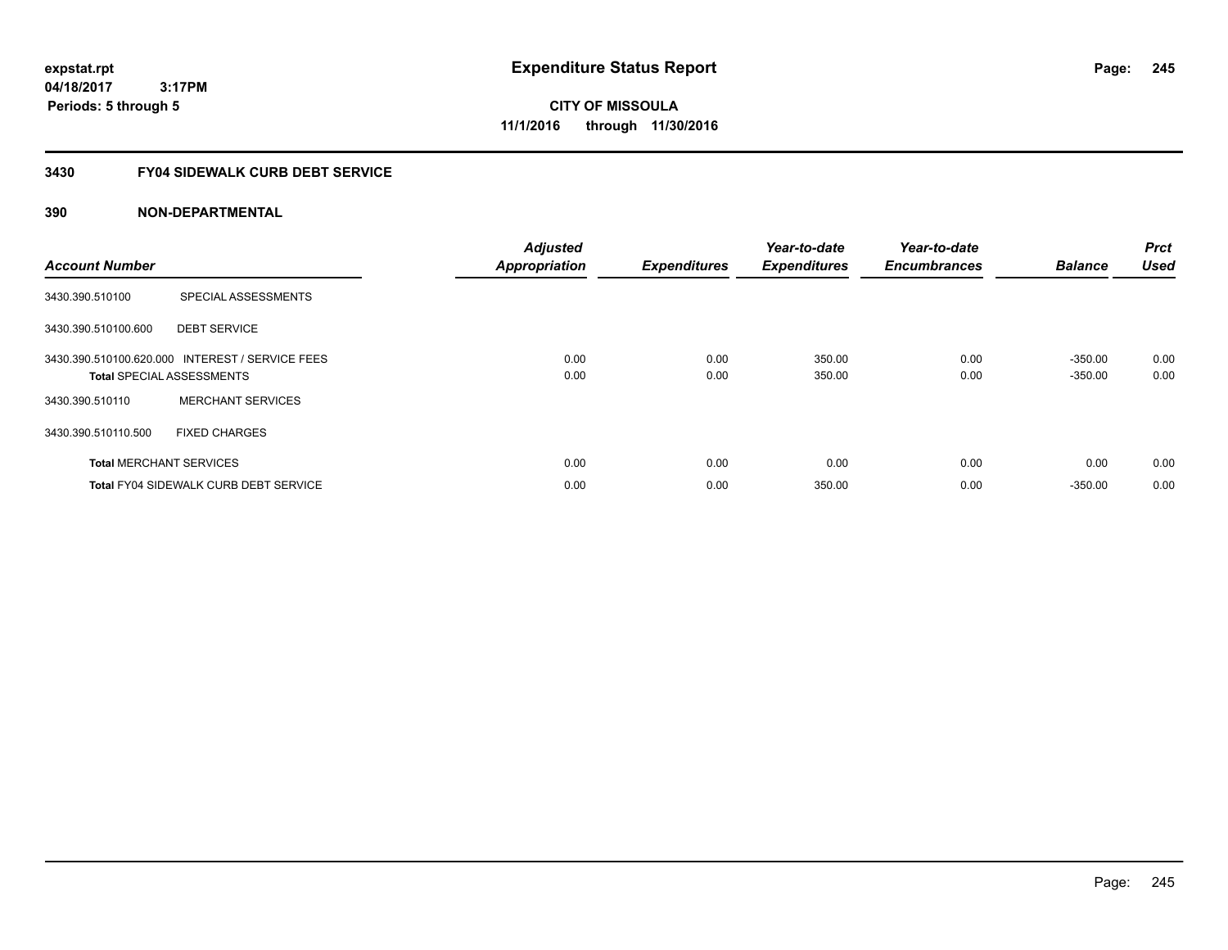**CITY OF MISSOULA 11/1/2016 through 11/30/2016**

### **3430 FY04 SIDEWALK CURB DEBT SERVICE**

| <b>Account Number</b> |                                                                                     | <b>Adjusted</b><br><b>Appropriation</b> | <b>Expenditures</b> | Year-to-date<br><b>Expenditures</b> | Year-to-date<br><b>Encumbrances</b> | <b>Balance</b>         | <b>Prct</b><br><b>Used</b> |
|-----------------------|-------------------------------------------------------------------------------------|-----------------------------------------|---------------------|-------------------------------------|-------------------------------------|------------------------|----------------------------|
| 3430.390.510100       | SPECIAL ASSESSMENTS                                                                 |                                         |                     |                                     |                                     |                        |                            |
| 3430.390.510100.600   | <b>DEBT SERVICE</b>                                                                 |                                         |                     |                                     |                                     |                        |                            |
|                       | 3430.390.510100.620.000 INTEREST / SERVICE FEES<br><b>Total SPECIAL ASSESSMENTS</b> | 0.00<br>0.00                            | 0.00<br>0.00        | 350.00<br>350.00                    | 0.00<br>0.00                        | $-350.00$<br>$-350.00$ | 0.00<br>0.00               |
| 3430.390.510110       | <b>MERCHANT SERVICES</b>                                                            |                                         |                     |                                     |                                     |                        |                            |
| 3430.390.510110.500   | <b>FIXED CHARGES</b>                                                                |                                         |                     |                                     |                                     |                        |                            |
|                       | <b>Total MERCHANT SERVICES</b>                                                      | 0.00                                    | 0.00                | 0.00                                | 0.00                                | 0.00                   | 0.00                       |
|                       | <b>Total FY04 SIDEWALK CURB DEBT SERVICE</b>                                        | 0.00                                    | 0.00                | 350.00                              | 0.00                                | $-350.00$              | 0.00                       |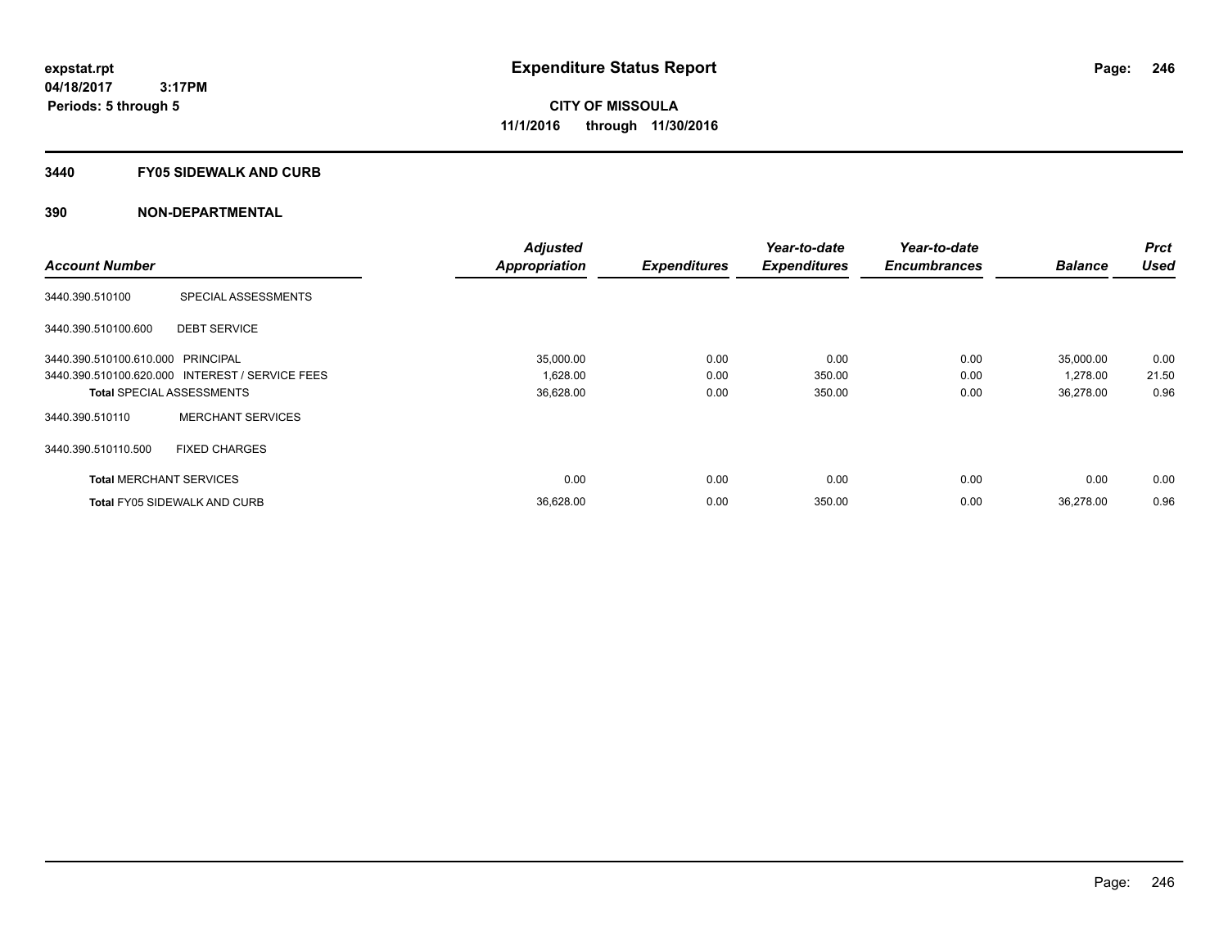#### **3440 FY05 SIDEWALK AND CURB**

|                                   |                                                 | <b>Adjusted</b>      |                     | Year-to-date        | Year-to-date        |                | <b>Prct</b> |
|-----------------------------------|-------------------------------------------------|----------------------|---------------------|---------------------|---------------------|----------------|-------------|
| <b>Account Number</b>             |                                                 | <b>Appropriation</b> | <b>Expenditures</b> | <b>Expenditures</b> | <b>Encumbrances</b> | <b>Balance</b> | <b>Used</b> |
| 3440.390.510100                   | SPECIAL ASSESSMENTS                             |                      |                     |                     |                     |                |             |
| 3440.390.510100.600               | <b>DEBT SERVICE</b>                             |                      |                     |                     |                     |                |             |
| 3440.390.510100.610.000 PRINCIPAL |                                                 | 35,000.00            | 0.00                | 0.00                | 0.00                | 35,000.00      | 0.00        |
|                                   | 3440.390.510100.620.000 INTEREST / SERVICE FEES | 1,628.00             | 0.00                | 350.00              | 0.00                | 1,278.00       | 21.50       |
|                                   | <b>Total SPECIAL ASSESSMENTS</b>                | 36,628.00            | 0.00                | 350.00              | 0.00                | 36,278.00      | 0.96        |
| 3440.390.510110                   | <b>MERCHANT SERVICES</b>                        |                      |                     |                     |                     |                |             |
| 3440.390.510110.500               | <b>FIXED CHARGES</b>                            |                      |                     |                     |                     |                |             |
| <b>Total MERCHANT SERVICES</b>    |                                                 | 0.00                 | 0.00                | 0.00                | 0.00                | 0.00           | 0.00        |
|                                   | <b>Total FY05 SIDEWALK AND CURB</b>             | 36,628.00            | 0.00                | 350.00              | 0.00                | 36.278.00      | 0.96        |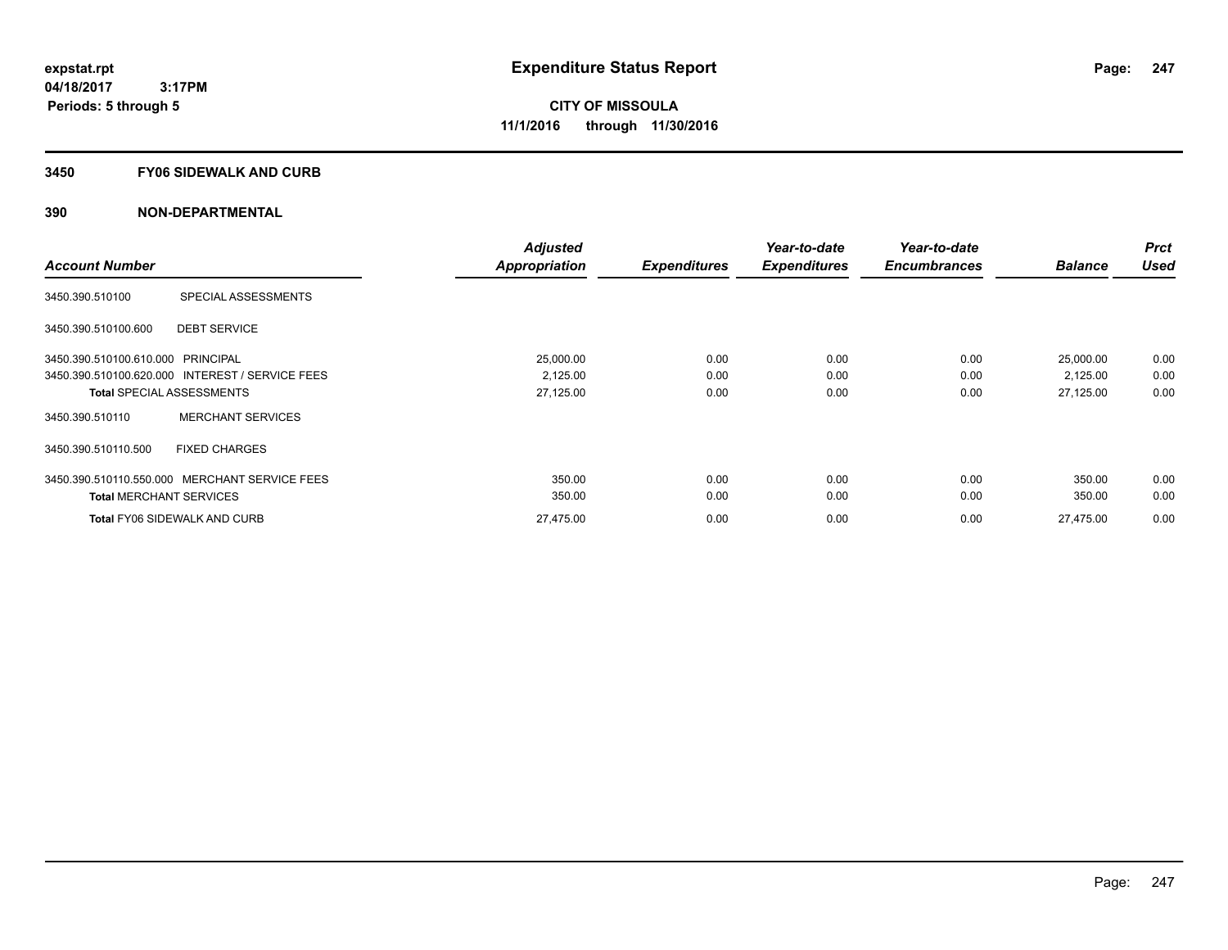#### **3450 FY06 SIDEWALK AND CURB**

| <b>Account Number</b>                           | <b>Adjusted</b><br><b>Appropriation</b> | <b>Expenditures</b> | Year-to-date<br><b>Expenditures</b> | Year-to-date<br><b>Encumbrances</b> | <b>Balance</b> | <b>Prct</b><br><b>Used</b> |
|-------------------------------------------------|-----------------------------------------|---------------------|-------------------------------------|-------------------------------------|----------------|----------------------------|
|                                                 |                                         |                     |                                     |                                     |                |                            |
| SPECIAL ASSESSMENTS<br>3450.390.510100          |                                         |                     |                                     |                                     |                |                            |
| <b>DEBT SERVICE</b><br>3450.390.510100.600      |                                         |                     |                                     |                                     |                |                            |
| 3450.390.510100.610.000 PRINCIPAL               | 25,000.00                               | 0.00                | 0.00                                | 0.00                                | 25,000.00      | 0.00                       |
| 3450.390.510100.620.000 INTEREST / SERVICE FEES | 2,125.00                                | 0.00                | 0.00                                | 0.00                                | 2,125.00       | 0.00                       |
| <b>Total SPECIAL ASSESSMENTS</b>                | 27,125.00                               | 0.00                | 0.00                                | 0.00                                | 27,125.00      | 0.00                       |
| <b>MERCHANT SERVICES</b><br>3450.390.510110     |                                         |                     |                                     |                                     |                |                            |
| <b>FIXED CHARGES</b><br>3450.390.510110.500     |                                         |                     |                                     |                                     |                |                            |
| 3450.390.510110.550.000 MERCHANT SERVICE FEES   | 350.00                                  | 0.00                | 0.00                                | 0.00                                | 350.00         | 0.00                       |
| <b>Total MERCHANT SERVICES</b>                  | 350.00                                  | 0.00                | 0.00                                | 0.00                                | 350.00         | 0.00                       |
| <b>Total FY06 SIDEWALK AND CURB</b>             | 27,475.00                               | 0.00                | 0.00                                | 0.00                                | 27.475.00      | 0.00                       |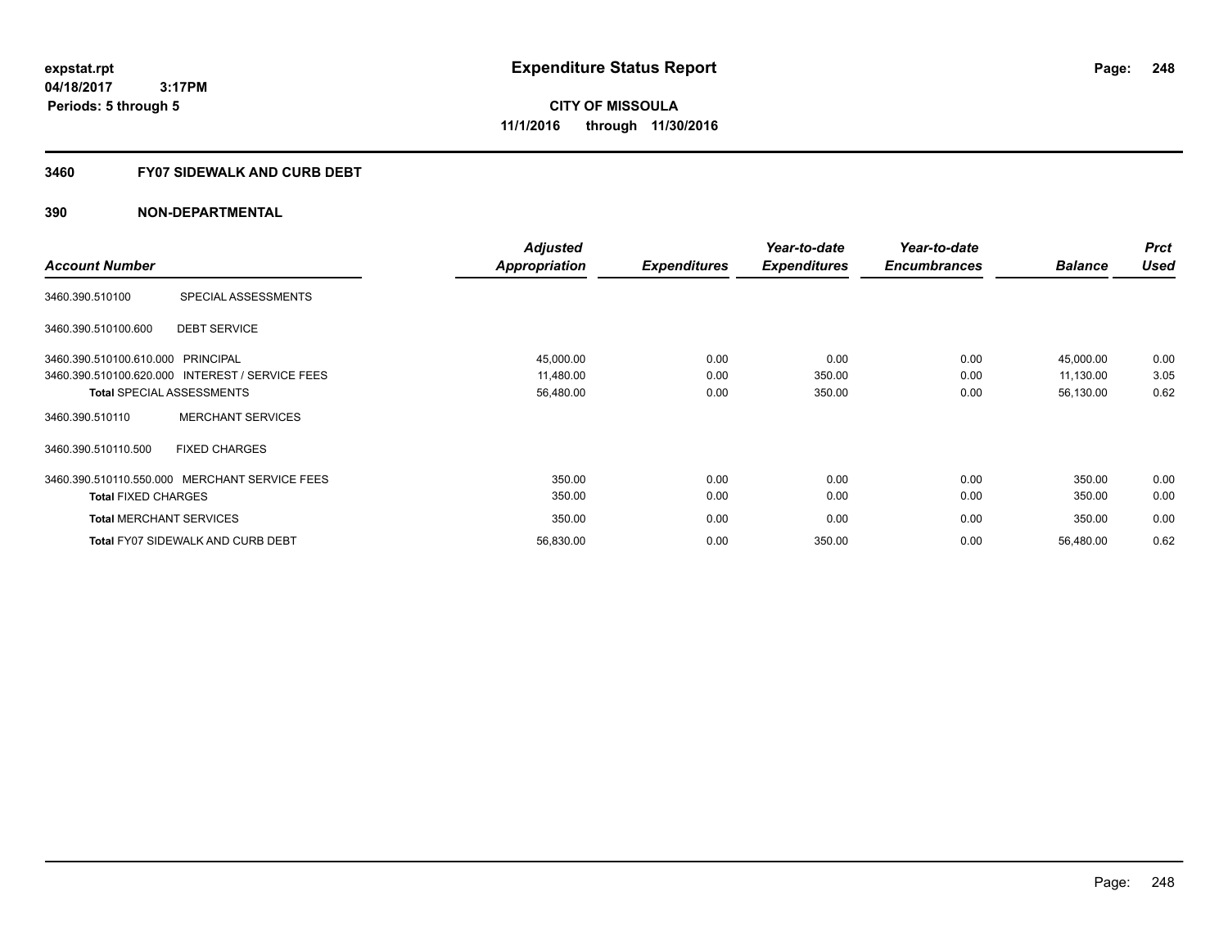### **3460 FY07 SIDEWALK AND CURB DEBT**

|                                   |                                                 | <b>Adjusted</b>      |                     | Year-to-date        | Year-to-date        |                | <b>Prct</b> |
|-----------------------------------|-------------------------------------------------|----------------------|---------------------|---------------------|---------------------|----------------|-------------|
| <b>Account Number</b>             |                                                 | <b>Appropriation</b> | <b>Expenditures</b> | <b>Expenditures</b> | <b>Encumbrances</b> | <b>Balance</b> | <b>Used</b> |
| 3460.390.510100                   | SPECIAL ASSESSMENTS                             |                      |                     |                     |                     |                |             |
| 3460.390.510100.600               | <b>DEBT SERVICE</b>                             |                      |                     |                     |                     |                |             |
| 3460.390.510100.610.000 PRINCIPAL |                                                 | 45,000.00            | 0.00                | 0.00                | 0.00                | 45,000.00      | 0.00        |
|                                   | 3460.390.510100.620.000 INTEREST / SERVICE FEES | 11,480.00            | 0.00                | 350.00              | 0.00                | 11,130.00      | 3.05        |
|                                   | <b>Total SPECIAL ASSESSMENTS</b>                | 56,480.00            | 0.00                | 350.00              | 0.00                | 56,130.00      | 0.62        |
| 3460.390.510110                   | <b>MERCHANT SERVICES</b>                        |                      |                     |                     |                     |                |             |
| 3460.390.510110.500               | <b>FIXED CHARGES</b>                            |                      |                     |                     |                     |                |             |
|                                   | 3460.390.510110.550.000 MERCHANT SERVICE FEES   | 350.00               | 0.00                | 0.00                | 0.00                | 350.00         | 0.00        |
| <b>Total FIXED CHARGES</b>        |                                                 | 350.00               | 0.00                | 0.00                | 0.00                | 350.00         | 0.00        |
| <b>Total MERCHANT SERVICES</b>    |                                                 | 350.00               | 0.00                | 0.00                | 0.00                | 350.00         | 0.00        |
|                                   | <b>Total FY07 SIDEWALK AND CURB DEBT</b>        | 56,830.00            | 0.00                | 350.00              | 0.00                | 56,480.00      | 0.62        |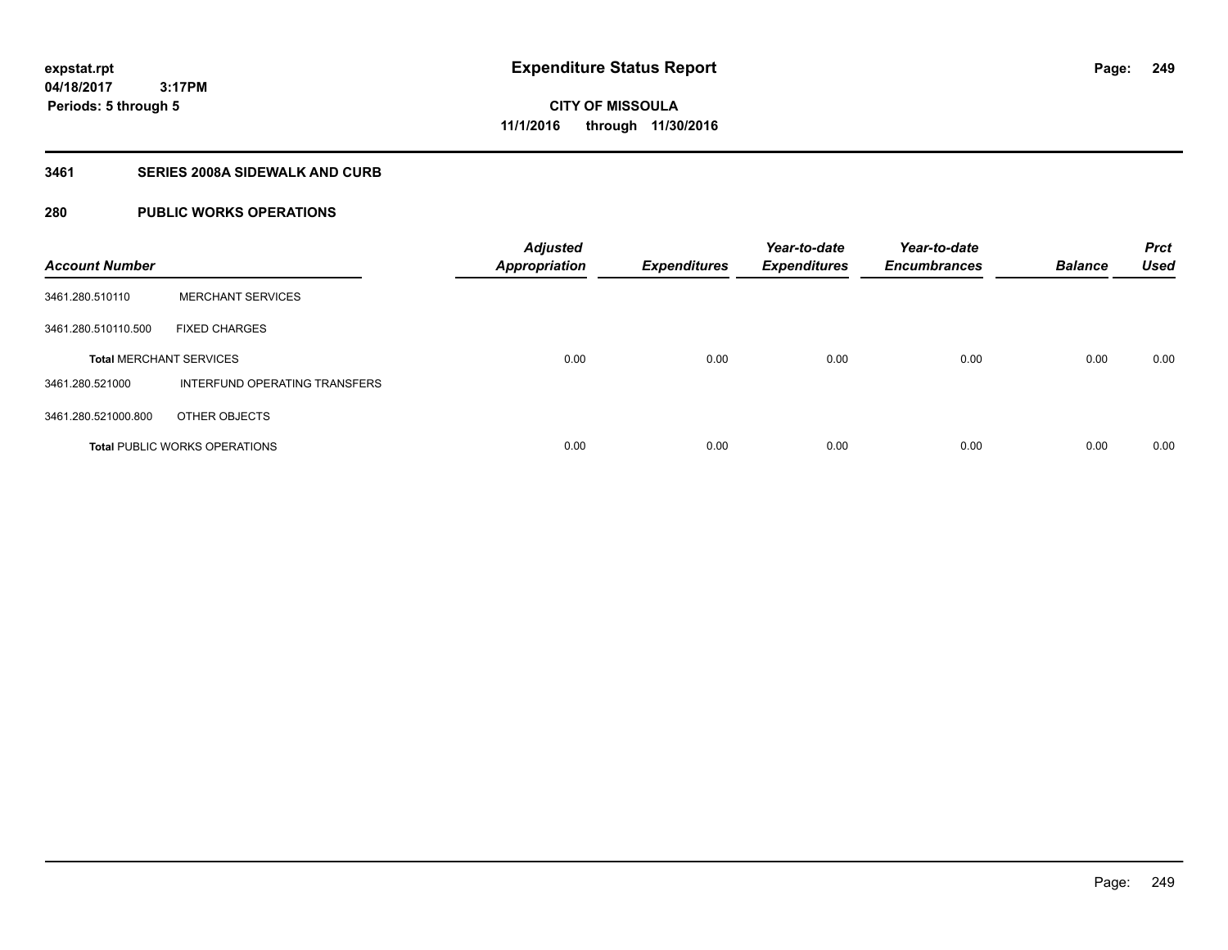**Periods: 5 through 5**

**CITY OF MISSOULA 11/1/2016 through 11/30/2016**

#### **3461 SERIES 2008A SIDEWALK AND CURB**

### **280 PUBLIC WORKS OPERATIONS**

 **3:17PM**

| <b>Account Number</b>          |                                      | <b>Adjusted</b><br><b>Appropriation</b> | <b>Expenditures</b> | Year-to-date<br><b>Expenditures</b> | Year-to-date<br><b>Encumbrances</b> | <b>Balance</b> | <b>Prct</b><br><b>Used</b> |
|--------------------------------|--------------------------------------|-----------------------------------------|---------------------|-------------------------------------|-------------------------------------|----------------|----------------------------|
| 3461.280.510110                | <b>MERCHANT SERVICES</b>             |                                         |                     |                                     |                                     |                |                            |
| 3461.280.510110.500            | <b>FIXED CHARGES</b>                 |                                         |                     |                                     |                                     |                |                            |
| <b>Total MERCHANT SERVICES</b> |                                      | 0.00                                    | 0.00                | 0.00                                | 0.00                                | 0.00           | 0.00                       |
| 3461.280.521000                | INTERFUND OPERATING TRANSFERS        |                                         |                     |                                     |                                     |                |                            |
| 3461.280.521000.800            | OTHER OBJECTS                        |                                         |                     |                                     |                                     |                |                            |
|                                | <b>Total PUBLIC WORKS OPERATIONS</b> | 0.00                                    | 0.00                | 0.00                                | 0.00                                | 0.00           | 0.00                       |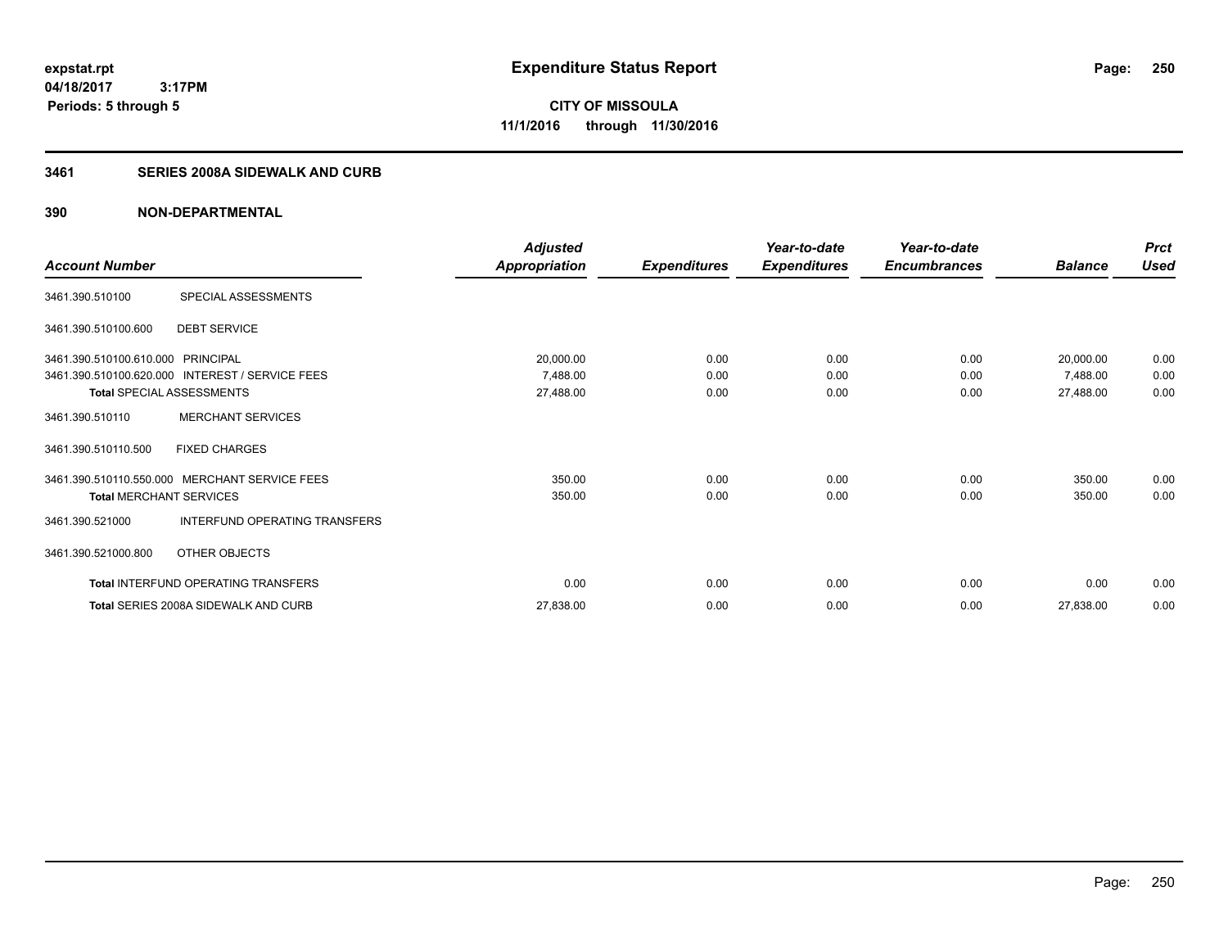**250**

**04/18/2017 3:17PM Periods: 5 through 5**

**CITY OF MISSOULA 11/1/2016 through 11/30/2016**

### **3461 SERIES 2008A SIDEWALK AND CURB**

|                                   |                                                 | <b>Adjusted</b>      |                     | Year-to-date        | Year-to-date        |                | <b>Prct</b> |
|-----------------------------------|-------------------------------------------------|----------------------|---------------------|---------------------|---------------------|----------------|-------------|
| <b>Account Number</b>             |                                                 | <b>Appropriation</b> | <b>Expenditures</b> | <b>Expenditures</b> | <b>Encumbrances</b> | <b>Balance</b> | <b>Used</b> |
| 3461.390.510100                   | SPECIAL ASSESSMENTS                             |                      |                     |                     |                     |                |             |
| 3461.390.510100.600               | <b>DEBT SERVICE</b>                             |                      |                     |                     |                     |                |             |
| 3461.390.510100.610.000 PRINCIPAL |                                                 | 20,000.00            | 0.00                | 0.00                | 0.00                | 20,000.00      | 0.00        |
|                                   | 3461.390.510100.620.000 INTEREST / SERVICE FEES | 7,488.00             | 0.00                | 0.00                | 0.00                | 7,488.00       | 0.00        |
| <b>Total SPECIAL ASSESSMENTS</b>  |                                                 | 27,488.00            | 0.00                | 0.00                | 0.00                | 27,488.00      | 0.00        |
| 3461.390.510110                   | <b>MERCHANT SERVICES</b>                        |                      |                     |                     |                     |                |             |
| 3461.390.510110.500               | <b>FIXED CHARGES</b>                            |                      |                     |                     |                     |                |             |
| 3461.390.510110.550.000           | <b>MERCHANT SERVICE FEES</b>                    | 350.00               | 0.00                | 0.00                | 0.00                | 350.00         | 0.00        |
| <b>Total MERCHANT SERVICES</b>    |                                                 | 350.00               | 0.00                | 0.00                | 0.00                | 350.00         | 0.00        |
| 3461.390.521000                   | INTERFUND OPERATING TRANSFERS                   |                      |                     |                     |                     |                |             |
| 3461.390.521000.800               | OTHER OBJECTS                                   |                      |                     |                     |                     |                |             |
|                                   | Total INTERFUND OPERATING TRANSFERS             | 0.00                 | 0.00                | 0.00                | 0.00                | 0.00           | 0.00        |
|                                   | <b>Total SERIES 2008A SIDEWALK AND CURB</b>     | 27,838.00            | 0.00                | 0.00                | 0.00                | 27,838.00      | 0.00        |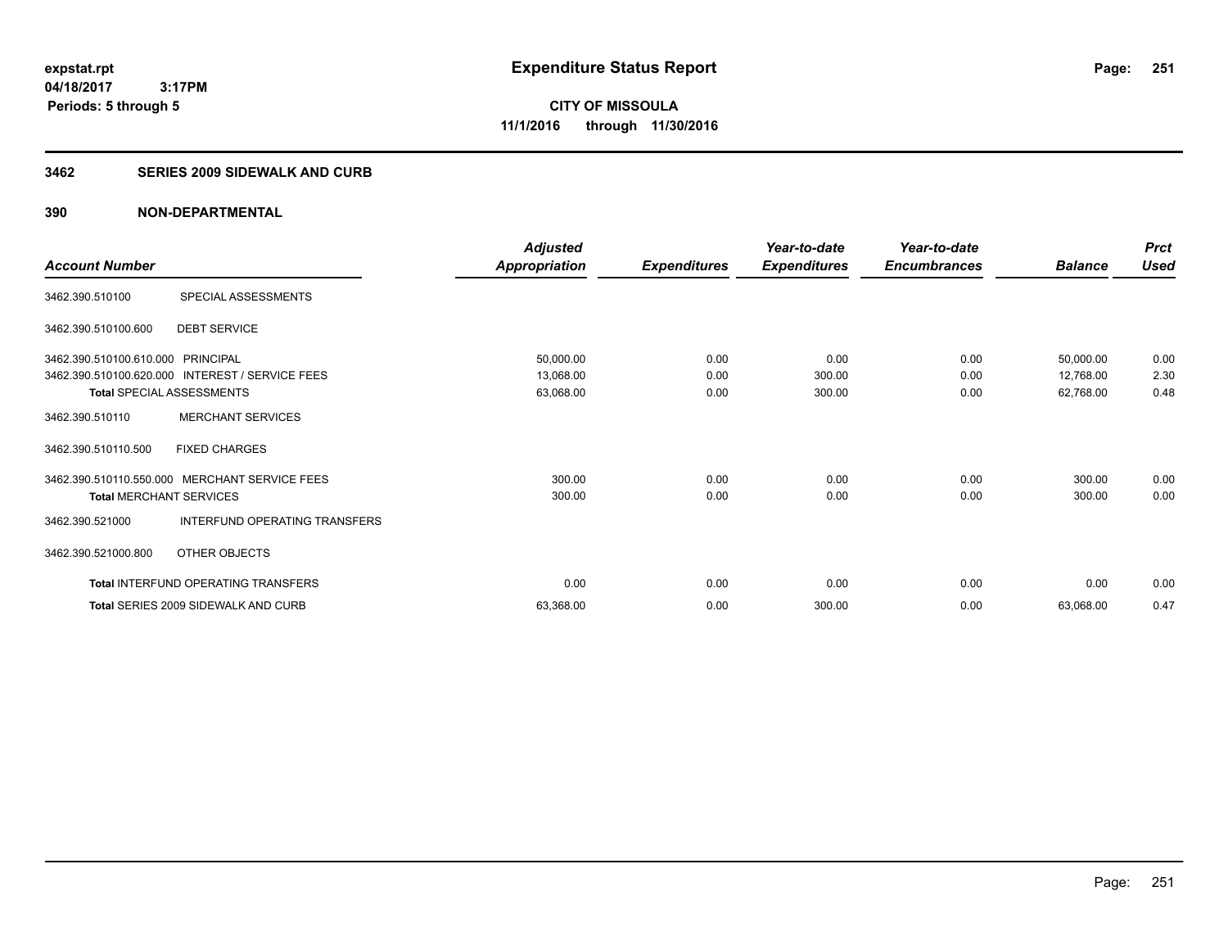**CITY OF MISSOULA 11/1/2016 through 11/30/2016**

#### **3462 SERIES 2009 SIDEWALK AND CURB**

|                                                                |                                                                                       | Adjusted                            |                      | Year-to-date             | Year-to-date         |                                     | <b>Prct</b>          |
|----------------------------------------------------------------|---------------------------------------------------------------------------------------|-------------------------------------|----------------------|--------------------------|----------------------|-------------------------------------|----------------------|
| <b>Account Number</b>                                          |                                                                                       | <b>Appropriation</b>                | <b>Expenditures</b>  | <b>Expenditures</b>      | <b>Encumbrances</b>  | <b>Balance</b>                      | <b>Used</b>          |
| 3462.390.510100                                                | SPECIAL ASSESSMENTS                                                                   |                                     |                      |                          |                      |                                     |                      |
| 3462.390.510100.600                                            | <b>DEBT SERVICE</b>                                                                   |                                     |                      |                          |                      |                                     |                      |
| 3462.390.510100.610.000 PRINCIPAL<br>Total SPECIAL ASSESSMENTS | 3462.390.510100.620.000 INTEREST / SERVICE FEES                                       | 50,000.00<br>13,068.00<br>63,068.00 | 0.00<br>0.00<br>0.00 | 0.00<br>300.00<br>300.00 | 0.00<br>0.00<br>0.00 | 50,000.00<br>12,768.00<br>62,768.00 | 0.00<br>2.30<br>0.48 |
| 3462.390.510110                                                | <b>MERCHANT SERVICES</b>                                                              |                                     |                      |                          |                      |                                     |                      |
| 3462.390.510110.500                                            | <b>FIXED CHARGES</b>                                                                  |                                     |                      |                          |                      |                                     |                      |
| <b>Total MERCHANT SERVICES</b><br>3462.390.521000              | 3462.390.510110.550.000 MERCHANT SERVICE FEES<br><b>INTERFUND OPERATING TRANSFERS</b> | 300.00<br>300.00                    | 0.00<br>0.00         | 0.00<br>0.00             | 0.00<br>0.00         | 300.00<br>300.00                    | 0.00<br>0.00         |
| 3462.390.521000.800                                            | OTHER OBJECTS                                                                         |                                     |                      |                          |                      |                                     |                      |
|                                                                | Total INTERFUND OPERATING TRANSFERS                                                   | 0.00                                | 0.00                 | 0.00                     | 0.00                 | 0.00                                | 0.00                 |
|                                                                | Total SERIES 2009 SIDEWALK AND CURB                                                   | 63,368.00                           | 0.00                 | 300.00                   | 0.00                 | 63,068.00                           | 0.47                 |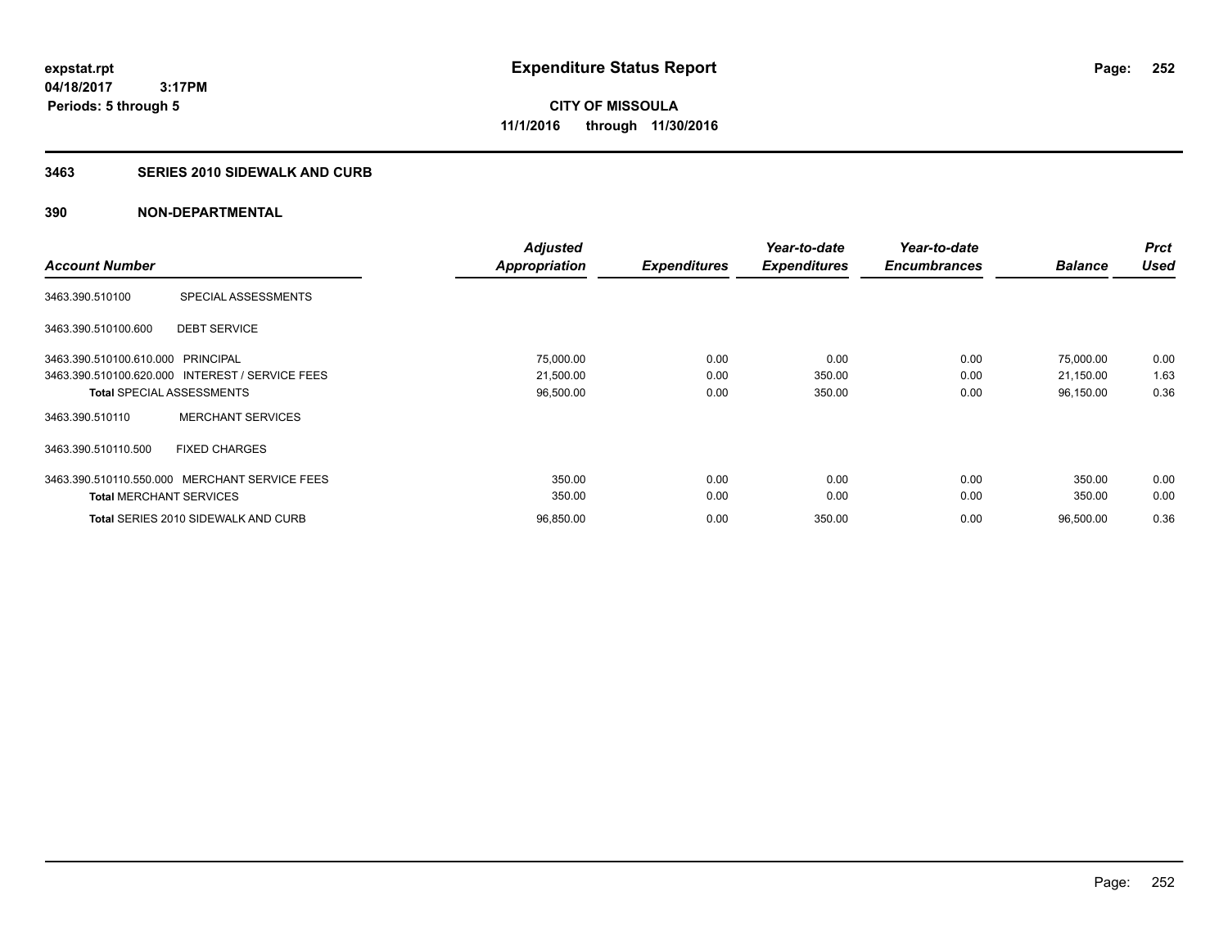**CITY OF MISSOULA 11/1/2016 through 11/30/2016**

#### **3463 SERIES 2010 SIDEWALK AND CURB**

|                                   |                                                 | <b>Adjusted</b>      |                     | Year-to-date        | Year-to-date        |                | <b>Prct</b> |
|-----------------------------------|-------------------------------------------------|----------------------|---------------------|---------------------|---------------------|----------------|-------------|
| <b>Account Number</b>             |                                                 | <b>Appropriation</b> | <b>Expenditures</b> | <b>Expenditures</b> | <b>Encumbrances</b> | <b>Balance</b> | <b>Used</b> |
| 3463.390.510100                   | SPECIAL ASSESSMENTS                             |                      |                     |                     |                     |                |             |
| 3463.390.510100.600               | <b>DEBT SERVICE</b>                             |                      |                     |                     |                     |                |             |
| 3463.390.510100.610.000 PRINCIPAL |                                                 | 75,000.00            | 0.00                | 0.00                | 0.00                | 75,000.00      | 0.00        |
|                                   | 3463.390.510100.620.000 INTEREST / SERVICE FEES | 21,500.00            | 0.00                | 350.00              | 0.00                | 21,150.00      | 1.63        |
|                                   | <b>Total SPECIAL ASSESSMENTS</b>                | 96,500.00            | 0.00                | 350.00              | 0.00                | 96,150.00      | 0.36        |
| 3463.390.510110                   | <b>MERCHANT SERVICES</b>                        |                      |                     |                     |                     |                |             |
| 3463.390.510110.500               | <b>FIXED CHARGES</b>                            |                      |                     |                     |                     |                |             |
|                                   | 3463.390.510110.550.000 MERCHANT SERVICE FEES   | 350.00               | 0.00                | 0.00                | 0.00                | 350.00         | 0.00        |
| <b>Total MERCHANT SERVICES</b>    |                                                 | 350.00               | 0.00                | 0.00                | 0.00                | 350.00         | 0.00        |
|                                   | <b>Total SERIES 2010 SIDEWALK AND CURB</b>      | 96,850.00            | 0.00                | 350.00              | 0.00                | 96,500.00      | 0.36        |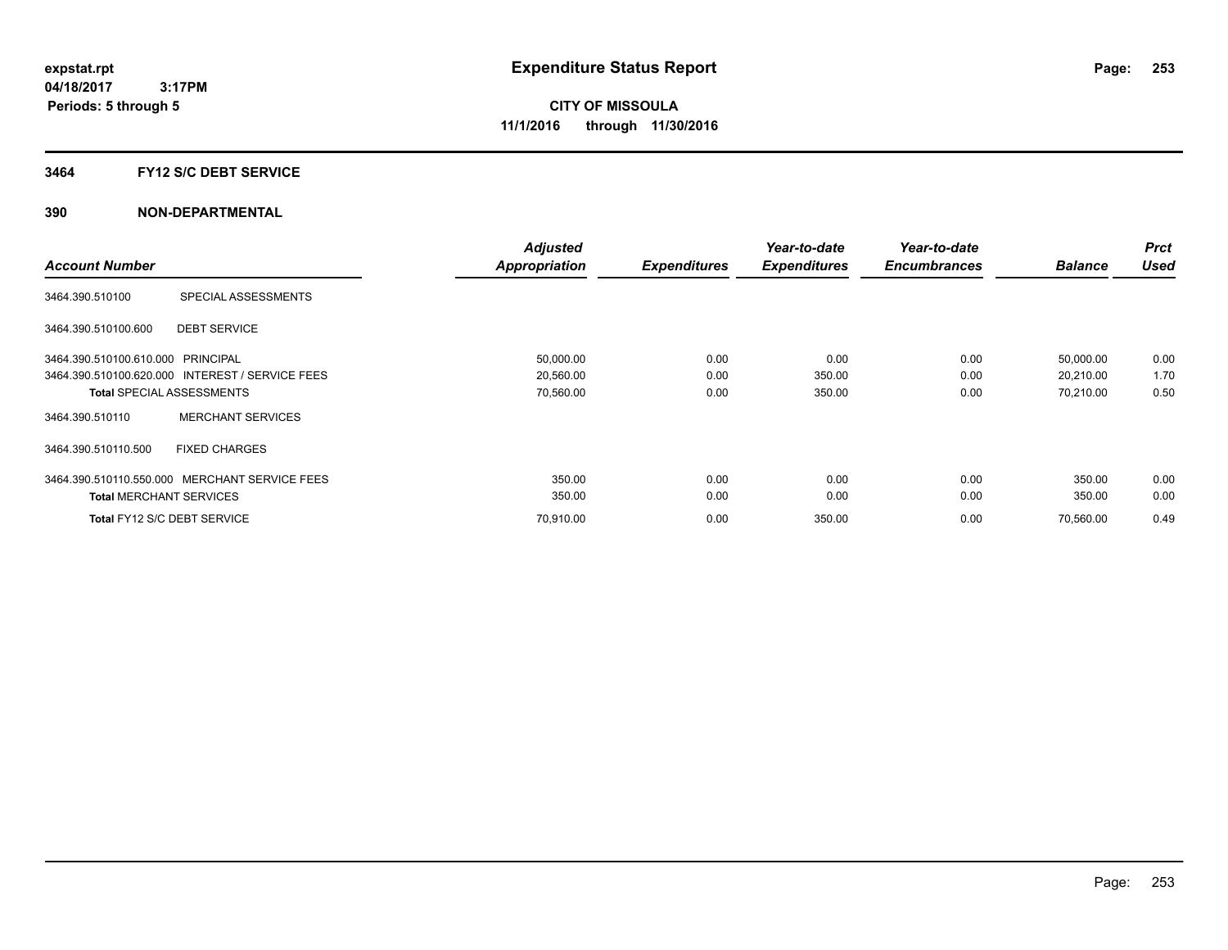#### **3464 FY12 S/C DEBT SERVICE**

| <b>Account Number</b>             |                                                 | <b>Adjusted</b>      |                     | Year-to-date        | Year-to-date<br><b>Encumbrances</b> | <b>Balance</b> | <b>Prct</b><br><b>Used</b> |
|-----------------------------------|-------------------------------------------------|----------------------|---------------------|---------------------|-------------------------------------|----------------|----------------------------|
|                                   |                                                 | <b>Appropriation</b> | <b>Expenditures</b> | <b>Expenditures</b> |                                     |                |                            |
| 3464.390.510100                   | SPECIAL ASSESSMENTS                             |                      |                     |                     |                                     |                |                            |
| 3464.390.510100.600               | <b>DEBT SERVICE</b>                             |                      |                     |                     |                                     |                |                            |
| 3464.390.510100.610.000 PRINCIPAL |                                                 | 50,000.00            | 0.00                | 0.00                | 0.00                                | 50,000.00      | 0.00                       |
|                                   | 3464.390.510100.620.000 INTEREST / SERVICE FEES | 20,560.00            | 0.00                | 350.00              | 0.00                                | 20,210.00      | 1.70                       |
|                                   | <b>Total SPECIAL ASSESSMENTS</b>                | 70,560.00            | 0.00                | 350.00              | 0.00                                | 70,210.00      | 0.50                       |
| 3464.390.510110                   | <b>MERCHANT SERVICES</b>                        |                      |                     |                     |                                     |                |                            |
| 3464.390.510110.500               | <b>FIXED CHARGES</b>                            |                      |                     |                     |                                     |                |                            |
|                                   | 3464.390.510110.550.000 MERCHANT SERVICE FEES   | 350.00               | 0.00                | 0.00                | 0.00                                | 350.00         | 0.00                       |
| <b>Total MERCHANT SERVICES</b>    |                                                 | 350.00               | 0.00                | 0.00                | 0.00                                | 350.00         | 0.00                       |
|                                   | Total FY12 S/C DEBT SERVICE                     | 70,910.00            | 0.00                | 350.00              | 0.00                                | 70,560.00      | 0.49                       |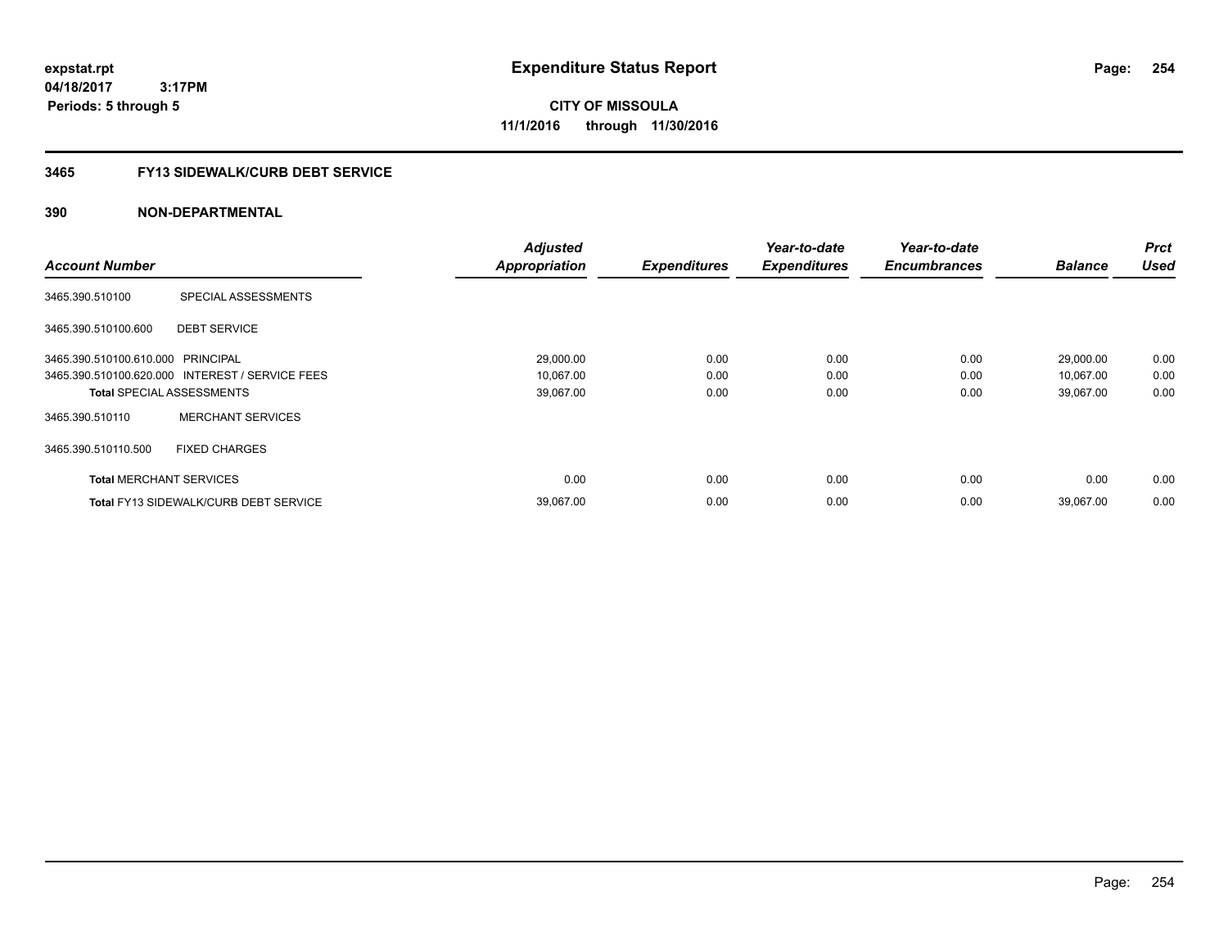**04/18/2017 3:17PM Periods: 5 through 5**

**CITY OF MISSOULA 11/1/2016 through 11/30/2016**

# **3465 FY13 SIDEWALK/CURB DEBT SERVICE**

|                                   |                                                 | <b>Adjusted</b>      |                     | Year-to-date        | Year-to-date        |                | <b>Prct</b> |
|-----------------------------------|-------------------------------------------------|----------------------|---------------------|---------------------|---------------------|----------------|-------------|
| <b>Account Number</b>             |                                                 | <b>Appropriation</b> | <b>Expenditures</b> | <b>Expenditures</b> | <b>Encumbrances</b> | <b>Balance</b> | <b>Used</b> |
| 3465.390.510100                   | SPECIAL ASSESSMENTS                             |                      |                     |                     |                     |                |             |
| 3465.390.510100.600               | <b>DEBT SERVICE</b>                             |                      |                     |                     |                     |                |             |
| 3465.390.510100.610.000 PRINCIPAL |                                                 | 29,000.00            | 0.00                | 0.00                | 0.00                | 29,000.00      | 0.00        |
|                                   | 3465.390.510100.620.000 INTEREST / SERVICE FEES | 10,067.00            | 0.00                | 0.00                | 0.00                | 10,067.00      | 0.00        |
| <b>Total SPECIAL ASSESSMENTS</b>  |                                                 | 39,067.00            | 0.00                | 0.00                | 0.00                | 39,067.00      | 0.00        |
| 3465.390.510110                   | <b>MERCHANT SERVICES</b>                        |                      |                     |                     |                     |                |             |
| 3465.390.510110.500               | <b>FIXED CHARGES</b>                            |                      |                     |                     |                     |                |             |
| <b>Total MERCHANT SERVICES</b>    |                                                 | 0.00                 | 0.00                | 0.00                | 0.00                | 0.00           | 0.00        |
|                                   | <b>Total FY13 SIDEWALK/CURB DEBT SERVICE</b>    | 39,067.00            | 0.00                | 0.00                | 0.00                | 39,067.00      | 0.00        |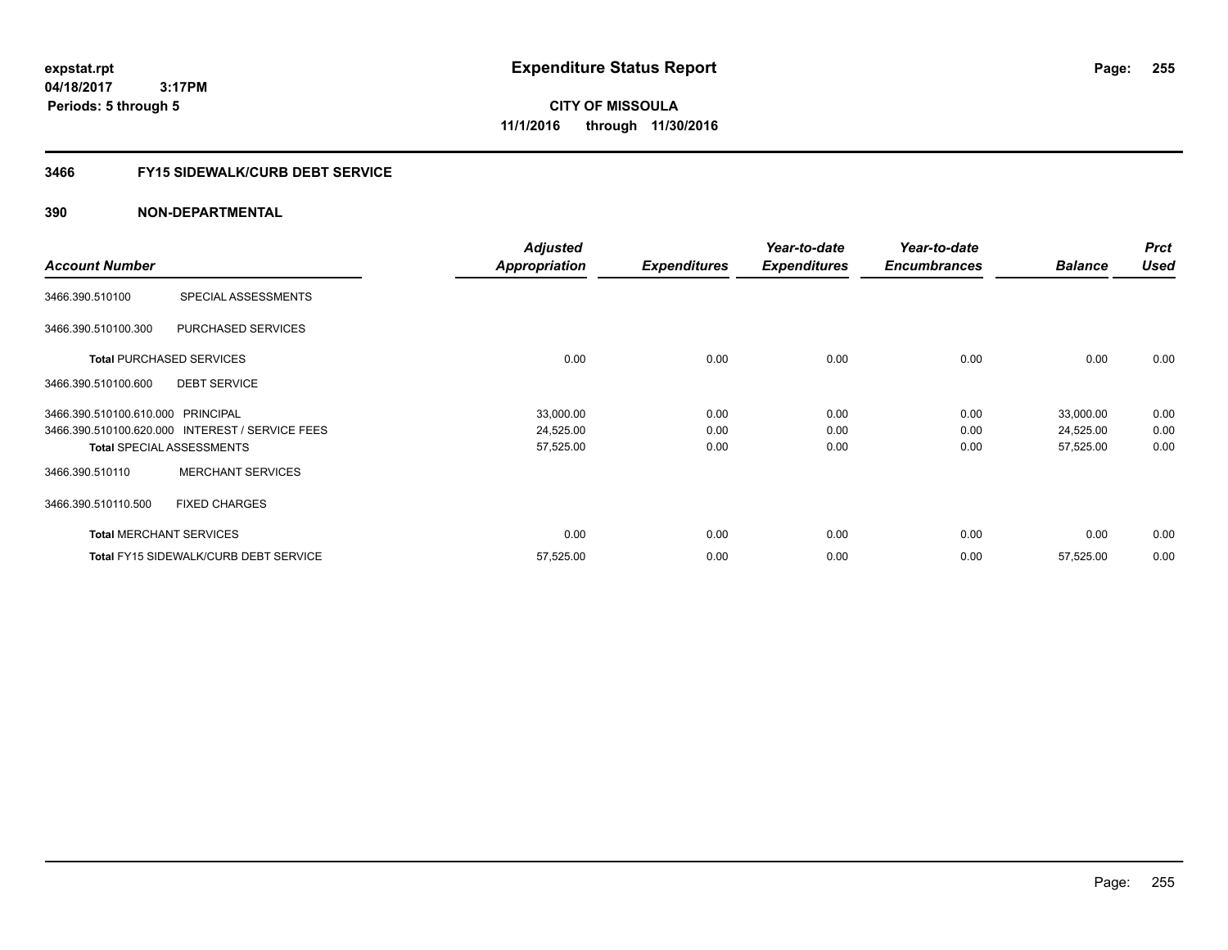**04/18/2017 3:17PM Periods: 5 through 5**

# **CITY OF MISSOULA 11/1/2016 through 11/30/2016**

# **3466 FY15 SIDEWALK/CURB DEBT SERVICE**

|                                   |                                                 | <b>Adjusted</b>      |                     | Year-to-date        | Year-to-date        |                | <b>Prct</b> |
|-----------------------------------|-------------------------------------------------|----------------------|---------------------|---------------------|---------------------|----------------|-------------|
| <b>Account Number</b>             |                                                 | <b>Appropriation</b> | <b>Expenditures</b> | <b>Expenditures</b> | <b>Encumbrances</b> | <b>Balance</b> | <b>Used</b> |
| 3466.390.510100                   | SPECIAL ASSESSMENTS                             |                      |                     |                     |                     |                |             |
| 3466.390.510100.300               | PURCHASED SERVICES                              |                      |                     |                     |                     |                |             |
|                                   | <b>Total PURCHASED SERVICES</b>                 | 0.00                 | 0.00                | 0.00                | 0.00                | 0.00           | 0.00        |
| 3466.390.510100.600               | <b>DEBT SERVICE</b>                             |                      |                     |                     |                     |                |             |
| 3466.390.510100.610.000 PRINCIPAL |                                                 | 33,000.00            | 0.00                | 0.00                | 0.00                | 33,000.00      | 0.00        |
|                                   | 3466.390.510100.620.000 INTEREST / SERVICE FEES | 24,525.00            | 0.00                | 0.00                | 0.00                | 24,525.00      | 0.00        |
|                                   | <b>Total SPECIAL ASSESSMENTS</b>                | 57,525.00            | 0.00                | 0.00                | 0.00                | 57,525.00      | 0.00        |
| 3466.390.510110                   | <b>MERCHANT SERVICES</b>                        |                      |                     |                     |                     |                |             |
| 3466.390.510110.500               | <b>FIXED CHARGES</b>                            |                      |                     |                     |                     |                |             |
|                                   | <b>Total MERCHANT SERVICES</b>                  | 0.00                 | 0.00                | 0.00                | 0.00                | 0.00           | 0.00        |
|                                   | <b>Total FY15 SIDEWALK/CURB DEBT SERVICE</b>    | 57,525.00            | 0.00                | 0.00                | 0.00                | 57,525.00      | 0.00        |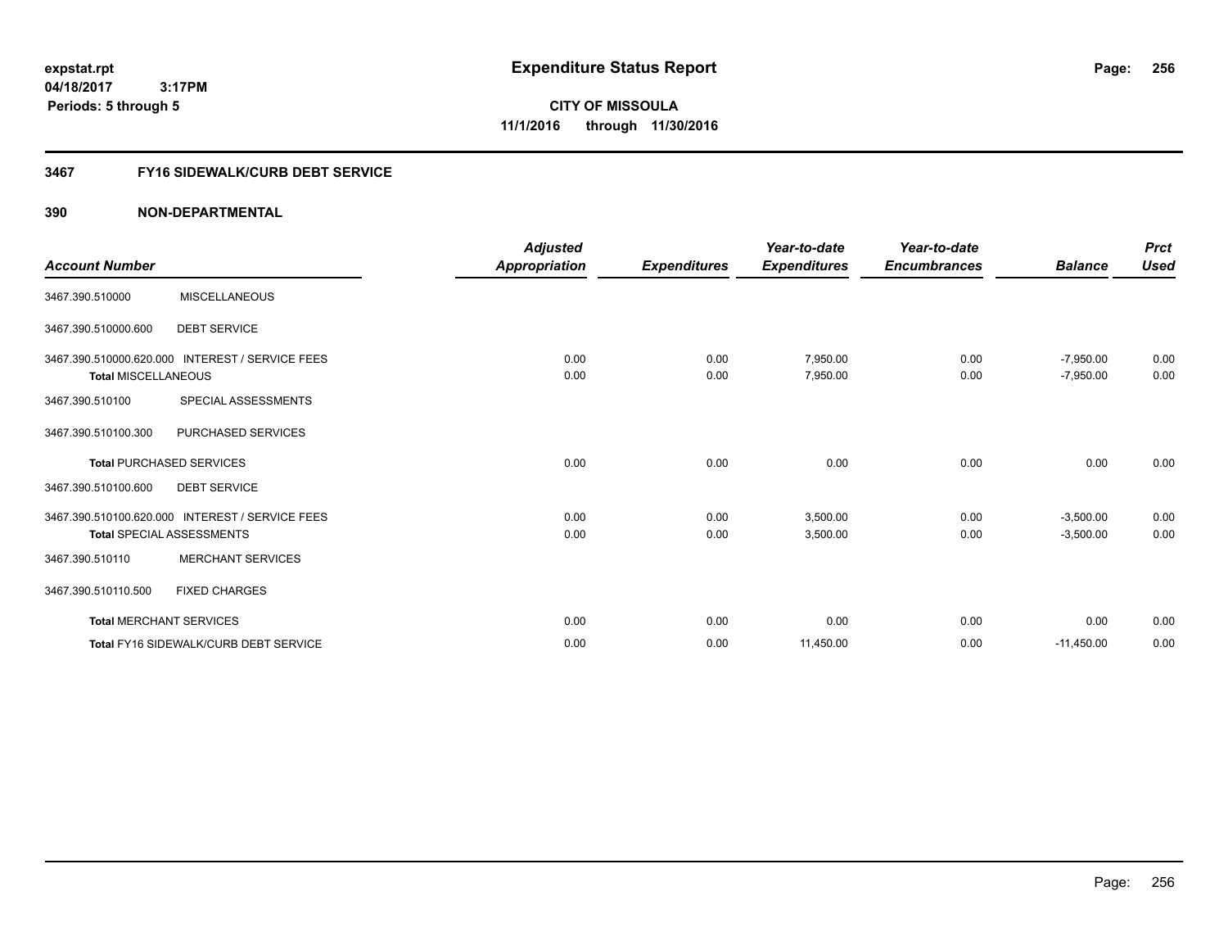**256**

**04/18/2017 3:17PM Periods: 5 through 5**

**CITY OF MISSOULA 11/1/2016 through 11/30/2016**

#### **3467 FY16 SIDEWALK/CURB DEBT SERVICE**

|                                |                                                 | <b>Adjusted</b>      |                     | Year-to-date         | Year-to-date        |                            | <b>Prct</b>  |
|--------------------------------|-------------------------------------------------|----------------------|---------------------|----------------------|---------------------|----------------------------|--------------|
| <b>Account Number</b>          |                                                 | <b>Appropriation</b> | <b>Expenditures</b> | <b>Expenditures</b>  | <b>Encumbrances</b> | <b>Balance</b>             | <b>Used</b>  |
| 3467.390.510000                | <b>MISCELLANEOUS</b>                            |                      |                     |                      |                     |                            |              |
| 3467.390.510000.600            | <b>DEBT SERVICE</b>                             |                      |                     |                      |                     |                            |              |
| <b>Total MISCELLANEOUS</b>     | 3467.390.510000.620.000 INTEREST / SERVICE FEES | 0.00<br>0.00         | 0.00<br>0.00        | 7,950.00<br>7,950.00 | 0.00<br>0.00        | $-7,950.00$<br>$-7,950.00$ | 0.00<br>0.00 |
| 3467.390.510100                | SPECIAL ASSESSMENTS                             |                      |                     |                      |                     |                            |              |
| 3467.390.510100.300            | PURCHASED SERVICES                              |                      |                     |                      |                     |                            |              |
|                                | <b>Total PURCHASED SERVICES</b>                 | 0.00                 | 0.00                | 0.00                 | 0.00                | 0.00                       | 0.00         |
| 3467.390.510100.600            | <b>DEBT SERVICE</b>                             |                      |                     |                      |                     |                            |              |
|                                | 3467.390.510100.620.000 INTEREST / SERVICE FEES | 0.00                 | 0.00                | 3.500.00             | 0.00                | $-3,500.00$                | 0.00         |
|                                | <b>Total SPECIAL ASSESSMENTS</b>                | 0.00                 | 0.00                | 3,500.00             | 0.00                | $-3,500.00$                | 0.00         |
| 3467.390.510110                | <b>MERCHANT SERVICES</b>                        |                      |                     |                      |                     |                            |              |
| 3467.390.510110.500            | <b>FIXED CHARGES</b>                            |                      |                     |                      |                     |                            |              |
| <b>Total MERCHANT SERVICES</b> |                                                 | 0.00                 | 0.00                | 0.00                 | 0.00                | 0.00                       | 0.00         |
|                                | Total FY16 SIDEWALK/CURB DEBT SERVICE           | 0.00                 | 0.00                | 11,450.00            | 0.00                | $-11,450.00$               | 0.00         |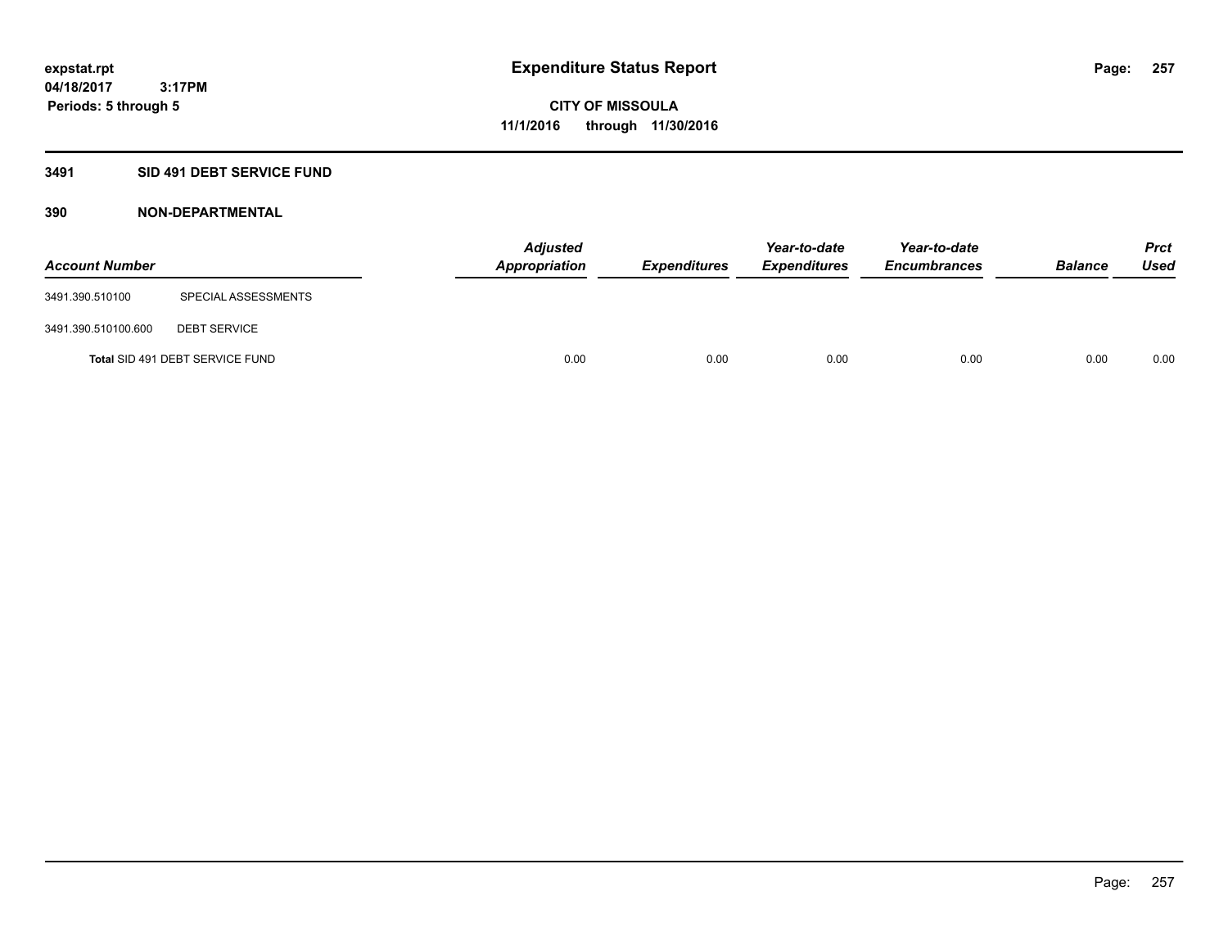# **3491 SID 491 DEBT SERVICE FUND**

| <b>Account Number</b> |                                 | <b>Adjusted</b><br><b>Appropriation</b> | <b>Expenditures</b> | Year-to-date<br><b>Expenditures</b> | Year-to-date<br><b>Encumbrances</b> | <b>Balance</b> | <b>Prct</b><br><b>Used</b> |
|-----------------------|---------------------------------|-----------------------------------------|---------------------|-------------------------------------|-------------------------------------|----------------|----------------------------|
| 3491.390.510100       | SPECIAL ASSESSMENTS             |                                         |                     |                                     |                                     |                |                            |
| 3491.390.510100.600   | <b>DEBT SERVICE</b>             |                                         |                     |                                     |                                     |                |                            |
|                       | Total SID 491 DEBT SERVICE FUND | 0.00                                    | 0.00                | 0.00                                | 0.00                                | 0.00           | 0.00                       |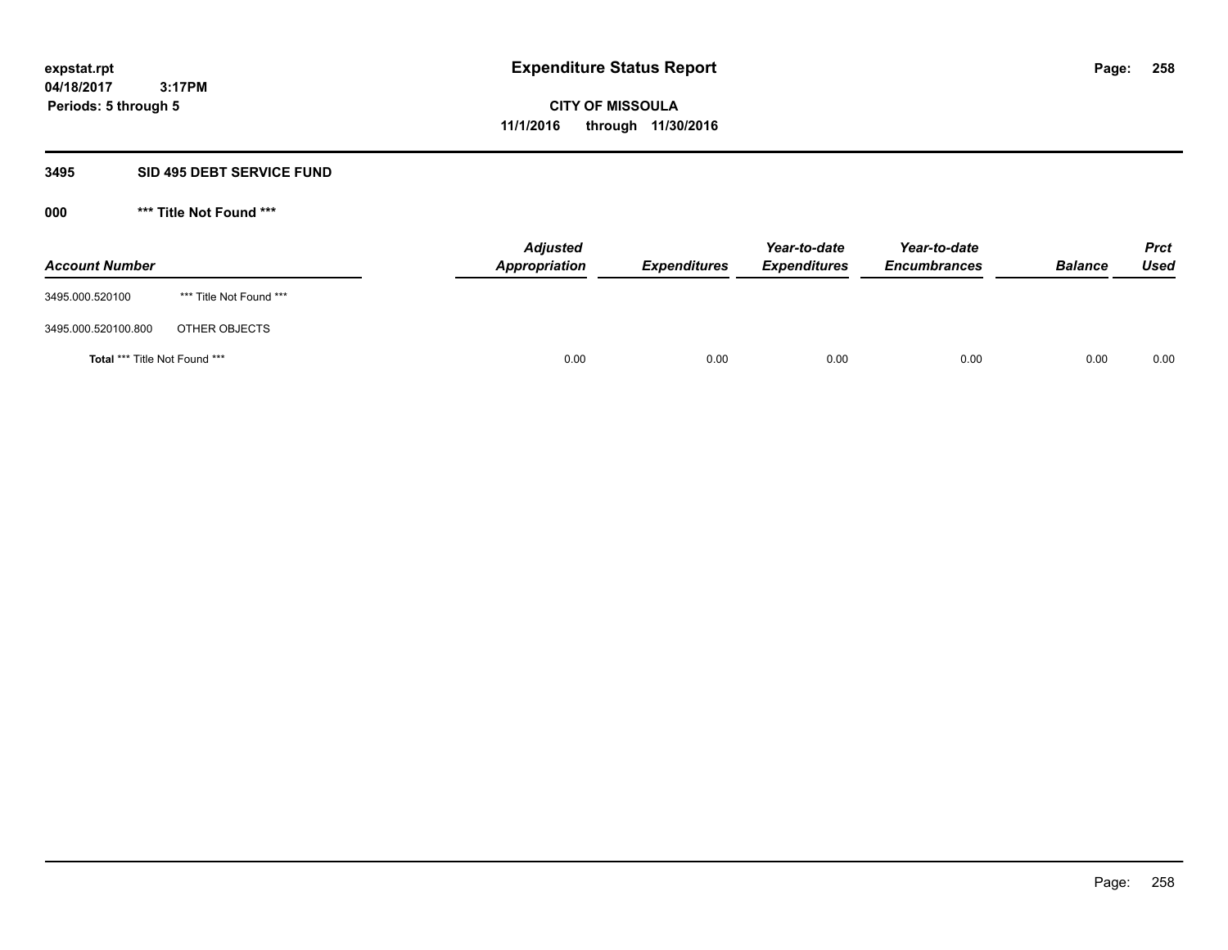#### **3495 SID 495 DEBT SERVICE FUND**

| <b>Account Number</b>         |                         | <b>Adjusted</b><br>Appropriation | <b>Expenditures</b> | Year-to-date<br><b>Expenditures</b> | Year-to-date<br><b>Encumbrances</b> | <b>Balance</b> | <b>Prct</b><br>Used |
|-------------------------------|-------------------------|----------------------------------|---------------------|-------------------------------------|-------------------------------------|----------------|---------------------|
| 3495.000.520100               | *** Title Not Found *** |                                  |                     |                                     |                                     |                |                     |
| 3495.000.520100.800           | OTHER OBJECTS           |                                  |                     |                                     |                                     |                |                     |
| Total *** Title Not Found *** |                         | 0.00                             | 0.00                | 0.00                                | 0.00                                | 0.00           | 0.00                |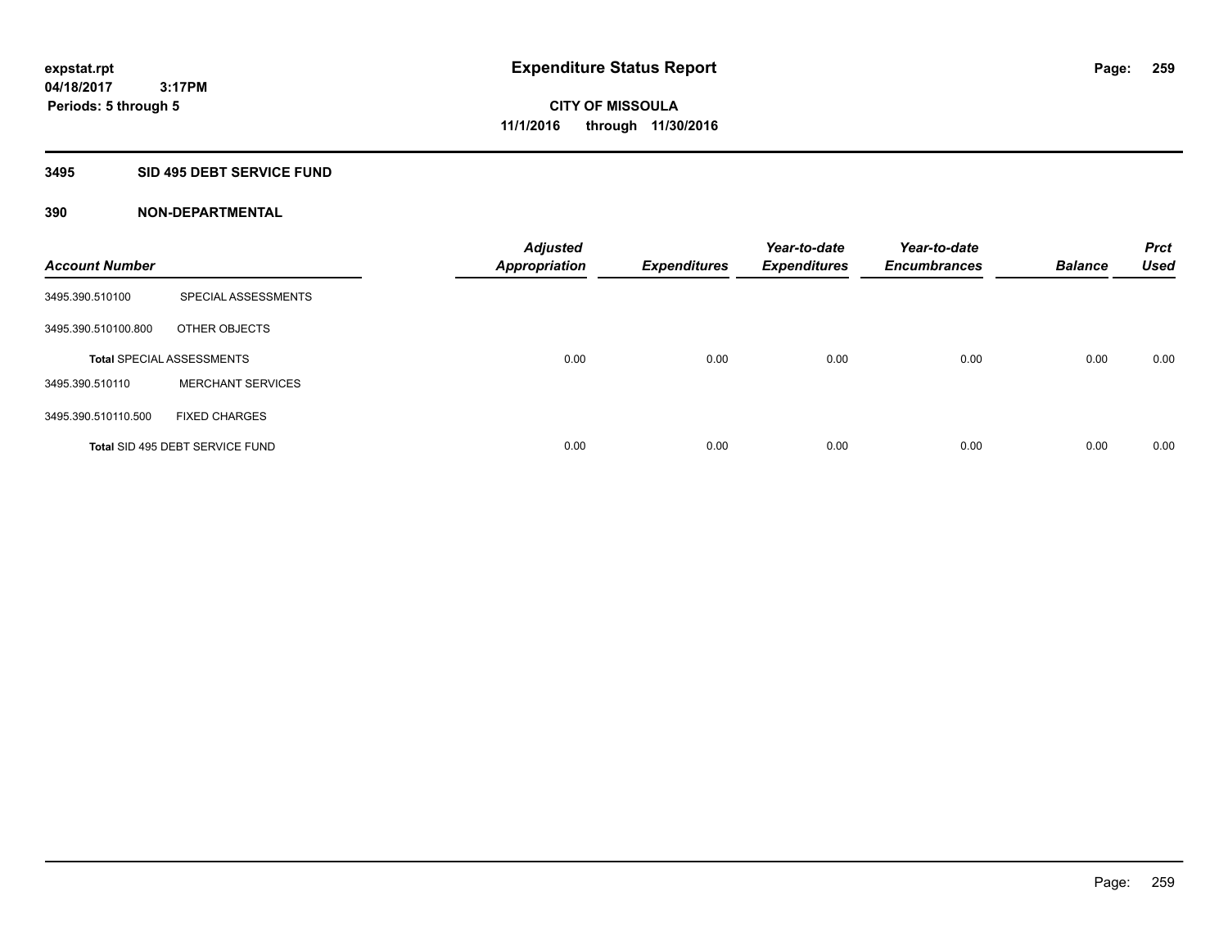# **3495 SID 495 DEBT SERVICE FUND**

| <b>Account Number</b> |                                  | <b>Adjusted</b><br><b>Appropriation</b> | <b>Expenditures</b> | Year-to-date<br><b>Expenditures</b> | Year-to-date<br><b>Encumbrances</b> | <b>Balance</b> | <b>Prct</b><br><b>Used</b> |
|-----------------------|----------------------------------|-----------------------------------------|---------------------|-------------------------------------|-------------------------------------|----------------|----------------------------|
| 3495.390.510100       | SPECIAL ASSESSMENTS              |                                         |                     |                                     |                                     |                |                            |
| 3495.390.510100.800   | OTHER OBJECTS                    |                                         |                     |                                     |                                     |                |                            |
|                       | <b>Total SPECIAL ASSESSMENTS</b> | 0.00                                    | 0.00                | 0.00                                | 0.00                                | 0.00           | 0.00                       |
| 3495.390.510110       | <b>MERCHANT SERVICES</b>         |                                         |                     |                                     |                                     |                |                            |
| 3495.390.510110.500   | <b>FIXED CHARGES</b>             |                                         |                     |                                     |                                     |                |                            |
|                       | Total SID 495 DEBT SERVICE FUND  | 0.00                                    | 0.00                | 0.00                                | 0.00                                | 0.00           | 0.00                       |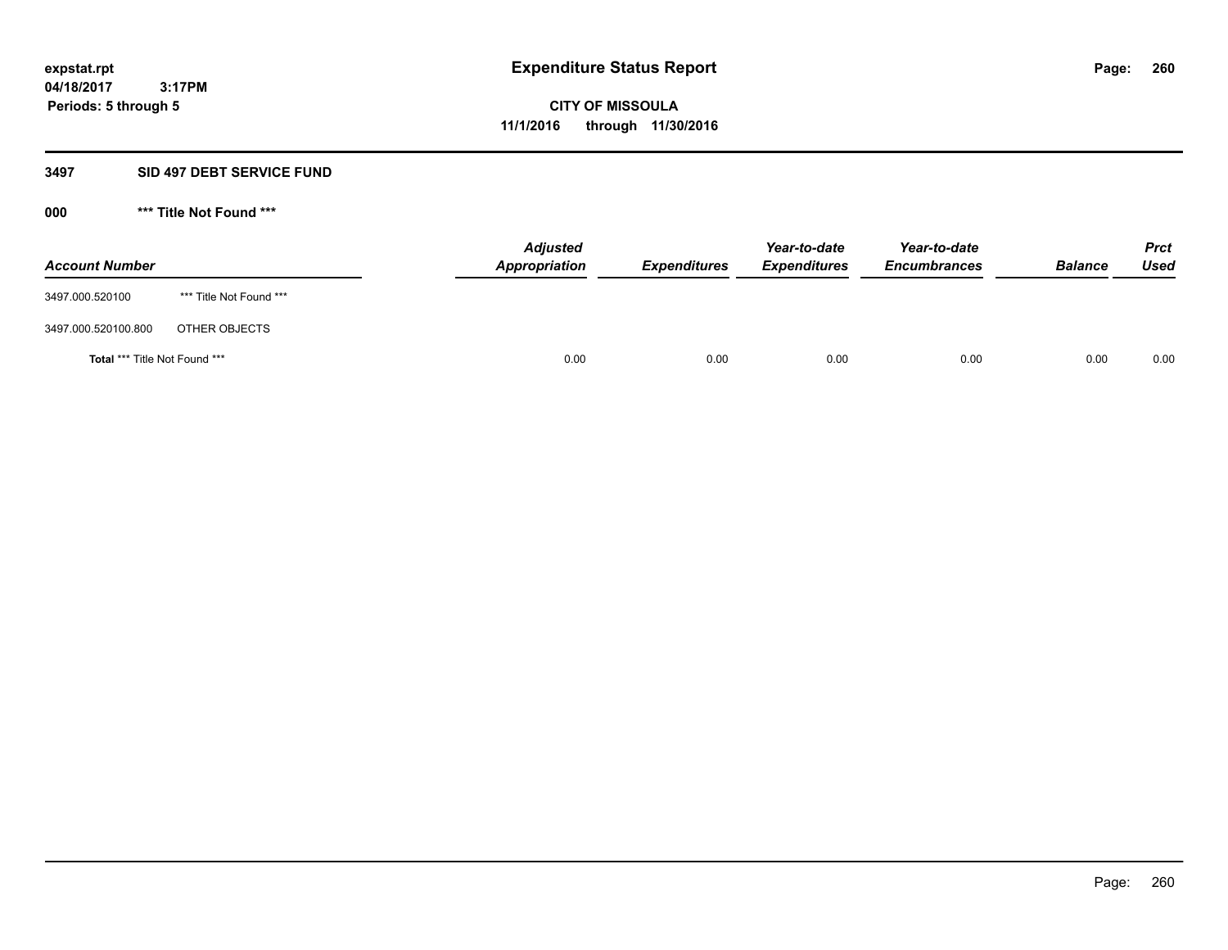#### **3497 SID 497 DEBT SERVICE FUND**

| <b>Account Number</b>                |                         | <b>Adjusted</b><br>Appropriation | <b>Expenditures</b> | Year-to-date<br><b>Expenditures</b> | Year-to-date<br><b>Encumbrances</b> | <b>Balance</b> | <b>Prct</b><br><b>Used</b> |
|--------------------------------------|-------------------------|----------------------------------|---------------------|-------------------------------------|-------------------------------------|----------------|----------------------------|
| 3497.000.520100                      | *** Title Not Found *** |                                  |                     |                                     |                                     |                |                            |
| 3497.000.520100.800                  | OTHER OBJECTS           |                                  |                     |                                     |                                     |                |                            |
| <b>Total *** Title Not Found ***</b> |                         | 0.00                             | 0.00                | 0.00                                | 0.00                                | 0.00           | 0.00                       |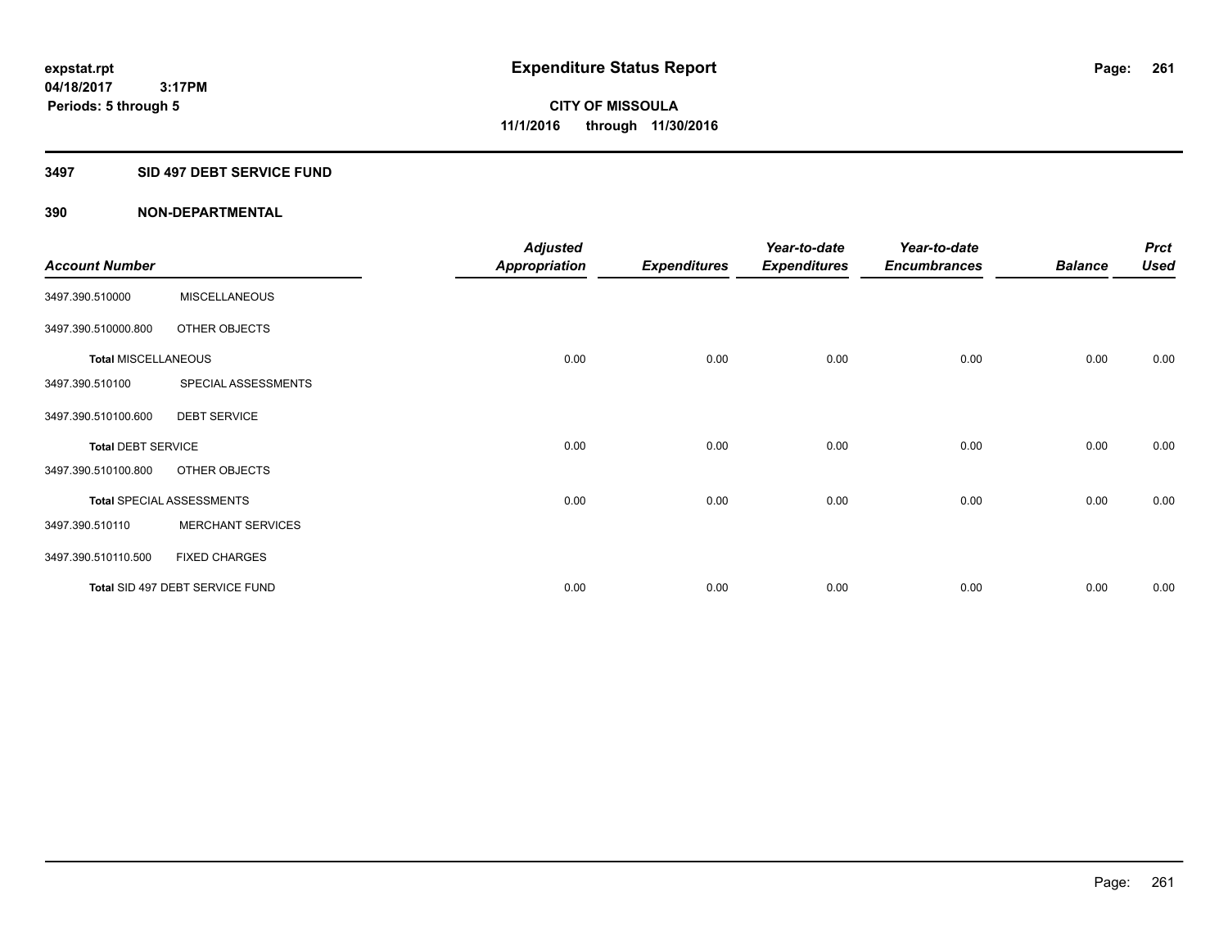#### **3497 SID 497 DEBT SERVICE FUND**

|                            |                                  | <b>Adjusted</b>      |                     | Year-to-date        | Year-to-date        |                | <b>Prct</b> |
|----------------------------|----------------------------------|----------------------|---------------------|---------------------|---------------------|----------------|-------------|
| <b>Account Number</b>      |                                  | <b>Appropriation</b> | <b>Expenditures</b> | <b>Expenditures</b> | <b>Encumbrances</b> | <b>Balance</b> | <b>Used</b> |
| 3497.390.510000            | <b>MISCELLANEOUS</b>             |                      |                     |                     |                     |                |             |
| 3497.390.510000.800        | OTHER OBJECTS                    |                      |                     |                     |                     |                |             |
| <b>Total MISCELLANEOUS</b> |                                  | 0.00                 | 0.00                | 0.00                | 0.00                | 0.00           | 0.00        |
| 3497.390.510100            | SPECIAL ASSESSMENTS              |                      |                     |                     |                     |                |             |
| 3497.390.510100.600        | <b>DEBT SERVICE</b>              |                      |                     |                     |                     |                |             |
| <b>Total DEBT SERVICE</b>  |                                  | 0.00                 | 0.00                | 0.00                | 0.00                | 0.00           | 0.00        |
| 3497.390.510100.800        | OTHER OBJECTS                    |                      |                     |                     |                     |                |             |
|                            | <b>Total SPECIAL ASSESSMENTS</b> | 0.00                 | 0.00                | 0.00                | 0.00                | 0.00           | 0.00        |
| 3497.390.510110            | <b>MERCHANT SERVICES</b>         |                      |                     |                     |                     |                |             |
| 3497.390.510110.500        | <b>FIXED CHARGES</b>             |                      |                     |                     |                     |                |             |
|                            | Total SID 497 DEBT SERVICE FUND  | 0.00                 | 0.00                | 0.00                | 0.00                | 0.00           | 0.00        |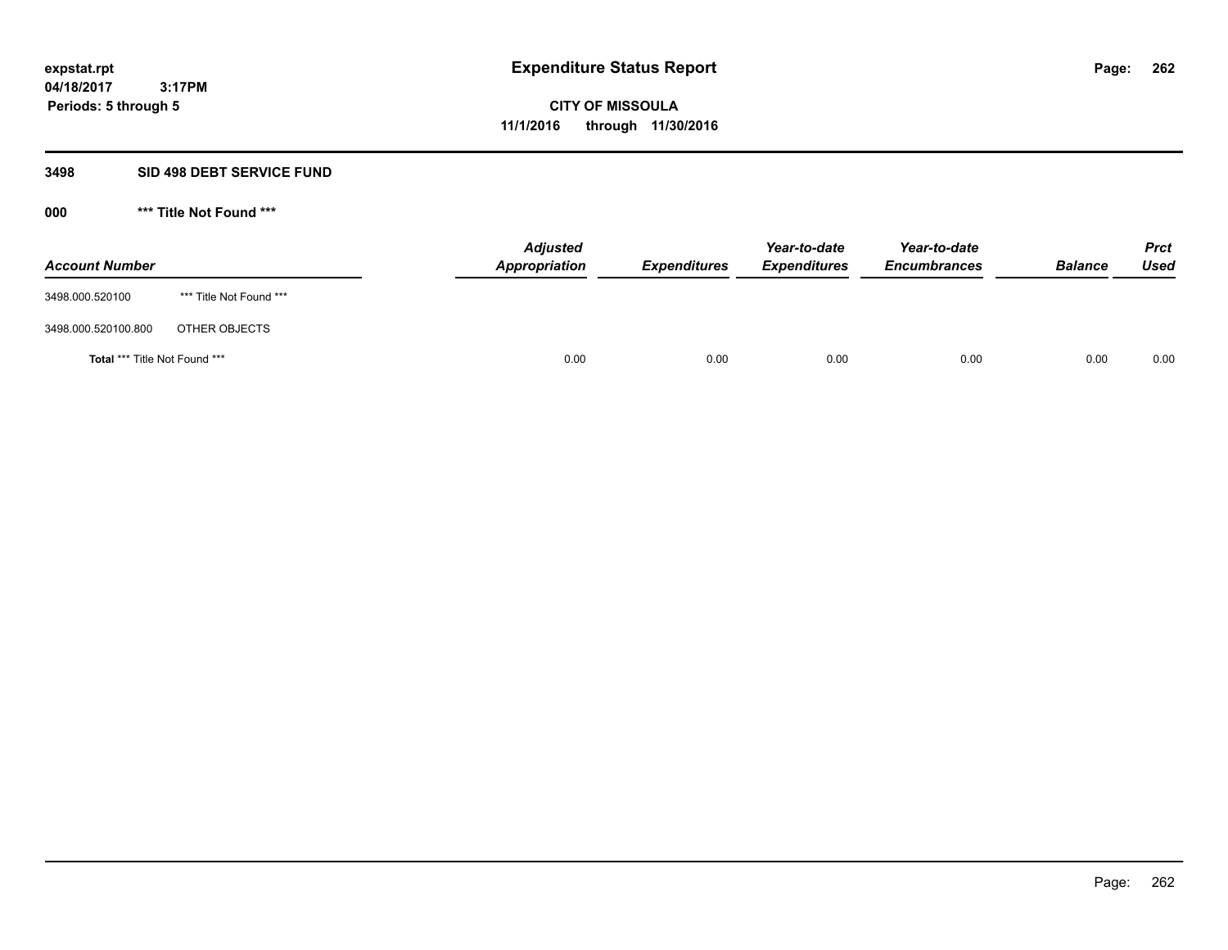#### **3498 SID 498 DEBT SERVICE FUND**

| <b>Account Number</b>                |                         | <b>Adjusted</b><br><b>Appropriation</b> | <b>Expenditures</b> | Year-to-date<br><b>Expenditures</b> | Year-to-date<br><b>Encumbrances</b> | <b>Balance</b> | <b>Prct</b><br><b>Used</b> |
|--------------------------------------|-------------------------|-----------------------------------------|---------------------|-------------------------------------|-------------------------------------|----------------|----------------------------|
| 3498.000.520100                      | *** Title Not Found *** |                                         |                     |                                     |                                     |                |                            |
| 3498.000.520100.800                  | OTHER OBJECTS           |                                         |                     |                                     |                                     |                |                            |
| <b>Total *** Title Not Found ***</b> |                         | 0.00                                    | 0.00                | 0.00                                | 0.00                                | 0.00           | 0.00                       |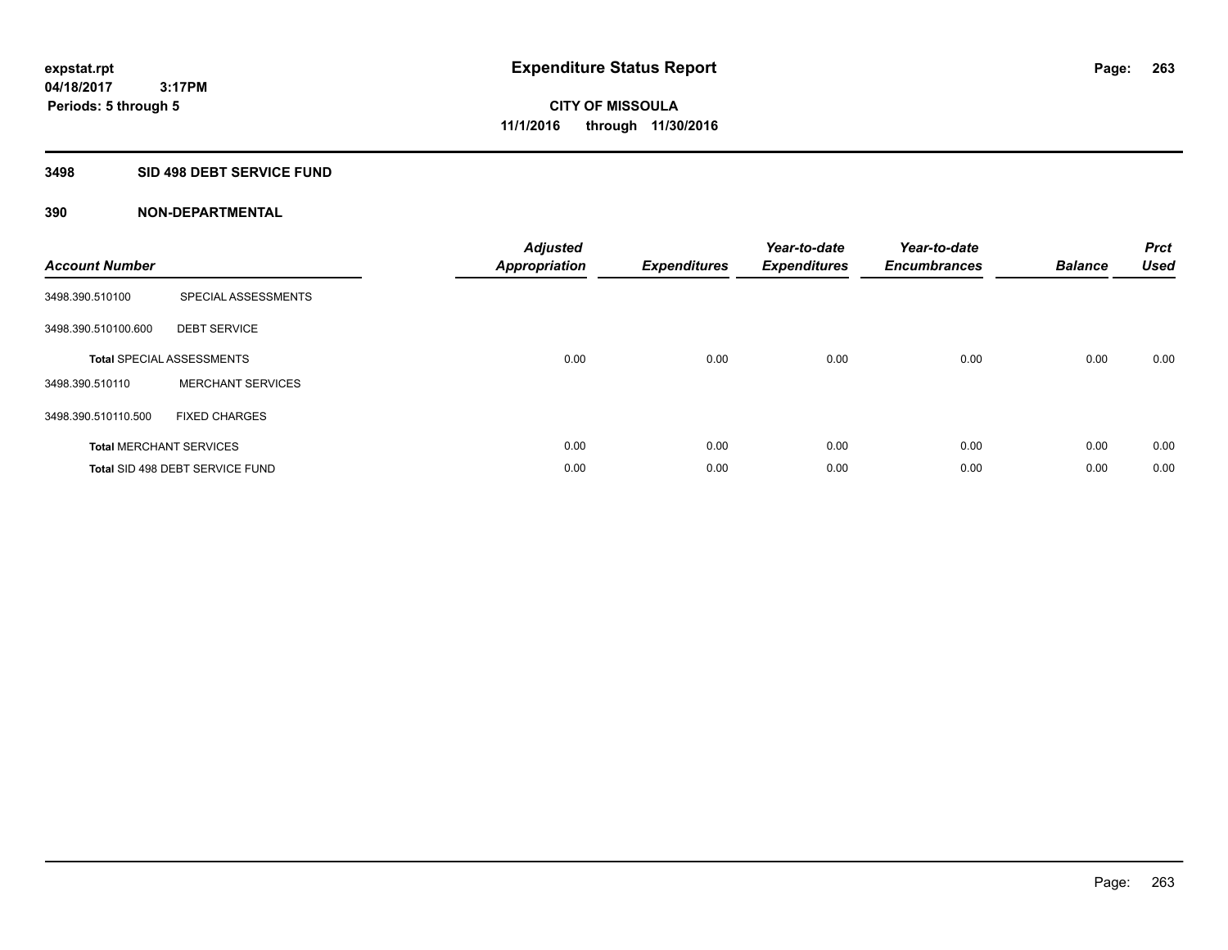#### **3498 SID 498 DEBT SERVICE FUND**

| <b>Account Number</b> |                                  | <b>Adjusted</b><br>Appropriation | <b>Expenditures</b> | Year-to-date<br><b>Expenditures</b> | Year-to-date<br><b>Encumbrances</b> | <b>Balance</b> | <b>Prct</b><br><b>Used</b> |
|-----------------------|----------------------------------|----------------------------------|---------------------|-------------------------------------|-------------------------------------|----------------|----------------------------|
| 3498.390.510100       | SPECIAL ASSESSMENTS              |                                  |                     |                                     |                                     |                |                            |
| 3498.390.510100.600   | <b>DEBT SERVICE</b>              |                                  |                     |                                     |                                     |                |                            |
|                       | <b>Total SPECIAL ASSESSMENTS</b> | 0.00                             | 0.00                | 0.00                                | 0.00                                | 0.00           | 0.00                       |
| 3498.390.510110       | <b>MERCHANT SERVICES</b>         |                                  |                     |                                     |                                     |                |                            |
| 3498.390.510110.500   | <b>FIXED CHARGES</b>             |                                  |                     |                                     |                                     |                |                            |
|                       | <b>Total MERCHANT SERVICES</b>   | 0.00                             | 0.00                | 0.00                                | 0.00                                | 0.00           | 0.00                       |
|                       | Total SID 498 DEBT SERVICE FUND  | 0.00                             | 0.00                | 0.00                                | 0.00                                | 0.00           | 0.00                       |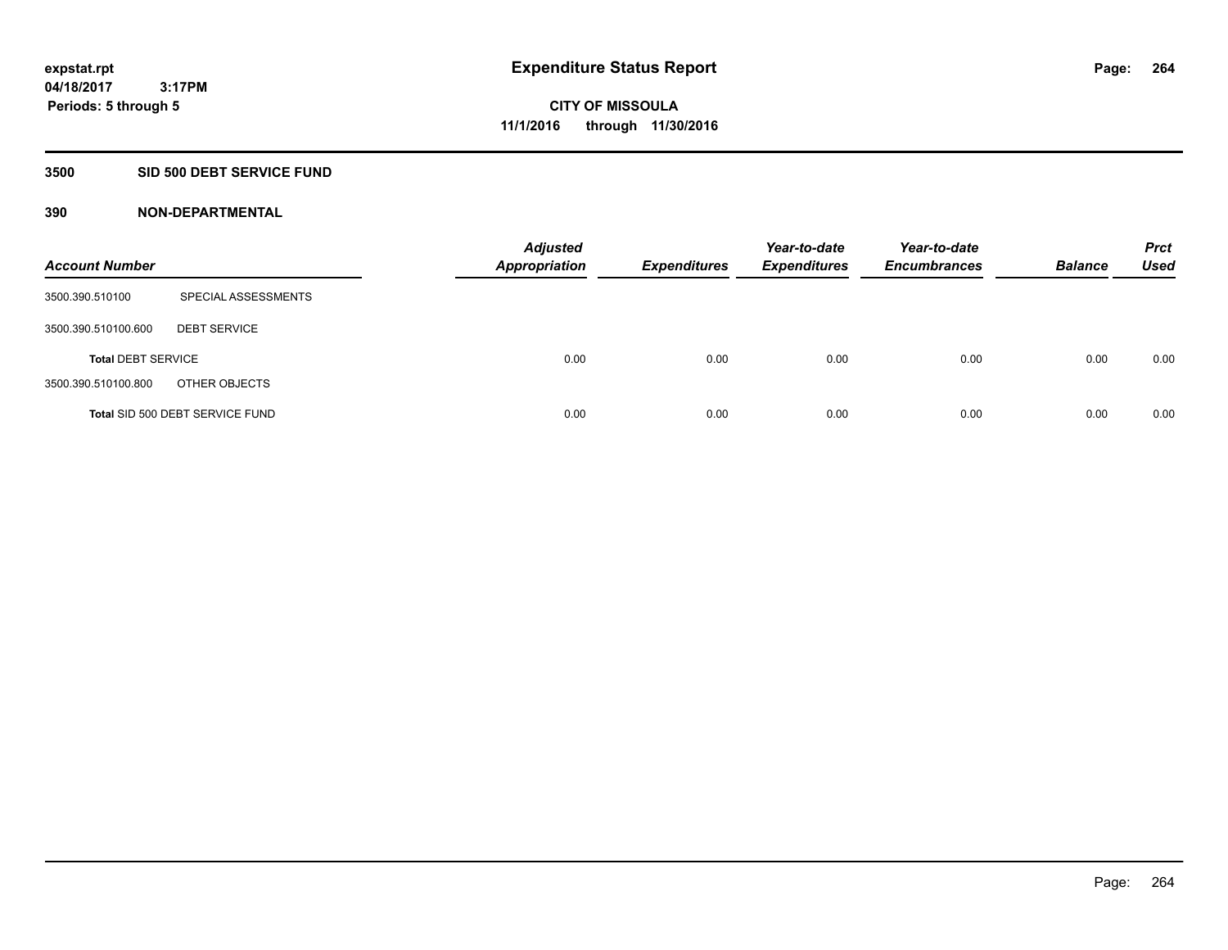#### **3500 SID 500 DEBT SERVICE FUND**

| <b>Account Number</b>     |                                 | <b>Adjusted</b><br><b>Appropriation</b> | <b>Expenditures</b> | Year-to-date<br><b>Expenditures</b> | Year-to-date<br><b>Encumbrances</b> | <b>Balance</b> | <b>Prct</b><br><b>Used</b> |
|---------------------------|---------------------------------|-----------------------------------------|---------------------|-------------------------------------|-------------------------------------|----------------|----------------------------|
| 3500.390.510100           | SPECIAL ASSESSMENTS             |                                         |                     |                                     |                                     |                |                            |
| 3500.390.510100.600       | <b>DEBT SERVICE</b>             |                                         |                     |                                     |                                     |                |                            |
| <b>Total DEBT SERVICE</b> |                                 | 0.00                                    | 0.00                | 0.00                                | 0.00                                | 0.00           | 0.00                       |
| 3500.390.510100.800       | OTHER OBJECTS                   |                                         |                     |                                     |                                     |                |                            |
|                           | Total SID 500 DEBT SERVICE FUND | 0.00                                    | 0.00                | 0.00                                | 0.00                                | 0.00           | 0.00                       |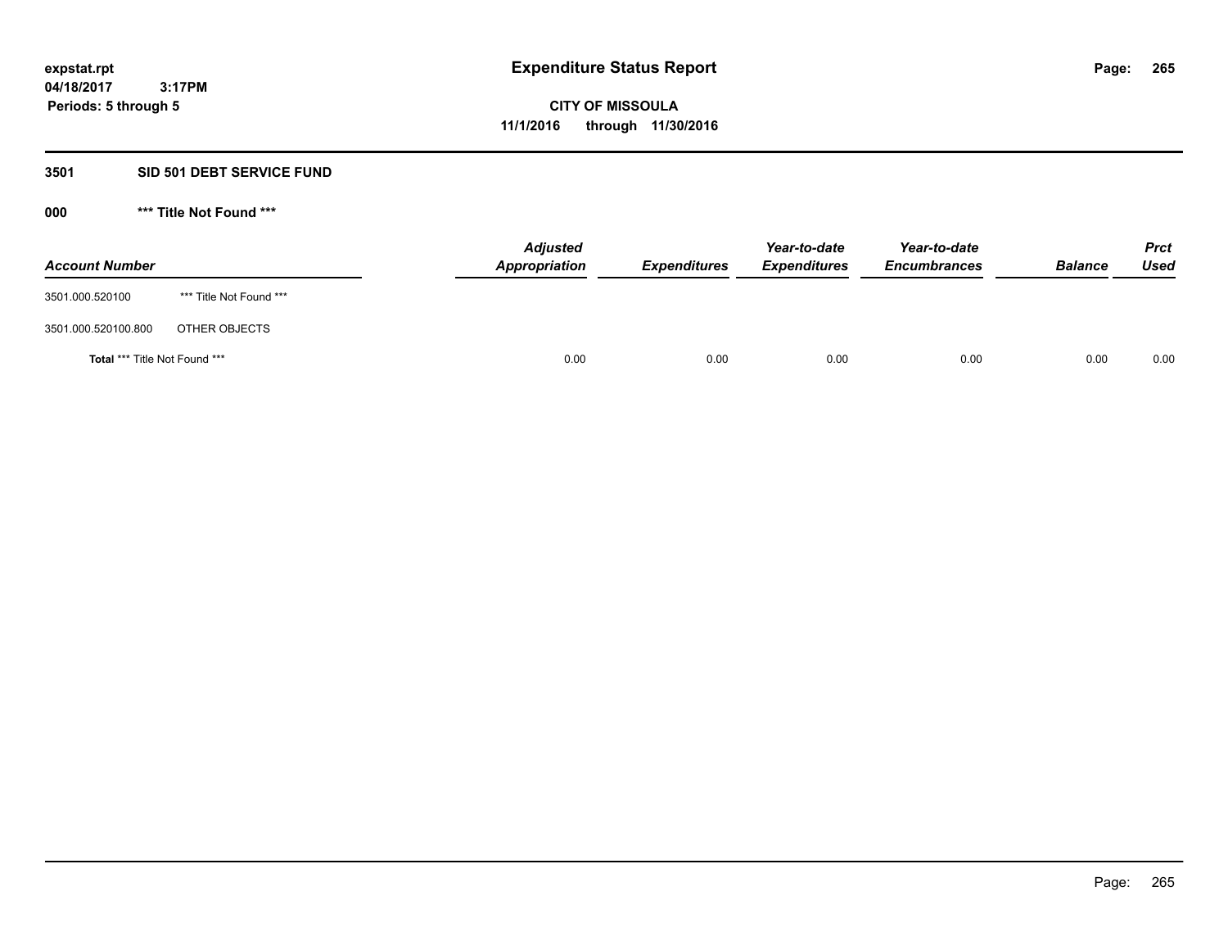#### **3501 SID 501 DEBT SERVICE FUND**

| <b>Account Number</b>                |                         | <b>Adjusted</b><br><b>Appropriation</b> | <b>Expenditures</b> | Year-to-date<br><b>Expenditures</b> | Year-to-date<br><b>Encumbrances</b> | <b>Balance</b> | <b>Prct</b><br><b>Used</b> |
|--------------------------------------|-------------------------|-----------------------------------------|---------------------|-------------------------------------|-------------------------------------|----------------|----------------------------|
| 3501.000.520100                      | *** Title Not Found *** |                                         |                     |                                     |                                     |                |                            |
| 3501.000.520100.800                  | OTHER OBJECTS           |                                         |                     |                                     |                                     |                |                            |
| <b>Total *** Title Not Found ***</b> |                         | 0.00                                    | 0.00                | 0.00                                | 0.00                                | 0.00           | 0.00                       |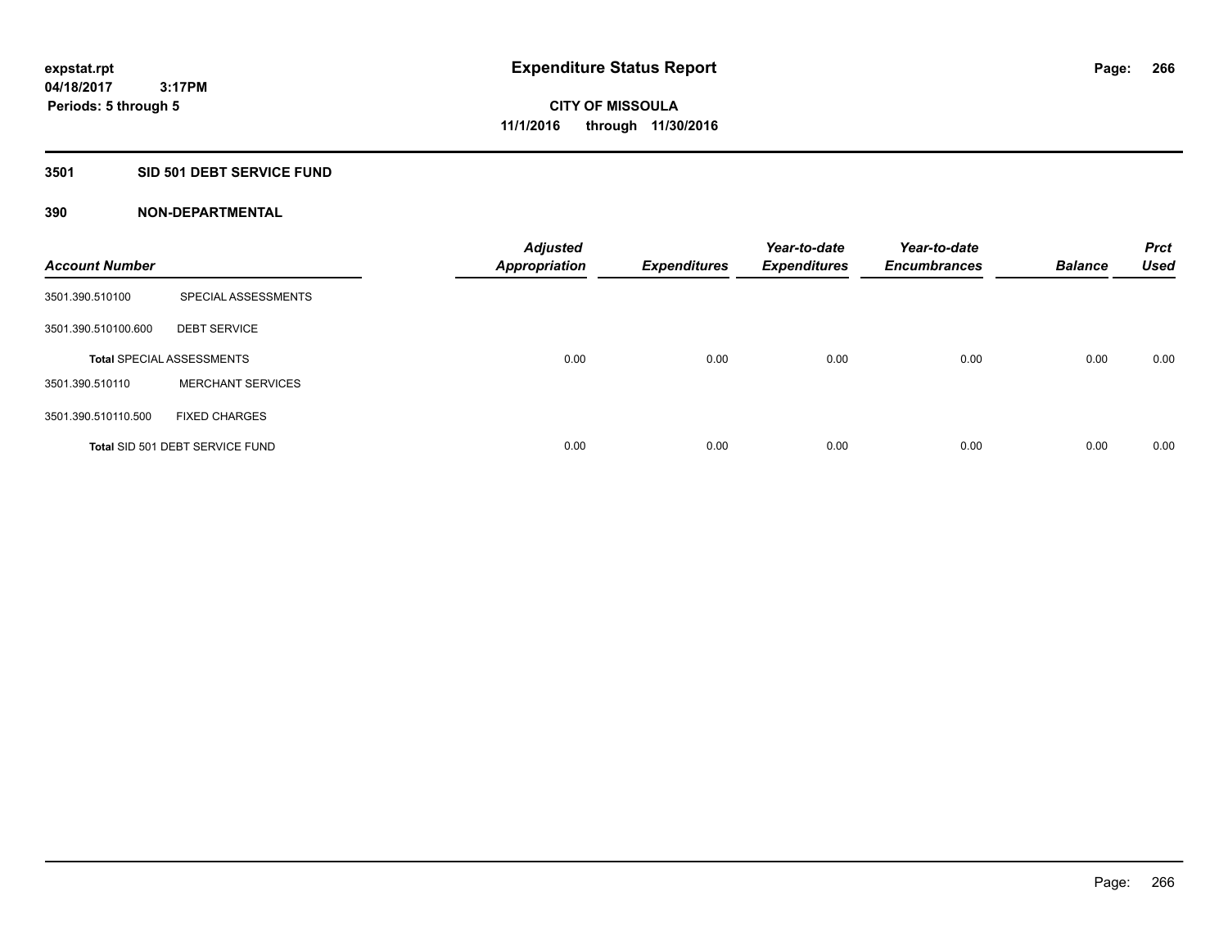# **3501 SID 501 DEBT SERVICE FUND**

| <b>Account Number</b> |                                  | <b>Adjusted</b><br><b>Appropriation</b> | <b>Expenditures</b> | Year-to-date<br><b>Expenditures</b> | Year-to-date<br><b>Encumbrances</b> | <b>Balance</b> | <b>Prct</b><br><b>Used</b> |
|-----------------------|----------------------------------|-----------------------------------------|---------------------|-------------------------------------|-------------------------------------|----------------|----------------------------|
| 3501.390.510100       | SPECIAL ASSESSMENTS              |                                         |                     |                                     |                                     |                |                            |
| 3501.390.510100.600   | <b>DEBT SERVICE</b>              |                                         |                     |                                     |                                     |                |                            |
|                       | <b>Total SPECIAL ASSESSMENTS</b> | 0.00                                    | 0.00                | 0.00                                | 0.00                                | 0.00           | 0.00                       |
| 3501.390.510110       | <b>MERCHANT SERVICES</b>         |                                         |                     |                                     |                                     |                |                            |
| 3501.390.510110.500   | <b>FIXED CHARGES</b>             |                                         |                     |                                     |                                     |                |                            |
|                       | Total SID 501 DEBT SERVICE FUND  | 0.00                                    | 0.00                | 0.00                                | 0.00                                | 0.00           | 0.00                       |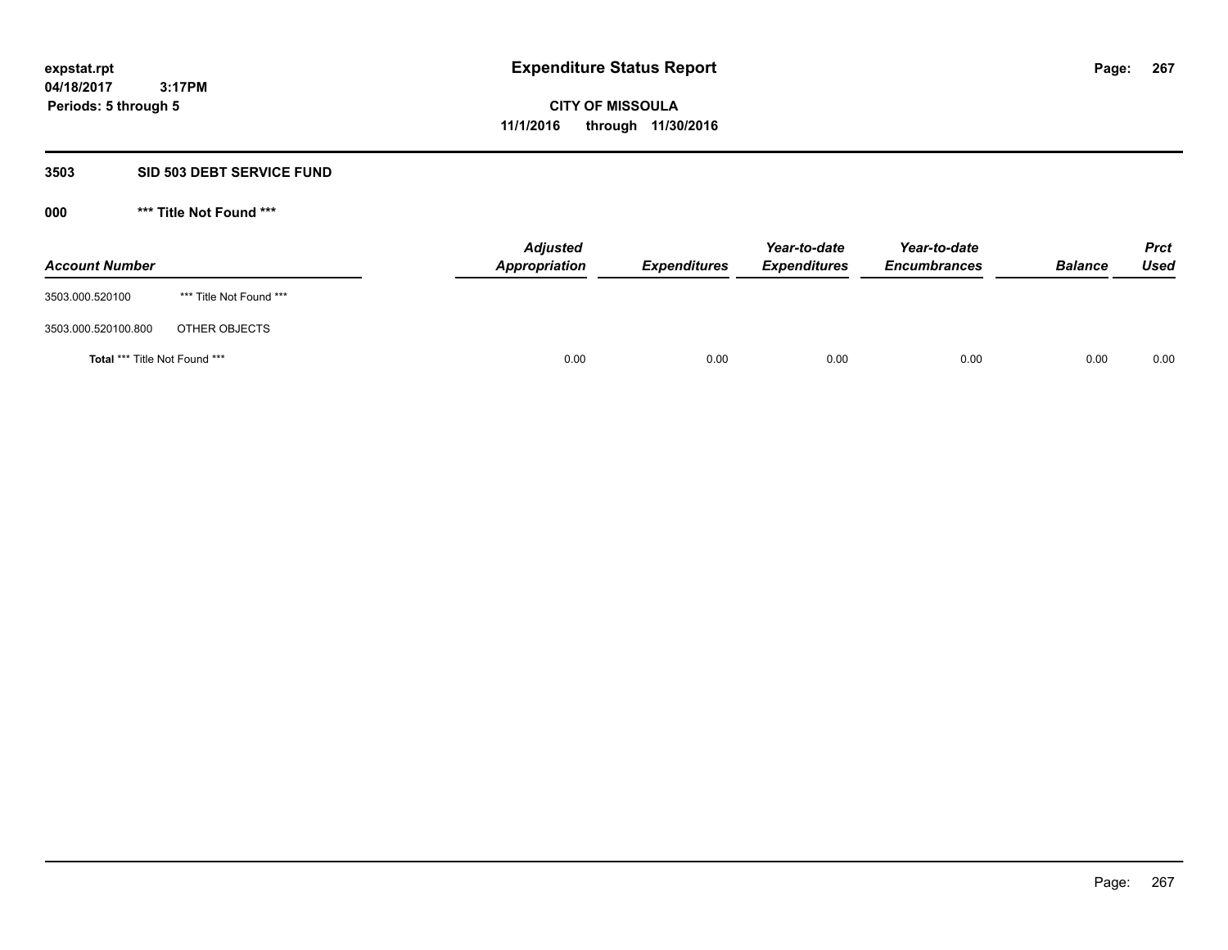#### **3503 SID 503 DEBT SERVICE FUND**

| <b>Account Number</b>                |                         | <b>Adjusted</b><br>Appropriation | <b>Expenditures</b> | Year-to-date<br><b>Expenditures</b> | Year-to-date<br><b>Encumbrances</b> | <b>Balance</b> | <b>Prct</b><br><b>Used</b> |
|--------------------------------------|-------------------------|----------------------------------|---------------------|-------------------------------------|-------------------------------------|----------------|----------------------------|
| 3503.000.520100                      | *** Title Not Found *** |                                  |                     |                                     |                                     |                |                            |
| 3503.000.520100.800                  | OTHER OBJECTS           |                                  |                     |                                     |                                     |                |                            |
| <b>Total *** Title Not Found ***</b> |                         | 0.00                             | 0.00                | 0.00                                | 0.00                                | 0.00           | 0.00                       |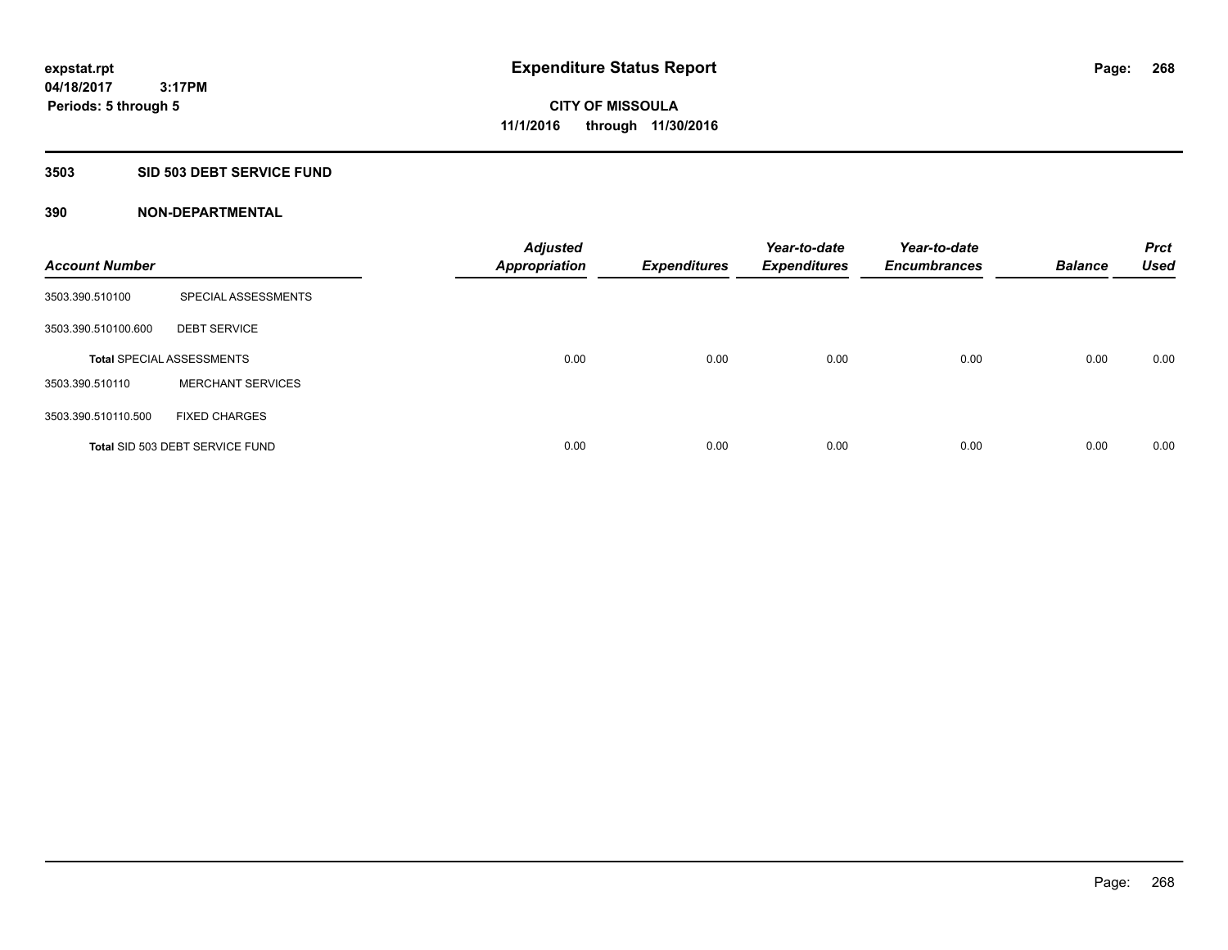#### **3503 SID 503 DEBT SERVICE FUND**

| <b>Account Number</b> |                                  | <b>Adjusted</b><br><b>Appropriation</b> | <b>Expenditures</b> | Year-to-date<br><b>Expenditures</b> | Year-to-date<br><b>Encumbrances</b> | <b>Balance</b> | <b>Prct</b><br><b>Used</b> |
|-----------------------|----------------------------------|-----------------------------------------|---------------------|-------------------------------------|-------------------------------------|----------------|----------------------------|
| 3503.390.510100       | SPECIAL ASSESSMENTS              |                                         |                     |                                     |                                     |                |                            |
| 3503.390.510100.600   | <b>DEBT SERVICE</b>              |                                         |                     |                                     |                                     |                |                            |
|                       | <b>Total SPECIAL ASSESSMENTS</b> | 0.00                                    | 0.00                | 0.00                                | 0.00                                | 0.00           | 0.00                       |
| 3503.390.510110       | <b>MERCHANT SERVICES</b>         |                                         |                     |                                     |                                     |                |                            |
| 3503.390.510110.500   | <b>FIXED CHARGES</b>             |                                         |                     |                                     |                                     |                |                            |
|                       | Total SID 503 DEBT SERVICE FUND  | 0.00                                    | 0.00                | 0.00                                | 0.00                                | 0.00           | 0.00                       |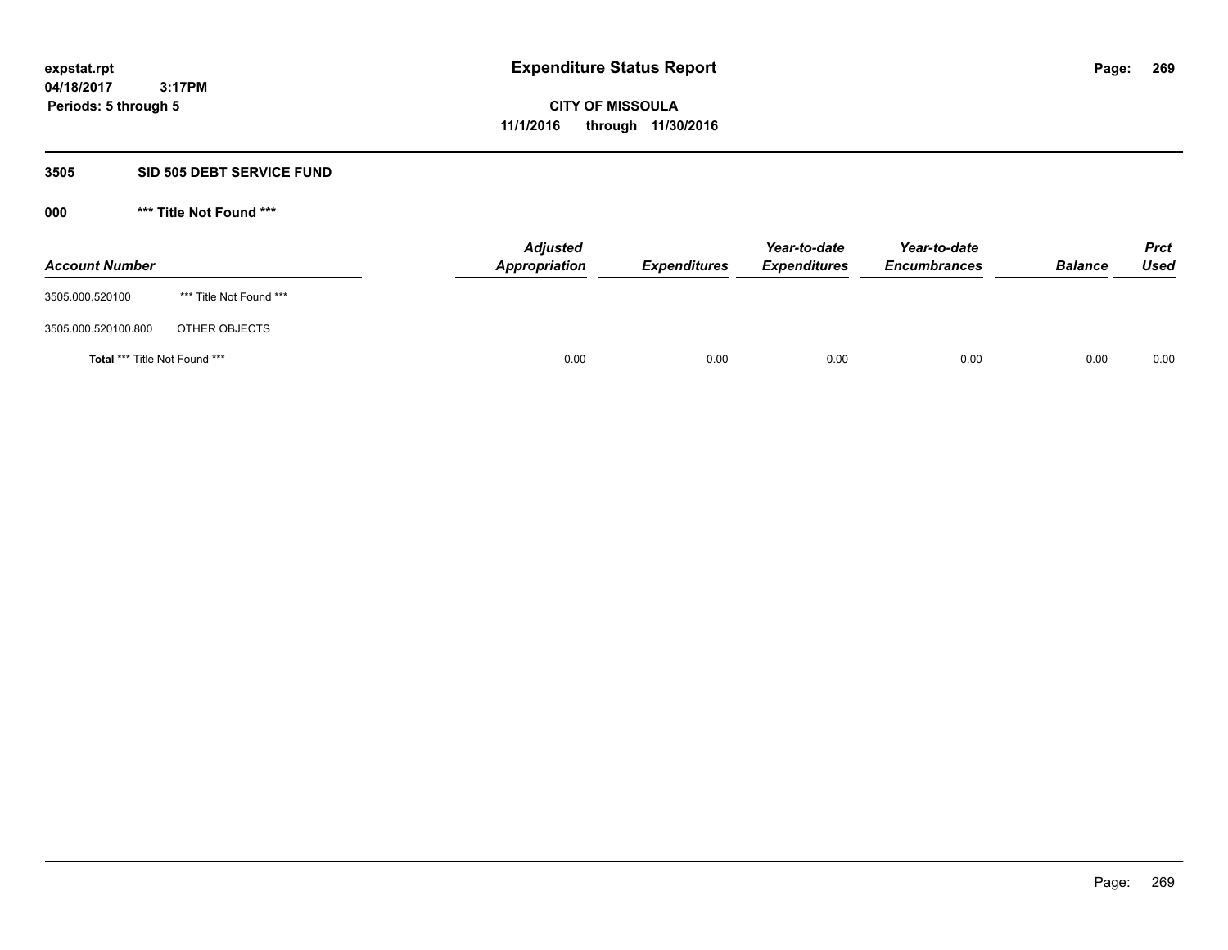#### **3505 SID 505 DEBT SERVICE FUND**

| <b>Account Number</b>         |                         | <b>Adjusted</b><br>Appropriation | <b>Expenditures</b> | Year-to-date<br><b>Expenditures</b> | Year-to-date<br><b>Encumbrances</b> | <b>Balance</b> | <b>Prct</b><br>Used |
|-------------------------------|-------------------------|----------------------------------|---------------------|-------------------------------------|-------------------------------------|----------------|---------------------|
| 3505.000.520100               | *** Title Not Found *** |                                  |                     |                                     |                                     |                |                     |
| 3505.000.520100.800           | OTHER OBJECTS           |                                  |                     |                                     |                                     |                |                     |
| Total *** Title Not Found *** |                         | 0.00                             | 0.00                | 0.00                                | 0.00                                | 0.00           | 0.00                |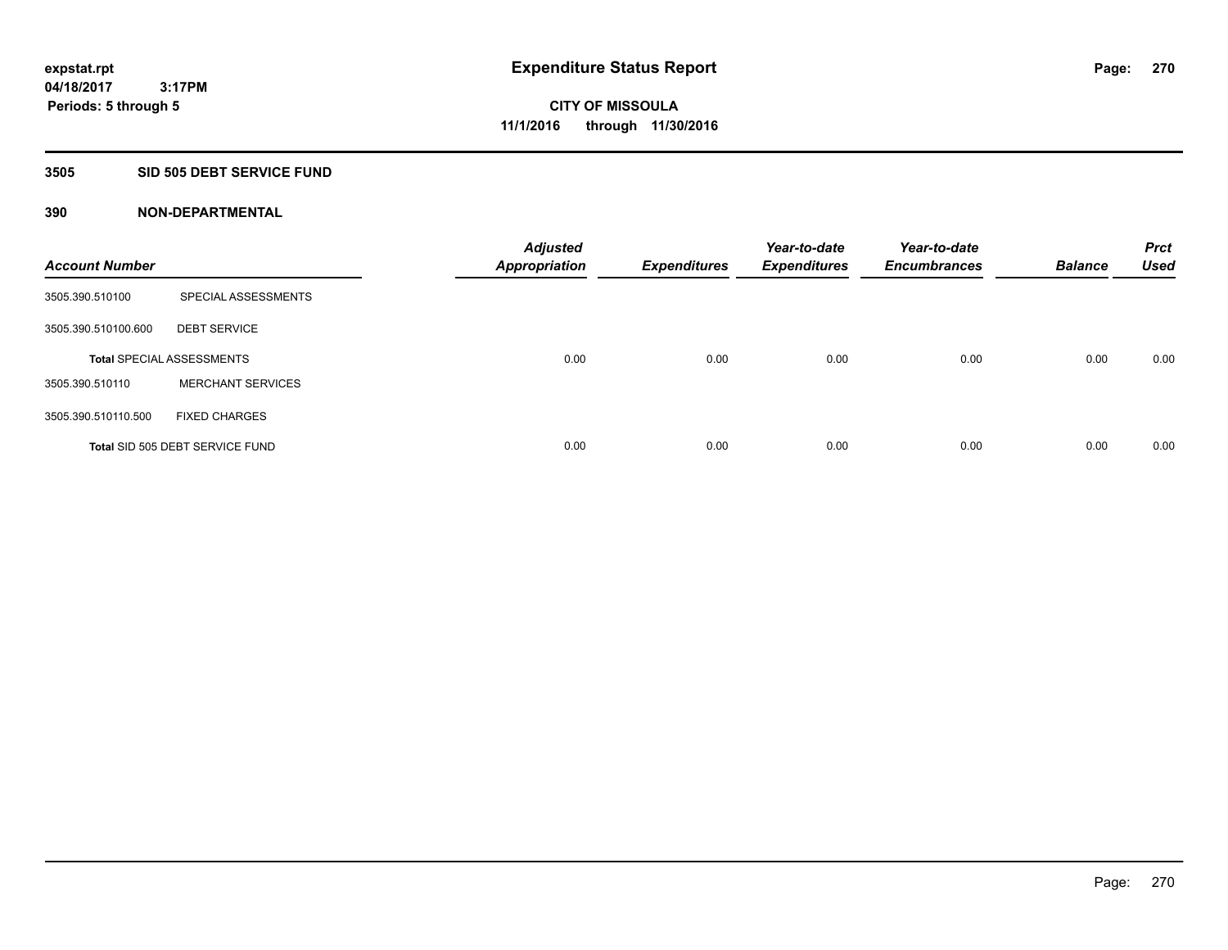#### **3505 SID 505 DEBT SERVICE FUND**

| <b>Account Number</b> |                                  | <b>Adjusted</b><br><b>Appropriation</b> | <b>Expenditures</b> | Year-to-date<br><b>Expenditures</b> | Year-to-date<br><b>Encumbrances</b> | <b>Balance</b> | <b>Prct</b><br><b>Used</b> |
|-----------------------|----------------------------------|-----------------------------------------|---------------------|-------------------------------------|-------------------------------------|----------------|----------------------------|
| 3505.390.510100       | SPECIAL ASSESSMENTS              |                                         |                     |                                     |                                     |                |                            |
| 3505.390.510100.600   | <b>DEBT SERVICE</b>              |                                         |                     |                                     |                                     |                |                            |
|                       | <b>Total SPECIAL ASSESSMENTS</b> | 0.00                                    | 0.00                | 0.00                                | 0.00                                | 0.00           | 0.00                       |
| 3505.390.510110       | <b>MERCHANT SERVICES</b>         |                                         |                     |                                     |                                     |                |                            |
| 3505.390.510110.500   | <b>FIXED CHARGES</b>             |                                         |                     |                                     |                                     |                |                            |
|                       | Total SID 505 DEBT SERVICE FUND  | 0.00                                    | 0.00                | 0.00                                | 0.00                                | 0.00           | 0.00                       |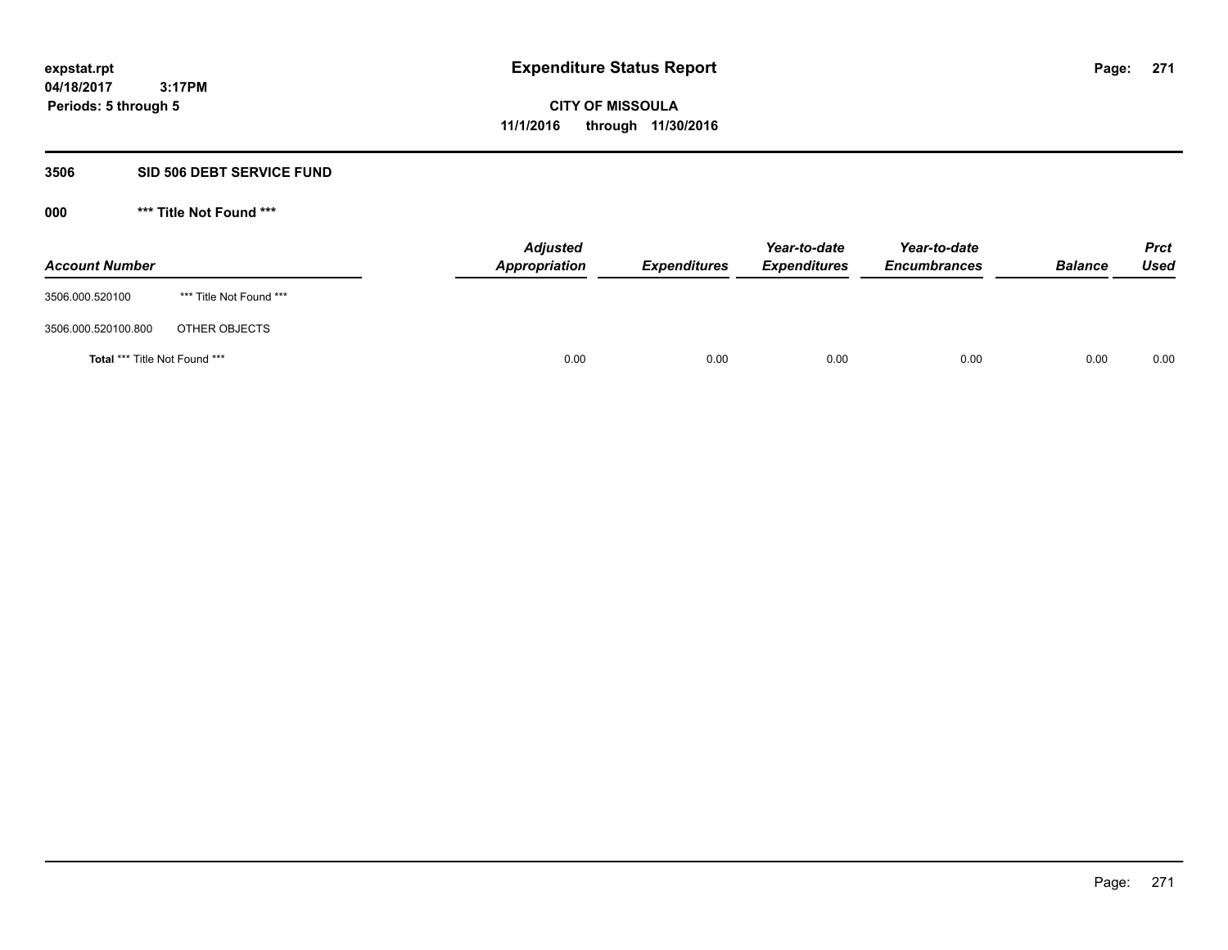#### **3506 SID 506 DEBT SERVICE FUND**

| <b>Account Number</b>         |                         | <b>Adjusted</b><br>Appropriation | <b>Expenditures</b> | Year-to-date<br><b>Expenditures</b> | Year-to-date<br><b>Encumbrances</b> | <b>Balance</b> | <b>Prct</b><br>Used |
|-------------------------------|-------------------------|----------------------------------|---------------------|-------------------------------------|-------------------------------------|----------------|---------------------|
| 3506.000.520100               | *** Title Not Found *** |                                  |                     |                                     |                                     |                |                     |
| 3506.000.520100.800           | OTHER OBJECTS           |                                  |                     |                                     |                                     |                |                     |
| Total *** Title Not Found *** |                         | 0.00                             | 0.00                | 0.00                                | 0.00                                | 0.00           | 0.00                |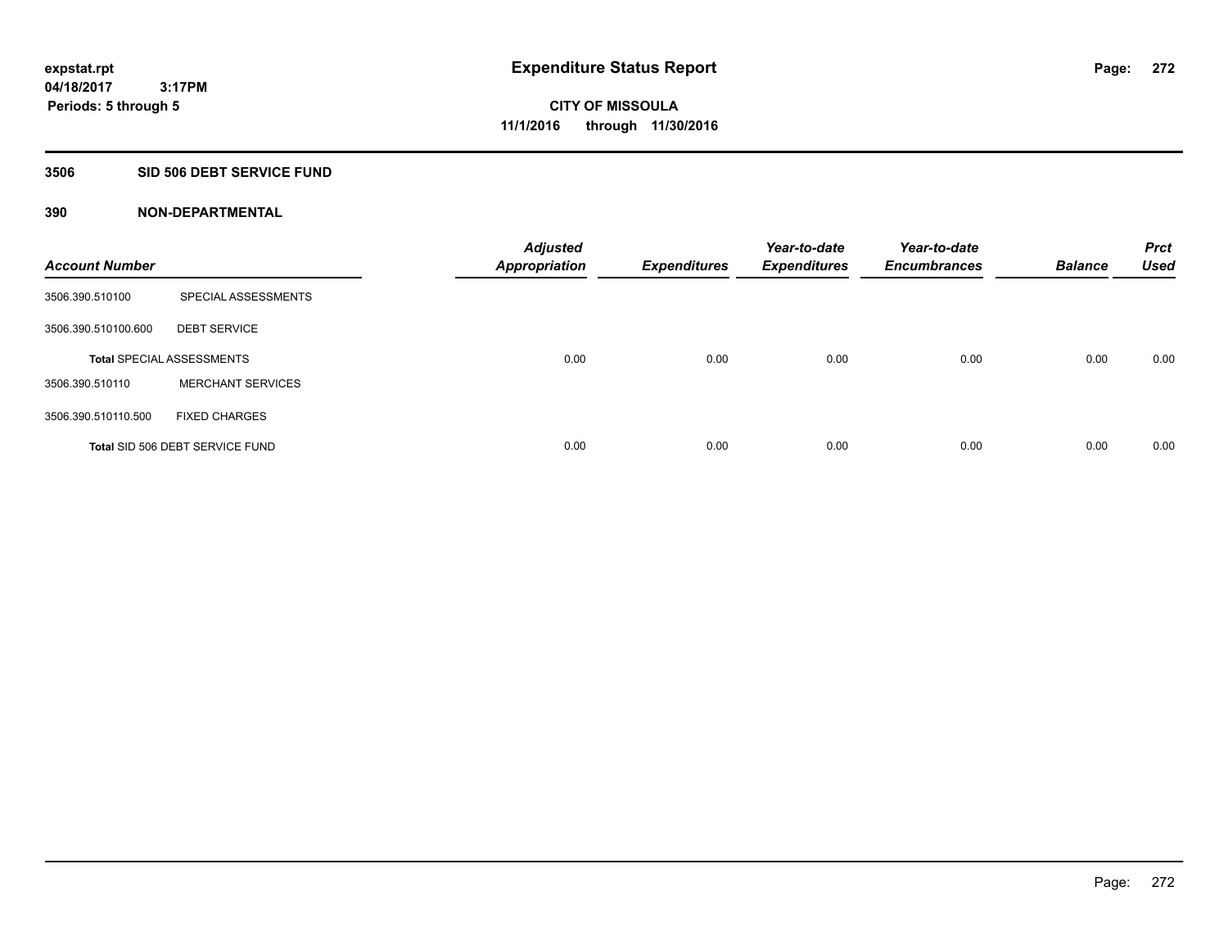# **3506 SID 506 DEBT SERVICE FUND**

| <b>Account Number</b> |                                  | <b>Adjusted</b><br><b>Appropriation</b> | <b>Expenditures</b> | Year-to-date<br><b>Expenditures</b> | Year-to-date<br><b>Encumbrances</b> | <b>Balance</b> | <b>Prct</b><br><b>Used</b> |
|-----------------------|----------------------------------|-----------------------------------------|---------------------|-------------------------------------|-------------------------------------|----------------|----------------------------|
| 3506.390.510100       | SPECIAL ASSESSMENTS              |                                         |                     |                                     |                                     |                |                            |
| 3506.390.510100.600   | <b>DEBT SERVICE</b>              |                                         |                     |                                     |                                     |                |                            |
|                       | <b>Total SPECIAL ASSESSMENTS</b> | 0.00                                    | 0.00                | 0.00                                | 0.00                                | 0.00           | 0.00                       |
| 3506.390.510110       | <b>MERCHANT SERVICES</b>         |                                         |                     |                                     |                                     |                |                            |
| 3506.390.510110.500   | <b>FIXED CHARGES</b>             |                                         |                     |                                     |                                     |                |                            |
|                       | Total SID 506 DEBT SERVICE FUND  | 0.00                                    | 0.00                | 0.00                                | 0.00                                | 0.00           | 0.00                       |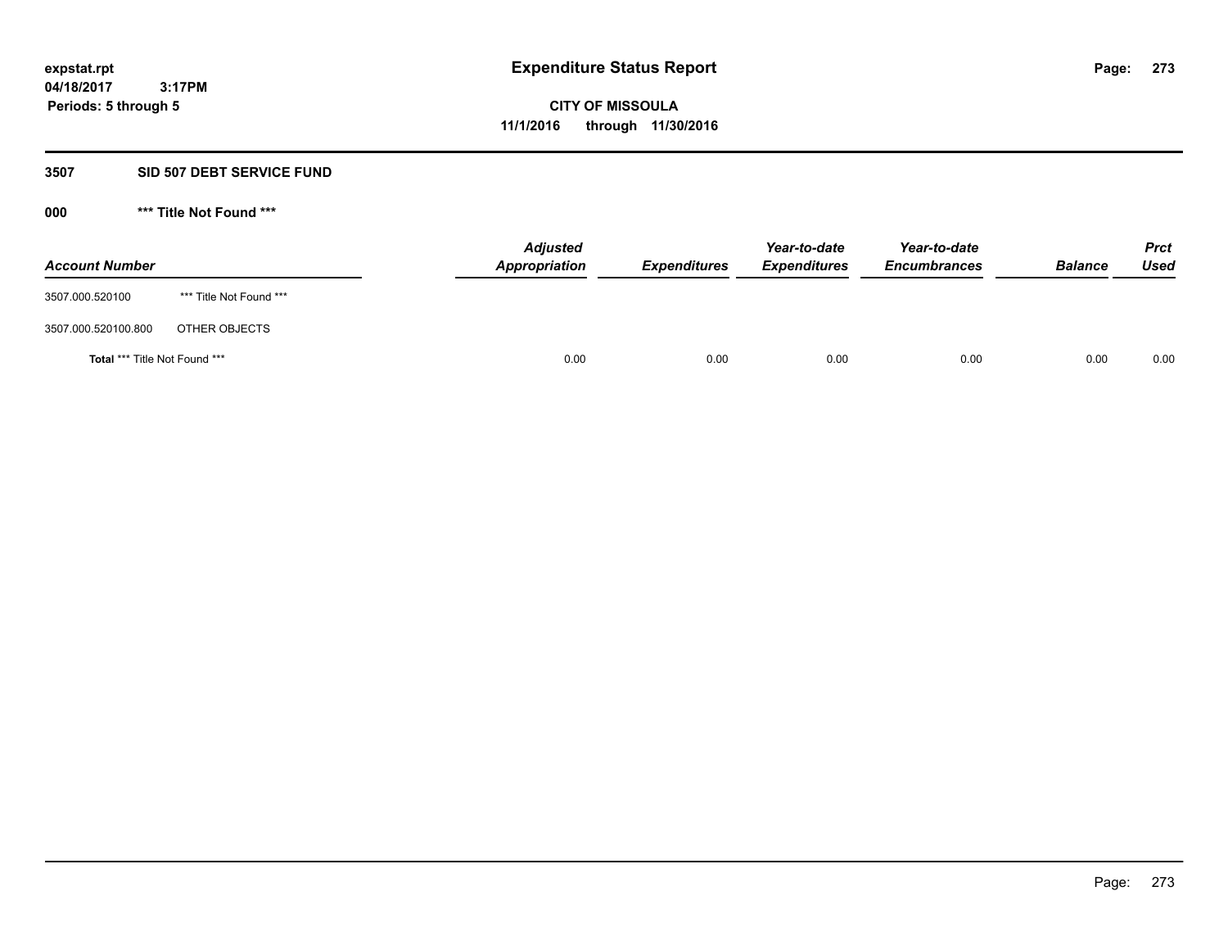#### **3507 SID 507 DEBT SERVICE FUND**

| <b>Account Number</b>                |                         | <b>Adjusted</b><br><b>Appropriation</b> | <b>Expenditures</b> | Year-to-date<br><b>Expenditures</b> | Year-to-date<br><b>Encumbrances</b> | <b>Balance</b> | <b>Prct</b><br><b>Used</b> |
|--------------------------------------|-------------------------|-----------------------------------------|---------------------|-------------------------------------|-------------------------------------|----------------|----------------------------|
| 3507.000.520100                      | *** Title Not Found *** |                                         |                     |                                     |                                     |                |                            |
| 3507.000.520100.800                  | OTHER OBJECTS           |                                         |                     |                                     |                                     |                |                            |
| <b>Total *** Title Not Found ***</b> |                         | 0.00                                    | 0.00                | 0.00                                | 0.00                                | 0.00           | 0.00                       |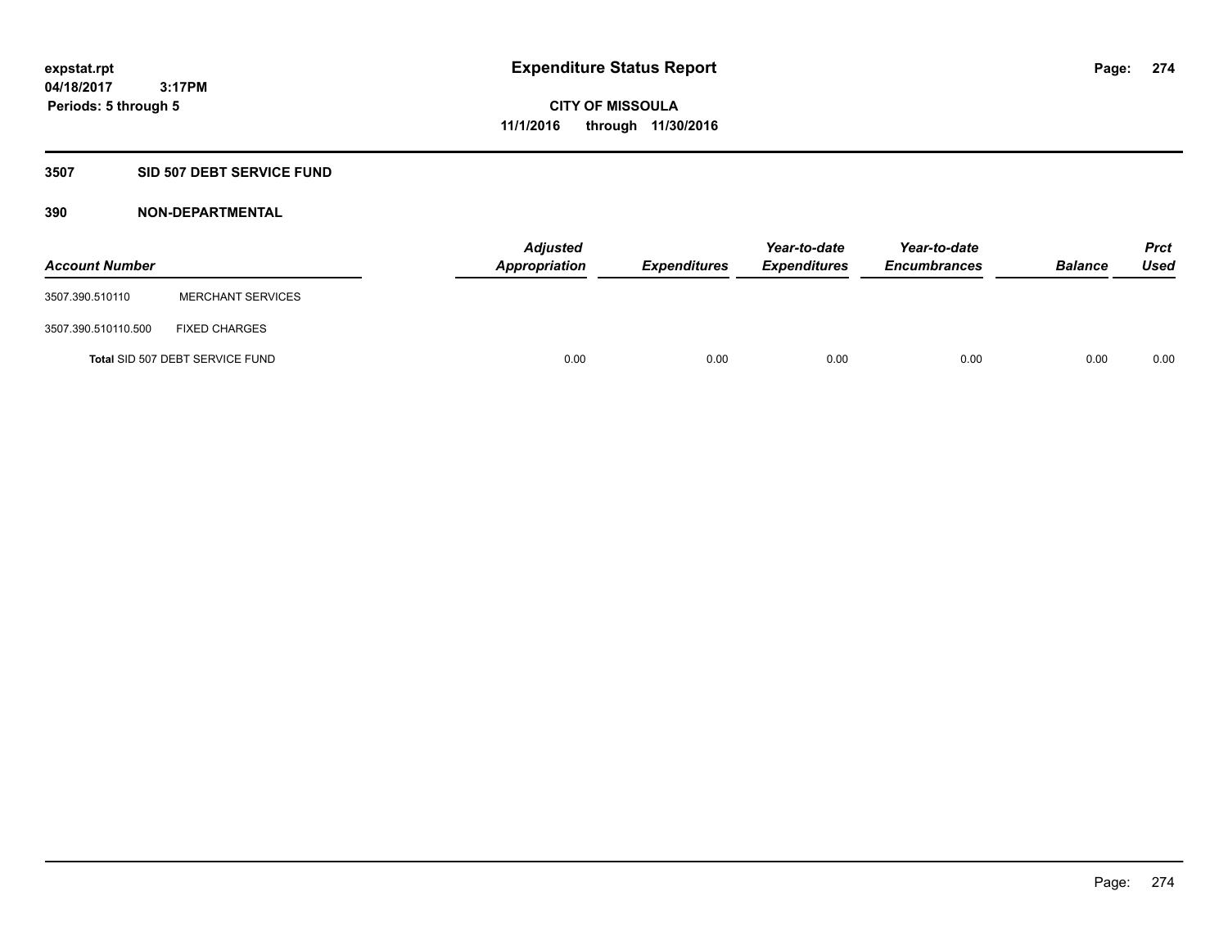# **3507 SID 507 DEBT SERVICE FUND**

| <b>Account Number</b> |                                 | <b>Adjusted</b><br>Appropriation | <b>Expenditures</b> | Year-to-date<br><b>Expenditures</b> | Year-to-date<br><b>Encumbrances</b> | <b>Balance</b> | <b>Prct</b><br><b>Used</b> |
|-----------------------|---------------------------------|----------------------------------|---------------------|-------------------------------------|-------------------------------------|----------------|----------------------------|
| 3507.390.510110       | <b>MERCHANT SERVICES</b>        |                                  |                     |                                     |                                     |                |                            |
| 3507.390.510110.500   | <b>FIXED CHARGES</b>            |                                  |                     |                                     |                                     |                |                            |
|                       | Total SID 507 DEBT SERVICE FUND | 0.00                             | 0.00                | 0.00                                | 0.00                                | 0.00           | 0.00                       |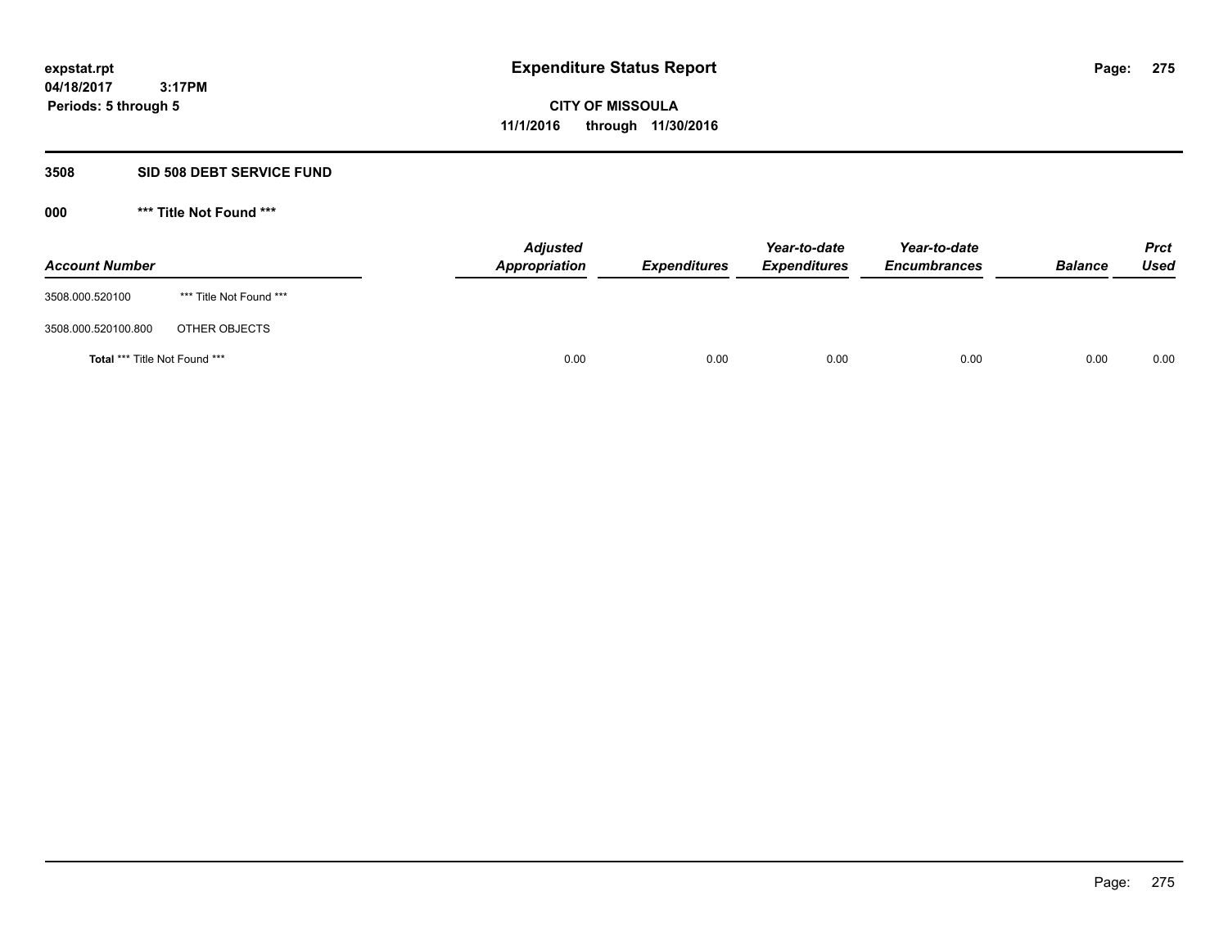#### **3508 SID 508 DEBT SERVICE FUND**

| <b>Account Number</b>                |                         | <b>Adjusted</b><br>Appropriation | <b>Expenditures</b> | Year-to-date<br><b>Expenditures</b> | Year-to-date<br><b>Encumbrances</b> | <b>Balance</b> | <b>Prct</b><br><b>Used</b> |
|--------------------------------------|-------------------------|----------------------------------|---------------------|-------------------------------------|-------------------------------------|----------------|----------------------------|
| 3508.000.520100                      | *** Title Not Found *** |                                  |                     |                                     |                                     |                |                            |
| 3508.000.520100.800                  | OTHER OBJECTS           |                                  |                     |                                     |                                     |                |                            |
| <b>Total *** Title Not Found ***</b> |                         | 0.00                             | 0.00                | 0.00                                | 0.00                                | 0.00           | 0.00                       |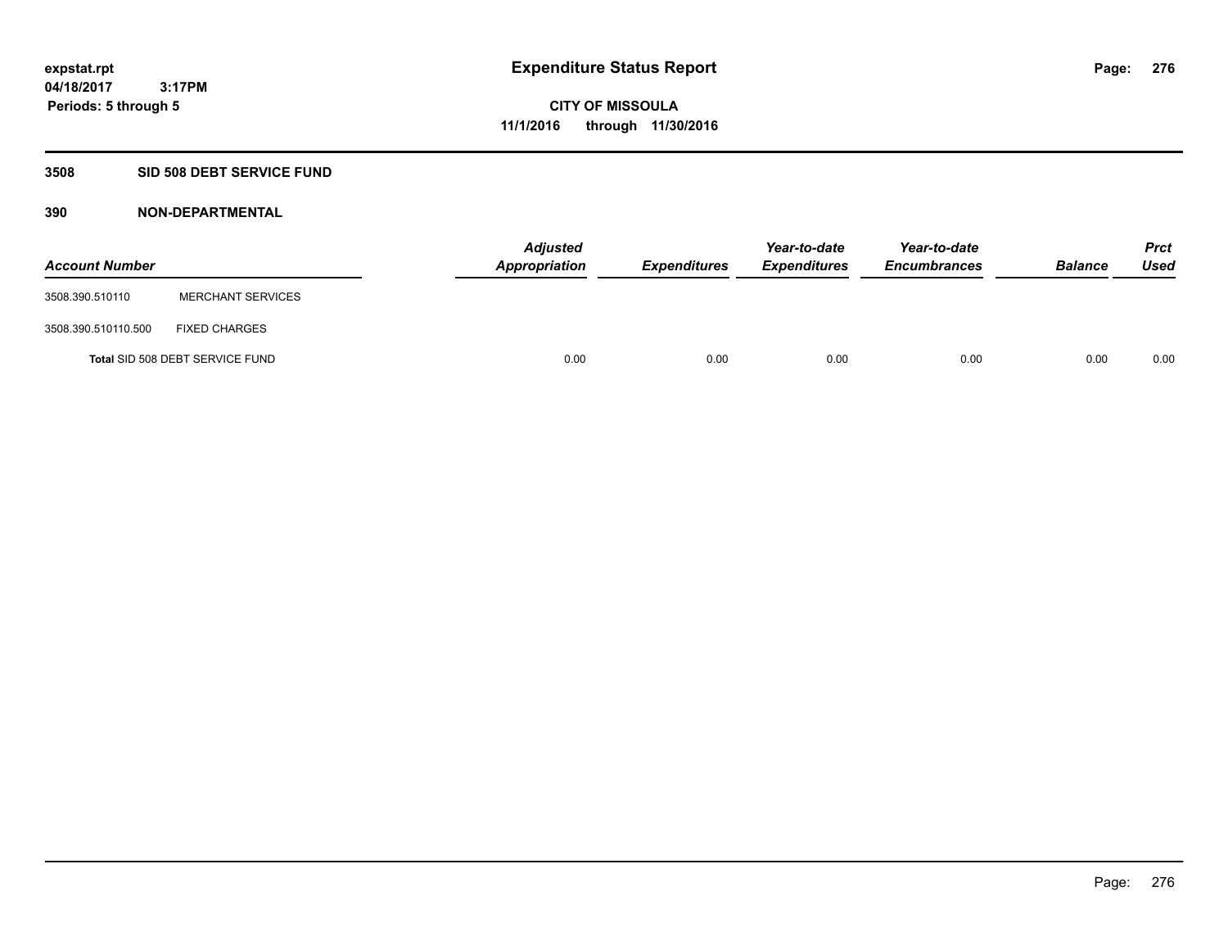# **3508 SID 508 DEBT SERVICE FUND**

| <b>Account Number</b> |                                 | <b>Adjusted</b><br>Appropriation | <b>Expenditures</b> | Year-to-date<br><b>Expenditures</b> | Year-to-date<br><b>Encumbrances</b> | <b>Balance</b> | <b>Prct</b><br><b>Used</b> |
|-----------------------|---------------------------------|----------------------------------|---------------------|-------------------------------------|-------------------------------------|----------------|----------------------------|
| 3508.390.510110       | <b>MERCHANT SERVICES</b>        |                                  |                     |                                     |                                     |                |                            |
| 3508.390.510110.500   | <b>FIXED CHARGES</b>            |                                  |                     |                                     |                                     |                |                            |
|                       | Total SID 508 DEBT SERVICE FUND | 0.00                             | 0.00                | 0.00                                | 0.00                                | 0.00           | 0.00                       |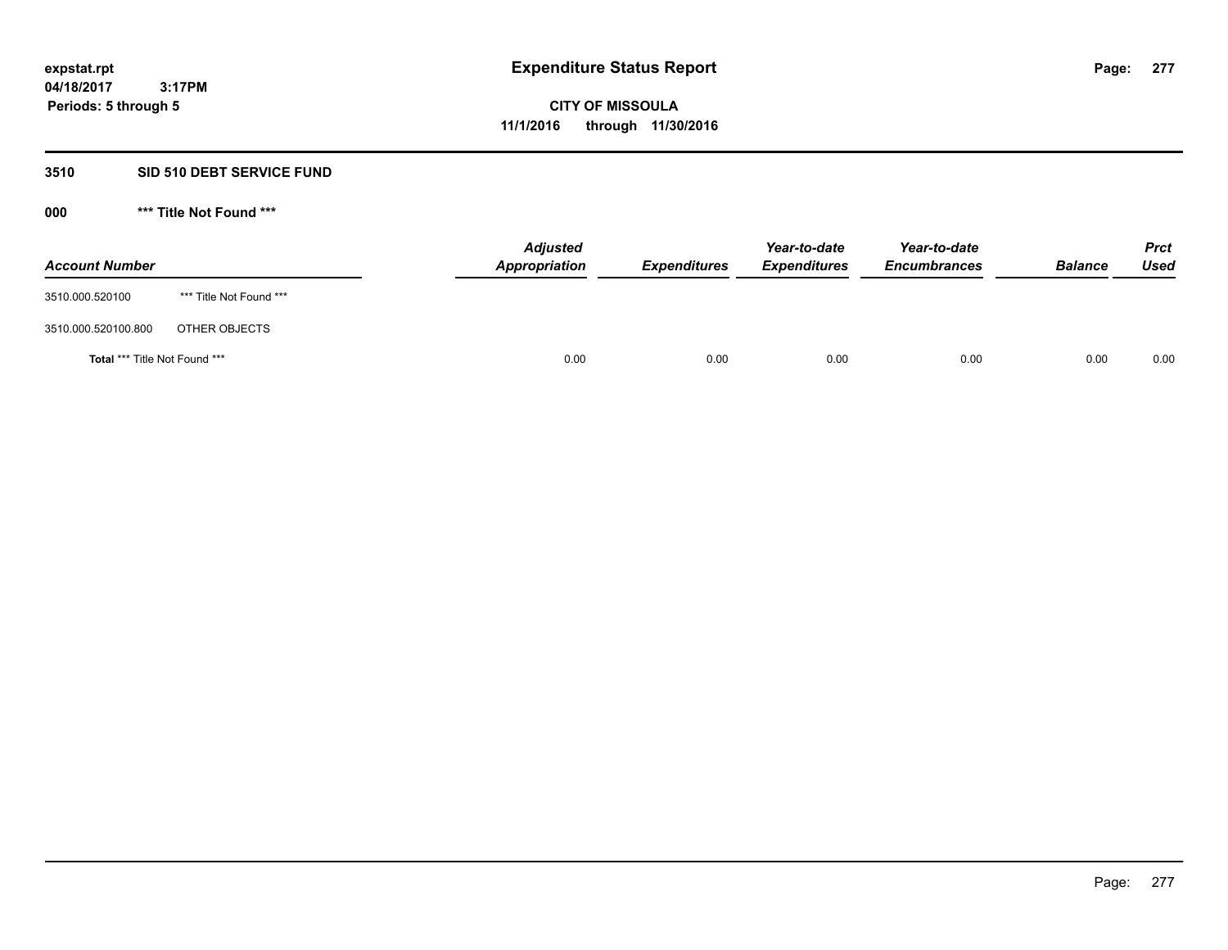# **3510 SID 510 DEBT SERVICE FUND**

| <b>Account Number</b>         |                         | <b>Adjusted</b><br>Appropriation | <b>Expenditures</b> | Year-to-date<br><b>Expenditures</b> | Year-to-date<br><b>Encumbrances</b> | <b>Balance</b> | <b>Prct</b><br>Used |
|-------------------------------|-------------------------|----------------------------------|---------------------|-------------------------------------|-------------------------------------|----------------|---------------------|
| 3510.000.520100               | *** Title Not Found *** |                                  |                     |                                     |                                     |                |                     |
| 3510.000.520100.800           | OTHER OBJECTS           |                                  |                     |                                     |                                     |                |                     |
| Total *** Title Not Found *** |                         | 0.00                             | 0.00                | 0.00                                | 0.00                                | 0.00           | 0.00                |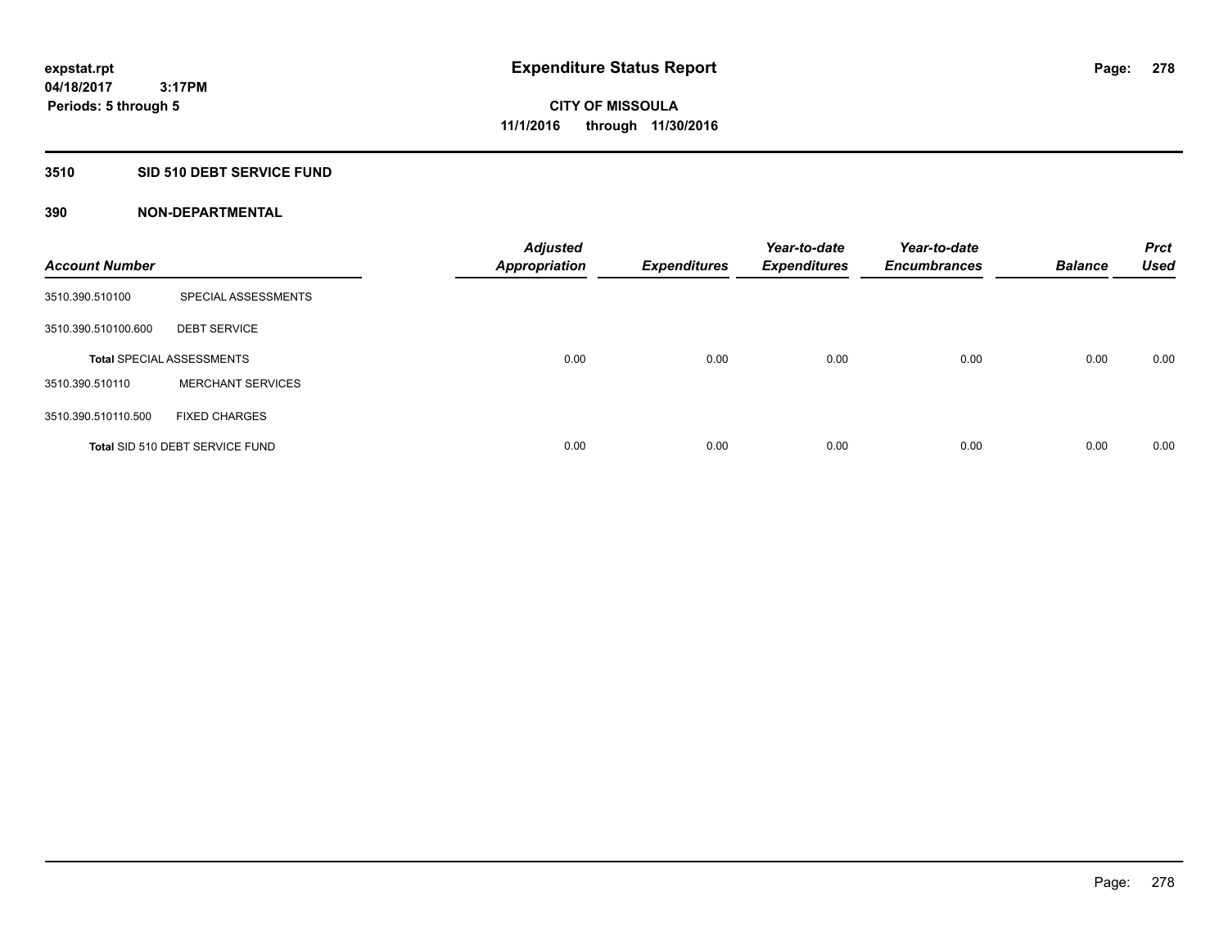#### **3510 SID 510 DEBT SERVICE FUND**

| <b>Account Number</b> |                                  | <b>Adjusted</b><br><b>Appropriation</b> | <b>Expenditures</b> | Year-to-date<br><b>Expenditures</b> | Year-to-date<br><b>Encumbrances</b> | <b>Balance</b> | <b>Prct</b><br><b>Used</b> |
|-----------------------|----------------------------------|-----------------------------------------|---------------------|-------------------------------------|-------------------------------------|----------------|----------------------------|
| 3510.390.510100       | SPECIAL ASSESSMENTS              |                                         |                     |                                     |                                     |                |                            |
| 3510.390.510100.600   | <b>DEBT SERVICE</b>              |                                         |                     |                                     |                                     |                |                            |
|                       | <b>Total SPECIAL ASSESSMENTS</b> | 0.00                                    | 0.00                | 0.00                                | 0.00                                | 0.00           | 0.00                       |
| 3510.390.510110       | <b>MERCHANT SERVICES</b>         |                                         |                     |                                     |                                     |                |                            |
| 3510.390.510110.500   | <b>FIXED CHARGES</b>             |                                         |                     |                                     |                                     |                |                            |
|                       | Total SID 510 DEBT SERVICE FUND  | 0.00                                    | 0.00                | 0.00                                | 0.00                                | 0.00           | 0.00                       |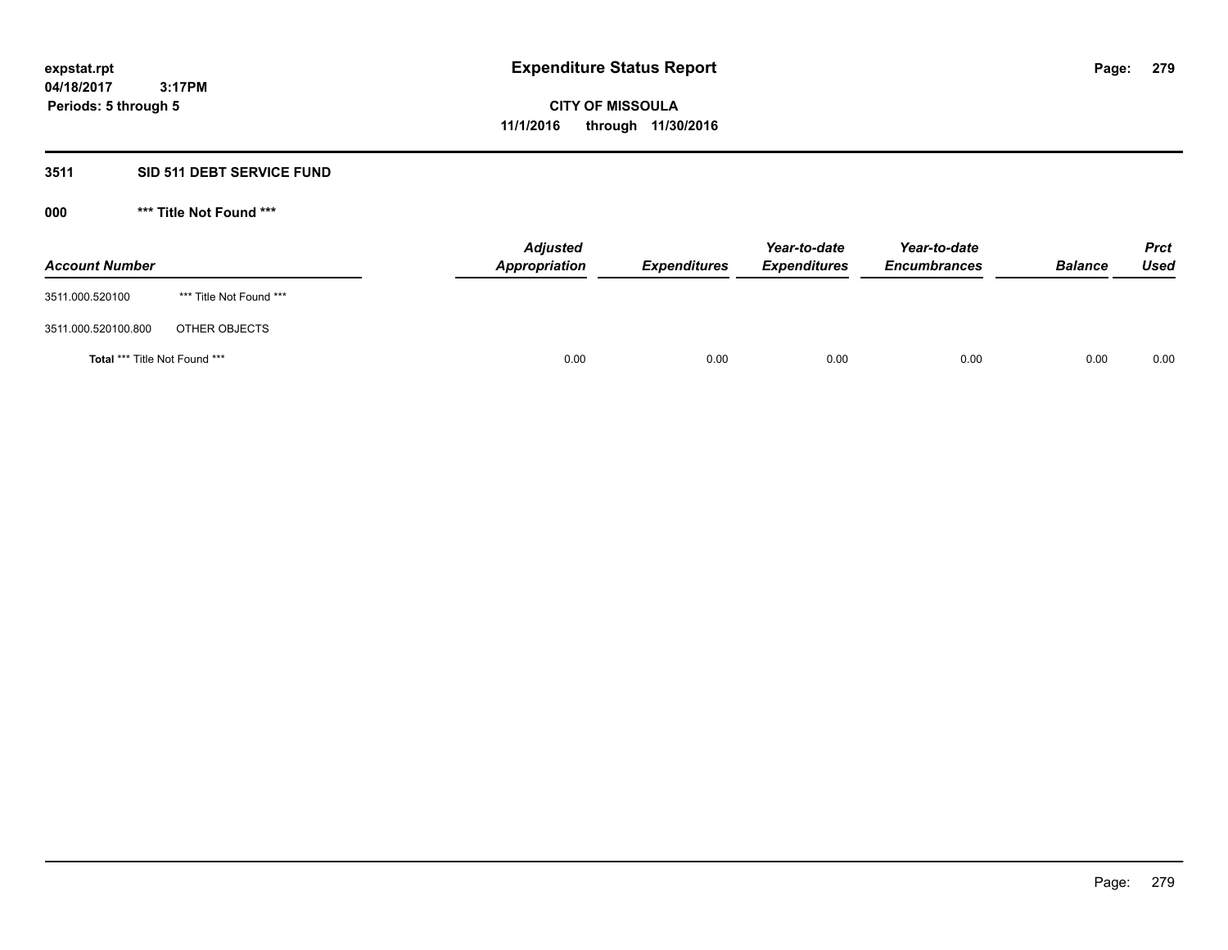# **3511 SID 511 DEBT SERVICE FUND**

| <b>Account Number</b>                |                         | <b>Adjusted</b><br>Appropriation | <b>Expenditures</b> | Year-to-date<br><b>Expenditures</b> | Year-to-date<br><b>Encumbrances</b> | <b>Balance</b> | <b>Prct</b><br><b>Used</b> |
|--------------------------------------|-------------------------|----------------------------------|---------------------|-------------------------------------|-------------------------------------|----------------|----------------------------|
| 3511.000.520100                      | *** Title Not Found *** |                                  |                     |                                     |                                     |                |                            |
| 3511.000.520100.800                  | OTHER OBJECTS           |                                  |                     |                                     |                                     |                |                            |
| <b>Total *** Title Not Found ***</b> |                         | 0.00                             | 0.00                | 0.00                                | 0.00                                | 0.00           | 0.00                       |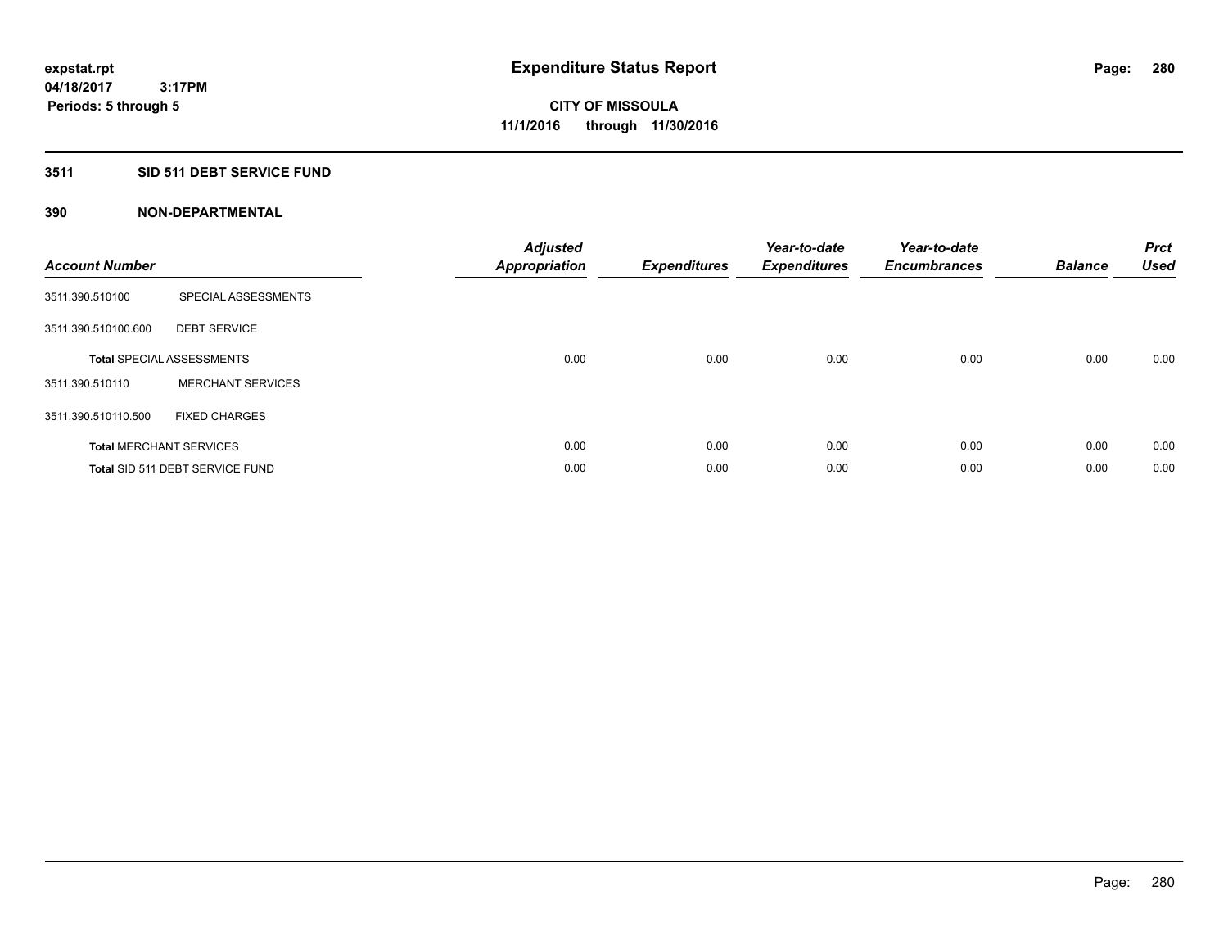# **3511 SID 511 DEBT SERVICE FUND**

| <b>Account Number</b> |                                  | <b>Adjusted</b><br><b>Appropriation</b> | <b>Expenditures</b> | Year-to-date<br><b>Expenditures</b> | Year-to-date<br><b>Encumbrances</b> | <b>Balance</b> | <b>Prct</b><br><b>Used</b> |
|-----------------------|----------------------------------|-----------------------------------------|---------------------|-------------------------------------|-------------------------------------|----------------|----------------------------|
| 3511.390.510100       | SPECIAL ASSESSMENTS              |                                         |                     |                                     |                                     |                |                            |
| 3511.390.510100.600   | <b>DEBT SERVICE</b>              |                                         |                     |                                     |                                     |                |                            |
|                       | <b>Total SPECIAL ASSESSMENTS</b> | 0.00                                    | 0.00                | 0.00                                | 0.00                                | 0.00           | 0.00                       |
| 3511.390.510110       | <b>MERCHANT SERVICES</b>         |                                         |                     |                                     |                                     |                |                            |
| 3511.390.510110.500   | <b>FIXED CHARGES</b>             |                                         |                     |                                     |                                     |                |                            |
|                       | <b>Total MERCHANT SERVICES</b>   | 0.00                                    | 0.00                | 0.00                                | 0.00                                | 0.00           | 0.00                       |
|                       | Total SID 511 DEBT SERVICE FUND  | 0.00                                    | 0.00                | 0.00                                | 0.00                                | 0.00           | 0.00                       |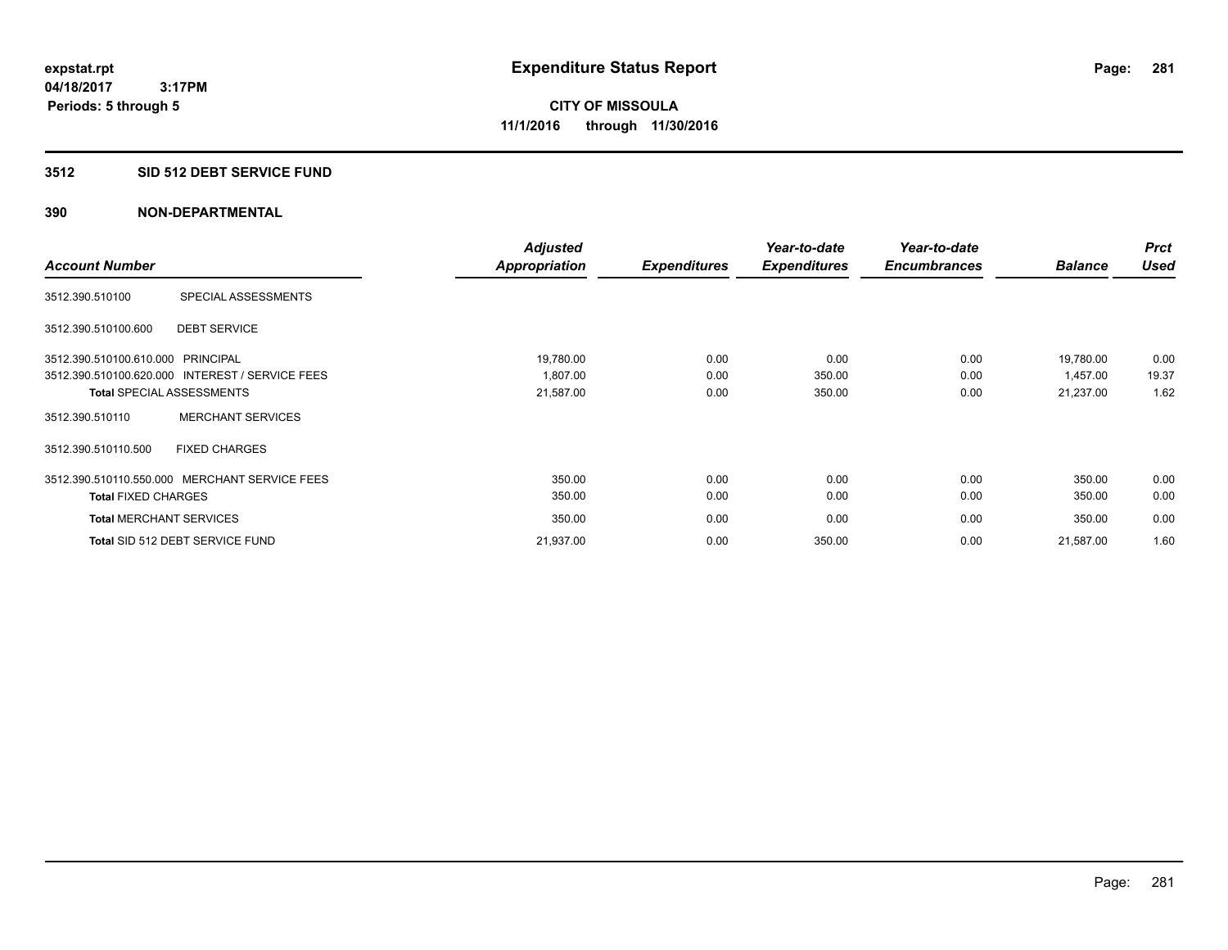#### **3512 SID 512 DEBT SERVICE FUND**

|                                   |                                                 | <b>Adjusted</b>      |                     | Year-to-date        | Year-to-date        |                | <b>Prct</b> |
|-----------------------------------|-------------------------------------------------|----------------------|---------------------|---------------------|---------------------|----------------|-------------|
| <b>Account Number</b>             |                                                 | <b>Appropriation</b> | <b>Expenditures</b> | <b>Expenditures</b> | <b>Encumbrances</b> | <b>Balance</b> | <b>Used</b> |
| 3512.390.510100                   | SPECIAL ASSESSMENTS                             |                      |                     |                     |                     |                |             |
| 3512.390.510100.600               | <b>DEBT SERVICE</b>                             |                      |                     |                     |                     |                |             |
| 3512.390.510100.610.000 PRINCIPAL |                                                 | 19,780.00            | 0.00                | 0.00                | 0.00                | 19,780.00      | 0.00        |
|                                   | 3512.390.510100.620.000 INTEREST / SERVICE FEES | 1.807.00             | 0.00                | 350.00              | 0.00                | 1.457.00       | 19.37       |
|                                   | <b>Total SPECIAL ASSESSMENTS</b>                | 21,587.00            | 0.00                | 350.00              | 0.00                | 21,237.00      | 1.62        |
| 3512.390.510110                   | <b>MERCHANT SERVICES</b>                        |                      |                     |                     |                     |                |             |
| 3512.390.510110.500               | <b>FIXED CHARGES</b>                            |                      |                     |                     |                     |                |             |
|                                   | 3512.390.510110.550.000 MERCHANT SERVICE FEES   | 350.00               | 0.00                | 0.00                | 0.00                | 350.00         | 0.00        |
| <b>Total FIXED CHARGES</b>        |                                                 | 350.00               | 0.00                | 0.00                | 0.00                | 350.00         | 0.00        |
| <b>Total MERCHANT SERVICES</b>    |                                                 | 350.00               | 0.00                | 0.00                | 0.00                | 350.00         | 0.00        |
|                                   | Total SID 512 DEBT SERVICE FUND                 | 21,937.00            | 0.00                | 350.00              | 0.00                | 21,587.00      | 1.60        |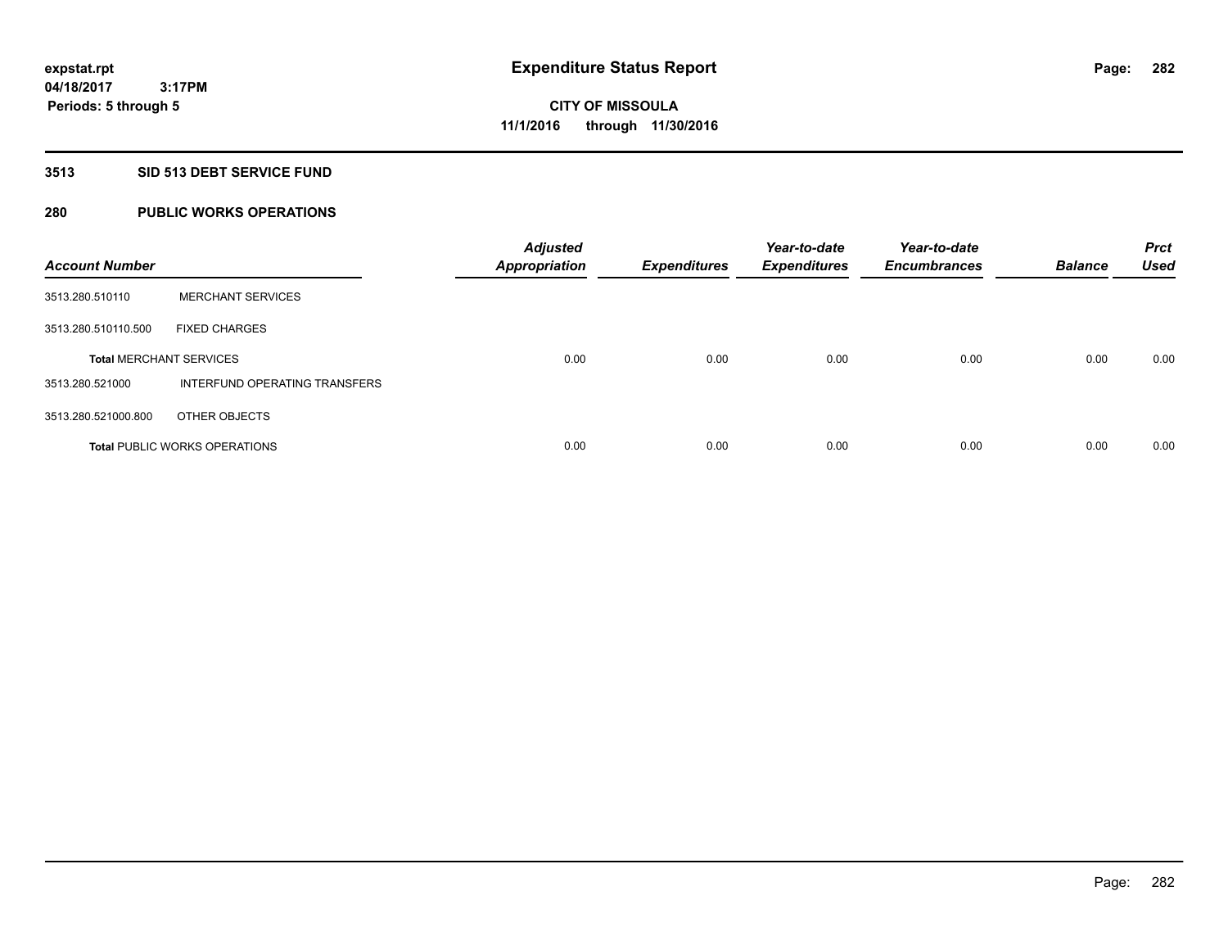# **3513 SID 513 DEBT SERVICE FUND**

# **280 PUBLIC WORKS OPERATIONS**

| <b>Account Number</b>          |                                      | <b>Adjusted</b><br><b>Appropriation</b> | <b>Expenditures</b> | Year-to-date<br><b>Expenditures</b> | Year-to-date<br><b>Encumbrances</b> | <b>Balance</b> | <b>Prct</b><br><b>Used</b> |
|--------------------------------|--------------------------------------|-----------------------------------------|---------------------|-------------------------------------|-------------------------------------|----------------|----------------------------|
| 3513.280.510110                | <b>MERCHANT SERVICES</b>             |                                         |                     |                                     |                                     |                |                            |
| 3513.280.510110.500            | <b>FIXED CHARGES</b>                 |                                         |                     |                                     |                                     |                |                            |
| <b>Total MERCHANT SERVICES</b> |                                      | 0.00                                    | 0.00                | 0.00                                | 0.00                                | 0.00           | 0.00                       |
| 3513.280.521000                | INTERFUND OPERATING TRANSFERS        |                                         |                     |                                     |                                     |                |                            |
| 3513.280.521000.800            | OTHER OBJECTS                        |                                         |                     |                                     |                                     |                |                            |
|                                | <b>Total PUBLIC WORKS OPERATIONS</b> | 0.00                                    | 0.00                | 0.00                                | 0.00                                | 0.00           | 0.00                       |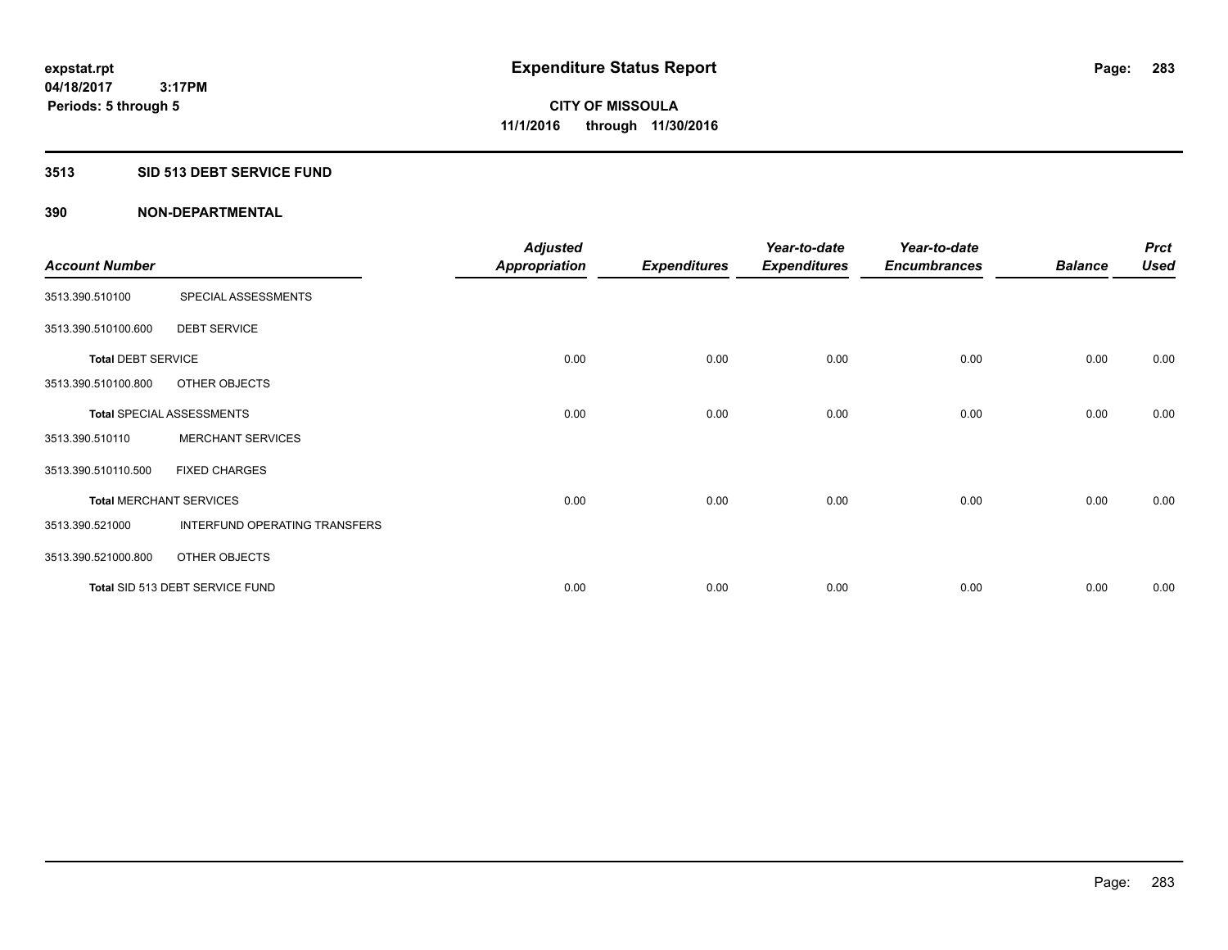# **3513 SID 513 DEBT SERVICE FUND**

|                                |                                  | <b>Adjusted</b>      |                     | Year-to-date        | Year-to-date        |                | <b>Prct</b> |
|--------------------------------|----------------------------------|----------------------|---------------------|---------------------|---------------------|----------------|-------------|
| <b>Account Number</b>          |                                  | <b>Appropriation</b> | <b>Expenditures</b> | <b>Expenditures</b> | <b>Encumbrances</b> | <b>Balance</b> | <b>Used</b> |
| 3513.390.510100                | SPECIAL ASSESSMENTS              |                      |                     |                     |                     |                |             |
| 3513.390.510100.600            | <b>DEBT SERVICE</b>              |                      |                     |                     |                     |                |             |
| <b>Total DEBT SERVICE</b>      |                                  | 0.00                 | 0.00                | 0.00                | 0.00                | 0.00           | 0.00        |
| 3513.390.510100.800            | OTHER OBJECTS                    |                      |                     |                     |                     |                |             |
|                                | <b>Total SPECIAL ASSESSMENTS</b> | 0.00                 | 0.00                | 0.00                | 0.00                | 0.00           | 0.00        |
| 3513.390.510110                | <b>MERCHANT SERVICES</b>         |                      |                     |                     |                     |                |             |
| 3513.390.510110.500            | <b>FIXED CHARGES</b>             |                      |                     |                     |                     |                |             |
| <b>Total MERCHANT SERVICES</b> |                                  | 0.00                 | 0.00                | 0.00                | 0.00                | 0.00           | 0.00        |
| 3513.390.521000                | INTERFUND OPERATING TRANSFERS    |                      |                     |                     |                     |                |             |
| 3513.390.521000.800            | OTHER OBJECTS                    |                      |                     |                     |                     |                |             |
|                                | Total SID 513 DEBT SERVICE FUND  | 0.00                 | 0.00                | 0.00                | 0.00                | 0.00           | 0.00        |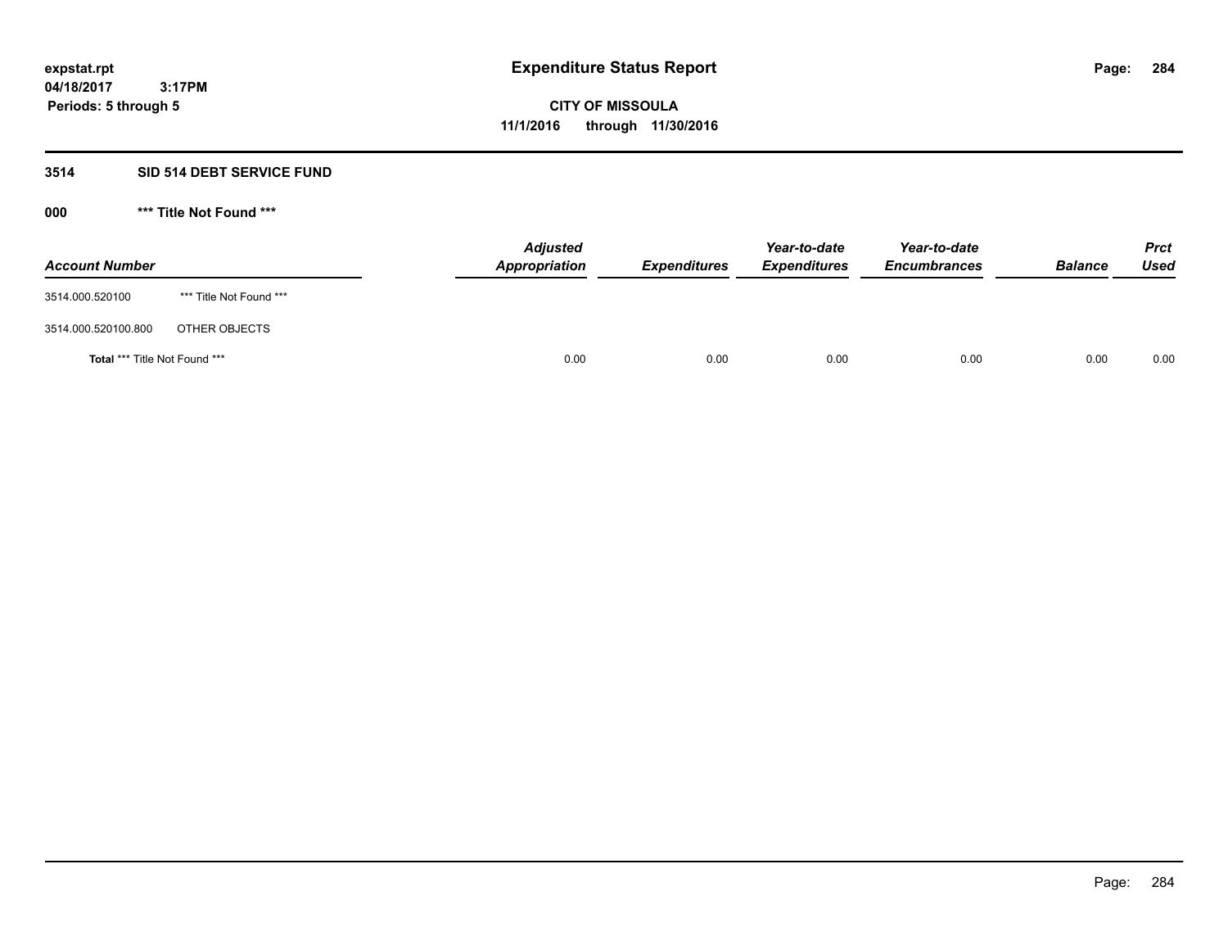# **3514 SID 514 DEBT SERVICE FUND**

| <b>Account Number</b>                |                         | <b>Adjusted</b><br><b>Appropriation</b> | <b>Expenditures</b> | Year-to-date<br><b>Expenditures</b> | Year-to-date<br><b>Encumbrances</b> | <b>Balance</b> | <b>Prct</b><br><b>Used</b> |
|--------------------------------------|-------------------------|-----------------------------------------|---------------------|-------------------------------------|-------------------------------------|----------------|----------------------------|
| 3514.000.520100                      | *** Title Not Found *** |                                         |                     |                                     |                                     |                |                            |
| 3514.000.520100.800                  | OTHER OBJECTS           |                                         |                     |                                     |                                     |                |                            |
| <b>Total *** Title Not Found ***</b> |                         | 0.00                                    | 0.00                | 0.00                                | 0.00                                | 0.00           | 0.00                       |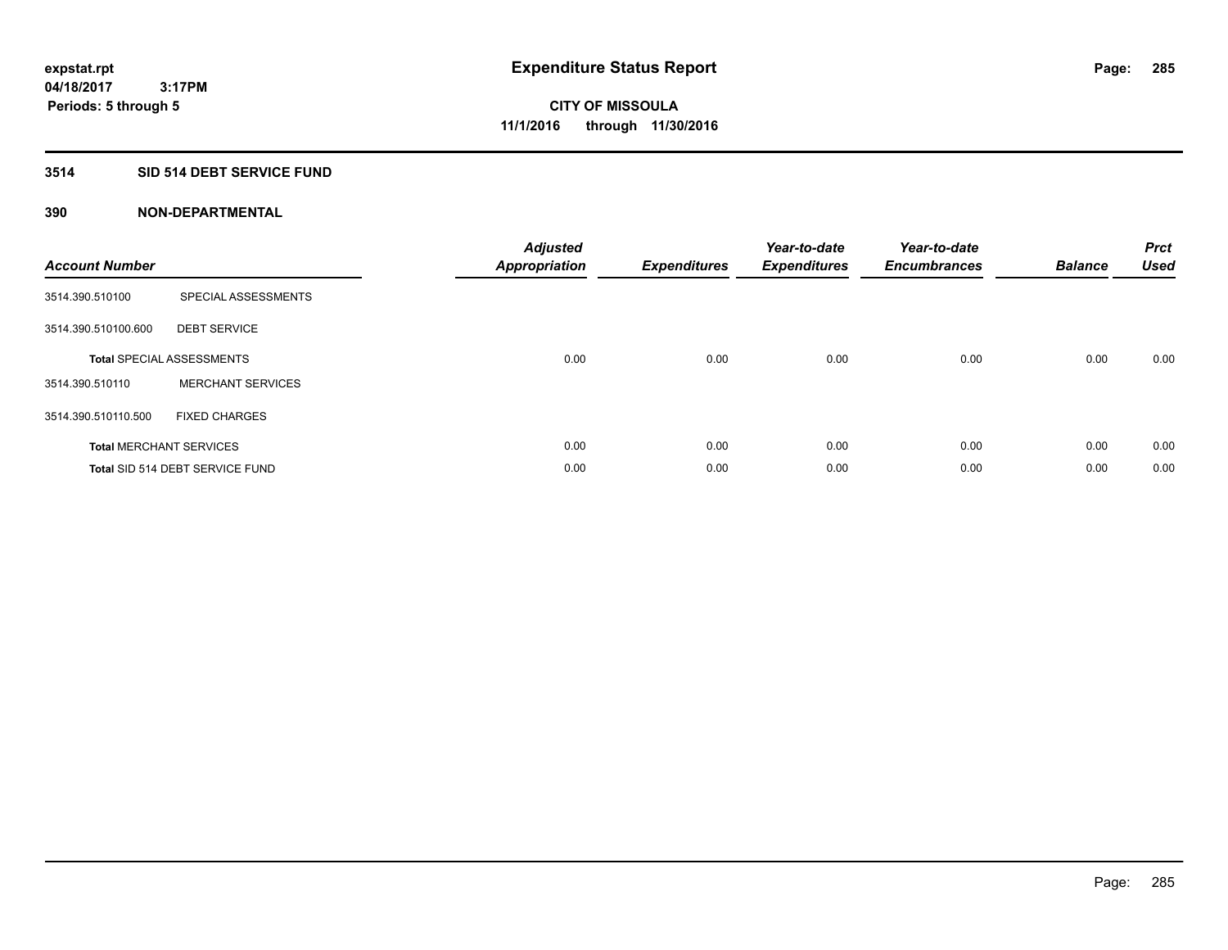# **3514 SID 514 DEBT SERVICE FUND**

| <b>Account Number</b> |                                  | <b>Adjusted</b><br>Appropriation | <b>Expenditures</b> | Year-to-date<br><b>Expenditures</b> | Year-to-date<br><b>Encumbrances</b> | <b>Balance</b> | <b>Prct</b><br><b>Used</b> |
|-----------------------|----------------------------------|----------------------------------|---------------------|-------------------------------------|-------------------------------------|----------------|----------------------------|
| 3514.390.510100       | SPECIAL ASSESSMENTS              |                                  |                     |                                     |                                     |                |                            |
| 3514.390.510100.600   | <b>DEBT SERVICE</b>              |                                  |                     |                                     |                                     |                |                            |
|                       | <b>Total SPECIAL ASSESSMENTS</b> | 0.00                             | 0.00                | 0.00                                | 0.00                                | 0.00           | 0.00                       |
| 3514.390.510110       | <b>MERCHANT SERVICES</b>         |                                  |                     |                                     |                                     |                |                            |
| 3514.390.510110.500   | <b>FIXED CHARGES</b>             |                                  |                     |                                     |                                     |                |                            |
|                       | <b>Total MERCHANT SERVICES</b>   | 0.00                             | 0.00                | 0.00                                | 0.00                                | 0.00           | 0.00                       |
|                       | Total SID 514 DEBT SERVICE FUND  | 0.00                             | 0.00                | 0.00                                | 0.00                                | 0.00           | 0.00                       |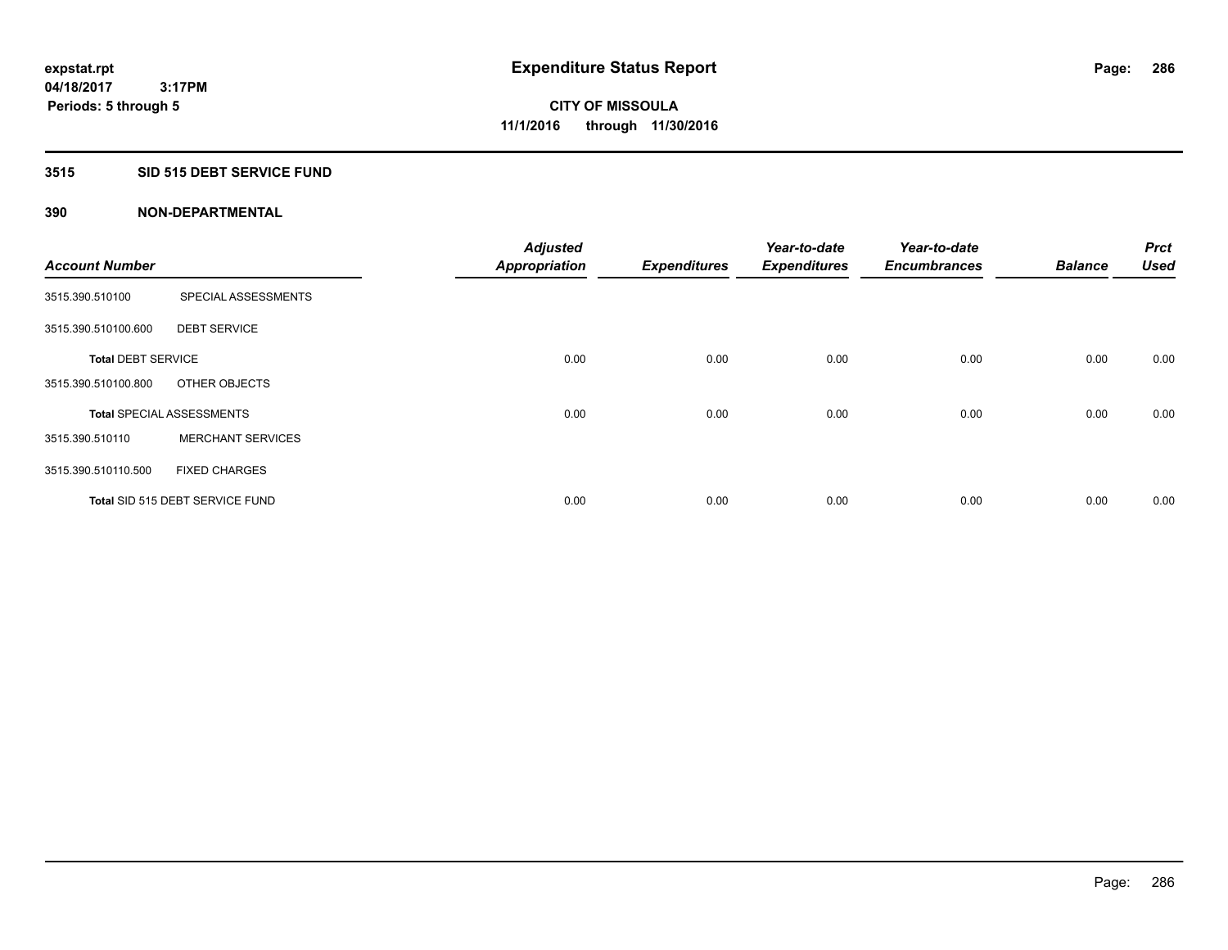# **3515 SID 515 DEBT SERVICE FUND**

| <b>Account Number</b>     |                                  | <b>Adjusted</b>      |                     | Year-to-date        | Year-to-date<br><b>Encumbrances</b> | <b>Balance</b> | <b>Prct</b><br><b>Used</b> |
|---------------------------|----------------------------------|----------------------|---------------------|---------------------|-------------------------------------|----------------|----------------------------|
|                           |                                  | <b>Appropriation</b> | <b>Expenditures</b> | <b>Expenditures</b> |                                     |                |                            |
| 3515.390.510100           | SPECIAL ASSESSMENTS              |                      |                     |                     |                                     |                |                            |
| 3515.390.510100.600       | <b>DEBT SERVICE</b>              |                      |                     |                     |                                     |                |                            |
| <b>Total DEBT SERVICE</b> |                                  | 0.00                 | 0.00                | 0.00                | 0.00                                | 0.00           | 0.00                       |
| 3515.390.510100.800       | OTHER OBJECTS                    |                      |                     |                     |                                     |                |                            |
|                           | <b>Total SPECIAL ASSESSMENTS</b> | 0.00                 | 0.00                | 0.00                | 0.00                                | 0.00           | 0.00                       |
| 3515.390.510110           | <b>MERCHANT SERVICES</b>         |                      |                     |                     |                                     |                |                            |
| 3515.390.510110.500       | <b>FIXED CHARGES</b>             |                      |                     |                     |                                     |                |                            |
|                           | Total SID 515 DEBT SERVICE FUND  | 0.00                 | 0.00                | 0.00                | 0.00                                | 0.00           | 0.00                       |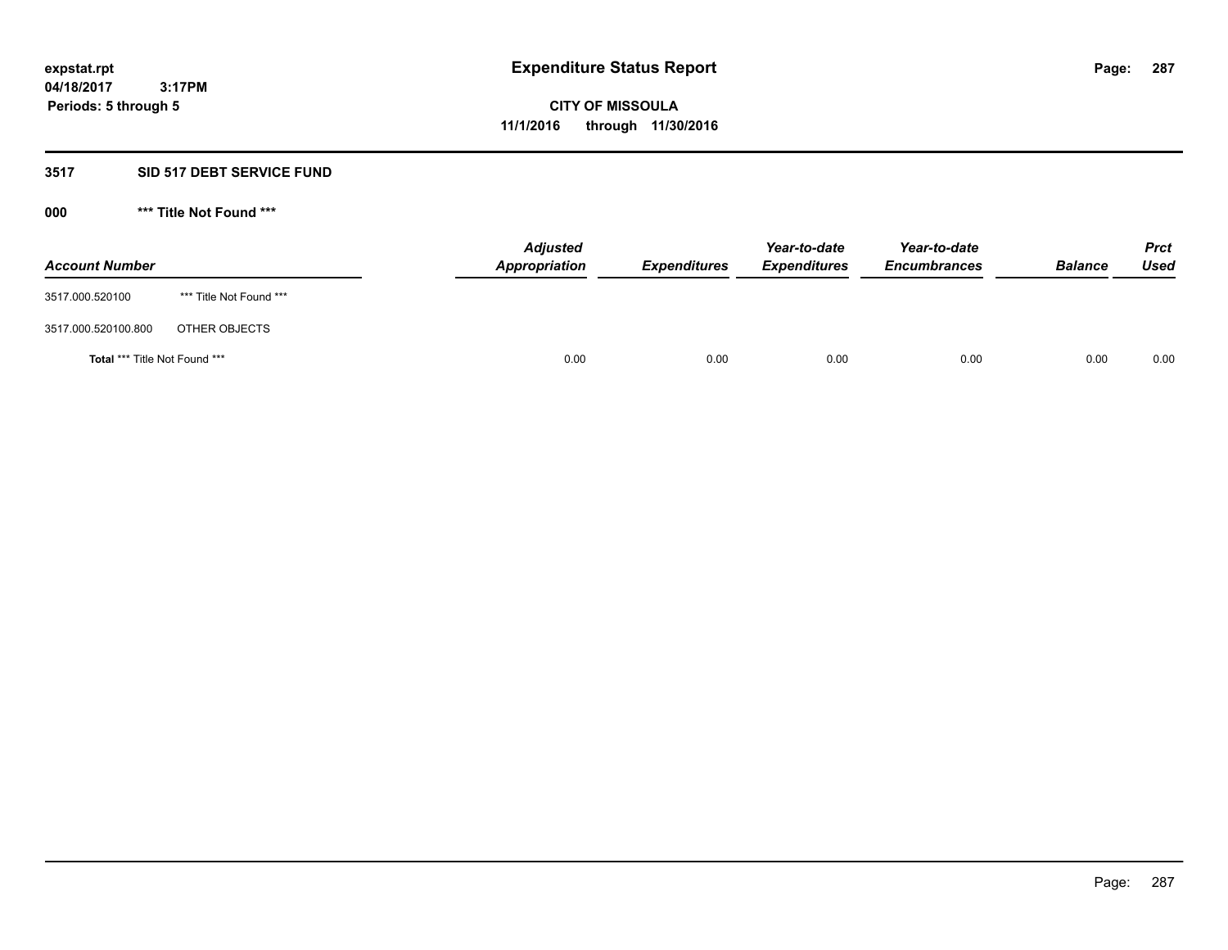#### **3517 SID 517 DEBT SERVICE FUND**

| <b>Account Number</b>                |                         | <b>Adjusted</b><br><b>Appropriation</b> | <b>Expenditures</b> | Year-to-date<br><b>Expenditures</b> | Year-to-date<br><b>Encumbrances</b> | <b>Balance</b> | <b>Prct</b><br><b>Used</b> |
|--------------------------------------|-------------------------|-----------------------------------------|---------------------|-------------------------------------|-------------------------------------|----------------|----------------------------|
| 3517.000.520100                      | *** Title Not Found *** |                                         |                     |                                     |                                     |                |                            |
| 3517.000.520100.800                  | OTHER OBJECTS           |                                         |                     |                                     |                                     |                |                            |
| <b>Total *** Title Not Found ***</b> |                         | 0.00                                    | 0.00                | 0.00                                | 0.00                                | 0.00           | 0.00                       |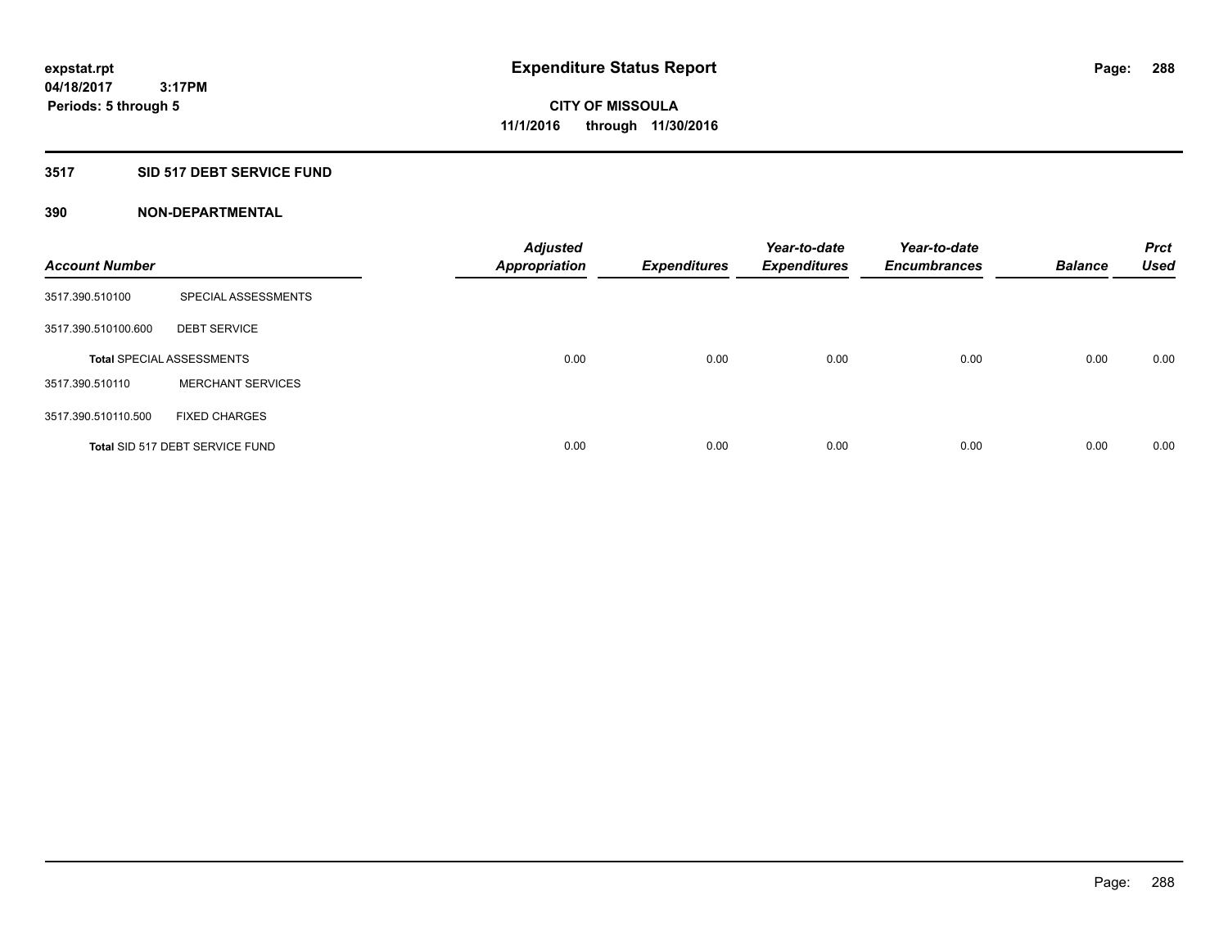# **3517 SID 517 DEBT SERVICE FUND**

| <b>Account Number</b> |                                  | <b>Adjusted</b><br><b>Appropriation</b> | <b>Expenditures</b> | Year-to-date<br><b>Expenditures</b> | Year-to-date<br><b>Encumbrances</b> | <b>Balance</b> | <b>Prct</b><br><b>Used</b> |
|-----------------------|----------------------------------|-----------------------------------------|---------------------|-------------------------------------|-------------------------------------|----------------|----------------------------|
| 3517.390.510100       | SPECIAL ASSESSMENTS              |                                         |                     |                                     |                                     |                |                            |
| 3517.390.510100.600   | <b>DEBT SERVICE</b>              |                                         |                     |                                     |                                     |                |                            |
|                       | <b>Total SPECIAL ASSESSMENTS</b> | 0.00                                    | 0.00                | 0.00                                | 0.00                                | 0.00           | 0.00                       |
| 3517.390.510110       | <b>MERCHANT SERVICES</b>         |                                         |                     |                                     |                                     |                |                            |
| 3517.390.510110.500   | <b>FIXED CHARGES</b>             |                                         |                     |                                     |                                     |                |                            |
|                       | Total SID 517 DEBT SERVICE FUND  | 0.00                                    | 0.00                | 0.00                                | 0.00                                | 0.00           | 0.00                       |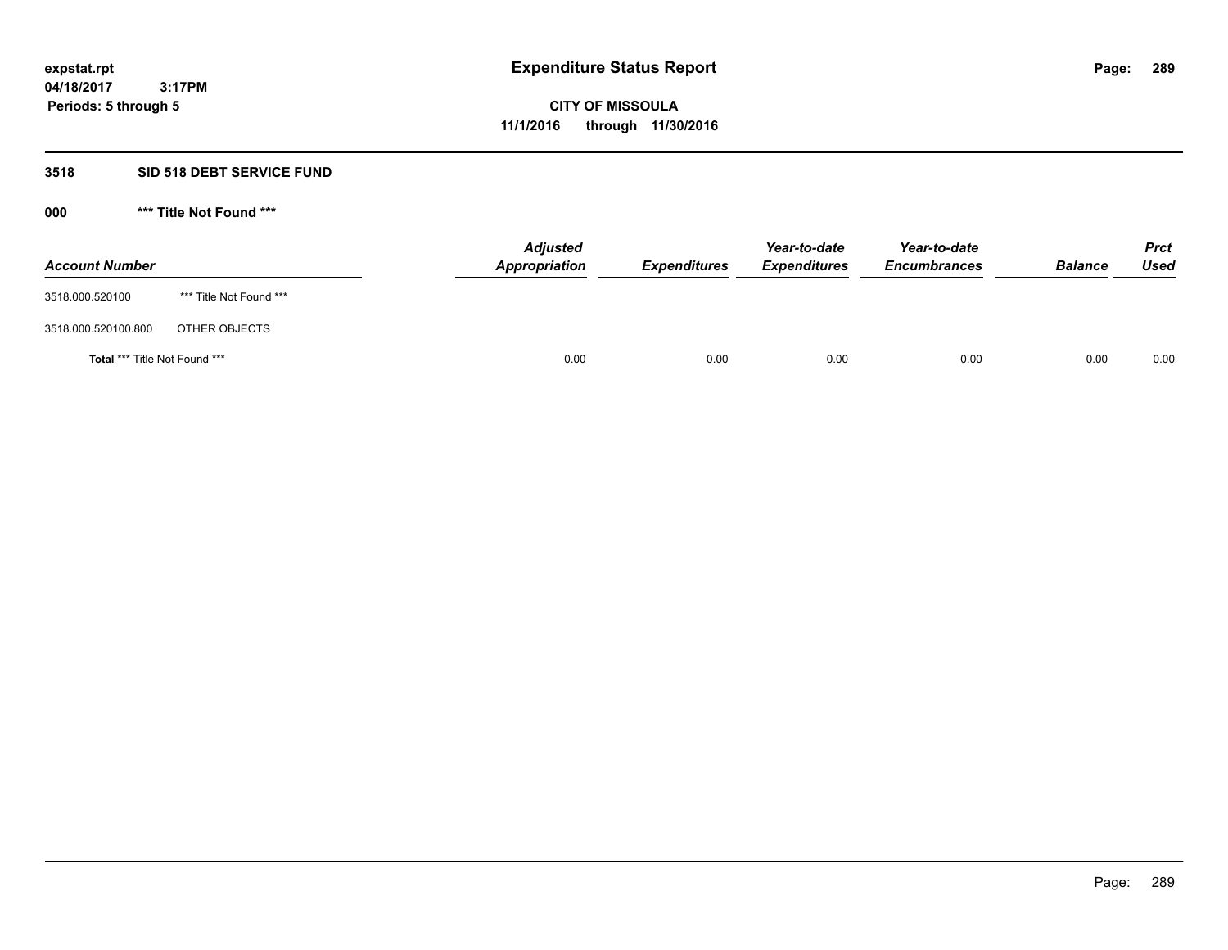## **3518 SID 518 DEBT SERVICE FUND**

**000 \*\*\* Title Not Found \*\*\***

| <b>Account Number</b>                |                         | <b>Adjusted</b><br>Appropriation | <b>Expenditures</b> | Year-to-date<br><b>Expenditures</b> | Year-to-date<br><b>Encumbrances</b> | <b>Balance</b> | <b>Prct</b><br>Used |
|--------------------------------------|-------------------------|----------------------------------|---------------------|-------------------------------------|-------------------------------------|----------------|---------------------|
| 3518.000.520100                      | *** Title Not Found *** |                                  |                     |                                     |                                     |                |                     |
| 3518.000.520100.800                  | OTHER OBJECTS           |                                  |                     |                                     |                                     |                |                     |
| <b>Total *** Title Not Found ***</b> |                         | 0.00                             | 0.00                | 0.00                                | 0.00                                | 0.00           | 0.00                |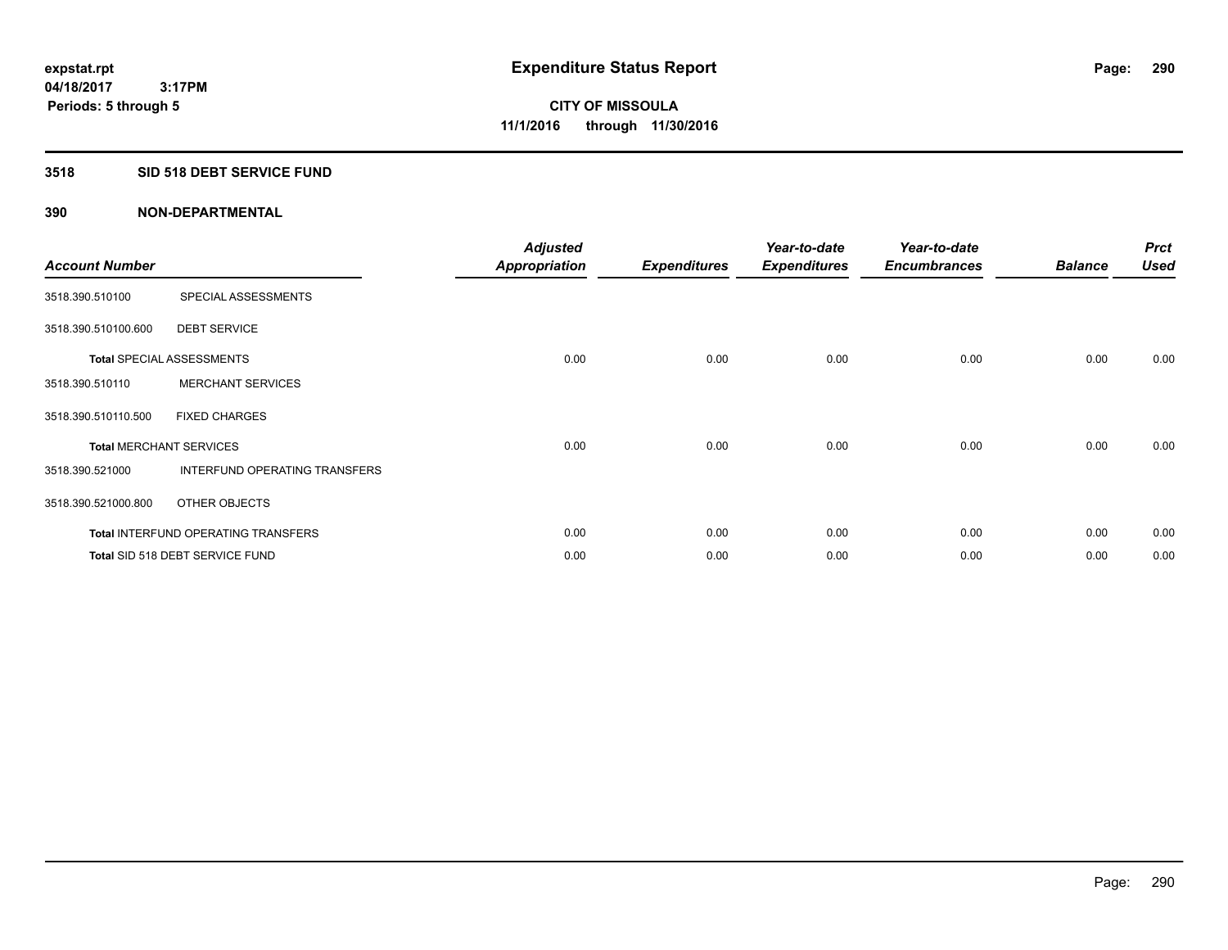## **3518 SID 518 DEBT SERVICE FUND**

| <b>Account Number</b> |                                            | <b>Adjusted</b><br><b>Appropriation</b> | <b>Expenditures</b> | Year-to-date<br><b>Expenditures</b> | Year-to-date<br><b>Encumbrances</b> | <b>Balance</b> | <b>Prct</b><br><b>Used</b> |
|-----------------------|--------------------------------------------|-----------------------------------------|---------------------|-------------------------------------|-------------------------------------|----------------|----------------------------|
| 3518.390.510100       | SPECIAL ASSESSMENTS                        |                                         |                     |                                     |                                     |                |                            |
| 3518.390.510100.600   | <b>DEBT SERVICE</b>                        |                                         |                     |                                     |                                     |                |                            |
|                       | <b>Total SPECIAL ASSESSMENTS</b>           | 0.00                                    | 0.00                | 0.00                                | 0.00                                | 0.00           | 0.00                       |
| 3518.390.510110       | <b>MERCHANT SERVICES</b>                   |                                         |                     |                                     |                                     |                |                            |
| 3518.390.510110.500   | <b>FIXED CHARGES</b>                       |                                         |                     |                                     |                                     |                |                            |
|                       | <b>Total MERCHANT SERVICES</b>             | 0.00                                    | 0.00                | 0.00                                | 0.00                                | 0.00           | 0.00                       |
| 3518.390.521000       | INTERFUND OPERATING TRANSFERS              |                                         |                     |                                     |                                     |                |                            |
| 3518.390.521000.800   | OTHER OBJECTS                              |                                         |                     |                                     |                                     |                |                            |
|                       | <b>Total INTERFUND OPERATING TRANSFERS</b> | 0.00                                    | 0.00                | 0.00                                | 0.00                                | 0.00           | 0.00                       |
|                       | Total SID 518 DEBT SERVICE FUND            | 0.00                                    | 0.00                | 0.00                                | 0.00                                | 0.00           | 0.00                       |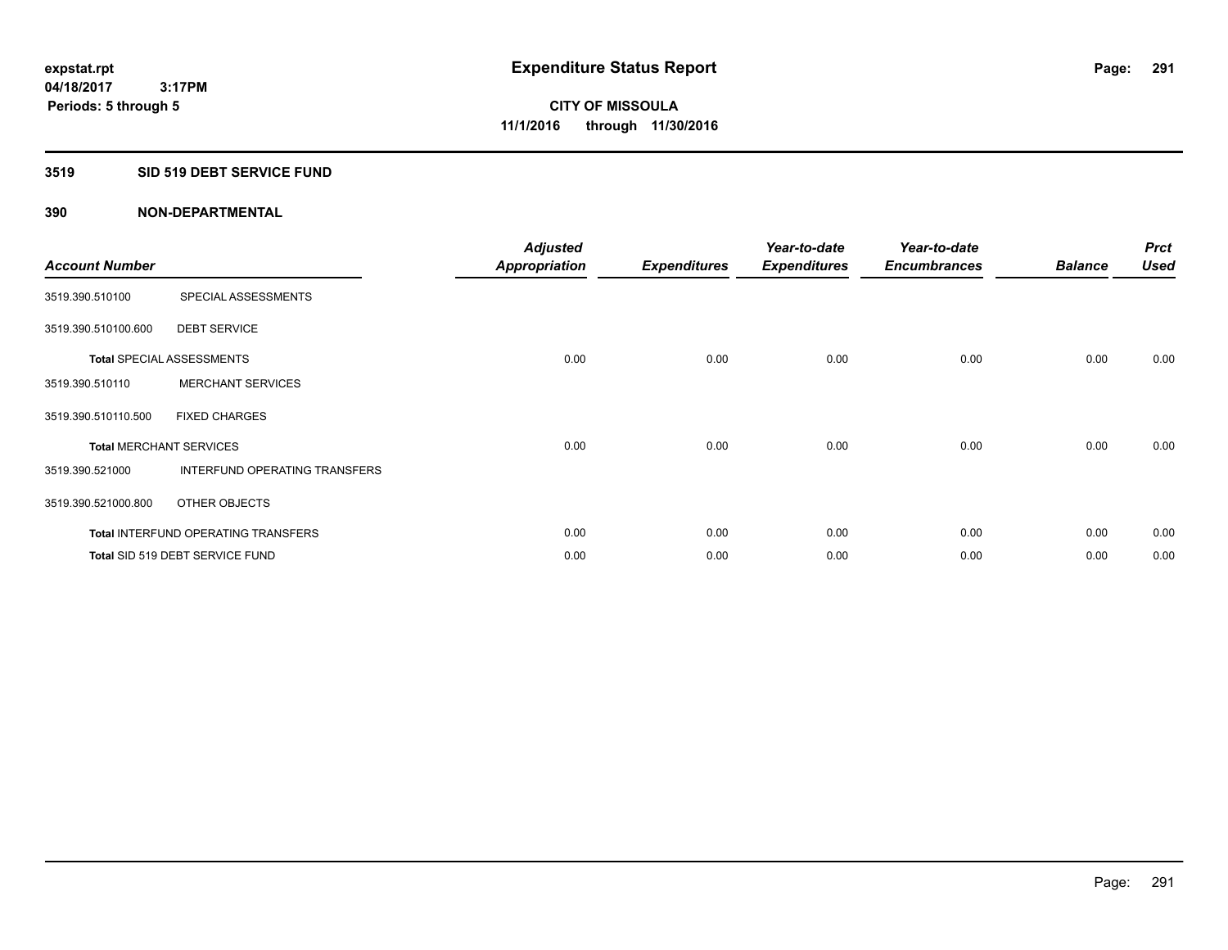#### **3519 SID 519 DEBT SERVICE FUND**

| <b>Account Number</b> |                                            | <b>Adjusted</b><br><b>Appropriation</b> | <b>Expenditures</b> | Year-to-date<br><b>Expenditures</b> | Year-to-date<br><b>Encumbrances</b> | <b>Balance</b> | <b>Prct</b><br><b>Used</b> |
|-----------------------|--------------------------------------------|-----------------------------------------|---------------------|-------------------------------------|-------------------------------------|----------------|----------------------------|
| 3519.390.510100       | SPECIAL ASSESSMENTS                        |                                         |                     |                                     |                                     |                |                            |
| 3519.390.510100.600   | <b>DEBT SERVICE</b>                        |                                         |                     |                                     |                                     |                |                            |
|                       | <b>Total SPECIAL ASSESSMENTS</b>           | 0.00                                    | 0.00                | 0.00                                | 0.00                                | 0.00           | 0.00                       |
| 3519.390.510110       | <b>MERCHANT SERVICES</b>                   |                                         |                     |                                     |                                     |                |                            |
| 3519.390.510110.500   | <b>FIXED CHARGES</b>                       |                                         |                     |                                     |                                     |                |                            |
|                       | <b>Total MERCHANT SERVICES</b>             | 0.00                                    | 0.00                | 0.00                                | 0.00                                | 0.00           | 0.00                       |
| 3519.390.521000       | INTERFUND OPERATING TRANSFERS              |                                         |                     |                                     |                                     |                |                            |
| 3519.390.521000.800   | OTHER OBJECTS                              |                                         |                     |                                     |                                     |                |                            |
|                       | <b>Total INTERFUND OPERATING TRANSFERS</b> | 0.00                                    | 0.00                | 0.00                                | 0.00                                | 0.00           | 0.00                       |
|                       | Total SID 519 DEBT SERVICE FUND            | 0.00                                    | 0.00                | 0.00                                | 0.00                                | 0.00           | 0.00                       |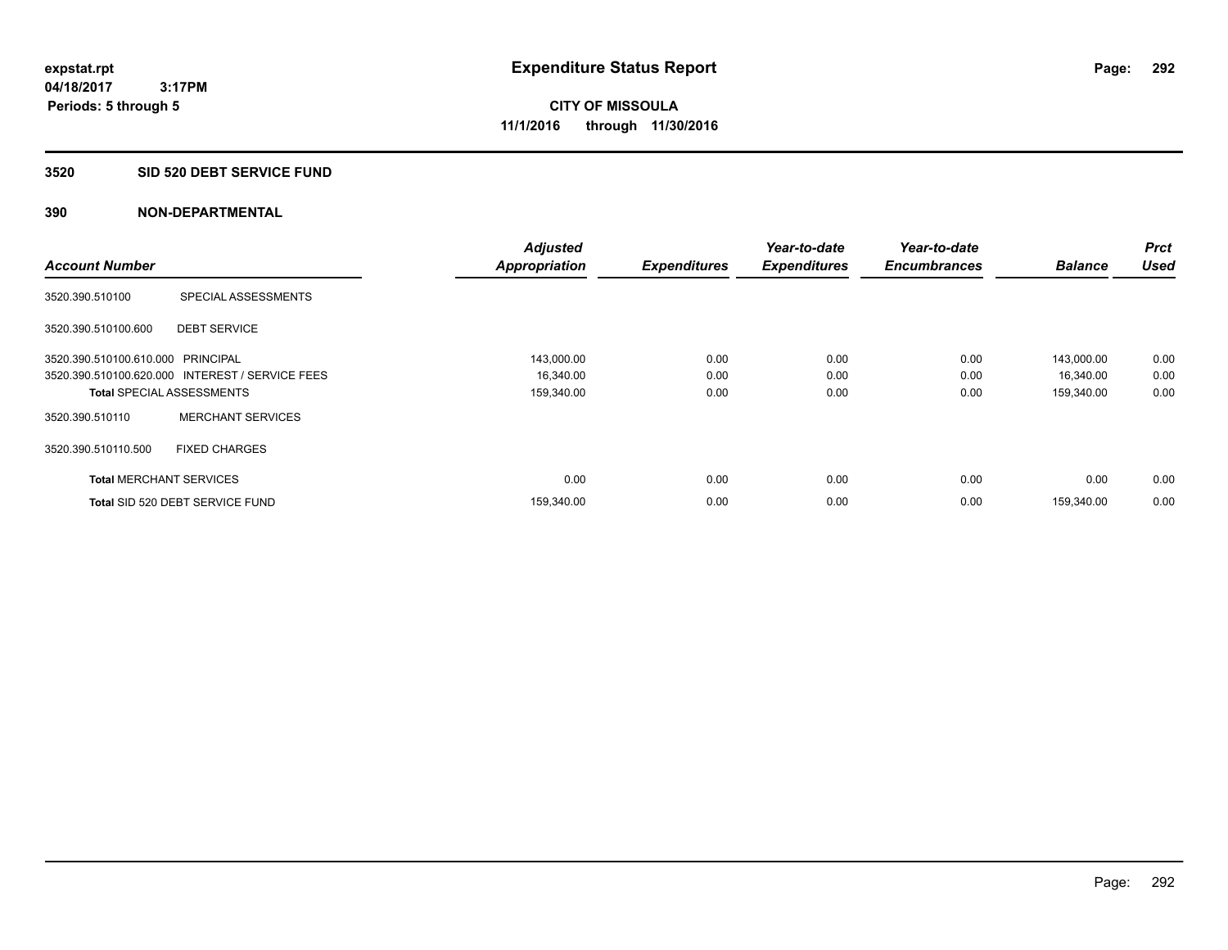#### **3520 SID 520 DEBT SERVICE FUND**

| <b>Account Number</b>             |                                                 | <b>Adjusted</b>      | <b>Expenditures</b> | Year-to-date<br><b>Expenditures</b> | Year-to-date<br><b>Encumbrances</b> | <b>Balance</b> | <b>Prct</b><br><b>Used</b> |
|-----------------------------------|-------------------------------------------------|----------------------|---------------------|-------------------------------------|-------------------------------------|----------------|----------------------------|
|                                   |                                                 | <b>Appropriation</b> |                     |                                     |                                     |                |                            |
| 3520.390.510100                   | SPECIAL ASSESSMENTS                             |                      |                     |                                     |                                     |                |                            |
| 3520.390.510100.600               | <b>DEBT SERVICE</b>                             |                      |                     |                                     |                                     |                |                            |
| 3520.390.510100.610.000 PRINCIPAL |                                                 | 143,000.00           | 0.00                | 0.00                                | 0.00                                | 143,000.00     | 0.00                       |
|                                   | 3520.390.510100.620.000 INTEREST / SERVICE FEES | 16,340.00            | 0.00                | 0.00                                | 0.00                                | 16,340.00      | 0.00                       |
| <b>Total SPECIAL ASSESSMENTS</b>  |                                                 | 159,340.00           | 0.00                | 0.00                                | 0.00                                | 159,340.00     | 0.00                       |
| 3520.390.510110                   | <b>MERCHANT SERVICES</b>                        |                      |                     |                                     |                                     |                |                            |
| 3520.390.510110.500               | <b>FIXED CHARGES</b>                            |                      |                     |                                     |                                     |                |                            |
| <b>Total MERCHANT SERVICES</b>    |                                                 | 0.00                 | 0.00                | 0.00                                | 0.00                                | 0.00           | 0.00                       |
|                                   | Total SID 520 DEBT SERVICE FUND                 | 159,340.00           | 0.00                | 0.00                                | 0.00                                | 159.340.00     | 0.00                       |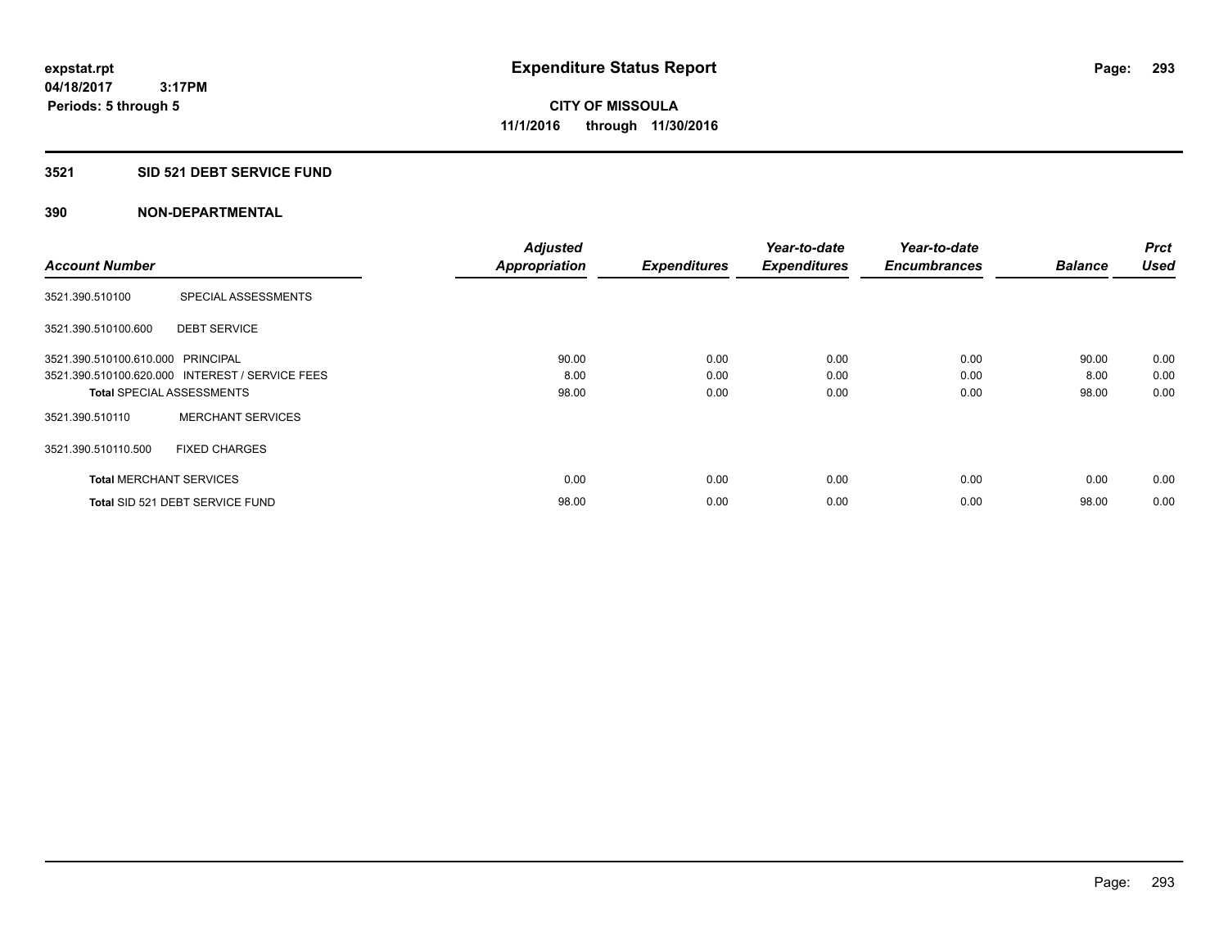## **3521 SID 521 DEBT SERVICE FUND**

|                                   |                                                 | <b>Adjusted</b>      |                     | Year-to-date        | Year-to-date        |                | <b>Prct</b> |
|-----------------------------------|-------------------------------------------------|----------------------|---------------------|---------------------|---------------------|----------------|-------------|
| <b>Account Number</b>             |                                                 | <b>Appropriation</b> | <b>Expenditures</b> | <b>Expenditures</b> | <b>Encumbrances</b> | <b>Balance</b> | <b>Used</b> |
| 3521.390.510100                   | SPECIAL ASSESSMENTS                             |                      |                     |                     |                     |                |             |
| 3521.390.510100.600               | <b>DEBT SERVICE</b>                             |                      |                     |                     |                     |                |             |
| 3521.390.510100.610.000 PRINCIPAL |                                                 | 90.00                | 0.00                | 0.00                | 0.00                | 90.00          | 0.00        |
|                                   | 3521.390.510100.620.000 INTEREST / SERVICE FEES | 8.00                 | 0.00                | 0.00                | 0.00                | 8.00           | 0.00        |
| <b>Total SPECIAL ASSESSMENTS</b>  |                                                 | 98.00                | 0.00                | 0.00                | 0.00                | 98.00          | 0.00        |
| 3521.390.510110                   | <b>MERCHANT SERVICES</b>                        |                      |                     |                     |                     |                |             |
| 3521.390.510110.500               | <b>FIXED CHARGES</b>                            |                      |                     |                     |                     |                |             |
| <b>Total MERCHANT SERVICES</b>    |                                                 | 0.00                 | 0.00                | 0.00                | 0.00                | 0.00           | 0.00        |
|                                   | Total SID 521 DEBT SERVICE FUND                 | 98.00                | 0.00                | 0.00                | 0.00                | 98.00          | 0.00        |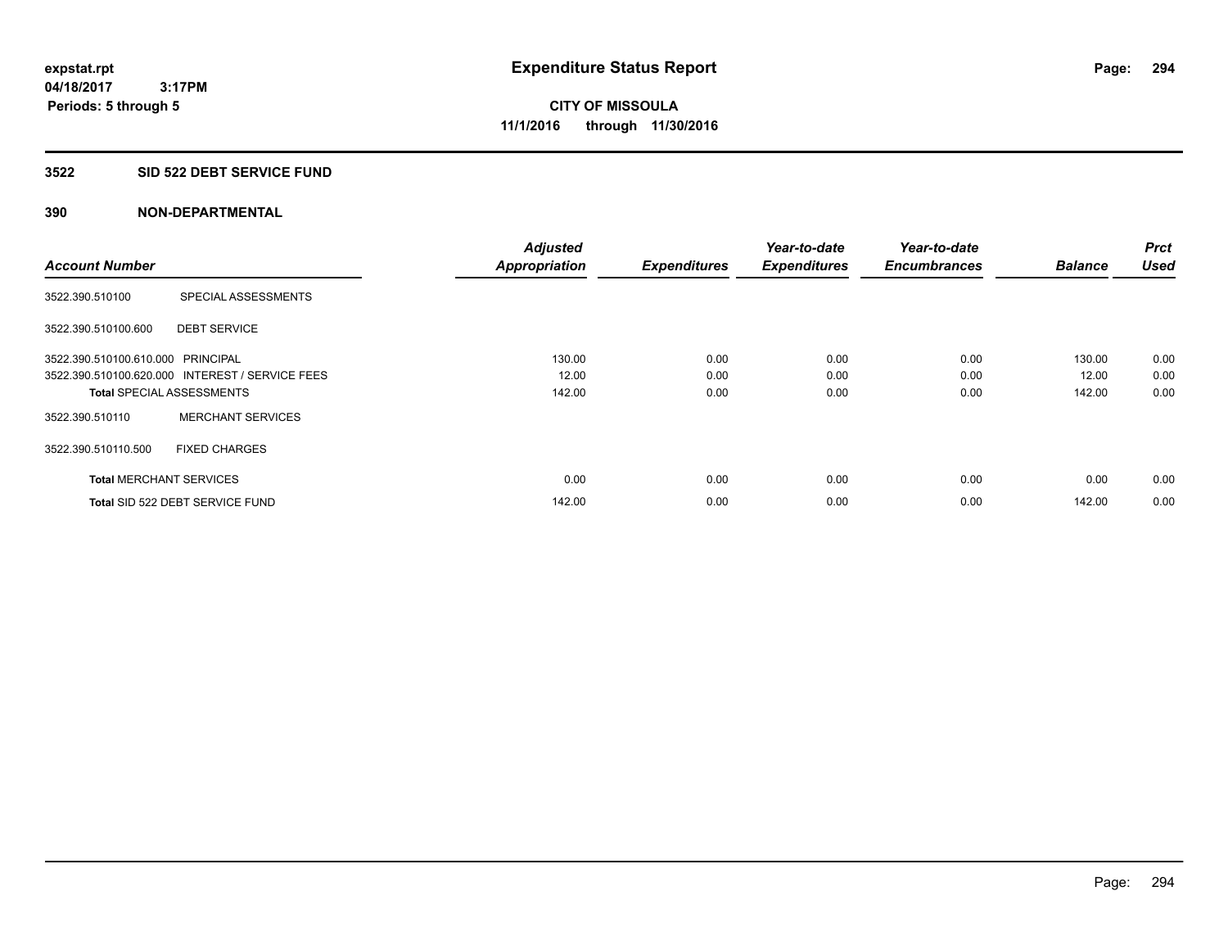### **3522 SID 522 DEBT SERVICE FUND**

|                                   |                                                 | <b>Adjusted</b>      |                     | Year-to-date        | Year-to-date        |                | <b>Prct</b> |
|-----------------------------------|-------------------------------------------------|----------------------|---------------------|---------------------|---------------------|----------------|-------------|
| <b>Account Number</b>             |                                                 | <b>Appropriation</b> | <b>Expenditures</b> | <b>Expenditures</b> | <b>Encumbrances</b> | <b>Balance</b> | <b>Used</b> |
| 3522.390.510100                   | SPECIAL ASSESSMENTS                             |                      |                     |                     |                     |                |             |
| 3522.390.510100.600               | <b>DEBT SERVICE</b>                             |                      |                     |                     |                     |                |             |
| 3522.390.510100.610.000 PRINCIPAL |                                                 | 130.00               | 0.00                | 0.00                | 0.00                | 130.00         | 0.00        |
|                                   | 3522.390.510100.620.000 INTEREST / SERVICE FEES | 12.00                | 0.00                | 0.00                | 0.00                | 12.00          | 0.00        |
| <b>Total SPECIAL ASSESSMENTS</b>  |                                                 | 142.00               | 0.00                | 0.00                | 0.00                | 142.00         | 0.00        |
| 3522.390.510110                   | <b>MERCHANT SERVICES</b>                        |                      |                     |                     |                     |                |             |
| 3522.390.510110.500               | <b>FIXED CHARGES</b>                            |                      |                     |                     |                     |                |             |
| <b>Total MERCHANT SERVICES</b>    |                                                 | 0.00                 | 0.00                | 0.00                | 0.00                | 0.00           | 0.00        |
|                                   | Total SID 522 DEBT SERVICE FUND                 | 142.00               | 0.00                | 0.00                | 0.00                | 142.00         | 0.00        |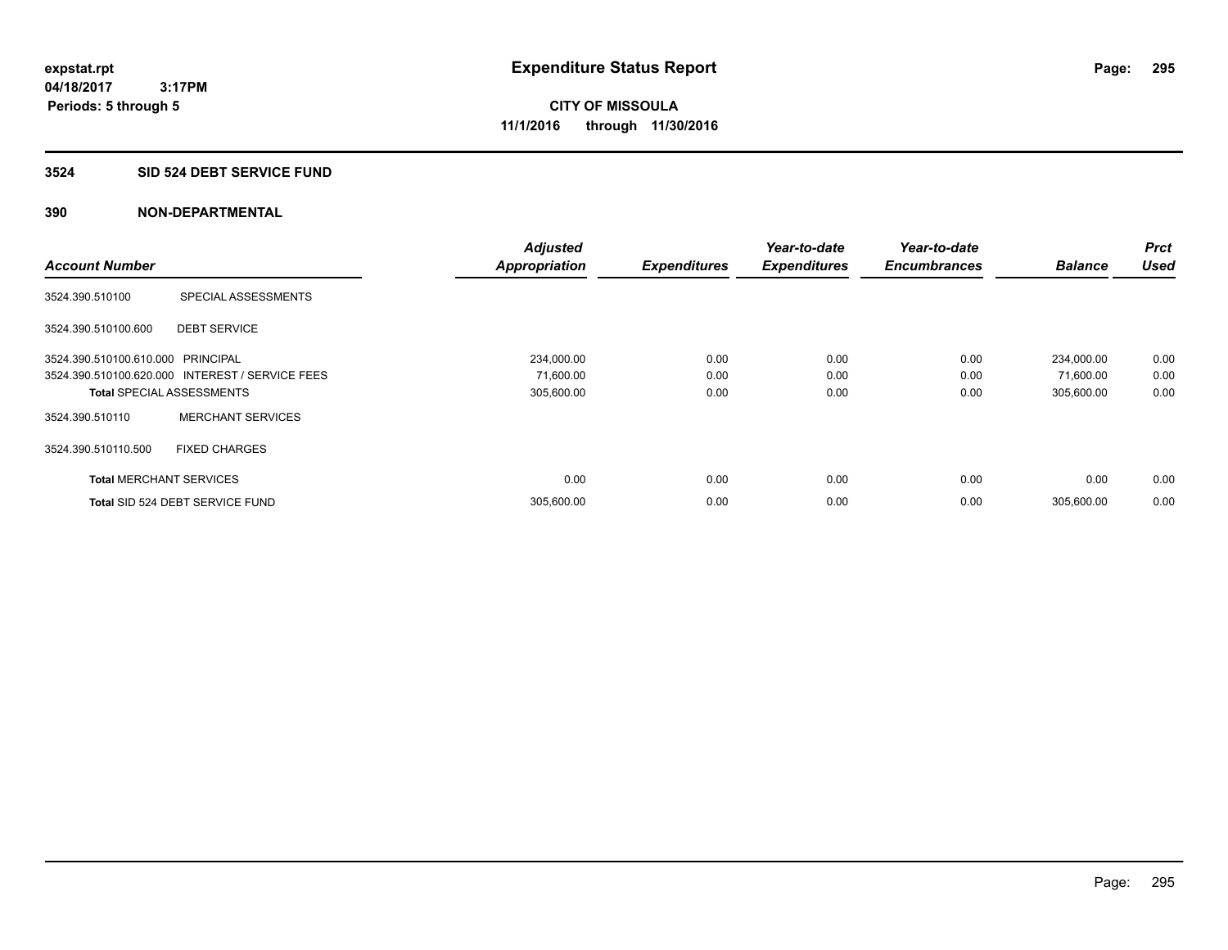### **3524 SID 524 DEBT SERVICE FUND**

| <b>Account Number</b>             |                                                 | <b>Adjusted</b>      |                     | Year-to-date        | Year-to-date<br><b>Encumbrances</b> | <b>Balance</b> | <b>Prct</b><br><b>Used</b> |
|-----------------------------------|-------------------------------------------------|----------------------|---------------------|---------------------|-------------------------------------|----------------|----------------------------|
|                                   |                                                 | <b>Appropriation</b> | <b>Expenditures</b> | <b>Expenditures</b> |                                     |                |                            |
| 3524.390.510100                   | SPECIAL ASSESSMENTS                             |                      |                     |                     |                                     |                |                            |
| 3524.390.510100.600               | <b>DEBT SERVICE</b>                             |                      |                     |                     |                                     |                |                            |
| 3524.390.510100.610.000 PRINCIPAL |                                                 | 234,000.00           | 0.00                | 0.00                | 0.00                                | 234,000.00     | 0.00                       |
|                                   | 3524.390.510100.620.000 INTEREST / SERVICE FEES | 71,600.00            | 0.00                | 0.00                | 0.00                                | 71,600.00      | 0.00                       |
| <b>Total SPECIAL ASSESSMENTS</b>  |                                                 | 305,600.00           | 0.00                | 0.00                | 0.00                                | 305,600.00     | 0.00                       |
| 3524.390.510110                   | <b>MERCHANT SERVICES</b>                        |                      |                     |                     |                                     |                |                            |
| 3524.390.510110.500               | <b>FIXED CHARGES</b>                            |                      |                     |                     |                                     |                |                            |
| <b>Total MERCHANT SERVICES</b>    |                                                 | 0.00                 | 0.00                | 0.00                | 0.00                                | 0.00           | 0.00                       |
|                                   | Total SID 524 DEBT SERVICE FUND                 | 305,600.00           | 0.00                | 0.00                | 0.00                                | 305,600.00     | 0.00                       |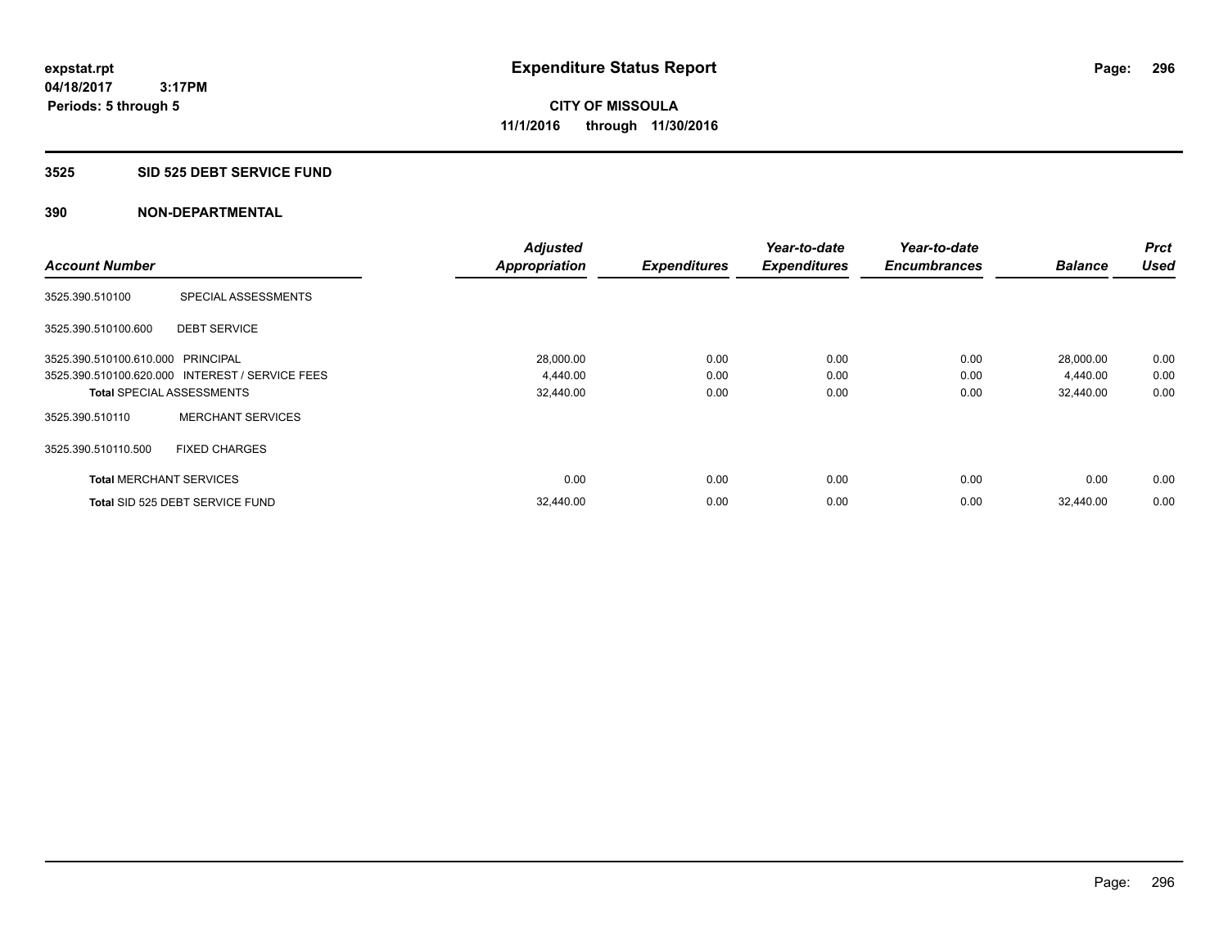#### **3525 SID 525 DEBT SERVICE FUND**

|                                   |                                                 | <b>Adjusted</b>      |                     | Year-to-date        | Year-to-date        |                | <b>Prct</b> |
|-----------------------------------|-------------------------------------------------|----------------------|---------------------|---------------------|---------------------|----------------|-------------|
| <b>Account Number</b>             |                                                 | <b>Appropriation</b> | <b>Expenditures</b> | <b>Expenditures</b> | <b>Encumbrances</b> | <b>Balance</b> | Used        |
| 3525.390.510100                   | SPECIAL ASSESSMENTS                             |                      |                     |                     |                     |                |             |
| 3525.390.510100.600               | <b>DEBT SERVICE</b>                             |                      |                     |                     |                     |                |             |
| 3525.390.510100.610.000 PRINCIPAL |                                                 | 28,000.00            | 0.00                | 0.00                | 0.00                | 28,000.00      | 0.00        |
|                                   | 3525.390.510100.620.000 INTEREST / SERVICE FEES | 4,440.00             | 0.00                | 0.00                | 0.00                | 4,440.00       | 0.00        |
| <b>Total SPECIAL ASSESSMENTS</b>  |                                                 | 32,440.00            | 0.00                | 0.00                | 0.00                | 32,440.00      | 0.00        |
| 3525.390.510110                   | <b>MERCHANT SERVICES</b>                        |                      |                     |                     |                     |                |             |
| 3525.390.510110.500               | <b>FIXED CHARGES</b>                            |                      |                     |                     |                     |                |             |
| <b>Total MERCHANT SERVICES</b>    |                                                 | 0.00                 | 0.00                | 0.00                | 0.00                | 0.00           | 0.00        |
|                                   | Total SID 525 DEBT SERVICE FUND                 | 32,440.00            | 0.00                | 0.00                | 0.00                | 32.440.00      | 0.00        |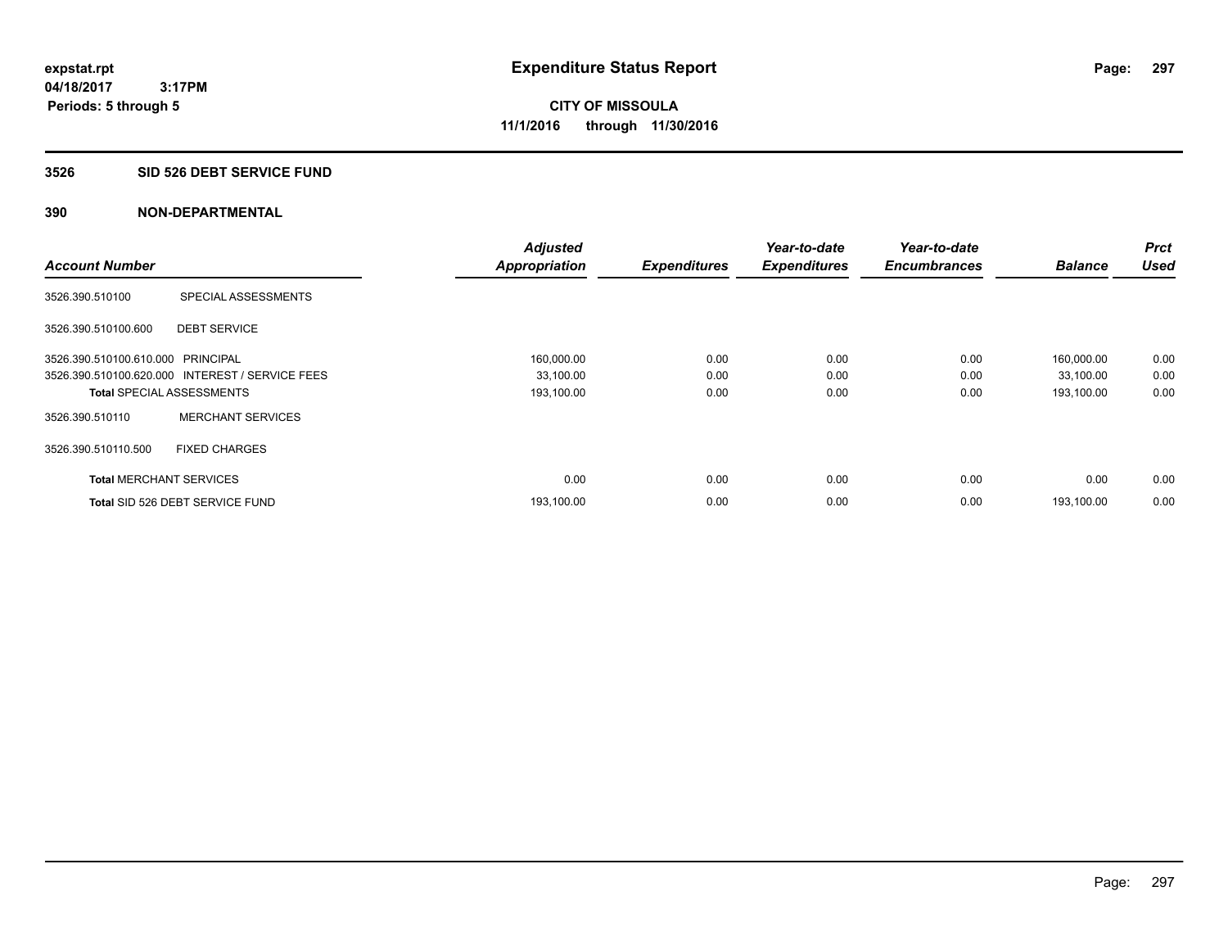#### **3526 SID 526 DEBT SERVICE FUND**

| <b>Account Number</b>             |                                                 | <b>Adjusted</b>      | <b>Expenditures</b> | Year-to-date<br><b>Expenditures</b> | Year-to-date<br><b>Encumbrances</b> | <b>Balance</b> | <b>Prct</b><br><b>Used</b> |
|-----------------------------------|-------------------------------------------------|----------------------|---------------------|-------------------------------------|-------------------------------------|----------------|----------------------------|
|                                   |                                                 | <b>Appropriation</b> |                     |                                     |                                     |                |                            |
| 3526.390.510100                   | SPECIAL ASSESSMENTS                             |                      |                     |                                     |                                     |                |                            |
| 3526.390.510100.600               | <b>DEBT SERVICE</b>                             |                      |                     |                                     |                                     |                |                            |
| 3526.390.510100.610.000 PRINCIPAL |                                                 | 160,000.00           | 0.00                | 0.00                                | 0.00                                | 160,000.00     | 0.00                       |
|                                   | 3526.390.510100.620.000 INTEREST / SERVICE FEES | 33,100.00            | 0.00                | 0.00                                | 0.00                                | 33,100.00      | 0.00                       |
| <b>Total SPECIAL ASSESSMENTS</b>  |                                                 | 193,100.00           | 0.00                | 0.00                                | 0.00                                | 193,100.00     | 0.00                       |
| 3526.390.510110                   | <b>MERCHANT SERVICES</b>                        |                      |                     |                                     |                                     |                |                            |
| 3526.390.510110.500               | <b>FIXED CHARGES</b>                            |                      |                     |                                     |                                     |                |                            |
| <b>Total MERCHANT SERVICES</b>    |                                                 | 0.00                 | 0.00                | 0.00                                | 0.00                                | 0.00           | 0.00                       |
|                                   | Total SID 526 DEBT SERVICE FUND                 | 193,100.00           | 0.00                | 0.00                                | 0.00                                | 193.100.00     | 0.00                       |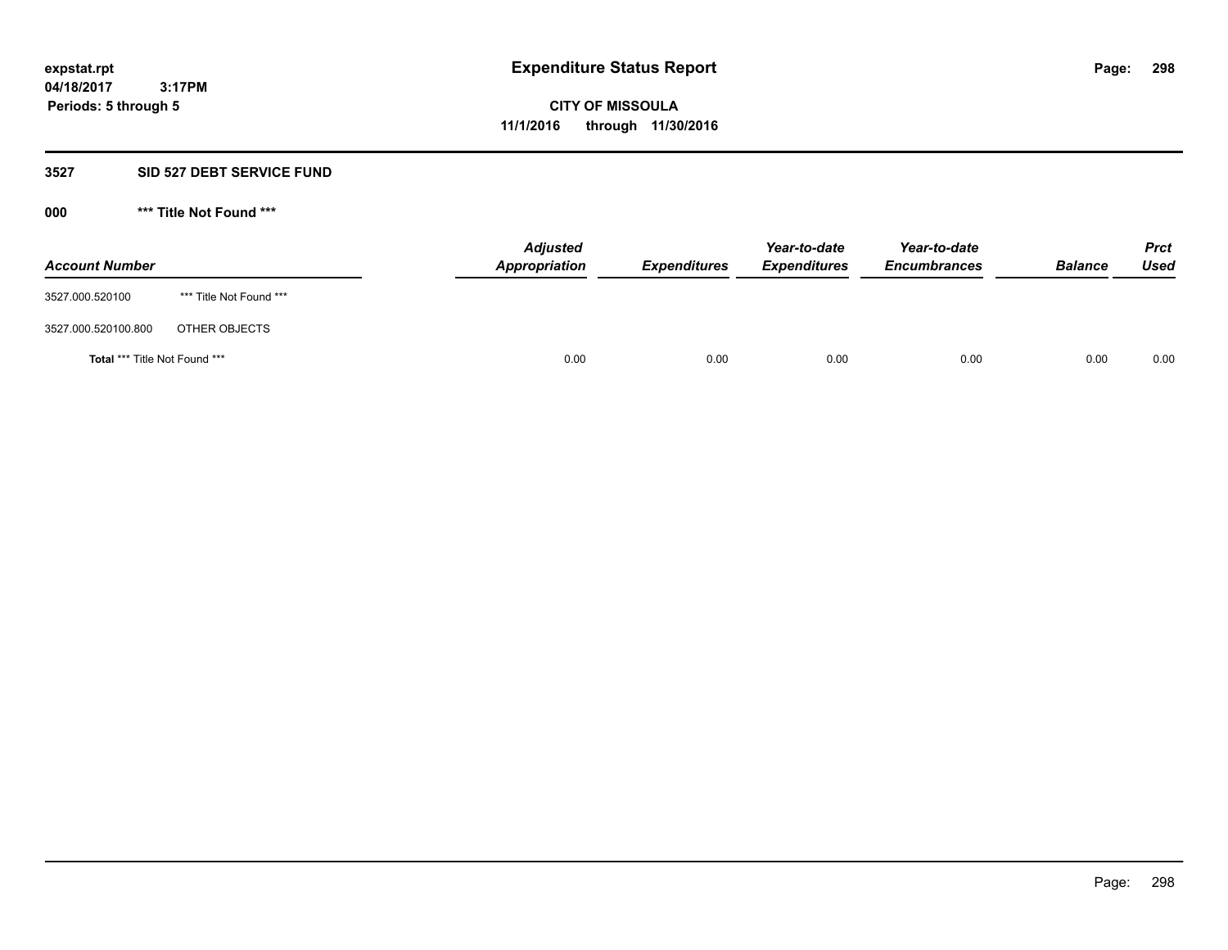#### **3527 SID 527 DEBT SERVICE FUND**

**000 \*\*\* Title Not Found \*\*\***

| <b>Account Number</b>         |                         | <b>Adjusted</b><br>Appropriation | <b>Expenditures</b> | Year-to-date<br><b>Expenditures</b> | Year-to-date<br><b>Encumbrances</b> | <b>Balance</b> | <b>Prct</b><br><b>Used</b> |
|-------------------------------|-------------------------|----------------------------------|---------------------|-------------------------------------|-------------------------------------|----------------|----------------------------|
| 3527.000.520100               | *** Title Not Found *** |                                  |                     |                                     |                                     |                |                            |
| 3527.000.520100.800           | OTHER OBJECTS           |                                  |                     |                                     |                                     |                |                            |
| Total *** Title Not Found *** |                         | 0.00                             | 0.00                | 0.00                                | 0.00                                | 0.00           | 0.00                       |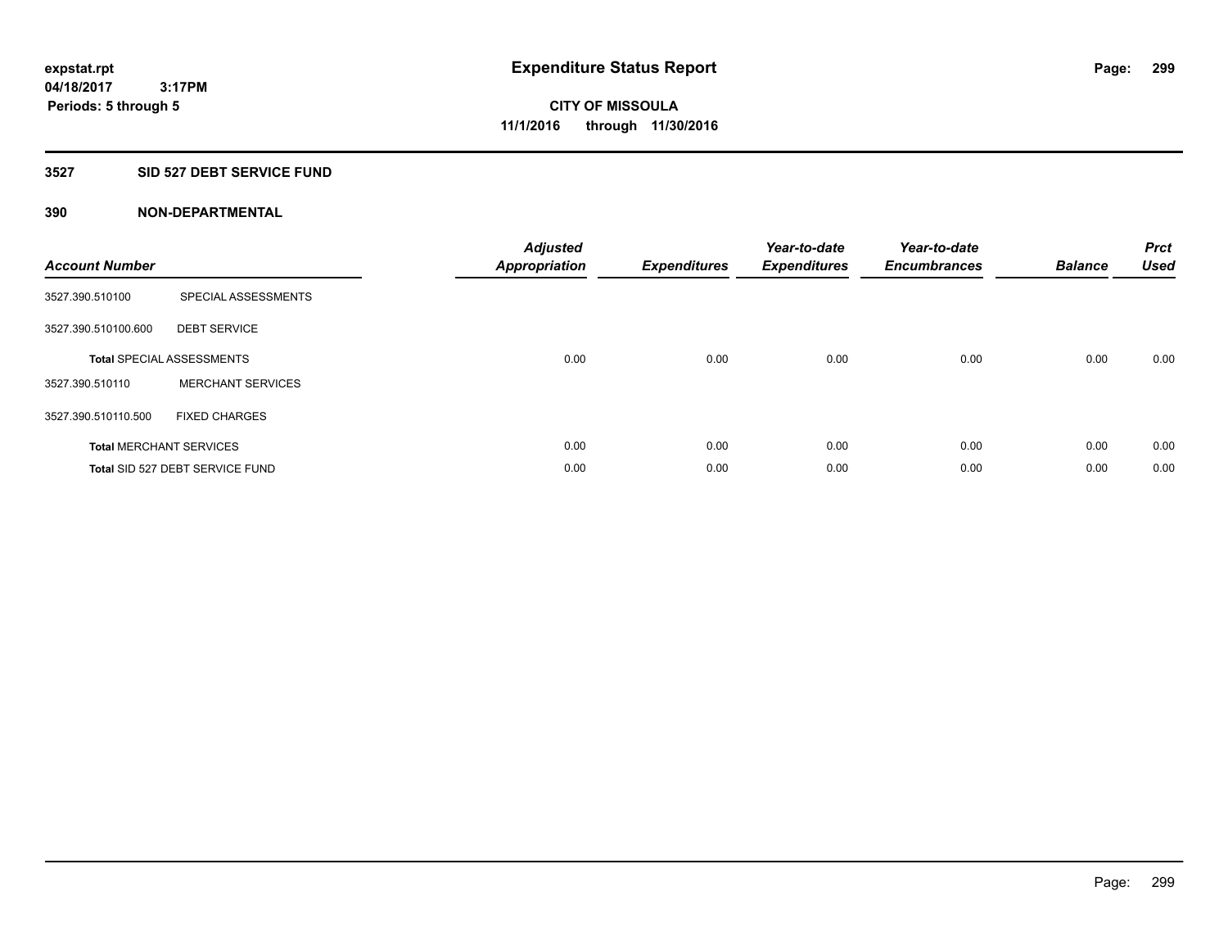### **3527 SID 527 DEBT SERVICE FUND**

| <b>Account Number</b> |                                  | <b>Adjusted</b><br><b>Appropriation</b> | <b>Expenditures</b> | Year-to-date<br><b>Expenditures</b> | Year-to-date<br><b>Encumbrances</b> | <b>Balance</b> | <b>Prct</b><br><b>Used</b> |
|-----------------------|----------------------------------|-----------------------------------------|---------------------|-------------------------------------|-------------------------------------|----------------|----------------------------|
| 3527.390.510100       | SPECIAL ASSESSMENTS              |                                         |                     |                                     |                                     |                |                            |
| 3527.390.510100.600   | <b>DEBT SERVICE</b>              |                                         |                     |                                     |                                     |                |                            |
|                       | <b>Total SPECIAL ASSESSMENTS</b> | 0.00                                    | 0.00                | 0.00                                | 0.00                                | 0.00           | 0.00                       |
| 3527.390.510110       | <b>MERCHANT SERVICES</b>         |                                         |                     |                                     |                                     |                |                            |
| 3527.390.510110.500   | <b>FIXED CHARGES</b>             |                                         |                     |                                     |                                     |                |                            |
|                       | <b>Total MERCHANT SERVICES</b>   | 0.00                                    | 0.00                | 0.00                                | 0.00                                | 0.00           | 0.00                       |
|                       | Total SID 527 DEBT SERVICE FUND  | 0.00                                    | 0.00                | 0.00                                | 0.00                                | 0.00           | 0.00                       |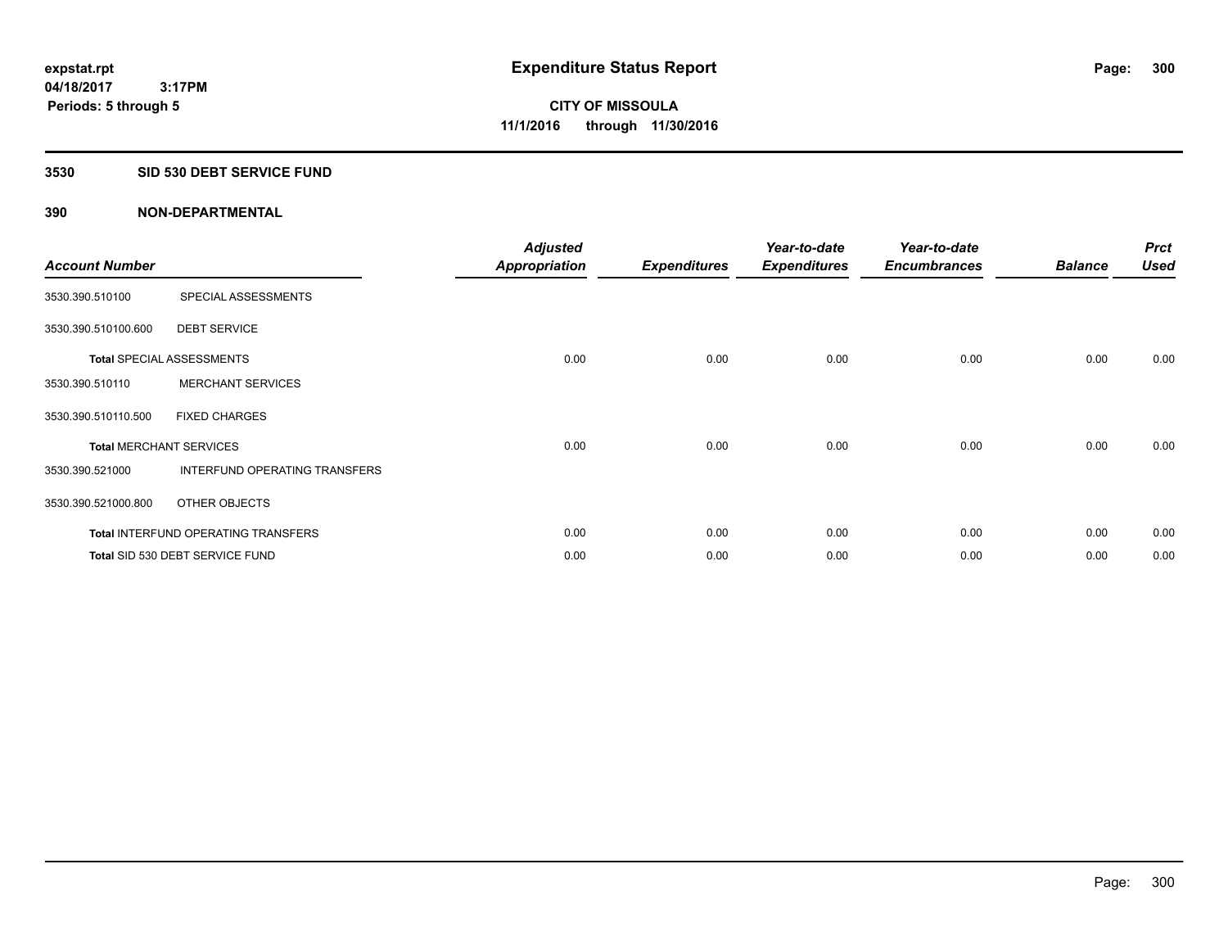## **3530 SID 530 DEBT SERVICE FUND**

| <b>Account Number</b> |                                            | <b>Adjusted</b><br><b>Appropriation</b> | <b>Expenditures</b> | Year-to-date<br><b>Expenditures</b> | Year-to-date<br><b>Encumbrances</b> | <b>Balance</b> | <b>Prct</b><br><b>Used</b> |
|-----------------------|--------------------------------------------|-----------------------------------------|---------------------|-------------------------------------|-------------------------------------|----------------|----------------------------|
| 3530.390.510100       | SPECIAL ASSESSMENTS                        |                                         |                     |                                     |                                     |                |                            |
| 3530.390.510100.600   | <b>DEBT SERVICE</b>                        |                                         |                     |                                     |                                     |                |                            |
|                       | <b>Total SPECIAL ASSESSMENTS</b>           | 0.00                                    | 0.00                | 0.00                                | 0.00                                | 0.00           | 0.00                       |
| 3530.390.510110       | <b>MERCHANT SERVICES</b>                   |                                         |                     |                                     |                                     |                |                            |
| 3530.390.510110.500   | <b>FIXED CHARGES</b>                       |                                         |                     |                                     |                                     |                |                            |
|                       | <b>Total MERCHANT SERVICES</b>             | 0.00                                    | 0.00                | 0.00                                | 0.00                                | 0.00           | 0.00                       |
| 3530.390.521000       | <b>INTERFUND OPERATING TRANSFERS</b>       |                                         |                     |                                     |                                     |                |                            |
| 3530.390.521000.800   | OTHER OBJECTS                              |                                         |                     |                                     |                                     |                |                            |
|                       | <b>Total INTERFUND OPERATING TRANSFERS</b> | 0.00                                    | 0.00                | 0.00                                | 0.00                                | 0.00           | 0.00                       |
|                       | Total SID 530 DEBT SERVICE FUND            | 0.00                                    | 0.00                | 0.00                                | 0.00                                | 0.00           | 0.00                       |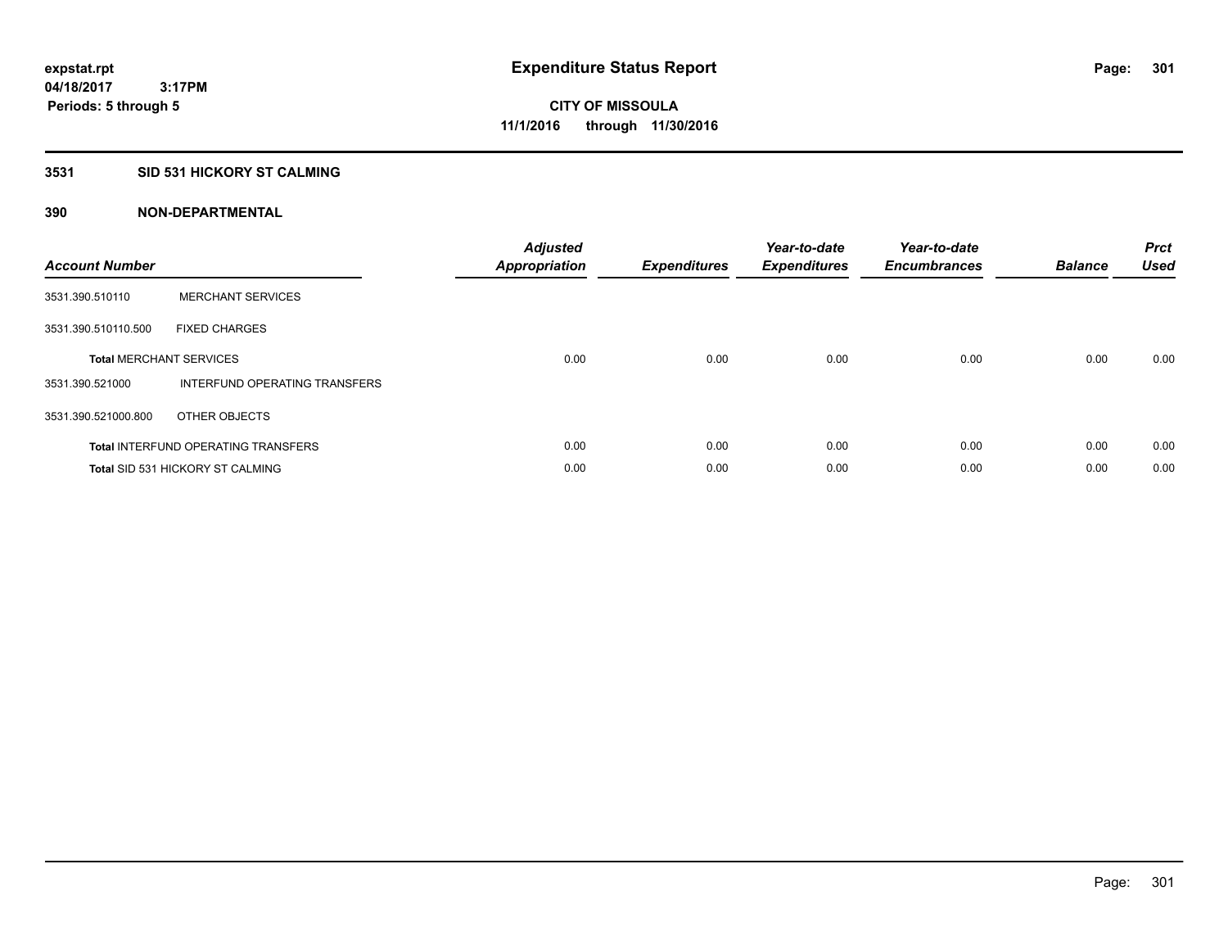### **3531 SID 531 HICKORY ST CALMING**

| <b>Account Number</b> |                                            | <b>Adjusted</b><br>Appropriation | <b>Expenditures</b> | Year-to-date<br><b>Expenditures</b> | Year-to-date<br><b>Encumbrances</b> | <b>Balance</b> | <b>Prct</b><br><b>Used</b> |
|-----------------------|--------------------------------------------|----------------------------------|---------------------|-------------------------------------|-------------------------------------|----------------|----------------------------|
| 3531.390.510110       | <b>MERCHANT SERVICES</b>                   |                                  |                     |                                     |                                     |                |                            |
| 3531.390.510110.500   | <b>FIXED CHARGES</b>                       |                                  |                     |                                     |                                     |                |                            |
|                       | <b>Total MERCHANT SERVICES</b>             | 0.00                             | 0.00                | 0.00                                | 0.00                                | 0.00           | 0.00                       |
| 3531.390.521000       | INTERFUND OPERATING TRANSFERS              |                                  |                     |                                     |                                     |                |                            |
| 3531.390.521000.800   | OTHER OBJECTS                              |                                  |                     |                                     |                                     |                |                            |
|                       | <b>Total INTERFUND OPERATING TRANSFERS</b> | 0.00                             | 0.00                | 0.00                                | 0.00                                | 0.00           | 0.00                       |
|                       | Total SID 531 HICKORY ST CALMING           | 0.00                             | 0.00                | 0.00                                | 0.00                                | 0.00           | 0.00                       |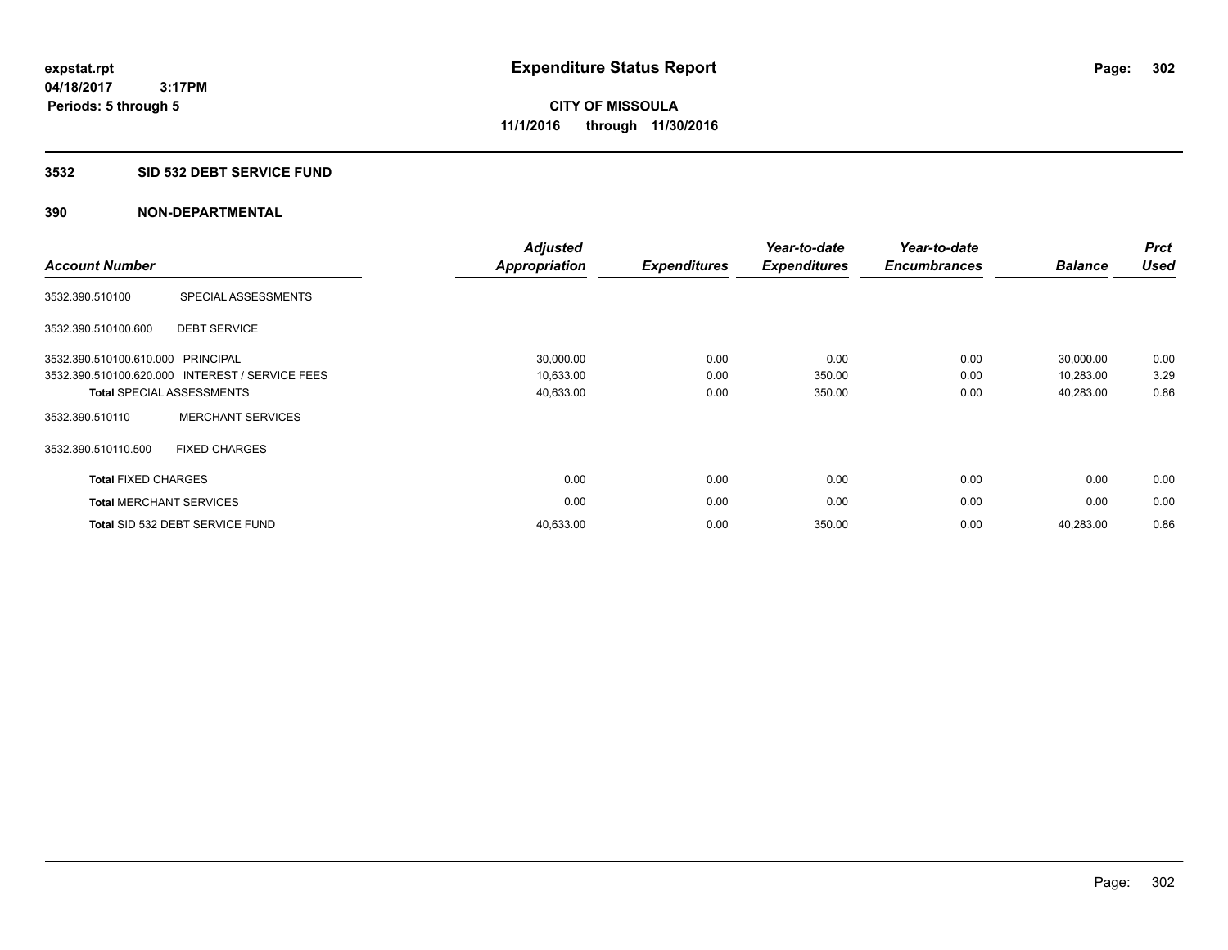#### **3532 SID 532 DEBT SERVICE FUND**

| <b>Account Number</b>          |                                                 | <b>Adjusted</b><br><b>Appropriation</b> | <b>Expenditures</b> | Year-to-date<br><b>Expenditures</b> | Year-to-date<br><b>Encumbrances</b> | <b>Balance</b> | <b>Prct</b><br><b>Used</b> |
|--------------------------------|-------------------------------------------------|-----------------------------------------|---------------------|-------------------------------------|-------------------------------------|----------------|----------------------------|
| 3532.390.510100                | SPECIAL ASSESSMENTS                             |                                         |                     |                                     |                                     |                |                            |
| 3532.390.510100.600            | <b>DEBT SERVICE</b>                             |                                         |                     |                                     |                                     |                |                            |
| 3532.390.510100.610.000        | PRINCIPAL                                       | 30,000.00                               | 0.00                | 0.00                                | 0.00                                | 30,000.00      | 0.00                       |
|                                | 3532.390.510100.620.000 INTEREST / SERVICE FEES | 10,633.00                               | 0.00                | 350.00                              | 0.00                                | 10,283.00      | 3.29                       |
|                                | <b>Total SPECIAL ASSESSMENTS</b>                | 40,633.00                               | 0.00                | 350.00                              | 0.00                                | 40,283.00      | 0.86                       |
| 3532.390.510110                | <b>MERCHANT SERVICES</b>                        |                                         |                     |                                     |                                     |                |                            |
| 3532.390.510110.500            | <b>FIXED CHARGES</b>                            |                                         |                     |                                     |                                     |                |                            |
| <b>Total FIXED CHARGES</b>     |                                                 | 0.00                                    | 0.00                | 0.00                                | 0.00                                | 0.00           | 0.00                       |
| <b>Total MERCHANT SERVICES</b> |                                                 | 0.00                                    | 0.00                | 0.00                                | 0.00                                | 0.00           | 0.00                       |
|                                | Total SID 532 DEBT SERVICE FUND                 | 40,633.00                               | 0.00                | 350.00                              | 0.00                                | 40,283.00      | 0.86                       |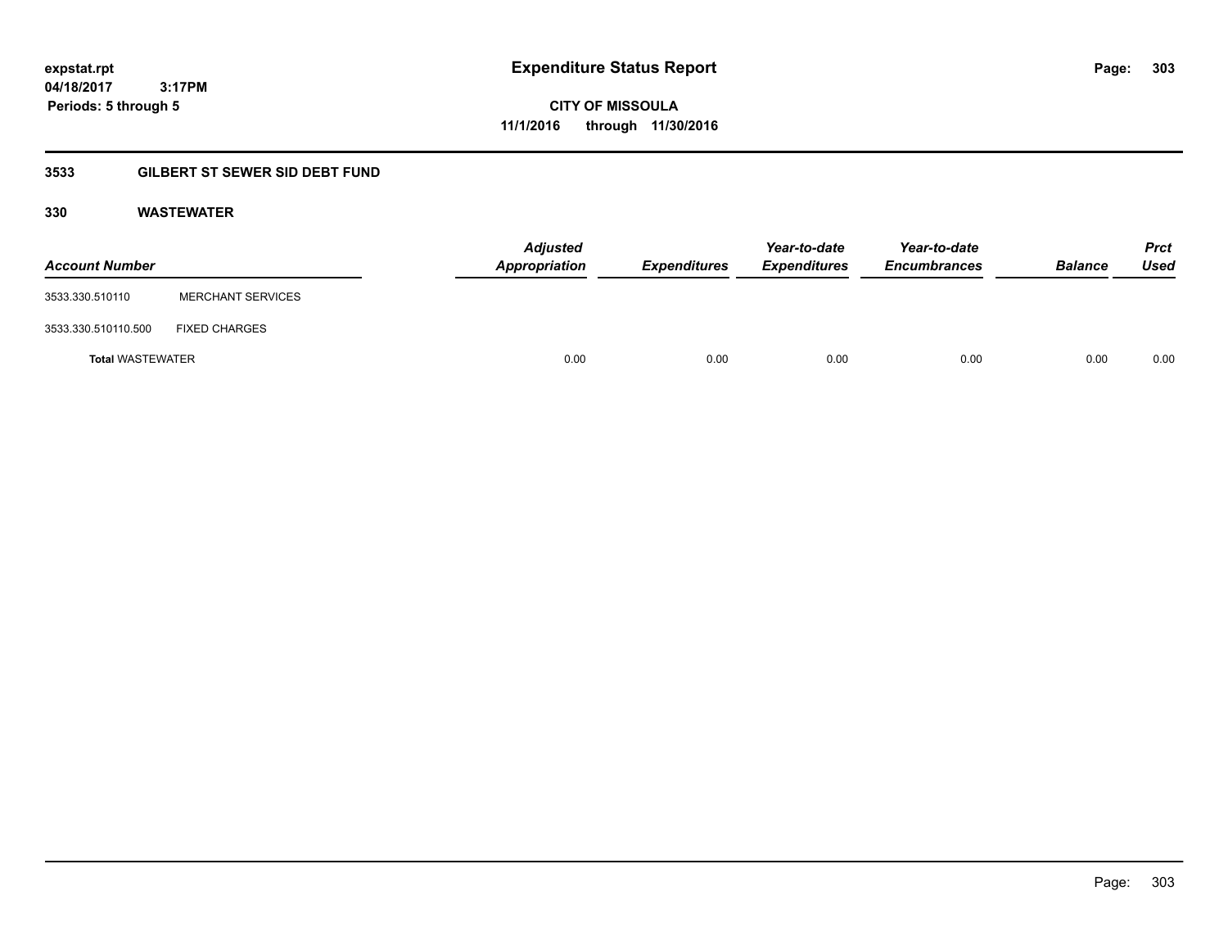**CITY OF MISSOULA 11/1/2016 through 11/30/2016**

## **3533 GILBERT ST SEWER SID DEBT FUND**

### **330 WASTEWATER**

| <b>Account Number</b>   |                          | <b>Adjusted</b><br>Appropriation | <b>Expenditures</b> | Year-to-date<br><b>Expenditures</b> | Year-to-date<br><b>Encumbrances</b> | <b>Balance</b> | <b>Prct</b><br>Used |
|-------------------------|--------------------------|----------------------------------|---------------------|-------------------------------------|-------------------------------------|----------------|---------------------|
| 3533.330.510110         | <b>MERCHANT SERVICES</b> |                                  |                     |                                     |                                     |                |                     |
| 3533.330.510110.500     | <b>FIXED CHARGES</b>     |                                  |                     |                                     |                                     |                |                     |
| <b>Total WASTEWATER</b> |                          | 0.00                             | 0.00                | 0.00                                | 0.00                                | 0.00           | 0.00                |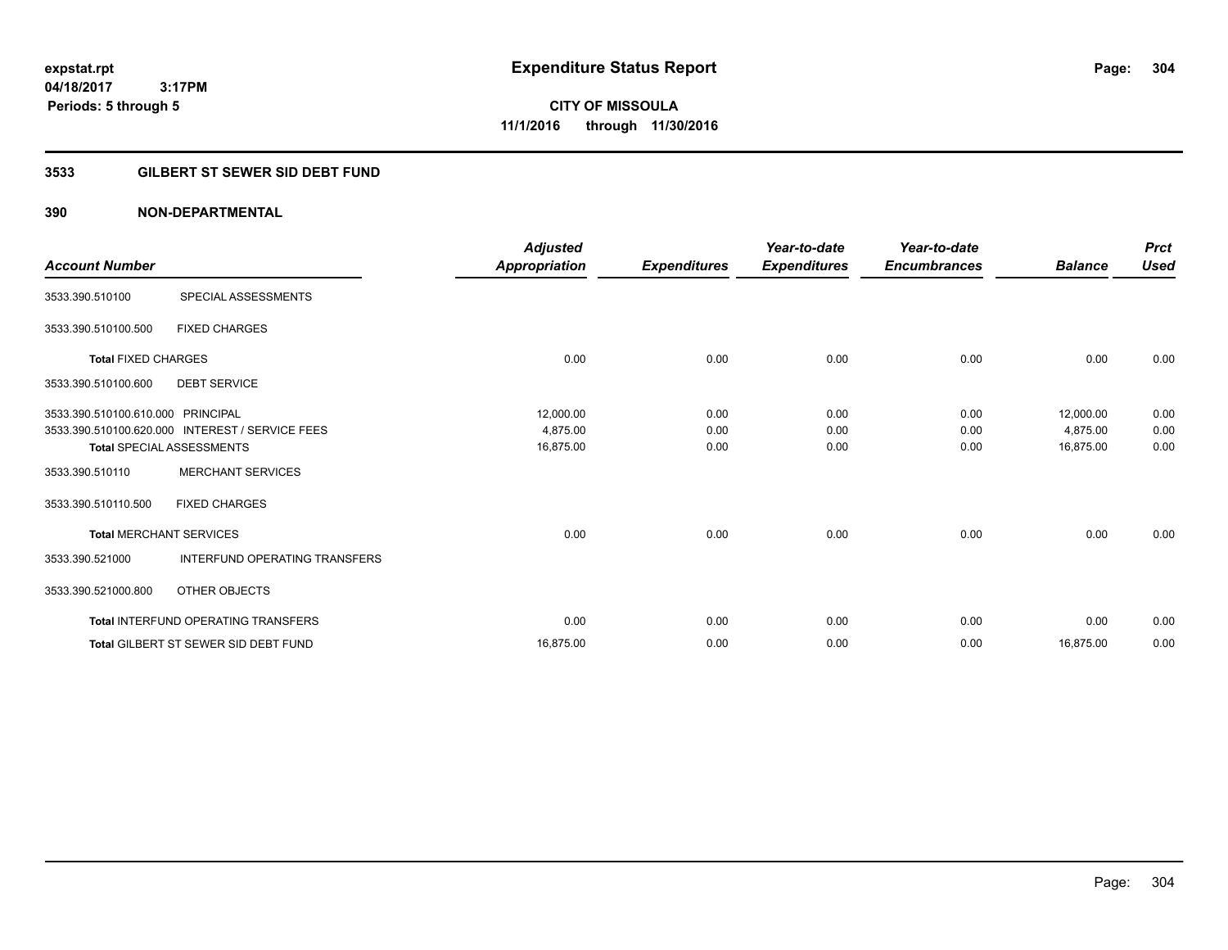# **CITY OF MISSOULA 11/1/2016 through 11/30/2016**

## **3533 GILBERT ST SEWER SID DEBT FUND**

| <b>Account Number</b>             |                                                 | <b>Adjusted</b><br>Appropriation | <b>Expenditures</b> | Year-to-date<br><b>Expenditures</b> | Year-to-date<br><b>Encumbrances</b> | <b>Balance</b> | <b>Prct</b><br><b>Used</b> |
|-----------------------------------|-------------------------------------------------|----------------------------------|---------------------|-------------------------------------|-------------------------------------|----------------|----------------------------|
| 3533.390.510100                   | SPECIAL ASSESSMENTS                             |                                  |                     |                                     |                                     |                |                            |
| 3533.390.510100.500               | <b>FIXED CHARGES</b>                            |                                  |                     |                                     |                                     |                |                            |
| <b>Total FIXED CHARGES</b>        |                                                 | 0.00                             | 0.00                | 0.00                                | 0.00                                | 0.00           | 0.00                       |
| 3533.390.510100.600               | <b>DEBT SERVICE</b>                             |                                  |                     |                                     |                                     |                |                            |
| 3533.390.510100.610.000 PRINCIPAL |                                                 | 12,000.00                        | 0.00                | 0.00                                | 0.00                                | 12,000.00      | 0.00                       |
|                                   | 3533.390.510100.620.000 INTEREST / SERVICE FEES | 4,875.00                         | 0.00                | 0.00                                | 0.00                                | 4,875.00       | 0.00                       |
|                                   | <b>Total SPECIAL ASSESSMENTS</b>                | 16,875.00                        | 0.00                | 0.00                                | 0.00                                | 16,875.00      | 0.00                       |
| 3533.390.510110                   | <b>MERCHANT SERVICES</b>                        |                                  |                     |                                     |                                     |                |                            |
| 3533.390.510110.500               | <b>FIXED CHARGES</b>                            |                                  |                     |                                     |                                     |                |                            |
|                                   | <b>Total MERCHANT SERVICES</b>                  | 0.00                             | 0.00                | 0.00                                | 0.00                                | 0.00           | 0.00                       |
| 3533.390.521000                   | <b>INTERFUND OPERATING TRANSFERS</b>            |                                  |                     |                                     |                                     |                |                            |
| 3533.390.521000.800               | OTHER OBJECTS                                   |                                  |                     |                                     |                                     |                |                            |
|                                   | <b>Total INTERFUND OPERATING TRANSFERS</b>      | 0.00                             | 0.00                | 0.00                                | 0.00                                | 0.00           | 0.00                       |
|                                   | <b>Total GILBERT ST SEWER SID DEBT FUND</b>     | 16,875.00                        | 0.00                | 0.00                                | 0.00                                | 16,875.00      | 0.00                       |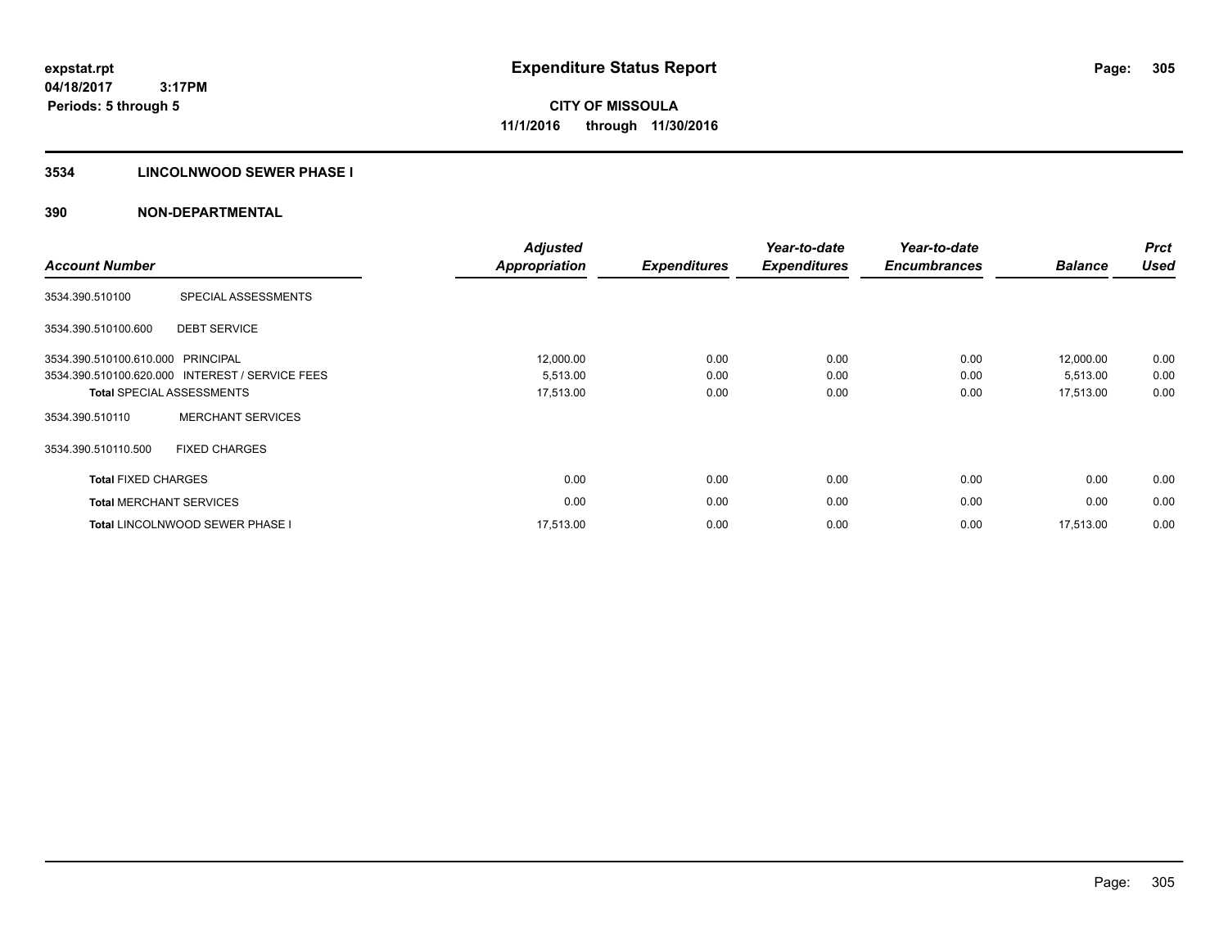## **3534 LINCOLNWOOD SEWER PHASE I**

| <b>Account Number</b>             |                                                 | <b>Adjusted</b><br><b>Appropriation</b> | <b>Expenditures</b> | Year-to-date<br><b>Expenditures</b> | Year-to-date<br><b>Encumbrances</b> | <b>Balance</b> | <b>Prct</b><br><b>Used</b> |
|-----------------------------------|-------------------------------------------------|-----------------------------------------|---------------------|-------------------------------------|-------------------------------------|----------------|----------------------------|
| 3534.390.510100                   | SPECIAL ASSESSMENTS                             |                                         |                     |                                     |                                     |                |                            |
| 3534.390.510100.600               | <b>DEBT SERVICE</b>                             |                                         |                     |                                     |                                     |                |                            |
| 3534.390.510100.610.000 PRINCIPAL |                                                 | 12,000.00                               | 0.00                | 0.00                                | 0.00                                | 12,000.00      | 0.00                       |
|                                   | 3534.390.510100.620.000 INTEREST / SERVICE FEES | 5,513.00                                | 0.00                | 0.00                                | 0.00                                | 5,513.00       | 0.00                       |
|                                   | <b>Total SPECIAL ASSESSMENTS</b>                | 17,513.00                               | 0.00                | 0.00                                | 0.00                                | 17,513.00      | 0.00                       |
| 3534.390.510110                   | <b>MERCHANT SERVICES</b>                        |                                         |                     |                                     |                                     |                |                            |
| 3534.390.510110.500               | <b>FIXED CHARGES</b>                            |                                         |                     |                                     |                                     |                |                            |
| <b>Total FIXED CHARGES</b>        |                                                 | 0.00                                    | 0.00                | 0.00                                | 0.00                                | 0.00           | 0.00                       |
|                                   | <b>Total MERCHANT SERVICES</b>                  | 0.00                                    | 0.00                | 0.00                                | 0.00                                | 0.00           | 0.00                       |
|                                   | <b>Total LINCOLNWOOD SEWER PHASE I</b>          | 17,513.00                               | 0.00                | 0.00                                | 0.00                                | 17,513.00      | 0.00                       |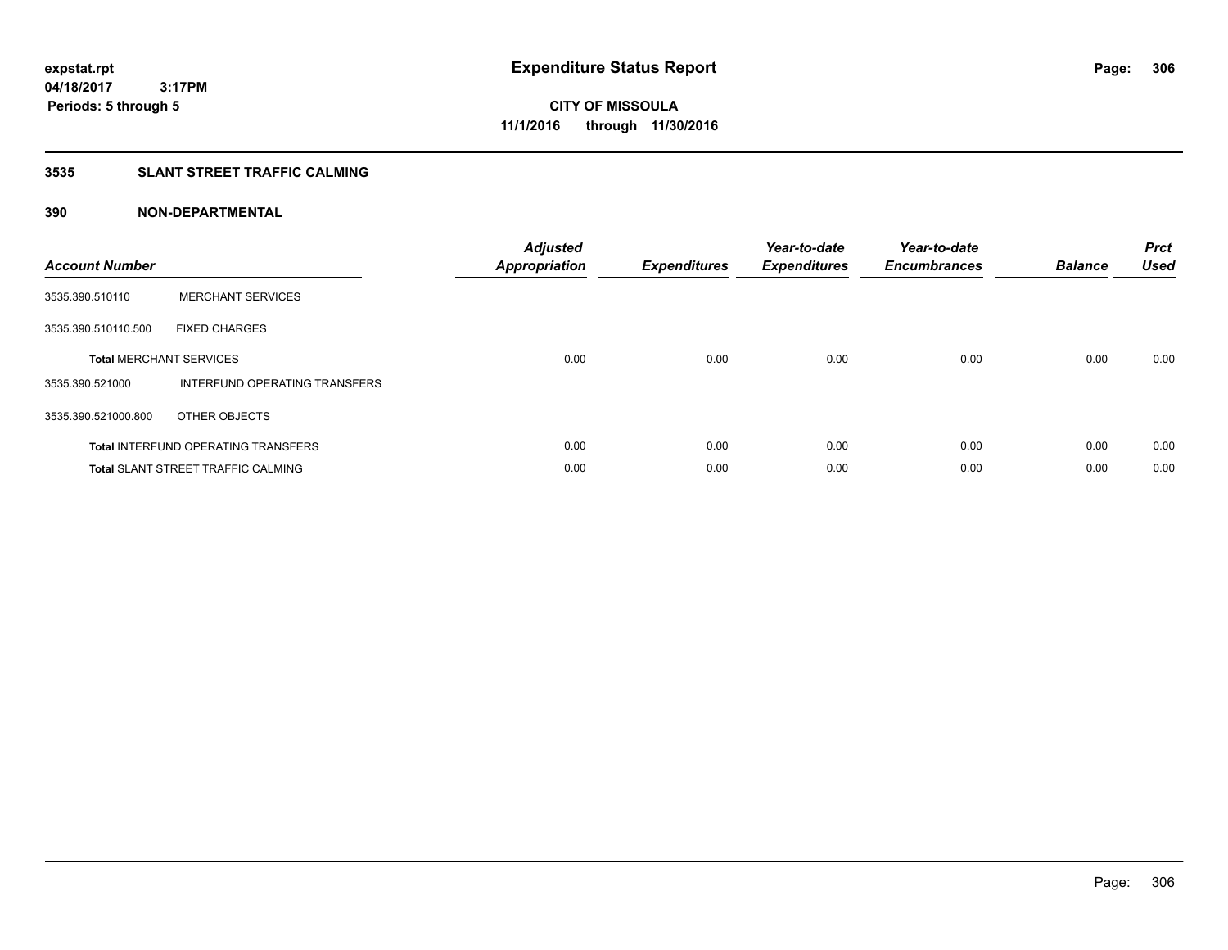## **3535 SLANT STREET TRAFFIC CALMING**

| <b>Account Number</b> |                                            | <b>Adjusted</b><br>Appropriation | <b>Expenditures</b> | Year-to-date<br><b>Expenditures</b> | Year-to-date<br><b>Encumbrances</b> | <b>Balance</b> | <b>Prct</b><br>Used |
|-----------------------|--------------------------------------------|----------------------------------|---------------------|-------------------------------------|-------------------------------------|----------------|---------------------|
| 3535.390.510110       | <b>MERCHANT SERVICES</b>                   |                                  |                     |                                     |                                     |                |                     |
| 3535.390.510110.500   | <b>FIXED CHARGES</b>                       |                                  |                     |                                     |                                     |                |                     |
|                       | <b>Total MERCHANT SERVICES</b>             | 0.00                             | 0.00                | 0.00                                | 0.00                                | 0.00           | 0.00                |
| 3535.390.521000       | INTERFUND OPERATING TRANSFERS              |                                  |                     |                                     |                                     |                |                     |
| 3535.390.521000.800   | OTHER OBJECTS                              |                                  |                     |                                     |                                     |                |                     |
|                       | <b>Total INTERFUND OPERATING TRANSFERS</b> | 0.00                             | 0.00                | 0.00                                | 0.00                                | 0.00           | 0.00                |
|                       | <b>Total SLANT STREET TRAFFIC CALMING</b>  | 0.00                             | 0.00                | 0.00                                | 0.00                                | 0.00           | 0.00                |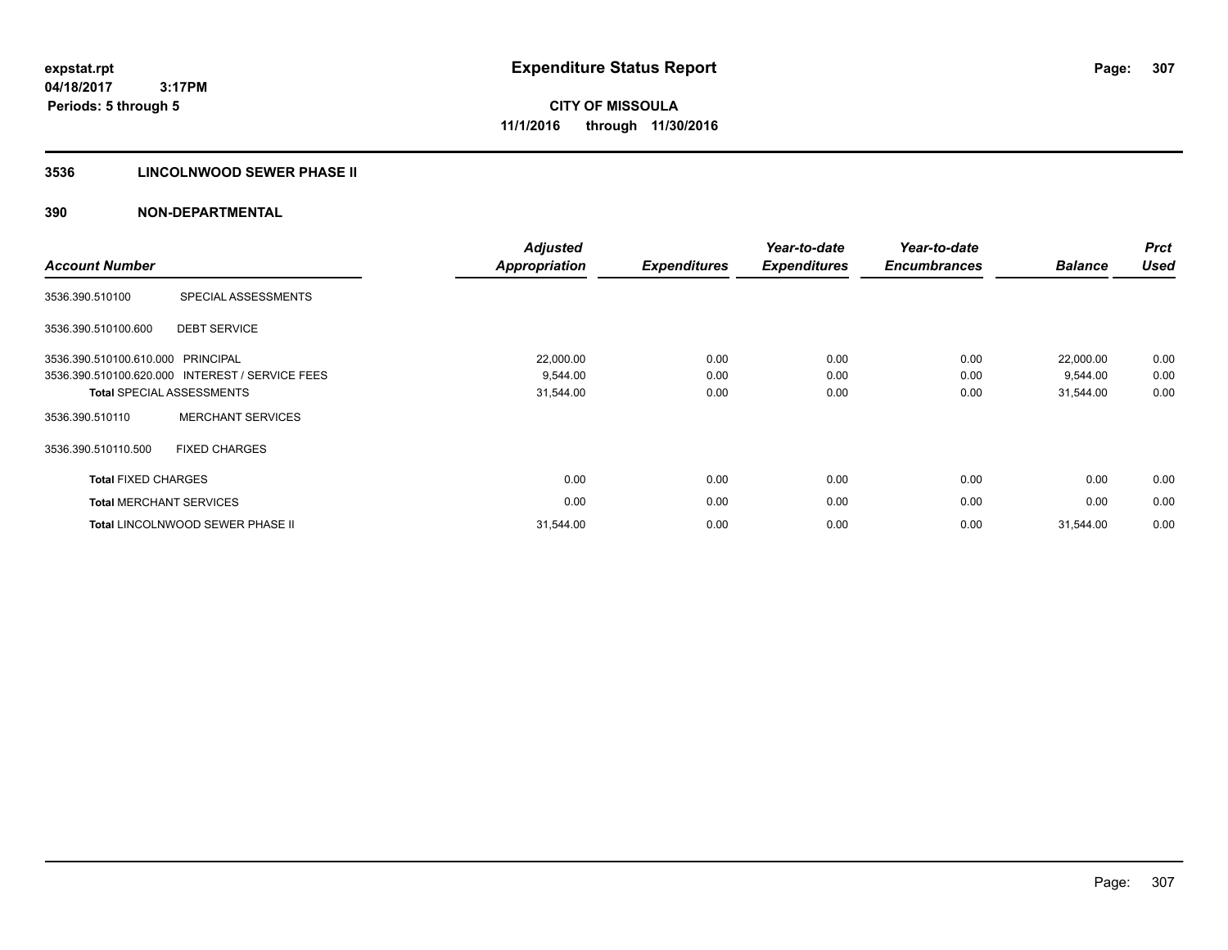## **3536 LINCOLNWOOD SEWER PHASE II**

| <b>Account Number</b>          |                                                 | <b>Adjusted</b><br><b>Appropriation</b> | <b>Expenditures</b> | Year-to-date<br><b>Expenditures</b> | Year-to-date<br><b>Encumbrances</b> | <b>Balance</b> | <b>Prct</b><br><b>Used</b> |
|--------------------------------|-------------------------------------------------|-----------------------------------------|---------------------|-------------------------------------|-------------------------------------|----------------|----------------------------|
| 3536.390.510100                | SPECIAL ASSESSMENTS                             |                                         |                     |                                     |                                     |                |                            |
| 3536.390.510100.600            | <b>DEBT SERVICE</b>                             |                                         |                     |                                     |                                     |                |                            |
| 3536.390.510100.610.000        | PRINCIPAL                                       | 22,000.00                               | 0.00                | 0.00                                | 0.00                                | 22,000.00      | 0.00                       |
|                                | 3536.390.510100.620.000 INTEREST / SERVICE FEES | 9,544.00                                | 0.00                | 0.00                                | 0.00                                | 9,544.00       | 0.00                       |
|                                | <b>Total SPECIAL ASSESSMENTS</b>                | 31,544.00                               | 0.00                | 0.00                                | 0.00                                | 31,544.00      | 0.00                       |
| 3536.390.510110                | <b>MERCHANT SERVICES</b>                        |                                         |                     |                                     |                                     |                |                            |
| 3536.390.510110.500            | <b>FIXED CHARGES</b>                            |                                         |                     |                                     |                                     |                |                            |
| <b>Total FIXED CHARGES</b>     |                                                 | 0.00                                    | 0.00                | 0.00                                | 0.00                                | 0.00           | 0.00                       |
| <b>Total MERCHANT SERVICES</b> |                                                 | 0.00                                    | 0.00                | 0.00                                | 0.00                                | 0.00           | 0.00                       |
|                                | <b>Total LINCOLNWOOD SEWER PHASE II</b>         | 31,544.00                               | 0.00                | 0.00                                | 0.00                                | 31.544.00      | 0.00                       |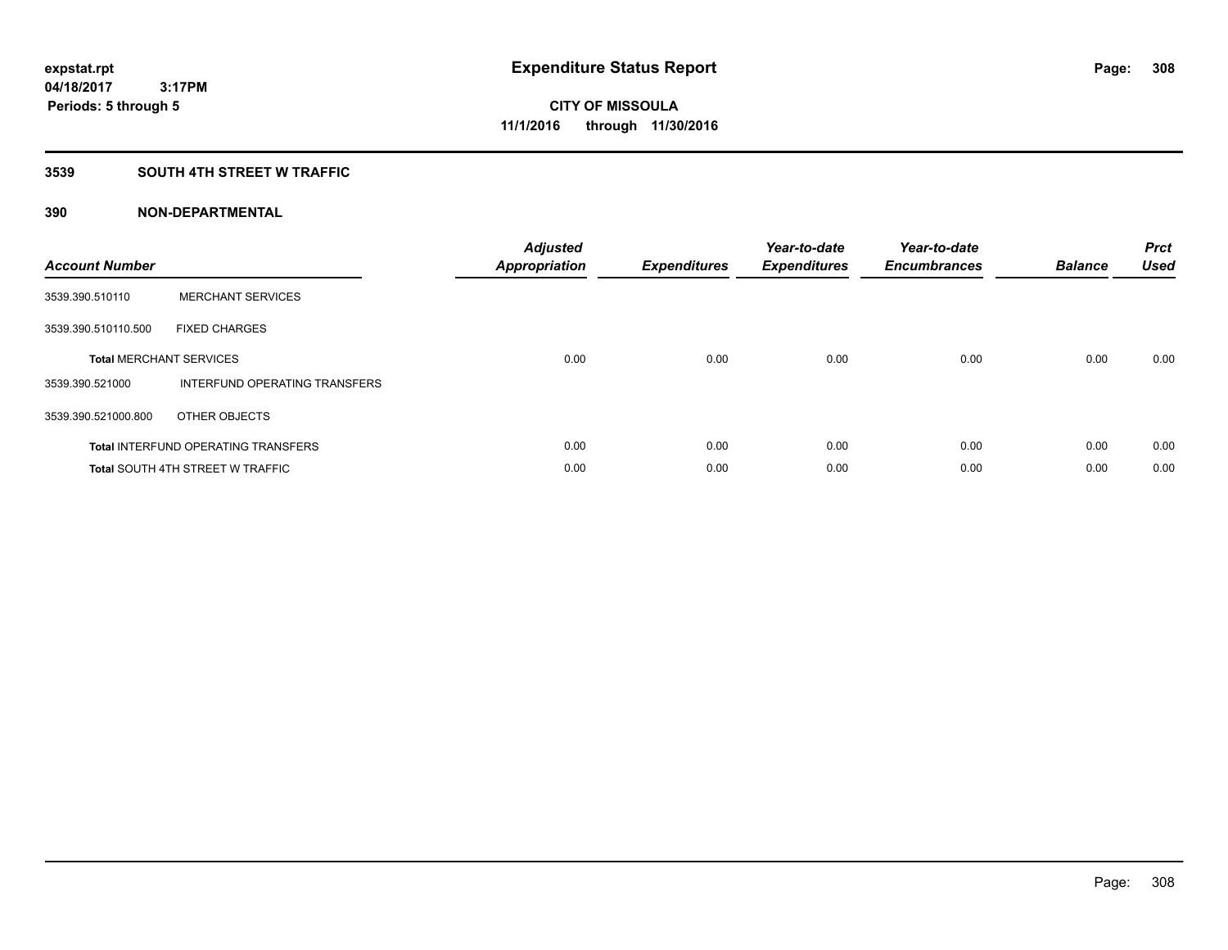## **3539 SOUTH 4TH STREET W TRAFFIC**

| <b>Account Number</b> |                                            | <b>Adjusted</b><br>Appropriation | <b>Expenditures</b> | Year-to-date<br><b>Expenditures</b> | Year-to-date<br><b>Encumbrances</b> | <b>Balance</b> | <b>Prct</b><br><b>Used</b> |
|-----------------------|--------------------------------------------|----------------------------------|---------------------|-------------------------------------|-------------------------------------|----------------|----------------------------|
| 3539.390.510110       | <b>MERCHANT SERVICES</b>                   |                                  |                     |                                     |                                     |                |                            |
| 3539.390.510110.500   | <b>FIXED CHARGES</b>                       |                                  |                     |                                     |                                     |                |                            |
|                       | <b>Total MERCHANT SERVICES</b>             | 0.00                             | 0.00                | 0.00                                | 0.00                                | 0.00           | 0.00                       |
| 3539.390.521000       | INTERFUND OPERATING TRANSFERS              |                                  |                     |                                     |                                     |                |                            |
| 3539.390.521000.800   | OTHER OBJECTS                              |                                  |                     |                                     |                                     |                |                            |
|                       | <b>Total INTERFUND OPERATING TRANSFERS</b> | 0.00                             | 0.00                | 0.00                                | 0.00                                | 0.00           | 0.00                       |
|                       | <b>Total SOUTH 4TH STREET W TRAFFIC</b>    | 0.00                             | 0.00                | 0.00                                | 0.00                                | 0.00           | 0.00                       |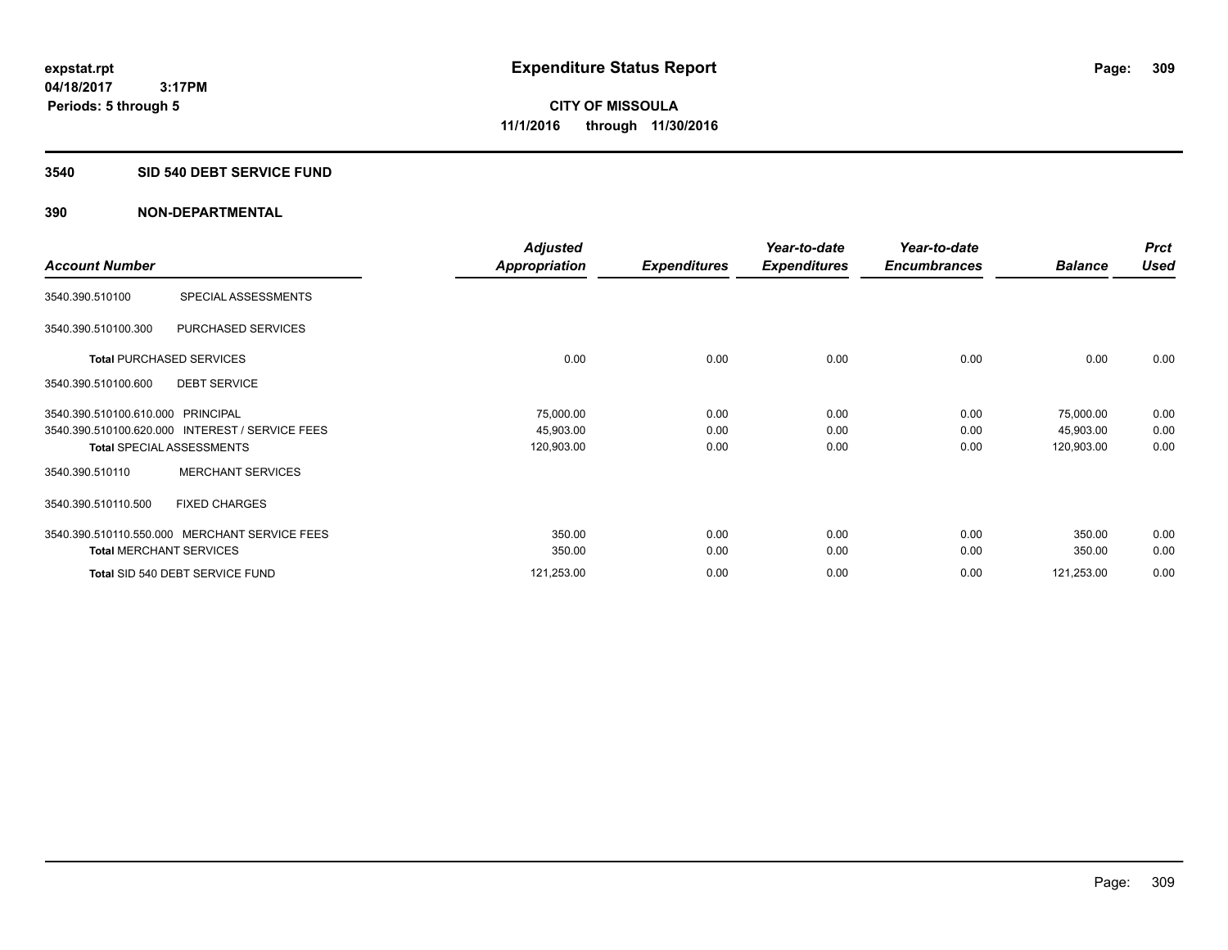#### **3540 SID 540 DEBT SERVICE FUND**

|                                                 | <b>Adjusted</b>      |                     | Year-to-date        | Year-to-date        |                | <b>Prct</b> |
|-------------------------------------------------|----------------------|---------------------|---------------------|---------------------|----------------|-------------|
| <b>Account Number</b>                           | <b>Appropriation</b> | <b>Expenditures</b> | <b>Expenditures</b> | <b>Encumbrances</b> | <b>Balance</b> | <b>Used</b> |
| SPECIAL ASSESSMENTS<br>3540.390.510100          |                      |                     |                     |                     |                |             |
| PURCHASED SERVICES<br>3540.390.510100.300       |                      |                     |                     |                     |                |             |
| <b>Total PURCHASED SERVICES</b>                 | 0.00                 | 0.00                | 0.00                | 0.00                | 0.00           | 0.00        |
| <b>DEBT SERVICE</b><br>3540.390.510100.600      |                      |                     |                     |                     |                |             |
| 3540.390.510100.610.000 PRINCIPAL               | 75,000.00            | 0.00                | 0.00                | 0.00                | 75,000.00      | 0.00        |
| 3540.390.510100.620.000 INTEREST / SERVICE FEES | 45,903.00            | 0.00                | 0.00                | 0.00                | 45,903.00      | 0.00        |
| <b>Total SPECIAL ASSESSMENTS</b>                | 120,903.00           | 0.00                | 0.00                | 0.00                | 120,903.00     | 0.00        |
| <b>MERCHANT SERVICES</b><br>3540.390.510110     |                      |                     |                     |                     |                |             |
| 3540.390.510110.500<br><b>FIXED CHARGES</b>     |                      |                     |                     |                     |                |             |
| 3540.390.510110.550.000 MERCHANT SERVICE FEES   | 350.00               | 0.00                | 0.00                | 0.00                | 350.00         | 0.00        |
| <b>Total MERCHANT SERVICES</b>                  | 350.00               | 0.00                | 0.00                | 0.00                | 350.00         | 0.00        |
| Total SID 540 DEBT SERVICE FUND                 | 121,253.00           | 0.00                | 0.00                | 0.00                | 121,253.00     | 0.00        |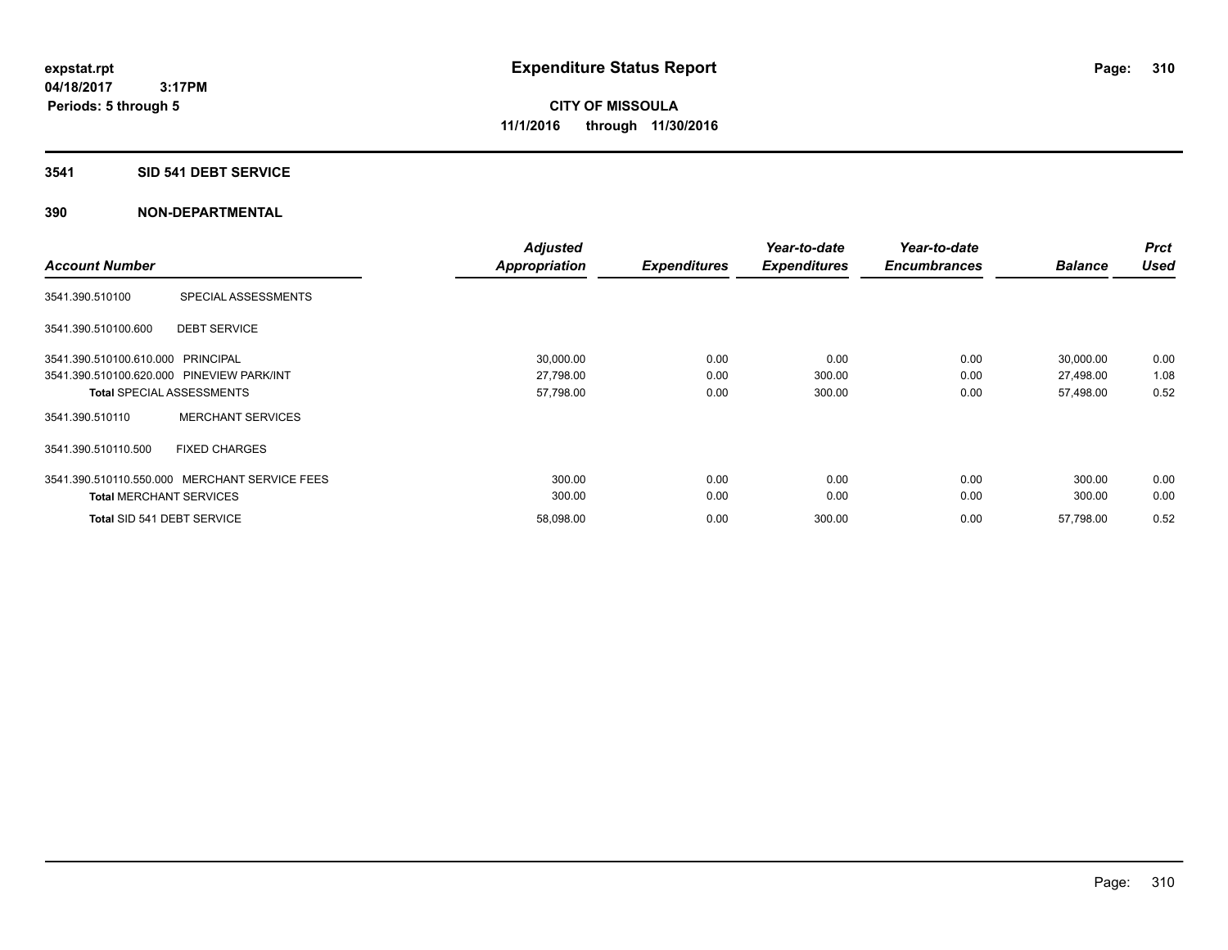### **3541 SID 541 DEBT SERVICE**

| <b>Account Number</b>                     |                              | <b>Adjusted</b><br><b>Appropriation</b> | <b>Expenditures</b> | Year-to-date<br><b>Expenditures</b> | Year-to-date<br><b>Encumbrances</b> | <b>Balance</b> | <b>Prct</b><br><b>Used</b> |
|-------------------------------------------|------------------------------|-----------------------------------------|---------------------|-------------------------------------|-------------------------------------|----------------|----------------------------|
|                                           |                              |                                         |                     |                                     |                                     |                |                            |
| 3541.390.510100                           | SPECIAL ASSESSMENTS          |                                         |                     |                                     |                                     |                |                            |
| 3541.390.510100.600                       | <b>DEBT SERVICE</b>          |                                         |                     |                                     |                                     |                |                            |
| 3541.390.510100.610.000 PRINCIPAL         |                              | 30,000.00                               | 0.00                | 0.00                                | 0.00                                | 30,000.00      | 0.00                       |
| 3541.390.510100.620.000 PINEVIEW PARK/INT |                              | 27,798.00                               | 0.00                | 300.00                              | 0.00                                | 27,498.00      | 1.08                       |
| <b>Total SPECIAL ASSESSMENTS</b>          |                              | 57,798.00                               | 0.00                | 300.00                              | 0.00                                | 57,498.00      | 0.52                       |
| 3541.390.510110                           | <b>MERCHANT SERVICES</b>     |                                         |                     |                                     |                                     |                |                            |
| 3541.390.510110.500                       | <b>FIXED CHARGES</b>         |                                         |                     |                                     |                                     |                |                            |
| 3541.390.510110.550.000                   | <b>MERCHANT SERVICE FEES</b> | 300.00                                  | 0.00                | 0.00                                | 0.00                                | 300.00         | 0.00                       |
| <b>Total MERCHANT SERVICES</b>            |                              | 300.00                                  | 0.00                | 0.00                                | 0.00                                | 300.00         | 0.00                       |
| Total SID 541 DEBT SERVICE                |                              | 58,098.00                               | 0.00                | 300.00                              | 0.00                                | 57,798.00      | 0.52                       |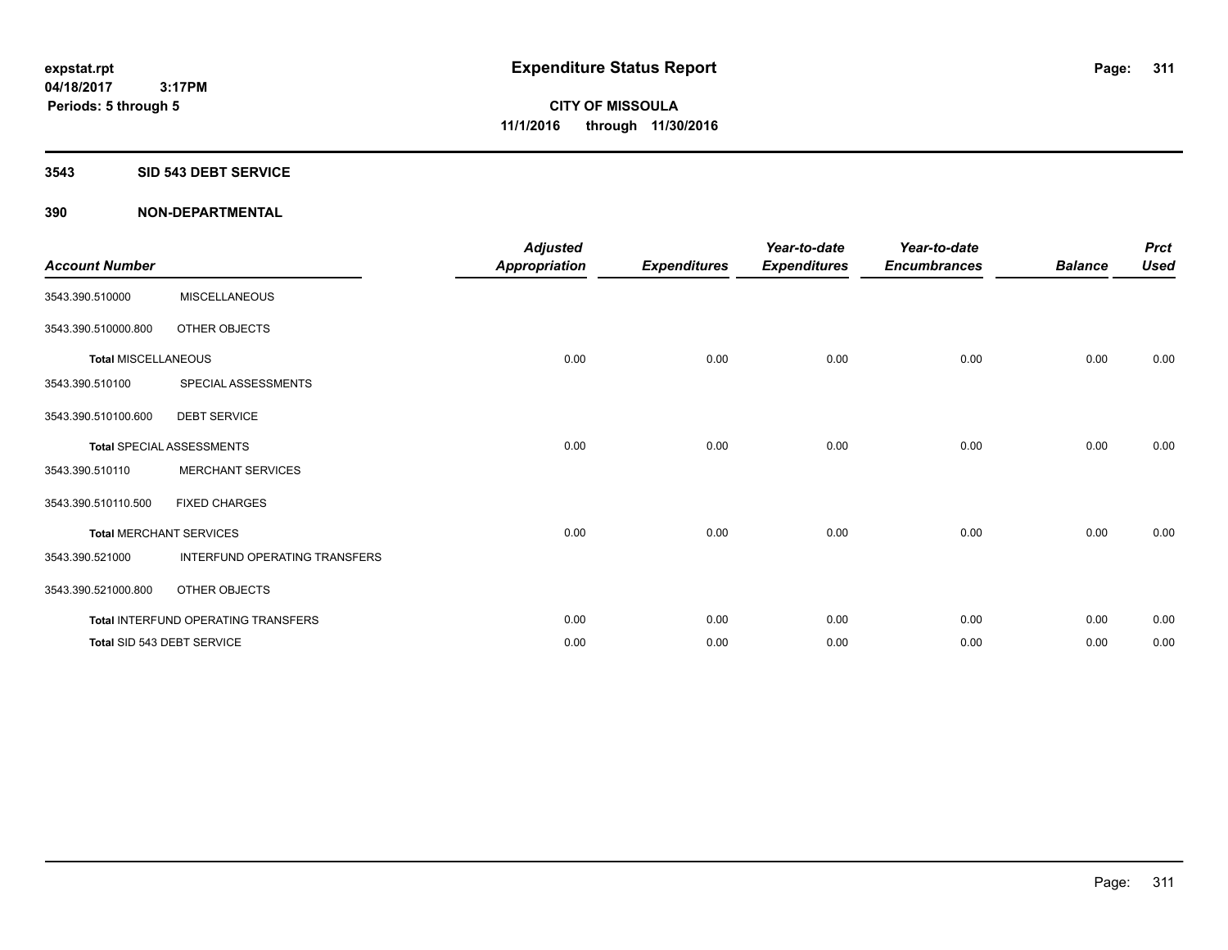#### **3543 SID 543 DEBT SERVICE**

| <b>Account Number</b>      |                                     | <b>Adjusted</b><br><b>Appropriation</b> | <b>Expenditures</b> | Year-to-date<br><b>Expenditures</b> | Year-to-date<br><b>Encumbrances</b> | <b>Balance</b> | <b>Prct</b><br><b>Used</b> |
|----------------------------|-------------------------------------|-----------------------------------------|---------------------|-------------------------------------|-------------------------------------|----------------|----------------------------|
| 3543.390.510000            | <b>MISCELLANEOUS</b>                |                                         |                     |                                     |                                     |                |                            |
| 3543.390.510000.800        | OTHER OBJECTS                       |                                         |                     |                                     |                                     |                |                            |
| <b>Total MISCELLANEOUS</b> |                                     | 0.00                                    | 0.00                | 0.00                                | 0.00                                | 0.00           | 0.00                       |
| 3543.390.510100            | SPECIAL ASSESSMENTS                 |                                         |                     |                                     |                                     |                |                            |
| 3543.390.510100.600        | <b>DEBT SERVICE</b>                 |                                         |                     |                                     |                                     |                |                            |
|                            | <b>Total SPECIAL ASSESSMENTS</b>    | 0.00                                    | 0.00                | 0.00                                | 0.00                                | 0.00           | 0.00                       |
| 3543.390.510110            | <b>MERCHANT SERVICES</b>            |                                         |                     |                                     |                                     |                |                            |
| 3543.390.510110.500        | <b>FIXED CHARGES</b>                |                                         |                     |                                     |                                     |                |                            |
|                            | <b>Total MERCHANT SERVICES</b>      | 0.00                                    | 0.00                | 0.00                                | 0.00                                | 0.00           | 0.00                       |
| 3543.390.521000            | INTERFUND OPERATING TRANSFERS       |                                         |                     |                                     |                                     |                |                            |
| 3543.390.521000.800        | OTHER OBJECTS                       |                                         |                     |                                     |                                     |                |                            |
|                            | Total INTERFUND OPERATING TRANSFERS | 0.00                                    | 0.00                | 0.00                                | 0.00                                | 0.00           | 0.00                       |
|                            | Total SID 543 DEBT SERVICE          | 0.00                                    | 0.00                | 0.00                                | 0.00                                | 0.00           | 0.00                       |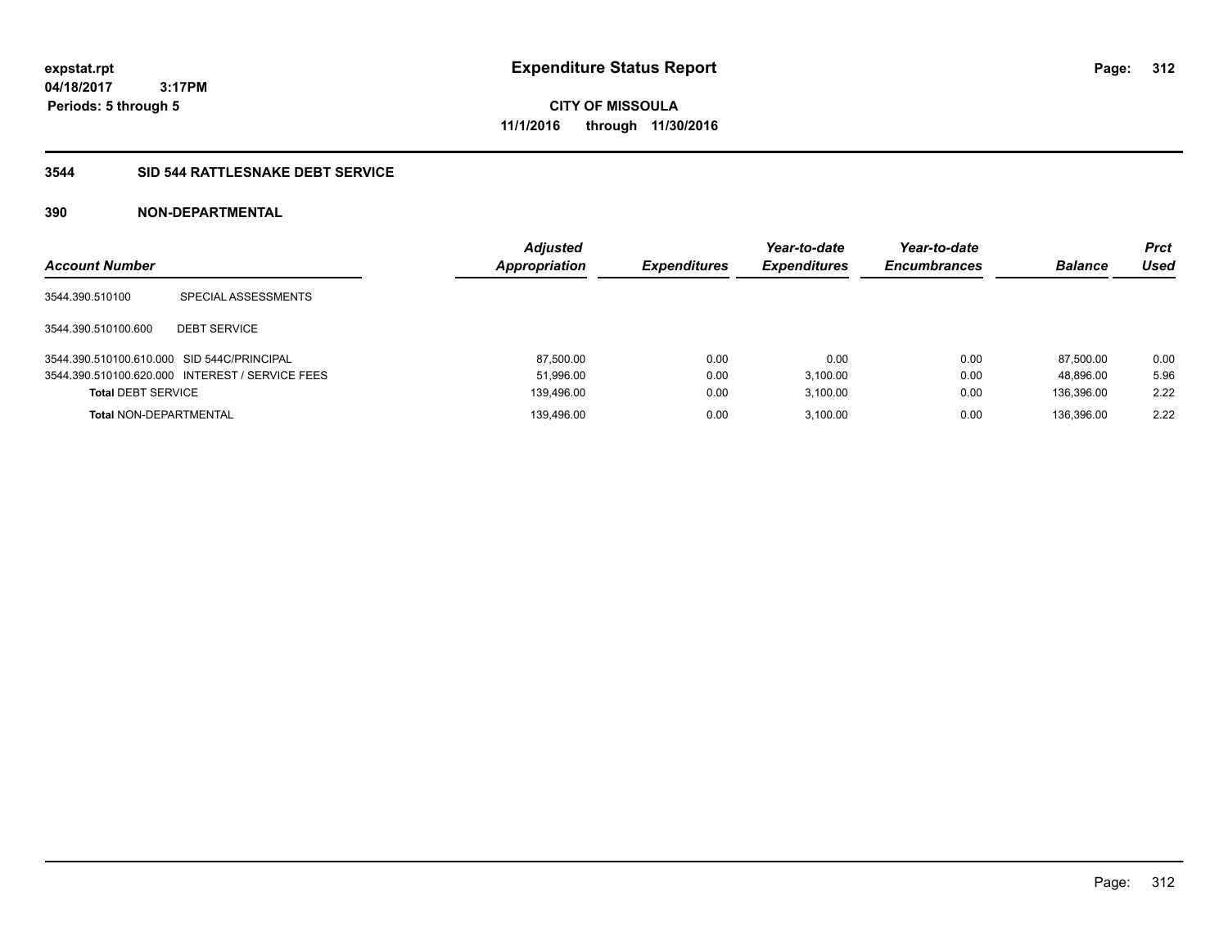**CITY OF MISSOULA 11/1/2016 through 11/30/2016**

### **3544 SID 544 RATTLESNAKE DEBT SERVICE**

| <b>Account Number</b>                      |                                                 | <b>Adjusted</b><br><b>Appropriation</b> | <b>Expenditures</b> | Year-to-date<br><b>Expenditures</b> | Year-to-date<br><b>Encumbrances</b> | <b>Balance</b> | Prct<br><b>Used</b> |
|--------------------------------------------|-------------------------------------------------|-----------------------------------------|---------------------|-------------------------------------|-------------------------------------|----------------|---------------------|
| 3544.390.510100                            | SPECIAL ASSESSMENTS                             |                                         |                     |                                     |                                     |                |                     |
| 3544.390.510100.600                        | <b>DEBT SERVICE</b>                             |                                         |                     |                                     |                                     |                |                     |
| 3544.390.510100.610.000 SID 544C/PRINCIPAL |                                                 | 87.500.00                               | 0.00                | 0.00                                | 0.00                                | 87.500.00      | 0.00                |
|                                            | 3544.390.510100.620.000 INTEREST / SERVICE FEES | 51,996.00                               | 0.00                | 3.100.00                            | 0.00                                | 48.896.00      | 5.96                |
| <b>Total DEBT SERVICE</b>                  |                                                 | 139,496.00                              | 0.00                | 3.100.00                            | 0.00                                | 136.396.00     | 2.22                |
| <b>Total NON-DEPARTMENTAL</b>              |                                                 | 139.496.00                              | 0.00                | 3.100.00                            | 0.00                                | 136.396.00     | 2.22                |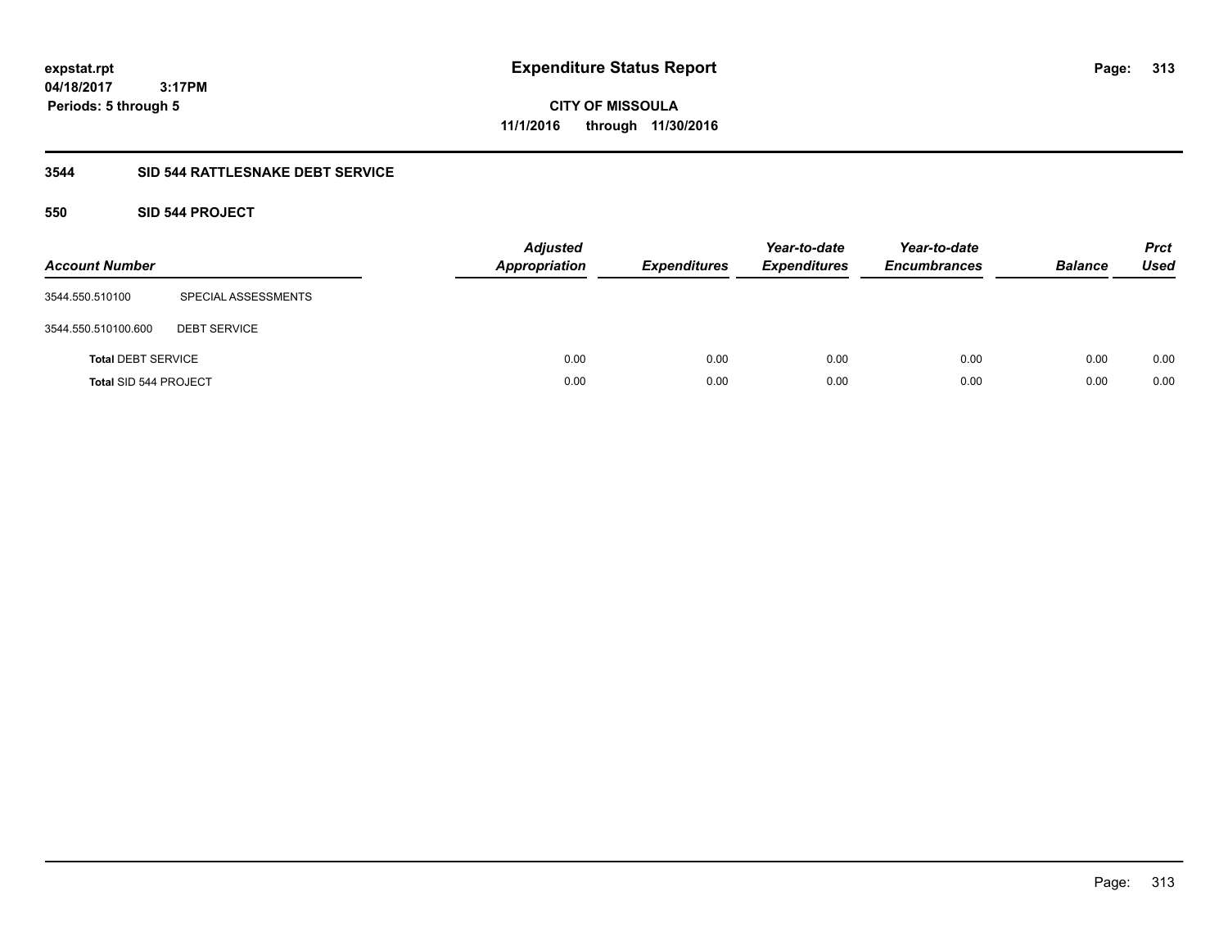**CITY OF MISSOULA 11/1/2016 through 11/30/2016**

### **3544 SID 544 RATTLESNAKE DEBT SERVICE**

### **550 SID 544 PROJECT**

| <b>Account Number</b>        |                     | Adjusted<br>Appropriation | <b>Expenditures</b> | Year-to-date<br><b>Expenditures</b> | Year-to-date<br><b>Encumbrances</b> | <b>Balance</b> | <b>Prct</b><br>Used |
|------------------------------|---------------------|---------------------------|---------------------|-------------------------------------|-------------------------------------|----------------|---------------------|
| 3544.550.510100              | SPECIAL ASSESSMENTS |                           |                     |                                     |                                     |                |                     |
| 3544.550.510100.600          | <b>DEBT SERVICE</b> |                           |                     |                                     |                                     |                |                     |
| <b>Total DEBT SERVICE</b>    |                     | 0.00                      | 0.00                | 0.00                                | 0.00                                | 0.00           | 0.00                |
| <b>Total SID 544 PROJECT</b> |                     | 0.00                      | 0.00                | 0.00                                | 0.00                                | 0.00           | 0.00                |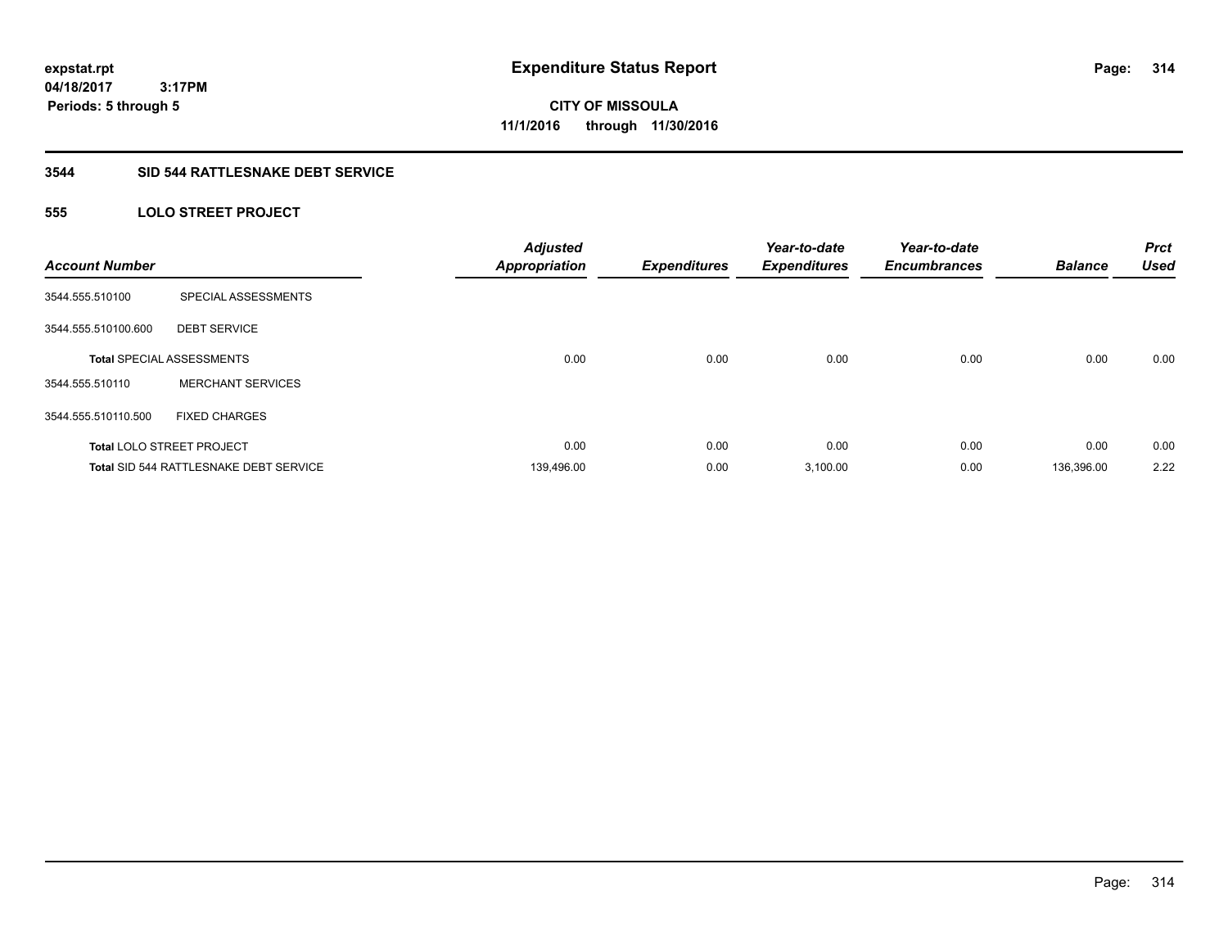**314**

**04/18/2017 3:17PM Periods: 5 through 5**

**CITY OF MISSOULA 11/1/2016 through 11/30/2016**

#### **3544 SID 544 RATTLESNAKE DEBT SERVICE**

## **555 LOLO STREET PROJECT**

| <b>Account Number</b> |                                               | <b>Adjusted</b><br><b>Appropriation</b> | <b>Expenditures</b> | Year-to-date<br><b>Expenditures</b> | Year-to-date<br><b>Encumbrances</b> | <b>Balance</b> | <b>Prct</b><br><b>Used</b> |
|-----------------------|-----------------------------------------------|-----------------------------------------|---------------------|-------------------------------------|-------------------------------------|----------------|----------------------------|
| 3544.555.510100       | SPECIAL ASSESSMENTS                           |                                         |                     |                                     |                                     |                |                            |
| 3544.555.510100.600   | <b>DEBT SERVICE</b>                           |                                         |                     |                                     |                                     |                |                            |
|                       | <b>Total SPECIAL ASSESSMENTS</b>              | 0.00                                    | 0.00                | 0.00                                | 0.00                                | 0.00           | 0.00                       |
| 3544.555.510110       | <b>MERCHANT SERVICES</b>                      |                                         |                     |                                     |                                     |                |                            |
| 3544.555.510110.500   | <b>FIXED CHARGES</b>                          |                                         |                     |                                     |                                     |                |                            |
|                       | <b>Total LOLO STREET PROJECT</b>              | 0.00                                    | 0.00                | 0.00                                | 0.00                                | 0.00           | 0.00                       |
|                       | <b>Total SID 544 RATTLESNAKE DEBT SERVICE</b> | 139,496.00                              | 0.00                | 3,100.00                            | 0.00                                | 136,396.00     | 2.22                       |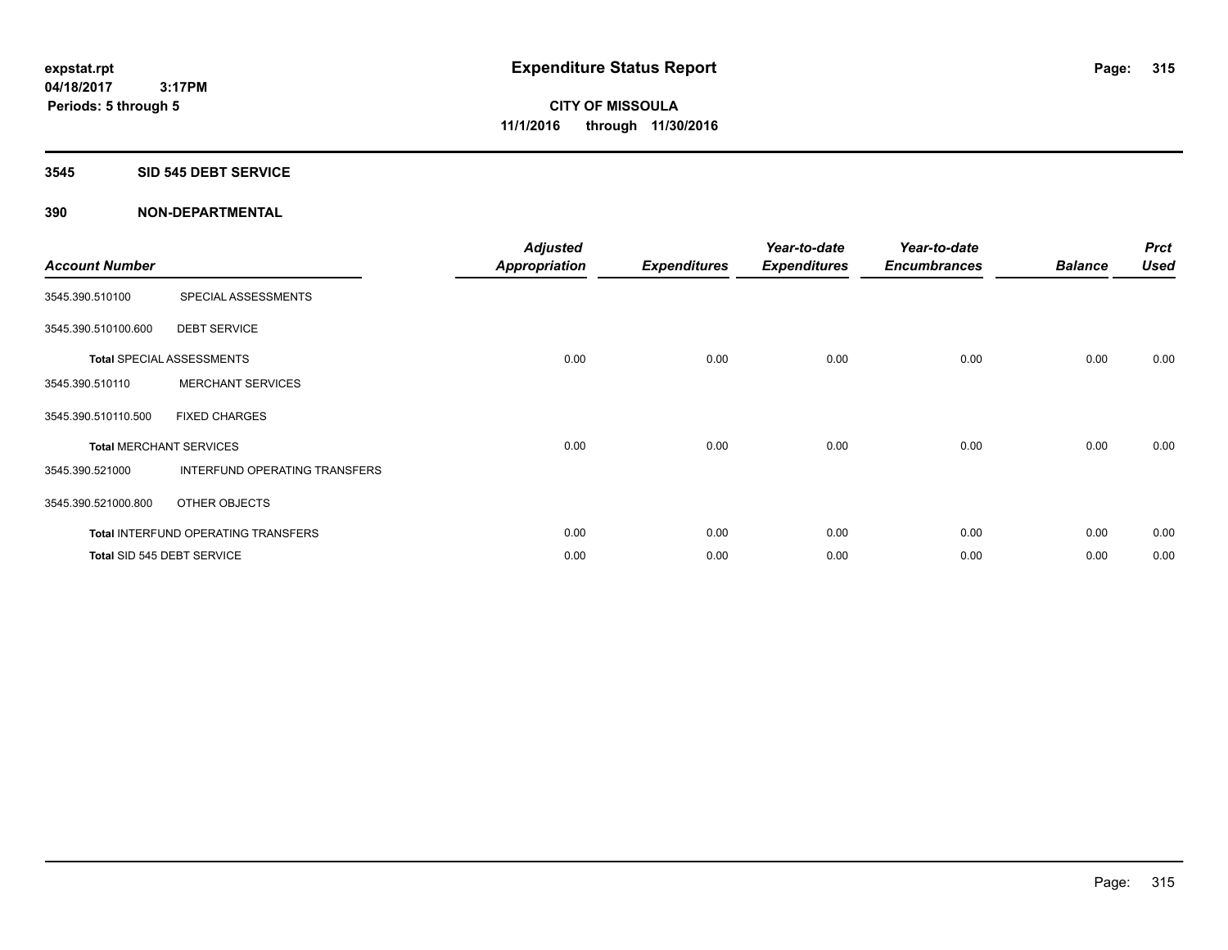#### **3545 SID 545 DEBT SERVICE**

| <b>Account Number</b> |                                     | <b>Adjusted</b><br><b>Appropriation</b> | <b>Expenditures</b> | Year-to-date<br><b>Expenditures</b> | Year-to-date<br><b>Encumbrances</b> | <b>Balance</b> | <b>Prct</b><br><b>Used</b> |
|-----------------------|-------------------------------------|-----------------------------------------|---------------------|-------------------------------------|-------------------------------------|----------------|----------------------------|
| 3545.390.510100       | SPECIAL ASSESSMENTS                 |                                         |                     |                                     |                                     |                |                            |
| 3545.390.510100.600   | <b>DEBT SERVICE</b>                 |                                         |                     |                                     |                                     |                |                            |
|                       | <b>Total SPECIAL ASSESSMENTS</b>    | 0.00                                    | 0.00                | 0.00                                | 0.00                                | 0.00           | 0.00                       |
| 3545.390.510110       | <b>MERCHANT SERVICES</b>            |                                         |                     |                                     |                                     |                |                            |
| 3545.390.510110.500   | <b>FIXED CHARGES</b>                |                                         |                     |                                     |                                     |                |                            |
|                       | <b>Total MERCHANT SERVICES</b>      | 0.00                                    | 0.00                | 0.00                                | 0.00                                | 0.00           | 0.00                       |
| 3545.390.521000       | INTERFUND OPERATING TRANSFERS       |                                         |                     |                                     |                                     |                |                            |
| 3545.390.521000.800   | OTHER OBJECTS                       |                                         |                     |                                     |                                     |                |                            |
|                       | Total INTERFUND OPERATING TRANSFERS | 0.00                                    | 0.00                | 0.00                                | 0.00                                | 0.00           | 0.00                       |
|                       | Total SID 545 DEBT SERVICE          | 0.00                                    | 0.00                | 0.00                                | 0.00                                | 0.00           | 0.00                       |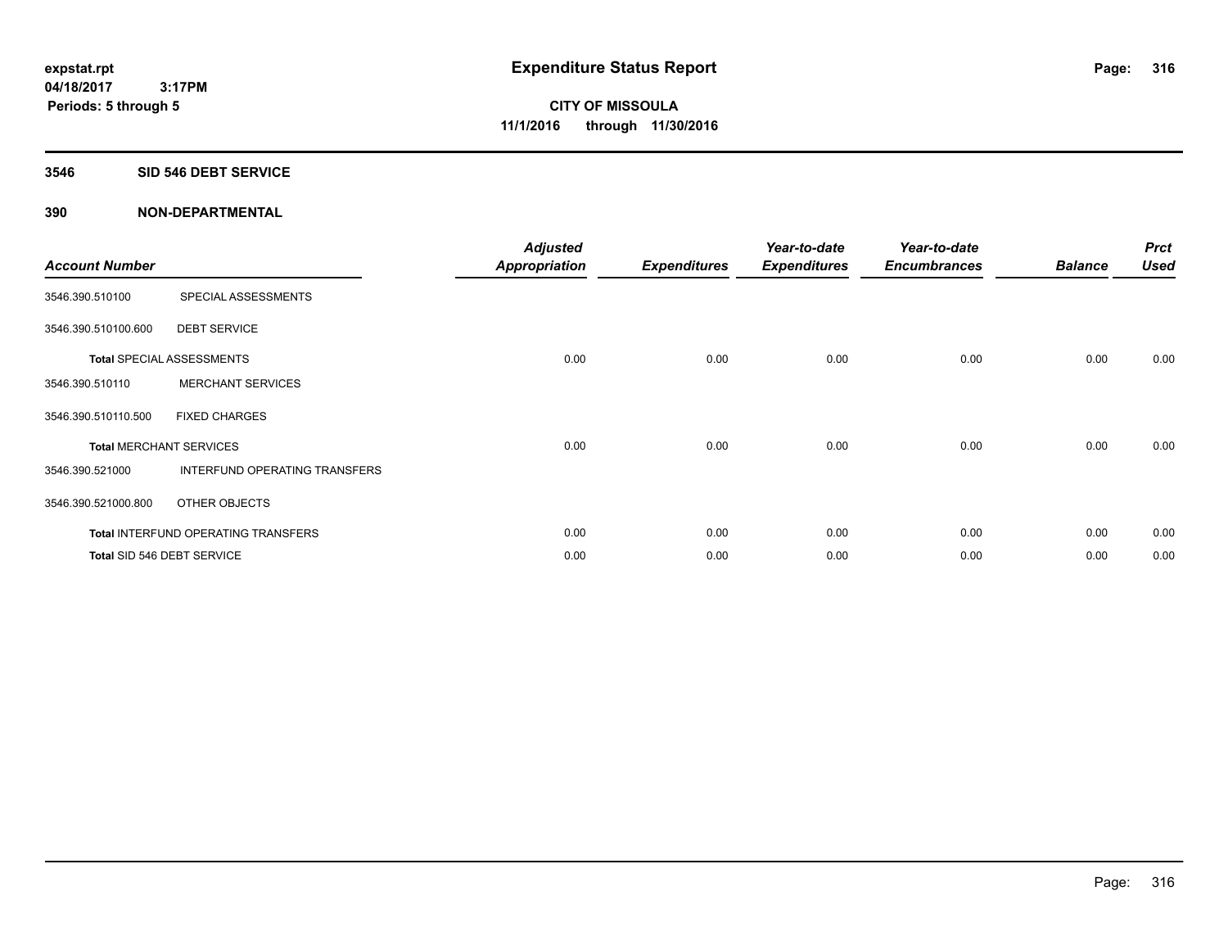#### **3546 SID 546 DEBT SERVICE**

| <b>Account Number</b> |                                            | <b>Adjusted</b><br>Appropriation | <b>Expenditures</b> | Year-to-date<br><b>Expenditures</b> | Year-to-date<br><b>Encumbrances</b> | <b>Balance</b> | <b>Prct</b><br><b>Used</b> |
|-----------------------|--------------------------------------------|----------------------------------|---------------------|-------------------------------------|-------------------------------------|----------------|----------------------------|
| 3546.390.510100       | SPECIAL ASSESSMENTS                        |                                  |                     |                                     |                                     |                |                            |
| 3546.390.510100.600   | <b>DEBT SERVICE</b>                        |                                  |                     |                                     |                                     |                |                            |
|                       | <b>Total SPECIAL ASSESSMENTS</b>           | 0.00                             | 0.00                | 0.00                                | 0.00                                | 0.00           | 0.00                       |
| 3546.390.510110       | <b>MERCHANT SERVICES</b>                   |                                  |                     |                                     |                                     |                |                            |
| 3546.390.510110.500   | <b>FIXED CHARGES</b>                       |                                  |                     |                                     |                                     |                |                            |
|                       | <b>Total MERCHANT SERVICES</b>             | 0.00                             | 0.00                | 0.00                                | 0.00                                | 0.00           | 0.00                       |
| 3546.390.521000       | INTERFUND OPERATING TRANSFERS              |                                  |                     |                                     |                                     |                |                            |
| 3546.390.521000.800   | <b>OTHER OBJECTS</b>                       |                                  |                     |                                     |                                     |                |                            |
|                       | <b>Total INTERFUND OPERATING TRANSFERS</b> | 0.00                             | 0.00                | 0.00                                | 0.00                                | 0.00           | 0.00                       |
|                       | Total SID 546 DEBT SERVICE                 | 0.00                             | 0.00                | 0.00                                | 0.00                                | 0.00           | 0.00                       |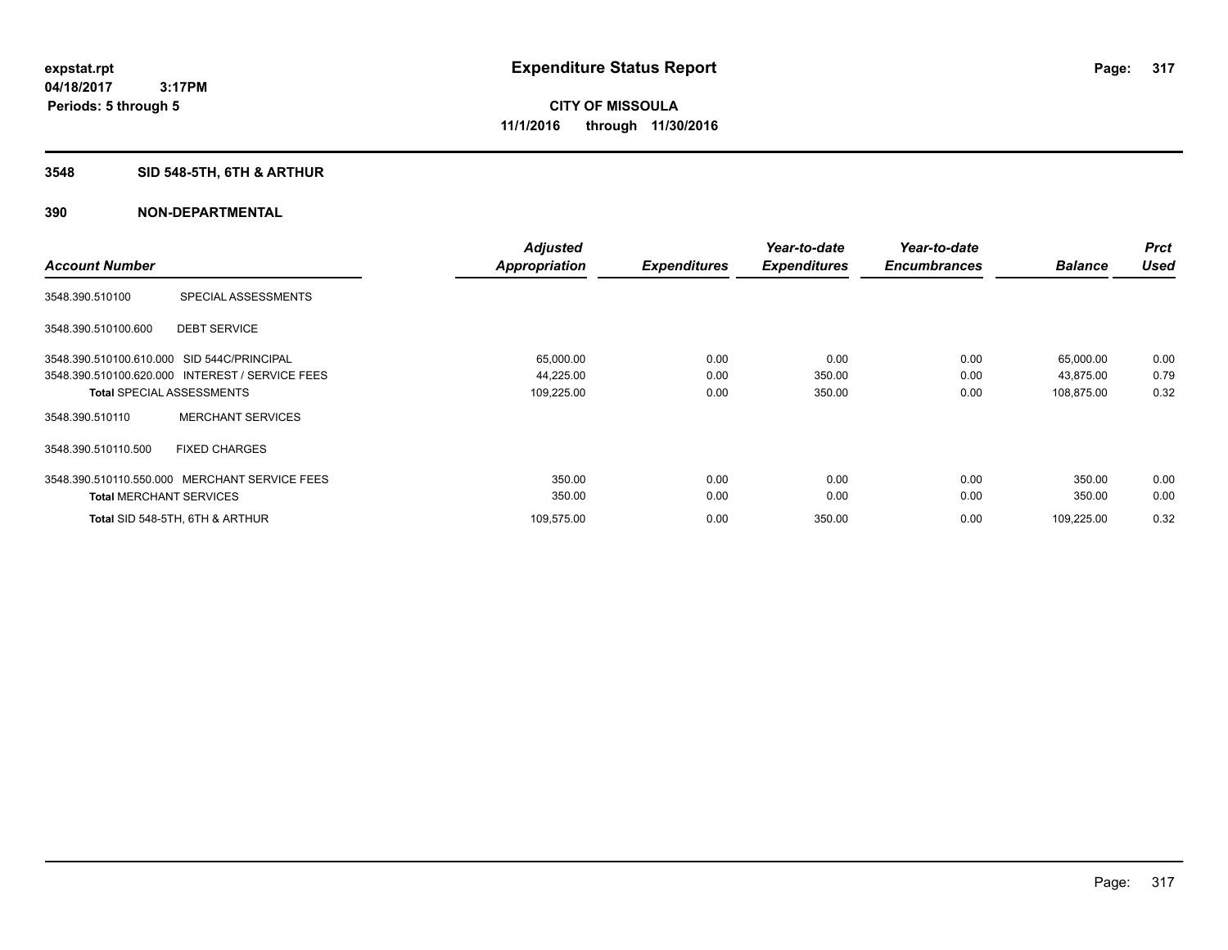## **3548 SID 548-5TH, 6TH & ARTHUR**

|                                                 | <b>Adjusted</b> |                     | Year-to-date        | Year-to-date        |                | <b>Prct</b> |
|-------------------------------------------------|-----------------|---------------------|---------------------|---------------------|----------------|-------------|
| <b>Account Number</b>                           | Appropriation   | <b>Expenditures</b> | <b>Expenditures</b> | <b>Encumbrances</b> | <b>Balance</b> | <b>Used</b> |
| SPECIAL ASSESSMENTS<br>3548.390.510100          |                 |                     |                     |                     |                |             |
| <b>DEBT SERVICE</b><br>3548.390.510100.600      |                 |                     |                     |                     |                |             |
| 3548.390.510100.610.000 SID 544C/PRINCIPAL      | 65,000.00       | 0.00                | 0.00                | 0.00                | 65,000.00      | 0.00        |
| 3548.390.510100.620.000 INTEREST / SERVICE FEES | 44,225.00       | 0.00                | 350.00              | 0.00                | 43,875.00      | 0.79        |
| <b>Total SPECIAL ASSESSMENTS</b>                | 109,225.00      | 0.00                | 350.00              | 0.00                | 108,875.00     | 0.32        |
| <b>MERCHANT SERVICES</b><br>3548.390.510110     |                 |                     |                     |                     |                |             |
| <b>FIXED CHARGES</b><br>3548.390.510110.500     |                 |                     |                     |                     |                |             |
| 3548.390.510110.550.000 MERCHANT SERVICE FEES   | 350.00          | 0.00                | 0.00                | 0.00                | 350.00         | 0.00        |
| <b>Total MERCHANT SERVICES</b>                  | 350.00          | 0.00                | 0.00                | 0.00                | 350.00         | 0.00        |
| Total SID 548-5TH, 6TH & ARTHUR                 | 109,575.00      | 0.00                | 350.00              | 0.00                | 109,225.00     | 0.32        |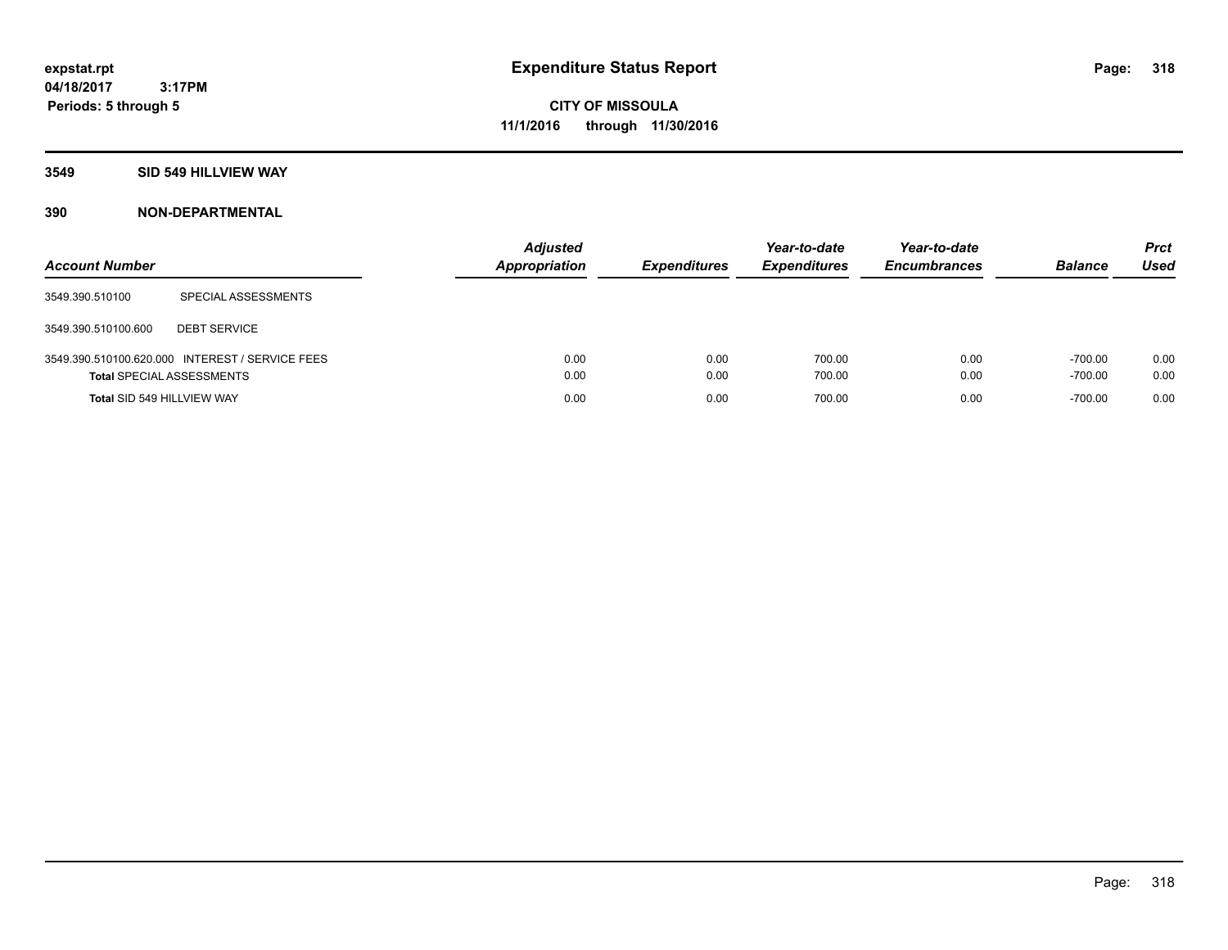## **3549 SID 549 HILLVIEW WAY**

| <b>Account Number</b>            |                                                 | <b>Adjusted</b><br>Appropriation | <b>Expenditures</b> | Year-to-date<br><b>Expenditures</b> | Year-to-date<br><b>Encumbrances</b> | <b>Balance</b>         | <b>Prct</b><br><b>Used</b> |
|----------------------------------|-------------------------------------------------|----------------------------------|---------------------|-------------------------------------|-------------------------------------|------------------------|----------------------------|
| 3549.390.510100                  | SPECIAL ASSESSMENTS                             |                                  |                     |                                     |                                     |                        |                            |
| 3549.390.510100.600              | <b>DEBT SERVICE</b>                             |                                  |                     |                                     |                                     |                        |                            |
| <b>Total SPECIAL ASSESSMENTS</b> | 3549.390.510100.620.000 INTEREST / SERVICE FEES | 0.00<br>0.00                     | 0.00<br>0.00        | 700.00<br>700.00                    | 0.00<br>0.00                        | $-700.00$<br>$-700.00$ | 0.00<br>0.00               |
| Total SID 549 HILLVIEW WAY       |                                                 | 0.00                             | 0.00                | 700.00                              | 0.00                                | $-700.00$              | 0.00                       |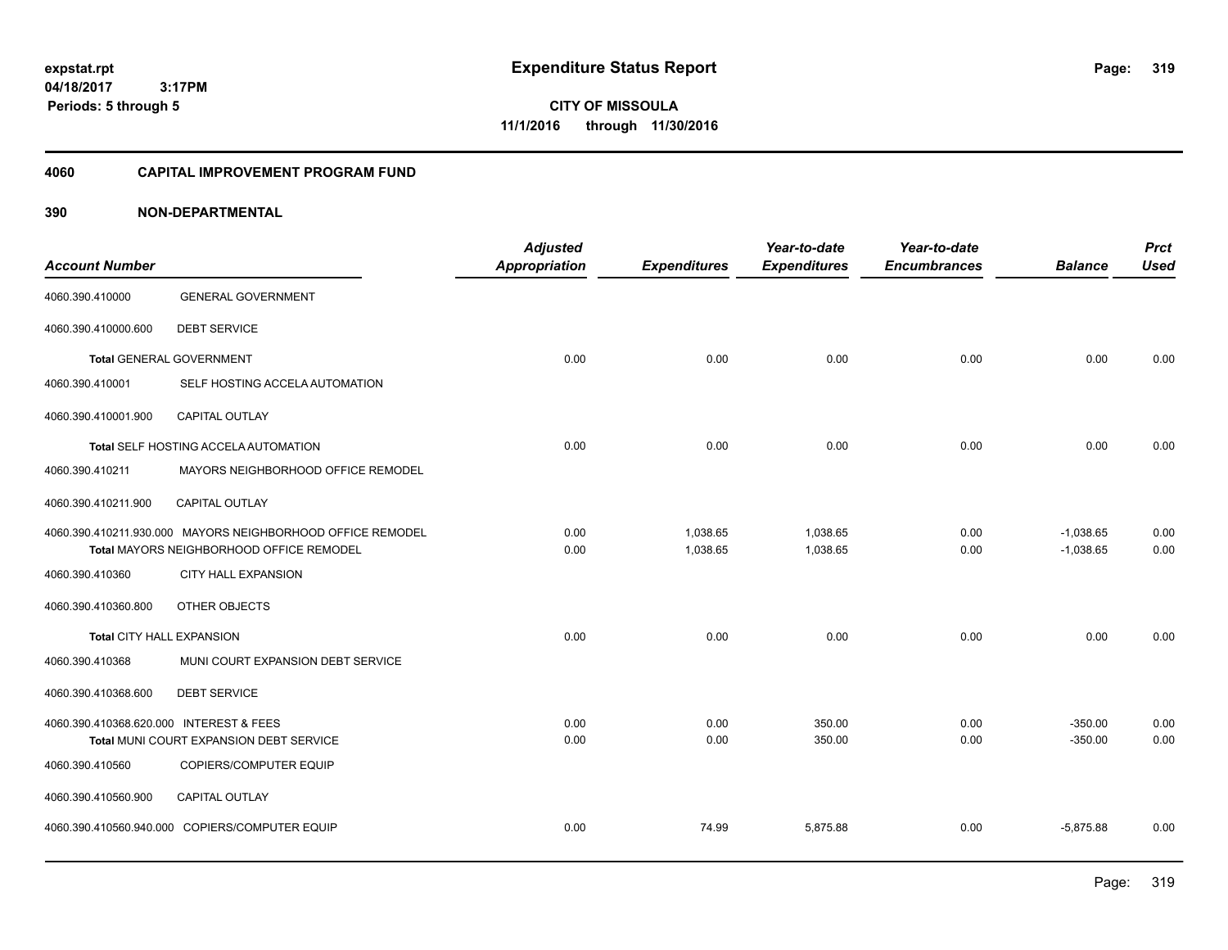**CITY OF MISSOULA 11/1/2016 through 11/30/2016**

#### **4060 CAPITAL IMPROVEMENT PROGRAM FUND**

| <b>Account Number</b>                   |                                                                        | <b>Adjusted</b><br><b>Appropriation</b> | <b>Expenditures</b> | Year-to-date<br><b>Expenditures</b> | Year-to-date<br><b>Encumbrances</b> | <b>Balance</b>         | <b>Prct</b><br><b>Used</b> |
|-----------------------------------------|------------------------------------------------------------------------|-----------------------------------------|---------------------|-------------------------------------|-------------------------------------|------------------------|----------------------------|
| 4060.390.410000                         | <b>GENERAL GOVERNMENT</b>                                              |                                         |                     |                                     |                                     |                        |                            |
| 4060.390.410000.600                     | <b>DEBT SERVICE</b>                                                    |                                         |                     |                                     |                                     |                        |                            |
|                                         | <b>Total GENERAL GOVERNMENT</b>                                        | 0.00                                    | 0.00                | 0.00                                | 0.00                                | 0.00                   | 0.00                       |
| 4060.390.410001                         | SELF HOSTING ACCELA AUTOMATION                                         |                                         |                     |                                     |                                     |                        |                            |
| 4060.390.410001.900                     | CAPITAL OUTLAY                                                         |                                         |                     |                                     |                                     |                        |                            |
|                                         | Total SELF HOSTING ACCELA AUTOMATION                                   | 0.00                                    | 0.00                | 0.00                                | 0.00                                | 0.00                   | 0.00                       |
| 4060.390.410211                         | MAYORS NEIGHBORHOOD OFFICE REMODEL                                     |                                         |                     |                                     |                                     |                        |                            |
| 4060.390.410211.900                     | <b>CAPITAL OUTLAY</b>                                                  |                                         |                     |                                     |                                     |                        |                            |
|                                         | 4060.390.410211.930.000 MAYORS NEIGHBORHOOD OFFICE REMODEL             | 0.00                                    | 1,038.65            | 1,038.65                            | 0.00                                | $-1,038.65$            | 0.00                       |
| 4060.390.410360                         | Total MAYORS NEIGHBORHOOD OFFICE REMODEL<br><b>CITY HALL EXPANSION</b> | 0.00                                    | 1,038.65            | 1,038.65                            | 0.00                                | $-1,038.65$            | 0.00                       |
| 4060.390.410360.800                     | OTHER OBJECTS                                                          |                                         |                     |                                     |                                     |                        |                            |
| Total CITY HALL EXPANSION               |                                                                        | 0.00                                    | 0.00                | 0.00                                | 0.00                                | 0.00                   | 0.00                       |
| 4060.390.410368                         | MUNI COURT EXPANSION DEBT SERVICE                                      |                                         |                     |                                     |                                     |                        |                            |
| 4060.390.410368.600                     | <b>DEBT SERVICE</b>                                                    |                                         |                     |                                     |                                     |                        |                            |
| 4060.390.410368.620.000 INTEREST & FEES | Total MUNI COURT EXPANSION DEBT SERVICE                                | 0.00<br>0.00                            | 0.00<br>0.00        | 350.00<br>350.00                    | 0.00<br>0.00                        | $-350.00$<br>$-350.00$ | 0.00<br>0.00               |
| 4060.390.410560                         | COPIERS/COMPUTER EQUIP                                                 |                                         |                     |                                     |                                     |                        |                            |
| 4060.390.410560.900                     | <b>CAPITAL OUTLAY</b>                                                  |                                         |                     |                                     |                                     |                        |                            |
|                                         | 4060.390.410560.940.000 COPIERS/COMPUTER EQUIP                         | 0.00                                    | 74.99               | 5,875.88                            | 0.00                                | $-5,875.88$            | 0.00                       |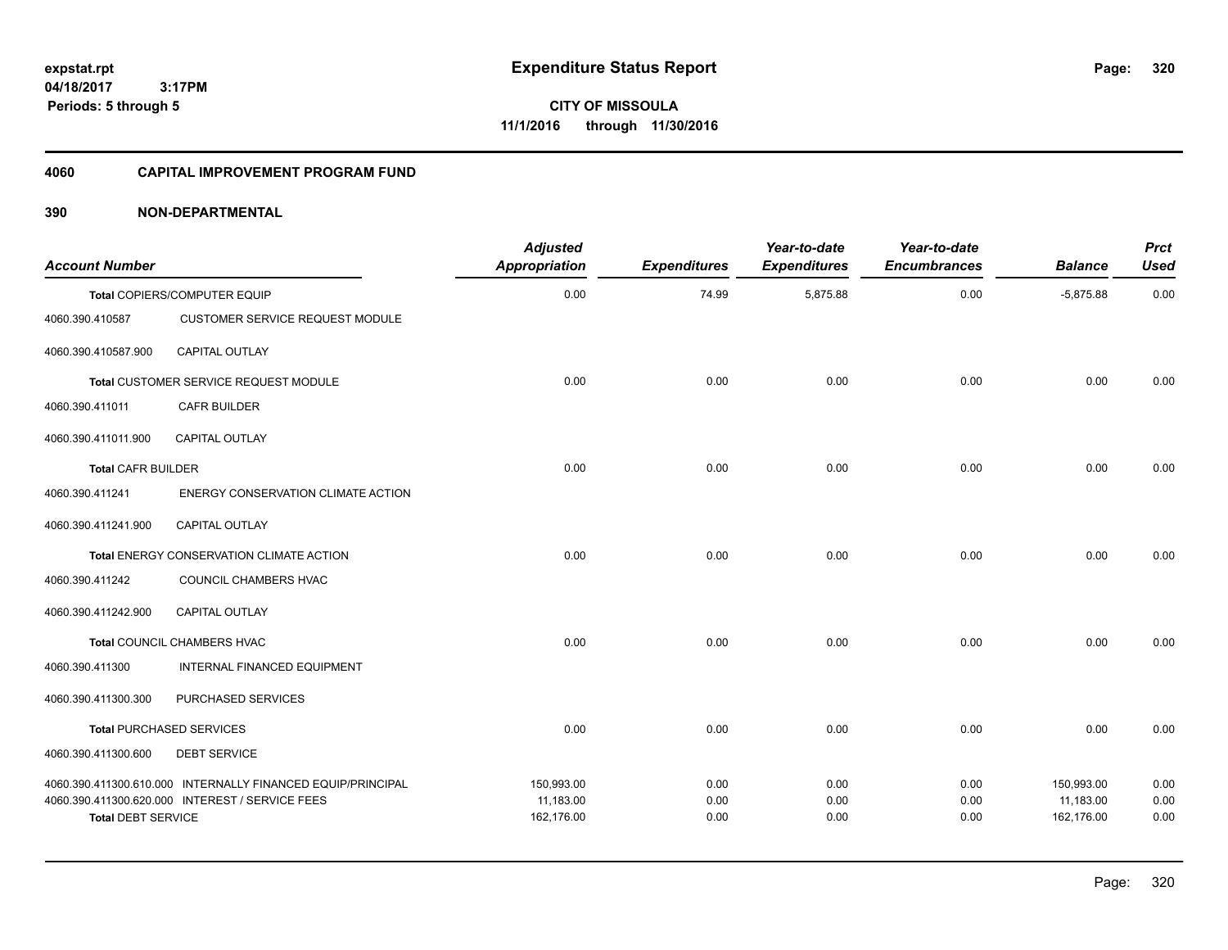**CITY OF MISSOULA 11/1/2016 through 11/30/2016**

#### **4060 CAPITAL IMPROVEMENT PROGRAM FUND**

|                                                                                                                                             | <b>Adjusted</b><br>Appropriation      | <b>Expenditures</b>  | Year-to-date<br><b>Expenditures</b> | Year-to-date<br><b>Encumbrances</b> | <b>Balance</b>                        | <b>Prct</b><br><b>Used</b> |
|---------------------------------------------------------------------------------------------------------------------------------------------|---------------------------------------|----------------------|-------------------------------------|-------------------------------------|---------------------------------------|----------------------------|
| Total COPIERS/COMPUTER EQUIP                                                                                                                | 0.00                                  | 74.99                | 5,875.88                            | 0.00                                | $-5,875.88$                           | 0.00                       |
| <b>CUSTOMER SERVICE REQUEST MODULE</b>                                                                                                      |                                       |                      |                                     |                                     |                                       |                            |
| <b>CAPITAL OUTLAY</b>                                                                                                                       |                                       |                      |                                     |                                     |                                       |                            |
| Total CUSTOMER SERVICE REQUEST MODULE                                                                                                       | 0.00                                  | 0.00                 | 0.00                                | 0.00                                | 0.00                                  | 0.00                       |
| CAFR BUILDER                                                                                                                                |                                       |                      |                                     |                                     |                                       |                            |
| <b>CAPITAL OUTLAY</b>                                                                                                                       |                                       |                      |                                     |                                     |                                       |                            |
| <b>Total CAFR BUILDER</b>                                                                                                                   | 0.00                                  | 0.00                 | 0.00                                | 0.00                                | 0.00                                  | 0.00                       |
| ENERGY CONSERVATION CLIMATE ACTION                                                                                                          |                                       |                      |                                     |                                     |                                       |                            |
| <b>CAPITAL OUTLAY</b>                                                                                                                       |                                       |                      |                                     |                                     |                                       |                            |
| Total ENERGY CONSERVATION CLIMATE ACTION                                                                                                    | 0.00                                  | 0.00                 | 0.00                                | 0.00                                | 0.00                                  | 0.00                       |
| COUNCIL CHAMBERS HVAC                                                                                                                       |                                       |                      |                                     |                                     |                                       |                            |
| CAPITAL OUTLAY                                                                                                                              |                                       |                      |                                     |                                     |                                       |                            |
| <b>Total COUNCIL CHAMBERS HVAC</b>                                                                                                          | 0.00                                  | 0.00                 | 0.00                                | 0.00                                | 0.00                                  | 0.00                       |
| INTERNAL FINANCED EQUIPMENT                                                                                                                 |                                       |                      |                                     |                                     |                                       |                            |
| PURCHASED SERVICES                                                                                                                          |                                       |                      |                                     |                                     |                                       |                            |
| Total PURCHASED SERVICES                                                                                                                    | 0.00                                  | 0.00                 | 0.00                                | 0.00                                | 0.00                                  | 0.00                       |
| <b>DEBT SERVICE</b>                                                                                                                         |                                       |                      |                                     |                                     |                                       |                            |
| 4060.390.411300.610.000 INTERNALLY FINANCED EQUIP/PRINCIPAL<br>4060.390.411300.620.000 INTEREST / SERVICE FEES<br><b>Total DEBT SERVICE</b> | 150,993.00<br>11,183.00<br>162,176.00 | 0.00<br>0.00<br>0.00 | 0.00<br>0.00<br>0.00                | 0.00<br>0.00<br>0.00                | 150,993.00<br>11,183.00<br>162,176.00 | 0.00<br>0.00<br>0.00       |
|                                                                                                                                             |                                       |                      |                                     |                                     |                                       |                            |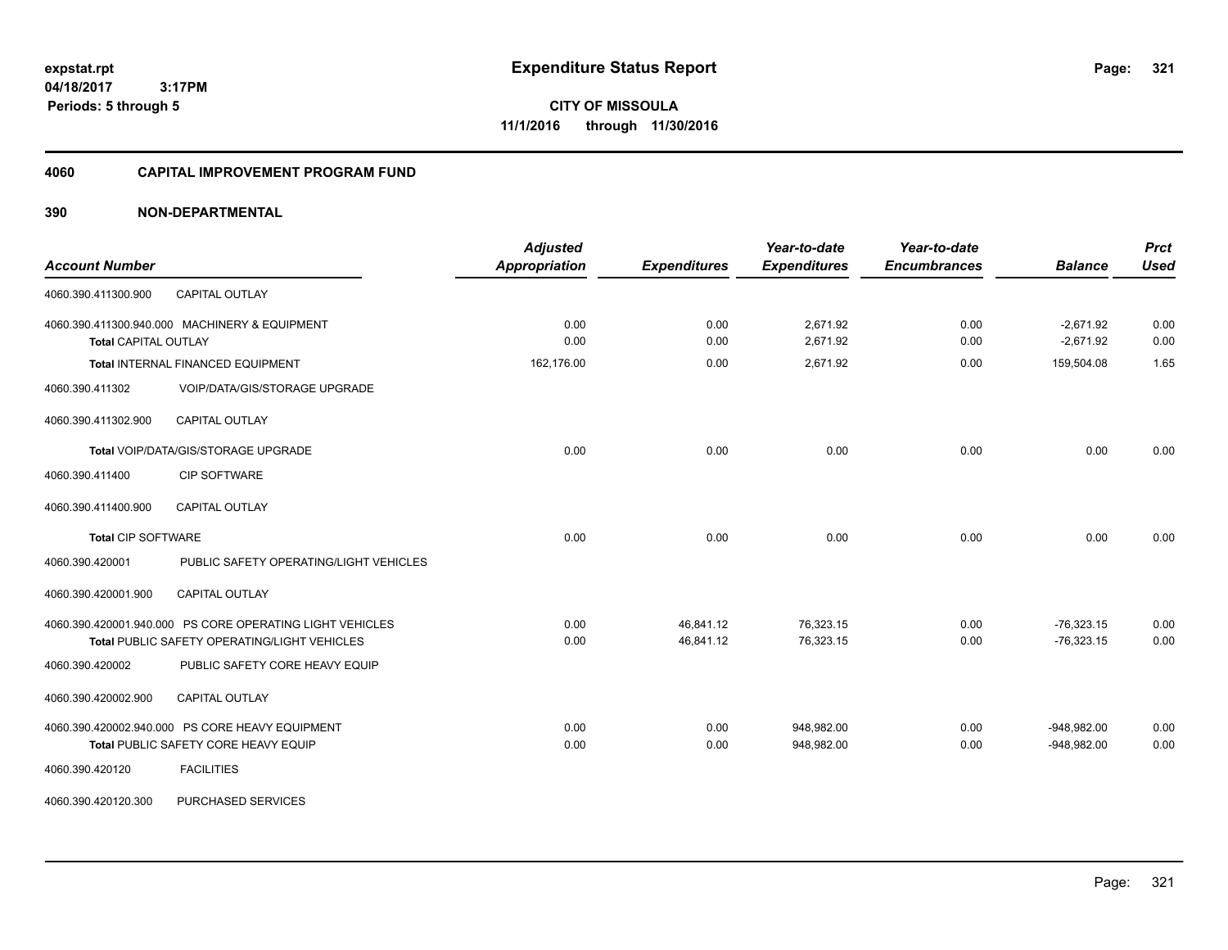**Periods: 5 through 5**

**CITY OF MISSOULA 11/1/2016 through 11/30/2016**

#### **4060 CAPITAL IMPROVEMENT PROGRAM FUND**

### **390 NON-DEPARTMENTAL**

 **3:17PM**

| <b>Account Number</b>                                                                                    | <b>Adjusted</b><br><b>Appropriation</b> | <b>Expenditures</b>    | Year-to-date<br><b>Expenditures</b> | Year-to-date<br><b>Encumbrances</b> | <b>Balance</b>                 | <b>Prct</b><br><b>Used</b> |
|----------------------------------------------------------------------------------------------------------|-----------------------------------------|------------------------|-------------------------------------|-------------------------------------|--------------------------------|----------------------------|
| 4060.390.411300.900<br><b>CAPITAL OUTLAY</b>                                                             |                                         |                        |                                     |                                     |                                |                            |
| 4060.390.411300.940.000 MACHINERY & EQUIPMENT<br><b>Total CAPITAL OUTLAY</b>                             | 0.00<br>0.00                            | 0.00<br>0.00           | 2,671.92<br>2,671.92                | 0.00<br>0.00                        | $-2.671.92$<br>$-2,671.92$     | 0.00<br>0.00               |
| Total INTERNAL FINANCED EQUIPMENT                                                                        | 162,176.00                              | 0.00                   | 2,671.92                            | 0.00                                | 159,504.08                     | 1.65                       |
| 4060.390.411302<br>VOIP/DATA/GIS/STORAGE UPGRADE                                                         |                                         |                        |                                     |                                     |                                |                            |
| <b>CAPITAL OUTLAY</b><br>4060.390.411302.900                                                             |                                         |                        |                                     |                                     |                                |                            |
| Total VOIP/DATA/GIS/STORAGE UPGRADE                                                                      | 0.00                                    | 0.00                   | 0.00                                | 0.00                                | 0.00                           | 0.00                       |
| <b>CIP SOFTWARE</b><br>4060.390.411400                                                                   |                                         |                        |                                     |                                     |                                |                            |
| <b>CAPITAL OUTLAY</b><br>4060.390.411400.900                                                             |                                         |                        |                                     |                                     |                                |                            |
| <b>Total CIP SOFTWARE</b>                                                                                | 0.00                                    | 0.00                   | 0.00                                | 0.00                                | 0.00                           | 0.00                       |
| PUBLIC SAFETY OPERATING/LIGHT VEHICLES<br>4060.390.420001                                                |                                         |                        |                                     |                                     |                                |                            |
| 4060.390.420001.900<br><b>CAPITAL OUTLAY</b>                                                             |                                         |                        |                                     |                                     |                                |                            |
| 4060.390.420001.940.000 PS CORE OPERATING LIGHT VEHICLES<br>Total PUBLIC SAFETY OPERATING/LIGHT VEHICLES | 0.00<br>0.00                            | 46,841.12<br>46,841.12 | 76,323.15<br>76,323.15              | 0.00<br>0.00                        | $-76,323.15$<br>$-76,323.15$   | 0.00<br>0.00               |
| 4060.390.420002<br>PUBLIC SAFETY CORE HEAVY EQUIP                                                        |                                         |                        |                                     |                                     |                                |                            |
| CAPITAL OUTLAY<br>4060.390.420002.900                                                                    |                                         |                        |                                     |                                     |                                |                            |
| 4060.390.420002.940.000 PS CORE HEAVY EQUIPMENT<br>Total PUBLIC SAFETY CORE HEAVY EQUIP                  | 0.00<br>0.00                            | 0.00<br>0.00           | 948,982.00<br>948,982.00            | 0.00<br>0.00                        | $-948,982.00$<br>$-948.982.00$ | 0.00<br>0.00               |
| 4060.390.420120<br><b>FACILITIES</b>                                                                     |                                         |                        |                                     |                                     |                                |                            |
| PURCHASED SERVICES<br>4060.390.420120.300                                                                |                                         |                        |                                     |                                     |                                |                            |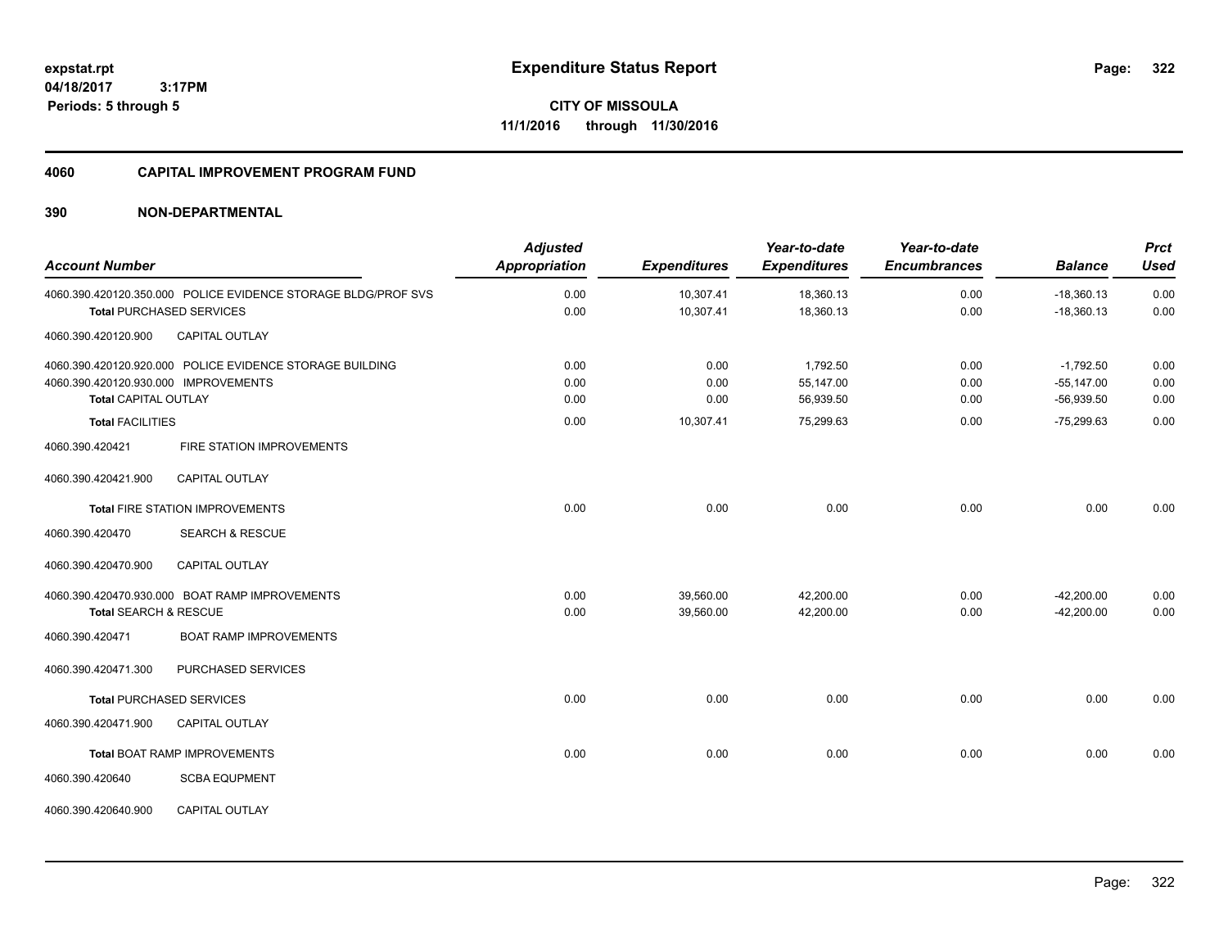**CITY OF MISSOULA 11/1/2016 through 11/30/2016**

#### **4060 CAPITAL IMPROVEMENT PROGRAM FUND**

| <b>Account Number</b>                |                                                               | <b>Adjusted</b><br><b>Appropriation</b> | <b>Expenditures</b> | Year-to-date<br><b>Expenditures</b> | Year-to-date<br><b>Encumbrances</b> | <b>Balance</b> | <b>Prct</b><br><b>Used</b> |
|--------------------------------------|---------------------------------------------------------------|-----------------------------------------|---------------------|-------------------------------------|-------------------------------------|----------------|----------------------------|
|                                      | 4060.390.420120.350.000 POLICE EVIDENCE STORAGE BLDG/PROF SVS | 0.00                                    | 10,307.41           | 18,360.13                           | 0.00                                | $-18,360.13$   | 0.00                       |
|                                      | <b>Total PURCHASED SERVICES</b>                               | 0.00                                    | 10,307.41           | 18,360.13                           | 0.00                                | $-18,360.13$   | 0.00                       |
| 4060.390.420120.900                  | CAPITAL OUTLAY                                                |                                         |                     |                                     |                                     |                |                            |
|                                      | 4060.390.420120.920.000 POLICE EVIDENCE STORAGE BUILDING      | 0.00                                    | 0.00                | 1,792.50                            | 0.00                                | $-1,792.50$    | 0.00                       |
| 4060.390.420120.930.000 IMPROVEMENTS |                                                               | 0.00                                    | 0.00                | 55,147.00                           | 0.00                                | $-55,147.00$   | 0.00                       |
| <b>Total CAPITAL OUTLAY</b>          |                                                               | 0.00                                    | 0.00                | 56,939.50                           | 0.00                                | $-56,939.50$   | 0.00                       |
| <b>Total FACILITIES</b>              |                                                               | 0.00                                    | 10,307.41           | 75,299.63                           | 0.00                                | $-75,299.63$   | 0.00                       |
| 4060.390.420421                      | FIRE STATION IMPROVEMENTS                                     |                                         |                     |                                     |                                     |                |                            |
| 4060.390.420421.900                  | <b>CAPITAL OUTLAY</b>                                         |                                         |                     |                                     |                                     |                |                            |
|                                      | <b>Total FIRE STATION IMPROVEMENTS</b>                        | 0.00                                    | 0.00                | 0.00                                | 0.00                                | 0.00           | 0.00                       |
| 4060.390.420470                      | <b>SEARCH &amp; RESCUE</b>                                    |                                         |                     |                                     |                                     |                |                            |
| 4060.390.420470.900                  | <b>CAPITAL OUTLAY</b>                                         |                                         |                     |                                     |                                     |                |                            |
|                                      | 4060.390.420470.930.000 BOAT RAMP IMPROVEMENTS                | 0.00                                    | 39,560.00           | 42,200.00                           | 0.00                                | $-42,200.00$   | 0.00                       |
| Total SEARCH & RESCUE                |                                                               | 0.00                                    | 39,560.00           | 42,200.00                           | 0.00                                | $-42,200.00$   | 0.00                       |
| 4060.390.420471                      | <b>BOAT RAMP IMPROVEMENTS</b>                                 |                                         |                     |                                     |                                     |                |                            |
| 4060.390.420471.300                  | PURCHASED SERVICES                                            |                                         |                     |                                     |                                     |                |                            |
|                                      | <b>Total PURCHASED SERVICES</b>                               | 0.00                                    | 0.00                | 0.00                                | 0.00                                | 0.00           | 0.00                       |
| 4060.390.420471.900                  | <b>CAPITAL OUTLAY</b>                                         |                                         |                     |                                     |                                     |                |                            |
|                                      | <b>Total BOAT RAMP IMPROVEMENTS</b>                           | 0.00                                    | 0.00                | 0.00                                | 0.00                                | 0.00           | 0.00                       |
| 4060.390.420640                      | <b>SCBA EQUPMENT</b>                                          |                                         |                     |                                     |                                     |                |                            |
| 4060.390.420640.900                  | <b>CAPITAL OUTLAY</b>                                         |                                         |                     |                                     |                                     |                |                            |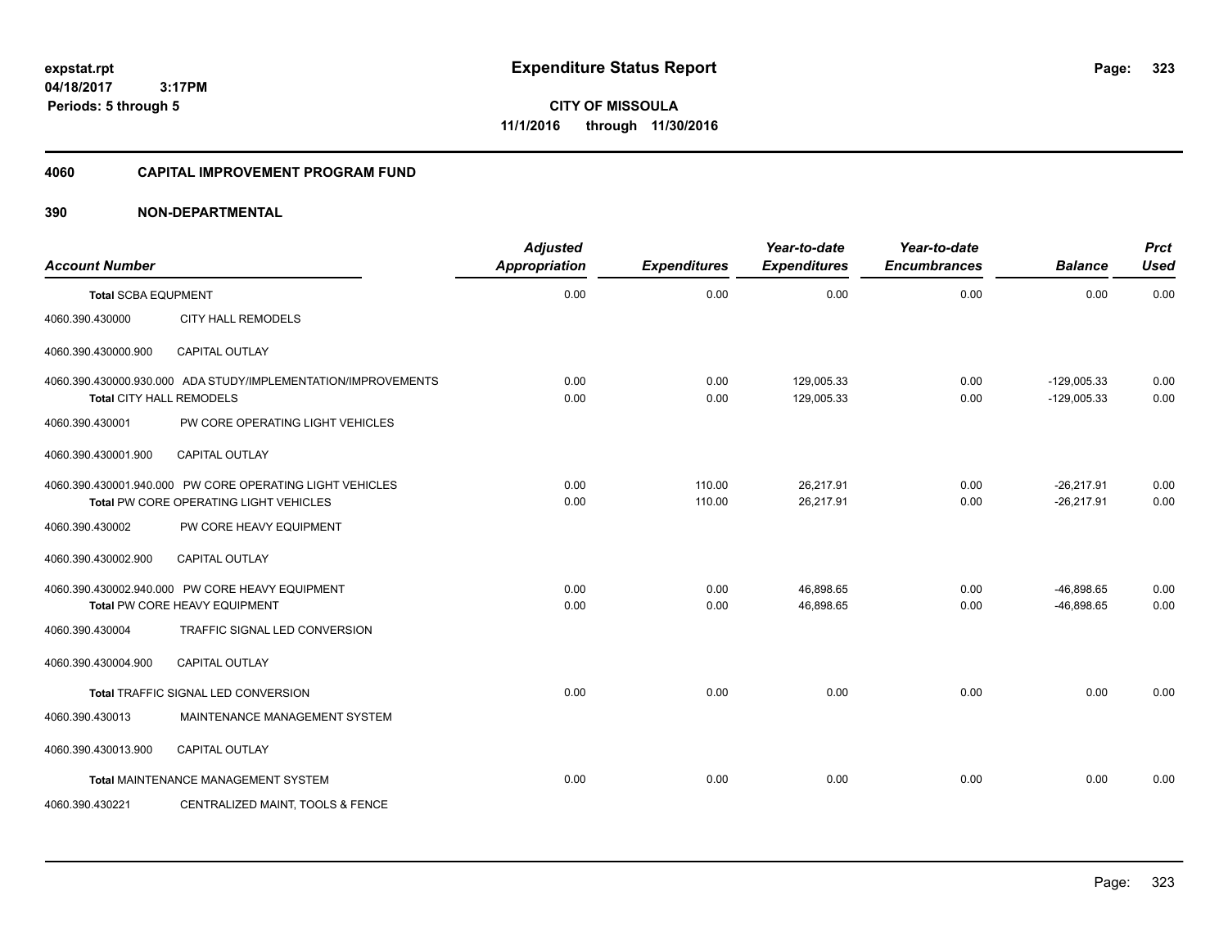**CITY OF MISSOULA 11/1/2016 through 11/30/2016**

#### **4060 CAPITAL IMPROVEMENT PROGRAM FUND**

| <b>Account Number</b>      |                                                                                                    | <b>Adjusted</b><br><b>Appropriation</b> | <b>Expenditures</b> | Year-to-date<br><b>Expenditures</b> | Year-to-date<br><b>Encumbrances</b> | <b>Balance</b>                 | <b>Prct</b><br><b>Used</b> |
|----------------------------|----------------------------------------------------------------------------------------------------|-----------------------------------------|---------------------|-------------------------------------|-------------------------------------|--------------------------------|----------------------------|
| <b>Total SCBA EQUPMENT</b> |                                                                                                    | 0.00                                    | 0.00                | 0.00                                | 0.00                                | 0.00                           | 0.00                       |
| 4060.390.430000            | <b>CITY HALL REMODELS</b>                                                                          |                                         |                     |                                     |                                     |                                |                            |
| 4060.390.430000.900        | CAPITAL OUTLAY                                                                                     |                                         |                     |                                     |                                     |                                |                            |
|                            | 4060.390.430000.930.000 ADA STUDY/IMPLEMENTATION/IMPROVEMENTS<br>Total CITY HALL REMODELS          | 0.00<br>0.00                            | 0.00<br>0.00        | 129,005.33<br>129,005.33            | 0.00<br>0.00                        | $-129,005.33$<br>$-129,005.33$ | 0.00<br>0.00               |
| 4060.390.430001            | PW CORE OPERATING LIGHT VEHICLES                                                                   |                                         |                     |                                     |                                     |                                |                            |
| 4060.390.430001.900        | <b>CAPITAL OUTLAY</b>                                                                              |                                         |                     |                                     |                                     |                                |                            |
|                            | 4060.390.430001.940.000 PW CORE OPERATING LIGHT VEHICLES<br>Total PW CORE OPERATING LIGHT VEHICLES | 0.00<br>0.00                            | 110.00<br>110.00    | 26,217.91<br>26,217.91              | 0.00<br>0.00                        | $-26,217.91$<br>$-26,217.91$   | 0.00<br>0.00               |
| 4060.390.430002            | PW CORE HEAVY EQUIPMENT                                                                            |                                         |                     |                                     |                                     |                                |                            |
| 4060.390.430002.900        | <b>CAPITAL OUTLAY</b>                                                                              |                                         |                     |                                     |                                     |                                |                            |
|                            | 4060.390.430002.940.000 PW CORE HEAVY EQUIPMENT<br>Total PW CORE HEAVY EQUIPMENT                   | 0.00<br>0.00                            | 0.00<br>0.00        | 46,898.65<br>46,898.65              | 0.00<br>0.00                        | $-46,898.65$<br>$-46,898.65$   | 0.00<br>0.00               |
| 4060.390.430004            | <b>TRAFFIC SIGNAL LED CONVERSION</b>                                                               |                                         |                     |                                     |                                     |                                |                            |
| 4060.390.430004.900        | CAPITAL OUTLAY                                                                                     |                                         |                     |                                     |                                     |                                |                            |
|                            | Total TRAFFIC SIGNAL LED CONVERSION                                                                | 0.00                                    | 0.00                | 0.00                                | 0.00                                | 0.00                           | 0.00                       |
| 4060.390.430013            | MAINTENANCE MANAGEMENT SYSTEM                                                                      |                                         |                     |                                     |                                     |                                |                            |
| 4060.390.430013.900        | <b>CAPITAL OUTLAY</b>                                                                              |                                         |                     |                                     |                                     |                                |                            |
|                            | <b>Total MAINTENANCE MANAGEMENT SYSTEM</b>                                                         | 0.00                                    | 0.00                | 0.00                                | 0.00                                | 0.00                           | 0.00                       |
| 4060.390.430221            | CENTRALIZED MAINT, TOOLS & FENCE                                                                   |                                         |                     |                                     |                                     |                                |                            |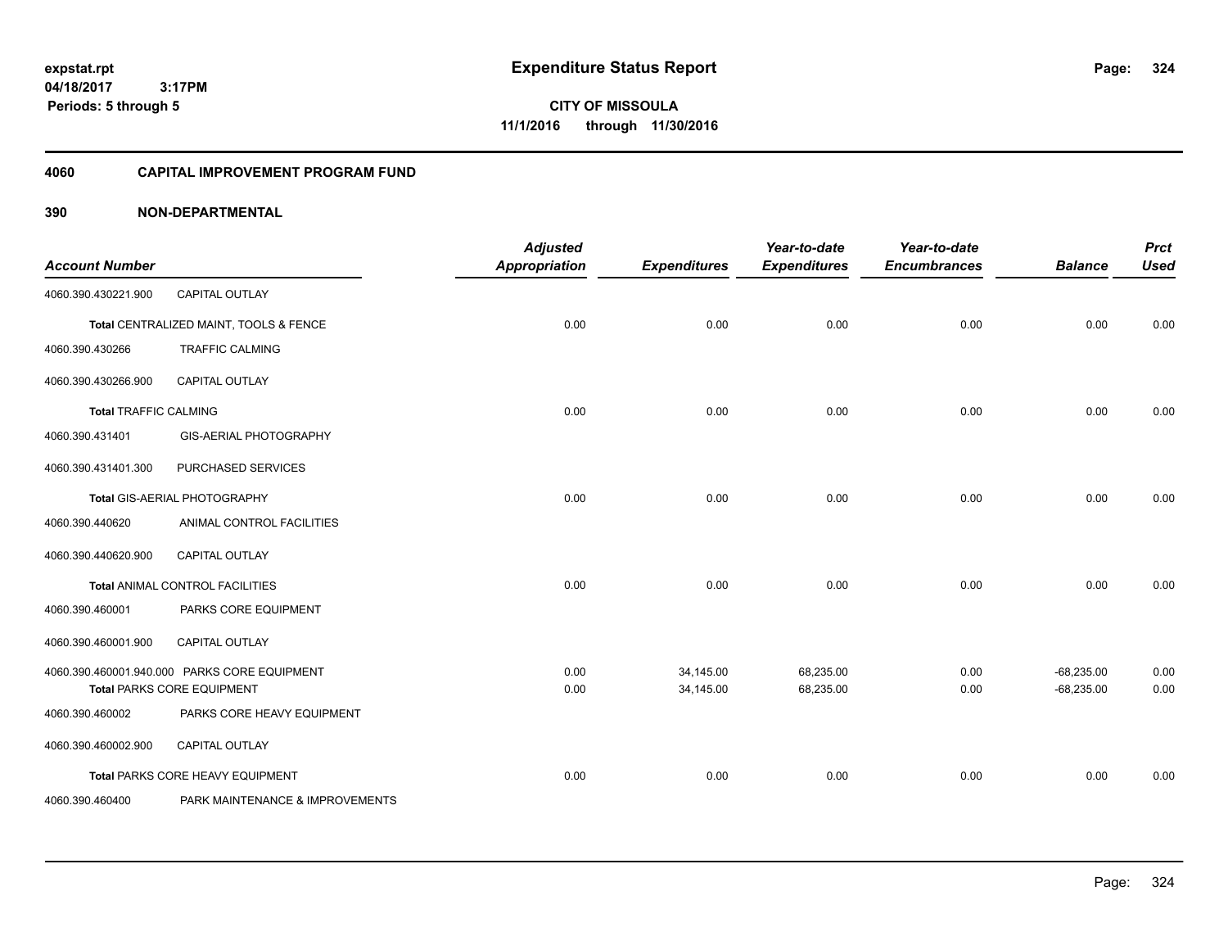**CITY OF MISSOULA 11/1/2016 through 11/30/2016**

### **4060 CAPITAL IMPROVEMENT PROGRAM FUND**

| <b>Account Number</b>        |                                              | <b>Adjusted</b><br><b>Appropriation</b> | <b>Expenditures</b> | Year-to-date<br><b>Expenditures</b> | Year-to-date<br><b>Encumbrances</b> | <b>Balance</b> | <b>Prct</b><br><b>Used</b> |
|------------------------------|----------------------------------------------|-----------------------------------------|---------------------|-------------------------------------|-------------------------------------|----------------|----------------------------|
| 4060.390.430221.900          | <b>CAPITAL OUTLAY</b>                        |                                         |                     |                                     |                                     |                |                            |
|                              | Total CENTRALIZED MAINT, TOOLS & FENCE       | 0.00                                    | 0.00                | 0.00                                | 0.00                                | 0.00           | 0.00                       |
| 4060.390.430266              | <b>TRAFFIC CALMING</b>                       |                                         |                     |                                     |                                     |                |                            |
| 4060.390.430266.900          | <b>CAPITAL OUTLAY</b>                        |                                         |                     |                                     |                                     |                |                            |
| <b>Total TRAFFIC CALMING</b> |                                              | 0.00                                    | 0.00                | 0.00                                | 0.00                                | 0.00           | 0.00                       |
| 4060.390.431401              | <b>GIS-AERIAL PHOTOGRAPHY</b>                |                                         |                     |                                     |                                     |                |                            |
| 4060.390.431401.300          | PURCHASED SERVICES                           |                                         |                     |                                     |                                     |                |                            |
|                              | Total GIS-AERIAL PHOTOGRAPHY                 | 0.00                                    | 0.00                | 0.00                                | 0.00                                | 0.00           | 0.00                       |
| 4060.390.440620              | ANIMAL CONTROL FACILITIES                    |                                         |                     |                                     |                                     |                |                            |
| 4060.390.440620.900          | <b>CAPITAL OUTLAY</b>                        |                                         |                     |                                     |                                     |                |                            |
|                              | Total ANIMAL CONTROL FACILITIES              | 0.00                                    | 0.00                | 0.00                                | 0.00                                | 0.00           | 0.00                       |
| 4060.390.460001              | PARKS CORE EQUIPMENT                         |                                         |                     |                                     |                                     |                |                            |
| 4060.390.460001.900          | <b>CAPITAL OUTLAY</b>                        |                                         |                     |                                     |                                     |                |                            |
|                              | 4060.390.460001.940.000 PARKS CORE EQUIPMENT | 0.00                                    | 34,145.00           | 68,235.00                           | 0.00                                | $-68,235.00$   | 0.00                       |
|                              | <b>Total PARKS CORE EQUIPMENT</b>            | 0.00                                    | 34,145.00           | 68,235.00                           | 0.00                                | $-68,235.00$   | 0.00                       |
| 4060.390.460002              | PARKS CORE HEAVY EQUIPMENT                   |                                         |                     |                                     |                                     |                |                            |
| 4060.390.460002.900          | CAPITAL OUTLAY                               |                                         |                     |                                     |                                     |                |                            |
|                              | Total PARKS CORE HEAVY EQUIPMENT             | 0.00                                    | 0.00                | 0.00                                | 0.00                                | 0.00           | 0.00                       |
| 4060.390.460400              | PARK MAINTENANCE & IMPROVEMENTS              |                                         |                     |                                     |                                     |                |                            |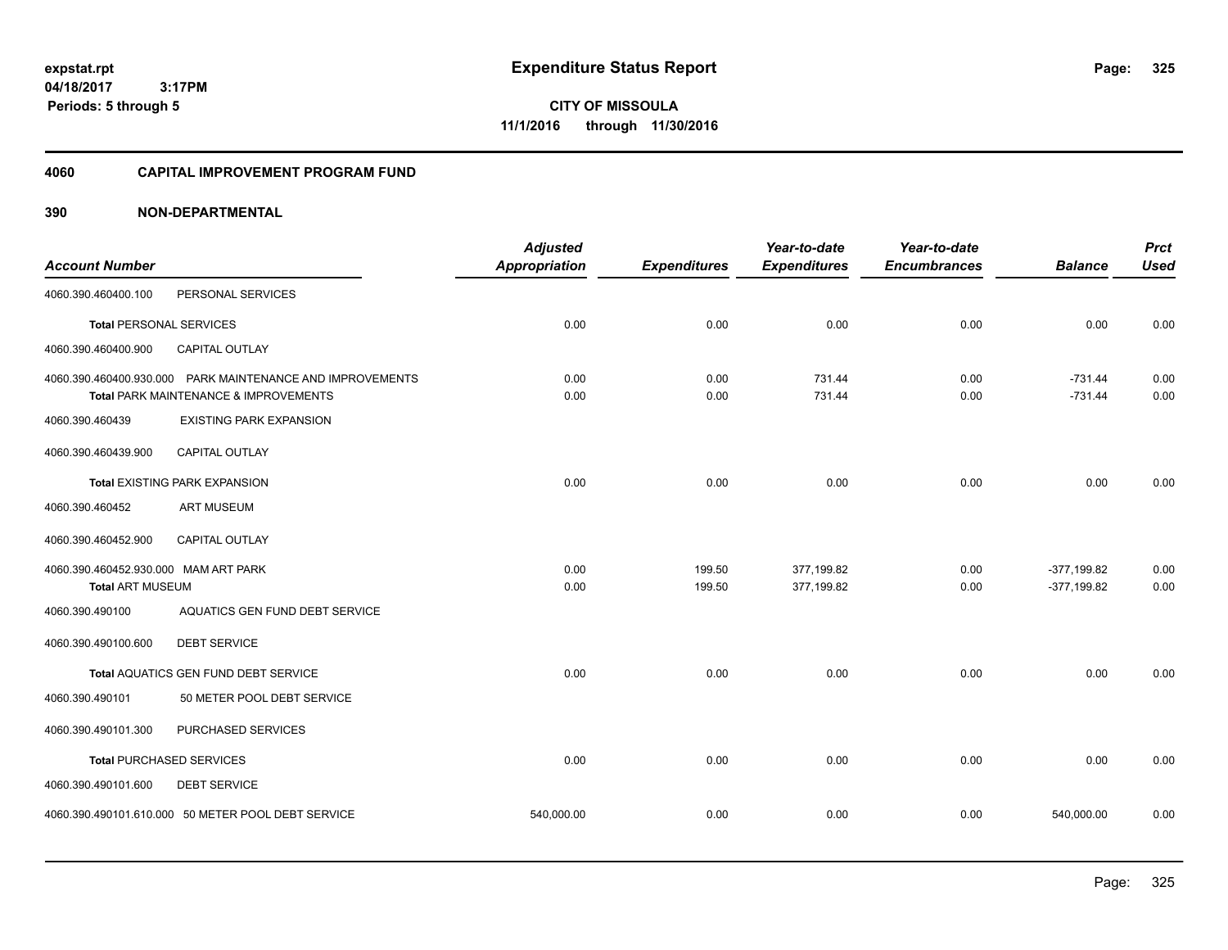**325**

**04/18/2017 3:17PM Periods: 5 through 5**

**CITY OF MISSOULA 11/1/2016 through 11/30/2016**

#### **4060 CAPITAL IMPROVEMENT PROGRAM FUND**

| <b>Account Number</b>                |                                                                                                               | <b>Adjusted</b><br><b>Appropriation</b> | <b>Expenditures</b> | Year-to-date<br><b>Expenditures</b> | Year-to-date<br><b>Encumbrances</b> | <b>Balance</b>         | <b>Prct</b><br><b>Used</b> |
|--------------------------------------|---------------------------------------------------------------------------------------------------------------|-----------------------------------------|---------------------|-------------------------------------|-------------------------------------|------------------------|----------------------------|
| 4060.390.460400.100                  | PERSONAL SERVICES                                                                                             |                                         |                     |                                     |                                     |                        |                            |
| <b>Total PERSONAL SERVICES</b>       |                                                                                                               | 0.00                                    | 0.00                | 0.00                                | 0.00                                | 0.00                   | 0.00                       |
| 4060.390.460400.900                  | <b>CAPITAL OUTLAY</b>                                                                                         |                                         |                     |                                     |                                     |                        |                            |
|                                      | 4060.390.460400.930.000 PARK MAINTENANCE AND IMPROVEMENTS<br><b>Total PARK MAINTENANCE &amp; IMPROVEMENTS</b> | 0.00<br>0.00                            | 0.00<br>0.00        | 731.44<br>731.44                    | 0.00<br>0.00                        | $-731.44$<br>$-731.44$ | 0.00<br>0.00               |
| 4060.390.460439                      | <b>EXISTING PARK EXPANSION</b>                                                                                |                                         |                     |                                     |                                     |                        |                            |
| 4060.390.460439.900                  | <b>CAPITAL OUTLAY</b>                                                                                         |                                         |                     |                                     |                                     |                        |                            |
|                                      | <b>Total EXISTING PARK EXPANSION</b>                                                                          | 0.00                                    | 0.00                | 0.00                                | 0.00                                | 0.00                   | 0.00                       |
| 4060.390.460452                      | <b>ART MUSEUM</b>                                                                                             |                                         |                     |                                     |                                     |                        |                            |
| 4060.390.460452.900                  | CAPITAL OUTLAY                                                                                                |                                         |                     |                                     |                                     |                        |                            |
| 4060.390.460452.930.000 MAM ART PARK |                                                                                                               | 0.00                                    | 199.50              | 377,199.82                          | 0.00                                | $-377,199.82$          | 0.00                       |
| <b>Total ART MUSEUM</b>              |                                                                                                               | 0.00                                    | 199.50              | 377,199.82                          | 0.00                                | $-377,199.82$          | 0.00                       |
| 4060.390.490100                      | AQUATICS GEN FUND DEBT SERVICE                                                                                |                                         |                     |                                     |                                     |                        |                            |
| 4060.390.490100.600                  | <b>DEBT SERVICE</b>                                                                                           |                                         |                     |                                     |                                     |                        |                            |
|                                      | Total AQUATICS GEN FUND DEBT SERVICE                                                                          | 0.00                                    | 0.00                | 0.00                                | 0.00                                | 0.00                   | 0.00                       |
| 4060.390.490101                      | 50 METER POOL DEBT SERVICE                                                                                    |                                         |                     |                                     |                                     |                        |                            |
| 4060.390.490101.300                  | PURCHASED SERVICES                                                                                            |                                         |                     |                                     |                                     |                        |                            |
| <b>Total PURCHASED SERVICES</b>      |                                                                                                               | 0.00                                    | 0.00                | 0.00                                | 0.00                                | 0.00                   | 0.00                       |
| 4060.390.490101.600                  | <b>DEBT SERVICE</b>                                                                                           |                                         |                     |                                     |                                     |                        |                            |
|                                      | 4060.390.490101.610.000 50 METER POOL DEBT SERVICE                                                            | 540,000.00                              | 0.00                | 0.00                                | 0.00                                | 540,000.00             | 0.00                       |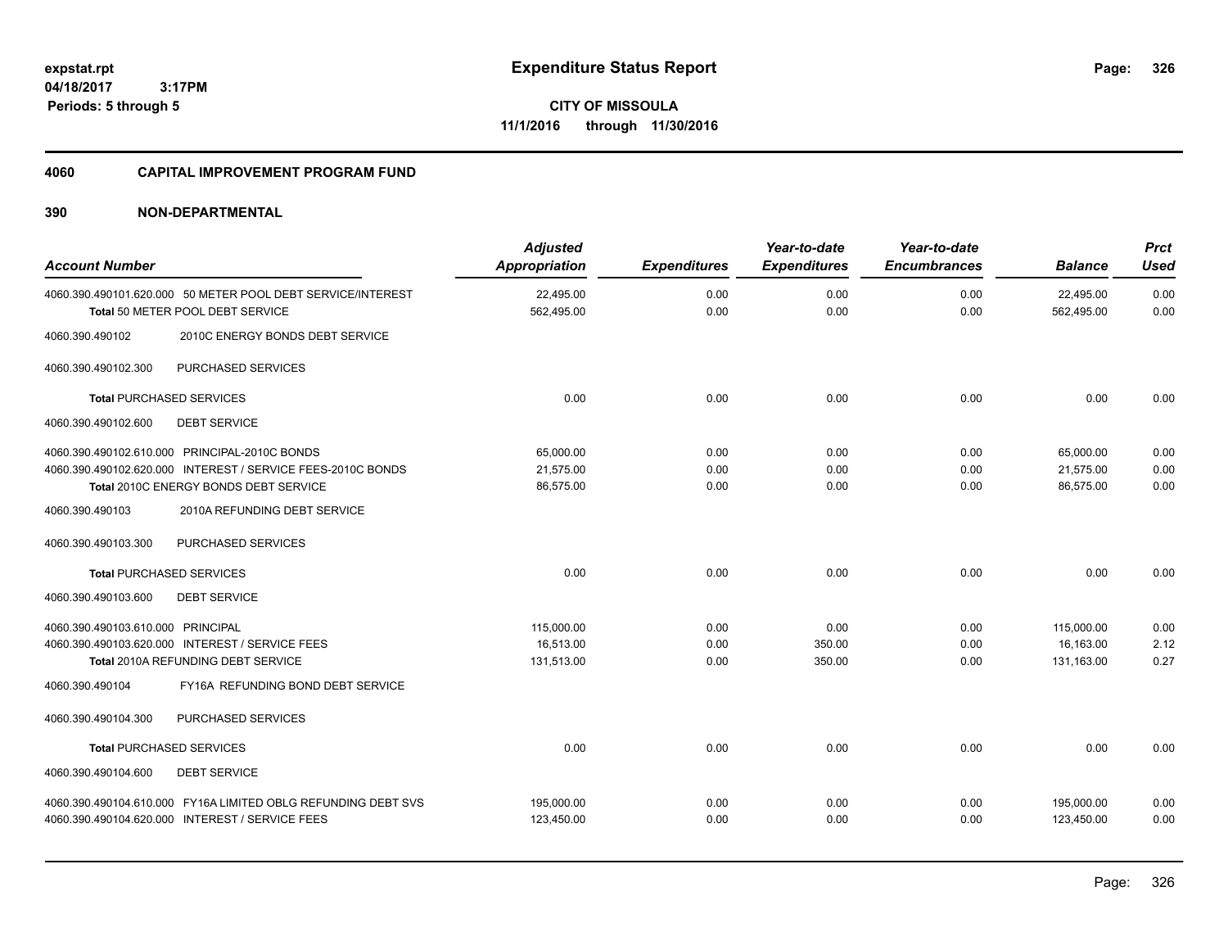**CITY OF MISSOULA 11/1/2016 through 11/30/2016**

#### **4060 CAPITAL IMPROVEMENT PROGRAM FUND**

| <b>Account Number</b>                                                                                                                                                              | <b>Adjusted</b><br><b>Appropriation</b> | <b>Expenditures</b>  | Year-to-date<br><b>Expenditures</b> | Year-to-date<br><b>Encumbrances</b> | <b>Balance</b>                        | <b>Prct</b><br><b>Used</b> |
|------------------------------------------------------------------------------------------------------------------------------------------------------------------------------------|-----------------------------------------|----------------------|-------------------------------------|-------------------------------------|---------------------------------------|----------------------------|
| 4060.390.490101.620.000 50 METER POOL DEBT SERVICE/INTEREST<br>Total 50 METER POOL DEBT SERVICE                                                                                    | 22,495.00<br>562,495.00                 | 0.00<br>0.00         | 0.00<br>0.00                        | 0.00<br>0.00                        | 22,495.00<br>562,495.00               | 0.00<br>0.00               |
| 4060.390.490102<br>2010C ENERGY BONDS DEBT SERVICE                                                                                                                                 |                                         |                      |                                     |                                     |                                       |                            |
| PURCHASED SERVICES<br>4060.390.490102.300                                                                                                                                          |                                         |                      |                                     |                                     |                                       |                            |
| <b>Total PURCHASED SERVICES</b>                                                                                                                                                    | 0.00                                    | 0.00                 | 0.00                                | 0.00                                | 0.00                                  | 0.00                       |
| 4060.390.490102.600<br><b>DEBT SERVICE</b>                                                                                                                                         |                                         |                      |                                     |                                     |                                       |                            |
| 4060.390.490102.610.000 PRINCIPAL-2010C BONDS<br>4060.390.490102.620.000 INTEREST / SERVICE FEES-2010C BONDS<br>Total 2010C ENERGY BONDS DEBT SERVICE                              | 65,000.00<br>21,575.00<br>86,575.00     | 0.00<br>0.00<br>0.00 | 0.00<br>0.00<br>0.00                | 0.00<br>0.00<br>0.00                | 65,000.00<br>21,575.00<br>86.575.00   | 0.00<br>0.00<br>0.00       |
| 2010A REFUNDING DEBT SERVICE<br>4060.390.490103                                                                                                                                    |                                         |                      |                                     |                                     |                                       |                            |
| PURCHASED SERVICES<br>4060.390.490103.300                                                                                                                                          |                                         |                      |                                     |                                     |                                       |                            |
| <b>Total PURCHASED SERVICES</b>                                                                                                                                                    | 0.00                                    | 0.00                 | 0.00                                | 0.00                                | 0.00                                  | 0.00                       |
| 4060.390.490103.600<br><b>DEBT SERVICE</b>                                                                                                                                         |                                         |                      |                                     |                                     |                                       |                            |
| 4060.390.490103.610.000 PRINCIPAL<br>4060.390.490103.620.000 INTEREST / SERVICE FEES<br>Total 2010A REFUNDING DEBT SERVICE<br>FY16A REFUNDING BOND DEBT SERVICE<br>4060.390.490104 | 115,000.00<br>16,513.00<br>131,513.00   | 0.00<br>0.00<br>0.00 | 0.00<br>350.00<br>350.00            | 0.00<br>0.00<br>0.00                | 115,000.00<br>16.163.00<br>131,163.00 | 0.00<br>2.12<br>0.27       |
| PURCHASED SERVICES<br>4060.390.490104.300                                                                                                                                          |                                         |                      |                                     |                                     |                                       |                            |
| <b>Total PURCHASED SERVICES</b><br>4060.390.490104.600<br><b>DEBT SERVICE</b>                                                                                                      | 0.00                                    | 0.00                 | 0.00                                | 0.00                                | 0.00                                  | 0.00                       |
| 4060.390.490104.610.000 FY16A LIMITED OBLG REFUNDING DEBT SVS<br>4060.390.490104.620.000 INTEREST / SERVICE FEES                                                                   | 195,000.00<br>123,450.00                | 0.00<br>0.00         | 0.00<br>0.00                        | 0.00<br>0.00                        | 195,000.00<br>123,450.00              | 0.00<br>0.00               |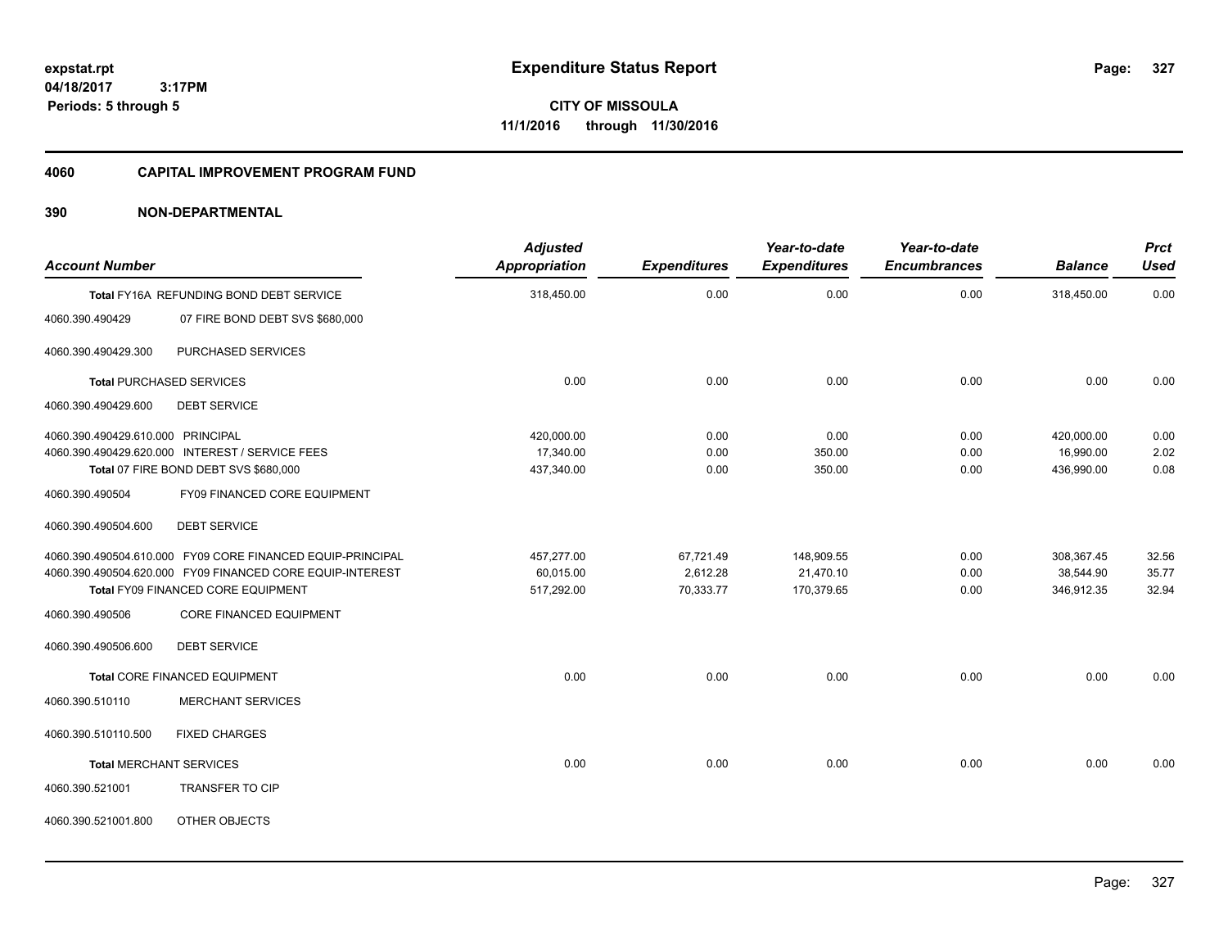**CITY OF MISSOULA 11/1/2016 through 11/30/2016**

#### **4060 CAPITAL IMPROVEMENT PROGRAM FUND**

| <b>Account Number</b>                                |                                                                                                                                                               | <b>Adjusted</b><br><b>Appropriation</b> | <b>Expenditures</b>                | Year-to-date<br><b>Expenditures</b>   | Year-to-date<br><b>Encumbrances</b> | <b>Balance</b>                        | <b>Prct</b><br><b>Used</b> |
|------------------------------------------------------|---------------------------------------------------------------------------------------------------------------------------------------------------------------|-----------------------------------------|------------------------------------|---------------------------------------|-------------------------------------|---------------------------------------|----------------------------|
|                                                      | Total FY16A REFUNDING BOND DEBT SERVICE                                                                                                                       | 318,450.00                              | 0.00                               | 0.00                                  | 0.00                                | 318,450.00                            | 0.00                       |
| 4060.390.490429                                      | 07 FIRE BOND DEBT SVS \$680,000                                                                                                                               |                                         |                                    |                                       |                                     |                                       |                            |
| 4060.390.490429.300                                  | PURCHASED SERVICES                                                                                                                                            |                                         |                                    |                                       |                                     |                                       |                            |
|                                                      | <b>Total PURCHASED SERVICES</b>                                                                                                                               | 0.00                                    | 0.00                               | 0.00                                  | 0.00                                | 0.00                                  | 0.00                       |
| 4060.390.490429.600                                  | <b>DEBT SERVICE</b>                                                                                                                                           |                                         |                                    |                                       |                                     |                                       |                            |
| 4060.390.490429.610.000 PRINCIPAL<br>4060.390.490504 | 4060.390.490429.620.000 INTEREST / SERVICE FEES<br>Total 07 FIRE BOND DEBT SVS \$680,000<br>FY09 FINANCED CORE EQUIPMENT                                      | 420,000.00<br>17,340.00<br>437,340.00   | 0.00<br>0.00<br>0.00               | 0.00<br>350.00<br>350.00              | 0.00<br>0.00<br>0.00                | 420,000.00<br>16,990.00<br>436,990.00 | 0.00<br>2.02<br>0.08       |
| 4060.390.490504.600                                  | <b>DEBT SERVICE</b>                                                                                                                                           |                                         |                                    |                                       |                                     |                                       |                            |
|                                                      | 4060.390.490504.610.000 FY09 CORE FINANCED EQUIP-PRINCIPAL<br>4060.390.490504.620.000 FY09 FINANCED CORE EQUIP-INTEREST<br>Total FY09 FINANCED CORE EQUIPMENT | 457,277.00<br>60,015.00<br>517,292.00   | 67,721.49<br>2,612.28<br>70,333.77 | 148,909.55<br>21,470.10<br>170,379.65 | 0.00<br>0.00<br>0.00                | 308,367.45<br>38,544.90<br>346,912.35 | 32.56<br>35.77<br>32.94    |
| 4060.390.490506                                      | CORE FINANCED EQUIPMENT                                                                                                                                       |                                         |                                    |                                       |                                     |                                       |                            |
| 4060.390.490506.600                                  | <b>DEBT SERVICE</b>                                                                                                                                           |                                         |                                    |                                       |                                     |                                       |                            |
|                                                      | <b>Total CORE FINANCED EQUIPMENT</b>                                                                                                                          | 0.00                                    | 0.00                               | 0.00                                  | 0.00                                | 0.00                                  | 0.00                       |
| 4060.390.510110                                      | <b>MERCHANT SERVICES</b>                                                                                                                                      |                                         |                                    |                                       |                                     |                                       |                            |
| 4060.390.510110.500                                  | <b>FIXED CHARGES</b>                                                                                                                                          |                                         |                                    |                                       |                                     |                                       |                            |
| <b>Total MERCHANT SERVICES</b>                       |                                                                                                                                                               | 0.00                                    | 0.00                               | 0.00                                  | 0.00                                | 0.00                                  | 0.00                       |
| 4060.390.521001                                      | TRANSFER TO CIP                                                                                                                                               |                                         |                                    |                                       |                                     |                                       |                            |
| 4060.390.521001.800                                  | OTHER OBJECTS                                                                                                                                                 |                                         |                                    |                                       |                                     |                                       |                            |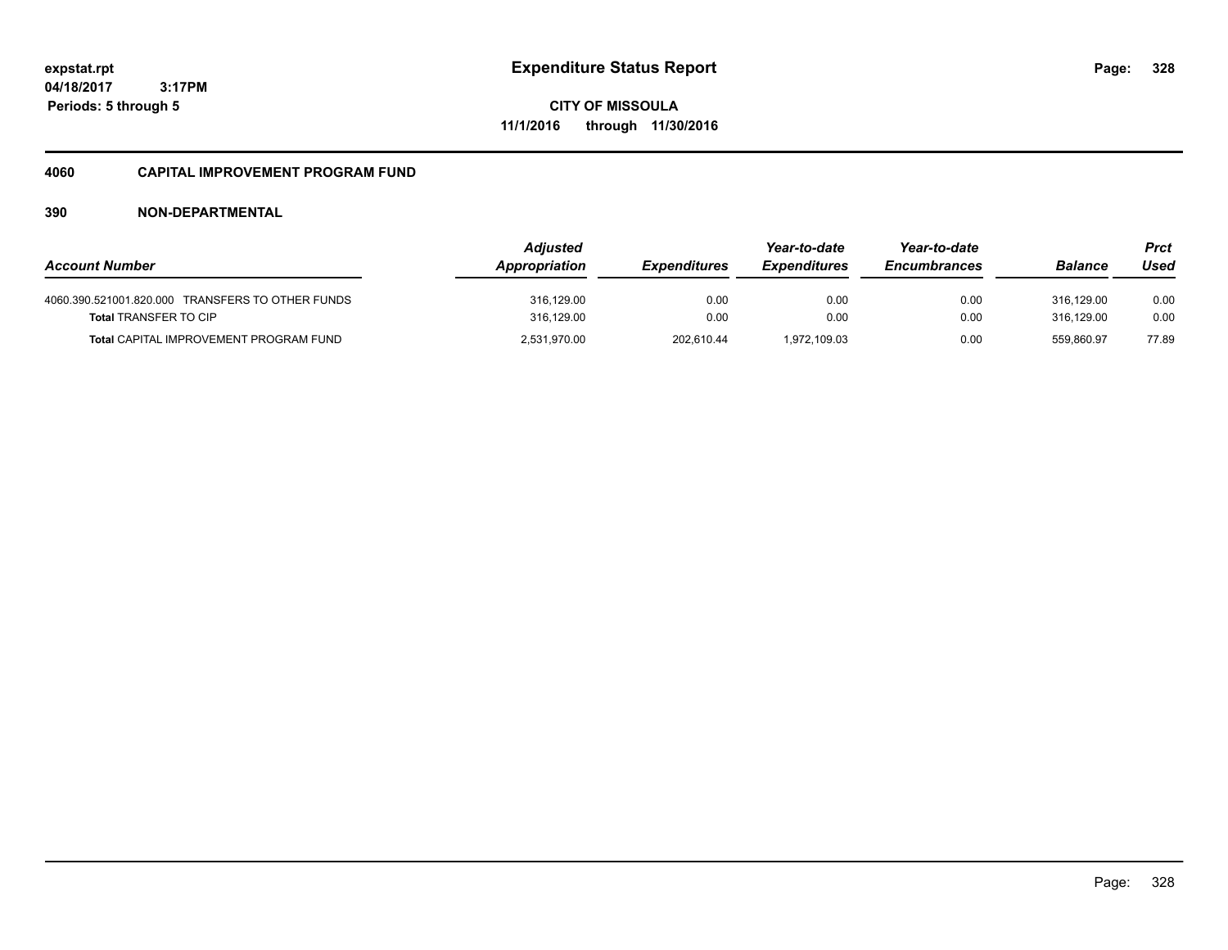**CITY OF MISSOULA 11/1/2016 through 11/30/2016**

#### **4060 CAPITAL IMPROVEMENT PROGRAM FUND**

| <b>Account Number</b>                                                            | <b>Adjusted</b><br>Appropriation | <b>Expenditures</b> | Year-to-date<br><b>Expenditures</b> | Year-to-date<br><b>Encumbrances</b> | <b>Balance</b>           | Prct<br>Used |
|----------------------------------------------------------------------------------|----------------------------------|---------------------|-------------------------------------|-------------------------------------|--------------------------|--------------|
| 4060.390.521001.820.000 TRANSFERS TO OTHER FUNDS<br><b>Total TRANSFER TO CIP</b> | 316,129.00<br>316,129.00         | 0.00<br>0.00        | 0.00<br>0.00                        | 0.00<br>0.00                        | 316.129.00<br>316.129.00 | 0.00<br>0.00 |
| <b>Total CAPITAL IMPROVEMENT PROGRAM FUND</b>                                    | 2,531,970.00                     | 202,610.44          | 1.972.109.03                        | 0.00                                | 559.860.97               | 77.89        |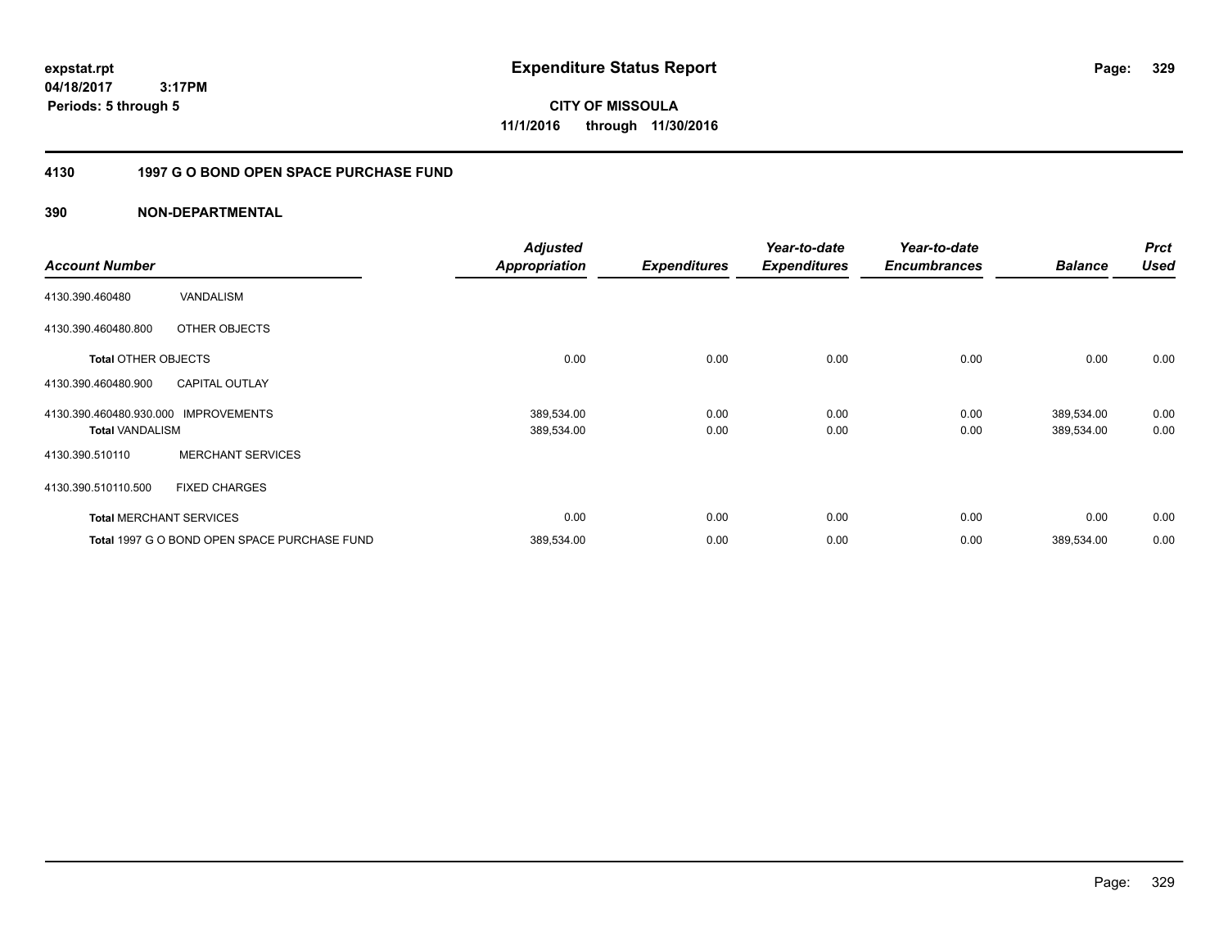**CITY OF MISSOULA 11/1/2016 through 11/30/2016**

### **4130 1997 G O BOND OPEN SPACE PURCHASE FUND**

| <b>Account Number</b>                             |                                              | <b>Adjusted</b><br><b>Appropriation</b> | <b>Expenditures</b> | Year-to-date<br><b>Expenditures</b> | Year-to-date<br><b>Encumbrances</b> | <b>Balance</b>           | <b>Prct</b><br><b>Used</b> |
|---------------------------------------------------|----------------------------------------------|-----------------------------------------|---------------------|-------------------------------------|-------------------------------------|--------------------------|----------------------------|
| 4130.390.460480                                   | VANDALISM                                    |                                         |                     |                                     |                                     |                          |                            |
| 4130.390.460480.800                               | OTHER OBJECTS                                |                                         |                     |                                     |                                     |                          |                            |
| <b>Total OTHER OBJECTS</b>                        |                                              | 0.00                                    | 0.00                | 0.00                                | 0.00                                | 0.00                     | 0.00                       |
| 4130.390.460480.900                               | <b>CAPITAL OUTLAY</b>                        |                                         |                     |                                     |                                     |                          |                            |
| 4130.390.460480.930.000<br><b>Total VANDALISM</b> | <b>IMPROVEMENTS</b>                          | 389,534.00<br>389,534.00                | 0.00<br>0.00        | 0.00<br>0.00                        | 0.00<br>0.00                        | 389,534.00<br>389,534.00 | 0.00<br>0.00               |
| 4130.390.510110                                   | <b>MERCHANT SERVICES</b>                     |                                         |                     |                                     |                                     |                          |                            |
| 4130.390.510110.500                               | <b>FIXED CHARGES</b>                         |                                         |                     |                                     |                                     |                          |                            |
|                                                   | <b>Total MERCHANT SERVICES</b>               | 0.00                                    | 0.00                | 0.00                                | 0.00                                | 0.00                     | 0.00                       |
|                                                   | Total 1997 G O BOND OPEN SPACE PURCHASE FUND | 389,534.00                              | 0.00                | 0.00                                | 0.00                                | 389,534.00               | 0.00                       |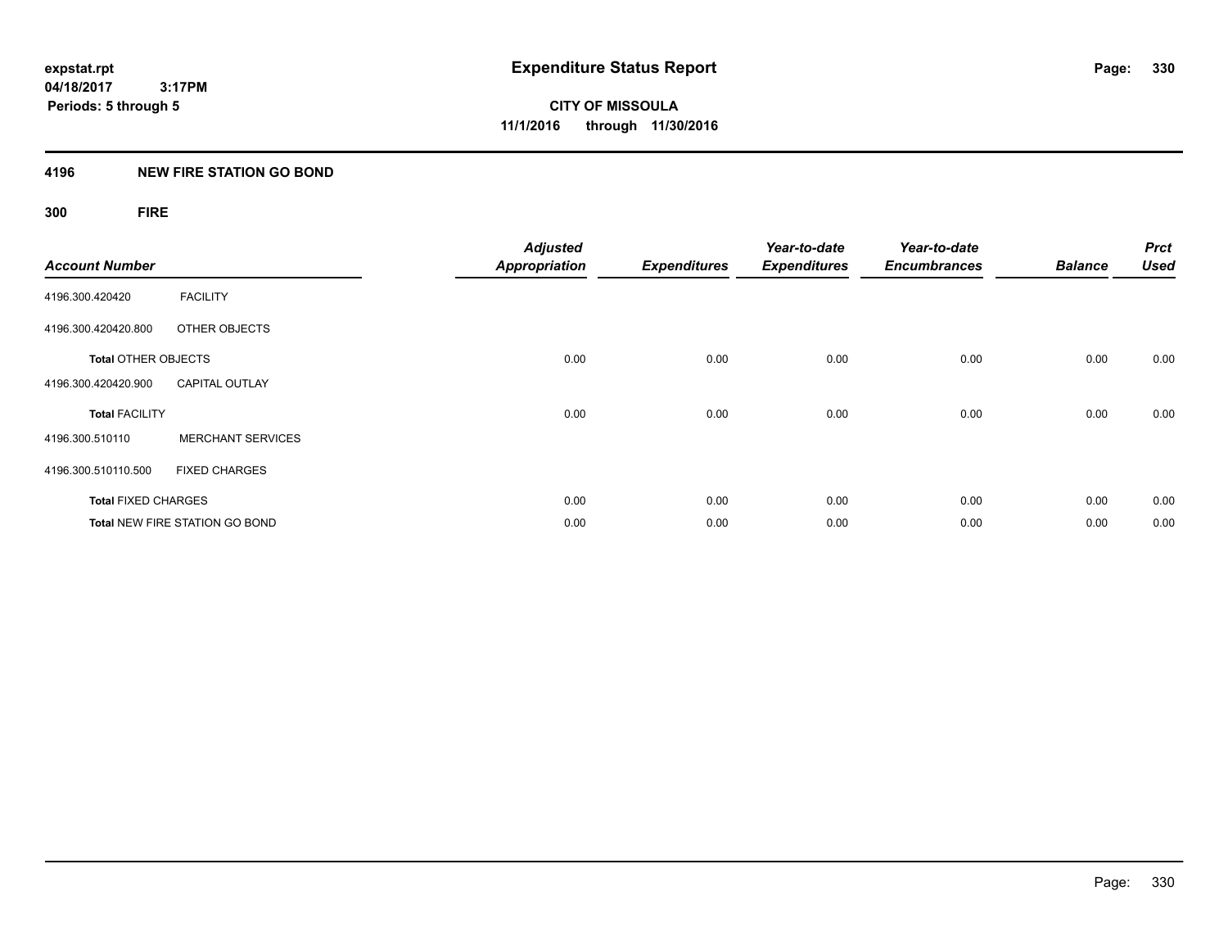#### **4196 NEW FIRE STATION GO BOND**

## **300 FIRE**

| <b>Account Number</b>      |                                       | <b>Adjusted</b><br><b>Appropriation</b> | <b>Expenditures</b> | Year-to-date<br><b>Expenditures</b> | Year-to-date<br><b>Encumbrances</b> | <b>Balance</b> | <b>Prct</b><br><b>Used</b> |
|----------------------------|---------------------------------------|-----------------------------------------|---------------------|-------------------------------------|-------------------------------------|----------------|----------------------------|
| 4196.300.420420            | <b>FACILITY</b>                       |                                         |                     |                                     |                                     |                |                            |
| 4196.300.420420.800        | OTHER OBJECTS                         |                                         |                     |                                     |                                     |                |                            |
| <b>Total OTHER OBJECTS</b> |                                       | 0.00                                    | 0.00                | 0.00                                | 0.00                                | 0.00           | 0.00                       |
| 4196.300.420420.900        | <b>CAPITAL OUTLAY</b>                 |                                         |                     |                                     |                                     |                |                            |
| <b>Total FACILITY</b>      |                                       | 0.00                                    | 0.00                | 0.00                                | 0.00                                | 0.00           | 0.00                       |
| 4196.300.510110            | <b>MERCHANT SERVICES</b>              |                                         |                     |                                     |                                     |                |                            |
| 4196.300.510110.500        | <b>FIXED CHARGES</b>                  |                                         |                     |                                     |                                     |                |                            |
| <b>Total FIXED CHARGES</b> |                                       | 0.00                                    | 0.00                | 0.00                                | 0.00                                | 0.00           | 0.00                       |
|                            | <b>Total NEW FIRE STATION GO BOND</b> | 0.00                                    | 0.00                | 0.00                                | 0.00                                | 0.00           | 0.00                       |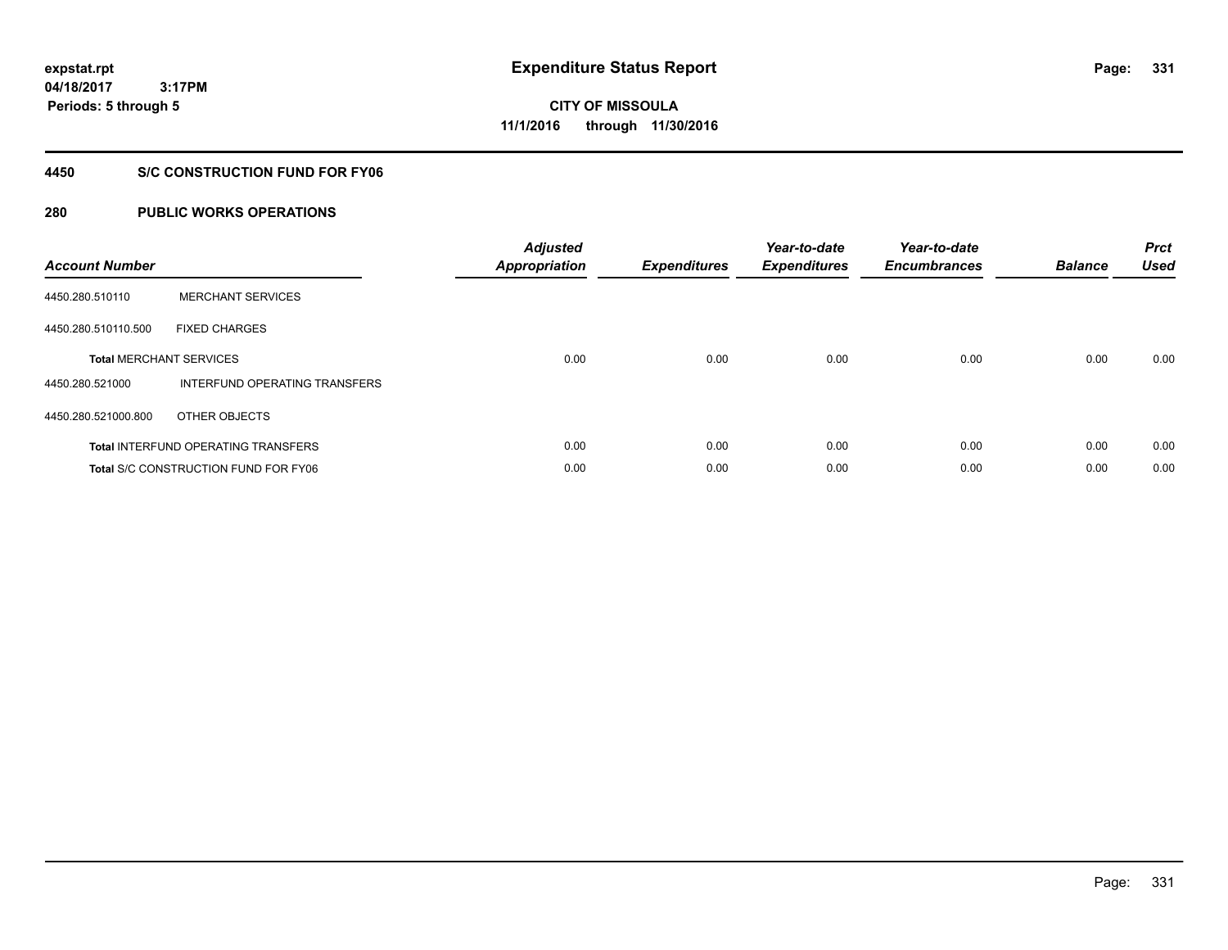**Periods: 5 through 5**

**CITY OF MISSOULA 11/1/2016 through 11/30/2016**

#### **4450 S/C CONSTRUCTION FUND FOR FY06**

### **280 PUBLIC WORKS OPERATIONS**

 **3:17PM**

| <b>Account Number</b> |                                             | <b>Adjusted</b><br>Appropriation | <b>Expenditures</b> | Year-to-date<br><b>Expenditures</b> | Year-to-date<br><b>Encumbrances</b> | <b>Balance</b> | <b>Prct</b><br><b>Used</b> |
|-----------------------|---------------------------------------------|----------------------------------|---------------------|-------------------------------------|-------------------------------------|----------------|----------------------------|
| 4450.280.510110       | <b>MERCHANT SERVICES</b>                    |                                  |                     |                                     |                                     |                |                            |
| 4450.280.510110.500   | <b>FIXED CHARGES</b>                        |                                  |                     |                                     |                                     |                |                            |
|                       | <b>Total MERCHANT SERVICES</b>              | 0.00                             | 0.00                | 0.00                                | 0.00                                | 0.00           | 0.00                       |
| 4450.280.521000       | INTERFUND OPERATING TRANSFERS               |                                  |                     |                                     |                                     |                |                            |
| 4450.280.521000.800   | OTHER OBJECTS                               |                                  |                     |                                     |                                     |                |                            |
|                       | <b>Total INTERFUND OPERATING TRANSFERS</b>  | 0.00                             | 0.00                | 0.00                                | 0.00                                | 0.00           | 0.00                       |
|                       | <b>Total S/C CONSTRUCTION FUND FOR FY06</b> | 0.00                             | 0.00                | 0.00                                | 0.00                                | 0.00           | 0.00                       |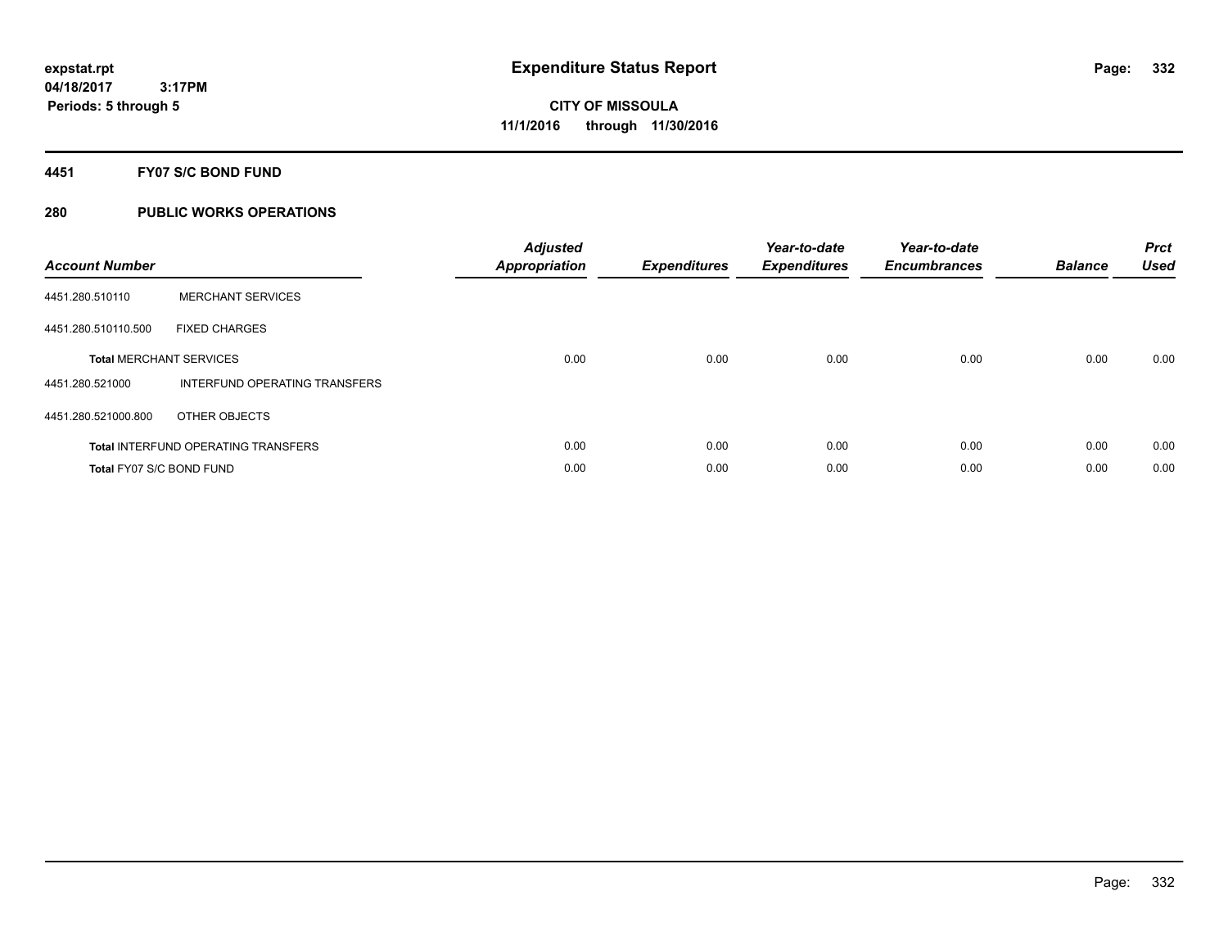#### **4451 FY07 S/C BOND FUND**

| <b>Account Number</b>    |                                            | <b>Adjusted</b><br>Appropriation | <b>Expenditures</b> | Year-to-date<br><b>Expenditures</b> | Year-to-date<br><b>Encumbrances</b> | <b>Balance</b> | <b>Prct</b><br><b>Used</b> |
|--------------------------|--------------------------------------------|----------------------------------|---------------------|-------------------------------------|-------------------------------------|----------------|----------------------------|
| 4451.280.510110          | <b>MERCHANT SERVICES</b>                   |                                  |                     |                                     |                                     |                |                            |
| 4451.280.510110.500      | <b>FIXED CHARGES</b>                       |                                  |                     |                                     |                                     |                |                            |
|                          | <b>Total MERCHANT SERVICES</b>             | 0.00                             | 0.00                | 0.00                                | 0.00                                | 0.00           | 0.00                       |
| 4451.280.521000          | INTERFUND OPERATING TRANSFERS              |                                  |                     |                                     |                                     |                |                            |
| 4451.280.521000.800      | OTHER OBJECTS                              |                                  |                     |                                     |                                     |                |                            |
|                          | <b>Total INTERFUND OPERATING TRANSFERS</b> | 0.00                             | 0.00                | 0.00                                | 0.00                                | 0.00           | 0.00                       |
| Total FY07 S/C BOND FUND |                                            | 0.00                             | 0.00                | 0.00                                | 0.00                                | 0.00           | 0.00                       |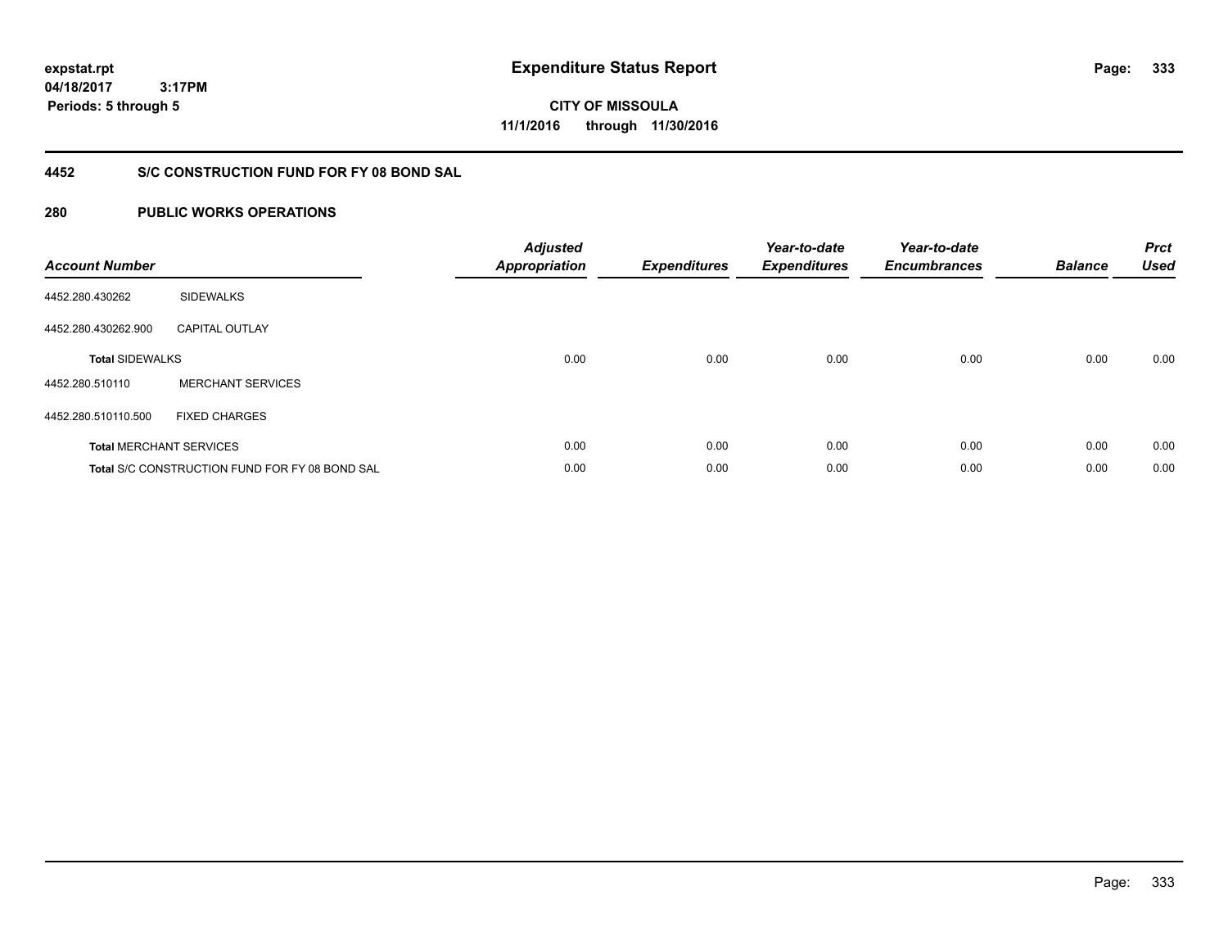**333**

**04/18/2017 3:17PM Periods: 5 through 5**

**CITY OF MISSOULA 11/1/2016 through 11/30/2016**

### **4452 S/C CONSTRUCTION FUND FOR FY 08 BOND SAL**

| <b>Account Number</b>  |                                                       | <b>Adjusted</b><br><b>Appropriation</b> | <b>Expenditures</b> | Year-to-date<br><b>Expenditures</b> | Year-to-date<br><b>Encumbrances</b> | <b>Balance</b> | <b>Prct</b><br><b>Used</b> |
|------------------------|-------------------------------------------------------|-----------------------------------------|---------------------|-------------------------------------|-------------------------------------|----------------|----------------------------|
| 4452.280.430262        | <b>SIDEWALKS</b>                                      |                                         |                     |                                     |                                     |                |                            |
| 4452.280.430262.900    | <b>CAPITAL OUTLAY</b>                                 |                                         |                     |                                     |                                     |                |                            |
| <b>Total SIDEWALKS</b> |                                                       | 0.00                                    | 0.00                | 0.00                                | 0.00                                | 0.00           | 0.00                       |
| 4452.280.510110        | <b>MERCHANT SERVICES</b>                              |                                         |                     |                                     |                                     |                |                            |
| 4452.280.510110.500    | <b>FIXED CHARGES</b>                                  |                                         |                     |                                     |                                     |                |                            |
|                        | <b>Total MERCHANT SERVICES</b>                        | 0.00                                    | 0.00                | 0.00                                | 0.00                                | 0.00           | 0.00                       |
|                        | <b>Total S/C CONSTRUCTION FUND FOR FY 08 BOND SAL</b> | 0.00                                    | 0.00                | 0.00                                | 0.00                                | 0.00           | 0.00                       |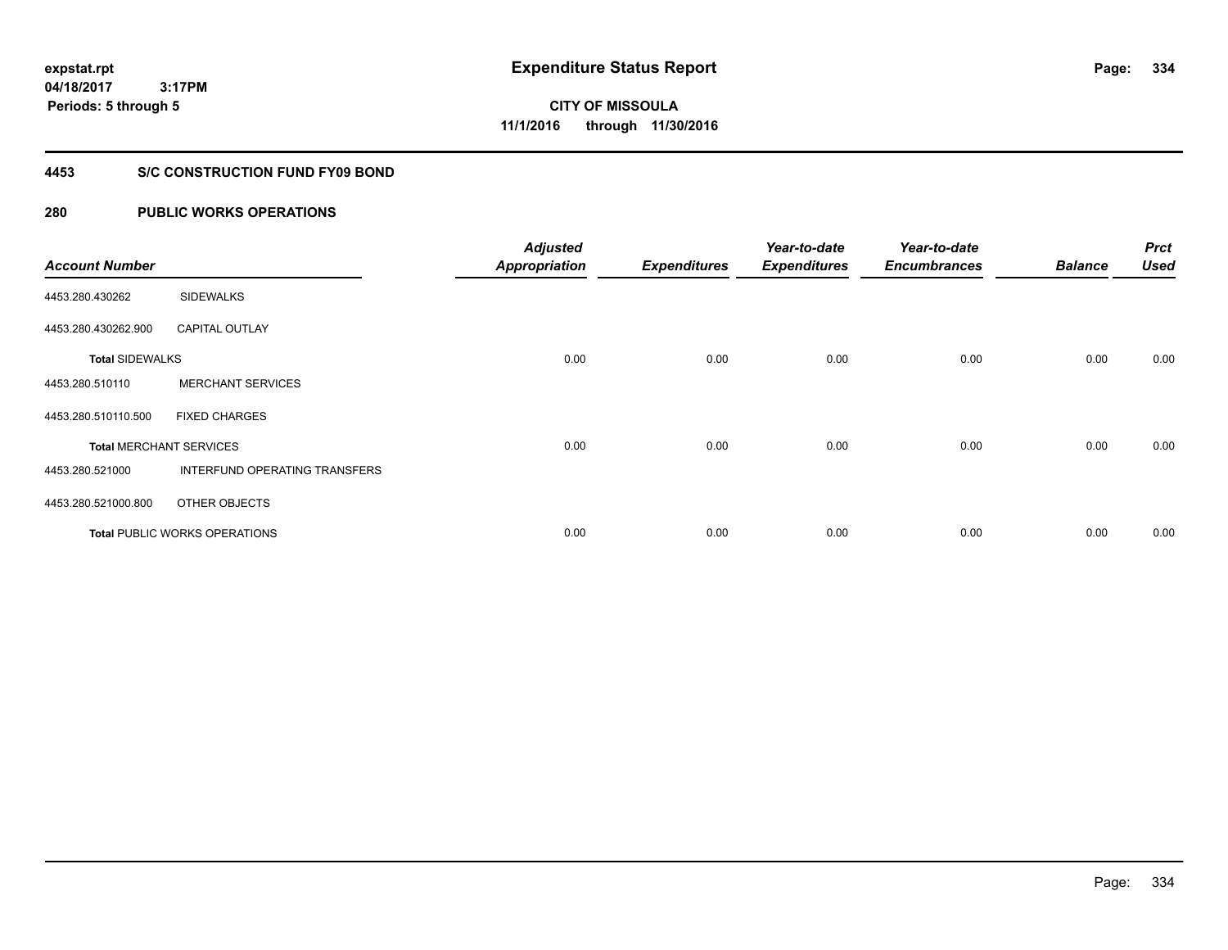# **CITY OF MISSOULA 11/1/2016 through 11/30/2016**

#### **4453 S/C CONSTRUCTION FUND FY09 BOND**

| <b>Account Number</b>  |                                      | <b>Adjusted</b><br><b>Appropriation</b> | <b>Expenditures</b> | Year-to-date<br><b>Expenditures</b> | Year-to-date<br><b>Encumbrances</b> | <b>Balance</b> | <b>Prct</b><br><b>Used</b> |
|------------------------|--------------------------------------|-----------------------------------------|---------------------|-------------------------------------|-------------------------------------|----------------|----------------------------|
| 4453.280.430262        | <b>SIDEWALKS</b>                     |                                         |                     |                                     |                                     |                |                            |
| 4453.280.430262.900    | <b>CAPITAL OUTLAY</b>                |                                         |                     |                                     |                                     |                |                            |
| <b>Total SIDEWALKS</b> |                                      | 0.00                                    | 0.00                | 0.00                                | 0.00                                | 0.00           | 0.00                       |
| 4453.280.510110        | <b>MERCHANT SERVICES</b>             |                                         |                     |                                     |                                     |                |                            |
| 4453.280.510110.500    | <b>FIXED CHARGES</b>                 |                                         |                     |                                     |                                     |                |                            |
|                        | <b>Total MERCHANT SERVICES</b>       | 0.00                                    | 0.00                | 0.00                                | 0.00                                | 0.00           | 0.00                       |
| 4453.280.521000        | INTERFUND OPERATING TRANSFERS        |                                         |                     |                                     |                                     |                |                            |
| 4453.280.521000.800    | OTHER OBJECTS                        |                                         |                     |                                     |                                     |                |                            |
|                        | <b>Total PUBLIC WORKS OPERATIONS</b> | 0.00                                    | 0.00                | 0.00                                | 0.00                                | 0.00           | 0.00                       |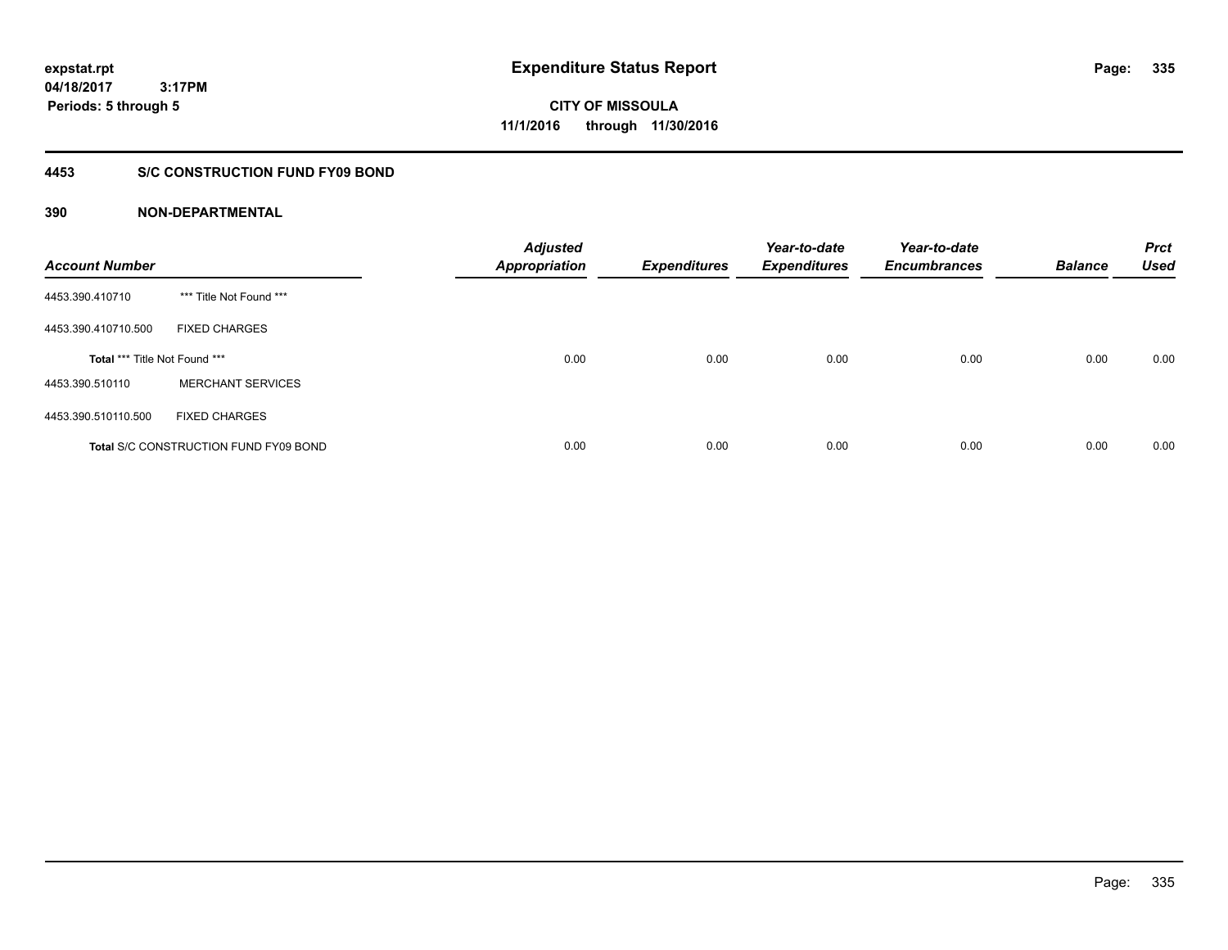**CITY OF MISSOULA 11/1/2016 through 11/30/2016**

### **4453 S/C CONSTRUCTION FUND FY09 BOND**

| <b>Account Number</b>         |                                              | <b>Adjusted</b><br><b>Appropriation</b> | <b>Expenditures</b> | Year-to-date<br><b>Expenditures</b> | Year-to-date<br><b>Encumbrances</b> | <b>Balance</b> | <b>Prct</b><br><b>Used</b> |
|-------------------------------|----------------------------------------------|-----------------------------------------|---------------------|-------------------------------------|-------------------------------------|----------------|----------------------------|
| 4453.390.410710               | *** Title Not Found ***                      |                                         |                     |                                     |                                     |                |                            |
| 4453.390.410710.500           | <b>FIXED CHARGES</b>                         |                                         |                     |                                     |                                     |                |                            |
| Total *** Title Not Found *** |                                              | 0.00                                    | 0.00                | 0.00                                | 0.00                                | 0.00           | 0.00                       |
| 4453.390.510110               | <b>MERCHANT SERVICES</b>                     |                                         |                     |                                     |                                     |                |                            |
| 4453.390.510110.500           | <b>FIXED CHARGES</b>                         |                                         |                     |                                     |                                     |                |                            |
|                               | <b>Total S/C CONSTRUCTION FUND FY09 BOND</b> | 0.00                                    | 0.00                | 0.00                                | 0.00                                | 0.00           | 0.00                       |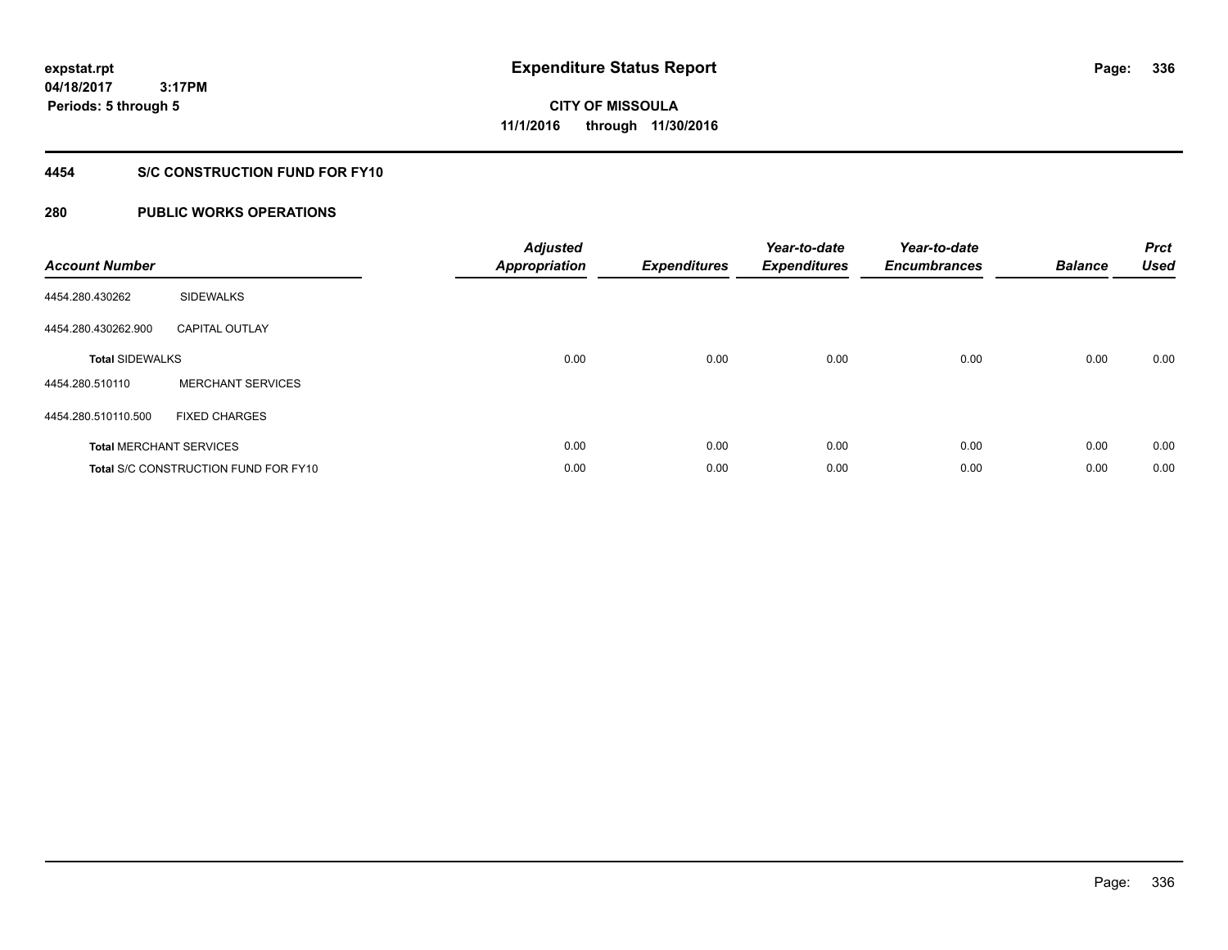# **CITY OF MISSOULA 11/1/2016 through 11/30/2016**

### **4454 S/C CONSTRUCTION FUND FOR FY10**

| <b>Account Number</b>  |                                      | <b>Adjusted</b><br><b>Appropriation</b> | <b>Expenditures</b> | Year-to-date<br><b>Expenditures</b> | Year-to-date<br><b>Encumbrances</b> | <b>Balance</b> | <b>Prct</b><br><b>Used</b> |
|------------------------|--------------------------------------|-----------------------------------------|---------------------|-------------------------------------|-------------------------------------|----------------|----------------------------|
| 4454.280.430262        | <b>SIDEWALKS</b>                     |                                         |                     |                                     |                                     |                |                            |
| 4454.280.430262.900    | <b>CAPITAL OUTLAY</b>                |                                         |                     |                                     |                                     |                |                            |
| <b>Total SIDEWALKS</b> |                                      | 0.00                                    | 0.00                | 0.00                                | 0.00                                | 0.00           | 0.00                       |
| 4454.280.510110        | <b>MERCHANT SERVICES</b>             |                                         |                     |                                     |                                     |                |                            |
| 4454.280.510110.500    | <b>FIXED CHARGES</b>                 |                                         |                     |                                     |                                     |                |                            |
|                        | <b>Total MERCHANT SERVICES</b>       | 0.00                                    | 0.00                | 0.00                                | 0.00                                | 0.00           | 0.00                       |
|                        | Total S/C CONSTRUCTION FUND FOR FY10 | 0.00                                    | 0.00                | 0.00                                | 0.00                                | 0.00           | 0.00                       |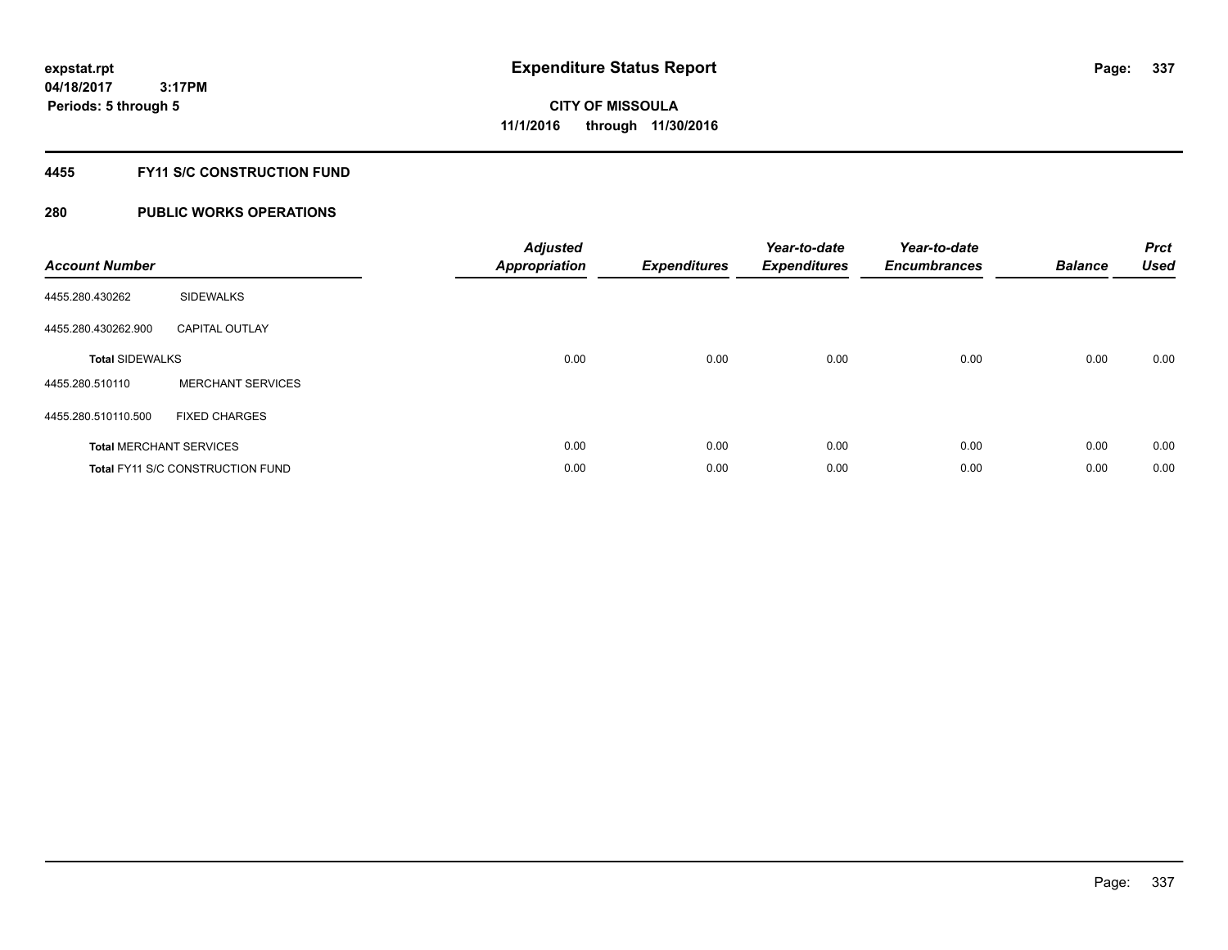### **4455 FY11 S/C CONSTRUCTION FUND**

| <b>Account Number</b>  |                                         | <b>Adjusted</b><br>Appropriation | <b>Expenditures</b> | Year-to-date<br><b>Expenditures</b> | Year-to-date<br><b>Encumbrances</b> | <b>Balance</b> | <b>Prct</b><br><b>Used</b> |
|------------------------|-----------------------------------------|----------------------------------|---------------------|-------------------------------------|-------------------------------------|----------------|----------------------------|
| 4455.280.430262        | <b>SIDEWALKS</b>                        |                                  |                     |                                     |                                     |                |                            |
| 4455.280.430262.900    | <b>CAPITAL OUTLAY</b>                   |                                  |                     |                                     |                                     |                |                            |
| <b>Total SIDEWALKS</b> |                                         | 0.00                             | 0.00                | 0.00                                | 0.00                                | 0.00           | 0.00                       |
| 4455.280.510110        | <b>MERCHANT SERVICES</b>                |                                  |                     |                                     |                                     |                |                            |
| 4455.280.510110.500    | <b>FIXED CHARGES</b>                    |                                  |                     |                                     |                                     |                |                            |
|                        | <b>Total MERCHANT SERVICES</b>          | 0.00                             | 0.00                | 0.00                                | 0.00                                | 0.00           | 0.00                       |
|                        | <b>Total FY11 S/C CONSTRUCTION FUND</b> | 0.00                             | 0.00                | 0.00                                | 0.00                                | 0.00           | 0.00                       |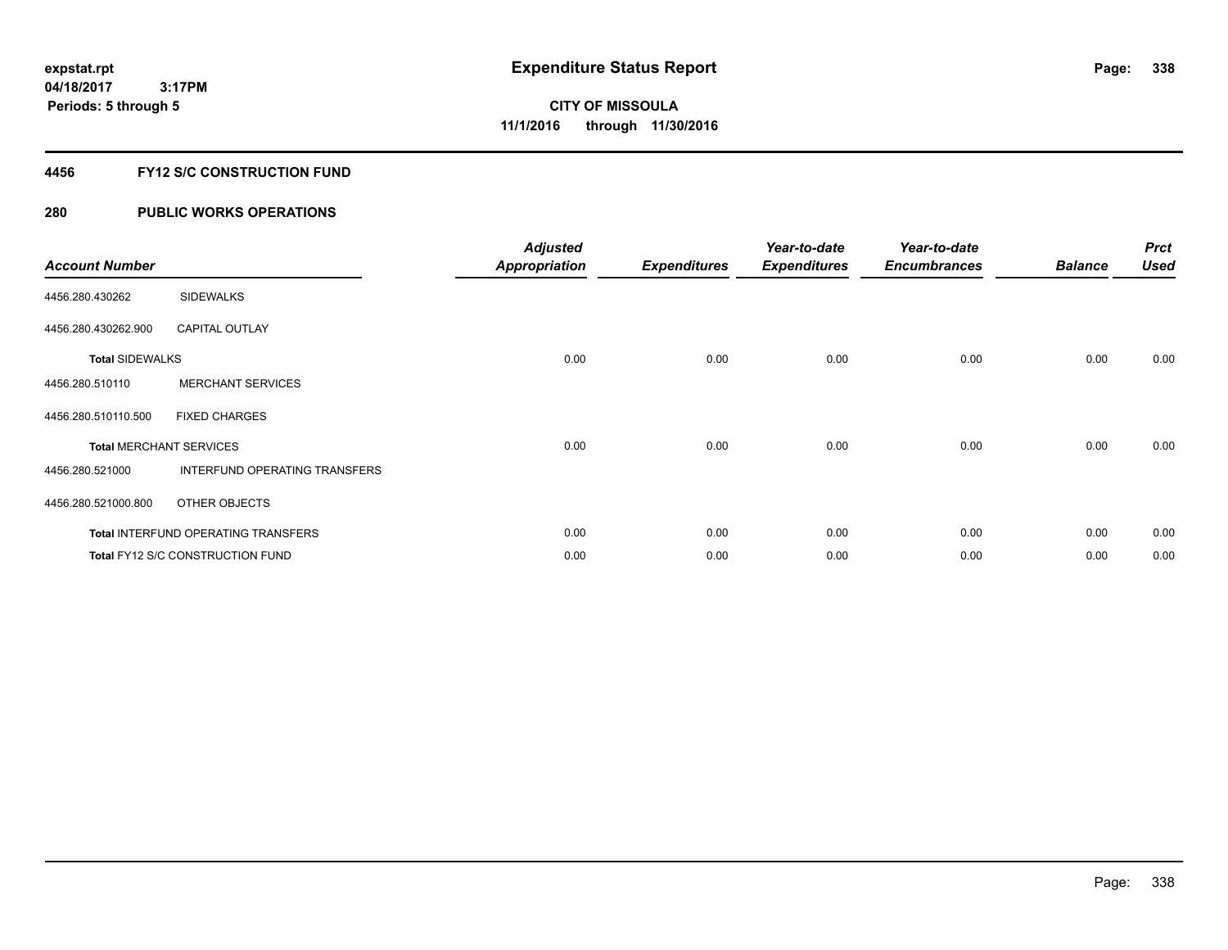### **4456 FY12 S/C CONSTRUCTION FUND**

| <b>Account Number</b>          |                                            | <b>Adjusted</b><br><b>Appropriation</b> | <b>Expenditures</b> | Year-to-date<br><b>Expenditures</b> | Year-to-date<br><b>Encumbrances</b> | <b>Balance</b> | <b>Prct</b><br><b>Used</b> |
|--------------------------------|--------------------------------------------|-----------------------------------------|---------------------|-------------------------------------|-------------------------------------|----------------|----------------------------|
| 4456.280.430262                | <b>SIDEWALKS</b>                           |                                         |                     |                                     |                                     |                |                            |
| 4456.280.430262.900            | <b>CAPITAL OUTLAY</b>                      |                                         |                     |                                     |                                     |                |                            |
| <b>Total SIDEWALKS</b>         |                                            | 0.00                                    | 0.00                | 0.00                                | 0.00                                | 0.00           | 0.00                       |
| 4456.280.510110                | <b>MERCHANT SERVICES</b>                   |                                         |                     |                                     |                                     |                |                            |
| 4456.280.510110.500            | <b>FIXED CHARGES</b>                       |                                         |                     |                                     |                                     |                |                            |
| <b>Total MERCHANT SERVICES</b> |                                            | 0.00                                    | 0.00                | 0.00                                | 0.00                                | 0.00           | 0.00                       |
| 4456.280.521000                | INTERFUND OPERATING TRANSFERS              |                                         |                     |                                     |                                     |                |                            |
| 4456.280.521000.800            | OTHER OBJECTS                              |                                         |                     |                                     |                                     |                |                            |
|                                | <b>Total INTERFUND OPERATING TRANSFERS</b> | 0.00                                    | 0.00                | 0.00                                | 0.00                                | 0.00           | 0.00                       |
|                                | <b>Total FY12 S/C CONSTRUCTION FUND</b>    | 0.00                                    | 0.00                | 0.00                                | 0.00                                | 0.00           | 0.00                       |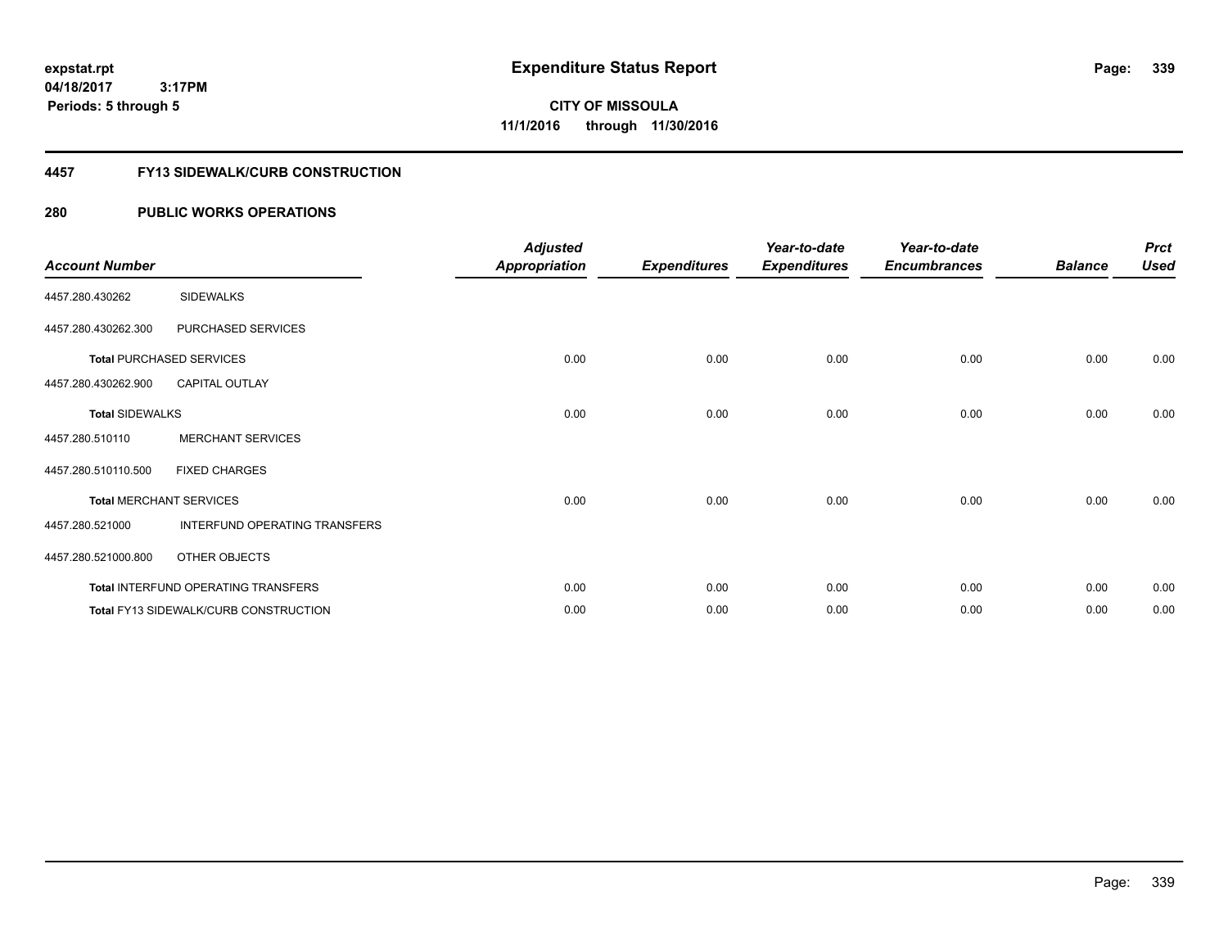**3:17PM Periods: 5 through 5**

**CITY OF MISSOULA 11/1/2016 through 11/30/2016**

#### **4457 FY13 SIDEWALK/CURB CONSTRUCTION**

| <b>Account Number</b>  |                                       | <b>Adjusted</b><br><b>Appropriation</b> | <b>Expenditures</b> | Year-to-date<br><b>Expenditures</b> | Year-to-date<br><b>Encumbrances</b> | <b>Balance</b> | <b>Prct</b><br><b>Used</b> |
|------------------------|---------------------------------------|-----------------------------------------|---------------------|-------------------------------------|-------------------------------------|----------------|----------------------------|
| 4457.280.430262        | <b>SIDEWALKS</b>                      |                                         |                     |                                     |                                     |                |                            |
| 4457.280.430262.300    | PURCHASED SERVICES                    |                                         |                     |                                     |                                     |                |                            |
|                        | <b>Total PURCHASED SERVICES</b>       | 0.00                                    | 0.00                | 0.00                                | 0.00                                | 0.00           | 0.00                       |
| 4457.280.430262.900    | <b>CAPITAL OUTLAY</b>                 |                                         |                     |                                     |                                     |                |                            |
| <b>Total SIDEWALKS</b> |                                       | 0.00                                    | 0.00                | 0.00                                | 0.00                                | 0.00           | 0.00                       |
| 4457.280.510110        | <b>MERCHANT SERVICES</b>              |                                         |                     |                                     |                                     |                |                            |
| 4457.280.510110.500    | <b>FIXED CHARGES</b>                  |                                         |                     |                                     |                                     |                |                            |
|                        | <b>Total MERCHANT SERVICES</b>        | 0.00                                    | 0.00                | 0.00                                | 0.00                                | 0.00           | 0.00                       |
| 4457.280.521000        | INTERFUND OPERATING TRANSFERS         |                                         |                     |                                     |                                     |                |                            |
| 4457.280.521000.800    | OTHER OBJECTS                         |                                         |                     |                                     |                                     |                |                            |
|                        | Total INTERFUND OPERATING TRANSFERS   | 0.00                                    | 0.00                | 0.00                                | 0.00                                | 0.00           | 0.00                       |
|                        | Total FY13 SIDEWALK/CURB CONSTRUCTION | 0.00                                    | 0.00                | 0.00                                | 0.00                                | 0.00           | 0.00                       |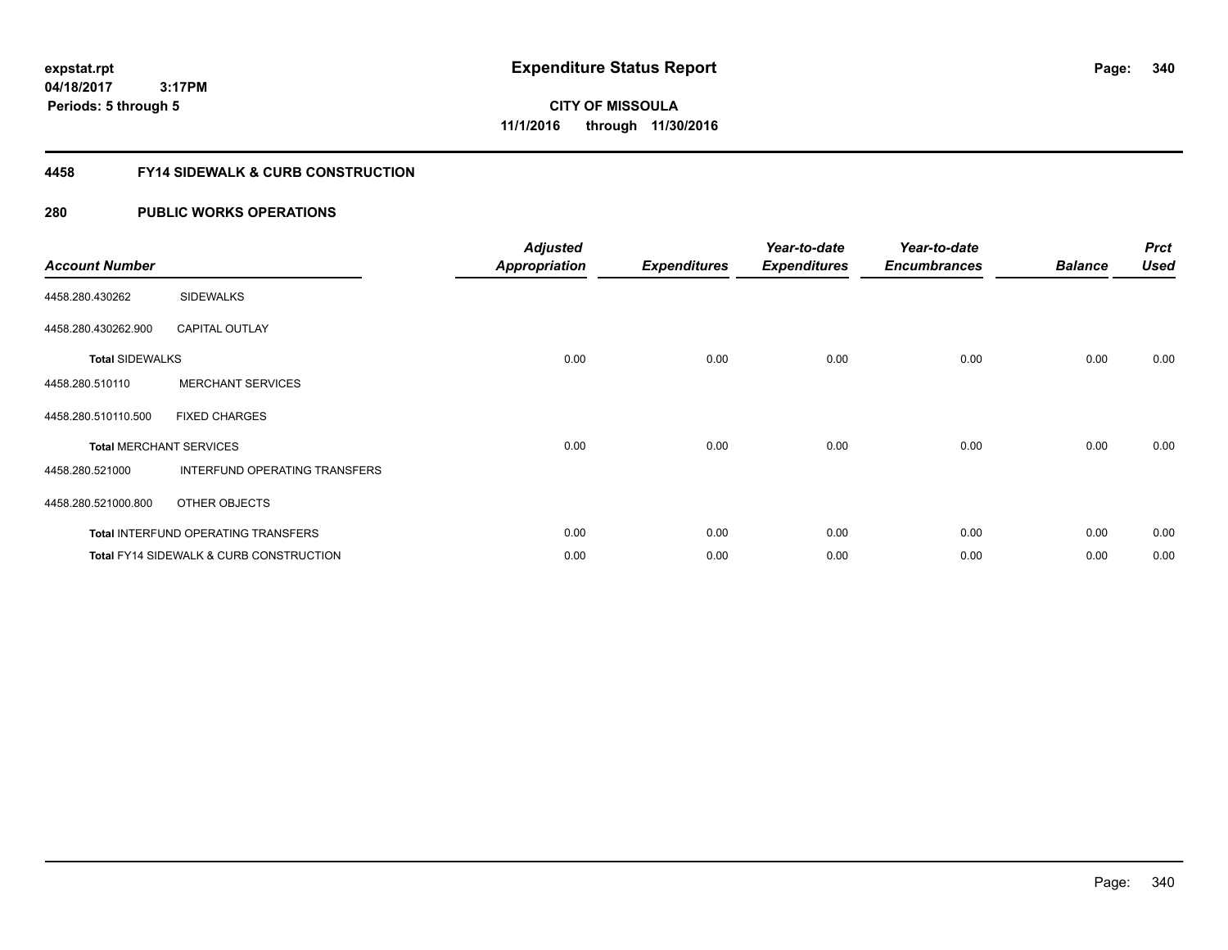**340**

**04/18/2017 3:17PM Periods: 5 through 5**

**CITY OF MISSOULA 11/1/2016 through 11/30/2016**

#### **4458 FY14 SIDEWALK & CURB CONSTRUCTION**

| <b>Account Number</b>  |                                                    | <b>Adjusted</b><br><b>Appropriation</b> | <b>Expenditures</b> | Year-to-date<br><b>Expenditures</b> | Year-to-date<br><b>Encumbrances</b> | <b>Balance</b> | <b>Prct</b><br>Used |
|------------------------|----------------------------------------------------|-----------------------------------------|---------------------|-------------------------------------|-------------------------------------|----------------|---------------------|
| 4458.280.430262        | <b>SIDEWALKS</b>                                   |                                         |                     |                                     |                                     |                |                     |
| 4458.280.430262.900    | <b>CAPITAL OUTLAY</b>                              |                                         |                     |                                     |                                     |                |                     |
| <b>Total SIDEWALKS</b> |                                                    | 0.00                                    | 0.00                | 0.00                                | 0.00                                | 0.00           | 0.00                |
| 4458.280.510110        | <b>MERCHANT SERVICES</b>                           |                                         |                     |                                     |                                     |                |                     |
| 4458.280.510110.500    | <b>FIXED CHARGES</b>                               |                                         |                     |                                     |                                     |                |                     |
|                        | <b>Total MERCHANT SERVICES</b>                     | 0.00                                    | 0.00                | 0.00                                | 0.00                                | 0.00           | 0.00                |
| 4458.280.521000        | INTERFUND OPERATING TRANSFERS                      |                                         |                     |                                     |                                     |                |                     |
| 4458.280.521000.800    | OTHER OBJECTS                                      |                                         |                     |                                     |                                     |                |                     |
|                        | Total INTERFUND OPERATING TRANSFERS                | 0.00                                    | 0.00                | 0.00                                | 0.00                                | 0.00           | 0.00                |
|                        | <b>Total FY14 SIDEWALK &amp; CURB CONSTRUCTION</b> | 0.00                                    | 0.00                | 0.00                                | 0.00                                | 0.00           | 0.00                |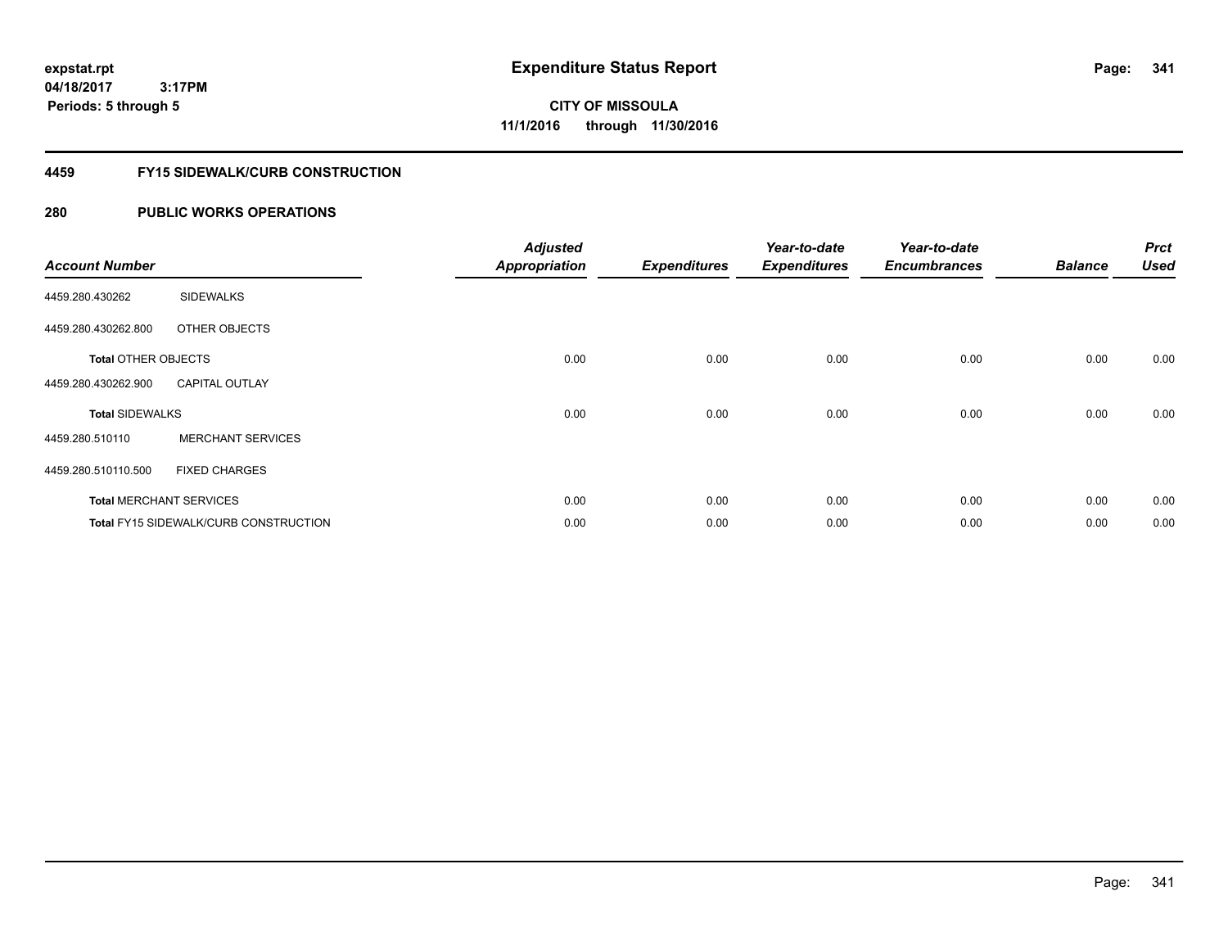**341**

**04/18/2017 3:17PM Periods: 5 through 5**

# **CITY OF MISSOULA 11/1/2016 through 11/30/2016**

#### **4459 FY15 SIDEWALK/CURB CONSTRUCTION**

| <b>Account Number</b>      |                                              | <b>Adjusted</b><br><b>Appropriation</b> | <b>Expenditures</b> | Year-to-date<br><b>Expenditures</b> | Year-to-date<br><b>Encumbrances</b> | <b>Balance</b> | <b>Prct</b><br><b>Used</b> |
|----------------------------|----------------------------------------------|-----------------------------------------|---------------------|-------------------------------------|-------------------------------------|----------------|----------------------------|
| 4459.280.430262            | <b>SIDEWALKS</b>                             |                                         |                     |                                     |                                     |                |                            |
| 4459.280.430262.800        | OTHER OBJECTS                                |                                         |                     |                                     |                                     |                |                            |
| <b>Total OTHER OBJECTS</b> |                                              | 0.00                                    | 0.00                | 0.00                                | 0.00                                | 0.00           | 0.00                       |
| 4459.280.430262.900        | <b>CAPITAL OUTLAY</b>                        |                                         |                     |                                     |                                     |                |                            |
| <b>Total SIDEWALKS</b>     |                                              | 0.00                                    | 0.00                | 0.00                                | 0.00                                | 0.00           | 0.00                       |
| 4459.280.510110            | <b>MERCHANT SERVICES</b>                     |                                         |                     |                                     |                                     |                |                            |
| 4459.280.510110.500        | <b>FIXED CHARGES</b>                         |                                         |                     |                                     |                                     |                |                            |
|                            | <b>Total MERCHANT SERVICES</b>               | 0.00                                    | 0.00                | 0.00                                | 0.00                                | 0.00           | 0.00                       |
|                            | <b>Total FY15 SIDEWALK/CURB CONSTRUCTION</b> | 0.00                                    | 0.00                | 0.00                                | 0.00                                | 0.00           | 0.00                       |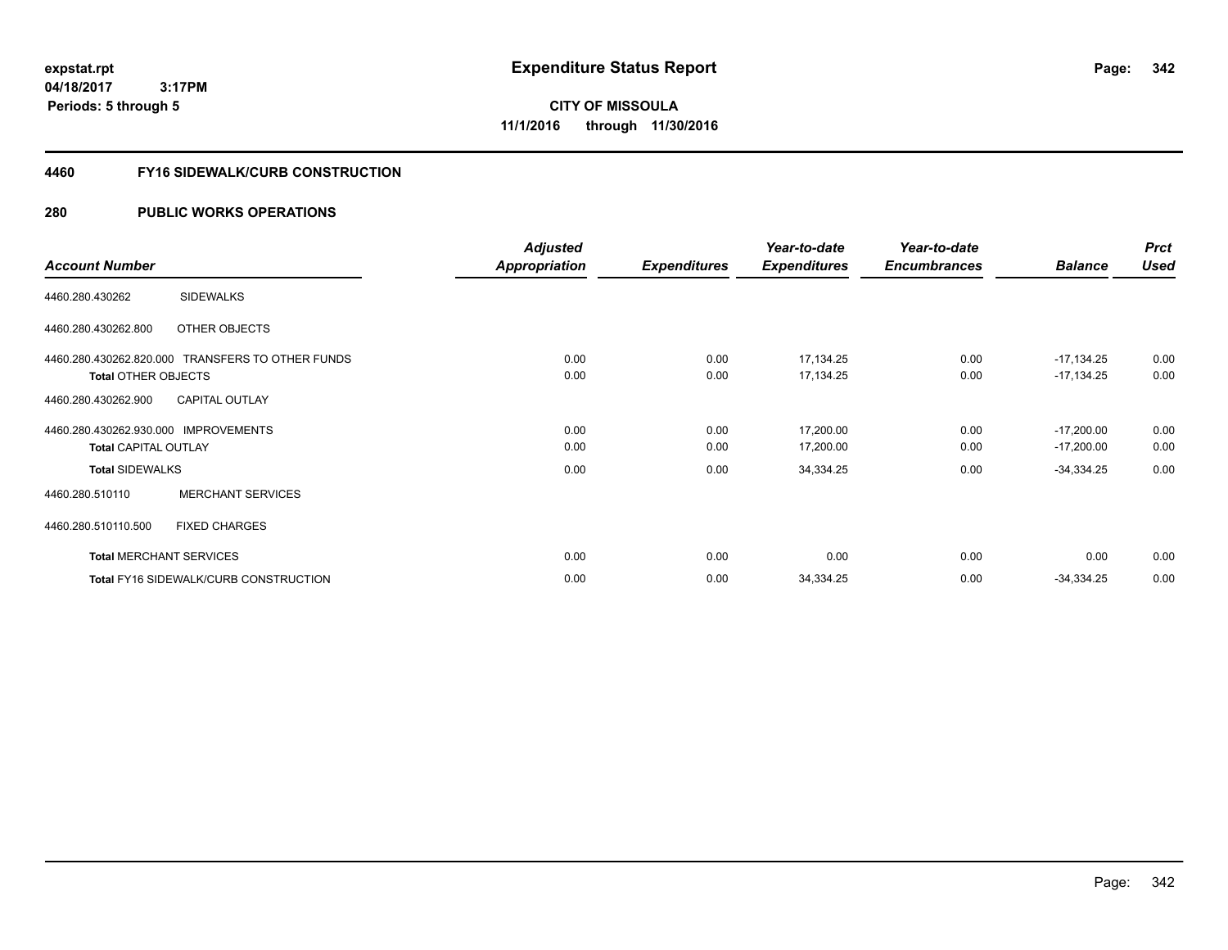**CITY OF MISSOULA 11/1/2016 through 11/30/2016**

#### **4460 FY16 SIDEWALK/CURB CONSTRUCTION**

|                                                  | <b>Adjusted</b> |                     | Year-to-date        | Year-to-date        |                | <b>Prct</b> |
|--------------------------------------------------|-----------------|---------------------|---------------------|---------------------|----------------|-------------|
| <b>Account Number</b>                            | Appropriation   | <b>Expenditures</b> | <b>Expenditures</b> | <b>Encumbrances</b> | <b>Balance</b> | <b>Used</b> |
| <b>SIDEWALKS</b><br>4460.280.430262              |                 |                     |                     |                     |                |             |
| 4460.280.430262.800<br>OTHER OBJECTS             |                 |                     |                     |                     |                |             |
| 4460.280.430262.820.000 TRANSFERS TO OTHER FUNDS | 0.00            | 0.00                | 17,134.25           | 0.00                | $-17,134.25$   | 0.00        |
| <b>Total OTHER OBJECTS</b>                       | 0.00            | 0.00                | 17,134.25           | 0.00                | $-17,134.25$   | 0.00        |
| <b>CAPITAL OUTLAY</b><br>4460.280.430262.900     |                 |                     |                     |                     |                |             |
| 4460.280.430262.930.000 IMPROVEMENTS             | 0.00            | 0.00                | 17,200.00           | 0.00                | $-17,200.00$   | 0.00        |
| <b>Total CAPITAL OUTLAY</b>                      | 0.00            | 0.00                | 17,200.00           | 0.00                | $-17,200.00$   | 0.00        |
| <b>Total SIDEWALKS</b>                           | 0.00            | 0.00                | 34,334.25           | 0.00                | $-34,334.25$   | 0.00        |
| <b>MERCHANT SERVICES</b><br>4460.280.510110      |                 |                     |                     |                     |                |             |
| 4460.280.510110.500<br><b>FIXED CHARGES</b>      |                 |                     |                     |                     |                |             |
| <b>Total MERCHANT SERVICES</b>                   | 0.00            | 0.00                | 0.00                | 0.00                | 0.00           | 0.00        |
| <b>Total FY16 SIDEWALK/CURB CONSTRUCTION</b>     | 0.00            | 0.00                | 34,334.25           | 0.00                | $-34,334.25$   | 0.00        |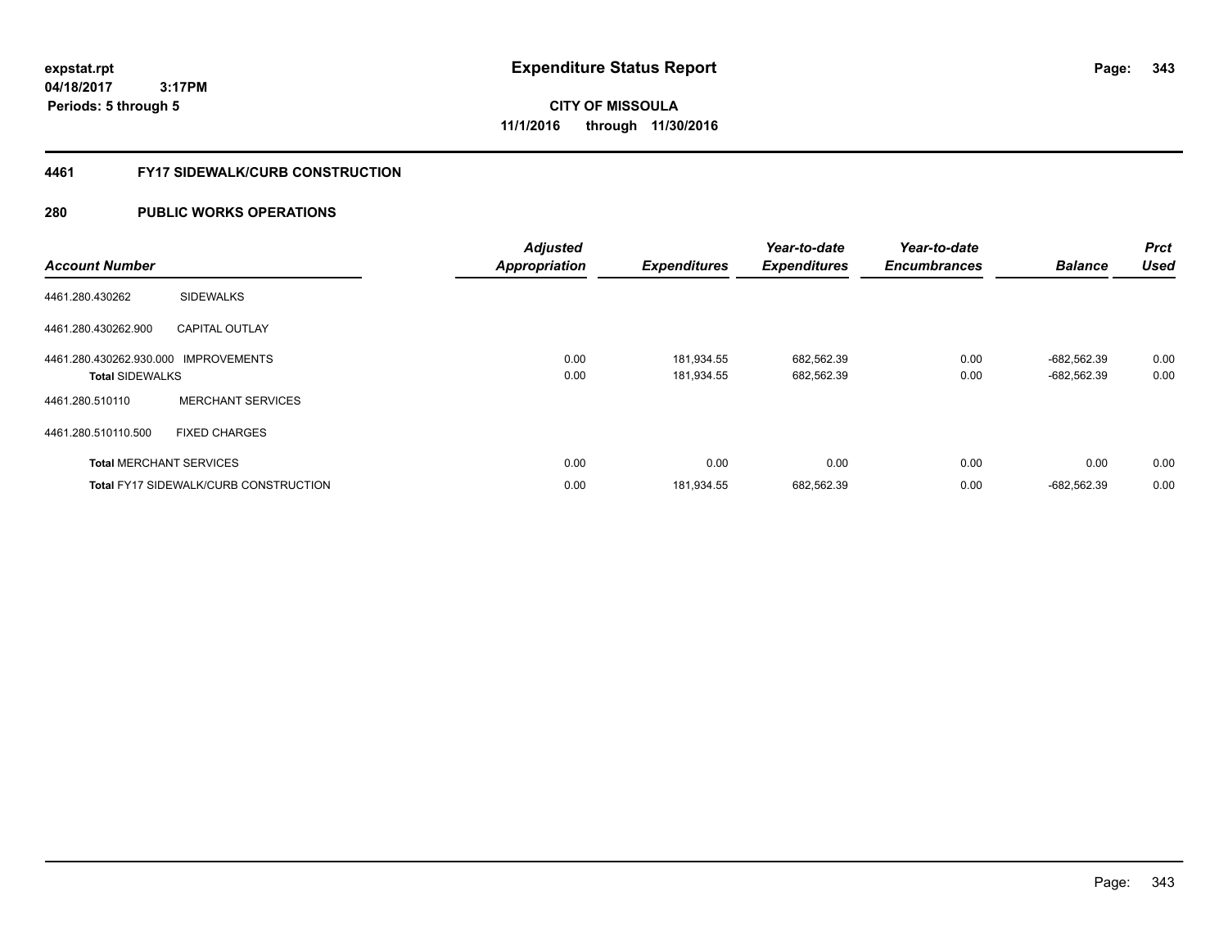**CITY OF MISSOULA 11/1/2016 through 11/30/2016**

#### **4461 FY17 SIDEWALK/CURB CONSTRUCTION**

| <b>Account Number</b>                                          |                                       | <b>Adjusted</b><br><b>Appropriation</b> | <b>Expenditures</b>      | Year-to-date<br><b>Expenditures</b> | Year-to-date<br><b>Encumbrances</b> | <b>Balance</b>             | <b>Prct</b><br><b>Used</b> |
|----------------------------------------------------------------|---------------------------------------|-----------------------------------------|--------------------------|-------------------------------------|-------------------------------------|----------------------------|----------------------------|
| 4461.280.430262                                                | <b>SIDEWALKS</b>                      |                                         |                          |                                     |                                     |                            |                            |
| 4461.280.430262.900                                            | <b>CAPITAL OUTLAY</b>                 |                                         |                          |                                     |                                     |                            |                            |
| 4461.280.430262.930.000 IMPROVEMENTS<br><b>Total SIDEWALKS</b> |                                       | 0.00<br>0.00                            | 181,934.55<br>181.934.55 | 682,562.39<br>682,562.39            | 0.00<br>0.00                        | -682,562.39<br>-682,562.39 | 0.00<br>0.00               |
| 4461.280.510110                                                | <b>MERCHANT SERVICES</b>              |                                         |                          |                                     |                                     |                            |                            |
| 4461.280.510110.500                                            | <b>FIXED CHARGES</b>                  |                                         |                          |                                     |                                     |                            |                            |
|                                                                | <b>Total MERCHANT SERVICES</b>        | 0.00                                    | 0.00                     | 0.00                                | 0.00                                | 0.00                       | 0.00                       |
|                                                                | Total FY17 SIDEWALK/CURB CONSTRUCTION | 0.00                                    | 181,934.55               | 682,562.39                          | 0.00                                | -682,562.39                | 0.00                       |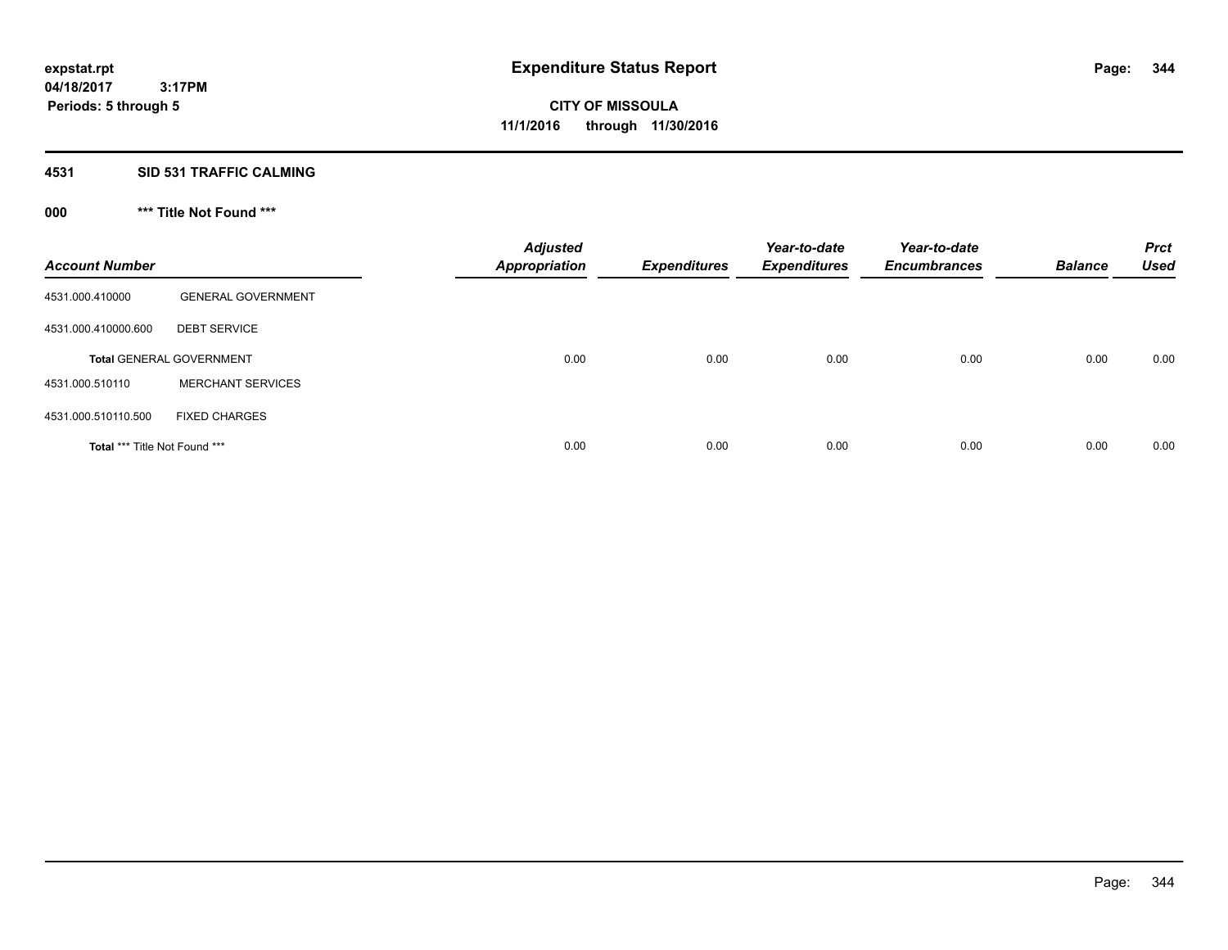#### **4531 SID 531 TRAFFIC CALMING**

## **000 \*\*\* Title Not Found \*\*\***

| <b>Account Number</b>         |                                 | <b>Adjusted</b><br><b>Appropriation</b> | <b>Expenditures</b> | Year-to-date<br><b>Expenditures</b> | Year-to-date<br><b>Encumbrances</b> | <b>Balance</b> | <b>Prct</b><br><b>Used</b> |
|-------------------------------|---------------------------------|-----------------------------------------|---------------------|-------------------------------------|-------------------------------------|----------------|----------------------------|
| 4531.000.410000               | <b>GENERAL GOVERNMENT</b>       |                                         |                     |                                     |                                     |                |                            |
| 4531.000.410000.600           | <b>DEBT SERVICE</b>             |                                         |                     |                                     |                                     |                |                            |
|                               | <b>Total GENERAL GOVERNMENT</b> | 0.00                                    | 0.00                | 0.00                                | 0.00                                | 0.00           | 0.00                       |
| 4531.000.510110               | <b>MERCHANT SERVICES</b>        |                                         |                     |                                     |                                     |                |                            |
| 4531.000.510110.500           | <b>FIXED CHARGES</b>            |                                         |                     |                                     |                                     |                |                            |
| Total *** Title Not Found *** |                                 | 0.00                                    | 0.00                | 0.00                                | 0.00                                | 0.00           | 0.00                       |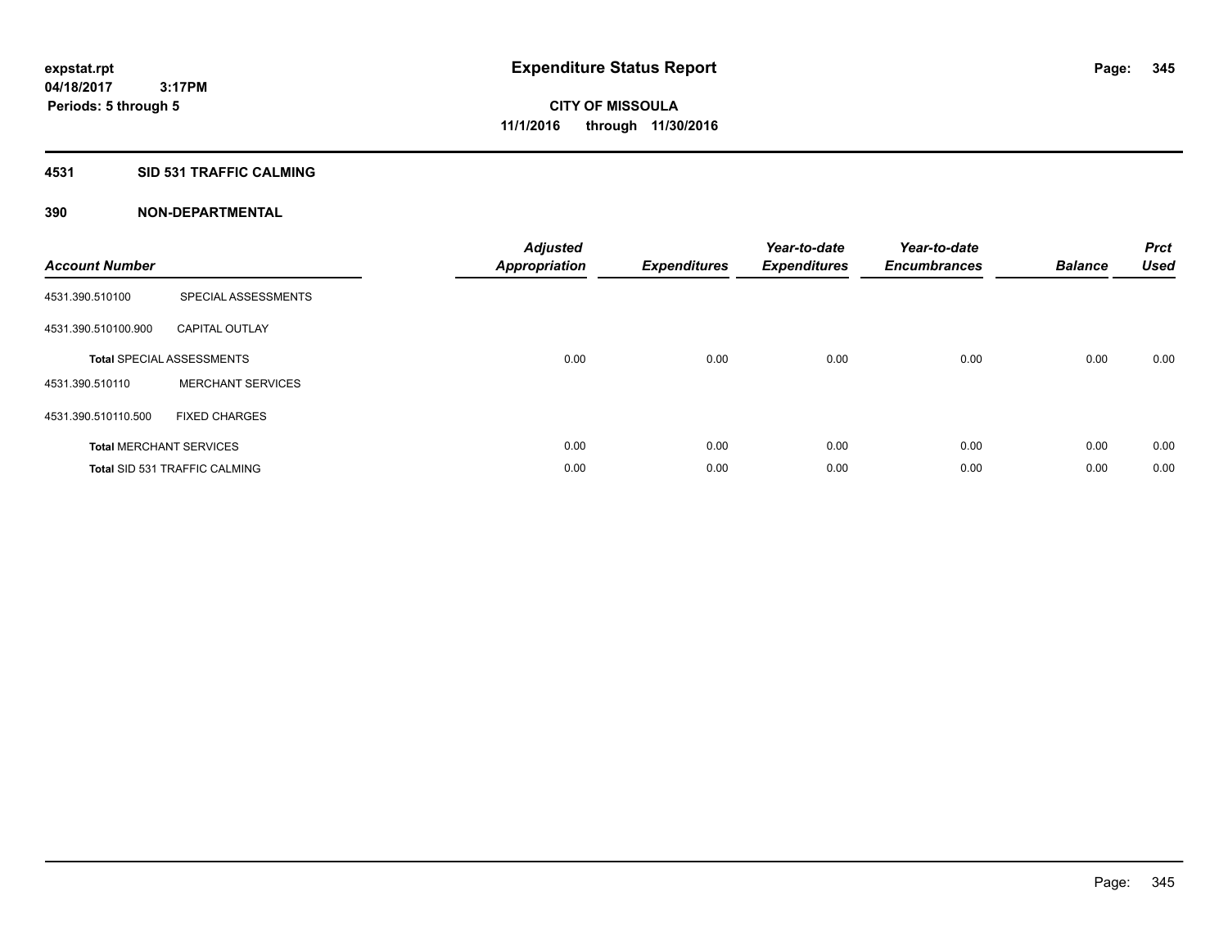#### **4531 SID 531 TRAFFIC CALMING**

| <b>Account Number</b> |                                      | <b>Adjusted</b><br>Appropriation | <b>Expenditures</b> | Year-to-date<br><b>Expenditures</b> | Year-to-date<br><b>Encumbrances</b> | <b>Balance</b> | <b>Prct</b><br><b>Used</b> |
|-----------------------|--------------------------------------|----------------------------------|---------------------|-------------------------------------|-------------------------------------|----------------|----------------------------|
| 4531.390.510100       | SPECIAL ASSESSMENTS                  |                                  |                     |                                     |                                     |                |                            |
| 4531.390.510100.900   | <b>CAPITAL OUTLAY</b>                |                                  |                     |                                     |                                     |                |                            |
|                       | <b>Total SPECIAL ASSESSMENTS</b>     | 0.00                             | 0.00                | 0.00                                | 0.00                                | 0.00           | 0.00                       |
| 4531.390.510110       | <b>MERCHANT SERVICES</b>             |                                  |                     |                                     |                                     |                |                            |
| 4531.390.510110.500   | <b>FIXED CHARGES</b>                 |                                  |                     |                                     |                                     |                |                            |
|                       | <b>Total MERCHANT SERVICES</b>       | 0.00                             | 0.00                | 0.00                                | 0.00                                | 0.00           | 0.00                       |
|                       | <b>Total SID 531 TRAFFIC CALMING</b> | 0.00                             | 0.00                | 0.00                                | 0.00                                | 0.00           | 0.00                       |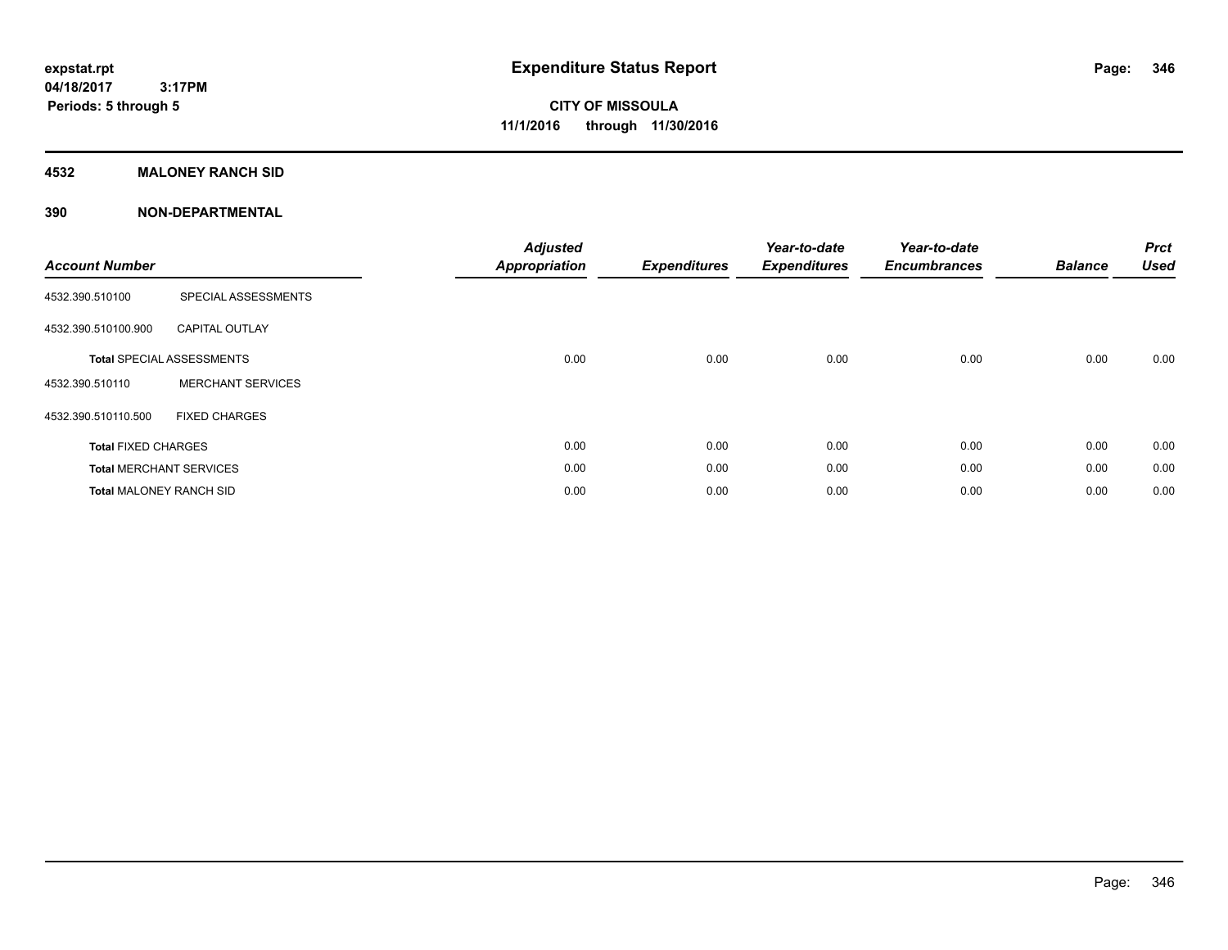#### **4532 MALONEY RANCH SID**

| <b>Account Number</b>          |                                  | <b>Adjusted</b><br><b>Appropriation</b> | <b>Expenditures</b> | Year-to-date<br><b>Expenditures</b> | Year-to-date<br><b>Encumbrances</b> | <b>Balance</b> | <b>Prct</b><br><b>Used</b> |
|--------------------------------|----------------------------------|-----------------------------------------|---------------------|-------------------------------------|-------------------------------------|----------------|----------------------------|
| 4532.390.510100                | SPECIAL ASSESSMENTS              |                                         |                     |                                     |                                     |                |                            |
| 4532.390.510100.900            | <b>CAPITAL OUTLAY</b>            |                                         |                     |                                     |                                     |                |                            |
|                                | <b>Total SPECIAL ASSESSMENTS</b> | 0.00                                    | 0.00                | 0.00                                | 0.00                                | 0.00           | 0.00                       |
| 4532.390.510110                | <b>MERCHANT SERVICES</b>         |                                         |                     |                                     |                                     |                |                            |
| 4532.390.510110.500            | <b>FIXED CHARGES</b>             |                                         |                     |                                     |                                     |                |                            |
| <b>Total FIXED CHARGES</b>     |                                  | 0.00                                    | 0.00                | 0.00                                | 0.00                                | 0.00           | 0.00                       |
|                                | <b>Total MERCHANT SERVICES</b>   | 0.00                                    | 0.00                | 0.00                                | 0.00                                | 0.00           | 0.00                       |
| <b>Total MALONEY RANCH SID</b> |                                  | 0.00                                    | 0.00                | 0.00                                | 0.00                                | 0.00           | 0.00                       |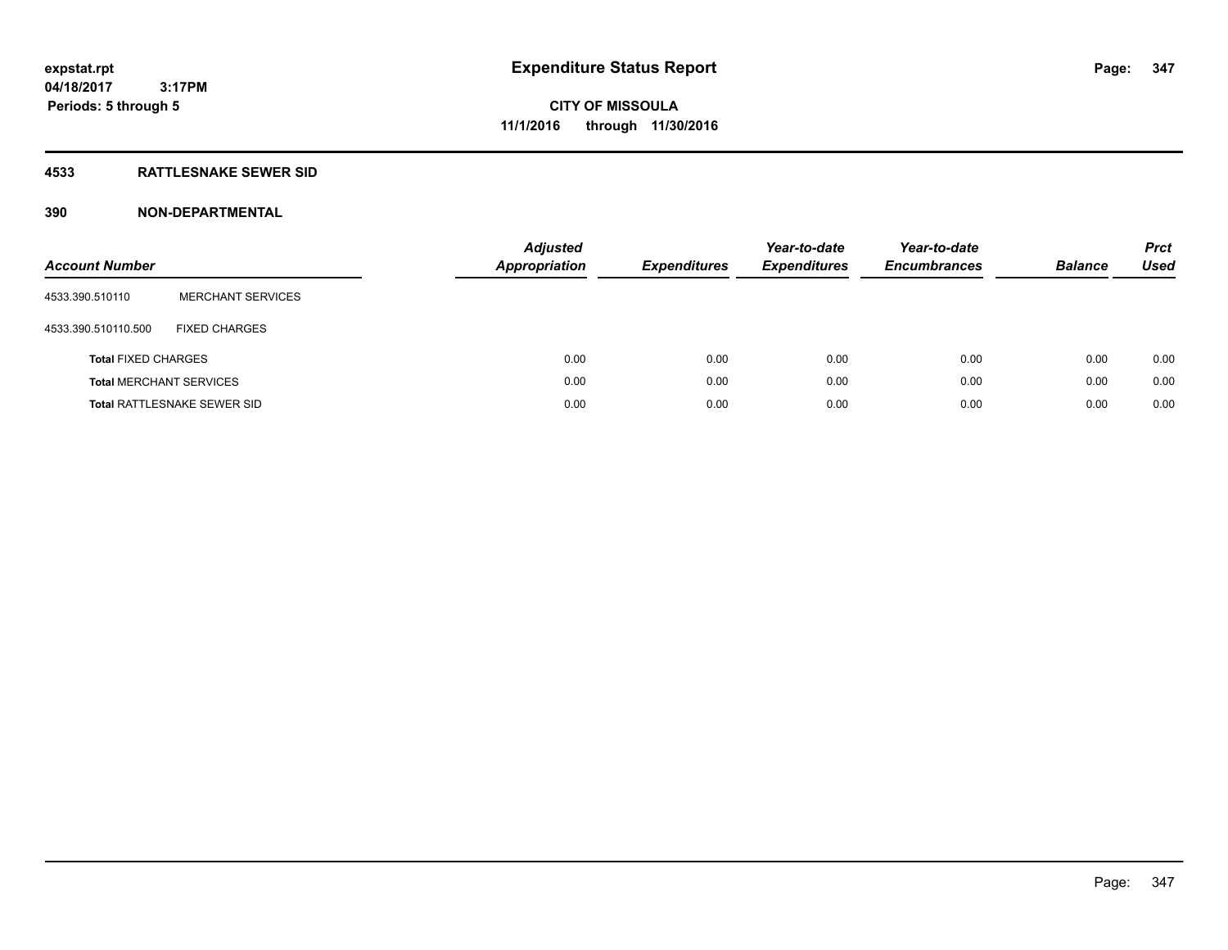#### **4533 RATTLESNAKE SEWER SID**

| <b>Account Number</b>          |                                    | <b>Adjusted</b><br><b>Appropriation</b> | <b>Expenditures</b> | Year-to-date<br><b>Expenditures</b> | Year-to-date<br><b>Encumbrances</b> | <b>Balance</b> | <b>Prct</b><br>Used |
|--------------------------------|------------------------------------|-----------------------------------------|---------------------|-------------------------------------|-------------------------------------|----------------|---------------------|
| 4533.390.510110                | <b>MERCHANT SERVICES</b>           |                                         |                     |                                     |                                     |                |                     |
| 4533.390.510110.500            | <b>FIXED CHARGES</b>               |                                         |                     |                                     |                                     |                |                     |
| <b>Total FIXED CHARGES</b>     |                                    | 0.00                                    | 0.00                | 0.00                                | 0.00                                | 0.00           | 0.00                |
| <b>Total MERCHANT SERVICES</b> |                                    | 0.00                                    | 0.00                | 0.00                                | 0.00                                | 0.00           | 0.00                |
|                                | <b>Total RATTLESNAKE SEWER SID</b> | 0.00                                    | 0.00                | 0.00                                | 0.00                                | 0.00           | 0.00                |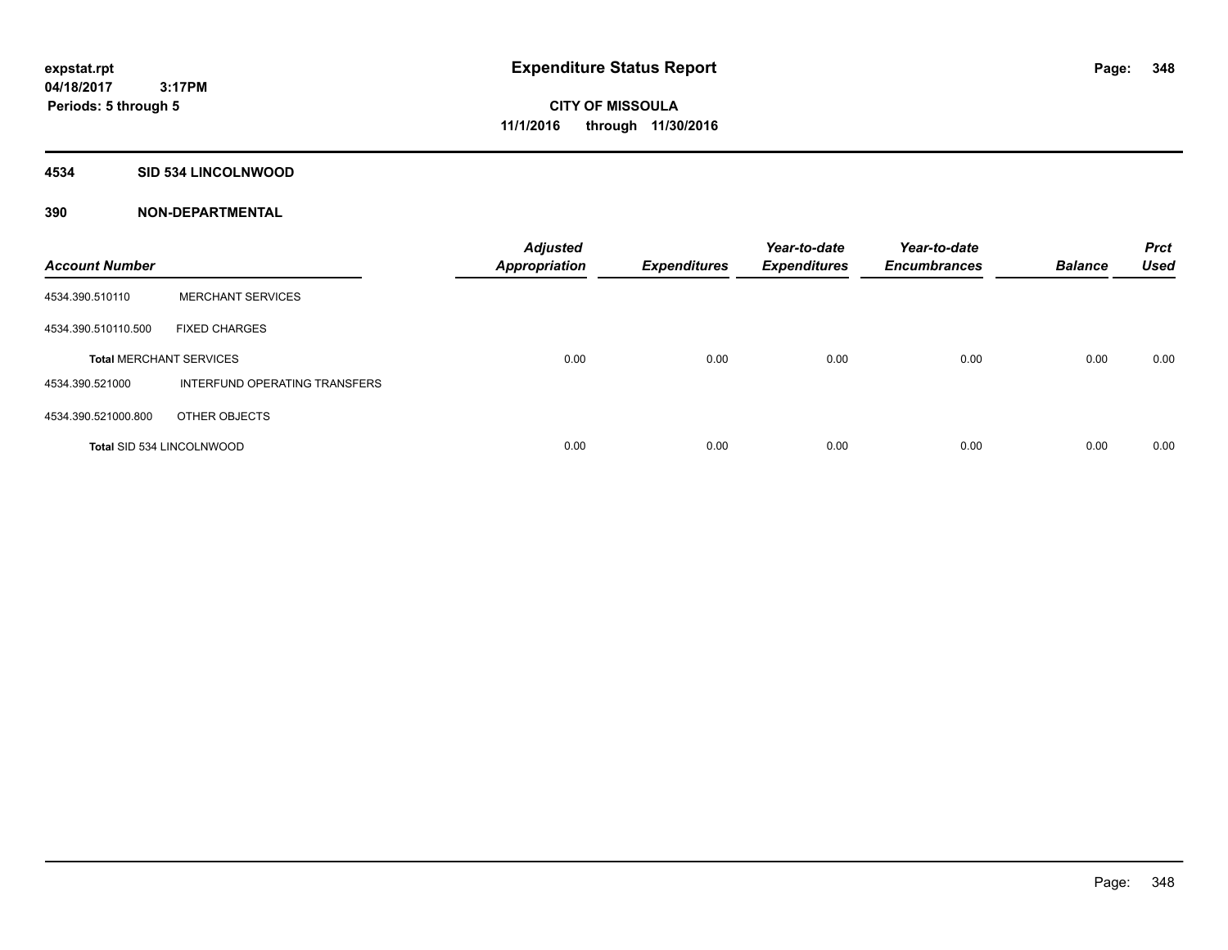#### **4534 SID 534 LINCOLNWOOD**

| <b>Account Number</b>          |                               | <b>Adjusted</b><br><b>Appropriation</b> | <b>Expenditures</b> | Year-to-date<br><b>Expenditures</b> | Year-to-date<br><b>Encumbrances</b> | <b>Balance</b> | <b>Prct</b><br><b>Used</b> |
|--------------------------------|-------------------------------|-----------------------------------------|---------------------|-------------------------------------|-------------------------------------|----------------|----------------------------|
| 4534.390.510110                | <b>MERCHANT SERVICES</b>      |                                         |                     |                                     |                                     |                |                            |
| 4534.390.510110.500            | <b>FIXED CHARGES</b>          |                                         |                     |                                     |                                     |                |                            |
| <b>Total MERCHANT SERVICES</b> |                               | 0.00                                    | 0.00                | 0.00                                | 0.00                                | 0.00           | 0.00                       |
| 4534.390.521000                | INTERFUND OPERATING TRANSFERS |                                         |                     |                                     |                                     |                |                            |
| 4534.390.521000.800            | OTHER OBJECTS                 |                                         |                     |                                     |                                     |                |                            |
| Total SID 534 LINCOLNWOOD      |                               | 0.00                                    | 0.00                | 0.00                                | 0.00                                | 0.00           | 0.00                       |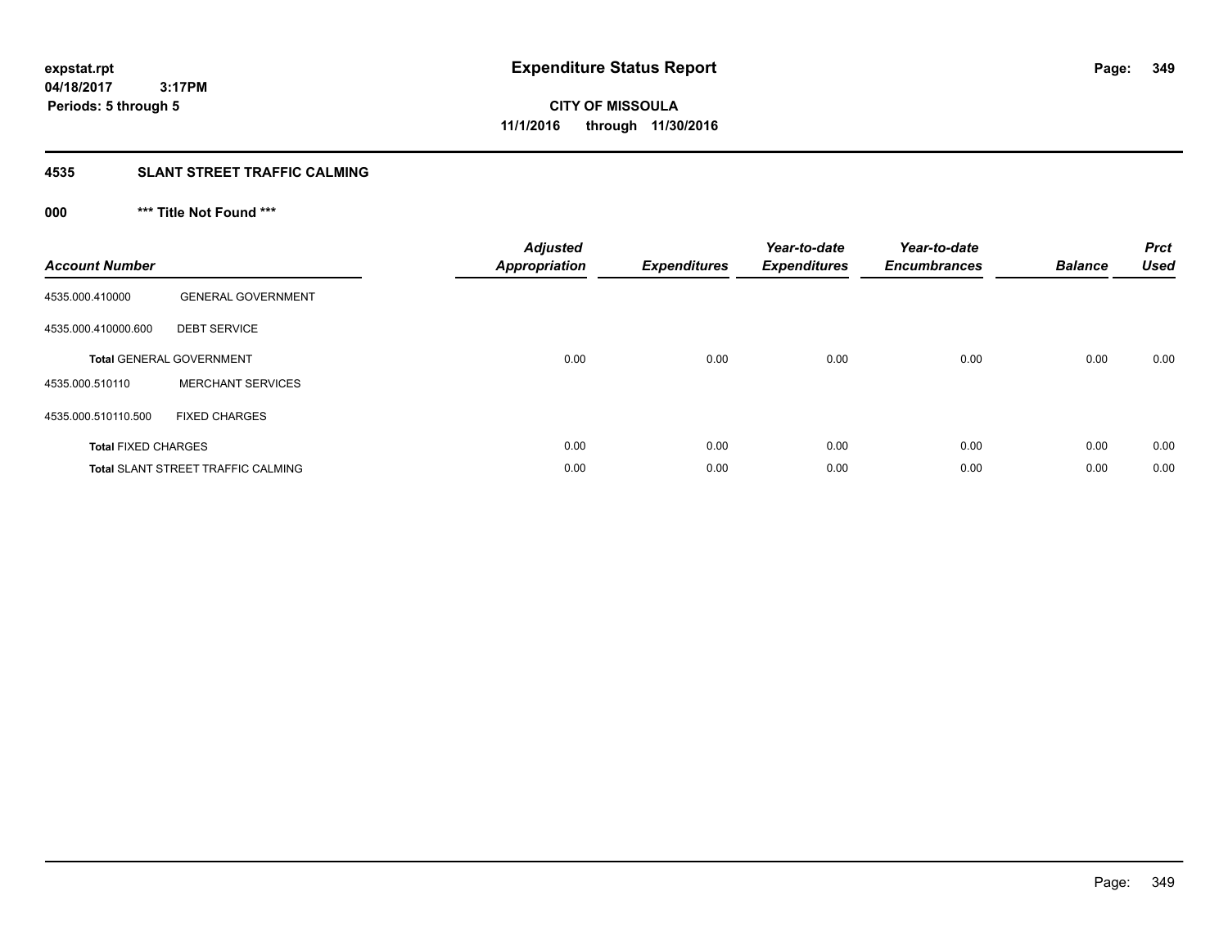#### **4535 SLANT STREET TRAFFIC CALMING**

## **000 \*\*\* Title Not Found \*\*\***

| <b>Account Number</b>      |                                           | <b>Adjusted</b><br>Appropriation | <b>Expenditures</b> | Year-to-date<br><b>Expenditures</b> | Year-to-date<br><b>Encumbrances</b> | <b>Balance</b> | <b>Prct</b><br><b>Used</b> |
|----------------------------|-------------------------------------------|----------------------------------|---------------------|-------------------------------------|-------------------------------------|----------------|----------------------------|
| 4535.000.410000            | <b>GENERAL GOVERNMENT</b>                 |                                  |                     |                                     |                                     |                |                            |
| 4535.000.410000.600        | <b>DEBT SERVICE</b>                       |                                  |                     |                                     |                                     |                |                            |
|                            | <b>Total GENERAL GOVERNMENT</b>           | 0.00                             | 0.00                | 0.00                                | 0.00                                | 0.00           | 0.00                       |
| 4535.000.510110            | <b>MERCHANT SERVICES</b>                  |                                  |                     |                                     |                                     |                |                            |
| 4535.000.510110.500        | <b>FIXED CHARGES</b>                      |                                  |                     |                                     |                                     |                |                            |
| <b>Total FIXED CHARGES</b> |                                           | 0.00                             | 0.00                | 0.00                                | 0.00                                | 0.00           | 0.00                       |
|                            | <b>Total SLANT STREET TRAFFIC CALMING</b> | 0.00                             | 0.00                | 0.00                                | 0.00                                | 0.00           | 0.00                       |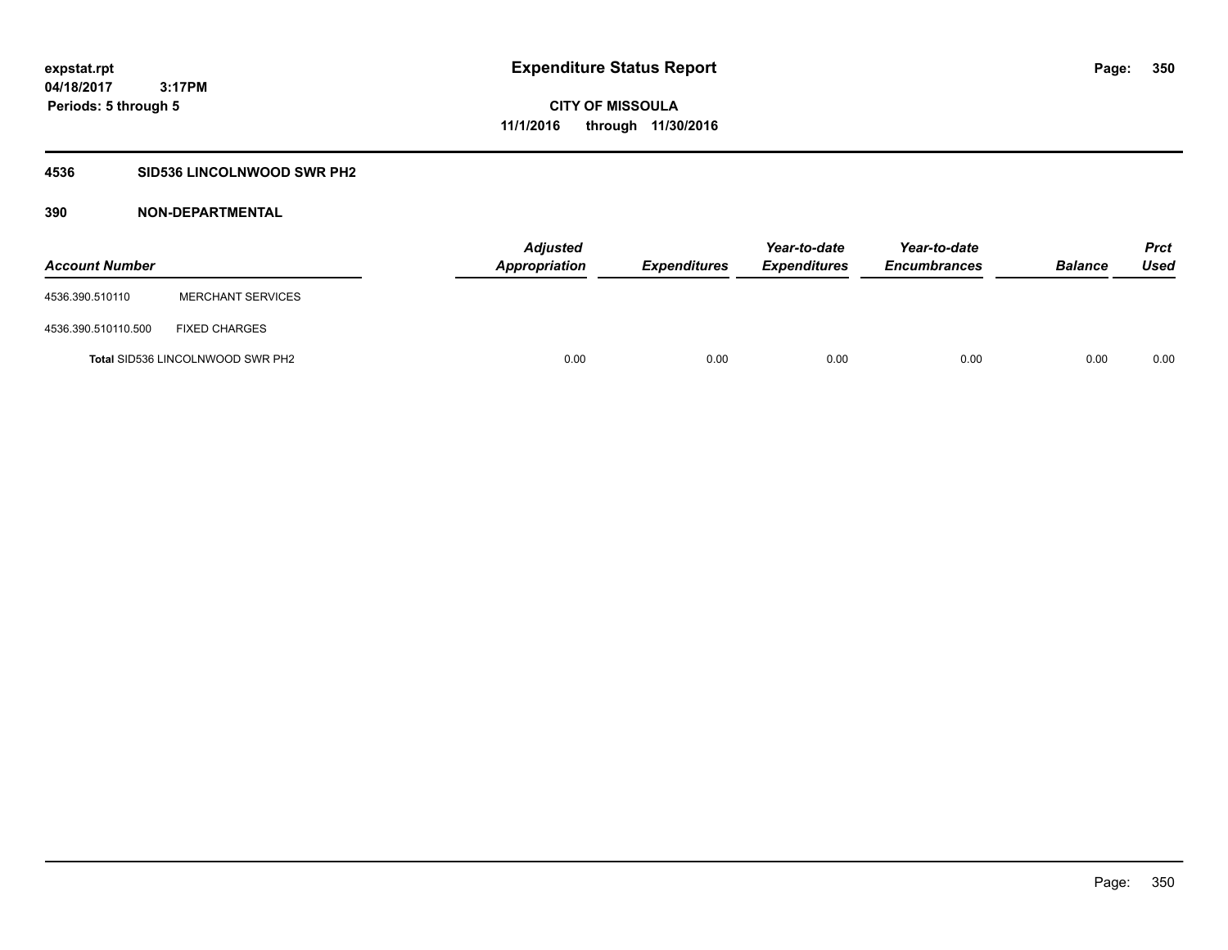### **4536 SID536 LINCOLNWOOD SWR PH2**

| <b>Account Number</b> |                                         | <b>Adjusted</b><br><b>Appropriation</b> | <b>Expenditures</b> | Year-to-date<br><b>Expenditures</b> | Year-to-date<br><b>Encumbrances</b> | <b>Balance</b> | <b>Prct</b><br><b>Used</b> |
|-----------------------|-----------------------------------------|-----------------------------------------|---------------------|-------------------------------------|-------------------------------------|----------------|----------------------------|
| 4536.390.510110       | <b>MERCHANT SERVICES</b>                |                                         |                     |                                     |                                     |                |                            |
| 4536.390.510110.500   | <b>FIXED CHARGES</b>                    |                                         |                     |                                     |                                     |                |                            |
|                       | <b>Total SID536 LINCOLNWOOD SWR PH2</b> | 0.00                                    | 0.00                | 0.00                                | 0.00                                | 0.00           | 0.00                       |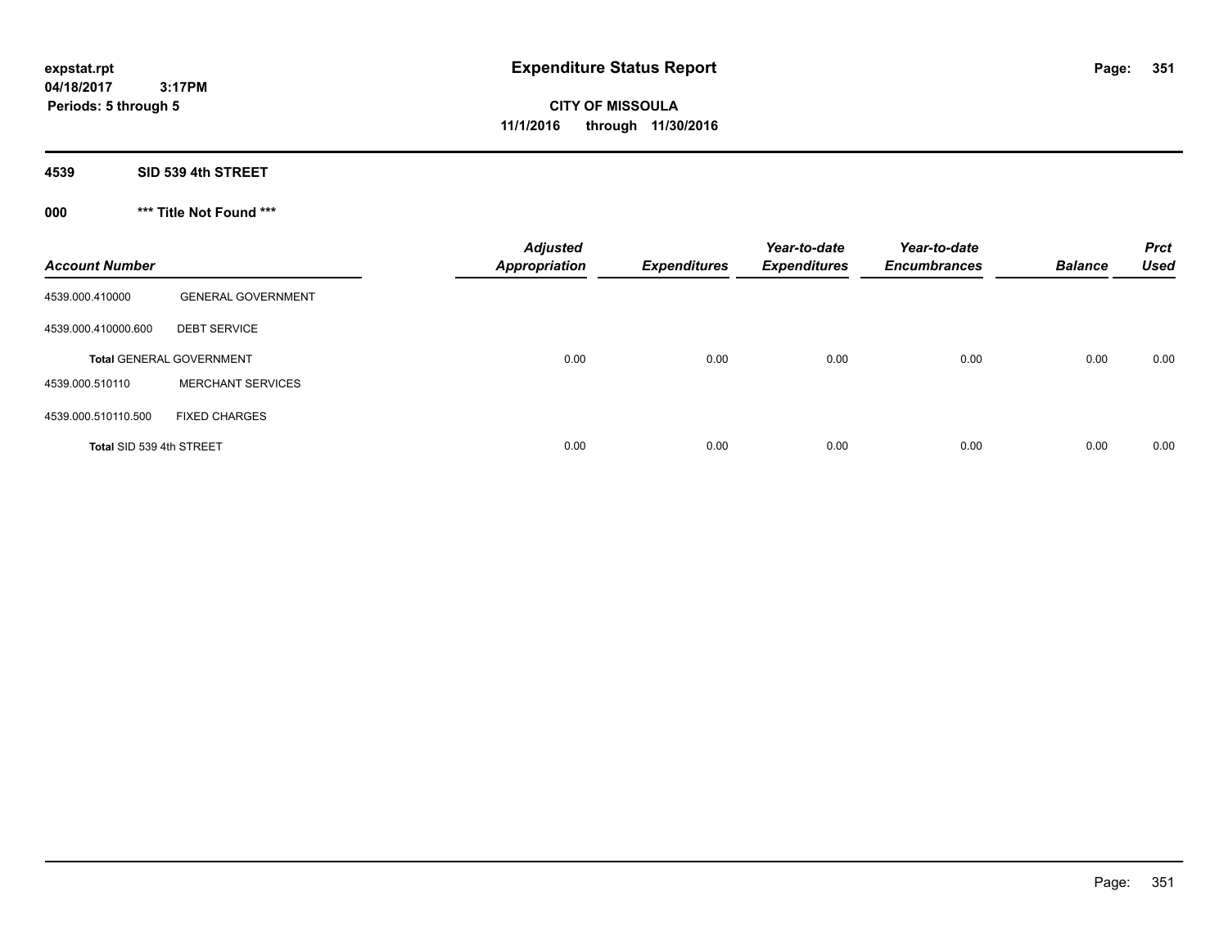**CITY OF MISSOULA 11/1/2016 through 11/30/2016**

**4539 SID 539 4th STREET**

**000 \*\*\* Title Not Found \*\*\***

| <b>Account Number</b>    |                                 | <b>Adjusted</b><br><b>Appropriation</b> | <b>Expenditures</b> | Year-to-date<br><b>Expenditures</b> | Year-to-date<br><b>Encumbrances</b> | <b>Balance</b> | <b>Prct</b><br><b>Used</b> |
|--------------------------|---------------------------------|-----------------------------------------|---------------------|-------------------------------------|-------------------------------------|----------------|----------------------------|
| 4539.000.410000          | <b>GENERAL GOVERNMENT</b>       |                                         |                     |                                     |                                     |                |                            |
| 4539.000.410000.600      | <b>DEBT SERVICE</b>             |                                         |                     |                                     |                                     |                |                            |
|                          | <b>Total GENERAL GOVERNMENT</b> | 0.00                                    | 0.00                | 0.00                                | 0.00                                | 0.00           | 0.00                       |
| 4539.000.510110          | <b>MERCHANT SERVICES</b>        |                                         |                     |                                     |                                     |                |                            |
| 4539.000.510110.500      | <b>FIXED CHARGES</b>            |                                         |                     |                                     |                                     |                |                            |
| Total SID 539 4th STREET |                                 | 0.00                                    | 0.00                | 0.00                                | 0.00                                | 0.00           | 0.00                       |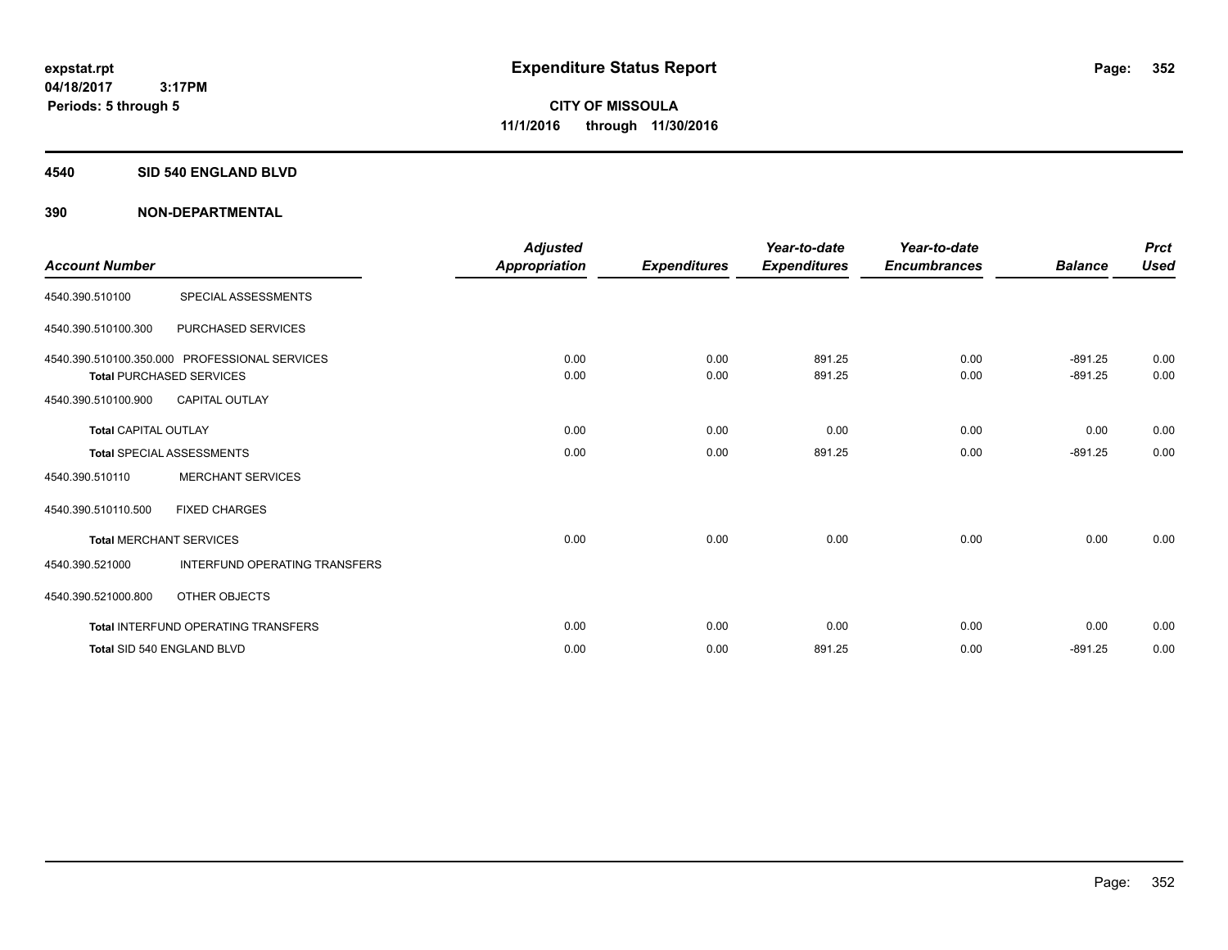#### **4540 SID 540 ENGLAND BLVD**

| <b>Account Number</b>       |                                                                                  | <b>Adjusted</b><br><b>Appropriation</b> | <b>Expenditures</b> | Year-to-date<br><b>Expenditures</b> | Year-to-date<br><b>Encumbrances</b> | <b>Balance</b>         | <b>Prct</b><br><b>Used</b> |
|-----------------------------|----------------------------------------------------------------------------------|-----------------------------------------|---------------------|-------------------------------------|-------------------------------------|------------------------|----------------------------|
| 4540.390.510100             | SPECIAL ASSESSMENTS                                                              |                                         |                     |                                     |                                     |                        |                            |
| 4540.390.510100.300         | PURCHASED SERVICES                                                               |                                         |                     |                                     |                                     |                        |                            |
|                             | 4540.390.510100.350.000 PROFESSIONAL SERVICES<br><b>Total PURCHASED SERVICES</b> | 0.00<br>0.00                            | 0.00<br>0.00        | 891.25<br>891.25                    | 0.00<br>0.00                        | $-891.25$<br>$-891.25$ | 0.00<br>0.00               |
| 4540.390.510100.900         | <b>CAPITAL OUTLAY</b>                                                            |                                         |                     |                                     |                                     |                        |                            |
| <b>Total CAPITAL OUTLAY</b> |                                                                                  | 0.00                                    | 0.00                | 0.00                                | 0.00                                | 0.00                   | 0.00                       |
|                             | <b>Total SPECIAL ASSESSMENTS</b>                                                 | 0.00                                    | 0.00                | 891.25                              | 0.00                                | $-891.25$              | 0.00                       |
| 4540.390.510110             | <b>MERCHANT SERVICES</b>                                                         |                                         |                     |                                     |                                     |                        |                            |
| 4540.390.510110.500         | <b>FIXED CHARGES</b>                                                             |                                         |                     |                                     |                                     |                        |                            |
|                             | <b>Total MERCHANT SERVICES</b>                                                   | 0.00                                    | 0.00                | 0.00                                | 0.00                                | 0.00                   | 0.00                       |
| 4540.390.521000             | INTERFUND OPERATING TRANSFERS                                                    |                                         |                     |                                     |                                     |                        |                            |
| 4540.390.521000.800         | <b>OTHER OBJECTS</b>                                                             |                                         |                     |                                     |                                     |                        |                            |
|                             | <b>Total INTERFUND OPERATING TRANSFERS</b>                                       | 0.00                                    | 0.00                | 0.00                                | 0.00                                | 0.00                   | 0.00                       |
|                             | Total SID 540 ENGLAND BLVD                                                       | 0.00                                    | 0.00                | 891.25                              | 0.00                                | $-891.25$              | 0.00                       |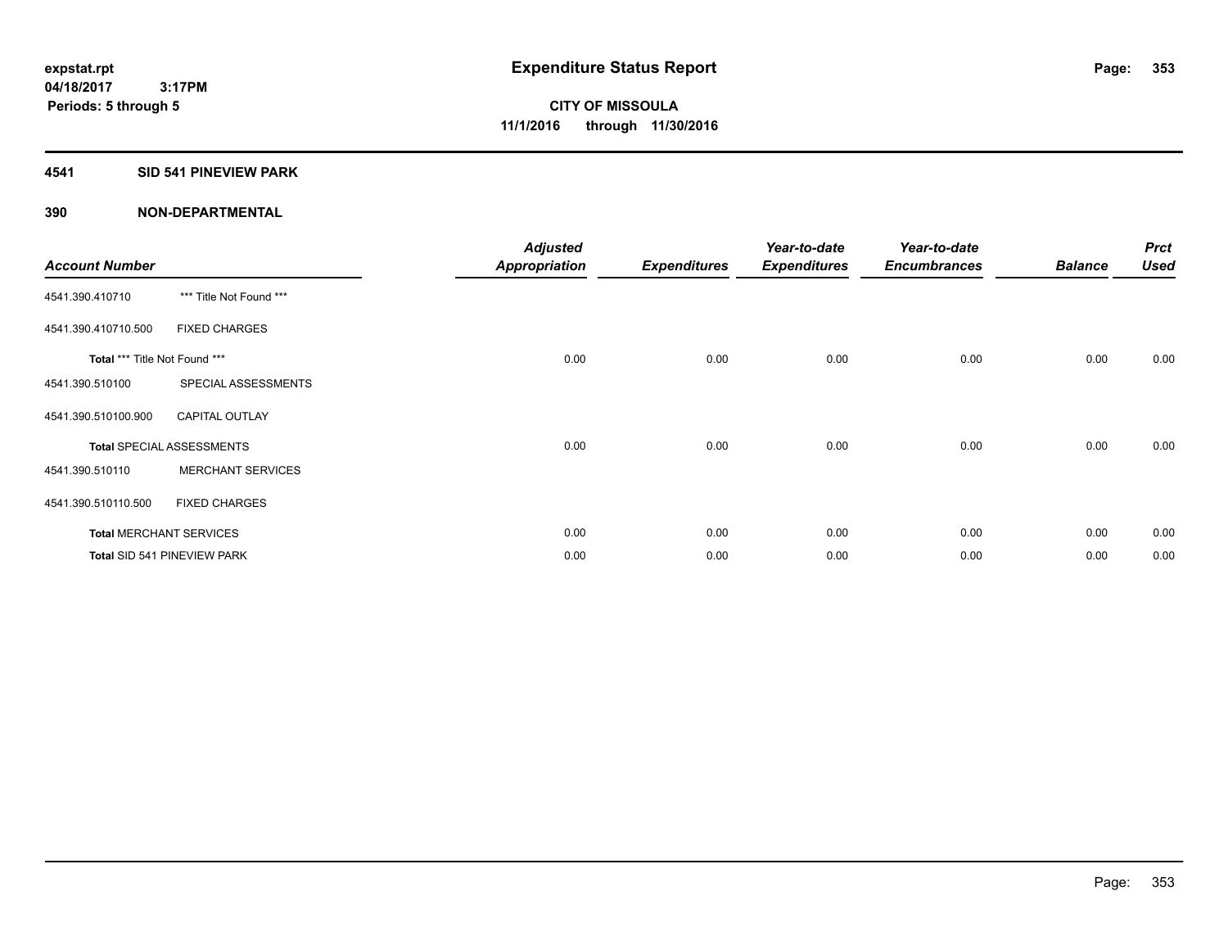### **4541 SID 541 PINEVIEW PARK**

| <b>Account Number</b>         |                                  | <b>Adjusted</b><br>Appropriation | <b>Expenditures</b> | Year-to-date<br><b>Expenditures</b> | Year-to-date<br><b>Encumbrances</b> | <b>Balance</b> | <b>Prct</b><br><b>Used</b> |
|-------------------------------|----------------------------------|----------------------------------|---------------------|-------------------------------------|-------------------------------------|----------------|----------------------------|
| 4541.390.410710               | *** Title Not Found ***          |                                  |                     |                                     |                                     |                |                            |
| 4541.390.410710.500           | <b>FIXED CHARGES</b>             |                                  |                     |                                     |                                     |                |                            |
| Total *** Title Not Found *** |                                  | 0.00                             | 0.00                | 0.00                                | 0.00                                | 0.00           | 0.00                       |
| 4541.390.510100               | SPECIAL ASSESSMENTS              |                                  |                     |                                     |                                     |                |                            |
| 4541.390.510100.900           | <b>CAPITAL OUTLAY</b>            |                                  |                     |                                     |                                     |                |                            |
|                               | <b>Total SPECIAL ASSESSMENTS</b> | 0.00                             | 0.00                | 0.00                                | 0.00                                | 0.00           | 0.00                       |
| 4541.390.510110               | <b>MERCHANT SERVICES</b>         |                                  |                     |                                     |                                     |                |                            |
| 4541.390.510110.500           | <b>FIXED CHARGES</b>             |                                  |                     |                                     |                                     |                |                            |
|                               | <b>Total MERCHANT SERVICES</b>   | 0.00                             | 0.00                | 0.00                                | 0.00                                | 0.00           | 0.00                       |
|                               | Total SID 541 PINEVIEW PARK      | 0.00                             | 0.00                | 0.00                                | 0.00                                | 0.00           | 0.00                       |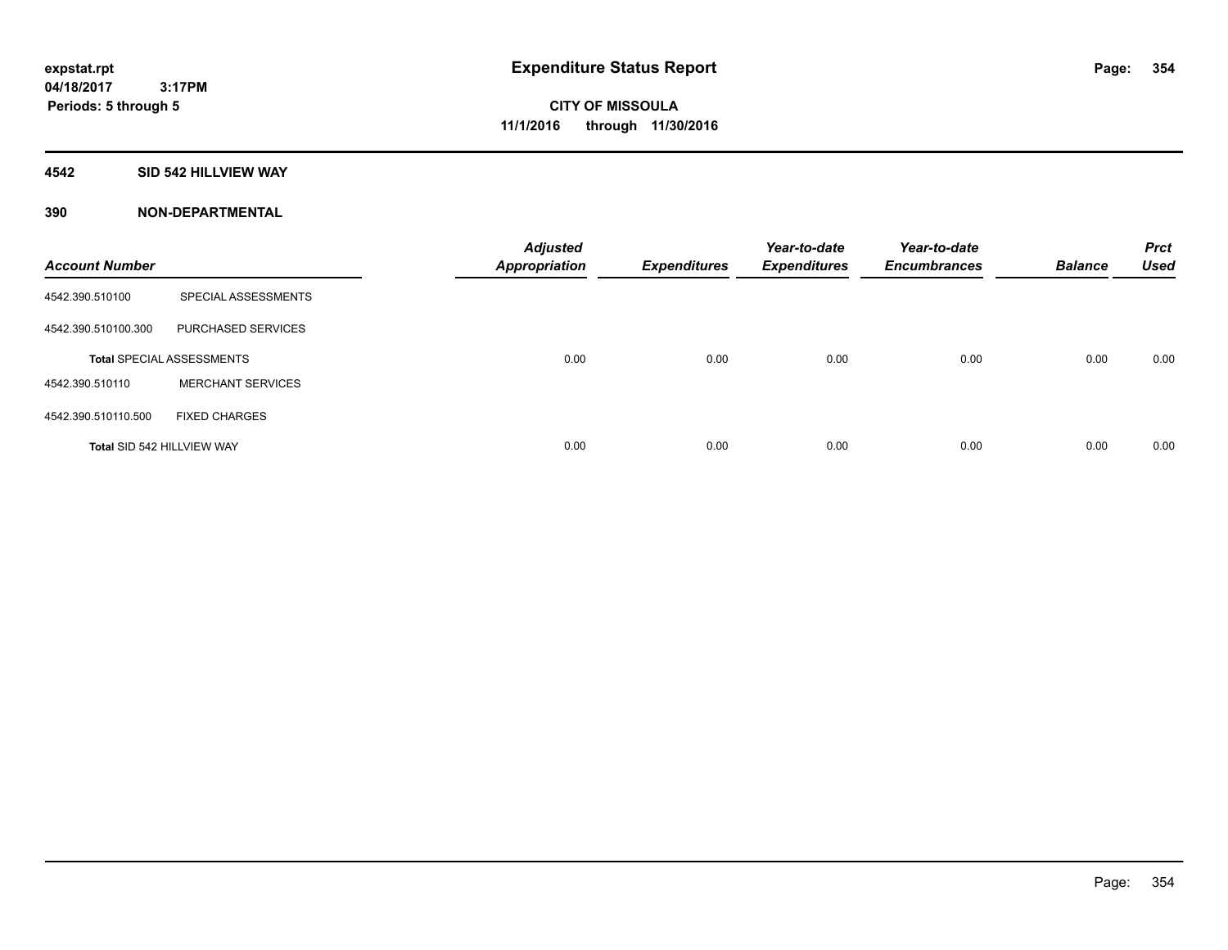### **4542 SID 542 HILLVIEW WAY**

| <b>Account Number</b>      |                                  | <b>Adjusted</b><br><b>Appropriation</b> | <b>Expenditures</b> | Year-to-date<br><b>Expenditures</b> | Year-to-date<br><b>Encumbrances</b> | <b>Balance</b> | <b>Prct</b><br><b>Used</b> |
|----------------------------|----------------------------------|-----------------------------------------|---------------------|-------------------------------------|-------------------------------------|----------------|----------------------------|
| 4542.390.510100            | SPECIAL ASSESSMENTS              |                                         |                     |                                     |                                     |                |                            |
| 4542.390.510100.300        | PURCHASED SERVICES               |                                         |                     |                                     |                                     |                |                            |
|                            | <b>Total SPECIAL ASSESSMENTS</b> | 0.00                                    | 0.00                | 0.00                                | 0.00                                | 0.00           | 0.00                       |
| 4542.390.510110            | <b>MERCHANT SERVICES</b>         |                                         |                     |                                     |                                     |                |                            |
| 4542.390.510110.500        | <b>FIXED CHARGES</b>             |                                         |                     |                                     |                                     |                |                            |
| Total SID 542 HILLVIEW WAY |                                  | 0.00                                    | 0.00                | 0.00                                | 0.00                                | 0.00           | 0.00                       |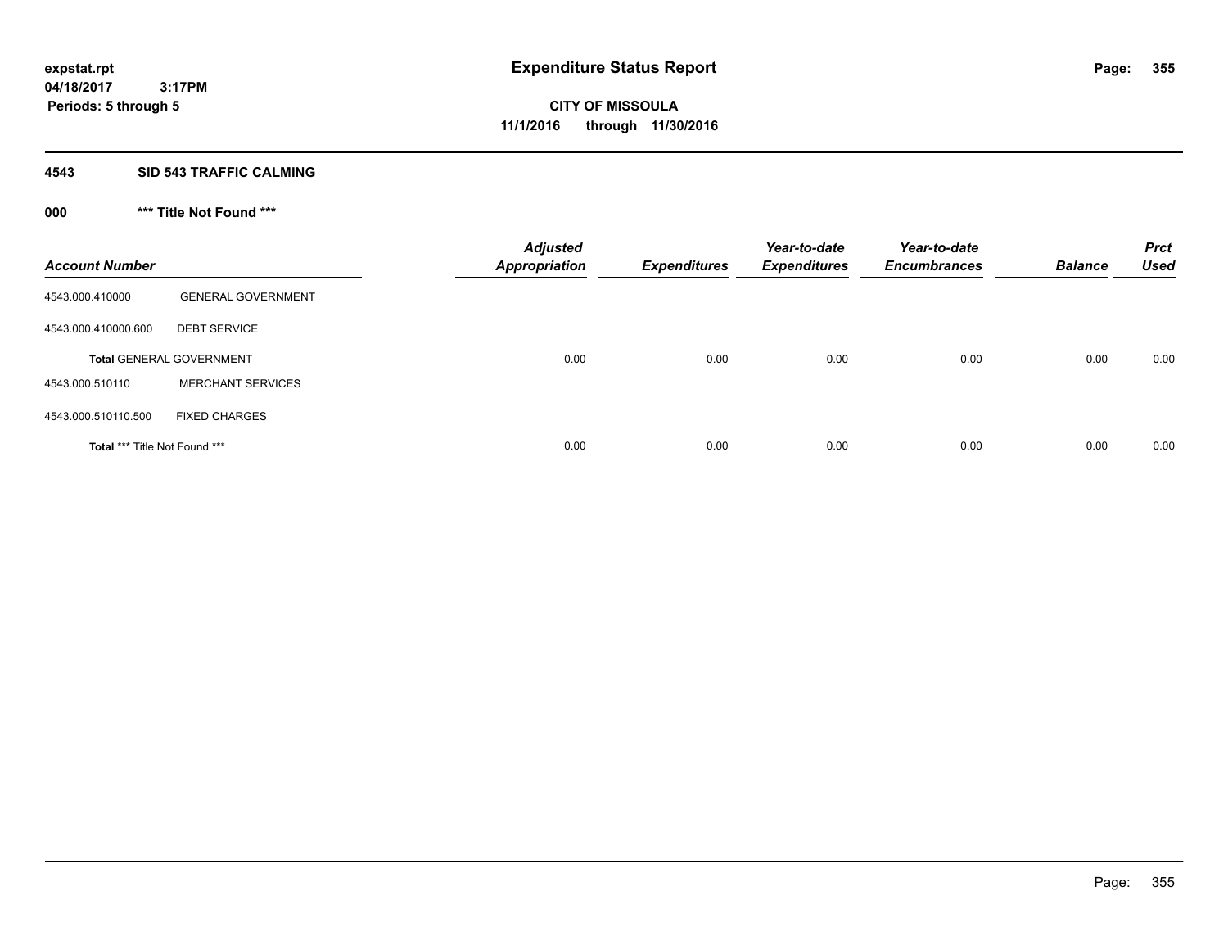#### **4543 SID 543 TRAFFIC CALMING**

## **000 \*\*\* Title Not Found \*\*\***

| <b>Account Number</b>         |                                 | <b>Adjusted</b><br><b>Appropriation</b> | <b>Expenditures</b> | Year-to-date<br><b>Expenditures</b> | Year-to-date<br><b>Encumbrances</b> | <b>Balance</b> | <b>Prct</b><br><b>Used</b> |
|-------------------------------|---------------------------------|-----------------------------------------|---------------------|-------------------------------------|-------------------------------------|----------------|----------------------------|
| 4543.000.410000               | <b>GENERAL GOVERNMENT</b>       |                                         |                     |                                     |                                     |                |                            |
| 4543.000.410000.600           | <b>DEBT SERVICE</b>             |                                         |                     |                                     |                                     |                |                            |
|                               | <b>Total GENERAL GOVERNMENT</b> | 0.00                                    | 0.00                | 0.00                                | 0.00                                | 0.00           | 0.00                       |
| 4543.000.510110               | <b>MERCHANT SERVICES</b>        |                                         |                     |                                     |                                     |                |                            |
| 4543.000.510110.500           | <b>FIXED CHARGES</b>            |                                         |                     |                                     |                                     |                |                            |
| Total *** Title Not Found *** |                                 | 0.00                                    | 0.00                | 0.00                                | 0.00                                | 0.00           | 0.00                       |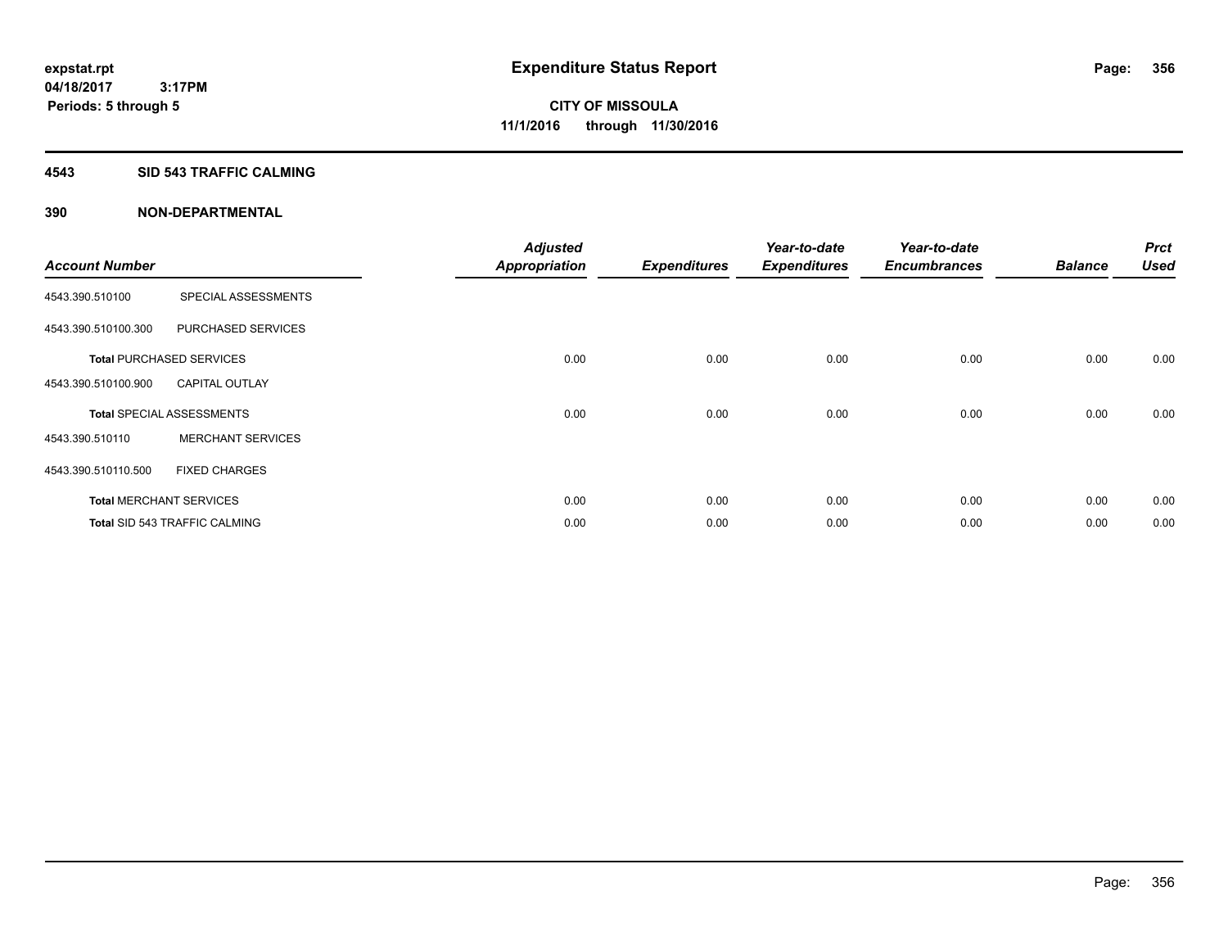#### **4543 SID 543 TRAFFIC CALMING**

|                       |                                      | <b>Adjusted</b>      |                     | Year-to-date        | Year-to-date        |                | <b>Prct</b> |
|-----------------------|--------------------------------------|----------------------|---------------------|---------------------|---------------------|----------------|-------------|
| <b>Account Number</b> |                                      | <b>Appropriation</b> | <b>Expenditures</b> | <b>Expenditures</b> | <b>Encumbrances</b> | <b>Balance</b> | <b>Used</b> |
| 4543.390.510100       | SPECIAL ASSESSMENTS                  |                      |                     |                     |                     |                |             |
| 4543.390.510100.300   | PURCHASED SERVICES                   |                      |                     |                     |                     |                |             |
|                       | <b>Total PURCHASED SERVICES</b>      | 0.00                 | 0.00                | 0.00                | 0.00                | 0.00           | 0.00        |
| 4543.390.510100.900   | <b>CAPITAL OUTLAY</b>                |                      |                     |                     |                     |                |             |
|                       | <b>Total SPECIAL ASSESSMENTS</b>     | 0.00                 | 0.00                | 0.00                | 0.00                | 0.00           | 0.00        |
| 4543.390.510110       | <b>MERCHANT SERVICES</b>             |                      |                     |                     |                     |                |             |
| 4543.390.510110.500   | <b>FIXED CHARGES</b>                 |                      |                     |                     |                     |                |             |
|                       | <b>Total MERCHANT SERVICES</b>       | 0.00                 | 0.00                | 0.00                | 0.00                | 0.00           | 0.00        |
|                       | <b>Total SID 543 TRAFFIC CALMING</b> | 0.00                 | 0.00                | 0.00                | 0.00                | 0.00           | 0.00        |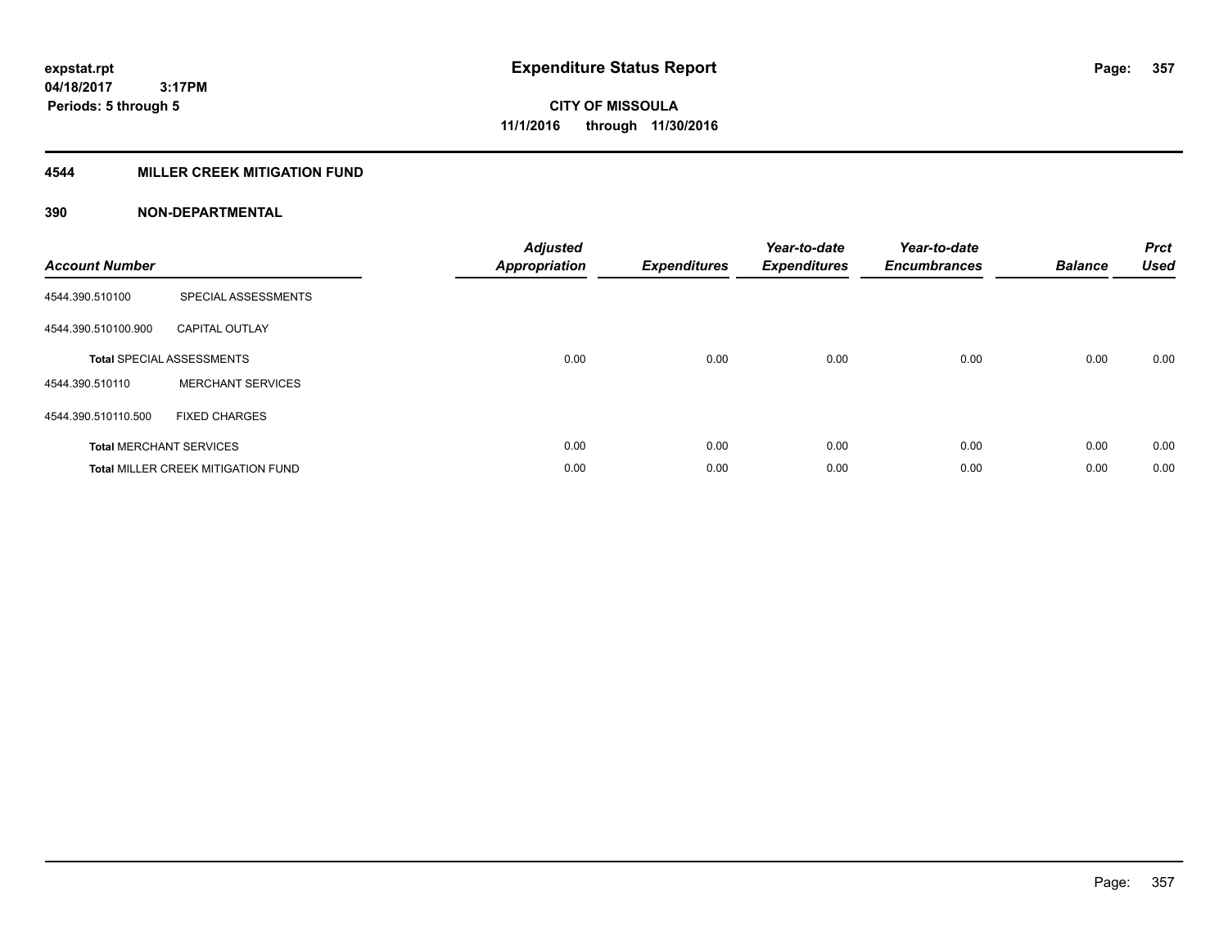### **4544 MILLER CREEK MITIGATION FUND**

| <b>Account Number</b> |                                           | <b>Adjusted</b><br><b>Appropriation</b> | <b>Expenditures</b> | Year-to-date<br><b>Expenditures</b> | Year-to-date<br><b>Encumbrances</b> | <b>Balance</b> | <b>Prct</b><br><b>Used</b> |
|-----------------------|-------------------------------------------|-----------------------------------------|---------------------|-------------------------------------|-------------------------------------|----------------|----------------------------|
| 4544.390.510100       | SPECIAL ASSESSMENTS                       |                                         |                     |                                     |                                     |                |                            |
| 4544.390.510100.900   | <b>CAPITAL OUTLAY</b>                     |                                         |                     |                                     |                                     |                |                            |
|                       | <b>Total SPECIAL ASSESSMENTS</b>          | 0.00                                    | 0.00                | 0.00                                | 0.00                                | 0.00           | 0.00                       |
| 4544.390.510110       | <b>MERCHANT SERVICES</b>                  |                                         |                     |                                     |                                     |                |                            |
| 4544.390.510110.500   | <b>FIXED CHARGES</b>                      |                                         |                     |                                     |                                     |                |                            |
|                       | <b>Total MERCHANT SERVICES</b>            | 0.00                                    | 0.00                | 0.00                                | 0.00                                | 0.00           | 0.00                       |
|                       | <b>Total MILLER CREEK MITIGATION FUND</b> | 0.00                                    | 0.00                | 0.00                                | 0.00                                | 0.00           | 0.00                       |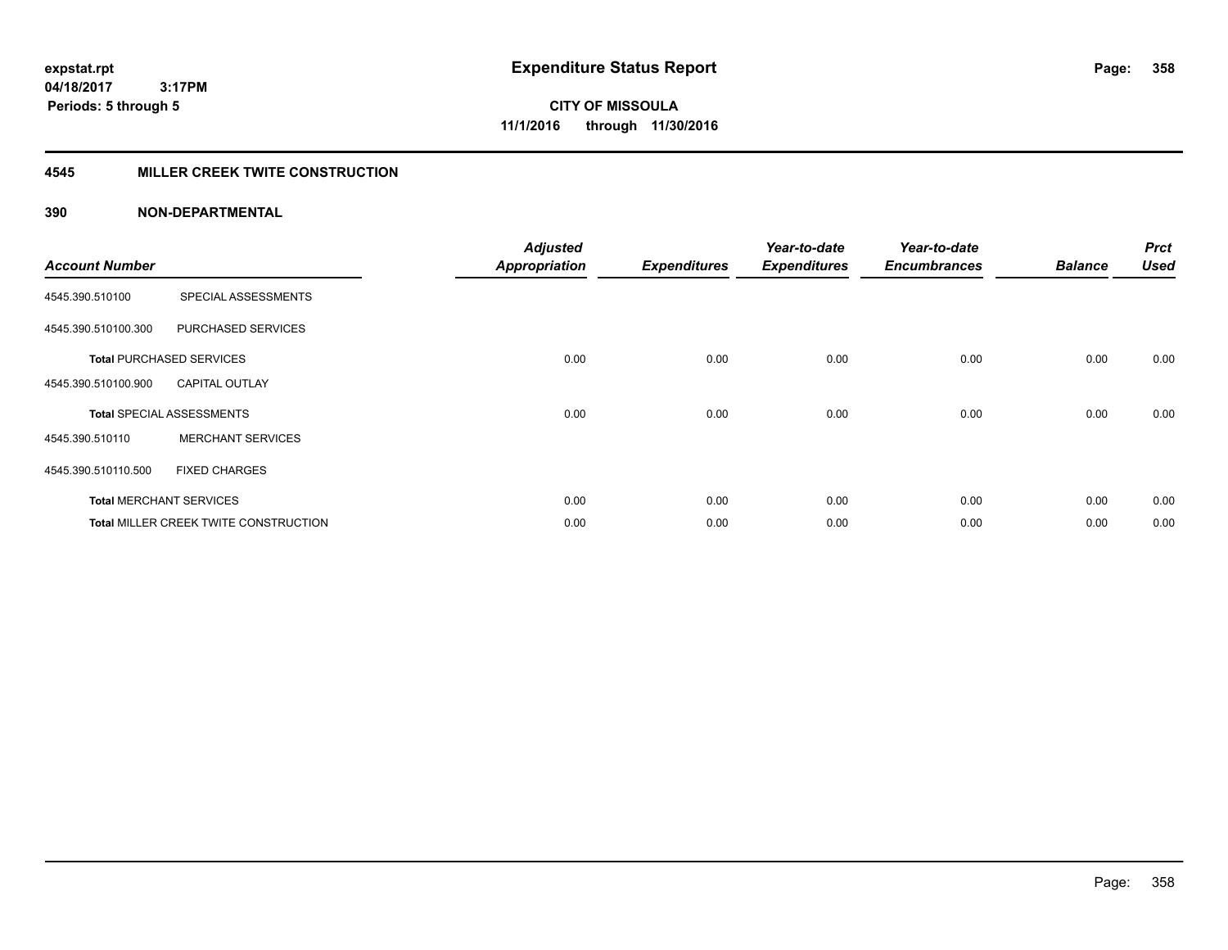**Periods: 5 through 5**

**CITY OF MISSOULA 11/1/2016 through 11/30/2016**

#### **4545 MILLER CREEK TWITE CONSTRUCTION**

#### **390 NON-DEPARTMENTAL**

 **3:17PM**

| <b>Account Number</b> |                                       | <b>Adjusted</b><br><b>Appropriation</b> | <b>Expenditures</b> | Year-to-date<br><b>Expenditures</b> | Year-to-date<br><b>Encumbrances</b> | <b>Balance</b> | <b>Prct</b><br><b>Used</b> |
|-----------------------|---------------------------------------|-----------------------------------------|---------------------|-------------------------------------|-------------------------------------|----------------|----------------------------|
|                       |                                       |                                         |                     |                                     |                                     |                |                            |
| 4545.390.510100       | SPECIAL ASSESSMENTS                   |                                         |                     |                                     |                                     |                |                            |
| 4545.390.510100.300   | PURCHASED SERVICES                    |                                         |                     |                                     |                                     |                |                            |
|                       | <b>Total PURCHASED SERVICES</b>       | 0.00                                    | 0.00                | 0.00                                | 0.00                                | 0.00           | 0.00                       |
| 4545.390.510100.900   | <b>CAPITAL OUTLAY</b>                 |                                         |                     |                                     |                                     |                |                            |
|                       | <b>Total SPECIAL ASSESSMENTS</b>      | 0.00                                    | 0.00                | 0.00                                | 0.00                                | 0.00           | 0.00                       |
| 4545.390.510110       | <b>MERCHANT SERVICES</b>              |                                         |                     |                                     |                                     |                |                            |
| 4545.390.510110.500   | <b>FIXED CHARGES</b>                  |                                         |                     |                                     |                                     |                |                            |
|                       | <b>Total MERCHANT SERVICES</b>        | 0.00                                    | 0.00                | 0.00                                | 0.00                                | 0.00           | 0.00                       |
|                       | Total MILLER CREEK TWITE CONSTRUCTION | 0.00                                    | 0.00                | 0.00                                | 0.00                                | 0.00           | 0.00                       |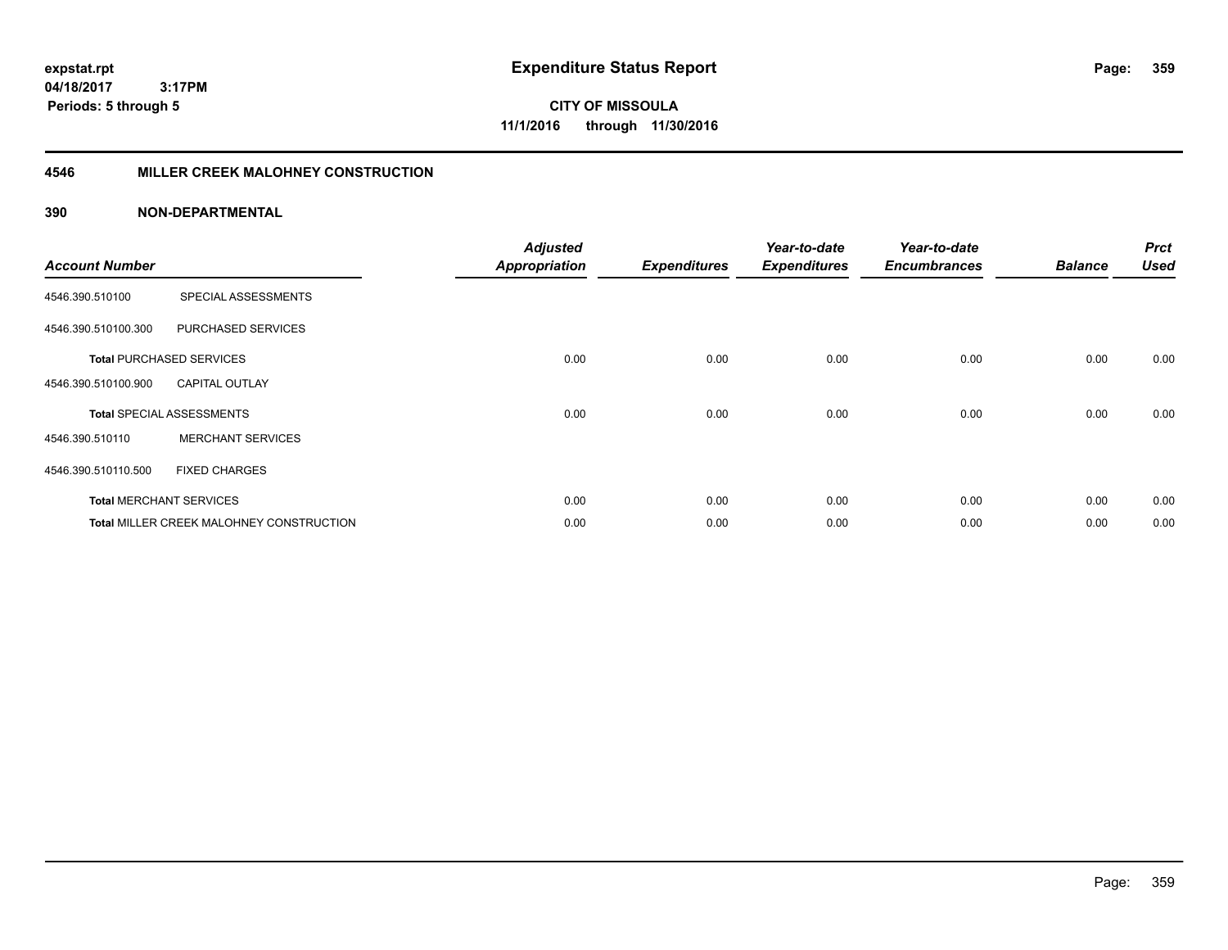**CITY OF MISSOULA 11/1/2016 through 11/30/2016**

### **4546 MILLER CREEK MALOHNEY CONSTRUCTION**

| <b>Account Number</b> |                                          | <b>Adjusted</b><br><b>Appropriation</b> | <b>Expenditures</b> | Year-to-date<br><b>Expenditures</b> | Year-to-date<br><b>Encumbrances</b> | <b>Balance</b> | <b>Prct</b><br><b>Used</b> |
|-----------------------|------------------------------------------|-----------------------------------------|---------------------|-------------------------------------|-------------------------------------|----------------|----------------------------|
| 4546.390.510100       | SPECIAL ASSESSMENTS                      |                                         |                     |                                     |                                     |                |                            |
| 4546.390.510100.300   | PURCHASED SERVICES                       |                                         |                     |                                     |                                     |                |                            |
|                       | <b>Total PURCHASED SERVICES</b>          | 0.00                                    | 0.00                | 0.00                                | 0.00                                | 0.00           | 0.00                       |
| 4546.390.510100.900   | <b>CAPITAL OUTLAY</b>                    |                                         |                     |                                     |                                     |                |                            |
|                       | <b>Total SPECIAL ASSESSMENTS</b>         | 0.00                                    | 0.00                | 0.00                                | 0.00                                | 0.00           | 0.00                       |
| 4546.390.510110       | <b>MERCHANT SERVICES</b>                 |                                         |                     |                                     |                                     |                |                            |
| 4546.390.510110.500   | <b>FIXED CHARGES</b>                     |                                         |                     |                                     |                                     |                |                            |
|                       | <b>Total MERCHANT SERVICES</b>           | 0.00                                    | 0.00                | 0.00                                | 0.00                                | 0.00           | 0.00                       |
|                       | Total MILLER CREEK MALOHNEY CONSTRUCTION | 0.00                                    | 0.00                | 0.00                                | 0.00                                | 0.00           | 0.00                       |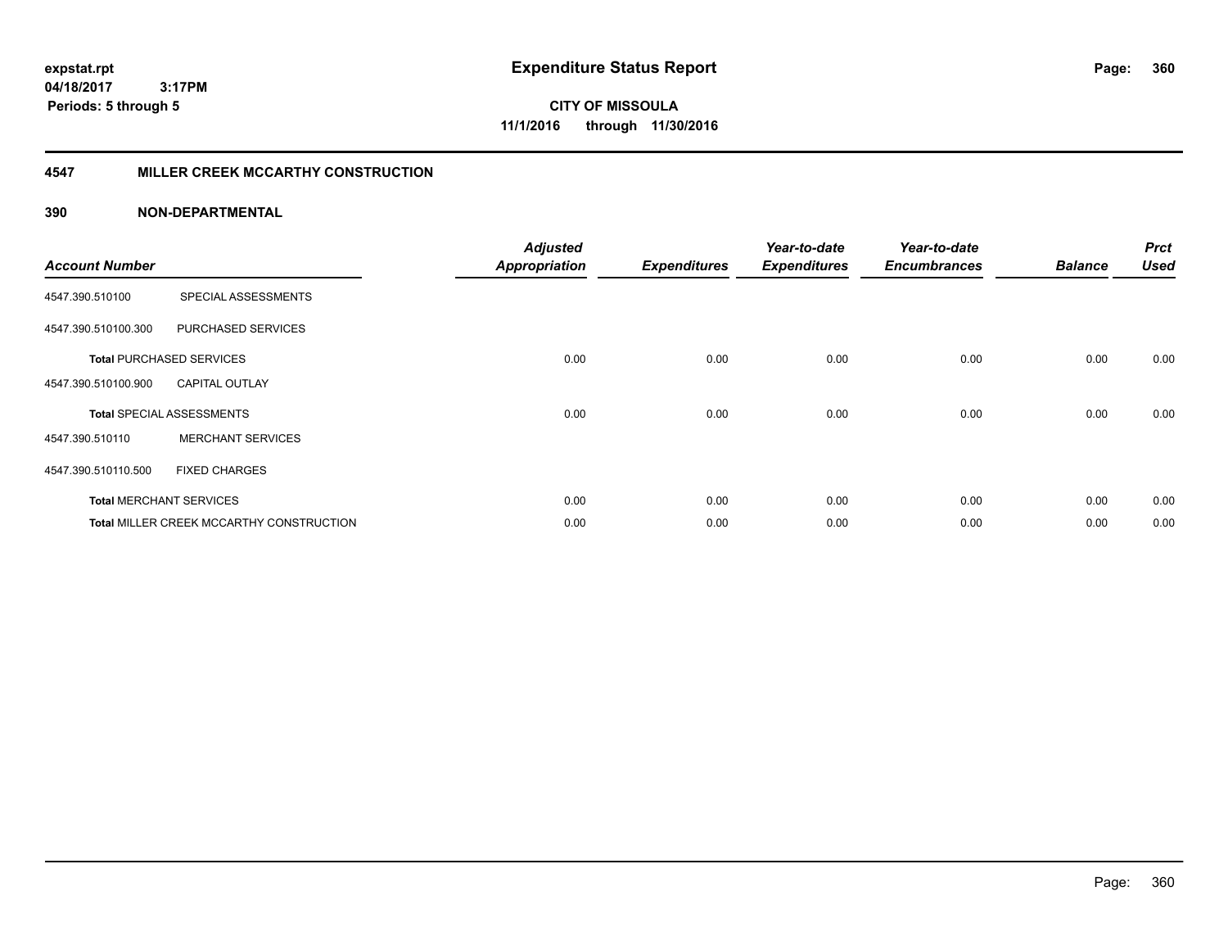**expstat.rpt Expenditure Status Report Page:**

**04/18/2017 3:17PM Periods: 5 through 5**

**CITY OF MISSOULA 11/1/2016 through 11/30/2016**

### **4547 MILLER CREEK MCCARTHY CONSTRUCTION**

| <b>Account Number</b> |                                          | <b>Adjusted</b><br><b>Appropriation</b> | <b>Expenditures</b> | Year-to-date<br><b>Expenditures</b> | Year-to-date<br><b>Encumbrances</b> | <b>Balance</b> | <b>Prct</b><br><b>Used</b> |
|-----------------------|------------------------------------------|-----------------------------------------|---------------------|-------------------------------------|-------------------------------------|----------------|----------------------------|
| 4547.390.510100       | SPECIAL ASSESSMENTS                      |                                         |                     |                                     |                                     |                |                            |
| 4547.390.510100.300   | PURCHASED SERVICES                       |                                         |                     |                                     |                                     |                |                            |
|                       | <b>Total PURCHASED SERVICES</b>          | 0.00                                    | 0.00                | 0.00                                | 0.00                                | 0.00           | 0.00                       |
| 4547.390.510100.900   | <b>CAPITAL OUTLAY</b>                    |                                         |                     |                                     |                                     |                |                            |
|                       | <b>Total SPECIAL ASSESSMENTS</b>         | 0.00                                    | 0.00                | 0.00                                | 0.00                                | 0.00           | 0.00                       |
| 4547.390.510110       | <b>MERCHANT SERVICES</b>                 |                                         |                     |                                     |                                     |                |                            |
| 4547.390.510110.500   | <b>FIXED CHARGES</b>                     |                                         |                     |                                     |                                     |                |                            |
|                       | <b>Total MERCHANT SERVICES</b>           | 0.00                                    | 0.00                | 0.00                                | 0.00                                | 0.00           | 0.00                       |
|                       | Total MILLER CREEK MCCARTHY CONSTRUCTION | 0.00                                    | 0.00                | 0.00                                | 0.00                                | 0.00           | 0.00                       |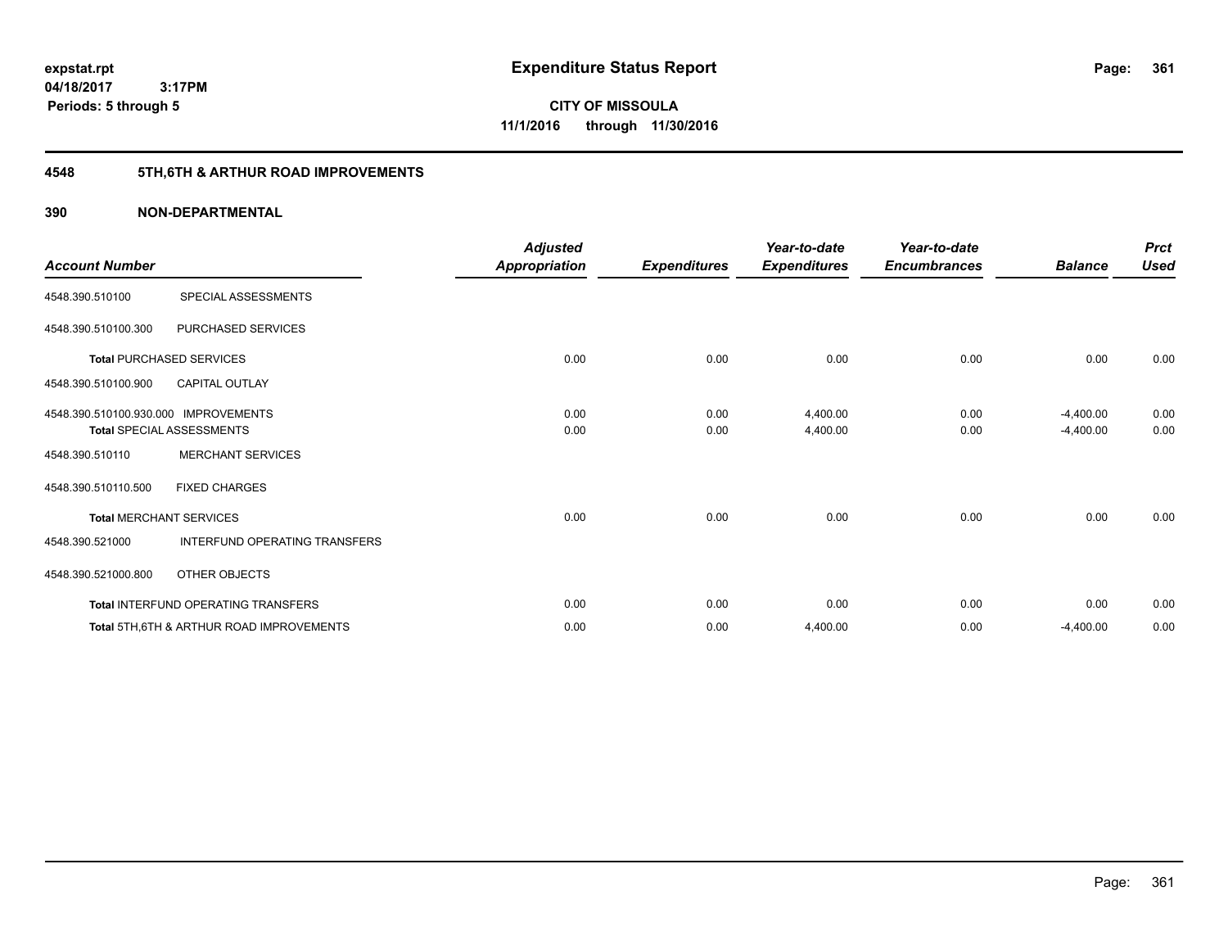**361**

**04/18/2017 3:17PM Periods: 5 through 5**

**CITY OF MISSOULA 11/1/2016 through 11/30/2016**

## **4548 5TH,6TH & ARTHUR ROAD IMPROVEMENTS**

| <b>Account Number</b>                |                                                     | <b>Adjusted</b><br>Appropriation | <b>Expenditures</b> | Year-to-date<br><b>Expenditures</b> | Year-to-date<br><b>Encumbrances</b> | <b>Balance</b> | <b>Prct</b><br><b>Used</b> |
|--------------------------------------|-----------------------------------------------------|----------------------------------|---------------------|-------------------------------------|-------------------------------------|----------------|----------------------------|
| 4548.390.510100                      | SPECIAL ASSESSMENTS                                 |                                  |                     |                                     |                                     |                |                            |
| 4548.390.510100.300                  | PURCHASED SERVICES                                  |                                  |                     |                                     |                                     |                |                            |
|                                      | <b>Total PURCHASED SERVICES</b>                     | 0.00                             | 0.00                | 0.00                                | 0.00                                | 0.00           | 0.00                       |
| 4548.390.510100.900                  | <b>CAPITAL OUTLAY</b>                               |                                  |                     |                                     |                                     |                |                            |
| 4548.390.510100.930.000 IMPROVEMENTS |                                                     | 0.00                             | 0.00                | 4,400.00                            | 0.00                                | $-4,400.00$    | 0.00                       |
|                                      | <b>Total SPECIAL ASSESSMENTS</b>                    | 0.00                             | 0.00                | 4,400.00                            | 0.00                                | $-4,400.00$    | 0.00                       |
| 4548.390.510110                      | <b>MERCHANT SERVICES</b>                            |                                  |                     |                                     |                                     |                |                            |
| 4548.390.510110.500                  | <b>FIXED CHARGES</b>                                |                                  |                     |                                     |                                     |                |                            |
|                                      | <b>Total MERCHANT SERVICES</b>                      | 0.00                             | 0.00                | 0.00                                | 0.00                                | 0.00           | 0.00                       |
| 4548.390.521000                      | INTERFUND OPERATING TRANSFERS                       |                                  |                     |                                     |                                     |                |                            |
| 4548.390.521000.800                  | OTHER OBJECTS                                       |                                  |                     |                                     |                                     |                |                            |
|                                      | Total INTERFUND OPERATING TRANSFERS                 | 0.00                             | 0.00                | 0.00                                | 0.00                                | 0.00           | 0.00                       |
|                                      | <b>Total 5TH.6TH &amp; ARTHUR ROAD IMPROVEMENTS</b> | 0.00                             | 0.00                | 4,400.00                            | 0.00                                | $-4,400.00$    | 0.00                       |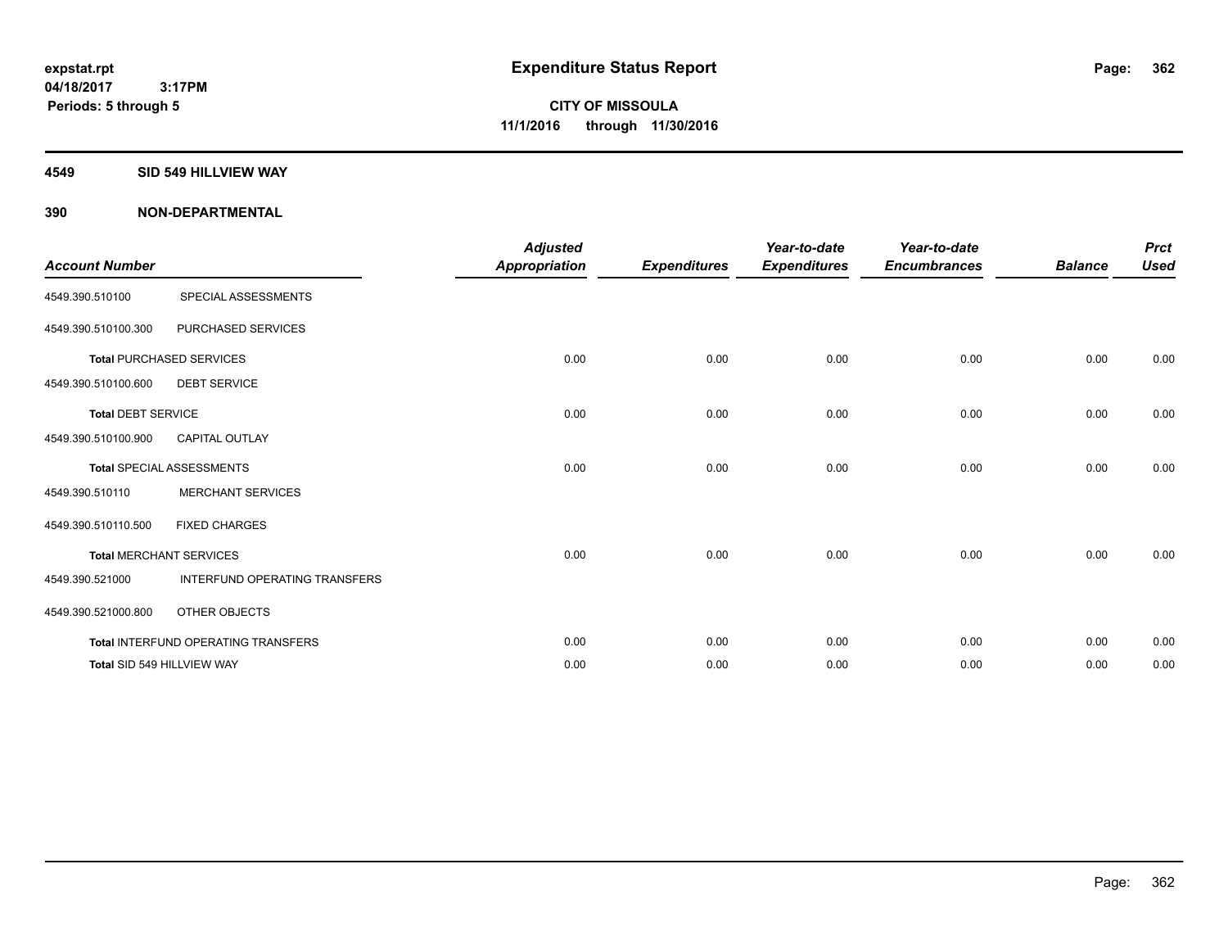#### **4549 SID 549 HILLVIEW WAY**

| <b>Account Number</b>     |                                            | <b>Adjusted</b>      |                     | Year-to-date        | Year-to-date        |                | <b>Prct</b> |
|---------------------------|--------------------------------------------|----------------------|---------------------|---------------------|---------------------|----------------|-------------|
|                           |                                            | <b>Appropriation</b> | <b>Expenditures</b> | <b>Expenditures</b> | <b>Encumbrances</b> | <b>Balance</b> | <b>Used</b> |
| 4549.390.510100           | SPECIAL ASSESSMENTS                        |                      |                     |                     |                     |                |             |
| 4549.390.510100.300       | PURCHASED SERVICES                         |                      |                     |                     |                     |                |             |
|                           | <b>Total PURCHASED SERVICES</b>            | 0.00                 | 0.00                | 0.00                | 0.00                | 0.00           | 0.00        |
| 4549.390.510100.600       | <b>DEBT SERVICE</b>                        |                      |                     |                     |                     |                |             |
| <b>Total DEBT SERVICE</b> |                                            | 0.00                 | 0.00                | 0.00                | 0.00                | 0.00           | 0.00        |
| 4549.390.510100.900       | <b>CAPITAL OUTLAY</b>                      |                      |                     |                     |                     |                |             |
|                           | <b>Total SPECIAL ASSESSMENTS</b>           | 0.00                 | 0.00                | 0.00                | 0.00                | 0.00           | 0.00        |
| 4549.390.510110           | <b>MERCHANT SERVICES</b>                   |                      |                     |                     |                     |                |             |
| 4549.390.510110.500       | <b>FIXED CHARGES</b>                       |                      |                     |                     |                     |                |             |
|                           | <b>Total MERCHANT SERVICES</b>             | 0.00                 | 0.00                | 0.00                | 0.00                | 0.00           | 0.00        |
| 4549.390.521000           | INTERFUND OPERATING TRANSFERS              |                      |                     |                     |                     |                |             |
| 4549.390.521000.800       | OTHER OBJECTS                              |                      |                     |                     |                     |                |             |
|                           | <b>Total INTERFUND OPERATING TRANSFERS</b> | 0.00                 | 0.00                | 0.00                | 0.00                | 0.00           | 0.00        |
|                           | Total SID 549 HILLVIEW WAY                 | 0.00                 | 0.00                | 0.00                | 0.00                | 0.00           | 0.00        |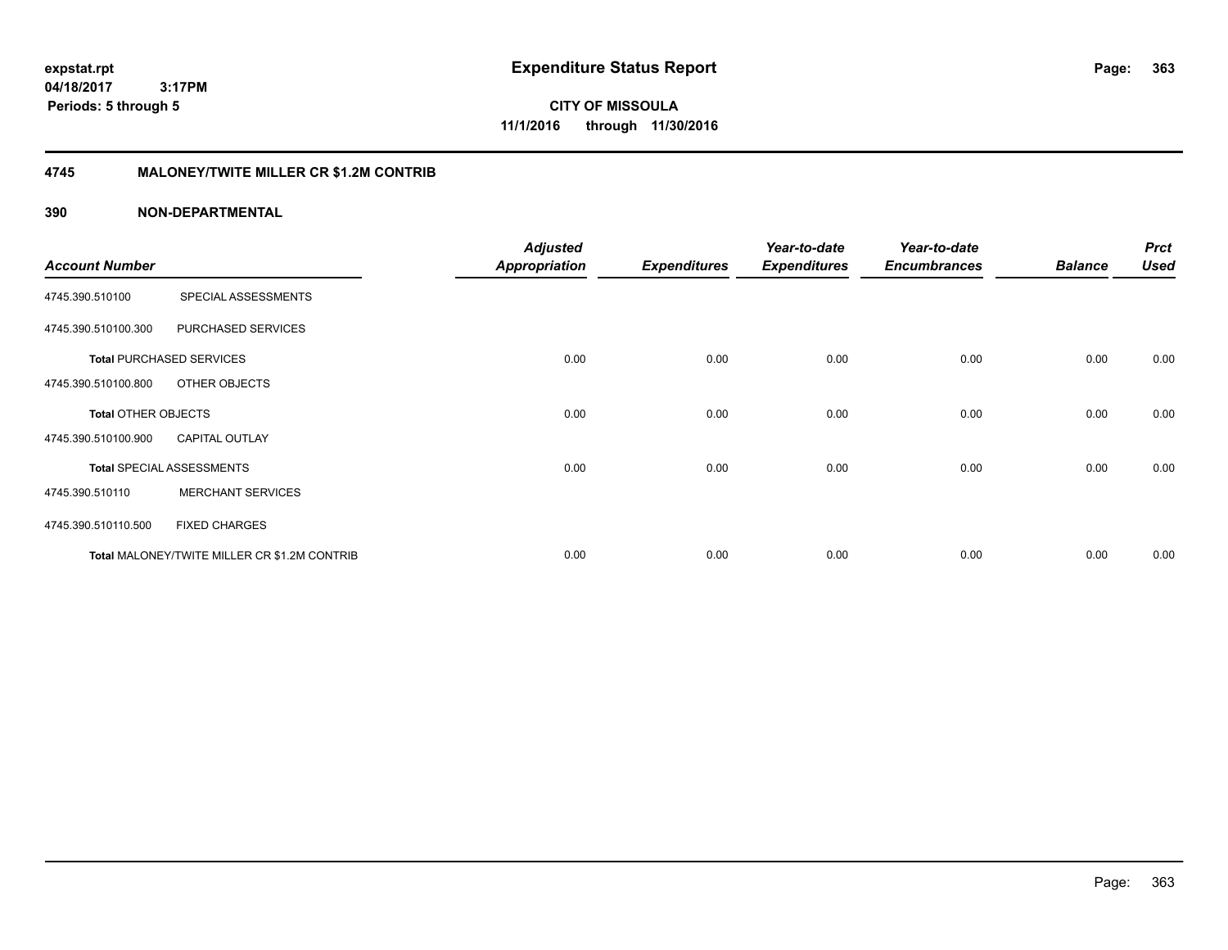**CITY OF MISSOULA 11/1/2016 through 11/30/2016**

### **4745 MALONEY/TWITE MILLER CR \$1.2M CONTRIB**

|                       |                                              | <b>Adjusted</b>      |                     | Year-to-date        | Year-to-date        |                | <b>Prct</b> |
|-----------------------|----------------------------------------------|----------------------|---------------------|---------------------|---------------------|----------------|-------------|
| <b>Account Number</b> |                                              | <b>Appropriation</b> | <b>Expenditures</b> | <b>Expenditures</b> | <b>Encumbrances</b> | <b>Balance</b> | <b>Used</b> |
| 4745.390.510100       | SPECIAL ASSESSMENTS                          |                      |                     |                     |                     |                |             |
| 4745.390.510100.300   | PURCHASED SERVICES                           |                      |                     |                     |                     |                |             |
|                       | <b>Total PURCHASED SERVICES</b>              | 0.00                 | 0.00                | 0.00                | 0.00                | 0.00           | 0.00        |
| 4745.390.510100.800   | OTHER OBJECTS                                |                      |                     |                     |                     |                |             |
| Total OTHER OBJECTS   |                                              | 0.00                 | 0.00                | 0.00                | 0.00                | 0.00           | 0.00        |
| 4745.390.510100.900   | <b>CAPITAL OUTLAY</b>                        |                      |                     |                     |                     |                |             |
|                       | <b>Total SPECIAL ASSESSMENTS</b>             | 0.00                 | 0.00                | 0.00                | 0.00                | 0.00           | 0.00        |
| 4745.390.510110       | <b>MERCHANT SERVICES</b>                     |                      |                     |                     |                     |                |             |
| 4745.390.510110.500   | <b>FIXED CHARGES</b>                         |                      |                     |                     |                     |                |             |
|                       | Total MALONEY/TWITE MILLER CR \$1.2M CONTRIB | 0.00                 | 0.00                | 0.00                | 0.00                | 0.00           | 0.00        |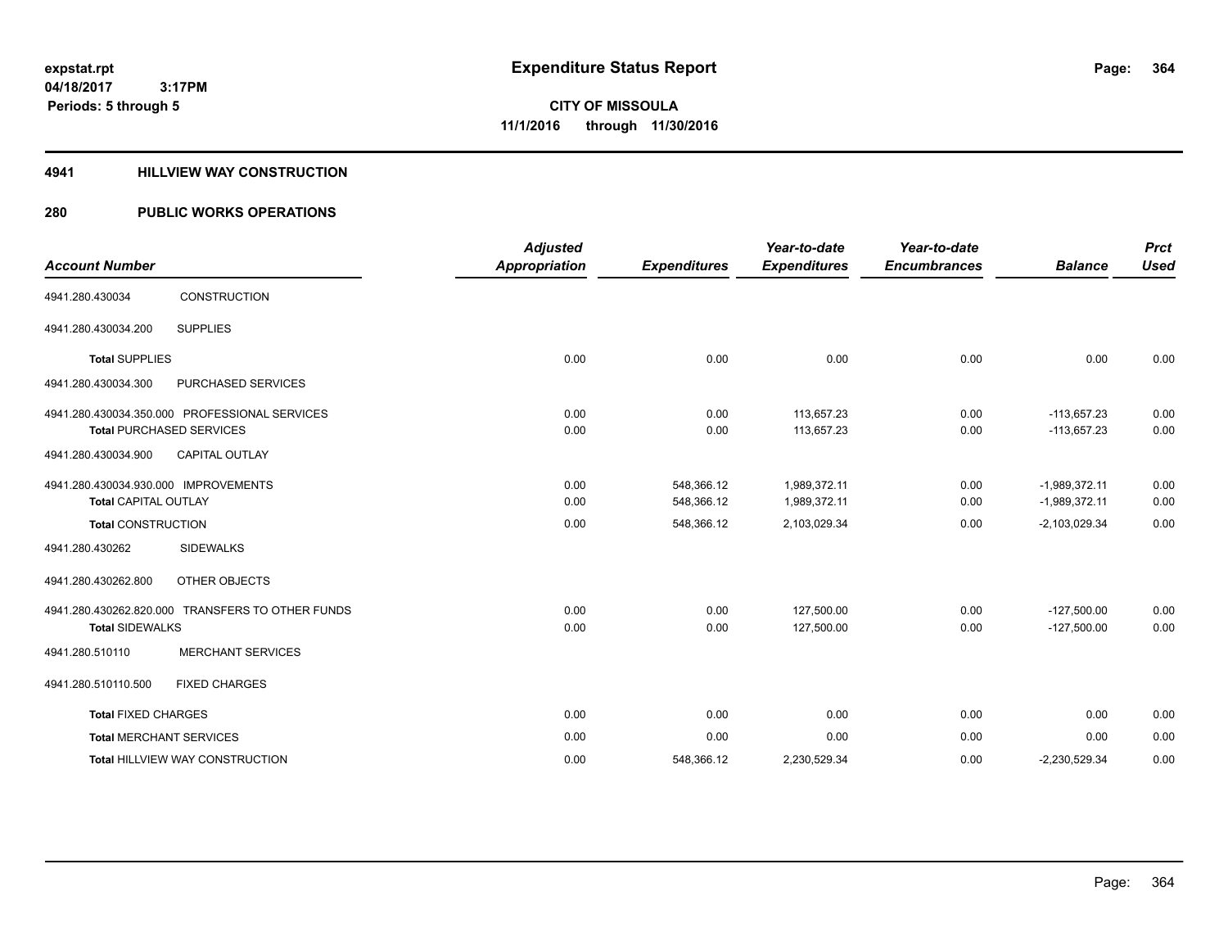### **4941 HILLVIEW WAY CONSTRUCTION**

## **280 PUBLIC WORKS OPERATIONS**

| <b>Account Number</b>                |                                                  | <b>Adjusted</b><br><b>Appropriation</b> | <b>Expenditures</b> | Year-to-date<br><b>Expenditures</b> | Year-to-date<br><b>Encumbrances</b> | <b>Balance</b>  | <b>Prct</b><br><b>Used</b> |
|--------------------------------------|--------------------------------------------------|-----------------------------------------|---------------------|-------------------------------------|-------------------------------------|-----------------|----------------------------|
|                                      |                                                  |                                         |                     |                                     |                                     |                 |                            |
| 4941.280.430034                      | CONSTRUCTION                                     |                                         |                     |                                     |                                     |                 |                            |
| 4941.280.430034.200                  | <b>SUPPLIES</b>                                  |                                         |                     |                                     |                                     |                 |                            |
| <b>Total SUPPLIES</b>                |                                                  | 0.00                                    | 0.00                | 0.00                                | 0.00                                | 0.00            | 0.00                       |
| 4941.280.430034.300                  | PURCHASED SERVICES                               |                                         |                     |                                     |                                     |                 |                            |
|                                      | 4941.280.430034.350.000 PROFESSIONAL SERVICES    | 0.00                                    | 0.00                | 113,657.23                          | 0.00                                | $-113,657.23$   | 0.00                       |
|                                      | <b>Total PURCHASED SERVICES</b>                  | 0.00                                    | 0.00                | 113,657.23                          | 0.00                                | $-113,657.23$   | 0.00                       |
| 4941.280.430034.900                  | CAPITAL OUTLAY                                   |                                         |                     |                                     |                                     |                 |                            |
| 4941.280.430034.930.000 IMPROVEMENTS |                                                  | 0.00                                    | 548.366.12          | 1.989.372.11                        | 0.00                                | $-1.989.372.11$ | 0.00                       |
| <b>Total CAPITAL OUTLAY</b>          |                                                  | 0.00                                    | 548,366.12          | 1,989,372.11                        | 0.00                                | $-1,989,372.11$ | 0.00                       |
| <b>Total CONSTRUCTION</b>            |                                                  | 0.00                                    | 548,366.12          | 2,103,029.34                        | 0.00                                | $-2,103,029.34$ | 0.00                       |
| 4941.280.430262                      | <b>SIDEWALKS</b>                                 |                                         |                     |                                     |                                     |                 |                            |
| 4941.280.430262.800                  | OTHER OBJECTS                                    |                                         |                     |                                     |                                     |                 |                            |
|                                      | 4941.280.430262.820.000 TRANSFERS TO OTHER FUNDS | 0.00                                    | 0.00                | 127,500.00                          | 0.00                                | $-127,500.00$   | 0.00                       |
| <b>Total SIDEWALKS</b>               |                                                  | 0.00                                    | 0.00                | 127,500.00                          | 0.00                                | $-127,500.00$   | 0.00                       |
| 4941.280.510110                      | <b>MERCHANT SERVICES</b>                         |                                         |                     |                                     |                                     |                 |                            |
| 4941.280.510110.500                  | <b>FIXED CHARGES</b>                             |                                         |                     |                                     |                                     |                 |                            |
| <b>Total FIXED CHARGES</b>           |                                                  | 0.00                                    | 0.00                | 0.00                                | 0.00                                | 0.00            | 0.00                       |
| <b>Total MERCHANT SERVICES</b>       |                                                  | 0.00                                    | 0.00                | 0.00                                | 0.00                                | 0.00            | 0.00                       |
|                                      | <b>Total HILLVIEW WAY CONSTRUCTION</b>           | 0.00                                    | 548,366.12          | 2,230,529.34                        | 0.00                                | $-2,230,529.34$ | 0.00                       |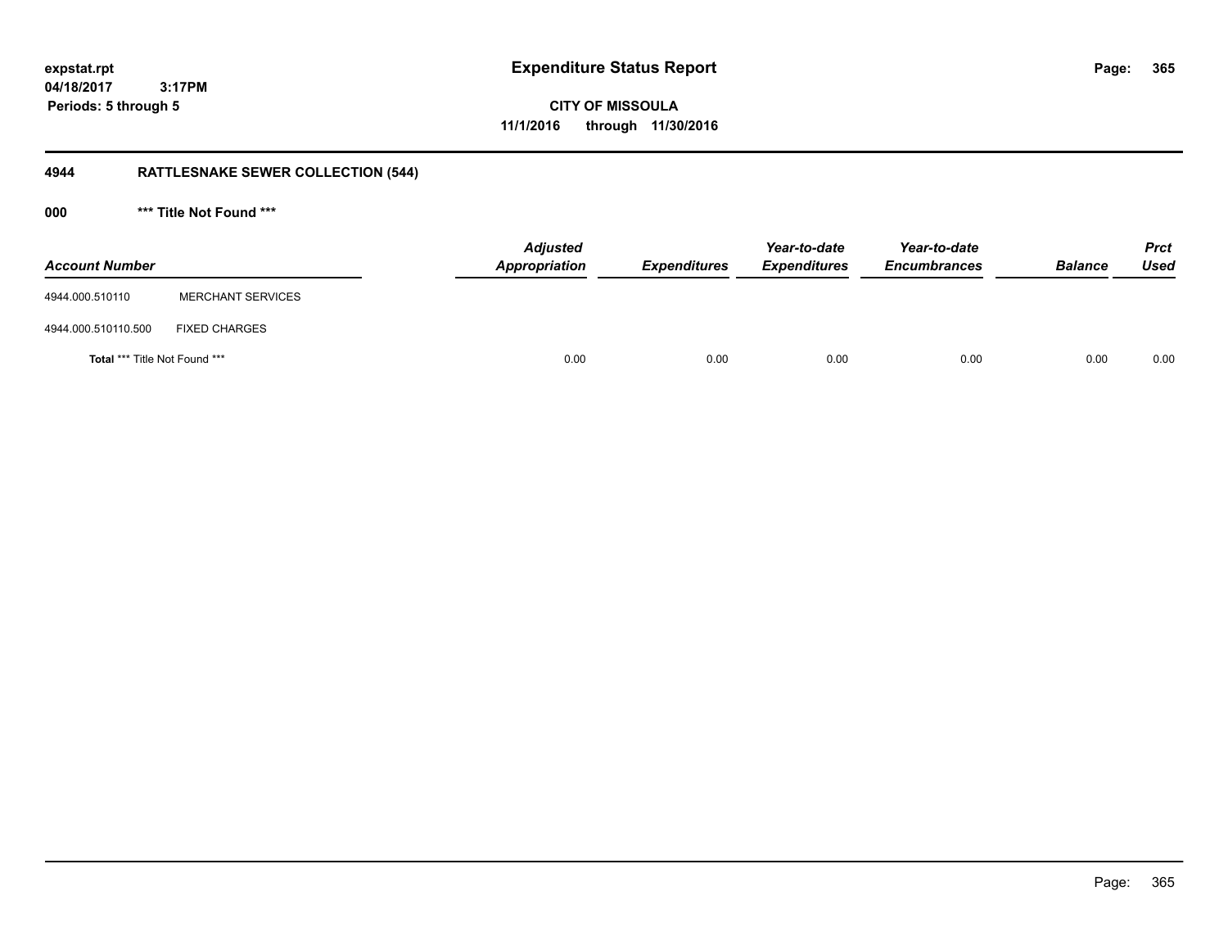**04/18/2017**

 **3:17PM Periods: 5 through 5**

**CITY OF MISSOULA 11/1/2016 through 11/30/2016**

## **4944 RATTLESNAKE SEWER COLLECTION (544)**

**000 \*\*\* Title Not Found \*\*\***

| <b>Account Number</b>                |                          | <b>Adjusted</b><br>Appropriation | <b>Expenditures</b> | Year-to-date<br><b>Expenditures</b> | Year-to-date<br><b>Encumbrances</b> | <b>Balance</b> | <b>Prct</b><br><b>Used</b> |
|--------------------------------------|--------------------------|----------------------------------|---------------------|-------------------------------------|-------------------------------------|----------------|----------------------------|
| 4944.000.510110                      | <b>MERCHANT SERVICES</b> |                                  |                     |                                     |                                     |                |                            |
| 4944.000.510110.500                  | <b>FIXED CHARGES</b>     |                                  |                     |                                     |                                     |                |                            |
| <b>Total *** Title Not Found ***</b> |                          |                                  | 0.00<br>0.00        | 0.00                                | 0.00                                | 0.00           | 0.00                       |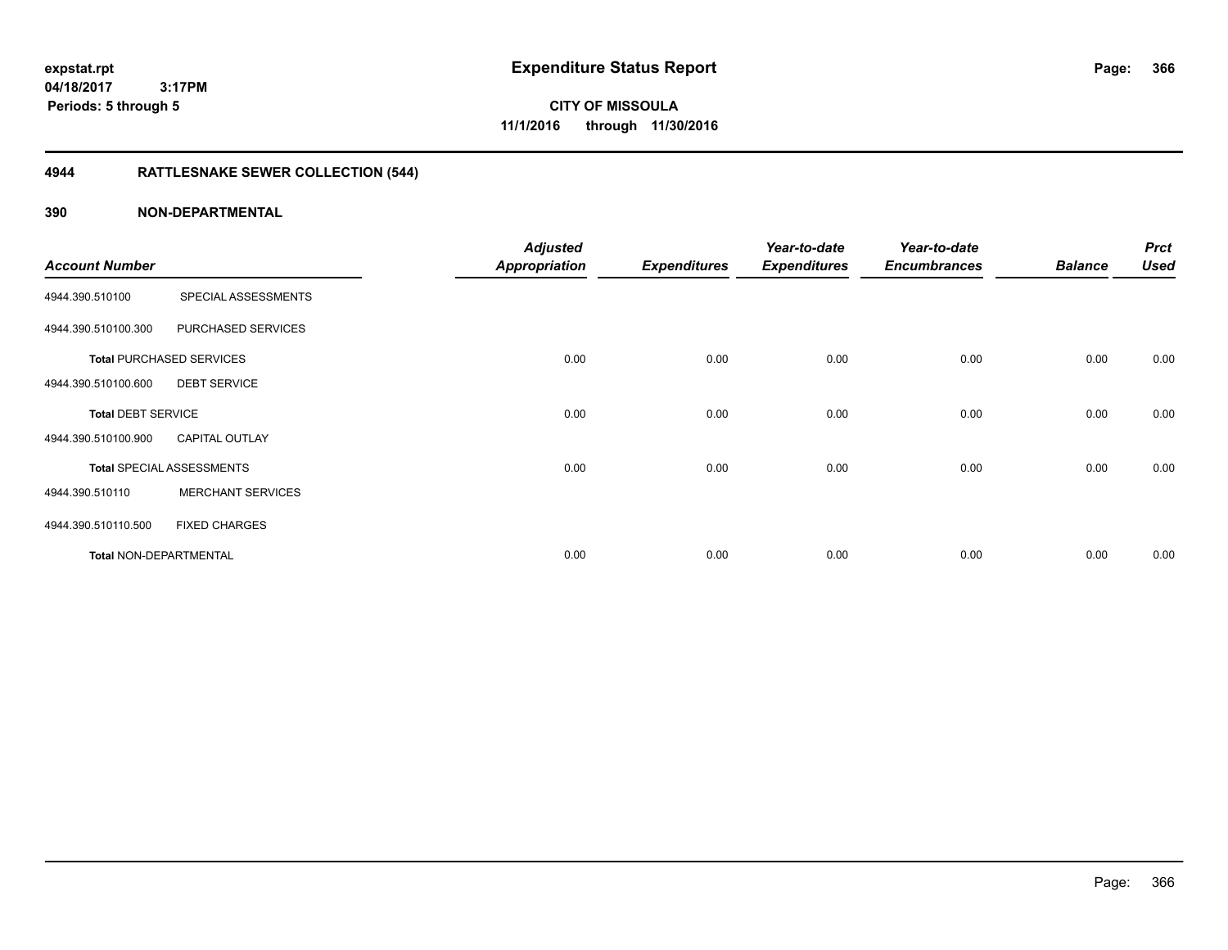**CITY OF MISSOULA 11/1/2016 through 11/30/2016**

## **4944 RATTLESNAKE SEWER COLLECTION (544)**

| <b>Account Number</b>         |                                  | <b>Adjusted</b>      |                     | Year-to-date        | Year-to-date<br><b>Encumbrances</b> | <b>Balance</b> | <b>Prct</b><br><b>Used</b> |
|-------------------------------|----------------------------------|----------------------|---------------------|---------------------|-------------------------------------|----------------|----------------------------|
|                               |                                  | <b>Appropriation</b> | <b>Expenditures</b> | <b>Expenditures</b> |                                     |                |                            |
| 4944.390.510100               | SPECIAL ASSESSMENTS              |                      |                     |                     |                                     |                |                            |
| 4944.390.510100.300           | PURCHASED SERVICES               |                      |                     |                     |                                     |                |                            |
|                               | <b>Total PURCHASED SERVICES</b>  | 0.00                 | 0.00                | 0.00                | 0.00                                | 0.00           | 0.00                       |
| 4944.390.510100.600           | <b>DEBT SERVICE</b>              |                      |                     |                     |                                     |                |                            |
| <b>Total DEBT SERVICE</b>     |                                  | 0.00                 | 0.00                | 0.00                | 0.00                                | 0.00           | 0.00                       |
| 4944.390.510100.900           | <b>CAPITAL OUTLAY</b>            |                      |                     |                     |                                     |                |                            |
|                               | <b>Total SPECIAL ASSESSMENTS</b> | 0.00                 | 0.00                | 0.00                | 0.00                                | 0.00           | 0.00                       |
| 4944.390.510110               | <b>MERCHANT SERVICES</b>         |                      |                     |                     |                                     |                |                            |
| 4944.390.510110.500           | <b>FIXED CHARGES</b>             |                      |                     |                     |                                     |                |                            |
| <b>Total NON-DEPARTMENTAL</b> |                                  | 0.00                 | 0.00                | 0.00                | 0.00                                | 0.00           | 0.00                       |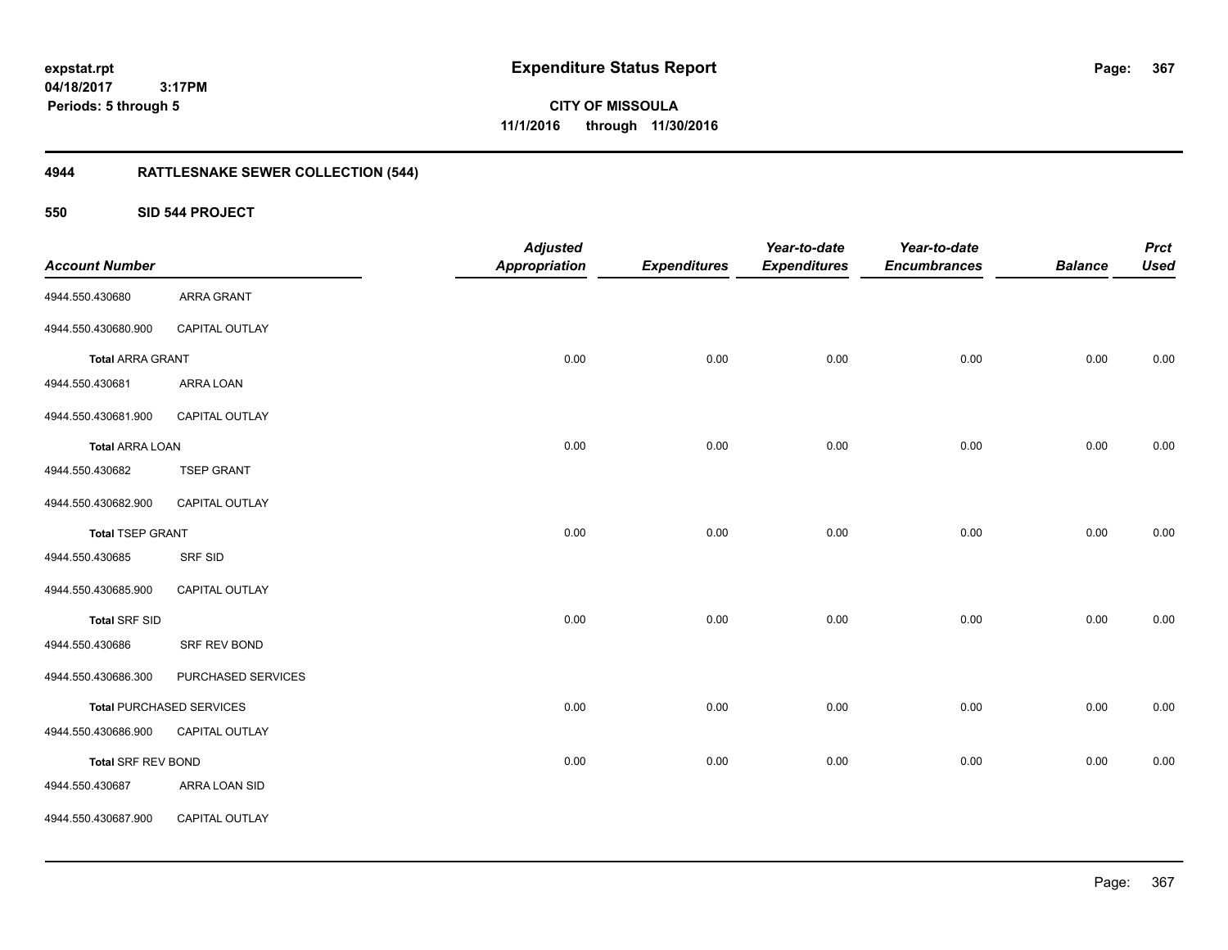**CITY OF MISSOULA 11/1/2016 through 11/30/2016**

## **4944 RATTLESNAKE SEWER COLLECTION (544)**

**550 SID 544 PROJECT**

| <b>Account Number</b>     |                                 | <b>Adjusted</b><br><b>Appropriation</b> | <b>Expenditures</b> | Year-to-date<br><b>Expenditures</b> | Year-to-date<br><b>Encumbrances</b> | <b>Balance</b> | <b>Prct</b><br><b>Used</b> |
|---------------------------|---------------------------------|-----------------------------------------|---------------------|-------------------------------------|-------------------------------------|----------------|----------------------------|
| 4944.550.430680           | <b>ARRA GRANT</b>               |                                         |                     |                                     |                                     |                |                            |
| 4944.550.430680.900       | CAPITAL OUTLAY                  |                                         |                     |                                     |                                     |                |                            |
| <b>Total ARRA GRANT</b>   |                                 | 0.00                                    | 0.00                | 0.00                                | 0.00                                | 0.00           | 0.00                       |
| 4944.550.430681           | ARRA LOAN                       |                                         |                     |                                     |                                     |                |                            |
| 4944.550.430681.900       | CAPITAL OUTLAY                  |                                         |                     |                                     |                                     |                |                            |
| <b>Total ARRA LOAN</b>    |                                 | 0.00                                    | 0.00                | 0.00                                | 0.00                                | 0.00           | 0.00                       |
| 4944.550.430682           | <b>TSEP GRANT</b>               |                                         |                     |                                     |                                     |                |                            |
| 4944.550.430682.900       | CAPITAL OUTLAY                  |                                         |                     |                                     |                                     |                |                            |
| <b>Total TSEP GRANT</b>   |                                 | 0.00                                    | 0.00                | 0.00                                | 0.00                                | 0.00           | 0.00                       |
| 4944.550.430685           | <b>SRF SID</b>                  |                                         |                     |                                     |                                     |                |                            |
| 4944.550.430685.900       | CAPITAL OUTLAY                  |                                         |                     |                                     |                                     |                |                            |
| <b>Total SRF SID</b>      |                                 | 0.00                                    | 0.00                | 0.00                                | 0.00                                | 0.00           | 0.00                       |
| 4944.550.430686           | SRF REV BOND                    |                                         |                     |                                     |                                     |                |                            |
| 4944.550.430686.300       | PURCHASED SERVICES              |                                         |                     |                                     |                                     |                |                            |
|                           | <b>Total PURCHASED SERVICES</b> | 0.00                                    | 0.00                | 0.00                                | 0.00                                | 0.00           | 0.00                       |
| 4944.550.430686.900       | CAPITAL OUTLAY                  |                                         |                     |                                     |                                     |                |                            |
| <b>Total SRF REV BOND</b> |                                 | 0.00                                    | 0.00                | 0.00                                | 0.00                                | 0.00           | 0.00                       |
| 4944.550.430687           | ARRA LOAN SID                   |                                         |                     |                                     |                                     |                |                            |
| 4944.550.430687.900       | CAPITAL OUTLAY                  |                                         |                     |                                     |                                     |                |                            |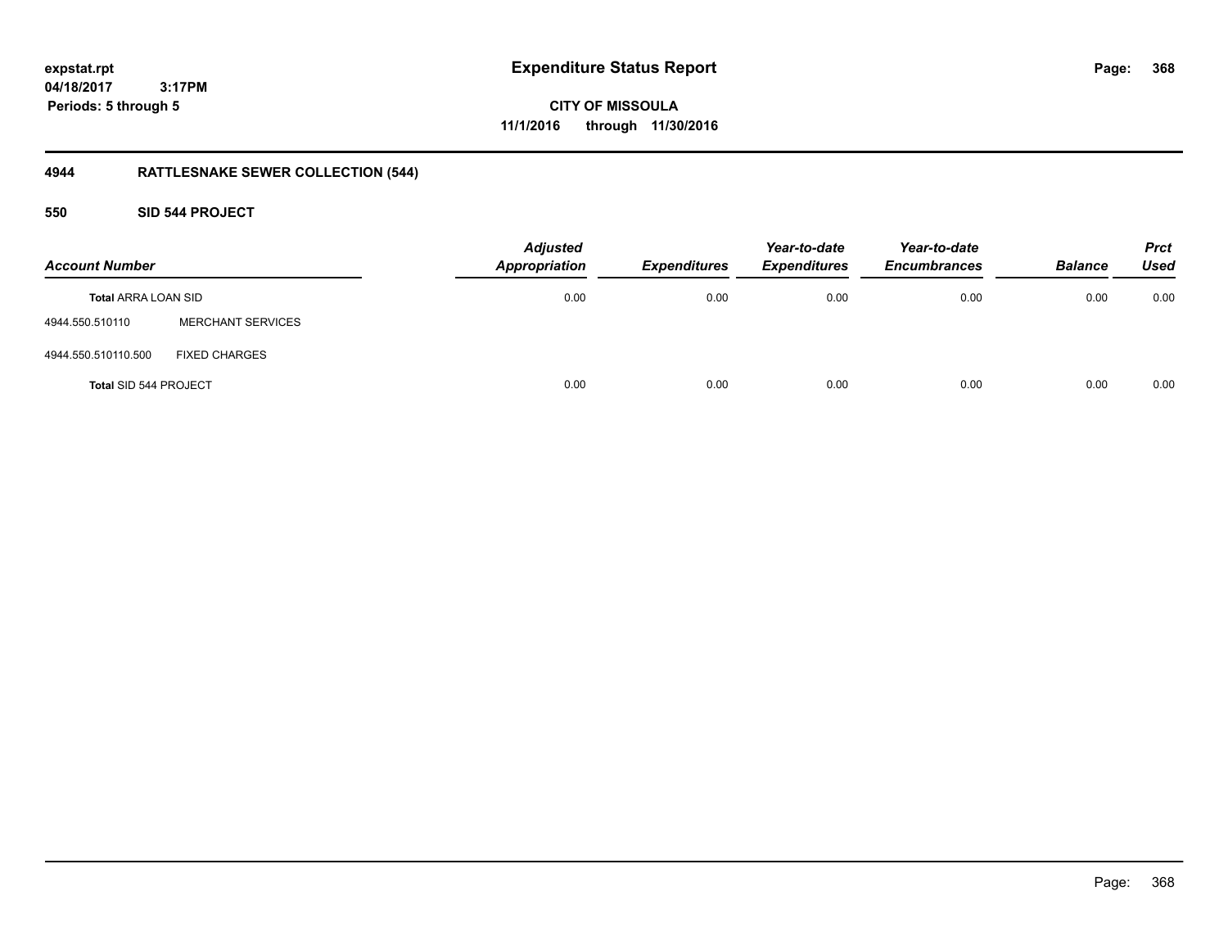**CITY OF MISSOULA 11/1/2016 through 11/30/2016**

## **4944 RATTLESNAKE SEWER COLLECTION (544)**

### **550 SID 544 PROJECT**

| <b>Account Number</b>        |                          | <b>Adjusted</b><br><b>Appropriation</b> | <b>Expenditures</b> | Year-to-date<br><b>Expenditures</b> | Year-to-date<br><b>Encumbrances</b> | <b>Balance</b> | <b>Prct</b><br><b>Used</b> |
|------------------------------|--------------------------|-----------------------------------------|---------------------|-------------------------------------|-------------------------------------|----------------|----------------------------|
| <b>Total ARRA LOAN SID</b>   |                          | 0.00                                    | 0.00                | 0.00                                | 0.00                                | 0.00           | 0.00                       |
| 4944.550.510110              | <b>MERCHANT SERVICES</b> |                                         |                     |                                     |                                     |                |                            |
| 4944.550.510110.500          | <b>FIXED CHARGES</b>     |                                         |                     |                                     |                                     |                |                            |
| <b>Total SID 544 PROJECT</b> |                          | 0.00                                    | 0.00                | 0.00                                | 0.00                                | 0.00           | 0.00                       |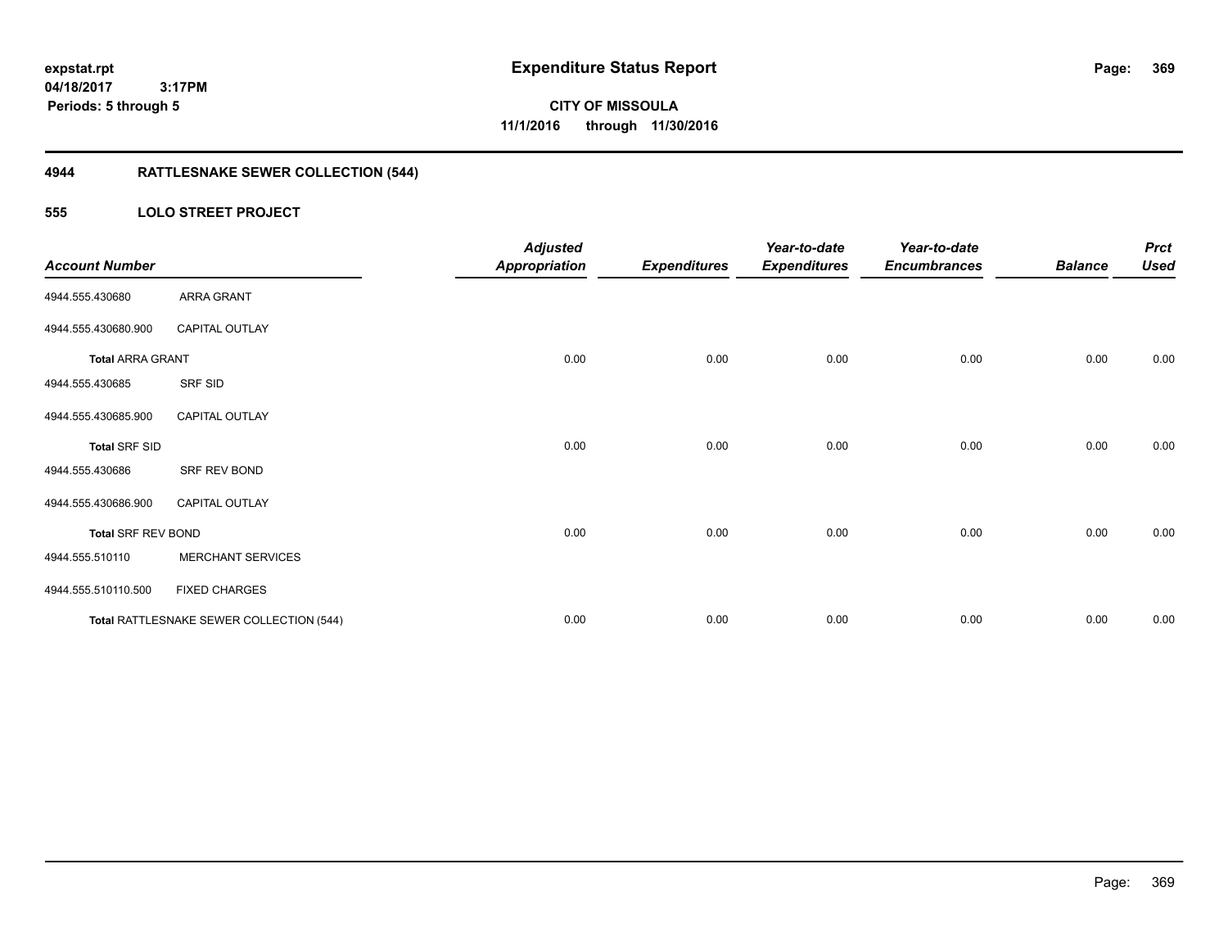## **4944 RATTLESNAKE SEWER COLLECTION (544)**

### **555 LOLO STREET PROJECT**

| <b>Account Number</b>     |                                          | <b>Adjusted</b><br><b>Appropriation</b> | <b>Expenditures</b> | Year-to-date<br><b>Expenditures</b> | Year-to-date<br><b>Encumbrances</b> | <b>Balance</b> | <b>Prct</b><br><b>Used</b> |
|---------------------------|------------------------------------------|-----------------------------------------|---------------------|-------------------------------------|-------------------------------------|----------------|----------------------------|
| 4944.555.430680           | ARRA GRANT                               |                                         |                     |                                     |                                     |                |                            |
| 4944.555.430680.900       | CAPITAL OUTLAY                           |                                         |                     |                                     |                                     |                |                            |
| <b>Total ARRA GRANT</b>   |                                          | 0.00                                    | 0.00                | 0.00                                | 0.00                                | 0.00           | 0.00                       |
| 4944.555.430685           | SRF SID                                  |                                         |                     |                                     |                                     |                |                            |
| 4944.555.430685.900       | <b>CAPITAL OUTLAY</b>                    |                                         |                     |                                     |                                     |                |                            |
| <b>Total SRF SID</b>      |                                          | 0.00                                    | 0.00                | 0.00                                | 0.00                                | 0.00           | 0.00                       |
| 4944.555.430686           | SRF REV BOND                             |                                         |                     |                                     |                                     |                |                            |
| 4944.555.430686.900       | <b>CAPITAL OUTLAY</b>                    |                                         |                     |                                     |                                     |                |                            |
| <b>Total SRF REV BOND</b> |                                          | 0.00                                    | 0.00                | 0.00                                | 0.00                                | 0.00           | 0.00                       |
| 4944.555.510110           | <b>MERCHANT SERVICES</b>                 |                                         |                     |                                     |                                     |                |                            |
| 4944.555.510110.500       | <b>FIXED CHARGES</b>                     |                                         |                     |                                     |                                     |                |                            |
|                           | Total RATTLESNAKE SEWER COLLECTION (544) | 0.00                                    | 0.00                | 0.00                                | 0.00                                | 0.00           | 0.00                       |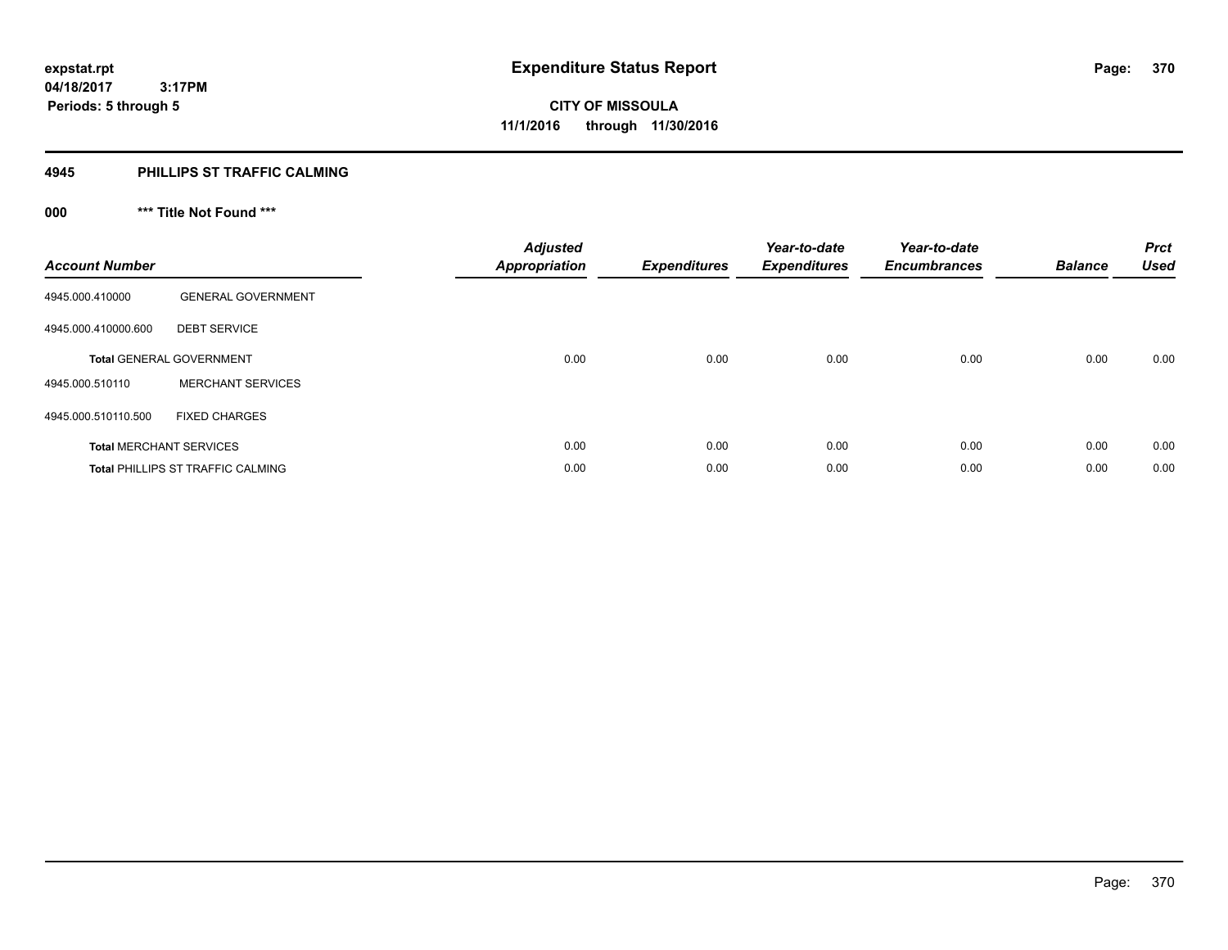### **4945 PHILLIPS ST TRAFFIC CALMING**

## **000 \*\*\* Title Not Found \*\*\***

| <b>Account Number</b> |                                          | <b>Adjusted</b><br><b>Appropriation</b> | <b>Expenditures</b> | Year-to-date<br><b>Expenditures</b> | Year-to-date<br><b>Encumbrances</b> | <b>Balance</b> | <b>Prct</b><br><b>Used</b> |
|-----------------------|------------------------------------------|-----------------------------------------|---------------------|-------------------------------------|-------------------------------------|----------------|----------------------------|
| 4945.000.410000       | <b>GENERAL GOVERNMENT</b>                |                                         |                     |                                     |                                     |                |                            |
| 4945.000.410000.600   | <b>DEBT SERVICE</b>                      |                                         |                     |                                     |                                     |                |                            |
|                       | <b>Total GENERAL GOVERNMENT</b>          | 0.00                                    | 0.00                | 0.00                                | 0.00                                | 0.00           | 0.00                       |
| 4945.000.510110       | <b>MERCHANT SERVICES</b>                 |                                         |                     |                                     |                                     |                |                            |
| 4945.000.510110.500   | <b>FIXED CHARGES</b>                     |                                         |                     |                                     |                                     |                |                            |
|                       | <b>Total MERCHANT SERVICES</b>           | 0.00                                    | 0.00                | 0.00                                | 0.00                                | 0.00           | 0.00                       |
|                       | <b>Total PHILLIPS ST TRAFFIC CALMING</b> | 0.00                                    | 0.00                | 0.00                                | 0.00                                | 0.00           | 0.00                       |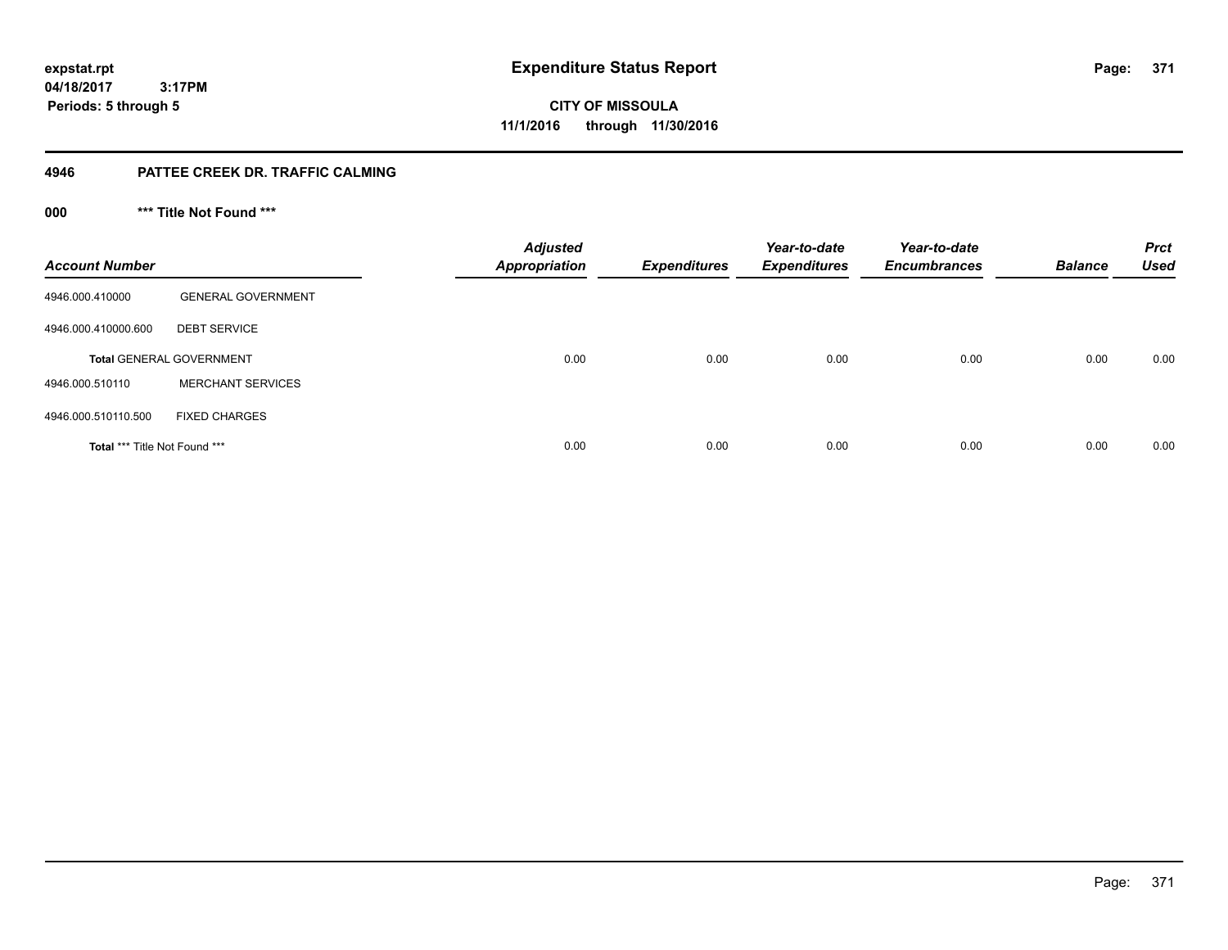**371**

**04/18/2017 3:17PM Periods: 5 through 5**

**CITY OF MISSOULA 11/1/2016 through 11/30/2016**

### **4946 PATTEE CREEK DR. TRAFFIC CALMING**

**000 \*\*\* Title Not Found \*\*\***

| <b>Account Number</b>         |                                 | <b>Adjusted</b><br><b>Appropriation</b> | <b>Expenditures</b> | Year-to-date<br><b>Expenditures</b> | Year-to-date<br><b>Encumbrances</b> | <b>Balance</b> | <b>Prct</b><br><b>Used</b> |
|-------------------------------|---------------------------------|-----------------------------------------|---------------------|-------------------------------------|-------------------------------------|----------------|----------------------------|
| 4946.000.410000               | <b>GENERAL GOVERNMENT</b>       |                                         |                     |                                     |                                     |                |                            |
| 4946.000.410000.600           | <b>DEBT SERVICE</b>             |                                         |                     |                                     |                                     |                |                            |
|                               | <b>Total GENERAL GOVERNMENT</b> | 0.00                                    | 0.00                | 0.00                                | 0.00                                | 0.00           | 0.00                       |
| 4946.000.510110               | <b>MERCHANT SERVICES</b>        |                                         |                     |                                     |                                     |                |                            |
| 4946.000.510110.500           | <b>FIXED CHARGES</b>            |                                         |                     |                                     |                                     |                |                            |
| Total *** Title Not Found *** |                                 | 0.00                                    | 0.00                | 0.00                                | 0.00                                | 0.00           | 0.00                       |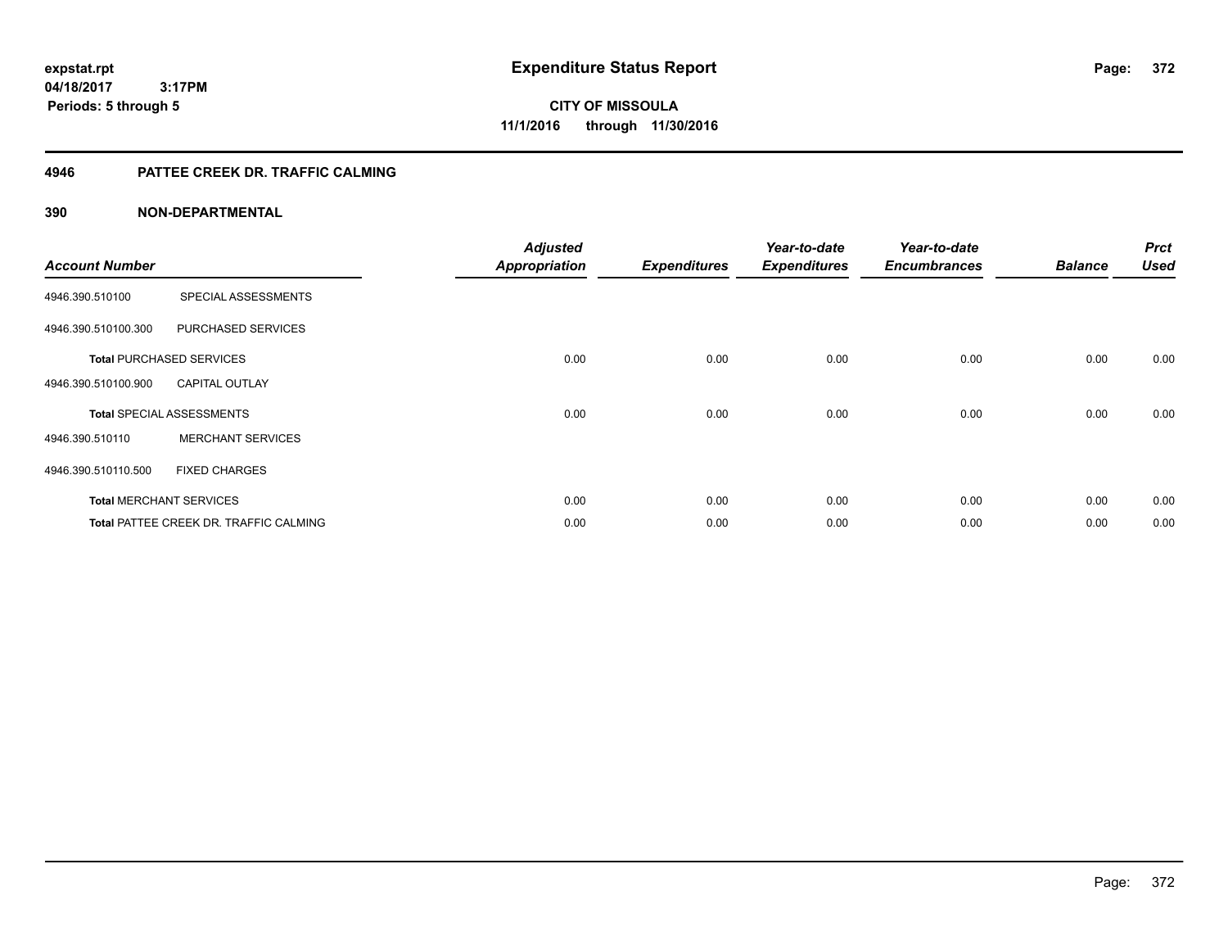**CITY OF MISSOULA 11/1/2016 through 11/30/2016**

### **4946 PATTEE CREEK DR. TRAFFIC CALMING**

| <b>Account Number</b> |                                        | <b>Adjusted</b><br><b>Appropriation</b> | <b>Expenditures</b> | Year-to-date<br><b>Expenditures</b> | Year-to-date<br><b>Encumbrances</b> | <b>Balance</b> | <b>Prct</b><br><b>Used</b> |
|-----------------------|----------------------------------------|-----------------------------------------|---------------------|-------------------------------------|-------------------------------------|----------------|----------------------------|
| 4946.390.510100       | SPECIAL ASSESSMENTS                    |                                         |                     |                                     |                                     |                |                            |
| 4946.390.510100.300   | PURCHASED SERVICES                     |                                         |                     |                                     |                                     |                |                            |
|                       | <b>Total PURCHASED SERVICES</b>        | 0.00                                    | 0.00                | 0.00                                | 0.00                                | 0.00           | 0.00                       |
| 4946.390.510100.900   | <b>CAPITAL OUTLAY</b>                  |                                         |                     |                                     |                                     |                |                            |
|                       | <b>Total SPECIAL ASSESSMENTS</b>       | 0.00                                    | 0.00                | 0.00                                | 0.00                                | 0.00           | 0.00                       |
| 4946.390.510110       | <b>MERCHANT SERVICES</b>               |                                         |                     |                                     |                                     |                |                            |
| 4946.390.510110.500   | <b>FIXED CHARGES</b>                   |                                         |                     |                                     |                                     |                |                            |
|                       | <b>Total MERCHANT SERVICES</b>         | 0.00                                    | 0.00                | 0.00                                | 0.00                                | 0.00           | 0.00                       |
|                       | Total PATTEE CREEK DR. TRAFFIC CALMING | 0.00                                    | 0.00                | 0.00                                | 0.00                                | 0.00           | 0.00                       |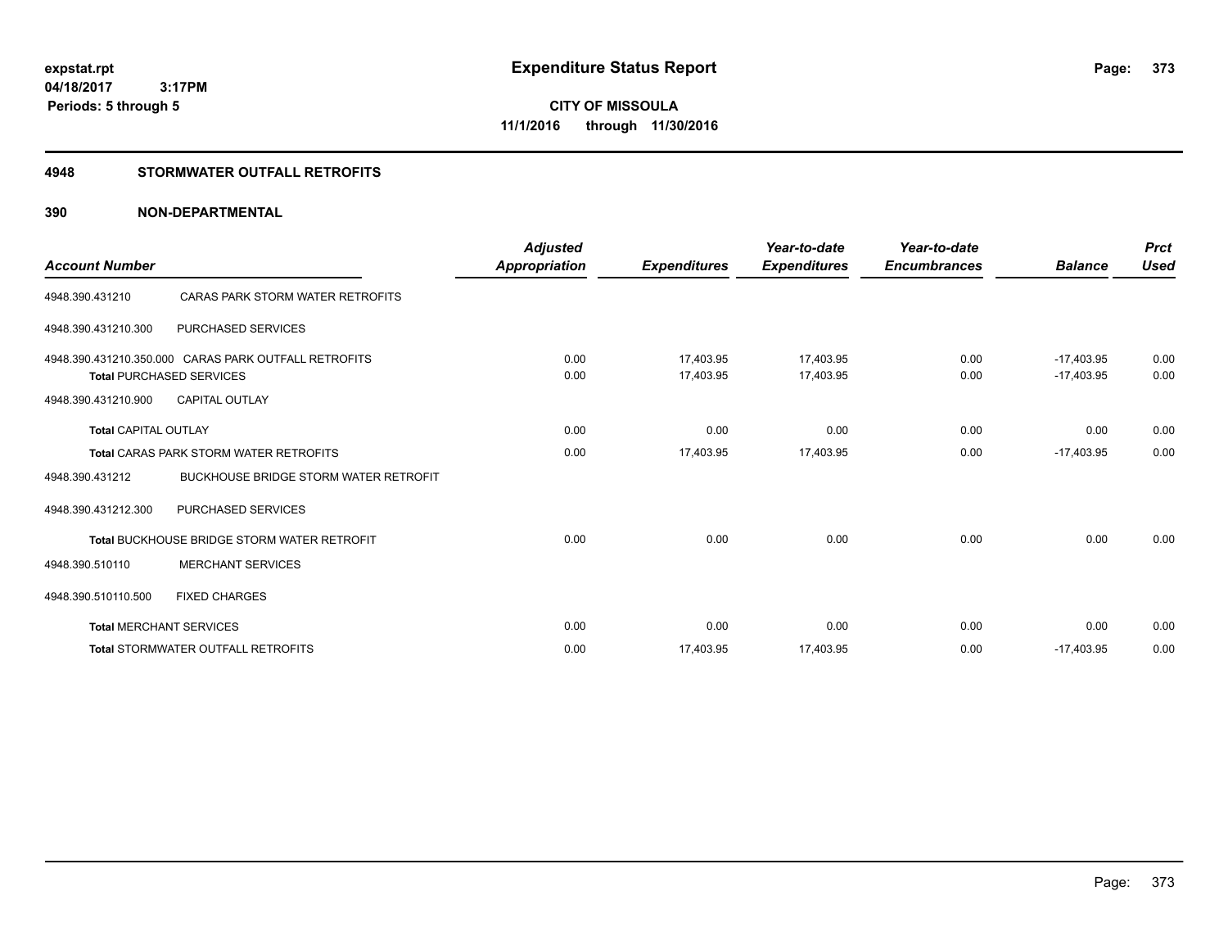**CITY OF MISSOULA 11/1/2016 through 11/30/2016**

### **4948 STORMWATER OUTFALL RETROFITS**

| <b>Account Number</b>       |                                                                                         | <b>Adjusted</b><br><b>Appropriation</b> | <b>Expenditures</b>    | Year-to-date<br><b>Expenditures</b> | Year-to-date<br><b>Encumbrances</b> | <b>Balance</b>               | <b>Prct</b><br><b>Used</b> |
|-----------------------------|-----------------------------------------------------------------------------------------|-----------------------------------------|------------------------|-------------------------------------|-------------------------------------|------------------------------|----------------------------|
| 4948.390.431210             | CARAS PARK STORM WATER RETROFITS                                                        |                                         |                        |                                     |                                     |                              |                            |
| 4948.390.431210.300         | <b>PURCHASED SERVICES</b>                                                               |                                         |                        |                                     |                                     |                              |                            |
|                             | 4948.390.431210.350.000 CARAS PARK OUTFALL RETROFITS<br><b>Total PURCHASED SERVICES</b> | 0.00<br>0.00                            | 17.403.95<br>17,403.95 | 17,403.95<br>17,403.95              | 0.00<br>0.00                        | $-17.403.95$<br>$-17,403.95$ | 0.00<br>0.00               |
| 4948.390.431210.900         | <b>CAPITAL OUTLAY</b>                                                                   |                                         |                        |                                     |                                     |                              |                            |
| <b>Total CAPITAL OUTLAY</b> |                                                                                         | 0.00                                    | 0.00                   | 0.00                                | 0.00                                | 0.00                         | 0.00                       |
|                             | <b>Total CARAS PARK STORM WATER RETROFITS</b>                                           | 0.00                                    | 17,403.95              | 17,403.95                           | 0.00                                | $-17,403.95$                 | 0.00                       |
| 4948.390.431212             | <b>BUCKHOUSE BRIDGE STORM WATER RETROFIT</b>                                            |                                         |                        |                                     |                                     |                              |                            |
| 4948.390.431212.300         | PURCHASED SERVICES                                                                      |                                         |                        |                                     |                                     |                              |                            |
|                             | <b>Total BUCKHOUSE BRIDGE STORM WATER RETROFIT</b>                                      | 0.00                                    | 0.00                   | 0.00                                | 0.00                                | 0.00                         | 0.00                       |
| 4948.390.510110             | <b>MERCHANT SERVICES</b>                                                                |                                         |                        |                                     |                                     |                              |                            |
| 4948.390.510110.500         | <b>FIXED CHARGES</b>                                                                    |                                         |                        |                                     |                                     |                              |                            |
|                             | <b>Total MERCHANT SERVICES</b>                                                          | 0.00                                    | 0.00                   | 0.00                                | 0.00                                | 0.00                         | 0.00                       |
|                             | <b>Total STORMWATER OUTFALL RETROFITS</b>                                               | 0.00                                    | 17,403.95              | 17,403.95                           | 0.00                                | $-17,403.95$                 | 0.00                       |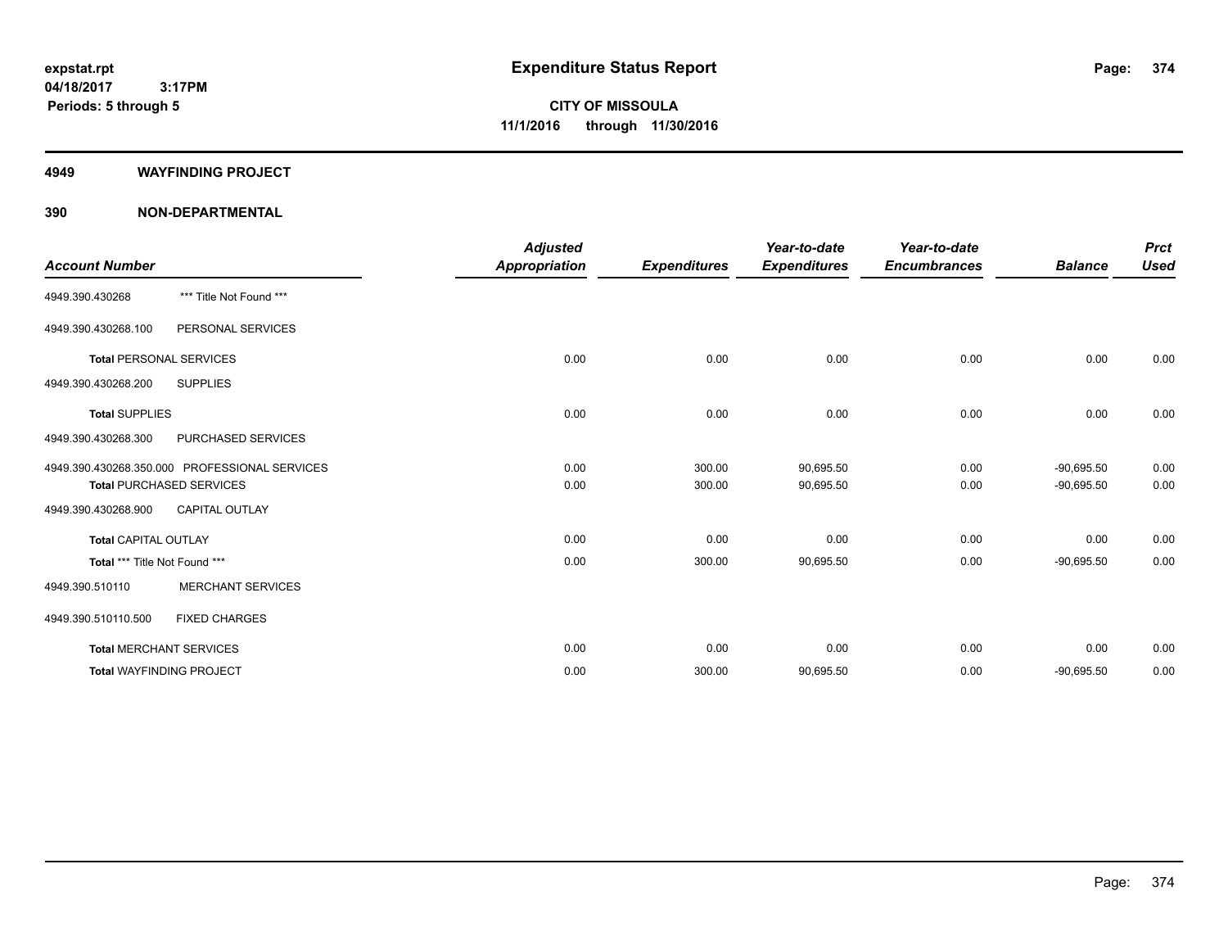#### **4949 WAYFINDING PROJECT**

|                                |                                               | <b>Adjusted</b> |                     | Year-to-date        | Year-to-date        |                | <b>Prct</b> |
|--------------------------------|-----------------------------------------------|-----------------|---------------------|---------------------|---------------------|----------------|-------------|
| <b>Account Number</b>          |                                               | Appropriation   | <b>Expenditures</b> | <b>Expenditures</b> | <b>Encumbrances</b> | <b>Balance</b> | <b>Used</b> |
| 4949.390.430268                | *** Title Not Found ***                       |                 |                     |                     |                     |                |             |
| 4949.390.430268.100            | PERSONAL SERVICES                             |                 |                     |                     |                     |                |             |
| <b>Total PERSONAL SERVICES</b> |                                               | 0.00            | 0.00                | 0.00                | 0.00                | 0.00           | 0.00        |
| 4949.390.430268.200            | <b>SUPPLIES</b>                               |                 |                     |                     |                     |                |             |
| <b>Total SUPPLIES</b>          |                                               | 0.00            | 0.00                | 0.00                | 0.00                | 0.00           | 0.00        |
| 4949.390.430268.300            | PURCHASED SERVICES                            |                 |                     |                     |                     |                |             |
|                                | 4949.390.430268.350.000 PROFESSIONAL SERVICES | 0.00            | 300.00              | 90,695.50           | 0.00                | $-90,695.50$   | 0.00        |
|                                | <b>Total PURCHASED SERVICES</b>               | 0.00            | 300.00              | 90,695.50           | 0.00                | $-90,695.50$   | 0.00        |
| 4949.390.430268.900            | <b>CAPITAL OUTLAY</b>                         |                 |                     |                     |                     |                |             |
| <b>Total CAPITAL OUTLAY</b>    |                                               | 0.00            | 0.00                | 0.00                | 0.00                | 0.00           | 0.00        |
| Total *** Title Not Found ***  |                                               | 0.00            | 300.00              | 90,695.50           | 0.00                | $-90,695.50$   | 0.00        |
| 4949.390.510110                | <b>MERCHANT SERVICES</b>                      |                 |                     |                     |                     |                |             |
| 4949.390.510110.500            | <b>FIXED CHARGES</b>                          |                 |                     |                     |                     |                |             |
|                                | <b>Total MERCHANT SERVICES</b>                | 0.00            | 0.00                | 0.00                | 0.00                | 0.00           | 0.00        |
|                                | <b>Total WAYFINDING PROJECT</b>               | 0.00            | 300.00              | 90,695.50           | 0.00                | $-90,695.50$   | 0.00        |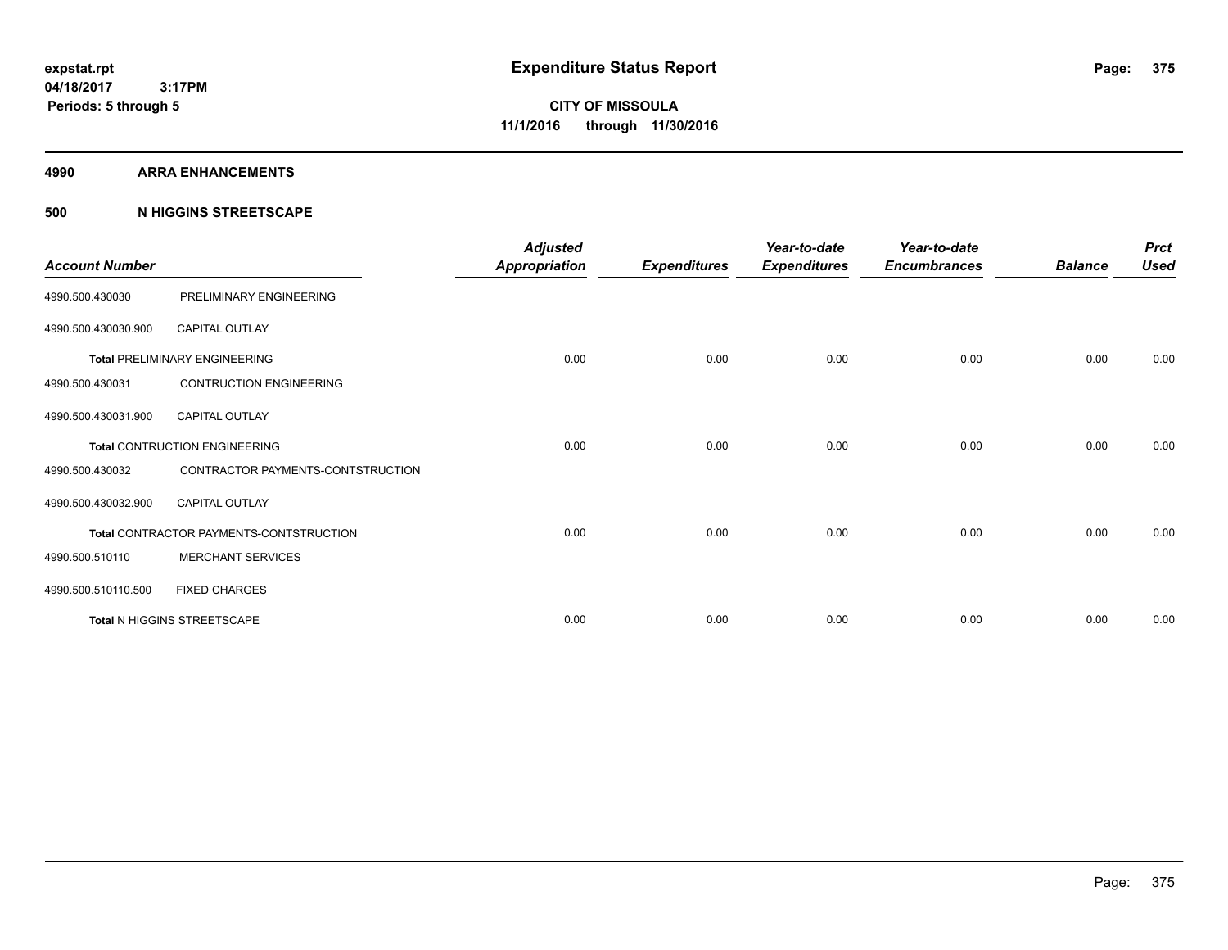#### **4990 ARRA ENHANCEMENTS**

### **500 N HIGGINS STREETSCAPE**

| <b>Account Number</b> |                                         | <b>Adjusted</b><br><b>Appropriation</b> | <b>Expenditures</b> | Year-to-date<br><b>Expenditures</b> | Year-to-date<br><b>Encumbrances</b> | <b>Balance</b> | <b>Prct</b><br><b>Used</b> |
|-----------------------|-----------------------------------------|-----------------------------------------|---------------------|-------------------------------------|-------------------------------------|----------------|----------------------------|
| 4990.500.430030       | PRELIMINARY ENGINEERING                 |                                         |                     |                                     |                                     |                |                            |
| 4990.500.430030.900   | <b>CAPITAL OUTLAY</b>                   |                                         |                     |                                     |                                     |                |                            |
|                       | <b>Total PRELIMINARY ENGINEERING</b>    | 0.00                                    | 0.00                | 0.00                                | 0.00                                | 0.00           | 0.00                       |
| 4990.500.430031       | <b>CONTRUCTION ENGINEERING</b>          |                                         |                     |                                     |                                     |                |                            |
| 4990.500.430031.900   | <b>CAPITAL OUTLAY</b>                   |                                         |                     |                                     |                                     |                |                            |
|                       | <b>Total CONTRUCTION ENGINEERING</b>    | 0.00                                    | 0.00                | 0.00                                | 0.00                                | 0.00           | 0.00                       |
| 4990.500.430032       | CONTRACTOR PAYMENTS-CONTSTRUCTION       |                                         |                     |                                     |                                     |                |                            |
| 4990.500.430032.900   | <b>CAPITAL OUTLAY</b>                   |                                         |                     |                                     |                                     |                |                            |
|                       | Total CONTRACTOR PAYMENTS-CONTSTRUCTION | 0.00                                    | 0.00                | 0.00                                | 0.00                                | 0.00           | 0.00                       |
| 4990.500.510110       | <b>MERCHANT SERVICES</b>                |                                         |                     |                                     |                                     |                |                            |
| 4990.500.510110.500   | <b>FIXED CHARGES</b>                    |                                         |                     |                                     |                                     |                |                            |
|                       | <b>Total N HIGGINS STREETSCAPE</b>      | 0.00                                    | 0.00                | 0.00                                | 0.00                                | 0.00           | 0.00                       |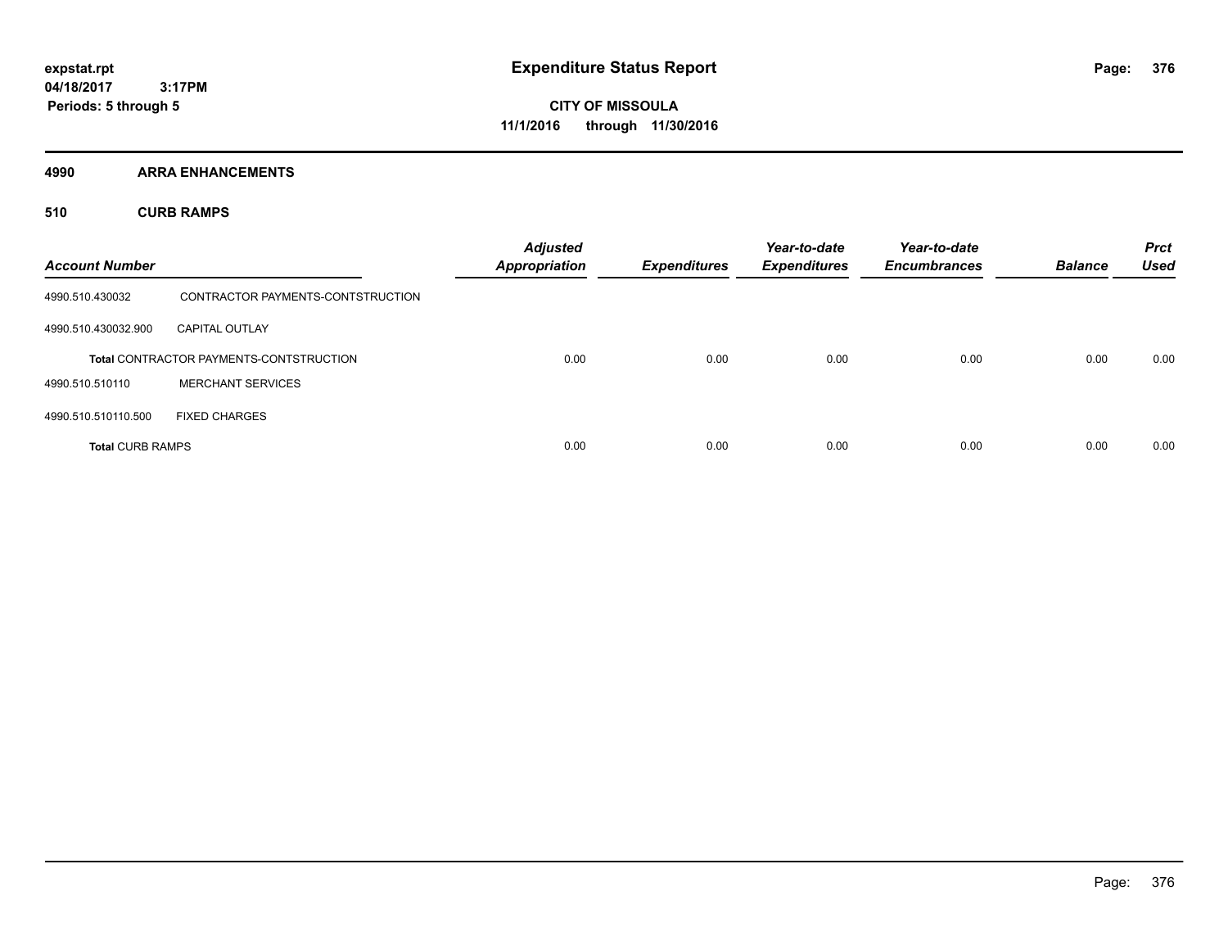**Periods: 5 through 5**

**CITY OF MISSOULA 11/1/2016 through 11/30/2016**

**4990 ARRA ENHANCEMENTS**

**510 CURB RAMPS**

| <b>Account Number</b>   |                                                | <b>Adjusted</b><br><b>Appropriation</b> | <b>Expenditures</b> | Year-to-date<br><b>Expenditures</b> | Year-to-date<br><b>Encumbrances</b> | <b>Balance</b> | <b>Prct</b><br><b>Used</b> |
|-------------------------|------------------------------------------------|-----------------------------------------|---------------------|-------------------------------------|-------------------------------------|----------------|----------------------------|
| 4990.510.430032         | CONTRACTOR PAYMENTS-CONTSTRUCTION              |                                         |                     |                                     |                                     |                |                            |
| 4990.510.430032.900     | <b>CAPITAL OUTLAY</b>                          |                                         |                     |                                     |                                     |                |                            |
|                         | <b>Total CONTRACTOR PAYMENTS-CONTSTRUCTION</b> | 0.00                                    | 0.00                | 0.00                                | 0.00                                | 0.00           | 0.00                       |
| 4990.510.510110         | <b>MERCHANT SERVICES</b>                       |                                         |                     |                                     |                                     |                |                            |
| 4990.510.510110.500     | <b>FIXED CHARGES</b>                           |                                         |                     |                                     |                                     |                |                            |
| <b>Total CURB RAMPS</b> |                                                | 0.00                                    | 0.00                | 0.00                                | 0.00                                | 0.00           | 0.00                       |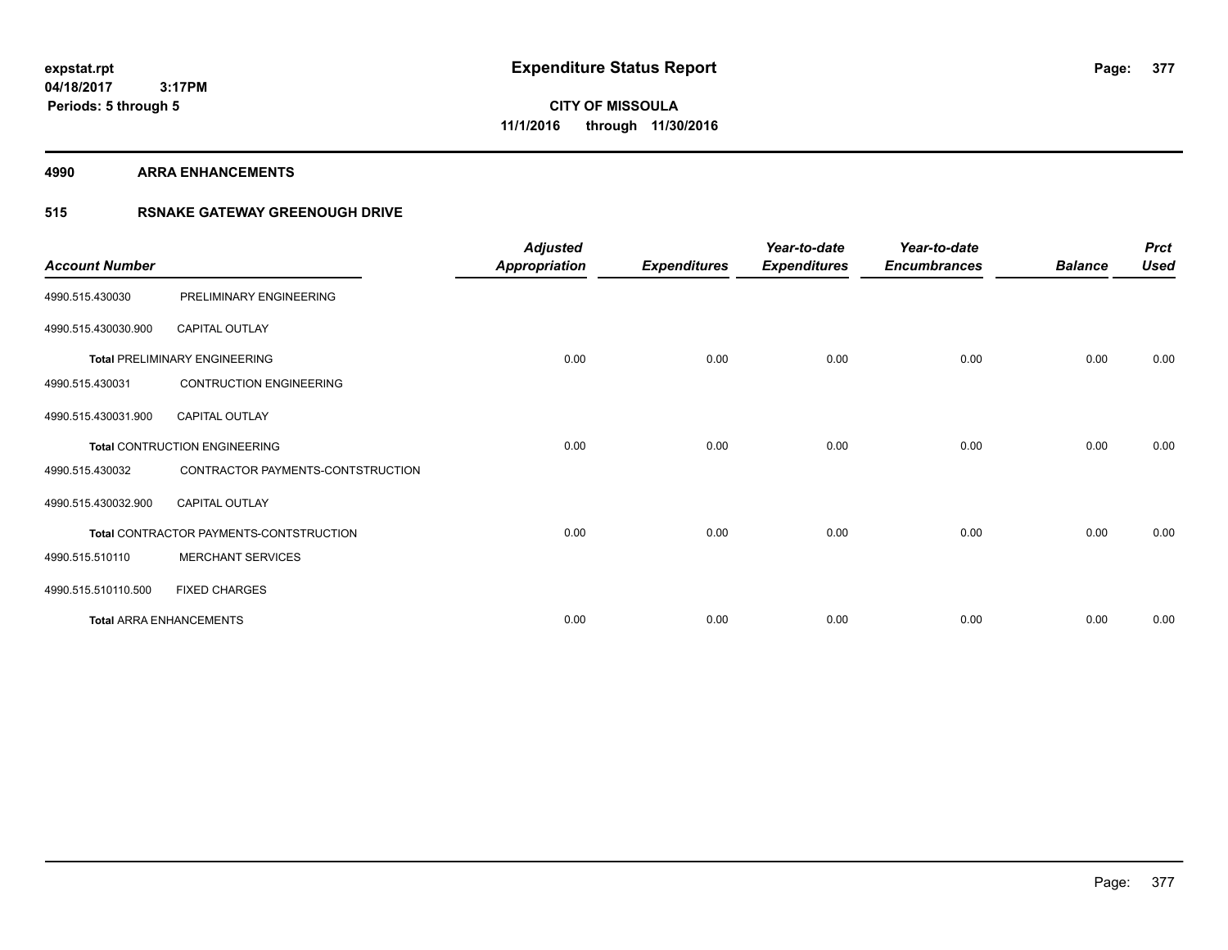**4990 ARRA ENHANCEMENTS**

### **515 RSNAKE GATEWAY GREENOUGH DRIVE**

| <b>Account Number</b> |                                         | <b>Adjusted</b><br><b>Appropriation</b> | <b>Expenditures</b> | Year-to-date<br><b>Expenditures</b> | Year-to-date<br><b>Encumbrances</b> | <b>Balance</b> | <b>Prct</b><br><b>Used</b> |
|-----------------------|-----------------------------------------|-----------------------------------------|---------------------|-------------------------------------|-------------------------------------|----------------|----------------------------|
| 4990.515.430030       | PRELIMINARY ENGINEERING                 |                                         |                     |                                     |                                     |                |                            |
| 4990.515.430030.900   | CAPITAL OUTLAY                          |                                         |                     |                                     |                                     |                |                            |
|                       | <b>Total PRELIMINARY ENGINEERING</b>    | 0.00                                    | 0.00                | 0.00                                | 0.00                                | 0.00           | 0.00                       |
| 4990.515.430031       | <b>CONTRUCTION ENGINEERING</b>          |                                         |                     |                                     |                                     |                |                            |
| 4990.515.430031.900   | <b>CAPITAL OUTLAY</b>                   |                                         |                     |                                     |                                     |                |                            |
|                       | Total CONTRUCTION ENGINEERING           | 0.00                                    | 0.00                | 0.00                                | 0.00                                | 0.00           | 0.00                       |
| 4990.515.430032       | CONTRACTOR PAYMENTS-CONTSTRUCTION       |                                         |                     |                                     |                                     |                |                            |
| 4990.515.430032.900   | <b>CAPITAL OUTLAY</b>                   |                                         |                     |                                     |                                     |                |                            |
|                       | Total CONTRACTOR PAYMENTS-CONTSTRUCTION | 0.00                                    | 0.00                | 0.00                                | 0.00                                | 0.00           | 0.00                       |
| 4990.515.510110       | <b>MERCHANT SERVICES</b>                |                                         |                     |                                     |                                     |                |                            |
| 4990.515.510110.500   | <b>FIXED CHARGES</b>                    |                                         |                     |                                     |                                     |                |                            |
|                       | <b>Total ARRA ENHANCEMENTS</b>          | 0.00                                    | 0.00                | 0.00                                | 0.00                                | 0.00           | 0.00                       |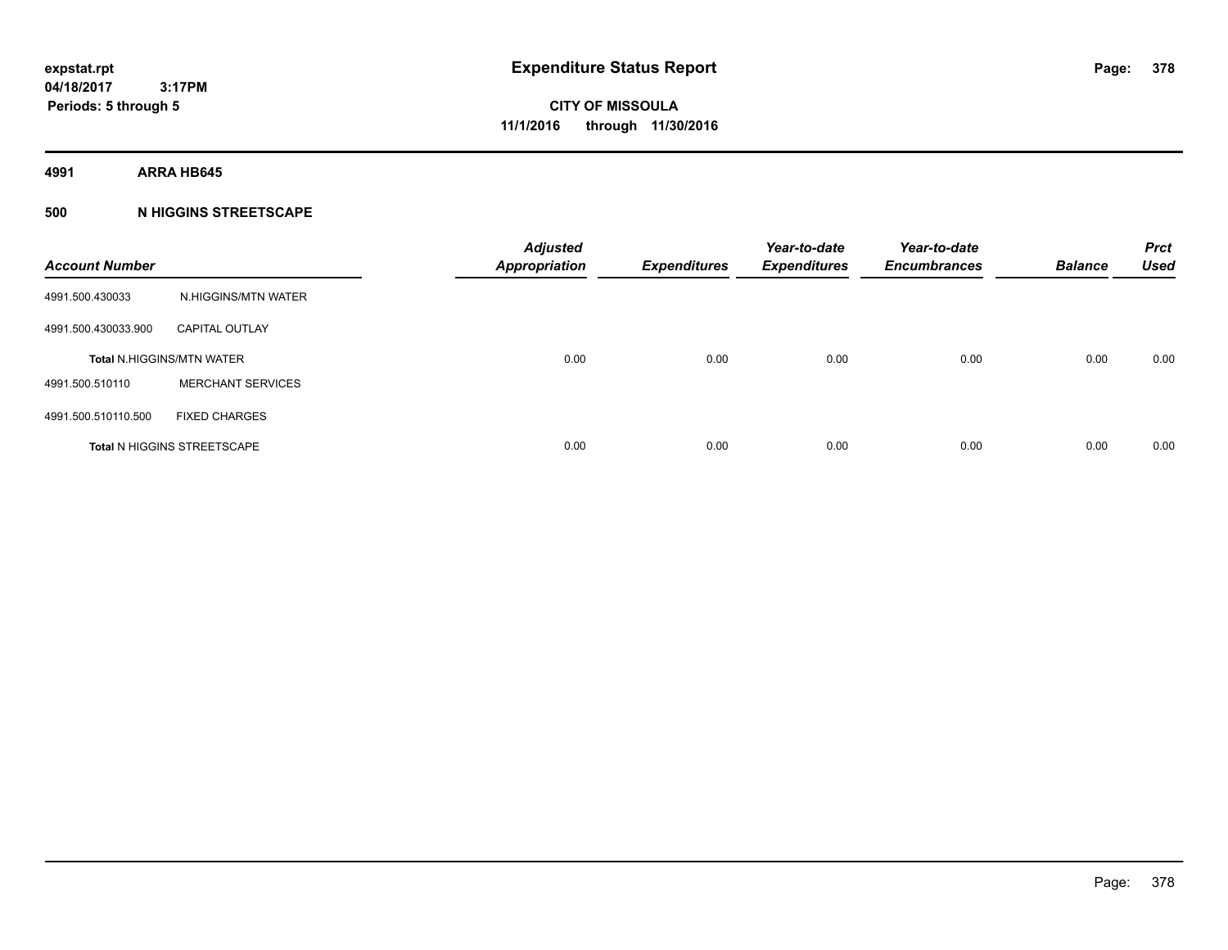**4991 ARRA HB645**

### **500 N HIGGINS STREETSCAPE**

| <b>Account Number</b> |                                    | <b>Adjusted</b><br><b>Appropriation</b> | <b>Expenditures</b> | Year-to-date<br><b>Expenditures</b> | Year-to-date<br><b>Encumbrances</b> | <b>Balance</b> | <b>Prct</b><br><b>Used</b> |
|-----------------------|------------------------------------|-----------------------------------------|---------------------|-------------------------------------|-------------------------------------|----------------|----------------------------|
| 4991.500.430033       | N.HIGGINS/MTN WATER                |                                         |                     |                                     |                                     |                |                            |
| 4991.500.430033.900   | <b>CAPITAL OUTLAY</b>              |                                         |                     |                                     |                                     |                |                            |
|                       | <b>Total N.HIGGINS/MTN WATER</b>   | 0.00                                    | 0.00                | 0.00                                | 0.00                                | 0.00           | 0.00                       |
| 4991.500.510110       | <b>MERCHANT SERVICES</b>           |                                         |                     |                                     |                                     |                |                            |
| 4991.500.510110.500   | <b>FIXED CHARGES</b>               |                                         |                     |                                     |                                     |                |                            |
|                       | <b>Total N HIGGINS STREETSCAPE</b> | 0.00                                    | 0.00                | 0.00                                | 0.00                                | 0.00           | 0.00                       |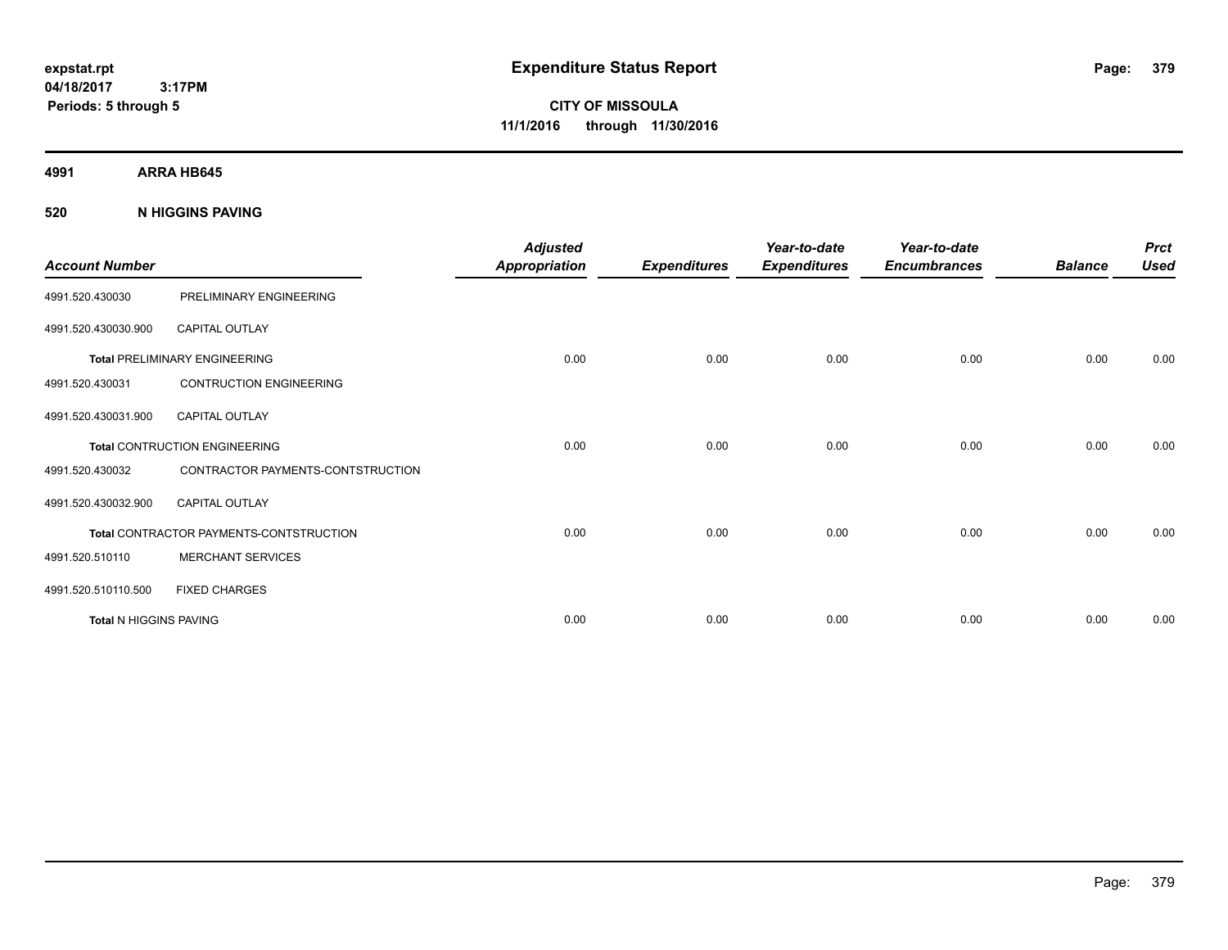**CITY OF MISSOULA 11/1/2016 through 11/30/2016**

**4991 ARRA HB645**

### **520 N HIGGINS PAVING**

| <b>Account Number</b>  |                                                | <b>Adjusted</b><br><b>Appropriation</b> | <b>Expenditures</b> | Year-to-date<br><b>Expenditures</b> | Year-to-date<br><b>Encumbrances</b> | <b>Balance</b> | <b>Prct</b><br><b>Used</b> |
|------------------------|------------------------------------------------|-----------------------------------------|---------------------|-------------------------------------|-------------------------------------|----------------|----------------------------|
| 4991.520.430030        | PRELIMINARY ENGINEERING                        |                                         |                     |                                     |                                     |                |                            |
| 4991.520.430030.900    | <b>CAPITAL OUTLAY</b>                          |                                         |                     |                                     |                                     |                |                            |
|                        | <b>Total PRELIMINARY ENGINEERING</b>           | 0.00                                    | 0.00                | 0.00                                | 0.00                                | 0.00           | 0.00                       |
| 4991.520.430031        | <b>CONTRUCTION ENGINEERING</b>                 |                                         |                     |                                     |                                     |                |                            |
| 4991.520.430031.900    | <b>CAPITAL OUTLAY</b>                          |                                         |                     |                                     |                                     |                |                            |
|                        | <b>Total CONTRUCTION ENGINEERING</b>           | 0.00                                    | 0.00                | 0.00                                | 0.00                                | 0.00           | 0.00                       |
| 4991.520.430032        | CONTRACTOR PAYMENTS-CONTSTRUCTION              |                                         |                     |                                     |                                     |                |                            |
| 4991.520.430032.900    | <b>CAPITAL OUTLAY</b>                          |                                         |                     |                                     |                                     |                |                            |
|                        | <b>Total CONTRACTOR PAYMENTS-CONTSTRUCTION</b> | 0.00                                    | 0.00                | 0.00                                | 0.00                                | 0.00           | 0.00                       |
| 4991.520.510110        | <b>MERCHANT SERVICES</b>                       |                                         |                     |                                     |                                     |                |                            |
| 4991.520.510110.500    | <b>FIXED CHARGES</b>                           |                                         |                     |                                     |                                     |                |                            |
| Total N HIGGINS PAVING |                                                | 0.00                                    | 0.00                | 0.00                                | 0.00                                | 0.00           | 0.00                       |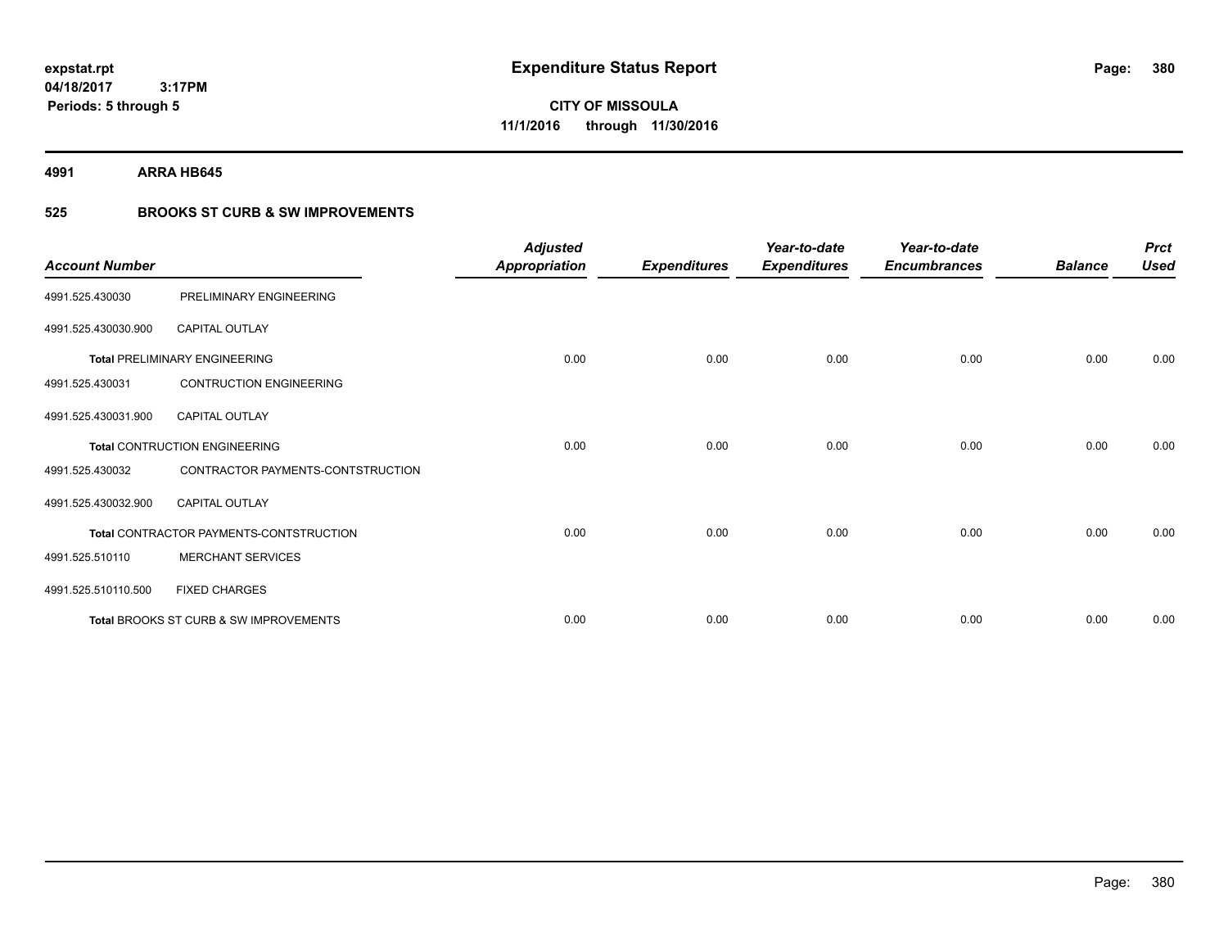**Periods: 5 through 5**

**CITY OF MISSOULA 11/1/2016 through 11/30/2016**

**4991 ARRA HB645**

### **525 BROOKS ST CURB & SW IMPROVEMENTS**

| <b>Account Number</b> |                                         | <b>Adjusted</b><br><b>Appropriation</b> | <b>Expenditures</b> | Year-to-date<br><b>Expenditures</b> | Year-to-date<br><b>Encumbrances</b> | <b>Balance</b> | <b>Prct</b><br><b>Used</b> |
|-----------------------|-----------------------------------------|-----------------------------------------|---------------------|-------------------------------------|-------------------------------------|----------------|----------------------------|
| 4991.525.430030       | PRELIMINARY ENGINEERING                 |                                         |                     |                                     |                                     |                |                            |
| 4991.525.430030.900   | <b>CAPITAL OUTLAY</b>                   |                                         |                     |                                     |                                     |                |                            |
|                       | <b>Total PRELIMINARY ENGINEERING</b>    | 0.00                                    | 0.00                | 0.00                                | 0.00                                | 0.00           | 0.00                       |
| 4991.525.430031       | <b>CONTRUCTION ENGINEERING</b>          |                                         |                     |                                     |                                     |                |                            |
| 4991.525.430031.900   | <b>CAPITAL OUTLAY</b>                   |                                         |                     |                                     |                                     |                |                            |
|                       | <b>Total CONTRUCTION ENGINEERING</b>    | 0.00                                    | 0.00                | 0.00                                | 0.00                                | 0.00           | 0.00                       |
| 4991.525.430032       | CONTRACTOR PAYMENTS-CONTSTRUCTION       |                                         |                     |                                     |                                     |                |                            |
| 4991.525.430032.900   | <b>CAPITAL OUTLAY</b>                   |                                         |                     |                                     |                                     |                |                            |
|                       | Total CONTRACTOR PAYMENTS-CONTSTRUCTION | 0.00                                    | 0.00                | 0.00                                | 0.00                                | 0.00           | 0.00                       |
| 4991.525.510110       | <b>MERCHANT SERVICES</b>                |                                         |                     |                                     |                                     |                |                            |
| 4991.525.510110.500   | <b>FIXED CHARGES</b>                    |                                         |                     |                                     |                                     |                |                            |
|                       | Total BROOKS ST CURB & SW IMPROVEMENTS  | 0.00                                    | 0.00                | 0.00                                | 0.00                                | 0.00           | 0.00                       |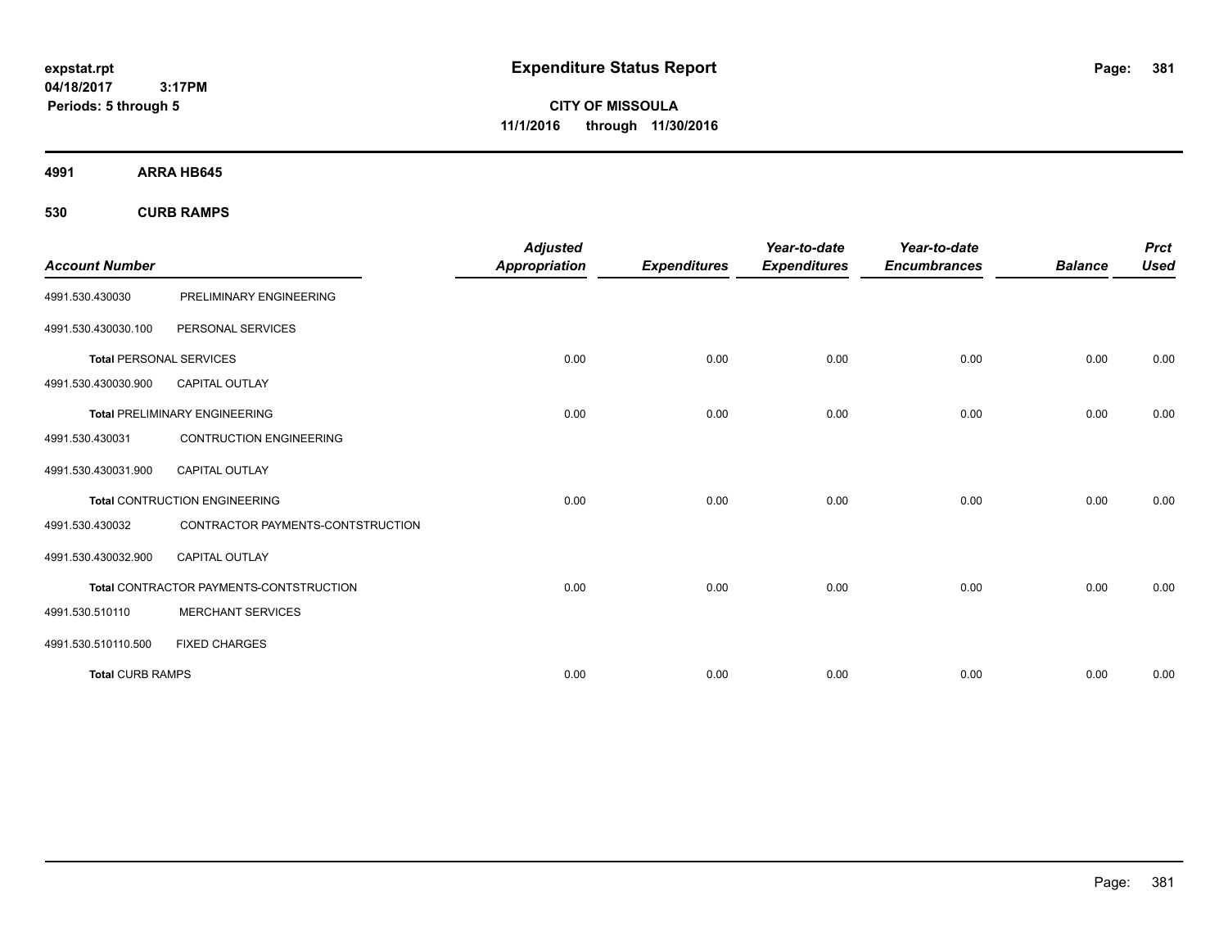**CITY OF MISSOULA 11/1/2016 through 11/30/2016**

**4991 ARRA HB645**

**530 CURB RAMPS**

| <b>Account Number</b>          |                                         | <b>Adjusted</b><br><b>Appropriation</b> | <b>Expenditures</b> | Year-to-date<br><b>Expenditures</b> | Year-to-date<br><b>Encumbrances</b> | <b>Balance</b> | <b>Prct</b><br><b>Used</b> |
|--------------------------------|-----------------------------------------|-----------------------------------------|---------------------|-------------------------------------|-------------------------------------|----------------|----------------------------|
| 4991.530.430030                | PRELIMINARY ENGINEERING                 |                                         |                     |                                     |                                     |                |                            |
| 4991.530.430030.100            | PERSONAL SERVICES                       |                                         |                     |                                     |                                     |                |                            |
| <b>Total PERSONAL SERVICES</b> |                                         | 0.00                                    | 0.00                | 0.00                                | 0.00                                | 0.00           | 0.00                       |
| 4991.530.430030.900            | <b>CAPITAL OUTLAY</b>                   |                                         |                     |                                     |                                     |                |                            |
|                                | <b>Total PRELIMINARY ENGINEERING</b>    | 0.00                                    | 0.00                | 0.00                                | 0.00                                | 0.00           | 0.00                       |
| 4991.530.430031                | <b>CONTRUCTION ENGINEERING</b>          |                                         |                     |                                     |                                     |                |                            |
| 4991.530.430031.900            | <b>CAPITAL OUTLAY</b>                   |                                         |                     |                                     |                                     |                |                            |
|                                | <b>Total CONTRUCTION ENGINEERING</b>    | 0.00                                    | 0.00                | 0.00                                | 0.00                                | 0.00           | 0.00                       |
| 4991.530.430032                | CONTRACTOR PAYMENTS-CONTSTRUCTION       |                                         |                     |                                     |                                     |                |                            |
| 4991.530.430032.900            | <b>CAPITAL OUTLAY</b>                   |                                         |                     |                                     |                                     |                |                            |
|                                | Total CONTRACTOR PAYMENTS-CONTSTRUCTION | 0.00                                    | 0.00                | 0.00                                | 0.00                                | 0.00           | 0.00                       |
| 4991.530.510110                | <b>MERCHANT SERVICES</b>                |                                         |                     |                                     |                                     |                |                            |
| 4991.530.510110.500            | <b>FIXED CHARGES</b>                    |                                         |                     |                                     |                                     |                |                            |
| <b>Total CURB RAMPS</b>        |                                         | 0.00                                    | 0.00                | 0.00                                | 0.00                                | 0.00           | 0.00                       |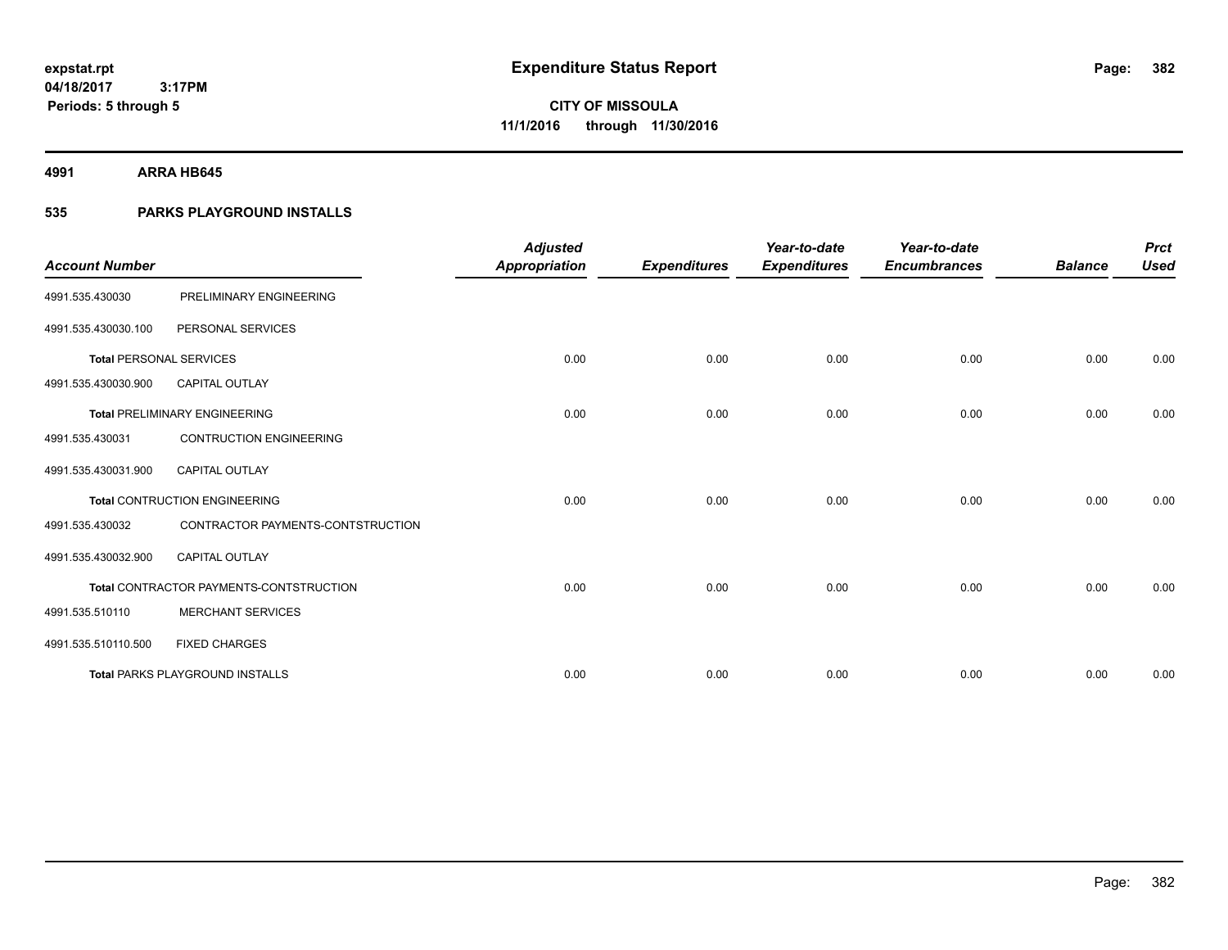**4991 ARRA HB645**

### **535 PARKS PLAYGROUND INSTALLS**

| <b>Account Number</b>          |                                         | <b>Adjusted</b><br>Appropriation | <b>Expenditures</b> | Year-to-date<br><b>Expenditures</b> | Year-to-date<br><b>Encumbrances</b> | <b>Balance</b> | <b>Prct</b><br><b>Used</b> |
|--------------------------------|-----------------------------------------|----------------------------------|---------------------|-------------------------------------|-------------------------------------|----------------|----------------------------|
| 4991.535.430030                | PRELIMINARY ENGINEERING                 |                                  |                     |                                     |                                     |                |                            |
| 4991.535.430030.100            | PERSONAL SERVICES                       |                                  |                     |                                     |                                     |                |                            |
| <b>Total PERSONAL SERVICES</b> |                                         | 0.00                             | 0.00                | 0.00                                | 0.00                                | 0.00           | 0.00                       |
| 4991.535.430030.900            | <b>CAPITAL OUTLAY</b>                   |                                  |                     |                                     |                                     |                |                            |
|                                | <b>Total PRELIMINARY ENGINEERING</b>    | 0.00                             | 0.00                | 0.00                                | 0.00                                | 0.00           | 0.00                       |
| 4991.535.430031                | <b>CONTRUCTION ENGINEERING</b>          |                                  |                     |                                     |                                     |                |                            |
| 4991.535.430031.900            | CAPITAL OUTLAY                          |                                  |                     |                                     |                                     |                |                            |
|                                | <b>Total CONTRUCTION ENGINEERING</b>    | 0.00                             | 0.00                | 0.00                                | 0.00                                | 0.00           | 0.00                       |
| 4991.535.430032                | CONTRACTOR PAYMENTS-CONTSTRUCTION       |                                  |                     |                                     |                                     |                |                            |
| 4991.535.430032.900            | <b>CAPITAL OUTLAY</b>                   |                                  |                     |                                     |                                     |                |                            |
|                                | Total CONTRACTOR PAYMENTS-CONTSTRUCTION | 0.00                             | 0.00                | 0.00                                | 0.00                                | 0.00           | 0.00                       |
| 4991.535.510110                | <b>MERCHANT SERVICES</b>                |                                  |                     |                                     |                                     |                |                            |
| 4991.535.510110.500            | <b>FIXED CHARGES</b>                    |                                  |                     |                                     |                                     |                |                            |
|                                | <b>Total PARKS PLAYGROUND INSTALLS</b>  | 0.00                             | 0.00                | 0.00                                | 0.00                                | 0.00           | 0.00                       |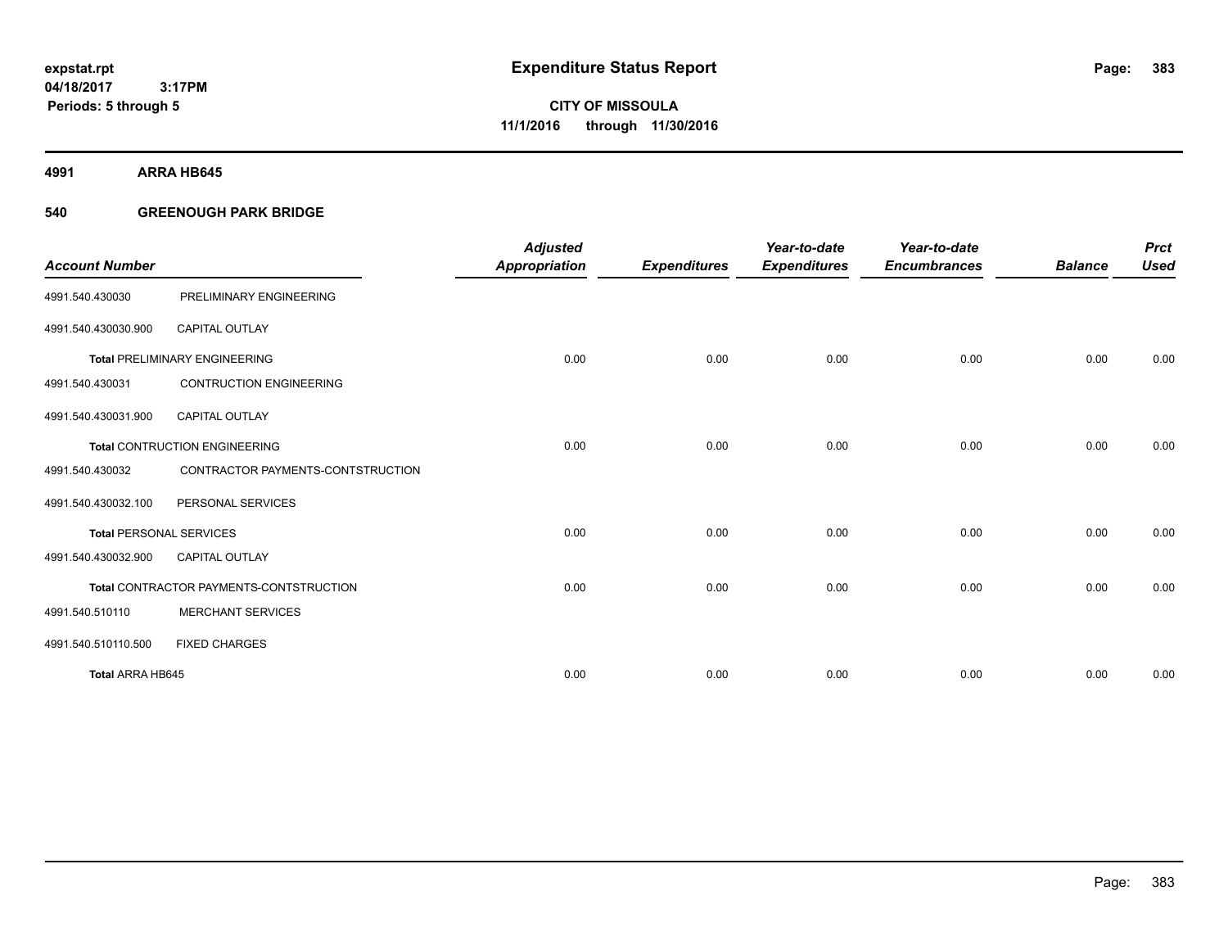**Periods: 5 through 5**

**CITY OF MISSOULA 11/1/2016 through 11/30/2016**

**4991 ARRA HB645**

### **540 GREENOUGH PARK BRIDGE**

 **3:17PM**

| <b>Account Number</b>          |                                         | <b>Adjusted</b><br><b>Appropriation</b> | <b>Expenditures</b> | Year-to-date<br><b>Expenditures</b> | Year-to-date<br><b>Encumbrances</b> | <b>Balance</b> | <b>Prct</b><br><b>Used</b> |
|--------------------------------|-----------------------------------------|-----------------------------------------|---------------------|-------------------------------------|-------------------------------------|----------------|----------------------------|
|                                |                                         |                                         |                     |                                     |                                     |                |                            |
| 4991.540.430030                | PRELIMINARY ENGINEERING                 |                                         |                     |                                     |                                     |                |                            |
| 4991.540.430030.900            | <b>CAPITAL OUTLAY</b>                   |                                         |                     |                                     |                                     |                |                            |
|                                | <b>Total PRELIMINARY ENGINEERING</b>    | 0.00                                    | 0.00                | 0.00                                | 0.00                                | 0.00           | 0.00                       |
| 4991.540.430031                | <b>CONTRUCTION ENGINEERING</b>          |                                         |                     |                                     |                                     |                |                            |
| 4991.540.430031.900            | <b>CAPITAL OUTLAY</b>                   |                                         |                     |                                     |                                     |                |                            |
|                                | <b>Total CONTRUCTION ENGINEERING</b>    | 0.00                                    | 0.00                | 0.00                                | 0.00                                | 0.00           | 0.00                       |
| 4991.540.430032                | CONTRACTOR PAYMENTS-CONTSTRUCTION       |                                         |                     |                                     |                                     |                |                            |
| 4991.540.430032.100            | PERSONAL SERVICES                       |                                         |                     |                                     |                                     |                |                            |
| <b>Total PERSONAL SERVICES</b> |                                         | 0.00                                    | 0.00                | 0.00                                | 0.00                                | 0.00           | 0.00                       |
| 4991.540.430032.900            | <b>CAPITAL OUTLAY</b>                   |                                         |                     |                                     |                                     |                |                            |
|                                | Total CONTRACTOR PAYMENTS-CONTSTRUCTION | 0.00                                    | 0.00                | 0.00                                | 0.00                                | 0.00           | 0.00                       |
| 4991.540.510110                | <b>MERCHANT SERVICES</b>                |                                         |                     |                                     |                                     |                |                            |
| 4991.540.510110.500            | <b>FIXED CHARGES</b>                    |                                         |                     |                                     |                                     |                |                            |
| <b>Total ARRA HB645</b>        |                                         | 0.00                                    | 0.00                | 0.00                                | 0.00                                | 0.00           | 0.00                       |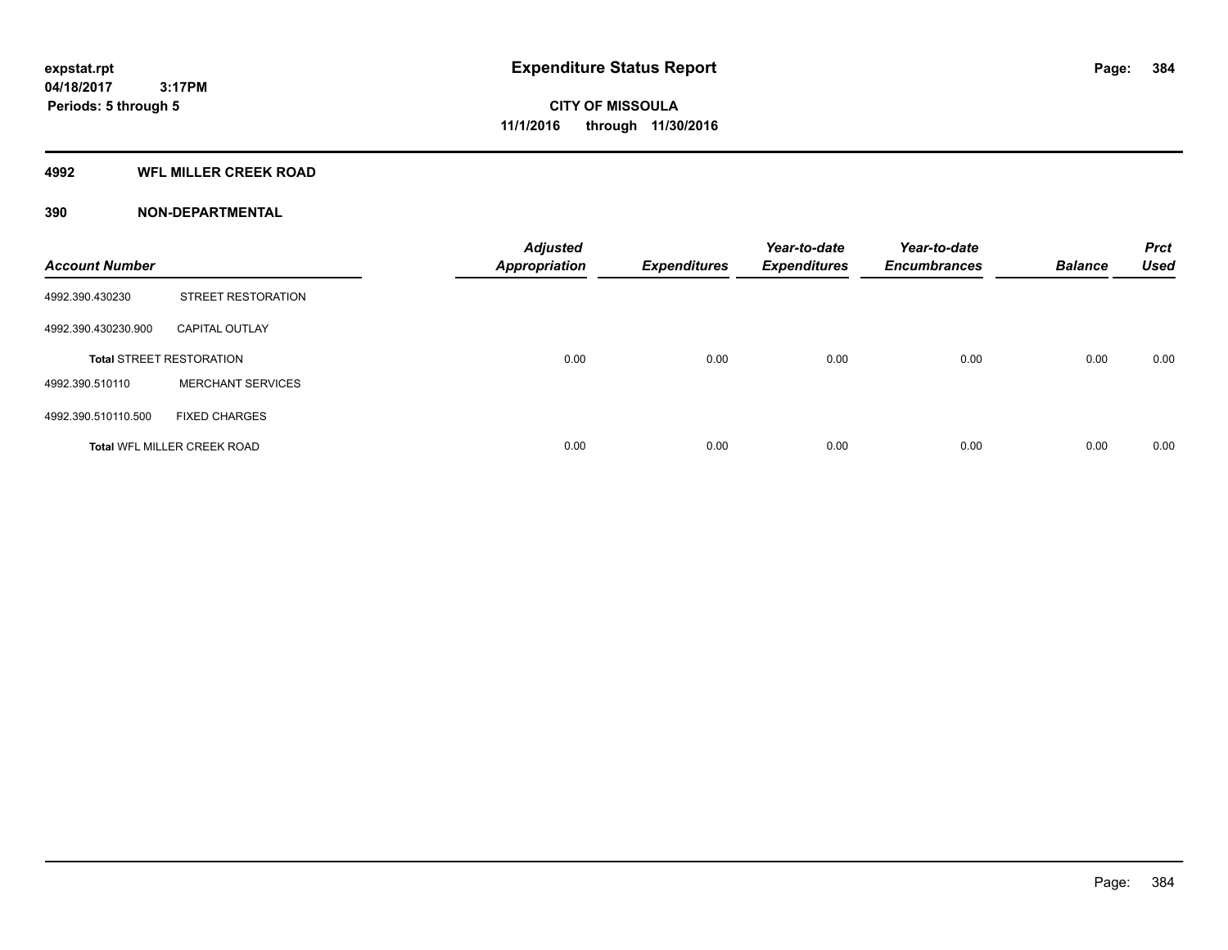#### **4992 WFL MILLER CREEK ROAD**

| <b>Account Number</b> |                                    | <b>Adjusted</b><br><b>Appropriation</b> | <b>Expenditures</b> | Year-to-date<br><b>Expenditures</b> | Year-to-date<br><b>Encumbrances</b> | <b>Balance</b> | <b>Prct</b><br><b>Used</b> |
|-----------------------|------------------------------------|-----------------------------------------|---------------------|-------------------------------------|-------------------------------------|----------------|----------------------------|
| 4992.390.430230       | <b>STREET RESTORATION</b>          |                                         |                     |                                     |                                     |                |                            |
| 4992.390.430230.900   | <b>CAPITAL OUTLAY</b>              |                                         |                     |                                     |                                     |                |                            |
|                       | <b>Total STREET RESTORATION</b>    | 0.00                                    | 0.00                | 0.00                                | 0.00                                | 0.00           | 0.00                       |
| 4992.390.510110       | <b>MERCHANT SERVICES</b>           |                                         |                     |                                     |                                     |                |                            |
| 4992.390.510110.500   | <b>FIXED CHARGES</b>               |                                         |                     |                                     |                                     |                |                            |
|                       | <b>Total WFL MILLER CREEK ROAD</b> | 0.00                                    | 0.00                | 0.00                                | 0.00                                | 0.00           | 0.00                       |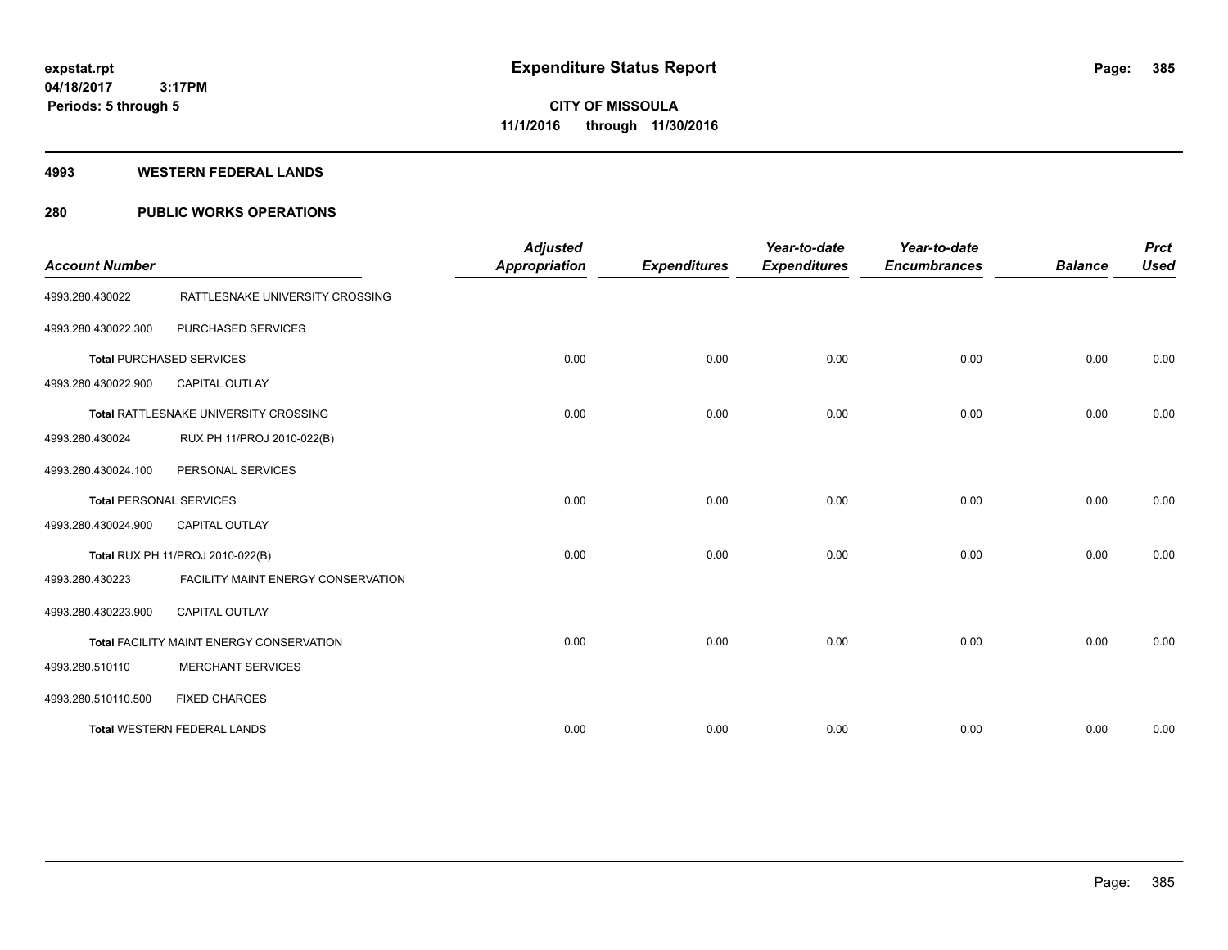#### **4993 WESTERN FEDERAL LANDS**

### **280 PUBLIC WORKS OPERATIONS**

| <b>Account Number</b>          |                                          | <b>Adjusted</b><br><b>Appropriation</b> | <b>Expenditures</b> | Year-to-date<br><b>Expenditures</b> | Year-to-date<br><b>Encumbrances</b> | <b>Balance</b> | <b>Prct</b><br><b>Used</b> |
|--------------------------------|------------------------------------------|-----------------------------------------|---------------------|-------------------------------------|-------------------------------------|----------------|----------------------------|
| 4993.280.430022                | RATTLESNAKE UNIVERSITY CROSSING          |                                         |                     |                                     |                                     |                |                            |
| 4993.280.430022.300            | PURCHASED SERVICES                       |                                         |                     |                                     |                                     |                |                            |
|                                | <b>Total PURCHASED SERVICES</b>          | 0.00                                    | 0.00                | 0.00                                | 0.00                                | 0.00           | 0.00                       |
| 4993.280.430022.900            | <b>CAPITAL OUTLAY</b>                    |                                         |                     |                                     |                                     |                |                            |
|                                | Total RATTLESNAKE UNIVERSITY CROSSING    | 0.00                                    | 0.00                | 0.00                                | 0.00                                | 0.00           | 0.00                       |
| 4993.280.430024                | RUX PH 11/PROJ 2010-022(B)               |                                         |                     |                                     |                                     |                |                            |
| 4993.280.430024.100            | PERSONAL SERVICES                        |                                         |                     |                                     |                                     |                |                            |
| <b>Total PERSONAL SERVICES</b> |                                          | 0.00                                    | 0.00                | 0.00                                | 0.00                                | 0.00           | 0.00                       |
| 4993.280.430024.900            | <b>CAPITAL OUTLAY</b>                    |                                         |                     |                                     |                                     |                |                            |
|                                | Total RUX PH 11/PROJ 2010-022(B)         | 0.00                                    | 0.00                | 0.00                                | 0.00                                | 0.00           | 0.00                       |
| 4993.280.430223                | FACILITY MAINT ENERGY CONSERVATION       |                                         |                     |                                     |                                     |                |                            |
| 4993.280.430223.900            | <b>CAPITAL OUTLAY</b>                    |                                         |                     |                                     |                                     |                |                            |
|                                | Total FACILITY MAINT ENERGY CONSERVATION | 0.00                                    | 0.00                | 0.00                                | 0.00                                | 0.00           | 0.00                       |
| 4993.280.510110                | <b>MERCHANT SERVICES</b>                 |                                         |                     |                                     |                                     |                |                            |
| 4993.280.510110.500            | <b>FIXED CHARGES</b>                     |                                         |                     |                                     |                                     |                |                            |
|                                | <b>Total WESTERN FEDERAL LANDS</b>       | 0.00                                    | 0.00                | 0.00                                | 0.00                                | 0.00           | 0.00                       |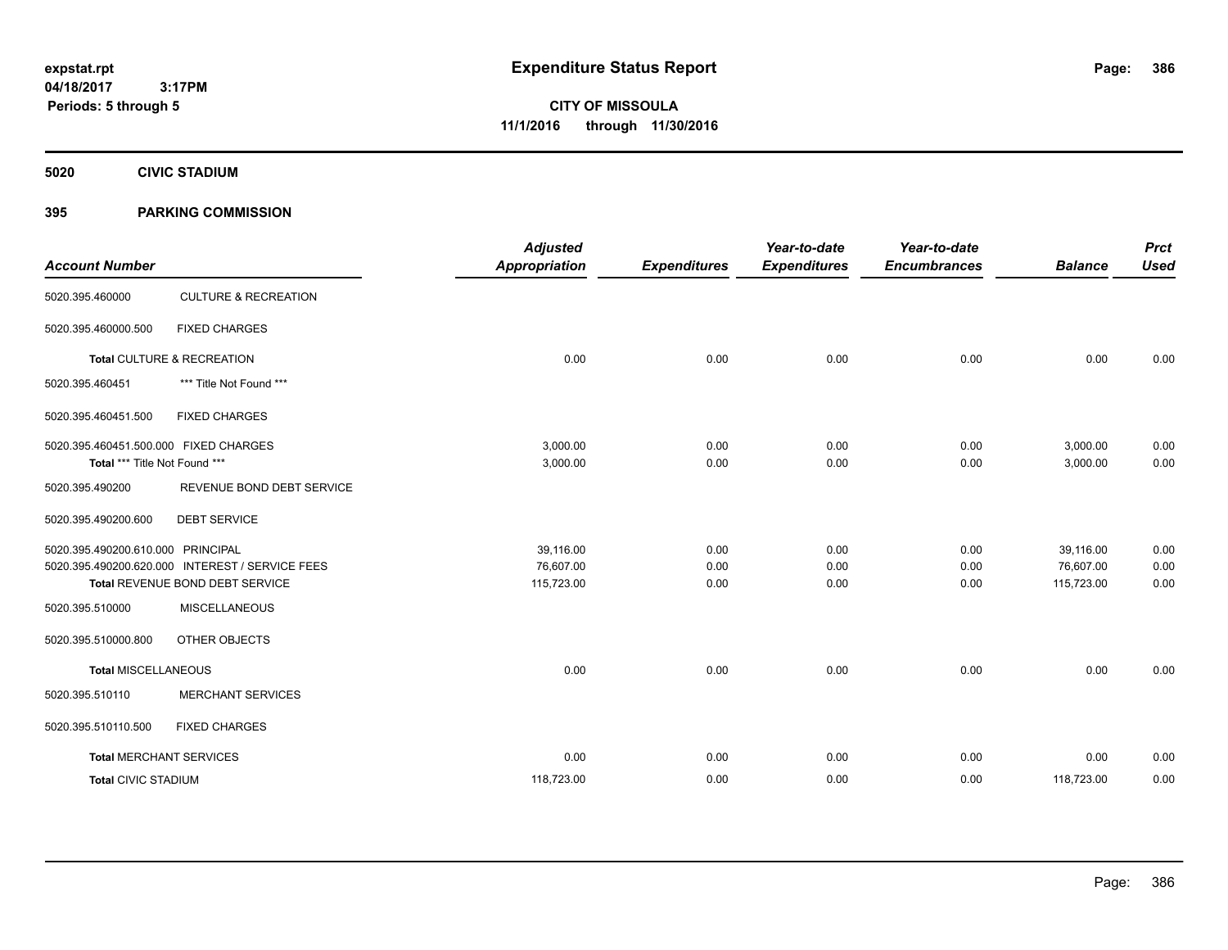**CITY OF MISSOULA 11/1/2016 through 11/30/2016**

**5020 CIVIC STADIUM**

### **395 PARKING COMMISSION**

| <b>Account Number</b>                                                  |                                                 | <b>Adjusted</b><br><b>Appropriation</b> | <b>Expenditures</b> | Year-to-date<br><b>Expenditures</b> | Year-to-date<br><b>Encumbrances</b> | <b>Balance</b>       | <b>Prct</b><br><b>Used</b> |
|------------------------------------------------------------------------|-------------------------------------------------|-----------------------------------------|---------------------|-------------------------------------|-------------------------------------|----------------------|----------------------------|
| 5020.395.460000                                                        | <b>CULTURE &amp; RECREATION</b>                 |                                         |                     |                                     |                                     |                      |                            |
| 5020.395.460000.500                                                    | <b>FIXED CHARGES</b>                            |                                         |                     |                                     |                                     |                      |                            |
|                                                                        | Total CULTURE & RECREATION                      | 0.00                                    | 0.00                | 0.00                                | 0.00                                | 0.00                 | 0.00                       |
| 5020.395.460451                                                        | *** Title Not Found ***                         |                                         |                     |                                     |                                     |                      |                            |
| 5020.395.460451.500                                                    | <b>FIXED CHARGES</b>                            |                                         |                     |                                     |                                     |                      |                            |
| 5020.395.460451.500.000 FIXED CHARGES<br>Total *** Title Not Found *** |                                                 | 3,000.00<br>3,000.00                    | 0.00<br>0.00        | 0.00<br>0.00                        | 0.00<br>0.00                        | 3,000.00<br>3,000.00 | 0.00<br>0.00               |
| 5020.395.490200                                                        | REVENUE BOND DEBT SERVICE                       |                                         |                     |                                     |                                     |                      |                            |
| 5020.395.490200.600                                                    | <b>DEBT SERVICE</b>                             |                                         |                     |                                     |                                     |                      |                            |
| 5020.395.490200.610.000 PRINCIPAL                                      |                                                 | 39,116.00                               | 0.00                | 0.00                                | 0.00                                | 39.116.00            | 0.00                       |
|                                                                        | 5020.395.490200.620.000 INTEREST / SERVICE FEES | 76,607.00                               | 0.00                | 0.00                                | 0.00                                | 76,607.00            | 0.00                       |
|                                                                        | Total REVENUE BOND DEBT SERVICE                 | 115,723.00                              | 0.00                | 0.00                                | 0.00                                | 115,723.00           | 0.00                       |
| 5020.395.510000                                                        | <b>MISCELLANEOUS</b>                            |                                         |                     |                                     |                                     |                      |                            |
| 5020.395.510000.800                                                    | OTHER OBJECTS                                   |                                         |                     |                                     |                                     |                      |                            |
| <b>Total MISCELLANEOUS</b>                                             |                                                 | 0.00                                    | 0.00                | 0.00                                | 0.00                                | 0.00                 | 0.00                       |
| 5020.395.510110                                                        | <b>MERCHANT SERVICES</b>                        |                                         |                     |                                     |                                     |                      |                            |
| 5020.395.510110.500                                                    | <b>FIXED CHARGES</b>                            |                                         |                     |                                     |                                     |                      |                            |
|                                                                        | <b>Total MERCHANT SERVICES</b>                  | 0.00                                    | 0.00                | 0.00                                | 0.00                                | 0.00                 | 0.00                       |
| <b>Total CIVIC STADIUM</b>                                             |                                                 | 118,723.00                              | 0.00                | 0.00                                | 0.00                                | 118,723.00           | 0.00                       |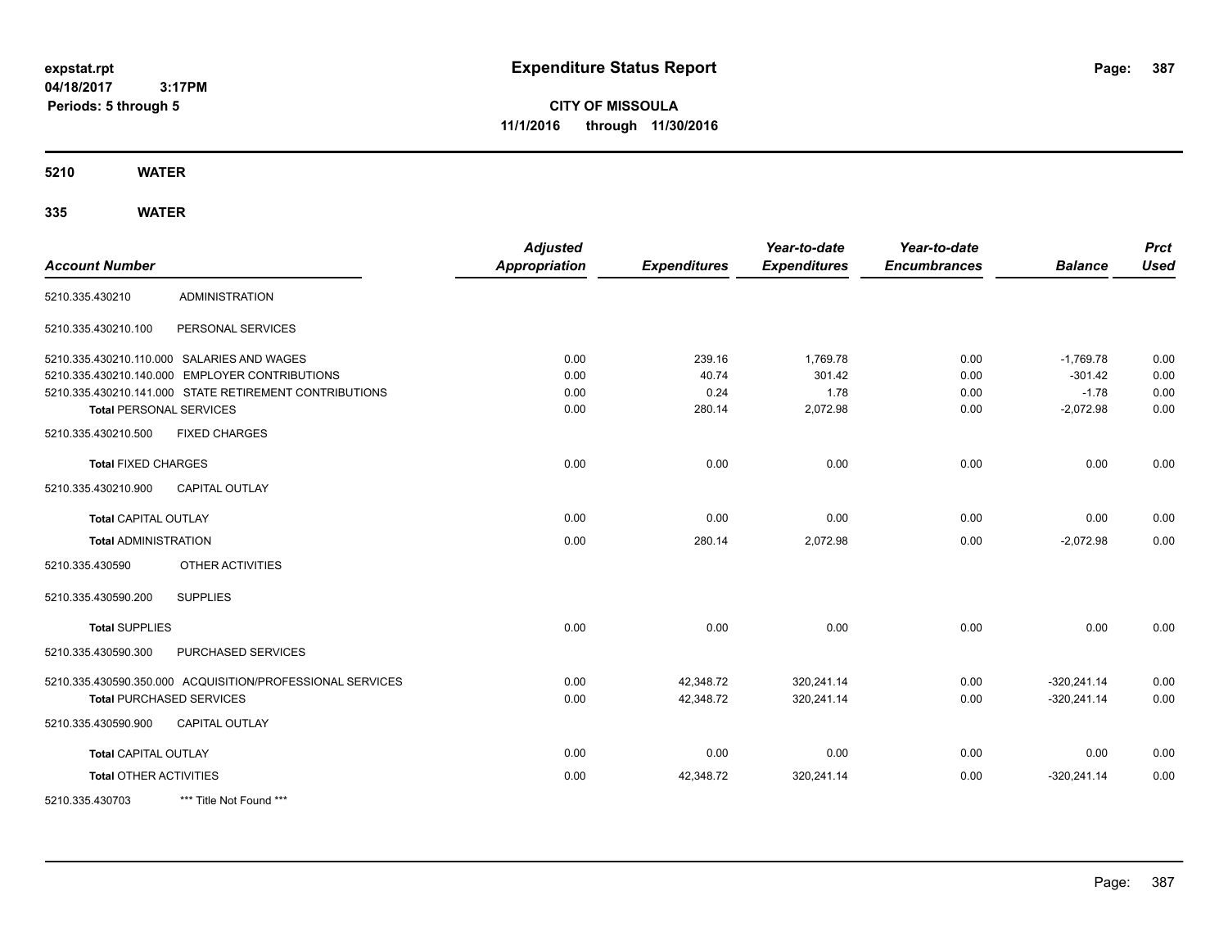**CITY OF MISSOULA 11/1/2016 through 11/30/2016**

**5210 WATER**

| <b>Account Number</b>           |                                                           | <b>Adjusted</b><br><b>Appropriation</b> | <b>Expenditures</b> | Year-to-date<br><b>Expenditures</b> | Year-to-date<br><b>Encumbrances</b> | <b>Balance</b> | <b>Prct</b><br><b>Used</b> |
|---------------------------------|-----------------------------------------------------------|-----------------------------------------|---------------------|-------------------------------------|-------------------------------------|----------------|----------------------------|
| 5210.335.430210                 | <b>ADMINISTRATION</b>                                     |                                         |                     |                                     |                                     |                |                            |
| 5210.335.430210.100             | PERSONAL SERVICES                                         |                                         |                     |                                     |                                     |                |                            |
|                                 | 5210.335.430210.110.000 SALARIES AND WAGES                | 0.00                                    | 239.16              | 1,769.78                            | 0.00                                | $-1,769.78$    | 0.00                       |
|                                 | 5210.335.430210.140.000 EMPLOYER CONTRIBUTIONS            | 0.00                                    | 40.74               | 301.42                              | 0.00                                | $-301.42$      | 0.00                       |
|                                 | 5210.335.430210.141.000 STATE RETIREMENT CONTRIBUTIONS    | 0.00                                    | 0.24                | 1.78                                | 0.00                                | $-1.78$        | 0.00                       |
| <b>Total PERSONAL SERVICES</b>  |                                                           | 0.00                                    | 280.14              | 2,072.98                            | 0.00                                | $-2,072.98$    | 0.00                       |
| 5210.335.430210.500             | <b>FIXED CHARGES</b>                                      |                                         |                     |                                     |                                     |                |                            |
| <b>Total FIXED CHARGES</b>      |                                                           | 0.00                                    | 0.00                | 0.00                                | 0.00                                | 0.00           | 0.00                       |
| 5210.335.430210.900             | <b>CAPITAL OUTLAY</b>                                     |                                         |                     |                                     |                                     |                |                            |
| <b>Total CAPITAL OUTLAY</b>     |                                                           | 0.00                                    | 0.00                | 0.00                                | 0.00                                | 0.00           | 0.00                       |
| <b>Total ADMINISTRATION</b>     |                                                           | 0.00                                    | 280.14              | 2,072.98                            | 0.00                                | $-2,072.98$    | 0.00                       |
| 5210.335.430590                 | OTHER ACTIVITIES                                          |                                         |                     |                                     |                                     |                |                            |
| 5210.335.430590.200             | <b>SUPPLIES</b>                                           |                                         |                     |                                     |                                     |                |                            |
| <b>Total SUPPLIES</b>           |                                                           | 0.00                                    | 0.00                | 0.00                                | 0.00                                | 0.00           | 0.00                       |
| 5210.335.430590.300             | <b>PURCHASED SERVICES</b>                                 |                                         |                     |                                     |                                     |                |                            |
|                                 | 5210.335.430590.350.000 ACQUISITION/PROFESSIONAL SERVICES | 0.00                                    | 42,348.72           | 320,241.14                          | 0.00                                | $-320,241.14$  | 0.00                       |
| <b>Total PURCHASED SERVICES</b> |                                                           | 0.00                                    | 42,348.72           | 320,241.14                          | 0.00                                | $-320,241.14$  | 0.00                       |
| 5210.335.430590.900             | <b>CAPITAL OUTLAY</b>                                     |                                         |                     |                                     |                                     |                |                            |
| <b>Total CAPITAL OUTLAY</b>     |                                                           | 0.00                                    | 0.00                | 0.00                                | 0.00                                | 0.00           | 0.00                       |
| <b>Total OTHER ACTIVITIES</b>   |                                                           | 0.00                                    | 42,348.72           | 320,241.14                          | 0.00                                | $-320,241.14$  | 0.00                       |
| 5210.335.430703                 | *** Title Not Found ***                                   |                                         |                     |                                     |                                     |                |                            |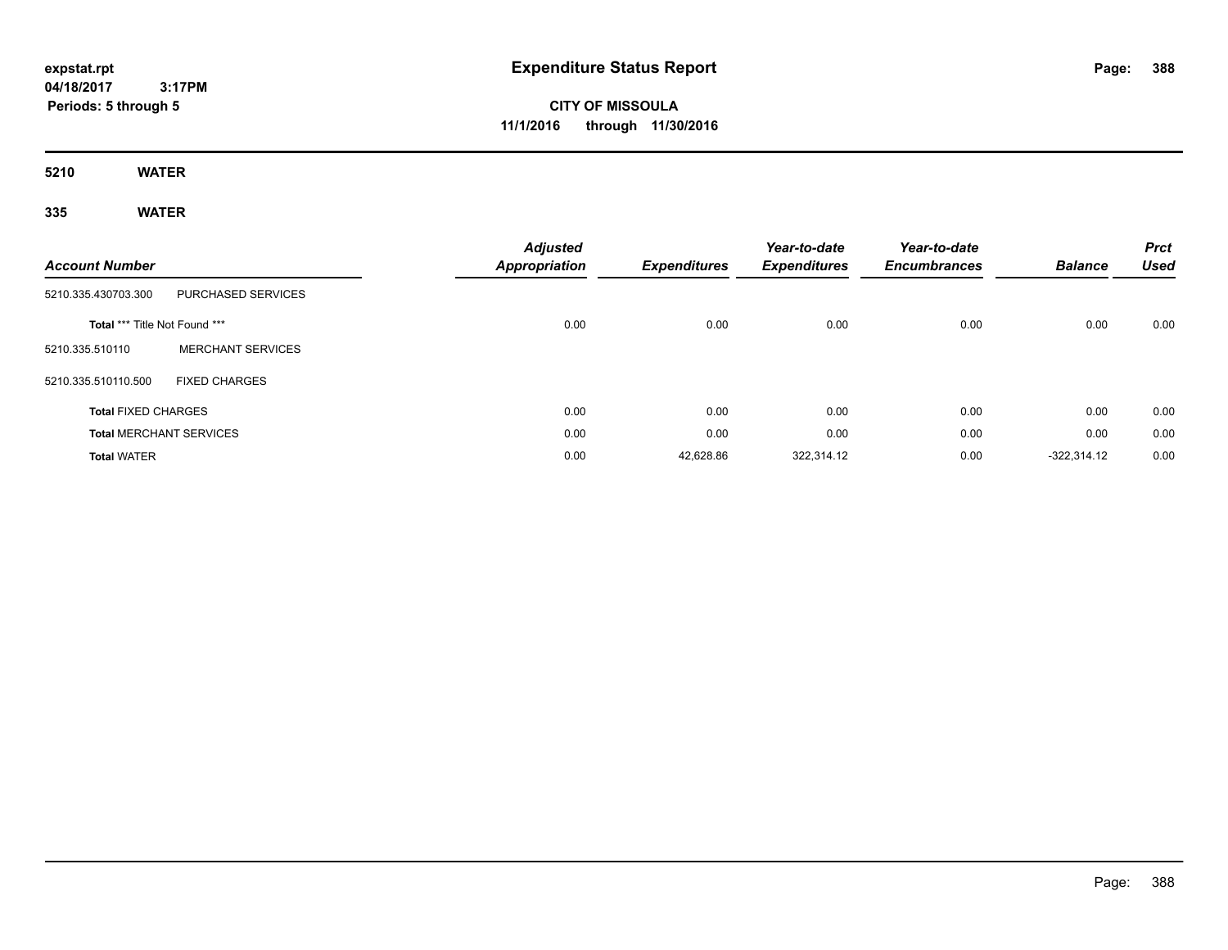# **CITY OF MISSOULA 11/1/2016 through 11/30/2016**

**5210 WATER**

| <b>Account Number</b>          |                          | <b>Adjusted</b><br>Appropriation | <b>Expenditures</b> | Year-to-date<br><b>Expenditures</b> | Year-to-date<br><b>Encumbrances</b> | <b>Balance</b> | <b>Prct</b><br><b>Used</b> |
|--------------------------------|--------------------------|----------------------------------|---------------------|-------------------------------------|-------------------------------------|----------------|----------------------------|
| 5210.335.430703.300            | PURCHASED SERVICES       |                                  |                     |                                     |                                     |                |                            |
| Total *** Title Not Found ***  |                          | 0.00                             | 0.00                | 0.00                                | 0.00                                | 0.00           | 0.00                       |
| 5210.335.510110                | <b>MERCHANT SERVICES</b> |                                  |                     |                                     |                                     |                |                            |
| 5210.335.510110.500            | <b>FIXED CHARGES</b>     |                                  |                     |                                     |                                     |                |                            |
| <b>Total FIXED CHARGES</b>     |                          | 0.00                             | 0.00                | 0.00                                | 0.00                                | 0.00           | 0.00                       |
| <b>Total MERCHANT SERVICES</b> |                          | 0.00                             | 0.00                | 0.00                                | 0.00                                | 0.00           | 0.00                       |
| <b>Total WATER</b>             |                          | 0.00                             | 42,628.86           | 322,314.12                          | 0.00                                | $-322,314.12$  | 0.00                       |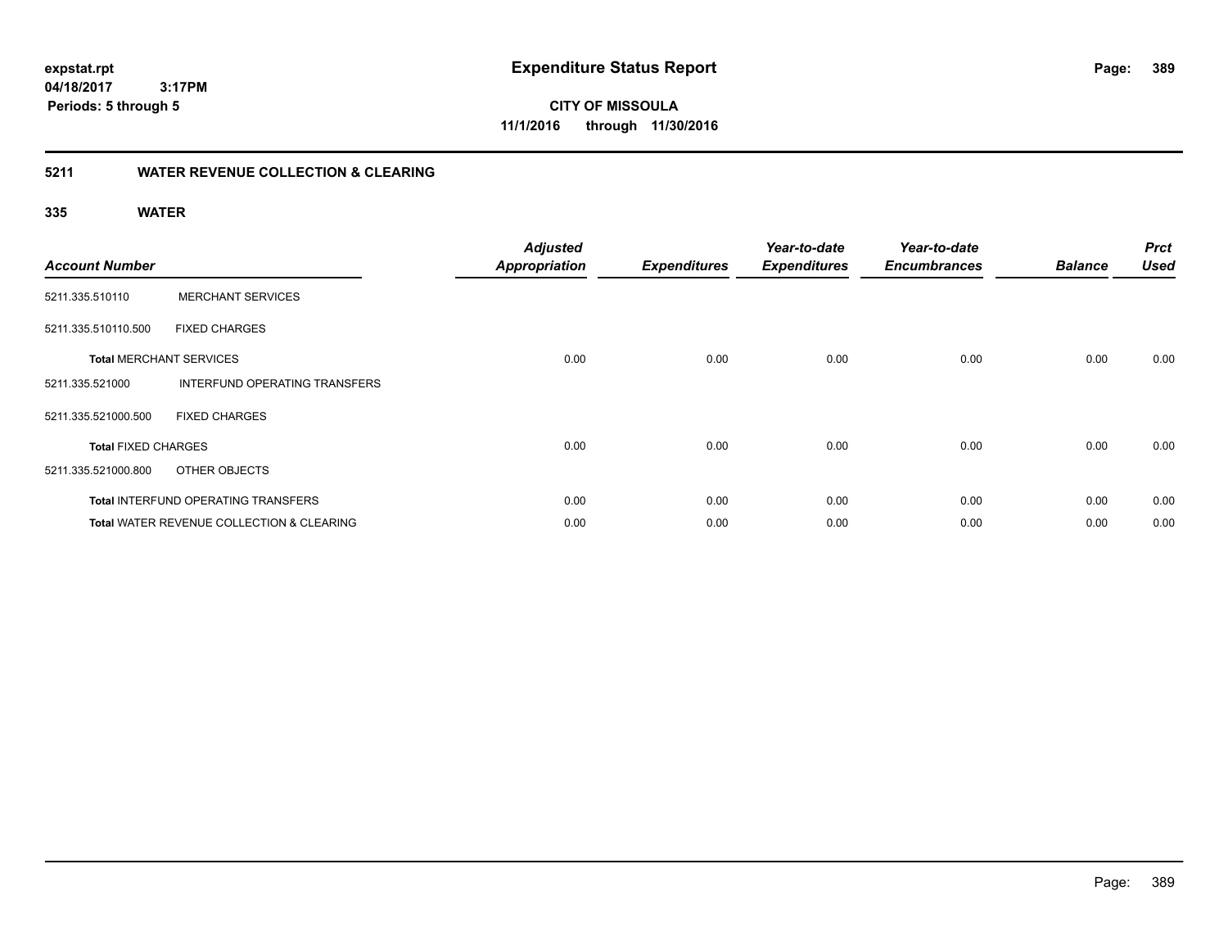**389**

**04/18/2017 3:17PM Periods: 5 through 5**

**CITY OF MISSOULA 11/1/2016 through 11/30/2016**

### **5211 WATER REVENUE COLLECTION & CLEARING**

| <b>Account Number</b>      |                                                      | <b>Adjusted</b><br><b>Appropriation</b> | <b>Expenditures</b> | Year-to-date<br><b>Expenditures</b> | Year-to-date<br><b>Encumbrances</b> | <b>Balance</b> | <b>Prct</b><br><b>Used</b> |
|----------------------------|------------------------------------------------------|-----------------------------------------|---------------------|-------------------------------------|-------------------------------------|----------------|----------------------------|
| 5211.335.510110            | <b>MERCHANT SERVICES</b>                             |                                         |                     |                                     |                                     |                |                            |
| 5211.335.510110.500        | <b>FIXED CHARGES</b>                                 |                                         |                     |                                     |                                     |                |                            |
|                            | <b>Total MERCHANT SERVICES</b>                       | 0.00                                    | 0.00                | 0.00                                | 0.00                                | 0.00           | 0.00                       |
| 5211.335.521000            | INTERFUND OPERATING TRANSFERS                        |                                         |                     |                                     |                                     |                |                            |
| 5211.335.521000.500        | <b>FIXED CHARGES</b>                                 |                                         |                     |                                     |                                     |                |                            |
| <b>Total FIXED CHARGES</b> |                                                      | 0.00                                    | 0.00                | 0.00                                | 0.00                                | 0.00           | 0.00                       |
| 5211.335.521000.800        | OTHER OBJECTS                                        |                                         |                     |                                     |                                     |                |                            |
|                            | <b>Total INTERFUND OPERATING TRANSFERS</b>           | 0.00                                    | 0.00                | 0.00                                | 0.00                                | 0.00           | 0.00                       |
|                            | <b>Total WATER REVENUE COLLECTION &amp; CLEARING</b> | 0.00                                    | 0.00                | 0.00                                | 0.00                                | 0.00           | 0.00                       |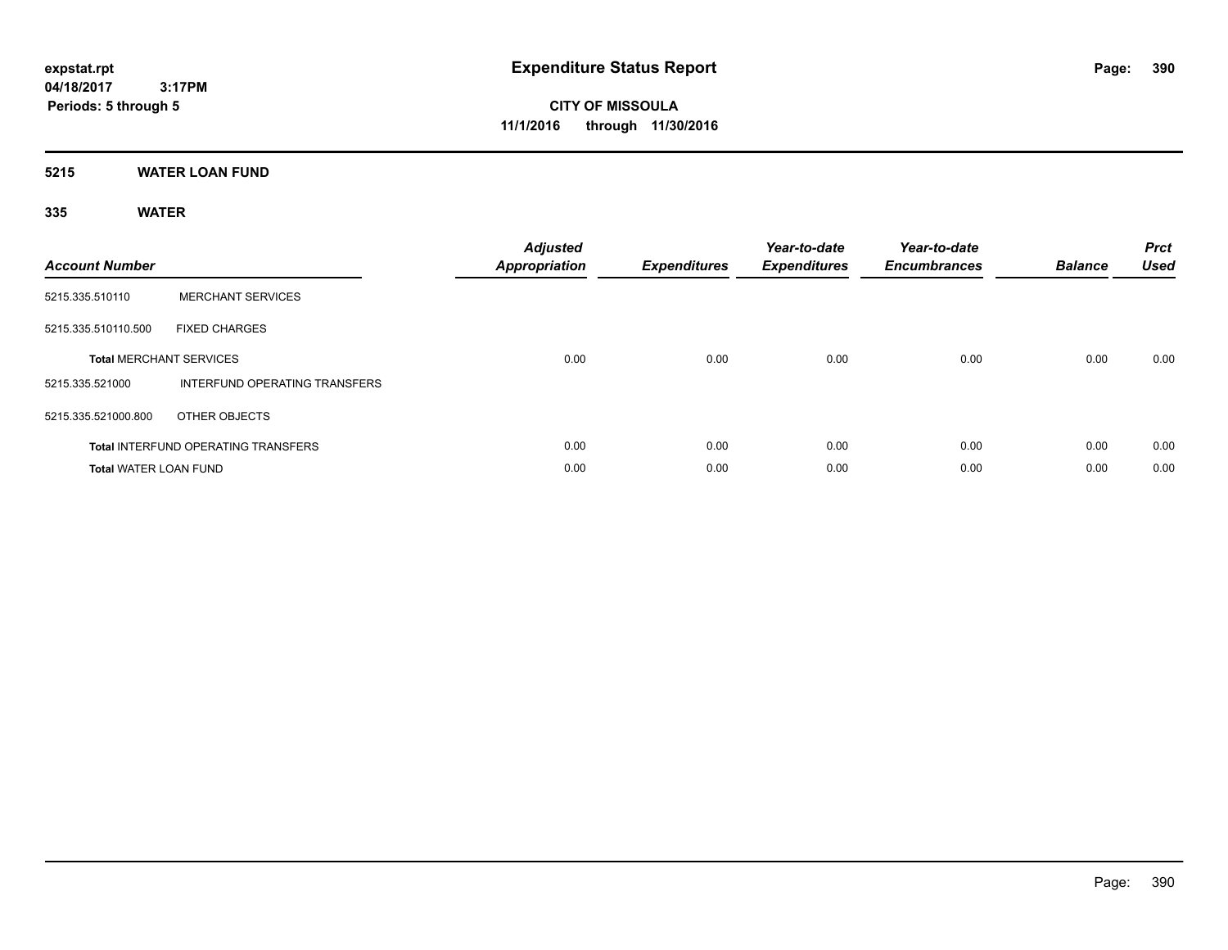**CITY OF MISSOULA 11/1/2016 through 11/30/2016**

**5215 WATER LOAN FUND**

| <b>Account Number</b>        |                                            | <b>Adjusted</b><br>Appropriation | <b>Expenditures</b> | Year-to-date<br><b>Expenditures</b> | Year-to-date<br><b>Encumbrances</b> | <b>Balance</b> | <b>Prct</b><br><b>Used</b> |
|------------------------------|--------------------------------------------|----------------------------------|---------------------|-------------------------------------|-------------------------------------|----------------|----------------------------|
| 5215.335.510110              | <b>MERCHANT SERVICES</b>                   |                                  |                     |                                     |                                     |                |                            |
| 5215.335.510110.500          | <b>FIXED CHARGES</b>                       |                                  |                     |                                     |                                     |                |                            |
|                              | <b>Total MERCHANT SERVICES</b>             | 0.00                             | 0.00                | 0.00                                | 0.00                                | 0.00           | 0.00                       |
| 5215.335.521000              | INTERFUND OPERATING TRANSFERS              |                                  |                     |                                     |                                     |                |                            |
| 5215.335.521000.800          | OTHER OBJECTS                              |                                  |                     |                                     |                                     |                |                            |
|                              | <b>Total INTERFUND OPERATING TRANSFERS</b> | 0.00                             | 0.00                | 0.00                                | 0.00                                | 0.00           | 0.00                       |
| <b>Total WATER LOAN FUND</b> |                                            | 0.00                             | 0.00                | 0.00                                | 0.00                                | 0.00           | 0.00                       |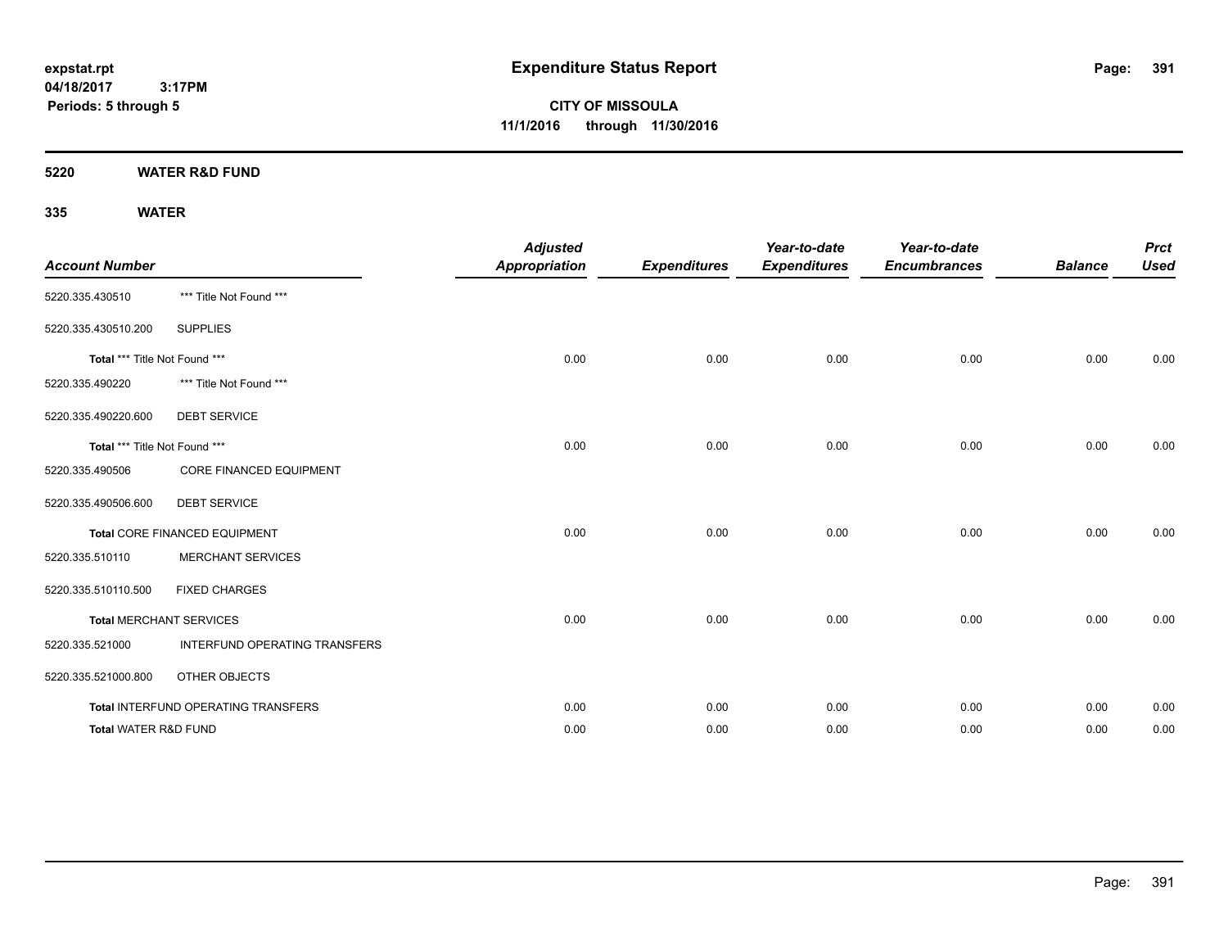**CITY OF MISSOULA 11/1/2016 through 11/30/2016**

**5220 WATER R&D FUND**

| <b>Account Number</b>         |                                     | <b>Adjusted</b><br><b>Appropriation</b> | <b>Expenditures</b> | Year-to-date<br><b>Expenditures</b> | Year-to-date<br><b>Encumbrances</b> | <b>Balance</b> | <b>Prct</b><br><b>Used</b> |
|-------------------------------|-------------------------------------|-----------------------------------------|---------------------|-------------------------------------|-------------------------------------|----------------|----------------------------|
| 5220.335.430510               | *** Title Not Found ***             |                                         |                     |                                     |                                     |                |                            |
| 5220.335.430510.200           | <b>SUPPLIES</b>                     |                                         |                     |                                     |                                     |                |                            |
| Total *** Title Not Found *** |                                     | 0.00                                    | 0.00                | 0.00                                | 0.00                                | 0.00           | 0.00                       |
| 5220.335.490220               | *** Title Not Found ***             |                                         |                     |                                     |                                     |                |                            |
| 5220.335.490220.600           | <b>DEBT SERVICE</b>                 |                                         |                     |                                     |                                     |                |                            |
| Total *** Title Not Found *** |                                     | 0.00                                    | 0.00                | 0.00                                | 0.00                                | 0.00           | 0.00                       |
| 5220.335.490506               | CORE FINANCED EQUIPMENT             |                                         |                     |                                     |                                     |                |                            |
| 5220.335.490506.600           | <b>DEBT SERVICE</b>                 |                                         |                     |                                     |                                     |                |                            |
|                               | Total CORE FINANCED EQUIPMENT       | 0.00                                    | 0.00                | 0.00                                | 0.00                                | 0.00           | 0.00                       |
| 5220.335.510110               | <b>MERCHANT SERVICES</b>            |                                         |                     |                                     |                                     |                |                            |
| 5220.335.510110.500           | <b>FIXED CHARGES</b>                |                                         |                     |                                     |                                     |                |                            |
|                               | <b>Total MERCHANT SERVICES</b>      | 0.00                                    | 0.00                | 0.00                                | 0.00                                | 0.00           | 0.00                       |
| 5220.335.521000               | INTERFUND OPERATING TRANSFERS       |                                         |                     |                                     |                                     |                |                            |
| 5220.335.521000.800           | OTHER OBJECTS                       |                                         |                     |                                     |                                     |                |                            |
|                               | Total INTERFUND OPERATING TRANSFERS | 0.00                                    | 0.00                | 0.00                                | 0.00                                | 0.00           | 0.00                       |
| Total WATER R&D FUND          |                                     | 0.00                                    | 0.00                | 0.00                                | 0.00                                | 0.00           | 0.00                       |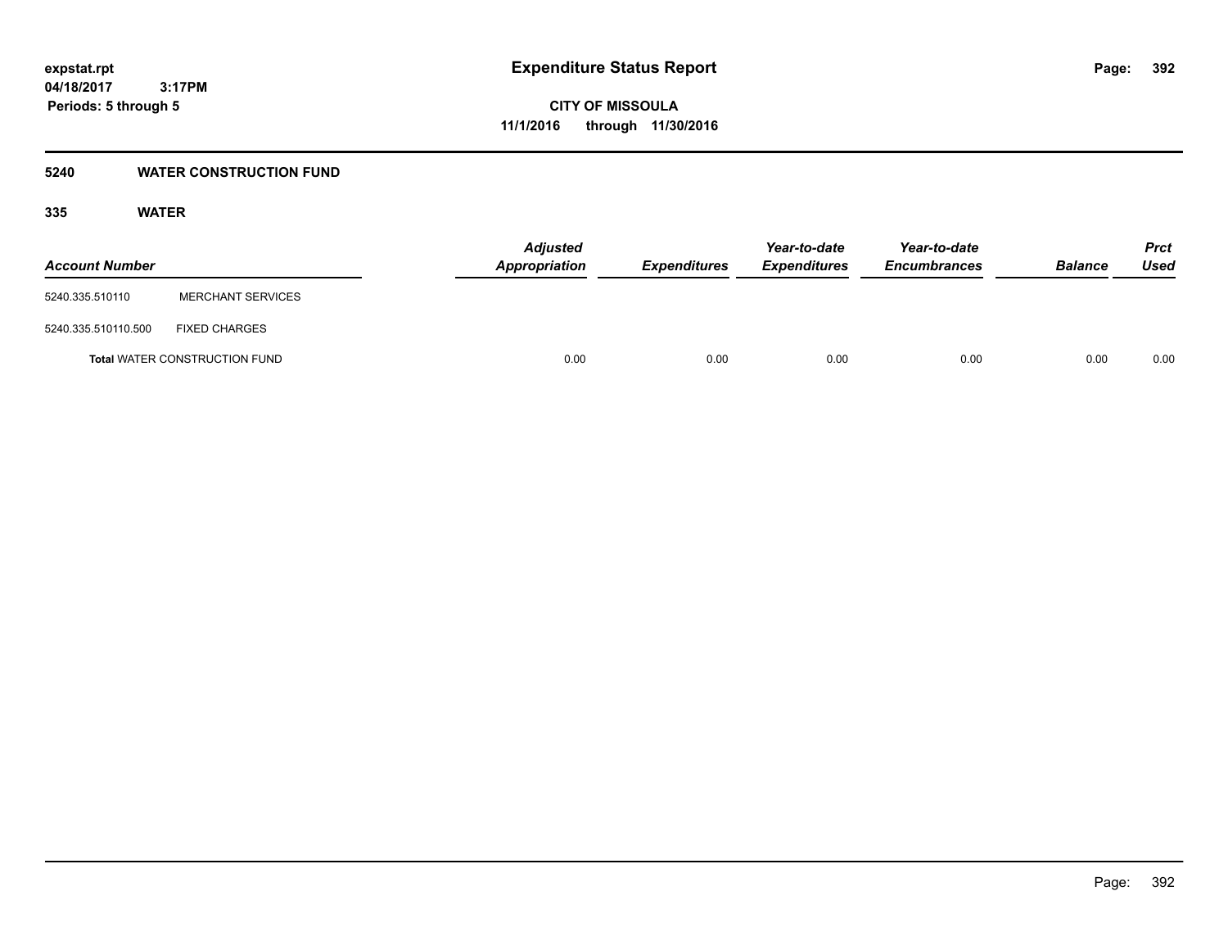### **5240 WATER CONSTRUCTION FUND**

| <b>Account Number</b> |                                      | <b>Adjusted</b><br><b>Appropriation</b> | <b>Expenditures</b> | Year-to-date<br><b>Expenditures</b> | Year-to-date<br><b>Encumbrances</b> | <b>Balance</b> | Prct<br><b>Used</b> |
|-----------------------|--------------------------------------|-----------------------------------------|---------------------|-------------------------------------|-------------------------------------|----------------|---------------------|
| 5240.335.510110       | <b>MERCHANT SERVICES</b>             |                                         |                     |                                     |                                     |                |                     |
| 5240.335.510110.500   | <b>FIXED CHARGES</b>                 |                                         |                     |                                     |                                     |                |                     |
|                       | <b>Total WATER CONSTRUCTION FUND</b> | 0.00                                    | 0.00                | 0.00                                | 0.00                                | 0.00           | 0.00                |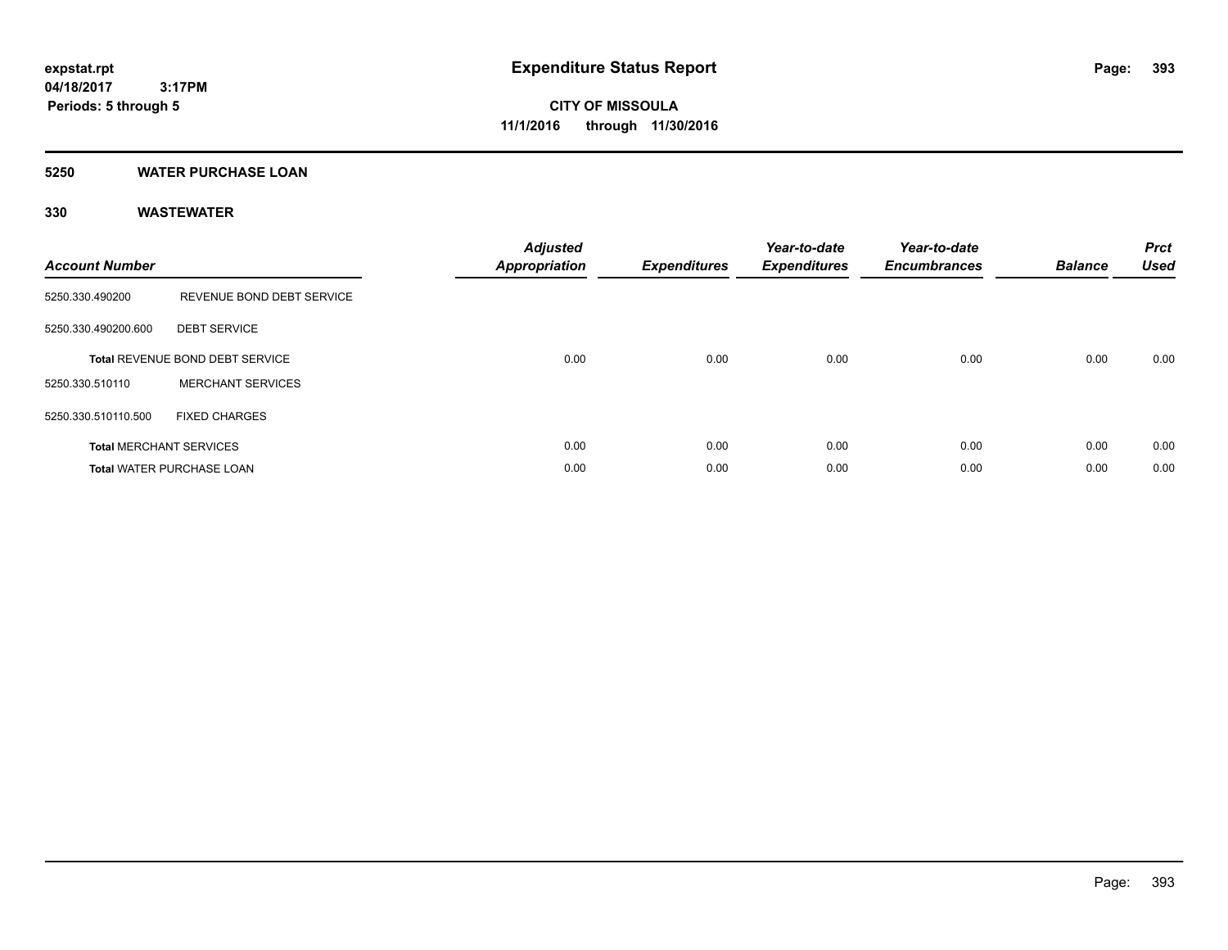#### **5250 WATER PURCHASE LOAN**

| <b>Account Number</b> |                                  | <b>Adjusted</b><br>Appropriation | <b>Expenditures</b> | Year-to-date<br><b>Expenditures</b> | Year-to-date<br><b>Encumbrances</b> | <b>Balance</b> | <b>Prct</b><br><b>Used</b> |
|-----------------------|----------------------------------|----------------------------------|---------------------|-------------------------------------|-------------------------------------|----------------|----------------------------|
| 5250.330.490200       | REVENUE BOND DEBT SERVICE        |                                  |                     |                                     |                                     |                |                            |
| 5250.330.490200.600   | <b>DEBT SERVICE</b>              |                                  |                     |                                     |                                     |                |                            |
|                       | Total REVENUE BOND DEBT SERVICE  | 0.00                             | 0.00                | 0.00                                | 0.00                                | 0.00           | 0.00                       |
| 5250.330.510110       | <b>MERCHANT SERVICES</b>         |                                  |                     |                                     |                                     |                |                            |
| 5250.330.510110.500   | <b>FIXED CHARGES</b>             |                                  |                     |                                     |                                     |                |                            |
|                       | <b>Total MERCHANT SERVICES</b>   | 0.00                             | 0.00                | 0.00                                | 0.00                                | 0.00           | 0.00                       |
|                       | <b>Total WATER PURCHASE LOAN</b> | 0.00                             | 0.00                | 0.00                                | 0.00                                | 0.00           | 0.00                       |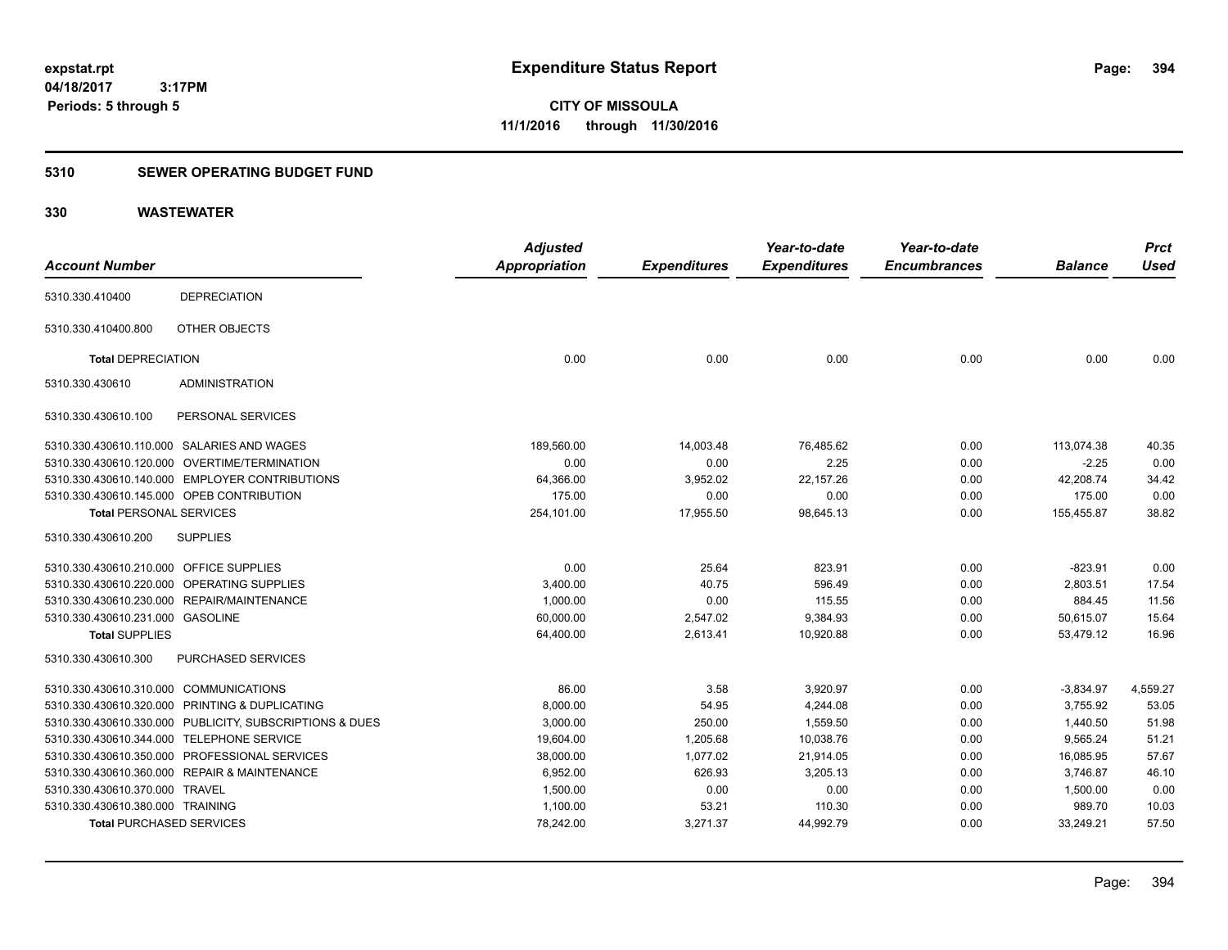### **5310 SEWER OPERATING BUDGET FUND**

|                                         |                                                         | <b>Adjusted</b>      |                     | Year-to-date        | Year-to-date        |                | <b>Prct</b> |
|-----------------------------------------|---------------------------------------------------------|----------------------|---------------------|---------------------|---------------------|----------------|-------------|
| <b>Account Number</b>                   |                                                         | <b>Appropriation</b> | <b>Expenditures</b> | <b>Expenditures</b> | <b>Encumbrances</b> | <b>Balance</b> | <b>Used</b> |
| 5310.330.410400                         | <b>DEPRECIATION</b>                                     |                      |                     |                     |                     |                |             |
| 5310.330.410400.800                     | OTHER OBJECTS                                           |                      |                     |                     |                     |                |             |
| <b>Total DEPRECIATION</b>               |                                                         | 0.00                 | 0.00                | 0.00                | 0.00                | 0.00           | 0.00        |
| 5310.330.430610                         | <b>ADMINISTRATION</b>                                   |                      |                     |                     |                     |                |             |
| 5310.330.430610.100                     | PERSONAL SERVICES                                       |                      |                     |                     |                     |                |             |
|                                         | 5310.330.430610.110.000 SALARIES AND WAGES              | 189,560.00           | 14,003.48           | 76,485.62           | 0.00                | 113,074.38     | 40.35       |
|                                         | 5310.330.430610.120.000 OVERTIME/TERMINATION            | 0.00                 | 0.00                | 2.25                | 0.00                | $-2.25$        | 0.00        |
|                                         | 5310.330.430610.140.000 EMPLOYER CONTRIBUTIONS          | 64,366.00            | 3,952.02            | 22,157.26           | 0.00                | 42,208.74      | 34.42       |
|                                         | 5310.330.430610.145.000 OPEB CONTRIBUTION               | 175.00               | 0.00                | 0.00                | 0.00                | 175.00         | 0.00        |
| <b>Total PERSONAL SERVICES</b>          |                                                         | 254,101.00           | 17,955.50           | 98,645.13           | 0.00                | 155,455.87     | 38.82       |
| 5310.330.430610.200                     | <b>SUPPLIES</b>                                         |                      |                     |                     |                     |                |             |
| 5310.330.430610.210.000 OFFICE SUPPLIES |                                                         | 0.00                 | 25.64               | 823.91              | 0.00                | $-823.91$      | 0.00        |
|                                         | 5310.330.430610.220.000 OPERATING SUPPLIES              | 3,400.00             | 40.75               | 596.49              | 0.00                | 2,803.51       | 17.54       |
|                                         | 5310.330.430610.230.000 REPAIR/MAINTENANCE              | 1,000.00             | 0.00                | 115.55              | 0.00                | 884.45         | 11.56       |
| 5310.330.430610.231.000 GASOLINE        |                                                         | 60,000.00            | 2,547.02            | 9,384.93            | 0.00                | 50,615.07      | 15.64       |
| <b>Total SUPPLIES</b>                   |                                                         | 64,400.00            | 2,613.41            | 10,920.88           | 0.00                | 53,479.12      | 16.96       |
| 5310.330.430610.300                     | <b>PURCHASED SERVICES</b>                               |                      |                     |                     |                     |                |             |
| 5310.330.430610.310.000 COMMUNICATIONS  |                                                         | 86.00                | 3.58                | 3,920.97            | 0.00                | $-3,834.97$    | 4,559.27    |
|                                         | 5310.330.430610.320.000 PRINTING & DUPLICATING          | 8,000.00             | 54.95               | 4,244.08            | 0.00                | 3,755.92       | 53.05       |
|                                         | 5310.330.430610.330.000 PUBLICITY, SUBSCRIPTIONS & DUES | 3,000.00             | 250.00              | 1,559.50            | 0.00                | 1,440.50       | 51.98       |
|                                         | 5310.330.430610.344.000 TELEPHONE SERVICE               | 19.604.00            | 1.205.68            | 10.038.76           | 0.00                | 9.565.24       | 51.21       |
|                                         | 5310.330.430610.350.000 PROFESSIONAL SERVICES           | 38,000.00            | 1,077.02            | 21,914.05           | 0.00                | 16,085.95      | 57.67       |
|                                         | 5310.330.430610.360.000 REPAIR & MAINTENANCE            | 6,952.00             | 626.93              | 3,205.13            | 0.00                | 3,746.87       | 46.10       |
| 5310.330.430610.370.000 TRAVEL          |                                                         | 1,500.00             | 0.00                | 0.00                | 0.00                | 1,500.00       | 0.00        |
| 5310.330.430610.380.000 TRAINING        |                                                         | 1,100.00             | 53.21               | 110.30              | 0.00                | 989.70         | 10.03       |
| <b>Total PURCHASED SERVICES</b>         |                                                         | 78,242.00            | 3,271.37            | 44,992.79           | 0.00                | 33,249.21      | 57.50       |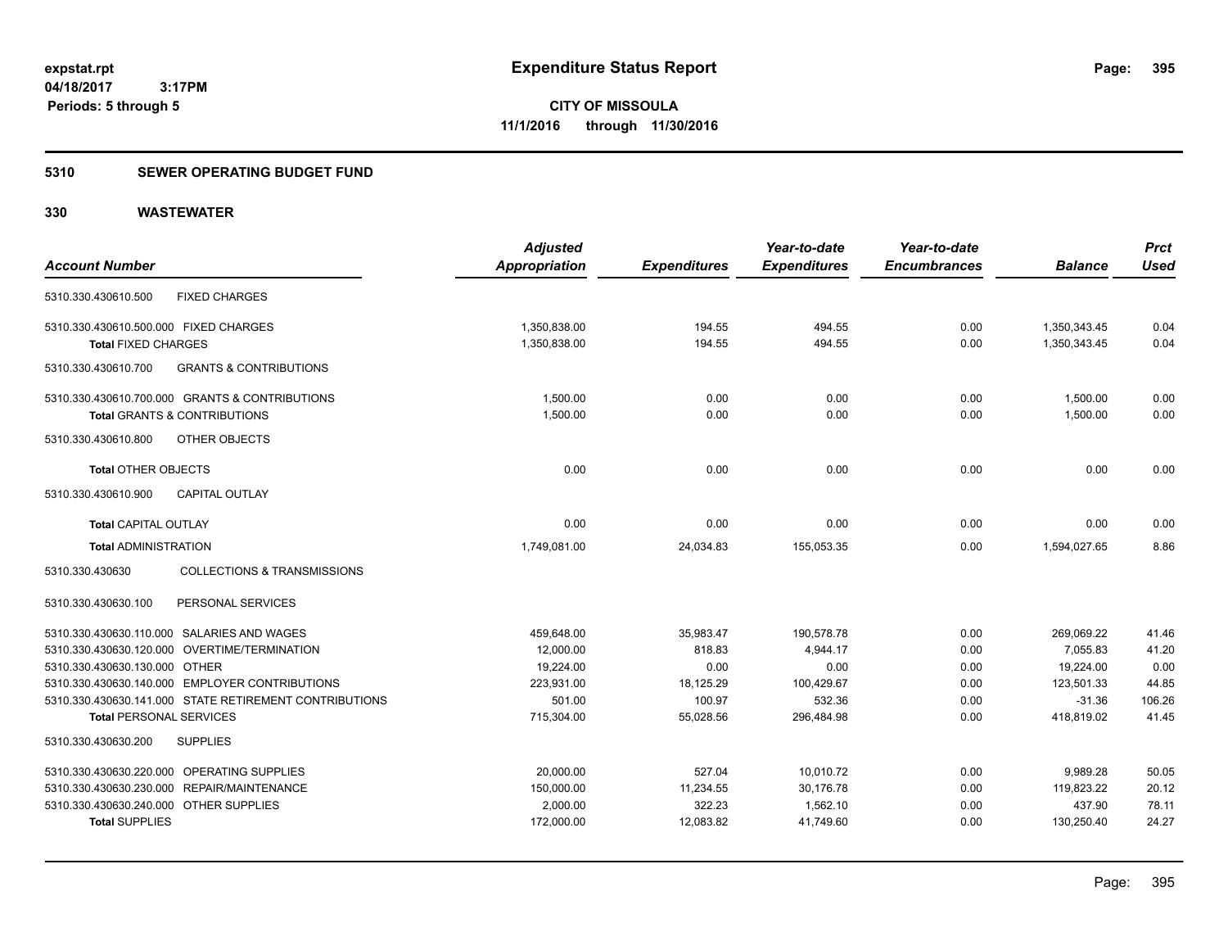#### **5310 SEWER OPERATING BUDGET FUND**

| <b>Account Number</b>                      |                                                        | <b>Adjusted</b><br>Appropriation | <b>Expenditures</b> | Year-to-date<br><b>Expenditures</b> | Year-to-date<br><b>Encumbrances</b> | <b>Balance</b> | <b>Prct</b><br><b>Used</b> |
|--------------------------------------------|--------------------------------------------------------|----------------------------------|---------------------|-------------------------------------|-------------------------------------|----------------|----------------------------|
| 5310.330.430610.500                        | <b>FIXED CHARGES</b>                                   |                                  |                     |                                     |                                     |                |                            |
| 5310.330.430610.500.000 FIXED CHARGES      |                                                        | 1,350,838.00                     | 194.55              | 494.55                              | 0.00                                | 1,350,343.45   | 0.04                       |
| <b>Total FIXED CHARGES</b>                 |                                                        | 1,350,838.00                     | 194.55              | 494.55                              | 0.00                                | 1,350,343.45   | 0.04                       |
| 5310.330.430610.700                        | <b>GRANTS &amp; CONTRIBUTIONS</b>                      |                                  |                     |                                     |                                     |                |                            |
|                                            | 5310.330.430610.700.000 GRANTS & CONTRIBUTIONS         | 1,500.00                         | 0.00                | 0.00                                | 0.00                                | 1,500.00       | 0.00                       |
| <b>Total GRANTS &amp; CONTRIBUTIONS</b>    |                                                        | 1,500.00                         | 0.00                | 0.00                                | 0.00                                | 1,500.00       | 0.00                       |
| 5310.330.430610.800                        | OTHER OBJECTS                                          |                                  |                     |                                     |                                     |                |                            |
| <b>Total OTHER OBJECTS</b>                 |                                                        | 0.00                             | 0.00                | 0.00                                | 0.00                                | 0.00           | 0.00                       |
| 5310.330.430610.900                        | <b>CAPITAL OUTLAY</b>                                  |                                  |                     |                                     |                                     |                |                            |
| <b>Total CAPITAL OUTLAY</b>                |                                                        | 0.00                             | 0.00                | 0.00                                | 0.00                                | 0.00           | 0.00                       |
| <b>Total ADMINISTRATION</b>                |                                                        | 1,749,081.00                     | 24,034.83           | 155,053.35                          | 0.00                                | 1,594,027.65   | 8.86                       |
| 5310.330.430630                            | <b>COLLECTIONS &amp; TRANSMISSIONS</b>                 |                                  |                     |                                     |                                     |                |                            |
| 5310.330.430630.100                        | PERSONAL SERVICES                                      |                                  |                     |                                     |                                     |                |                            |
| 5310.330.430630.110.000 SALARIES AND WAGES |                                                        | 459,648.00                       | 35,983.47           | 190,578.78                          | 0.00                                | 269,069.22     | 41.46                      |
|                                            | 5310.330.430630.120.000 OVERTIME/TERMINATION           | 12,000.00                        | 818.83              | 4,944.17                            | 0.00                                | 7,055.83       | 41.20                      |
| 5310.330.430630.130.000 OTHER              |                                                        | 19,224.00                        | 0.00                | 0.00                                | 0.00                                | 19,224.00      | 0.00                       |
|                                            | 5310.330.430630.140.000 EMPLOYER CONTRIBUTIONS         | 223,931.00                       | 18,125.29           | 100,429.67                          | 0.00                                | 123,501.33     | 44.85                      |
|                                            | 5310.330.430630.141.000 STATE RETIREMENT CONTRIBUTIONS | 501.00                           | 100.97              | 532.36                              | 0.00                                | $-31.36$       | 106.26                     |
| <b>Total PERSONAL SERVICES</b>             |                                                        | 715,304.00                       | 55,028.56           | 296,484.98                          | 0.00                                | 418,819.02     | 41.45                      |
| 5310.330.430630.200                        | <b>SUPPLIES</b>                                        |                                  |                     |                                     |                                     |                |                            |
| 5310.330.430630.220.000 OPERATING SUPPLIES |                                                        | 20,000.00                        | 527.04              | 10,010.72                           | 0.00                                | 9,989.28       | 50.05                      |
| 5310.330.430630.230.000 REPAIR/MAINTENANCE |                                                        | 150,000.00                       | 11,234.55           | 30,176.78                           | 0.00                                | 119,823.22     | 20.12                      |
| 5310.330.430630.240.000 OTHER SUPPLIES     |                                                        | 2,000.00                         | 322.23              | 1,562.10                            | 0.00                                | 437.90         | 78.11                      |
| <b>Total SUPPLIES</b>                      |                                                        | 172,000.00                       | 12.083.82           | 41.749.60                           | 0.00                                | 130,250.40     | 24.27                      |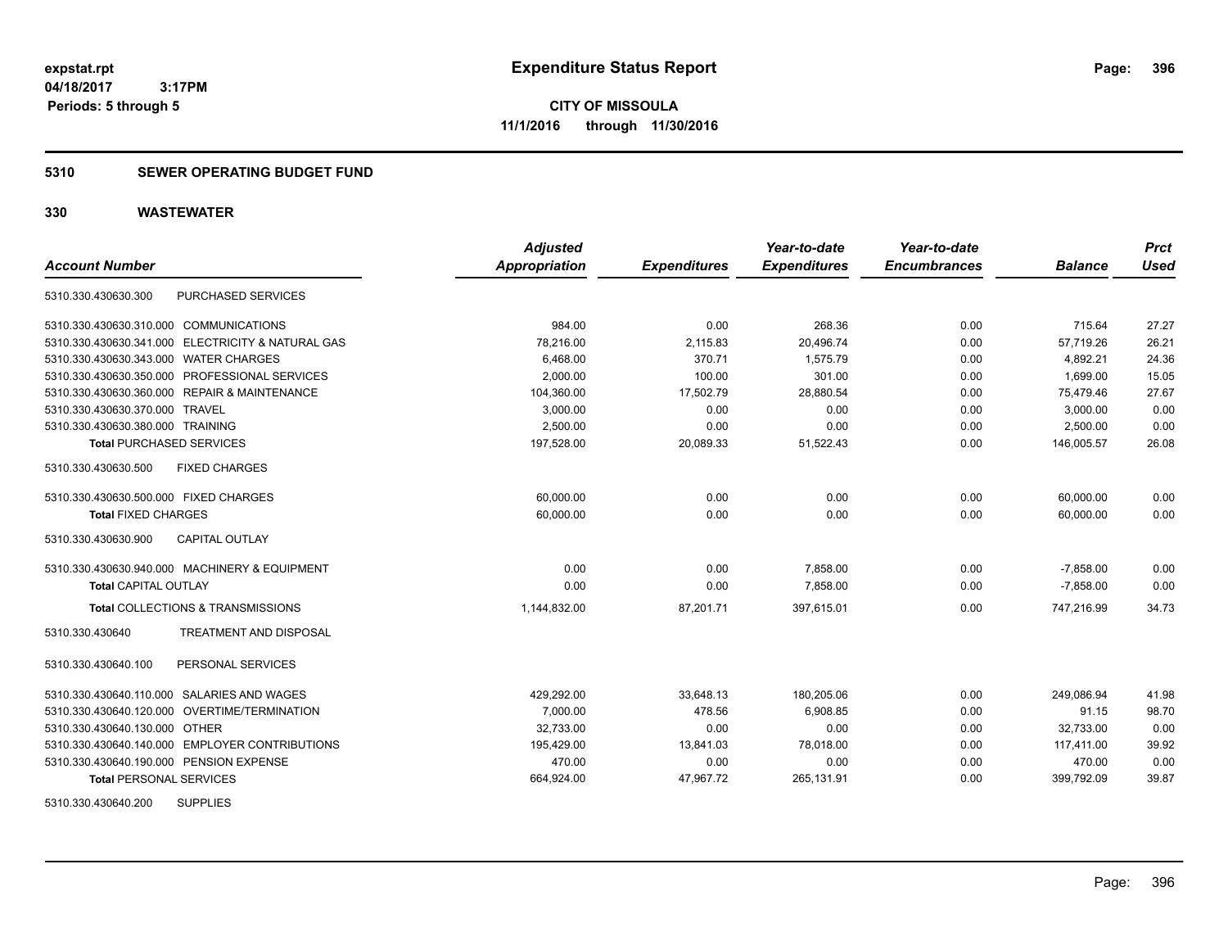**CITY OF MISSOULA 11/1/2016 through 11/30/2016**

#### **5310 SEWER OPERATING BUDGET FUND**

| <b>Account Number</b>                             | <b>Adjusted</b><br>Appropriation | <b>Expenditures</b> | Year-to-date<br><b>Expenditures</b> | Year-to-date<br><b>Encumbrances</b> | <b>Balance</b> | <b>Prct</b><br><b>Used</b> |
|---------------------------------------------------|----------------------------------|---------------------|-------------------------------------|-------------------------------------|----------------|----------------------------|
| PURCHASED SERVICES<br>5310.330.430630.300         |                                  |                     |                                     |                                     |                |                            |
|                                                   |                                  |                     |                                     |                                     |                |                            |
| 5310.330.430630.310.000 COMMUNICATIONS            | 984.00                           | 0.00                | 268.36                              | 0.00                                | 715.64         | 27.27                      |
| 5310.330.430630.341.000 ELECTRICITY & NATURAL GAS | 78,216.00                        | 2,115.83            | 20,496.74                           | 0.00                                | 57,719.26      | 26.21                      |
| 5310.330.430630.343.000 WATER CHARGES             | 6,468.00                         | 370.71              | 1,575.79                            | 0.00                                | 4,892.21       | 24.36                      |
| 5310.330.430630.350.000 PROFESSIONAL SERVICES     | 2,000.00                         | 100.00              | 301.00                              | 0.00                                | 1,699.00       | 15.05                      |
| 5310.330.430630.360.000 REPAIR & MAINTENANCE      | 104,360.00                       | 17,502.79           | 28,880.54                           | 0.00                                | 75,479.46      | 27.67                      |
| 5310.330.430630.370.000 TRAVEL                    | 3,000.00                         | 0.00                | 0.00                                | 0.00                                | 3,000.00       | 0.00                       |
| 5310.330.430630.380.000 TRAINING                  | 2,500.00                         | 0.00                | 0.00                                | 0.00                                | 2,500.00       | 0.00                       |
| <b>Total PURCHASED SERVICES</b>                   | 197,528.00                       | 20,089.33           | 51,522.43                           | 0.00                                | 146,005.57     | 26.08                      |
| <b>FIXED CHARGES</b><br>5310.330.430630.500       |                                  |                     |                                     |                                     |                |                            |
| 5310.330.430630.500.000 FIXED CHARGES             | 60,000.00                        | 0.00                | 0.00                                | 0.00                                | 60,000.00      | 0.00                       |
| <b>Total FIXED CHARGES</b>                        | 60,000.00                        | 0.00                | 0.00                                | 0.00                                | 60,000.00      | 0.00                       |
| <b>CAPITAL OUTLAY</b><br>5310.330.430630.900      |                                  |                     |                                     |                                     |                |                            |
| 5310.330.430630.940.000 MACHINERY & EQUIPMENT     | 0.00                             | 0.00                | 7,858.00                            | 0.00                                | $-7,858.00$    | 0.00                       |
| <b>Total CAPITAL OUTLAY</b>                       | 0.00                             | 0.00                | 7,858.00                            | 0.00                                | $-7,858.00$    | 0.00                       |
| Total COLLECTIONS & TRANSMISSIONS                 | 1,144,832.00                     | 87,201.71           | 397,615.01                          | 0.00                                | 747,216.99     | 34.73                      |
| TREATMENT AND DISPOSAL<br>5310.330.430640         |                                  |                     |                                     |                                     |                |                            |
| PERSONAL SERVICES<br>5310.330.430640.100          |                                  |                     |                                     |                                     |                |                            |
| 5310.330.430640.110.000 SALARIES AND WAGES        | 429,292.00                       | 33,648.13           | 180,205.06                          | 0.00                                | 249.086.94     | 41.98                      |
| 5310.330.430640.120.000 OVERTIME/TERMINATION      | 7,000.00                         | 478.56              | 6,908.85                            | 0.00                                | 91.15          | 98.70                      |
| 5310.330.430640.130.000 OTHER                     | 32,733.00                        | 0.00                | 0.00                                | 0.00                                | 32,733.00      | 0.00                       |
| 5310.330.430640.140.000 EMPLOYER CONTRIBUTIONS    | 195,429.00                       | 13,841.03           | 78,018.00                           | 0.00                                | 117,411.00     | 39.92                      |
| 5310.330.430640.190.000 PENSION EXPENSE           | 470.00                           | 0.00                | 0.00                                | 0.00                                | 470.00         | 0.00                       |
| <b>Total PERSONAL SERVICES</b>                    | 664,924.00                       | 47,967.72           | 265,131.91                          | 0.00                                | 399,792.09     | 39.87                      |
| <b>SUPPLIES</b><br>5310.330.430640.200            |                                  |                     |                                     |                                     |                |                            |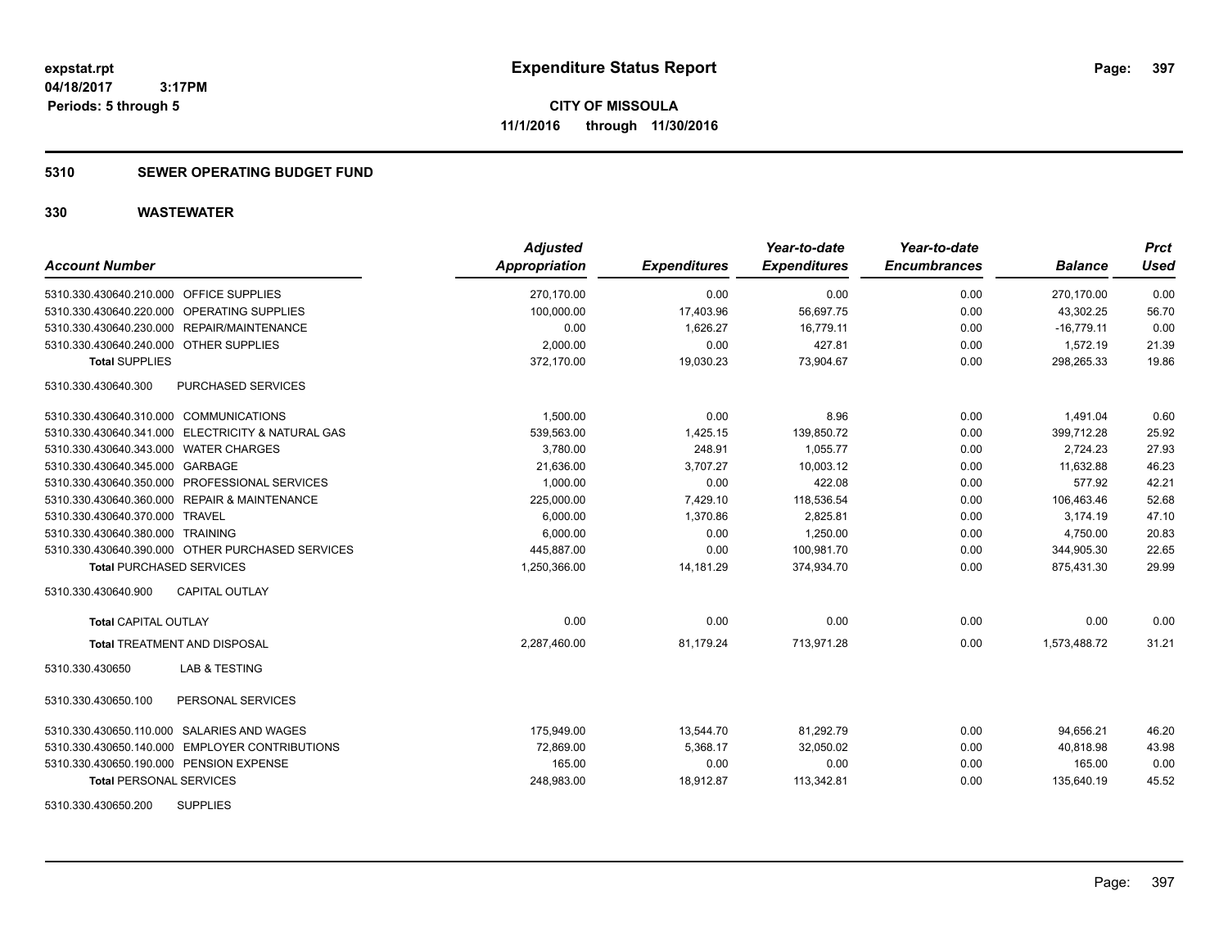**CITY OF MISSOULA 11/1/2016 through 11/30/2016**

# **5310 SEWER OPERATING BUDGET FUND**

| <b>Account Number</b>                             | <b>Adjusted</b><br><b>Appropriation</b> | <b>Expenditures</b> | Year-to-date<br><b>Expenditures</b> | Year-to-date<br><b>Encumbrances</b> | <b>Balance</b> | <b>Prct</b><br><b>Used</b> |
|---------------------------------------------------|-----------------------------------------|---------------------|-------------------------------------|-------------------------------------|----------------|----------------------------|
| 5310.330.430640.210.000 OFFICE SUPPLIES           | 270,170.00                              | 0.00                | 0.00                                | 0.00                                | 270,170.00     | 0.00                       |
| 5310.330.430640.220.000 OPERATING SUPPLIES        | 100.000.00                              | 17,403.96           | 56,697.75                           | 0.00                                | 43,302.25      | 56.70                      |
| 5310.330.430640.230.000 REPAIR/MAINTENANCE        | 0.00                                    | 1.626.27            | 16.779.11                           | 0.00                                | $-16.779.11$   | 0.00                       |
| 5310.330.430640.240.000 OTHER SUPPLIES            | 2,000.00                                | 0.00                | 427.81                              | 0.00                                | 1,572.19       | 21.39                      |
| <b>Total SUPPLIES</b>                             | 372,170.00                              | 19,030.23           | 73,904.67                           | 0.00                                | 298,265.33     | 19.86                      |
| PURCHASED SERVICES<br>5310.330.430640.300         |                                         |                     |                                     |                                     |                |                            |
| 5310.330.430640.310.000 COMMUNICATIONS            | 1,500.00                                | 0.00                | 8.96                                | 0.00                                | 1,491.04       | 0.60                       |
| 5310.330.430640.341.000 ELECTRICITY & NATURAL GAS | 539,563.00                              | 1,425.15            | 139,850.72                          | 0.00                                | 399,712.28     | 25.92                      |
| 5310.330.430640.343.000 WATER CHARGES             | 3,780.00                                | 248.91              | 1,055.77                            | 0.00                                | 2,724.23       | 27.93                      |
| 5310.330.430640.345.000 GARBAGE                   | 21,636.00                               | 3,707.27            | 10.003.12                           | 0.00                                | 11,632.88      | 46.23                      |
| 5310.330.430640.350.000 PROFESSIONAL SERVICES     | 1,000.00                                | 0.00                | 422.08                              | 0.00                                | 577.92         | 42.21                      |
| 5310.330.430640.360.000 REPAIR & MAINTENANCE      | 225,000.00                              | 7,429.10            | 118,536.54                          | 0.00                                | 106,463.46     | 52.68                      |
| 5310.330.430640.370.000 TRAVEL                    | 6,000.00                                | 1,370.86            | 2,825.81                            | 0.00                                | 3,174.19       | 47.10                      |
| 5310.330.430640.380.000 TRAINING                  | 6,000.00                                | 0.00                | 1,250.00                            | 0.00                                | 4,750.00       | 20.83                      |
| 5310.330.430640.390.000 OTHER PURCHASED SERVICES  | 445,887.00                              | 0.00                | 100.981.70                          | 0.00                                | 344,905.30     | 22.65                      |
| <b>Total PURCHASED SERVICES</b>                   | 1,250,366.00                            | 14,181.29           | 374,934.70                          | 0.00                                | 875,431.30     | 29.99                      |
| 5310.330.430640.900<br><b>CAPITAL OUTLAY</b>      |                                         |                     |                                     |                                     |                |                            |
| <b>Total CAPITAL OUTLAY</b>                       | 0.00                                    | 0.00                | 0.00                                | 0.00                                | 0.00           | 0.00                       |
| <b>Total TREATMENT AND DISPOSAL</b>               | 2.287.460.00                            | 81.179.24           | 713.971.28                          | 0.00                                | 1.573.488.72   | 31.21                      |
| <b>LAB &amp; TESTING</b><br>5310.330.430650       |                                         |                     |                                     |                                     |                |                            |
| 5310.330.430650.100<br>PERSONAL SERVICES          |                                         |                     |                                     |                                     |                |                            |
| 5310.330.430650.110.000 SALARIES AND WAGES        | 175.949.00                              | 13,544.70           | 81.292.79                           | 0.00                                | 94.656.21      | 46.20                      |
| 5310.330.430650.140.000 EMPLOYER CONTRIBUTIONS    | 72,869.00                               | 5,368.17            | 32,050.02                           | 0.00                                | 40,818.98      | 43.98                      |
| 5310.330.430650.190.000 PENSION EXPENSE           | 165.00                                  | 0.00                | 0.00                                | 0.00                                | 165.00         | 0.00                       |
| <b>Total PERSONAL SERVICES</b>                    | 248,983.00                              | 18,912.87           | 113,342.81                          | 0.00                                | 135,640.19     | 45.52                      |
| <b>SUPPLIES</b><br>5310.330.430650.200            |                                         |                     |                                     |                                     |                |                            |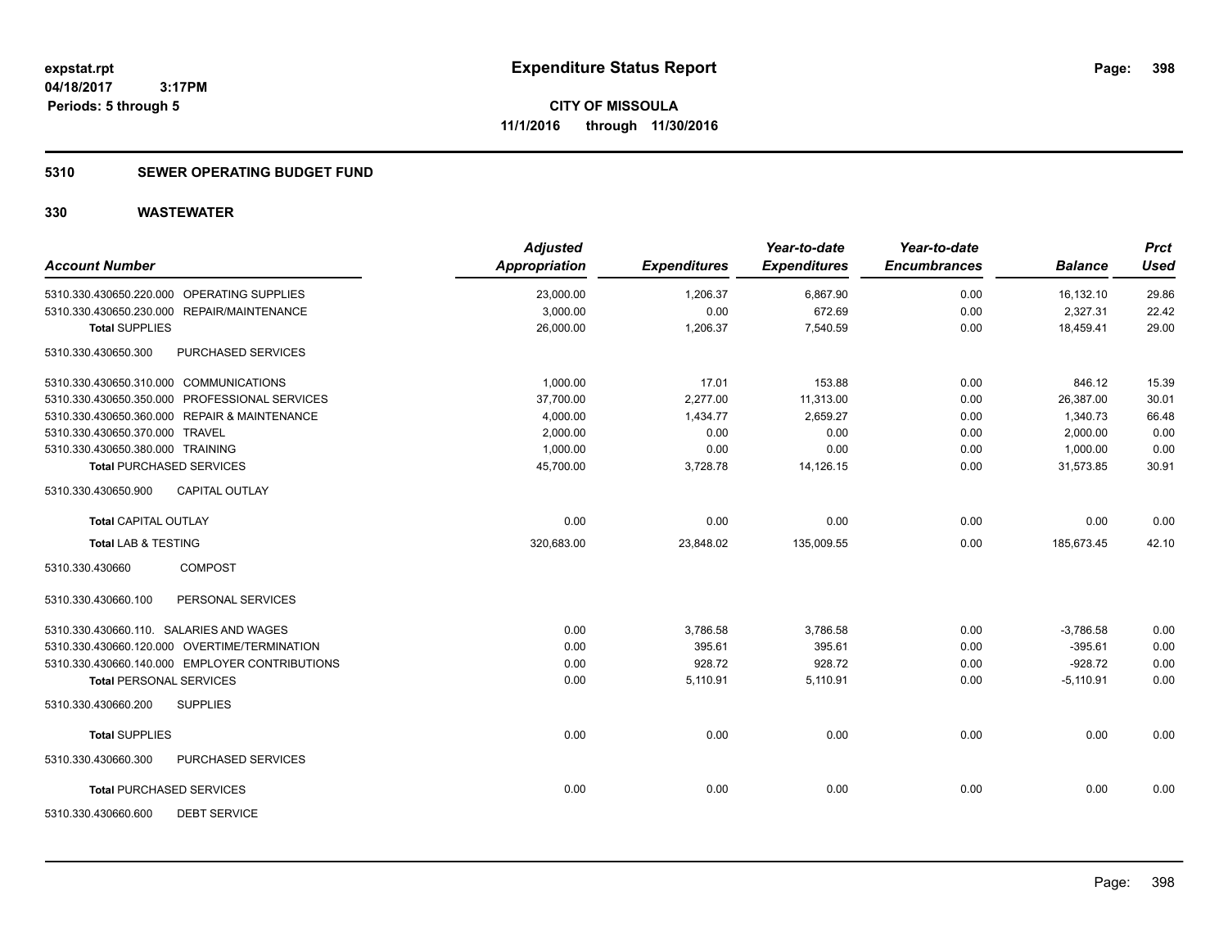# **5310 SEWER OPERATING BUDGET FUND**

| <b>Account Number</b>                          | <b>Adjusted</b><br><b>Appropriation</b> | <b>Expenditures</b> | Year-to-date<br><b>Expenditures</b> | Year-to-date<br><b>Encumbrances</b> | <b>Balance</b> | <b>Prct</b><br><b>Used</b> |
|------------------------------------------------|-----------------------------------------|---------------------|-------------------------------------|-------------------------------------|----------------|----------------------------|
| 5310.330.430650.220.000 OPERATING SUPPLIES     | 23,000.00                               | 1,206.37            | 6,867.90                            | 0.00                                | 16,132.10      | 29.86                      |
| 5310.330.430650.230.000 REPAIR/MAINTENANCE     | 3,000.00                                | 0.00                | 672.69                              | 0.00                                | 2,327.31       | 22.42                      |
| <b>Total SUPPLIES</b>                          | 26,000.00                               | 1,206.37            | 7,540.59                            | 0.00                                | 18,459.41      | 29.00                      |
| 5310.330.430650.300<br>PURCHASED SERVICES      |                                         |                     |                                     |                                     |                |                            |
| 5310.330.430650.310.000 COMMUNICATIONS         | 1,000.00                                | 17.01               | 153.88                              | 0.00                                | 846.12         | 15.39                      |
| 5310.330.430650.350.000 PROFESSIONAL SERVICES  | 37,700.00                               | 2,277.00            | 11,313.00                           | 0.00                                | 26,387.00      | 30.01                      |
| 5310.330.430650.360.000 REPAIR & MAINTENANCE   | 4,000.00                                | 1,434.77            | 2,659.27                            | 0.00                                | 1,340.73       | 66.48                      |
| 5310.330.430650.370.000 TRAVEL                 | 2,000.00                                | 0.00                | 0.00                                | 0.00                                | 2,000.00       | 0.00                       |
| 5310.330.430650.380.000 TRAINING               | 1,000.00                                | 0.00                | 0.00                                | 0.00                                | 1,000.00       | 0.00                       |
| <b>Total PURCHASED SERVICES</b>                | 45,700.00                               | 3,728.78            | 14,126.15                           | 0.00                                | 31,573.85      | 30.91                      |
| <b>CAPITAL OUTLAY</b><br>5310.330.430650.900   |                                         |                     |                                     |                                     |                |                            |
| <b>Total CAPITAL OUTLAY</b>                    | 0.00                                    | 0.00                | 0.00                                | 0.00                                | 0.00           | 0.00                       |
| <b>Total LAB &amp; TESTING</b>                 | 320,683.00                              | 23,848.02           | 135,009.55                          | 0.00                                | 185,673.45     | 42.10                      |
| <b>COMPOST</b><br>5310.330.430660              |                                         |                     |                                     |                                     |                |                            |
| PERSONAL SERVICES<br>5310.330.430660.100       |                                         |                     |                                     |                                     |                |                            |
| 5310.330.430660.110. SALARIES AND WAGES        | 0.00                                    | 3,786.58            | 3,786.58                            | 0.00                                | $-3.786.58$    | 0.00                       |
| 5310.330.430660.120.000 OVERTIME/TERMINATION   | 0.00                                    | 395.61              | 395.61                              | 0.00                                | $-395.61$      | 0.00                       |
| 5310.330.430660.140.000 EMPLOYER CONTRIBUTIONS | 0.00                                    | 928.72              | 928.72                              | 0.00                                | $-928.72$      | 0.00                       |
| <b>Total PERSONAL SERVICES</b>                 | 0.00                                    | 5,110.91            | 5,110.91                            | 0.00                                | $-5,110.91$    | 0.00                       |
| <b>SUPPLIES</b><br>5310.330.430660.200         |                                         |                     |                                     |                                     |                |                            |
| <b>Total SUPPLIES</b>                          | 0.00                                    | 0.00                | 0.00                                | 0.00                                | 0.00           | 0.00                       |
| 5310.330.430660.300<br>PURCHASED SERVICES      |                                         |                     |                                     |                                     |                |                            |
| <b>Total PURCHASED SERVICES</b>                | 0.00                                    | 0.00                | 0.00                                | 0.00                                | 0.00           | 0.00                       |
| <b>DEBT SERVICE</b><br>5310.330.430660.600     |                                         |                     |                                     |                                     |                |                            |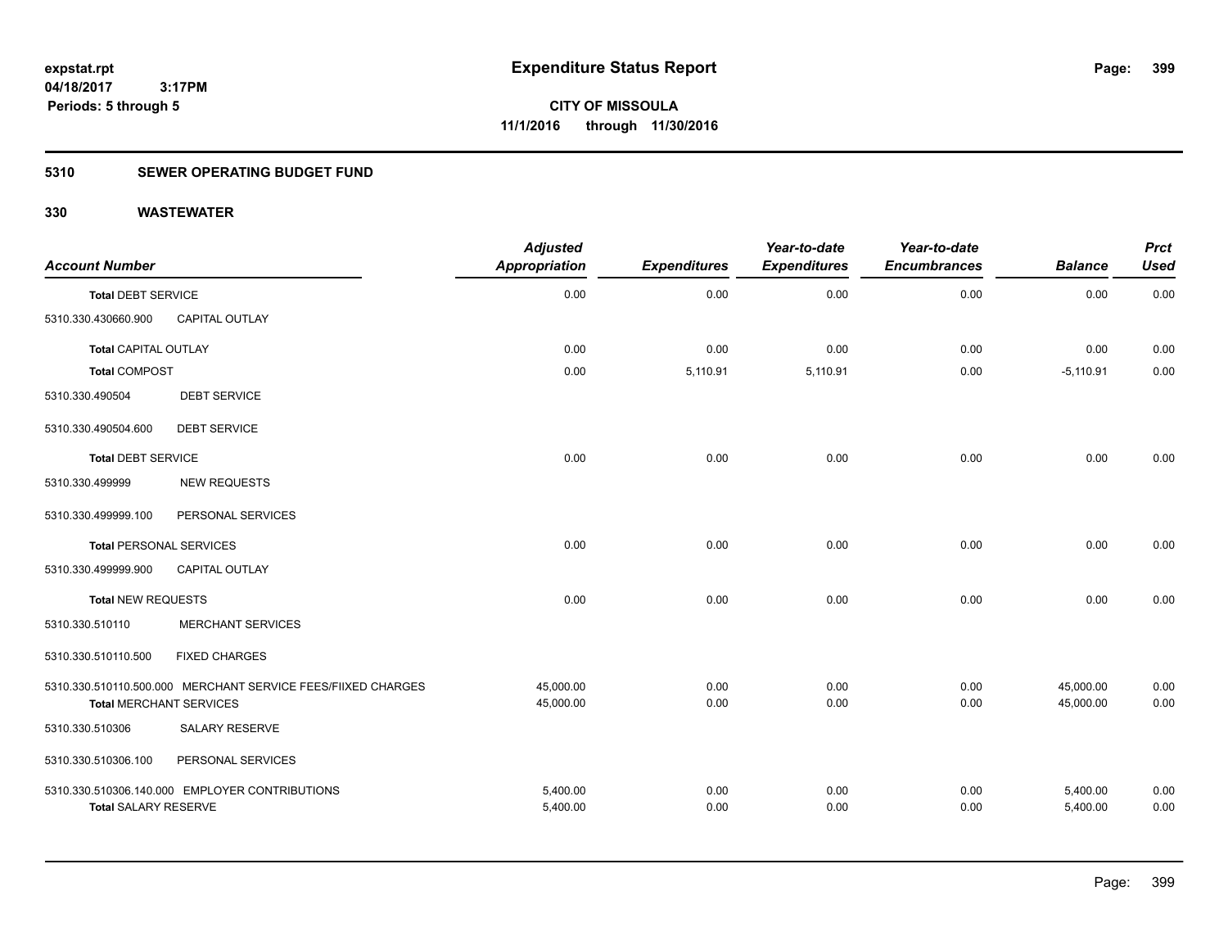# **5310 SEWER OPERATING BUDGET FUND**

| <b>Account Number</b>          |                                                              | <b>Adjusted</b><br><b>Appropriation</b> | <b>Expenditures</b> | Year-to-date<br><b>Expenditures</b> | Year-to-date<br><b>Encumbrances</b> | <b>Balance</b> | <b>Prct</b><br><b>Used</b> |
|--------------------------------|--------------------------------------------------------------|-----------------------------------------|---------------------|-------------------------------------|-------------------------------------|----------------|----------------------------|
| <b>Total DEBT SERVICE</b>      |                                                              | 0.00                                    | 0.00                | 0.00                                | 0.00                                | 0.00           | 0.00                       |
| 5310.330.430660.900            | <b>CAPITAL OUTLAY</b>                                        |                                         |                     |                                     |                                     |                |                            |
| <b>Total CAPITAL OUTLAY</b>    |                                                              | 0.00                                    | 0.00                | 0.00                                | 0.00                                | 0.00           | 0.00                       |
| <b>Total COMPOST</b>           |                                                              | 0.00                                    | 5,110.91            | 5,110.91                            | 0.00                                | $-5,110.91$    | 0.00                       |
| 5310.330.490504                | <b>DEBT SERVICE</b>                                          |                                         |                     |                                     |                                     |                |                            |
| 5310.330.490504.600            | <b>DEBT SERVICE</b>                                          |                                         |                     |                                     |                                     |                |                            |
| <b>Total DEBT SERVICE</b>      |                                                              | 0.00                                    | 0.00                | 0.00                                | 0.00                                | 0.00           | 0.00                       |
| 5310.330.499999                | <b>NEW REQUESTS</b>                                          |                                         |                     |                                     |                                     |                |                            |
| 5310.330.499999.100            | PERSONAL SERVICES                                            |                                         |                     |                                     |                                     |                |                            |
| <b>Total PERSONAL SERVICES</b> |                                                              | 0.00                                    | 0.00                | 0.00                                | 0.00                                | 0.00           | 0.00                       |
| 5310.330.499999.900            | <b>CAPITAL OUTLAY</b>                                        |                                         |                     |                                     |                                     |                |                            |
| <b>Total NEW REQUESTS</b>      |                                                              | 0.00                                    | 0.00                | 0.00                                | 0.00                                | 0.00           | 0.00                       |
| 5310.330.510110                | <b>MERCHANT SERVICES</b>                                     |                                         |                     |                                     |                                     |                |                            |
| 5310.330.510110.500            | <b>FIXED CHARGES</b>                                         |                                         |                     |                                     |                                     |                |                            |
|                                | 5310.330.510110.500.000 MERCHANT SERVICE FEES/FIIXED CHARGES | 45,000.00                               | 0.00                | 0.00                                | 0.00                                | 45,000.00      | 0.00                       |
| <b>Total MERCHANT SERVICES</b> |                                                              | 45,000.00                               | 0.00                | 0.00                                | 0.00                                | 45,000.00      | 0.00                       |
| 5310.330.510306                | <b>SALARY RESERVE</b>                                        |                                         |                     |                                     |                                     |                |                            |
| 5310.330.510306.100            | PERSONAL SERVICES                                            |                                         |                     |                                     |                                     |                |                            |
|                                | 5310.330.510306.140.000 EMPLOYER CONTRIBUTIONS               | 5,400.00                                | 0.00                | 0.00                                | 0.00                                | 5,400.00       | 0.00                       |
| <b>Total SALARY RESERVE</b>    |                                                              | 5,400.00                                | 0.00                | 0.00                                | 0.00                                | 5,400.00       | 0.00                       |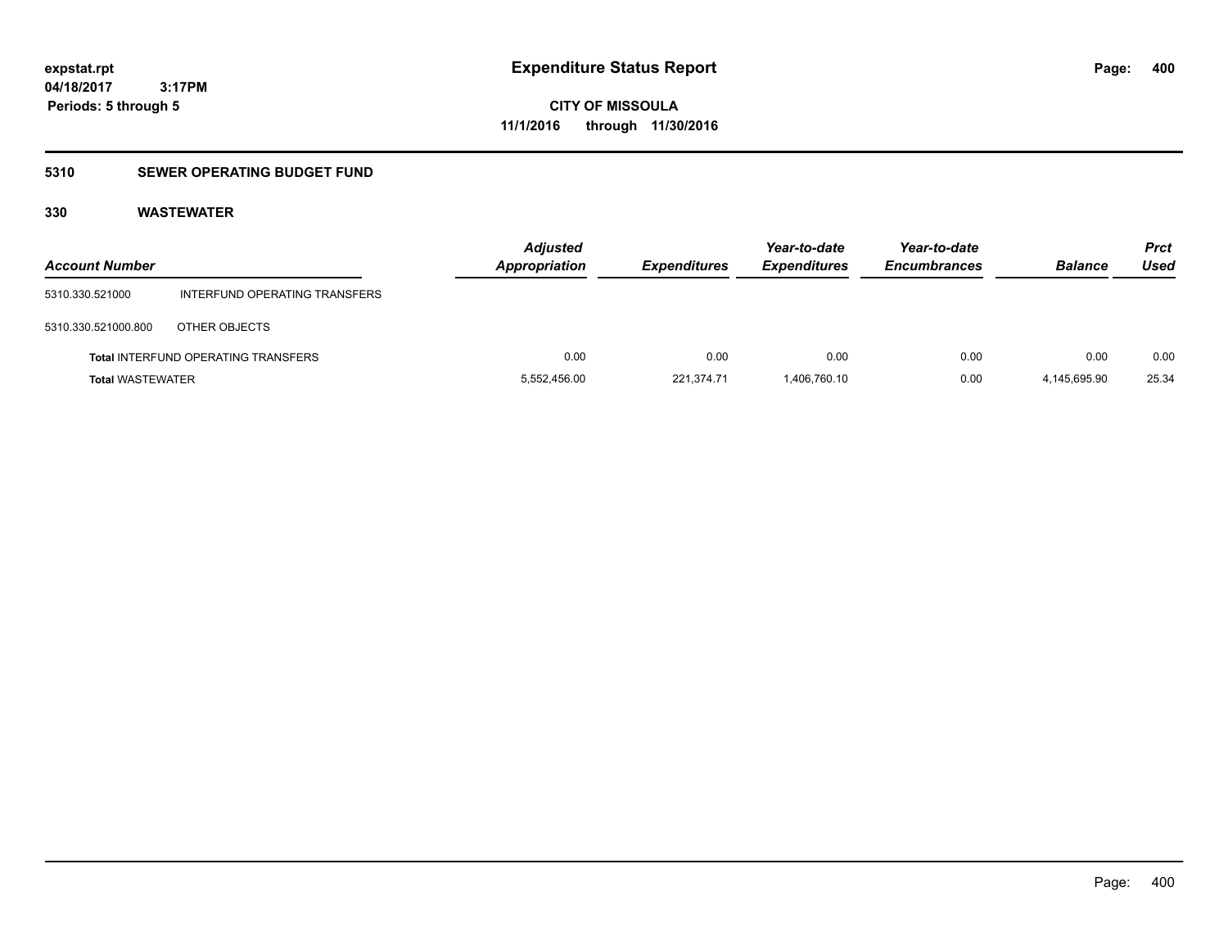# **CITY OF MISSOULA 11/1/2016 through 11/30/2016**

# **5310 SEWER OPERATING BUDGET FUND**

| <b>Account Number</b>   |                                            | <b>Adjusted</b><br>Appropriation | <b>Expenditures</b> | Year-to-date<br><b>Expenditures</b> | Year-to-date<br><b>Encumbrances</b> | <b>Balance</b> | <b>Prct</b><br>Used |
|-------------------------|--------------------------------------------|----------------------------------|---------------------|-------------------------------------|-------------------------------------|----------------|---------------------|
| 5310.330.521000         | INTERFUND OPERATING TRANSFERS              |                                  |                     |                                     |                                     |                |                     |
| 5310.330.521000.800     | OTHER OBJECTS                              |                                  |                     |                                     |                                     |                |                     |
|                         | <b>Total INTERFUND OPERATING TRANSFERS</b> | 0.00                             | 0.00                | 0.00                                | 0.00                                | 0.00           | 0.00                |
| <b>Total WASTEWATER</b> |                                            | 5,552,456.00                     | 221,374.71          | 1,406,760.10                        | 0.00                                | 4,145,695.90   | 25.34               |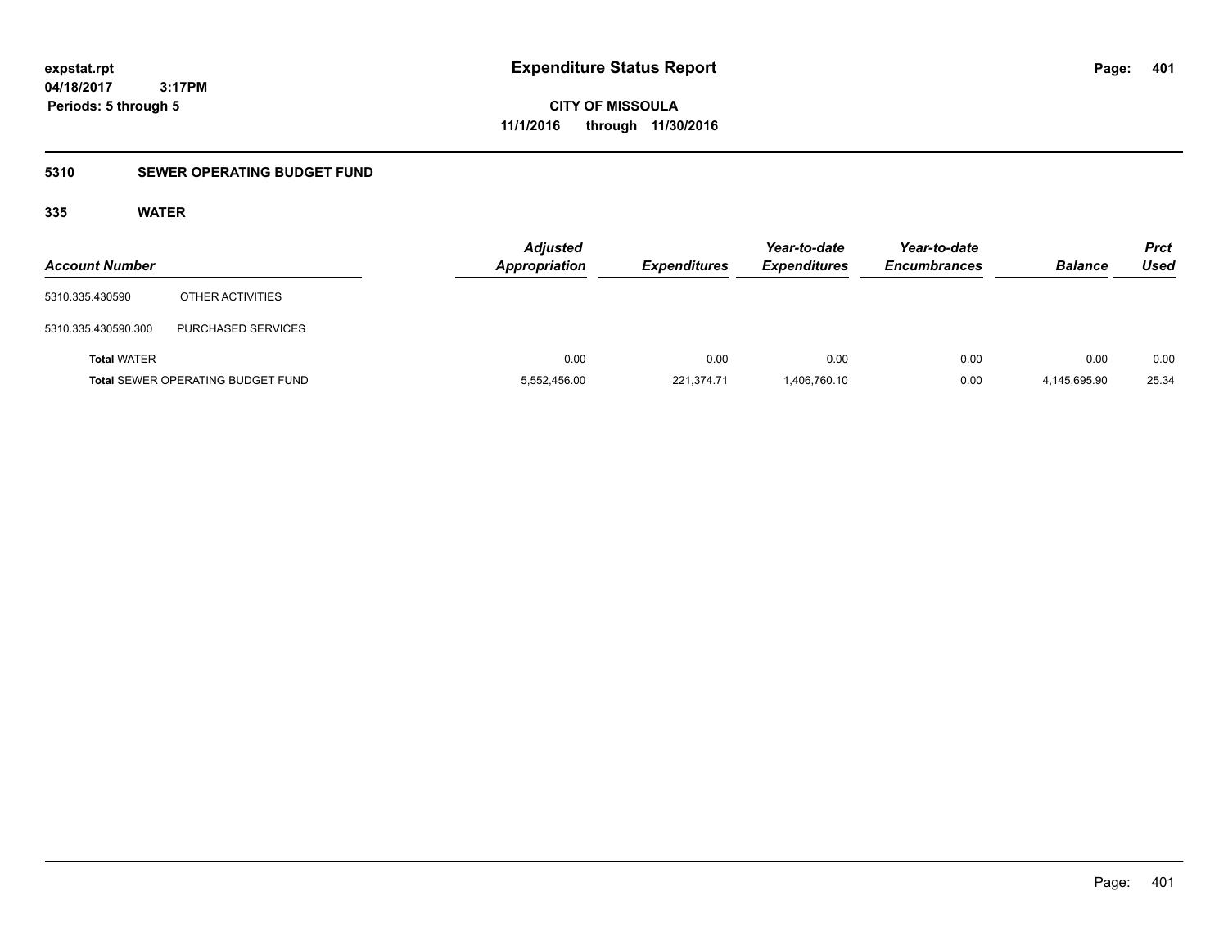**CITY OF MISSOULA 11/1/2016 through 11/30/2016**

# **5310 SEWER OPERATING BUDGET FUND**

# **335 WATER**

| <b>Account Number</b> |                                          | <b>Adjusted</b><br><b>Appropriation</b> | <b>Expenditures</b> | Year-to-date<br><b>Expenditures</b> | Year-to-date<br><b>Encumbrances</b> | <b>Balance</b> | <b>Prct</b><br>Used |
|-----------------------|------------------------------------------|-----------------------------------------|---------------------|-------------------------------------|-------------------------------------|----------------|---------------------|
| 5310.335.430590       | OTHER ACTIVITIES                         |                                         |                     |                                     |                                     |                |                     |
| 5310.335.430590.300   | <b>PURCHASED SERVICES</b>                |                                         |                     |                                     |                                     |                |                     |
| <b>Total WATER</b>    |                                          | 0.00                                    | 0.00                | 0.00                                | 0.00                                | 0.00           | 0.00                |
|                       | <b>Total SEWER OPERATING BUDGET FUND</b> | 5,552,456.00                            | 221,374.71          | 1,406,760.10                        | 0.00                                | 4,145,695.90   | 25.34               |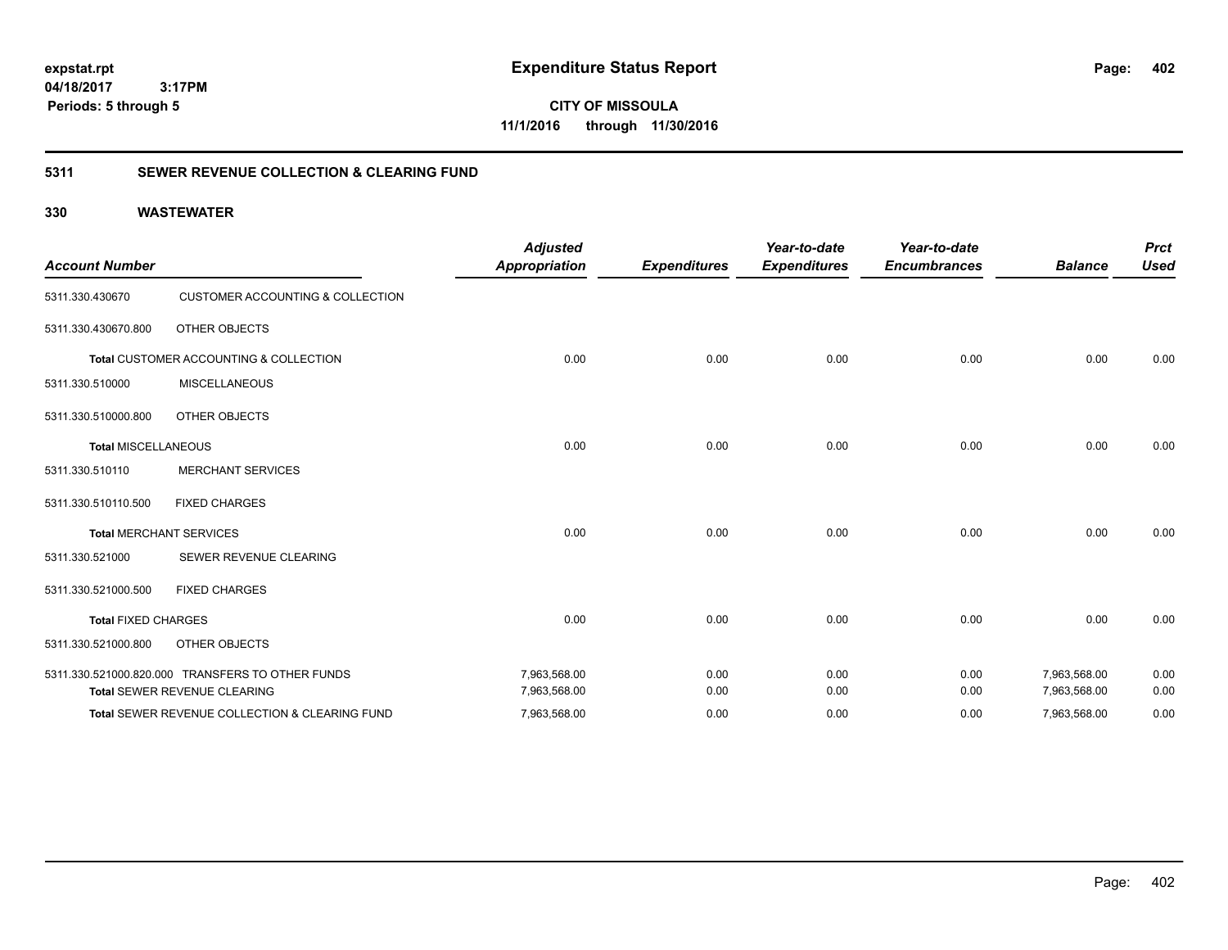**CITY OF MISSOULA 11/1/2016 through 11/30/2016**

# **5311 SEWER REVENUE COLLECTION & CLEARING FUND**

| <b>Account Number</b>      |                                                           | <b>Adjusted</b><br><b>Appropriation</b> | <b>Expenditures</b> | Year-to-date<br><b>Expenditures</b> | Year-to-date<br><b>Encumbrances</b> | <b>Balance</b> | <b>Prct</b><br><b>Used</b> |
|----------------------------|-----------------------------------------------------------|-----------------------------------------|---------------------|-------------------------------------|-------------------------------------|----------------|----------------------------|
| 5311.330.430670            | <b>CUSTOMER ACCOUNTING &amp; COLLECTION</b>               |                                         |                     |                                     |                                     |                |                            |
| 5311.330.430670.800        | <b>OTHER OBJECTS</b>                                      |                                         |                     |                                     |                                     |                |                            |
|                            | Total CUSTOMER ACCOUNTING & COLLECTION                    | 0.00                                    | 0.00                | 0.00                                | 0.00                                | 0.00           | 0.00                       |
| 5311.330.510000            | <b>MISCELLANEOUS</b>                                      |                                         |                     |                                     |                                     |                |                            |
| 5311.330.510000.800        | <b>OTHER OBJECTS</b>                                      |                                         |                     |                                     |                                     |                |                            |
| <b>Total MISCELLANEOUS</b> |                                                           | 0.00                                    | 0.00                | 0.00                                | 0.00                                | 0.00           | 0.00                       |
| 5311.330.510110            | <b>MERCHANT SERVICES</b>                                  |                                         |                     |                                     |                                     |                |                            |
| 5311.330.510110.500        | <b>FIXED CHARGES</b>                                      |                                         |                     |                                     |                                     |                |                            |
|                            | <b>Total MERCHANT SERVICES</b>                            | 0.00                                    | 0.00                | 0.00                                | 0.00                                | 0.00           | 0.00                       |
| 5311.330.521000            | SEWER REVENUE CLEARING                                    |                                         |                     |                                     |                                     |                |                            |
| 5311.330.521000.500        | <b>FIXED CHARGES</b>                                      |                                         |                     |                                     |                                     |                |                            |
| <b>Total FIXED CHARGES</b> |                                                           | 0.00                                    | 0.00                | 0.00                                | 0.00                                | 0.00           | 0.00                       |
| 5311.330.521000.800        | OTHER OBJECTS                                             |                                         |                     |                                     |                                     |                |                            |
|                            | 5311.330.521000.820.000 TRANSFERS TO OTHER FUNDS          | 7,963,568.00                            | 0.00                | 0.00                                | 0.00                                | 7,963,568.00   | 0.00                       |
|                            | Total SEWER REVENUE CLEARING                              | 7,963,568.00                            | 0.00                | 0.00                                | 0.00                                | 7,963,568.00   | 0.00                       |
|                            | <b>Total SEWER REVENUE COLLECTION &amp; CLEARING FUND</b> | 7,963,568.00                            | 0.00                | 0.00                                | 0.00                                | 7,963,568.00   | 0.00                       |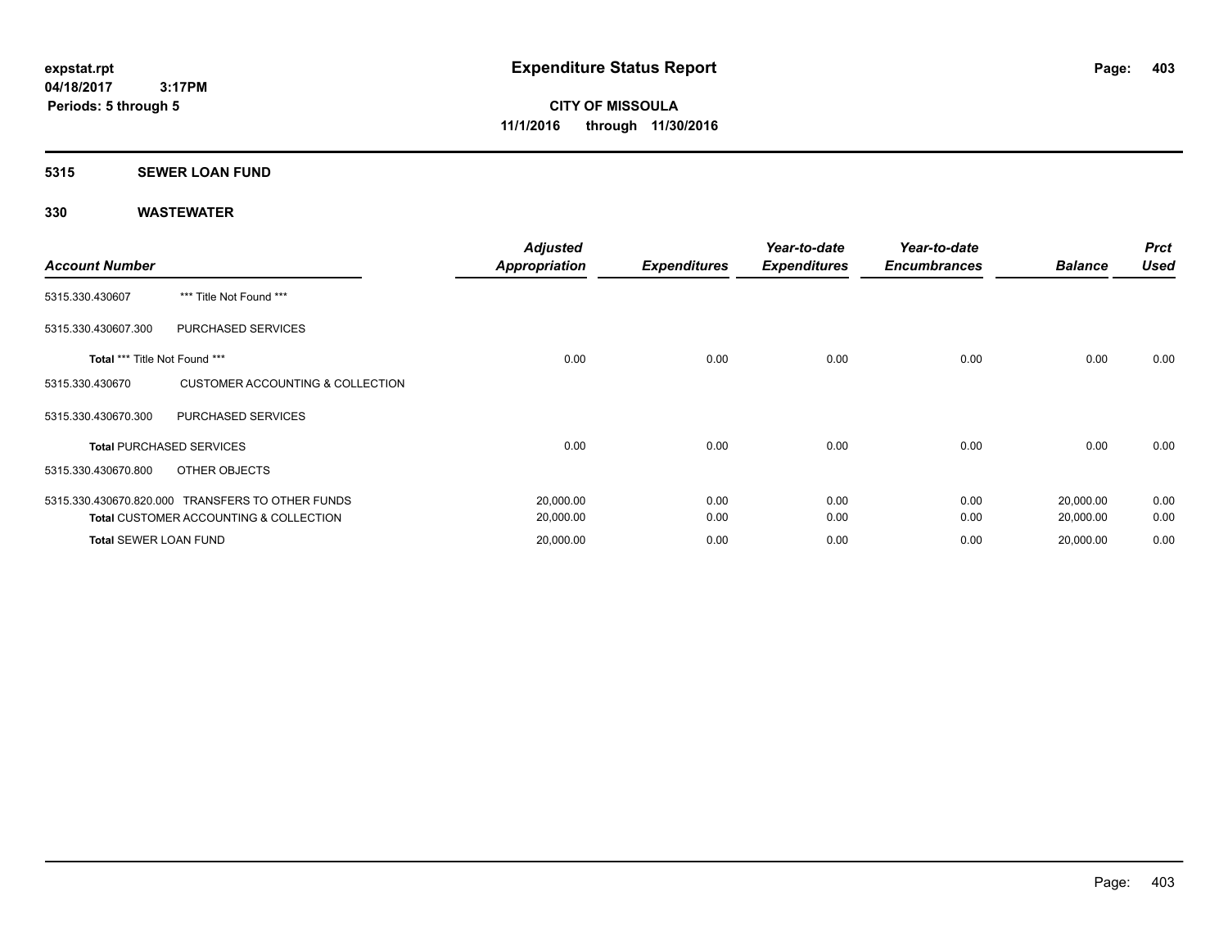### **5315 SEWER LOAN FUND**

| <b>Account Number</b>         |                                                   | <b>Adjusted</b><br><b>Appropriation</b> | <b>Expenditures</b> | Year-to-date<br><b>Expenditures</b> | Year-to-date<br><b>Encumbrances</b> | <b>Balance</b> | <b>Prct</b><br><b>Used</b> |
|-------------------------------|---------------------------------------------------|-----------------------------------------|---------------------|-------------------------------------|-------------------------------------|----------------|----------------------------|
| 5315.330.430607               | *** Title Not Found ***                           |                                         |                     |                                     |                                     |                |                            |
| 5315.330.430607.300           | PURCHASED SERVICES                                |                                         |                     |                                     |                                     |                |                            |
| Total *** Title Not Found *** |                                                   | 0.00                                    | 0.00                | 0.00                                | 0.00                                | 0.00           | 0.00                       |
| 5315.330.430670               | <b>CUSTOMER ACCOUNTING &amp; COLLECTION</b>       |                                         |                     |                                     |                                     |                |                            |
| 5315.330.430670.300           | PURCHASED SERVICES                                |                                         |                     |                                     |                                     |                |                            |
|                               | <b>Total PURCHASED SERVICES</b>                   | 0.00                                    | 0.00                | 0.00                                | 0.00                                | 0.00           | 0.00                       |
| 5315.330.430670.800           | OTHER OBJECTS                                     |                                         |                     |                                     |                                     |                |                            |
|                               | 5315.330.430670.820.000 TRANSFERS TO OTHER FUNDS  | 20,000.00                               | 0.00                | 0.00                                | 0.00                                | 20,000.00      | 0.00                       |
|                               | <b>Total CUSTOMER ACCOUNTING &amp; COLLECTION</b> | 20,000.00                               | 0.00                | 0.00                                | 0.00                                | 20,000.00      | 0.00                       |
| <b>Total SEWER LOAN FUND</b>  |                                                   | 20,000.00                               | 0.00                | 0.00                                | 0.00                                | 20,000.00      | 0.00                       |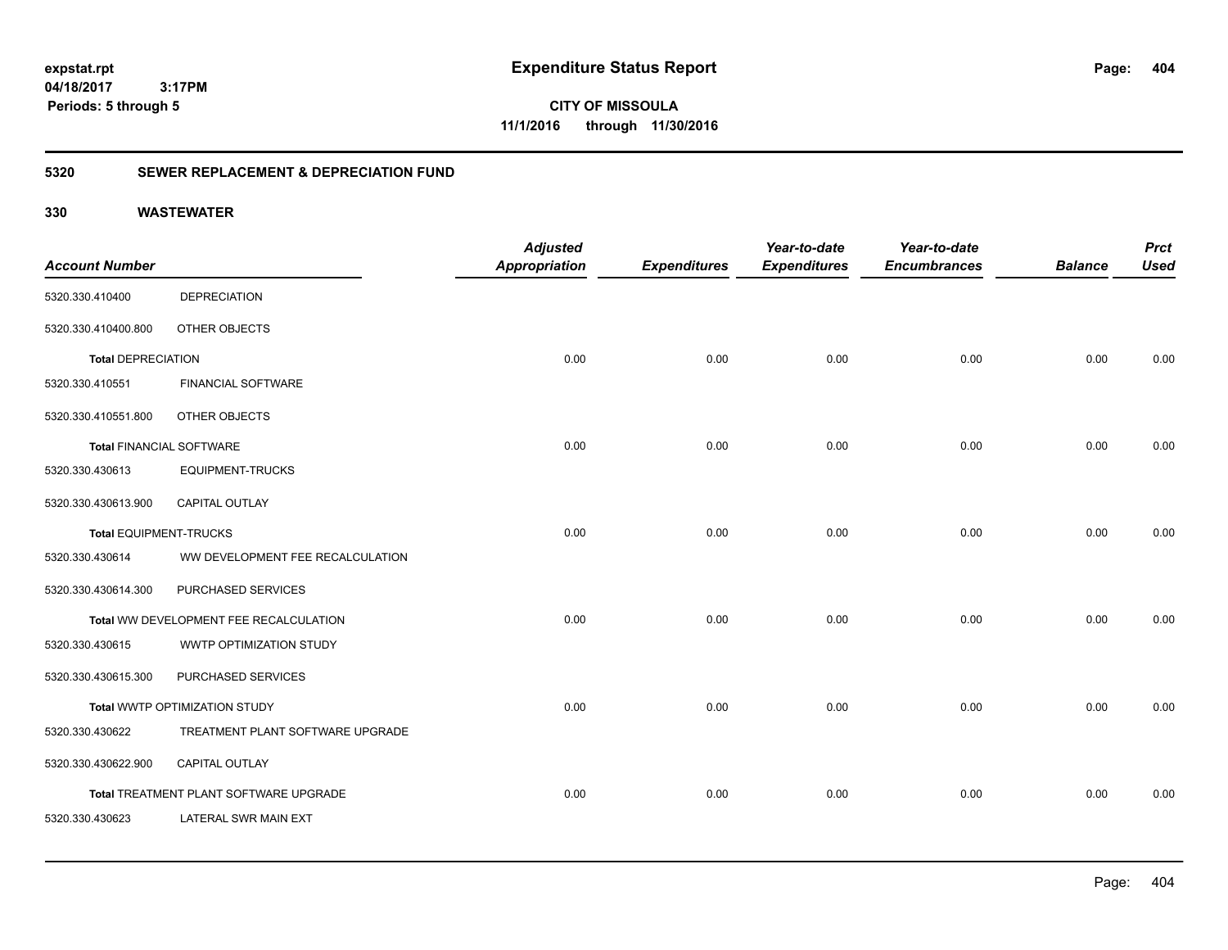**CITY OF MISSOULA 11/1/2016 through 11/30/2016**

# **5320 SEWER REPLACEMENT & DEPRECIATION FUND**

|                                 |                                        | <b>Adjusted</b>      |                     | Year-to-date        | Year-to-date        |                | <b>Prct</b> |
|---------------------------------|----------------------------------------|----------------------|---------------------|---------------------|---------------------|----------------|-------------|
| <b>Account Number</b>           |                                        | <b>Appropriation</b> | <b>Expenditures</b> | <b>Expenditures</b> | <b>Encumbrances</b> | <b>Balance</b> | <b>Used</b> |
| 5320.330.410400                 | <b>DEPRECIATION</b>                    |                      |                     |                     |                     |                |             |
| 5320.330.410400.800             | OTHER OBJECTS                          |                      |                     |                     |                     |                |             |
| <b>Total DEPRECIATION</b>       |                                        | 0.00                 | 0.00                | 0.00                | 0.00                | 0.00           | 0.00        |
| 5320.330.410551                 | <b>FINANCIAL SOFTWARE</b>              |                      |                     |                     |                     |                |             |
| 5320.330.410551.800             | OTHER OBJECTS                          |                      |                     |                     |                     |                |             |
| <b>Total FINANCIAL SOFTWARE</b> |                                        | 0.00                 | 0.00                | 0.00                | 0.00                | 0.00           | 0.00        |
| 5320.330.430613                 | <b>EQUIPMENT-TRUCKS</b>                |                      |                     |                     |                     |                |             |
| 5320.330.430613.900             | <b>CAPITAL OUTLAY</b>                  |                      |                     |                     |                     |                |             |
| <b>Total EQUIPMENT-TRUCKS</b>   |                                        | 0.00                 | 0.00                | 0.00                | 0.00                | 0.00           | 0.00        |
| 5320.330.430614                 | WW DEVELOPMENT FEE RECALCULATION       |                      |                     |                     |                     |                |             |
| 5320.330.430614.300             | PURCHASED SERVICES                     |                      |                     |                     |                     |                |             |
|                                 | Total WW DEVELOPMENT FEE RECALCULATION | 0.00                 | 0.00                | 0.00                | 0.00                | 0.00           | 0.00        |
| 5320.330.430615                 | WWTP OPTIMIZATION STUDY                |                      |                     |                     |                     |                |             |
| 5320.330.430615.300             | PURCHASED SERVICES                     |                      |                     |                     |                     |                |             |
|                                 | Total WWTP OPTIMIZATION STUDY          | 0.00                 | 0.00                | 0.00                | 0.00                | 0.00           | 0.00        |
| 5320.330.430622                 | TREATMENT PLANT SOFTWARE UPGRADE       |                      |                     |                     |                     |                |             |
| 5320.330.430622.900             | <b>CAPITAL OUTLAY</b>                  |                      |                     |                     |                     |                |             |
|                                 | Total TREATMENT PLANT SOFTWARE UPGRADE | 0.00                 | 0.00                | 0.00                | 0.00                | 0.00           | 0.00        |
| 5320.330.430623                 | LATERAL SWR MAIN EXT                   |                      |                     |                     |                     |                |             |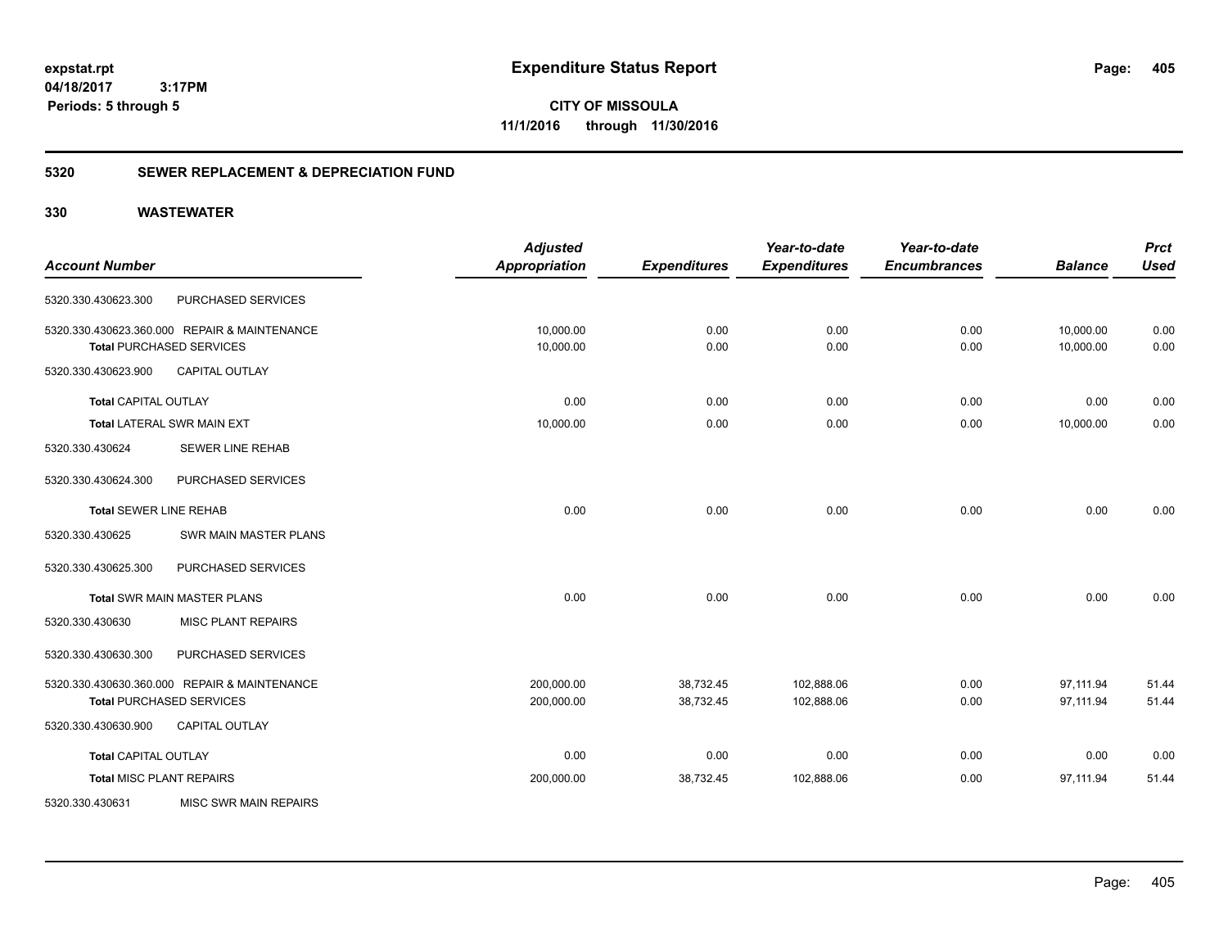**CITY OF MISSOULA 11/1/2016 through 11/30/2016**

# **5320 SEWER REPLACEMENT & DEPRECIATION FUND**

|                                 |                                              | <b>Adjusted</b>      |                     | Year-to-date        | Year-to-date        |                | <b>Prct</b> |
|---------------------------------|----------------------------------------------|----------------------|---------------------|---------------------|---------------------|----------------|-------------|
| <b>Account Number</b>           |                                              | <b>Appropriation</b> | <b>Expenditures</b> | <b>Expenditures</b> | <b>Encumbrances</b> | <b>Balance</b> | <b>Used</b> |
| 5320.330.430623.300             | <b>PURCHASED SERVICES</b>                    |                      |                     |                     |                     |                |             |
|                                 | 5320.330.430623.360.000 REPAIR & MAINTENANCE | 10,000.00            | 0.00                | 0.00                | 0.00                | 10,000.00      | 0.00        |
|                                 | <b>Total PURCHASED SERVICES</b>              | 10,000.00            | 0.00                | 0.00                | 0.00                | 10,000.00      | 0.00        |
| 5320.330.430623.900             | <b>CAPITAL OUTLAY</b>                        |                      |                     |                     |                     |                |             |
| <b>Total CAPITAL OUTLAY</b>     |                                              | 0.00                 | 0.00                | 0.00                | 0.00                | 0.00           | 0.00        |
|                                 | Total LATERAL SWR MAIN EXT                   | 10,000.00            | 0.00                | 0.00                | 0.00                | 10,000.00      | 0.00        |
| 5320.330.430624                 | <b>SEWER LINE REHAB</b>                      |                      |                     |                     |                     |                |             |
| 5320.330.430624.300             | PURCHASED SERVICES                           |                      |                     |                     |                     |                |             |
| <b>Total SEWER LINE REHAB</b>   |                                              | 0.00                 | 0.00                | 0.00                | 0.00                | 0.00           | 0.00        |
| 5320.330.430625                 | SWR MAIN MASTER PLANS                        |                      |                     |                     |                     |                |             |
| 5320.330.430625.300             | PURCHASED SERVICES                           |                      |                     |                     |                     |                |             |
|                                 | <b>Total SWR MAIN MASTER PLANS</b>           | 0.00                 | 0.00                | 0.00                | 0.00                | 0.00           | 0.00        |
| 5320.330.430630                 | <b>MISC PLANT REPAIRS</b>                    |                      |                     |                     |                     |                |             |
| 5320.330.430630.300             | PURCHASED SERVICES                           |                      |                     |                     |                     |                |             |
|                                 | 5320.330.430630.360.000 REPAIR & MAINTENANCE | 200,000.00           | 38,732.45           | 102,888.06          | 0.00                | 97,111.94      | 51.44       |
|                                 | <b>Total PURCHASED SERVICES</b>              | 200,000.00           | 38,732.45           | 102,888.06          | 0.00                | 97,111.94      | 51.44       |
| 5320.330.430630.900             | <b>CAPITAL OUTLAY</b>                        |                      |                     |                     |                     |                |             |
| <b>Total CAPITAL OUTLAY</b>     |                                              | 0.00                 | 0.00                | 0.00                | 0.00                | 0.00           | 0.00        |
| <b>Total MISC PLANT REPAIRS</b> |                                              | 200,000.00           | 38,732.45           | 102,888.06          | 0.00                | 97,111.94      | 51.44       |
| 5320.330.430631                 | <b>MISC SWR MAIN REPAIRS</b>                 |                      |                     |                     |                     |                |             |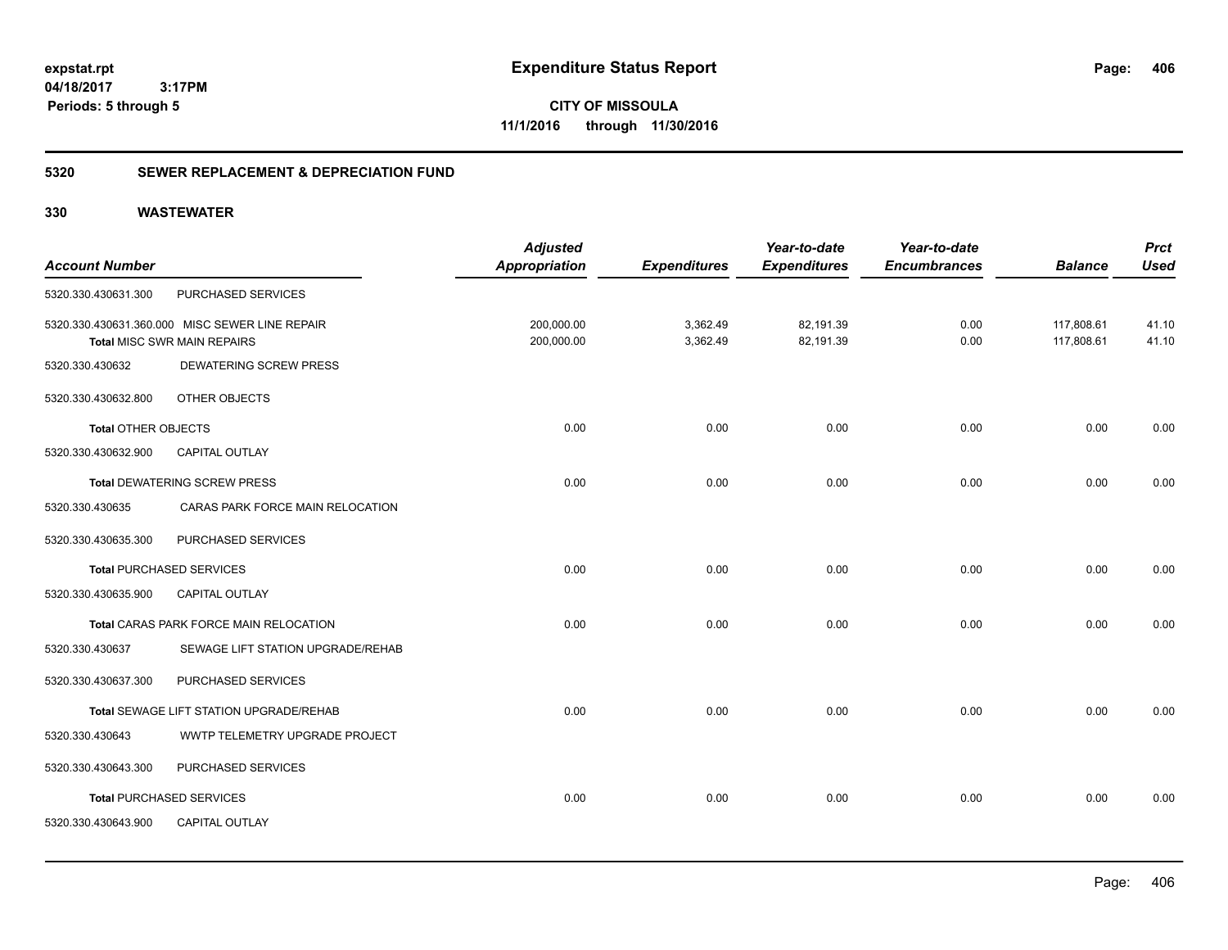**CITY OF MISSOULA 11/1/2016 through 11/30/2016**

# **5320 SEWER REPLACEMENT & DEPRECIATION FUND**

| <b>Account Number</b>      |                                                                                      | <b>Adjusted</b><br><b>Appropriation</b> | <b>Expenditures</b>  | Year-to-date<br><b>Expenditures</b> | Year-to-date<br><b>Encumbrances</b> | <b>Balance</b>           | <b>Prct</b><br><b>Used</b> |
|----------------------------|--------------------------------------------------------------------------------------|-----------------------------------------|----------------------|-------------------------------------|-------------------------------------|--------------------------|----------------------------|
| 5320.330.430631.300        | PURCHASED SERVICES                                                                   |                                         |                      |                                     |                                     |                          |                            |
|                            | 5320.330.430631.360.000 MISC SEWER LINE REPAIR<br><b>Total MISC SWR MAIN REPAIRS</b> | 200,000.00<br>200,000.00                | 3,362.49<br>3,362.49 | 82,191.39<br>82,191.39              | 0.00<br>0.00                        | 117,808.61<br>117,808.61 | 41.10<br>41.10             |
| 5320.330.430632            | <b>DEWATERING SCREW PRESS</b>                                                        |                                         |                      |                                     |                                     |                          |                            |
| 5320.330.430632.800        | OTHER OBJECTS                                                                        |                                         |                      |                                     |                                     |                          |                            |
| <b>Total OTHER OBJECTS</b> |                                                                                      | 0.00                                    | 0.00                 | 0.00                                | 0.00                                | 0.00                     | 0.00                       |
| 5320.330.430632.900        | <b>CAPITAL OUTLAY</b>                                                                |                                         |                      |                                     |                                     |                          |                            |
|                            | <b>Total DEWATERING SCREW PRESS</b>                                                  | 0.00                                    | 0.00                 | 0.00                                | 0.00                                | 0.00                     | 0.00                       |
| 5320.330.430635            | CARAS PARK FORCE MAIN RELOCATION                                                     |                                         |                      |                                     |                                     |                          |                            |
| 5320.330.430635.300        | PURCHASED SERVICES                                                                   |                                         |                      |                                     |                                     |                          |                            |
|                            | <b>Total PURCHASED SERVICES</b>                                                      | 0.00                                    | 0.00                 | 0.00                                | 0.00                                | 0.00                     | 0.00                       |
| 5320.330.430635.900        | CAPITAL OUTLAY                                                                       |                                         |                      |                                     |                                     |                          |                            |
|                            | Total CARAS PARK FORCE MAIN RELOCATION                                               | 0.00                                    | 0.00                 | 0.00                                | 0.00                                | 0.00                     | 0.00                       |
| 5320.330.430637            | SEWAGE LIFT STATION UPGRADE/REHAB                                                    |                                         |                      |                                     |                                     |                          |                            |
| 5320.330.430637.300        | PURCHASED SERVICES                                                                   |                                         |                      |                                     |                                     |                          |                            |
|                            | Total SEWAGE LIFT STATION UPGRADE/REHAB                                              | 0.00                                    | 0.00                 | 0.00                                | 0.00                                | 0.00                     | 0.00                       |
| 5320.330.430643            | WWTP TELEMETRY UPGRADE PROJECT                                                       |                                         |                      |                                     |                                     |                          |                            |
| 5320.330.430643.300        | PURCHASED SERVICES                                                                   |                                         |                      |                                     |                                     |                          |                            |
|                            | <b>Total PURCHASED SERVICES</b>                                                      | 0.00                                    | 0.00                 | 0.00                                | 0.00                                | 0.00                     | 0.00                       |
| 5320.330.430643.900        | <b>CAPITAL OUTLAY</b>                                                                |                                         |                      |                                     |                                     |                          |                            |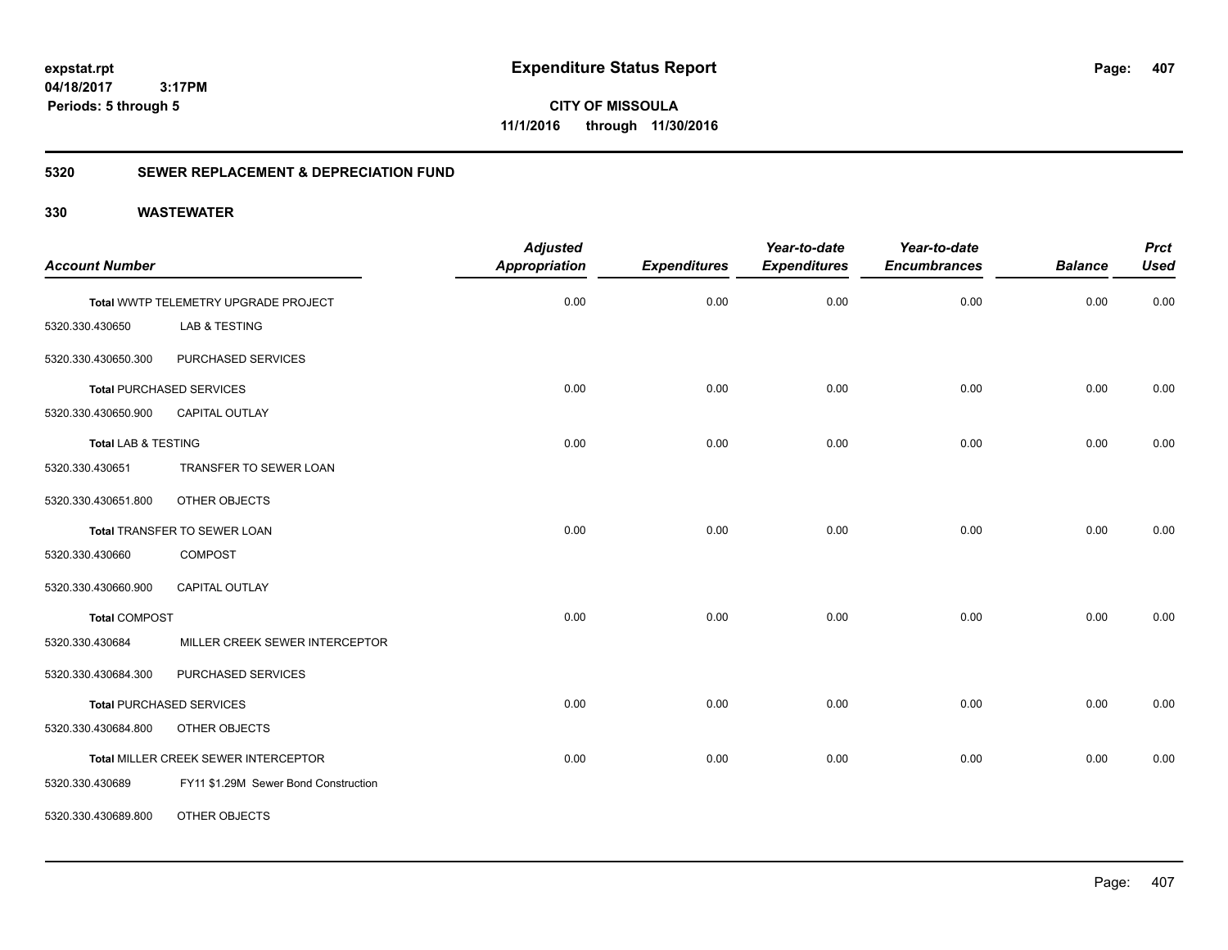**CITY OF MISSOULA 11/1/2016 through 11/30/2016**

# **5320 SEWER REPLACEMENT & DEPRECIATION FUND**

| <b>Account Number</b>          |                                      | <b>Adjusted</b><br><b>Appropriation</b> | <b>Expenditures</b> | Year-to-date<br><b>Expenditures</b> | Year-to-date<br><b>Encumbrances</b> | <b>Balance</b> | <b>Prct</b><br><b>Used</b> |
|--------------------------------|--------------------------------------|-----------------------------------------|---------------------|-------------------------------------|-------------------------------------|----------------|----------------------------|
|                                |                                      |                                         |                     |                                     |                                     |                |                            |
|                                | Total WWTP TELEMETRY UPGRADE PROJECT | 0.00                                    | 0.00                | 0.00                                | 0.00                                | 0.00           | 0.00                       |
| 5320.330.430650                | LAB & TESTING                        |                                         |                     |                                     |                                     |                |                            |
| 5320.330.430650.300            | PURCHASED SERVICES                   |                                         |                     |                                     |                                     |                |                            |
|                                | <b>Total PURCHASED SERVICES</b>      | 0.00                                    | 0.00                | 0.00                                | 0.00                                | 0.00           | 0.00                       |
| 5320.330.430650.900            | CAPITAL OUTLAY                       |                                         |                     |                                     |                                     |                |                            |
| <b>Total LAB &amp; TESTING</b> |                                      | 0.00                                    | 0.00                | 0.00                                | 0.00                                | 0.00           | 0.00                       |
| 5320.330.430651                | TRANSFER TO SEWER LOAN               |                                         |                     |                                     |                                     |                |                            |
| 5320.330.430651.800            | OTHER OBJECTS                        |                                         |                     |                                     |                                     |                |                            |
|                                | Total TRANSFER TO SEWER LOAN         | 0.00                                    | 0.00                | 0.00                                | 0.00                                | 0.00           | 0.00                       |
| 5320.330.430660                | <b>COMPOST</b>                       |                                         |                     |                                     |                                     |                |                            |
| 5320.330.430660.900            | <b>CAPITAL OUTLAY</b>                |                                         |                     |                                     |                                     |                |                            |
| <b>Total COMPOST</b>           |                                      | 0.00                                    | 0.00                | 0.00                                | 0.00                                | 0.00           | 0.00                       |
| 5320.330.430684                | MILLER CREEK SEWER INTERCEPTOR       |                                         |                     |                                     |                                     |                |                            |
| 5320.330.430684.300            | PURCHASED SERVICES                   |                                         |                     |                                     |                                     |                |                            |
|                                | <b>Total PURCHASED SERVICES</b>      | 0.00                                    | 0.00                | 0.00                                | 0.00                                | 0.00           | 0.00                       |
| 5320.330.430684.800            | OTHER OBJECTS                        |                                         |                     |                                     |                                     |                |                            |
|                                | Total MILLER CREEK SEWER INTERCEPTOR | 0.00                                    | 0.00                | 0.00                                | 0.00                                | 0.00           | 0.00                       |
| 5320.330.430689                | FY11 \$1.29M Sewer Bond Construction |                                         |                     |                                     |                                     |                |                            |
| 5320.330.430689.800            | OTHER OBJECTS                        |                                         |                     |                                     |                                     |                |                            |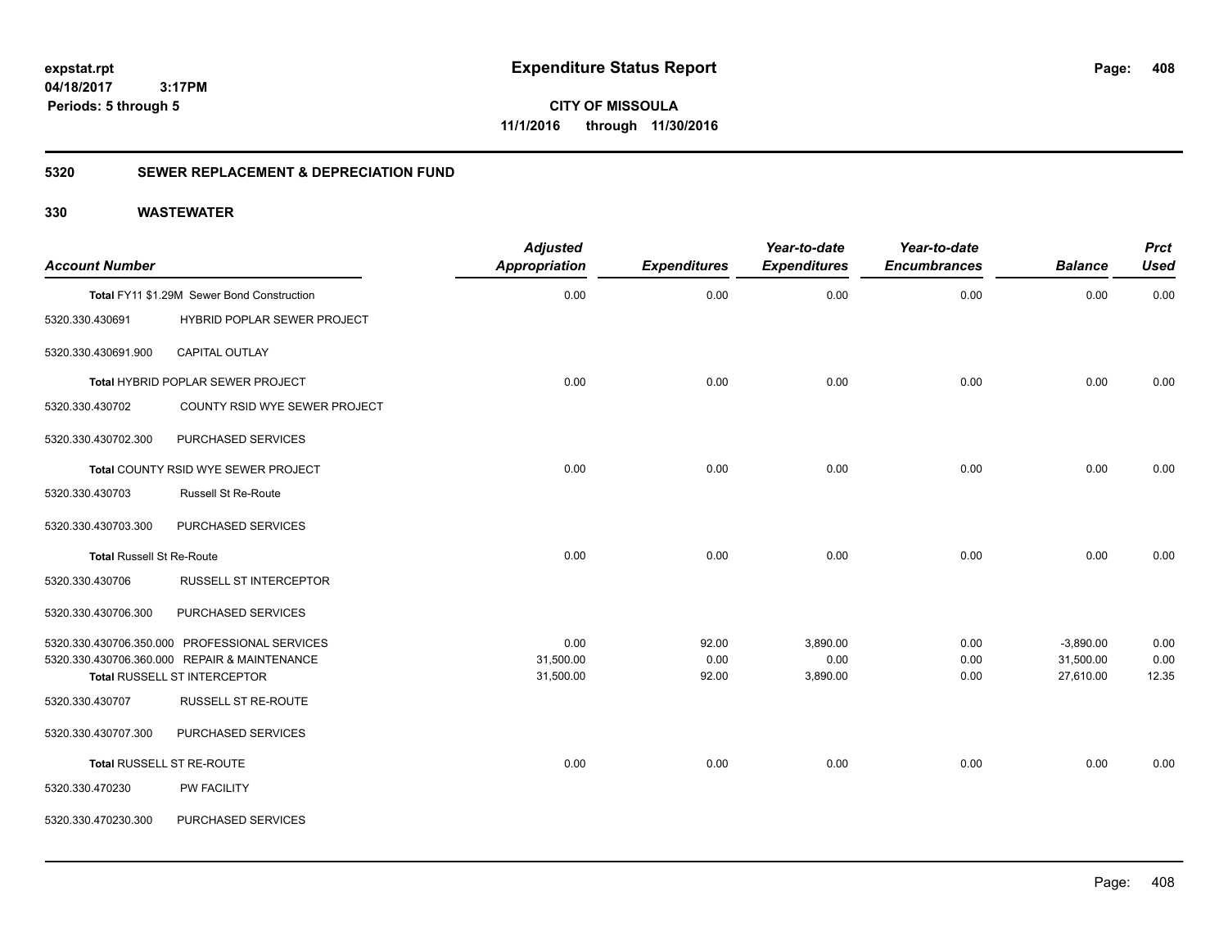**CITY OF MISSOULA 11/1/2016 through 11/30/2016**

# **5320 SEWER REPLACEMENT & DEPRECIATION FUND**

| <b>Account Number</b>            |                                               | <b>Adjusted</b><br><b>Appropriation</b> | <b>Expenditures</b> | Year-to-date<br><b>Expenditures</b> | Year-to-date<br><b>Encumbrances</b> | <b>Balance</b> | <b>Prct</b><br><b>Used</b> |
|----------------------------------|-----------------------------------------------|-----------------------------------------|---------------------|-------------------------------------|-------------------------------------|----------------|----------------------------|
|                                  | Total FY11 \$1.29M Sewer Bond Construction    | 0.00                                    | 0.00                | 0.00                                | 0.00                                | 0.00           | 0.00                       |
| 5320.330.430691                  | HYBRID POPLAR SEWER PROJECT                   |                                         |                     |                                     |                                     |                |                            |
| 5320.330.430691.900              | <b>CAPITAL OUTLAY</b>                         |                                         |                     |                                     |                                     |                |                            |
|                                  | Total HYBRID POPLAR SEWER PROJECT             | 0.00                                    | 0.00                | 0.00                                | 0.00                                | 0.00           | 0.00                       |
| 5320.330.430702                  | COUNTY RSID WYE SEWER PROJECT                 |                                         |                     |                                     |                                     |                |                            |
| 5320.330.430702.300              | PURCHASED SERVICES                            |                                         |                     |                                     |                                     |                |                            |
|                                  | Total COUNTY RSID WYE SEWER PROJECT           | 0.00                                    | 0.00                | 0.00                                | 0.00                                | 0.00           | 0.00                       |
| 5320.330.430703                  | <b>Russell St Re-Route</b>                    |                                         |                     |                                     |                                     |                |                            |
| 5320.330.430703.300              | PURCHASED SERVICES                            |                                         |                     |                                     |                                     |                |                            |
| <b>Total Russell St Re-Route</b> |                                               | 0.00                                    | 0.00                | 0.00                                | 0.00                                | 0.00           | 0.00                       |
| 5320.330.430706                  | <b>RUSSELL ST INTERCEPTOR</b>                 |                                         |                     |                                     |                                     |                |                            |
| 5320.330.430706.300              | PURCHASED SERVICES                            |                                         |                     |                                     |                                     |                |                            |
|                                  | 5320.330.430706.350.000 PROFESSIONAL SERVICES | 0.00                                    | 92.00               | 3,890.00                            | 0.00                                | $-3,890.00$    | 0.00                       |
|                                  | 5320.330.430706.360.000 REPAIR & MAINTENANCE  | 31,500.00                               | 0.00                | 0.00                                | 0.00                                | 31,500.00      | 0.00                       |
|                                  | Total RUSSELL ST INTERCEPTOR                  | 31,500.00                               | 92.00               | 3,890.00                            | 0.00                                | 27,610.00      | 12.35                      |
| 5320.330.430707                  | <b>RUSSELL ST RE-ROUTE</b>                    |                                         |                     |                                     |                                     |                |                            |
| 5320.330.430707.300              | PURCHASED SERVICES                            |                                         |                     |                                     |                                     |                |                            |
|                                  | Total RUSSELL ST RE-ROUTE                     | 0.00                                    | 0.00                | 0.00                                | 0.00                                | 0.00           | 0.00                       |
| 5320.330.470230                  | PW FACILITY                                   |                                         |                     |                                     |                                     |                |                            |
| 5320.330.470230.300              | PURCHASED SERVICES                            |                                         |                     |                                     |                                     |                |                            |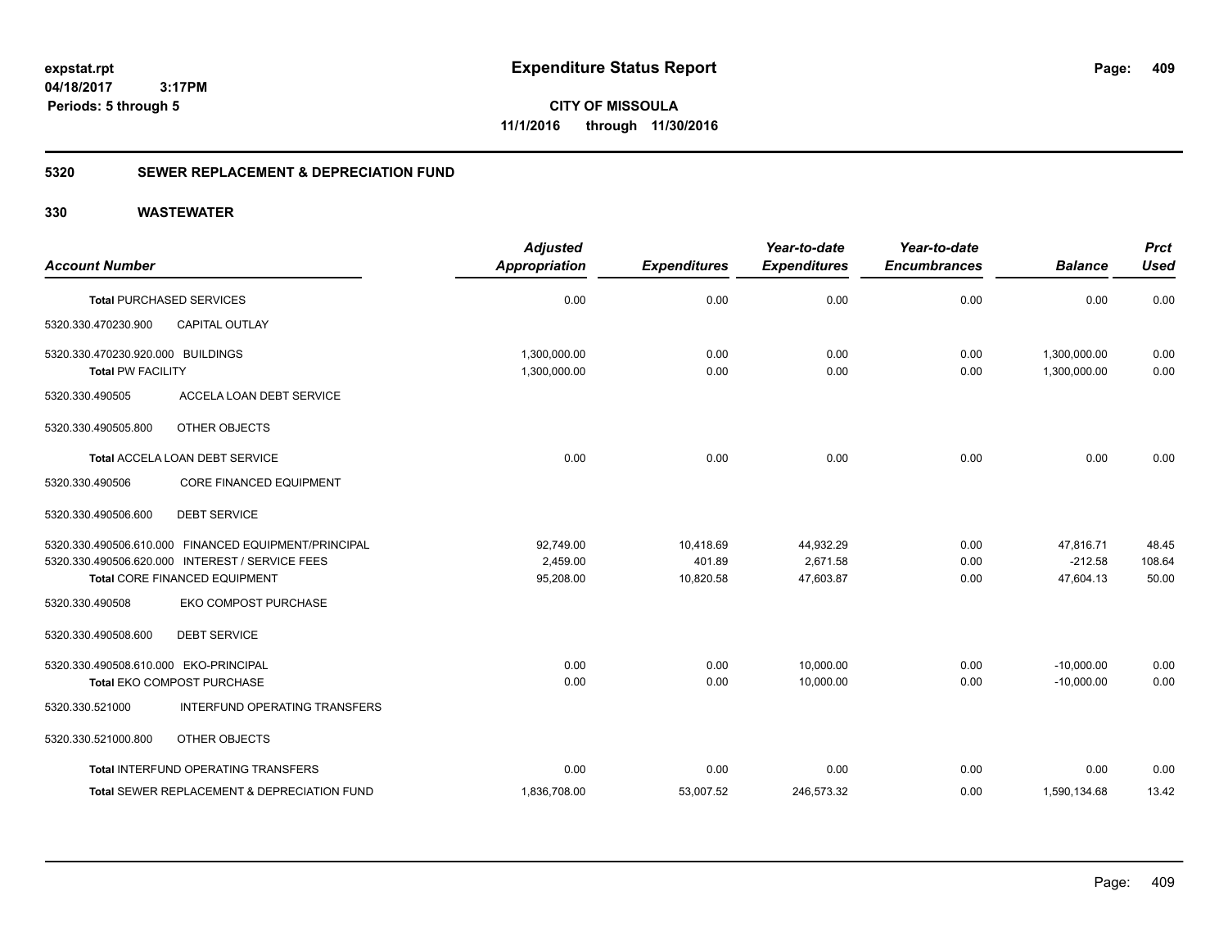**CITY OF MISSOULA 11/1/2016 through 11/30/2016**

# **5320 SEWER REPLACEMENT & DEPRECIATION FUND**

| <b>Account Number</b>                                         | <b>Adjusted</b><br><b>Appropriation</b> | <b>Expenditures</b> | Year-to-date<br><b>Expenditures</b> | Year-to-date<br><b>Encumbrances</b> | <b>Balance</b>               | <b>Prct</b><br><b>Used</b> |
|---------------------------------------------------------------|-----------------------------------------|---------------------|-------------------------------------|-------------------------------------|------------------------------|----------------------------|
| <b>Total PURCHASED SERVICES</b>                               | 0.00                                    | 0.00                | 0.00                                | 0.00                                | 0.00                         | 0.00                       |
| CAPITAL OUTLAY<br>5320.330.470230.900                         |                                         |                     |                                     |                                     |                              |                            |
| 5320.330.470230.920.000 BUILDINGS<br><b>Total PW FACILITY</b> | 1,300,000.00<br>1,300,000.00            | 0.00<br>0.00        | 0.00<br>0.00                        | 0.00<br>0.00                        | 1,300,000.00<br>1,300,000.00 | 0.00<br>0.00               |
| 5320.330.490505<br>ACCELA LOAN DEBT SERVICE                   |                                         |                     |                                     |                                     |                              |                            |
| OTHER OBJECTS<br>5320.330.490505.800                          |                                         |                     |                                     |                                     |                              |                            |
| <b>Total ACCELA LOAN DEBT SERVICE</b>                         | 0.00                                    | 0.00                | 0.00                                | 0.00                                | 0.00                         | 0.00                       |
| CORE FINANCED EQUIPMENT<br>5320.330.490506                    |                                         |                     |                                     |                                     |                              |                            |
| <b>DEBT SERVICE</b><br>5320.330.490506.600                    |                                         |                     |                                     |                                     |                              |                            |
| 5320.330.490506.610.000 FINANCED EQUIPMENT/PRINCIPAL          | 92,749.00                               | 10,418.69           | 44,932.29                           | 0.00                                | 47,816.71                    | 48.45                      |
| 5320.330.490506.620.000 INTEREST / SERVICE FEES               | 2,459.00                                | 401.89              | 2,671.58                            | 0.00                                | $-212.58$                    | 108.64                     |
| Total CORE FINANCED EQUIPMENT                                 | 95,208.00                               | 10,820.58           | 47,603.87                           | 0.00                                | 47,604.13                    | 50.00                      |
| EKO COMPOST PURCHASE<br>5320.330.490508                       |                                         |                     |                                     |                                     |                              |                            |
| <b>DEBT SERVICE</b><br>5320.330.490508.600                    |                                         |                     |                                     |                                     |                              |                            |
| 5320.330.490508.610.000 EKO-PRINCIPAL                         | 0.00                                    | 0.00                | 10.000.00                           | 0.00                                | $-10.000.00$                 | 0.00                       |
| Total EKO COMPOST PURCHASE                                    | 0.00                                    | 0.00                | 10,000.00                           | 0.00                                | $-10,000.00$                 | 0.00                       |
| INTERFUND OPERATING TRANSFERS<br>5320.330.521000              |                                         |                     |                                     |                                     |                              |                            |
| OTHER OBJECTS<br>5320.330.521000.800                          |                                         |                     |                                     |                                     |                              |                            |
| Total INTERFUND OPERATING TRANSFERS                           | 0.00                                    | 0.00                | 0.00                                | 0.00                                | 0.00                         | 0.00                       |
| Total SEWER REPLACEMENT & DEPRECIATION FUND                   | 1,836,708.00                            | 53,007.52           | 246,573.32                          | 0.00                                | 1,590,134.68                 | 13.42                      |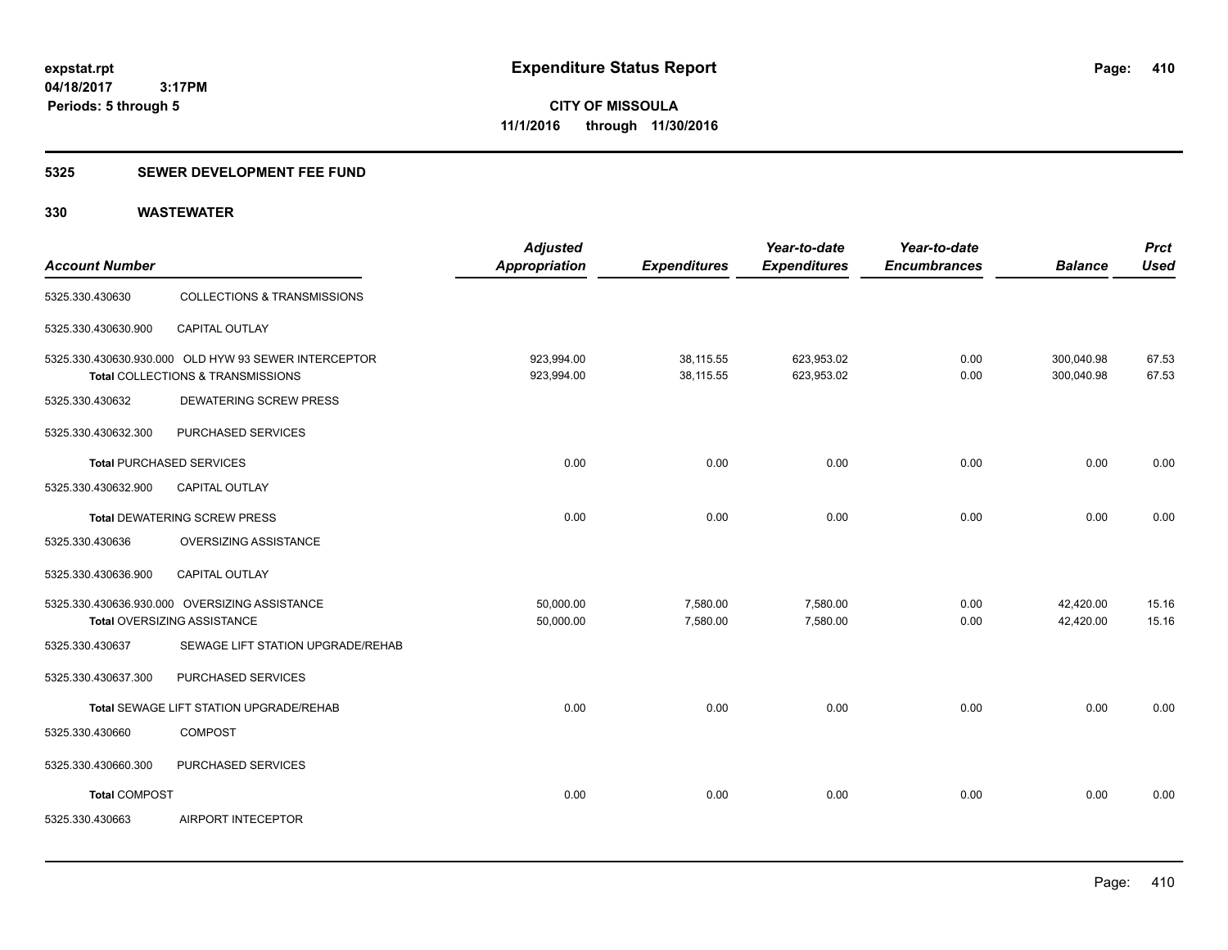# **5325 SEWER DEVELOPMENT FEE FUND**

| <b>Account Number</b>           |                                                                                           | <b>Adjusted</b><br>Appropriation | <b>Expenditures</b>    | Year-to-date<br><b>Expenditures</b> | Year-to-date<br><b>Encumbrances</b> | <b>Balance</b>           | <b>Prct</b><br><b>Used</b> |
|---------------------------------|-------------------------------------------------------------------------------------------|----------------------------------|------------------------|-------------------------------------|-------------------------------------|--------------------------|----------------------------|
| 5325.330.430630                 | COLLECTIONS & TRANSMISSIONS                                                               |                                  |                        |                                     |                                     |                          |                            |
| 5325.330.430630.900             | <b>CAPITAL OUTLAY</b>                                                                     |                                  |                        |                                     |                                     |                          |                            |
|                                 | 5325.330.430630.930.000 OLD HYW 93 SEWER INTERCEPTOR<br>Total COLLECTIONS & TRANSMISSIONS | 923,994.00<br>923,994.00         | 38,115.55<br>38,115.55 | 623,953.02<br>623,953.02            | 0.00<br>0.00                        | 300,040.98<br>300,040.98 | 67.53<br>67.53             |
| 5325.330.430632                 | DEWATERING SCREW PRESS                                                                    |                                  |                        |                                     |                                     |                          |                            |
| 5325.330.430632.300             | PURCHASED SERVICES                                                                        |                                  |                        |                                     |                                     |                          |                            |
| <b>Total PURCHASED SERVICES</b> |                                                                                           | 0.00                             | 0.00                   | 0.00                                | 0.00                                | 0.00                     | 0.00                       |
| 5325.330.430632.900             | <b>CAPITAL OUTLAY</b>                                                                     |                                  |                        |                                     |                                     |                          |                            |
|                                 | Total DEWATERING SCREW PRESS                                                              | 0.00                             | 0.00                   | 0.00                                | 0.00                                | 0.00                     | 0.00                       |
| 5325.330.430636                 | <b>OVERSIZING ASSISTANCE</b>                                                              |                                  |                        |                                     |                                     |                          |                            |
| 5325.330.430636.900             | CAPITAL OUTLAY                                                                            |                                  |                        |                                     |                                     |                          |                            |
|                                 | 5325.330.430636.930.000 OVERSIZING ASSISTANCE<br>Total OVERSIZING ASSISTANCE              | 50,000.00<br>50,000.00           | 7,580.00<br>7,580.00   | 7,580.00<br>7,580.00                | 0.00<br>0.00                        | 42,420.00<br>42,420.00   | 15.16<br>15.16             |
| 5325.330.430637                 | SEWAGE LIFT STATION UPGRADE/REHAB                                                         |                                  |                        |                                     |                                     |                          |                            |
| 5325.330.430637.300             | PURCHASED SERVICES                                                                        |                                  |                        |                                     |                                     |                          |                            |
|                                 | Total SEWAGE LIFT STATION UPGRADE/REHAB                                                   | 0.00                             | 0.00                   | 0.00                                | 0.00                                | 0.00                     | 0.00                       |
| 5325.330.430660                 | <b>COMPOST</b>                                                                            |                                  |                        |                                     |                                     |                          |                            |
| 5325.330.430660.300             | PURCHASED SERVICES                                                                        |                                  |                        |                                     |                                     |                          |                            |
| <b>Total COMPOST</b>            |                                                                                           | 0.00                             | 0.00                   | 0.00                                | 0.00                                | 0.00                     | 0.00                       |
| 5325.330.430663                 | <b>AIRPORT INTECEPTOR</b>                                                                 |                                  |                        |                                     |                                     |                          |                            |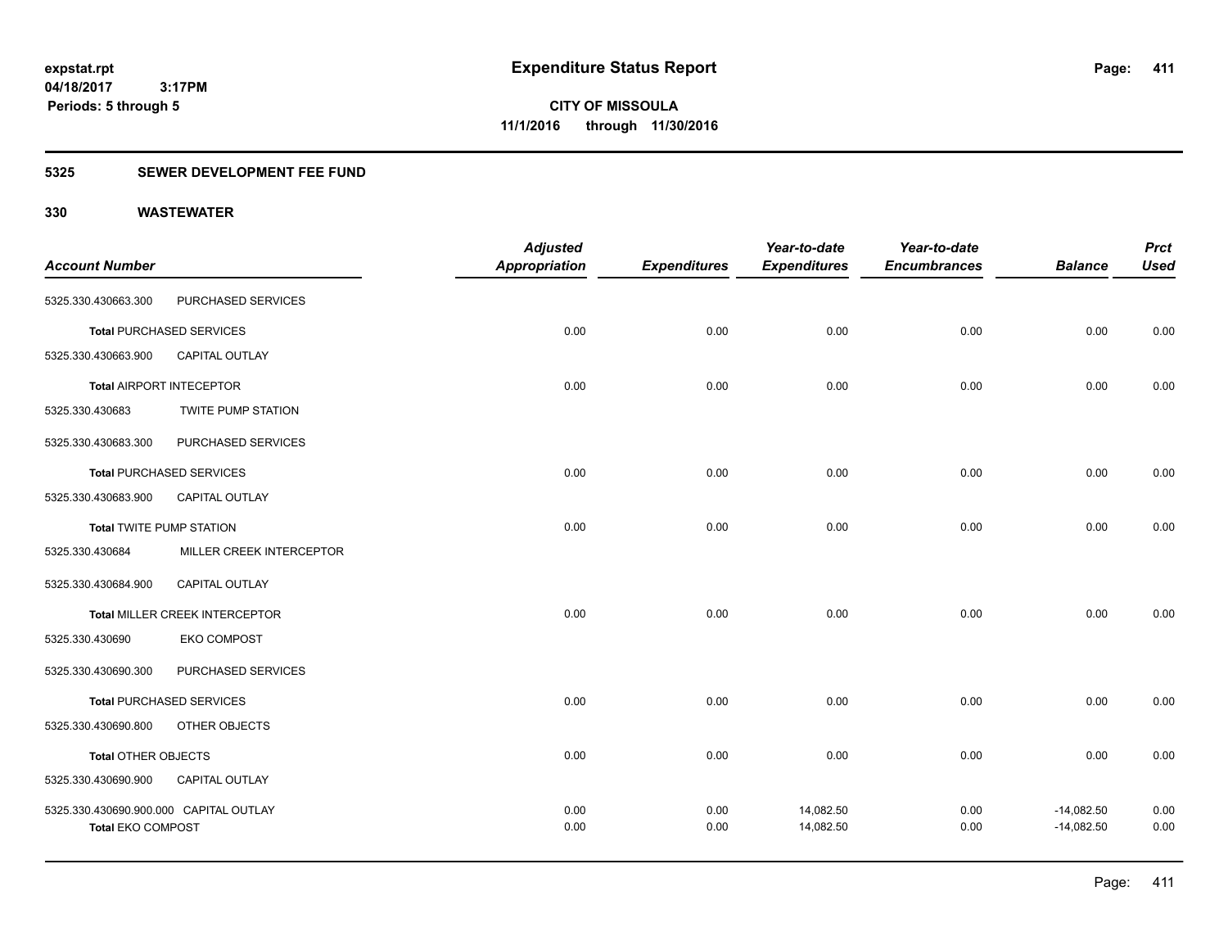# **5325 SEWER DEVELOPMENT FEE FUND**

| <b>Prct</b>                                                                  |
|------------------------------------------------------------------------------|
| <b>Balance</b><br><b>Used</b>                                                |
|                                                                              |
| 0.00<br>0.00                                                                 |
|                                                                              |
| 0.00                                                                         |
|                                                                              |
|                                                                              |
| 0.00                                                                         |
|                                                                              |
| 0.00                                                                         |
|                                                                              |
|                                                                              |
| 0.00                                                                         |
|                                                                              |
|                                                                              |
| 0.00                                                                         |
|                                                                              |
| 0.00                                                                         |
|                                                                              |
| 0.00                                                                         |
| 0.00                                                                         |
| 0.00<br>0.00<br>0.00<br>0.00<br>0.00<br>0.00<br>$-14,082.50$<br>$-14,082.50$ |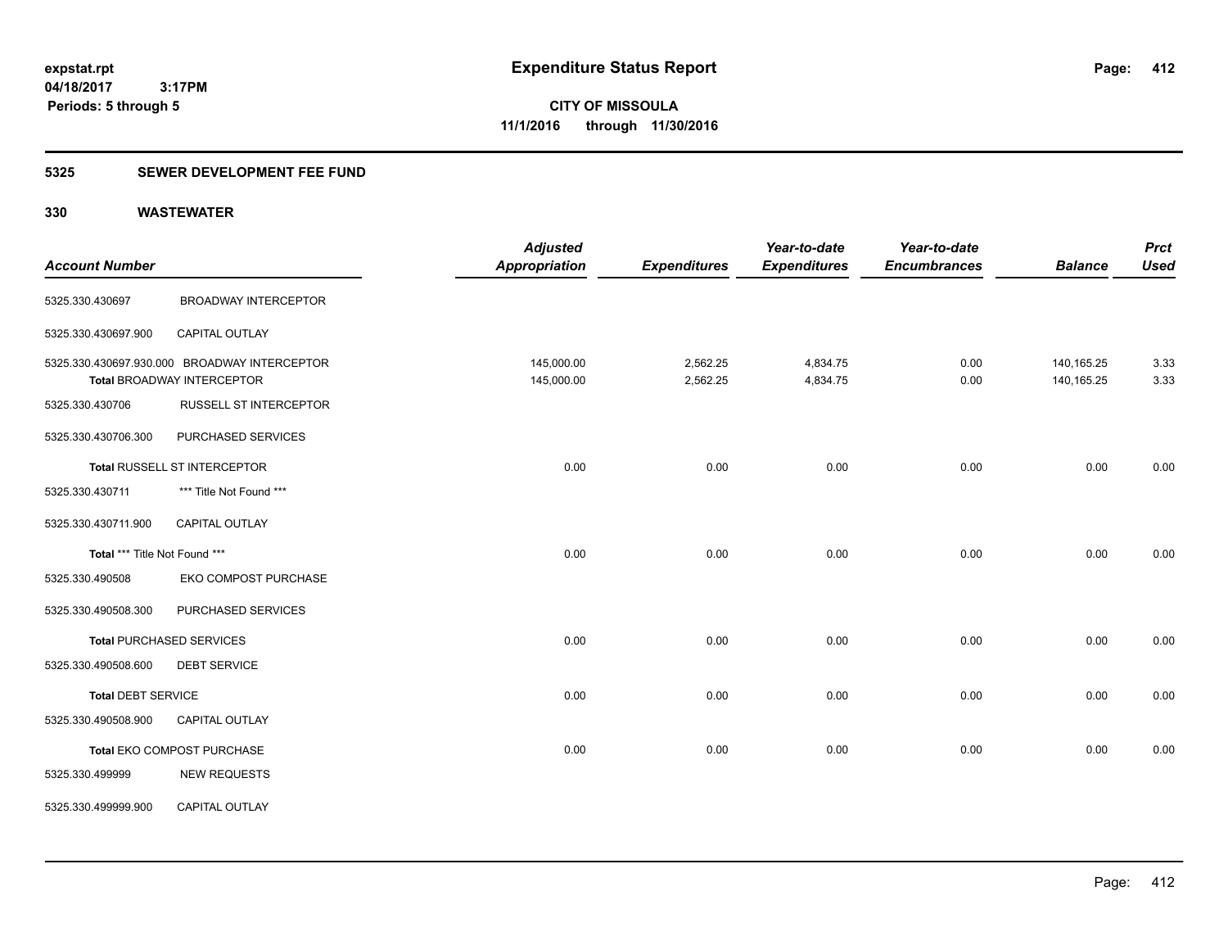**CITY OF MISSOULA 11/1/2016 through 11/30/2016**

# **5325 SEWER DEVELOPMENT FEE FUND**

| <b>Account Number</b>         |                                                                                   | <b>Adjusted</b><br><b>Appropriation</b> | <b>Expenditures</b>  | Year-to-date<br><b>Expenditures</b> | Year-to-date<br><b>Encumbrances</b> | <b>Balance</b>             | <b>Prct</b><br><b>Used</b> |
|-------------------------------|-----------------------------------------------------------------------------------|-----------------------------------------|----------------------|-------------------------------------|-------------------------------------|----------------------------|----------------------------|
| 5325.330.430697               | <b>BROADWAY INTERCEPTOR</b>                                                       |                                         |                      |                                     |                                     |                            |                            |
| 5325.330.430697.900           | CAPITAL OUTLAY                                                                    |                                         |                      |                                     |                                     |                            |                            |
|                               | 5325.330.430697.930.000 BROADWAY INTERCEPTOR<br><b>Total BROADWAY INTERCEPTOR</b> | 145,000.00<br>145,000.00                | 2,562.25<br>2,562.25 | 4,834.75<br>4,834.75                | 0.00<br>0.00                        | 140, 165. 25<br>140,165.25 | 3.33<br>3.33               |
| 5325.330.430706               | RUSSELL ST INTERCEPTOR                                                            |                                         |                      |                                     |                                     |                            |                            |
| 5325.330.430706.300           | PURCHASED SERVICES                                                                |                                         |                      |                                     |                                     |                            |                            |
| Total RUSSELL ST INTERCEPTOR  |                                                                                   | 0.00                                    | 0.00                 | 0.00                                | 0.00                                | 0.00                       | 0.00                       |
| 5325.330.430711               | *** Title Not Found ***                                                           |                                         |                      |                                     |                                     |                            |                            |
| 5325.330.430711.900           | CAPITAL OUTLAY                                                                    |                                         |                      |                                     |                                     |                            |                            |
| Total *** Title Not Found *** |                                                                                   | 0.00                                    | 0.00                 | 0.00                                | 0.00                                | 0.00                       | 0.00                       |
| 5325.330.490508               | EKO COMPOST PURCHASE                                                              |                                         |                      |                                     |                                     |                            |                            |
| 5325.330.490508.300           | PURCHASED SERVICES                                                                |                                         |                      |                                     |                                     |                            |                            |
|                               | <b>Total PURCHASED SERVICES</b>                                                   | 0.00                                    | 0.00                 | 0.00                                | 0.00                                | 0.00                       | 0.00                       |
| 5325.330.490508.600           | <b>DEBT SERVICE</b>                                                               |                                         |                      |                                     |                                     |                            |                            |
| <b>Total DEBT SERVICE</b>     |                                                                                   | 0.00                                    | 0.00                 | 0.00                                | 0.00                                | 0.00                       | 0.00                       |
| 5325.330.490508.900           | <b>CAPITAL OUTLAY</b>                                                             |                                         |                      |                                     |                                     |                            |                            |
|                               | Total EKO COMPOST PURCHASE                                                        | 0.00                                    | 0.00                 | 0.00                                | 0.00                                | 0.00                       | 0.00                       |
| 5325.330.499999               | <b>NEW REQUESTS</b>                                                               |                                         |                      |                                     |                                     |                            |                            |
| 5325.330.499999.900           | <b>CAPITAL OUTLAY</b>                                                             |                                         |                      |                                     |                                     |                            |                            |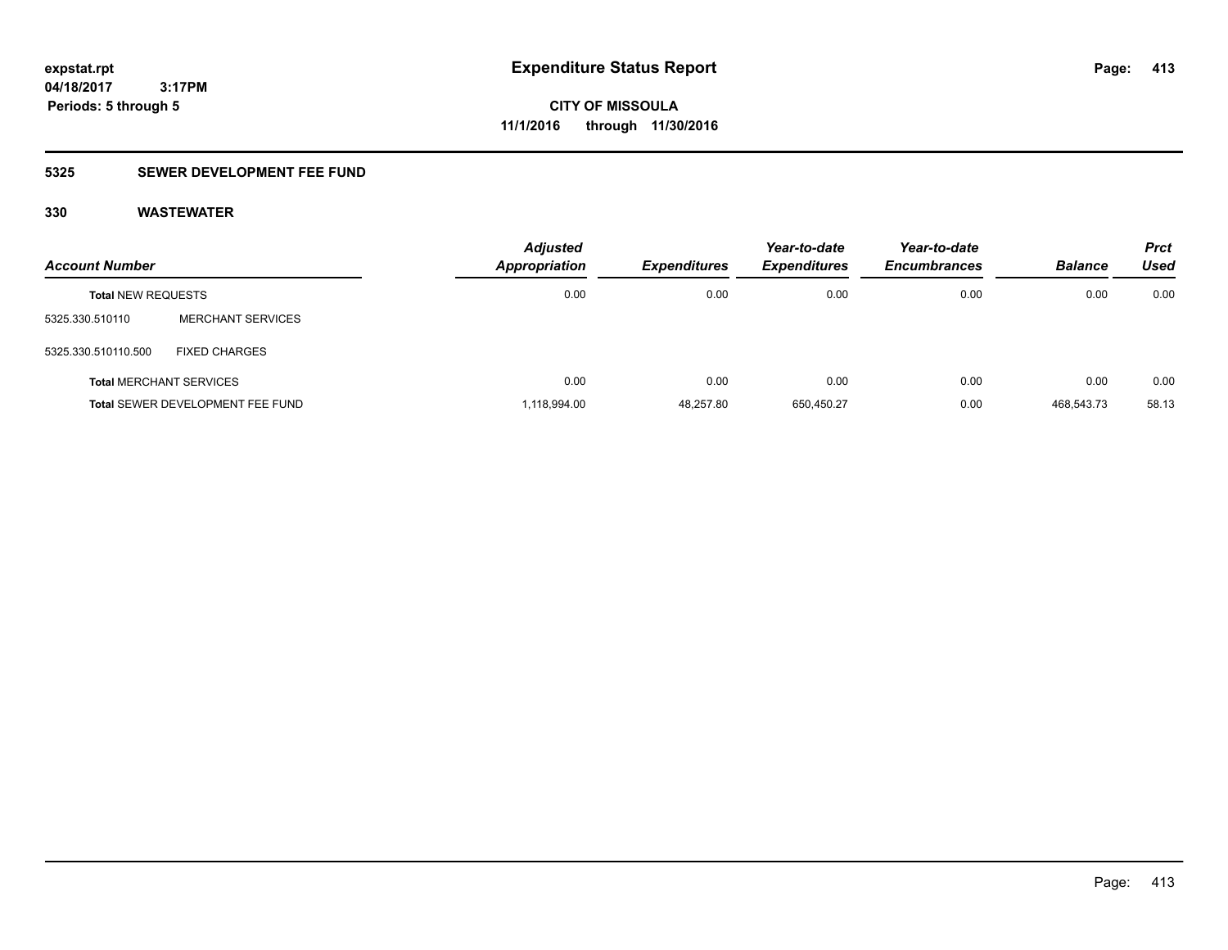# **5325 SEWER DEVELOPMENT FEE FUND**

| <b>Account Number</b>          |                                  | <b>Adjusted</b><br>Appropriation | <b>Expenditures</b> | Year-to-date<br><b>Expenditures</b> | Year-to-date<br><b>Encumbrances</b> | <b>Balance</b> | <b>Prct</b><br>Used |
|--------------------------------|----------------------------------|----------------------------------|---------------------|-------------------------------------|-------------------------------------|----------------|---------------------|
| <b>Total NEW REQUESTS</b>      |                                  | 0.00                             | 0.00                | 0.00                                | 0.00                                | 0.00           | 0.00                |
| 5325.330.510110                | <b>MERCHANT SERVICES</b>         |                                  |                     |                                     |                                     |                |                     |
| 5325.330.510110.500            | <b>FIXED CHARGES</b>             |                                  |                     |                                     |                                     |                |                     |
| <b>Total MERCHANT SERVICES</b> |                                  | 0.00                             | 0.00                | 0.00                                | 0.00                                | 0.00           | 0.00                |
|                                | Total SEWER DEVELOPMENT FEE FUND | 1,118,994.00                     | 48,257.80           | 650,450.27                          | 0.00                                | 468,543.73     | 58.13               |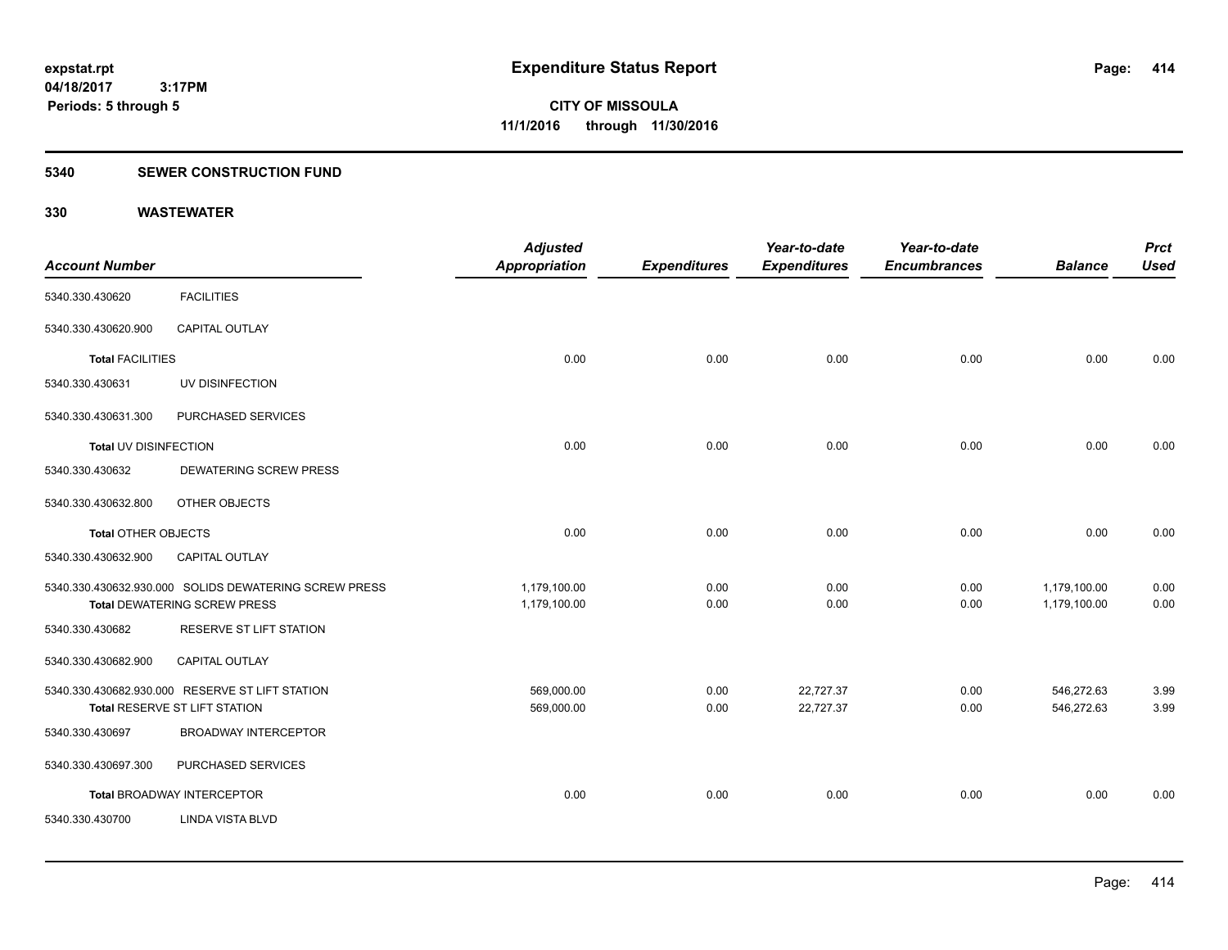# **5340 SEWER CONSTRUCTION FUND**

| <b>Account Number</b>      |                                                                                              | <b>Adjusted</b><br>Appropriation | <b>Expenditures</b> | Year-to-date<br><b>Expenditures</b> | Year-to-date<br><b>Encumbrances</b> | <b>Balance</b>               | <b>Prct</b><br><b>Used</b> |
|----------------------------|----------------------------------------------------------------------------------------------|----------------------------------|---------------------|-------------------------------------|-------------------------------------|------------------------------|----------------------------|
| 5340.330.430620            | <b>FACILITIES</b>                                                                            |                                  |                     |                                     |                                     |                              |                            |
| 5340.330.430620.900        | <b>CAPITAL OUTLAY</b>                                                                        |                                  |                     |                                     |                                     |                              |                            |
| <b>Total FACILITIES</b>    |                                                                                              | 0.00                             | 0.00                | 0.00                                | 0.00                                | 0.00                         | 0.00                       |
| 5340.330.430631            | UV DISINFECTION                                                                              |                                  |                     |                                     |                                     |                              |                            |
| 5340.330.430631.300        | PURCHASED SERVICES                                                                           |                                  |                     |                                     |                                     |                              |                            |
| Total UV DISINFECTION      |                                                                                              | 0.00                             | 0.00                | 0.00                                | 0.00                                | 0.00                         | 0.00                       |
| 5340.330.430632            | <b>DEWATERING SCREW PRESS</b>                                                                |                                  |                     |                                     |                                     |                              |                            |
| 5340.330.430632.800        | OTHER OBJECTS                                                                                |                                  |                     |                                     |                                     |                              |                            |
| <b>Total OTHER OBJECTS</b> |                                                                                              | 0.00                             | 0.00                | 0.00                                | 0.00                                | 0.00                         | 0.00                       |
| 5340.330.430632.900        | CAPITAL OUTLAY                                                                               |                                  |                     |                                     |                                     |                              |                            |
|                            | 5340.330.430632.930.000 SOLIDS DEWATERING SCREW PRESS<br><b>Total DEWATERING SCREW PRESS</b> | 1,179,100.00<br>1,179,100.00     | 0.00<br>0.00        | 0.00<br>0.00                        | 0.00<br>0.00                        | 1,179,100.00<br>1,179,100.00 | 0.00<br>0.00               |
| 5340.330.430682            | RESERVE ST LIFT STATION                                                                      |                                  |                     |                                     |                                     |                              |                            |
| 5340.330.430682.900        | CAPITAL OUTLAY                                                                               |                                  |                     |                                     |                                     |                              |                            |
|                            | 5340.330.430682.930.000 RESERVE ST LIFT STATION<br>Total RESERVE ST LIFT STATION             | 569,000.00<br>569,000.00         | 0.00<br>0.00        | 22,727.37<br>22,727.37              | 0.00<br>0.00                        | 546,272.63<br>546,272.63     | 3.99<br>3.99               |
| 5340.330.430697            | <b>BROADWAY INTERCEPTOR</b>                                                                  |                                  |                     |                                     |                                     |                              |                            |
| 5340.330.430697.300        | PURCHASED SERVICES                                                                           |                                  |                     |                                     |                                     |                              |                            |
|                            | <b>Total BROADWAY INTERCEPTOR</b>                                                            | 0.00                             | 0.00                | 0.00                                | 0.00                                | 0.00                         | 0.00                       |
| 5340.330.430700            | <b>LINDA VISTA BLVD</b>                                                                      |                                  |                     |                                     |                                     |                              |                            |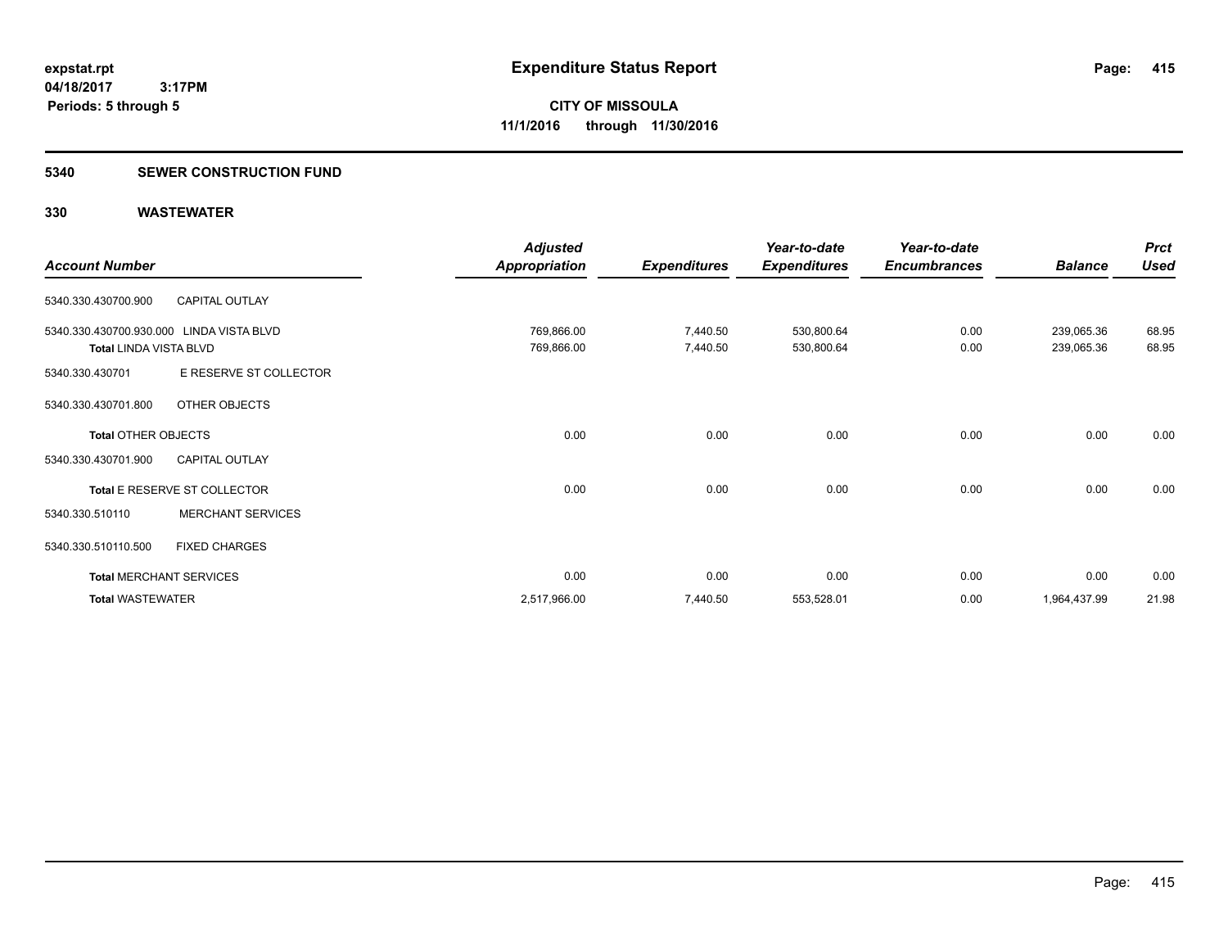### **5340 SEWER CONSTRUCTION FUND**

|                               |                                | <b>Adjusted</b>      |                     | Year-to-date        | Year-to-date        |                | <b>Prct</b> |
|-------------------------------|--------------------------------|----------------------|---------------------|---------------------|---------------------|----------------|-------------|
| <b>Account Number</b>         |                                | <b>Appropriation</b> | <b>Expenditures</b> | <b>Expenditures</b> | <b>Encumbrances</b> | <b>Balance</b> | <b>Used</b> |
| 5340.330.430700.900           | <b>CAPITAL OUTLAY</b>          |                      |                     |                     |                     |                |             |
| 5340.330.430700.930.000       | LINDA VISTA BLVD               | 769,866.00           | 7,440.50            | 530,800.64          | 0.00                | 239,065.36     | 68.95       |
| <b>Total LINDA VISTA BLVD</b> |                                | 769,866.00           | 7,440.50            | 530,800.64          | 0.00                | 239,065.36     | 68.95       |
| 5340.330.430701               | E RESERVE ST COLLECTOR         |                      |                     |                     |                     |                |             |
| 5340.330.430701.800           | OTHER OBJECTS                  |                      |                     |                     |                     |                |             |
| <b>Total OTHER OBJECTS</b>    |                                | 0.00                 | 0.00                | 0.00                | 0.00                | 0.00           | 0.00        |
| 5340.330.430701.900           | <b>CAPITAL OUTLAY</b>          |                      |                     |                     |                     |                |             |
|                               | Total E RESERVE ST COLLECTOR   | 0.00                 | 0.00                | 0.00                | 0.00                | 0.00           | 0.00        |
| 5340.330.510110               | <b>MERCHANT SERVICES</b>       |                      |                     |                     |                     |                |             |
| 5340.330.510110.500           | <b>FIXED CHARGES</b>           |                      |                     |                     |                     |                |             |
|                               | <b>Total MERCHANT SERVICES</b> | 0.00                 | 0.00                | 0.00                | 0.00                | 0.00           | 0.00        |
| <b>Total WASTEWATER</b>       |                                | 2,517,966.00         | 7,440.50            | 553,528.01          | 0.00                | 1,964,437.99   | 21.98       |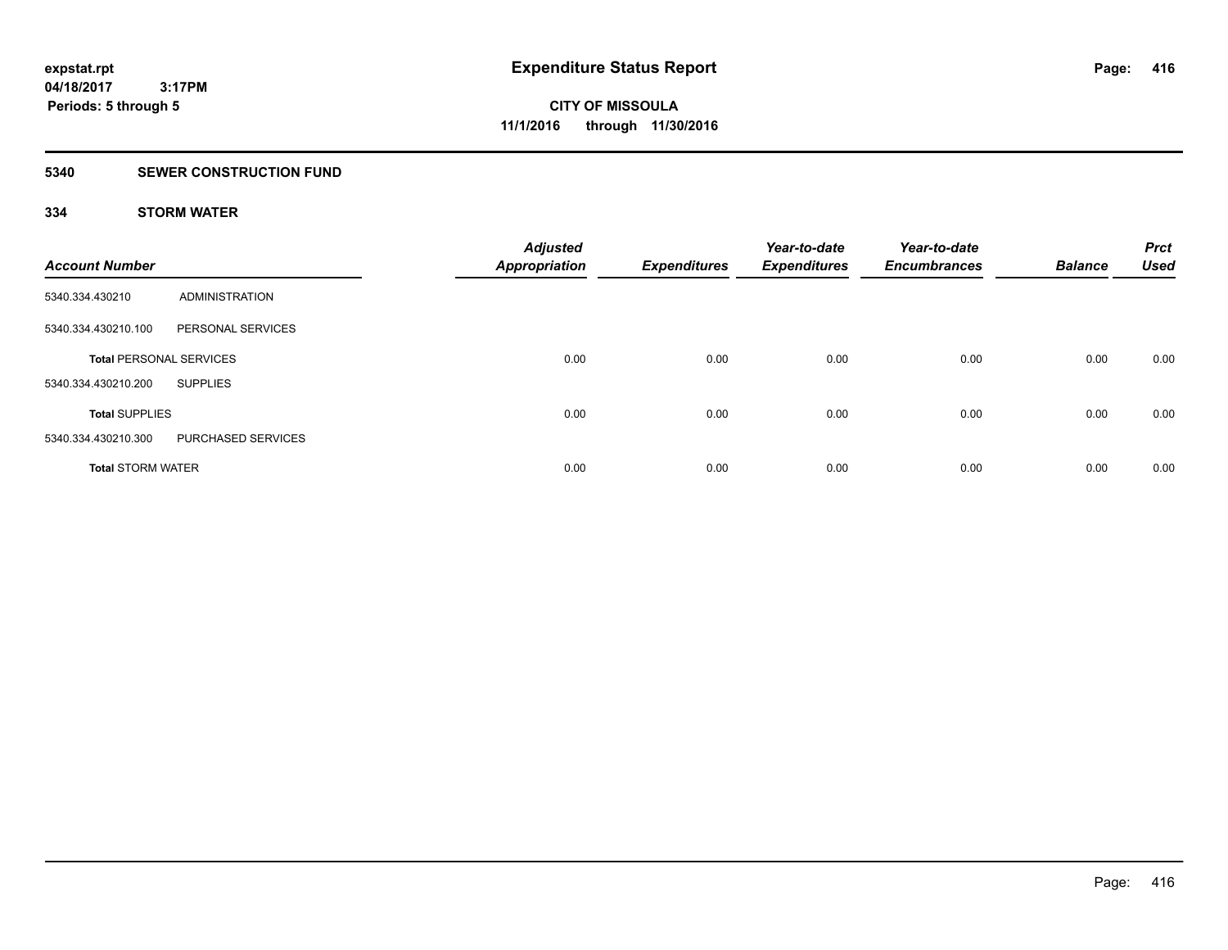# **5340 SEWER CONSTRUCTION FUND**

# **334 STORM WATER**

| <b>Account Number</b>          |                    | <b>Adjusted</b><br><b>Appropriation</b> | <b>Expenditures</b> | Year-to-date<br><b>Expenditures</b> | Year-to-date<br><b>Encumbrances</b> | <b>Balance</b> | <b>Prct</b><br><b>Used</b> |
|--------------------------------|--------------------|-----------------------------------------|---------------------|-------------------------------------|-------------------------------------|----------------|----------------------------|
| 5340.334.430210                | ADMINISTRATION     |                                         |                     |                                     |                                     |                |                            |
| 5340.334.430210.100            | PERSONAL SERVICES  |                                         |                     |                                     |                                     |                |                            |
| <b>Total PERSONAL SERVICES</b> |                    | 0.00                                    | 0.00                | 0.00                                | 0.00                                | 0.00           | 0.00                       |
| 5340.334.430210.200            | <b>SUPPLIES</b>    |                                         |                     |                                     |                                     |                |                            |
| <b>Total SUPPLIES</b>          |                    | 0.00                                    | 0.00                | 0.00                                | 0.00                                | 0.00           | 0.00                       |
| 5340.334.430210.300            | PURCHASED SERVICES |                                         |                     |                                     |                                     |                |                            |
| <b>Total STORM WATER</b>       |                    | 0.00                                    | 0.00                | 0.00                                | 0.00                                | 0.00           | 0.00                       |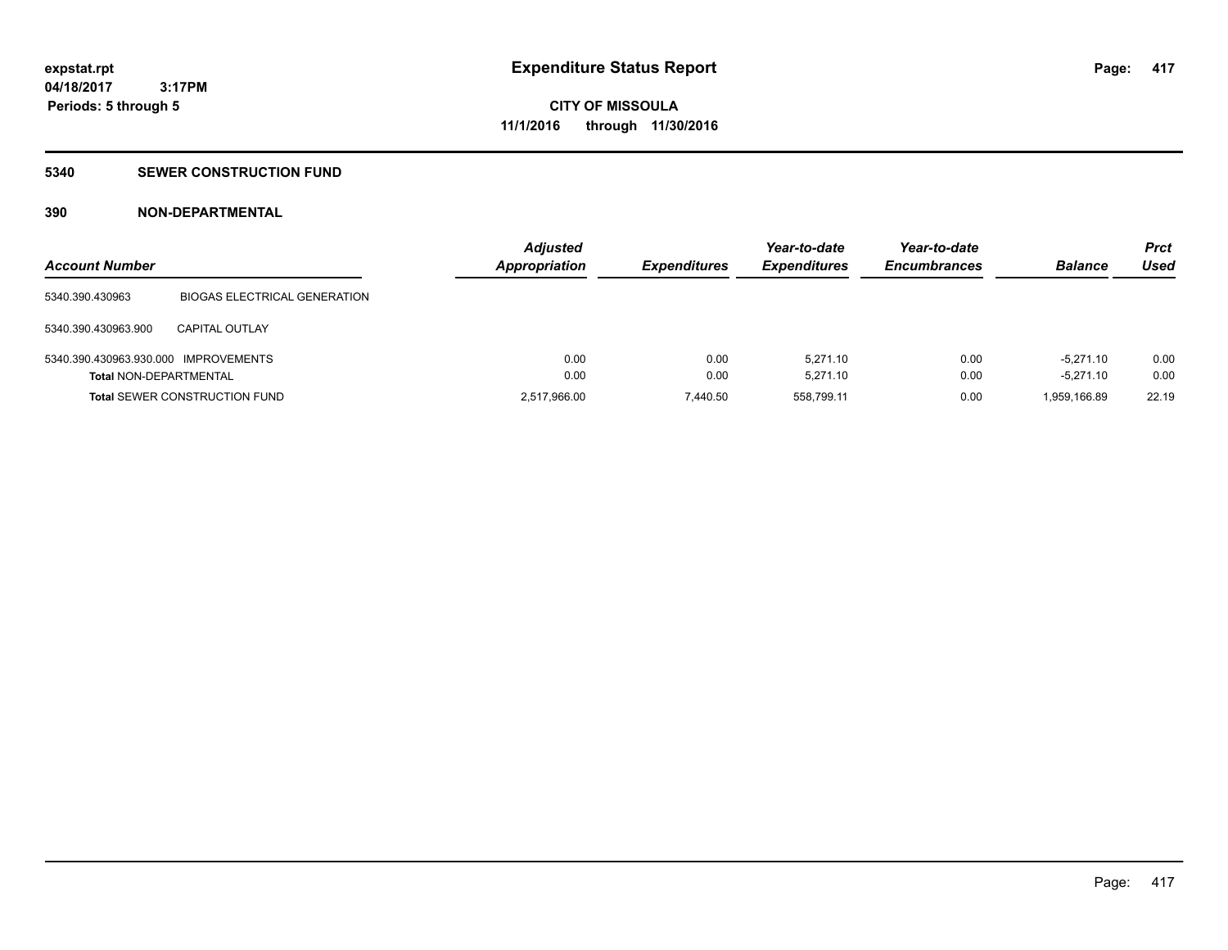# **5340 SEWER CONSTRUCTION FUND**

# **390 NON-DEPARTMENTAL**

| <b>Account Number</b>                |                                      | <b>Adjusted</b><br><b>Appropriation</b> | <b>Expenditures</b> | Year-to-date<br><b>Expenditures</b> | Year-to-date<br><b>Encumbrances</b> | <b>Balance</b> | <b>Prct</b><br>Used |
|--------------------------------------|--------------------------------------|-----------------------------------------|---------------------|-------------------------------------|-------------------------------------|----------------|---------------------|
| 5340.390.430963                      | <b>BIOGAS ELECTRICAL GENERATION</b>  |                                         |                     |                                     |                                     |                |                     |
| 5340.390.430963.900                  | <b>CAPITAL OUTLAY</b>                |                                         |                     |                                     |                                     |                |                     |
| 5340.390.430963.930.000 IMPROVEMENTS |                                      | 0.00                                    | 0.00                | 5.271.10                            | 0.00                                | $-5.271.10$    | 0.00                |
| <b>Total NON-DEPARTMENTAL</b>        |                                      | 0.00                                    | 0.00                | 5.271.10                            | 0.00                                | $-5.271.10$    | 0.00                |
|                                      | <b>Total SEWER CONSTRUCTION FUND</b> | 2,517,966.00                            | 7.440.50            | 558.799.11                          | 0.00                                | 1,959,166.89   | 22.19               |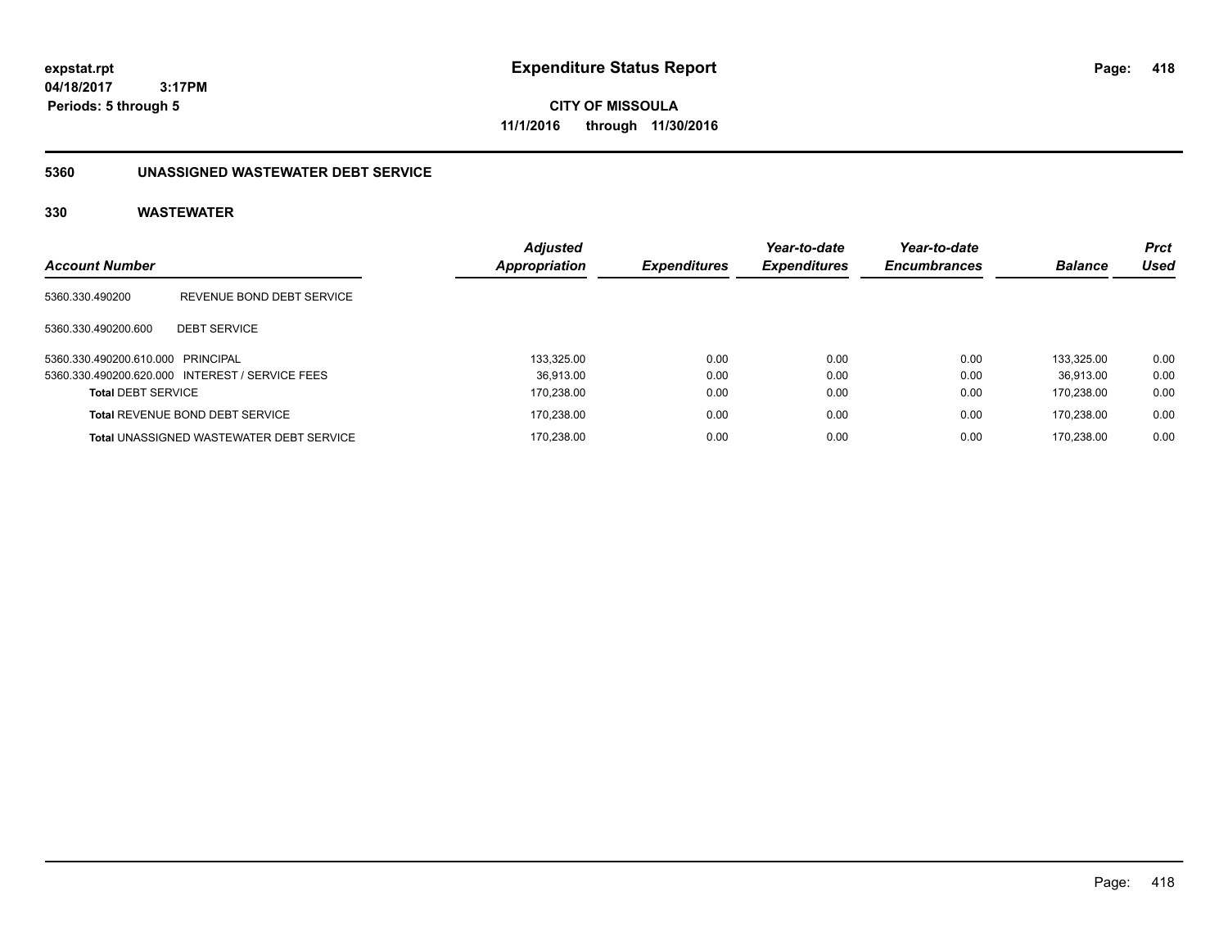**CITY OF MISSOULA 11/1/2016 through 11/30/2016**

# **5360 UNASSIGNED WASTEWATER DEBT SERVICE**

| <b>Account Number</b>             |                                                 | <b>Adjusted</b><br><b>Appropriation</b> | <b>Expenditures</b> | Year-to-date<br><b>Expenditures</b> | Year-to-date<br><b>Encumbrances</b> | <b>Balance</b> | <b>Prct</b><br>Used |
|-----------------------------------|-------------------------------------------------|-----------------------------------------|---------------------|-------------------------------------|-------------------------------------|----------------|---------------------|
| 5360.330.490200                   | REVENUE BOND DEBT SERVICE                       |                                         |                     |                                     |                                     |                |                     |
| 5360.330.490200.600               | <b>DEBT SERVICE</b>                             |                                         |                     |                                     |                                     |                |                     |
| 5360.330.490200.610.000 PRINCIPAL |                                                 | 133,325.00                              | 0.00                | 0.00                                | 0.00                                | 133.325.00     | 0.00                |
|                                   | 5360.330.490200.620.000 INTEREST / SERVICE FEES | 36.913.00                               | 0.00                | 0.00                                | 0.00                                | 36.913.00      | 0.00                |
| <b>Total DEBT SERVICE</b>         |                                                 | 170.238.00                              | 0.00                | 0.00                                | 0.00                                | 170.238.00     | 0.00                |
|                                   | <b>Total REVENUE BOND DEBT SERVICE</b>          | 170,238.00                              | 0.00                | 0.00                                | 0.00                                | 170.238.00     | 0.00                |
|                                   | <b>Total UNASSIGNED WASTEWATER DEBT SERVICE</b> | 170.238.00                              | 0.00                | 0.00                                | 0.00                                | 170.238.00     | 0.00                |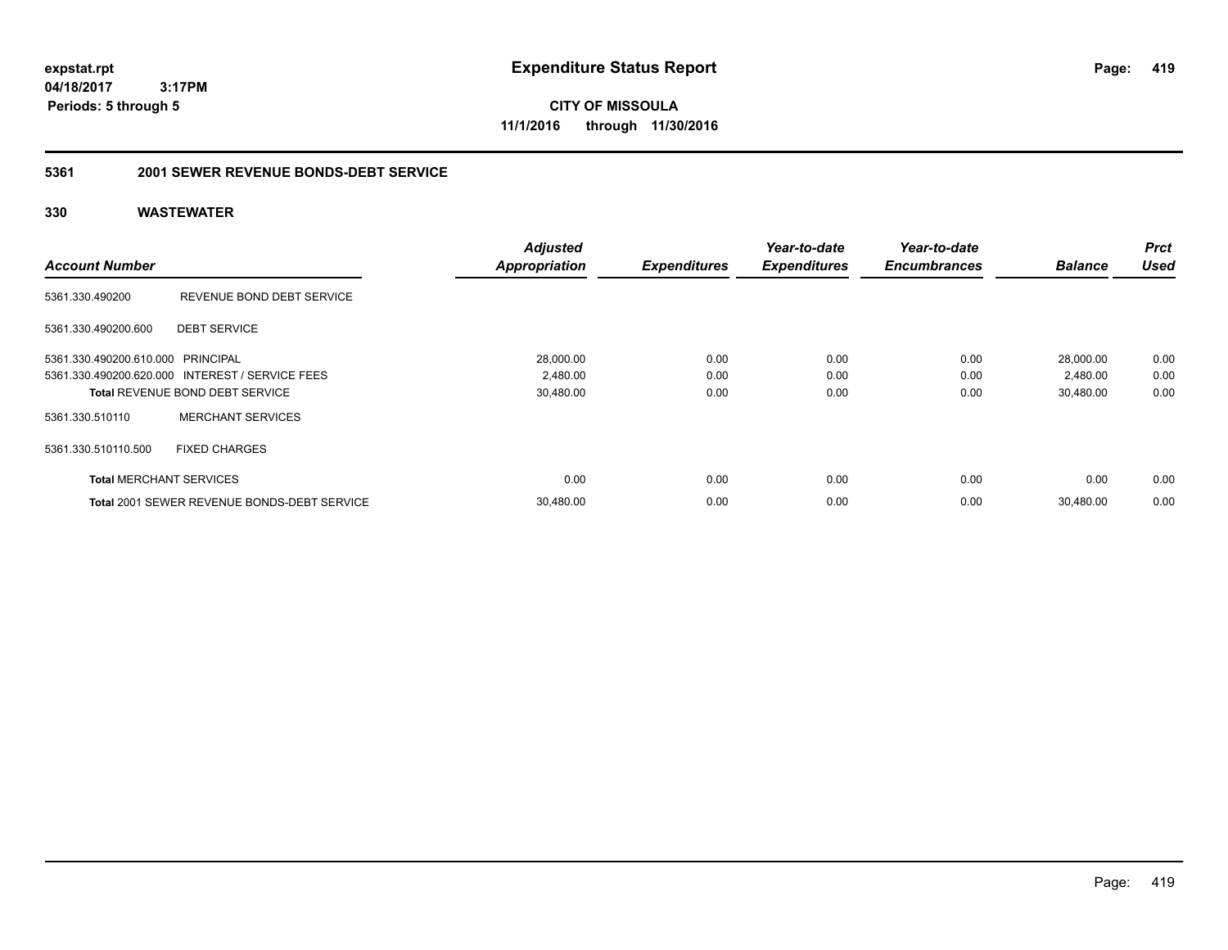**CITY OF MISSOULA 11/1/2016 through 11/30/2016**

# **5361 2001 SEWER REVENUE BONDS-DEBT SERVICE**

| <b>Account Number</b>             |                                                 | <b>Adjusted</b><br><b>Appropriation</b> | <b>Expenditures</b> | Year-to-date<br><b>Expenditures</b> | Year-to-date<br><b>Encumbrances</b> | <b>Balance</b> | <b>Prct</b><br><b>Used</b> |
|-----------------------------------|-------------------------------------------------|-----------------------------------------|---------------------|-------------------------------------|-------------------------------------|----------------|----------------------------|
| 5361.330.490200                   | REVENUE BOND DEBT SERVICE                       |                                         |                     |                                     |                                     |                |                            |
| 5361.330.490200.600               | <b>DEBT SERVICE</b>                             |                                         |                     |                                     |                                     |                |                            |
| 5361.330.490200.610.000 PRINCIPAL |                                                 | 28,000.00                               | 0.00                | 0.00                                | 0.00                                | 28,000.00      | 0.00                       |
|                                   | 5361.330.490200.620.000 INTEREST / SERVICE FEES | 2,480.00                                | 0.00                | 0.00                                | 0.00                                | 2,480.00       | 0.00                       |
|                                   | <b>Total REVENUE BOND DEBT SERVICE</b>          | 30,480.00                               | 0.00                | 0.00                                | 0.00                                | 30.480.00      | 0.00                       |
| 5361.330.510110                   | <b>MERCHANT SERVICES</b>                        |                                         |                     |                                     |                                     |                |                            |
| 5361.330.510110.500               | <b>FIXED CHARGES</b>                            |                                         |                     |                                     |                                     |                |                            |
| <b>Total MERCHANT SERVICES</b>    |                                                 | 0.00                                    | 0.00                | 0.00                                | 0.00                                | 0.00           | 0.00                       |
|                                   | Total 2001 SEWER REVENUE BONDS-DEBT SERVICE     | 30,480.00                               | 0.00                | 0.00                                | 0.00                                | 30.480.00      | 0.00                       |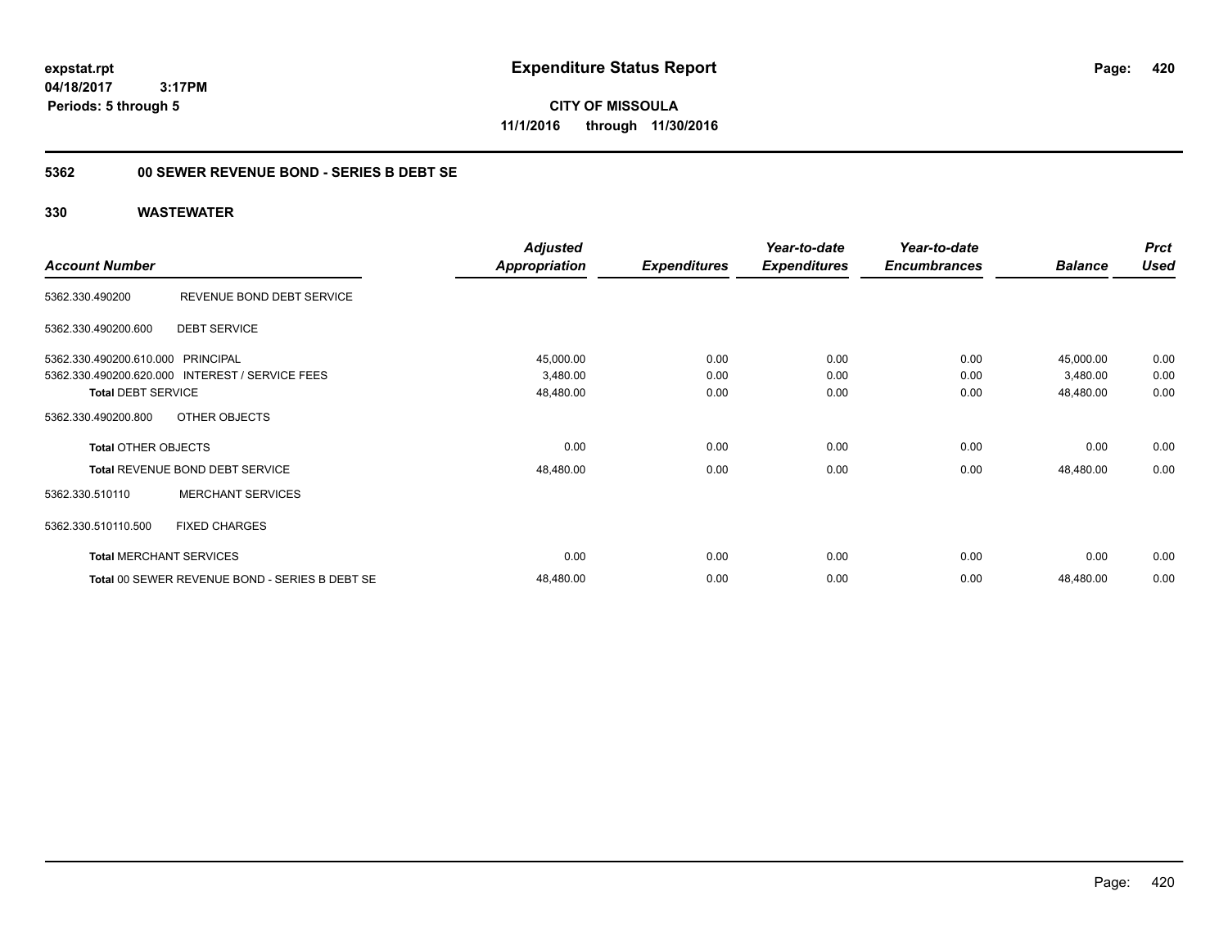**CITY OF MISSOULA 11/1/2016 through 11/30/2016**

# **5362 00 SEWER REVENUE BOND - SERIES B DEBT SE**

|                                   |                                                 | <b>Adjusted</b> |                     | Year-to-date        | Year-to-date        |                | <b>Prct</b> |
|-----------------------------------|-------------------------------------------------|-----------------|---------------------|---------------------|---------------------|----------------|-------------|
| <b>Account Number</b>             |                                                 | Appropriation   | <b>Expenditures</b> | <b>Expenditures</b> | <b>Encumbrances</b> | <b>Balance</b> | <b>Used</b> |
| 5362.330.490200                   | REVENUE BOND DEBT SERVICE                       |                 |                     |                     |                     |                |             |
| 5362.330.490200.600               | <b>DEBT SERVICE</b>                             |                 |                     |                     |                     |                |             |
| 5362.330.490200.610.000 PRINCIPAL |                                                 | 45,000.00       | 0.00                | 0.00                | 0.00                | 45,000.00      | 0.00        |
|                                   | 5362.330.490200.620.000 INTEREST / SERVICE FEES | 3,480.00        | 0.00                | 0.00                | 0.00                | 3,480.00       | 0.00        |
| <b>Total DEBT SERVICE</b>         |                                                 | 48,480.00       | 0.00                | 0.00                | 0.00                | 48,480.00      | 0.00        |
| 5362.330.490200.800               | OTHER OBJECTS                                   |                 |                     |                     |                     |                |             |
| <b>Total OTHER OBJECTS</b>        |                                                 | 0.00            | 0.00                | 0.00                | 0.00                | 0.00           | 0.00        |
|                                   | <b>Total REVENUE BOND DEBT SERVICE</b>          | 48,480.00       | 0.00                | 0.00                | 0.00                | 48,480.00      | 0.00        |
| 5362.330.510110                   | <b>MERCHANT SERVICES</b>                        |                 |                     |                     |                     |                |             |
| 5362.330.510110.500               | <b>FIXED CHARGES</b>                            |                 |                     |                     |                     |                |             |
|                                   | <b>Total MERCHANT SERVICES</b>                  | 0.00            | 0.00                | 0.00                | 0.00                | 0.00           | 0.00        |
|                                   | Total 00 SEWER REVENUE BOND - SERIES B DEBT SE  | 48,480.00       | 0.00                | 0.00                | 0.00                | 48,480.00      | 0.00        |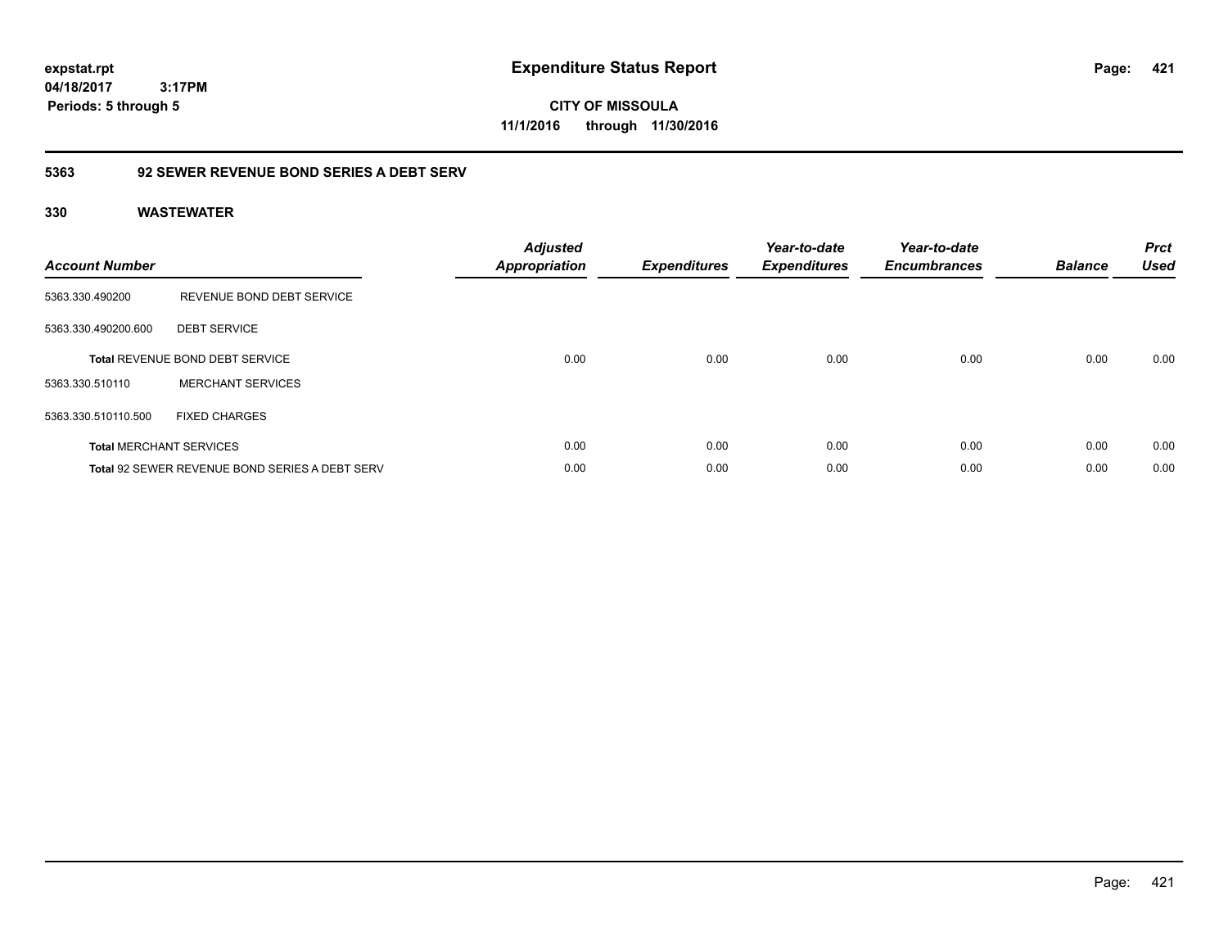**CITY OF MISSOULA 11/1/2016 through 11/30/2016**

# **5363 92 SEWER REVENUE BOND SERIES A DEBT SERV**

| <b>Account Number</b> |                                                       | <b>Adjusted</b><br><b>Appropriation</b> | <b>Expenditures</b> | Year-to-date<br><b>Expenditures</b> | Year-to-date<br><b>Encumbrances</b> | <b>Balance</b> | <b>Prct</b><br><b>Used</b> |
|-----------------------|-------------------------------------------------------|-----------------------------------------|---------------------|-------------------------------------|-------------------------------------|----------------|----------------------------|
| 5363.330.490200       | REVENUE BOND DEBT SERVICE                             |                                         |                     |                                     |                                     |                |                            |
| 5363.330.490200.600   | <b>DEBT SERVICE</b>                                   |                                         |                     |                                     |                                     |                |                            |
|                       | <b>Total REVENUE BOND DEBT SERVICE</b>                | 0.00                                    | 0.00                | 0.00                                | 0.00                                | 0.00           | 0.00                       |
| 5363.330.510110       | <b>MERCHANT SERVICES</b>                              |                                         |                     |                                     |                                     |                |                            |
| 5363.330.510110.500   | <b>FIXED CHARGES</b>                                  |                                         |                     |                                     |                                     |                |                            |
|                       | <b>Total MERCHANT SERVICES</b>                        | 0.00                                    | 0.00                | 0.00                                | 0.00                                | 0.00           | 0.00                       |
|                       | <b>Total 92 SEWER REVENUE BOND SERIES A DEBT SERV</b> | 0.00                                    | 0.00                | 0.00                                | 0.00                                | 0.00           | 0.00                       |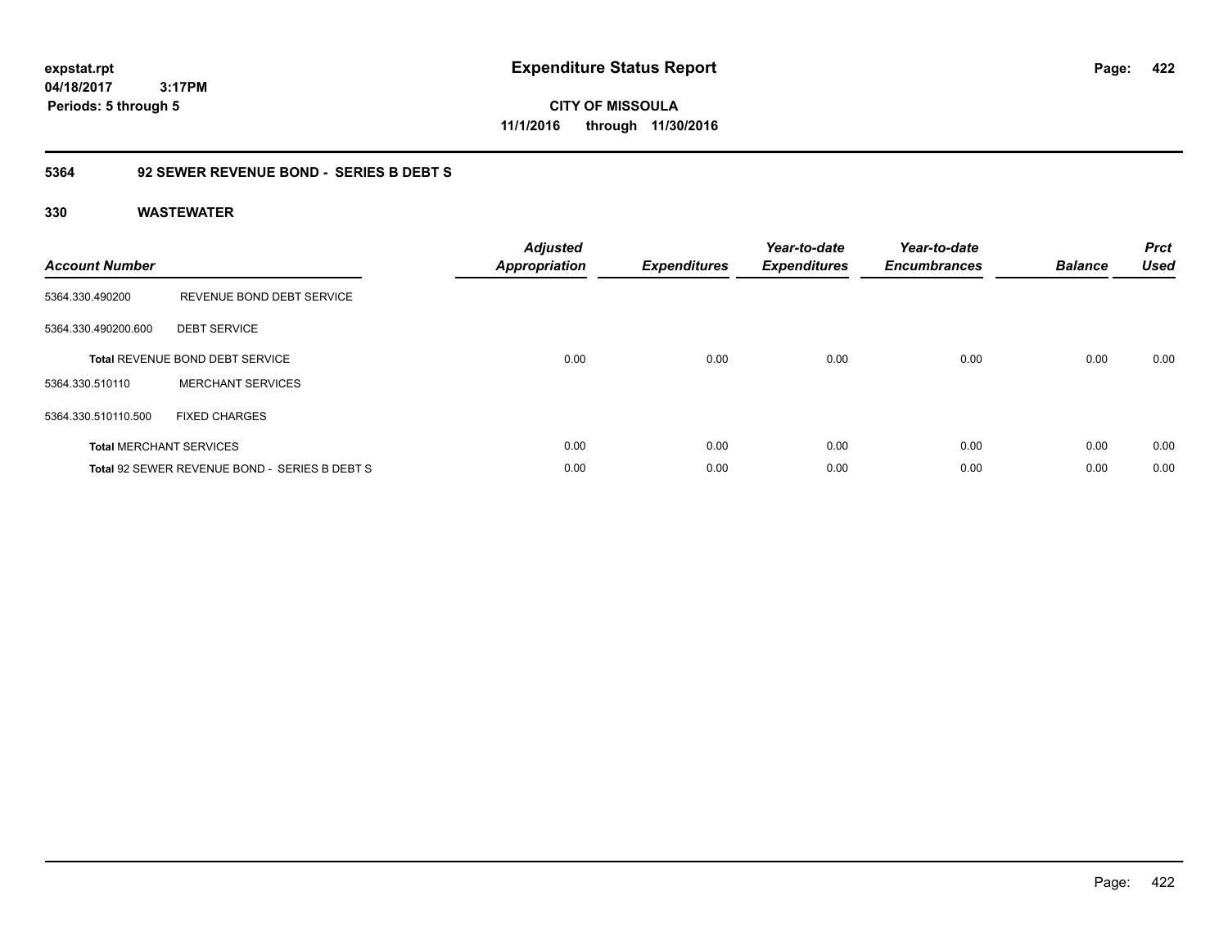**CITY OF MISSOULA 11/1/2016 through 11/30/2016**

# **5364 92 SEWER REVENUE BOND - SERIES B DEBT S**

| <b>Account Number</b> |                                               | <b>Adjusted</b><br>Appropriation | <b>Expenditures</b> | Year-to-date<br><b>Expenditures</b> | Year-to-date<br><b>Encumbrances</b> | <b>Balance</b> | <b>Prct</b><br><b>Used</b> |
|-----------------------|-----------------------------------------------|----------------------------------|---------------------|-------------------------------------|-------------------------------------|----------------|----------------------------|
| 5364.330.490200       | REVENUE BOND DEBT SERVICE                     |                                  |                     |                                     |                                     |                |                            |
| 5364.330.490200.600   | <b>DEBT SERVICE</b>                           |                                  |                     |                                     |                                     |                |                            |
|                       | Total REVENUE BOND DEBT SERVICE               | 0.00                             | 0.00                | 0.00                                | 0.00                                | 0.00           | 0.00                       |
| 5364.330.510110       | <b>MERCHANT SERVICES</b>                      |                                  |                     |                                     |                                     |                |                            |
| 5364.330.510110.500   | <b>FIXED CHARGES</b>                          |                                  |                     |                                     |                                     |                |                            |
|                       | <b>Total MERCHANT SERVICES</b>                | 0.00                             | 0.00                | 0.00                                | 0.00                                | 0.00           | 0.00                       |
|                       | Total 92 SEWER REVENUE BOND - SERIES B DEBT S | 0.00                             | 0.00                | 0.00                                | 0.00                                | 0.00           | 0.00                       |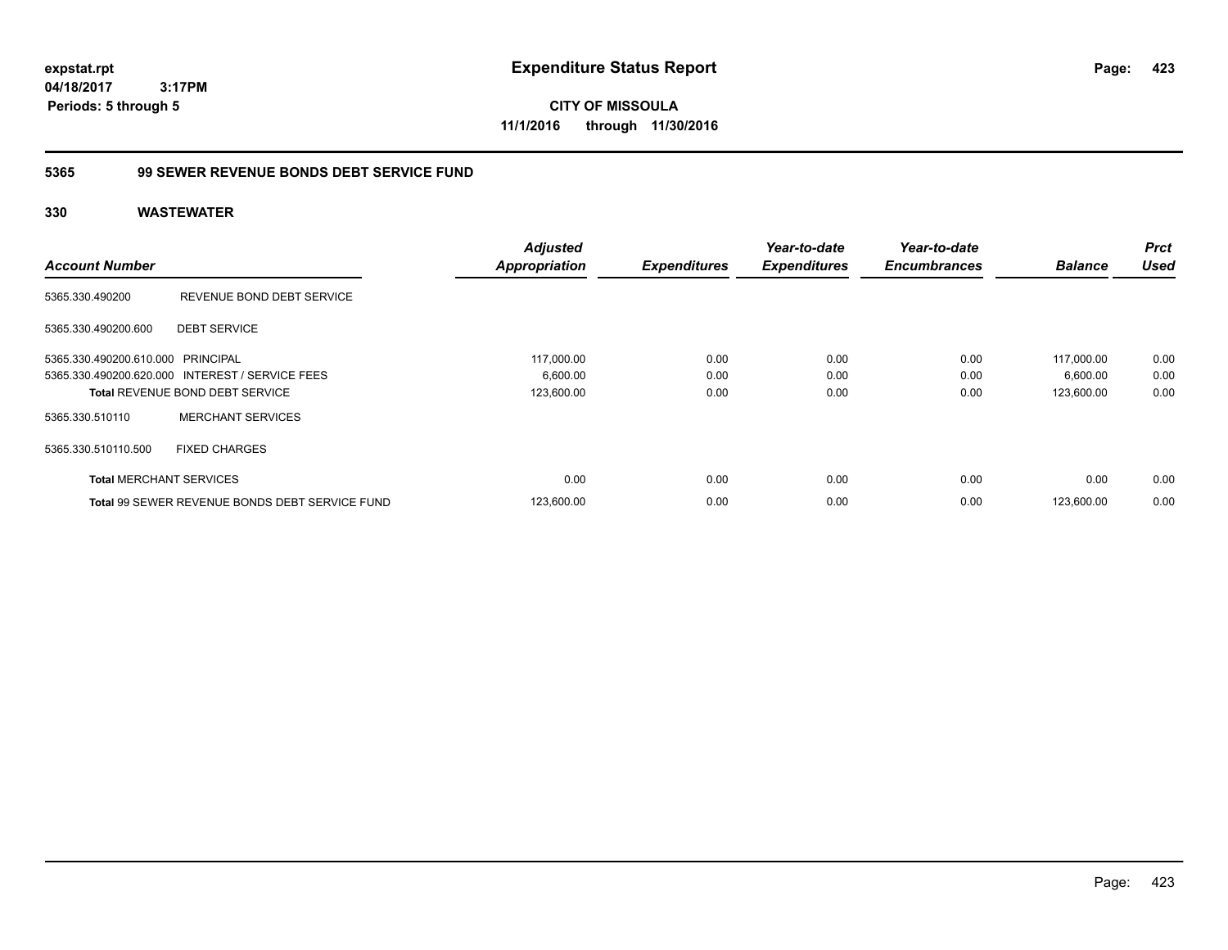**CITY OF MISSOULA 11/1/2016 through 11/30/2016**

# **5365 99 SEWER REVENUE BONDS DEBT SERVICE FUND**

| <b>Account Number</b>             |                                                       | <b>Adjusted</b><br><b>Appropriation</b> | <b>Expenditures</b> | Year-to-date<br><b>Expenditures</b> | Year-to-date<br><b>Encumbrances</b> | <b>Balance</b> | <b>Prct</b><br><b>Used</b> |
|-----------------------------------|-------------------------------------------------------|-----------------------------------------|---------------------|-------------------------------------|-------------------------------------|----------------|----------------------------|
| 5365.330.490200                   | REVENUE BOND DEBT SERVICE                             |                                         |                     |                                     |                                     |                |                            |
| 5365.330.490200.600               | <b>DEBT SERVICE</b>                                   |                                         |                     |                                     |                                     |                |                            |
| 5365.330.490200.610.000 PRINCIPAL |                                                       | 117,000.00                              | 0.00                | 0.00                                | 0.00                                | 117,000.00     | 0.00                       |
|                                   | 5365.330.490200.620.000 INTEREST / SERVICE FEES       | 6,600.00                                | 0.00                | 0.00                                | 0.00                                | 6,600.00       | 0.00                       |
|                                   | <b>Total REVENUE BOND DEBT SERVICE</b>                | 123,600.00                              | 0.00                | 0.00                                | 0.00                                | 123.600.00     | 0.00                       |
| 5365.330.510110                   | <b>MERCHANT SERVICES</b>                              |                                         |                     |                                     |                                     |                |                            |
| 5365.330.510110.500               | <b>FIXED CHARGES</b>                                  |                                         |                     |                                     |                                     |                |                            |
| <b>Total MERCHANT SERVICES</b>    |                                                       | 0.00                                    | 0.00                | 0.00                                | 0.00                                | 0.00           | 0.00                       |
|                                   | <b>Total 99 SEWER REVENUE BONDS DEBT SERVICE FUND</b> | 123,600.00                              | 0.00                | 0.00                                | 0.00                                | 123.600.00     | 0.00                       |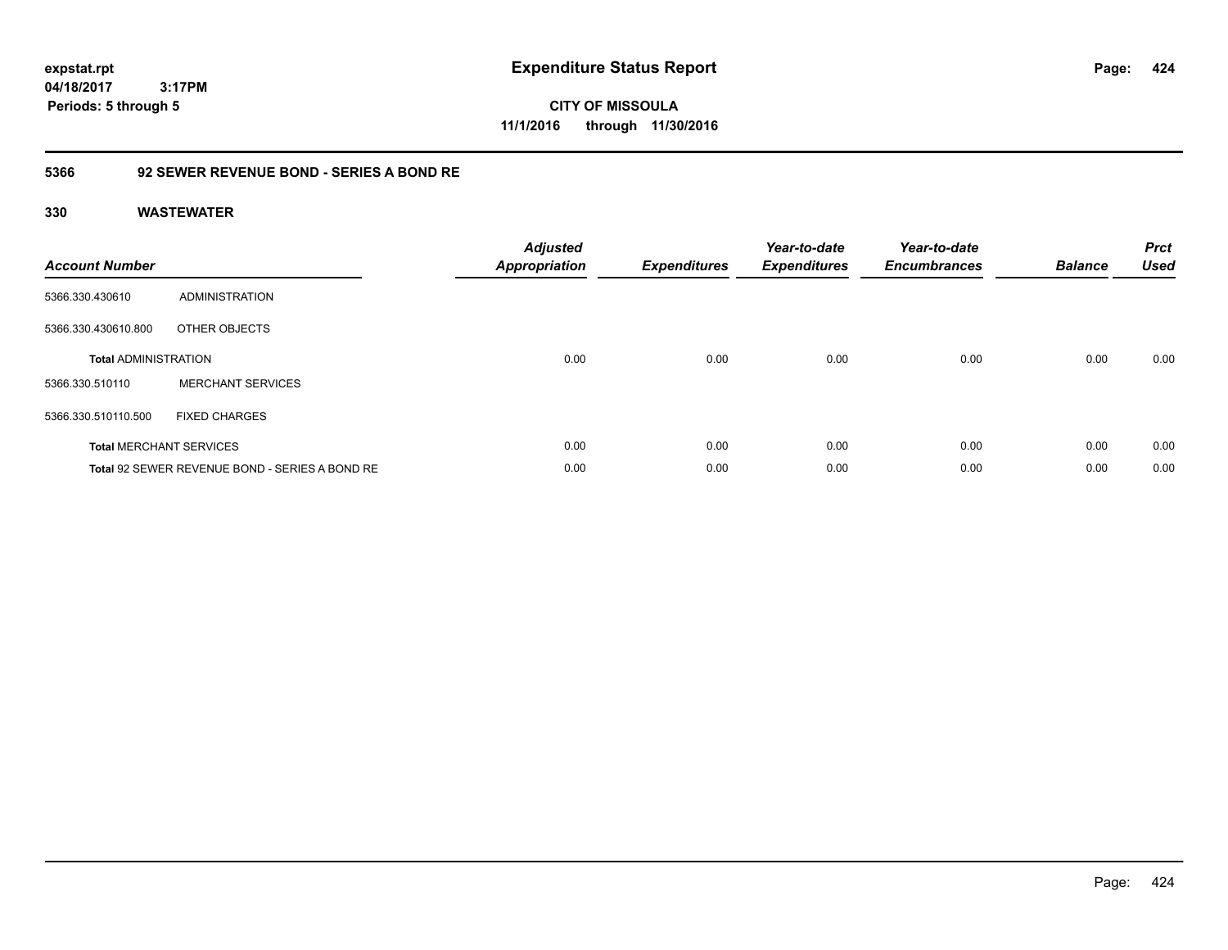**CITY OF MISSOULA 11/1/2016 through 11/30/2016**

# **5366 92 SEWER REVENUE BOND - SERIES A BOND RE**

| <b>Account Number</b>       |                                                | <b>Adjusted</b><br><b>Appropriation</b> | <b>Expenditures</b> | Year-to-date<br><b>Expenditures</b> | Year-to-date<br><b>Encumbrances</b> | <b>Balance</b> | <b>Prct</b><br><b>Used</b> |
|-----------------------------|------------------------------------------------|-----------------------------------------|---------------------|-------------------------------------|-------------------------------------|----------------|----------------------------|
| 5366.330.430610             | <b>ADMINISTRATION</b>                          |                                         |                     |                                     |                                     |                |                            |
| 5366.330.430610.800         | OTHER OBJECTS                                  |                                         |                     |                                     |                                     |                |                            |
| <b>Total ADMINISTRATION</b> |                                                | 0.00                                    | 0.00                | 0.00                                | 0.00                                | 0.00           | 0.00                       |
| 5366.330.510110             | <b>MERCHANT SERVICES</b>                       |                                         |                     |                                     |                                     |                |                            |
| 5366.330.510110.500         | <b>FIXED CHARGES</b>                           |                                         |                     |                                     |                                     |                |                            |
|                             | <b>Total MERCHANT SERVICES</b>                 | 0.00                                    | 0.00                | 0.00                                | 0.00                                | 0.00           | 0.00                       |
|                             | Total 92 SEWER REVENUE BOND - SERIES A BOND RE | 0.00                                    | 0.00                | 0.00                                | 0.00                                | 0.00           | 0.00                       |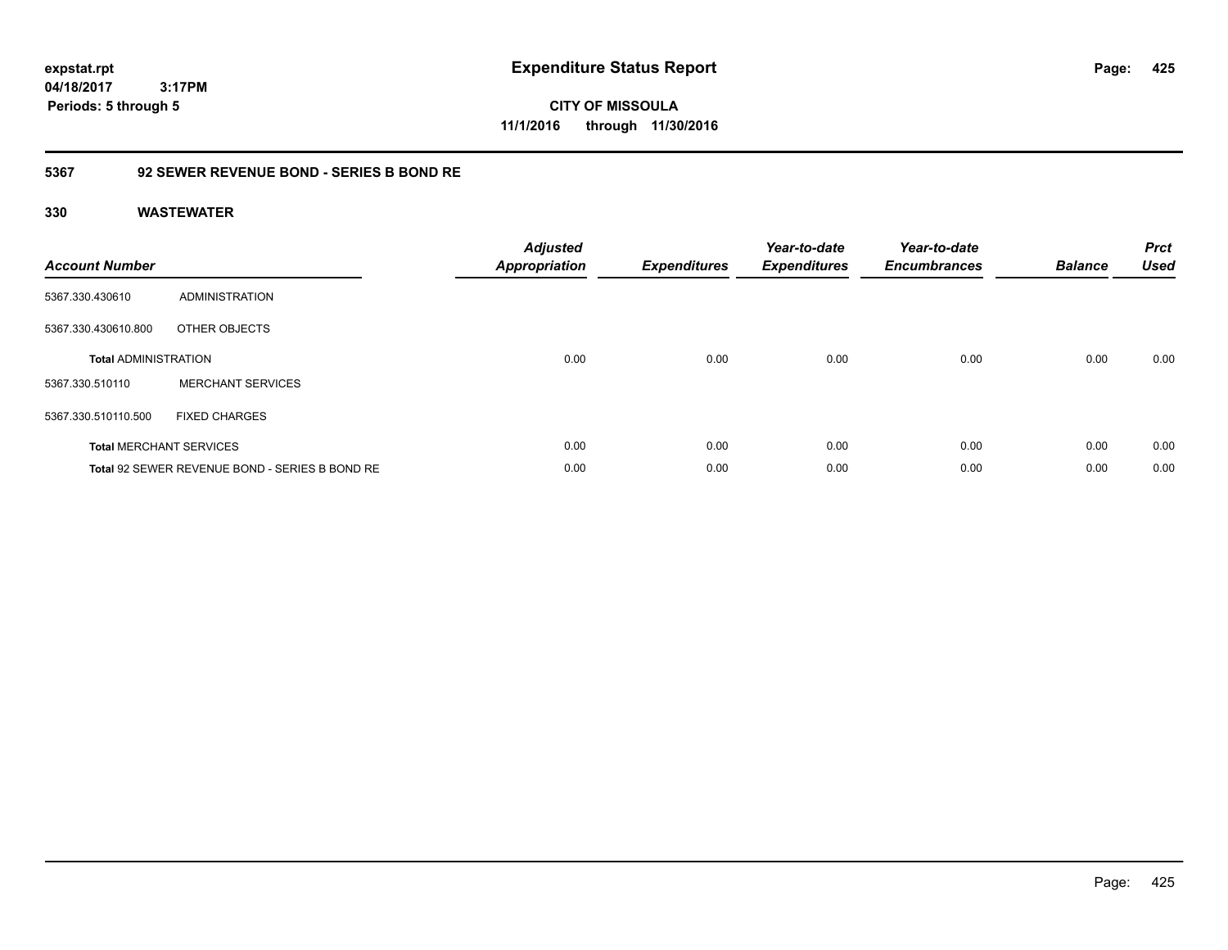**CITY OF MISSOULA 11/1/2016 through 11/30/2016**

# **5367 92 SEWER REVENUE BOND - SERIES B BOND RE**

| <b>Account Number</b>       |                                                | <b>Adjusted</b><br><b>Appropriation</b> | <b>Expenditures</b> | Year-to-date<br><b>Expenditures</b> | Year-to-date<br><b>Encumbrances</b> | <b>Balance</b> | <b>Prct</b><br><b>Used</b> |
|-----------------------------|------------------------------------------------|-----------------------------------------|---------------------|-------------------------------------|-------------------------------------|----------------|----------------------------|
| 5367.330.430610             | <b>ADMINISTRATION</b>                          |                                         |                     |                                     |                                     |                |                            |
| 5367.330.430610.800         | OTHER OBJECTS                                  |                                         |                     |                                     |                                     |                |                            |
| <b>Total ADMINISTRATION</b> |                                                | 0.00                                    | 0.00                | 0.00                                | 0.00                                | 0.00           | 0.00                       |
| 5367.330.510110             | <b>MERCHANT SERVICES</b>                       |                                         |                     |                                     |                                     |                |                            |
| 5367.330.510110.500         | <b>FIXED CHARGES</b>                           |                                         |                     |                                     |                                     |                |                            |
|                             | <b>Total MERCHANT SERVICES</b>                 | 0.00                                    | 0.00                | 0.00                                | 0.00                                | 0.00           | 0.00                       |
|                             | Total 92 SEWER REVENUE BOND - SERIES B BOND RE | 0.00                                    | 0.00                | 0.00                                | 0.00                                | 0.00           | 0.00                       |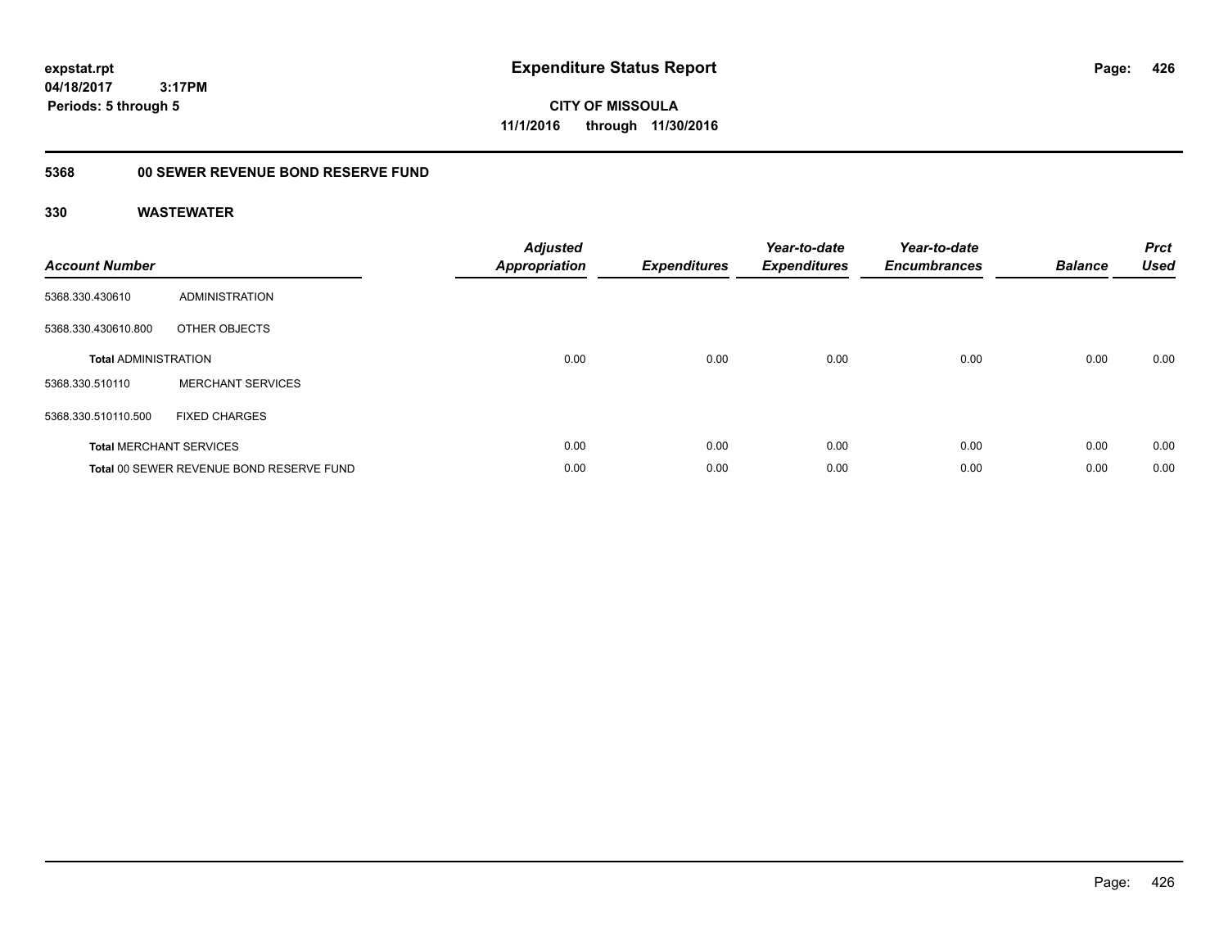**CITY OF MISSOULA 11/1/2016 through 11/30/2016**

# **5368 00 SEWER REVENUE BOND RESERVE FUND**

| <b>Account Number</b>       |                                          | <b>Adjusted</b><br>Appropriation | <b>Expenditures</b> | Year-to-date<br><b>Expenditures</b> | Year-to-date<br><b>Encumbrances</b> | <b>Balance</b> | <b>Prct</b><br><b>Used</b> |
|-----------------------------|------------------------------------------|----------------------------------|---------------------|-------------------------------------|-------------------------------------|----------------|----------------------------|
| 5368.330.430610             | ADMINISTRATION                           |                                  |                     |                                     |                                     |                |                            |
| 5368.330.430610.800         | OTHER OBJECTS                            |                                  |                     |                                     |                                     |                |                            |
| <b>Total ADMINISTRATION</b> |                                          | 0.00                             | 0.00                | 0.00                                | 0.00                                | 0.00           | 0.00                       |
| 5368.330.510110             | <b>MERCHANT SERVICES</b>                 |                                  |                     |                                     |                                     |                |                            |
| 5368.330.510110.500         | <b>FIXED CHARGES</b>                     |                                  |                     |                                     |                                     |                |                            |
|                             | <b>Total MERCHANT SERVICES</b>           | 0.00                             | 0.00                | 0.00                                | 0.00                                | 0.00           | 0.00                       |
|                             | Total 00 SEWER REVENUE BOND RESERVE FUND | 0.00                             | 0.00                | 0.00                                | 0.00                                | 0.00           | 0.00                       |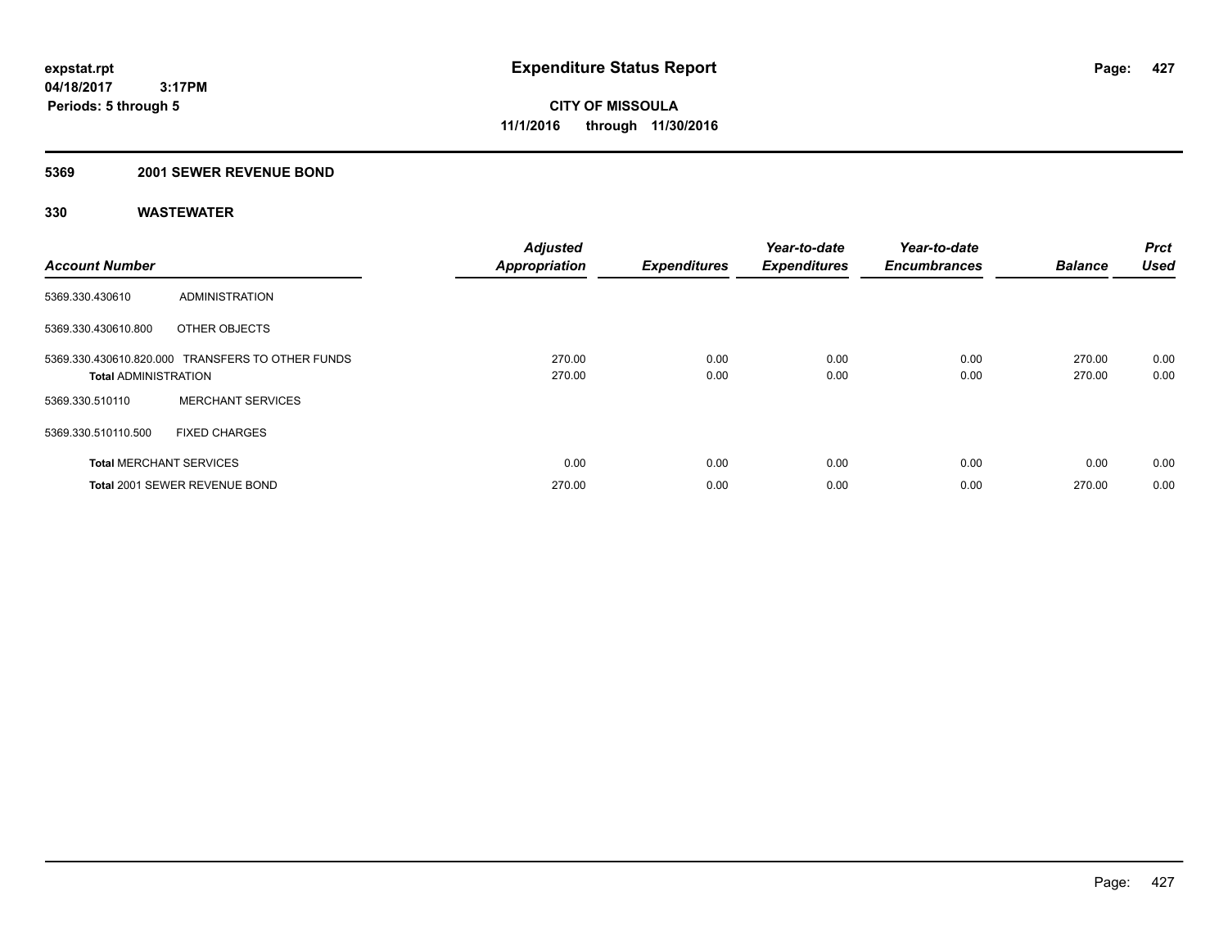# **5369 2001 SEWER REVENUE BOND**

| <b>Account Number</b>          |                                                  | <b>Adjusted</b><br><b>Appropriation</b> | <b>Expenditures</b> | Year-to-date<br><b>Expenditures</b> | Year-to-date<br><b>Encumbrances</b> | <b>Balance</b>   | <b>Prct</b><br><b>Used</b> |
|--------------------------------|--------------------------------------------------|-----------------------------------------|---------------------|-------------------------------------|-------------------------------------|------------------|----------------------------|
| 5369.330.430610                | ADMINISTRATION                                   |                                         |                     |                                     |                                     |                  |                            |
| 5369.330.430610.800            | OTHER OBJECTS                                    |                                         |                     |                                     |                                     |                  |                            |
| <b>Total ADMINISTRATION</b>    | 5369.330.430610.820.000 TRANSFERS TO OTHER FUNDS | 270.00<br>270.00                        | 0.00<br>0.00        | 0.00<br>0.00                        | 0.00<br>0.00                        | 270.00<br>270.00 | 0.00<br>0.00               |
| 5369.330.510110                | <b>MERCHANT SERVICES</b>                         |                                         |                     |                                     |                                     |                  |                            |
| 5369.330.510110.500            | <b>FIXED CHARGES</b>                             |                                         |                     |                                     |                                     |                  |                            |
| <b>Total MERCHANT SERVICES</b> |                                                  | 0.00                                    | 0.00                | 0.00                                | 0.00                                | 0.00             | 0.00                       |
|                                | Total 2001 SEWER REVENUE BOND                    | 270.00                                  | 0.00                | 0.00                                | 0.00                                | 270.00           | 0.00                       |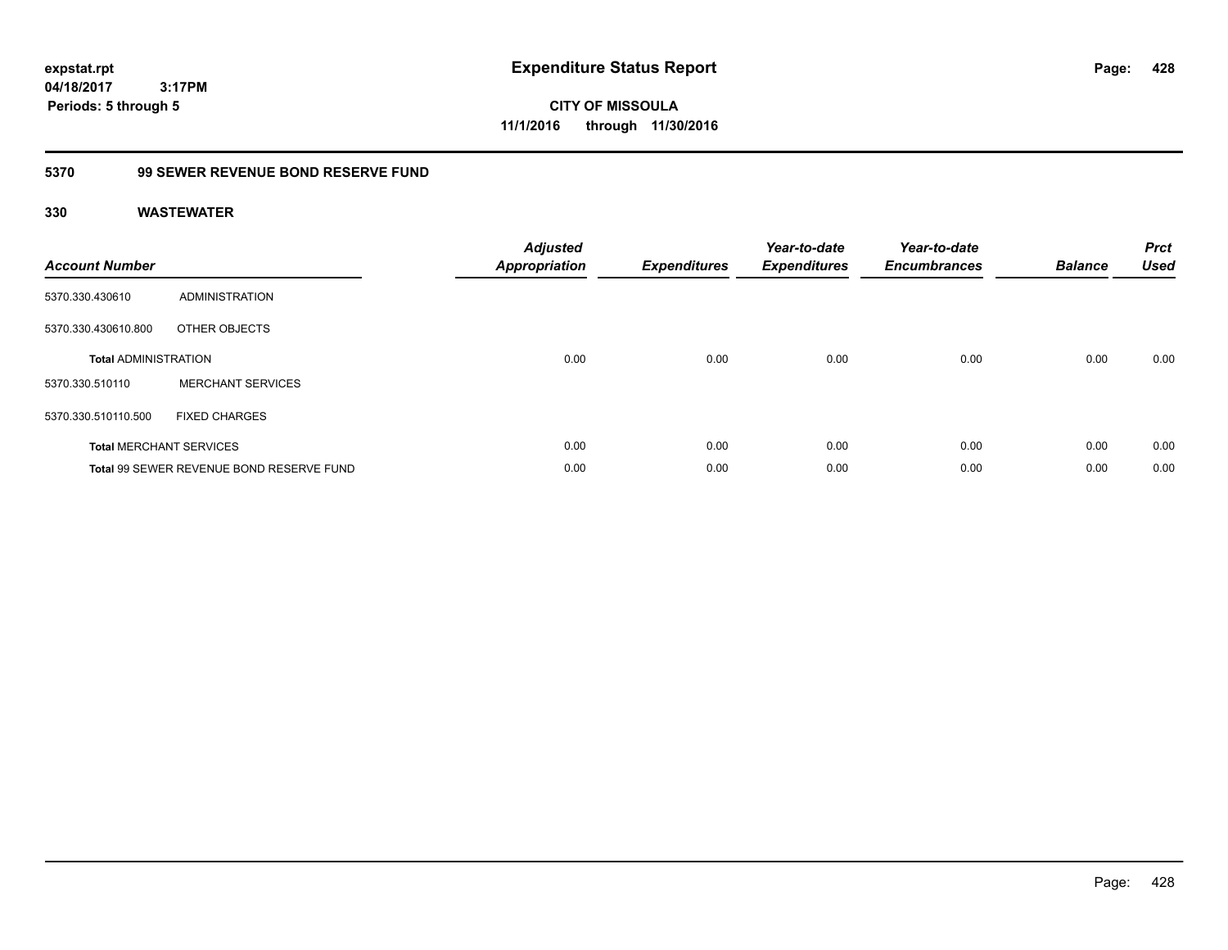**CITY OF MISSOULA 11/1/2016 through 11/30/2016**

# **5370 99 SEWER REVENUE BOND RESERVE FUND**

| <b>Account Number</b>       |                                          | <b>Adjusted</b><br><b>Appropriation</b> | <b>Expenditures</b> | Year-to-date<br><b>Expenditures</b> | Year-to-date<br><b>Encumbrances</b> | <b>Balance</b> | <b>Prct</b><br><b>Used</b> |
|-----------------------------|------------------------------------------|-----------------------------------------|---------------------|-------------------------------------|-------------------------------------|----------------|----------------------------|
| 5370.330.430610             | <b>ADMINISTRATION</b>                    |                                         |                     |                                     |                                     |                |                            |
| 5370.330.430610.800         | OTHER OBJECTS                            |                                         |                     |                                     |                                     |                |                            |
| <b>Total ADMINISTRATION</b> |                                          | 0.00                                    | 0.00                | 0.00                                | 0.00                                | 0.00           | 0.00                       |
| 5370.330.510110             | <b>MERCHANT SERVICES</b>                 |                                         |                     |                                     |                                     |                |                            |
| 5370.330.510110.500         | <b>FIXED CHARGES</b>                     |                                         |                     |                                     |                                     |                |                            |
|                             | <b>Total MERCHANT SERVICES</b>           | 0.00                                    | 0.00                | 0.00                                | 0.00                                | 0.00           | 0.00                       |
|                             | Total 99 SEWER REVENUE BOND RESERVE FUND | 0.00                                    | 0.00                | 0.00                                | 0.00                                | 0.00           | 0.00                       |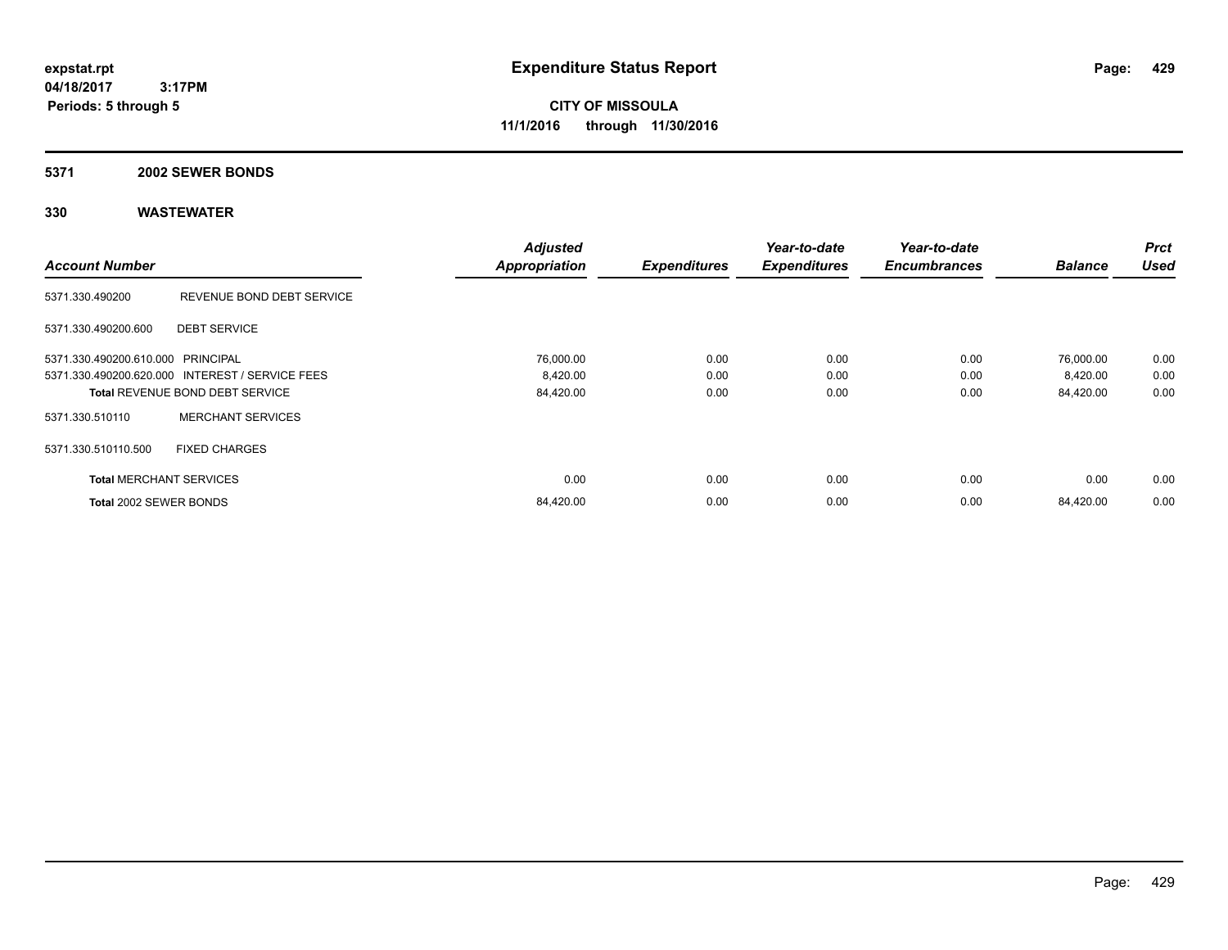**CITY OF MISSOULA 11/1/2016 through 11/30/2016**

### **5371 2002 SEWER BONDS**

|                                   |                                                 | <b>Adjusted</b>      |                     | Year-to-date        | Year-to-date        |                | <b>Prct</b> |
|-----------------------------------|-------------------------------------------------|----------------------|---------------------|---------------------|---------------------|----------------|-------------|
| <b>Account Number</b>             |                                                 | <b>Appropriation</b> | <b>Expenditures</b> | <b>Expenditures</b> | <b>Encumbrances</b> | <b>Balance</b> | <b>Used</b> |
| 5371.330.490200                   | REVENUE BOND DEBT SERVICE                       |                      |                     |                     |                     |                |             |
| 5371.330.490200.600               | <b>DEBT SERVICE</b>                             |                      |                     |                     |                     |                |             |
| 5371.330.490200.610.000 PRINCIPAL |                                                 | 76,000.00            | 0.00                | 0.00                | 0.00                | 76,000.00      | 0.00        |
|                                   | 5371.330.490200.620.000 INTEREST / SERVICE FEES | 8,420.00             | 0.00                | 0.00                | 0.00                | 8,420.00       | 0.00        |
|                                   | <b>Total REVENUE BOND DEBT SERVICE</b>          | 84,420.00            | 0.00                | 0.00                | 0.00                | 84,420.00      | 0.00        |
| 5371.330.510110                   | <b>MERCHANT SERVICES</b>                        |                      |                     |                     |                     |                |             |
| 5371.330.510110.500               | <b>FIXED CHARGES</b>                            |                      |                     |                     |                     |                |             |
| <b>Total MERCHANT SERVICES</b>    |                                                 | 0.00                 | 0.00                | 0.00                | 0.00                | 0.00           | 0.00        |
| Total 2002 SEWER BONDS            |                                                 | 84,420.00            | 0.00                | 0.00                | 0.00                | 84,420.00      | 0.00        |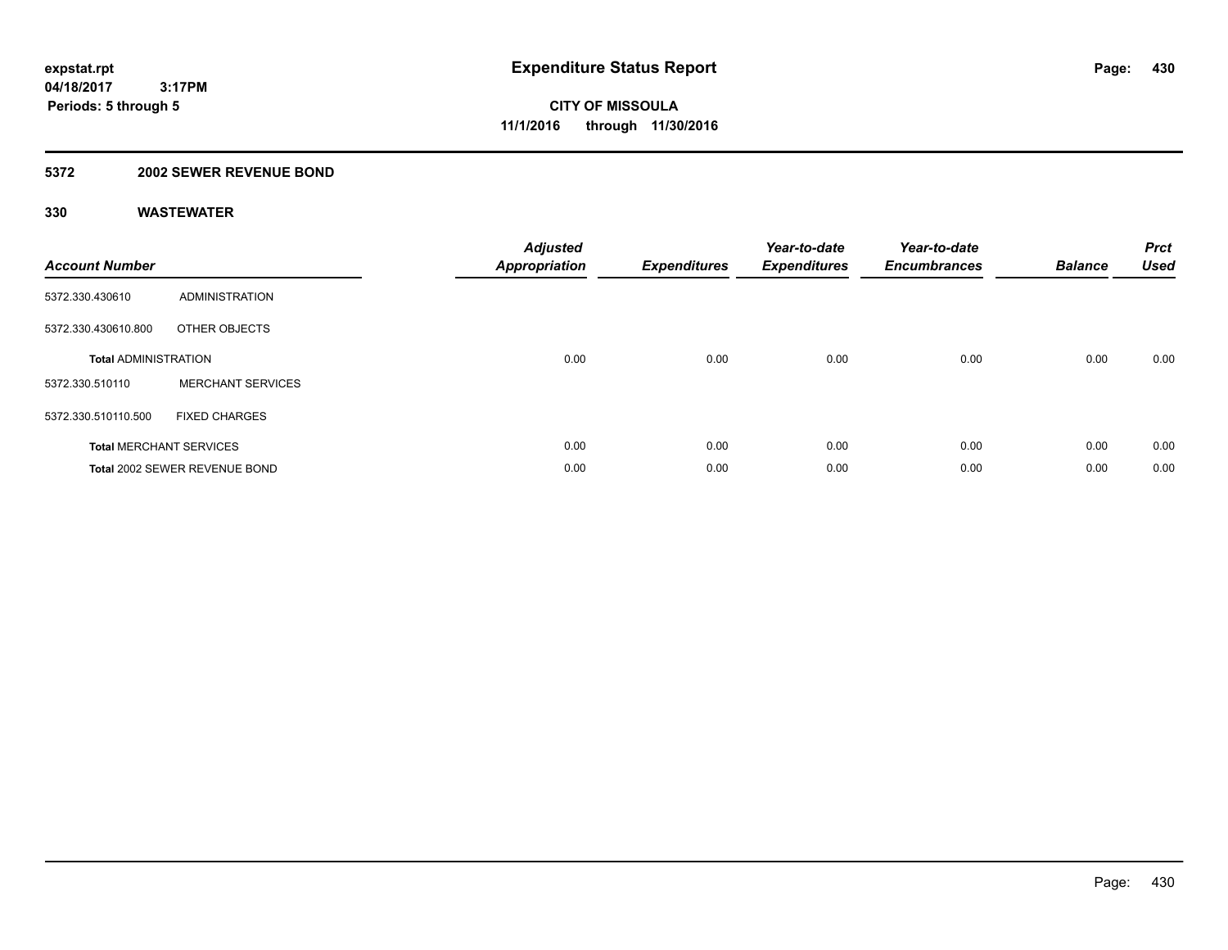# **5372 2002 SEWER REVENUE BOND**

| <b>Account Number</b>       |                                | <b>Adjusted</b><br>Appropriation | <b>Expenditures</b> | Year-to-date<br><b>Expenditures</b> | Year-to-date<br><b>Encumbrances</b> | <b>Balance</b> | <b>Prct</b><br><b>Used</b> |
|-----------------------------|--------------------------------|----------------------------------|---------------------|-------------------------------------|-------------------------------------|----------------|----------------------------|
| 5372.330.430610             | ADMINISTRATION                 |                                  |                     |                                     |                                     |                |                            |
| 5372.330.430610.800         | OTHER OBJECTS                  |                                  |                     |                                     |                                     |                |                            |
| <b>Total ADMINISTRATION</b> |                                | 0.00                             | 0.00                | 0.00                                | 0.00                                | 0.00           | 0.00                       |
| 5372.330.510110             | <b>MERCHANT SERVICES</b>       |                                  |                     |                                     |                                     |                |                            |
| 5372.330.510110.500         | <b>FIXED CHARGES</b>           |                                  |                     |                                     |                                     |                |                            |
|                             | <b>Total MERCHANT SERVICES</b> | 0.00                             | 0.00                | 0.00                                | 0.00                                | 0.00           | 0.00                       |
|                             | Total 2002 SEWER REVENUE BOND  | 0.00                             | 0.00                | 0.00                                | 0.00                                | 0.00           | 0.00                       |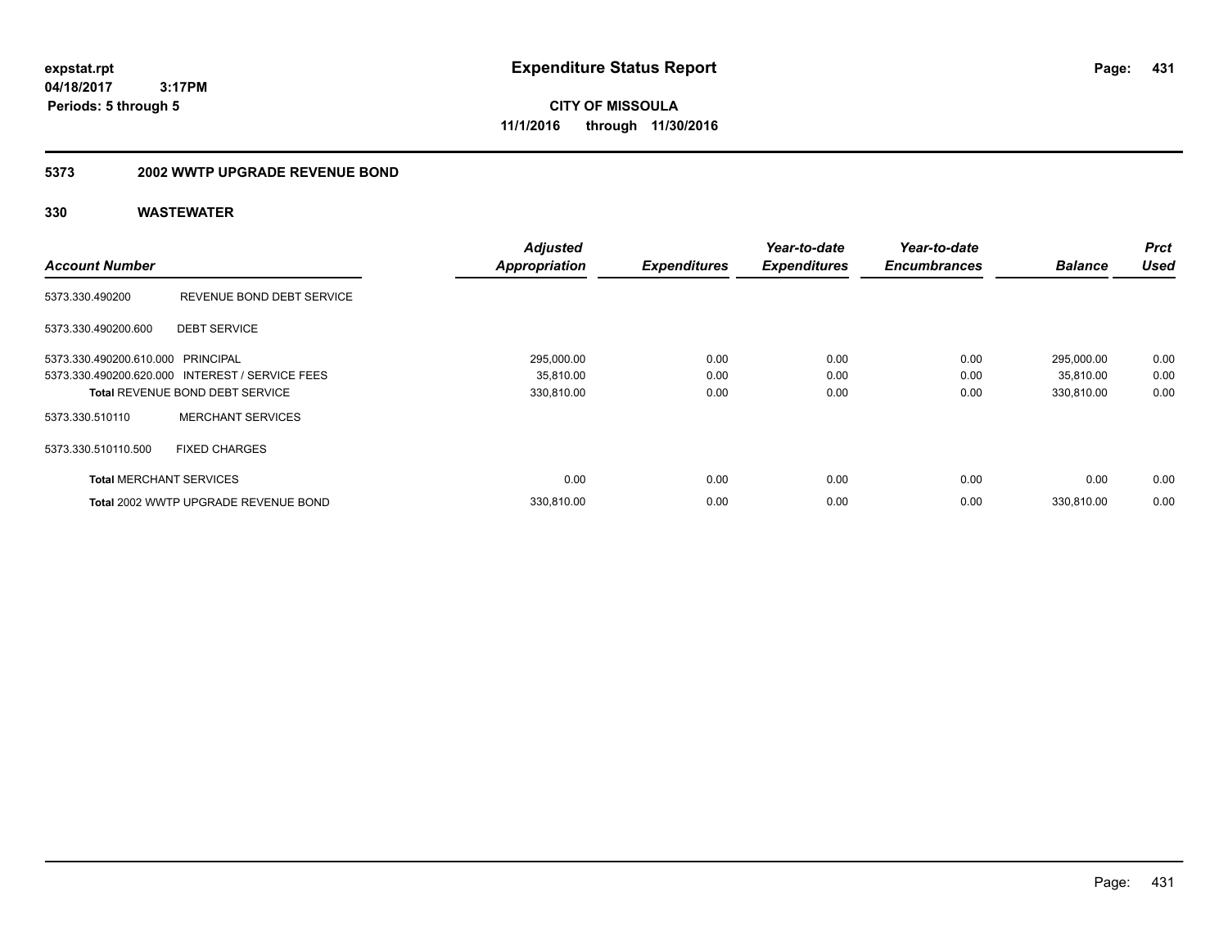**CITY OF MISSOULA 11/1/2016 through 11/30/2016**

# **5373 2002 WWTP UPGRADE REVENUE BOND**

| <b>Account Number</b>             |                                                 | <b>Adjusted</b>      | <b>Expenditures</b> | Year-to-date<br><b>Expenditures</b> | Year-to-date<br><b>Encumbrances</b> | <b>Balance</b> | <b>Prct</b><br><b>Used</b> |
|-----------------------------------|-------------------------------------------------|----------------------|---------------------|-------------------------------------|-------------------------------------|----------------|----------------------------|
|                                   |                                                 | <b>Appropriation</b> |                     |                                     |                                     |                |                            |
| 5373.330.490200                   | REVENUE BOND DEBT SERVICE                       |                      |                     |                                     |                                     |                |                            |
| 5373.330.490200.600               | <b>DEBT SERVICE</b>                             |                      |                     |                                     |                                     |                |                            |
| 5373.330.490200.610.000 PRINCIPAL |                                                 | 295,000.00           | 0.00                | 0.00                                | 0.00                                | 295,000.00     | 0.00                       |
|                                   | 5373.330.490200.620.000 INTEREST / SERVICE FEES | 35,810.00            | 0.00                | 0.00                                | 0.00                                | 35,810.00      | 0.00                       |
|                                   | <b>Total REVENUE BOND DEBT SERVICE</b>          | 330,810.00           | 0.00                | 0.00                                | 0.00                                | 330,810.00     | 0.00                       |
| 5373.330.510110                   | <b>MERCHANT SERVICES</b>                        |                      |                     |                                     |                                     |                |                            |
| 5373.330.510110.500               | <b>FIXED CHARGES</b>                            |                      |                     |                                     |                                     |                |                            |
| <b>Total MERCHANT SERVICES</b>    |                                                 | 0.00                 | 0.00                | 0.00                                | 0.00                                | 0.00           | 0.00                       |
|                                   | Total 2002 WWTP UPGRADE REVENUE BOND            | 330.810.00           | 0.00                | 0.00                                | 0.00                                | 330.810.00     | 0.00                       |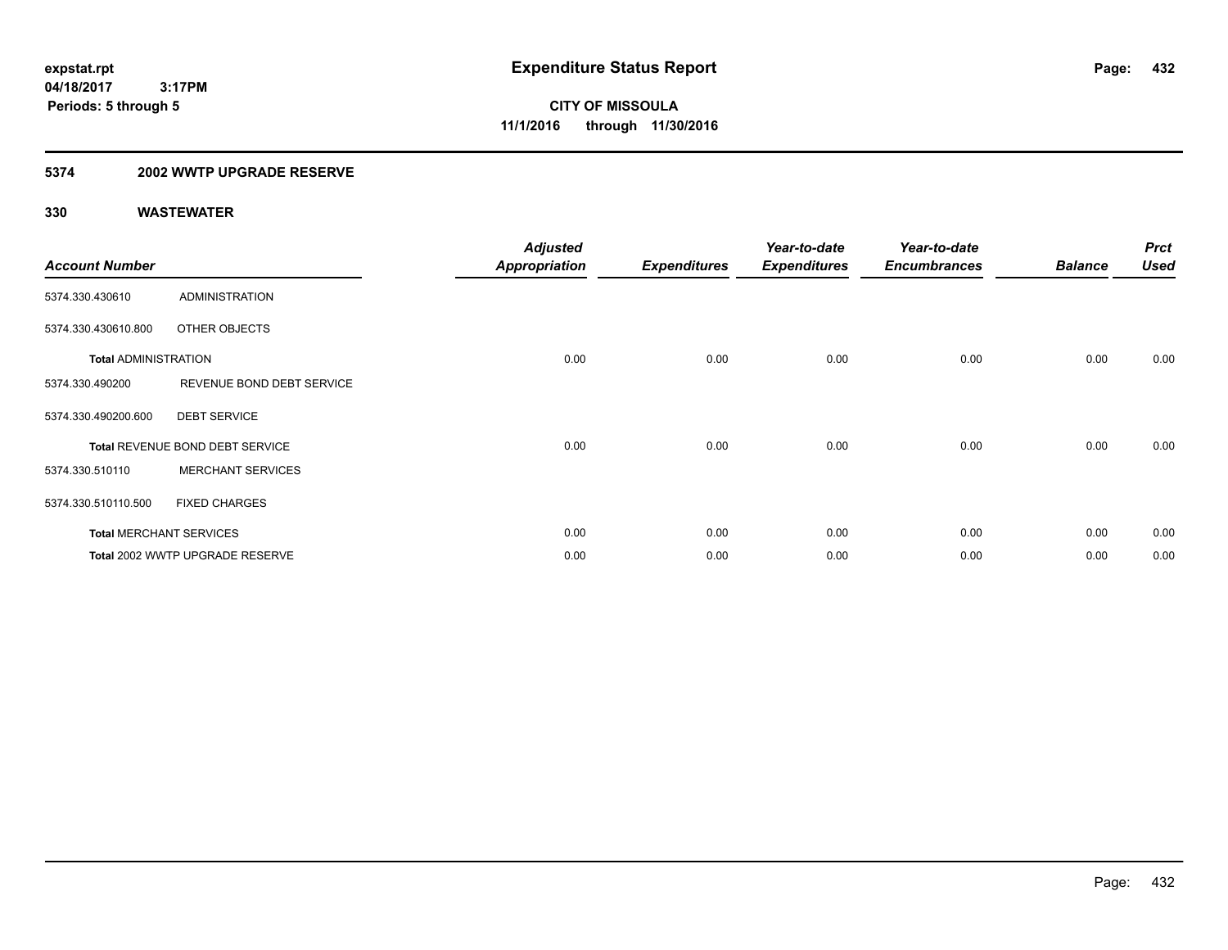# **5374 2002 WWTP UPGRADE RESERVE**

| <b>Account Number</b>       |                                 | <b>Adjusted</b><br><b>Appropriation</b> | <b>Expenditures</b> | Year-to-date<br><b>Expenditures</b> | Year-to-date<br><b>Encumbrances</b> | <b>Balance</b> | <b>Prct</b><br><b>Used</b> |
|-----------------------------|---------------------------------|-----------------------------------------|---------------------|-------------------------------------|-------------------------------------|----------------|----------------------------|
| 5374.330.430610             | <b>ADMINISTRATION</b>           |                                         |                     |                                     |                                     |                |                            |
| 5374.330.430610.800         | OTHER OBJECTS                   |                                         |                     |                                     |                                     |                |                            |
| <b>Total ADMINISTRATION</b> |                                 | 0.00                                    | 0.00                | 0.00                                | 0.00                                | 0.00           | 0.00                       |
| 5374.330.490200             | REVENUE BOND DEBT SERVICE       |                                         |                     |                                     |                                     |                |                            |
| 5374.330.490200.600         | <b>DEBT SERVICE</b>             |                                         |                     |                                     |                                     |                |                            |
|                             | Total REVENUE BOND DEBT SERVICE | 0.00                                    | 0.00                | 0.00                                | 0.00                                | 0.00           | 0.00                       |
| 5374.330.510110             | <b>MERCHANT SERVICES</b>        |                                         |                     |                                     |                                     |                |                            |
| 5374.330.510110.500         | <b>FIXED CHARGES</b>            |                                         |                     |                                     |                                     |                |                            |
|                             | <b>Total MERCHANT SERVICES</b>  | 0.00                                    | 0.00                | 0.00                                | 0.00                                | 0.00           | 0.00                       |
|                             | Total 2002 WWTP UPGRADE RESERVE | 0.00                                    | 0.00                | 0.00                                | 0.00                                | 0.00           | 0.00                       |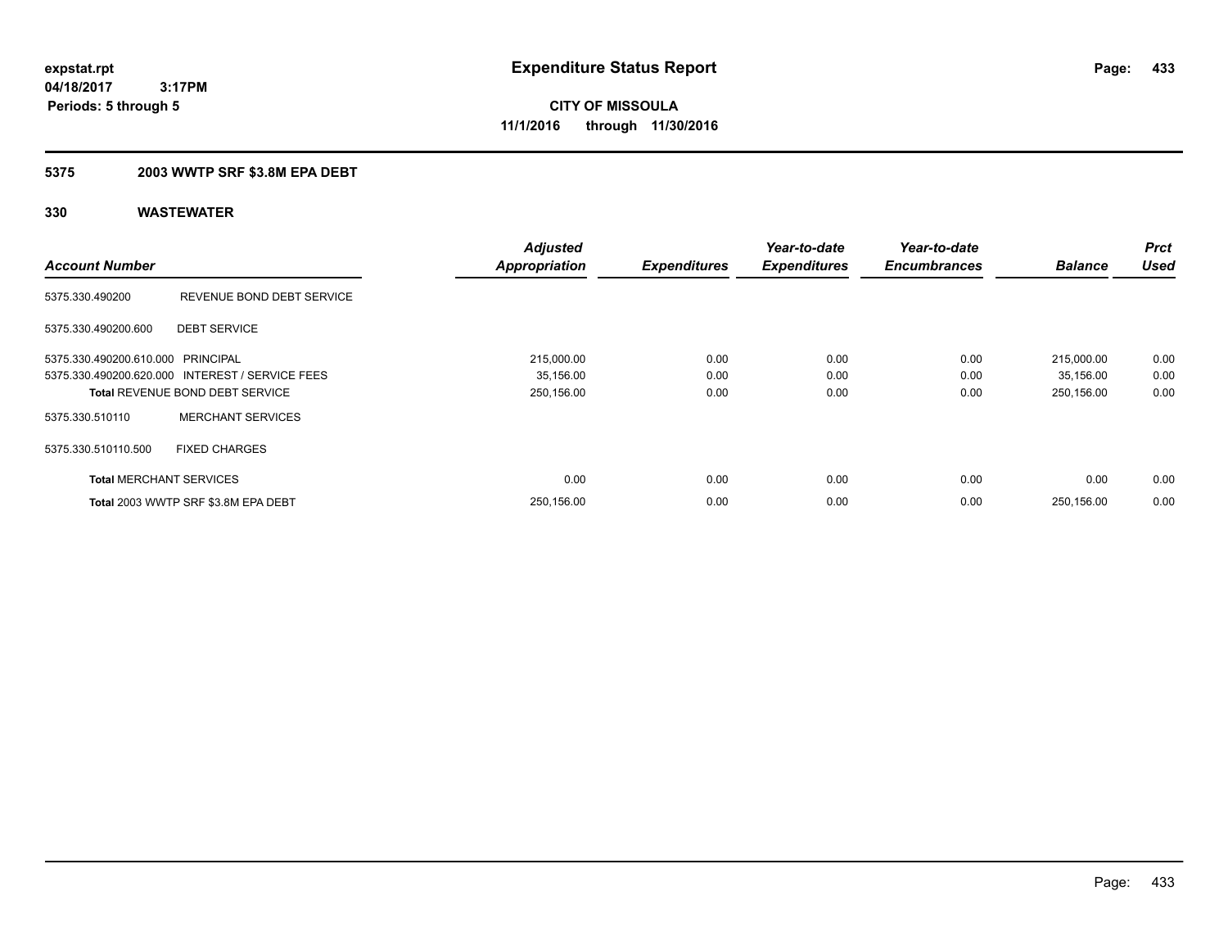# **CITY OF MISSOULA 11/1/2016 through 11/30/2016**

### **5375 2003 WWTP SRF \$3.8M EPA DEBT**

|                                   |                                                 | <b>Adjusted</b>      |                     | Year-to-date        | Year-to-date        |                | <b>Prct</b> |
|-----------------------------------|-------------------------------------------------|----------------------|---------------------|---------------------|---------------------|----------------|-------------|
| <b>Account Number</b>             |                                                 | <b>Appropriation</b> | <b>Expenditures</b> | <b>Expenditures</b> | <b>Encumbrances</b> | <b>Balance</b> | <b>Used</b> |
| 5375.330.490200                   | REVENUE BOND DEBT SERVICE                       |                      |                     |                     |                     |                |             |
| 5375.330.490200.600               | <b>DEBT SERVICE</b>                             |                      |                     |                     |                     |                |             |
| 5375.330.490200.610.000 PRINCIPAL |                                                 | 215,000.00           | 0.00                | 0.00                | 0.00                | 215,000.00     | 0.00        |
|                                   | 5375.330.490200.620.000 INTEREST / SERVICE FEES | 35,156.00            | 0.00                | 0.00                | 0.00                | 35,156.00      | 0.00        |
|                                   | <b>Total REVENUE BOND DEBT SERVICE</b>          | 250,156.00           | 0.00                | 0.00                | 0.00                | 250,156.00     | 0.00        |
| 5375.330.510110                   | <b>MERCHANT SERVICES</b>                        |                      |                     |                     |                     |                |             |
| 5375.330.510110.500               | <b>FIXED CHARGES</b>                            |                      |                     |                     |                     |                |             |
| <b>Total MERCHANT SERVICES</b>    |                                                 | 0.00                 | 0.00                | 0.00                | 0.00                | 0.00           | 0.00        |
|                                   | Total 2003 WWTP SRF \$3.8M EPA DEBT             | 250,156.00           | 0.00                | 0.00                | 0.00                | 250,156.00     | 0.00        |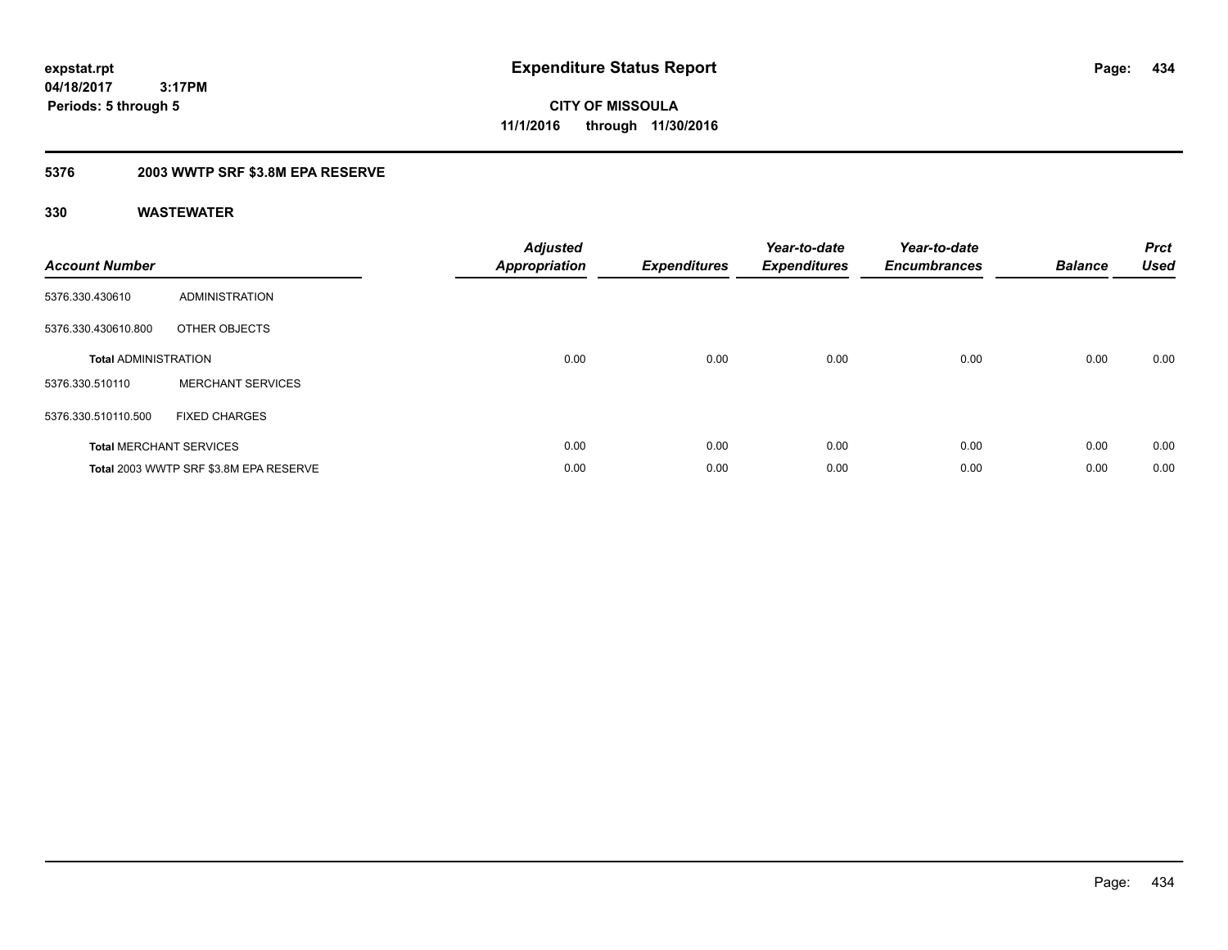**CITY OF MISSOULA 11/1/2016 through 11/30/2016**

### **5376 2003 WWTP SRF \$3.8M EPA RESERVE**

| <b>Account Number</b>       |                                        | <b>Adjusted</b><br><b>Appropriation</b> | <b>Expenditures</b> | Year-to-date<br><b>Expenditures</b> | Year-to-date<br><b>Encumbrances</b> | <b>Balance</b> | <b>Prct</b><br><b>Used</b> |
|-----------------------------|----------------------------------------|-----------------------------------------|---------------------|-------------------------------------|-------------------------------------|----------------|----------------------------|
| 5376.330.430610             | <b>ADMINISTRATION</b>                  |                                         |                     |                                     |                                     |                |                            |
| 5376.330.430610.800         | OTHER OBJECTS                          |                                         |                     |                                     |                                     |                |                            |
| <b>Total ADMINISTRATION</b> |                                        | 0.00                                    | 0.00                | 0.00                                | 0.00                                | 0.00           | 0.00                       |
| 5376.330.510110             | <b>MERCHANT SERVICES</b>               |                                         |                     |                                     |                                     |                |                            |
| 5376.330.510110.500         | <b>FIXED CHARGES</b>                   |                                         |                     |                                     |                                     |                |                            |
|                             | <b>Total MERCHANT SERVICES</b>         | 0.00                                    | 0.00                | 0.00                                | 0.00                                | 0.00           | 0.00                       |
|                             | Total 2003 WWTP SRF \$3.8M EPA RESERVE | 0.00                                    | 0.00                | 0.00                                | 0.00                                | 0.00           | 0.00                       |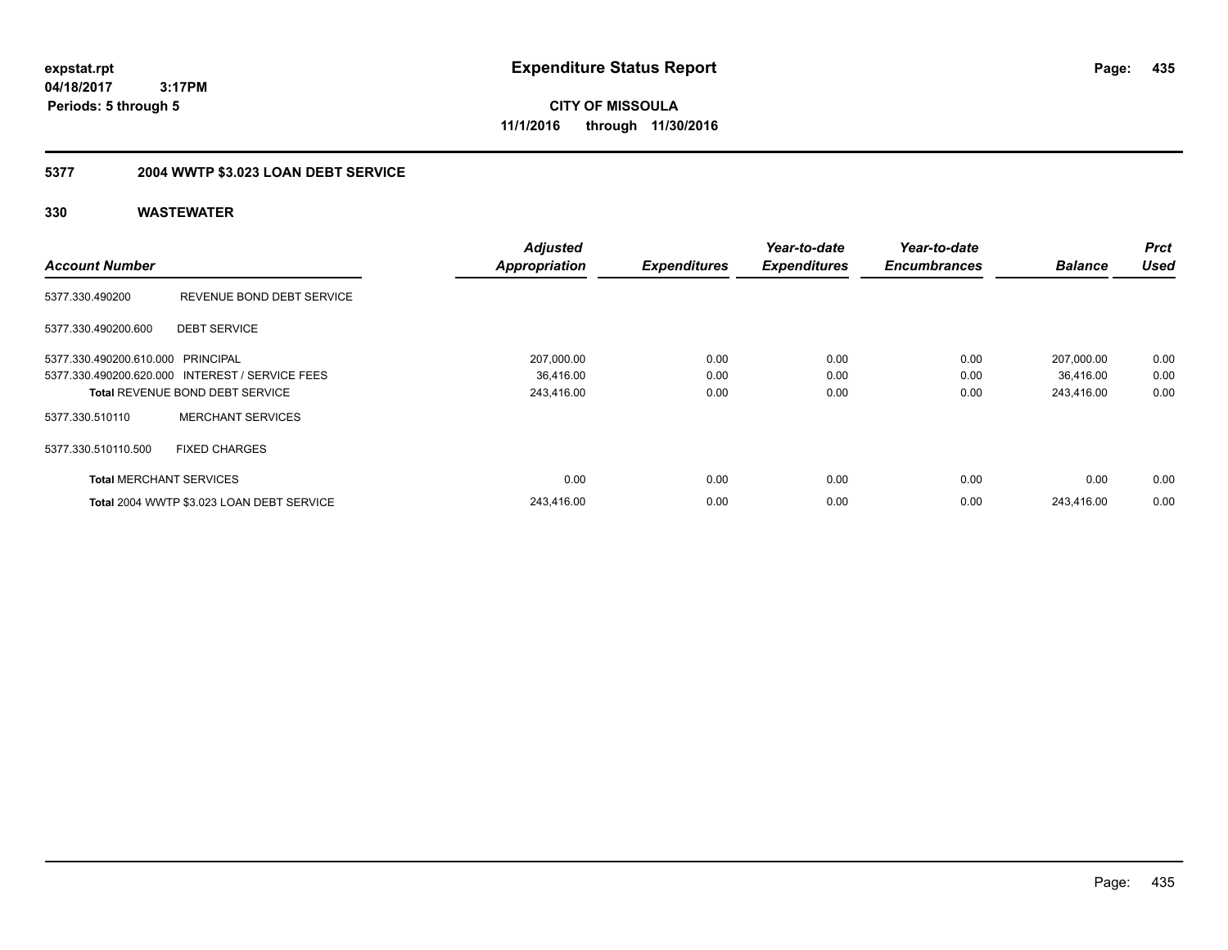**CITY OF MISSOULA 11/1/2016 through 11/30/2016**

## **5377 2004 WWTP \$3.023 LOAN DEBT SERVICE**

| <b>Account Number</b>             |                                                 | <b>Adjusted</b><br><b>Appropriation</b> | <b>Expenditures</b> | Year-to-date<br><b>Expenditures</b> | Year-to-date<br><b>Encumbrances</b> | <b>Balance</b> | <b>Prct</b><br><b>Used</b> |
|-----------------------------------|-------------------------------------------------|-----------------------------------------|---------------------|-------------------------------------|-------------------------------------|----------------|----------------------------|
| 5377.330.490200                   | REVENUE BOND DEBT SERVICE                       |                                         |                     |                                     |                                     |                |                            |
| 5377.330.490200.600               | <b>DEBT SERVICE</b>                             |                                         |                     |                                     |                                     |                |                            |
| 5377.330.490200.610.000 PRINCIPAL |                                                 | 207,000.00                              | 0.00                | 0.00                                | 0.00                                | 207,000.00     | 0.00                       |
|                                   | 5377.330.490200.620.000 INTEREST / SERVICE FEES | 36,416.00                               | 0.00                | 0.00                                | 0.00                                | 36,416.00      | 0.00                       |
|                                   | <b>Total REVENUE BOND DEBT SERVICE</b>          | 243,416.00                              | 0.00                | 0.00                                | 0.00                                | 243,416.00     | 0.00                       |
| 5377.330.510110                   | <b>MERCHANT SERVICES</b>                        |                                         |                     |                                     |                                     |                |                            |
| 5377.330.510110.500               | <b>FIXED CHARGES</b>                            |                                         |                     |                                     |                                     |                |                            |
| <b>Total MERCHANT SERVICES</b>    |                                                 | 0.00                                    | 0.00                | 0.00                                | 0.00                                | 0.00           | 0.00                       |
|                                   | Total 2004 WWTP \$3.023 LOAN DEBT SERVICE       | 243.416.00                              | 0.00                | 0.00                                | 0.00                                | 243.416.00     | 0.00                       |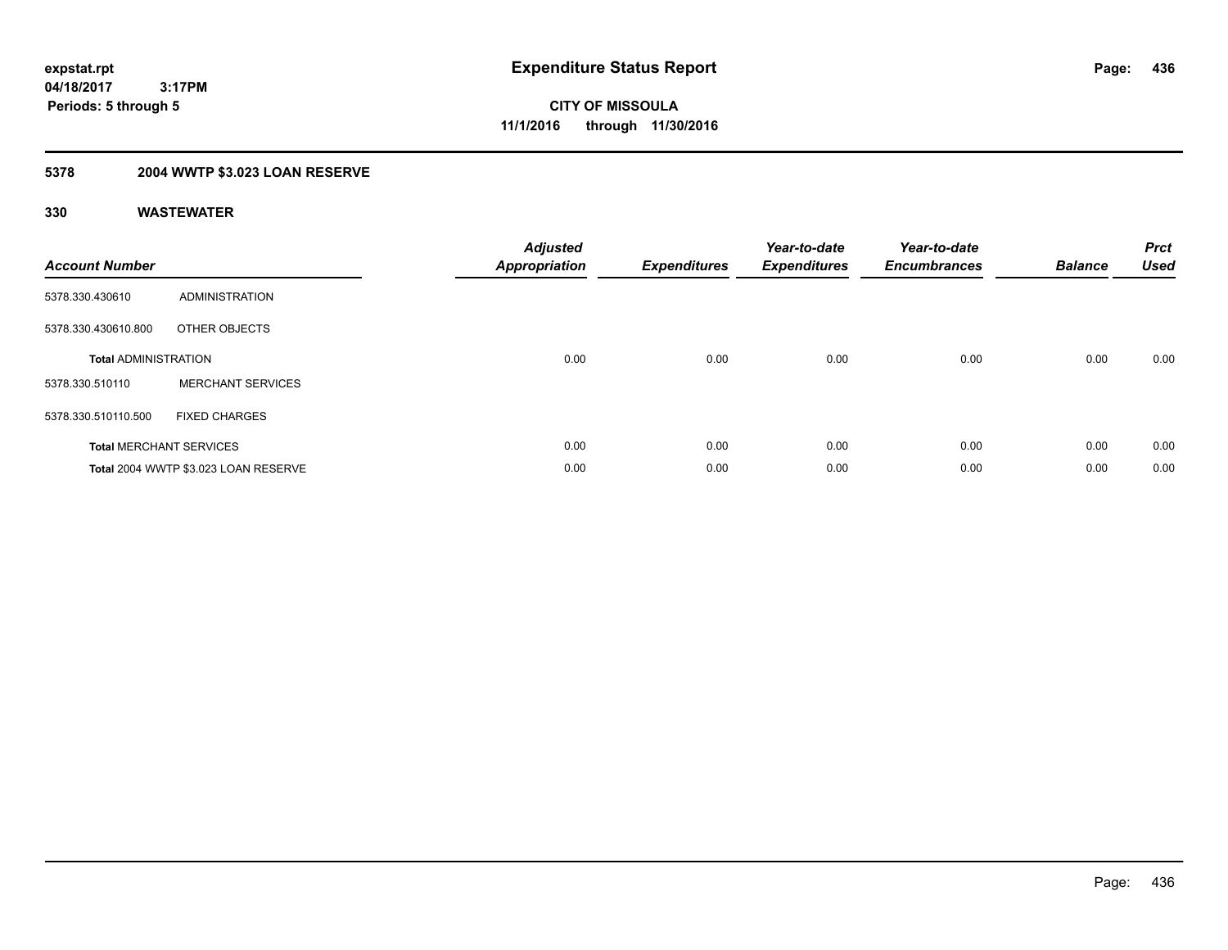## **5378 2004 WWTP \$3.023 LOAN RESERVE**

| <b>Account Number</b>       |                                      | <b>Adjusted</b><br>Appropriation | <b>Expenditures</b> | Year-to-date<br><b>Expenditures</b> | Year-to-date<br><b>Encumbrances</b> | <b>Balance</b> | <b>Prct</b><br><b>Used</b> |
|-----------------------------|--------------------------------------|----------------------------------|---------------------|-------------------------------------|-------------------------------------|----------------|----------------------------|
| 5378.330.430610             | ADMINISTRATION                       |                                  |                     |                                     |                                     |                |                            |
| 5378.330.430610.800         | OTHER OBJECTS                        |                                  |                     |                                     |                                     |                |                            |
| <b>Total ADMINISTRATION</b> |                                      | 0.00                             | 0.00                | 0.00                                | 0.00                                | 0.00           | 0.00                       |
| 5378.330.510110             | <b>MERCHANT SERVICES</b>             |                                  |                     |                                     |                                     |                |                            |
| 5378.330.510110.500         | <b>FIXED CHARGES</b>                 |                                  |                     |                                     |                                     |                |                            |
|                             | <b>Total MERCHANT SERVICES</b>       | 0.00                             | 0.00                | 0.00                                | 0.00                                | 0.00           | 0.00                       |
|                             | Total 2004 WWTP \$3.023 LOAN RESERVE | 0.00                             | 0.00                | 0.00                                | 0.00                                | 0.00           | 0.00                       |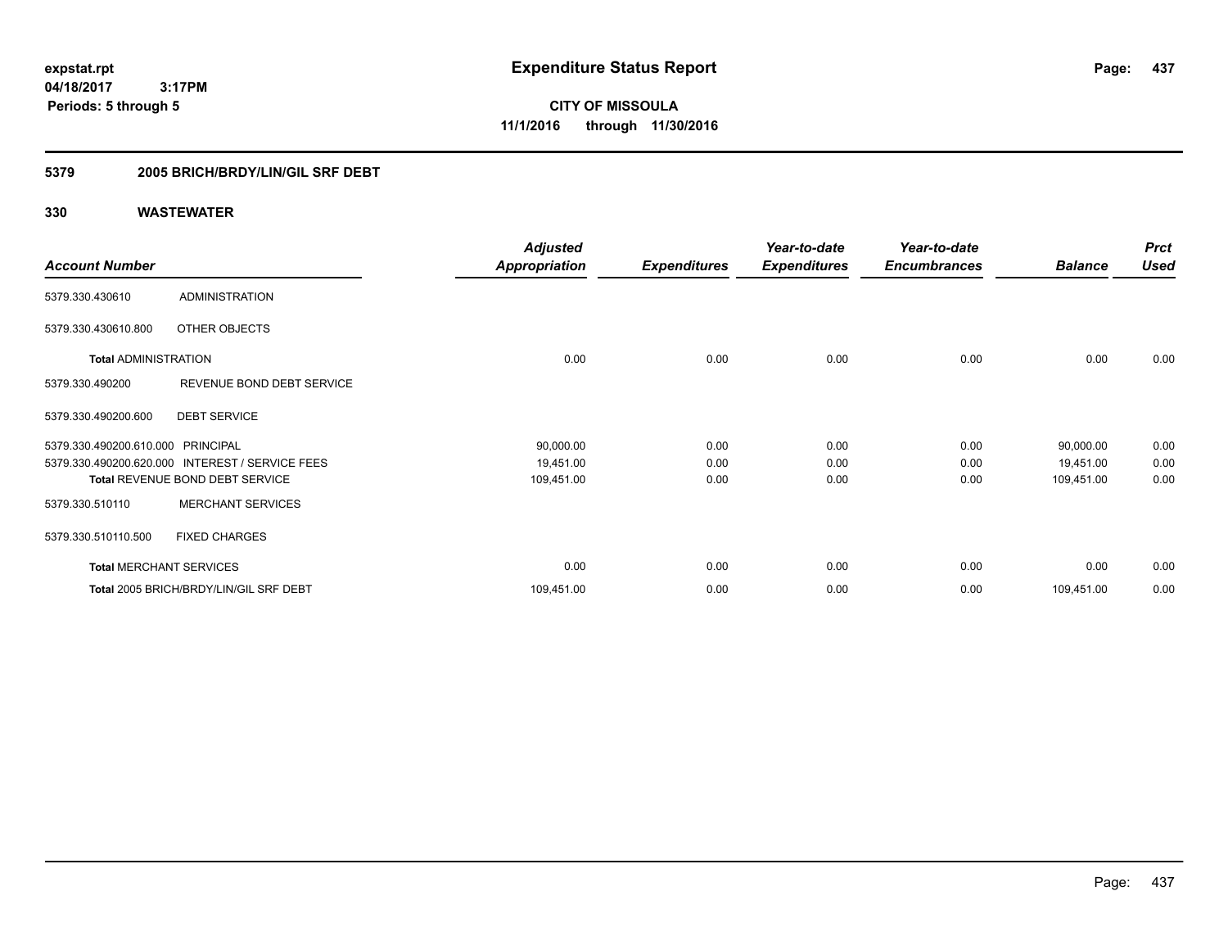**CITY OF MISSOULA 11/1/2016 through 11/30/2016**

### **5379 2005 BRICH/BRDY/LIN/GIL SRF DEBT**

|                                   |                                                 | <b>Adjusted</b>      |                     | Year-to-date        | Year-to-date        |                | <b>Prct</b> |
|-----------------------------------|-------------------------------------------------|----------------------|---------------------|---------------------|---------------------|----------------|-------------|
| <b>Account Number</b>             |                                                 | <b>Appropriation</b> | <b>Expenditures</b> | <b>Expenditures</b> | <b>Encumbrances</b> | <b>Balance</b> | <b>Used</b> |
| 5379.330.430610                   | <b>ADMINISTRATION</b>                           |                      |                     |                     |                     |                |             |
| 5379.330.430610.800               | OTHER OBJECTS                                   |                      |                     |                     |                     |                |             |
| <b>Total ADMINISTRATION</b>       |                                                 | 0.00                 | 0.00                | 0.00                | 0.00                | 0.00           | 0.00        |
| 5379.330.490200                   | REVENUE BOND DEBT SERVICE                       |                      |                     |                     |                     |                |             |
| 5379.330.490200.600               | <b>DEBT SERVICE</b>                             |                      |                     |                     |                     |                |             |
| 5379.330.490200.610.000 PRINCIPAL |                                                 | 90,000.00            | 0.00                | 0.00                | 0.00                | 90,000.00      | 0.00        |
|                                   | 5379.330.490200.620.000 INTEREST / SERVICE FEES | 19,451.00            | 0.00                | 0.00                | 0.00                | 19,451.00      | 0.00        |
|                                   | <b>Total REVENUE BOND DEBT SERVICE</b>          | 109,451.00           | 0.00                | 0.00                | 0.00                | 109,451.00     | 0.00        |
| 5379.330.510110                   | <b>MERCHANT SERVICES</b>                        |                      |                     |                     |                     |                |             |
| 5379.330.510110.500               | <b>FIXED CHARGES</b>                            |                      |                     |                     |                     |                |             |
| <b>Total MERCHANT SERVICES</b>    |                                                 | 0.00                 | 0.00                | 0.00                | 0.00                | 0.00           | 0.00        |
|                                   | Total 2005 BRICH/BRDY/LIN/GIL SRF DEBT          | 109,451.00           | 0.00                | 0.00                | 0.00                | 109,451.00     | 0.00        |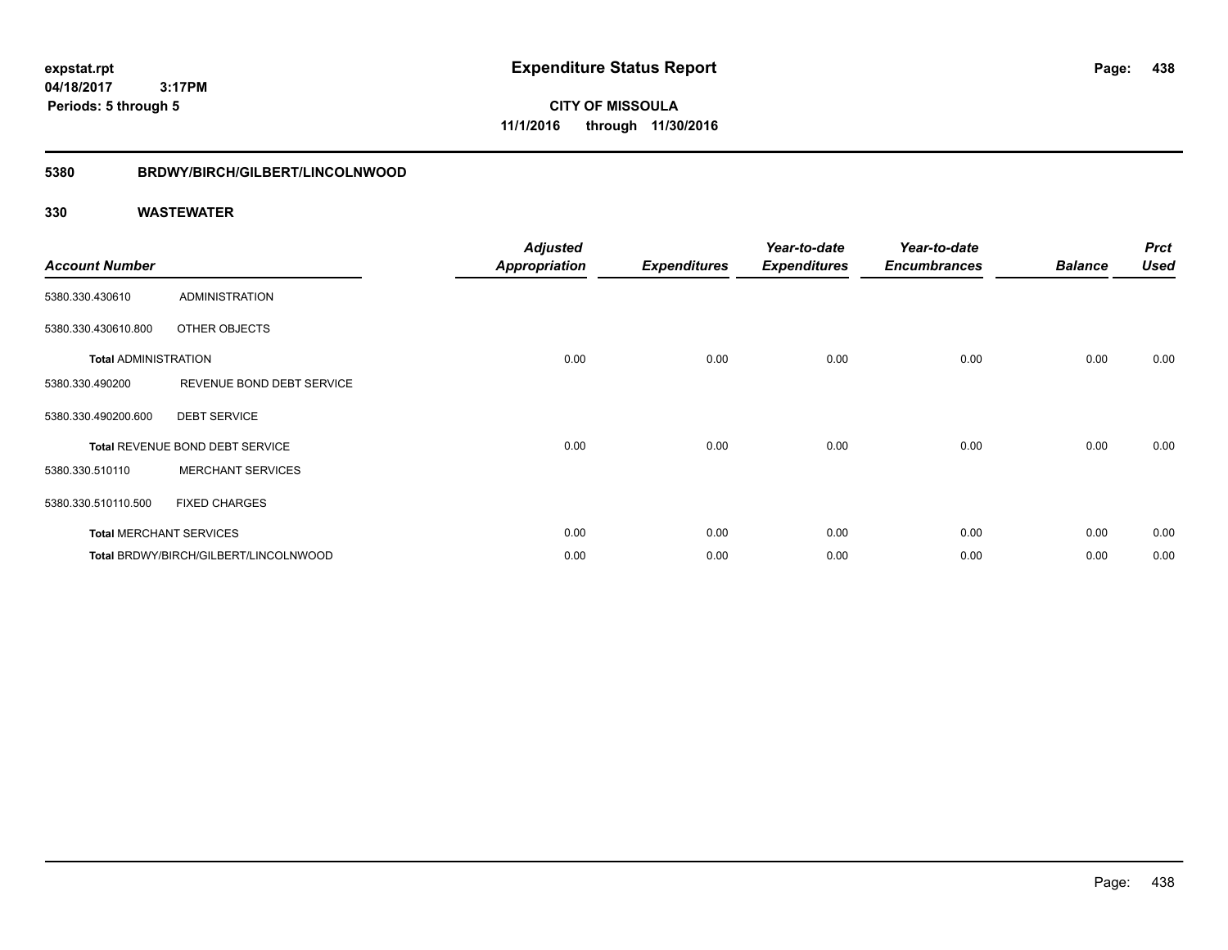**CITY OF MISSOULA 11/1/2016 through 11/30/2016**

### **5380 BRDWY/BIRCH/GILBERT/LINCOLNWOOD**

| <b>Account Number</b>       |                                       | <b>Adjusted</b><br>Appropriation | <b>Expenditures</b> | Year-to-date<br><b>Expenditures</b> | Year-to-date<br><b>Encumbrances</b> | <b>Balance</b> | <b>Prct</b><br><b>Used</b> |
|-----------------------------|---------------------------------------|----------------------------------|---------------------|-------------------------------------|-------------------------------------|----------------|----------------------------|
| 5380.330.430610             | <b>ADMINISTRATION</b>                 |                                  |                     |                                     |                                     |                |                            |
| 5380.330.430610.800         | OTHER OBJECTS                         |                                  |                     |                                     |                                     |                |                            |
| <b>Total ADMINISTRATION</b> |                                       | 0.00                             | 0.00                | 0.00                                | 0.00                                | 0.00           | 0.00                       |
| 5380.330.490200             | REVENUE BOND DEBT SERVICE             |                                  |                     |                                     |                                     |                |                            |
| 5380.330.490200.600         | <b>DEBT SERVICE</b>                   |                                  |                     |                                     |                                     |                |                            |
|                             | Total REVENUE BOND DEBT SERVICE       | 0.00                             | 0.00                | 0.00                                | 0.00                                | 0.00           | 0.00                       |
| 5380.330.510110             | <b>MERCHANT SERVICES</b>              |                                  |                     |                                     |                                     |                |                            |
| 5380.330.510110.500         | <b>FIXED CHARGES</b>                  |                                  |                     |                                     |                                     |                |                            |
|                             | <b>Total MERCHANT SERVICES</b>        | 0.00                             | 0.00                | 0.00                                | 0.00                                | 0.00           | 0.00                       |
|                             | Total BRDWY/BIRCH/GILBERT/LINCOLNWOOD | 0.00                             | 0.00                | 0.00                                | 0.00                                | 0.00           | 0.00                       |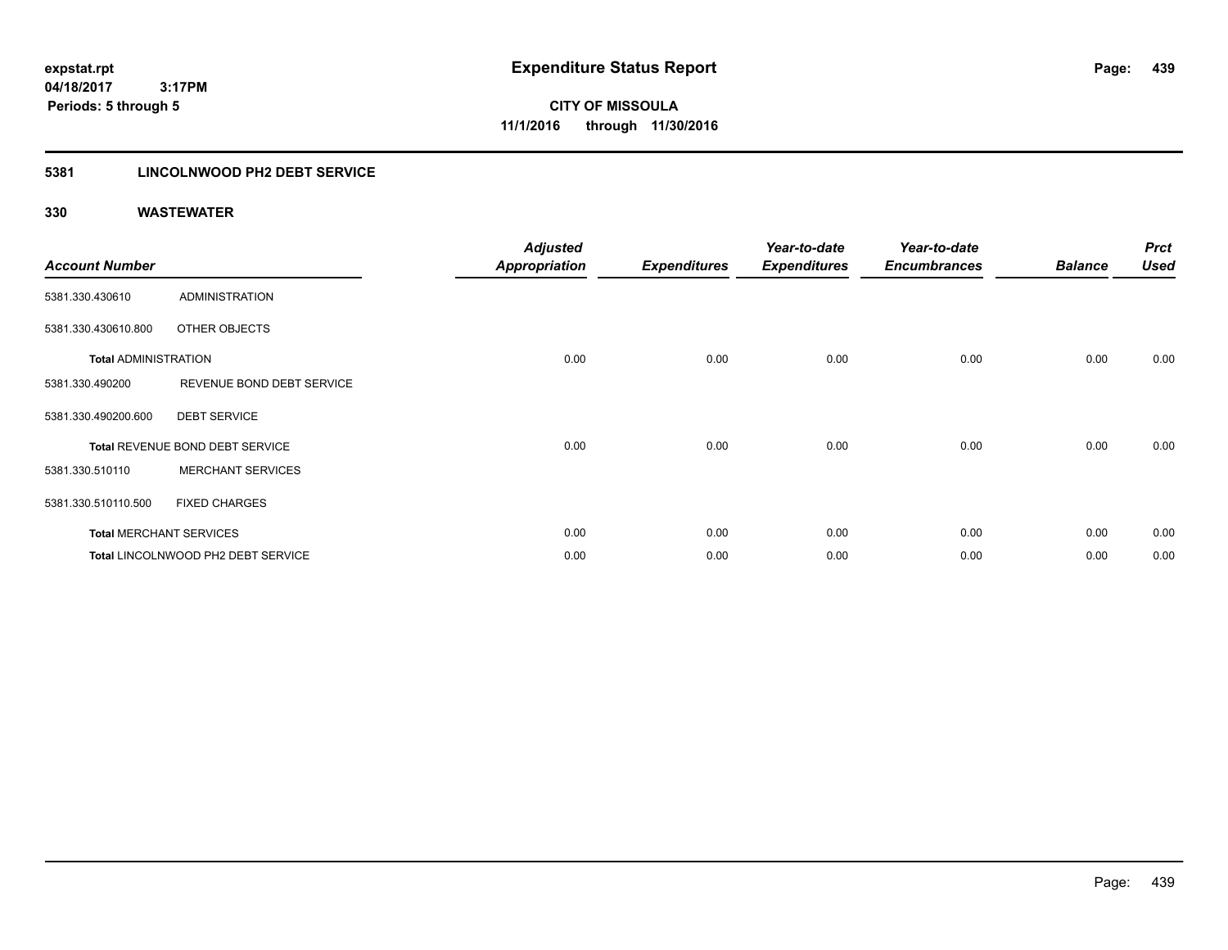### **5381 LINCOLNWOOD PH2 DEBT SERVICE**

| <b>Account Number</b>       |                                    | <b>Adjusted</b><br><b>Appropriation</b> | <b>Expenditures</b> | Year-to-date<br><b>Expenditures</b> | Year-to-date<br><b>Encumbrances</b> | <b>Balance</b> | <b>Prct</b><br><b>Used</b> |
|-----------------------------|------------------------------------|-----------------------------------------|---------------------|-------------------------------------|-------------------------------------|----------------|----------------------------|
| 5381.330.430610             | <b>ADMINISTRATION</b>              |                                         |                     |                                     |                                     |                |                            |
| 5381.330.430610.800         | OTHER OBJECTS                      |                                         |                     |                                     |                                     |                |                            |
| <b>Total ADMINISTRATION</b> |                                    | 0.00                                    | 0.00                | 0.00                                | 0.00                                | 0.00           | 0.00                       |
| 5381.330.490200             | REVENUE BOND DEBT SERVICE          |                                         |                     |                                     |                                     |                |                            |
| 5381.330.490200.600         | <b>DEBT SERVICE</b>                |                                         |                     |                                     |                                     |                |                            |
|                             | Total REVENUE BOND DEBT SERVICE    | 0.00                                    | 0.00                | 0.00                                | 0.00                                | 0.00           | 0.00                       |
| 5381.330.510110             | <b>MERCHANT SERVICES</b>           |                                         |                     |                                     |                                     |                |                            |
| 5381.330.510110.500         | <b>FIXED CHARGES</b>               |                                         |                     |                                     |                                     |                |                            |
|                             | <b>Total MERCHANT SERVICES</b>     | 0.00                                    | 0.00                | 0.00                                | 0.00                                | 0.00           | 0.00                       |
|                             | Total LINCOLNWOOD PH2 DEBT SERVICE | 0.00                                    | 0.00                | 0.00                                | 0.00                                | 0.00           | 0.00                       |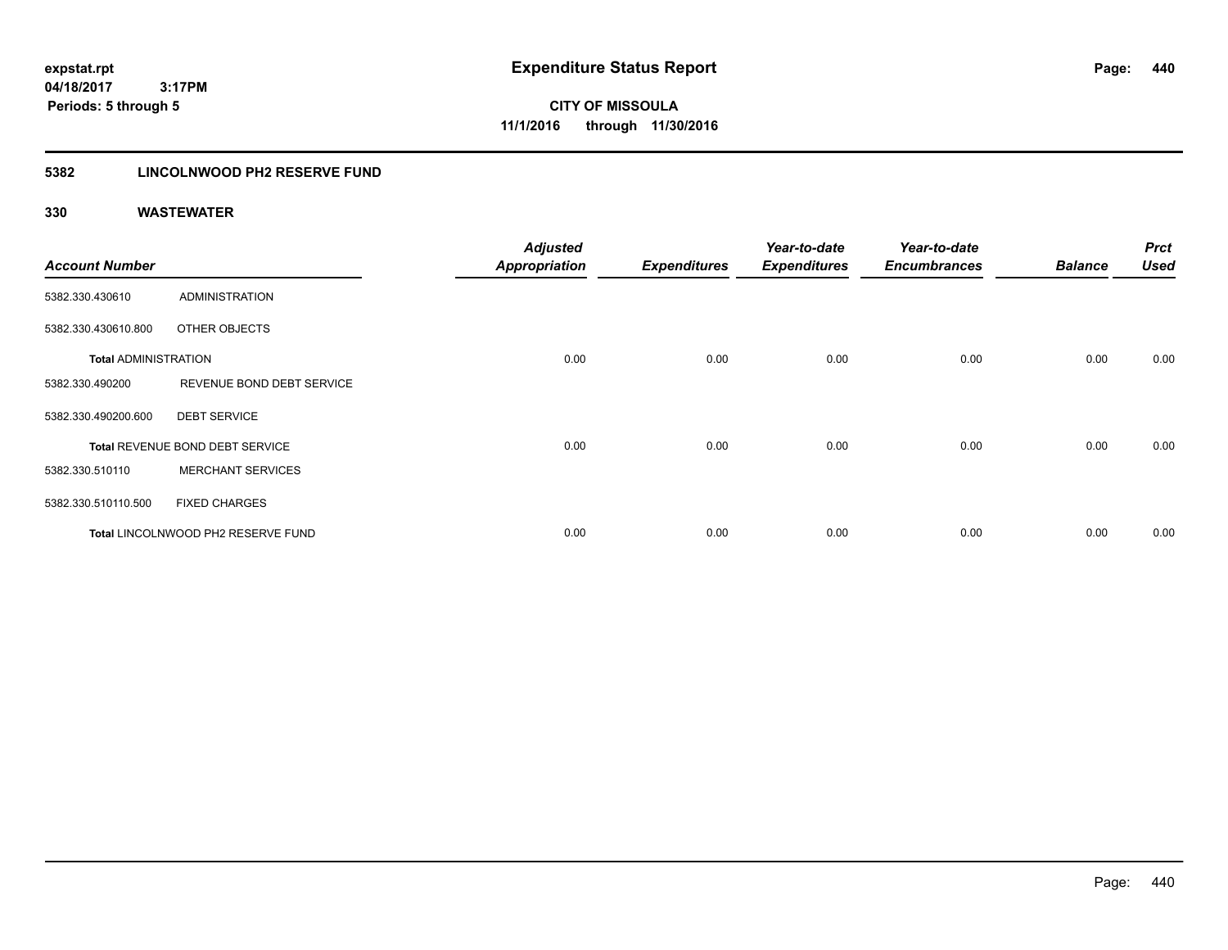**CITY OF MISSOULA 11/1/2016 through 11/30/2016**

### **5382 LINCOLNWOOD PH2 RESERVE FUND**

| <b>Account Number</b>       |                                    | <b>Adjusted</b><br><b>Appropriation</b> | <b>Expenditures</b> | Year-to-date<br><b>Expenditures</b> | Year-to-date<br><b>Encumbrances</b> | <b>Balance</b> | <b>Prct</b><br>Used |
|-----------------------------|------------------------------------|-----------------------------------------|---------------------|-------------------------------------|-------------------------------------|----------------|---------------------|
| 5382.330.430610             | <b>ADMINISTRATION</b>              |                                         |                     |                                     |                                     |                |                     |
| 5382.330.430610.800         | OTHER OBJECTS                      |                                         |                     |                                     |                                     |                |                     |
| <b>Total ADMINISTRATION</b> |                                    | 0.00                                    | 0.00                | 0.00                                | 0.00                                | 0.00           | 0.00                |
| 5382.330.490200             | REVENUE BOND DEBT SERVICE          |                                         |                     |                                     |                                     |                |                     |
| 5382.330.490200.600         | <b>DEBT SERVICE</b>                |                                         |                     |                                     |                                     |                |                     |
|                             | Total REVENUE BOND DEBT SERVICE    | 0.00                                    | 0.00                | 0.00                                | 0.00                                | 0.00           | 0.00                |
| 5382.330.510110             | <b>MERCHANT SERVICES</b>           |                                         |                     |                                     |                                     |                |                     |
| 5382.330.510110.500         | <b>FIXED CHARGES</b>               |                                         |                     |                                     |                                     |                |                     |
|                             | Total LINCOLNWOOD PH2 RESERVE FUND | 0.00                                    | 0.00                | 0.00                                | 0.00                                | 0.00           | 0.00                |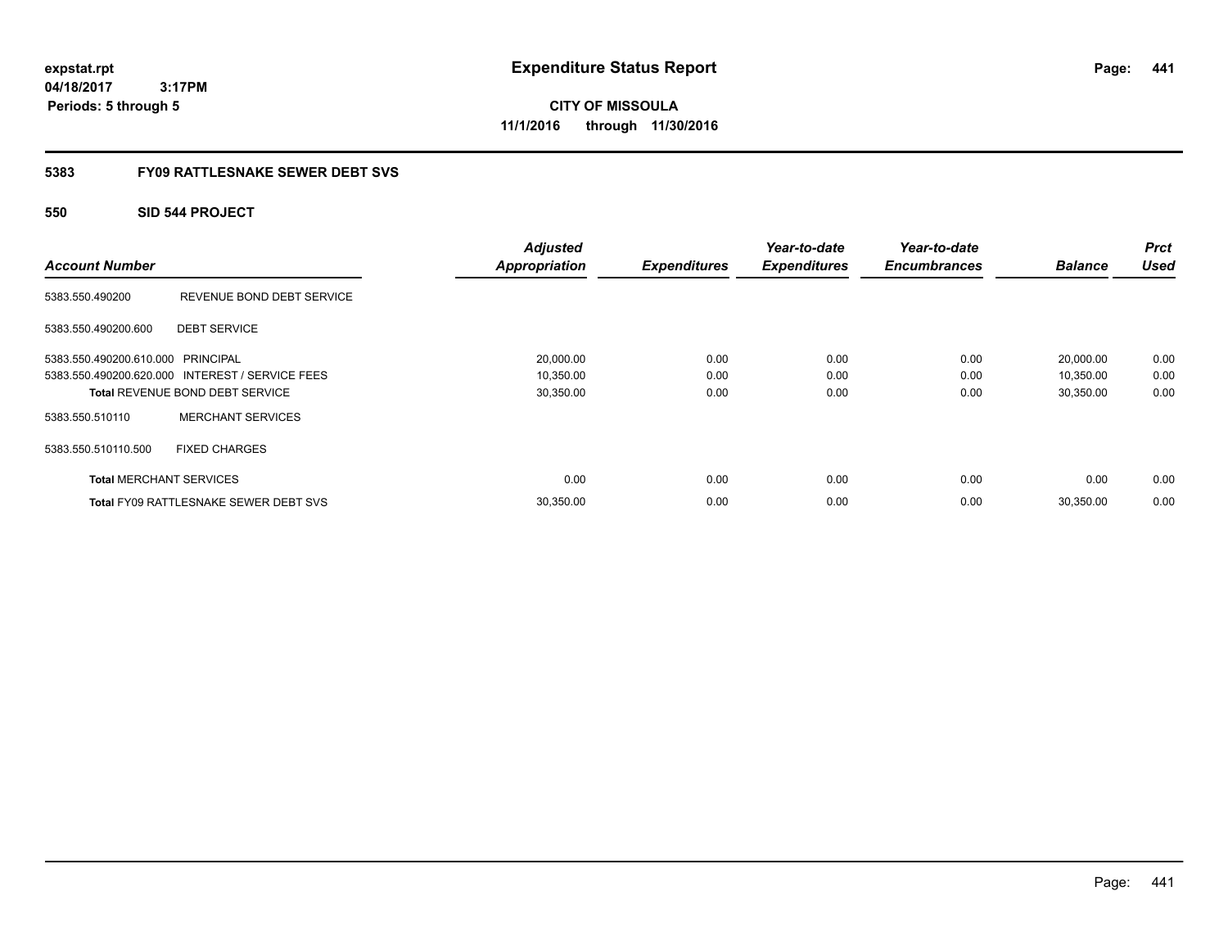**CITY OF MISSOULA 11/1/2016 through 11/30/2016**

### **5383 FY09 RATTLESNAKE SEWER DEBT SVS**

### **550 SID 544 PROJECT**

| <b>Account Number</b>             |                                                 | <b>Adjusted</b><br><b>Appropriation</b> | <b>Expenditures</b> | Year-to-date<br><b>Expenditures</b> | Year-to-date<br><b>Encumbrances</b> | <b>Balance</b> | <b>Prct</b><br><b>Used</b> |
|-----------------------------------|-------------------------------------------------|-----------------------------------------|---------------------|-------------------------------------|-------------------------------------|----------------|----------------------------|
| 5383.550.490200                   | REVENUE BOND DEBT SERVICE                       |                                         |                     |                                     |                                     |                |                            |
| 5383.550.490200.600               | <b>DEBT SERVICE</b>                             |                                         |                     |                                     |                                     |                |                            |
| 5383.550.490200.610.000 PRINCIPAL |                                                 | 20,000.00                               | 0.00                | 0.00                                | 0.00                                | 20,000.00      | 0.00                       |
|                                   | 5383.550.490200.620.000 INTEREST / SERVICE FEES | 10,350.00                               | 0.00                | 0.00                                | 0.00                                | 10,350.00      | 0.00                       |
|                                   | <b>Total REVENUE BOND DEBT SERVICE</b>          | 30,350.00                               | 0.00                | 0.00                                | 0.00                                | 30,350.00      | 0.00                       |
| 5383.550.510110                   | <b>MERCHANT SERVICES</b>                        |                                         |                     |                                     |                                     |                |                            |
| 5383.550.510110.500               | <b>FIXED CHARGES</b>                            |                                         |                     |                                     |                                     |                |                            |
| <b>Total MERCHANT SERVICES</b>    |                                                 | 0.00                                    | 0.00                | 0.00                                | 0.00                                | 0.00           | 0.00                       |
|                                   | <b>Total FY09 RATTLESNAKE SEWER DEBT SVS</b>    | 30,350.00                               | 0.00                | 0.00                                | 0.00                                | 30,350.00      | 0.00                       |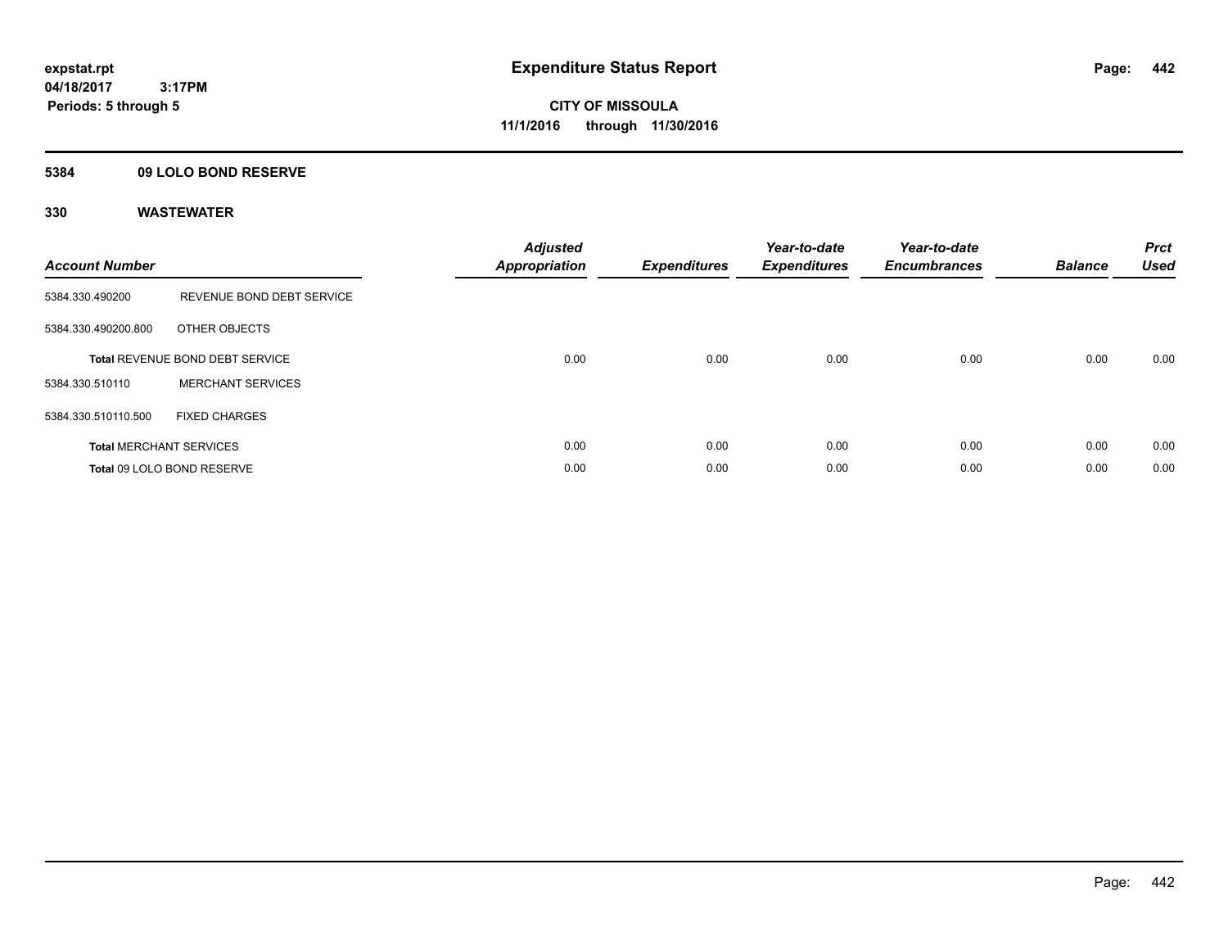### **5384 09 LOLO BOND RESERVE**

| <b>Account Number</b> |                                 | <b>Adjusted</b><br><b>Appropriation</b> | <b>Expenditures</b> | Year-to-date<br><b>Expenditures</b> | Year-to-date<br><b>Encumbrances</b> | <b>Balance</b> | <b>Prct</b><br><b>Used</b> |
|-----------------------|---------------------------------|-----------------------------------------|---------------------|-------------------------------------|-------------------------------------|----------------|----------------------------|
| 5384.330.490200       | REVENUE BOND DEBT SERVICE       |                                         |                     |                                     |                                     |                |                            |
| 5384.330.490200.800   | OTHER OBJECTS                   |                                         |                     |                                     |                                     |                |                            |
|                       | Total REVENUE BOND DEBT SERVICE | 0.00                                    | 0.00                | 0.00                                | 0.00                                | 0.00           | 0.00                       |
| 5384.330.510110       | <b>MERCHANT SERVICES</b>        |                                         |                     |                                     |                                     |                |                            |
| 5384.330.510110.500   | <b>FIXED CHARGES</b>            |                                         |                     |                                     |                                     |                |                            |
|                       | <b>Total MERCHANT SERVICES</b>  | 0.00                                    | 0.00                | 0.00                                | 0.00                                | 0.00           | 0.00                       |
|                       | Total 09 LOLO BOND RESERVE      | 0.00                                    | 0.00                | 0.00                                | 0.00                                | 0.00           | 0.00                       |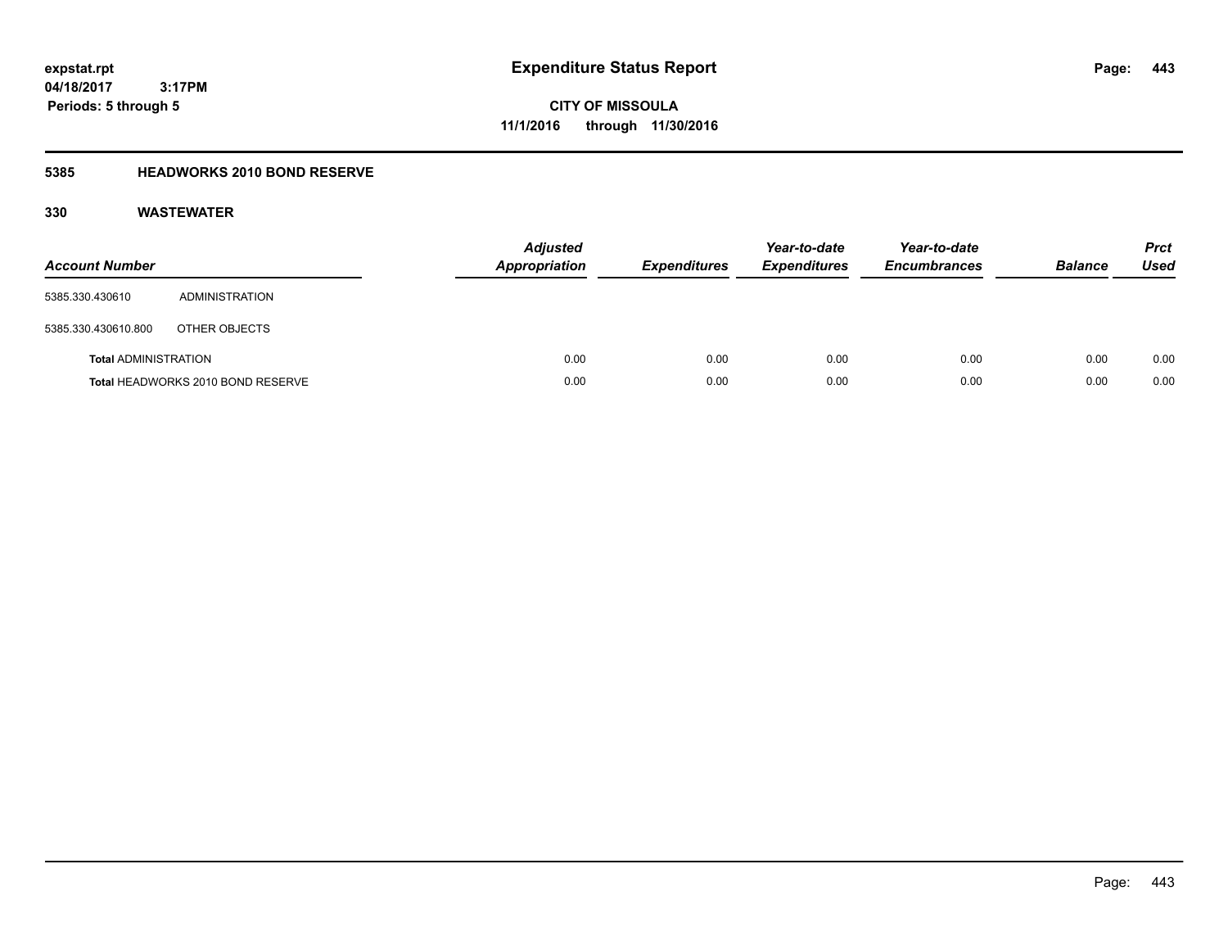**CITY OF MISSOULA 11/1/2016 through 11/30/2016**

### **5385 HEADWORKS 2010 BOND RESERVE**

| <b>Account Number</b>       |                                   | <b>Adjusted</b><br>Appropriation | <b>Expenditures</b> | Year-to-date<br><b>Expenditures</b> | Year-to-date<br><b>Encumbrances</b> | <b>Balance</b> | <b>Prct</b><br><b>Used</b> |
|-----------------------------|-----------------------------------|----------------------------------|---------------------|-------------------------------------|-------------------------------------|----------------|----------------------------|
| 5385.330.430610             | ADMINISTRATION                    |                                  |                     |                                     |                                     |                |                            |
| 5385.330.430610.800         | OTHER OBJECTS                     |                                  |                     |                                     |                                     |                |                            |
| <b>Total ADMINISTRATION</b> |                                   | 0.00                             | 0.00                | 0.00                                | 0.00                                | 0.00           | 0.00                       |
|                             | Total HEADWORKS 2010 BOND RESERVE | 0.00                             | 0.00                | 0.00                                | 0.00                                | 0.00           | 0.00                       |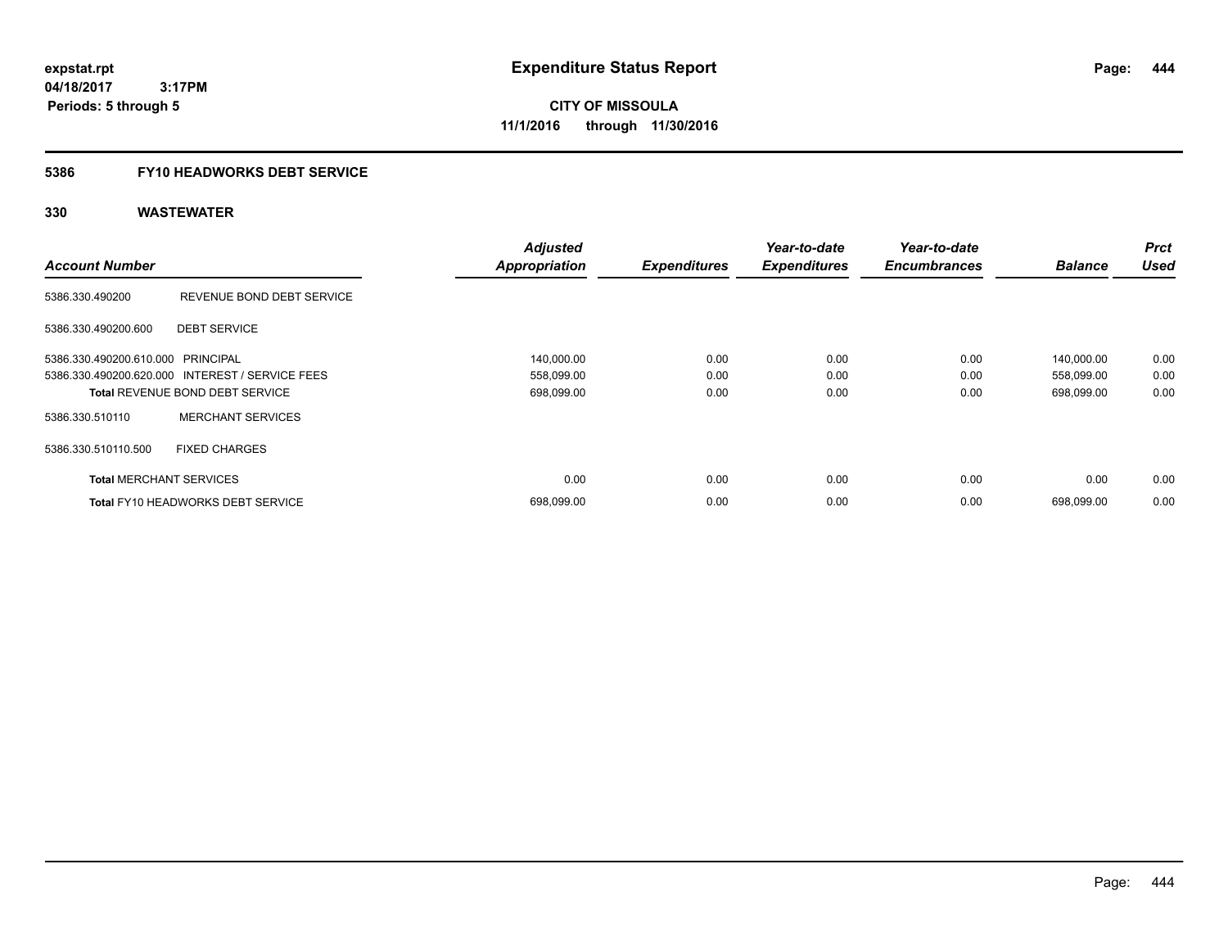**CITY OF MISSOULA 11/1/2016 through 11/30/2016**

### **5386 FY10 HEADWORKS DEBT SERVICE**

|                                   |                                                 | <b>Adjusted</b>      |                     | Year-to-date        | Year-to-date        |                | <b>Prct</b> |
|-----------------------------------|-------------------------------------------------|----------------------|---------------------|---------------------|---------------------|----------------|-------------|
| <b>Account Number</b>             |                                                 | <b>Appropriation</b> | <b>Expenditures</b> | <b>Expenditures</b> | <b>Encumbrances</b> | <b>Balance</b> | <b>Used</b> |
| 5386.330.490200                   | REVENUE BOND DEBT SERVICE                       |                      |                     |                     |                     |                |             |
| 5386.330.490200.600               | <b>DEBT SERVICE</b>                             |                      |                     |                     |                     |                |             |
| 5386.330.490200.610.000 PRINCIPAL |                                                 | 140,000.00           | 0.00                | 0.00                | 0.00                | 140,000.00     | 0.00        |
|                                   | 5386.330.490200.620.000 INTEREST / SERVICE FEES | 558,099.00           | 0.00                | 0.00                | 0.00                | 558,099.00     | 0.00        |
|                                   | <b>Total REVENUE BOND DEBT SERVICE</b>          | 698,099.00           | 0.00                | 0.00                | 0.00                | 698,099.00     | 0.00        |
| 5386.330.510110                   | <b>MERCHANT SERVICES</b>                        |                      |                     |                     |                     |                |             |
| 5386.330.510110.500               | <b>FIXED CHARGES</b>                            |                      |                     |                     |                     |                |             |
| <b>Total MERCHANT SERVICES</b>    |                                                 | 0.00                 | 0.00                | 0.00                | 0.00                | 0.00           | 0.00        |
|                                   | <b>Total FY10 HEADWORKS DEBT SERVICE</b>        | 698,099.00           | 0.00                | 0.00                | 0.00                | 698,099.00     | 0.00        |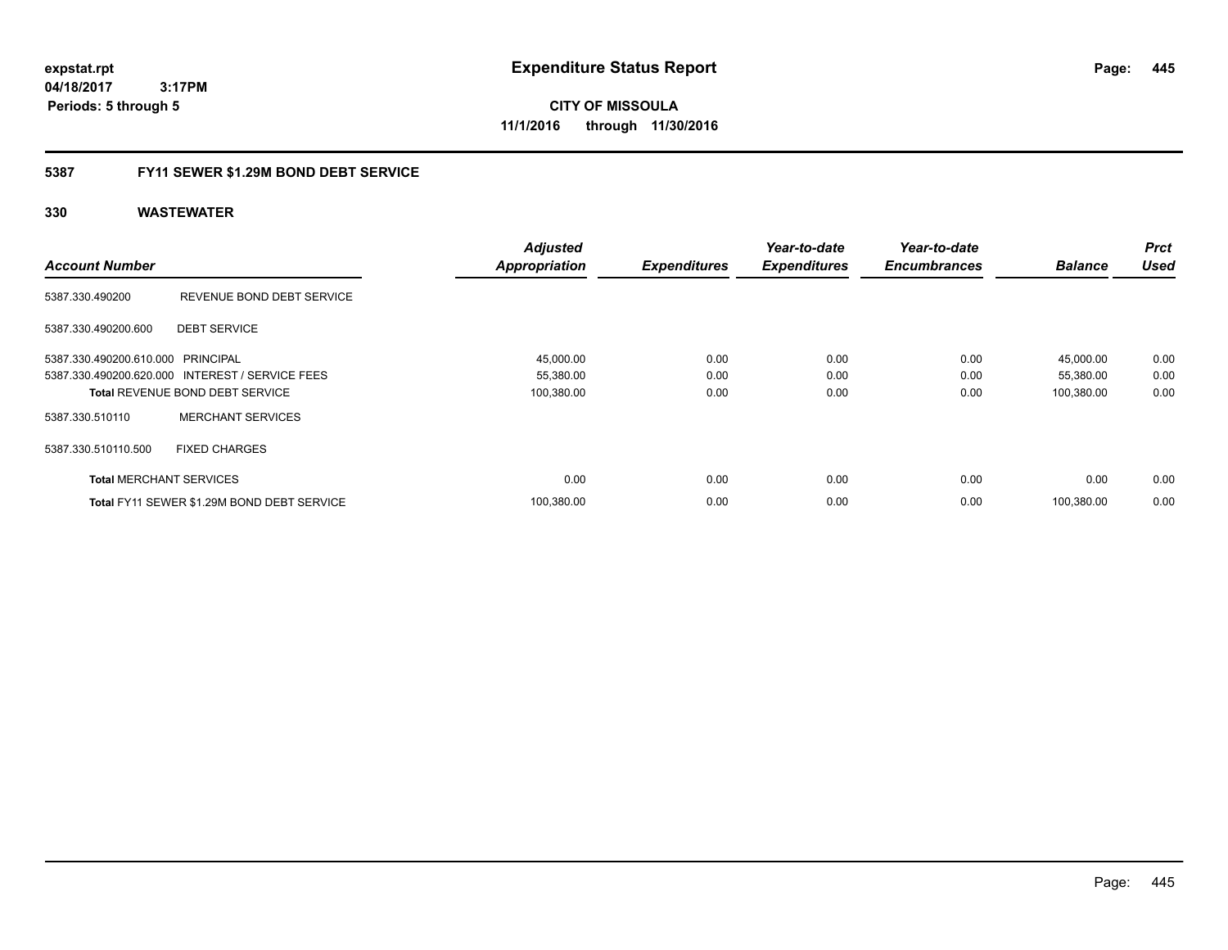**CITY OF MISSOULA 11/1/2016 through 11/30/2016**

### **5387 FY11 SEWER \$1.29M BOND DEBT SERVICE**

|                                   |                                                 | <b>Adjusted</b>      |                     | Year-to-date        | Year-to-date        |                | <b>Prct</b> |
|-----------------------------------|-------------------------------------------------|----------------------|---------------------|---------------------|---------------------|----------------|-------------|
| <b>Account Number</b>             |                                                 | <b>Appropriation</b> | <b>Expenditures</b> | <b>Expenditures</b> | <b>Encumbrances</b> | <b>Balance</b> | <b>Used</b> |
| 5387.330.490200                   | REVENUE BOND DEBT SERVICE                       |                      |                     |                     |                     |                |             |
| 5387.330.490200.600               | <b>DEBT SERVICE</b>                             |                      |                     |                     |                     |                |             |
| 5387.330.490200.610.000 PRINCIPAL |                                                 | 45,000.00            | 0.00                | 0.00                | 0.00                | 45,000.00      | 0.00        |
|                                   | 5387.330.490200.620.000 INTEREST / SERVICE FEES | 55,380.00            | 0.00                | 0.00                | 0.00                | 55,380.00      | 0.00        |
|                                   | <b>Total REVENUE BOND DEBT SERVICE</b>          | 100,380.00           | 0.00                | 0.00                | 0.00                | 100,380.00     | 0.00        |
| 5387.330.510110                   | <b>MERCHANT SERVICES</b>                        |                      |                     |                     |                     |                |             |
| 5387.330.510110.500               | <b>FIXED CHARGES</b>                            |                      |                     |                     |                     |                |             |
| <b>Total MERCHANT SERVICES</b>    |                                                 | 0.00                 | 0.00                | 0.00                | 0.00                | 0.00           | 0.00        |
|                                   | Total FY11 SEWER \$1.29M BOND DEBT SERVICE      | 100,380.00           | 0.00                | 0.00                | 0.00                | 100.380.00     | 0.00        |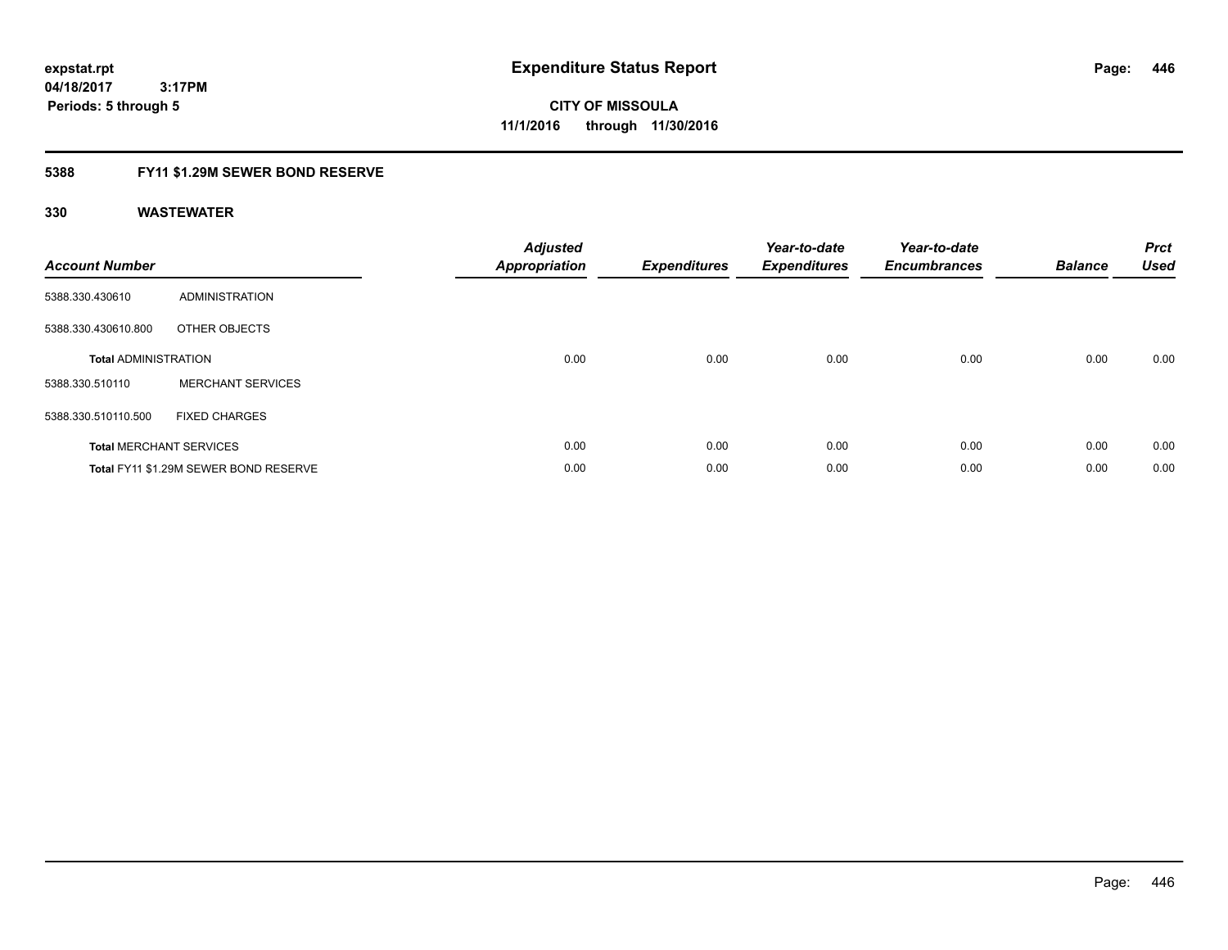**446**

**04/18/2017 3:17PM Periods: 5 through 5**

**CITY OF MISSOULA 11/1/2016 through 11/30/2016**

### **5388 FY11 \$1.29M SEWER BOND RESERVE**

| <b>Account Number</b>       |                                       | <b>Adjusted</b><br><b>Appropriation</b> | <b>Expenditures</b> | Year-to-date<br><b>Expenditures</b> | Year-to-date<br><b>Encumbrances</b> | <b>Balance</b> | <b>Prct</b><br><b>Used</b> |
|-----------------------------|---------------------------------------|-----------------------------------------|---------------------|-------------------------------------|-------------------------------------|----------------|----------------------------|
| 5388.330.430610             | <b>ADMINISTRATION</b>                 |                                         |                     |                                     |                                     |                |                            |
| 5388.330.430610.800         | OTHER OBJECTS                         |                                         |                     |                                     |                                     |                |                            |
| <b>Total ADMINISTRATION</b> |                                       | 0.00                                    | 0.00                | 0.00                                | 0.00                                | 0.00           | 0.00                       |
| 5388.330.510110             | <b>MERCHANT SERVICES</b>              |                                         |                     |                                     |                                     |                |                            |
| 5388.330.510110.500         | <b>FIXED CHARGES</b>                  |                                         |                     |                                     |                                     |                |                            |
|                             | <b>Total MERCHANT SERVICES</b>        | 0.00                                    | 0.00                | 0.00                                | 0.00                                | 0.00           | 0.00                       |
|                             | Total FY11 \$1.29M SEWER BOND RESERVE | 0.00                                    | 0.00                | 0.00                                | 0.00                                | 0.00           | 0.00                       |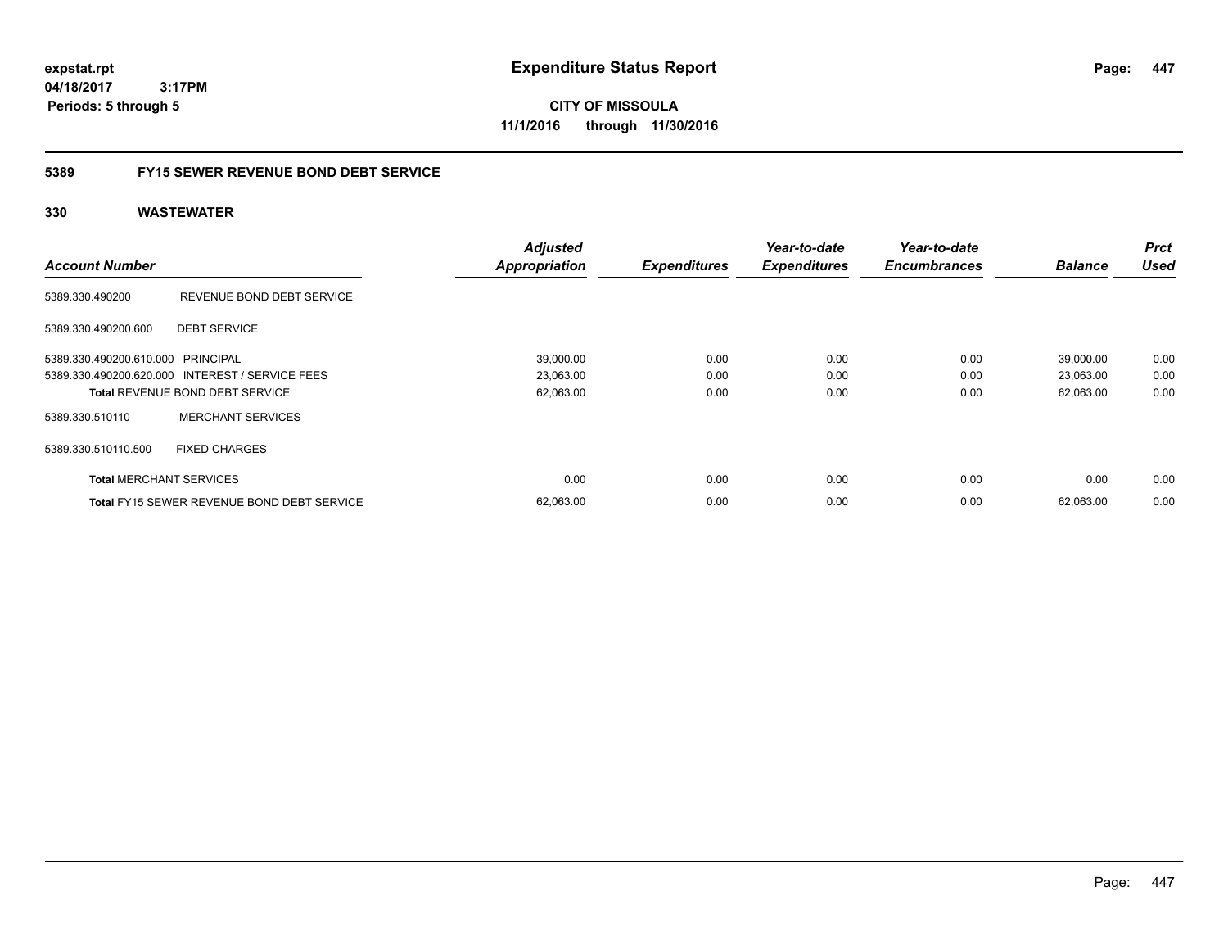**CITY OF MISSOULA 11/1/2016 through 11/30/2016**

### **5389 FY15 SEWER REVENUE BOND DEBT SERVICE**

|                                   |                                                   | <b>Adjusted</b>      |                     | Year-to-date        | Year-to-date        |                | <b>Prct</b><br><b>Used</b> |
|-----------------------------------|---------------------------------------------------|----------------------|---------------------|---------------------|---------------------|----------------|----------------------------|
| <b>Account Number</b>             |                                                   | <b>Appropriation</b> | <b>Expenditures</b> | <b>Expenditures</b> | <b>Encumbrances</b> | <b>Balance</b> |                            |
| 5389.330.490200                   | REVENUE BOND DEBT SERVICE                         |                      |                     |                     |                     |                |                            |
| 5389.330.490200.600               | <b>DEBT SERVICE</b>                               |                      |                     |                     |                     |                |                            |
| 5389.330.490200.610.000 PRINCIPAL |                                                   | 39,000.00            | 0.00                | 0.00                | 0.00                | 39,000.00      | 0.00                       |
|                                   | 5389.330.490200.620.000 INTEREST / SERVICE FEES   | 23,063.00            | 0.00                | 0.00                | 0.00                | 23,063.00      | 0.00                       |
|                                   | <b>Total REVENUE BOND DEBT SERVICE</b>            | 62,063.00            | 0.00                | 0.00                | 0.00                | 62,063.00      | 0.00                       |
| 5389.330.510110                   | <b>MERCHANT SERVICES</b>                          |                      |                     |                     |                     |                |                            |
| 5389.330.510110.500               | <b>FIXED CHARGES</b>                              |                      |                     |                     |                     |                |                            |
| <b>Total MERCHANT SERVICES</b>    |                                                   | 0.00                 | 0.00                | 0.00                | 0.00                | 0.00           | 0.00                       |
|                                   | <b>Total FY15 SEWER REVENUE BOND DEBT SERVICE</b> | 62,063.00            | 0.00                | 0.00                | 0.00                | 62.063.00      | 0.00                       |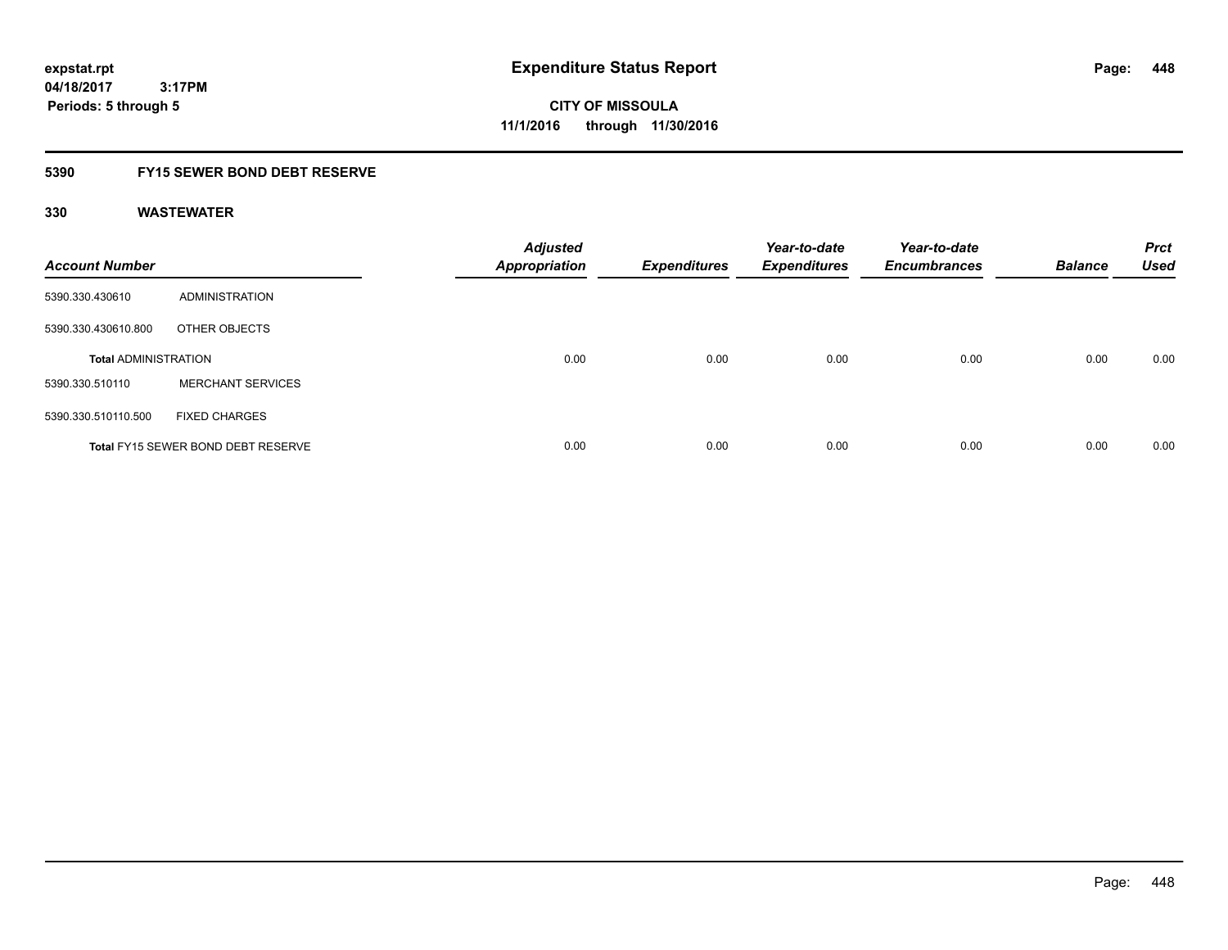**CITY OF MISSOULA 11/1/2016 through 11/30/2016**

### **5390 FY15 SEWER BOND DEBT RESERVE**

| <b>Account Number</b>       |                                           | <b>Adjusted</b><br><b>Appropriation</b> | <b>Expenditures</b> | Year-to-date<br><b>Expenditures</b> | Year-to-date<br><b>Encumbrances</b> | <b>Balance</b> | <b>Prct</b><br><b>Used</b> |
|-----------------------------|-------------------------------------------|-----------------------------------------|---------------------|-------------------------------------|-------------------------------------|----------------|----------------------------|
| 5390.330.430610             | ADMINISTRATION                            |                                         |                     |                                     |                                     |                |                            |
| 5390.330.430610.800         | OTHER OBJECTS                             |                                         |                     |                                     |                                     |                |                            |
| <b>Total ADMINISTRATION</b> |                                           | 0.00                                    | 0.00                | 0.00                                | 0.00                                | 0.00           | 0.00                       |
| 5390.330.510110             | <b>MERCHANT SERVICES</b>                  |                                         |                     |                                     |                                     |                |                            |
| 5390.330.510110.500         | <b>FIXED CHARGES</b>                      |                                         |                     |                                     |                                     |                |                            |
|                             | <b>Total FY15 SEWER BOND DEBT RESERVE</b> | 0.00                                    | 0.00                | 0.00                                | 0.00                                | 0.00           | 0.00                       |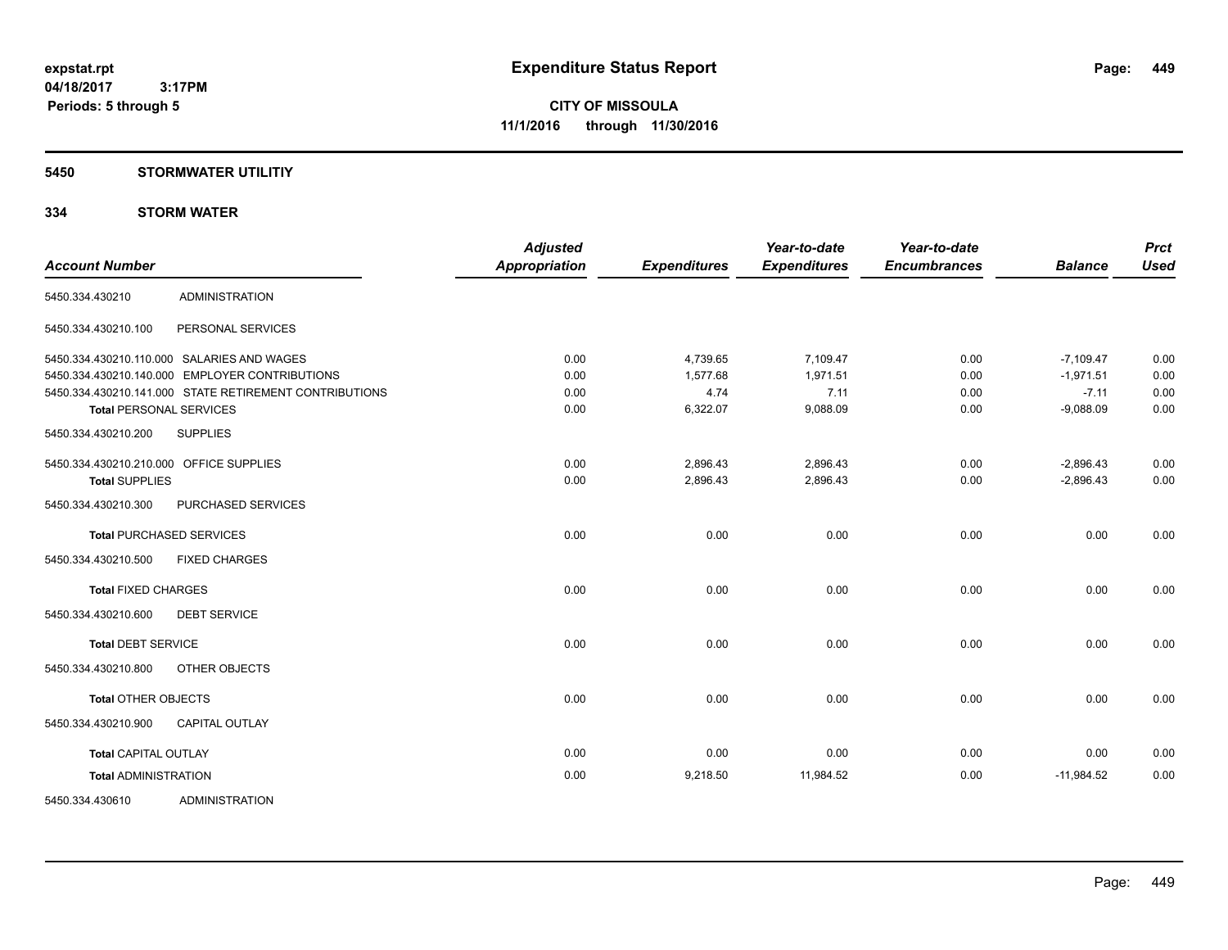### **5450 STORMWATER UTILITIY**

### **334 STORM WATER**

| <b>Account Number</b>       |                                                        | <b>Adjusted</b><br><b>Appropriation</b> | <b>Expenditures</b> | Year-to-date<br><b>Expenditures</b> | Year-to-date<br><b>Encumbrances</b> | <b>Balance</b> | <b>Prct</b><br><b>Used</b> |
|-----------------------------|--------------------------------------------------------|-----------------------------------------|---------------------|-------------------------------------|-------------------------------------|----------------|----------------------------|
| 5450.334.430210             | <b>ADMINISTRATION</b>                                  |                                         |                     |                                     |                                     |                |                            |
| 5450.334.430210.100         | PERSONAL SERVICES                                      |                                         |                     |                                     |                                     |                |                            |
|                             | 5450.334.430210.110.000 SALARIES AND WAGES             | 0.00                                    | 4,739.65            | 7,109.47                            | 0.00                                | $-7,109.47$    | 0.00                       |
|                             | 5450.334.430210.140.000 EMPLOYER CONTRIBUTIONS         | 0.00                                    | 1,577.68            | 1,971.51                            | 0.00                                | $-1,971.51$    | 0.00                       |
|                             | 5450.334.430210.141.000 STATE RETIREMENT CONTRIBUTIONS | 0.00                                    | 4.74                | 7.11                                | 0.00                                | $-7.11$        | 0.00                       |
|                             | <b>Total PERSONAL SERVICES</b>                         | 0.00                                    | 6,322.07            | 9,088.09                            | 0.00                                | $-9,088.09$    | 0.00                       |
| 5450.334.430210.200         | <b>SUPPLIES</b>                                        |                                         |                     |                                     |                                     |                |                            |
|                             | 5450.334.430210.210.000 OFFICE SUPPLIES                | 0.00                                    | 2,896.43            | 2,896.43                            | 0.00                                | $-2,896.43$    | 0.00                       |
| <b>Total SUPPLIES</b>       |                                                        | 0.00                                    | 2,896.43            | 2,896.43                            | 0.00                                | $-2,896.43$    | 0.00                       |
| 5450.334.430210.300         | PURCHASED SERVICES                                     |                                         |                     |                                     |                                     |                |                            |
|                             | <b>Total PURCHASED SERVICES</b>                        | 0.00                                    | 0.00                | 0.00                                | 0.00                                | 0.00           | 0.00                       |
| 5450.334.430210.500         | <b>FIXED CHARGES</b>                                   |                                         |                     |                                     |                                     |                |                            |
| <b>Total FIXED CHARGES</b>  |                                                        | 0.00                                    | 0.00                | 0.00                                | 0.00                                | 0.00           | 0.00                       |
| 5450.334.430210.600         | <b>DEBT SERVICE</b>                                    |                                         |                     |                                     |                                     |                |                            |
| <b>Total DEBT SERVICE</b>   |                                                        | 0.00                                    | 0.00                | 0.00                                | 0.00                                | 0.00           | 0.00                       |
| 5450.334.430210.800         | OTHER OBJECTS                                          |                                         |                     |                                     |                                     |                |                            |
| <b>Total OTHER OBJECTS</b>  |                                                        | 0.00                                    | 0.00                | 0.00                                | 0.00                                | 0.00           | 0.00                       |
| 5450.334.430210.900         | CAPITAL OUTLAY                                         |                                         |                     |                                     |                                     |                |                            |
| <b>Total CAPITAL OUTLAY</b> |                                                        | 0.00                                    | 0.00                | 0.00                                | 0.00                                | 0.00           | 0.00                       |
| <b>Total ADMINISTRATION</b> |                                                        | 0.00                                    | 9,218.50            | 11,984.52                           | 0.00                                | $-11,984.52$   | 0.00                       |
| 5450.334.430610             | <b>ADMINISTRATION</b>                                  |                                         |                     |                                     |                                     |                |                            |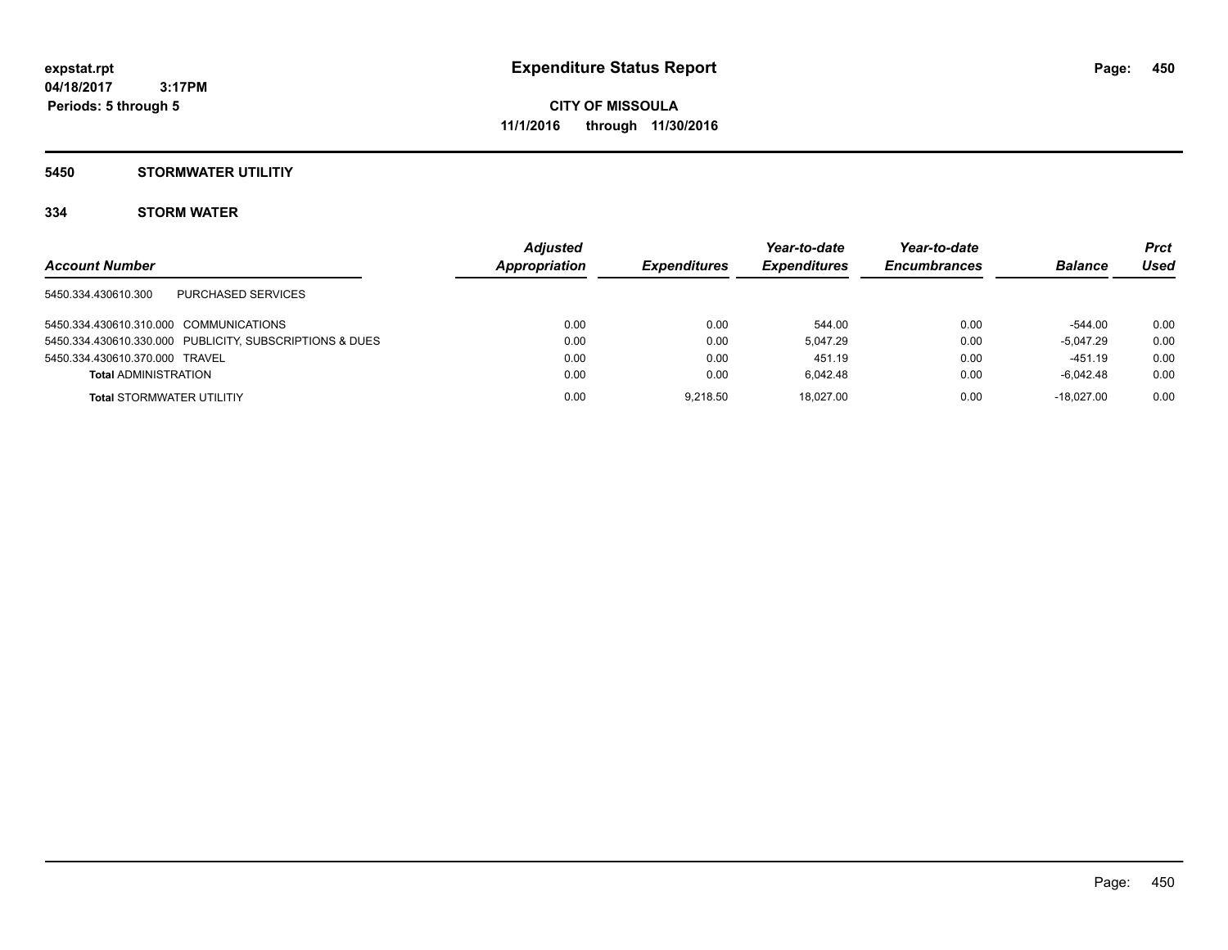### **5450 STORMWATER UTILITIY**

### **334 STORM WATER**

|                                                         | <b>Adjusted</b> |                     | Year-to-date               | Year-to-date        |                | Prct |
|---------------------------------------------------------|-----------------|---------------------|----------------------------|---------------------|----------------|------|
| <b>Account Number</b>                                   | Appropriation   | <b>Expenditures</b> | <i><b>Expenditures</b></i> | <b>Encumbrances</b> | <b>Balance</b> | Used |
| PURCHASED SERVICES<br>5450.334.430610.300               |                 |                     |                            |                     |                |      |
| 5450.334.430610.310.000 COMMUNICATIONS                  | 0.00            | 0.00                | 544.00                     | 0.00                | $-544.00$      | 0.00 |
| 5450.334.430610.330.000 PUBLICITY, SUBSCRIPTIONS & DUES | 0.00            | 0.00                | 5.047.29                   | 0.00                | $-5.047.29$    | 0.00 |
| 5450.334.430610.370.000 TRAVEL                          | 0.00            | 0.00                | 451.19                     | 0.00                | $-451.19$      | 0.00 |
| <b>Total ADMINISTRATION</b>                             | 0.00            | 0.00                | 6.042.48                   | 0.00                | $-6.042.48$    | 0.00 |
| <b>Total STORMWATER UTILITIY</b>                        | 0.00            | 9.218.50            | 18.027.00                  | 0.00                | $-18.027.00$   | 0.00 |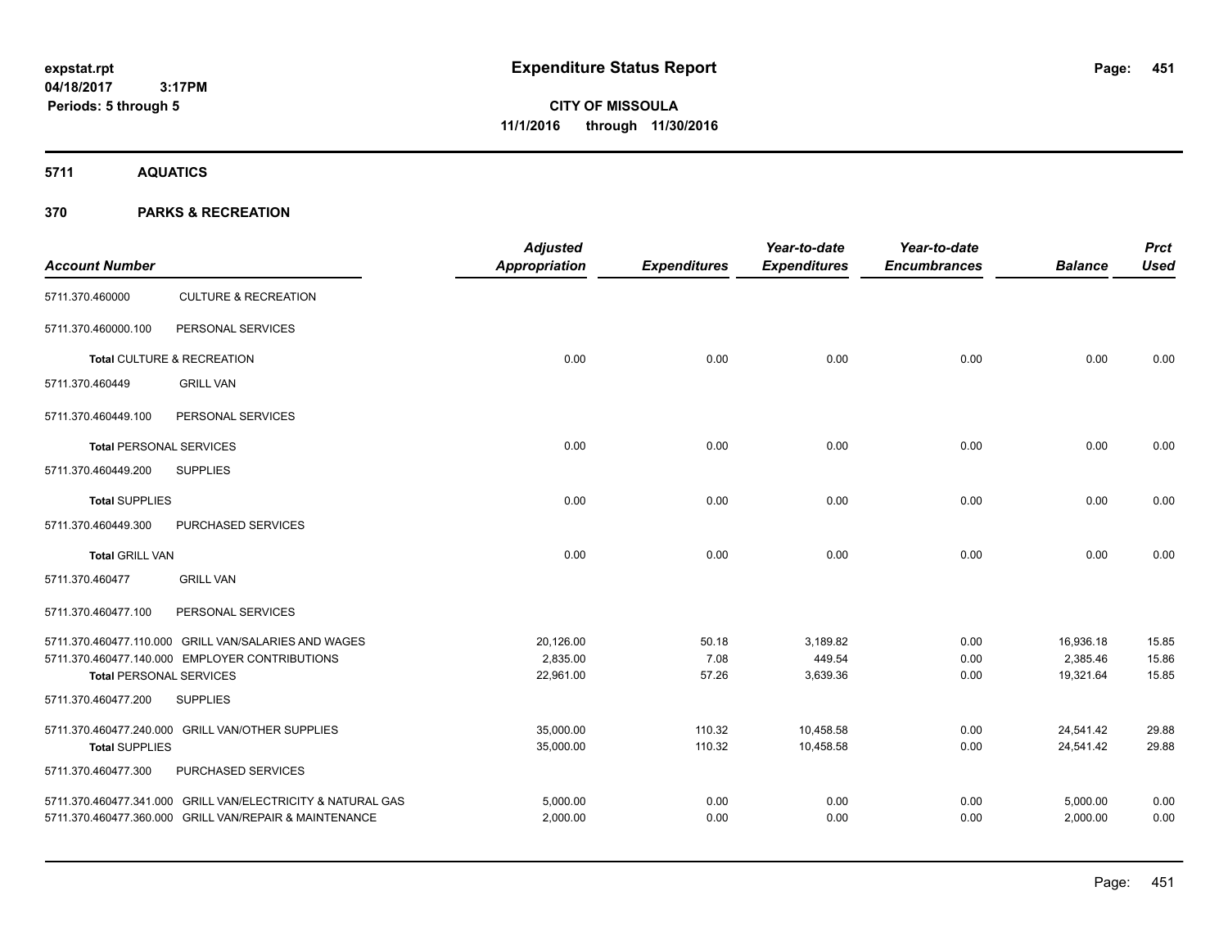**CITY OF MISSOULA 11/1/2016 through 11/30/2016**

**5711 AQUATICS**

| <b>Account Number</b>          |                                                             | <b>Adjusted</b><br>Appropriation | <b>Expenditures</b> | Year-to-date<br><b>Expenditures</b> | Year-to-date<br><b>Encumbrances</b> | <b>Balance</b> | <b>Prct</b><br><b>Used</b> |
|--------------------------------|-------------------------------------------------------------|----------------------------------|---------------------|-------------------------------------|-------------------------------------|----------------|----------------------------|
| 5711.370.460000                | <b>CULTURE &amp; RECREATION</b>                             |                                  |                     |                                     |                                     |                |                            |
| 5711.370.460000.100            | PERSONAL SERVICES                                           |                                  |                     |                                     |                                     |                |                            |
|                                | Total CULTURE & RECREATION                                  | 0.00                             | 0.00                | 0.00                                | 0.00                                | 0.00           | 0.00                       |
| 5711.370.460449                | <b>GRILL VAN</b>                                            |                                  |                     |                                     |                                     |                |                            |
| 5711.370.460449.100            | PERSONAL SERVICES                                           |                                  |                     |                                     |                                     |                |                            |
| <b>Total PERSONAL SERVICES</b> |                                                             | 0.00                             | 0.00                | 0.00                                | 0.00                                | 0.00           | 0.00                       |
| 5711.370.460449.200            | <b>SUPPLIES</b>                                             |                                  |                     |                                     |                                     |                |                            |
| <b>Total SUPPLIES</b>          |                                                             | 0.00                             | 0.00                | 0.00                                | 0.00                                | 0.00           | 0.00                       |
| 5711.370.460449.300            | <b>PURCHASED SERVICES</b>                                   |                                  |                     |                                     |                                     |                |                            |
| <b>Total GRILL VAN</b>         |                                                             | 0.00                             | 0.00                | 0.00                                | 0.00                                | 0.00           | 0.00                       |
| 5711.370.460477                | <b>GRILL VAN</b>                                            |                                  |                     |                                     |                                     |                |                            |
| 5711.370.460477.100            | PERSONAL SERVICES                                           |                                  |                     |                                     |                                     |                |                            |
|                                | 5711.370.460477.110.000 GRILL VAN/SALARIES AND WAGES        | 20,126.00                        | 50.18               | 3,189.82                            | 0.00                                | 16,936.18      | 15.85                      |
|                                | 5711.370.460477.140.000 EMPLOYER CONTRIBUTIONS              | 2.835.00                         | 7.08                | 449.54                              | 0.00                                | 2,385.46       | 15.86                      |
| <b>Total PERSONAL SERVICES</b> |                                                             | 22,961.00                        | 57.26               | 3,639.36                            | 0.00                                | 19,321.64      | 15.85                      |
| 5711.370.460477.200            | <b>SUPPLIES</b>                                             |                                  |                     |                                     |                                     |                |                            |
|                                | 5711.370.460477.240.000 GRILL VAN/OTHER SUPPLIES            | 35,000.00                        | 110.32              | 10,458.58                           | 0.00                                | 24,541.42      | 29.88                      |
| <b>Total SUPPLIES</b>          |                                                             | 35,000.00                        | 110.32              | 10,458.58                           | 0.00                                | 24,541.42      | 29.88                      |
| 5711.370.460477.300            | PURCHASED SERVICES                                          |                                  |                     |                                     |                                     |                |                            |
|                                | 5711.370.460477.341.000 GRILL VAN/ELECTRICITY & NATURAL GAS | 5,000.00                         | 0.00                | 0.00                                | 0.00                                | 5,000.00       | 0.00                       |
|                                | 5711.370.460477.360.000 GRILL VAN/REPAIR & MAINTENANCE      | 2,000.00                         | 0.00                | 0.00                                | 0.00                                | 2,000.00       | 0.00                       |
|                                |                                                             |                                  |                     |                                     |                                     |                |                            |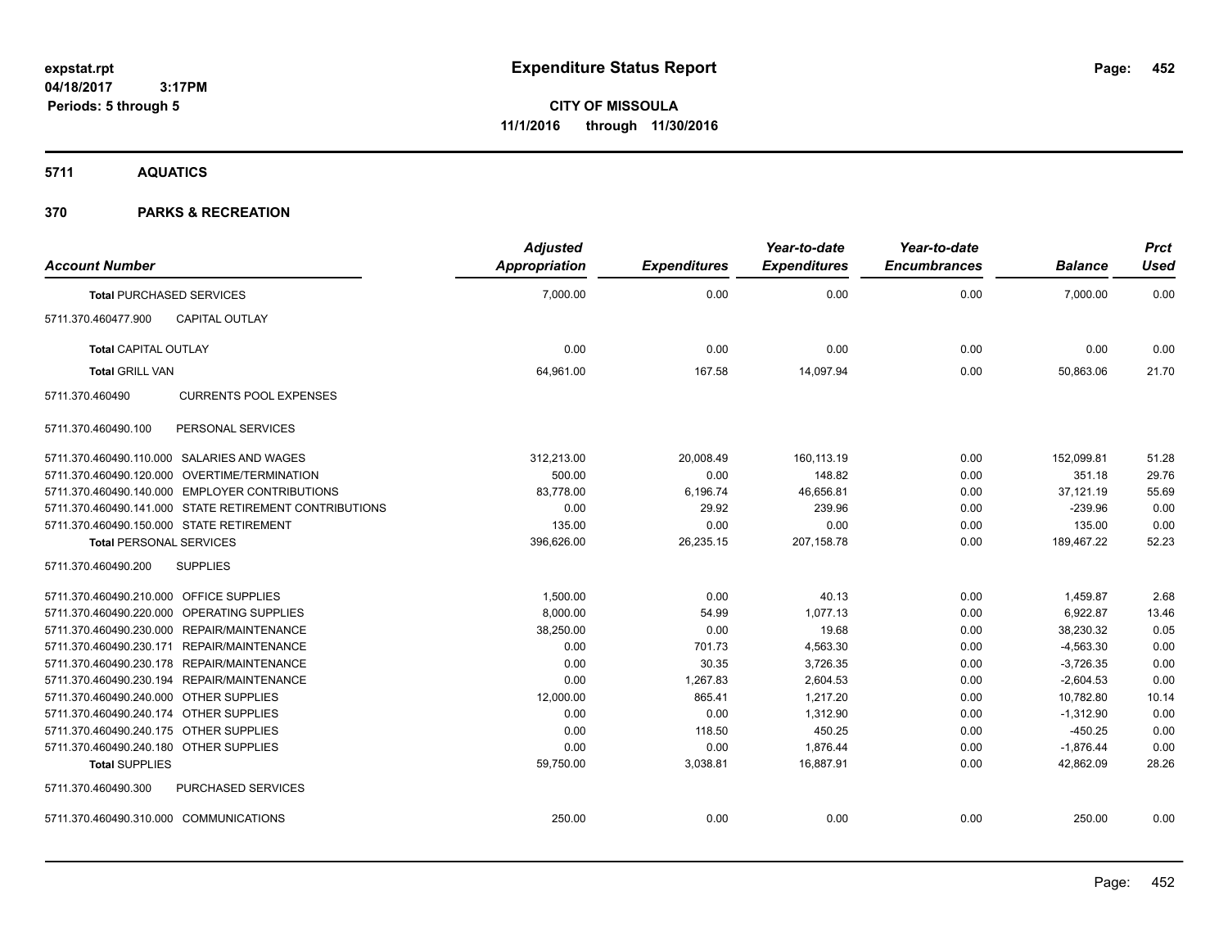**5711 AQUATICS**

| <b>Account Number</b>                   |                                                        | <b>Adjusted</b><br><b>Appropriation</b> | <b>Expenditures</b> | Year-to-date<br><b>Expenditures</b> | Year-to-date<br><b>Encumbrances</b> | <b>Balance</b> | <b>Prct</b><br>Used |
|-----------------------------------------|--------------------------------------------------------|-----------------------------------------|---------------------|-------------------------------------|-------------------------------------|----------------|---------------------|
|                                         | <b>Total PURCHASED SERVICES</b>                        | 7,000.00                                | 0.00                | 0.00                                | 0.00                                | 7,000.00       | 0.00                |
| 5711.370.460477.900                     | CAPITAL OUTLAY                                         |                                         |                     |                                     |                                     |                |                     |
| <b>Total CAPITAL OUTLAY</b>             |                                                        | 0.00                                    | 0.00                | 0.00                                | 0.00                                | 0.00           | 0.00                |
| <b>Total GRILL VAN</b>                  |                                                        | 64,961.00                               | 167.58              | 14,097.94                           | 0.00                                | 50,863.06      | 21.70               |
| 5711.370.460490                         | <b>CURRENTS POOL EXPENSES</b>                          |                                         |                     |                                     |                                     |                |                     |
| 5711.370.460490.100                     | PERSONAL SERVICES                                      |                                         |                     |                                     |                                     |                |                     |
|                                         | 5711.370.460490.110.000 SALARIES AND WAGES             | 312,213.00                              | 20,008.49           | 160,113.19                          | 0.00                                | 152,099.81     | 51.28               |
|                                         | 5711.370.460490.120.000 OVERTIME/TERMINATION           | 500.00                                  | 0.00                | 148.82                              | 0.00                                | 351.18         | 29.76               |
|                                         | 5711.370.460490.140.000 EMPLOYER CONTRIBUTIONS         | 83.778.00                               | 6,196.74            | 46.656.81                           | 0.00                                | 37.121.19      | 55.69               |
|                                         | 5711.370.460490.141.000 STATE RETIREMENT CONTRIBUTIONS | 0.00                                    | 29.92               | 239.96                              | 0.00                                | $-239.96$      | 0.00                |
|                                         | 5711.370.460490.150.000 STATE RETIREMENT               | 135.00                                  | 0.00                | 0.00                                | 0.00                                | 135.00         | 0.00                |
| <b>Total PERSONAL SERVICES</b>          |                                                        | 396,626.00                              | 26,235.15           | 207,158.78                          | 0.00                                | 189,467.22     | 52.23               |
| 5711.370.460490.200                     | <b>SUPPLIES</b>                                        |                                         |                     |                                     |                                     |                |                     |
| 5711.370.460490.210.000 OFFICE SUPPLIES |                                                        | 1,500.00                                | 0.00                | 40.13                               | 0.00                                | 1,459.87       | 2.68                |
|                                         | 5711.370.460490.220.000 OPERATING SUPPLIES             | 8,000.00                                | 54.99               | 1,077.13                            | 0.00                                | 6,922.87       | 13.46               |
|                                         | 5711.370.460490.230.000 REPAIR/MAINTENANCE             | 38,250.00                               | 0.00                | 19.68                               | 0.00                                | 38,230.32      | 0.05                |
|                                         | 5711.370.460490.230.171 REPAIR/MAINTENANCE             | 0.00                                    | 701.73              | 4,563.30                            | 0.00                                | $-4,563.30$    | 0.00                |
|                                         | 5711.370.460490.230.178 REPAIR/MAINTENANCE             | 0.00                                    | 30.35               | 3,726.35                            | 0.00                                | $-3,726.35$    | 0.00                |
|                                         | 5711.370.460490.230.194 REPAIR/MAINTENANCE             | 0.00                                    | 1,267.83            | 2,604.53                            | 0.00                                | $-2,604.53$    | 0.00                |
| 5711.370.460490.240.000 OTHER SUPPLIES  |                                                        | 12,000.00                               | 865.41              | 1,217.20                            | 0.00                                | 10,782.80      | 10.14               |
| 5711.370.460490.240.174 OTHER SUPPLIES  |                                                        | 0.00                                    | 0.00                | 1,312.90                            | 0.00                                | $-1,312.90$    | 0.00                |
| 5711.370.460490.240.175 OTHER SUPPLIES  |                                                        | 0.00                                    | 118.50              | 450.25                              | 0.00                                | $-450.25$      | 0.00                |
| 5711.370.460490.240.180 OTHER SUPPLIES  |                                                        | 0.00                                    | 0.00                | 1.876.44                            | 0.00                                | $-1.876.44$    | 0.00                |
| <b>Total SUPPLIES</b>                   |                                                        | 59,750.00                               | 3,038.81            | 16,887.91                           | 0.00                                | 42,862.09      | 28.26               |
| 5711.370.460490.300                     | <b>PURCHASED SERVICES</b>                              |                                         |                     |                                     |                                     |                |                     |
| 5711.370.460490.310.000 COMMUNICATIONS  |                                                        | 250.00                                  | 0.00                | 0.00                                | 0.00                                | 250.00         | 0.00                |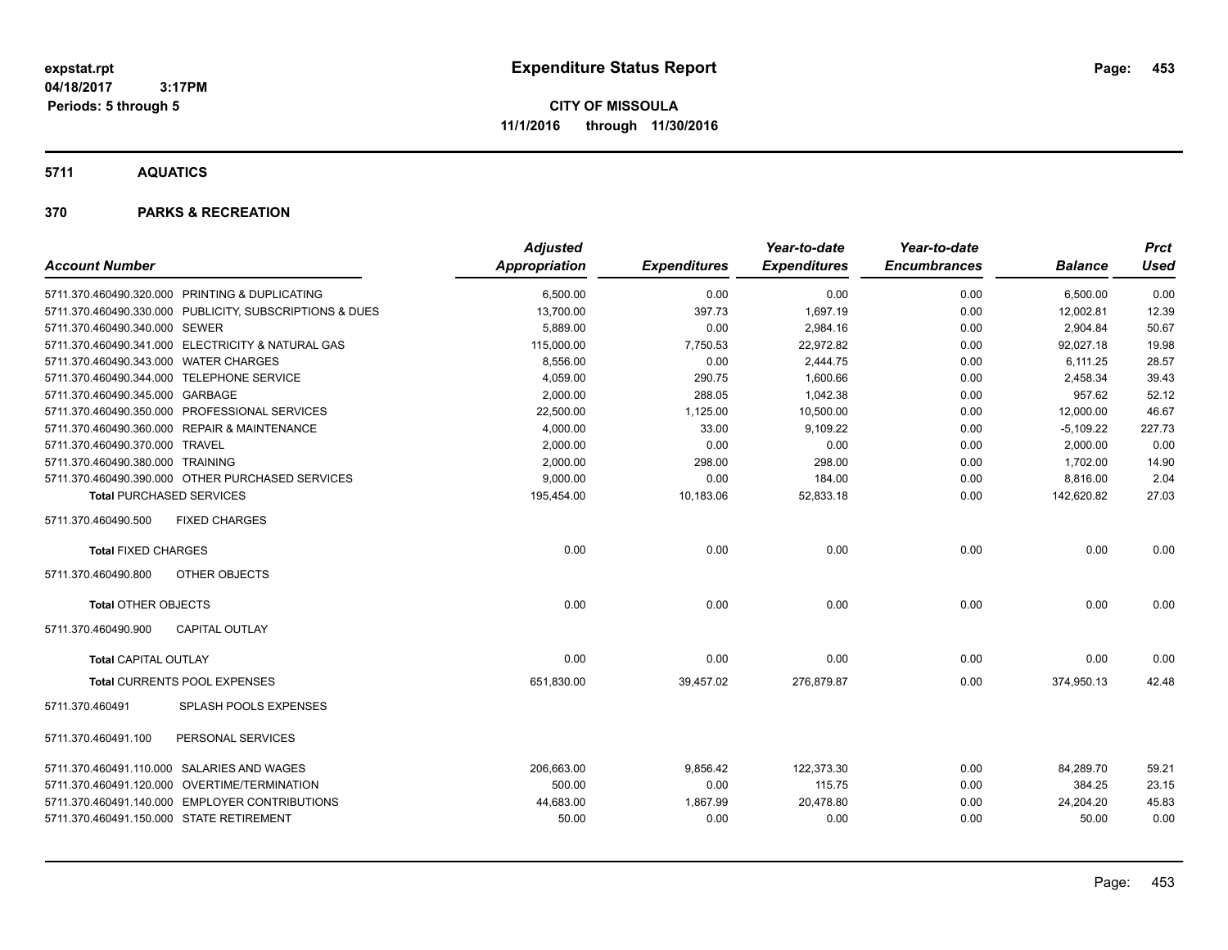**CITY OF MISSOULA 11/1/2016 through 11/30/2016**

**5711 AQUATICS**

| <b>Account Number</b>                                   | <b>Adjusted</b><br>Appropriation | <b>Expenditures</b> | Year-to-date<br><b>Expenditures</b> | Year-to-date<br><b>Encumbrances</b> | <b>Balance</b> | <b>Prct</b><br>Used |
|---------------------------------------------------------|----------------------------------|---------------------|-------------------------------------|-------------------------------------|----------------|---------------------|
| 5711.370.460490.320.000 PRINTING & DUPLICATING          | 6,500.00                         | 0.00                | 0.00                                | 0.00                                | 6,500.00       | 0.00                |
| 5711.370.460490.330.000 PUBLICITY, SUBSCRIPTIONS & DUES | 13,700.00                        | 397.73              | 1,697.19                            | 0.00                                | 12,002.81      | 12.39               |
| 5711.370.460490.340.000 SEWER                           | 5,889.00                         | 0.00                | 2,984.16                            | 0.00                                | 2,904.84       | 50.67               |
| 5711.370.460490.341.000 ELECTRICITY & NATURAL GAS       | 115,000.00                       | 7,750.53            | 22,972.82                           | 0.00                                | 92.027.18      | 19.98               |
| 5711.370.460490.343.000 WATER CHARGES                   | 8.556.00                         | 0.00                | 2.444.75                            | 0.00                                | 6.111.25       | 28.57               |
| 5711.370.460490.344.000 TELEPHONE SERVICE               | 4,059.00                         | 290.75              | 1,600.66                            | 0.00                                | 2,458.34       | 39.43               |
| 5711.370.460490.345.000 GARBAGE                         | 2,000.00                         | 288.05              | 1,042.38                            | 0.00                                | 957.62         | 52.12               |
| 5711.370.460490.350.000 PROFESSIONAL SERVICES           | 22,500.00                        | 1,125.00            | 10,500.00                           | 0.00                                | 12,000.00      | 46.67               |
| 5711.370.460490.360.000 REPAIR & MAINTENANCE            | 4,000.00                         | 33.00               | 9,109.22                            | 0.00                                | $-5,109.22$    | 227.73              |
| 5711.370.460490.370.000 TRAVEL                          | 2,000.00                         | 0.00                | 0.00                                | 0.00                                | 2,000.00       | 0.00                |
| 5711.370.460490.380.000 TRAINING                        | 2,000.00                         | 298.00              | 298.00                              | 0.00                                | 1,702.00       | 14.90               |
| 5711.370.460490.390.000 OTHER PURCHASED SERVICES        | 9,000.00                         | 0.00                | 184.00                              | 0.00                                | 8,816.00       | 2.04                |
| <b>Total PURCHASED SERVICES</b>                         | 195,454.00                       | 10,183.06           | 52,833.18                           | 0.00                                | 142,620.82     | 27.03               |
| 5711.370.460490.500<br><b>FIXED CHARGES</b>             |                                  |                     |                                     |                                     |                |                     |
| <b>Total FIXED CHARGES</b>                              | 0.00                             | 0.00                | 0.00                                | 0.00                                | 0.00           | 0.00                |
| 5711.370.460490.800<br>OTHER OBJECTS                    |                                  |                     |                                     |                                     |                |                     |
| <b>Total OTHER OBJECTS</b>                              | 0.00                             | 0.00                | 0.00                                | 0.00                                | 0.00           | 0.00                |
| 5711.370.460490.900<br><b>CAPITAL OUTLAY</b>            |                                  |                     |                                     |                                     |                |                     |
| <b>Total CAPITAL OUTLAY</b>                             | 0.00                             | 0.00                | 0.00                                | 0.00                                | 0.00           | 0.00                |
| Total CURRENTS POOL EXPENSES                            | 651,830.00                       | 39,457.02           | 276,879.87                          | 0.00                                | 374,950.13     | 42.48               |
| SPLASH POOLS EXPENSES<br>5711.370.460491                |                                  |                     |                                     |                                     |                |                     |
| PERSONAL SERVICES<br>5711.370.460491.100                |                                  |                     |                                     |                                     |                |                     |
| 5711.370.460491.110.000 SALARIES AND WAGES              | 206,663.00                       | 9,856.42            | 122,373.30                          | 0.00                                | 84,289.70      | 59.21               |
| 5711.370.460491.120.000 OVERTIME/TERMINATION            | 500.00                           | 0.00                | 115.75                              | 0.00                                | 384.25         | 23.15               |
| 5711.370.460491.140.000 EMPLOYER CONTRIBUTIONS          | 44,683.00                        | 1,867.99            | 20,478.80                           | 0.00                                | 24,204.20      | 45.83               |
| 5711.370.460491.150.000 STATE RETIREMENT                | 50.00                            | 0.00                | 0.00                                | 0.00                                | 50.00          | 0.00                |
|                                                         |                                  |                     |                                     |                                     |                |                     |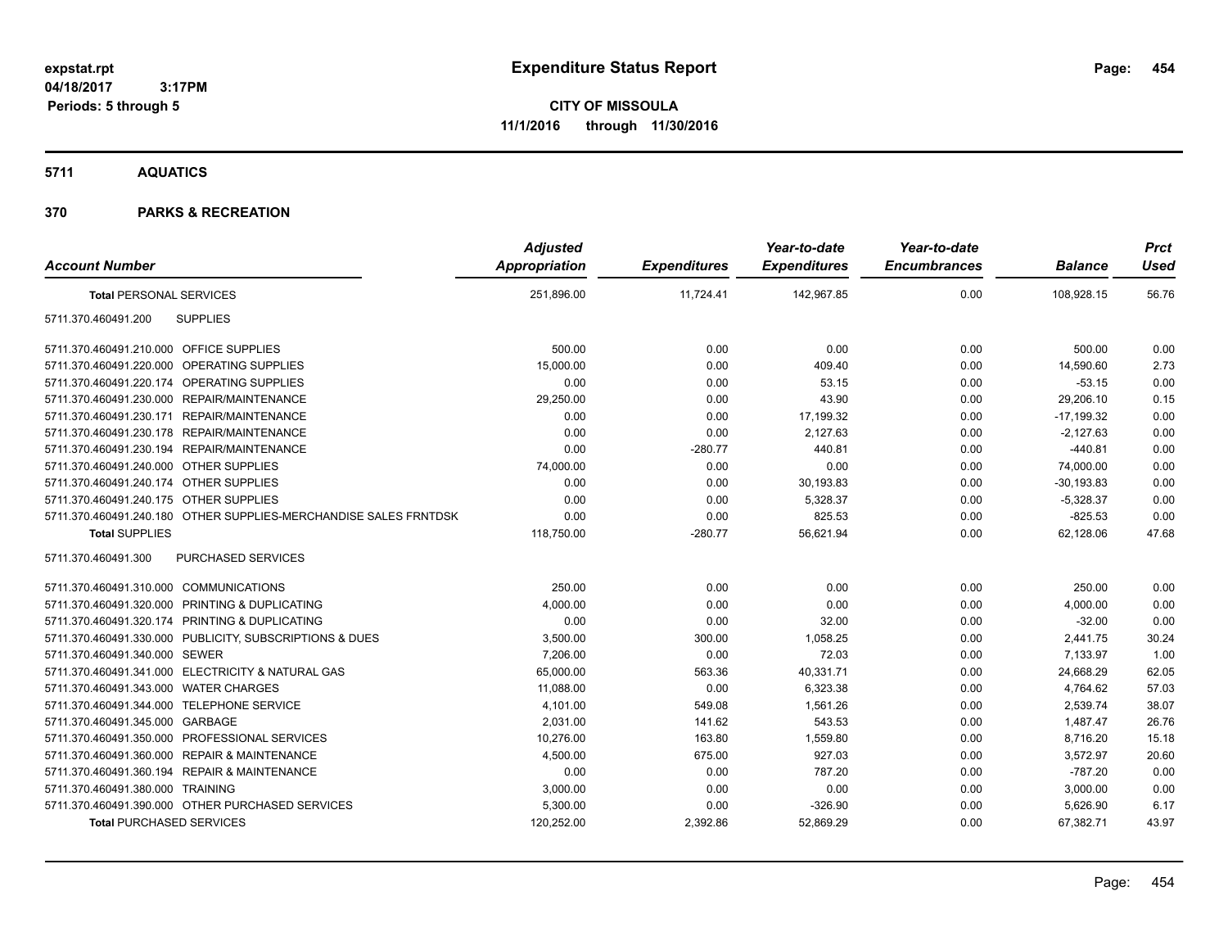**CITY OF MISSOULA 11/1/2016 through 11/30/2016**

**5711 AQUATICS**

| <b>Account Number</b>                                            | <b>Adjusted</b><br>Appropriation | <b>Expenditures</b> | Year-to-date<br><b>Expenditures</b> | Year-to-date<br><b>Encumbrances</b> | <b>Balance</b> | <b>Prct</b><br><b>Used</b> |
|------------------------------------------------------------------|----------------------------------|---------------------|-------------------------------------|-------------------------------------|----------------|----------------------------|
| <b>Total PERSONAL SERVICES</b>                                   | 251,896.00                       | 11,724.41           | 142,967.85                          | 0.00                                | 108,928.15     | 56.76                      |
| <b>SUPPLIES</b><br>5711.370.460491.200                           |                                  |                     |                                     |                                     |                |                            |
| 5711.370.460491.210.000 OFFICE SUPPLIES                          | 500.00                           | 0.00                | 0.00                                | 0.00                                | 500.00         | 0.00                       |
| 5711.370.460491.220.000 OPERATING SUPPLIES                       | 15,000.00                        | 0.00                | 409.40                              | 0.00                                | 14,590.60      | 2.73                       |
| 5711.370.460491.220.174 OPERATING SUPPLIES                       | 0.00                             | 0.00                | 53.15                               | 0.00                                | $-53.15$       | 0.00                       |
| 5711.370.460491.230.000 REPAIR/MAINTENANCE                       | 29,250.00                        | 0.00                | 43.90                               | 0.00                                | 29,206.10      | 0.15                       |
| 5711.370.460491.230.171 REPAIR/MAINTENANCE                       | 0.00                             | 0.00                | 17,199.32                           | 0.00                                | $-17,199.32$   | 0.00                       |
| 5711.370.460491.230.178 REPAIR/MAINTENANCE                       | 0.00                             | 0.00                | 2,127.63                            | 0.00                                | $-2,127.63$    | 0.00                       |
| 5711.370.460491.230.194 REPAIR/MAINTENANCE                       | 0.00                             | $-280.77$           | 440.81                              | 0.00                                | $-440.81$      | 0.00                       |
| 5711.370.460491.240.000 OTHER SUPPLIES                           | 74,000.00                        | 0.00                | 0.00                                | 0.00                                | 74,000.00      | 0.00                       |
| 5711.370.460491.240.174 OTHER SUPPLIES                           | 0.00                             | 0.00                | 30,193.83                           | 0.00                                | $-30, 193.83$  | 0.00                       |
| 5711.370.460491.240.175 OTHER SUPPLIES                           | 0.00                             | 0.00                | 5,328.37                            | 0.00                                | $-5,328.37$    | 0.00                       |
| 5711.370.460491.240.180 OTHER SUPPLIES-MERCHANDISE SALES FRNTDSK | 0.00                             | 0.00                | 825.53                              | 0.00                                | $-825.53$      | 0.00                       |
| <b>Total SUPPLIES</b>                                            | 118,750.00                       | $-280.77$           | 56,621.94                           | 0.00                                | 62,128.06      | 47.68                      |
| PURCHASED SERVICES<br>5711.370.460491.300                        |                                  |                     |                                     |                                     |                |                            |
| 5711.370.460491.310.000 COMMUNICATIONS                           | 250.00                           | 0.00                | 0.00                                | 0.00                                | 250.00         | 0.00                       |
| 5711.370.460491.320.000 PRINTING & DUPLICATING                   | 4,000.00                         | 0.00                | 0.00                                | 0.00                                | 4,000.00       | 0.00                       |
| 5711.370.460491.320.174 PRINTING & DUPLICATING                   | 0.00                             | 0.00                | 32.00                               | 0.00                                | $-32.00$       | 0.00                       |
| 5711.370.460491.330.000 PUBLICITY, SUBSCRIPTIONS & DUES          | 3,500.00                         | 300.00              | 1,058.25                            | 0.00                                | 2,441.75       | 30.24                      |
| 5711.370.460491.340.000 SEWER                                    | 7,206.00                         | 0.00                | 72.03                               | 0.00                                | 7,133.97       | 1.00                       |
| 5711.370.460491.341.000 ELECTRICITY & NATURAL GAS                | 65,000.00                        | 563.36              | 40,331.71                           | 0.00                                | 24,668.29      | 62.05                      |
| 5711.370.460491.343.000 WATER CHARGES                            | 11,088.00                        | 0.00                | 6,323.38                            | 0.00                                | 4,764.62       | 57.03                      |
| 5711.370.460491.344.000 TELEPHONE SERVICE                        | 4,101.00                         | 549.08              | 1,561.26                            | 0.00                                | 2,539.74       | 38.07                      |
| 5711.370.460491.345.000 GARBAGE                                  | 2,031.00                         | 141.62              | 543.53                              | 0.00                                | 1,487.47       | 26.76                      |
| 5711.370.460491.350.000 PROFESSIONAL SERVICES                    | 10,276.00                        | 163.80              | 1,559.80                            | 0.00                                | 8,716.20       | 15.18                      |
| 5711.370.460491.360.000 REPAIR & MAINTENANCE                     | 4,500.00                         | 675.00              | 927.03                              | 0.00                                | 3,572.97       | 20.60                      |
| 5711.370.460491.360.194 REPAIR & MAINTENANCE                     | 0.00                             | 0.00                | 787.20                              | 0.00                                | $-787.20$      | 0.00                       |
| 5711.370.460491.380.000 TRAINING                                 | 3,000.00                         | 0.00                | 0.00                                | 0.00                                | 3,000.00       | 0.00                       |
| 5711.370.460491.390.000 OTHER PURCHASED SERVICES                 | 5,300.00                         | 0.00                | $-326.90$                           | 0.00                                | 5,626.90       | 6.17                       |
| <b>Total PURCHASED SERVICES</b>                                  | 120.252.00                       | 2,392.86            | 52,869.29                           | 0.00                                | 67,382.71      | 43.97                      |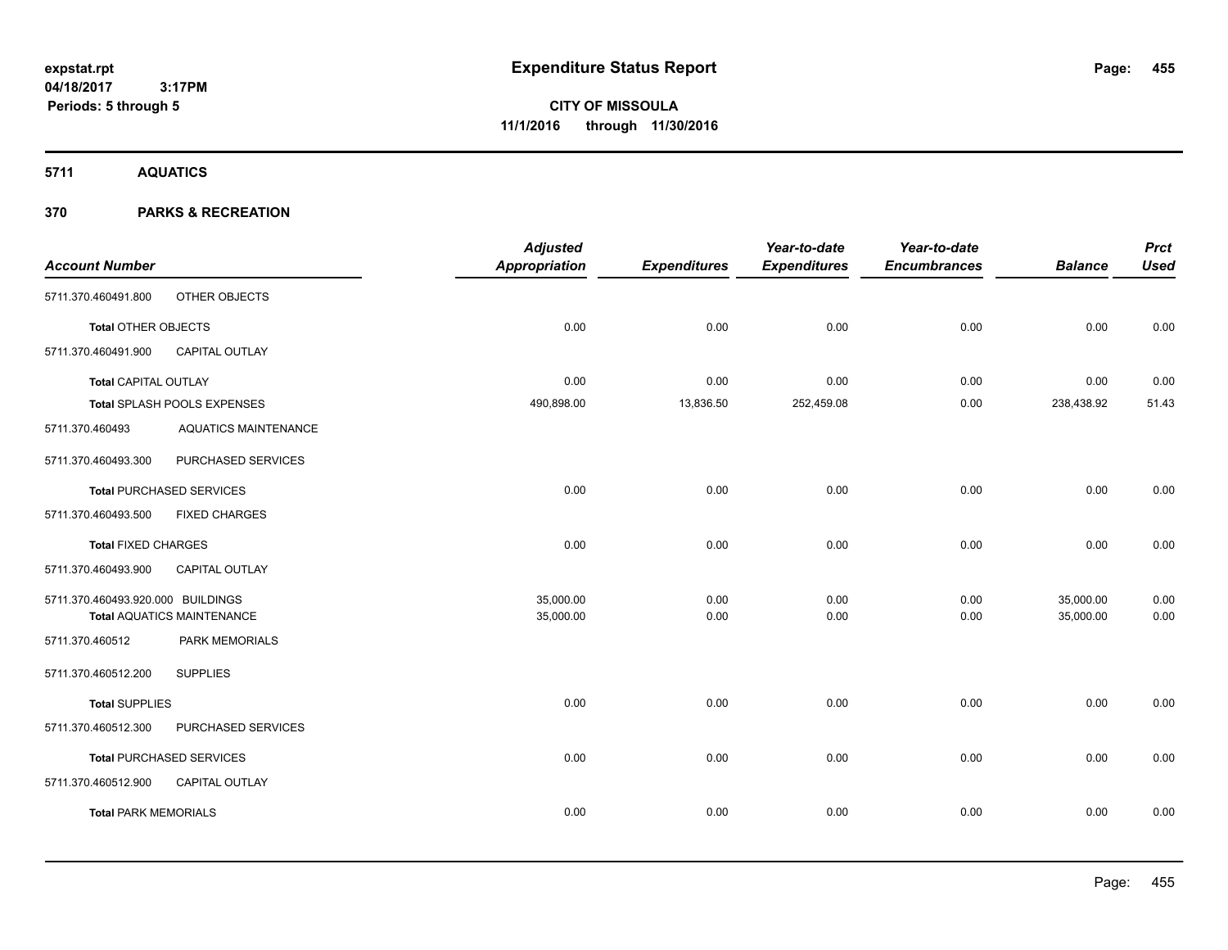**Periods: 5 through 5**

**CITY OF MISSOULA 11/1/2016 through 11/30/2016**

**5711 AQUATICS**

|                                   | <b>Adjusted</b>      |                     | Year-to-date        | Year-to-date        |                | <b>Prct</b> |
|-----------------------------------|----------------------|---------------------|---------------------|---------------------|----------------|-------------|
|                                   | <b>Appropriation</b> | <b>Expenditures</b> | <b>Expenditures</b> | <b>Encumbrances</b> | <b>Balance</b> | <b>Used</b> |
| OTHER OBJECTS                     |                      |                     |                     |                     |                |             |
| <b>Total OTHER OBJECTS</b>        | 0.00                 | 0.00                | 0.00                | 0.00                | 0.00           | 0.00        |
| CAPITAL OUTLAY                    |                      |                     |                     |                     |                |             |
| <b>Total CAPITAL OUTLAY</b>       | 0.00                 | 0.00                | 0.00                | 0.00                | 0.00           | 0.00        |
| Total SPLASH POOLS EXPENSES       | 490,898.00           | 13,836.50           | 252,459.08          | 0.00                | 238,438.92     | 51.43       |
| <b>AQUATICS MAINTENANCE</b>       |                      |                     |                     |                     |                |             |
| PURCHASED SERVICES                |                      |                     |                     |                     |                |             |
| <b>Total PURCHASED SERVICES</b>   | 0.00                 | 0.00                | 0.00                | 0.00                | 0.00           | 0.00        |
| <b>FIXED CHARGES</b>              |                      |                     |                     |                     |                |             |
| <b>Total FIXED CHARGES</b>        | 0.00                 | 0.00                | 0.00                | 0.00                | 0.00           | 0.00        |
| <b>CAPITAL OUTLAY</b>             |                      |                     |                     |                     |                |             |
| 5711.370.460493.920.000 BUILDINGS | 35,000.00            | 0.00                | 0.00                | 0.00                | 35,000.00      | 0.00        |
| <b>Total AQUATICS MAINTENANCE</b> | 35,000.00            | 0.00                | 0.00                | 0.00                | 35,000.00      | 0.00        |
| PARK MEMORIALS                    |                      |                     |                     |                     |                |             |
| <b>SUPPLIES</b>                   |                      |                     |                     |                     |                |             |
| <b>Total SUPPLIES</b>             | 0.00                 | 0.00                | 0.00                | 0.00                | 0.00           | 0.00        |
| PURCHASED SERVICES                |                      |                     |                     |                     |                |             |
| <b>Total PURCHASED SERVICES</b>   | 0.00                 | 0.00                | 0.00                | 0.00                | 0.00           | 0.00        |
| <b>CAPITAL OUTLAY</b>             |                      |                     |                     |                     |                |             |
| <b>Total PARK MEMORIALS</b>       | 0.00                 | 0.00                | 0.00                | 0.00                | 0.00           | 0.00        |
|                                   |                      |                     |                     |                     |                |             |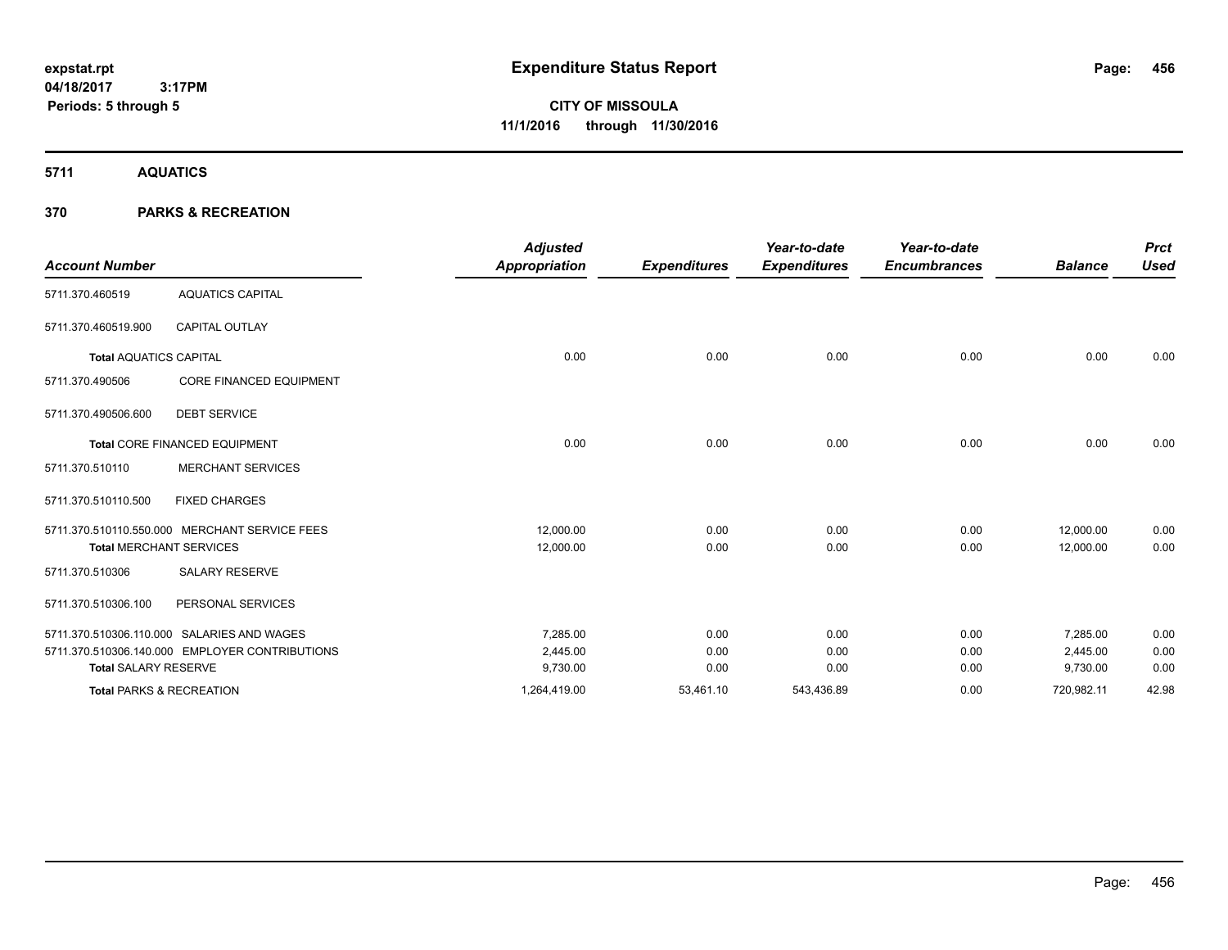**CITY OF MISSOULA 11/1/2016 through 11/30/2016**

**5711 AQUATICS**

|                               |                                                | <b>Adjusted</b> |                     | Year-to-date        | Year-to-date        |                | <b>Prct</b> |
|-------------------------------|------------------------------------------------|-----------------|---------------------|---------------------|---------------------|----------------|-------------|
| <b>Account Number</b>         |                                                | Appropriation   | <b>Expenditures</b> | <b>Expenditures</b> | <b>Encumbrances</b> | <b>Balance</b> | <b>Used</b> |
| 5711.370.460519               | <b>AQUATICS CAPITAL</b>                        |                 |                     |                     |                     |                |             |
| 5711.370.460519.900           | <b>CAPITAL OUTLAY</b>                          |                 |                     |                     |                     |                |             |
| <b>Total AQUATICS CAPITAL</b> |                                                | 0.00            | 0.00                | 0.00                | 0.00                | 0.00           | 0.00        |
| 5711.370.490506               | <b>CORE FINANCED EQUIPMENT</b>                 |                 |                     |                     |                     |                |             |
| 5711.370.490506.600           | <b>DEBT SERVICE</b>                            |                 |                     |                     |                     |                |             |
|                               | Total CORE FINANCED EQUIPMENT                  | 0.00            | 0.00                | 0.00                | 0.00                | 0.00           | 0.00        |
| 5711.370.510110               | <b>MERCHANT SERVICES</b>                       |                 |                     |                     |                     |                |             |
| 5711.370.510110.500           | <b>FIXED CHARGES</b>                           |                 |                     |                     |                     |                |             |
|                               | 5711.370.510110.550.000 MERCHANT SERVICE FEES  | 12,000.00       | 0.00                | 0.00                | 0.00                | 12,000.00      | 0.00        |
|                               | <b>Total MERCHANT SERVICES</b>                 | 12,000.00       | 0.00                | 0.00                | 0.00                | 12,000.00      | 0.00        |
| 5711.370.510306               | <b>SALARY RESERVE</b>                          |                 |                     |                     |                     |                |             |
| 5711.370.510306.100           | PERSONAL SERVICES                              |                 |                     |                     |                     |                |             |
|                               | 5711.370.510306.110.000 SALARIES AND WAGES     | 7,285.00        | 0.00                | 0.00                | 0.00                | 7,285.00       | 0.00        |
|                               | 5711.370.510306.140.000 EMPLOYER CONTRIBUTIONS | 2,445.00        | 0.00                | 0.00                | 0.00                | 2,445.00       | 0.00        |
| <b>Total SALARY RESERVE</b>   |                                                | 9,730.00        | 0.00                | 0.00                | 0.00                | 9,730.00       | 0.00        |
|                               | <b>Total PARKS &amp; RECREATION</b>            | 1,264,419.00    | 53,461.10           | 543,436.89          | 0.00                | 720,982.11     | 42.98       |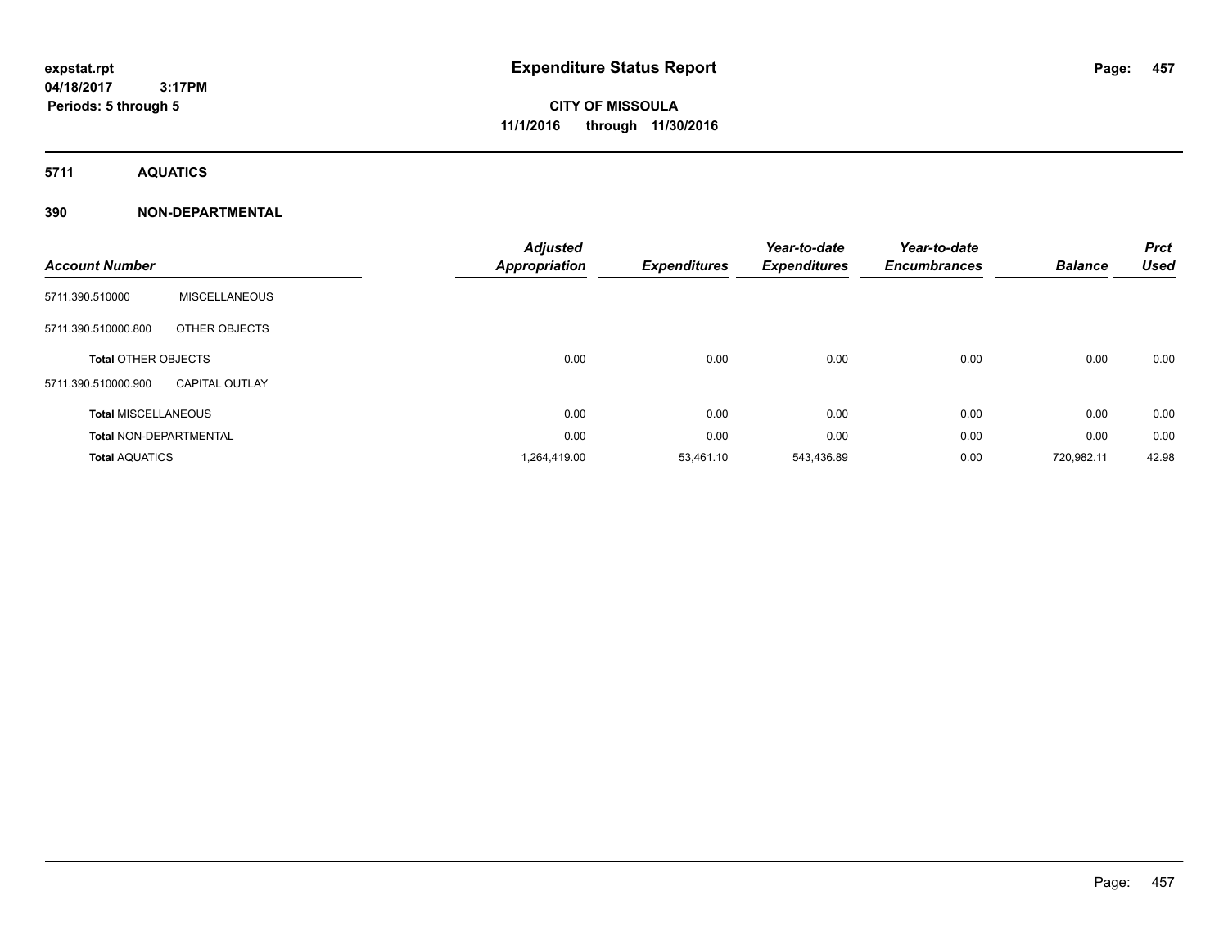# **CITY OF MISSOULA 11/1/2016 through 11/30/2016**

**5711 AQUATICS**

### **390 NON-DEPARTMENTAL**

| <b>Account Number</b>         |                       | <b>Adjusted</b><br><b>Appropriation</b> | <b>Expenditures</b> | Year-to-date<br><b>Expenditures</b> | Year-to-date<br><b>Encumbrances</b> | <b>Balance</b> | <b>Prct</b><br><b>Used</b> |
|-------------------------------|-----------------------|-----------------------------------------|---------------------|-------------------------------------|-------------------------------------|----------------|----------------------------|
| 5711.390.510000               | <b>MISCELLANEOUS</b>  |                                         |                     |                                     |                                     |                |                            |
| 5711.390.510000.800           | OTHER OBJECTS         |                                         |                     |                                     |                                     |                |                            |
| <b>Total OTHER OBJECTS</b>    |                       | 0.00                                    | 0.00                | 0.00                                | 0.00                                | 0.00           | 0.00                       |
| 5711.390.510000.900           | <b>CAPITAL OUTLAY</b> |                                         |                     |                                     |                                     |                |                            |
| <b>Total MISCELLANEOUS</b>    |                       | 0.00                                    | 0.00                | 0.00                                | 0.00                                | 0.00           | 0.00                       |
| <b>Total NON-DEPARTMENTAL</b> |                       | 0.00                                    | 0.00                | 0.00                                | 0.00                                | 0.00           | 0.00                       |
| <b>Total AQUATICS</b>         |                       | 1,264,419.00                            | 53,461.10           | 543,436.89                          | 0.00                                | 720,982.11     | 42.98                      |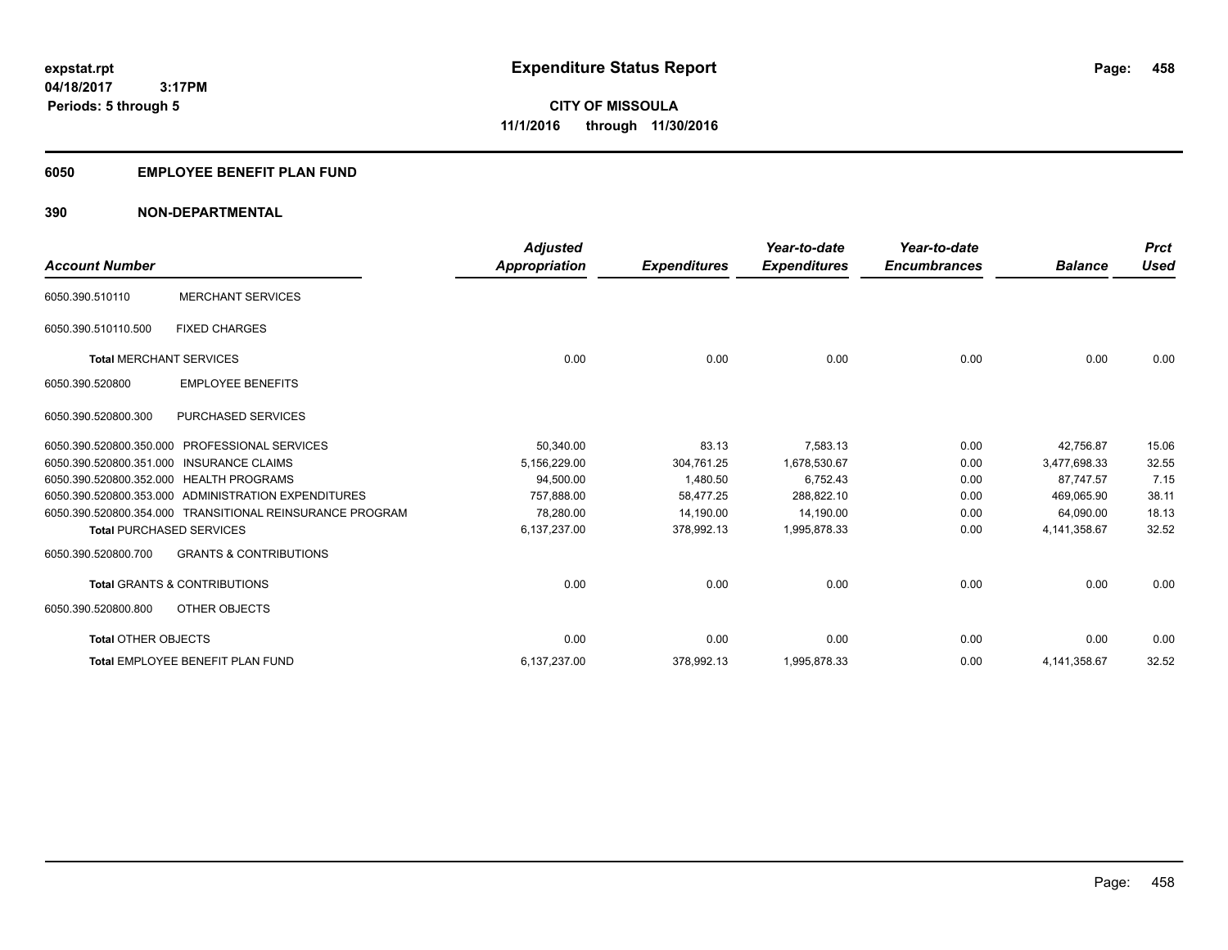### **6050 EMPLOYEE BENEFIT PLAN FUND**

### **390 NON-DEPARTMENTAL**

| <b>Account Number</b>           |                                                          | <b>Adjusted</b><br><b>Appropriation</b> | <b>Expenditures</b> | Year-to-date<br><b>Expenditures</b> | Year-to-date<br><b>Encumbrances</b> | <b>Balance</b> | <b>Prct</b><br><b>Used</b> |
|---------------------------------|----------------------------------------------------------|-----------------------------------------|---------------------|-------------------------------------|-------------------------------------|----------------|----------------------------|
| 6050.390.510110                 | <b>MERCHANT SERVICES</b>                                 |                                         |                     |                                     |                                     |                |                            |
| 6050.390.510110.500             | <b>FIXED CHARGES</b>                                     |                                         |                     |                                     |                                     |                |                            |
| <b>Total MERCHANT SERVICES</b>  |                                                          | 0.00                                    | 0.00                | 0.00                                | 0.00                                | 0.00           | 0.00                       |
| 6050.390.520800                 | <b>EMPLOYEE BENEFITS</b>                                 |                                         |                     |                                     |                                     |                |                            |
| 6050.390.520800.300             | PURCHASED SERVICES                                       |                                         |                     |                                     |                                     |                |                            |
| 6050.390.520800.350.000         | <b>PROFESSIONAL SERVICES</b>                             | 50,340.00                               | 83.13               | 7.583.13                            | 0.00                                | 42.756.87      | 15.06                      |
|                                 | 6050.390.520800.351.000 INSURANCE CLAIMS                 | 5,156,229.00                            | 304.761.25          | 1.678.530.67                        | 0.00                                | 3,477,698.33   | 32.55                      |
|                                 | 6050.390.520800.352.000 HEALTH PROGRAMS                  | 94,500.00                               | 1,480.50            | 6,752.43                            | 0.00                                | 87.747.57      | 7.15                       |
|                                 | 6050.390.520800.353.000 ADMINISTRATION EXPENDITURES      | 757.888.00                              | 58.477.25           | 288.822.10                          | 0.00                                | 469.065.90     | 38.11                      |
|                                 | 6050.390.520800.354.000 TRANSITIONAL REINSURANCE PROGRAM | 78.280.00                               | 14,190.00           | 14,190.00                           | 0.00                                | 64,090.00      | 18.13                      |
| <b>Total PURCHASED SERVICES</b> |                                                          | 6,137,237.00                            | 378,992.13          | 1,995,878.33                        | 0.00                                | 4,141,358.67   | 32.52                      |
| 6050.390.520800.700             | <b>GRANTS &amp; CONTRIBUTIONS</b>                        |                                         |                     |                                     |                                     |                |                            |
|                                 | <b>Total GRANTS &amp; CONTRIBUTIONS</b>                  | 0.00                                    | 0.00                | 0.00                                | 0.00                                | 0.00           | 0.00                       |
| 6050.390.520800.800             | OTHER OBJECTS                                            |                                         |                     |                                     |                                     |                |                            |
| <b>Total OTHER OBJECTS</b>      |                                                          | 0.00                                    | 0.00                | 0.00                                | 0.00                                | 0.00           | 0.00                       |
|                                 | Total EMPLOYEE BENEFIT PLAN FUND                         | 6,137,237.00                            | 378,992.13          | 1,995,878.33                        | 0.00                                | 4,141,358.67   | 32.52                      |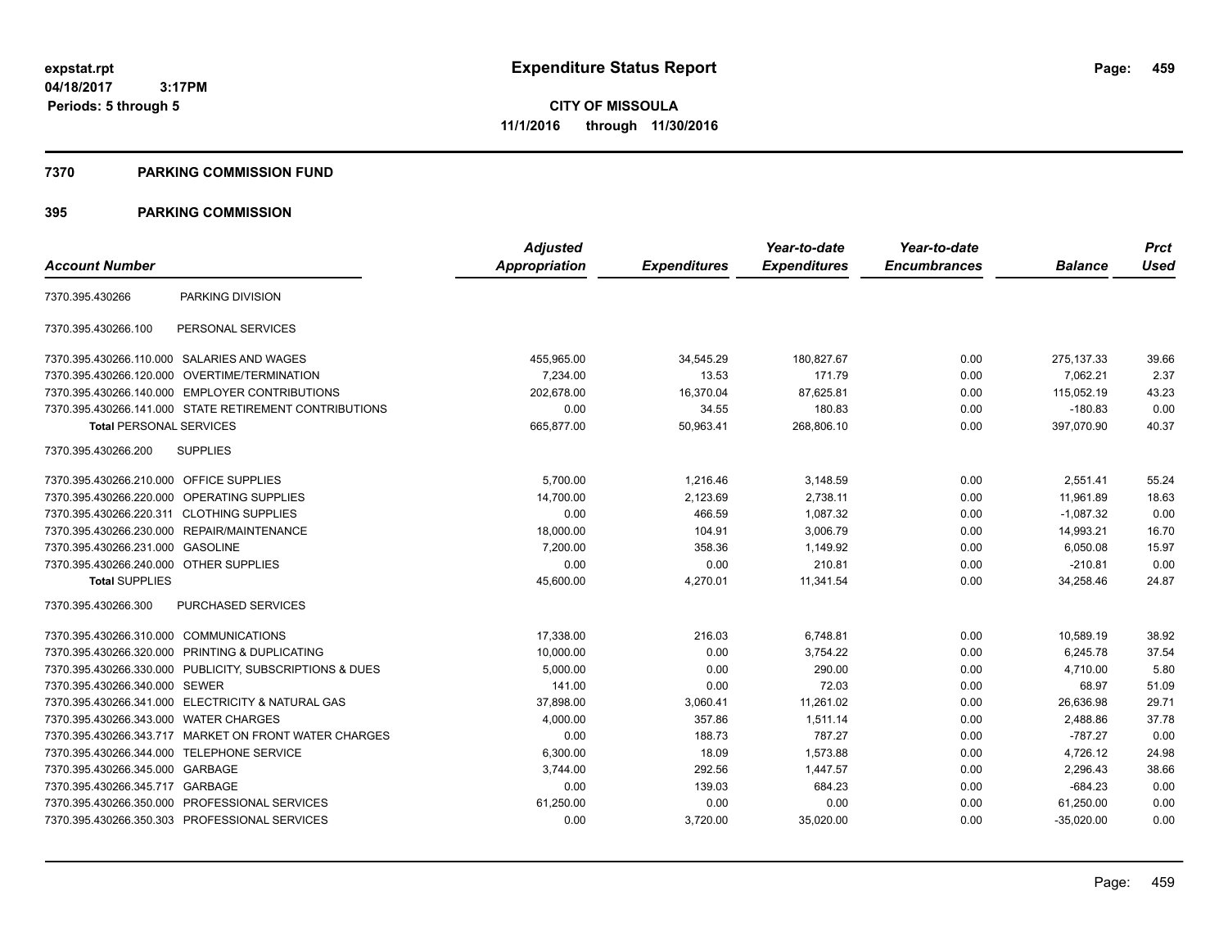**CITY OF MISSOULA 11/1/2016 through 11/30/2016**

#### **7370 PARKING COMMISSION FUND**

|                                           |                                                         | <b>Adjusted</b>      |                     | Year-to-date        | Year-to-date        |                | <b>Prct</b> |
|-------------------------------------------|---------------------------------------------------------|----------------------|---------------------|---------------------|---------------------|----------------|-------------|
| <b>Account Number</b>                     |                                                         | <b>Appropriation</b> | <b>Expenditures</b> | <b>Expenditures</b> | <b>Encumbrances</b> | <b>Balance</b> | <b>Used</b> |
| 7370.395.430266                           | PARKING DIVISION                                        |                      |                     |                     |                     |                |             |
| 7370.395.430266.100                       | PERSONAL SERVICES                                       |                      |                     |                     |                     |                |             |
|                                           | 7370.395.430266.110.000 SALARIES AND WAGES              | 455,965.00           | 34,545.29           | 180,827.67          | 0.00                | 275, 137.33    | 39.66       |
|                                           | 7370.395.430266.120.000 OVERTIME/TERMINATION            | 7,234.00             | 13.53               | 171.79              | 0.00                | 7.062.21       | 2.37        |
|                                           | 7370.395.430266.140.000 EMPLOYER CONTRIBUTIONS          | 202.678.00           | 16,370.04           | 87,625.81           | 0.00                | 115.052.19     | 43.23       |
|                                           | 7370.395.430266.141.000 STATE RETIREMENT CONTRIBUTIONS  | 0.00                 | 34.55               | 180.83              | 0.00                | $-180.83$      | 0.00        |
| <b>Total PERSONAL SERVICES</b>            |                                                         | 665,877.00           | 50,963.41           | 268,806.10          | 0.00                | 397,070.90     | 40.37       |
| 7370.395.430266.200                       | <b>SUPPLIES</b>                                         |                      |                     |                     |                     |                |             |
| 7370.395.430266.210.000 OFFICE SUPPLIES   |                                                         | 5,700.00             | 1,216.46            | 3,148.59            | 0.00                | 2,551.41       | 55.24       |
|                                           | 7370.395.430266.220.000 OPERATING SUPPLIES              | 14,700.00            | 2,123.69            | 2,738.11            | 0.00                | 11.961.89      | 18.63       |
| 7370.395.430266.220.311 CLOTHING SUPPLIES |                                                         | 0.00                 | 466.59              | 1,087.32            | 0.00                | $-1,087.32$    | 0.00        |
|                                           | 7370.395.430266.230.000 REPAIR/MAINTENANCE              | 18,000.00            | 104.91              | 3,006.79            | 0.00                | 14,993.21      | 16.70       |
| 7370.395.430266.231.000 GASOLINE          |                                                         | 7,200.00             | 358.36              | 1,149.92            | 0.00                | 6,050.08       | 15.97       |
| 7370.395.430266.240.000 OTHER SUPPLIES    |                                                         | 0.00                 | 0.00                | 210.81              | 0.00                | $-210.81$      | 0.00        |
| <b>Total SUPPLIES</b>                     |                                                         | 45,600.00            | 4,270.01            | 11,341.54           | 0.00                | 34,258.46      | 24.87       |
| 7370.395.430266.300                       | PURCHASED SERVICES                                      |                      |                     |                     |                     |                |             |
| 7370.395.430266.310.000 COMMUNICATIONS    |                                                         | 17,338.00            | 216.03              | 6,748.81            | 0.00                | 10,589.19      | 38.92       |
|                                           | 7370.395.430266.320.000 PRINTING & DUPLICATING          | 10,000.00            | 0.00                | 3,754.22            | 0.00                | 6,245.78       | 37.54       |
|                                           | 7370.395.430266.330.000 PUBLICITY, SUBSCRIPTIONS & DUES | 5,000.00             | 0.00                | 290.00              | 0.00                | 4,710.00       | 5.80        |
| 7370.395.430266.340.000                   | <b>SEWER</b>                                            | 141.00               | 0.00                | 72.03               | 0.00                | 68.97          | 51.09       |
|                                           | 7370.395.430266.341.000 ELECTRICITY & NATURAL GAS       | 37,898.00            | 3,060.41            | 11,261.02           | 0.00                | 26,636.98      | 29.71       |
| 7370.395.430266.343.000                   | <b>WATER CHARGES</b>                                    | 4,000.00             | 357.86              | 1,511.14            | 0.00                | 2,488.86       | 37.78       |
|                                           | 7370.395.430266.343.717 MARKET ON FRONT WATER CHARGES   | 0.00                 | 188.73              | 787.27              | 0.00                | $-787.27$      | 0.00        |
| 7370.395.430266.344.000 TELEPHONE SERVICE |                                                         | 6,300.00             | 18.09               | 1,573.88            | 0.00                | 4,726.12       | 24.98       |
| 7370.395.430266.345.000 GARBAGE           |                                                         | 3,744.00             | 292.56              | 1,447.57            | 0.00                | 2,296.43       | 38.66       |
| 7370.395.430266.345.717 GARBAGE           |                                                         | 0.00                 | 139.03              | 684.23              | 0.00                | $-684.23$      | 0.00        |
|                                           | 7370.395.430266.350.000 PROFESSIONAL SERVICES           | 61.250.00            | 0.00                | 0.00                | 0.00                | 61,250.00      | 0.00        |
|                                           | 7370.395.430266.350.303 PROFESSIONAL SERVICES           | 0.00                 | 3,720.00            | 35,020.00           | 0.00                | $-35,020.00$   | 0.00        |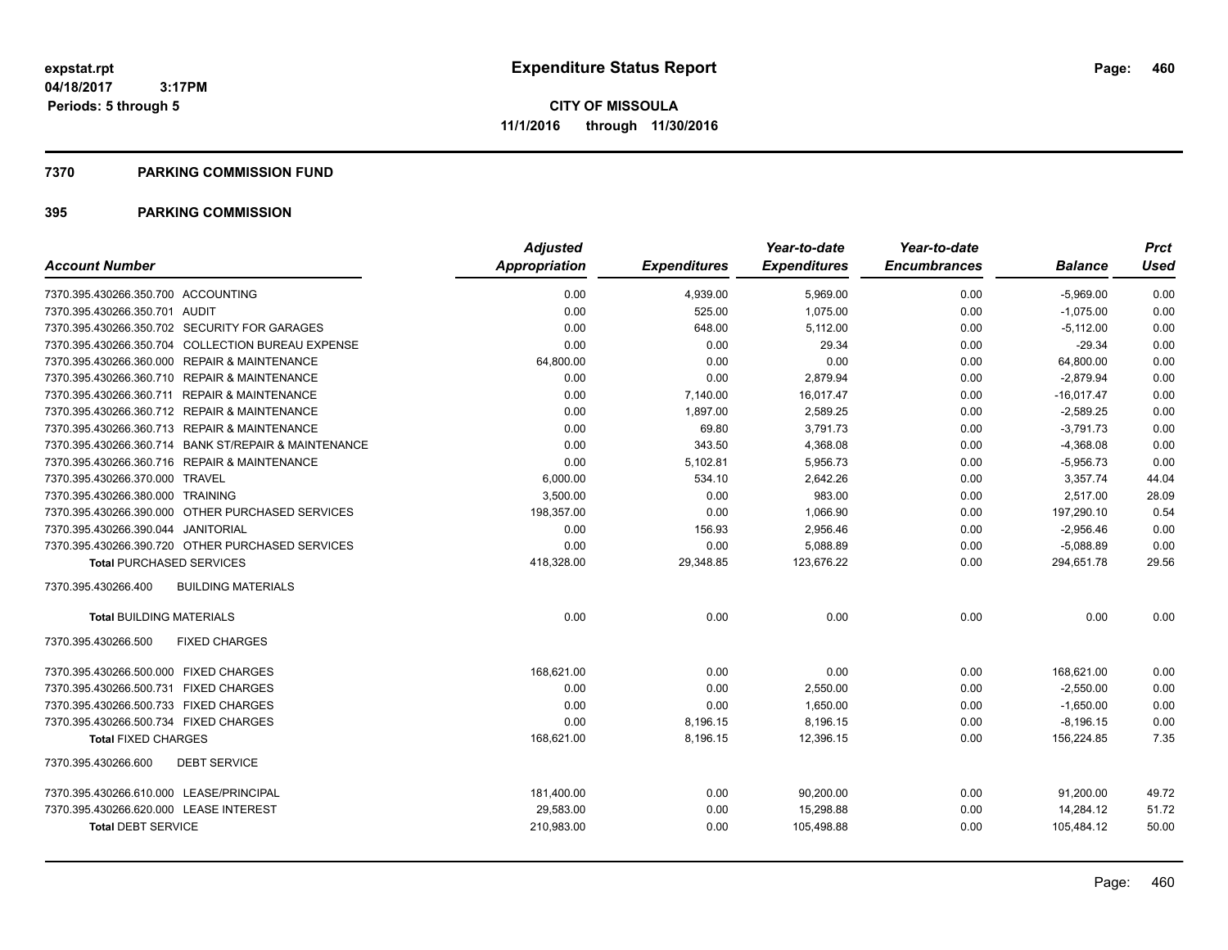#### **7370 PARKING COMMISSION FUND**

|                                                      | <b>Adjusted</b>      |                     | Year-to-date        | Year-to-date        |                | <b>Prct</b> |
|------------------------------------------------------|----------------------|---------------------|---------------------|---------------------|----------------|-------------|
| <b>Account Number</b>                                | <b>Appropriation</b> | <b>Expenditures</b> | <b>Expenditures</b> | <b>Encumbrances</b> | <b>Balance</b> | Used        |
| 7370.395.430266.350.700 ACCOUNTING                   | 0.00                 | 4,939.00            | 5,969.00            | 0.00                | $-5,969.00$    | 0.00        |
| 7370.395.430266.350.701 AUDIT                        | 0.00                 | 525.00              | 1,075.00            | 0.00                | $-1,075.00$    | 0.00        |
| 7370.395.430266.350.702 SECURITY FOR GARAGES         | 0.00                 | 648.00              | 5,112.00            | 0.00                | $-5,112.00$    | 0.00        |
| 7370.395.430266.350.704 COLLECTION BUREAU EXPENSE    | 0.00                 | 0.00                | 29.34               | 0.00                | $-29.34$       | 0.00        |
| 7370.395.430266.360.000 REPAIR & MAINTENANCE         | 64,800.00            | 0.00                | 0.00                | 0.00                | 64,800.00      | 0.00        |
| 7370.395.430266.360.710 REPAIR & MAINTENANCE         | 0.00                 | 0.00                | 2,879.94            | 0.00                | $-2,879.94$    | 0.00        |
| 7370.395.430266.360.711 REPAIR & MAINTENANCE         | 0.00                 | 7,140.00            | 16,017.47           | 0.00                | $-16,017.47$   | 0.00        |
| 7370.395.430266.360.712 REPAIR & MAINTENANCE         | 0.00                 | 1,897.00            | 2,589.25            | 0.00                | $-2,589.25$    | 0.00        |
| 7370.395.430266.360.713 REPAIR & MAINTENANCE         | 0.00                 | 69.80               | 3,791.73            | 0.00                | $-3,791.73$    | 0.00        |
| 7370.395.430266.360.714 BANK ST/REPAIR & MAINTENANCE | 0.00                 | 343.50              | 4,368.08            | 0.00                | $-4,368.08$    | 0.00        |
| 7370.395.430266.360.716 REPAIR & MAINTENANCE         | 0.00                 | 5,102.81            | 5,956.73            | 0.00                | $-5,956.73$    | 0.00        |
| 7370.395.430266.370.000 TRAVEL                       | 6,000.00             | 534.10              | 2,642.26            | 0.00                | 3,357.74       | 44.04       |
| 7370.395.430266.380.000 TRAINING                     | 3,500.00             | 0.00                | 983.00              | 0.00                | 2,517.00       | 28.09       |
| 7370.395.430266.390.000 OTHER PURCHASED SERVICES     | 198,357.00           | 0.00                | 1.066.90            | 0.00                | 197.290.10     | 0.54        |
| 7370.395.430266.390.044 JANITORIAL                   | 0.00                 | 156.93              | 2,956.46            | 0.00                | $-2,956.46$    | 0.00        |
| 7370.395.430266.390.720 OTHER PURCHASED SERVICES     | 0.00                 | 0.00                | 5,088.89            | 0.00                | $-5,088.89$    | 0.00        |
| <b>Total PURCHASED SERVICES</b>                      | 418,328.00           | 29,348.85           | 123,676.22          | 0.00                | 294,651.78     | 29.56       |
| <b>BUILDING MATERIALS</b><br>7370.395.430266.400     |                      |                     |                     |                     |                |             |
| <b>Total BUILDING MATERIALS</b>                      | 0.00                 | 0.00                | 0.00                | 0.00                | 0.00           | 0.00        |
| 7370.395.430266.500<br><b>FIXED CHARGES</b>          |                      |                     |                     |                     |                |             |
| 7370.395.430266.500.000 FIXED CHARGES                | 168,621.00           | 0.00                | 0.00                | 0.00                | 168,621.00     | 0.00        |
| 7370.395.430266.500.731 FIXED CHARGES                | 0.00                 | 0.00                | 2,550.00            | 0.00                | $-2,550.00$    | 0.00        |
| 7370.395.430266.500.733 FIXED CHARGES                | 0.00                 | 0.00                | 1.650.00            | 0.00                | $-1,650.00$    | 0.00        |
| 7370.395.430266.500.734 FIXED CHARGES                | 0.00                 | 8,196.15            | 8,196.15            | 0.00                | $-8,196.15$    | 0.00        |
| <b>Total FIXED CHARGES</b>                           | 168,621.00           | 8,196.15            | 12,396.15           | 0.00                | 156,224.85     | 7.35        |
| 7370.395.430266.600<br><b>DEBT SERVICE</b>           |                      |                     |                     |                     |                |             |
| 7370.395.430266.610.000 LEASE/PRINCIPAL              | 181,400.00           | 0.00                | 90,200.00           | 0.00                | 91,200.00      | 49.72       |
| 7370.395.430266.620.000 LEASE INTEREST               | 29,583.00            | 0.00                | 15,298.88           | 0.00                | 14,284.12      | 51.72       |
| <b>Total DEBT SERVICE</b>                            | 210,983.00           | 0.00                | 105,498.88          | 0.00                | 105,484.12     | 50.00       |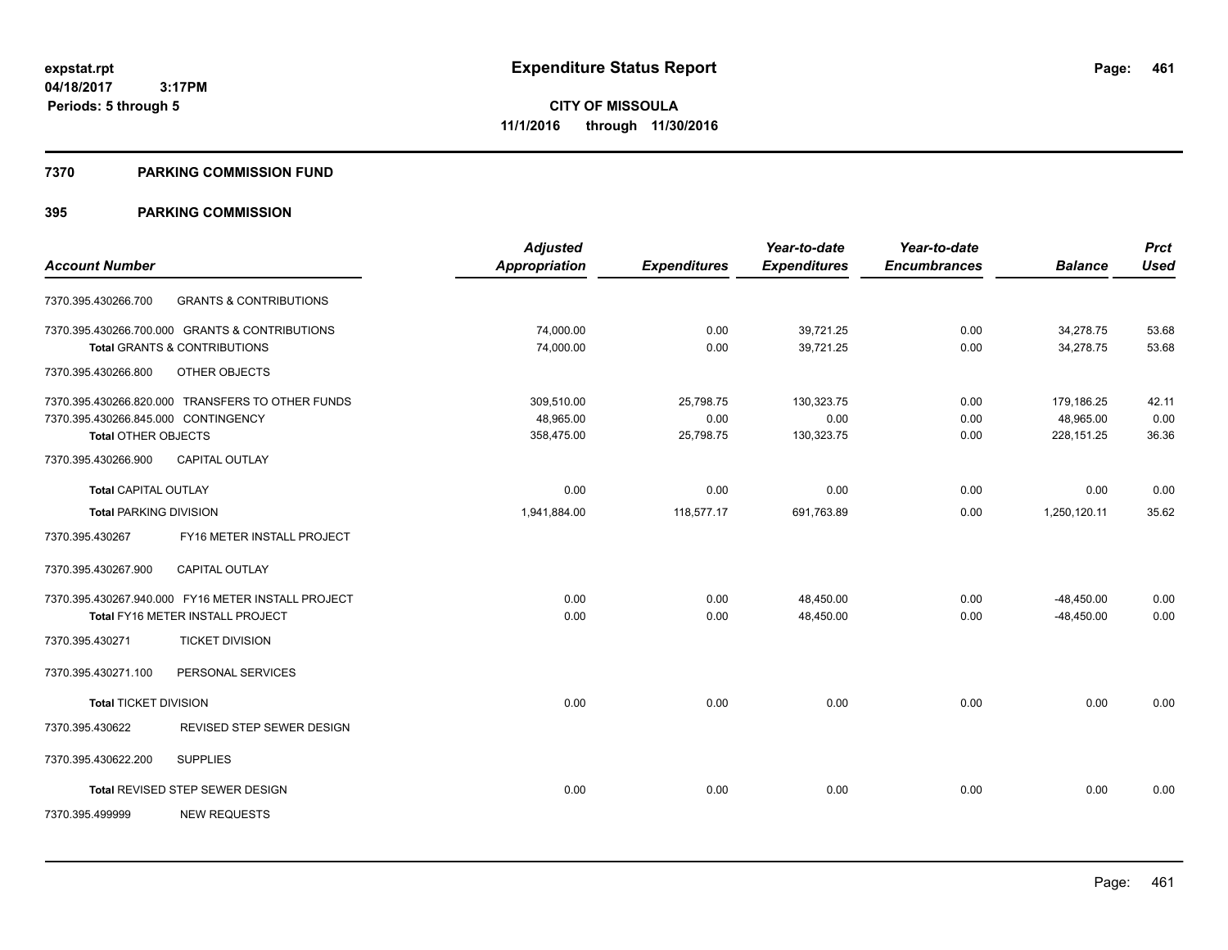#### **7370 PARKING COMMISSION FUND**

|                                     |                                                    | <b>Adjusted</b>      |                     | Year-to-date        | Year-to-date        |                | <b>Prct</b> |
|-------------------------------------|----------------------------------------------------|----------------------|---------------------|---------------------|---------------------|----------------|-------------|
| <b>Account Number</b>               |                                                    | <b>Appropriation</b> | <b>Expenditures</b> | <b>Expenditures</b> | <b>Encumbrances</b> | <b>Balance</b> | <b>Used</b> |
| 7370.395.430266.700                 | <b>GRANTS &amp; CONTRIBUTIONS</b>                  |                      |                     |                     |                     |                |             |
|                                     | 7370.395.430266.700.000 GRANTS & CONTRIBUTIONS     | 74,000.00            | 0.00                | 39,721.25           | 0.00                | 34,278.75      | 53.68       |
|                                     | <b>Total GRANTS &amp; CONTRIBUTIONS</b>            | 74,000.00            | 0.00                | 39,721.25           | 0.00                | 34,278.75      | 53.68       |
| 7370.395.430266.800                 | OTHER OBJECTS                                      |                      |                     |                     |                     |                |             |
|                                     | 7370.395.430266.820.000 TRANSFERS TO OTHER FUNDS   | 309.510.00           | 25,798.75           | 130,323.75          | 0.00                | 179,186.25     | 42.11       |
| 7370.395.430266.845.000 CONTINGENCY |                                                    | 48,965.00            | 0.00                | 0.00                | 0.00                | 48,965.00      | 0.00        |
| <b>Total OTHER OBJECTS</b>          |                                                    | 358,475.00           | 25,798.75           | 130,323.75          | 0.00                | 228, 151. 25   | 36.36       |
| 7370.395.430266.900                 | <b>CAPITAL OUTLAY</b>                              |                      |                     |                     |                     |                |             |
| <b>Total CAPITAL OUTLAY</b>         |                                                    | 0.00                 | 0.00                | 0.00                | 0.00                | 0.00           | 0.00        |
| <b>Total PARKING DIVISION</b>       |                                                    | 1,941,884.00         | 118,577.17          | 691,763.89          | 0.00                | 1,250,120.11   | 35.62       |
| 7370.395.430267                     | FY16 METER INSTALL PROJECT                         |                      |                     |                     |                     |                |             |
| 7370.395.430267.900                 | <b>CAPITAL OUTLAY</b>                              |                      |                     |                     |                     |                |             |
|                                     | 7370.395.430267.940.000 FY16 METER INSTALL PROJECT | 0.00                 | 0.00                | 48,450.00           | 0.00                | $-48,450.00$   | 0.00        |
|                                     | Total FY16 METER INSTALL PROJECT                   | 0.00                 | 0.00                | 48,450.00           | 0.00                | $-48.450.00$   | 0.00        |
| 7370.395.430271                     | <b>TICKET DIVISION</b>                             |                      |                     |                     |                     |                |             |
| 7370.395.430271.100                 | PERSONAL SERVICES                                  |                      |                     |                     |                     |                |             |
| <b>Total TICKET DIVISION</b>        |                                                    | 0.00                 | 0.00                | 0.00                | 0.00                | 0.00           | 0.00        |
| 7370.395.430622                     | REVISED STEP SEWER DESIGN                          |                      |                     |                     |                     |                |             |
| 7370.395.430622.200                 | <b>SUPPLIES</b>                                    |                      |                     |                     |                     |                |             |
|                                     | Total REVISED STEP SEWER DESIGN                    | 0.00                 | 0.00                | 0.00                | 0.00                | 0.00           | 0.00        |
| 7370.395.499999                     | <b>NEW REQUESTS</b>                                |                      |                     |                     |                     |                |             |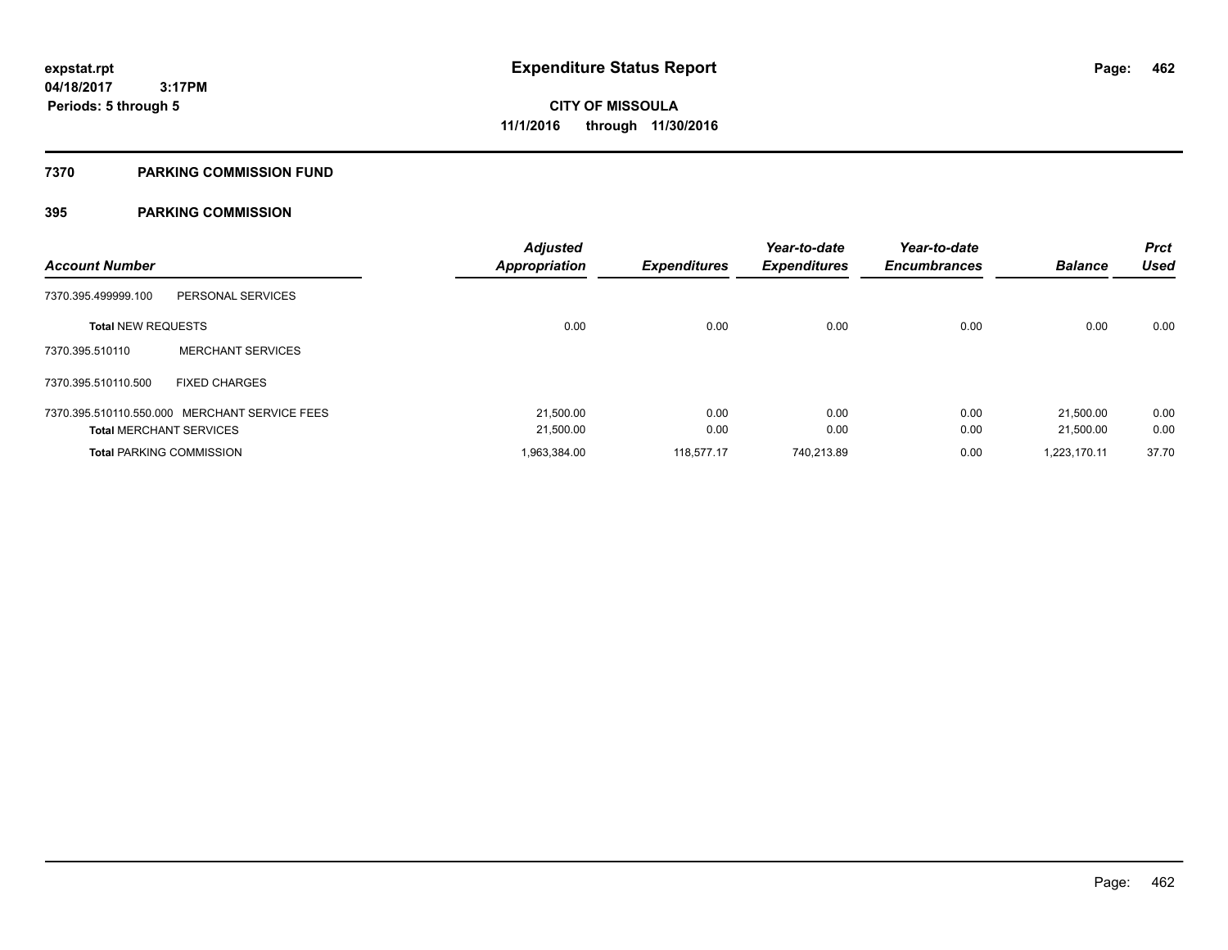#### **7370 PARKING COMMISSION FUND**

| <b>Account Number</b>           |                                               | <b>Adjusted</b><br><b>Appropriation</b> | <b>Expenditures</b> | Year-to-date<br><b>Expenditures</b> | Year-to-date<br><b>Encumbrances</b> | <b>Balance</b> | <b>Prct</b><br>Used |
|---------------------------------|-----------------------------------------------|-----------------------------------------|---------------------|-------------------------------------|-------------------------------------|----------------|---------------------|
| 7370.395.499999.100             | PERSONAL SERVICES                             |                                         |                     |                                     |                                     |                |                     |
| <b>Total NEW REQUESTS</b>       |                                               | 0.00                                    | 0.00                | 0.00                                | 0.00                                | 0.00           | 0.00                |
| 7370.395.510110                 | <b>MERCHANT SERVICES</b>                      |                                         |                     |                                     |                                     |                |                     |
| 7370.395.510110.500             | <b>FIXED CHARGES</b>                          |                                         |                     |                                     |                                     |                |                     |
|                                 | 7370.395.510110.550.000 MERCHANT SERVICE FEES | 21,500.00                               | 0.00                | 0.00                                | 0.00                                | 21.500.00      | 0.00                |
| <b>Total MERCHANT SERVICES</b>  |                                               | 21,500.00                               | 0.00                | 0.00                                | 0.00                                | 21.500.00      | 0.00                |
| <b>Total PARKING COMMISSION</b> |                                               | 1,963,384.00                            | 118.577.17          | 740.213.89                          | 0.00                                | 1.223.170.11   | 37.70               |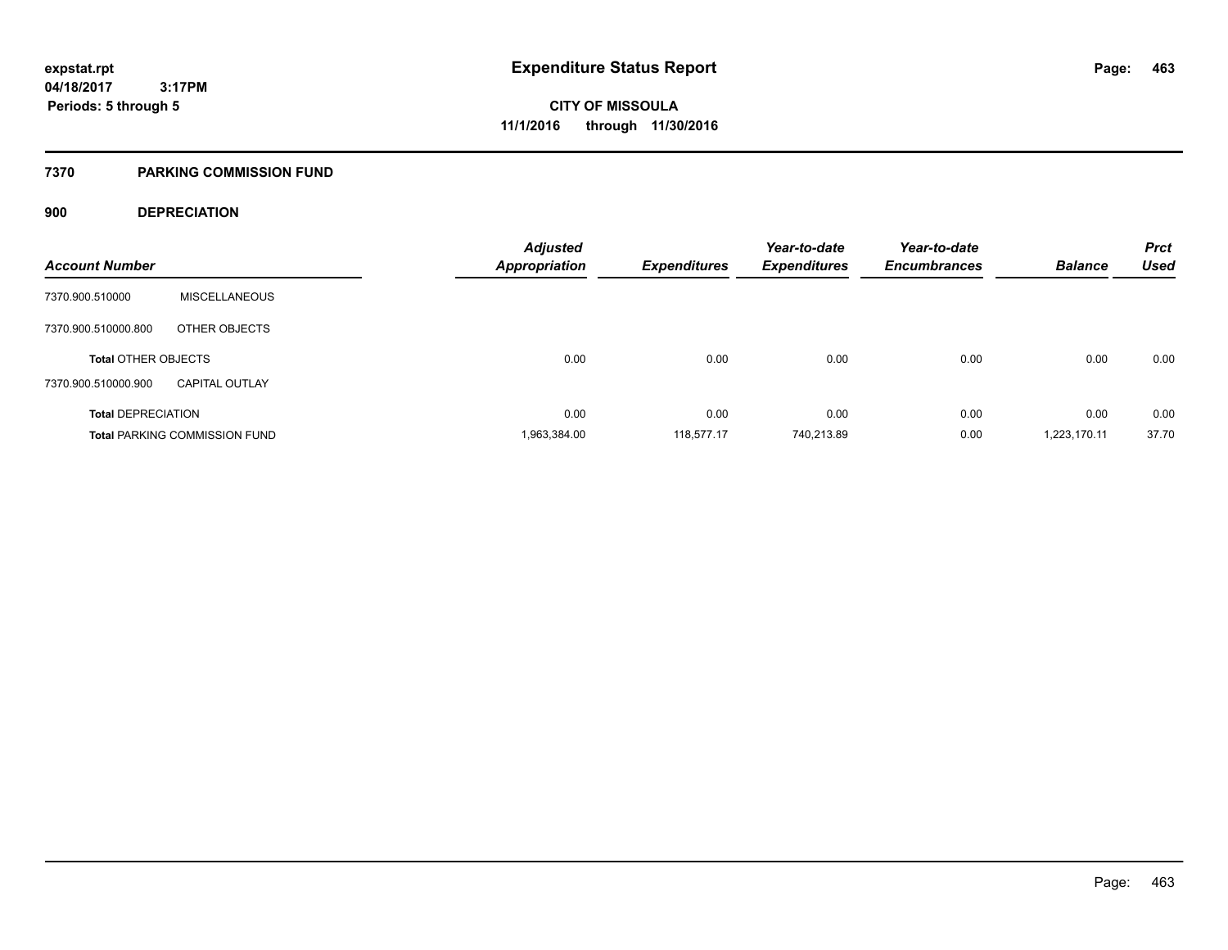#### **7370 PARKING COMMISSION FUND**

### **900 DEPRECIATION**

| <b>Account Number</b>      |                                      | <b>Adjusted</b><br><b>Appropriation</b> | <b>Expenditures</b> | Year-to-date<br><b>Expenditures</b> | Year-to-date<br><b>Encumbrances</b> | <b>Balance</b> | <b>Prct</b><br><b>Used</b> |
|----------------------------|--------------------------------------|-----------------------------------------|---------------------|-------------------------------------|-------------------------------------|----------------|----------------------------|
| 7370.900.510000            | <b>MISCELLANEOUS</b>                 |                                         |                     |                                     |                                     |                |                            |
|                            |                                      |                                         |                     |                                     |                                     |                |                            |
| 7370.900.510000.800        | OTHER OBJECTS                        |                                         |                     |                                     |                                     |                |                            |
| <b>Total OTHER OBJECTS</b> |                                      | 0.00                                    | 0.00                | 0.00                                | 0.00                                | 0.00           | 0.00                       |
| 7370.900.510000.900        | <b>CAPITAL OUTLAY</b>                |                                         |                     |                                     |                                     |                |                            |
| <b>Total DEPRECIATION</b>  |                                      | 0.00                                    | 0.00                | 0.00                                | 0.00                                | 0.00           | 0.00                       |
|                            | <b>Total PARKING COMMISSION FUND</b> | 1,963,384.00                            | 118.577.17          | 740.213.89                          | 0.00                                | 1,223,170.11   | 37.70                      |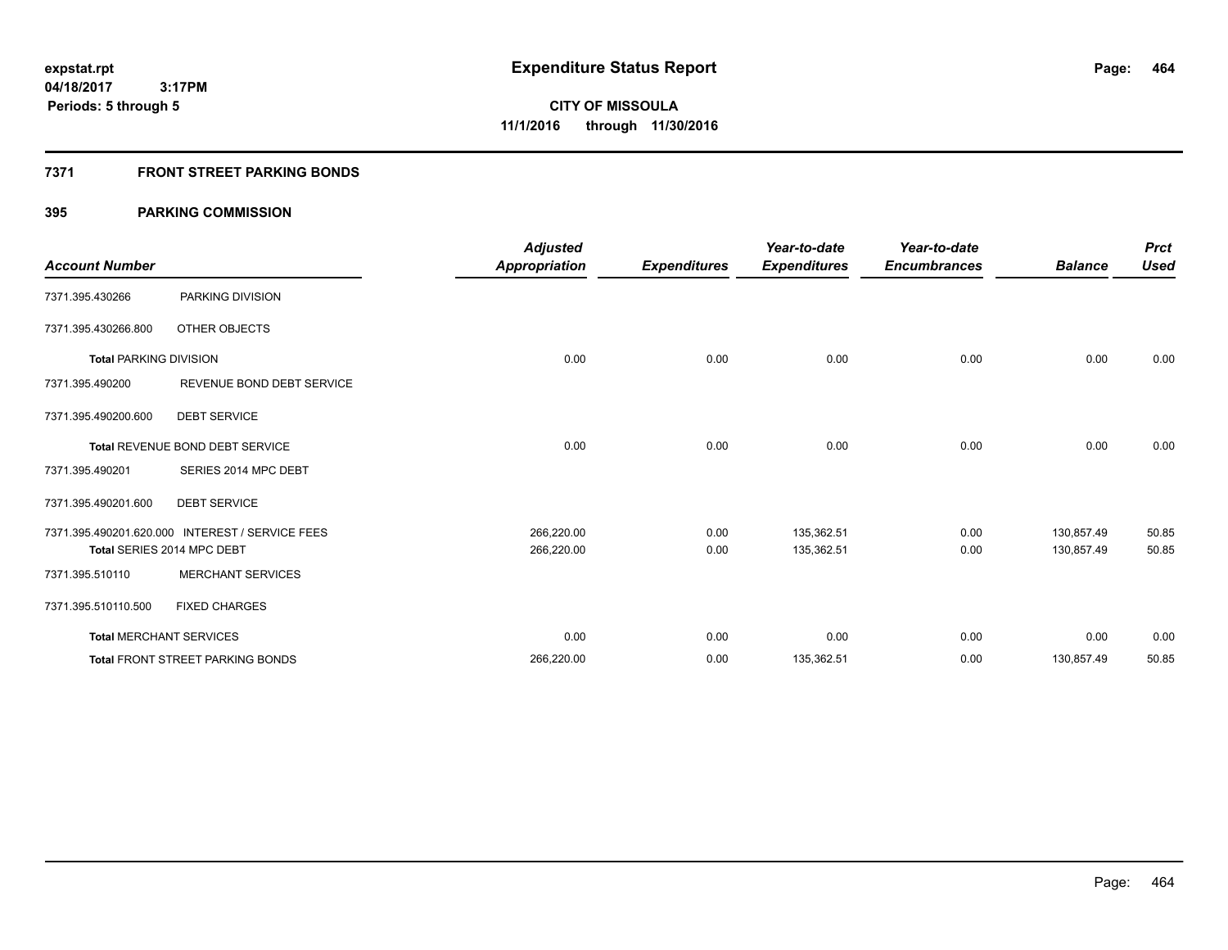### **7371 FRONT STREET PARKING BONDS**

| <b>Account Number</b>         |                                                 | <b>Adjusted</b><br>Appropriation | <b>Expenditures</b> | Year-to-date<br><b>Expenditures</b> | Year-to-date<br><b>Encumbrances</b> | <b>Balance</b> | <b>Prct</b><br><b>Used</b> |
|-------------------------------|-------------------------------------------------|----------------------------------|---------------------|-------------------------------------|-------------------------------------|----------------|----------------------------|
| 7371.395.430266               | PARKING DIVISION                                |                                  |                     |                                     |                                     |                |                            |
| 7371.395.430266.800           | OTHER OBJECTS                                   |                                  |                     |                                     |                                     |                |                            |
| <b>Total PARKING DIVISION</b> |                                                 | 0.00                             | 0.00                | 0.00                                | 0.00                                | 0.00           | 0.00                       |
| 7371.395.490200               | REVENUE BOND DEBT SERVICE                       |                                  |                     |                                     |                                     |                |                            |
| 7371.395.490200.600           | <b>DEBT SERVICE</b>                             |                                  |                     |                                     |                                     |                |                            |
|                               | <b>Total REVENUE BOND DEBT SERVICE</b>          | 0.00                             | 0.00                | 0.00                                | 0.00                                | 0.00           | 0.00                       |
| 7371.395.490201               | SERIES 2014 MPC DEBT                            |                                  |                     |                                     |                                     |                |                            |
| 7371.395.490201.600           | <b>DEBT SERVICE</b>                             |                                  |                     |                                     |                                     |                |                            |
|                               | 7371.395.490201.620.000 INTEREST / SERVICE FEES | 266,220.00                       | 0.00                | 135,362.51                          | 0.00                                | 130.857.49     | 50.85                      |
|                               | Total SERIES 2014 MPC DEBT                      | 266,220.00                       | 0.00                | 135,362.51                          | 0.00                                | 130.857.49     | 50.85                      |
| 7371.395.510110               | <b>MERCHANT SERVICES</b>                        |                                  |                     |                                     |                                     |                |                            |
| 7371.395.510110.500           | <b>FIXED CHARGES</b>                            |                                  |                     |                                     |                                     |                |                            |
|                               | <b>Total MERCHANT SERVICES</b>                  | 0.00                             | 0.00                | 0.00                                | 0.00                                | 0.00           | 0.00                       |
|                               | <b>Total FRONT STREET PARKING BONDS</b>         | 266,220.00                       | 0.00                | 135,362.51                          | 0.00                                | 130,857.49     | 50.85                      |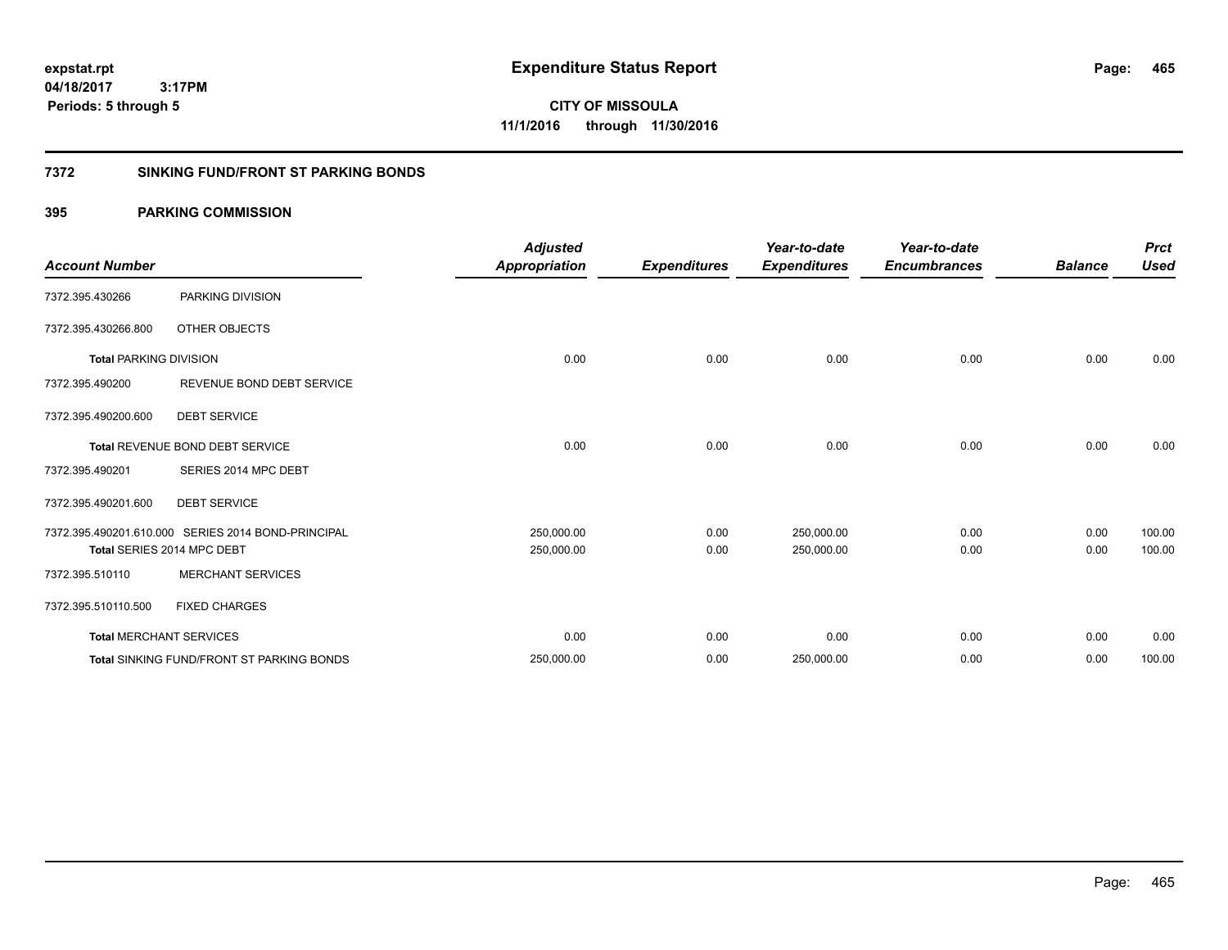**CITY OF MISSOULA 11/1/2016 through 11/30/2016**

### **7372 SINKING FUND/FRONT ST PARKING BONDS**

| <b>Account Number</b>         |                                                    | <b>Adjusted</b><br><b>Appropriation</b> | <b>Expenditures</b> | Year-to-date<br><b>Expenditures</b> | Year-to-date<br><b>Encumbrances</b> | <b>Balance</b> | <b>Prct</b><br><b>Used</b> |
|-------------------------------|----------------------------------------------------|-----------------------------------------|---------------------|-------------------------------------|-------------------------------------|----------------|----------------------------|
|                               |                                                    |                                         |                     |                                     |                                     |                |                            |
| 7372.395.430266               | PARKING DIVISION                                   |                                         |                     |                                     |                                     |                |                            |
| 7372.395.430266.800           | OTHER OBJECTS                                      |                                         |                     |                                     |                                     |                |                            |
| <b>Total PARKING DIVISION</b> |                                                    | 0.00                                    | 0.00                | 0.00                                | 0.00                                | 0.00           | 0.00                       |
| 7372.395.490200               | REVENUE BOND DEBT SERVICE                          |                                         |                     |                                     |                                     |                |                            |
| 7372.395.490200.600           | <b>DEBT SERVICE</b>                                |                                         |                     |                                     |                                     |                |                            |
|                               | Total REVENUE BOND DEBT SERVICE                    | 0.00                                    | 0.00                | 0.00                                | 0.00                                | 0.00           | 0.00                       |
| 7372.395.490201               | SERIES 2014 MPC DEBT                               |                                         |                     |                                     |                                     |                |                            |
| 7372.395.490201.600           | <b>DEBT SERVICE</b>                                |                                         |                     |                                     |                                     |                |                            |
|                               | 7372.395.490201.610.000 SERIES 2014 BOND-PRINCIPAL | 250,000.00                              | 0.00                | 250,000.00                          | 0.00                                | 0.00           | 100.00                     |
|                               | Total SERIES 2014 MPC DEBT                         | 250,000.00                              | 0.00                | 250,000.00                          | 0.00                                | 0.00           | 100.00                     |
| 7372.395.510110               | <b>MERCHANT SERVICES</b>                           |                                         |                     |                                     |                                     |                |                            |
| 7372.395.510110.500           | <b>FIXED CHARGES</b>                               |                                         |                     |                                     |                                     |                |                            |
|                               | <b>Total MERCHANT SERVICES</b>                     | 0.00                                    | 0.00                | 0.00                                | 0.00                                | 0.00           | 0.00                       |
|                               | <b>Total SINKING FUND/FRONT ST PARKING BONDS</b>   | 250,000.00                              | 0.00                | 250,000.00                          | 0.00                                | 0.00           | 100.00                     |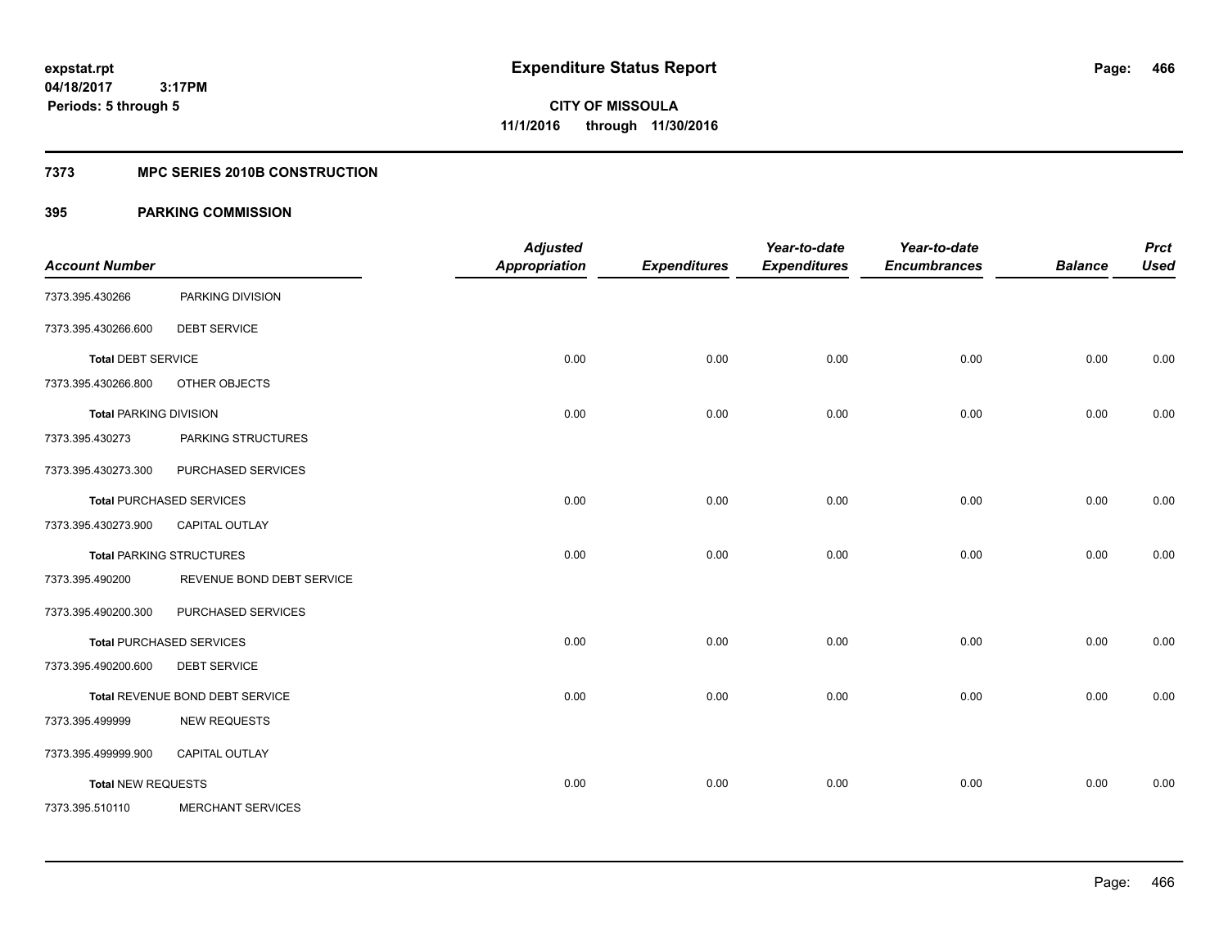**Periods: 5 through 5**

**CITY OF MISSOULA 11/1/2016 through 11/30/2016**

### **7373 MPC SERIES 2010B CONSTRUCTION**

| <b>Account Number</b>         |                                 | <b>Adjusted</b><br><b>Appropriation</b> | <b>Expenditures</b> | Year-to-date<br><b>Expenditures</b> | Year-to-date<br><b>Encumbrances</b> | <b>Balance</b> | <b>Prct</b><br><b>Used</b> |
|-------------------------------|---------------------------------|-----------------------------------------|---------------------|-------------------------------------|-------------------------------------|----------------|----------------------------|
| 7373.395.430266               | PARKING DIVISION                |                                         |                     |                                     |                                     |                |                            |
| 7373.395.430266.600           | <b>DEBT SERVICE</b>             |                                         |                     |                                     |                                     |                |                            |
| <b>Total DEBT SERVICE</b>     |                                 | 0.00                                    | 0.00                | 0.00                                | 0.00                                | 0.00           | 0.00                       |
| 7373.395.430266.800           | OTHER OBJECTS                   |                                         |                     |                                     |                                     |                |                            |
| <b>Total PARKING DIVISION</b> |                                 | 0.00                                    | 0.00                | 0.00                                | 0.00                                | 0.00           | 0.00                       |
| 7373.395.430273               | PARKING STRUCTURES              |                                         |                     |                                     |                                     |                |                            |
| 7373.395.430273.300           | PURCHASED SERVICES              |                                         |                     |                                     |                                     |                |                            |
|                               | <b>Total PURCHASED SERVICES</b> | 0.00                                    | 0.00                | 0.00                                | 0.00                                | 0.00           | 0.00                       |
| 7373.395.430273.900           | <b>CAPITAL OUTLAY</b>           |                                         |                     |                                     |                                     |                |                            |
|                               | <b>Total PARKING STRUCTURES</b> | 0.00                                    | 0.00                | 0.00                                | 0.00                                | 0.00           | 0.00                       |
| 7373.395.490200               | REVENUE BOND DEBT SERVICE       |                                         |                     |                                     |                                     |                |                            |
| 7373.395.490200.300           | PURCHASED SERVICES              |                                         |                     |                                     |                                     |                |                            |
|                               | <b>Total PURCHASED SERVICES</b> | 0.00                                    | 0.00                | 0.00                                | 0.00                                | 0.00           | 0.00                       |
| 7373.395.490200.600           | <b>DEBT SERVICE</b>             |                                         |                     |                                     |                                     |                |                            |
|                               | Total REVENUE BOND DEBT SERVICE | 0.00                                    | 0.00                | 0.00                                | 0.00                                | 0.00           | 0.00                       |
| 7373.395.499999               | <b>NEW REQUESTS</b>             |                                         |                     |                                     |                                     |                |                            |
| 7373.395.499999.900           | <b>CAPITAL OUTLAY</b>           |                                         |                     |                                     |                                     |                |                            |
| <b>Total NEW REQUESTS</b>     |                                 | 0.00                                    | 0.00                | 0.00                                | 0.00                                | 0.00           | 0.00                       |
| 7373.395.510110               | MERCHANT SERVICES               |                                         |                     |                                     |                                     |                |                            |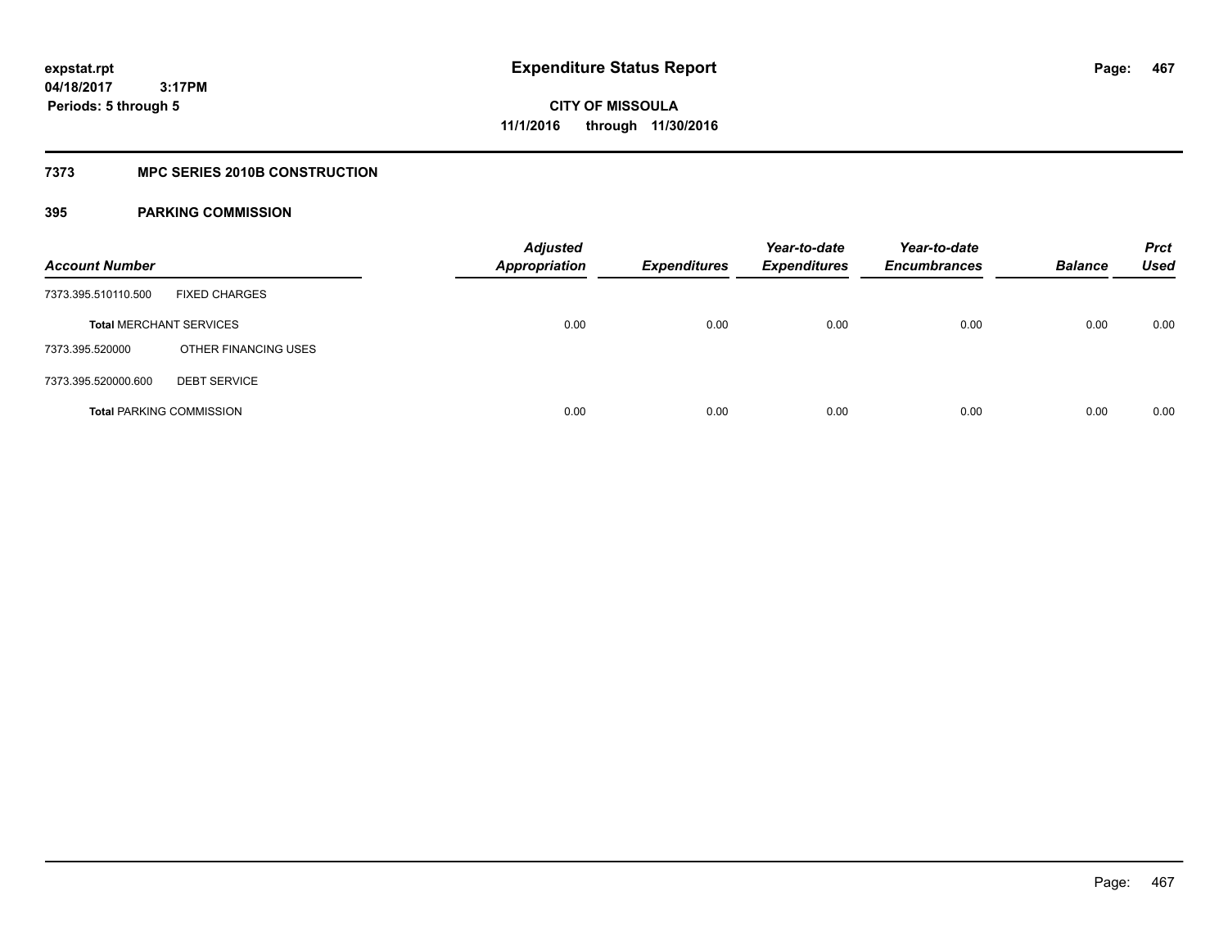### **7373 MPC SERIES 2010B CONSTRUCTION**

| <b>Account Number</b>           |                      | <b>Adjusted</b><br>Appropriation | <b>Expenditures</b> | Year-to-date<br><b>Expenditures</b> | Year-to-date<br><b>Encumbrances</b> | <b>Balance</b> | <b>Prct</b><br><b>Used</b> |
|---------------------------------|----------------------|----------------------------------|---------------------|-------------------------------------|-------------------------------------|----------------|----------------------------|
| 7373.395.510110.500             | <b>FIXED CHARGES</b> |                                  |                     |                                     |                                     |                |                            |
| <b>Total MERCHANT SERVICES</b>  |                      | 0.00                             | 0.00                | 0.00                                | 0.00                                | 0.00           | 0.00                       |
| 7373.395.520000                 | OTHER FINANCING USES |                                  |                     |                                     |                                     |                |                            |
| 7373.395.520000.600             | <b>DEBT SERVICE</b>  |                                  |                     |                                     |                                     |                |                            |
| <b>Total PARKING COMMISSION</b> |                      | 0.00                             | 0.00                | 0.00                                | 0.00                                | 0.00           | 0.00                       |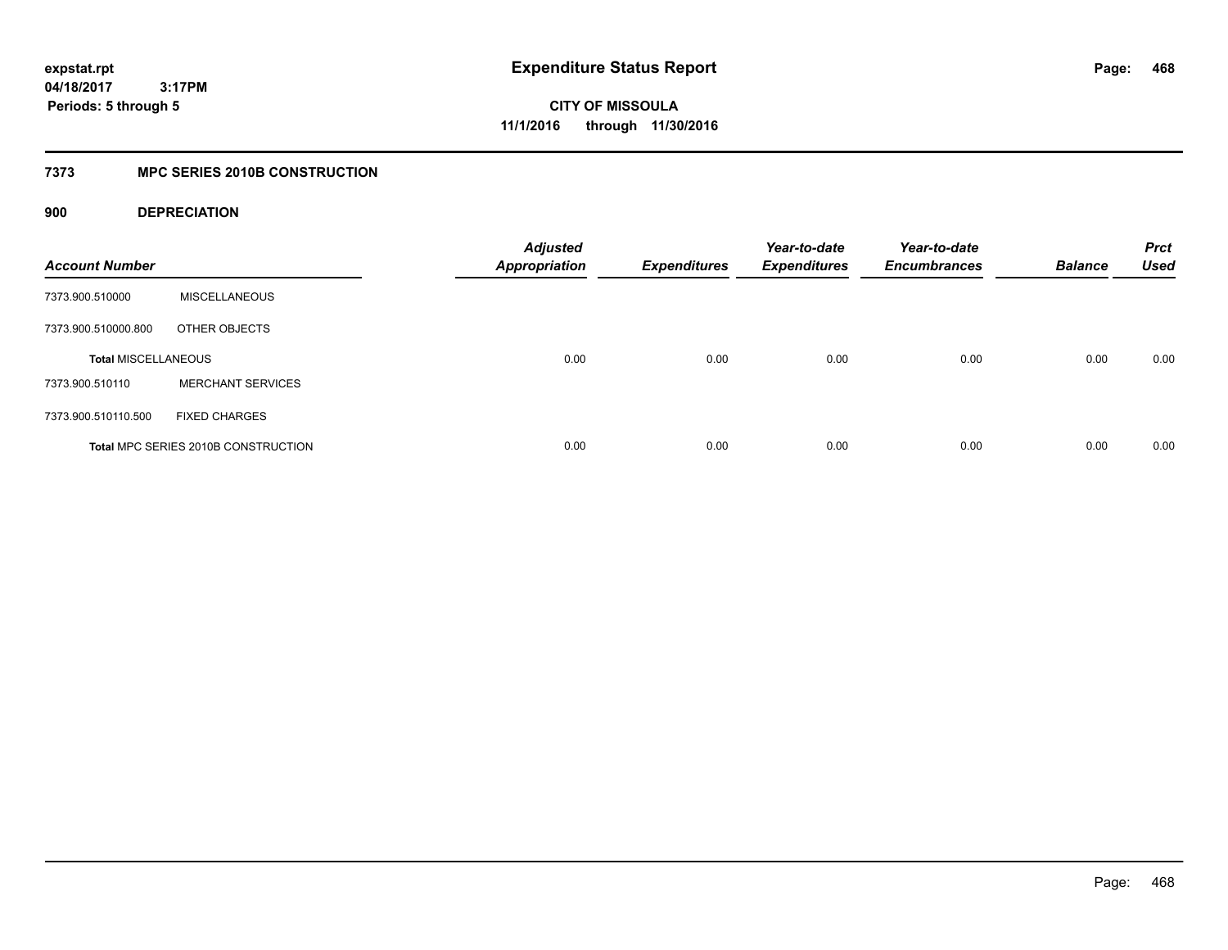**CITY OF MISSOULA 11/1/2016 through 11/30/2016**

### **7373 MPC SERIES 2010B CONSTRUCTION**

### **900 DEPRECIATION**

| <b>Account Number</b>      |                                     | <b>Adjusted</b><br><b>Appropriation</b> | <b>Expenditures</b> | Year-to-date<br><b>Expenditures</b> | Year-to-date<br><b>Encumbrances</b> | <b>Balance</b> | <b>Prct</b><br><b>Used</b> |
|----------------------------|-------------------------------------|-----------------------------------------|---------------------|-------------------------------------|-------------------------------------|----------------|----------------------------|
| 7373.900.510000            | <b>MISCELLANEOUS</b>                |                                         |                     |                                     |                                     |                |                            |
| 7373.900.510000.800        | OTHER OBJECTS                       |                                         |                     |                                     |                                     |                |                            |
| <b>Total MISCELLANEOUS</b> |                                     | 0.00                                    | 0.00                | 0.00                                | 0.00                                | 0.00           | 0.00                       |
| 7373.900.510110            | <b>MERCHANT SERVICES</b>            |                                         |                     |                                     |                                     |                |                            |
| 7373.900.510110.500        | <b>FIXED CHARGES</b>                |                                         |                     |                                     |                                     |                |                            |
|                            | Total MPC SERIES 2010B CONSTRUCTION | 0.00                                    | 0.00                | 0.00                                | 0.00                                | 0.00           | 0.00                       |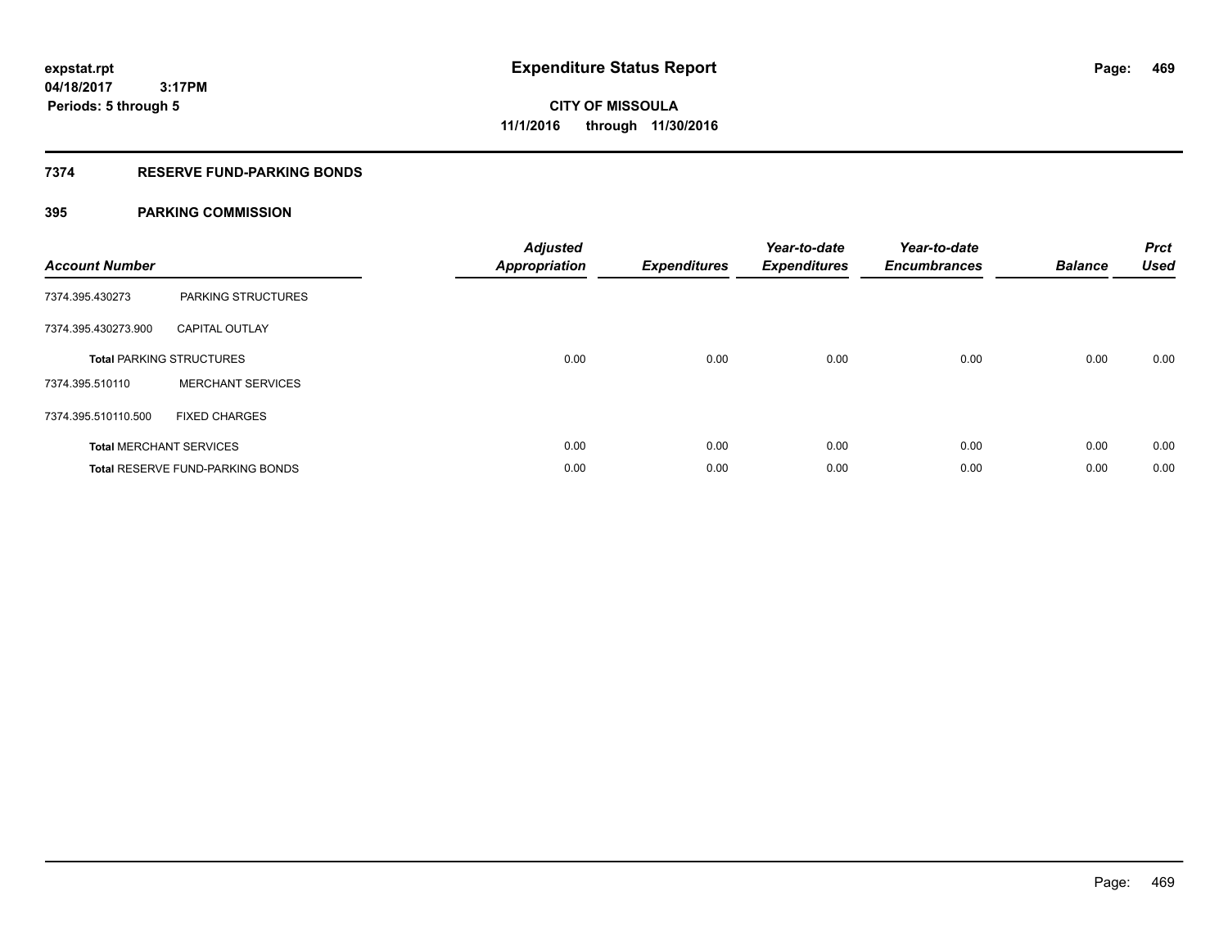## **7374 RESERVE FUND-PARKING BONDS**

| <b>Account Number</b> |                                  | <b>Adjusted</b><br>Appropriation | <b>Expenditures</b> | Year-to-date<br><b>Expenditures</b> | Year-to-date<br><b>Encumbrances</b> | <b>Balance</b> | <b>Prct</b><br><b>Used</b> |
|-----------------------|----------------------------------|----------------------------------|---------------------|-------------------------------------|-------------------------------------|----------------|----------------------------|
| 7374.395.430273       | PARKING STRUCTURES               |                                  |                     |                                     |                                     |                |                            |
| 7374.395.430273.900   | <b>CAPITAL OUTLAY</b>            |                                  |                     |                                     |                                     |                |                            |
|                       | <b>Total PARKING STRUCTURES</b>  | 0.00                             | 0.00                | 0.00                                | 0.00                                | 0.00           | 0.00                       |
| 7374.395.510110       | <b>MERCHANT SERVICES</b>         |                                  |                     |                                     |                                     |                |                            |
| 7374.395.510110.500   | <b>FIXED CHARGES</b>             |                                  |                     |                                     |                                     |                |                            |
|                       | <b>Total MERCHANT SERVICES</b>   | 0.00                             | 0.00                | 0.00                                | 0.00                                | 0.00           | 0.00                       |
|                       | Total RESERVE FUND-PARKING BONDS | 0.00                             | 0.00                | 0.00                                | 0.00                                | 0.00           | 0.00                       |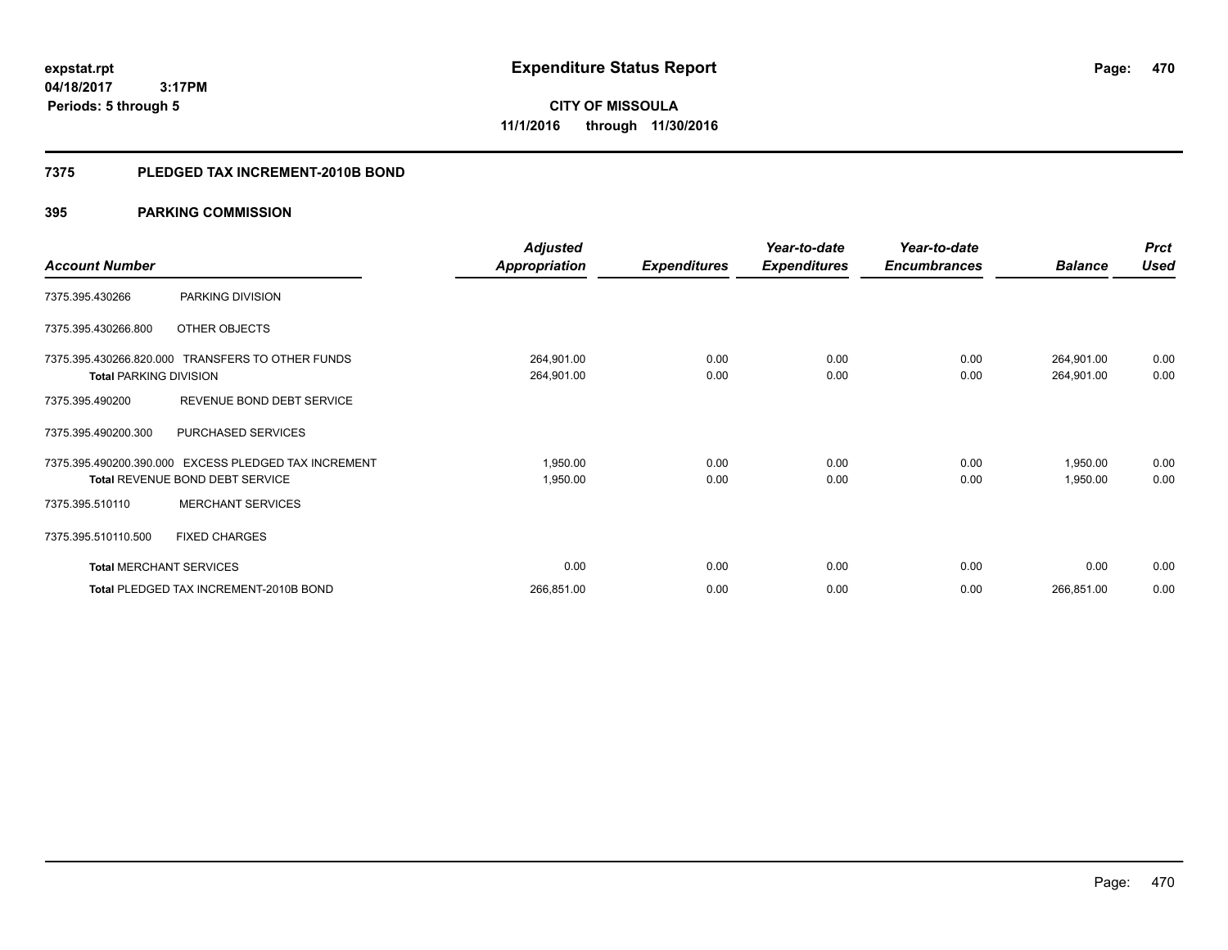**470**

**04/18/2017 3:17PM Periods: 5 through 5**

**CITY OF MISSOULA 11/1/2016 through 11/30/2016**

### **7375 PLEDGED TAX INCREMENT-2010B BOND**

|                                |                                                  | <b>Adjusted</b>      |                     | Year-to-date        | Year-to-date        |                | <b>Prct</b> |
|--------------------------------|--------------------------------------------------|----------------------|---------------------|---------------------|---------------------|----------------|-------------|
| <b>Account Number</b>          |                                                  | <b>Appropriation</b> | <b>Expenditures</b> | <b>Expenditures</b> | <b>Encumbrances</b> | <b>Balance</b> | <b>Used</b> |
| 7375.395.430266                | PARKING DIVISION                                 |                      |                     |                     |                     |                |             |
| 7375.395.430266.800            | OTHER OBJECTS                                    |                      |                     |                     |                     |                |             |
|                                | 7375.395.430266.820.000 TRANSFERS TO OTHER FUNDS | 264,901.00           | 0.00                | 0.00                | 0.00                | 264,901.00     | 0.00        |
| <b>Total PARKING DIVISION</b>  |                                                  | 264,901.00           | 0.00                | 0.00                | 0.00                | 264,901.00     | 0.00        |
| 7375.395.490200                | REVENUE BOND DEBT SERVICE                        |                      |                     |                     |                     |                |             |
| 7375.395.490200.300            | PURCHASED SERVICES                               |                      |                     |                     |                     |                |             |
| 7375.395.490200.390.000        | EXCESS PLEDGED TAX INCREMENT                     | 1,950.00             | 0.00                | 0.00                | 0.00                | 1,950.00       | 0.00        |
|                                | <b>Total REVENUE BOND DEBT SERVICE</b>           | 1,950.00             | 0.00                | 0.00                | 0.00                | 1,950.00       | 0.00        |
| 7375.395.510110                | <b>MERCHANT SERVICES</b>                         |                      |                     |                     |                     |                |             |
| 7375.395.510110.500            | <b>FIXED CHARGES</b>                             |                      |                     |                     |                     |                |             |
| <b>Total MERCHANT SERVICES</b> |                                                  | 0.00                 | 0.00                | 0.00                | 0.00                | 0.00           | 0.00        |
|                                | Total PLEDGED TAX INCREMENT-2010B BOND           | 266,851.00           | 0.00                | 0.00                | 0.00                | 266,851.00     | 0.00        |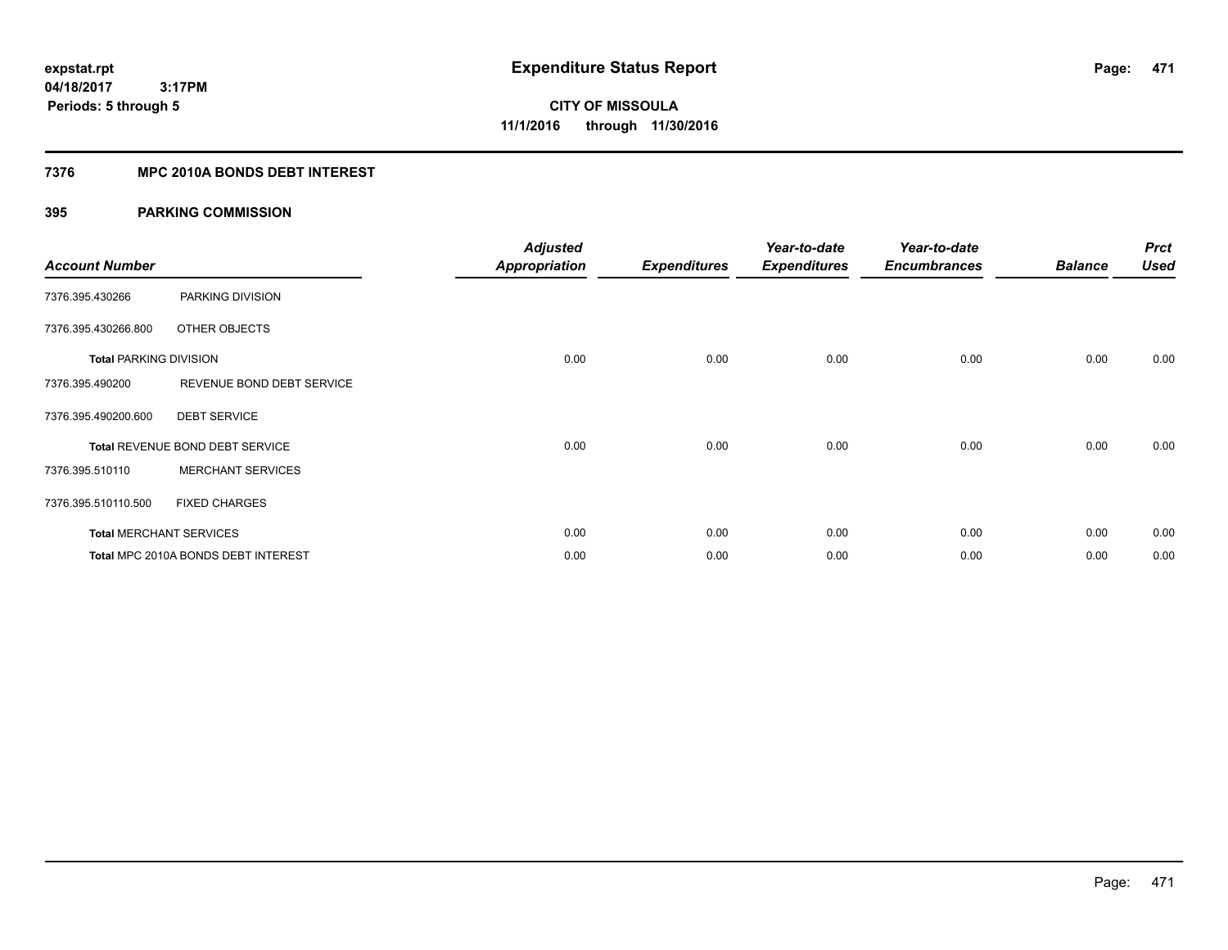## **7376 MPC 2010A BONDS DEBT INTEREST**

| <b>Account Number</b>         |                                     | <b>Adjusted</b><br><b>Appropriation</b> | <b>Expenditures</b> | Year-to-date<br><b>Expenditures</b> | Year-to-date<br><b>Encumbrances</b> | <b>Balance</b> | <b>Prct</b><br><b>Used</b> |
|-------------------------------|-------------------------------------|-----------------------------------------|---------------------|-------------------------------------|-------------------------------------|----------------|----------------------------|
| 7376.395.430266               | PARKING DIVISION                    |                                         |                     |                                     |                                     |                |                            |
| 7376.395.430266.800           | OTHER OBJECTS                       |                                         |                     |                                     |                                     |                |                            |
| <b>Total PARKING DIVISION</b> |                                     | 0.00                                    | 0.00                | 0.00                                | 0.00                                | 0.00           | 0.00                       |
| 7376.395.490200               | REVENUE BOND DEBT SERVICE           |                                         |                     |                                     |                                     |                |                            |
| 7376.395.490200.600           | <b>DEBT SERVICE</b>                 |                                         |                     |                                     |                                     |                |                            |
|                               | Total REVENUE BOND DEBT SERVICE     | 0.00                                    | 0.00                | 0.00                                | 0.00                                | 0.00           | 0.00                       |
| 7376.395.510110               | <b>MERCHANT SERVICES</b>            |                                         |                     |                                     |                                     |                |                            |
| 7376.395.510110.500           | <b>FIXED CHARGES</b>                |                                         |                     |                                     |                                     |                |                            |
|                               | <b>Total MERCHANT SERVICES</b>      | 0.00                                    | 0.00                | 0.00                                | 0.00                                | 0.00           | 0.00                       |
|                               | Total MPC 2010A BONDS DEBT INTEREST | 0.00                                    | 0.00                | 0.00                                | 0.00                                | 0.00           | 0.00                       |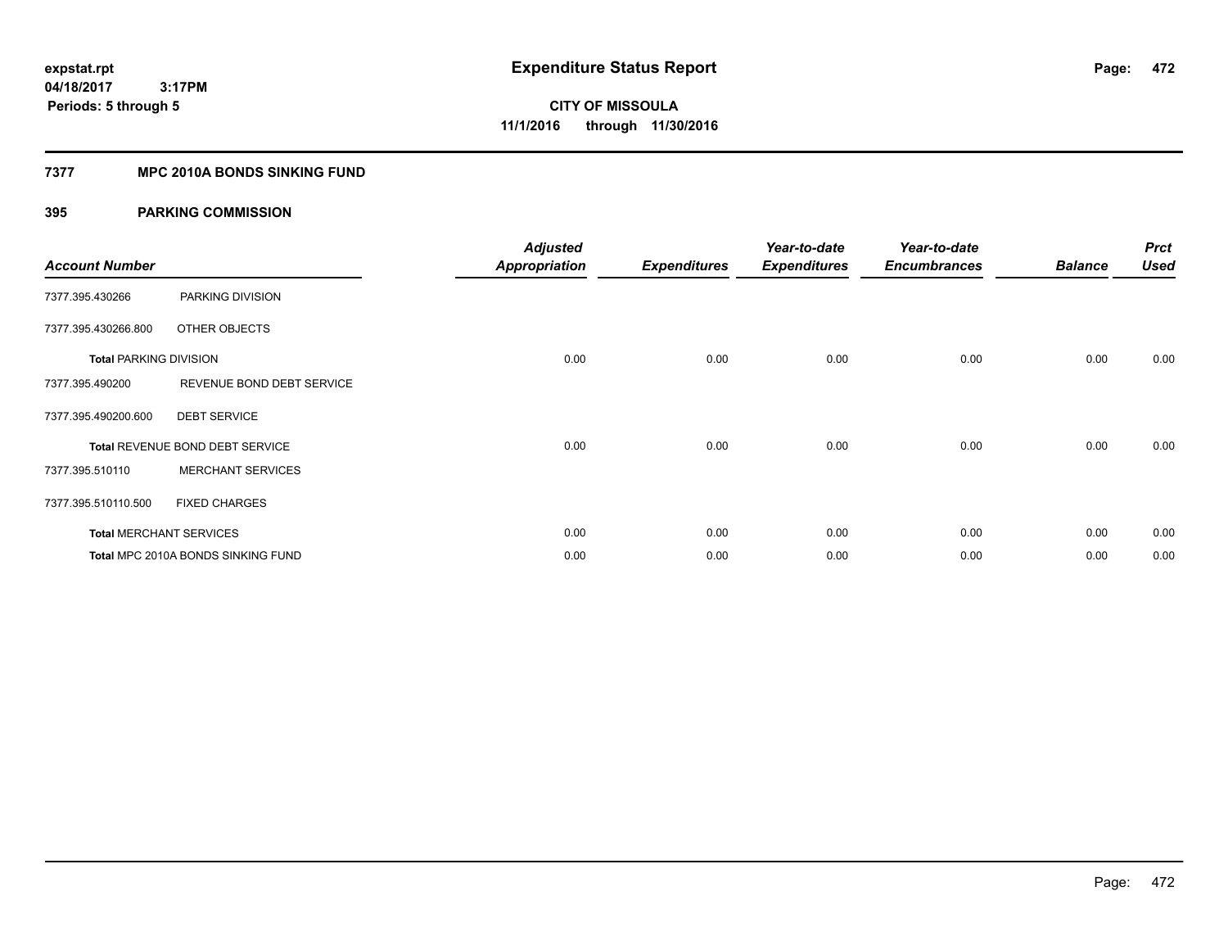## **7377 MPC 2010A BONDS SINKING FUND**

| <b>Account Number</b>         |                                    | <b>Adjusted</b><br><b>Appropriation</b> | <b>Expenditures</b> | Year-to-date<br><b>Expenditures</b> | Year-to-date<br><b>Encumbrances</b> | <b>Balance</b> | <b>Prct</b><br><b>Used</b> |
|-------------------------------|------------------------------------|-----------------------------------------|---------------------|-------------------------------------|-------------------------------------|----------------|----------------------------|
| 7377.395.430266               | PARKING DIVISION                   |                                         |                     |                                     |                                     |                |                            |
| 7377.395.430266.800           | OTHER OBJECTS                      |                                         |                     |                                     |                                     |                |                            |
| <b>Total PARKING DIVISION</b> |                                    | 0.00                                    | 0.00                | 0.00                                | 0.00                                | 0.00           | 0.00                       |
| 7377.395.490200               | REVENUE BOND DEBT SERVICE          |                                         |                     |                                     |                                     |                |                            |
| 7377.395.490200.600           | <b>DEBT SERVICE</b>                |                                         |                     |                                     |                                     |                |                            |
|                               | Total REVENUE BOND DEBT SERVICE    | 0.00                                    | 0.00                | 0.00                                | 0.00                                | 0.00           | 0.00                       |
| 7377.395.510110               | <b>MERCHANT SERVICES</b>           |                                         |                     |                                     |                                     |                |                            |
| 7377.395.510110.500           | <b>FIXED CHARGES</b>               |                                         |                     |                                     |                                     |                |                            |
|                               | <b>Total MERCHANT SERVICES</b>     | 0.00                                    | 0.00                | 0.00                                | 0.00                                | 0.00           | 0.00                       |
|                               | Total MPC 2010A BONDS SINKING FUND | 0.00                                    | 0.00                | 0.00                                | 0.00                                | 0.00           | 0.00                       |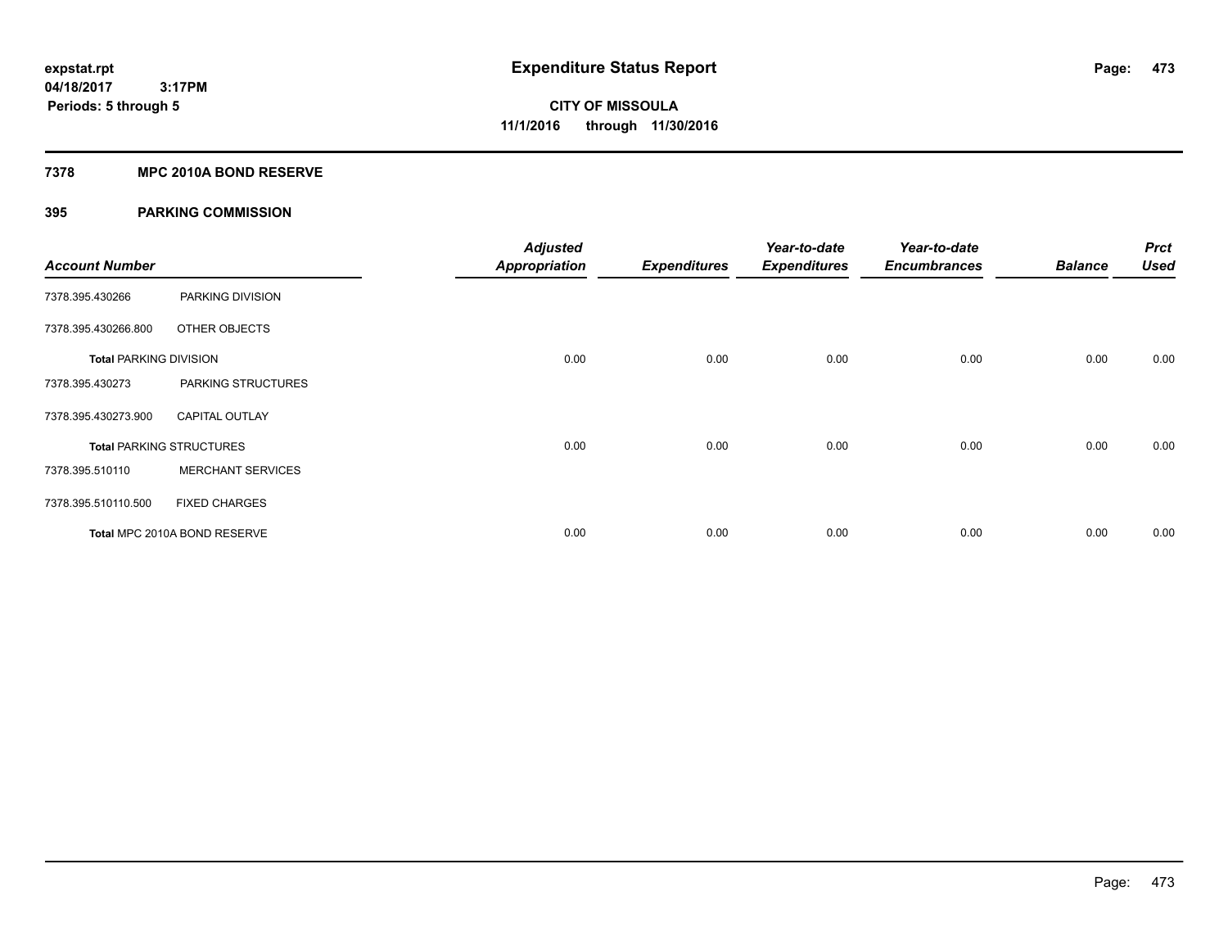## **7378 MPC 2010A BOND RESERVE**

| <b>Account Number</b>         |                                 | <b>Adjusted</b><br><b>Appropriation</b> | <b>Expenditures</b> | Year-to-date<br><b>Expenditures</b> | Year-to-date<br><b>Encumbrances</b> | <b>Balance</b> | <b>Prct</b><br><b>Used</b> |
|-------------------------------|---------------------------------|-----------------------------------------|---------------------|-------------------------------------|-------------------------------------|----------------|----------------------------|
| 7378.395.430266               | PARKING DIVISION                |                                         |                     |                                     |                                     |                |                            |
| 7378.395.430266.800           | OTHER OBJECTS                   |                                         |                     |                                     |                                     |                |                            |
| <b>Total PARKING DIVISION</b> |                                 | 0.00                                    | 0.00                | 0.00                                | 0.00                                | 0.00           | 0.00                       |
| 7378.395.430273               | PARKING STRUCTURES              |                                         |                     |                                     |                                     |                |                            |
| 7378.395.430273.900           | <b>CAPITAL OUTLAY</b>           |                                         |                     |                                     |                                     |                |                            |
|                               | <b>Total PARKING STRUCTURES</b> | 0.00                                    | 0.00                | 0.00                                | 0.00                                | 0.00           | 0.00                       |
| 7378.395.510110               | <b>MERCHANT SERVICES</b>        |                                         |                     |                                     |                                     |                |                            |
| 7378.395.510110.500           | <b>FIXED CHARGES</b>            |                                         |                     |                                     |                                     |                |                            |
|                               | Total MPC 2010A BOND RESERVE    | 0.00                                    | 0.00                | 0.00                                | 0.00                                | 0.00           | 0.00                       |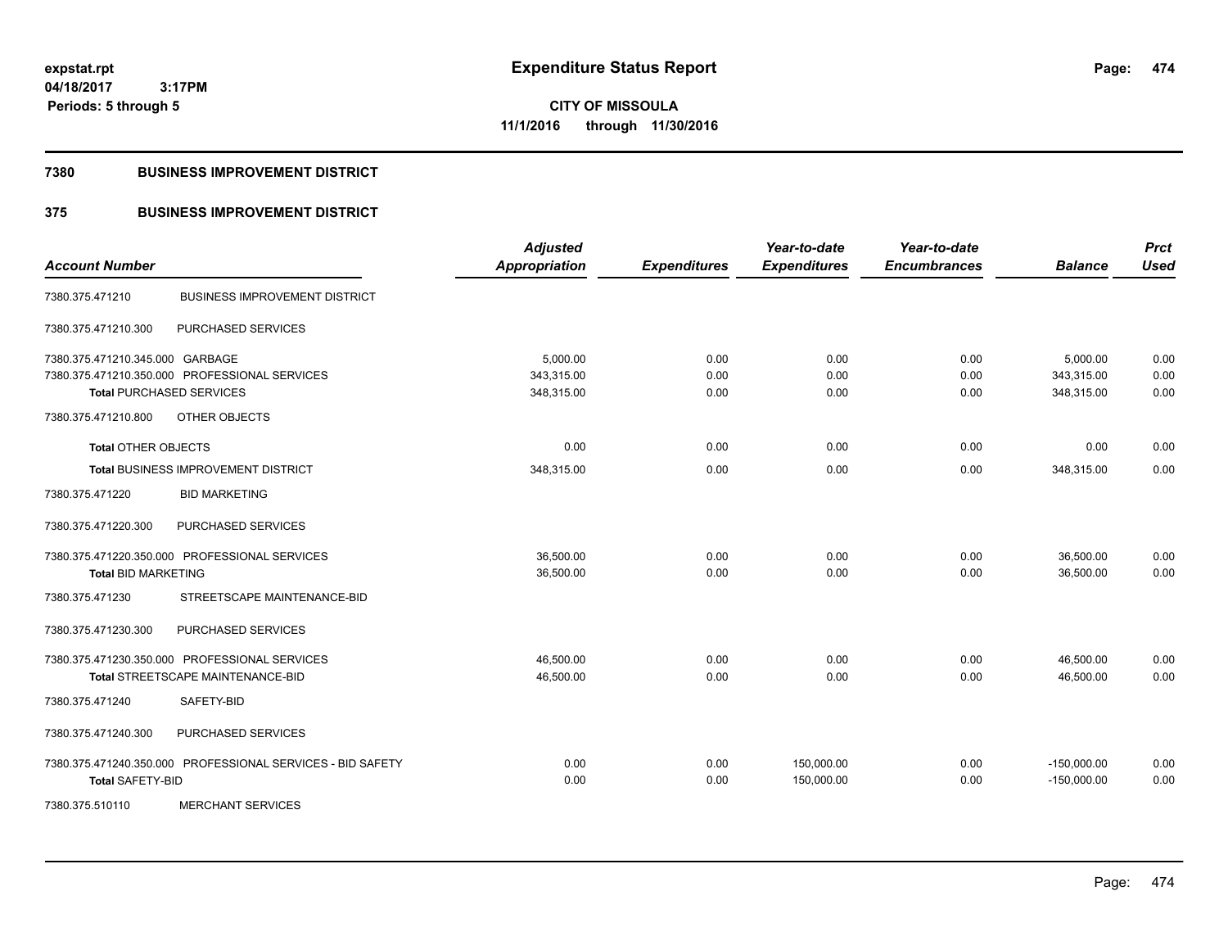**CITY OF MISSOULA 11/1/2016 through 11/30/2016**

### **7380 BUSINESS IMPROVEMENT DISTRICT**

## **375 BUSINESS IMPROVEMENT DISTRICT**

| <b>Account Number</b>           |                                                            | <b>Adjusted</b><br>Appropriation | <b>Expenditures</b> | Year-to-date<br><b>Expenditures</b> | Year-to-date<br><b>Encumbrances</b> | <b>Balance</b> | <b>Prct</b><br><b>Used</b> |
|---------------------------------|------------------------------------------------------------|----------------------------------|---------------------|-------------------------------------|-------------------------------------|----------------|----------------------------|
| 7380.375.471210                 | <b>BUSINESS IMPROVEMENT DISTRICT</b>                       |                                  |                     |                                     |                                     |                |                            |
| 7380.375.471210.300             | PURCHASED SERVICES                                         |                                  |                     |                                     |                                     |                |                            |
| 7380.375.471210.345.000 GARBAGE |                                                            | 5,000.00                         | 0.00                | 0.00                                | 0.00                                | 5,000.00       | 0.00                       |
|                                 | 7380.375.471210.350.000 PROFESSIONAL SERVICES              | 343,315.00                       | 0.00                | 0.00                                | 0.00                                | 343,315.00     | 0.00                       |
|                                 | <b>Total PURCHASED SERVICES</b>                            | 348,315.00                       | 0.00                | 0.00                                | 0.00                                | 348,315.00     | 0.00                       |
| 7380.375.471210.800             | OTHER OBJECTS                                              |                                  |                     |                                     |                                     |                |                            |
| <b>Total OTHER OBJECTS</b>      |                                                            | 0.00                             | 0.00                | 0.00                                | 0.00                                | 0.00           | 0.00                       |
|                                 | Total BUSINESS IMPROVEMENT DISTRICT                        | 348,315.00                       | 0.00                | 0.00                                | 0.00                                | 348,315.00     | 0.00                       |
| 7380.375.471220                 | <b>BID MARKETING</b>                                       |                                  |                     |                                     |                                     |                |                            |
| 7380.375.471220.300             | PURCHASED SERVICES                                         |                                  |                     |                                     |                                     |                |                            |
|                                 | 7380.375.471220.350.000 PROFESSIONAL SERVICES              | 36,500.00                        | 0.00                | 0.00                                | 0.00                                | 36,500.00      | 0.00                       |
| <b>Total BID MARKETING</b>      |                                                            | 36,500.00                        | 0.00                | 0.00                                | 0.00                                | 36,500.00      | 0.00                       |
| 7380.375.471230                 | STREETSCAPE MAINTENANCE-BID                                |                                  |                     |                                     |                                     |                |                            |
| 7380.375.471230.300             | PURCHASED SERVICES                                         |                                  |                     |                                     |                                     |                |                            |
|                                 | 7380.375.471230.350.000 PROFESSIONAL SERVICES              | 46,500.00                        | 0.00                | 0.00                                | 0.00                                | 46,500.00      | 0.00                       |
|                                 | Total STREETSCAPE MAINTENANCE-BID                          | 46,500.00                        | 0.00                | 0.00                                | 0.00                                | 46.500.00      | 0.00                       |
| 7380.375.471240                 | SAFETY-BID                                                 |                                  |                     |                                     |                                     |                |                            |
| 7380.375.471240.300             | PURCHASED SERVICES                                         |                                  |                     |                                     |                                     |                |                            |
|                                 | 7380.375.471240.350.000 PROFESSIONAL SERVICES - BID SAFETY | 0.00                             | 0.00                | 150,000.00                          | 0.00                                | $-150,000.00$  | 0.00                       |
| <b>Total SAFETY-BID</b>         |                                                            | 0.00                             | 0.00                | 150,000.00                          | 0.00                                | $-150,000.00$  | 0.00                       |
| 7380.375.510110                 | <b>MERCHANT SERVICES</b>                                   |                                  |                     |                                     |                                     |                |                            |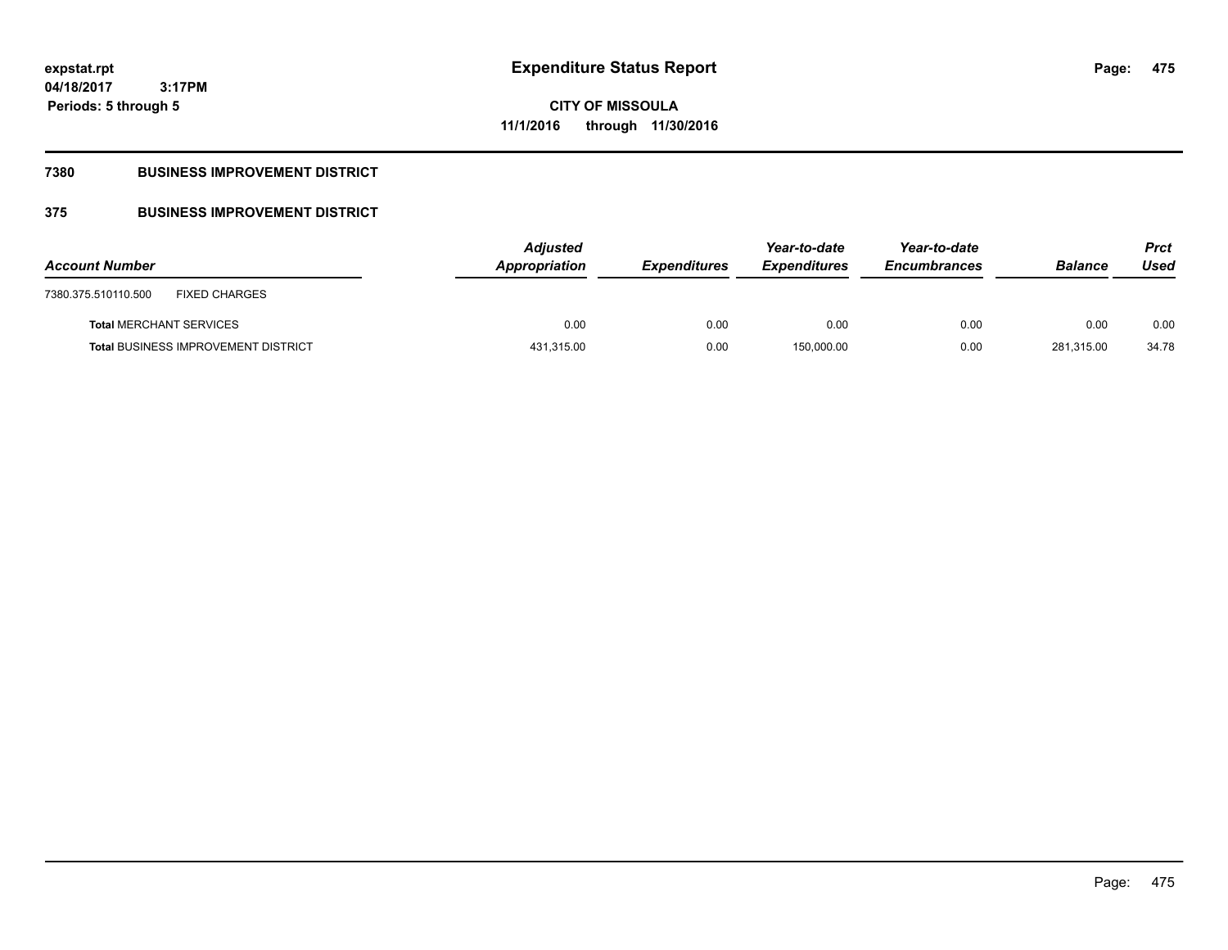# **CITY OF MISSOULA 11/1/2016 through 11/30/2016**

## **7380 BUSINESS IMPROVEMENT DISTRICT**

## **375 BUSINESS IMPROVEMENT DISTRICT**

| <b>Account Number</b>                       | <b>Adjusted</b><br>Appropriation | <b>Expenditures</b> | Year-to-date<br><b>Expenditures</b> | Year-to-date<br><b>Encumbrances</b> | <b>Balance</b> | <b>Prct</b><br>Used |
|---------------------------------------------|----------------------------------|---------------------|-------------------------------------|-------------------------------------|----------------|---------------------|
| <b>FIXED CHARGES</b><br>7380.375.510110.500 |                                  |                     |                                     |                                     |                |                     |
| <b>Total MERCHANT SERVICES</b>              | 0.00                             | 0.00                | 0.00                                | 0.00                                | 0.00           | 0.00                |
| <b>Total BUSINESS IMPROVEMENT DISTRICT</b>  | 431,315.00                       | 0.00                | 150,000.00                          | 0.00                                | 281,315.00     | 34.78               |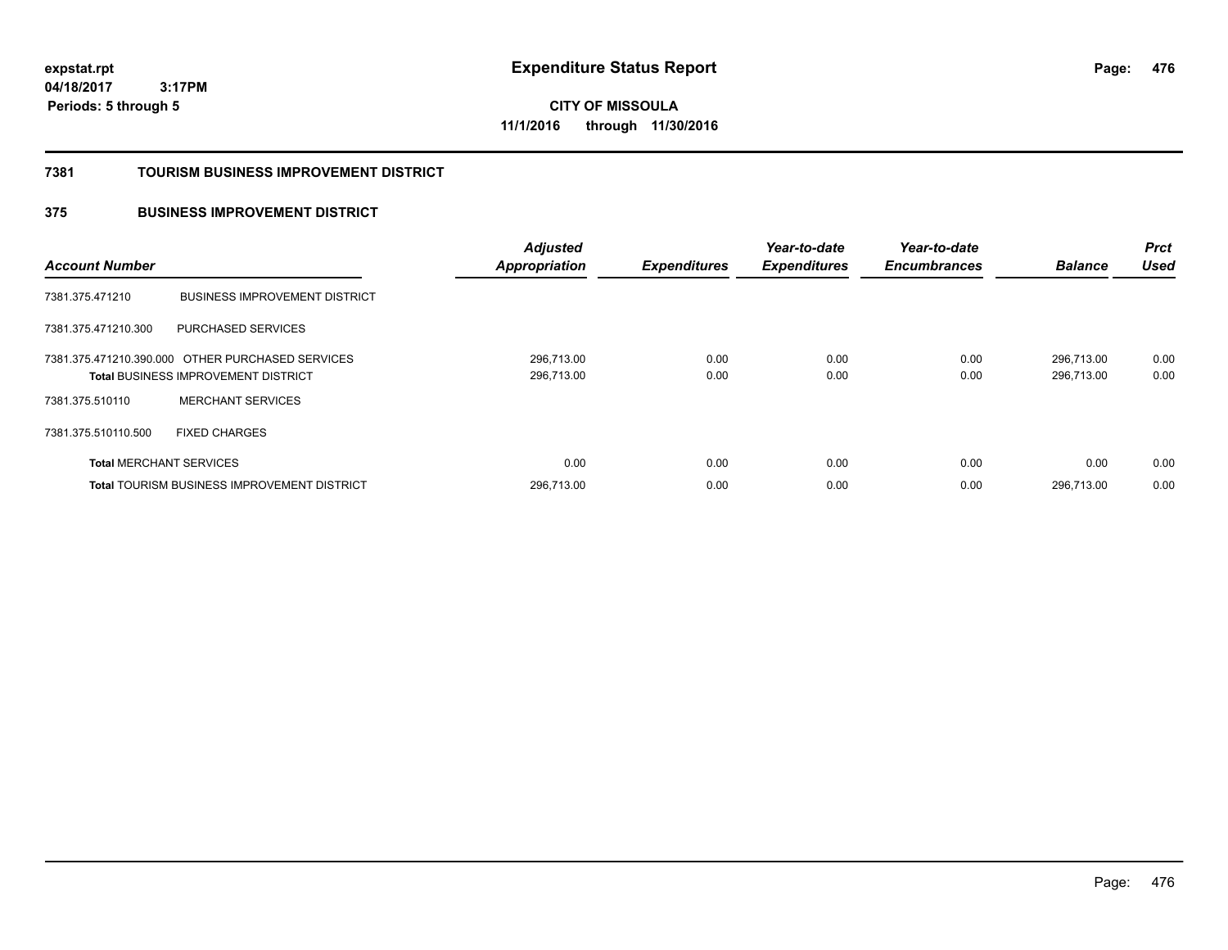**CITY OF MISSOULA 11/1/2016 through 11/30/2016**

### **7381 TOURISM BUSINESS IMPROVEMENT DISTRICT**

## **375 BUSINESS IMPROVEMENT DISTRICT**

| <b>Account Number</b>          |                                                                                                | <b>Adjusted</b><br><b>Appropriation</b> | <b>Expenditures</b> | Year-to-date<br><b>Expenditures</b> | Year-to-date<br><b>Encumbrances</b> | <b>Balance</b>           | <b>Prct</b><br><b>Used</b> |
|--------------------------------|------------------------------------------------------------------------------------------------|-----------------------------------------|---------------------|-------------------------------------|-------------------------------------|--------------------------|----------------------------|
| 7381.375.471210                | <b>BUSINESS IMPROVEMENT DISTRICT</b>                                                           |                                         |                     |                                     |                                     |                          |                            |
| 7381.375.471210.300            | PURCHASED SERVICES                                                                             |                                         |                     |                                     |                                     |                          |                            |
|                                | 7381.375.471210.390.000 OTHER PURCHASED SERVICES<br><b>Total BUSINESS IMPROVEMENT DISTRICT</b> | 296,713.00<br>296,713.00                | 0.00<br>0.00        | 0.00<br>0.00                        | 0.00<br>0.00                        | 296.713.00<br>296.713.00 | 0.00<br>0.00               |
| 7381.375.510110                | <b>MERCHANT SERVICES</b>                                                                       |                                         |                     |                                     |                                     |                          |                            |
| 7381.375.510110.500            | <b>FIXED CHARGES</b>                                                                           |                                         |                     |                                     |                                     |                          |                            |
| <b>Total MERCHANT SERVICES</b> |                                                                                                | 0.00                                    | 0.00                | 0.00                                | 0.00                                | 0.00                     | 0.00                       |
|                                | <b>Total TOURISM BUSINESS IMPROVEMENT DISTRICT</b>                                             | 296,713.00                              | 0.00                | 0.00                                | 0.00                                | 296.713.00               | 0.00                       |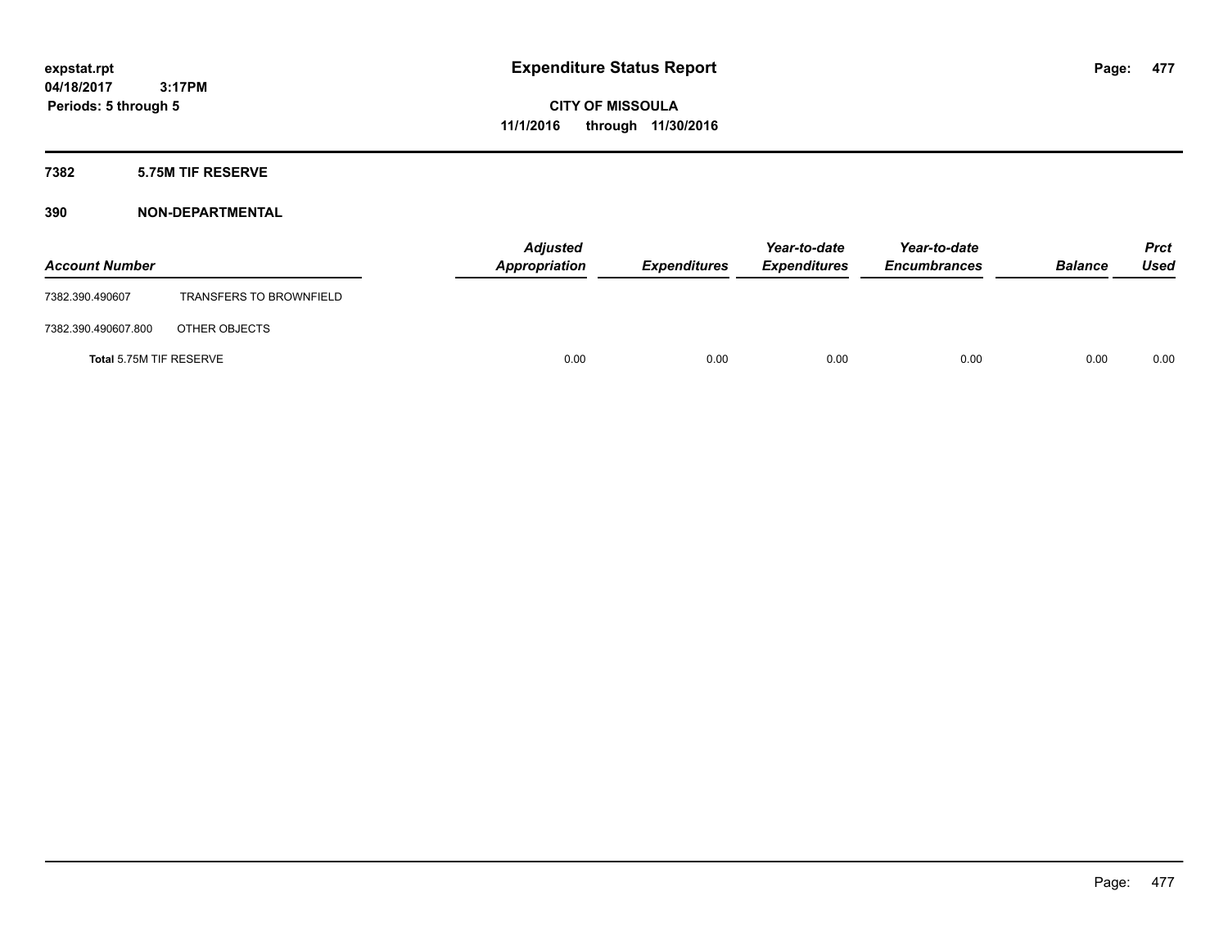## **7382 5.75M TIF RESERVE**

| <b>Account Number</b>   |                                | <b>Adjusted</b><br>Appropriation | <b>Expenditures</b> | Year-to-date<br><b>Expenditures</b> | Year-to-date<br><b>Encumbrances</b> | <b>Balance</b> | Prct<br><b>Used</b> |
|-------------------------|--------------------------------|----------------------------------|---------------------|-------------------------------------|-------------------------------------|----------------|---------------------|
| 7382.390.490607         | <b>TRANSFERS TO BROWNFIELD</b> |                                  |                     |                                     |                                     |                |                     |
| 7382.390.490607.800     | OTHER OBJECTS                  |                                  |                     |                                     |                                     |                |                     |
| Total 5.75M TIF RESERVE |                                | 0.00                             | 0.00                | 0.00                                | 0.00                                | 0.00           | 0.00                |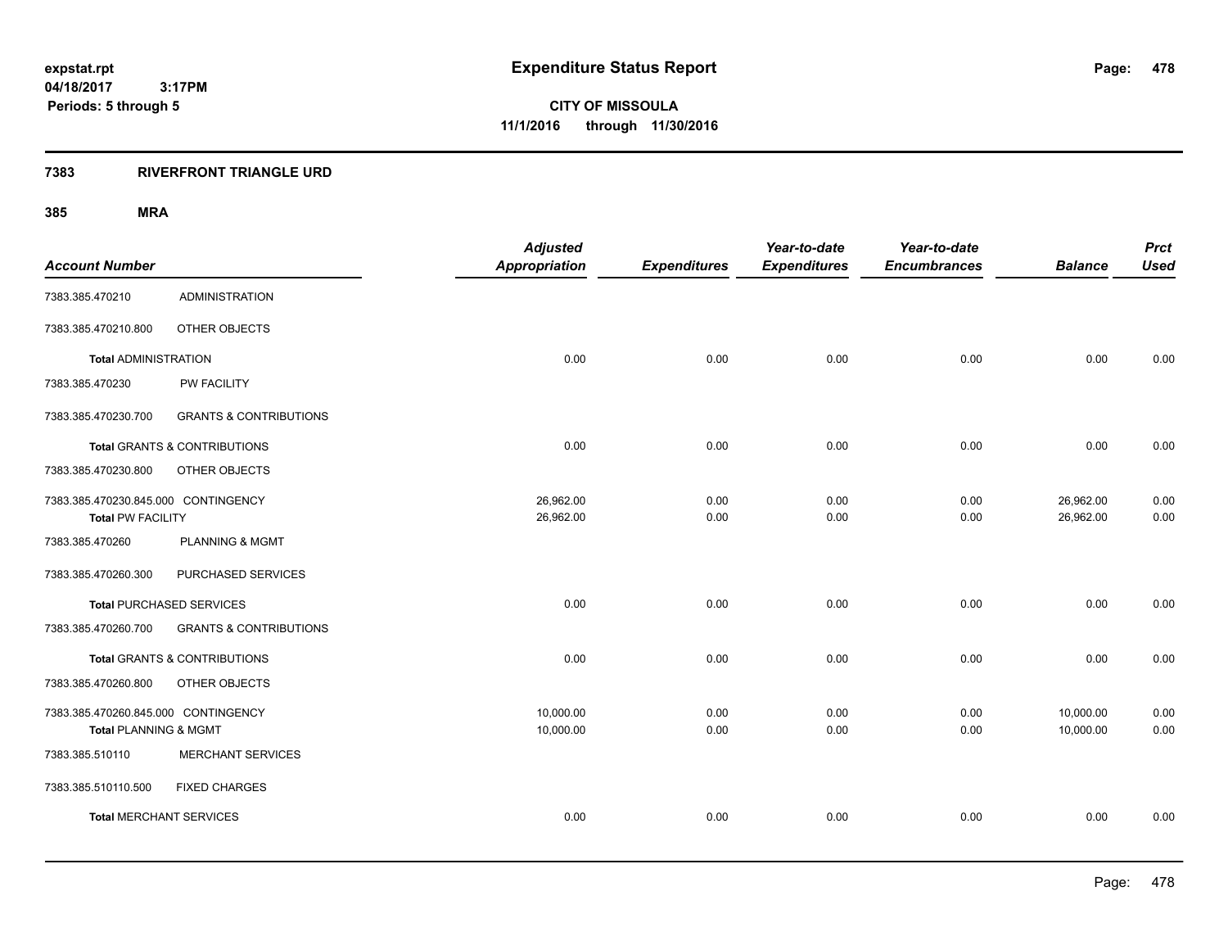**CITY OF MISSOULA 11/1/2016 through 11/30/2016**

## **7383 RIVERFRONT TRIANGLE URD**

| <b>Account Number</b>                                           |                                   | <b>Adjusted</b><br><b>Appropriation</b> | <b>Expenditures</b> | Year-to-date<br><b>Expenditures</b> | Year-to-date<br><b>Encumbrances</b> | <b>Balance</b>         | <b>Prct</b><br><b>Used</b> |
|-----------------------------------------------------------------|-----------------------------------|-----------------------------------------|---------------------|-------------------------------------|-------------------------------------|------------------------|----------------------------|
| 7383.385.470210                                                 | <b>ADMINISTRATION</b>             |                                         |                     |                                     |                                     |                        |                            |
| 7383.385.470210.800                                             | OTHER OBJECTS                     |                                         |                     |                                     |                                     |                        |                            |
| <b>Total ADMINISTRATION</b>                                     |                                   | 0.00                                    | 0.00                | 0.00                                | 0.00                                | 0.00                   | 0.00                       |
| 7383.385.470230                                                 | PW FACILITY                       |                                         |                     |                                     |                                     |                        |                            |
| 7383.385.470230.700                                             | <b>GRANTS &amp; CONTRIBUTIONS</b> |                                         |                     |                                     |                                     |                        |                            |
|                                                                 | Total GRANTS & CONTRIBUTIONS      | 0.00                                    | 0.00                | 0.00                                | 0.00                                | 0.00                   | 0.00                       |
| 7383.385.470230.800                                             | OTHER OBJECTS                     |                                         |                     |                                     |                                     |                        |                            |
| 7383.385.470230.845.000 CONTINGENCY<br><b>Total PW FACILITY</b> |                                   | 26,962.00<br>26,962.00                  | 0.00<br>0.00        | 0.00<br>0.00                        | 0.00<br>0.00                        | 26,962.00<br>26,962.00 | 0.00<br>0.00               |
| 7383.385.470260                                                 | <b>PLANNING &amp; MGMT</b>        |                                         |                     |                                     |                                     |                        |                            |
| 7383.385.470260.300                                             | PURCHASED SERVICES                |                                         |                     |                                     |                                     |                        |                            |
|                                                                 | <b>Total PURCHASED SERVICES</b>   | 0.00                                    | 0.00                | 0.00                                | 0.00                                | 0.00                   | 0.00                       |
| 7383.385.470260.700                                             | <b>GRANTS &amp; CONTRIBUTIONS</b> |                                         |                     |                                     |                                     |                        |                            |
|                                                                 | Total GRANTS & CONTRIBUTIONS      | 0.00                                    | 0.00                | 0.00                                | 0.00                                | 0.00                   | 0.00                       |
| 7383.385.470260.800                                             | OTHER OBJECTS                     |                                         |                     |                                     |                                     |                        |                            |
| 7383.385.470260.845.000 CONTINGENCY<br>Total PLANNING & MGMT    |                                   | 10,000.00<br>10,000.00                  | 0.00<br>0.00        | 0.00<br>0.00                        | 0.00<br>0.00                        | 10,000.00<br>10,000.00 | 0.00<br>0.00               |
| 7383.385.510110                                                 | <b>MERCHANT SERVICES</b>          |                                         |                     |                                     |                                     |                        |                            |
| 7383.385.510110.500                                             | <b>FIXED CHARGES</b>              |                                         |                     |                                     |                                     |                        |                            |
| <b>Total MERCHANT SERVICES</b>                                  |                                   | 0.00                                    | 0.00                | 0.00                                | 0.00                                | 0.00                   | 0.00                       |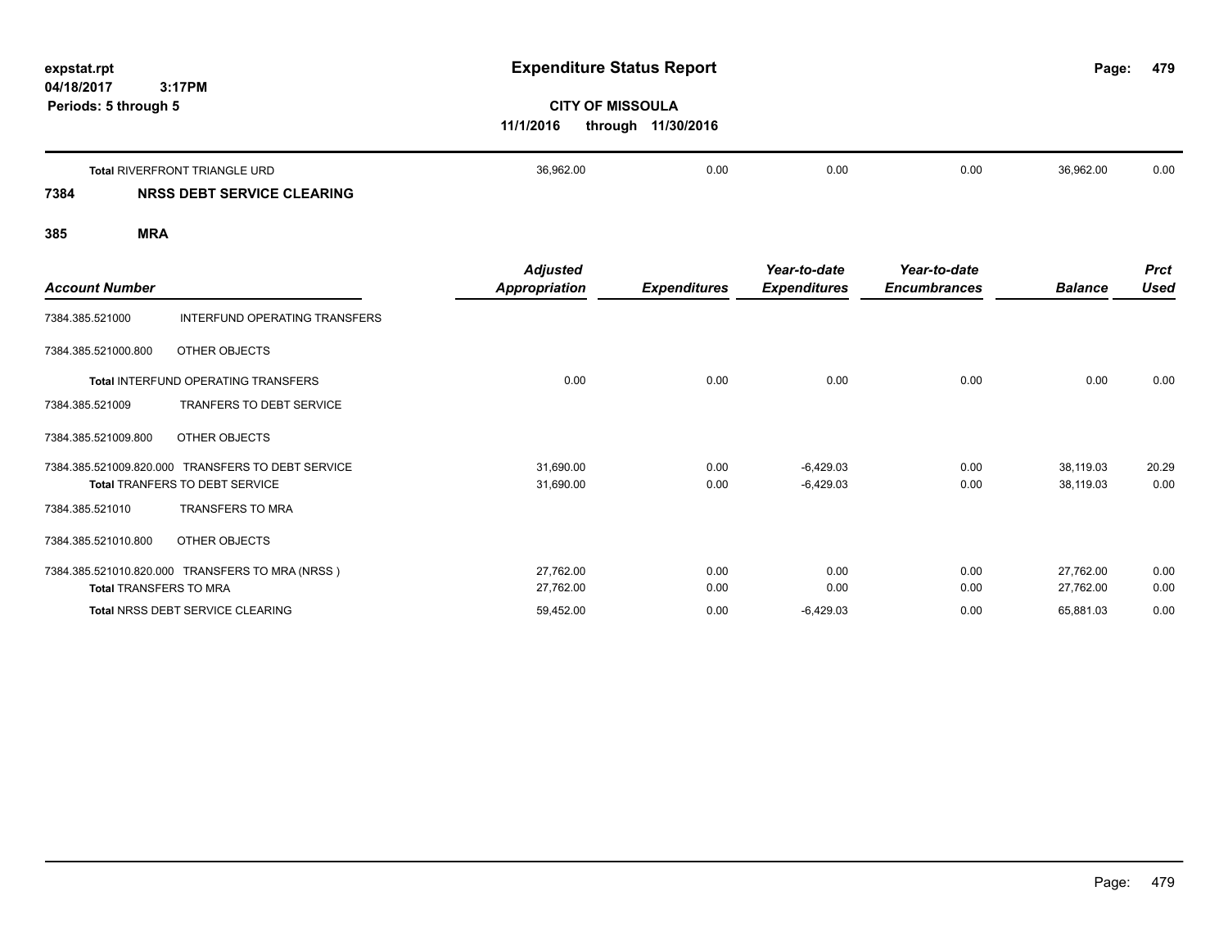| expstat.rpt<br>04/18/2017 | 3:17PM                        |           | <b>Expenditure Status Report</b>              |      |      |           |      |  |
|---------------------------|-------------------------------|-----------|-----------------------------------------------|------|------|-----------|------|--|
| Periods: 5 through 5      |                               | 11/1/2016 | <b>CITY OF MISSOULA</b><br>through 11/30/2016 |      |      |           |      |  |
|                           | Total RIVERFRONT TRIANGLE URD | 36,962.00 | 0.00                                          | 0.00 | 0.00 | 36.962.00 | 0.00 |  |

## **7384 NRSS DEBT SERVICE CLEARING**

| <b>Account Number</b>         |                                                   | <b>Adjusted</b><br><b>Appropriation</b> | <b>Expenditures</b> | Year-to-date<br><b>Expenditures</b> | Year-to-date<br><b>Encumbrances</b> | <b>Balance</b> | <b>Prct</b><br><b>Used</b> |
|-------------------------------|---------------------------------------------------|-----------------------------------------|---------------------|-------------------------------------|-------------------------------------|----------------|----------------------------|
| 7384.385.521000               | INTERFUND OPERATING TRANSFERS                     |                                         |                     |                                     |                                     |                |                            |
| 7384.385.521000.800           | OTHER OBJECTS                                     |                                         |                     |                                     |                                     |                |                            |
|                               | Total INTERFUND OPERATING TRANSFERS               | 0.00                                    | 0.00                | 0.00                                | 0.00                                | 0.00           | 0.00                       |
| 7384.385.521009               | <b>TRANFERS TO DEBT SERVICE</b>                   |                                         |                     |                                     |                                     |                |                            |
| 7384.385.521009.800           | OTHER OBJECTS                                     |                                         |                     |                                     |                                     |                |                            |
|                               | 7384.385.521009.820.000 TRANSFERS TO DEBT SERVICE | 31,690.00                               | 0.00                | $-6,429.03$                         | 0.00                                | 38,119.03      | 20.29                      |
|                               | <b>Total TRANFERS TO DEBT SERVICE</b>             | 31,690.00                               | 0.00                | $-6,429.03$                         | 0.00                                | 38,119.03      | 0.00                       |
| 7384.385.521010               | <b>TRANSFERS TO MRA</b>                           |                                         |                     |                                     |                                     |                |                            |
| 7384.385.521010.800           | OTHER OBJECTS                                     |                                         |                     |                                     |                                     |                |                            |
|                               | 7384.385.521010.820.000 TRANSFERS TO MRA (NRSS)   | 27,762.00                               | 0.00                | 0.00                                | 0.00                                | 27,762.00      | 0.00                       |
| <b>Total TRANSFERS TO MRA</b> |                                                   | 27,762.00                               | 0.00                | 0.00                                | 0.00                                | 27,762.00      | 0.00                       |
|                               | Total NRSS DEBT SERVICE CLEARING                  | 59,452.00                               | 0.00                | $-6,429.03$                         | 0.00                                | 65,881.03      | 0.00                       |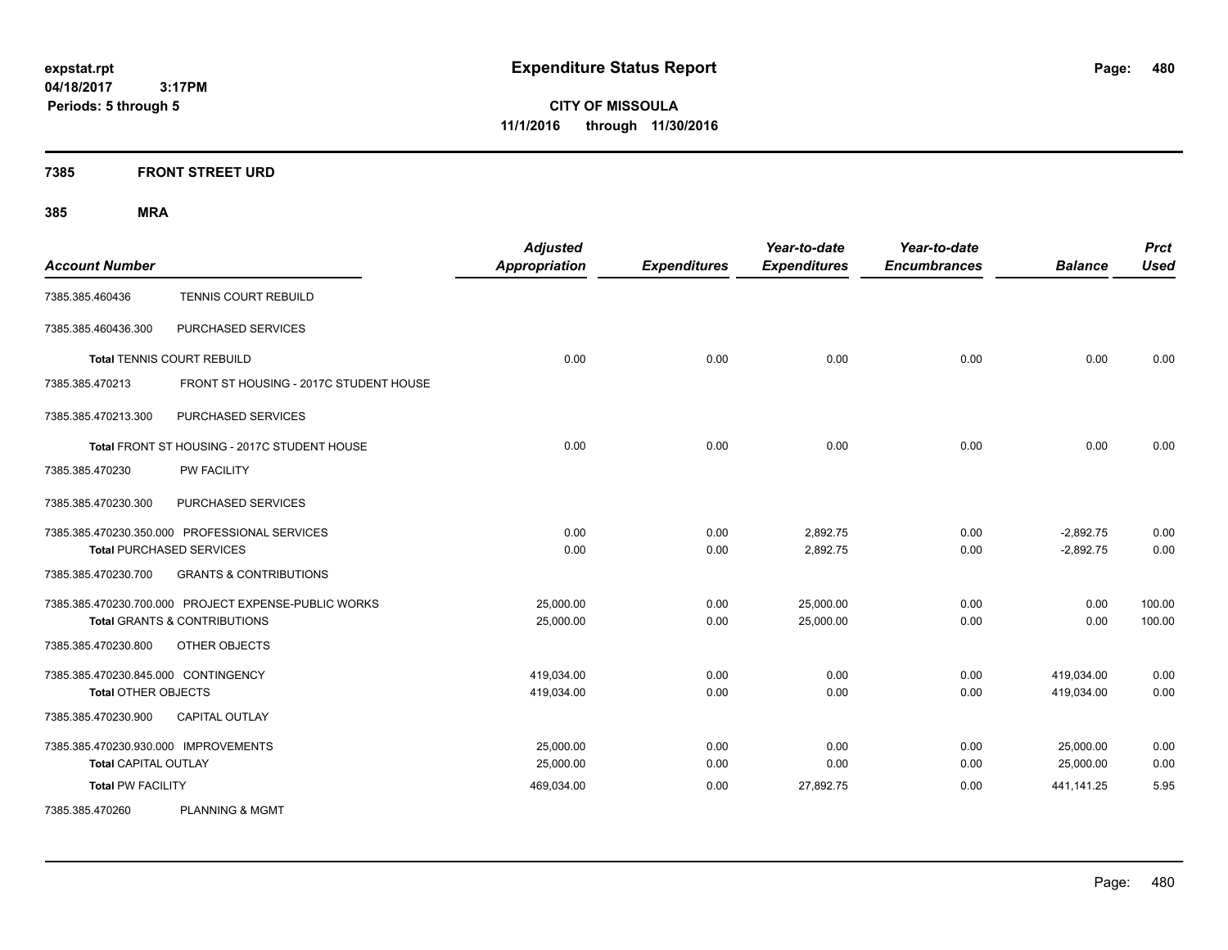**CITY OF MISSOULA 11/1/2016 through 11/30/2016**

## **7385 FRONT STREET URD**

| <b>Account Number</b>                |                                                      | <b>Adjusted</b><br><b>Appropriation</b> | <b>Expenditures</b> | Year-to-date<br><b>Expenditures</b> | Year-to-date<br><b>Encumbrances</b> | <b>Balance</b> | <b>Prct</b><br><b>Used</b> |
|--------------------------------------|------------------------------------------------------|-----------------------------------------|---------------------|-------------------------------------|-------------------------------------|----------------|----------------------------|
| 7385.385.460436                      | TENNIS COURT REBUILD                                 |                                         |                     |                                     |                                     |                |                            |
| 7385.385.460436.300                  | PURCHASED SERVICES                                   |                                         |                     |                                     |                                     |                |                            |
|                                      | <b>Total TENNIS COURT REBUILD</b>                    | 0.00                                    | 0.00                | 0.00                                | 0.00                                | 0.00           | 0.00                       |
| 7385.385.470213                      | FRONT ST HOUSING - 2017C STUDENT HOUSE               |                                         |                     |                                     |                                     |                |                            |
| 7385.385.470213.300                  | PURCHASED SERVICES                                   |                                         |                     |                                     |                                     |                |                            |
|                                      | Total FRONT ST HOUSING - 2017C STUDENT HOUSE         | 0.00                                    | 0.00                | 0.00                                | 0.00                                | 0.00           | 0.00                       |
| 7385.385.470230                      | PW FACILITY                                          |                                         |                     |                                     |                                     |                |                            |
| 7385.385.470230.300                  | PURCHASED SERVICES                                   |                                         |                     |                                     |                                     |                |                            |
|                                      | 7385.385.470230.350.000 PROFESSIONAL SERVICES        | 0.00                                    | 0.00                | 2,892.75                            | 0.00                                | $-2,892.75$    | 0.00                       |
|                                      | <b>Total PURCHASED SERVICES</b>                      | 0.00                                    | 0.00                | 2,892.75                            | 0.00                                | $-2,892.75$    | 0.00                       |
| 7385.385.470230.700                  | <b>GRANTS &amp; CONTRIBUTIONS</b>                    |                                         |                     |                                     |                                     |                |                            |
|                                      | 7385.385.470230.700.000 PROJECT EXPENSE-PUBLIC WORKS | 25.000.00                               | 0.00                | 25,000.00                           | 0.00                                | 0.00           | 100.00                     |
|                                      | <b>Total GRANTS &amp; CONTRIBUTIONS</b>              | 25,000.00                               | 0.00                | 25,000.00                           | 0.00                                | 0.00           | 100.00                     |
| 7385.385.470230.800                  | OTHER OBJECTS                                        |                                         |                     |                                     |                                     |                |                            |
| 7385.385.470230.845.000 CONTINGENCY  |                                                      | 419,034.00                              | 0.00                | 0.00                                | 0.00                                | 419,034.00     | 0.00                       |
| <b>Total OTHER OBJECTS</b>           |                                                      | 419,034.00                              | 0.00                | 0.00                                | 0.00                                | 419,034.00     | 0.00                       |
| 7385.385.470230.900                  | <b>CAPITAL OUTLAY</b>                                |                                         |                     |                                     |                                     |                |                            |
| 7385.385.470230.930.000 IMPROVEMENTS |                                                      | 25,000.00                               | 0.00                | 0.00                                | 0.00                                | 25,000.00      | 0.00                       |
| <b>Total CAPITAL OUTLAY</b>          |                                                      | 25,000.00                               | 0.00                | 0.00                                | 0.00                                | 25,000.00      | 0.00                       |
| <b>Total PW FACILITY</b>             |                                                      | 469,034.00                              | 0.00                | 27,892.75                           | 0.00                                | 441,141.25     | 5.95                       |
| 7385.385.470260                      | <b>PLANNING &amp; MGMT</b>                           |                                         |                     |                                     |                                     |                |                            |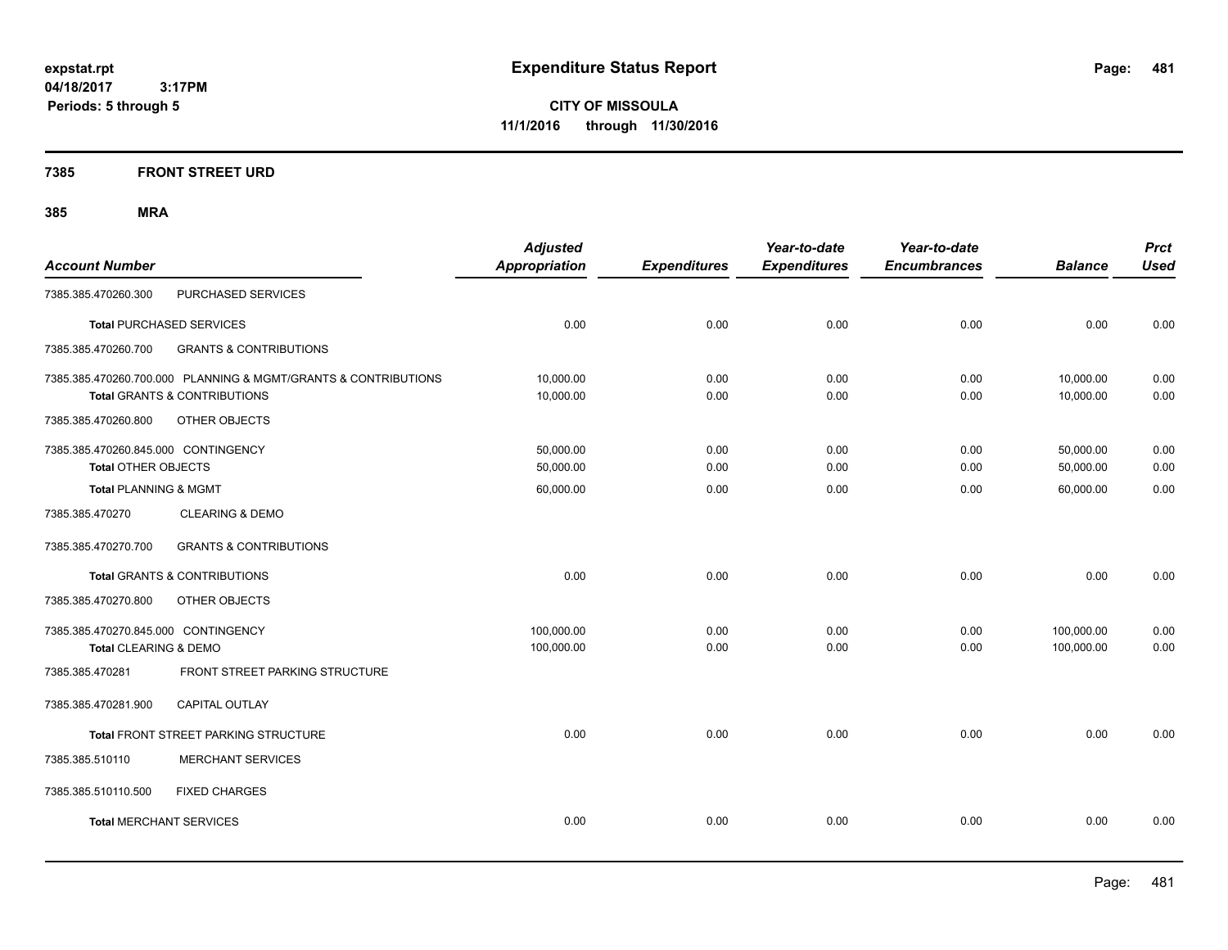**CITY OF MISSOULA 11/1/2016 through 11/30/2016**

## **7385 FRONT STREET URD**

| <b>Account Number</b>               |                                                                | <b>Adjusted</b><br><b>Appropriation</b> | <b>Expenditures</b> | Year-to-date<br><b>Expenditures</b> | Year-to-date<br><b>Encumbrances</b> | <b>Balance</b> | <b>Prct</b><br><b>Used</b> |
|-------------------------------------|----------------------------------------------------------------|-----------------------------------------|---------------------|-------------------------------------|-------------------------------------|----------------|----------------------------|
| 7385.385.470260.300                 | PURCHASED SERVICES                                             |                                         |                     |                                     |                                     |                |                            |
|                                     | <b>Total PURCHASED SERVICES</b>                                | 0.00                                    | 0.00                | 0.00                                | 0.00                                | 0.00           | 0.00                       |
|                                     |                                                                |                                         |                     |                                     |                                     |                |                            |
| 7385.385.470260.700                 | <b>GRANTS &amp; CONTRIBUTIONS</b>                              |                                         |                     |                                     |                                     |                |                            |
|                                     | 7385.385.470260.700.000 PLANNING & MGMT/GRANTS & CONTRIBUTIONS | 10,000.00                               | 0.00                | 0.00                                | 0.00                                | 10,000.00      | 0.00                       |
|                                     | <b>Total GRANTS &amp; CONTRIBUTIONS</b>                        | 10,000.00                               | 0.00                | 0.00                                | 0.00                                | 10,000.00      | 0.00                       |
| 7385.385.470260.800                 | OTHER OBJECTS                                                  |                                         |                     |                                     |                                     |                |                            |
| 7385.385.470260.845.000 CONTINGENCY |                                                                | 50,000.00                               | 0.00                | 0.00                                | 0.00                                | 50,000.00      | 0.00                       |
| Total OTHER OBJECTS                 |                                                                | 50,000.00                               | 0.00                | 0.00                                | 0.00                                | 50,000.00      | 0.00                       |
| <b>Total PLANNING &amp; MGMT</b>    |                                                                | 60,000.00                               | 0.00                | 0.00                                | 0.00                                | 60.000.00      | 0.00                       |
| 7385.385.470270                     | <b>CLEARING &amp; DEMO</b>                                     |                                         |                     |                                     |                                     |                |                            |
| 7385.385.470270.700                 | <b>GRANTS &amp; CONTRIBUTIONS</b>                              |                                         |                     |                                     |                                     |                |                            |
|                                     | <b>Total GRANTS &amp; CONTRIBUTIONS</b>                        | 0.00                                    | 0.00                | 0.00                                | 0.00                                | 0.00           | 0.00                       |
| 7385.385.470270.800                 | OTHER OBJECTS                                                  |                                         |                     |                                     |                                     |                |                            |
| 7385.385.470270.845.000 CONTINGENCY |                                                                | 100,000.00                              | 0.00                | 0.00                                | 0.00                                | 100,000.00     | 0.00                       |
| Total CLEARING & DEMO               |                                                                | 100,000.00                              | 0.00                | 0.00                                | 0.00                                | 100,000.00     | 0.00                       |
| 7385.385.470281                     | FRONT STREET PARKING STRUCTURE                                 |                                         |                     |                                     |                                     |                |                            |
| 7385.385.470281.900                 | <b>CAPITAL OUTLAY</b>                                          |                                         |                     |                                     |                                     |                |                            |
|                                     | Total FRONT STREET PARKING STRUCTURE                           | 0.00                                    | 0.00                | 0.00                                | 0.00                                | 0.00           | 0.00                       |
| 7385.385.510110                     | <b>MERCHANT SERVICES</b>                                       |                                         |                     |                                     |                                     |                |                            |
| 7385.385.510110.500                 | <b>FIXED CHARGES</b>                                           |                                         |                     |                                     |                                     |                |                            |
| <b>Total MERCHANT SERVICES</b>      |                                                                | 0.00                                    | 0.00                | 0.00                                | 0.00                                | 0.00           | 0.00                       |
|                                     |                                                                |                                         |                     |                                     |                                     |                |                            |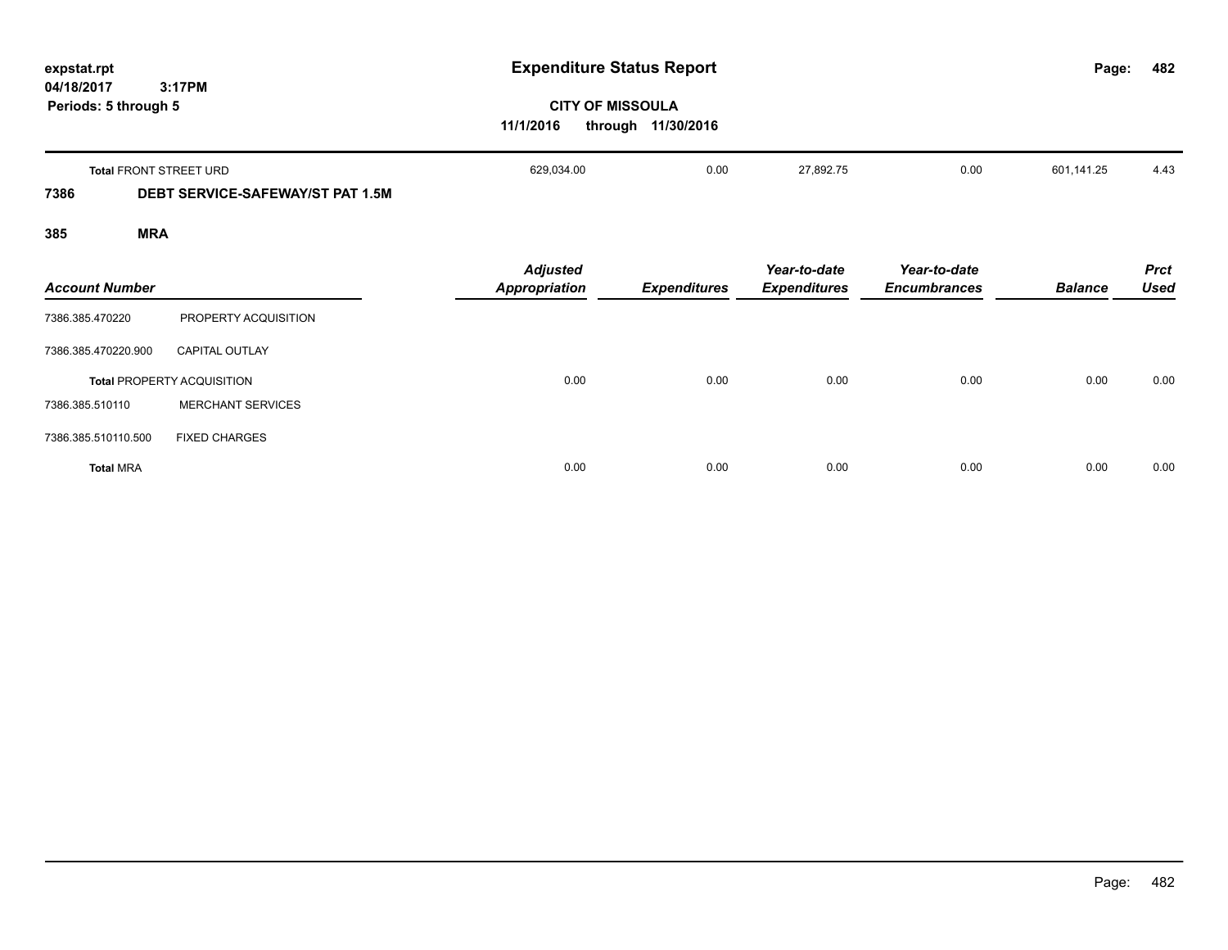| expstat.rpt<br>04/18/2017 | 3:17PM                                  |                                         | <b>Expenditure Status Report</b>              |                                     |                                     | Page:          | 482                        |
|---------------------------|-----------------------------------------|-----------------------------------------|-----------------------------------------------|-------------------------------------|-------------------------------------|----------------|----------------------------|
| Periods: 5 through 5      |                                         | 11/1/2016                               | <b>CITY OF MISSOULA</b><br>through 11/30/2016 |                                     |                                     |                |                            |
|                           | Total FRONT STREET URD                  | 629,034.00                              | 0.00                                          | 27,892.75                           | 0.00                                | 601,141.25     | 4.43                       |
| 7386                      | <b>DEBT SERVICE-SAFEWAY/ST PAT 1.5M</b> |                                         |                                               |                                     |                                     |                |                            |
| 385                       | <b>MRA</b>                              |                                         |                                               |                                     |                                     |                |                            |
| <b>Account Number</b>     |                                         | <b>Adjusted</b><br><b>Appropriation</b> | <b>Expenditures</b>                           | Year-to-date<br><b>Expenditures</b> | Year-to-date<br><b>Encumbrances</b> | <b>Balance</b> | <b>Prct</b><br><b>Used</b> |
| 7386.385.470220           | PROPERTY ACQUISITION                    |                                         |                                               |                                     |                                     |                |                            |
| 7386.385.470220.900       | <b>CAPITAL OUTLAY</b>                   |                                         |                                               |                                     |                                     |                |                            |
|                           | <b>Total PROPERTY ACQUISITION</b>       | 0.00                                    | 0.00                                          | 0.00                                | 0.00                                | 0.00           | 0.00                       |
| 7386.385.510110           | <b>MERCHANT SERVICES</b>                |                                         |                                               |                                     |                                     |                |                            |
| 7386.385.510110.500       | <b>FIXED CHARGES</b>                    |                                         |                                               |                                     |                                     |                |                            |
| <b>Total MRA</b>          |                                         | 0.00                                    | 0.00                                          | 0.00                                | 0.00                                | 0.00           | 0.00                       |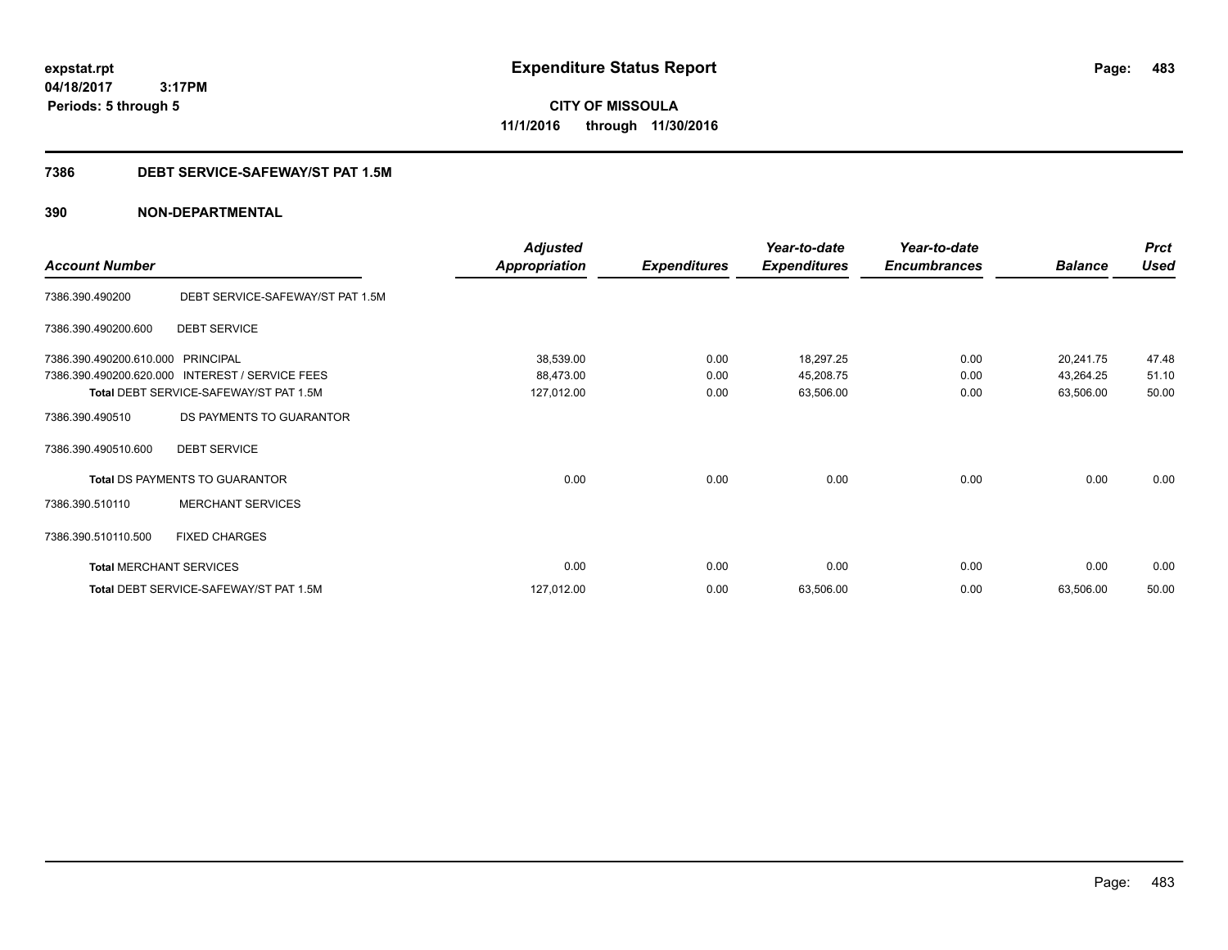**CITY OF MISSOULA 11/1/2016 through 11/30/2016**

## **7386 DEBT SERVICE-SAFEWAY/ST PAT 1.5M**

|                                   |                                                 | <b>Adjusted</b>      |                     | Year-to-date        | Year-to-date        |                | <b>Prct</b> |
|-----------------------------------|-------------------------------------------------|----------------------|---------------------|---------------------|---------------------|----------------|-------------|
| <b>Account Number</b>             |                                                 | <b>Appropriation</b> | <b>Expenditures</b> | <b>Expenditures</b> | <b>Encumbrances</b> | <b>Balance</b> | <b>Used</b> |
| 7386.390.490200                   | DEBT SERVICE-SAFEWAY/ST PAT 1.5M                |                      |                     |                     |                     |                |             |
| 7386.390.490200.600               | <b>DEBT SERVICE</b>                             |                      |                     |                     |                     |                |             |
| 7386.390.490200.610.000 PRINCIPAL |                                                 | 38,539.00            | 0.00                | 18,297.25           | 0.00                | 20,241.75      | 47.48       |
|                                   | 7386.390.490200.620.000 INTEREST / SERVICE FEES | 88,473.00            | 0.00                | 45,208.75           | 0.00                | 43,264.25      | 51.10       |
|                                   | Total DEBT SERVICE-SAFEWAY/ST PAT 1.5M          | 127,012.00           | 0.00                | 63,506.00           | 0.00                | 63,506.00      | 50.00       |
| 7386.390.490510                   | DS PAYMENTS TO GUARANTOR                        |                      |                     |                     |                     |                |             |
| 7386.390.490510.600               | <b>DEBT SERVICE</b>                             |                      |                     |                     |                     |                |             |
|                                   | <b>Total DS PAYMENTS TO GUARANTOR</b>           | 0.00                 | 0.00                | 0.00                | 0.00                | 0.00           | 0.00        |
| 7386.390.510110                   | <b>MERCHANT SERVICES</b>                        |                      |                     |                     |                     |                |             |
| 7386.390.510110.500               | <b>FIXED CHARGES</b>                            |                      |                     |                     |                     |                |             |
| <b>Total MERCHANT SERVICES</b>    |                                                 | 0.00                 | 0.00                | 0.00                | 0.00                | 0.00           | 0.00        |
|                                   | Total DEBT SERVICE-SAFEWAY/ST PAT 1.5M          | 127,012.00           | 0.00                | 63,506.00           | 0.00                | 63,506.00      | 50.00       |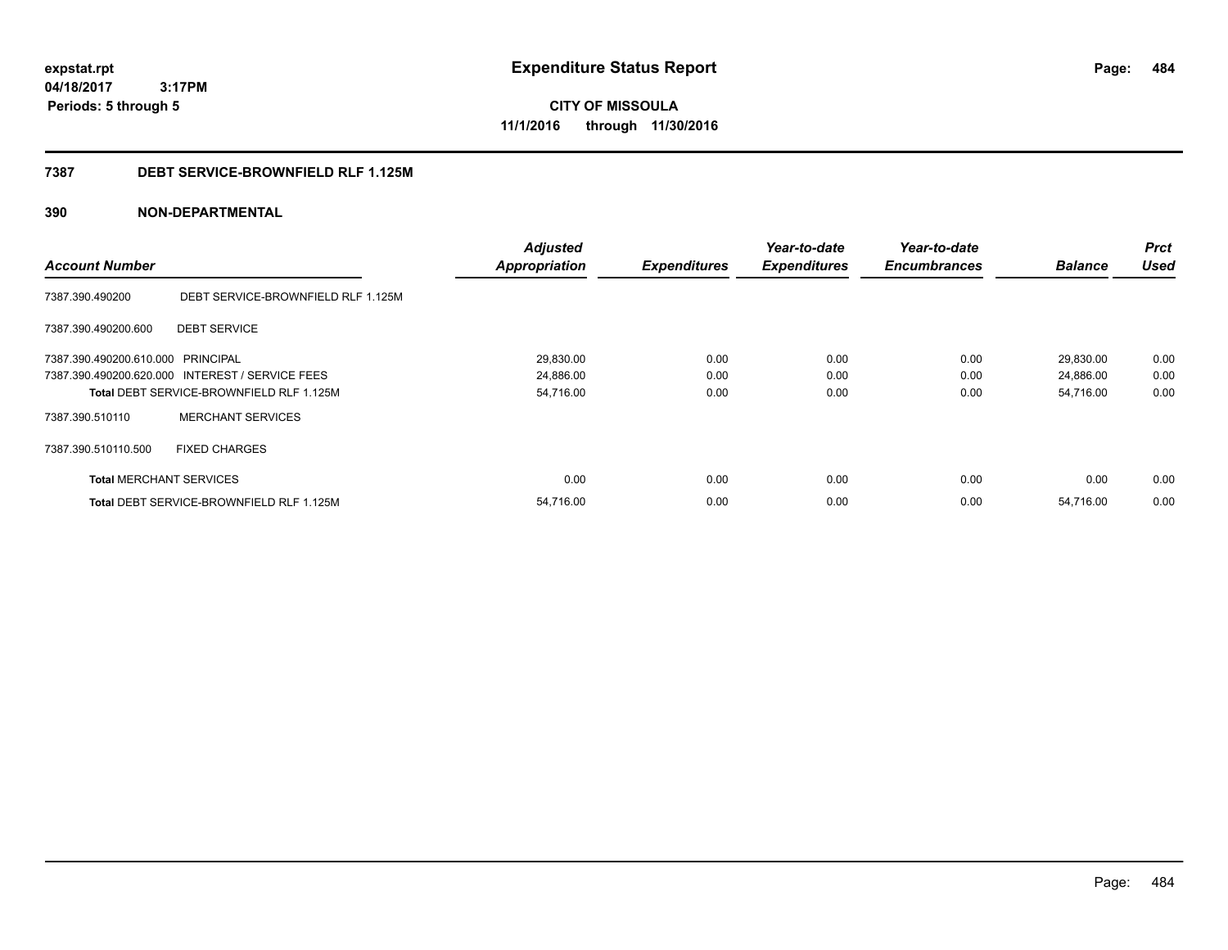**CITY OF MISSOULA 11/1/2016 through 11/30/2016**

## **7387 DEBT SERVICE-BROWNFIELD RLF 1.125M**

|                                   |                                                 | <b>Adjusted</b>      |                     | Year-to-date        | Year-to-date        |                | <b>Prct</b> |
|-----------------------------------|-------------------------------------------------|----------------------|---------------------|---------------------|---------------------|----------------|-------------|
| <b>Account Number</b>             |                                                 | <b>Appropriation</b> | <b>Expenditures</b> | <b>Expenditures</b> | <b>Encumbrances</b> | <b>Balance</b> | <b>Used</b> |
| 7387.390.490200                   | DEBT SERVICE-BROWNFIELD RLF 1.125M              |                      |                     |                     |                     |                |             |
| 7387.390.490200.600               | <b>DEBT SERVICE</b>                             |                      |                     |                     |                     |                |             |
| 7387.390.490200.610.000 PRINCIPAL |                                                 | 29,830.00            | 0.00                | 0.00                | 0.00                | 29,830.00      | 0.00        |
|                                   | 7387.390.490200.620.000 INTEREST / SERVICE FEES | 24,886.00            | 0.00                | 0.00                | 0.00                | 24,886.00      | 0.00        |
|                                   | Total DEBT SERVICE-BROWNFIELD RLF 1.125M        | 54,716.00            | 0.00                | 0.00                | 0.00                | 54,716.00      | 0.00        |
| 7387.390.510110                   | <b>MERCHANT SERVICES</b>                        |                      |                     |                     |                     |                |             |
| 7387.390.510110.500               | <b>FIXED CHARGES</b>                            |                      |                     |                     |                     |                |             |
| <b>Total MERCHANT SERVICES</b>    |                                                 | 0.00                 | 0.00                | 0.00                | 0.00                | 0.00           | 0.00        |
|                                   | <b>Total DEBT SERVICE-BROWNFIELD RLF 1.125M</b> | 54,716.00            | 0.00                | 0.00                | 0.00                | 54,716.00      | 0.00        |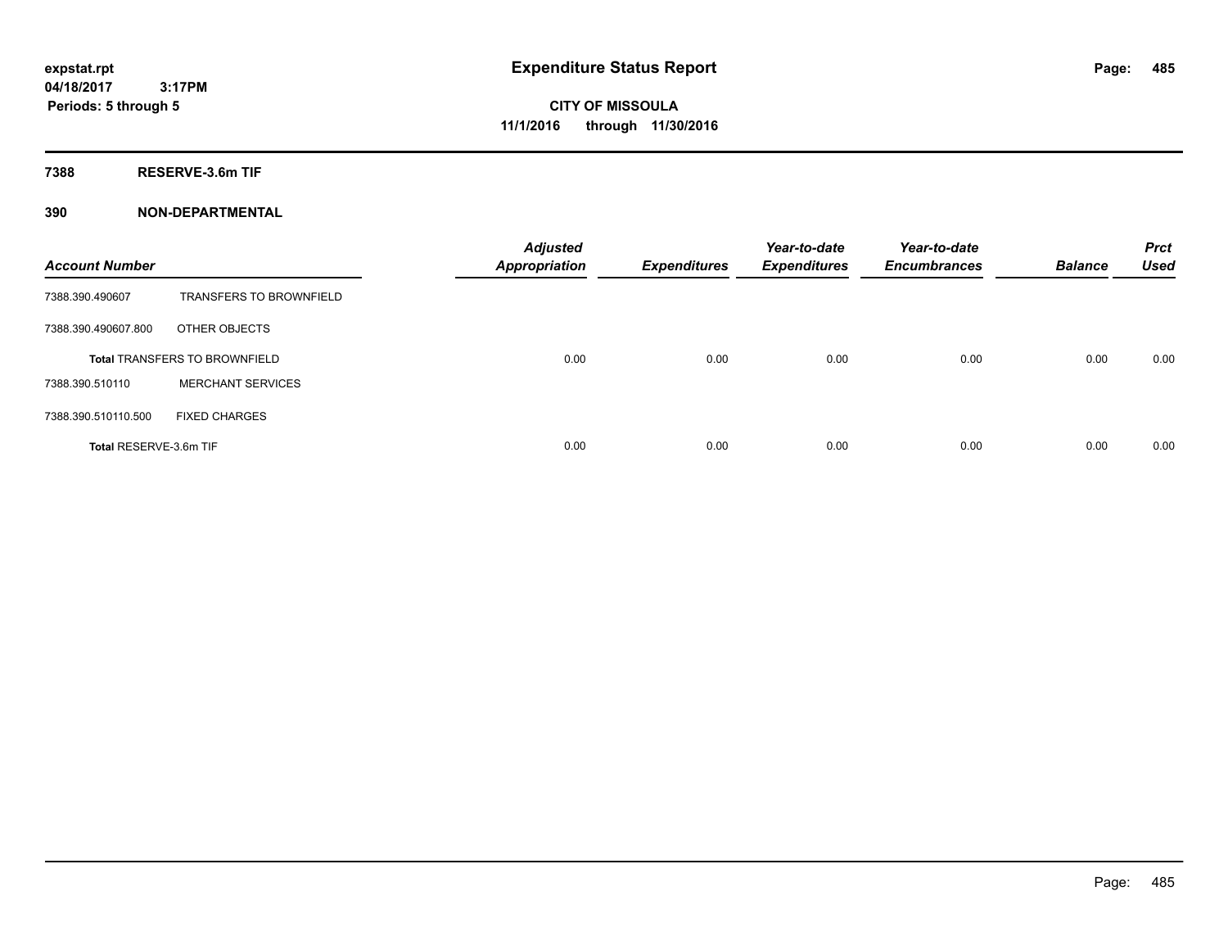**Periods: 5 through 5**

**CITY OF MISSOULA 11/1/2016 through 11/30/2016**

**7388 RESERVE-3.6m TIF**

| <b>Account Number</b>  |                                      | <b>Adjusted</b><br>Appropriation | <b>Expenditures</b> | Year-to-date<br><b>Expenditures</b> | Year-to-date<br><b>Encumbrances</b> | <b>Balance</b> | <b>Prct</b><br><b>Used</b> |
|------------------------|--------------------------------------|----------------------------------|---------------------|-------------------------------------|-------------------------------------|----------------|----------------------------|
| 7388.390.490607        | <b>TRANSFERS TO BROWNFIELD</b>       |                                  |                     |                                     |                                     |                |                            |
| 7388.390.490607.800    | OTHER OBJECTS                        |                                  |                     |                                     |                                     |                |                            |
|                        | <b>Total TRANSFERS TO BROWNFIELD</b> | 0.00                             | 0.00                | 0.00                                | 0.00                                | 0.00           | 0.00                       |
| 7388.390.510110        | <b>MERCHANT SERVICES</b>             |                                  |                     |                                     |                                     |                |                            |
| 7388.390.510110.500    | <b>FIXED CHARGES</b>                 |                                  |                     |                                     |                                     |                |                            |
| Total RESERVE-3.6m TIF |                                      | 0.00                             | 0.00                | 0.00                                | 0.00                                | 0.00           | 0.00                       |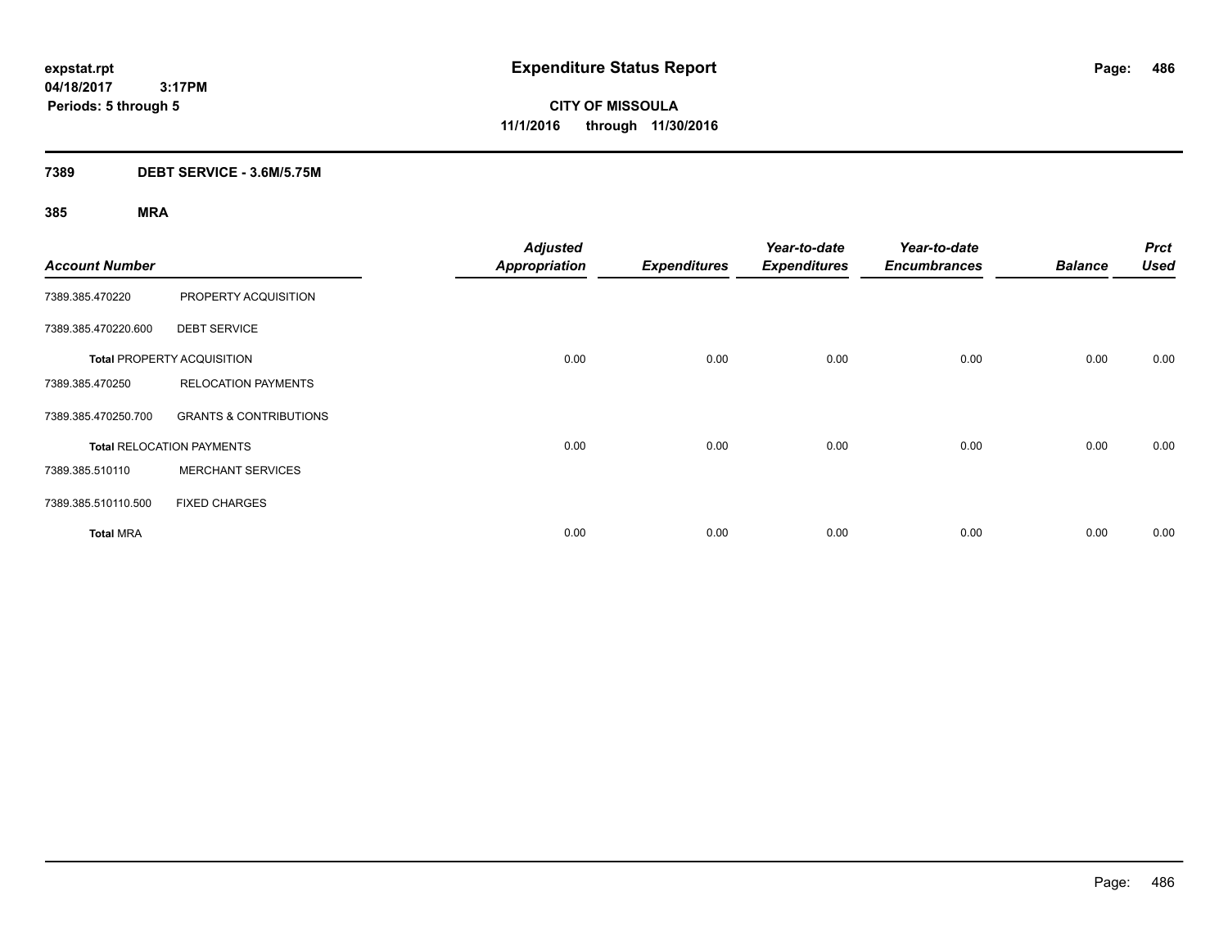**CITY OF MISSOULA 11/1/2016 through 11/30/2016**

## **7389 DEBT SERVICE - 3.6M/5.75M**

| <b>Account Number</b> |                                   | <b>Adjusted</b><br><b>Appropriation</b> | <b>Expenditures</b> | Year-to-date<br><b>Expenditures</b> | Year-to-date<br><b>Encumbrances</b> | <b>Balance</b> | <b>Prct</b><br><b>Used</b> |
|-----------------------|-----------------------------------|-----------------------------------------|---------------------|-------------------------------------|-------------------------------------|----------------|----------------------------|
| 7389.385.470220       | PROPERTY ACQUISITION              |                                         |                     |                                     |                                     |                |                            |
| 7389.385.470220.600   | <b>DEBT SERVICE</b>               |                                         |                     |                                     |                                     |                |                            |
|                       | <b>Total PROPERTY ACQUISITION</b> | 0.00                                    | 0.00                | 0.00                                | 0.00                                | 0.00           | 0.00                       |
| 7389.385.470250       | <b>RELOCATION PAYMENTS</b>        |                                         |                     |                                     |                                     |                |                            |
| 7389.385.470250.700   | <b>GRANTS &amp; CONTRIBUTIONS</b> |                                         |                     |                                     |                                     |                |                            |
|                       | <b>Total RELOCATION PAYMENTS</b>  | 0.00                                    | 0.00                | 0.00                                | 0.00                                | 0.00           | 0.00                       |
| 7389.385.510110       | <b>MERCHANT SERVICES</b>          |                                         |                     |                                     |                                     |                |                            |
| 7389.385.510110.500   | <b>FIXED CHARGES</b>              |                                         |                     |                                     |                                     |                |                            |
| <b>Total MRA</b>      |                                   | 0.00                                    | 0.00                | 0.00                                | 0.00                                | 0.00           | 0.00                       |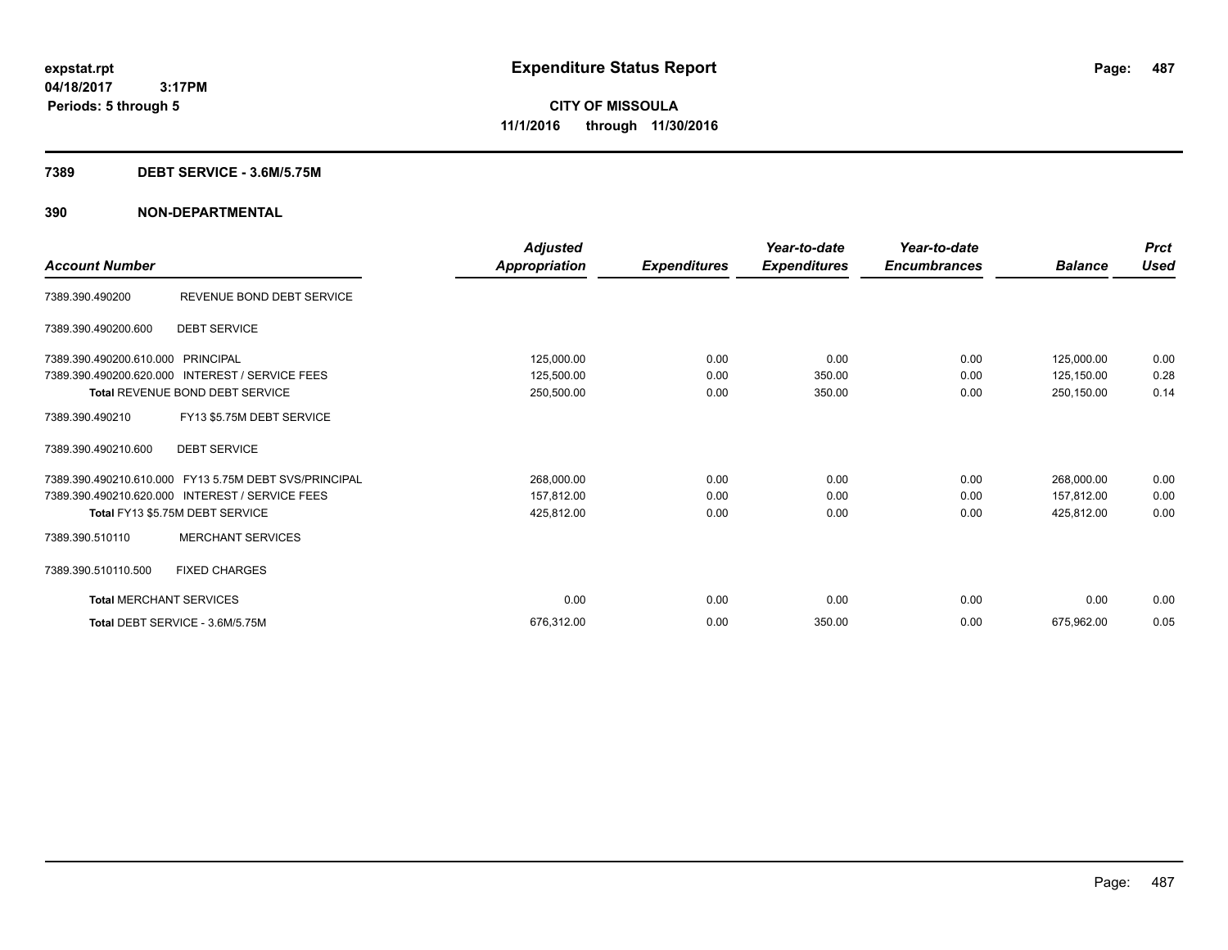### **7389 DEBT SERVICE - 3.6M/5.75M**

|                                |                                                       | <b>Adjusted</b> |                     | Year-to-date        | Year-to-date        |                | <b>Prct</b> |
|--------------------------------|-------------------------------------------------------|-----------------|---------------------|---------------------|---------------------|----------------|-------------|
| <b>Account Number</b>          |                                                       | Appropriation   | <b>Expenditures</b> | <b>Expenditures</b> | <b>Encumbrances</b> | <b>Balance</b> | <b>Used</b> |
| 7389.390.490200                | REVENUE BOND DEBT SERVICE                             |                 |                     |                     |                     |                |             |
| 7389.390.490200.600            | <b>DEBT SERVICE</b>                                   |                 |                     |                     |                     |                |             |
| 7389.390.490200.610.000        | PRINCIPAL                                             | 125,000.00      | 0.00                | 0.00                | 0.00                | 125,000.00     | 0.00        |
| 7389.390.490200.620.000        | <b>INTEREST / SERVICE FEES</b>                        | 125,500.00      | 0.00                | 350.00              | 0.00                | 125,150.00     | 0.28        |
|                                | Total REVENUE BOND DEBT SERVICE                       | 250,500.00      | 0.00                | 350.00              | 0.00                | 250,150.00     | 0.14        |
| 7389.390.490210                | FY13 \$5.75M DEBT SERVICE                             |                 |                     |                     |                     |                |             |
| 7389.390.490210.600            | <b>DEBT SERVICE</b>                                   |                 |                     |                     |                     |                |             |
|                                | 7389.390.490210.610.000 FY13 5.75M DEBT SVS/PRINCIPAL | 268,000.00      | 0.00                | 0.00                | 0.00                | 268,000.00     | 0.00        |
|                                | 7389.390.490210.620.000 INTEREST / SERVICE FEES       | 157,812.00      | 0.00                | 0.00                | 0.00                | 157,812.00     | 0.00        |
|                                | Total FY13 \$5.75M DEBT SERVICE                       | 425,812.00      | 0.00                | 0.00                | 0.00                | 425,812.00     | 0.00        |
| 7389.390.510110                | <b>MERCHANT SERVICES</b>                              |                 |                     |                     |                     |                |             |
| 7389.390.510110.500            | <b>FIXED CHARGES</b>                                  |                 |                     |                     |                     |                |             |
| <b>Total MERCHANT SERVICES</b> |                                                       | 0.00            | 0.00                | 0.00                | 0.00                | 0.00           | 0.00        |
|                                | Total DEBT SERVICE - 3.6M/5.75M                       | 676.312.00      | 0.00                | 350.00              | 0.00                | 675.962.00     | 0.05        |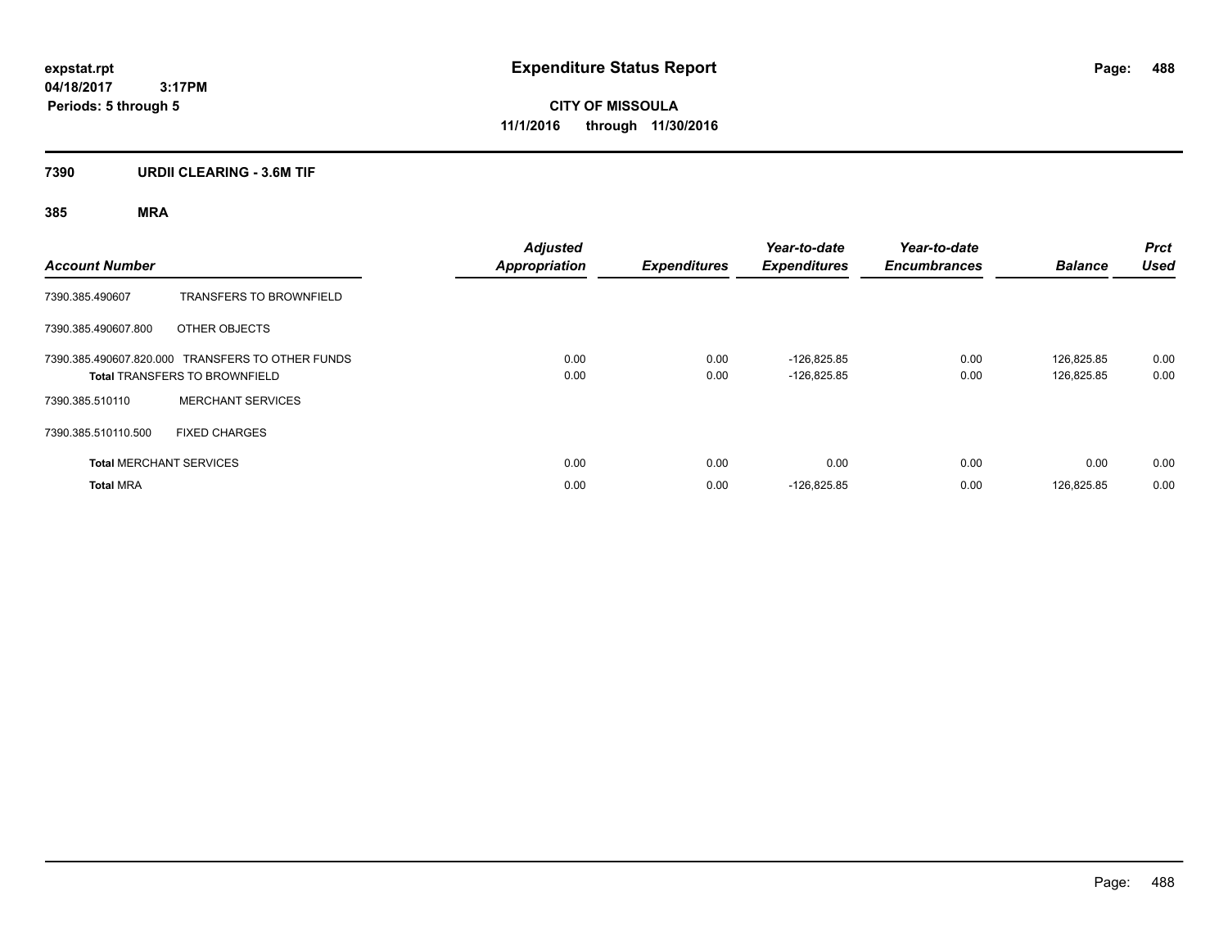**CITY OF MISSOULA 11/1/2016 through 11/30/2016**

## **7390 URDII CLEARING - 3.6M TIF**

| <b>Account Number</b> |                                                                                          | <b>Adjusted</b><br><b>Appropriation</b> | <b>Expenditures</b> | Year-to-date<br><b>Expenditures</b> | Year-to-date<br><b>Encumbrances</b> | <b>Balance</b>           | <b>Prct</b><br><b>Used</b> |
|-----------------------|------------------------------------------------------------------------------------------|-----------------------------------------|---------------------|-------------------------------------|-------------------------------------|--------------------------|----------------------------|
| 7390.385.490607       | <b>TRANSFERS TO BROWNFIELD</b>                                                           |                                         |                     |                                     |                                     |                          |                            |
| 7390.385.490607.800   | OTHER OBJECTS                                                                            |                                         |                     |                                     |                                     |                          |                            |
|                       | 7390.385.490607.820.000 TRANSFERS TO OTHER FUNDS<br><b>Total TRANSFERS TO BROWNFIELD</b> | 0.00<br>0.00                            | 0.00<br>0.00        | $-126.825.85$<br>$-126.825.85$      | 0.00<br>0.00                        | 126.825.85<br>126.825.85 | 0.00<br>0.00               |
| 7390.385.510110       | <b>MERCHANT SERVICES</b>                                                                 |                                         |                     |                                     |                                     |                          |                            |
| 7390.385.510110.500   | <b>FIXED CHARGES</b>                                                                     |                                         |                     |                                     |                                     |                          |                            |
|                       | <b>Total MERCHANT SERVICES</b>                                                           | 0.00                                    | 0.00                | 0.00                                | 0.00                                | 0.00                     | 0.00                       |
| <b>Total MRA</b>      |                                                                                          | 0.00                                    | 0.00                | $-126,825.85$                       | 0.00                                | 126.825.85               | 0.00                       |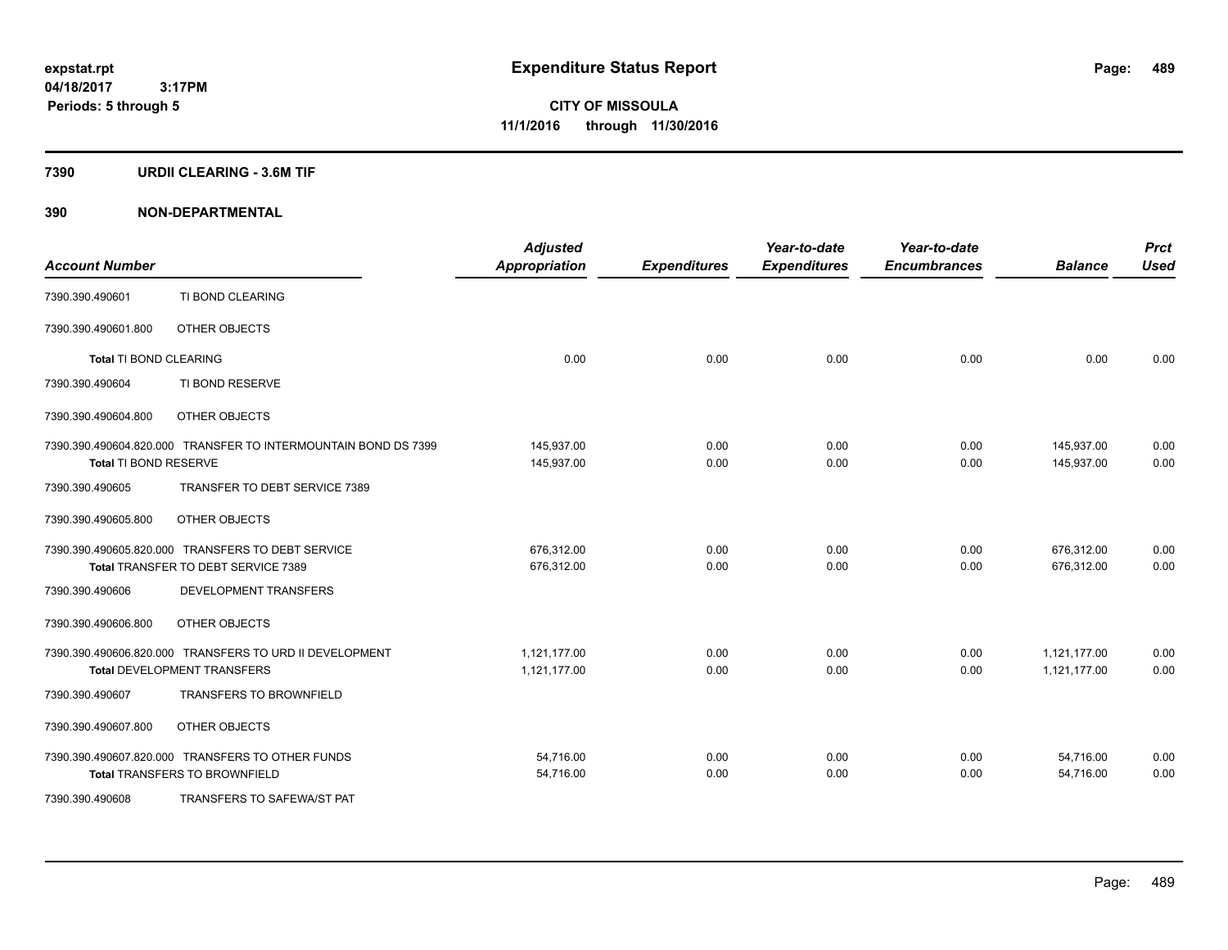### **7390 URDII CLEARING - 3.6M TIF**

| <b>Account Number</b>  |                                                                | <b>Adjusted</b><br><b>Appropriation</b> | <b>Expenditures</b> | Year-to-date<br><b>Expenditures</b> | Year-to-date<br><b>Encumbrances</b> | <b>Balance</b> | <b>Prct</b><br><b>Used</b> |
|------------------------|----------------------------------------------------------------|-----------------------------------------|---------------------|-------------------------------------|-------------------------------------|----------------|----------------------------|
| 7390.390.490601        | TI BOND CLEARING                                               |                                         |                     |                                     |                                     |                |                            |
| 7390.390.490601.800    | OTHER OBJECTS                                                  |                                         |                     |                                     |                                     |                |                            |
| Total TI BOND CLEARING |                                                                | 0.00                                    | 0.00                | 0.00                                | 0.00                                | 0.00           | 0.00                       |
| 7390.390.490604        | TI BOND RESERVE                                                |                                         |                     |                                     |                                     |                |                            |
| 7390.390.490604.800    | OTHER OBJECTS                                                  |                                         |                     |                                     |                                     |                |                            |
|                        | 7390.390.490604.820.000 TRANSFER TO INTERMOUNTAIN BOND DS 7399 | 145,937.00                              | 0.00                | 0.00                                | 0.00                                | 145,937.00     | 0.00                       |
| Total TI BOND RESERVE  |                                                                | 145,937.00                              | 0.00                | 0.00                                | 0.00                                | 145.937.00     | 0.00                       |
| 7390.390.490605        | TRANSFER TO DEBT SERVICE 7389                                  |                                         |                     |                                     |                                     |                |                            |
| 7390.390.490605.800    | OTHER OBJECTS                                                  |                                         |                     |                                     |                                     |                |                            |
|                        | 7390.390.490605.820.000 TRANSFERS TO DEBT SERVICE              | 676,312.00                              | 0.00                | 0.00                                | 0.00                                | 676,312.00     | 0.00                       |
|                        | Total TRANSFER TO DEBT SERVICE 7389                            | 676,312.00                              | 0.00                | 0.00                                | 0.00                                | 676,312.00     | 0.00                       |
| 7390.390.490606        | <b>DEVELOPMENT TRANSFERS</b>                                   |                                         |                     |                                     |                                     |                |                            |
| 7390.390.490606.800    | OTHER OBJECTS                                                  |                                         |                     |                                     |                                     |                |                            |
|                        | 7390.390.490606.820.000 TRANSFERS TO URD II DEVELOPMENT        | 1,121,177.00                            | 0.00                | 0.00                                | 0.00                                | 1,121,177.00   | 0.00                       |
|                        | Total DEVELOPMENT TRANSFERS                                    | 1,121,177.00                            | 0.00                | 0.00                                | 0.00                                | 1,121,177.00   | 0.00                       |
| 7390.390.490607        | <b>TRANSFERS TO BROWNFIELD</b>                                 |                                         |                     |                                     |                                     |                |                            |
| 7390.390.490607.800    | OTHER OBJECTS                                                  |                                         |                     |                                     |                                     |                |                            |
|                        | 7390.390.490607.820.000 TRANSFERS TO OTHER FUNDS               | 54,716.00                               | 0.00                | 0.00                                | 0.00                                | 54,716.00      | 0.00                       |
|                        | <b>Total TRANSFERS TO BROWNFIELD</b>                           | 54,716.00                               | 0.00                | 0.00                                | 0.00                                | 54,716.00      | 0.00                       |
| 7390.390.490608        | TRANSFERS TO SAFEWA/ST PAT                                     |                                         |                     |                                     |                                     |                |                            |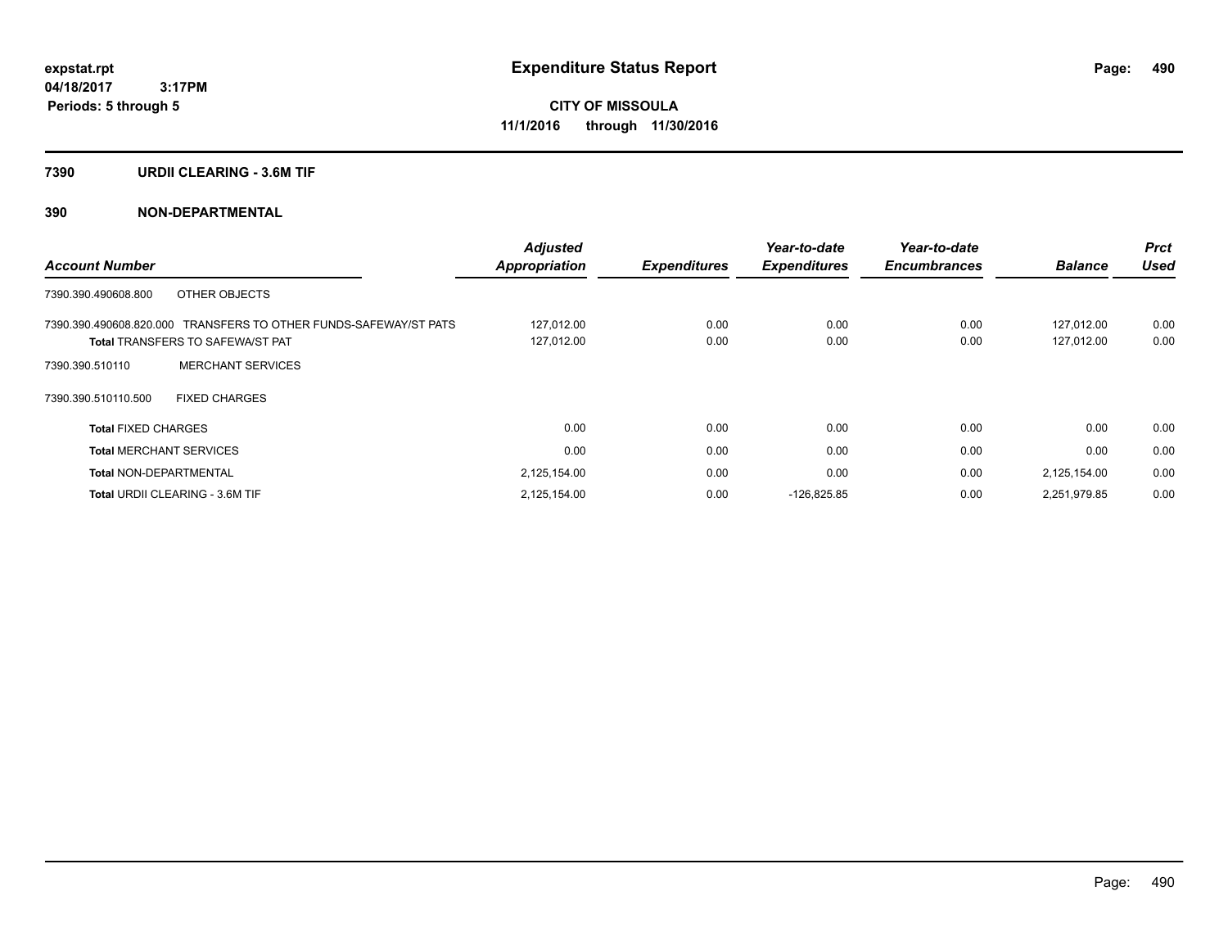### **7390 URDII CLEARING - 3.6M TIF**

| <b>Account Number</b>                                            | <b>Adjusted</b>      | <b>Expenditures</b> | Year-to-date<br><b>Expenditures</b> | Year-to-date<br><b>Encumbrances</b> | <b>Balance</b> | <b>Prct</b><br>Used |
|------------------------------------------------------------------|----------------------|---------------------|-------------------------------------|-------------------------------------|----------------|---------------------|
|                                                                  | <b>Appropriation</b> |                     |                                     |                                     |                |                     |
| OTHER OBJECTS<br>7390.390.490608.800                             |                      |                     |                                     |                                     |                |                     |
| 7390.390.490608.820.000 TRANSFERS TO OTHER FUNDS-SAFEWAY/ST PATS | 127,012.00           | 0.00                | 0.00                                | 0.00                                | 127.012.00     | 0.00                |
| <b>Total TRANSFERS TO SAFEWA/ST PAT</b>                          | 127,012.00           | 0.00                | 0.00                                | 0.00                                | 127,012.00     | 0.00                |
| <b>MERCHANT SERVICES</b><br>7390.390.510110                      |                      |                     |                                     |                                     |                |                     |
| 7390.390.510110.500<br><b>FIXED CHARGES</b>                      |                      |                     |                                     |                                     |                |                     |
| <b>Total FIXED CHARGES</b>                                       | 0.00                 | 0.00                | 0.00                                | 0.00                                | 0.00           | 0.00                |
| <b>Total MERCHANT SERVICES</b>                                   | 0.00                 | 0.00                | 0.00                                | 0.00                                | 0.00           | 0.00                |
| <b>Total NON-DEPARTMENTAL</b>                                    | 2,125,154.00         | 0.00                | 0.00                                | 0.00                                | 2,125,154.00   | 0.00                |
| <b>Total URDII CLEARING - 3.6M TIF</b>                           | 2,125,154.00         | 0.00                | $-126,825.85$                       | 0.00                                | 2,251,979.85   | 0.00                |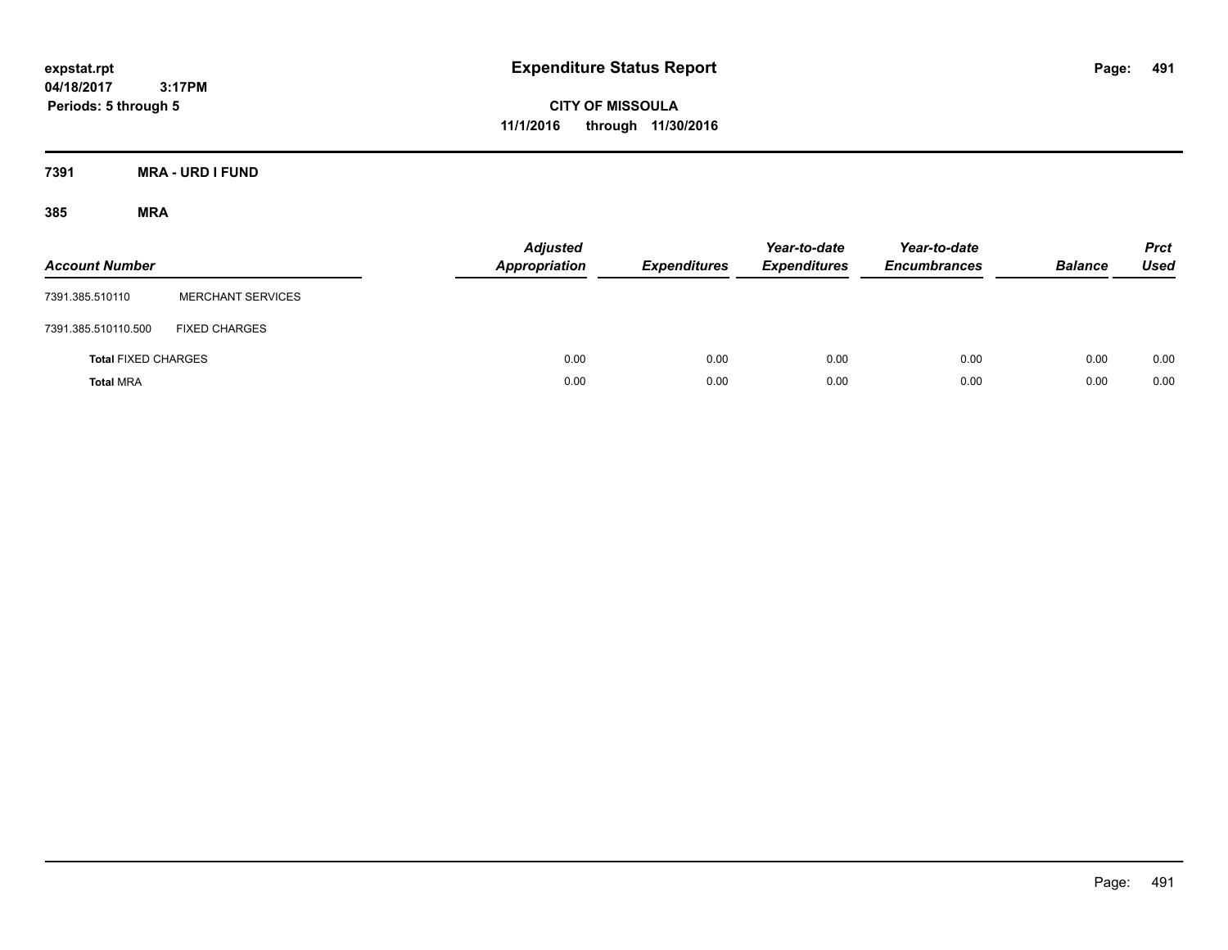**CITY OF MISSOULA 11/1/2016 through 11/30/2016**

**7391 MRA - URD I FUND**

| <b>Account Number</b>      |                          | <b>Adjusted</b><br><b>Appropriation</b> | <b>Expenditures</b> | Year-to-date<br><b>Expenditures</b> | Year-to-date<br><b>Encumbrances</b> | <b>Balance</b> | <b>Prct</b><br><b>Used</b> |
|----------------------------|--------------------------|-----------------------------------------|---------------------|-------------------------------------|-------------------------------------|----------------|----------------------------|
| 7391.385.510110            | <b>MERCHANT SERVICES</b> |                                         |                     |                                     |                                     |                |                            |
| 7391.385.510110.500        | <b>FIXED CHARGES</b>     |                                         |                     |                                     |                                     |                |                            |
| <b>Total FIXED CHARGES</b> |                          | 0.00                                    | 0.00                | 0.00                                | 0.00                                | 0.00           | 0.00                       |
| <b>Total MRA</b>           |                          | 0.00                                    | 0.00                | 0.00                                | 0.00                                | 0.00           | 0.00                       |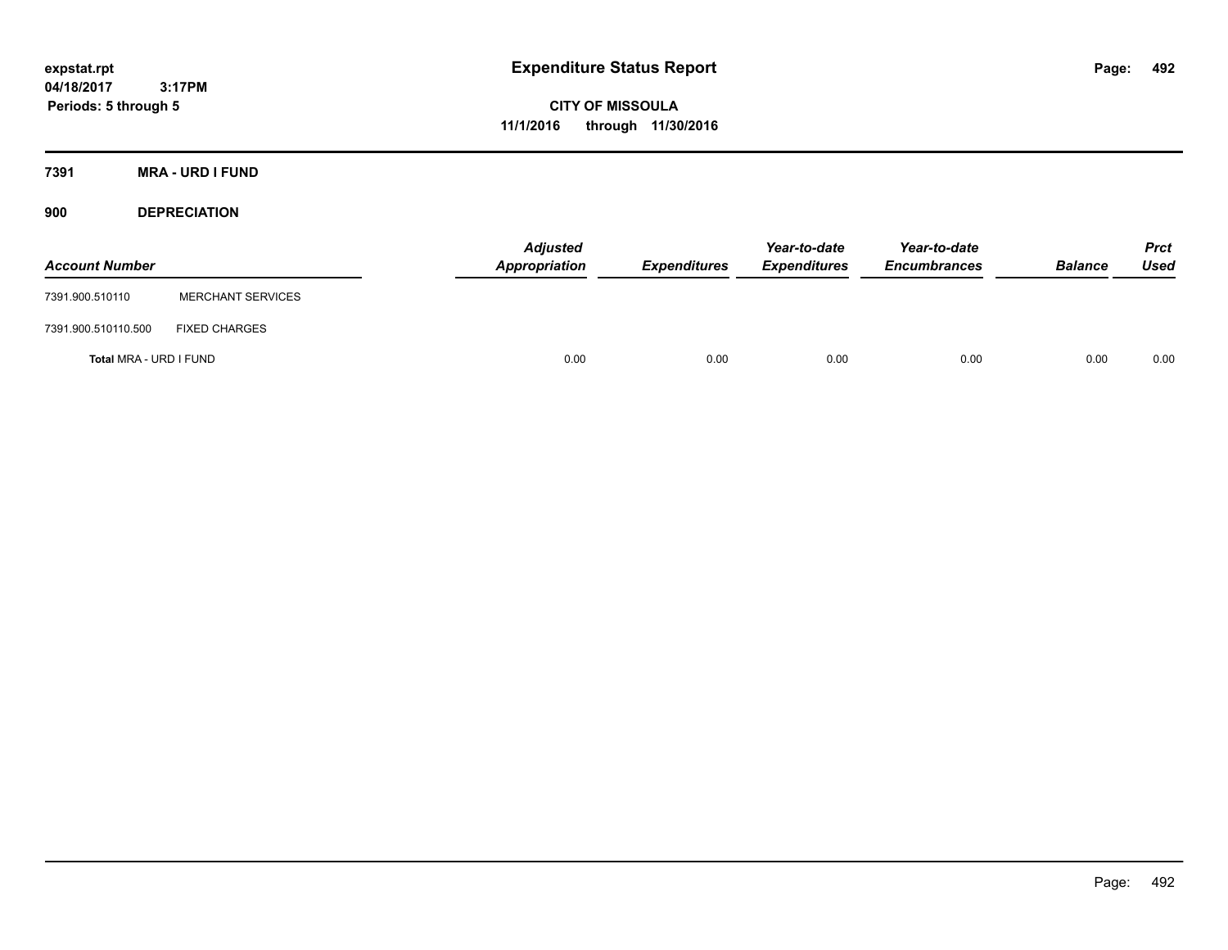**CITY OF MISSOULA 11/1/2016 through 11/30/2016**

**7391 MRA - URD I FUND**

**900 DEPRECIATION**

| <b>Account Number</b>  |                          | Adjusted<br>Appropriation | <b>Expenditures</b> | Year-to-date<br><b>Expenditures</b> | Year-to-date<br><b>Encumbrances</b> | <b>Balance</b> | Prct<br><b>Used</b> |
|------------------------|--------------------------|---------------------------|---------------------|-------------------------------------|-------------------------------------|----------------|---------------------|
| 7391.900.510110        | <b>MERCHANT SERVICES</b> |                           |                     |                                     |                                     |                |                     |
| 7391.900.510110.500    | <b>FIXED CHARGES</b>     |                           |                     |                                     |                                     |                |                     |
| Total MRA - URD I FUND |                          | 0.00                      | 0.00                | 0.00                                | 0.00                                | 0.00           | 0.00                |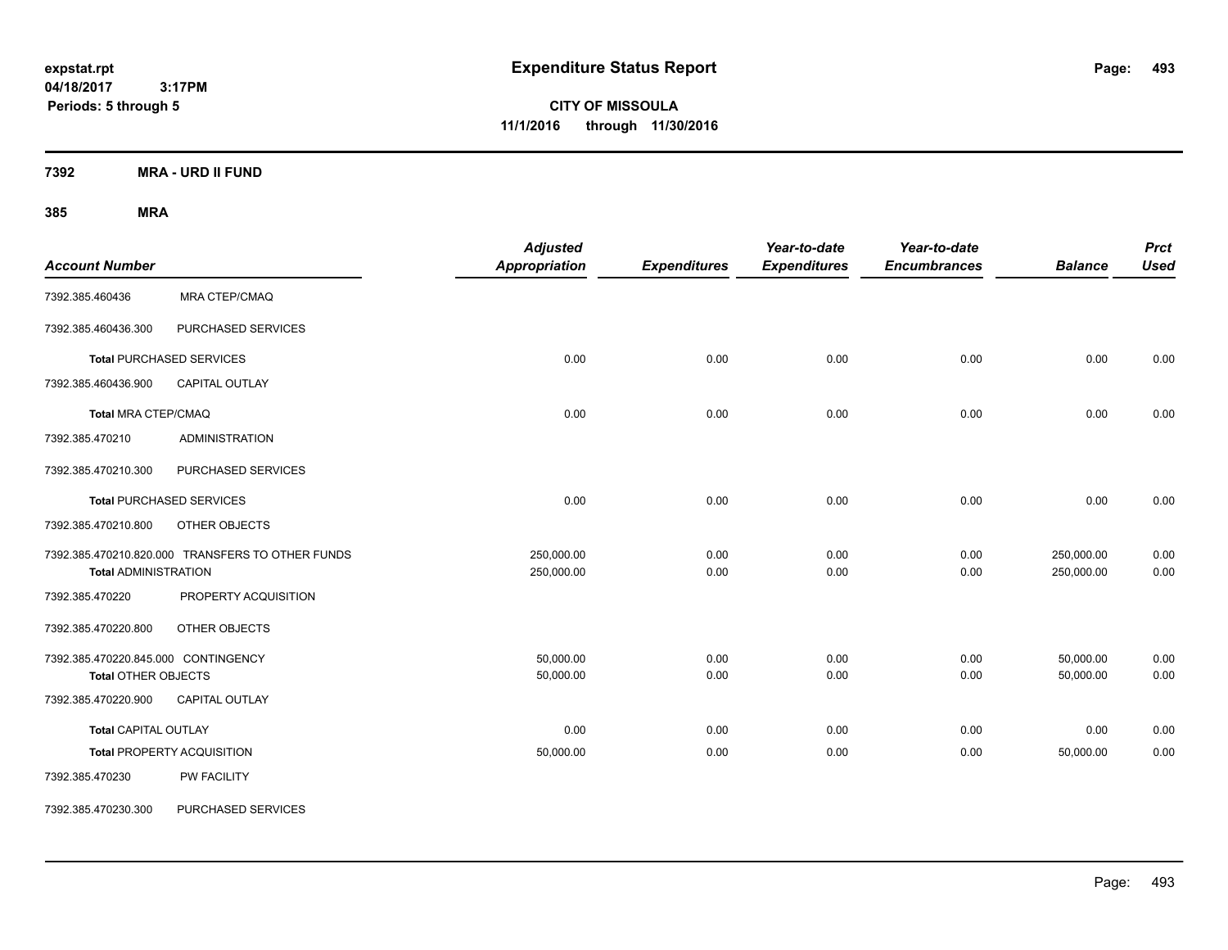**CITY OF MISSOULA 11/1/2016 through 11/30/2016**

**7392 MRA - URD II FUND**

| <b>Account Number</b>                                             |                                                  | <b>Adjusted</b><br>Appropriation | <b>Expenditures</b> | Year-to-date<br><b>Expenditures</b> | Year-to-date<br><b>Encumbrances</b> | <b>Balance</b>           | <b>Prct</b><br><b>Used</b> |
|-------------------------------------------------------------------|--------------------------------------------------|----------------------------------|---------------------|-------------------------------------|-------------------------------------|--------------------------|----------------------------|
| 7392.385.460436                                                   | <b>MRA CTEP/CMAQ</b>                             |                                  |                     |                                     |                                     |                          |                            |
| 7392.385.460436.300                                               | PURCHASED SERVICES                               |                                  |                     |                                     |                                     |                          |                            |
|                                                                   | <b>Total PURCHASED SERVICES</b>                  | 0.00                             | 0.00                | 0.00                                | 0.00                                | 0.00                     | 0.00                       |
| 7392.385.460436.900                                               | <b>CAPITAL OUTLAY</b>                            |                                  |                     |                                     |                                     |                          |                            |
| <b>Total MRA CTEP/CMAQ</b>                                        |                                                  | 0.00                             | 0.00                | 0.00                                | 0.00                                | 0.00                     | 0.00                       |
| 7392.385.470210                                                   | <b>ADMINISTRATION</b>                            |                                  |                     |                                     |                                     |                          |                            |
| 7392.385.470210.300                                               | PURCHASED SERVICES                               |                                  |                     |                                     |                                     |                          |                            |
|                                                                   | <b>Total PURCHASED SERVICES</b>                  | 0.00                             | 0.00                | 0.00                                | 0.00                                | 0.00                     | 0.00                       |
| 7392.385.470210.800                                               | OTHER OBJECTS                                    |                                  |                     |                                     |                                     |                          |                            |
| <b>Total ADMINISTRATION</b>                                       | 7392.385.470210.820.000 TRANSFERS TO OTHER FUNDS | 250,000.00<br>250,000.00         | 0.00<br>0.00        | 0.00<br>0.00                        | 0.00<br>0.00                        | 250,000.00<br>250,000.00 | 0.00<br>0.00               |
| 7392.385.470220                                                   | PROPERTY ACQUISITION                             |                                  |                     |                                     |                                     |                          |                            |
| 7392.385.470220.800                                               | OTHER OBJECTS                                    |                                  |                     |                                     |                                     |                          |                            |
| 7392.385.470220.845.000 CONTINGENCY<br><b>Total OTHER OBJECTS</b> |                                                  | 50,000.00<br>50,000.00           | 0.00<br>0.00        | 0.00<br>0.00                        | 0.00<br>0.00                        | 50,000.00<br>50,000.00   | 0.00<br>0.00               |
| 7392.385.470220.900                                               | <b>CAPITAL OUTLAY</b>                            |                                  |                     |                                     |                                     |                          |                            |
| <b>Total CAPITAL OUTLAY</b>                                       |                                                  | 0.00                             | 0.00                | 0.00                                | 0.00                                | 0.00                     | 0.00                       |
|                                                                   | <b>Total PROPERTY ACQUISITION</b>                | 50,000.00                        | 0.00                | 0.00                                | 0.00                                | 50,000.00                | 0.00                       |
| 7392.385.470230                                                   | PW FACILITY                                      |                                  |                     |                                     |                                     |                          |                            |
| 7392.385.470230.300                                               | PURCHASED SERVICES                               |                                  |                     |                                     |                                     |                          |                            |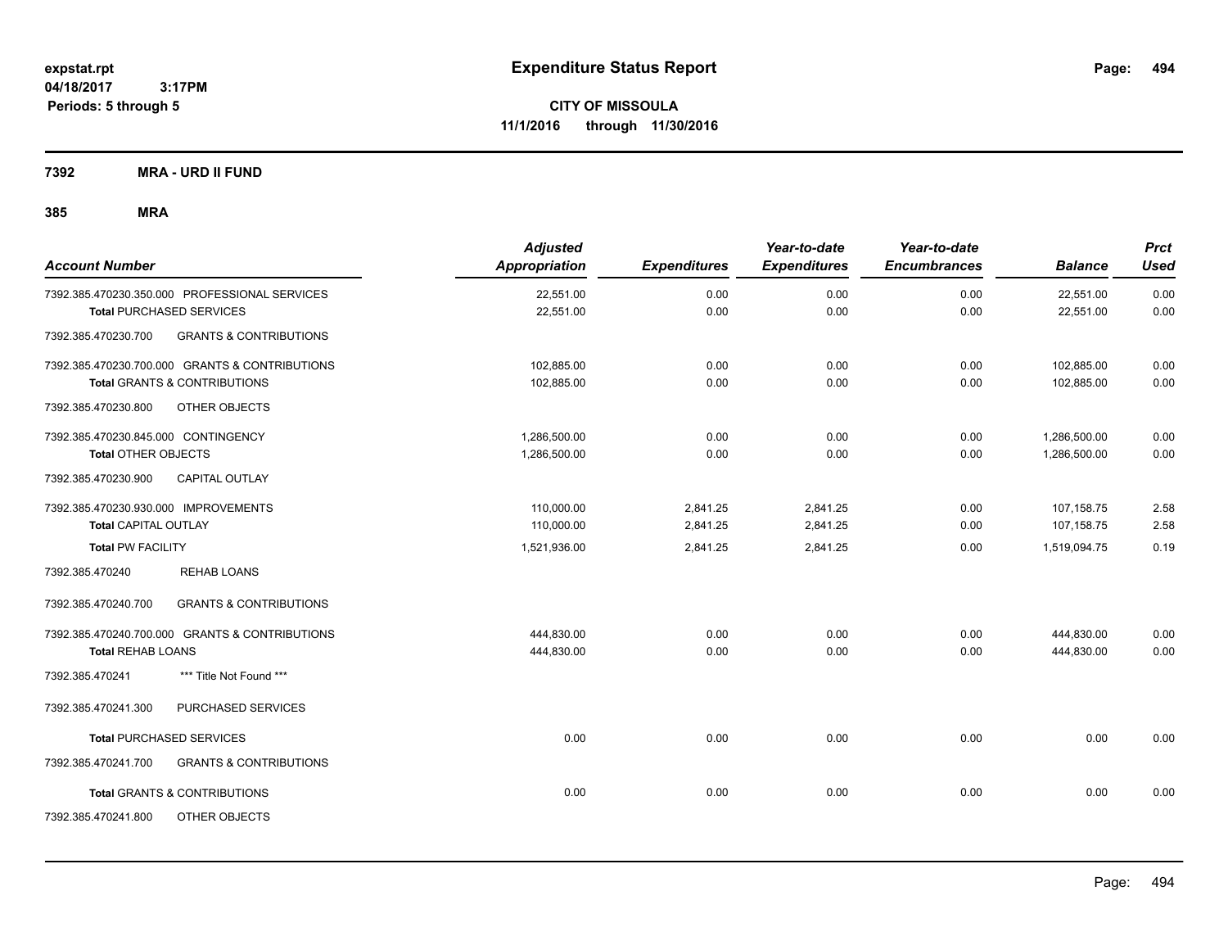**CITY OF MISSOULA 11/1/2016 through 11/30/2016**

**7392 MRA - URD II FUND**

| <b>Account Number</b>                                    | <b>Adjusted</b><br><b>Appropriation</b> | <b>Expenditures</b> | Year-to-date<br><b>Expenditures</b> | Year-to-date<br><b>Encumbrances</b> | <b>Balance</b> | <b>Prct</b><br>Used |
|----------------------------------------------------------|-----------------------------------------|---------------------|-------------------------------------|-------------------------------------|----------------|---------------------|
| 7392.385.470230.350.000 PROFESSIONAL SERVICES            | 22,551.00                               | 0.00                | 0.00                                | 0.00                                | 22,551.00      | 0.00                |
| <b>Total PURCHASED SERVICES</b>                          | 22,551.00                               | 0.00                | 0.00                                | 0.00                                | 22,551.00      | 0.00                |
| <b>GRANTS &amp; CONTRIBUTIONS</b><br>7392.385.470230.700 |                                         |                     |                                     |                                     |                |                     |
| 7392.385.470230.700.000 GRANTS & CONTRIBUTIONS           | 102,885.00                              | 0.00                | 0.00                                | 0.00                                | 102,885.00     | 0.00                |
| <b>Total GRANTS &amp; CONTRIBUTIONS</b>                  | 102,885.00                              | 0.00                | 0.00                                | 0.00                                | 102,885.00     | 0.00                |
| 7392.385.470230.800<br>OTHER OBJECTS                     |                                         |                     |                                     |                                     |                |                     |
| 7392.385.470230.845.000 CONTINGENCY                      | 1.286.500.00                            | 0.00                | 0.00                                | 0.00                                | 1,286,500.00   | 0.00                |
| <b>Total OTHER OBJECTS</b>                               | 1,286,500.00                            | 0.00                | 0.00                                | 0.00                                | 1,286,500.00   | 0.00                |
| 7392.385.470230.900<br>CAPITAL OUTLAY                    |                                         |                     |                                     |                                     |                |                     |
| 7392.385.470230.930.000 IMPROVEMENTS                     | 110,000.00                              | 2,841.25            | 2,841.25                            | 0.00                                | 107,158.75     | 2.58                |
| Total CAPITAL OUTLAY                                     | 110,000.00                              | 2,841.25            | 2,841.25                            | 0.00                                | 107,158.75     | 2.58                |
| <b>Total PW FACILITY</b>                                 | 1,521,936.00                            | 2,841.25            | 2,841.25                            | 0.00                                | 1,519,094.75   | 0.19                |
| <b>REHAB LOANS</b><br>7392.385.470240                    |                                         |                     |                                     |                                     |                |                     |
| 7392.385.470240.700<br><b>GRANTS &amp; CONTRIBUTIONS</b> |                                         |                     |                                     |                                     |                |                     |
| 7392.385.470240.700.000 GRANTS & CONTRIBUTIONS           | 444,830.00                              | 0.00                | 0.00                                | 0.00                                | 444,830.00     | 0.00                |
| <b>Total REHAB LOANS</b>                                 | 444,830.00                              | 0.00                | 0.00                                | 0.00                                | 444,830.00     | 0.00                |
| 7392.385.470241<br>*** Title Not Found ***               |                                         |                     |                                     |                                     |                |                     |
| 7392.385.470241.300<br>PURCHASED SERVICES                |                                         |                     |                                     |                                     |                |                     |
| <b>Total PURCHASED SERVICES</b>                          | 0.00                                    | 0.00                | 0.00                                | 0.00                                | 0.00           | 0.00                |
| 7392.385.470241.700<br><b>GRANTS &amp; CONTRIBUTIONS</b> |                                         |                     |                                     |                                     |                |                     |
| <b>Total GRANTS &amp; CONTRIBUTIONS</b>                  | 0.00                                    | 0.00                | 0.00                                | 0.00                                | 0.00           | 0.00                |
| 7392.385.470241.800<br>OTHER OBJECTS                     |                                         |                     |                                     |                                     |                |                     |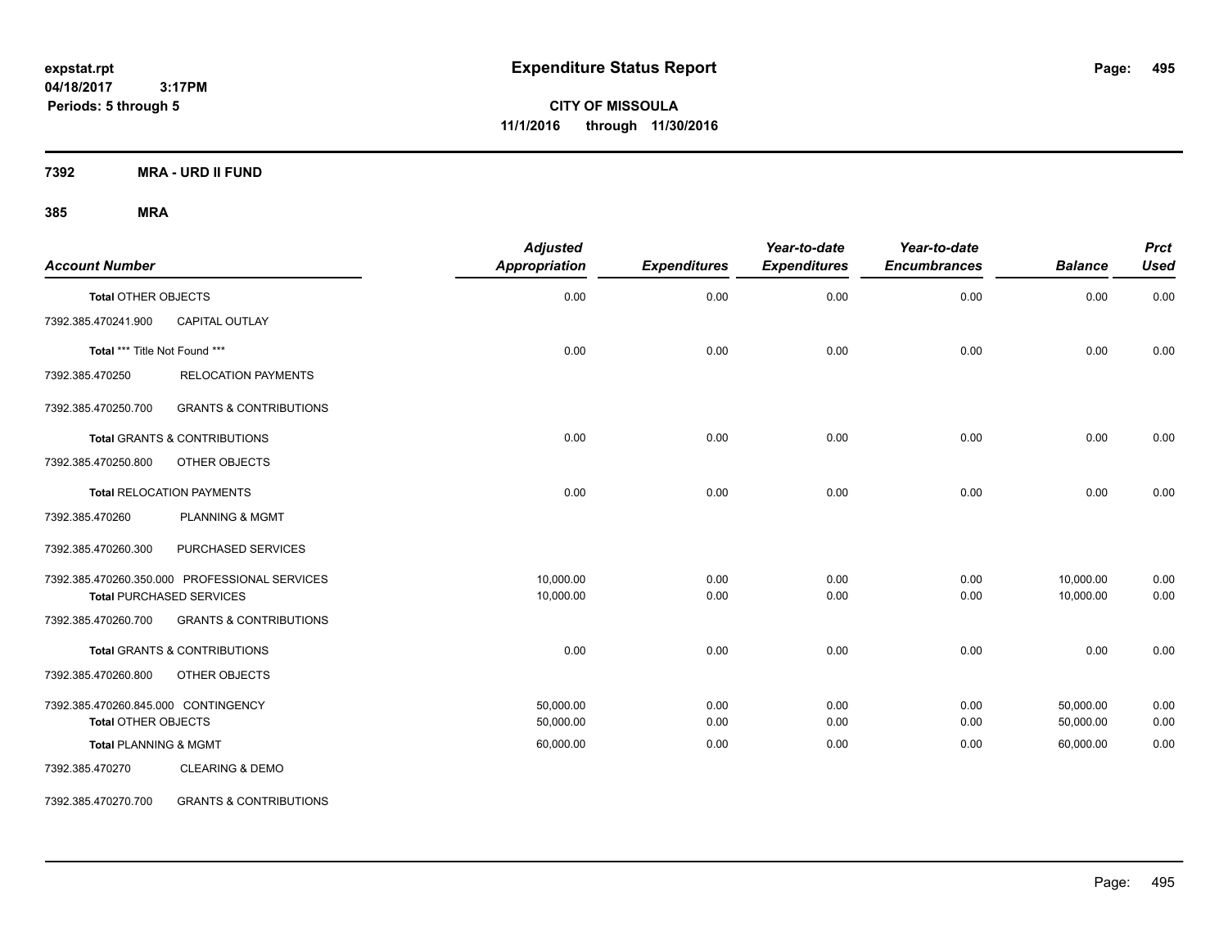**CITY OF MISSOULA 11/1/2016 through 11/30/2016**

**7392 MRA - URD II FUND**

## **385 MRA**

| <b>Account Number</b>               |                                               | <b>Adjusted</b><br>Appropriation | <b>Expenditures</b> | Year-to-date<br><b>Expenditures</b> | Year-to-date<br><b>Encumbrances</b> | <b>Balance</b> | <b>Prct</b><br><b>Used</b> |
|-------------------------------------|-----------------------------------------------|----------------------------------|---------------------|-------------------------------------|-------------------------------------|----------------|----------------------------|
| <b>Total OTHER OBJECTS</b>          |                                               | 0.00                             | 0.00                | 0.00                                | 0.00                                | 0.00           | 0.00                       |
| 7392.385.470241.900                 | CAPITAL OUTLAY                                |                                  |                     |                                     |                                     |                |                            |
| Total *** Title Not Found ***       |                                               | 0.00                             | 0.00                | 0.00                                | 0.00                                | 0.00           | 0.00                       |
| 7392.385.470250                     | <b>RELOCATION PAYMENTS</b>                    |                                  |                     |                                     |                                     |                |                            |
| 7392.385.470250.700                 | <b>GRANTS &amp; CONTRIBUTIONS</b>             |                                  |                     |                                     |                                     |                |                            |
|                                     | Total GRANTS & CONTRIBUTIONS                  | 0.00                             | 0.00                | 0.00                                | 0.00                                | 0.00           | 0.00                       |
| 7392.385.470250.800                 | OTHER OBJECTS                                 |                                  |                     |                                     |                                     |                |                            |
|                                     | <b>Total RELOCATION PAYMENTS</b>              | 0.00                             | 0.00                | 0.00                                | 0.00                                | 0.00           | 0.00                       |
| 7392.385.470260                     | <b>PLANNING &amp; MGMT</b>                    |                                  |                     |                                     |                                     |                |                            |
| 7392.385.470260.300                 | PURCHASED SERVICES                            |                                  |                     |                                     |                                     |                |                            |
|                                     | 7392.385.470260.350.000 PROFESSIONAL SERVICES | 10,000.00                        | 0.00                | 0.00                                | 0.00                                | 10,000.00      | 0.00                       |
|                                     | <b>Total PURCHASED SERVICES</b>               | 10,000.00                        | 0.00                | 0.00                                | 0.00                                | 10,000.00      | 0.00                       |
| 7392.385.470260.700                 | <b>GRANTS &amp; CONTRIBUTIONS</b>             |                                  |                     |                                     |                                     |                |                            |
|                                     | <b>Total GRANTS &amp; CONTRIBUTIONS</b>       | 0.00                             | 0.00                | 0.00                                | 0.00                                | 0.00           | 0.00                       |
| 7392.385.470260.800                 | OTHER OBJECTS                                 |                                  |                     |                                     |                                     |                |                            |
| 7392.385.470260.845.000 CONTINGENCY |                                               | 50,000.00                        | 0.00                | 0.00                                | 0.00                                | 50,000.00      | 0.00                       |
| <b>Total OTHER OBJECTS</b>          |                                               | 50,000.00                        | 0.00                | 0.00                                | 0.00                                | 50,000.00      | 0.00                       |
| <b>Total PLANNING &amp; MGMT</b>    |                                               | 60,000.00                        | 0.00                | 0.00                                | 0.00                                | 60,000.00      | 0.00                       |
| 7392.385.470270                     | <b>CLEARING &amp; DEMO</b>                    |                                  |                     |                                     |                                     |                |                            |

7392.385.470270.700 GRANTS & CONTRIBUTIONS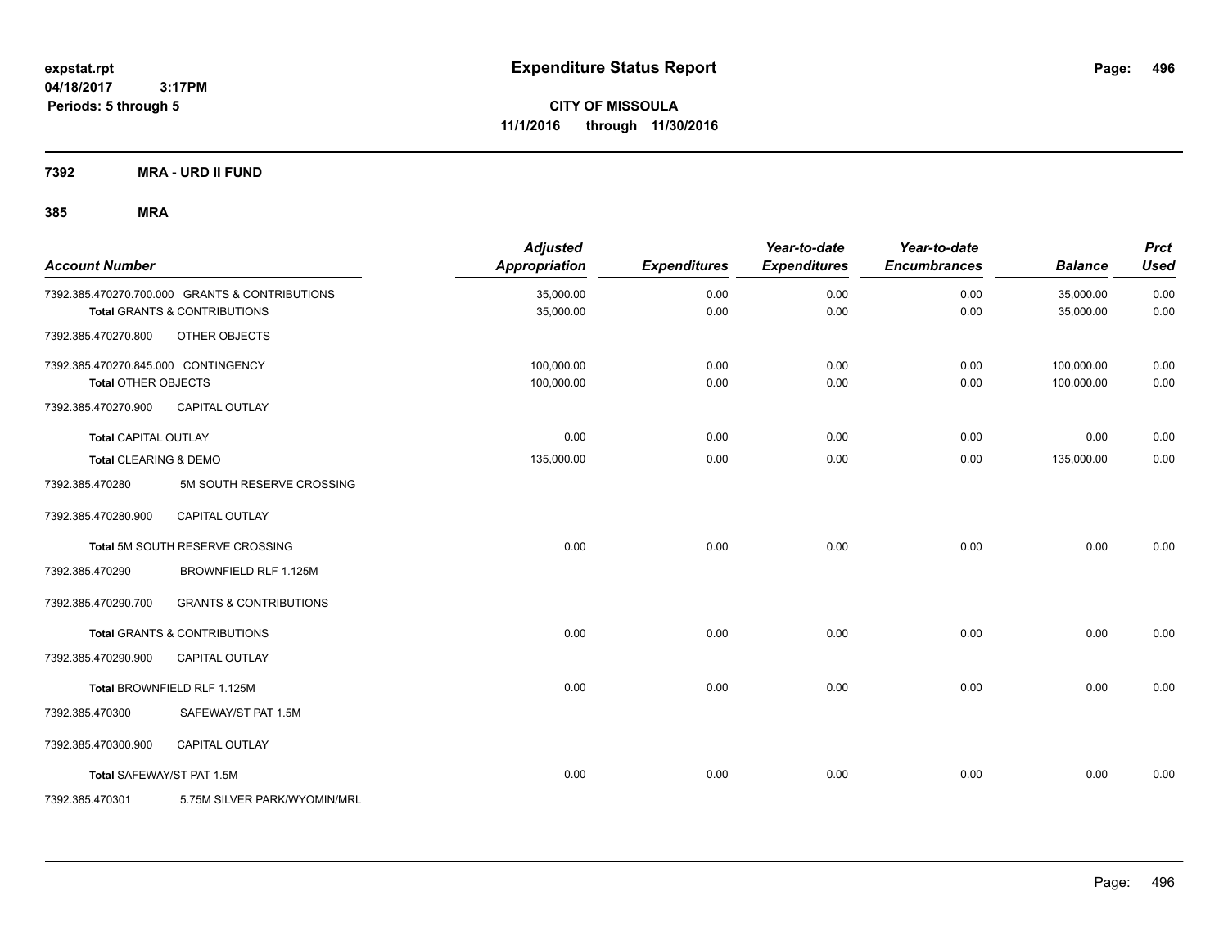**CITY OF MISSOULA 11/1/2016 through 11/30/2016**

**7392 MRA - URD II FUND**

| <b>Account Number</b>               |                                                | <b>Adjusted</b><br>Appropriation | <b>Expenditures</b> | Year-to-date<br><b>Expenditures</b> | Year-to-date<br><b>Encumbrances</b> | <b>Balance</b> | <b>Prct</b><br><b>Used</b> |
|-------------------------------------|------------------------------------------------|----------------------------------|---------------------|-------------------------------------|-------------------------------------|----------------|----------------------------|
|                                     | 7392.385.470270.700.000 GRANTS & CONTRIBUTIONS | 35,000.00                        | 0.00                | 0.00                                | 0.00                                | 35,000.00      | 0.00                       |
|                                     | <b>Total GRANTS &amp; CONTRIBUTIONS</b>        | 35,000.00                        | 0.00                | 0.00                                | 0.00                                | 35,000.00      | 0.00                       |
| 7392.385.470270.800                 | OTHER OBJECTS                                  |                                  |                     |                                     |                                     |                |                            |
| 7392.385.470270.845.000 CONTINGENCY |                                                | 100,000.00                       | 0.00                | 0.00                                | 0.00                                | 100,000.00     | 0.00                       |
| <b>Total OTHER OBJECTS</b>          |                                                | 100,000.00                       | 0.00                | 0.00                                | 0.00                                | 100,000.00     | 0.00                       |
| 7392.385.470270.900                 | <b>CAPITAL OUTLAY</b>                          |                                  |                     |                                     |                                     |                |                            |
| <b>Total CAPITAL OUTLAY</b>         |                                                | 0.00                             | 0.00                | 0.00                                | 0.00                                | 0.00           | 0.00                       |
| Total CLEARING & DEMO               |                                                | 135,000.00                       | 0.00                | 0.00                                | 0.00                                | 135,000.00     | 0.00                       |
| 7392.385.470280                     | 5M SOUTH RESERVE CROSSING                      |                                  |                     |                                     |                                     |                |                            |
| 7392.385.470280.900                 | <b>CAPITAL OUTLAY</b>                          |                                  |                     |                                     |                                     |                |                            |
|                                     | Total 5M SOUTH RESERVE CROSSING                | 0.00                             | 0.00                | 0.00                                | 0.00                                | 0.00           | 0.00                       |
| 7392.385.470290                     | BROWNFIELD RLF 1.125M                          |                                  |                     |                                     |                                     |                |                            |
| 7392.385.470290.700                 | <b>GRANTS &amp; CONTRIBUTIONS</b>              |                                  |                     |                                     |                                     |                |                            |
|                                     | Total GRANTS & CONTRIBUTIONS                   | 0.00                             | 0.00                | 0.00                                | 0.00                                | 0.00           | 0.00                       |
| 7392.385.470290.900                 | CAPITAL OUTLAY                                 |                                  |                     |                                     |                                     |                |                            |
|                                     | Total BROWNFIELD RLF 1.125M                    | 0.00                             | 0.00                | 0.00                                | 0.00                                | 0.00           | 0.00                       |
| 7392.385.470300                     | SAFEWAY/ST PAT 1.5M                            |                                  |                     |                                     |                                     |                |                            |
| 7392.385.470300.900                 | <b>CAPITAL OUTLAY</b>                          |                                  |                     |                                     |                                     |                |                            |
|                                     | Total SAFEWAY/ST PAT 1.5M                      | 0.00                             | 0.00                | 0.00                                | 0.00                                | 0.00           | 0.00                       |
| 7392.385.470301                     | 5.75M SILVER PARK/WYOMIN/MRL                   |                                  |                     |                                     |                                     |                |                            |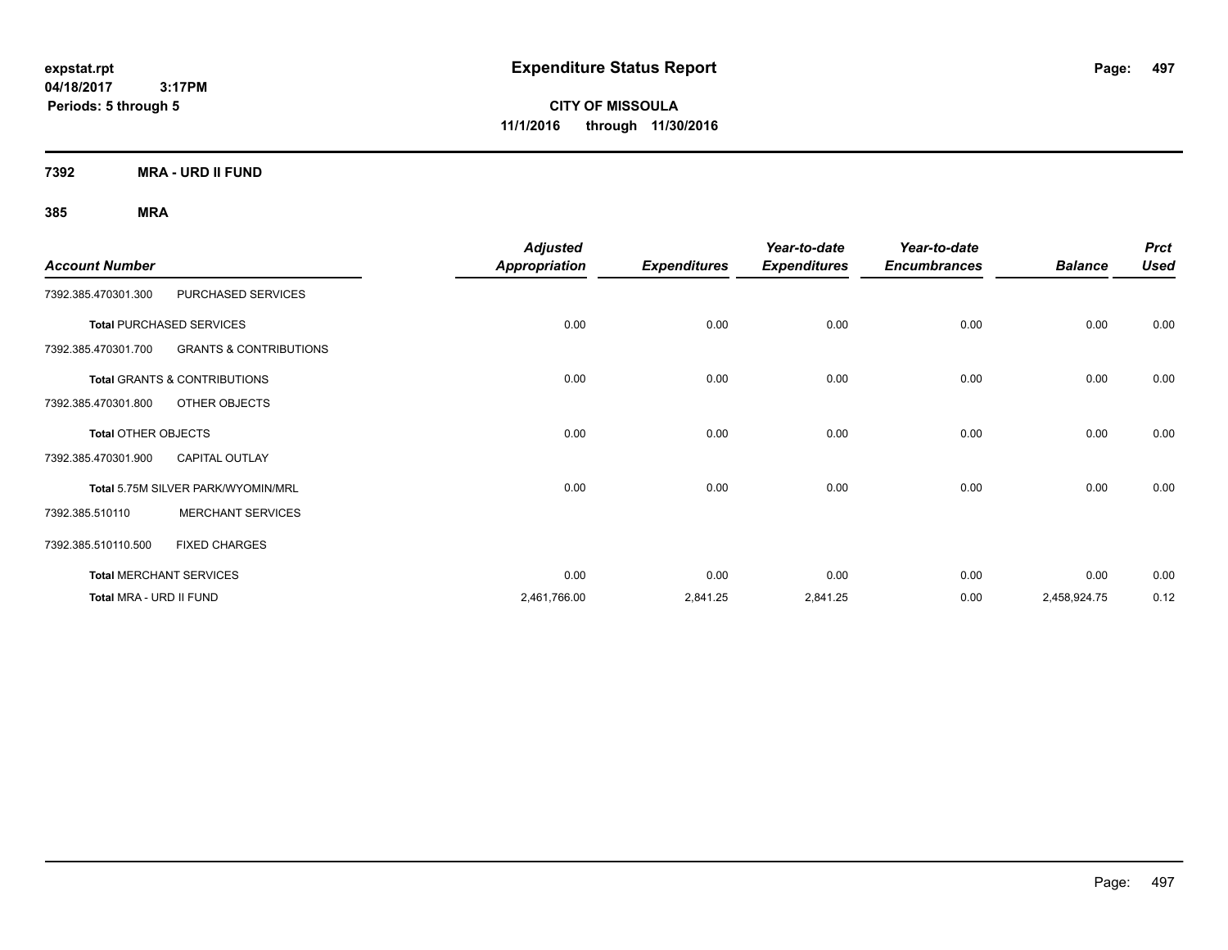**CITY OF MISSOULA 11/1/2016 through 11/30/2016**

**7392 MRA - URD II FUND**

|                            |                                         | <b>Adjusted</b>      |                     | Year-to-date        | Year-to-date        |                | <b>Prct</b> |
|----------------------------|-----------------------------------------|----------------------|---------------------|---------------------|---------------------|----------------|-------------|
| <b>Account Number</b>      |                                         | <b>Appropriation</b> | <b>Expenditures</b> | <b>Expenditures</b> | <b>Encumbrances</b> | <b>Balance</b> | <b>Used</b> |
| 7392.385.470301.300        | PURCHASED SERVICES                      |                      |                     |                     |                     |                |             |
|                            | <b>Total PURCHASED SERVICES</b>         | 0.00                 | 0.00                | 0.00                | 0.00                | 0.00           | 0.00        |
| 7392.385.470301.700        | <b>GRANTS &amp; CONTRIBUTIONS</b>       |                      |                     |                     |                     |                |             |
|                            | <b>Total GRANTS &amp; CONTRIBUTIONS</b> | 0.00                 | 0.00                | 0.00                | 0.00                | 0.00           | 0.00        |
| 7392.385.470301.800        | OTHER OBJECTS                           |                      |                     |                     |                     |                |             |
| <b>Total OTHER OBJECTS</b> |                                         | 0.00                 | 0.00                | 0.00                | 0.00                | 0.00           | 0.00        |
| 7392.385.470301.900        | <b>CAPITAL OUTLAY</b>                   |                      |                     |                     |                     |                |             |
|                            | Total 5.75M SILVER PARK/WYOMIN/MRL      | 0.00                 | 0.00                | 0.00                | 0.00                | 0.00           | 0.00        |
| 7392.385.510110            | <b>MERCHANT SERVICES</b>                |                      |                     |                     |                     |                |             |
| 7392.385.510110.500        | <b>FIXED CHARGES</b>                    |                      |                     |                     |                     |                |             |
|                            | <b>Total MERCHANT SERVICES</b>          | 0.00                 | 0.00                | 0.00                | 0.00                | 0.00           | 0.00        |
| Total MRA - URD II FUND    |                                         | 2,461,766.00         | 2,841.25            | 2,841.25            | 0.00                | 2,458,924.75   | 0.12        |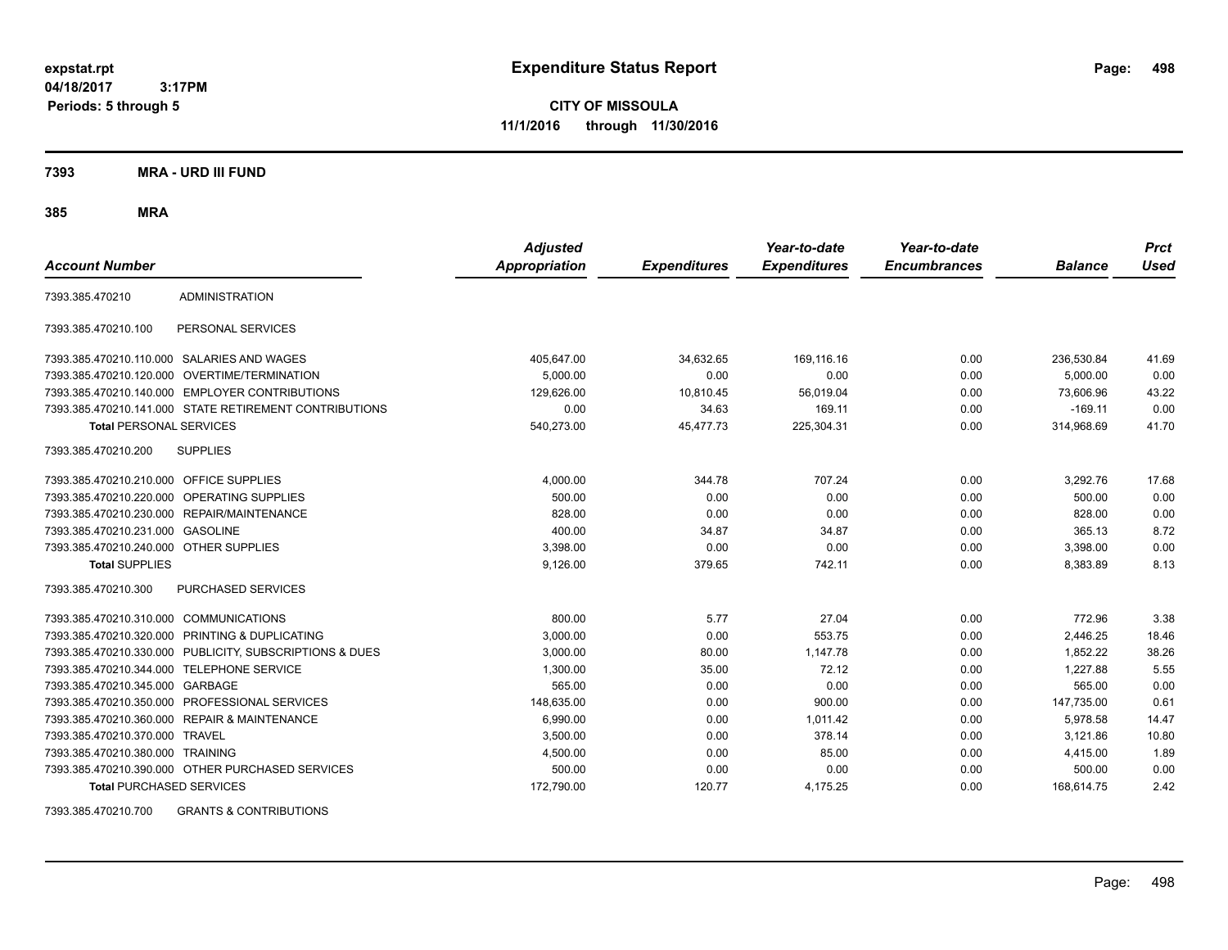**CITY OF MISSOULA 11/1/2016 through 11/30/2016**

**7393 MRA - URD III FUND**

**385 MRA**

| <b>Account Number</b>                   |                                                         | <b>Adjusted</b><br><b>Appropriation</b> | <b>Expenditures</b> | Year-to-date<br><b>Expenditures</b> | Year-to-date<br><b>Encumbrances</b> | <b>Balance</b> | <b>Prct</b><br><b>Used</b> |
|-----------------------------------------|---------------------------------------------------------|-----------------------------------------|---------------------|-------------------------------------|-------------------------------------|----------------|----------------------------|
| 7393.385.470210                         | <b>ADMINISTRATION</b>                                   |                                         |                     |                                     |                                     |                |                            |
| 7393.385.470210.100                     | PERSONAL SERVICES                                       |                                         |                     |                                     |                                     |                |                            |
|                                         | 7393.385.470210.110.000 SALARIES AND WAGES              | 405,647.00                              | 34,632.65           | 169,116.16                          | 0.00                                | 236,530.84     | 41.69                      |
|                                         | 7393.385.470210.120.000 OVERTIME/TERMINATION            | 5.000.00                                | 0.00                | 0.00                                | 0.00                                | 5.000.00       | 0.00                       |
|                                         | 7393.385.470210.140.000 EMPLOYER CONTRIBUTIONS          | 129,626.00                              | 10,810.45           | 56,019.04                           | 0.00                                | 73,606.96      | 43.22                      |
|                                         | 7393.385.470210.141.000 STATE RETIREMENT CONTRIBUTIONS  | 0.00                                    | 34.63               | 169.11                              | 0.00                                | $-169.11$      | 0.00                       |
| <b>Total PERSONAL SERVICES</b>          |                                                         | 540,273.00                              | 45,477.73           | 225,304.31                          | 0.00                                | 314,968.69     | 41.70                      |
| 7393.385.470210.200                     | <b>SUPPLIES</b>                                         |                                         |                     |                                     |                                     |                |                            |
| 7393.385.470210.210.000 OFFICE SUPPLIES |                                                         | 4,000.00                                | 344.78              | 707.24                              | 0.00                                | 3,292.76       | 17.68                      |
|                                         | 7393.385.470210.220.000 OPERATING SUPPLIES              | 500.00                                  | 0.00                | 0.00                                | 0.00                                | 500.00         | 0.00                       |
| 7393.385.470210.230.000                 | REPAIR/MAINTENANCE                                      | 828.00                                  | 0.00                | 0.00                                | 0.00                                | 828.00         | 0.00                       |
| 7393.385.470210.231.000                 | <b>GASOLINE</b>                                         | 400.00                                  | 34.87               | 34.87                               | 0.00                                | 365.13         | 8.72                       |
| 7393.385.470210.240.000 OTHER SUPPLIES  |                                                         | 3,398.00                                | 0.00                | 0.00                                | 0.00                                | 3,398.00       | 0.00                       |
| <b>Total SUPPLIES</b>                   |                                                         | 9,126.00                                | 379.65              | 742.11                              | 0.00                                | 8,383.89       | 8.13                       |
| 7393.385.470210.300                     | <b>PURCHASED SERVICES</b>                               |                                         |                     |                                     |                                     |                |                            |
| 7393.385.470210.310.000 COMMUNICATIONS  |                                                         | 800.00                                  | 5.77                | 27.04                               | 0.00                                | 772.96         | 3.38                       |
| 7393.385.470210.320.000                 | PRINTING & DUPLICATING                                  | 3,000.00                                | 0.00                | 553.75                              | 0.00                                | 2,446.25       | 18.46                      |
|                                         | 7393.385.470210.330.000 PUBLICITY, SUBSCRIPTIONS & DUES | 3,000.00                                | 80.00               | 1,147.78                            | 0.00                                | 1,852.22       | 38.26                      |
| 7393.385.470210.344.000                 | TELEPHONE SERVICE                                       | 1,300.00                                | 35.00               | 72.12                               | 0.00                                | 1.227.88       | 5.55                       |
| 7393.385.470210.345.000 GARBAGE         |                                                         | 565.00                                  | 0.00                | 0.00                                | 0.00                                | 565.00         | 0.00                       |
|                                         | 7393.385.470210.350.000 PROFESSIONAL SERVICES           | 148.635.00                              | 0.00                | 900.00                              | 0.00                                | 147,735.00     | 0.61                       |
|                                         | 7393.385.470210.360.000 REPAIR & MAINTENANCE            | 6,990.00                                | 0.00                | 1.011.42                            | 0.00                                | 5,978.58       | 14.47                      |
| 7393.385.470210.370.000 TRAVEL          |                                                         | 3,500.00                                | 0.00                | 378.14                              | 0.00                                | 3,121.86       | 10.80                      |
| 7393.385.470210.380.000 TRAINING        |                                                         | 4,500.00                                | 0.00                | 85.00                               | 0.00                                | 4,415.00       | 1.89                       |
|                                         | 7393.385.470210.390.000 OTHER PURCHASED SERVICES        | 500.00                                  | 0.00                | 0.00                                | 0.00                                | 500.00         | 0.00                       |
| <b>Total PURCHASED SERVICES</b>         |                                                         | 172,790.00                              | 120.77              | 4,175.25                            | 0.00                                | 168,614.75     | 2.42                       |

7393.385.470210.700 GRANTS & CONTRIBUTIONS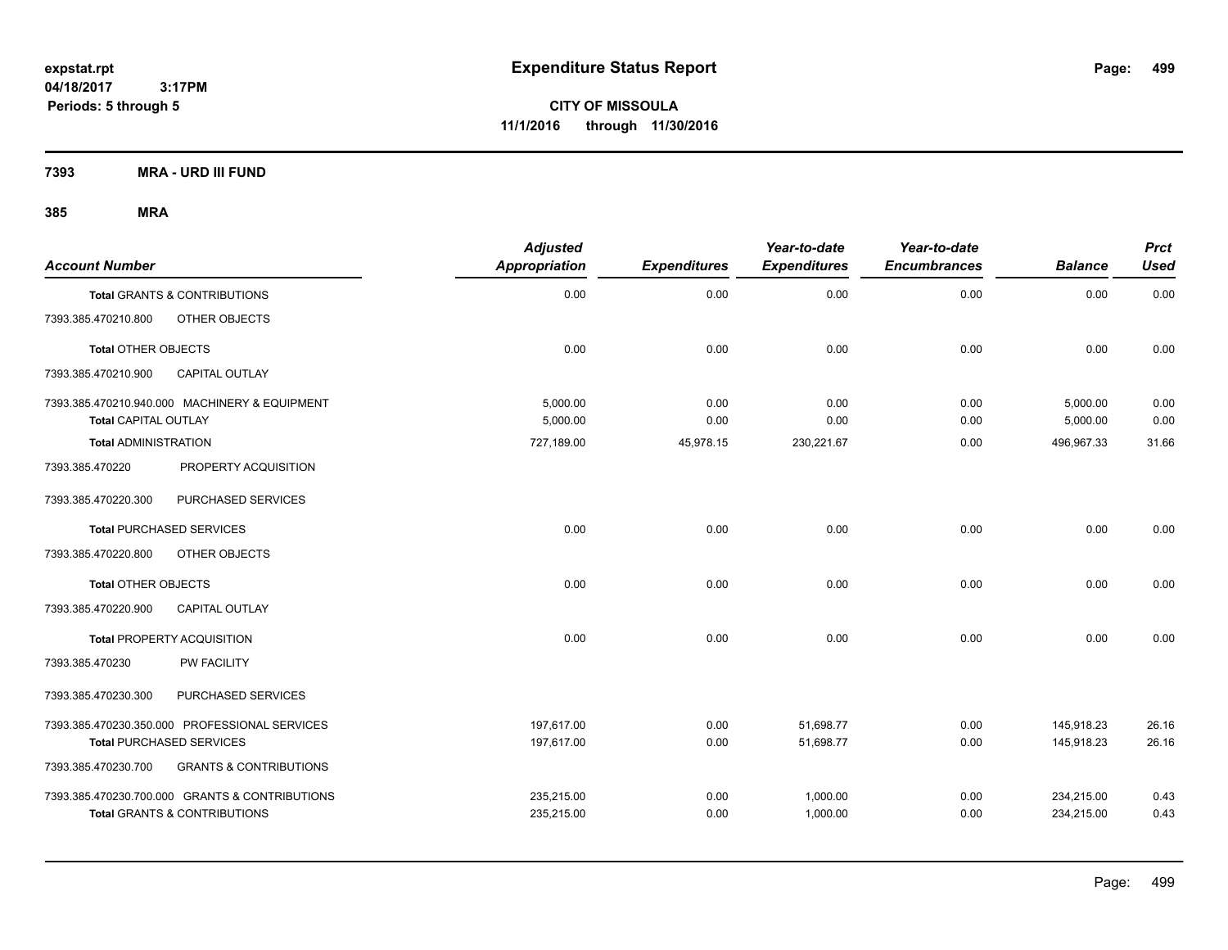**CITY OF MISSOULA 11/1/2016 through 11/30/2016**

**7393 MRA - URD III FUND**

| <b>Account Number</b>       |                                                                                  | <b>Adjusted</b><br>Appropriation | <b>Expenditures</b> | Year-to-date<br><b>Expenditures</b> | Year-to-date<br><b>Encumbrances</b> | <b>Balance</b>           | <b>Prct</b><br><b>Used</b> |
|-----------------------------|----------------------------------------------------------------------------------|----------------------------------|---------------------|-------------------------------------|-------------------------------------|--------------------------|----------------------------|
|                             | Total GRANTS & CONTRIBUTIONS                                                     | 0.00                             | 0.00                | 0.00                                | 0.00                                | 0.00                     | 0.00                       |
| 7393.385.470210.800         | OTHER OBJECTS                                                                    |                                  |                     |                                     |                                     |                          |                            |
| <b>Total OTHER OBJECTS</b>  |                                                                                  | 0.00                             | 0.00                | 0.00                                | 0.00                                | 0.00                     | 0.00                       |
| 7393.385.470210.900         | CAPITAL OUTLAY                                                                   |                                  |                     |                                     |                                     |                          |                            |
| <b>Total CAPITAL OUTLAY</b> | 7393.385.470210.940.000 MACHINERY & EQUIPMENT                                    | 5.000.00<br>5,000.00             | 0.00<br>0.00        | 0.00<br>0.00                        | 0.00<br>0.00                        | 5,000.00<br>5,000.00     | 0.00<br>0.00               |
| <b>Total ADMINISTRATION</b> |                                                                                  | 727,189.00                       | 45,978.15           | 230,221.67                          | 0.00                                | 496,967.33               | 31.66                      |
| 7393.385.470220             | PROPERTY ACQUISITION                                                             |                                  |                     |                                     |                                     |                          |                            |
| 7393.385.470220.300         | PURCHASED SERVICES                                                               |                                  |                     |                                     |                                     |                          |                            |
|                             | <b>Total PURCHASED SERVICES</b>                                                  | 0.00                             | 0.00                | 0.00                                | 0.00                                | 0.00                     | 0.00                       |
| 7393.385.470220.800         | OTHER OBJECTS                                                                    |                                  |                     |                                     |                                     |                          |                            |
| <b>Total OTHER OBJECTS</b>  |                                                                                  | 0.00                             | 0.00                | 0.00                                | 0.00                                | 0.00                     | 0.00                       |
| 7393.385.470220.900         | <b>CAPITAL OUTLAY</b>                                                            |                                  |                     |                                     |                                     |                          |                            |
|                             | <b>Total PROPERTY ACQUISITION</b>                                                | 0.00                             | 0.00                | 0.00                                | 0.00                                | 0.00                     | 0.00                       |
| 7393.385.470230             | PW FACILITY                                                                      |                                  |                     |                                     |                                     |                          |                            |
| 7393.385.470230.300         | PURCHASED SERVICES                                                               |                                  |                     |                                     |                                     |                          |                            |
|                             | 7393.385.470230.350.000 PROFESSIONAL SERVICES<br><b>Total PURCHASED SERVICES</b> | 197.617.00<br>197,617.00         | 0.00<br>0.00        | 51,698.77<br>51,698.77              | 0.00<br>0.00                        | 145,918.23<br>145,918.23 | 26.16<br>26.16             |
| 7393.385.470230.700         | <b>GRANTS &amp; CONTRIBUTIONS</b>                                                |                                  |                     |                                     |                                     |                          |                            |
|                             | 7393.385.470230.700.000 GRANTS & CONTRIBUTIONS<br>Total GRANTS & CONTRIBUTIONS   | 235,215.00<br>235,215.00         | 0.00<br>0.00        | 1,000.00<br>1,000.00                | 0.00<br>0.00                        | 234,215.00<br>234,215.00 | 0.43<br>0.43               |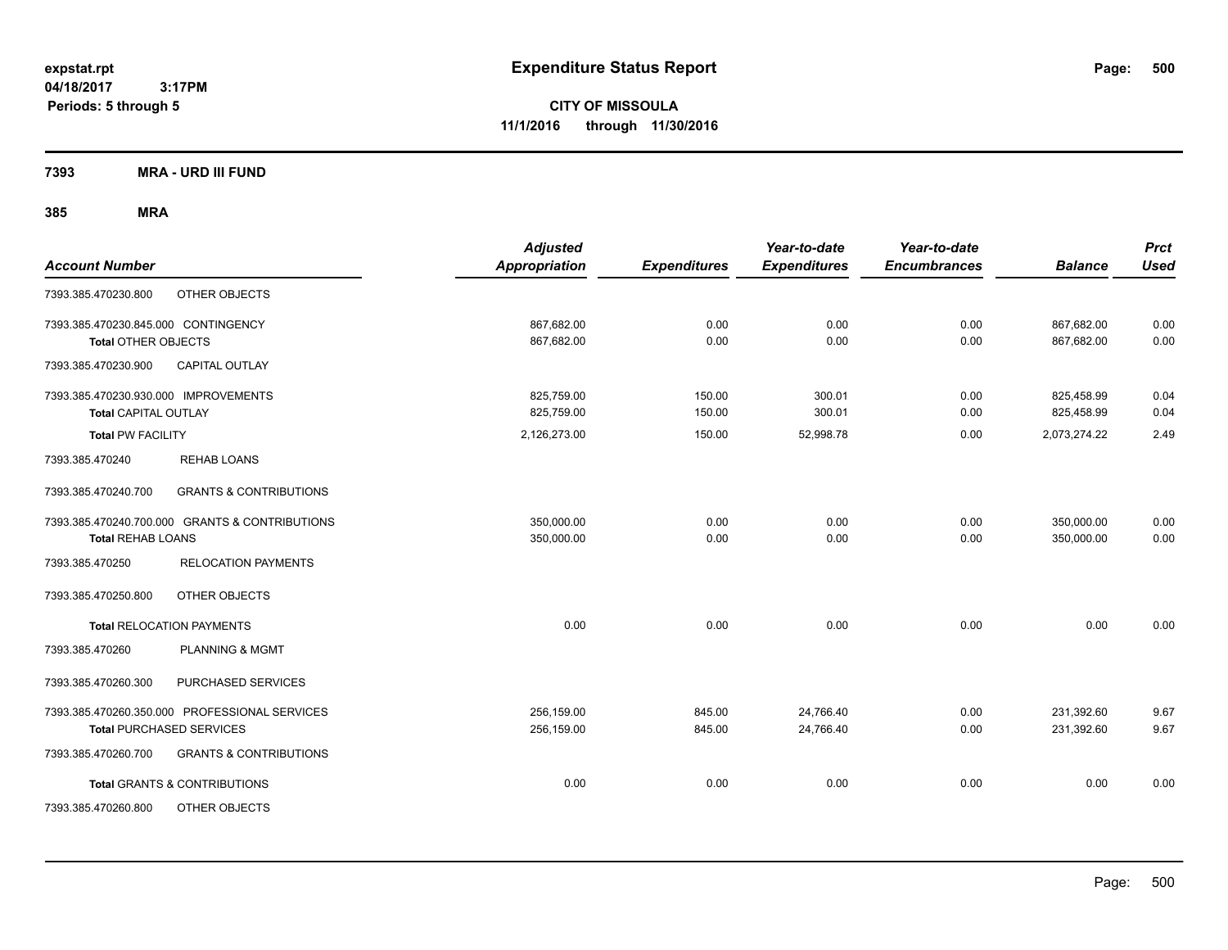**CITY OF MISSOULA 11/1/2016 through 11/30/2016**

**7393 MRA - URD III FUND**

| <b>Account Number</b>                                                            | <b>Adjusted</b><br><b>Appropriation</b> | <b>Expenditures</b> | Year-to-date<br><b>Expenditures</b> | Year-to-date<br><b>Encumbrances</b> | <b>Balance</b>           | <b>Prct</b><br><b>Used</b> |
|----------------------------------------------------------------------------------|-----------------------------------------|---------------------|-------------------------------------|-------------------------------------|--------------------------|----------------------------|
| OTHER OBJECTS<br>7393.385.470230.800                                             |                                         |                     |                                     |                                     |                          |                            |
| 7393.385.470230.845.000 CONTINGENCY<br><b>Total OTHER OBJECTS</b>                | 867,682.00<br>867.682.00                | 0.00<br>0.00        | 0.00<br>0.00                        | 0.00<br>0.00                        | 867,682.00<br>867.682.00 | 0.00<br>0.00               |
| CAPITAL OUTLAY<br>7393.385.470230.900                                            |                                         |                     |                                     |                                     |                          |                            |
| 7393.385.470230.930.000 IMPROVEMENTS<br><b>Total CAPITAL OUTLAY</b>              | 825,759.00<br>825,759.00                | 150.00<br>150.00    | 300.01<br>300.01                    | 0.00<br>0.00                        | 825,458.99<br>825,458.99 | 0.04<br>0.04               |
| <b>Total PW FACILITY</b>                                                         | 2,126,273.00                            | 150.00              | 52,998.78                           | 0.00                                | 2,073,274.22             | 2.49                       |
| 7393.385.470240<br><b>REHAB LOANS</b>                                            |                                         |                     |                                     |                                     |                          |                            |
| 7393.385.470240.700<br><b>GRANTS &amp; CONTRIBUTIONS</b>                         |                                         |                     |                                     |                                     |                          |                            |
| 7393.385.470240.700.000 GRANTS & CONTRIBUTIONS<br><b>Total REHAB LOANS</b>       | 350,000.00<br>350,000.00                | 0.00<br>0.00        | 0.00<br>0.00                        | 0.00<br>0.00                        | 350,000.00<br>350,000.00 | 0.00<br>0.00               |
| 7393.385.470250<br><b>RELOCATION PAYMENTS</b>                                    |                                         |                     |                                     |                                     |                          |                            |
| 7393.385.470250.800<br>OTHER OBJECTS                                             |                                         |                     |                                     |                                     |                          |                            |
| <b>Total RELOCATION PAYMENTS</b>                                                 | 0.00                                    | 0.00                | 0.00                                | 0.00                                | 0.00                     | 0.00                       |
| <b>PLANNING &amp; MGMT</b><br>7393.385.470260                                    |                                         |                     |                                     |                                     |                          |                            |
| PURCHASED SERVICES<br>7393.385.470260.300                                        |                                         |                     |                                     |                                     |                          |                            |
| 7393.385.470260.350.000 PROFESSIONAL SERVICES<br><b>Total PURCHASED SERVICES</b> | 256,159.00<br>256,159.00                | 845.00<br>845.00    | 24,766.40<br>24,766.40              | 0.00<br>0.00                        | 231,392.60<br>231,392.60 | 9.67<br>9.67               |
| 7393.385.470260.700<br><b>GRANTS &amp; CONTRIBUTIONS</b>                         |                                         |                     |                                     |                                     |                          |                            |
| <b>Total GRANTS &amp; CONTRIBUTIONS</b>                                          | 0.00                                    | 0.00                | 0.00                                | 0.00                                | 0.00                     | 0.00                       |
| OTHER OBJECTS<br>7393.385.470260.800                                             |                                         |                     |                                     |                                     |                          |                            |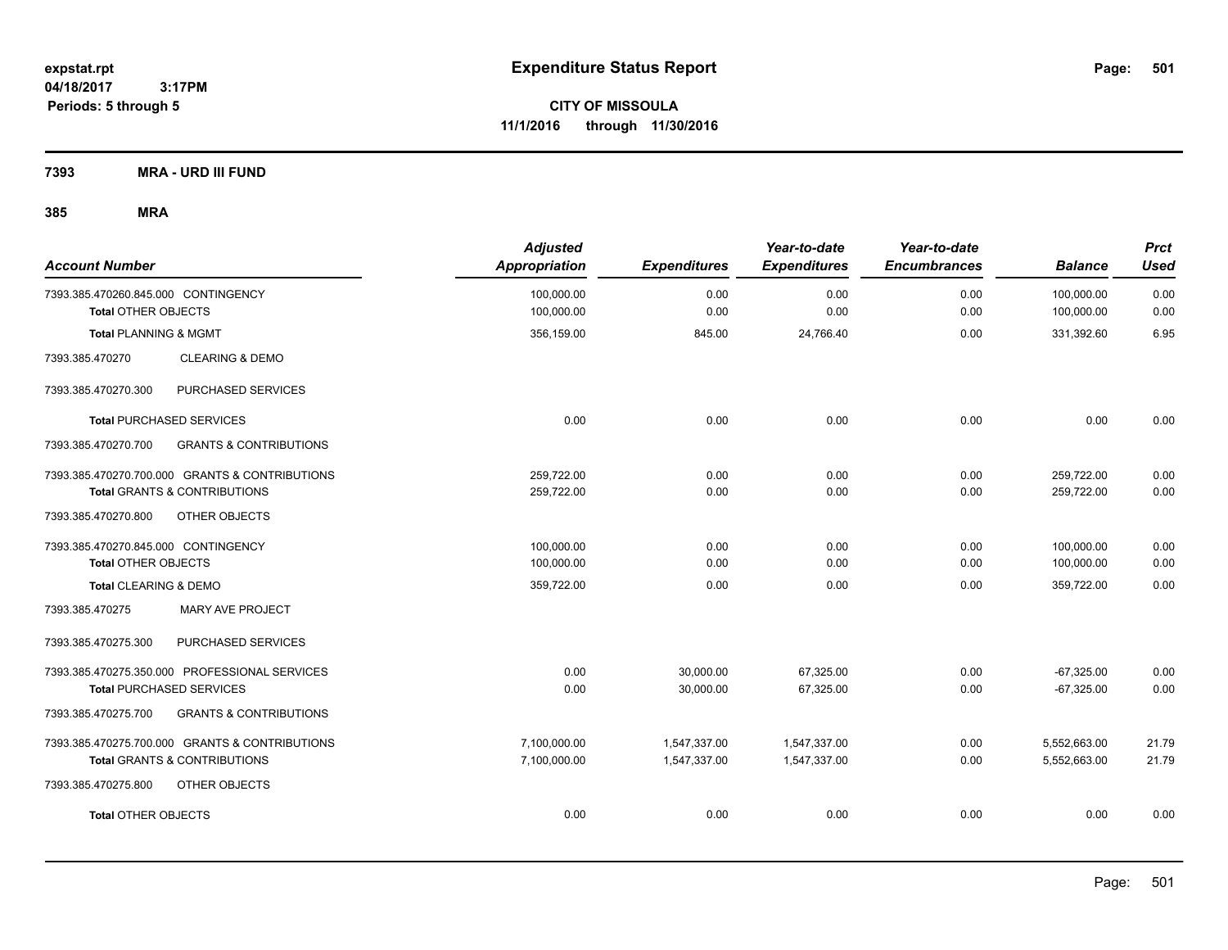**CITY OF MISSOULA 11/1/2016 through 11/30/2016**

**7393 MRA - URD III FUND**

| <b>Account Number</b>                                             | <b>Adjusted</b><br>Appropriation | <b>Expenditures</b> | Year-to-date<br><b>Expenditures</b> | Year-to-date<br><b>Encumbrances</b> | <b>Balance</b>           | <b>Prct</b><br><b>Used</b> |
|-------------------------------------------------------------------|----------------------------------|---------------------|-------------------------------------|-------------------------------------|--------------------------|----------------------------|
| 7393.385.470260.845.000 CONTINGENCY<br><b>Total OTHER OBJECTS</b> | 100,000.00<br>100,000.00         | 0.00<br>0.00        | 0.00<br>0.00                        | 0.00<br>0.00                        | 100,000.00<br>100,000.00 | 0.00<br>0.00               |
| <b>Total PLANNING &amp; MGMT</b>                                  | 356,159.00                       | 845.00              | 24,766.40                           | 0.00                                | 331,392.60               | 6.95                       |
| 7393.385.470270<br><b>CLEARING &amp; DEMO</b>                     |                                  |                     |                                     |                                     |                          |                            |
| 7393.385.470270.300<br>PURCHASED SERVICES                         |                                  |                     |                                     |                                     |                          |                            |
| <b>Total PURCHASED SERVICES</b>                                   | 0.00                             | 0.00                | 0.00                                | 0.00                                | 0.00                     | 0.00                       |
| 7393.385.470270.700<br><b>GRANTS &amp; CONTRIBUTIONS</b>          |                                  |                     |                                     |                                     |                          |                            |
| 7393.385.470270.700.000 GRANTS & CONTRIBUTIONS                    | 259,722.00                       | 0.00                | 0.00                                | 0.00                                | 259,722.00               | 0.00                       |
| <b>Total GRANTS &amp; CONTRIBUTIONS</b>                           | 259,722.00                       | 0.00                | 0.00                                | 0.00                                | 259,722.00               | 0.00                       |
| 7393.385.470270.800<br>OTHER OBJECTS                              |                                  |                     |                                     |                                     |                          |                            |
| 7393.385.470270.845.000 CONTINGENCY                               | 100,000.00                       | 0.00                | 0.00                                | 0.00                                | 100,000.00               | 0.00                       |
| <b>Total OTHER OBJECTS</b>                                        | 100,000.00                       | 0.00                | 0.00                                | 0.00                                | 100,000.00               | 0.00                       |
| Total CLEARING & DEMO                                             | 359,722.00                       | 0.00                | 0.00                                | 0.00                                | 359,722.00               | 0.00                       |
| 7393.385.470275<br><b>MARY AVE PROJECT</b>                        |                                  |                     |                                     |                                     |                          |                            |
| 7393.385.470275.300<br>PURCHASED SERVICES                         |                                  |                     |                                     |                                     |                          |                            |
| 7393.385.470275.350.000 PROFESSIONAL SERVICES                     | 0.00                             | 30,000.00           | 67,325.00                           | 0.00                                | $-67,325.00$             | 0.00                       |
| <b>Total PURCHASED SERVICES</b>                                   | 0.00                             | 30,000.00           | 67,325.00                           | 0.00                                | $-67,325.00$             | 0.00                       |
| 7393.385.470275.700<br><b>GRANTS &amp; CONTRIBUTIONS</b>          |                                  |                     |                                     |                                     |                          |                            |
| 7393.385.470275.700.000 GRANTS & CONTRIBUTIONS                    | 7,100,000.00                     | 1,547,337.00        | 1,547,337.00                        | 0.00                                | 5,552,663.00             | 21.79                      |
| <b>Total GRANTS &amp; CONTRIBUTIONS</b>                           | 7,100,000.00                     | 1,547,337.00        | 1,547,337.00                        | 0.00                                | 5,552,663.00             | 21.79                      |
| OTHER OBJECTS<br>7393.385.470275.800                              |                                  |                     |                                     |                                     |                          |                            |
| <b>Total OTHER OBJECTS</b>                                        | 0.00                             | 0.00                | 0.00                                | 0.00                                | 0.00                     | 0.00                       |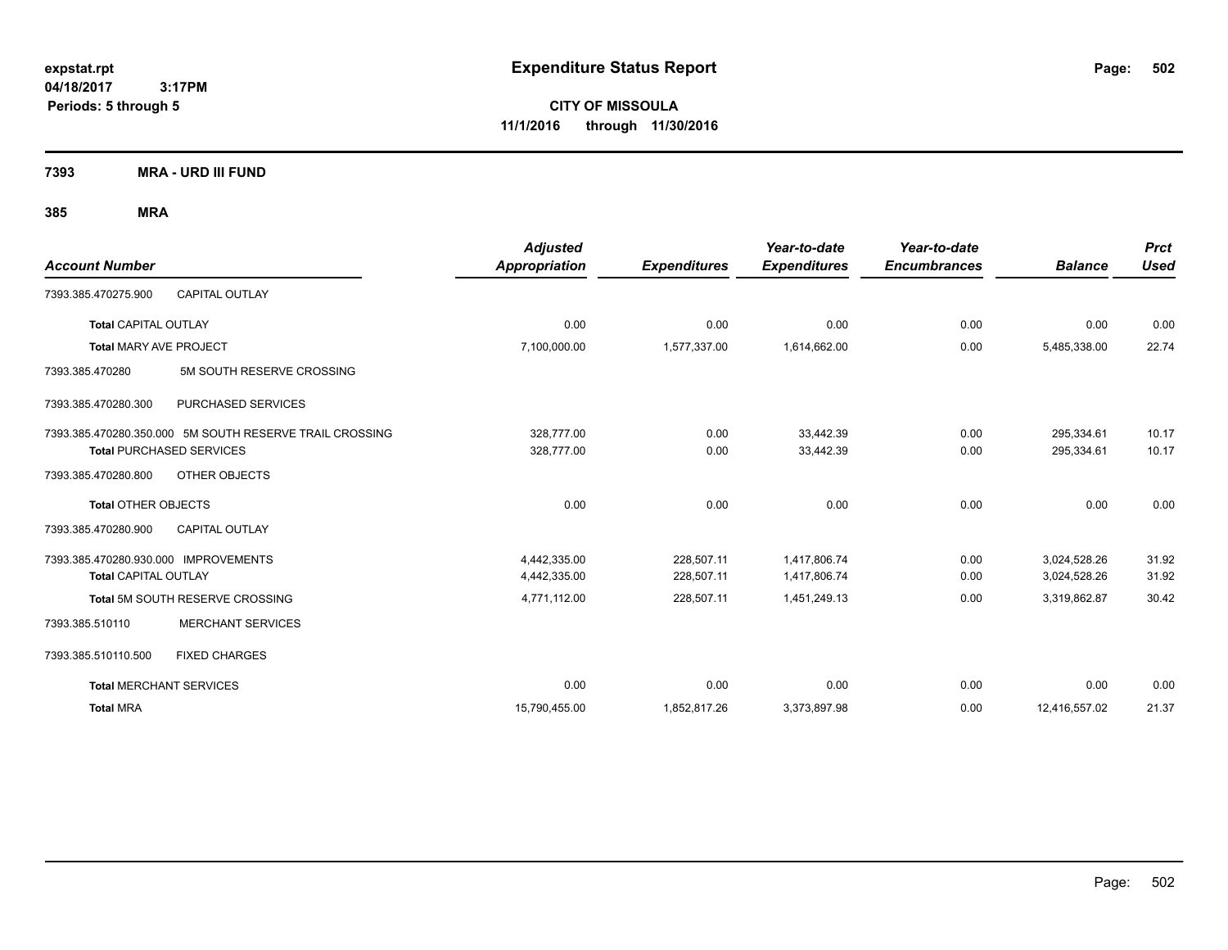**CITY OF MISSOULA 11/1/2016 through 11/30/2016**

**7393 MRA - URD III FUND**

|                                                                     |                                                                                            | <b>Adjusted</b>              |                          | Year-to-date                 | Year-to-date        |                              | <b>Prct</b>    |
|---------------------------------------------------------------------|--------------------------------------------------------------------------------------------|------------------------------|--------------------------|------------------------------|---------------------|------------------------------|----------------|
| <b>Account Number</b>                                               |                                                                                            | <b>Appropriation</b>         | <b>Expenditures</b>      | <b>Expenditures</b>          | <b>Encumbrances</b> | <b>Balance</b>               | <b>Used</b>    |
| 7393.385.470275.900                                                 | <b>CAPITAL OUTLAY</b>                                                                      |                              |                          |                              |                     |                              |                |
| <b>Total CAPITAL OUTLAY</b>                                         |                                                                                            | 0.00                         | 0.00                     | 0.00                         | 0.00                | 0.00                         | 0.00           |
| Total MARY AVE PROJECT                                              |                                                                                            | 7,100,000.00                 | 1,577,337.00             | 1,614,662.00                 | 0.00                | 5,485,338.00                 | 22.74          |
| 7393.385.470280                                                     | 5M SOUTH RESERVE CROSSING                                                                  |                              |                          |                              |                     |                              |                |
| 7393.385.470280.300                                                 | PURCHASED SERVICES                                                                         |                              |                          |                              |                     |                              |                |
|                                                                     | 7393.385.470280.350.000 5M SOUTH RESERVE TRAIL CROSSING<br><b>Total PURCHASED SERVICES</b> | 328.777.00<br>328,777.00     | 0.00<br>0.00             | 33.442.39<br>33,442.39       | 0.00<br>0.00        | 295,334.61<br>295,334.61     | 10.17<br>10.17 |
| 7393.385.470280.800                                                 | OTHER OBJECTS                                                                              |                              |                          |                              |                     |                              |                |
| <b>Total OTHER OBJECTS</b>                                          |                                                                                            | 0.00                         | 0.00                     | 0.00                         | 0.00                | 0.00                         | 0.00           |
| 7393.385.470280.900                                                 | <b>CAPITAL OUTLAY</b>                                                                      |                              |                          |                              |                     |                              |                |
| 7393.385.470280.930.000 IMPROVEMENTS<br><b>Total CAPITAL OUTLAY</b> |                                                                                            | 4,442,335.00<br>4,442,335.00 | 228,507.11<br>228,507.11 | 1,417,806.74<br>1,417,806.74 | 0.00<br>0.00        | 3,024,528.26<br>3,024,528.26 | 31.92<br>31.92 |
|                                                                     | Total 5M SOUTH RESERVE CROSSING                                                            | 4,771,112.00                 | 228,507.11               | 1,451,249.13                 | 0.00                | 3,319,862.87                 | 30.42          |
| 7393.385.510110                                                     | <b>MERCHANT SERVICES</b>                                                                   |                              |                          |                              |                     |                              |                |
| 7393.385.510110.500                                                 | <b>FIXED CHARGES</b>                                                                       |                              |                          |                              |                     |                              |                |
| <b>Total MERCHANT SERVICES</b>                                      |                                                                                            | 0.00                         | 0.00                     | 0.00                         | 0.00                | 0.00                         | 0.00           |
| <b>Total MRA</b>                                                    |                                                                                            | 15,790,455.00                | 1,852,817.26             | 3,373,897.98                 | 0.00                | 12,416,557.02                | 21.37          |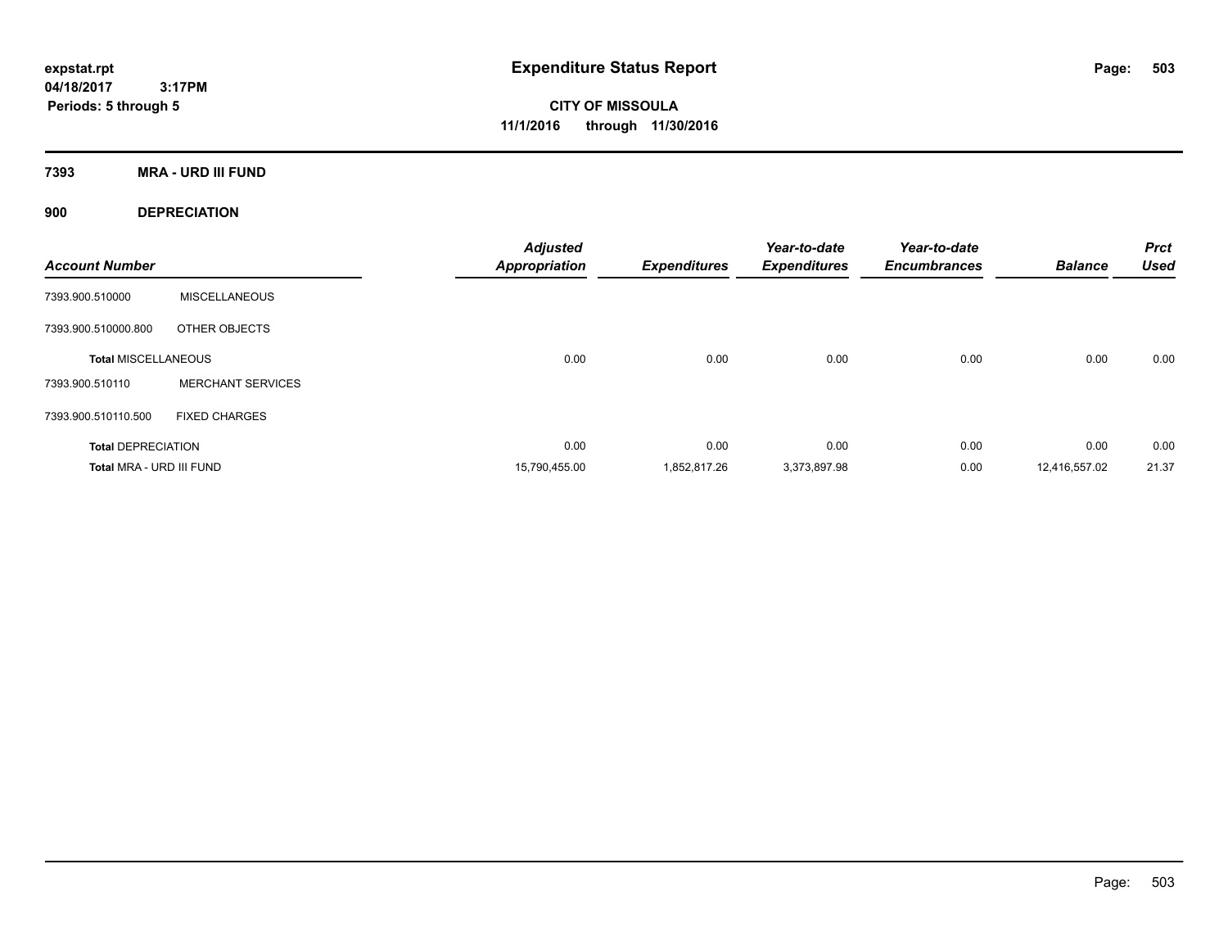**CITY OF MISSOULA 11/1/2016 through 11/30/2016**

**7393 MRA - URD III FUND**

**900 DEPRECIATION**

| <b>Account Number</b>      |                          | <b>Adjusted</b><br><b>Appropriation</b> | <b>Expenditures</b> | Year-to-date<br><b>Expenditures</b> | Year-to-date<br><b>Encumbrances</b> | <b>Balance</b> | <b>Prct</b><br><b>Used</b> |
|----------------------------|--------------------------|-----------------------------------------|---------------------|-------------------------------------|-------------------------------------|----------------|----------------------------|
| 7393.900.510000            | <b>MISCELLANEOUS</b>     |                                         |                     |                                     |                                     |                |                            |
| 7393.900.510000.800        | OTHER OBJECTS            |                                         |                     |                                     |                                     |                |                            |
| <b>Total MISCELLANEOUS</b> |                          | 0.00                                    | 0.00                | 0.00                                | 0.00                                | 0.00           | 0.00                       |
| 7393.900.510110            | <b>MERCHANT SERVICES</b> |                                         |                     |                                     |                                     |                |                            |
| 7393.900.510110.500        | <b>FIXED CHARGES</b>     |                                         |                     |                                     |                                     |                |                            |
| <b>Total DEPRECIATION</b>  |                          | 0.00                                    | 0.00                | 0.00                                | 0.00                                | 0.00           | 0.00                       |
| Total MRA - URD III FUND   |                          | 15,790,455.00                           | 1.852.817.26        | 3,373,897.98                        | 0.00                                | 12.416.557.02  | 21.37                      |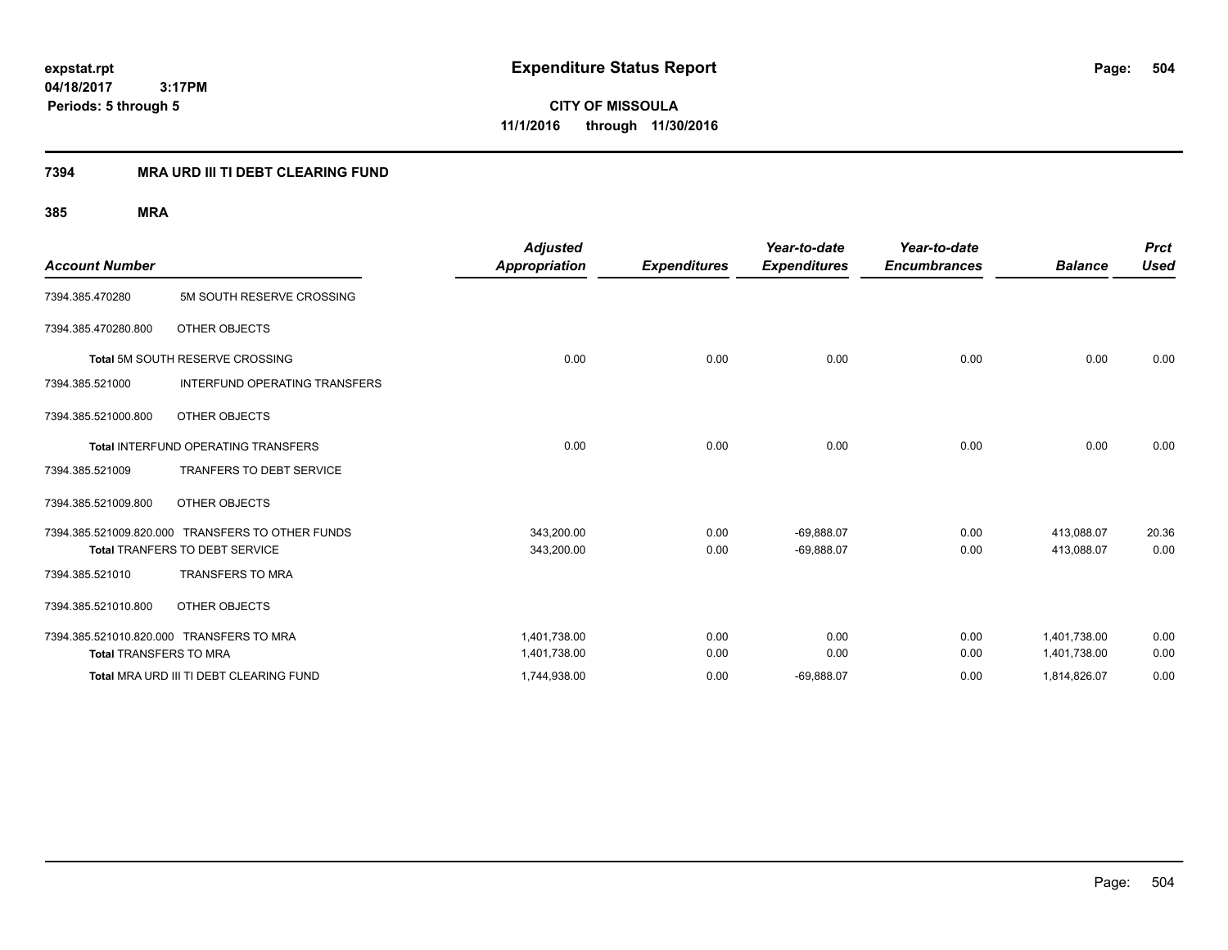**CITY OF MISSOULA 11/1/2016 through 11/30/2016**

## **7394 MRA URD III TI DEBT CLEARING FUND**

| <b>Account Number</b>                      |                                                  | <b>Adjusted</b><br><b>Appropriation</b> | <b>Expenditures</b> | Year-to-date<br><b>Expenditures</b> | Year-to-date<br><b>Encumbrances</b> | <b>Balance</b> | <b>Prct</b><br><b>Used</b> |
|--------------------------------------------|--------------------------------------------------|-----------------------------------------|---------------------|-------------------------------------|-------------------------------------|----------------|----------------------------|
| 7394.385.470280                            | 5M SOUTH RESERVE CROSSING                        |                                         |                     |                                     |                                     |                |                            |
| 7394.385.470280.800                        | OTHER OBJECTS                                    |                                         |                     |                                     |                                     |                |                            |
| <b>Total 5M SOUTH RESERVE CROSSING</b>     |                                                  | 0.00                                    | 0.00                | 0.00                                | 0.00                                | 0.00           | 0.00                       |
| 7394.385.521000                            | <b>INTERFUND OPERATING TRANSFERS</b>             |                                         |                     |                                     |                                     |                |                            |
| 7394.385.521000.800                        | OTHER OBJECTS                                    |                                         |                     |                                     |                                     |                |                            |
| <b>Total INTERFUND OPERATING TRANSFERS</b> |                                                  | 0.00                                    | 0.00                | 0.00                                | 0.00                                | 0.00           | 0.00                       |
| 7394.385.521009                            | TRANFERS TO DEBT SERVICE                         |                                         |                     |                                     |                                     |                |                            |
| 7394.385.521009.800                        | OTHER OBJECTS                                    |                                         |                     |                                     |                                     |                |                            |
|                                            | 7394.385.521009.820.000 TRANSFERS TO OTHER FUNDS | 343,200.00                              | 0.00                | $-69,888.07$                        | 0.00                                | 413,088.07     | 20.36                      |
|                                            | <b>Total TRANFERS TO DEBT SERVICE</b>            | 343,200.00                              | 0.00                | $-69,888.07$                        | 0.00                                | 413.088.07     | 0.00                       |
| 7394.385.521010                            | <b>TRANSFERS TO MRA</b>                          |                                         |                     |                                     |                                     |                |                            |
| 7394.385.521010.800                        | OTHER OBJECTS                                    |                                         |                     |                                     |                                     |                |                            |
|                                            | 7394.385.521010.820.000 TRANSFERS TO MRA         | 1,401,738.00                            | 0.00                | 0.00                                | 0.00                                | 1,401,738.00   | 0.00                       |
| <b>Total TRANSFERS TO MRA</b>              |                                                  | 1,401,738.00                            | 0.00                | 0.00                                | 0.00                                | 1,401,738.00   | 0.00                       |
|                                            | Total MRA URD III TI DEBT CLEARING FUND          | 1,744,938.00                            | 0.00                | $-69,888.07$                        | 0.00                                | 1,814,826.07   | 0.00                       |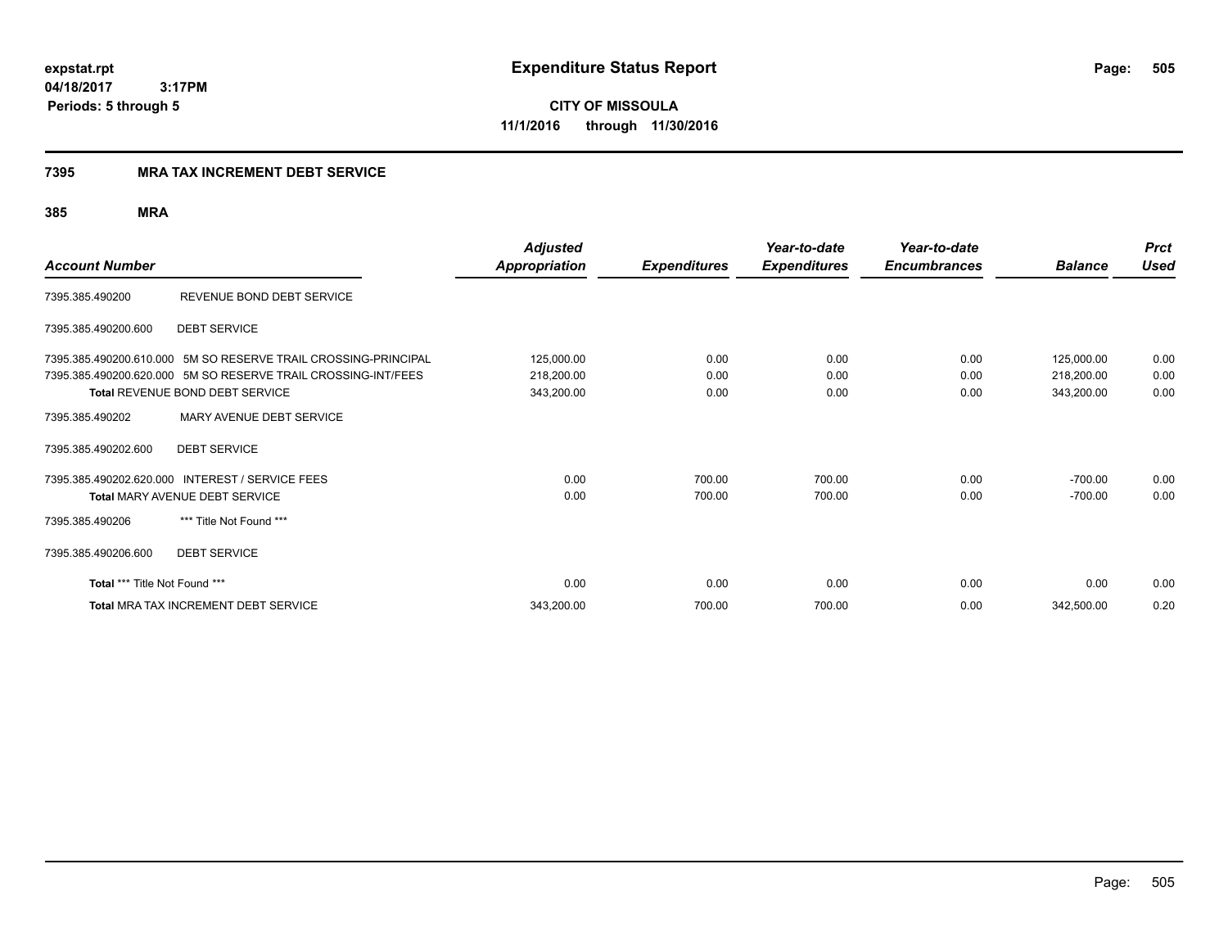#### **7395 MRA TAX INCREMENT DEBT SERVICE**

| <b>Account Number</b>         |                                                                                                                                                                    | <b>Adjusted</b><br><b>Appropriation</b> | <b>Expenditures</b>  | Year-to-date<br><b>Expenditures</b> | Year-to-date<br><b>Encumbrances</b> | <b>Balance</b>                         | <b>Prct</b><br><b>Used</b> |
|-------------------------------|--------------------------------------------------------------------------------------------------------------------------------------------------------------------|-----------------------------------------|----------------------|-------------------------------------|-------------------------------------|----------------------------------------|----------------------------|
| 7395.385.490200               | REVENUE BOND DEBT SERVICE                                                                                                                                          |                                         |                      |                                     |                                     |                                        |                            |
| 7395.385.490200.600           | <b>DEBT SERVICE</b>                                                                                                                                                |                                         |                      |                                     |                                     |                                        |                            |
|                               | 7395.385.490200.610.000 5M SO RESERVE TRAIL CROSSING-PRINCIPAL<br>7395.385.490200.620.000 5M SO RESERVE TRAIL CROSSING-INT/FEES<br>Total REVENUE BOND DEBT SERVICE | 125,000.00<br>218,200.00<br>343,200.00  | 0.00<br>0.00<br>0.00 | 0.00<br>0.00<br>0.00                | 0.00<br>0.00<br>0.00                | 125,000.00<br>218,200.00<br>343,200.00 | 0.00<br>0.00<br>0.00       |
| 7395.385.490202               | MARY AVENUE DEBT SERVICE                                                                                                                                           |                                         |                      |                                     |                                     |                                        |                            |
| 7395.385.490202.600           | <b>DEBT SERVICE</b>                                                                                                                                                |                                         |                      |                                     |                                     |                                        |                            |
| 7395.385.490206               | 7395.385.490202.620.000 INTEREST / SERVICE FEES<br>Total MARY AVENUE DEBT SERVICE<br>*** Title Not Found ***                                                       | 0.00<br>0.00                            | 700.00<br>700.00     | 700.00<br>700.00                    | 0.00<br>0.00                        | $-700.00$<br>$-700.00$                 | 0.00<br>0.00               |
| 7395.385.490206.600           | <b>DEBT SERVICE</b>                                                                                                                                                |                                         |                      |                                     |                                     |                                        |                            |
| Total *** Title Not Found *** |                                                                                                                                                                    | 0.00                                    | 0.00                 | 0.00                                | 0.00                                | 0.00                                   | 0.00                       |
|                               | Total MRA TAX INCREMENT DEBT SERVICE                                                                                                                               | 343,200.00                              | 700.00               | 700.00                              | 0.00                                | 342,500.00                             | 0.20                       |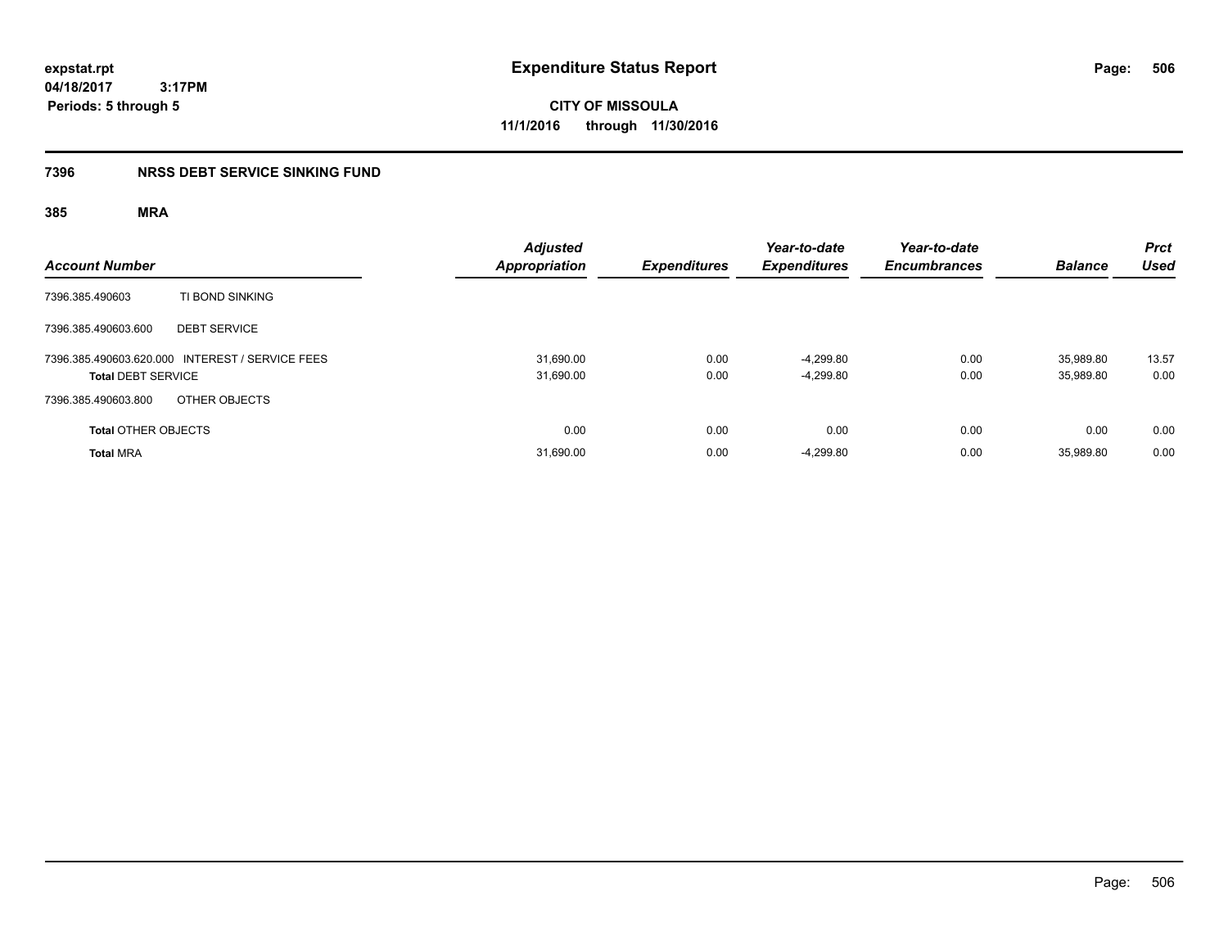**CITY OF MISSOULA 11/1/2016 through 11/30/2016**

### **7396 NRSS DEBT SERVICE SINKING FUND**

| <b>Account Number</b>                                                        | <b>Adjusted</b><br>Appropriation | <b>Expenditures</b> | Year-to-date<br><b>Expenditures</b> | Year-to-date<br><b>Encumbrances</b> | <b>Balance</b>         | <b>Prct</b><br><b>Used</b> |
|------------------------------------------------------------------------------|----------------------------------|---------------------|-------------------------------------|-------------------------------------|------------------------|----------------------------|
| TI BOND SINKING<br>7396.385.490603                                           |                                  |                     |                                     |                                     |                        |                            |
| <b>DEBT SERVICE</b><br>7396.385.490603.600                                   |                                  |                     |                                     |                                     |                        |                            |
| 7396.385.490603.620.000 INTEREST / SERVICE FEES<br><b>Total DEBT SERVICE</b> | 31.690.00<br>31,690.00           | 0.00<br>0.00        | $-4.299.80$<br>$-4,299.80$          | 0.00<br>0.00                        | 35.989.80<br>35,989.80 | 13.57<br>0.00              |
| OTHER OBJECTS<br>7396.385.490603.800                                         |                                  |                     |                                     |                                     |                        |                            |
| <b>Total OTHER OBJECTS</b>                                                   | 0.00                             | 0.00                | 0.00                                | 0.00                                | 0.00                   | 0.00                       |
| <b>Total MRA</b>                                                             | 31,690.00                        | 0.00                | $-4,299.80$                         | 0.00                                | 35.989.80              | 0.00                       |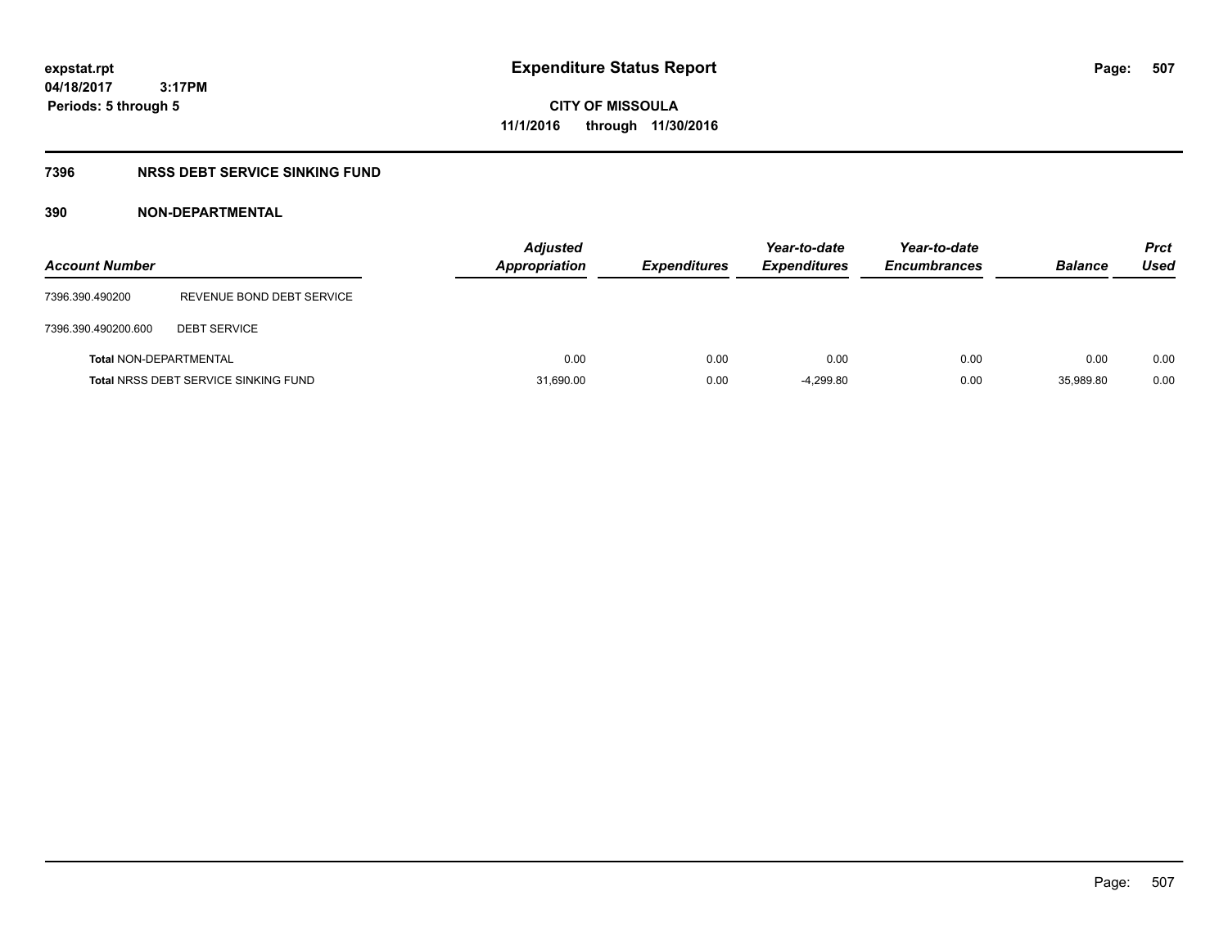#### **04/18/2017 3:17PM**

**Periods: 5 through 5**

**CITY OF MISSOULA 11/1/2016 through 11/30/2016**

### **7396 NRSS DEBT SERVICE SINKING FUND**

### **390 NON-DEPARTMENTAL**

| <b>Account Number</b>         |                                             | <b>Adjusted</b><br><b>Appropriation</b> | <b>Expenditures</b> | Year-to-date<br><b>Expenditures</b> | Year-to-date<br><b>Encumbrances</b> | <b>Balance</b> | <b>Prct</b><br>Used |
|-------------------------------|---------------------------------------------|-----------------------------------------|---------------------|-------------------------------------|-------------------------------------|----------------|---------------------|
| 7396.390.490200               | REVENUE BOND DEBT SERVICE                   |                                         |                     |                                     |                                     |                |                     |
| 7396.390.490200.600           | <b>DEBT SERVICE</b>                         |                                         |                     |                                     |                                     |                |                     |
| <b>Total NON-DEPARTMENTAL</b> |                                             | 0.00                                    | 0.00                | 0.00                                | 0.00                                | 0.00           | 0.00                |
|                               | <b>Total NRSS DEBT SERVICE SINKING FUND</b> | 31,690.00                               | 0.00                | $-4,299.80$                         | 0.00                                | 35.989.80      | 0.00                |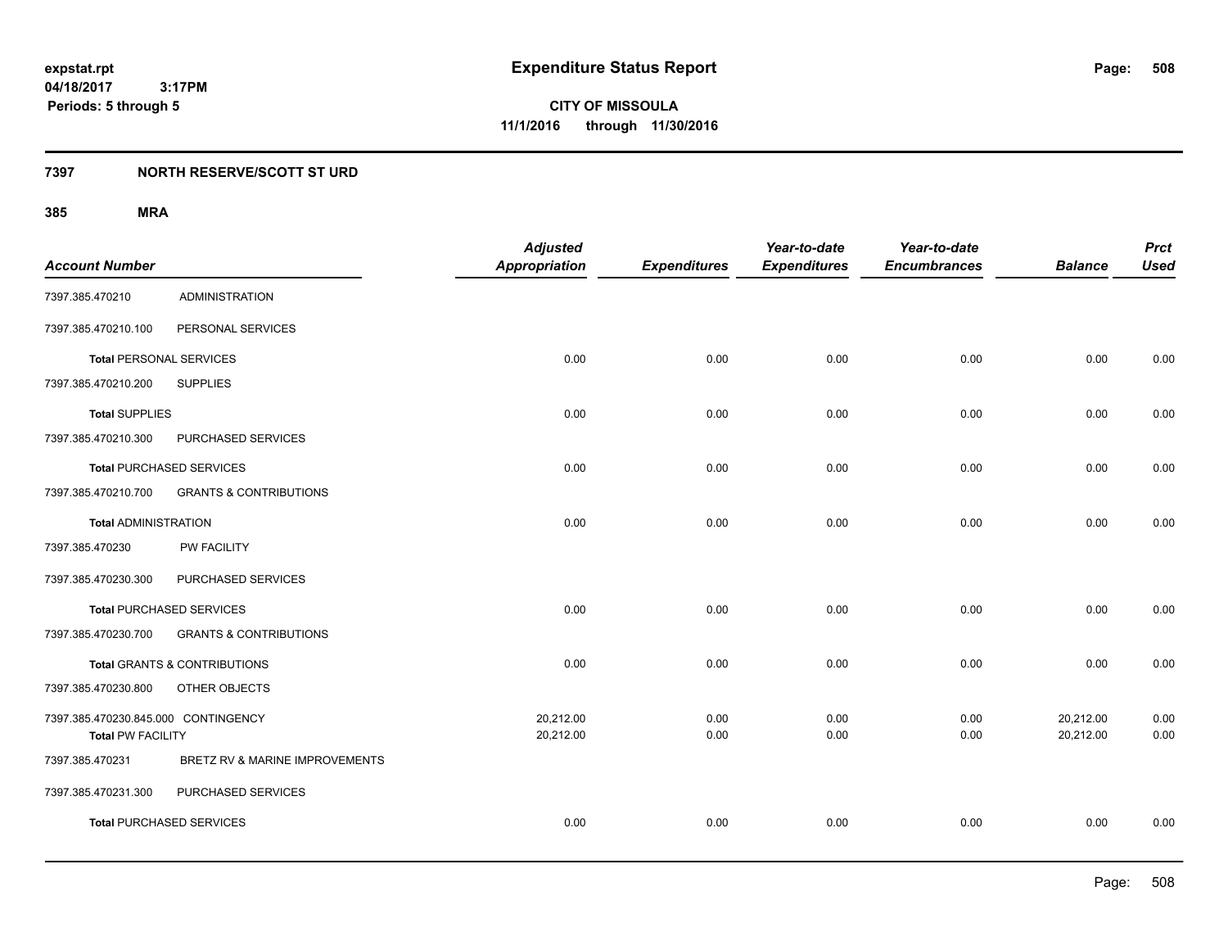### **7397 NORTH RESERVE/SCOTT ST URD**

|                                     |                                         | <b>Adjusted</b>      |                     | Year-to-date        | Year-to-date        |                | <b>Prct</b> |
|-------------------------------------|-----------------------------------------|----------------------|---------------------|---------------------|---------------------|----------------|-------------|
| <b>Account Number</b>               |                                         | <b>Appropriation</b> | <b>Expenditures</b> | <b>Expenditures</b> | <b>Encumbrances</b> | <b>Balance</b> | <b>Used</b> |
| 7397.385.470210                     | <b>ADMINISTRATION</b>                   |                      |                     |                     |                     |                |             |
| 7397.385.470210.100                 | PERSONAL SERVICES                       |                      |                     |                     |                     |                |             |
| <b>Total PERSONAL SERVICES</b>      |                                         | 0.00                 | 0.00                | 0.00                | 0.00                | 0.00           | 0.00        |
| 7397.385.470210.200                 | <b>SUPPLIES</b>                         |                      |                     |                     |                     |                |             |
| <b>Total SUPPLIES</b>               |                                         | 0.00                 | 0.00                | 0.00                | 0.00                | 0.00           | 0.00        |
| 7397.385.470210.300                 | PURCHASED SERVICES                      |                      |                     |                     |                     |                |             |
| <b>Total PURCHASED SERVICES</b>     |                                         | 0.00                 | 0.00                | 0.00                | 0.00                | 0.00           | 0.00        |
| 7397.385.470210.700                 | <b>GRANTS &amp; CONTRIBUTIONS</b>       |                      |                     |                     |                     |                |             |
| <b>Total ADMINISTRATION</b>         |                                         | 0.00                 | 0.00                | 0.00                | 0.00                | 0.00           | 0.00        |
| 7397.385.470230                     | PW FACILITY                             |                      |                     |                     |                     |                |             |
| 7397.385.470230.300                 | PURCHASED SERVICES                      |                      |                     |                     |                     |                |             |
| <b>Total PURCHASED SERVICES</b>     |                                         | 0.00                 | 0.00                | 0.00                | 0.00                | 0.00           | 0.00        |
| 7397.385.470230.700                 | <b>GRANTS &amp; CONTRIBUTIONS</b>       |                      |                     |                     |                     |                |             |
|                                     | <b>Total GRANTS &amp; CONTRIBUTIONS</b> | 0.00                 | 0.00                | 0.00                | 0.00                | 0.00           | 0.00        |
| 7397.385.470230.800                 | OTHER OBJECTS                           |                      |                     |                     |                     |                |             |
| 7397.385.470230.845.000 CONTINGENCY |                                         | 20,212.00            | 0.00                | 0.00                | 0.00                | 20,212.00      | 0.00        |
| <b>Total PW FACILITY</b>            |                                         | 20,212.00            | 0.00                | 0.00                | 0.00                | 20,212.00      | 0.00        |
| 7397.385.470231                     | BRETZ RV & MARINE IMPROVEMENTS          |                      |                     |                     |                     |                |             |
| 7397.385.470231.300                 | PURCHASED SERVICES                      |                      |                     |                     |                     |                |             |
| <b>Total PURCHASED SERVICES</b>     |                                         | 0.00                 | 0.00                | 0.00                | 0.00                | 0.00           | 0.00        |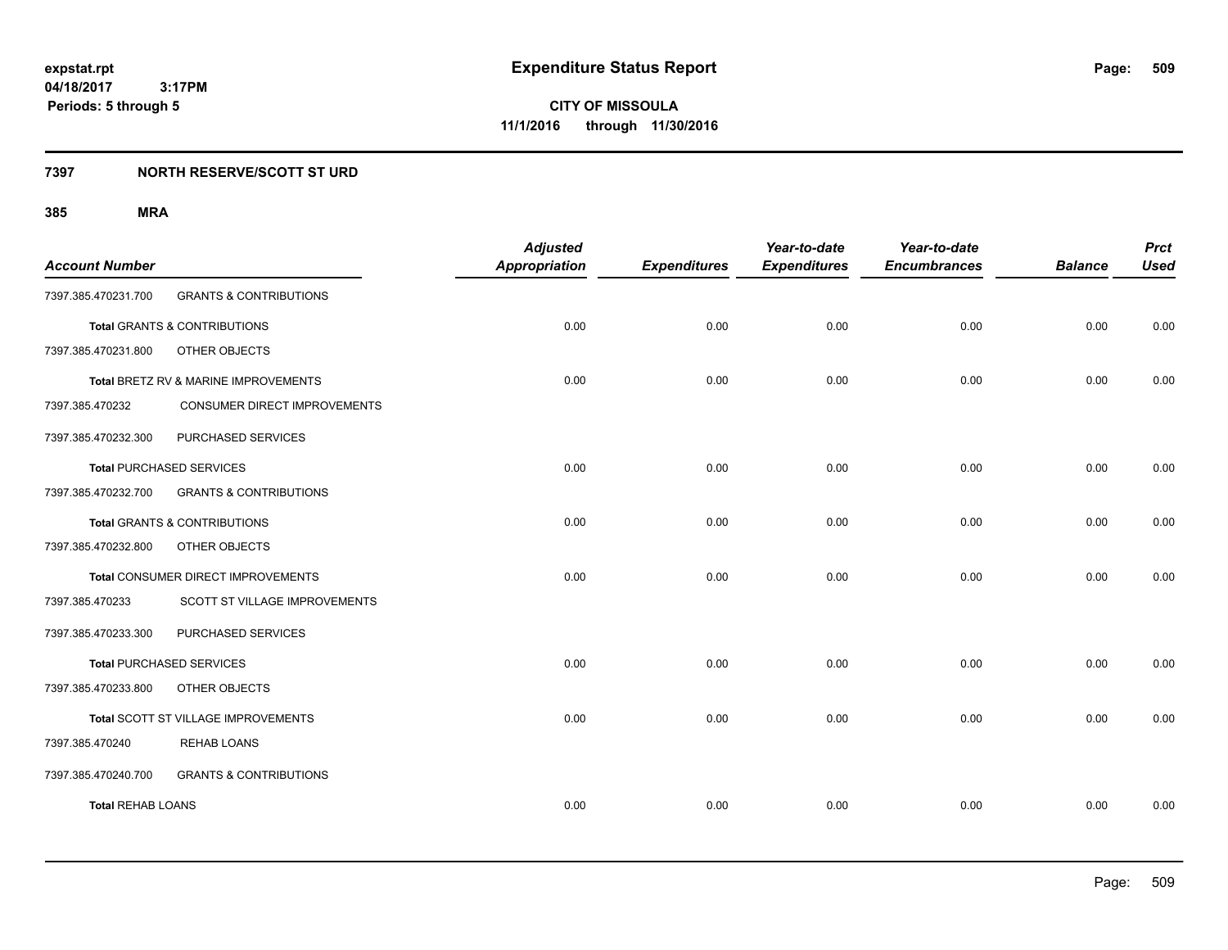**509**

**04/18/2017 3:17PM Periods: 5 through 5**

**CITY OF MISSOULA 11/1/2016 through 11/30/2016**

#### **7397 NORTH RESERVE/SCOTT ST URD**

| <b>Account Number</b>    |                                      | <b>Adjusted</b><br><b>Appropriation</b> | <b>Expenditures</b> | Year-to-date<br><b>Expenditures</b> | Year-to-date<br><b>Encumbrances</b> | <b>Balance</b> | <b>Prct</b><br><b>Used</b> |
|--------------------------|--------------------------------------|-----------------------------------------|---------------------|-------------------------------------|-------------------------------------|----------------|----------------------------|
| 7397.385.470231.700      | <b>GRANTS &amp; CONTRIBUTIONS</b>    |                                         |                     |                                     |                                     |                |                            |
|                          | Total GRANTS & CONTRIBUTIONS         | 0.00                                    | 0.00                | 0.00                                | 0.00                                | 0.00           | 0.00                       |
| 7397.385.470231.800      | OTHER OBJECTS                        |                                         |                     |                                     |                                     |                |                            |
|                          | Total BRETZ RV & MARINE IMPROVEMENTS | 0.00                                    | 0.00                | 0.00                                | 0.00                                | 0.00           | 0.00                       |
| 7397.385.470232          | CONSUMER DIRECT IMPROVEMENTS         |                                         |                     |                                     |                                     |                |                            |
| 7397.385.470232.300      | PURCHASED SERVICES                   |                                         |                     |                                     |                                     |                |                            |
|                          | <b>Total PURCHASED SERVICES</b>      | 0.00                                    | 0.00                | 0.00                                | 0.00                                | 0.00           | 0.00                       |
| 7397.385.470232.700      | <b>GRANTS &amp; CONTRIBUTIONS</b>    |                                         |                     |                                     |                                     |                |                            |
|                          | Total GRANTS & CONTRIBUTIONS         | 0.00                                    | 0.00                | 0.00                                | 0.00                                | 0.00           | 0.00                       |
| 7397.385.470232.800      | OTHER OBJECTS                        |                                         |                     |                                     |                                     |                |                            |
|                          | Total CONSUMER DIRECT IMPROVEMENTS   | 0.00                                    | 0.00                | 0.00                                | 0.00                                | 0.00           | 0.00                       |
| 7397.385.470233          | SCOTT ST VILLAGE IMPROVEMENTS        |                                         |                     |                                     |                                     |                |                            |
| 7397.385.470233.300      | PURCHASED SERVICES                   |                                         |                     |                                     |                                     |                |                            |
|                          | <b>Total PURCHASED SERVICES</b>      | 0.00                                    | 0.00                | 0.00                                | 0.00                                | 0.00           | 0.00                       |
| 7397.385.470233.800      | OTHER OBJECTS                        |                                         |                     |                                     |                                     |                |                            |
|                          | Total SCOTT ST VILLAGE IMPROVEMENTS  | 0.00                                    | 0.00                | 0.00                                | 0.00                                | 0.00           | 0.00                       |
| 7397.385.470240          | <b>REHAB LOANS</b>                   |                                         |                     |                                     |                                     |                |                            |
| 7397.385.470240.700      | <b>GRANTS &amp; CONTRIBUTIONS</b>    |                                         |                     |                                     |                                     |                |                            |
| <b>Total REHAB LOANS</b> |                                      | 0.00                                    | 0.00                | 0.00                                | 0.00                                | 0.00           | 0.00                       |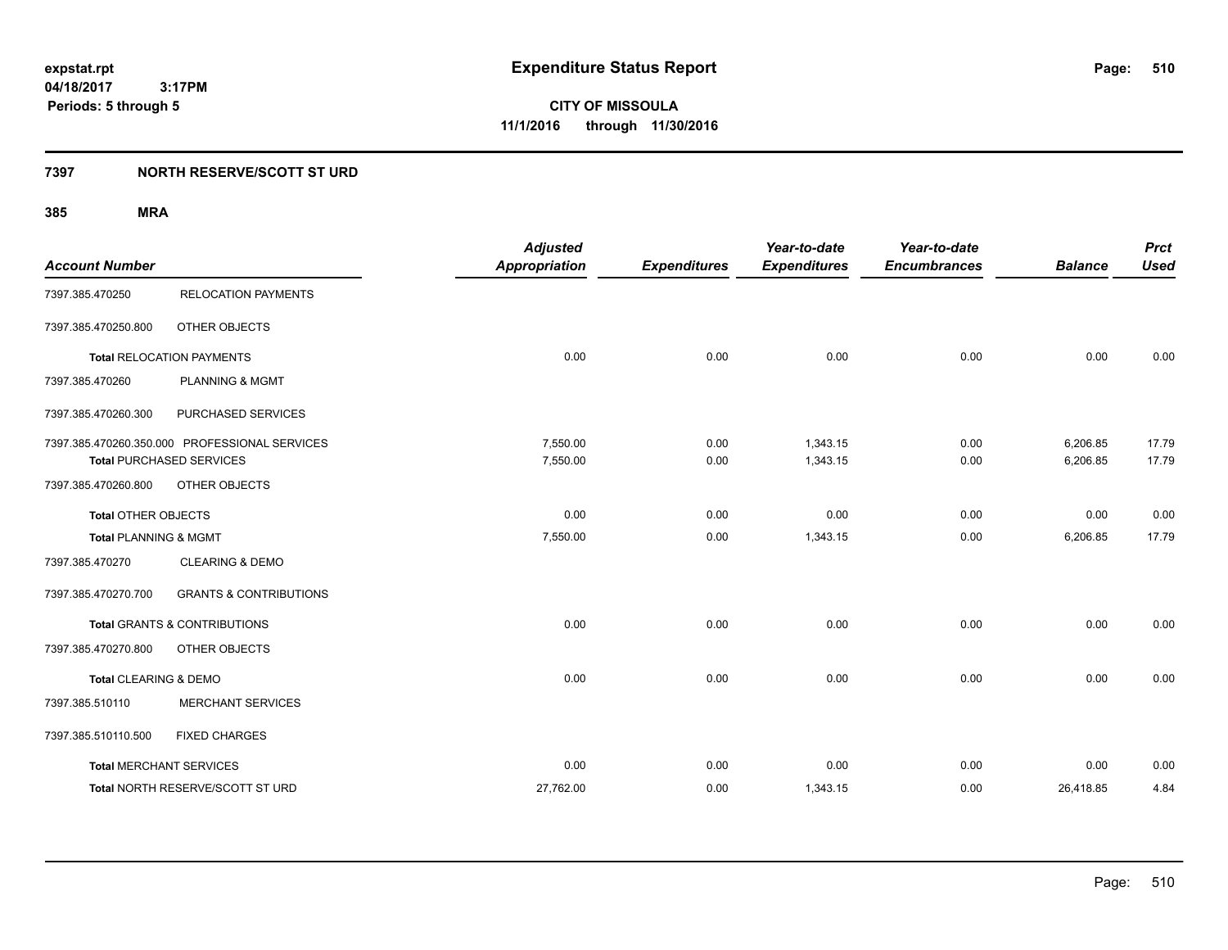**CITY OF MISSOULA 11/1/2016 through 11/30/2016**

#### **7397 NORTH RESERVE/SCOTT ST URD**

| <b>Account Number</b>            |                                                                                  | <b>Adjusted</b><br><b>Appropriation</b> | <b>Expenditures</b> | Year-to-date<br><b>Expenditures</b> | Year-to-date<br><b>Encumbrances</b> | <b>Balance</b>       | <b>Prct</b><br><b>Used</b> |
|----------------------------------|----------------------------------------------------------------------------------|-----------------------------------------|---------------------|-------------------------------------|-------------------------------------|----------------------|----------------------------|
| 7397.385.470250                  | <b>RELOCATION PAYMENTS</b>                                                       |                                         |                     |                                     |                                     |                      |                            |
| 7397.385.470250.800              | OTHER OBJECTS                                                                    |                                         |                     |                                     |                                     |                      |                            |
|                                  | <b>Total RELOCATION PAYMENTS</b>                                                 | 0.00                                    | 0.00                | 0.00                                | 0.00                                | 0.00                 | 0.00                       |
| 7397.385.470260                  | PLANNING & MGMT                                                                  |                                         |                     |                                     |                                     |                      |                            |
| 7397.385.470260.300              | PURCHASED SERVICES                                                               |                                         |                     |                                     |                                     |                      |                            |
|                                  | 7397.385.470260.350.000 PROFESSIONAL SERVICES<br><b>Total PURCHASED SERVICES</b> | 7,550.00<br>7,550.00                    | 0.00<br>0.00        | 1,343.15<br>1,343.15                | 0.00<br>0.00                        | 6,206.85<br>6,206.85 | 17.79<br>17.79             |
| 7397.385.470260.800              | OTHER OBJECTS                                                                    |                                         |                     |                                     |                                     |                      |                            |
| <b>Total OTHER OBJECTS</b>       |                                                                                  | 0.00                                    | 0.00                | 0.00                                | 0.00                                | 0.00                 | 0.00                       |
| <b>Total PLANNING &amp; MGMT</b> |                                                                                  | 7,550.00                                | 0.00                | 1,343.15                            | 0.00                                | 6,206.85             | 17.79                      |
| 7397.385.470270                  | <b>CLEARING &amp; DEMO</b>                                                       |                                         |                     |                                     |                                     |                      |                            |
| 7397.385.470270.700              | <b>GRANTS &amp; CONTRIBUTIONS</b>                                                |                                         |                     |                                     |                                     |                      |                            |
|                                  | <b>Total GRANTS &amp; CONTRIBUTIONS</b>                                          | 0.00                                    | 0.00                | 0.00                                | 0.00                                | 0.00                 | 0.00                       |
| 7397.385.470270.800              | OTHER OBJECTS                                                                    |                                         |                     |                                     |                                     |                      |                            |
| Total CLEARING & DEMO            |                                                                                  | 0.00                                    | 0.00                | 0.00                                | 0.00                                | 0.00                 | 0.00                       |
| 7397.385.510110                  | <b>MERCHANT SERVICES</b>                                                         |                                         |                     |                                     |                                     |                      |                            |
| 7397.385.510110.500              | <b>FIXED CHARGES</b>                                                             |                                         |                     |                                     |                                     |                      |                            |
|                                  | <b>Total MERCHANT SERVICES</b>                                                   | 0.00                                    | 0.00                | 0.00                                | 0.00                                | 0.00                 | 0.00                       |
|                                  | Total NORTH RESERVE/SCOTT ST URD                                                 | 27,762.00                               | 0.00                | 1,343.15                            | 0.00                                | 26,418.85            | 4.84                       |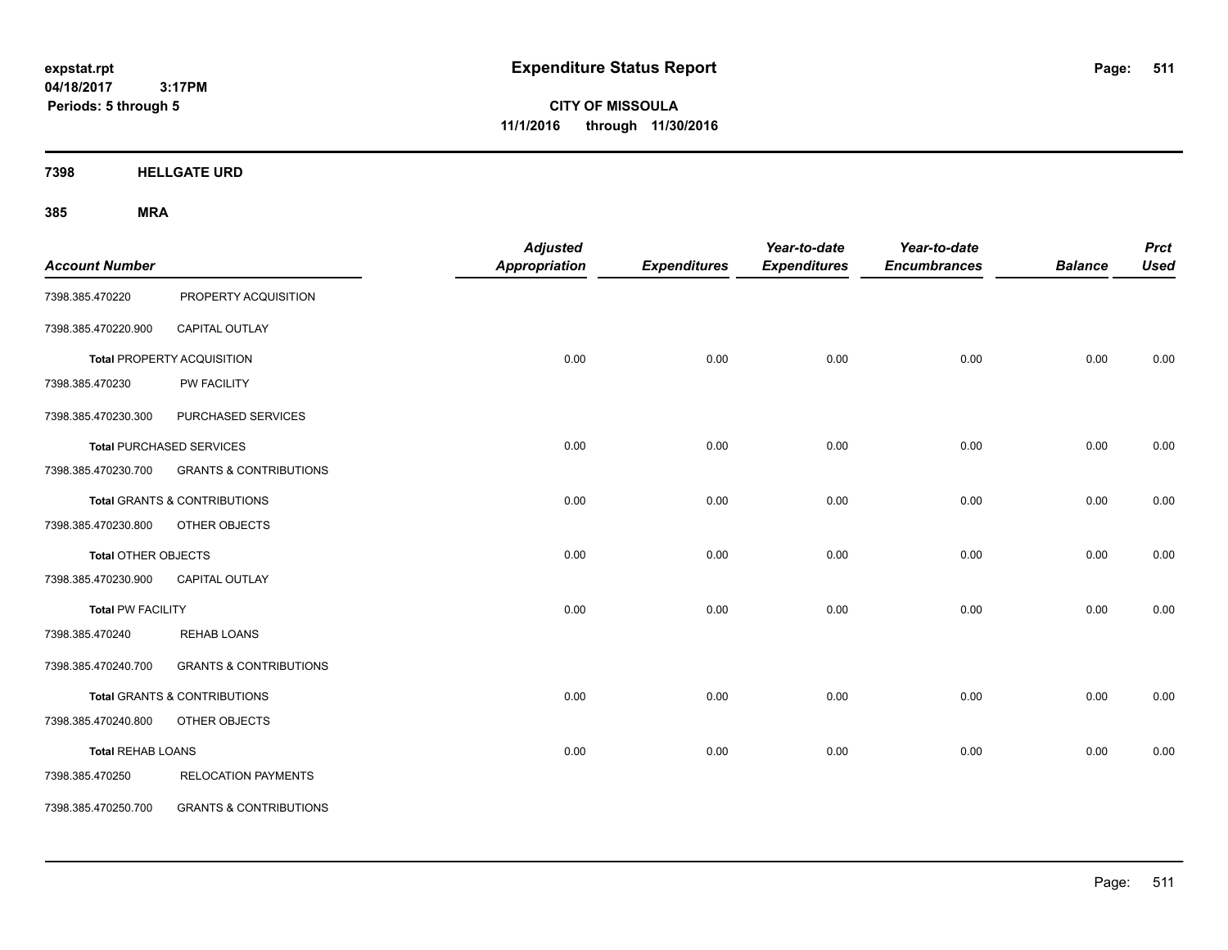**CITY OF MISSOULA 11/1/2016 through 11/30/2016**

**7398 HELLGATE URD**

| <b>Account Number</b>      |                                         | <b>Adjusted</b><br><b>Appropriation</b> | <b>Expenditures</b> | Year-to-date<br><b>Expenditures</b> | Year-to-date<br><b>Encumbrances</b> | <b>Balance</b> | <b>Prct</b><br><b>Used</b> |
|----------------------------|-----------------------------------------|-----------------------------------------|---------------------|-------------------------------------|-------------------------------------|----------------|----------------------------|
| 7398.385.470220            | PROPERTY ACQUISITION                    |                                         |                     |                                     |                                     |                |                            |
| 7398.385.470220.900        | CAPITAL OUTLAY                          |                                         |                     |                                     |                                     |                |                            |
|                            | <b>Total PROPERTY ACQUISITION</b>       | 0.00                                    | 0.00                | 0.00                                | 0.00                                | 0.00           | 0.00                       |
| 7398.385.470230            | PW FACILITY                             |                                         |                     |                                     |                                     |                |                            |
| 7398.385.470230.300        | PURCHASED SERVICES                      |                                         |                     |                                     |                                     |                |                            |
|                            | <b>Total PURCHASED SERVICES</b>         | 0.00                                    | 0.00                | 0.00                                | 0.00                                | 0.00           | 0.00                       |
| 7398.385.470230.700        | <b>GRANTS &amp; CONTRIBUTIONS</b>       |                                         |                     |                                     |                                     |                |                            |
|                            | <b>Total GRANTS &amp; CONTRIBUTIONS</b> | 0.00                                    | 0.00                | 0.00                                | 0.00                                | 0.00           | 0.00                       |
| 7398.385.470230.800        | OTHER OBJECTS                           |                                         |                     |                                     |                                     |                |                            |
| <b>Total OTHER OBJECTS</b> |                                         | 0.00                                    | 0.00                | 0.00                                | 0.00                                | 0.00           | 0.00                       |
| 7398.385.470230.900        | CAPITAL OUTLAY                          |                                         |                     |                                     |                                     |                |                            |
| <b>Total PW FACILITY</b>   |                                         | 0.00                                    | 0.00                | 0.00                                | 0.00                                | 0.00           | 0.00                       |
| 7398.385.470240            | <b>REHAB LOANS</b>                      |                                         |                     |                                     |                                     |                |                            |
| 7398.385.470240.700        | <b>GRANTS &amp; CONTRIBUTIONS</b>       |                                         |                     |                                     |                                     |                |                            |
|                            | <b>Total GRANTS &amp; CONTRIBUTIONS</b> | 0.00                                    | 0.00                | 0.00                                | 0.00                                | 0.00           | 0.00                       |
| 7398.385.470240.800        | OTHER OBJECTS                           |                                         |                     |                                     |                                     |                |                            |
| <b>Total REHAB LOANS</b>   |                                         | 0.00                                    | 0.00                | 0.00                                | 0.00                                | 0.00           | 0.00                       |
| 7398.385.470250            | <b>RELOCATION PAYMENTS</b>              |                                         |                     |                                     |                                     |                |                            |
| 7398.385.470250.700        | <b>GRANTS &amp; CONTRIBUTIONS</b>       |                                         |                     |                                     |                                     |                |                            |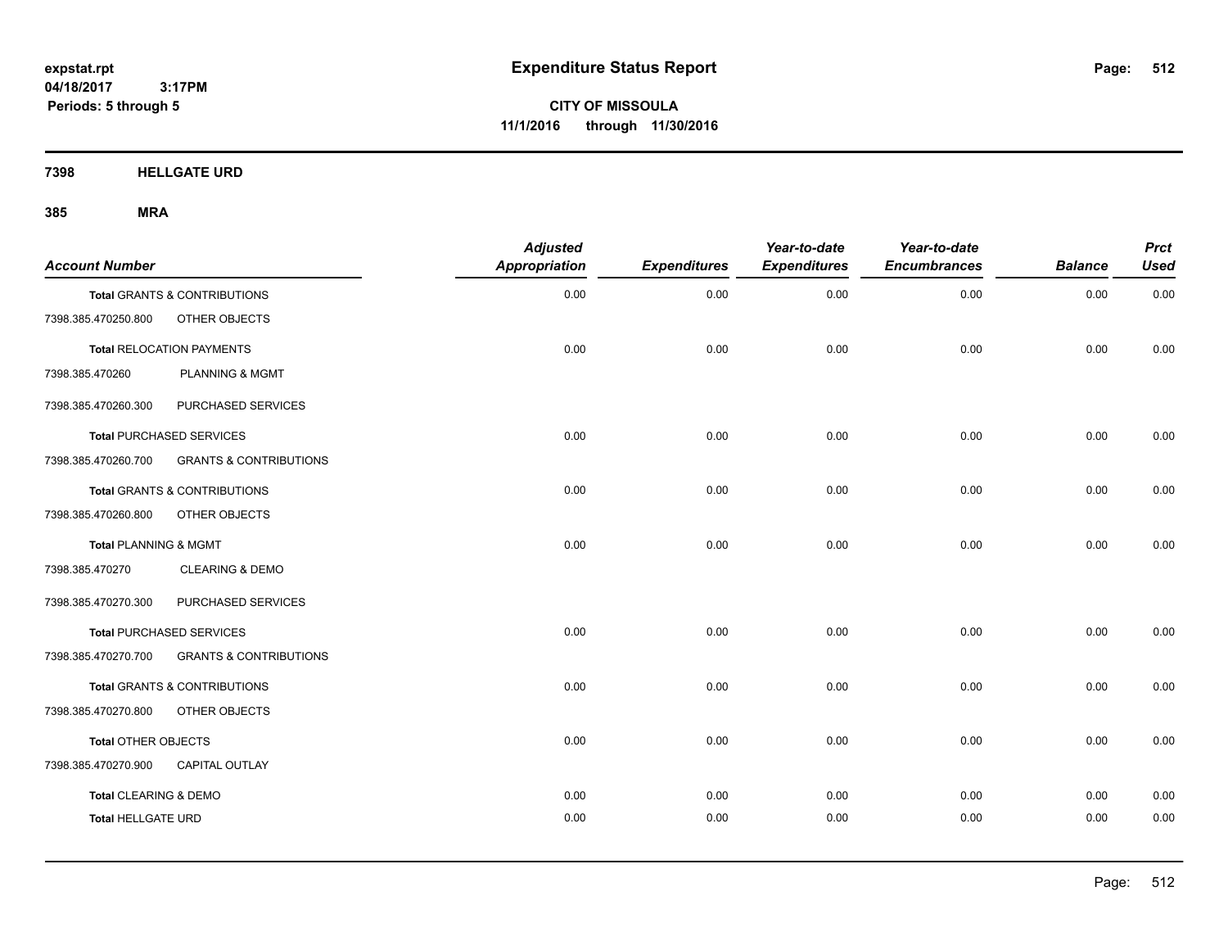**CITY OF MISSOULA 11/1/2016 through 11/30/2016**

**7398 HELLGATE URD**

| <b>Account Number</b>            |                                   | <b>Adjusted</b><br><b>Appropriation</b> | <b>Expenditures</b> | Year-to-date<br><b>Expenditures</b> | Year-to-date<br><b>Encumbrances</b> | <b>Balance</b> | <b>Prct</b><br><b>Used</b> |
|----------------------------------|-----------------------------------|-----------------------------------------|---------------------|-------------------------------------|-------------------------------------|----------------|----------------------------|
|                                  | Total GRANTS & CONTRIBUTIONS      | 0.00                                    | 0.00                | 0.00                                | 0.00                                | 0.00           | 0.00                       |
| 7398.385.470250.800              | OTHER OBJECTS                     |                                         |                     |                                     |                                     |                |                            |
|                                  | <b>Total RELOCATION PAYMENTS</b>  | 0.00                                    | 0.00                | 0.00                                | 0.00                                | 0.00           | 0.00                       |
| 7398.385.470260                  | <b>PLANNING &amp; MGMT</b>        |                                         |                     |                                     |                                     |                |                            |
| 7398.385.470260.300              | PURCHASED SERVICES                |                                         |                     |                                     |                                     |                |                            |
|                                  | <b>Total PURCHASED SERVICES</b>   | 0.00                                    | 0.00                | 0.00                                | 0.00                                | 0.00           | 0.00                       |
| 7398.385.470260.700              | <b>GRANTS &amp; CONTRIBUTIONS</b> |                                         |                     |                                     |                                     |                |                            |
|                                  | Total GRANTS & CONTRIBUTIONS      | 0.00                                    | 0.00                | 0.00                                | 0.00                                | 0.00           | 0.00                       |
| 7398.385.470260.800              | OTHER OBJECTS                     |                                         |                     |                                     |                                     |                |                            |
| <b>Total PLANNING &amp; MGMT</b> |                                   | 0.00                                    | 0.00                | 0.00                                | 0.00                                | 0.00           | 0.00                       |
| 7398.385.470270                  | <b>CLEARING &amp; DEMO</b>        |                                         |                     |                                     |                                     |                |                            |
| 7398.385.470270.300              | PURCHASED SERVICES                |                                         |                     |                                     |                                     |                |                            |
|                                  | <b>Total PURCHASED SERVICES</b>   | 0.00                                    | 0.00                | 0.00                                | 0.00                                | 0.00           | 0.00                       |
| 7398.385.470270.700              | <b>GRANTS &amp; CONTRIBUTIONS</b> |                                         |                     |                                     |                                     |                |                            |
|                                  | Total GRANTS & CONTRIBUTIONS      | 0.00                                    | 0.00                | 0.00                                | 0.00                                | 0.00           | 0.00                       |
| 7398.385.470270.800              | OTHER OBJECTS                     |                                         |                     |                                     |                                     |                |                            |
| Total OTHER OBJECTS              |                                   | 0.00                                    | 0.00                | 0.00                                | 0.00                                | 0.00           | 0.00                       |
| 7398.385.470270.900              | <b>CAPITAL OUTLAY</b>             |                                         |                     |                                     |                                     |                |                            |
| Total CLEARING & DEMO            |                                   | 0.00                                    | 0.00                | 0.00                                | 0.00                                | 0.00           | 0.00                       |
| <b>Total HELLGATE URD</b>        |                                   | 0.00                                    | 0.00                | 0.00                                | 0.00                                | 0.00           | 0.00                       |
|                                  |                                   |                                         |                     |                                     |                                     |                |                            |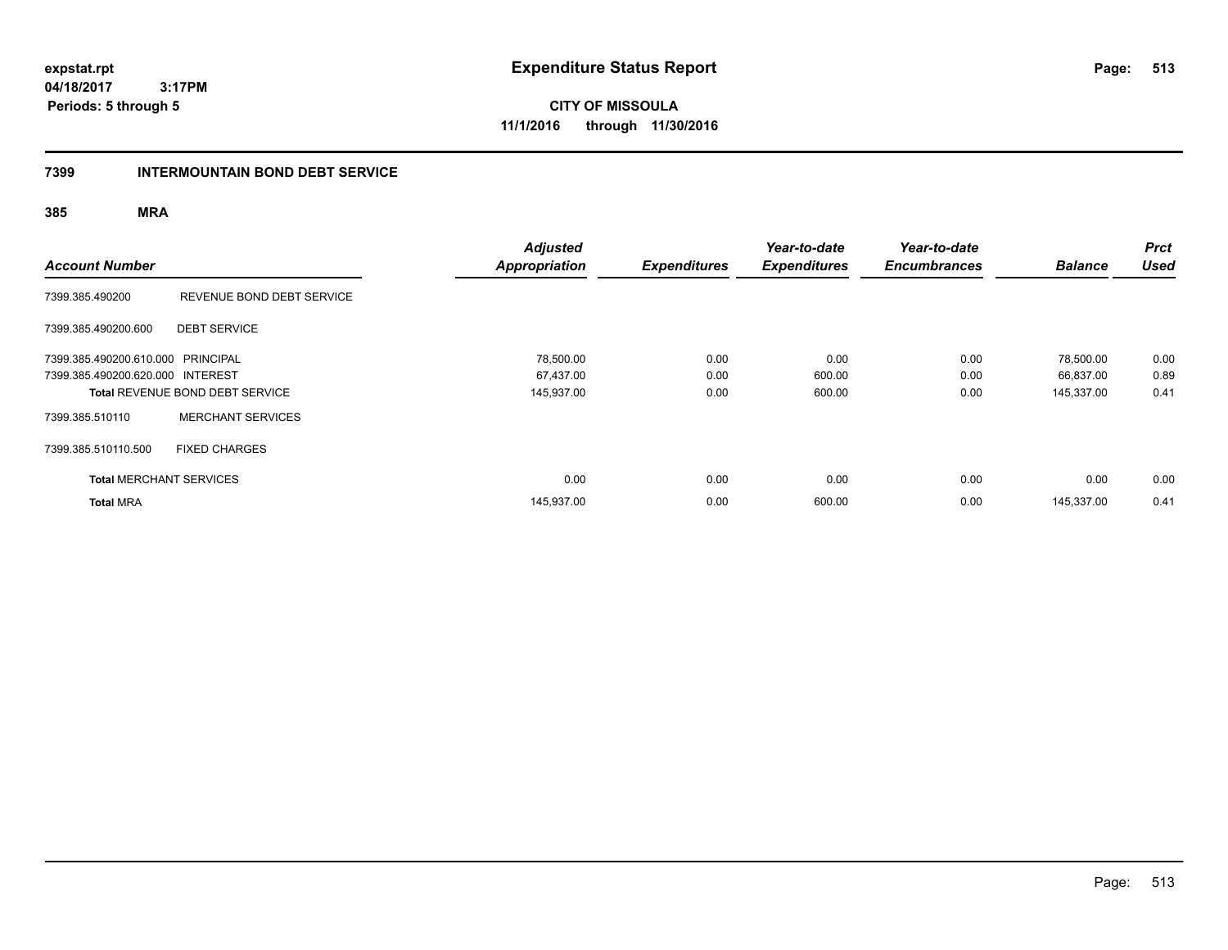**CITY OF MISSOULA 11/1/2016 through 11/30/2016**

#### **7399 INTERMOUNTAIN BOND DEBT SERVICE**

| <b>Account Number</b>                                                 |                                        | <b>Adjusted</b><br><b>Appropriation</b> | <b>Expenditures</b> | Year-to-date<br><b>Expenditures</b> | Year-to-date<br><b>Encumbrances</b> | <b>Balance</b>         | <b>Prct</b><br>Used |
|-----------------------------------------------------------------------|----------------------------------------|-----------------------------------------|---------------------|-------------------------------------|-------------------------------------|------------------------|---------------------|
| 7399.385.490200                                                       | REVENUE BOND DEBT SERVICE              |                                         |                     |                                     |                                     |                        |                     |
| 7399.385.490200.600                                                   | <b>DEBT SERVICE</b>                    |                                         |                     |                                     |                                     |                        |                     |
| 7399.385.490200.610.000 PRINCIPAL<br>7399.385.490200.620.000 INTEREST |                                        | 78,500.00<br>67,437.00                  | 0.00<br>0.00        | 0.00<br>600.00                      | 0.00<br>0.00                        | 78,500.00<br>66,837.00 | 0.00<br>0.89        |
|                                                                       | <b>Total REVENUE BOND DEBT SERVICE</b> | 145,937.00                              | 0.00                | 600.00                              | 0.00                                | 145,337.00             | 0.41                |
| 7399.385.510110                                                       | <b>MERCHANT SERVICES</b>               |                                         |                     |                                     |                                     |                        |                     |
| 7399.385.510110.500                                                   | <b>FIXED CHARGES</b>                   |                                         |                     |                                     |                                     |                        |                     |
| <b>Total MERCHANT SERVICES</b>                                        |                                        | 0.00                                    | 0.00                | 0.00                                | 0.00                                | 0.00                   | 0.00                |
| <b>Total MRA</b>                                                      |                                        | 145,937.00                              | 0.00                | 600.00                              | 0.00                                | 145.337.00             | 0.41                |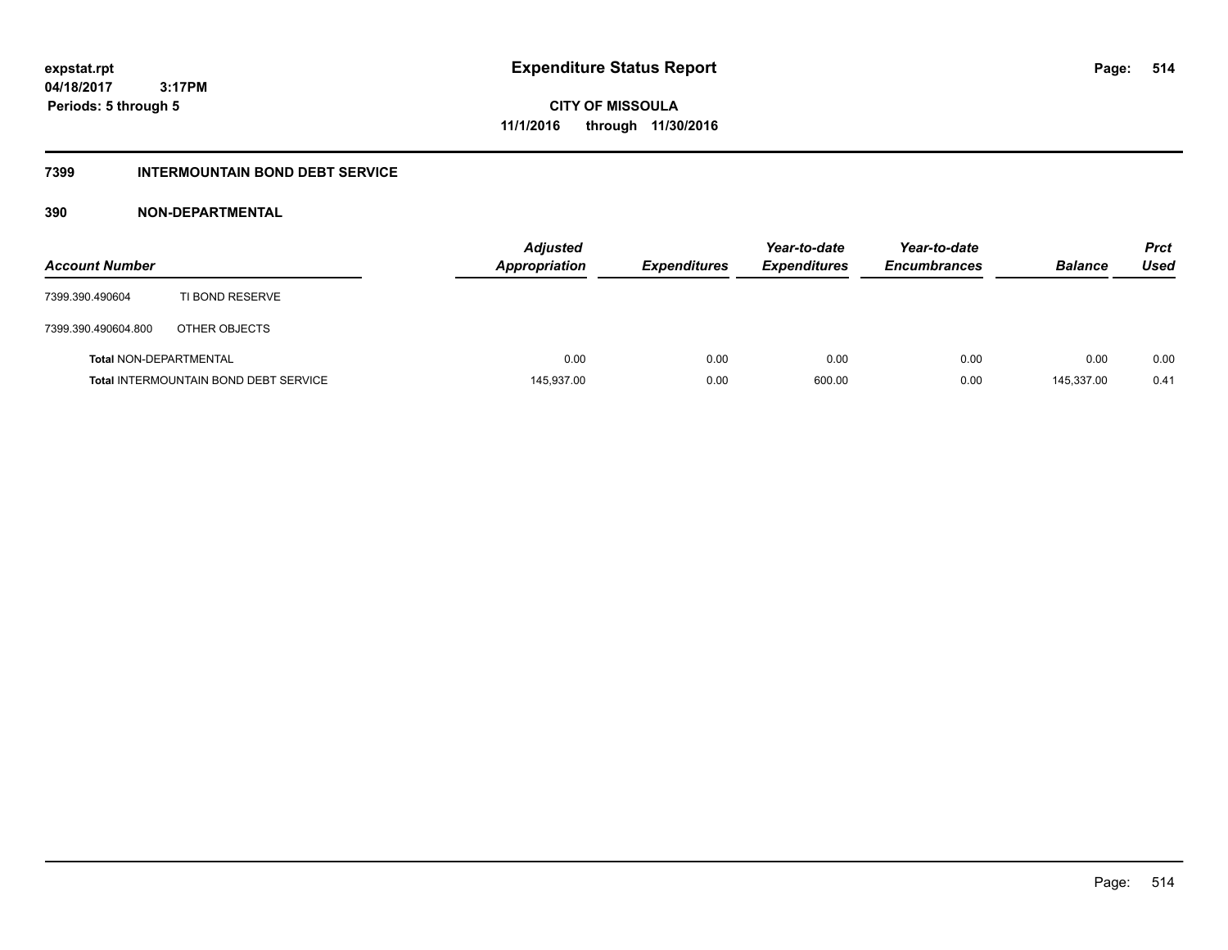**CITY OF MISSOULA 11/1/2016 through 11/30/2016**

### **7399 INTERMOUNTAIN BOND DEBT SERVICE**

### **390 NON-DEPARTMENTAL**

| <b>Account Number</b>         |                                              | <b>Adjusted</b><br><b>Appropriation</b> | <b>Expenditures</b> | Year-to-date<br><b>Expenditures</b> | Year-to-date<br><b>Encumbrances</b> | <b>Balance</b> | <b>Prct</b><br>Used |
|-------------------------------|----------------------------------------------|-----------------------------------------|---------------------|-------------------------------------|-------------------------------------|----------------|---------------------|
| 7399.390.490604               | TI BOND RESERVE                              |                                         |                     |                                     |                                     |                |                     |
| 7399.390.490604.800           | OTHER OBJECTS                                |                                         |                     |                                     |                                     |                |                     |
| <b>Total NON-DEPARTMENTAL</b> |                                              | 0.00                                    | 0.00                | 0.00                                | 0.00                                | 0.00           | 0.00                |
|                               | <b>Total INTERMOUNTAIN BOND DEBT SERVICE</b> | 145,937.00                              | 0.00                | 600.00                              | 0.00                                | 145.337.00     | 0.41                |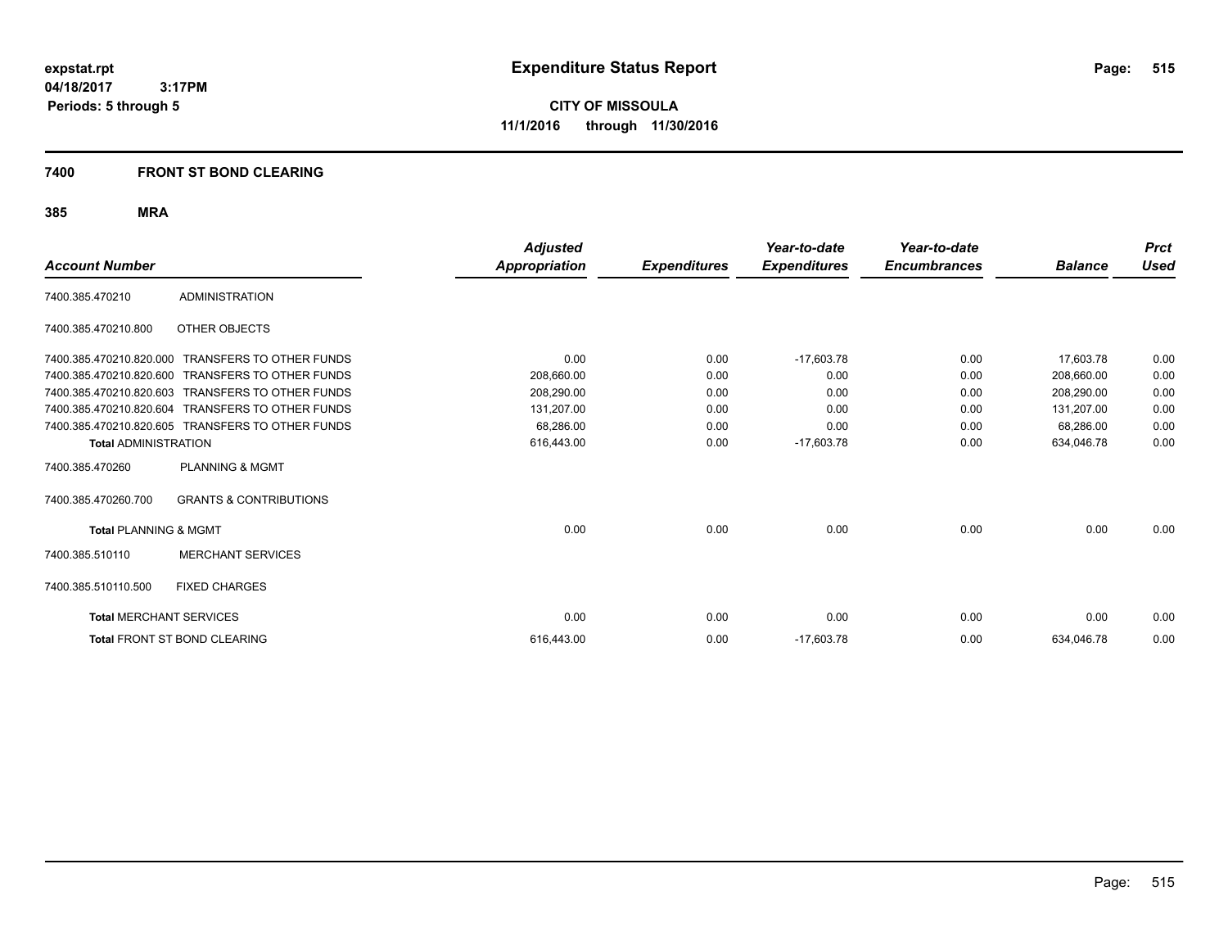**CITY OF MISSOULA 11/1/2016 through 11/30/2016**

#### **7400 FRONT ST BOND CLEARING**

| <b>Account Number</b>            |                                                  | <b>Adjusted</b><br><b>Appropriation</b> | <b>Expenditures</b> | Year-to-date<br><b>Expenditures</b> | Year-to-date<br><b>Encumbrances</b> | <b>Balance</b> | <b>Prct</b><br>Used |
|----------------------------------|--------------------------------------------------|-----------------------------------------|---------------------|-------------------------------------|-------------------------------------|----------------|---------------------|
|                                  |                                                  |                                         |                     |                                     |                                     |                |                     |
| 7400.385.470210                  | <b>ADMINISTRATION</b>                            |                                         |                     |                                     |                                     |                |                     |
| 7400.385.470210.800              | OTHER OBJECTS                                    |                                         |                     |                                     |                                     |                |                     |
| 7400.385.470210.820.000          | <b>TRANSFERS TO OTHER FUNDS</b>                  | 0.00                                    | 0.00                | $-17,603.78$                        | 0.00                                | 17,603.78      | 0.00                |
| 7400.385.470210.820.600          | <b>TRANSFERS TO OTHER FUNDS</b>                  | 208.660.00                              | 0.00                | 0.00                                | 0.00                                | 208.660.00     | 0.00                |
| 7400.385.470210.820.603          | <b>TRANSFERS TO OTHER FUNDS</b>                  | 208,290.00                              | 0.00                | 0.00                                | 0.00                                | 208,290.00     | 0.00                |
| 7400.385.470210.820.604          | <b>TRANSFERS TO OTHER FUNDS</b>                  | 131,207.00                              | 0.00                | 0.00                                | 0.00                                | 131,207.00     | 0.00                |
|                                  | 7400.385.470210.820.605 TRANSFERS TO OTHER FUNDS | 68.286.00                               | 0.00                | 0.00                                | 0.00                                | 68,286.00      | 0.00                |
| <b>Total ADMINISTRATION</b>      |                                                  | 616,443.00                              | 0.00                | $-17,603.78$                        | 0.00                                | 634,046.78     | 0.00                |
| 7400.385.470260                  | <b>PLANNING &amp; MGMT</b>                       |                                         |                     |                                     |                                     |                |                     |
| 7400.385.470260.700              | <b>GRANTS &amp; CONTRIBUTIONS</b>                |                                         |                     |                                     |                                     |                |                     |
| <b>Total PLANNING &amp; MGMT</b> |                                                  | 0.00                                    | 0.00                | 0.00                                | 0.00                                | 0.00           | 0.00                |
| 7400.385.510110                  | <b>MERCHANT SERVICES</b>                         |                                         |                     |                                     |                                     |                |                     |
| 7400.385.510110.500              | <b>FIXED CHARGES</b>                             |                                         |                     |                                     |                                     |                |                     |
| <b>Total MERCHANT SERVICES</b>   |                                                  | 0.00                                    | 0.00                | 0.00                                | 0.00                                | 0.00           | 0.00                |
|                                  | <b>Total FRONT ST BOND CLEARING</b>              | 616.443.00                              | 0.00                | $-17,603.78$                        | 0.00                                | 634,046.78     | 0.00                |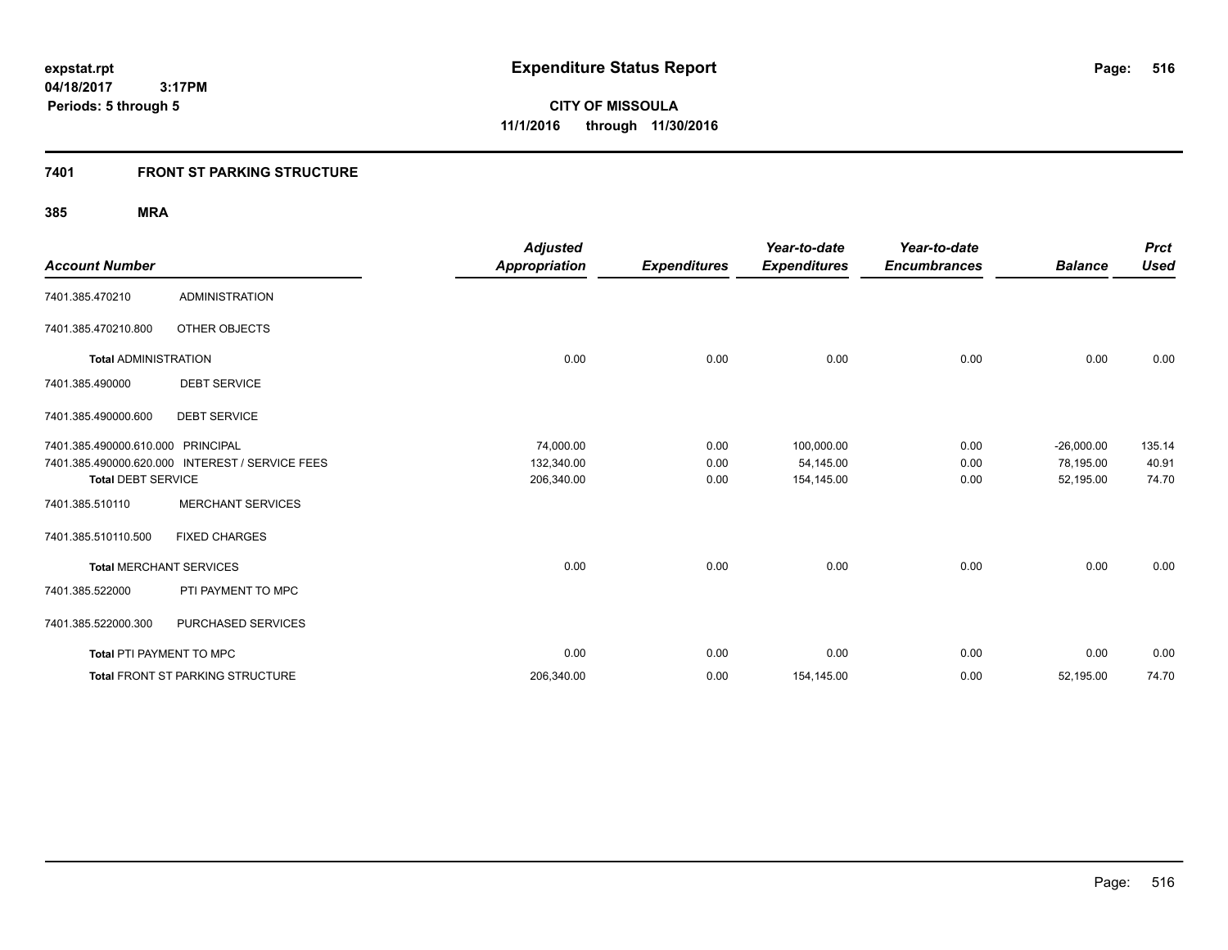**Periods: 5 through 5**

**CITY OF MISSOULA 11/1/2016 through 11/30/2016**

#### **7401 FRONT ST PARKING STRUCTURE**

 **3:17PM**

| <b>Account Number</b>             |                                                 | <b>Adjusted</b><br><b>Appropriation</b> | <b>Expenditures</b> | Year-to-date<br><b>Expenditures</b> | Year-to-date<br><b>Encumbrances</b> | <b>Balance</b>            | <b>Prct</b><br><b>Used</b> |
|-----------------------------------|-------------------------------------------------|-----------------------------------------|---------------------|-------------------------------------|-------------------------------------|---------------------------|----------------------------|
| 7401.385.470210                   | <b>ADMINISTRATION</b>                           |                                         |                     |                                     |                                     |                           |                            |
| 7401.385.470210.800               | OTHER OBJECTS                                   |                                         |                     |                                     |                                     |                           |                            |
| <b>Total ADMINISTRATION</b>       |                                                 | 0.00                                    | 0.00                | 0.00                                | 0.00                                | 0.00                      | 0.00                       |
| 7401.385.490000                   | <b>DEBT SERVICE</b>                             |                                         |                     |                                     |                                     |                           |                            |
| 7401.385.490000.600               | <b>DEBT SERVICE</b>                             |                                         |                     |                                     |                                     |                           |                            |
| 7401.385.490000.610.000 PRINCIPAL | 7401.385.490000.620.000 INTEREST / SERVICE FEES | 74,000.00<br>132,340.00                 | 0.00<br>0.00        | 100,000.00<br>54,145.00             | 0.00<br>0.00                        | $-26,000.00$<br>78,195.00 | 135.14<br>40.91            |
| <b>Total DEBT SERVICE</b>         |                                                 | 206,340.00                              | 0.00                | 154,145.00                          | 0.00                                | 52,195.00                 | 74.70                      |
| 7401.385.510110                   | <b>MERCHANT SERVICES</b>                        |                                         |                     |                                     |                                     |                           |                            |
| 7401.385.510110.500               | <b>FIXED CHARGES</b>                            |                                         |                     |                                     |                                     |                           |                            |
| <b>Total MERCHANT SERVICES</b>    |                                                 | 0.00                                    | 0.00                | 0.00                                | 0.00                                | 0.00                      | 0.00                       |
| 7401.385.522000                   | PTI PAYMENT TO MPC                              |                                         |                     |                                     |                                     |                           |                            |
| 7401.385.522000.300               | PURCHASED SERVICES                              |                                         |                     |                                     |                                     |                           |                            |
| Total PTI PAYMENT TO MPC          |                                                 | 0.00                                    | 0.00                | 0.00                                | 0.00                                | 0.00                      | 0.00                       |
|                                   | Total FRONT ST PARKING STRUCTURE                | 206,340.00                              | 0.00                | 154,145.00                          | 0.00                                | 52,195.00                 | 74.70                      |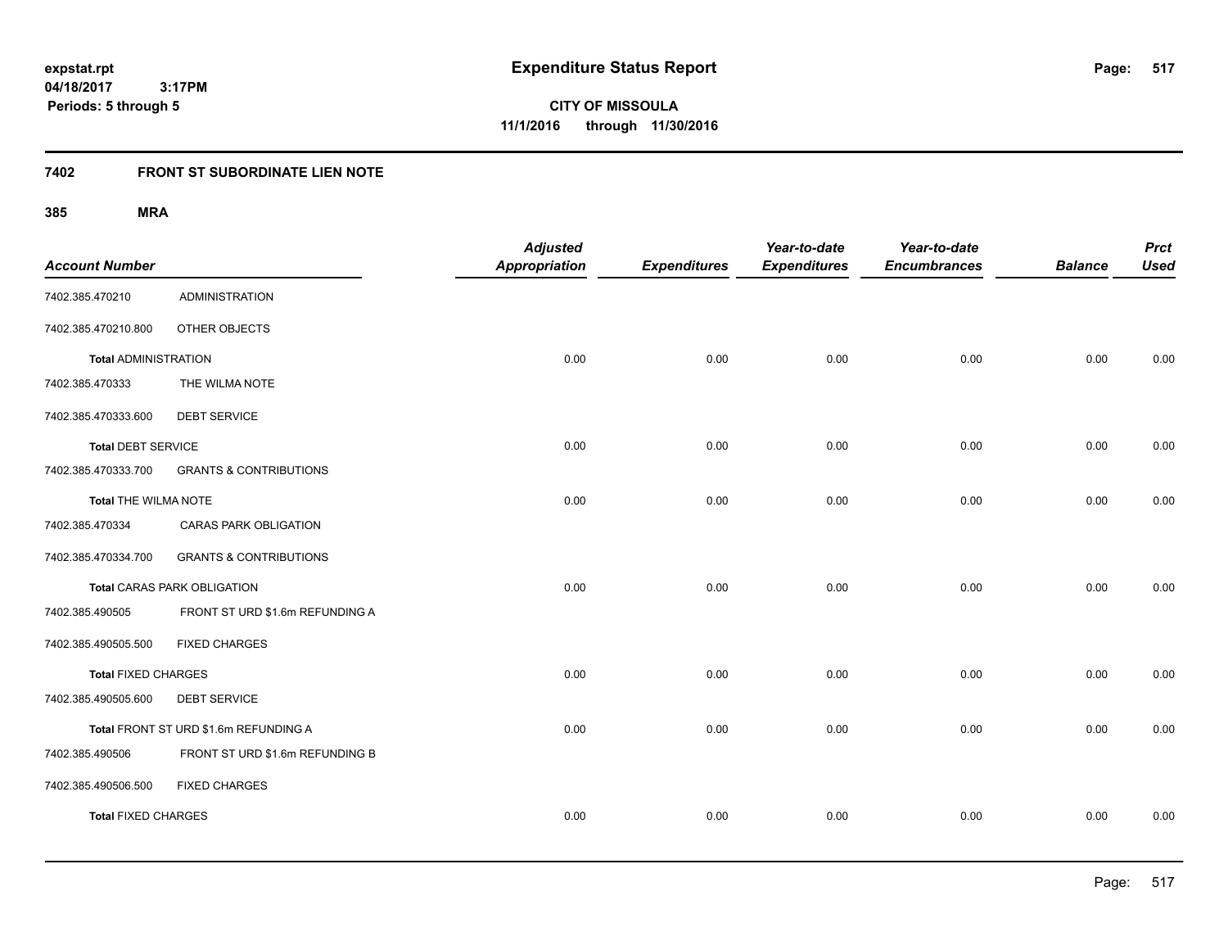**CITY OF MISSOULA 11/1/2016 through 11/30/2016**

### **7402 FRONT ST SUBORDINATE LIEN NOTE**

| <b>Account Number</b>       |                                       | <b>Adjusted</b><br><b>Appropriation</b> | <b>Expenditures</b> | Year-to-date<br><b>Expenditures</b> | Year-to-date<br><b>Encumbrances</b> | <b>Balance</b> | <b>Prct</b><br><b>Used</b> |
|-----------------------------|---------------------------------------|-----------------------------------------|---------------------|-------------------------------------|-------------------------------------|----------------|----------------------------|
| 7402.385.470210             | <b>ADMINISTRATION</b>                 |                                         |                     |                                     |                                     |                |                            |
| 7402.385.470210.800         | OTHER OBJECTS                         |                                         |                     |                                     |                                     |                |                            |
| <b>Total ADMINISTRATION</b> |                                       | 0.00                                    | 0.00                | 0.00                                | 0.00                                | 0.00           | 0.00                       |
| 7402.385.470333             | THE WILMA NOTE                        |                                         |                     |                                     |                                     |                |                            |
| 7402.385.470333.600         | <b>DEBT SERVICE</b>                   |                                         |                     |                                     |                                     |                |                            |
| <b>Total DEBT SERVICE</b>   |                                       | 0.00                                    | 0.00                | 0.00                                | 0.00                                | 0.00           | 0.00                       |
| 7402.385.470333.700         | <b>GRANTS &amp; CONTRIBUTIONS</b>     |                                         |                     |                                     |                                     |                |                            |
| Total THE WILMA NOTE        |                                       | 0.00                                    | 0.00                | 0.00                                | 0.00                                | 0.00           | 0.00                       |
| 7402.385.470334             | CARAS PARK OBLIGATION                 |                                         |                     |                                     |                                     |                |                            |
| 7402.385.470334.700         | <b>GRANTS &amp; CONTRIBUTIONS</b>     |                                         |                     |                                     |                                     |                |                            |
|                             | <b>Total CARAS PARK OBLIGATION</b>    | 0.00                                    | 0.00                | 0.00                                | 0.00                                | 0.00           | 0.00                       |
| 7402.385.490505             | FRONT ST URD \$1.6m REFUNDING A       |                                         |                     |                                     |                                     |                |                            |
| 7402.385.490505.500         | <b>FIXED CHARGES</b>                  |                                         |                     |                                     |                                     |                |                            |
| <b>Total FIXED CHARGES</b>  |                                       | 0.00                                    | 0.00                | 0.00                                | 0.00                                | 0.00           | 0.00                       |
| 7402.385.490505.600         | <b>DEBT SERVICE</b>                   |                                         |                     |                                     |                                     |                |                            |
|                             | Total FRONT ST URD \$1.6m REFUNDING A | 0.00                                    | 0.00                | 0.00                                | 0.00                                | 0.00           | 0.00                       |
| 7402.385.490506             | FRONT ST URD \$1.6m REFUNDING B       |                                         |                     |                                     |                                     |                |                            |
| 7402.385.490506.500         | <b>FIXED CHARGES</b>                  |                                         |                     |                                     |                                     |                |                            |
| <b>Total FIXED CHARGES</b>  |                                       | 0.00                                    | 0.00                | 0.00                                | 0.00                                | 0.00           | 0.00                       |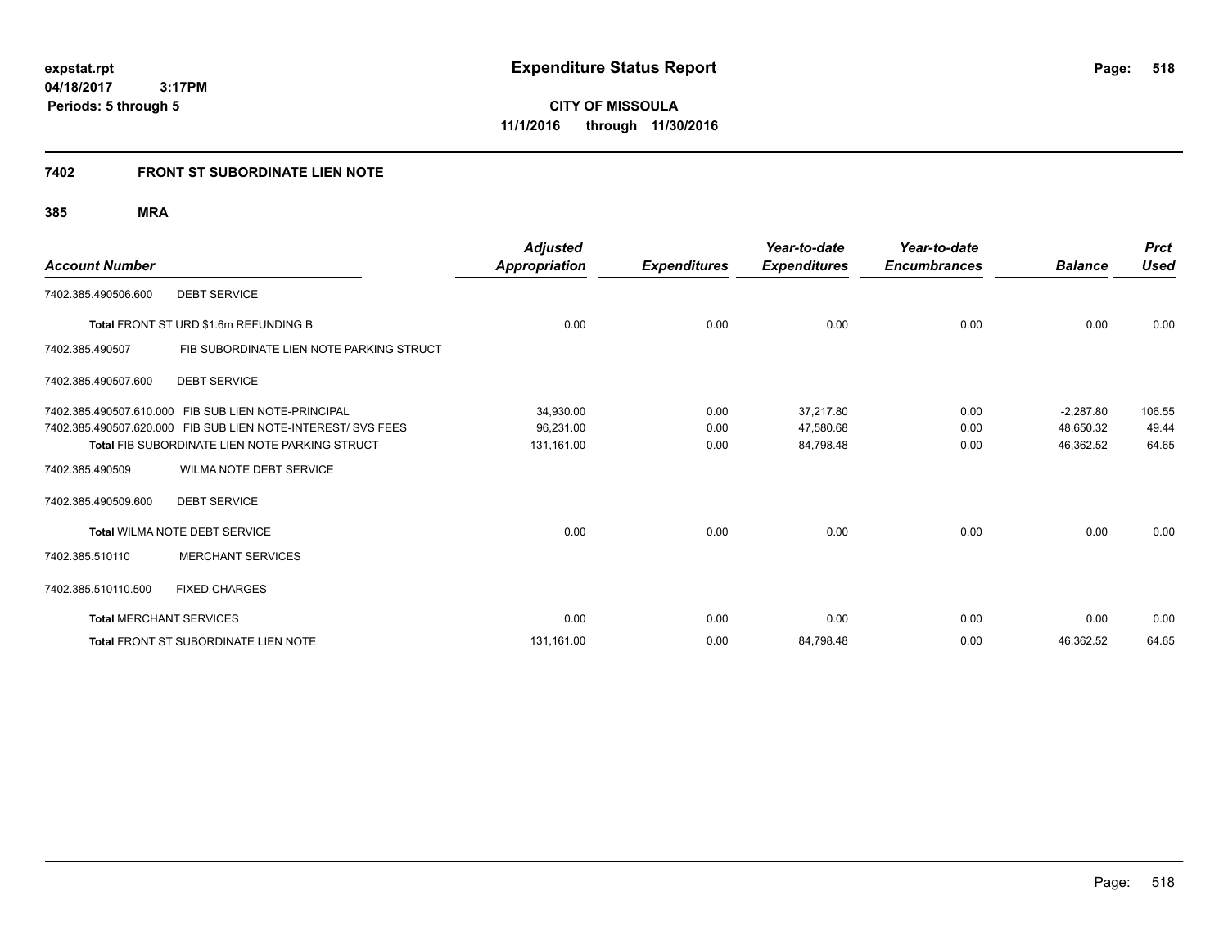**518**

**04/18/2017 3:17PM Periods: 5 through 5**

**CITY OF MISSOULA 11/1/2016 through 11/30/2016**

#### **7402 FRONT ST SUBORDINATE LIEN NOTE**

| <b>Account Number</b>          |                                                              | <b>Adjusted</b><br>Appropriation | <b>Expenditures</b> | Year-to-date<br><b>Expenditures</b> | Year-to-date<br><b>Encumbrances</b> | <b>Balance</b> | <b>Prct</b><br><b>Used</b> |
|--------------------------------|--------------------------------------------------------------|----------------------------------|---------------------|-------------------------------------|-------------------------------------|----------------|----------------------------|
| 7402.385.490506.600            | <b>DEBT SERVICE</b>                                          |                                  |                     |                                     |                                     |                |                            |
|                                | Total FRONT ST URD \$1.6m REFUNDING B                        | 0.00                             | 0.00                | 0.00                                | 0.00                                | 0.00           | 0.00                       |
| 7402.385.490507                | FIB SUBORDINATE LIEN NOTE PARKING STRUCT                     |                                  |                     |                                     |                                     |                |                            |
| 7402.385.490507.600            | <b>DEBT SERVICE</b>                                          |                                  |                     |                                     |                                     |                |                            |
|                                | 7402.385.490507.610.000 FIB SUB LIEN NOTE-PRINCIPAL          | 34,930.00                        | 0.00                | 37.217.80                           | 0.00                                | $-2,287.80$    | 106.55                     |
|                                | 7402.385.490507.620.000 FIB SUB LIEN NOTE-INTEREST/ SVS FEES | 96,231.00                        | 0.00                | 47,580.68                           | 0.00                                | 48,650.32      | 49.44                      |
|                                | <b>Total FIB SUBORDINATE LIEN NOTE PARKING STRUCT</b>        | 131,161.00                       | 0.00                | 84,798.48                           | 0.00                                | 46,362.52      | 64.65                      |
| 7402.385.490509                | WILMA NOTE DEBT SERVICE                                      |                                  |                     |                                     |                                     |                |                            |
| 7402.385.490509.600            | <b>DEBT SERVICE</b>                                          |                                  |                     |                                     |                                     |                |                            |
|                                | Total WILMA NOTE DEBT SERVICE                                | 0.00                             | 0.00                | 0.00                                | 0.00                                | 0.00           | 0.00                       |
| 7402.385.510110                | <b>MERCHANT SERVICES</b>                                     |                                  |                     |                                     |                                     |                |                            |
| 7402.385.510110.500            | <b>FIXED CHARGES</b>                                         |                                  |                     |                                     |                                     |                |                            |
| <b>Total MERCHANT SERVICES</b> |                                                              | 0.00                             | 0.00                | 0.00                                | 0.00                                | 0.00           | 0.00                       |
|                                | <b>Total FRONT ST SUBORDINATE LIEN NOTE</b>                  | 131,161.00                       | 0.00                | 84,798.48                           | 0.00                                | 46,362.52      | 64.65                      |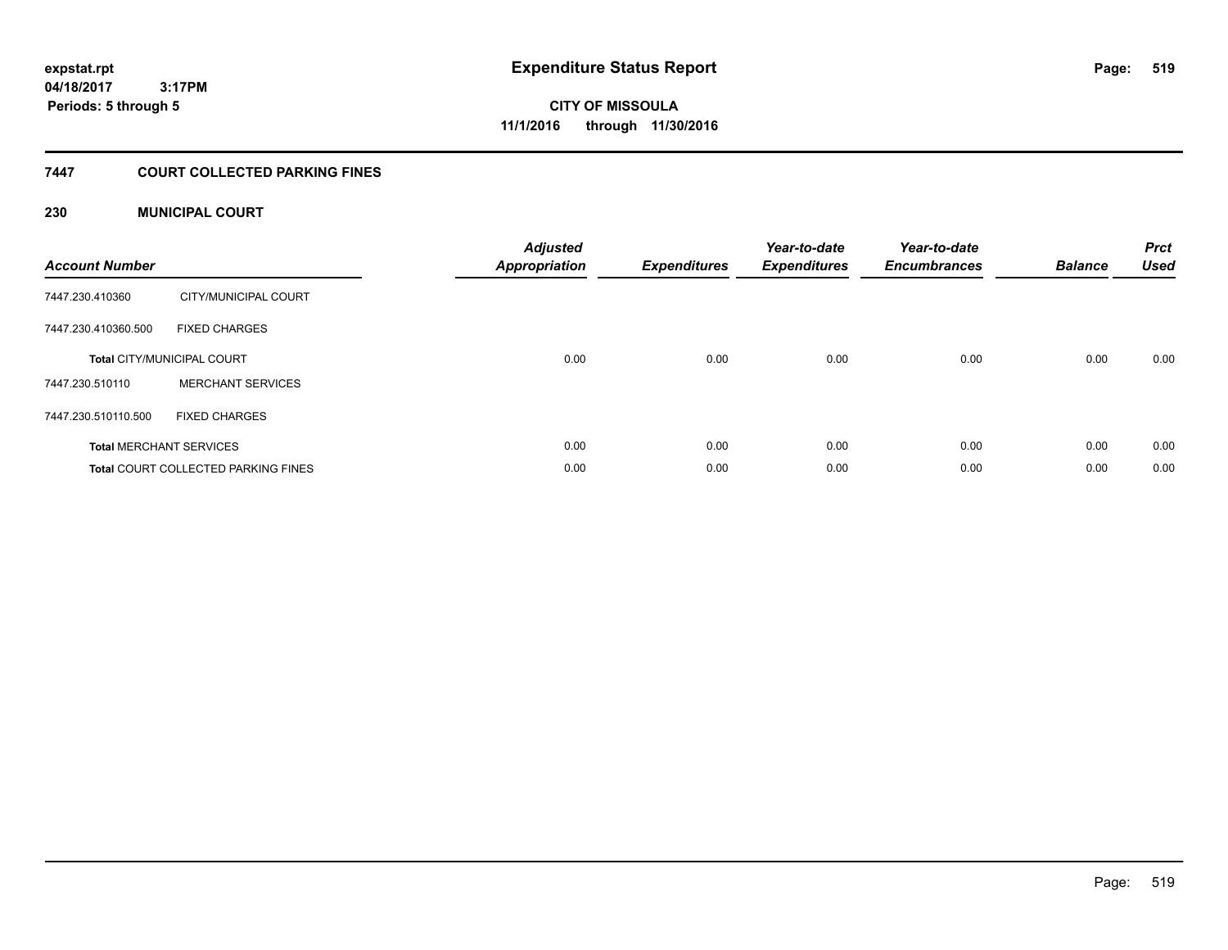# **CITY OF MISSOULA 11/1/2016 through 11/30/2016**

#### **7447 COURT COLLECTED PARKING FINES**

#### **230 MUNICIPAL COURT**

| <b>Account Number</b> |                                            | <b>Adjusted</b><br>Appropriation | <b>Expenditures</b> | Year-to-date<br><b>Expenditures</b> | Year-to-date<br><b>Encumbrances</b> | <b>Balance</b> | <b>Prct</b><br><b>Used</b> |
|-----------------------|--------------------------------------------|----------------------------------|---------------------|-------------------------------------|-------------------------------------|----------------|----------------------------|
| 7447.230.410360       | CITY/MUNICIPAL COURT                       |                                  |                     |                                     |                                     |                |                            |
| 7447.230.410360.500   | <b>FIXED CHARGES</b>                       |                                  |                     |                                     |                                     |                |                            |
|                       | <b>Total CITY/MUNICIPAL COURT</b>          | 0.00                             | 0.00                | 0.00                                | 0.00                                | 0.00           | 0.00                       |
| 7447.230.510110       | <b>MERCHANT SERVICES</b>                   |                                  |                     |                                     |                                     |                |                            |
| 7447.230.510110.500   | <b>FIXED CHARGES</b>                       |                                  |                     |                                     |                                     |                |                            |
|                       | <b>Total MERCHANT SERVICES</b>             | 0.00                             | 0.00                | 0.00                                | 0.00                                | 0.00           | 0.00                       |
|                       | <b>Total COURT COLLECTED PARKING FINES</b> | 0.00                             | 0.00                | 0.00                                | 0.00                                | 0.00           | 0.00                       |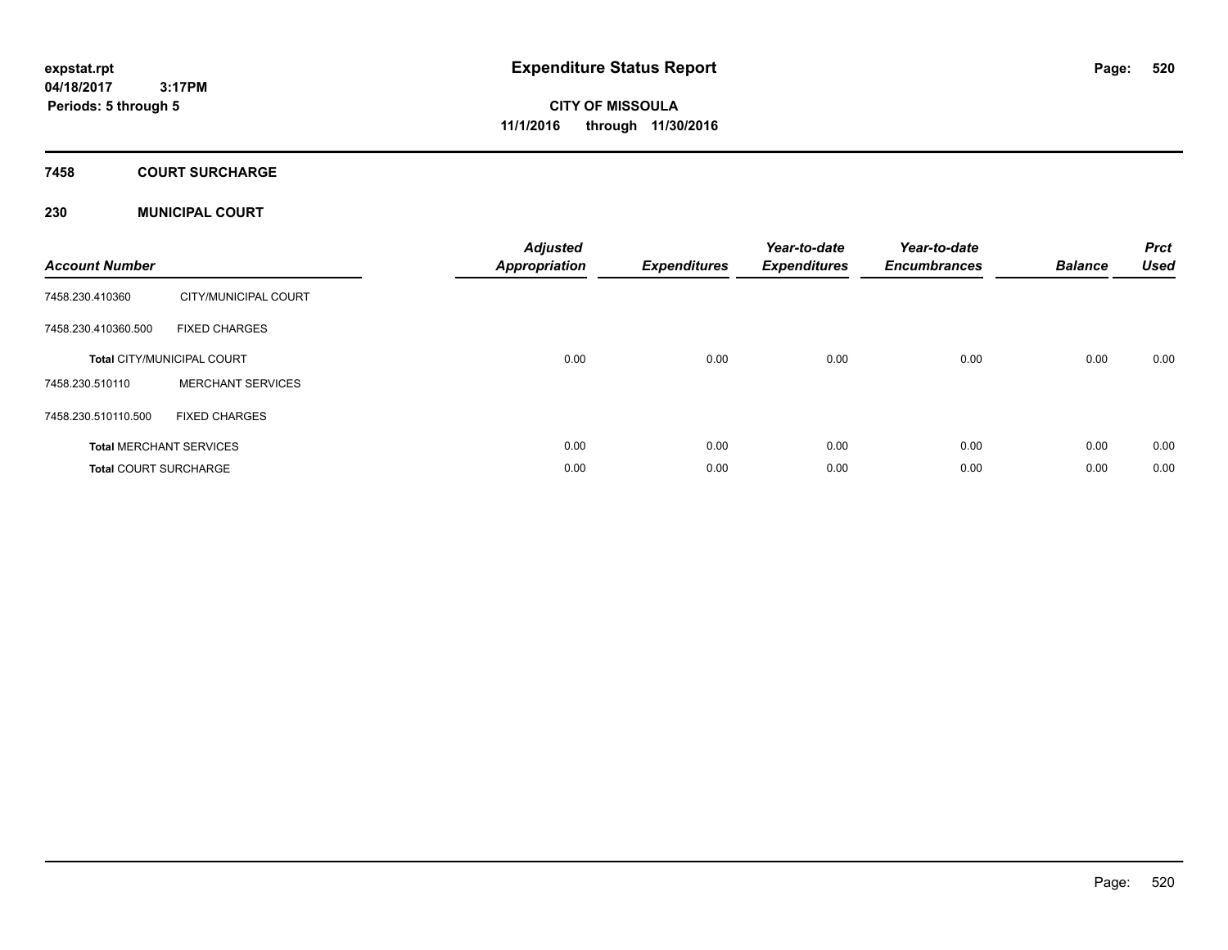# **CITY OF MISSOULA 11/1/2016 through 11/30/2016**

#### **7458 COURT SURCHARGE**

#### **230 MUNICIPAL COURT**

| <b>Account Number</b>        |                                   | <b>Adjusted</b><br>Appropriation | <b>Expenditures</b> | Year-to-date<br><b>Expenditures</b> | Year-to-date<br><b>Encumbrances</b> | <b>Balance</b> | <b>Prct</b><br><b>Used</b> |
|------------------------------|-----------------------------------|----------------------------------|---------------------|-------------------------------------|-------------------------------------|----------------|----------------------------|
| 7458.230.410360              | CITY/MUNICIPAL COURT              |                                  |                     |                                     |                                     |                |                            |
| 7458.230.410360.500          | <b>FIXED CHARGES</b>              |                                  |                     |                                     |                                     |                |                            |
|                              | <b>Total CITY/MUNICIPAL COURT</b> | 0.00                             | 0.00                | 0.00                                | 0.00                                | 0.00           | 0.00                       |
| 7458.230.510110              | <b>MERCHANT SERVICES</b>          |                                  |                     |                                     |                                     |                |                            |
| 7458.230.510110.500          | <b>FIXED CHARGES</b>              |                                  |                     |                                     |                                     |                |                            |
|                              | <b>Total MERCHANT SERVICES</b>    | 0.00                             | 0.00                | 0.00                                | 0.00                                | 0.00           | 0.00                       |
| <b>Total COURT SURCHARGE</b> |                                   | 0.00                             | 0.00                | 0.00                                | 0.00                                | 0.00           | 0.00                       |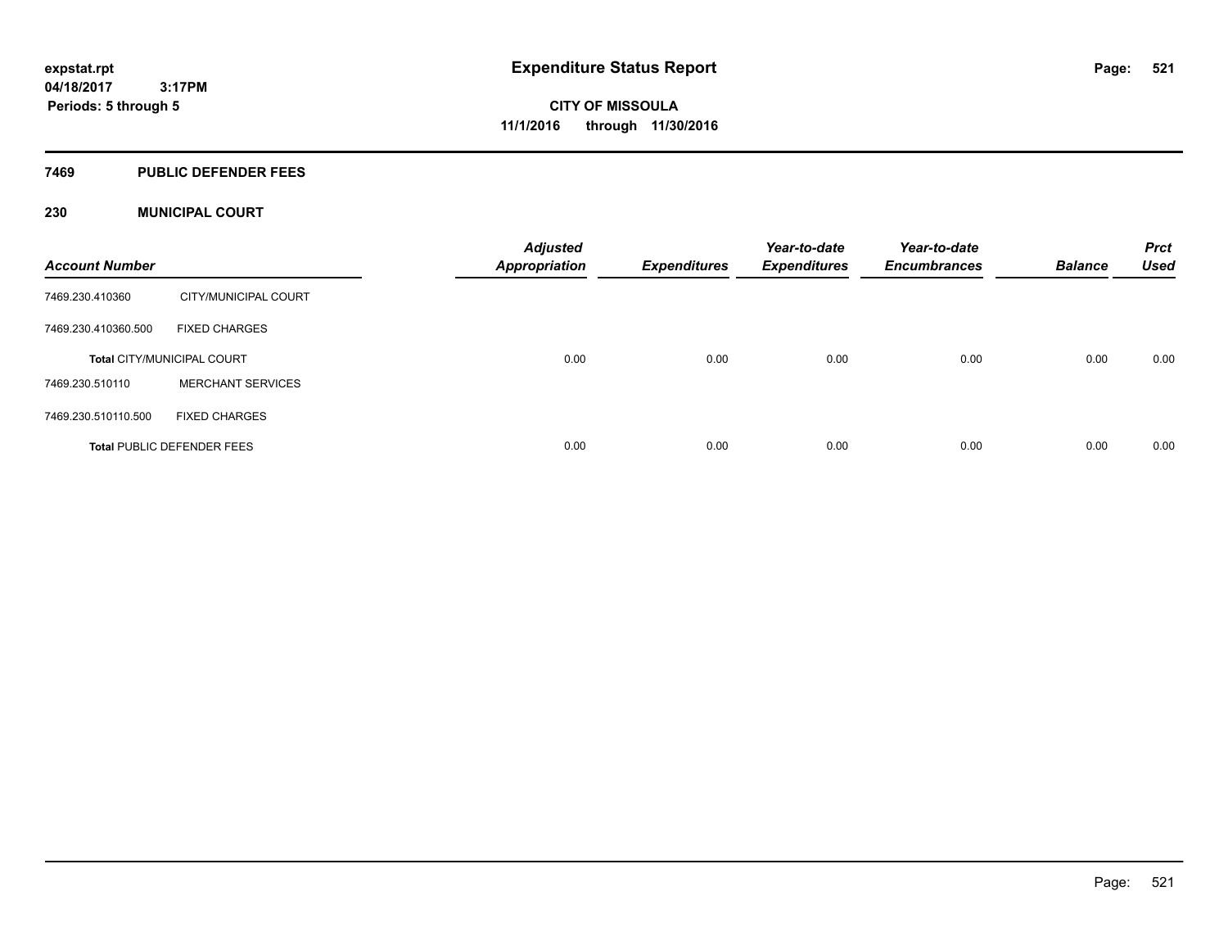#### **7469 PUBLIC DEFENDER FEES**

#### **230 MUNICIPAL COURT**

| <b>Account Number</b> |                                   | <b>Adjusted</b><br><b>Appropriation</b> | <b>Expenditures</b> | Year-to-date<br><b>Expenditures</b> | Year-to-date<br><b>Encumbrances</b> | <b>Balance</b> | <b>Prct</b><br><b>Used</b> |
|-----------------------|-----------------------------------|-----------------------------------------|---------------------|-------------------------------------|-------------------------------------|----------------|----------------------------|
| 7469.230.410360       | CITY/MUNICIPAL COURT              |                                         |                     |                                     |                                     |                |                            |
| 7469.230.410360.500   | <b>FIXED CHARGES</b>              |                                         |                     |                                     |                                     |                |                            |
|                       | <b>Total CITY/MUNICIPAL COURT</b> | 0.00                                    | 0.00                | 0.00                                | 0.00                                | 0.00           | 0.00                       |
| 7469.230.510110       | <b>MERCHANT SERVICES</b>          |                                         |                     |                                     |                                     |                |                            |
| 7469.230.510110.500   | <b>FIXED CHARGES</b>              |                                         |                     |                                     |                                     |                |                            |
|                       | <b>Total PUBLIC DEFENDER FEES</b> | 0.00                                    | 0.00                | 0.00                                | 0.00                                | 0.00           | 0.00                       |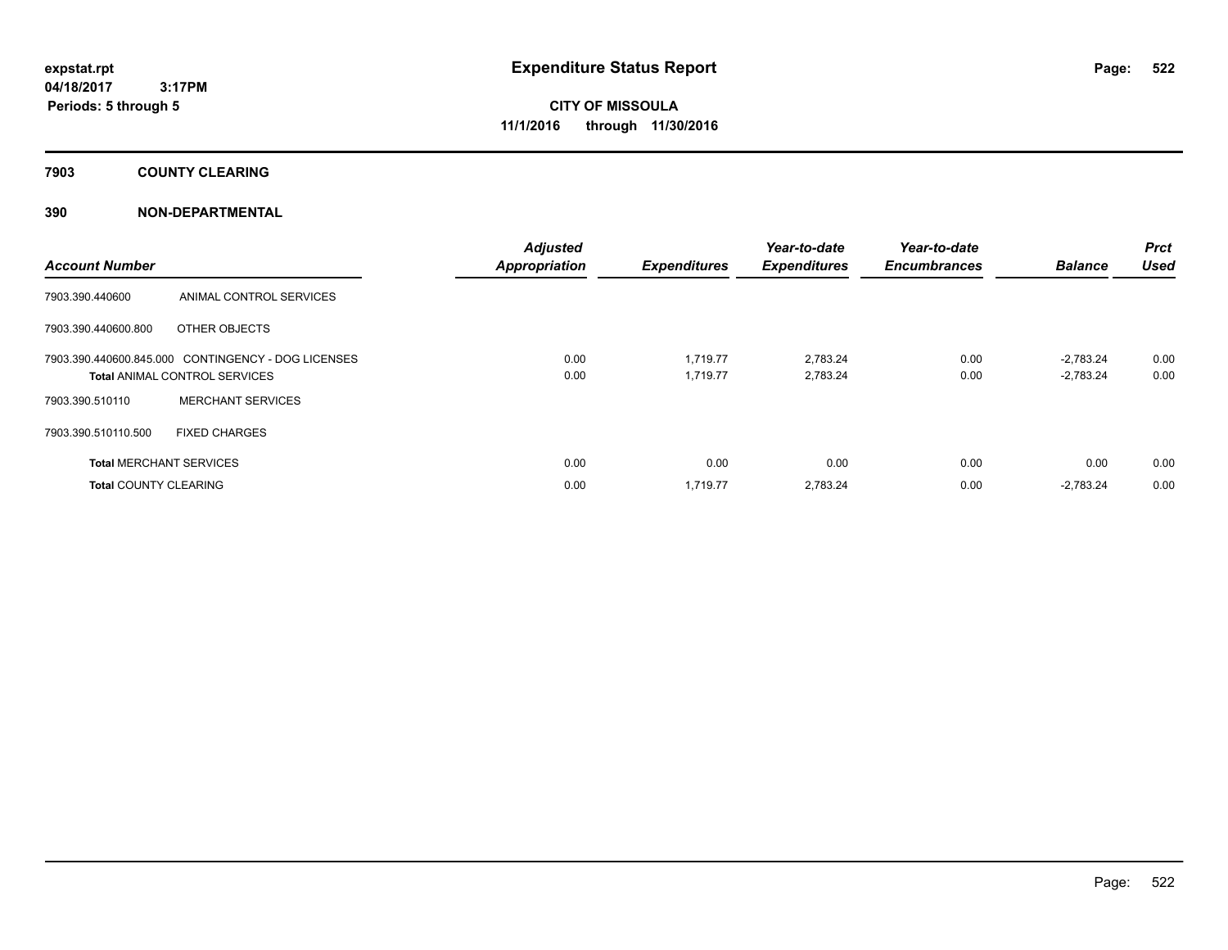**7903 COUNTY CLEARING**

#### **390 NON-DEPARTMENTAL**

| <b>Account Number</b>        |                                                                                            | <b>Adjusted</b><br><b>Appropriation</b> | <b>Expenditures</b>  | Year-to-date<br><b>Expenditures</b> | Year-to-date<br><b>Encumbrances</b> | <b>Balance</b>             | <b>Prct</b><br><b>Used</b> |
|------------------------------|--------------------------------------------------------------------------------------------|-----------------------------------------|----------------------|-------------------------------------|-------------------------------------|----------------------------|----------------------------|
| 7903.390.440600              | ANIMAL CONTROL SERVICES                                                                    |                                         |                      |                                     |                                     |                            |                            |
| 7903.390.440600.800          | OTHER OBJECTS                                                                              |                                         |                      |                                     |                                     |                            |                            |
|                              | 7903.390.440600.845.000 CONTINGENCY - DOG LICENSES<br><b>Total ANIMAL CONTROL SERVICES</b> | 0.00<br>0.00                            | 1.719.77<br>1,719.77 | 2.783.24<br>2,783.24                | 0.00<br>0.00                        | $-2.783.24$<br>$-2,783.24$ | 0.00<br>0.00               |
| 7903.390.510110              | <b>MERCHANT SERVICES</b>                                                                   |                                         |                      |                                     |                                     |                            |                            |
| 7903.390.510110.500          | <b>FIXED CHARGES</b>                                                                       |                                         |                      |                                     |                                     |                            |                            |
|                              | <b>Total MERCHANT SERVICES</b>                                                             | 0.00                                    | 0.00                 | 0.00                                | 0.00                                | 0.00                       | 0.00                       |
| <b>Total COUNTY CLEARING</b> |                                                                                            | 0.00                                    | 1,719.77             | 2,783.24                            | 0.00                                | $-2,783.24$                | 0.00                       |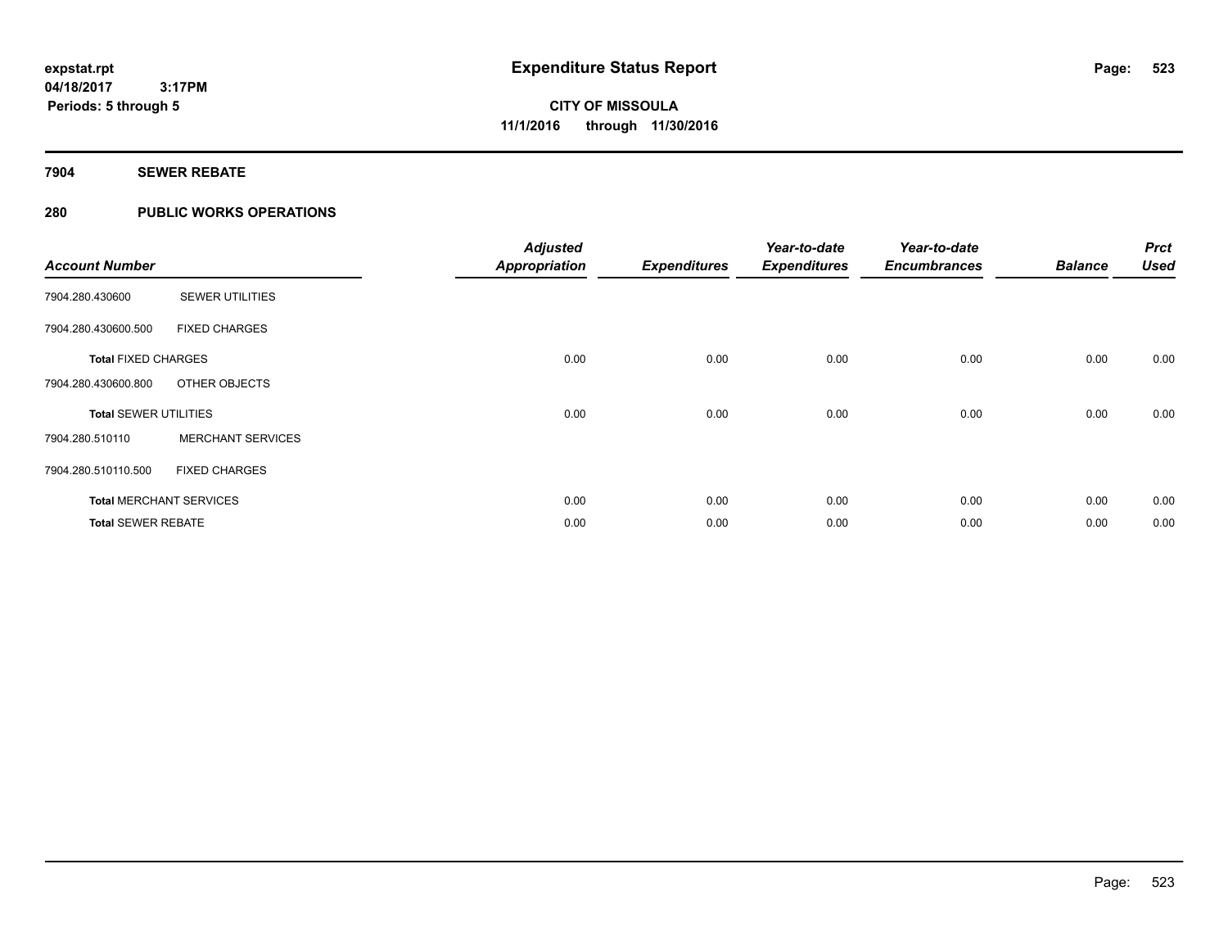### **7904 SEWER REBATE**

### **280 PUBLIC WORKS OPERATIONS**

| <b>Account Number</b>        |                                | <b>Adjusted</b><br><b>Appropriation</b> | <b>Expenditures</b> | Year-to-date<br><b>Expenditures</b> | Year-to-date<br><b>Encumbrances</b> | <b>Balance</b> | <b>Prct</b><br><b>Used</b> |
|------------------------------|--------------------------------|-----------------------------------------|---------------------|-------------------------------------|-------------------------------------|----------------|----------------------------|
| 7904.280.430600              | <b>SEWER UTILITIES</b>         |                                         |                     |                                     |                                     |                |                            |
| 7904.280.430600.500          | <b>FIXED CHARGES</b>           |                                         |                     |                                     |                                     |                |                            |
| <b>Total FIXED CHARGES</b>   |                                | 0.00                                    | 0.00                | 0.00                                | 0.00                                | 0.00           | 0.00                       |
| 7904.280.430600.800          | OTHER OBJECTS                  |                                         |                     |                                     |                                     |                |                            |
| <b>Total SEWER UTILITIES</b> |                                | 0.00                                    | 0.00                | 0.00                                | 0.00                                | 0.00           | 0.00                       |
| 7904.280.510110              | <b>MERCHANT SERVICES</b>       |                                         |                     |                                     |                                     |                |                            |
| 7904.280.510110.500          | <b>FIXED CHARGES</b>           |                                         |                     |                                     |                                     |                |                            |
|                              | <b>Total MERCHANT SERVICES</b> | 0.00                                    | 0.00                | 0.00                                | 0.00                                | 0.00           | 0.00                       |
| <b>Total SEWER REBATE</b>    |                                | 0.00                                    | 0.00                | 0.00                                | 0.00                                | 0.00           | 0.00                       |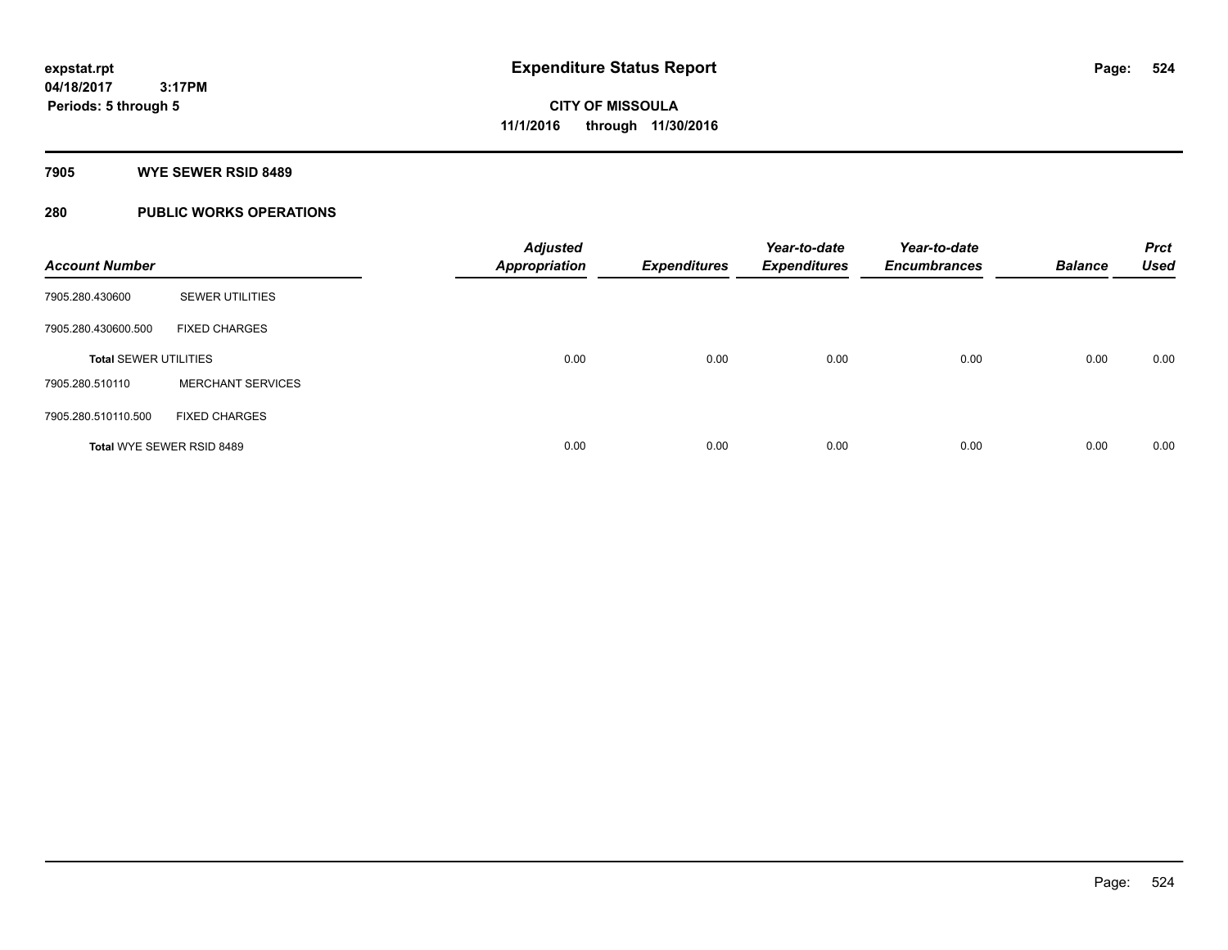#### **7905 WYE SEWER RSID 8489**

### **280 PUBLIC WORKS OPERATIONS**

| <b>Account Number</b>        |                           | <b>Adjusted</b><br><b>Appropriation</b> | <b>Expenditures</b> | Year-to-date<br><b>Expenditures</b> | Year-to-date<br><b>Encumbrances</b> | <b>Balance</b> | <b>Prct</b><br><b>Used</b> |
|------------------------------|---------------------------|-----------------------------------------|---------------------|-------------------------------------|-------------------------------------|----------------|----------------------------|
| 7905.280.430600              | <b>SEWER UTILITIES</b>    |                                         |                     |                                     |                                     |                |                            |
| 7905.280.430600.500          | <b>FIXED CHARGES</b>      |                                         |                     |                                     |                                     |                |                            |
| <b>Total SEWER UTILITIES</b> |                           | 0.00                                    | 0.00                | 0.00                                | 0.00                                | 0.00           | 0.00                       |
| 7905.280.510110              | <b>MERCHANT SERVICES</b>  |                                         |                     |                                     |                                     |                |                            |
| 7905.280.510110.500          | <b>FIXED CHARGES</b>      |                                         |                     |                                     |                                     |                |                            |
|                              | Total WYE SEWER RSID 8489 | 0.00                                    | 0.00                | 0.00                                | 0.00                                | 0.00           | 0.00                       |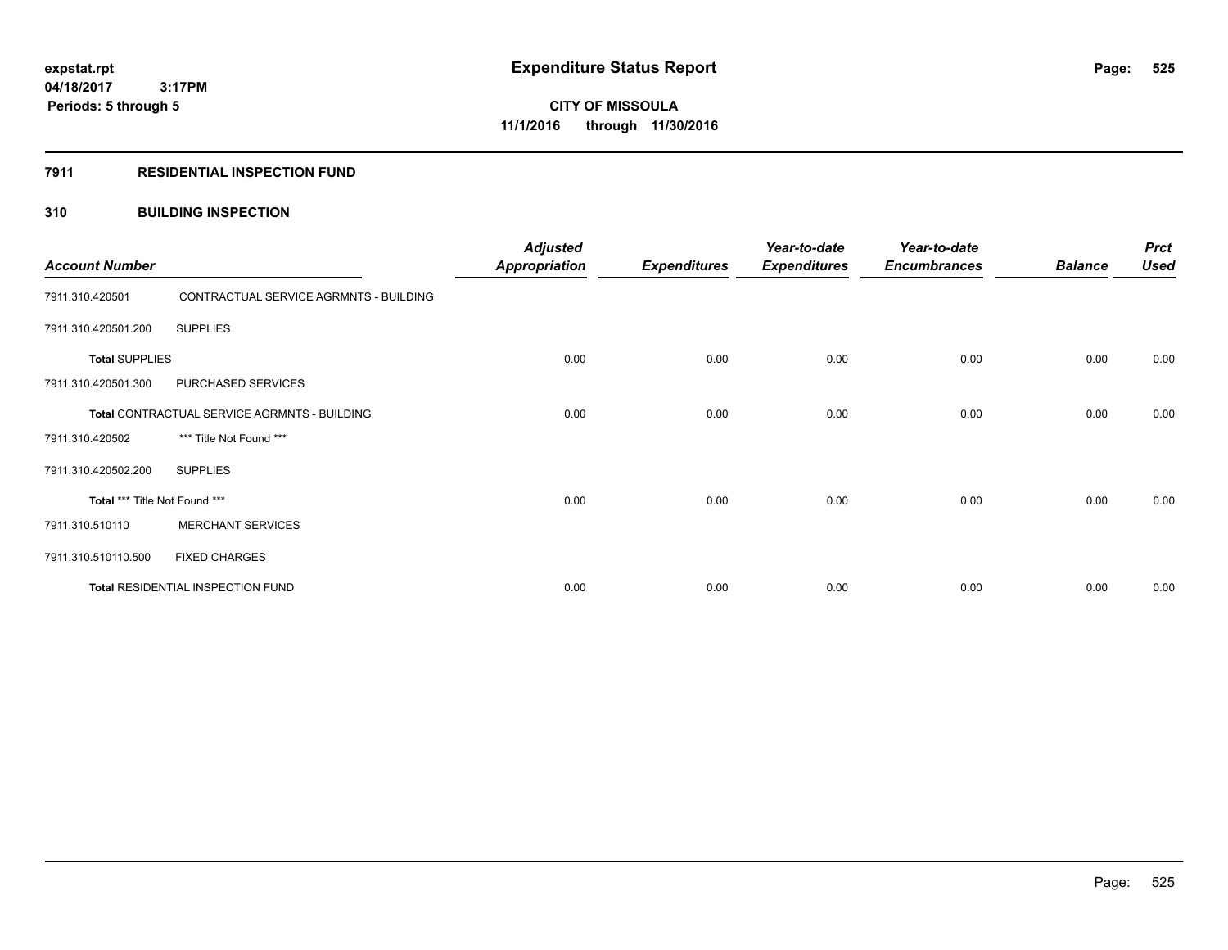#### **7911 RESIDENTIAL INSPECTION FUND**

#### **310 BUILDING INSPECTION**

| <b>Account Number</b>         |                                              | <b>Adjusted</b><br><b>Appropriation</b> | <b>Expenditures</b> | Year-to-date<br><b>Expenditures</b> | Year-to-date<br><b>Encumbrances</b> | <b>Balance</b> | <b>Prct</b><br><b>Used</b> |
|-------------------------------|----------------------------------------------|-----------------------------------------|---------------------|-------------------------------------|-------------------------------------|----------------|----------------------------|
| 7911.310.420501               | CONTRACTUAL SERVICE AGRMNTS - BUILDING       |                                         |                     |                                     |                                     |                |                            |
| 7911.310.420501.200           | <b>SUPPLIES</b>                              |                                         |                     |                                     |                                     |                |                            |
| <b>Total SUPPLIES</b>         |                                              | 0.00                                    | 0.00                | 0.00                                | 0.00                                | 0.00           | 0.00                       |
| 7911.310.420501.300           | PURCHASED SERVICES                           |                                         |                     |                                     |                                     |                |                            |
|                               | Total CONTRACTUAL SERVICE AGRMNTS - BUILDING | 0.00                                    | 0.00                | 0.00                                | 0.00                                | 0.00           | 0.00                       |
| 7911.310.420502               | *** Title Not Found ***                      |                                         |                     |                                     |                                     |                |                            |
| 7911.310.420502.200           | <b>SUPPLIES</b>                              |                                         |                     |                                     |                                     |                |                            |
| Total *** Title Not Found *** |                                              | 0.00                                    | 0.00                | 0.00                                | 0.00                                | 0.00           | 0.00                       |
| 7911.310.510110               | <b>MERCHANT SERVICES</b>                     |                                         |                     |                                     |                                     |                |                            |
| 7911.310.510110.500           | <b>FIXED CHARGES</b>                         |                                         |                     |                                     |                                     |                |                            |
|                               | Total RESIDENTIAL INSPECTION FUND            | 0.00                                    | 0.00                | 0.00                                | 0.00                                | 0.00           | 0.00                       |